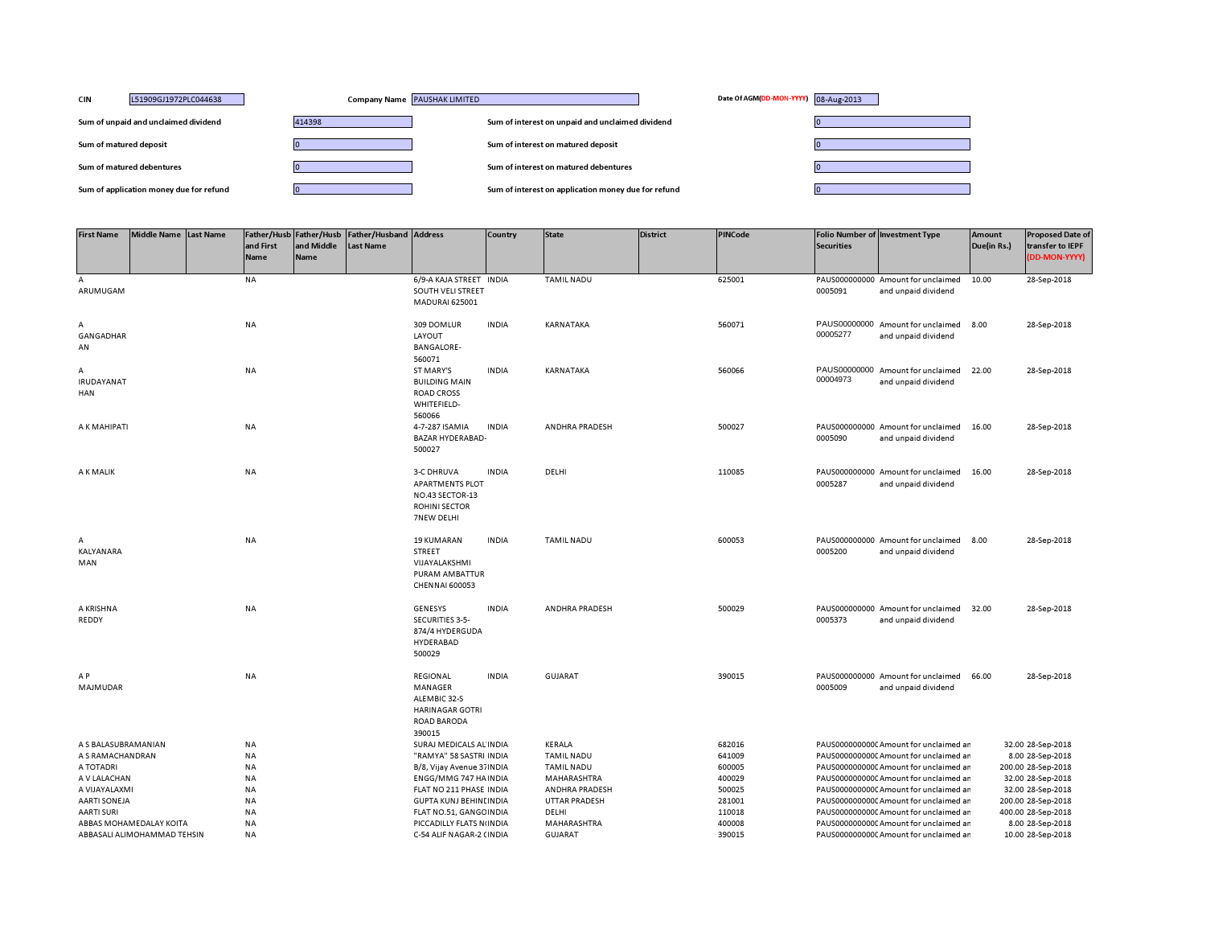| <b>CIN</b><br>L51909GJ1972PLC044638     | Company Name PAUSHAK LIMITED | Date Of AGM(DD-MON-YYYY) 08-Aug-2013                |  |
|-----------------------------------------|------------------------------|-----------------------------------------------------|--|
| Sum of unpaid and unclaimed dividend    | 414398                       | Sum of interest on unpaid and unclaimed dividend    |  |
| Sum of matured deposit                  |                              | Sum of interest on matured deposit                  |  |
| Sum of matured debentures               |                              | Sum of interest on matured debentures               |  |
| Sum of application money due for refund |                              | Sum of interest on application money due for refund |  |

| <b>First Name</b>                                      | Middle Name Last Name | and First<br>Name      | Father/Husb Father/Husb<br>and Middle<br><b>Name</b> | <b>Father/Husband Address</b><br>Last Name |                                                                                                      | <b>Country</b> | <b>State</b>                  | <b>District</b> | <b>PINCode</b>   | <b>Securities</b> | <b>Folio Number of Investment Type</b>                                           | Amount<br>Due(in Rs.) | <b>Proposed Date of</b><br>transfer to IEPF<br>(DD-MON-YYYY) |
|--------------------------------------------------------|-----------------------|------------------------|------------------------------------------------------|--------------------------------------------|------------------------------------------------------------------------------------------------------|----------------|-------------------------------|-----------------|------------------|-------------------|----------------------------------------------------------------------------------|-----------------------|--------------------------------------------------------------|
| A<br>ARUMUGAM                                          |                       | <b>NA</b>              |                                                      |                                            | 6/9-A KAJA STREET INDIA<br>SOUTH VELI STREET<br><b>MADURAI 625001</b>                                |                | <b>TAMIL NADU</b>             |                 | 625001           | 0005091           | PAUS000000000 Amount for unclaimed<br>and unpaid dividend                        | 10.00                 | 28-Sep-2018                                                  |
| Α<br>GANGADHAR<br>AN                                   |                       | <b>NA</b>              |                                                      |                                            | 309 DOMLUR<br>LAYOUT<br><b>BANGALORE-</b><br>560071                                                  | <b>INDIA</b>   | KARNATAKA                     |                 | 560071           | 00005277          | PAUS00000000 Amount for unclaimed<br>and unpaid dividend                         | 8.00                  | 28-Sep-2018                                                  |
| А<br>IRUDAYANAT<br>HAN                                 |                       | <b>NA</b>              |                                                      |                                            | ST MARY'S<br><b>BUILDING MAIN</b><br><b>ROAD CROSS</b><br>WHITEFIELD-<br>560066                      | <b>INDIA</b>   | KARNATAKA                     |                 | 560066           | 00004973          | PAUS00000000 Amount for unclaimed<br>and unpaid dividend                         | 22.00                 | 28-Sep-2018                                                  |
| A K MAHIPATI                                           |                       | <b>NA</b>              |                                                      |                                            | 4-7-287 ISAMIA<br>BAZAR HYDERABAD-<br>500027                                                         | <b>INDIA</b>   | ANDHRA PRADESH                |                 | 500027           | 0005090           | PAUS000000000 Amount for unclaimed<br>and unpaid dividend                        | 16.00                 | 28-Sep-2018                                                  |
| A K MALIK                                              |                       | <b>NA</b>              |                                                      |                                            | <b>3-C DHRUVA</b><br><b>APARTMENTS PLOT</b><br>NO.43 SECTOR-13<br><b>ROHINI SECTOR</b><br>7NEW DELHI | <b>INDIA</b>   | DELHI                         |                 | 110085           | 0005287           | PAUS000000000 Amount for unclaimed<br>and unpaid dividend                        | 16.00                 | 28-Sep-2018                                                  |
| А<br>KALYANARA<br>MAN                                  |                       | <b>NA</b>              |                                                      |                                            | <b>19 KUMARAN</b><br><b>STREET</b><br>VIJAYALAKSHMI<br>PURAM AMBATTUR<br><b>CHENNAI 600053</b>       | <b>INDIA</b>   | <b>TAMIL NADU</b>             |                 | 600053           | 0005200           | PAUS000000000 Amount for unclaimed<br>and unpaid dividend                        | 8.00                  | 28-Sep-2018                                                  |
| A KRISHNA<br>REDDY                                     |                       | <b>NA</b>              |                                                      |                                            | <b>GENESYS</b><br>SECURITIES 3-5-<br>874/4 HYDERGUDA<br>HYDERABAD<br>500029                          | <b>INDIA</b>   | <b>ANDHRA PRADESH</b>         |                 | 500029           | 0005373           | PAUS000000000 Amount for unclaimed<br>and unpaid dividend                        | 32.00                 | 28-Sep-2018                                                  |
| A P<br>MAJMUDAR                                        |                       | NA                     |                                                      |                                            | REGIONAL<br>MANAGER<br>ALEMBIC 32-S<br><b>HARINAGAR GOTRI</b><br><b>ROAD BARODA</b><br>390015        | <b>INDIA</b>   | <b>GUJARAT</b>                |                 | 390015           | 0005009           | PAUS000000000 Amount for unclaimed<br>and unpaid dividend                        | 66.00                 | 28-Sep-2018                                                  |
| A S BALASUBRAMANIAN                                    |                       | ΝA                     |                                                      |                                            | SURAJ MEDICALS AL INDIA                                                                              |                | KERALA                        |                 | 682016           |                   | PAUS0000000000 Amount for unclaimed ar                                           |                       | 32.00 28-Sep-2018                                            |
| A S RAMACHANDRAN                                       |                       | <b>NA</b>              |                                                      |                                            | "RAMYA" 58 SASTRI INDIA                                                                              |                | <b>TAMIL NADU</b>             |                 | 641009           |                   | PAUS0000000000C Amount for unclaimed ar                                          |                       | 8.00 28-Sep-2018                                             |
| A TOTADRI                                              |                       | <b>NA</b>              |                                                      |                                            | B/8, Vijay Avenue 37 INDIA                                                                           |                | <b>TAMIL NADU</b>             |                 | 600005           |                   | PAUS0000000000 Amount for unclaimed ar                                           |                       | 200.00 28-Sep-2018                                           |
| A V LALACHAN                                           |                       | <b>NA</b>              |                                                      |                                            | ENGG/MMG 747 HA INDIA                                                                                |                | MAHARASHTRA                   |                 | 400029           |                   | PAUS0000000000 Amount for unclaimed ar                                           |                       | 32.00 28-Sep-2018                                            |
| A VIJAYALAXMI                                          |                       | <b>NA</b>              |                                                      |                                            | FLAT NO 211 PHASE INDIA                                                                              |                | ANDHRA PRADESH                |                 | 500025           |                   | PAUS0000000000 Amount for unclaimed ar                                           |                       | 32.00 28-Sep-2018                                            |
| <b>AARTI SONEJA</b>                                    |                       | <b>NA</b>              |                                                      |                                            | <b>GUPTA KUNJ BEHINLINDIA</b>                                                                        |                | <b>UTTAR PRADESH</b>          |                 | 281001           |                   | PAUS0000000000 Amount for unclaimed ar                                           |                       | 200.00 28-Sep-2018                                           |
| <b>AARTI SURI</b>                                      |                       | NA                     |                                                      |                                            | FLAT NO.51, GANGC INDIA                                                                              |                | DELHI                         |                 | 110018           |                   | PAUS0000000000 Amount for unclaimed ar                                           |                       | 400.00 28-Sep-2018                                           |
| ABBAS MOHAMEDALAY KOITA<br>ABBASALI ALIMOHAMMAD TEHSIN |                       | <b>NA</b><br><b>NA</b> |                                                      |                                            | PICCADILLY FLATS N(INDIA<br>C-54 ALIF NAGAR-2 (INDIA                                                 |                | MAHARASHTRA<br><b>GUJARAT</b> |                 | 400008<br>390015 |                   | PAUS0000000000 Amount for unclaimed ar<br>PAUS0000000000 Amount for unclaimed an |                       | 8.00 28-Sep-2018<br>10.00 28-Sep-2018                        |
|                                                        |                       |                        |                                                      |                                            |                                                                                                      |                |                               |                 |                  |                   |                                                                                  |                       |                                                              |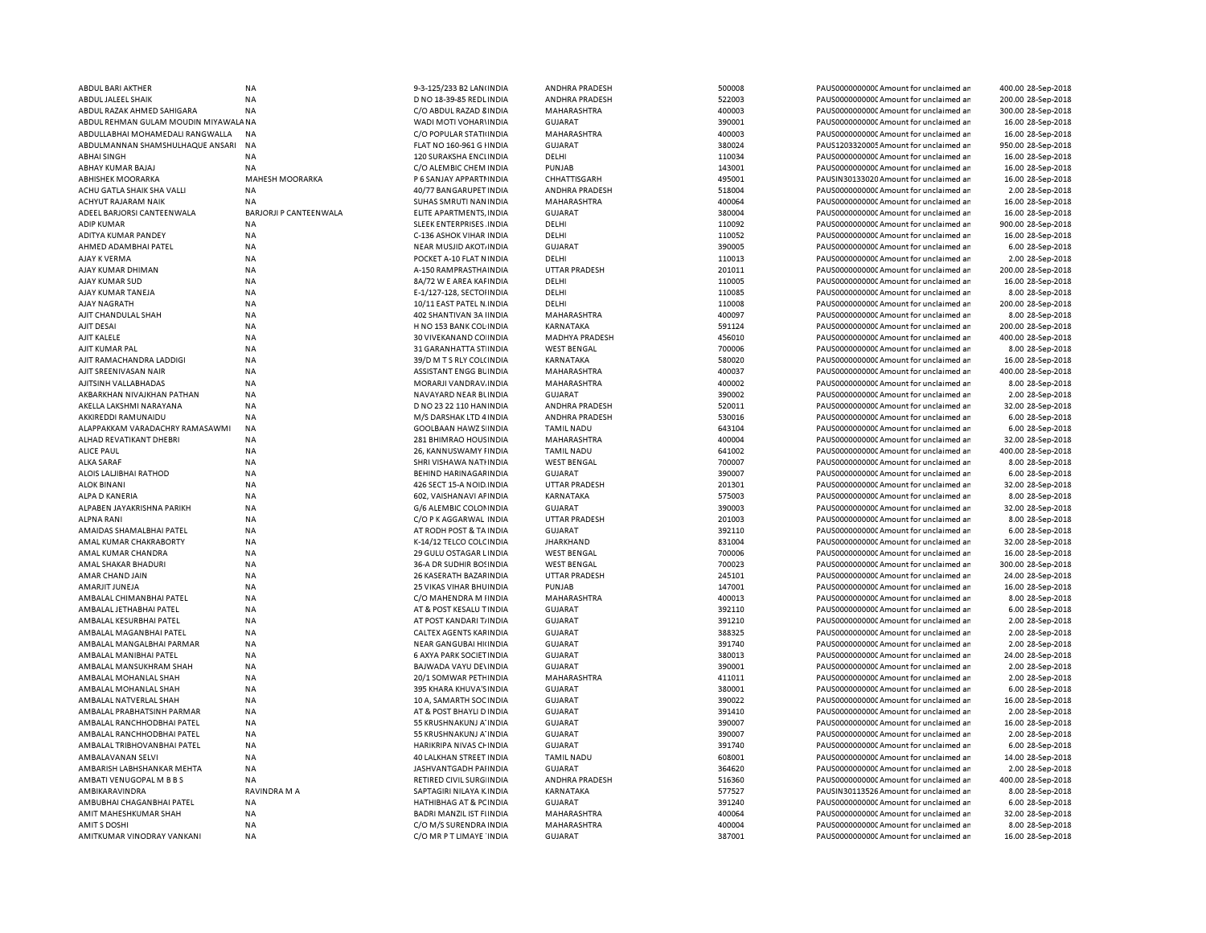| ABDUL BARI AKTHER                    | <b>NA</b>                     | 9-3-125/233 B2 LAN(INDIA           | ANDHRA PRADESH        | 500008 | PAUS00000000000Amount for unclaimed ar  | 400.00 28-Sep-2018 |
|--------------------------------------|-------------------------------|------------------------------------|-----------------------|--------|-----------------------------------------|--------------------|
| ABDUL JALEEL SHAIK                   | <b>NA</b>                     | D NO 18-39-85 REDL INDIA           | ANDHRA PRADESH        | 522003 | PAUS0000000000 Amount for unclaimed ar  | 200.00 28-Sep-2018 |
| ABDUL RAZAK AHMED SAHIGARA           | <b>NA</b>                     | C/O ABDUL RAZAD 8 INDIA            | MAHARASHTRA           | 400003 | PAUS0000000000 Amount for unclaimed ar  | 300.00 28-Sep-2018 |
| ABDUL REHMAN GULAM MOUDIN MIYAWALANA |                               | WADI MOTI VOHAR\ INDIA             | <b>GUJARAT</b>        | 390001 | PAUS00000000000 Amount for unclaimed ar | 16.00 28-Sep-2018  |
| ABDULLABHAI MOHAMEDALI RANGWALLA     |                               |                                    |                       |        |                                         |                    |
|                                      | <b>NA</b>                     | C/O POPULAR STATI INDIA            | MAHARASHTRA           | 400003 | PAUS0000000000C Amount for unclaimed ar | 16.00 28-Sep-2018  |
| ABDULMANNAN SHAMSHULHAQUE ANSARI     | <b>NA</b>                     | FLAT NO 160-961 G HNDIA            | <b>GUJARAT</b>        | 380024 | PAUS1203320005 Amount for unclaimed ar  | 950.00 28-Sep-2018 |
| <b>ABHAI SINGH</b>                   | <b>NA</b>                     | 120 SURAKSHA ENCLINDIA             | DELHI                 | 110034 | PAUS0000000000CAmount for unclaimed ar  | 16.00 28-Sep-2018  |
| ABHAY KUMAR BAJAJ                    | <b>NA</b>                     | C/O ALEMBIC CHEM INDIA             | PUNJAB                | 143001 | PAUS00000000000 Amount for unclaimed ar | 16.00 28-Sep-2018  |
| <b>ABHISHEK MOORARKA</b>             | MAHESH MOORARKA               | P 6 SANJAY APPARTI INDIA           | CHHATTISGARH          | 495001 | PAUSIN30133020 Amount for unclaimed ar  | 16.00 28-Sep-2018  |
| ACHU GATLA SHAIK SHA VALLI           | <b>NA</b>                     | 40/77 BANGARUPET INDIA             | <b>ANDHRA PRADESH</b> | 518004 | PAUS0000000000 Amount for unclaimed ar  | 2.00 28-Sep-2018   |
| ACHYUT RAJARAM NAIK                  | <b>NA</b>                     | SUHAS SMRUTI NAN INDIA             | MAHARASHTRA           | 400064 | PAUS0000000000 Amount for unclaimed ar  | 16.00 28-Sep-2018  |
|                                      |                               |                                    |                       |        |                                         |                    |
| ADEEL BARJORSI CANTEENWALA           | <b>BARJORJI P CANTEENWALA</b> | ELITE APARTMENTS, INDIA            | <b>GUJARAT</b>        | 380004 | PAUS0000000000 Amount for unclaimed ar  | 16.00 28-Sep-2018  |
| <b>ADIP KUMAR</b>                    | <b>NA</b>                     | SLEEK ENTERPRISES. INDIA           | DELHI                 | 110092 | PAUS0000000000 Amount for unclaimed ar  | 900.00 28-Sep-2018 |
| ADITYA KUMAR PANDEY                  | <b>NA</b>                     | C-136 ASHOK VIHAR INDIA            | DELHI                 | 110052 | PAUS0000000000 Amount for unclaimed ar  | 16.00 28-Sep-2018  |
| AHMED ADAMBHAI PATEL                 | <b>NA</b>                     | NEAR MUSJID AKOT INDIA             | <b>GUJARAT</b>        | 390005 | PAUS0000000000CAmount for unclaimed ar  | 6.00 28-Sep-2018   |
| AJAY K VERMA                         | <b>NA</b>                     | POCKET A-10 FLAT N INDIA           | DELHI                 | 110013 | PAUS00000000000 Amount for unclaimed ar | 2.00 28-Sep-2018   |
| AJAY KUMAR DHIMAN                    | <b>NA</b>                     | A-150 RAMPRASTHA INDIA             | <b>UTTAR PRADESH</b>  | 201011 | PAUS0000000000 Amount for unclaimed ar  | 200.00 28-Sep-2018 |
| AJAY KUMAR SUD                       | <b>NA</b>                     | 8A/72 W E AREA KAFINDIA            | DELHI                 | 110005 | PAUS0000000000 Amount for unclaimed ar  | 16.00 28-Sep-2018  |
| AJAY KUMAR TANEJA                    | <b>NA</b>                     | E-1/127-128, SECTOHNDIA            | DELHI                 | 110085 | PAUS00000000000 Amount for unclaimed ar | 8.00 28-Sep-2018   |
|                                      |                               |                                    |                       |        |                                         |                    |
| AJAY NAGRATH                         | <b>NA</b>                     | 10/11 EAST PATEL N. INDIA          | DELHI                 | 110008 | PAUS0000000000 Amount for unclaimed ar  | 200.00 28-Sep-2018 |
| AJIT CHANDULAL SHAH                  | <b>NA</b>                     | 402 SHANTIVAN 3A IINDIA            | MAHARASHTRA           | 400097 | PAUS00000000000 Amount for unclaimed ar | 8.00 28-Sep-2018   |
| AJIT DESAI                           | <b>NA</b>                     | H NO 153 BANK COL INDIA            | KARNATAKA             | 591124 | PAUS0000000000 Amount for unclaimed ar  | 200.00 28-Sep-2018 |
| AJIT KALELE                          | <b>NA</b>                     | 30 VIVEKANAND CO INDIA             | MADHYA PRADESH        | 456010 | PAUS0000000000 Amount for unclaimed ar  | 400.00 28-Sep-2018 |
| AJIT KUMAR PAL                       | <b>NA</b>                     | 31 GARANHATTA ST INDIA             | <b>WEST BENGAL</b>    | 700006 | PAUS00000000000Amount for unclaimed ar  | 8.00 28-Sep-2018   |
| AJIT RAMACHANDRA LADDIGI             | <b>NA</b>                     | 39/D M T S RLY COL(INDIA           | KARNATAKA             | 580020 | PAUS0000000000 Amount for unclaimed ar  | 16.00 28-Sep-2018  |
| AJIT SREENIVASAN NAIR                | ΝA                            | ASSISTANT ENGG BLINDIA             | MAHARASHTRA           | 400037 | PAUS0000000000C Amount for unclaimed ar | 400.00 28-Sep-2018 |
|                                      |                               |                                    |                       | 400002 |                                         |                    |
| AJITSINH VALLABHADAS                 | <b>NA</b>                     | MORARJI VANDRAV. INDIA             | MAHARASHTRA           |        | PAUS0000000000 Amount for unclaimed ar  | 8.00 28-Sep-2018   |
| AKBARKHAN NIVAJKHAN PATHAN           | <b>NA</b>                     | NAVAYARD NEAR BLINDIA              | GUJARAT               | 390002 | PAUS0000000000C Amount for unclaimed ar | 2.00 28-Sep-2018   |
| AKELLA LAKSHMI NARAYANA              | <b>NA</b>                     | D NO 23 22 110 HAN INDIA           | ANDHRA PRADESH        | 520011 | PAUS00000000000 Amount for unclaimed ar | 32.00 28-Sep-2018  |
| AKKIREDDI RAMUNAIDU                  | <b>NA</b>                     | M/S DARSHAK LTD 4 INDIA            | <b>ANDHRA PRADESH</b> | 530016 | PAUS0000000000 Amount for unclaimed ar  | 6.00 28-Sep-2018   |
| ALAPPAKKAM VARADACHRY RAMASAWMI      | <b>NA</b>                     | <b>GOOLBAAN HAWZ S INDIA</b>       | <b>TAMIL NADU</b>     | 643104 | PAUS0000000000CAmount for unclaimed ar  | 6.00 28-Sep-2018   |
| ALHAD REVATIKANT DHEBRI              | <b>NA</b>                     | 281 BHIMRAO HOUS INDIA             | MAHARASHTRA           | 400004 | PAUS0000000000CAmount for unclaimed ar  | 32.00 28-Sep-2018  |
| <b>ALICE PAUL</b>                    | <b>NA</b>                     | 26, KANNUSWAMY I INDIA             | <b>TAMIL NADU</b>     | 641002 | PAUS0000000000 Amount for unclaimed ar  | 400.00 28-Sep-2018 |
| <b>ALKA SARAF</b>                    | <b>NA</b>                     | SHRI VISHAWA NATHNDIA              | <b>WEST BENGAL</b>    | 700007 | PAUS0000000000 Amount for unclaimed ar  | 8.00 28-Sep-2018   |
|                                      |                               |                                    |                       |        |                                         |                    |
| ALOIS LALJIBHAI RATHOD               | <b>NA</b>                     | <b>BEHIND HARINAGAFINDIA</b>       | <b>GUJARAT</b>        | 390007 | PAUS0000000000 Amount for unclaimed ar  | 6.00 28-Sep-2018   |
| <b>ALOK BINANI</b>                   | <b>NA</b>                     | 426 SECT 15-A NOID INDIA           | <b>UTTAR PRADESH</b>  | 201301 | PAUS0000000000 Amount for unclaimed ar  | 32.00 28-Sep-2018  |
| <b>ALPA D KANERIA</b>                | <b>NA</b>                     | 602, VAISHANAVI AFINDIA            | KARNATAKA             | 575003 | PAUS0000000000 Amount for unclaimed ar  | 8.00 28-Sep-2018   |
| ALPABEN JAYAKRISHNA PARIKH           | <b>NA</b>                     | G/6 ALEMBIC COLONINDIA             | <b>GUJARAT</b>        | 390003 | PAUS0000000000 Amount for unclaimed ar  | 32.00 28-Sep-2018  |
| <b>ALPNA RANI</b>                    | <b>NA</b>                     | C/O P K AGGARWAL INDIA             | <b>UTTAR PRADESH</b>  | 201003 | PAUS0000000000 Amount for unclaimed ar  | 8.00 28-Sep-2018   |
| AMAIDAS SHAMALBHAI PATEL             | <b>NA</b>                     | AT RODH POST & TA INDIA            | <b>GUJARAT</b>        | 392110 | PAUS0000000000 Amount for unclaimed ar  | 6.00 28-Sep-2018   |
| AMAL KUMAR CHAKRABORTY               | <b>NA</b>                     | K-14/12 TELCO COLC INDIA           | <b>JHARKHAND</b>      | 831004 | PAUS0000000000 Amount for unclaimed ar  | 32.00 28-Sep-2018  |
| AMAL KUMAR CHANDRA                   | <b>NA</b>                     | 29 GULU OSTAGAR LINDIA             | <b>WEST BENGAL</b>    | 700006 | PAUS0000000000 Amount for unclaimed ar  | 16.00 28-Sep-2018  |
|                                      |                               |                                    |                       |        |                                         |                    |
| AMAL SHAKAR BHADURI                  | <b>NA</b>                     | 36-A DR SUDHIR BOSINDIA            | <b>WEST BENGAL</b>    | 700023 | PAUS0000000000C Amount for unclaimed ar | 300.00 28-Sep-2018 |
| AMAR CHAND JAIN                      | <b>NA</b>                     | 26 KASERATH BAZAF INDIA            | <b>UTTAR PRADESH</b>  | 245101 | PAUS0000000000 Amount for unclaimed ar  | 24.00 28-Sep-2018  |
| AMARJIT JUNEJA                       | <b>NA</b>                     | 25 VIKAS VIHAR BHUINDIA            | <b>PUNJAB</b>         | 147001 | PAUS0000000000C Amount for unclaimed ar | 16.00 28-Sep-2018  |
| AMBALAL CHIMANBHAI PATEL             | <b>NA</b>                     | C/O MAHENDRA M IINDIA              | MAHARASHTRA           | 400013 | PAUS0000000000 Amount for unclaimed ar  | 8.00 28-Sep-2018   |
| AMBALAL JETHABHAI PATEL              | <b>NA</b>                     | AT & POST KESALU T INDIA           | <b>GUJARAT</b>        | 392110 | PAUS0000000000 Amount for unclaimed ar  | 6.00 28-Sep-2018   |
| AMBALAL KESURBHAI PATEL              | <b>NA</b>                     | AT POST KANDARI T/ INDIA           | <b>GUJARAT</b>        | 391210 | PAUS0000000000 Amount for unclaimed ar  | 2.00 28-Sep-2018   |
| AMBALAL MAGANBHAI PATEL              | <b>NA</b>                     | CALTEX AGENTS KAFINDIA             | <b>GUJARAT</b>        | 388325 | PAUS00000000000Amount for unclaimed ar  | 2.00 28-Sep-2018   |
|                                      |                               |                                    | <b>GUJARAT</b>        |        |                                         |                    |
| AMBALAL MANGALBHAI PARMAR            | <b>NA</b>                     | NEAR GANGUBAI HI(INDIA             |                       | 391740 | PAUS0000000000CAmount for unclaimed ar  | 2.00 28-Sep-2018   |
| AMBALAL MANIBHAI PATEL               | <b>NA</b>                     | <b>6 AXYA PARK SOCIET IN DIA</b>   | <b>GUJARAT</b>        | 380013 | PAUS0000000000 Amount for unclaimed ar  | 24.00 28-Sep-2018  |
| AMBALAL MANSUKHRAM SHAH              | <b>NA</b>                     | BAJWADA VAYU DE\INDIA              | <b>GUJARAT</b>        | 390001 | PAUS0000000000CAmount for unclaimed ar  | 2.00 28-Sep-2018   |
| AMBALAL MOHANLAL SHAH                | <b>NA</b>                     | 20/1 SOMWAR PETH INDIA             | <b>MAHARASHTRA</b>    | 411011 | PAUS0000000000CAmount for unclaimed ar  | 2.00 28-Sep-2018   |
| AMBALAL MOHANLAL SHAH                | <b>NA</b>                     | 395 KHARA KHUVA'S INDIA            | GUJARAT               | 380001 | PAUS0000000000CAmount for unclaimed ar  | 6.00 28-Sep-2018   |
| AMBALAL NATVERLAL SHAH               | <b>NA</b>                     | 10 A, SAMARTH SOC INDIA            | <b>GUJARAT</b>        | 390022 | PAUS0000000000 Amount for unclaimed ar  | 16.00 28-Sep-2018  |
| AMBALAL PRABHATSINH PARMAR           | <b>NA</b>                     | AT & POST BHAYLI D INDIA           | <b>GUJARAT</b>        | 391410 | PAUS0000000000 Amount for unclaimed ar  | 2.00 28-Sep-2018   |
| AMBALAL RANCHHODBHAI PATEL           | <b>NA</b>                     | 55 KRUSHNAKUNJ A' INDIA            | <b>GUJARAT</b>        | 390007 | PAUS0000000000 Amount for unclaimed ar  | 16.00 28-Sep-2018  |
|                                      |                               |                                    |                       |        |                                         |                    |
| AMBALAL RANCHHODBHAI PATEL           | <b>NA</b>                     | 55 KRUSHNAKUNJ A' INDIA            | <b>GUJARAT</b>        | 390007 | PAUS0000000000 Amount for unclaimed ar  | 2.00 28-Sep-2018   |
| AMBALAL TRIBHOVAN BHAI PATEL         | <b>NA</b>                     | <b>HARIKRIPA NIVAS CHINDIA</b>     | <b>GUJARAT</b>        | 391740 | PAUS0000000000 Amount for unclaimed ar  | 6.00 28-Sep-2018   |
| AMBALAVANAN SELVI                    | <b>NA</b>                     | 40 LALKHAN STREET INDIA            | <b>TAMIL NADU</b>     | 608001 | PAUS0000000000 Amount for unclaimed ar  | 14.00 28-Sep-2018  |
| AMBARISH LABHSHANKAR MEHTA           | NA                            | JASHVANTGADH PAHNDIA               | <b>GUJARAT</b>        | 364620 | PAUS0000000000 Amount for unclaimed ar  | 2.00 28-Sep-2018   |
| AMBATI VENUGOPAL M B B S             | <b>NA</b>                     | RETIRED CIVIL SURG INDIA           | ANDHRA PRADESH        | 516360 | PAUS0000000000C Amount for unclaimed ar | 400.00 28-Sep-2018 |
| AMBIKARAVINDRA                       | RAVINDRA M A                  | SAPTAGIRI NILAYA K INDIA           | KARNATAKA             | 577527 | PAUSIN30113526 Amount for unclaimed ar  | 8.00 28-Sep-2018   |
| AMBUBHAI CHAGANBHAI PATEL            | <b>NA</b>                     | <b>HATHIBHAG AT &amp; PC INDIA</b> | <b>GUJARAT</b>        | 391240 | PAUS0000000000 Amount for unclaimed ar  | 6.00 28-Sep-2018   |
|                                      |                               |                                    |                       |        |                                         |                    |
| AMIT MAHESHKUMAR SHAH                | <b>NA</b>                     | <b>BADRI MANZIL IST FIINDIA</b>    | MAHARASHTRA           | 400064 | PAUS0000000000 Amount for unclaimed ar  | 32.00 28-Sep-2018  |
| AMITS DOSHI                          | <b>NA</b>                     | C/O M/S SURENDRA INDIA             | MAHARASHTRA           | 400004 | PAUS0000000000C Amount for unclaimed ar | 8.00 28-Sep-2018   |
| AMITKUMAR VINODRAY VANKANI           | <b>NA</b>                     | C/O MR P T LIMAYE 'INDIA           | <b>GUJARAT</b>        | 387001 | PAUS0000000000 Amount for unclaimed ar  | 16.00 28-Sep-2018  |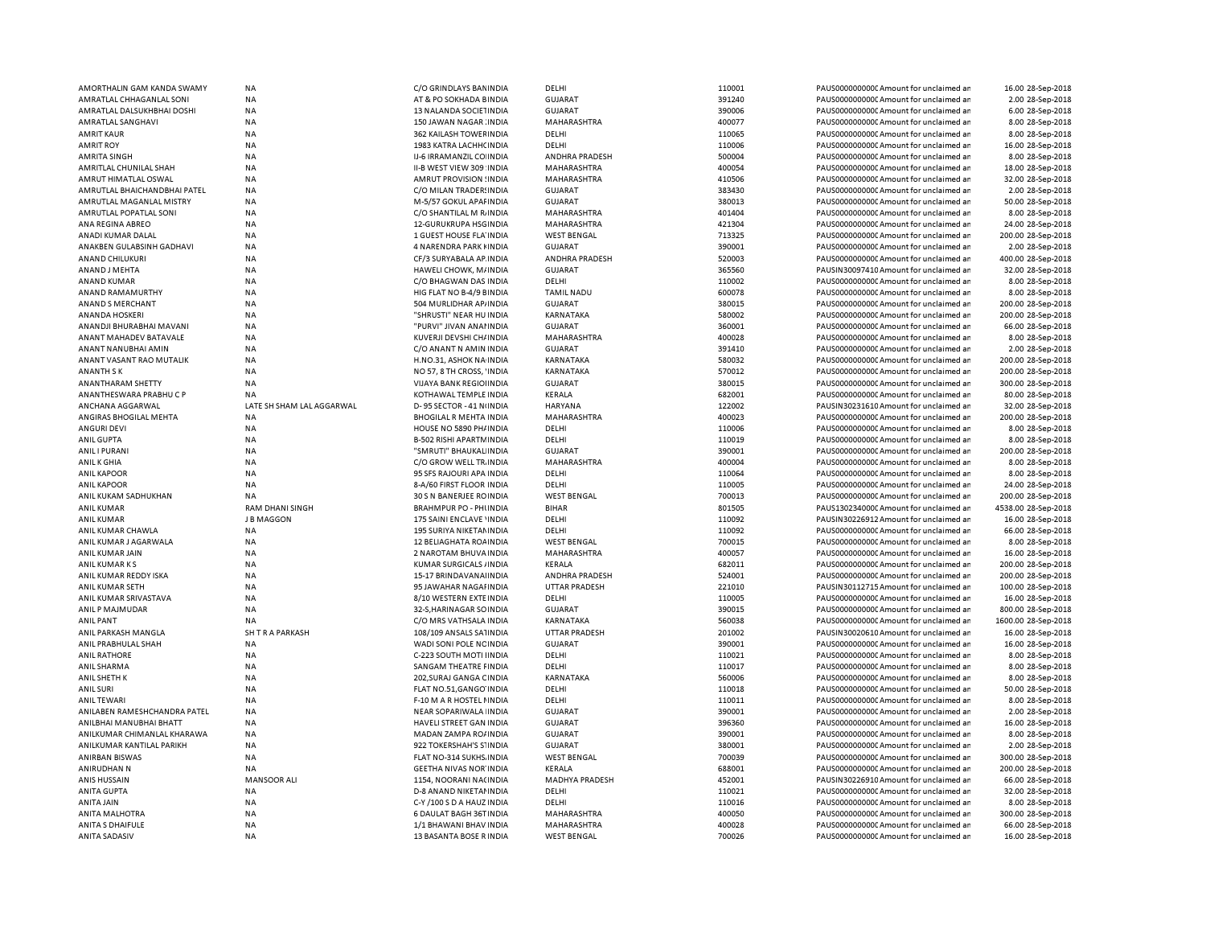|                                          | <b>NA</b>                    | C/O GRINDLAYS BANINDIA                            | DELHI                             | 110001           | PAUS0000000000 Amount for unclaimed ar                                           | 16.00 28-Sep-2018                      |
|------------------------------------------|------------------------------|---------------------------------------------------|-----------------------------------|------------------|----------------------------------------------------------------------------------|----------------------------------------|
| AMRATLAL CHHAGANLAL SONI                 | NA                           | AT & PO SOKHADA BINDIA                            | <b>GUJARAT</b>                    | 391240           | PAUS0000000000 Amount for unclaimed ar                                           | 2.00 28-Sep-2018                       |
| AMRATLAL DALSUKHBHAI DOSHI               | NA                           | 13 NALANDA SOCIETINDIA                            | <b>GUJARAT</b>                    | 390006           | PAUS0000000000 Amount for unclaimed ar                                           | 6.00 28-Sep-2018                       |
| AMRATLAL SANGHAVI                        | NA                           | 150 JAWAN NAGAR INDIA                             | MAHARASHTRA                       | 400077           | PAUS0000000000 Amount for unclaimed ar                                           | 8.00 28-Sep-2018                       |
| <b>AMRIT KAUR</b>                        | NA                           | 362 KAILASH TOWEF INDIA                           | DELHI                             | 110065           | PAUS0000000000 Amount for unclaimed ar                                           | 8.00 28-Sep-2018                       |
| <b>AMRIT ROY</b>                         | NA                           | 1983 KATRA LACHH( INDIA                           | DELHI                             | 110006           | PAUS0000000000 Amount for unclaimed ar                                           | 16.00 28-Sep-2018                      |
| <b>AMRITA SINGH</b>                      | NA                           | IJ-6 IRRAMANZIL CO INDIA                          | ANDHRA PRADESH                    | 500004           | PAUS0000000000 Amount for unclaimed ar                                           | 8.00 28-Sep-2018                       |
| AMRITLAL CHUNILAL SHAH                   | NA                           | II-B WEST VIEW 309 INDIA                          | MAHARASHTRA                       | 400054           | PAUS0000000000 Amount for unclaimed ar                                           | 18.00 28-Sep-2018                      |
| AMRUT HIMATLAL OSWAL                     | NA                           | AMRUT PROVISION : INDIA                           | MAHARASHTRA                       | 410506           | PAUS0000000000 Amount for unclaimed ar                                           | 32.00 28-Sep-2018                      |
| AMRUTLAL BHAICHANDBHAI PATEL             | NA                           | C/O MILAN TRADER! INDIA                           | <b>GUJARAT</b>                    | 383430           | PAUS0000000000 Amount for unclaimed ar                                           | 2.00 28-Sep-2018                       |
| AMRUTLAL MAGANLAL MISTRY                 | NA                           | M-5/57 GOKUL APAFINDIA                            | <b>GUJARAT</b>                    | 380013           | PAUS0000000000 Amount for unclaimed ar                                           | 50.00 28-Sep-2018                      |
| AMRUTLAL POPATLAL SONI                   | NA                           | C/O SHANTILAL M R. INDIA                          | MAHARASHTRA                       | 401404           | PAUS0000000000 Amount for unclaimed ar                                           | 8.00 28-Sep-2018                       |
| ANA REGINA ABREO                         | NA                           | 12-GURUKRUPA HSGINDIA                             | MAHARASHTRA                       | 421304           | PAUS0000000000 Amount for unclaimed ar                                           | 24.00 28-Sep-2018                      |
| ANADI KUMAR DALAL                        | <b>NA</b>                    | 1 GUEST HOUSE FLA INDIA                           | <b>WEST BENGAL</b>                | 713325           | PAUS0000000000 Amount for unclaimed ar                                           | 200.00 28-Sep-2018                     |
| ANAKBEN GULABSINH GADHAVI                | <b>NA</b>                    | 4 NARENDRA PARK I INDIA                           | <b>GUJARAT</b>                    | 390001           | PAUS0000000000 Amount for unclaimed ar                                           | 2.00 28-Sep-2018                       |
| <b>ANAND CHILUKURI</b>                   | NA                           | CF/3 SURYABALA AP INDIA                           | ANDHRA PRADESH                    | 520003           | PAUS0000000000CAmount for unclaimed an                                           | 400.00 28-Sep-2018                     |
|                                          | NA                           |                                                   | <b>GUJARAT</b>                    | 365560           |                                                                                  | 32.00 28-Sep-2018                      |
| ANAND J MEHTA                            | NA                           | HAWELI CHOWK, M/INDIA                             |                                   | 110002           | PAUSIN30097410 Amount for unclaimed ar                                           |                                        |
| <b>ANAND KUMAR</b>                       |                              | C/O BHAGWAN DAS INDIA                             | DELHI                             |                  | PAUS0000000000 Amount for unclaimed ar                                           | 8.00 28-Sep-2018                       |
| ANAND RAMAMURTHY                         | NA                           | HIG FLAT NO B-4/9 EINDIA                          | <b>TAMIL NADU</b>                 | 600078           | PAUS0000000000 Amount for unclaimed ar                                           | 8.00 28-Sep-2018                       |
| ANAND S MERCHANT                         | NA                           | 504 MURLIDHAR AP/INDIA                            | <b>GUJARAT</b>                    | 380015           | PAUS0000000000 Amount for unclaimed ar                                           | 200.00 28-Sep-2018                     |
| <b>ANANDA HOSKERI</b>                    | NA                           | "SHRUSTI" NEAR HU INDIA                           | KARNATAKA                         | 580002           | PAUS0000000000CAmount for unclaimed ar                                           | 200.00 28-Sep-2018                     |
| ANANDJI BHURABHAI MAVANI                 | <b>NA</b>                    | "PURVI" JIVAN ANAHNDIA                            | <b>GUJARAT</b>                    | 360001           | PAUS0000000000 Amount for unclaimed ar                                           | 66.00 28-Sep-2018                      |
| ANANT MAHADEV BATAVALE                   | <b>NA</b>                    | KUVERJI DEVSHI CH/ INDIA                          | MAHARASHTRA                       | 400028           | PAUS0000000000 Amount for unclaimed ar                                           | 8.00 28-Sep-2018                       |
| ANANT NANUBHAI AMIN                      | NA                           | C/O ANANT N AMIN INDIA                            | <b>GUJARAT</b>                    | 391410           | PAUS0000000000CAmount for unclaimed ar                                           | 2.00 28-Sep-2018                       |
| ANANT VASANT RAO MUTALIK                 | NA                           | H.NO.31, ASHOK NA INDIA                           | KARNATAKA                         | 580032           | PAUS0000000000 Amount for unclaimed ar                                           | 200.00 28-Sep-2018                     |
| <b>ANANTH SK</b>                         | <b>NA</b>                    | NO 57, 8 TH CROSS, 'INDIA                         | KARNATAKA                         | 570012           | PAUS0000000000CAmount for unclaimed ar                                           | 200.00 28-Sep-2018                     |
| ANANTHARAM SHETTY                        | <b>NA</b>                    | VIJAYA BANK REGIOI INDIA                          | <b>GUJARAT</b>                    | 380015           | PAUS0000000000CAmount for unclaimed ar                                           | 300.00 28-Sep-2018                     |
| ANANTHESWARA PRABHUCP                    | NA                           | KOTHAWAL TEMPLE INDIA                             | KERALA                            | 682001           | PAUS0000000000CAmount for unclaimed ar                                           | 80.00 28-Sep-2018                      |
| ANCHANA AGGARWAL                         | LATE<br>SH SHAM LAL AGGARWAL | D-95 SECTOR - 41 N INDIA                          | <b>HARYANA</b>                    | 122002           | PAUSIN30231610 Amount for unclaimed ar                                           | 32.00 28-Sep-2018                      |
| ANGIRAS BHOGILAL MEHTA                   | NA                           | <b>BHOGILAL R MEHTA INDIA</b>                     | MAHARASHTRA                       | 400023           | PAUS0000000000CAmount for unclaimed ar                                           | 200.00 28-Sep-2018                     |
| <b>ANGURI DEVI</b>                       | <b>NA</b>                    | HOUSE NO 5890 PH/ INDIA                           | DELHI                             | 110006           | PAUS0000000000 Amount for unclaimed ar                                           | 8.00 28-Sep-2018                       |
| ANIL GUPTA                               | NA                           | <b>B-502 RISHI APARTM INDIA</b>                   | DELHI                             | 110019           | PAUS0000000000CAmount for unclaimed ar                                           | 8.00 28-Sep-2018                       |
| <b>ANILI PURANI</b>                      | <b>NA</b>                    | "SMRUTI" BHAUKAL INDIA                            | <b>GUJARAT</b>                    | 390001           | PAUS0000000000 Amount for unclaimed ar                                           | 200.00 28-Sep-2018                     |
| ANIL K GHIA                              | NA                           | C/O GROW WELL TR. INDIA                           | MAHARASHTRA                       | 400004           | PAUS0000000000CAmount for unclaimed ar                                           | 8.00 28-Sep-2018                       |
|                                          |                              |                                                   |                                   |                  |                                                                                  |                                        |
| <b>ANIL KAPOOR</b>                       | <b>NA</b>                    | 95 SFS RAJOURI APA INDIA                          | DELHI                             | 110064           | PAUS0000000000 Amount for unclaimed ar                                           | 8.00 28-Sep-2018                       |
| <b>ANIL KAPOOR</b>                       | <b>NA</b>                    | 8-A/60 FIRST FLOOR INDIA                          | DELHI                             | 110005           | PAUS0000000000 Amount for unclaimed ar                                           | 24.00 28-Sep-2018                      |
|                                          |                              |                                                   |                                   |                  |                                                                                  |                                        |
| ANIL KUKAM SADHUKHAN                     | NA                           | 30 S N BANERJEE ROINDIA                           | <b>WEST BENGAL</b>                | 700013           | PAUS0000000000 Amount for unclaimed ar                                           | 200.00 28-Sep-2018                     |
| <b>ANIL KUMAR</b>                        | <b>RAM DHANI SINGH</b>       | <b>BRAHMPUR PO - PHI INDIA</b>                    | <b>BIHAR</b>                      | 801505           | PAUS1302340000 Amount for unclaimed ar                                           | 4538.00 28-Sep-2018                    |
| <b>ANIL KUMAR</b>                        | J B MAGGON                   | 175 SAINI ENCLAVE 'INDIA                          | DELHI                             | 110092           | PAUSIN30226912 Amount for unclaimed ar                                           | 16.00 28-Sep-2018                      |
| ANIL KUMAR CHAWLA                        | NA                           | 195 SURIYA NIKETAN INDIA                          | DELHI                             | 110092           | PAUS0000000000CAmount for unclaimed ar                                           | 66.00 28-Sep-2018                      |
| ANIL KUMAR J AGARWALA                    | NA                           | 12 BELIAGHATA ROA INDIA                           | <b>WEST BENGAL</b>                | 700015           | PAUS0000000000 Amount for unclaimed ar                                           | 8.00 28-Sep-2018                       |
| ANIL KUMAR JAIN                          | <b>NA</b>                    | 2 NAROTAM BHUVA INDIA                             | MAHARASHTRA                       | 400057           | PAUS0000000000 Amount for unclaimed ar                                           | 16.00 28-Sep-2018                      |
| ANIL KUMAR KS                            | NA                           | KUMAR SURGICALS / INDIA                           | KERALA                            | 682011           | PAUS0000000000 Amount for unclaimed ar                                           | 200.00 28-Sep-2018                     |
| ANIL KUMAR REDDY ISKA                    | <b>NA</b>                    | 15-17 BRINDAVANAI INDIA                           | <b>ANDHRA PRADESH</b>             | 524001           | PAUS0000000000CAmount for unclaimed an                                           | 200.00 28-Sep-2018                     |
| ANIL KUMAR SETH                          | NA                           | 95 JAWAHAR NAGAI INDIA                            | UTTAR PRADESH                     | 221010           | PAUSIN30112715 Amount for unclaimed ar                                           | 100.00 28-Sep-2018                     |
| ANIL KUMAR SRIVASTAVA                    | <b>NA</b>                    | 8/10 WESTERN EXTEINDIA                            | DELHI                             | 110005           | PAUS0000000000 Amount for unclaimed ar                                           | 16.00 28-Sep-2018                      |
| ANIL P MAJMUDAR                          | NA                           | 32-S, HARINAGAR SO INDIA                          | <b>GUJARAT</b>                    | 390015           | PAUS0000000000 Amount for unclaimed ar                                           | 800.00 28-Sep-2018                     |
| <b>ANIL PANT</b>                         | NA                           | C/O MRS VATHSALA INDIA                            | KARNATAKA                         | 560038           | PAUS0000000000 Amount for unclaimed ar                                           | 1600.00 28-Sep-2018                    |
| ANIL PARKASH MANGLA                      | SH T R A PARKASH             | 108/109 ANSALS SATINDIA                           | <b>UTTAR PRADESH</b>              | 201002           | PAUSIN30020610 Amount for unclaimed ar                                           | 16.00 28-Sep-2018                      |
| ANIL PRABHULAL SHAH                      | NA                           | WADI SONI POLE NC INDIA                           | <b>GUJARAT</b>                    | 390001           | PAUS0000000000 Amount for unclaimed ar                                           | 16.00 28-Sep-2018                      |
| <b>ANIL RATHORE</b>                      | NA                           | C-223 SOUTH MOTHINDIA                             | DELHI                             | 110021           | PAUS0000000000 Amount for unclaimed ar                                           | 8.00 28-Sep-2018                       |
| ANIL SHARMA                              | NA                           | SANGAM THEATRE FINDIA                             | DELHI                             | 110017           | PAUS0000000000 Amount for unclaimed ar                                           | 8.00 28-Sep-2018                       |
| ANIL SHETH K                             | NA                           | 202, SURAJ GANGA CINDIA                           | KARNATAKA                         | 560006           | PAUS0000000000 Amount for unclaimed ar                                           | 8.00 28-Sep-2018                       |
| <b>ANIL SURI</b>                         | NA                           | FLAT NO.51, GANGO INDIA                           | DELHI                             | 110018           | PAUS0000000000 Amount for unclaimed ar                                           | 50.00 28-Sep-2018                      |
| <b>ANIL TEWARI</b>                       | NA                           | F-10 M A R HOSTEL I INDIA                         | DELHI                             | 110011           | PAUS0000000000 Amount for unclaimed ar                                           | 8.00 28-Sep-2018                       |
| ANILABEN RAMESHCHANDRA PATEL             | NA                           | NEAR SOPARIWALA INDIA                             | <b>GUJARAT</b>                    | 390001           | PAUS0000000000 Amount for unclaimed ar                                           | 2.00 28-Sep-2018                       |
| ANILBHAI MANUBHAI BHATT                  | <b>NA</b>                    | HAVELI STREET GAN INDIA                           | <b>GUJARAT</b>                    | 396360           | PAUS0000000000 Amount for unclaimed ar                                           | 16.00 28-Sep-2018                      |
| ANILKUMAR CHIMANLAL KHARAWA              | NA                           | MADAN ZAMPA RO/ INDIA                             | <b>GUJARAT</b>                    | 390001           | PAUS0000000000 Amount for unclaimed ar                                           | 8.00 28-Sep-2018                       |
| ANILKUMAR KANTILAL PARIKH                | NA                           | 922 TOKERSHAH'S S'INDIA                           | <b>GUJARAT</b>                    | 380001           | PAUS0000000000 Amount for unclaimed ar                                           | 2.00 28-Sep-2018                       |
| <b>ANIRBAN BISWAS</b>                    | NA                           | FLAT NO-314 SUKHS. INDIA                          | <b>WEST BENGAL</b>                | 700039           | PAUS0000000000 Amount for unclaimed ar                                           | 300.00 28-Sep-2018                     |
| ANIRUDHAN N                              | NA                           | <b>GEETHA NIVAS NOR INDIA</b>                     | KERALA                            | 688001           | PAUS0000000000 Amount for unclaimed ar                                           | 200.00 28-Sep-2018                     |
| <b>ANIS HUSSAIN</b>                      | <b>MANSOOR ALI</b>           | 1154, NOORANI NACINDIA                            | MADHYA PRADESH                    | 452001           | PAUSIN30226910 Amount for unclaimed ar                                           | 66.00 28-Sep-2018                      |
| <b>ANITA GUPTA</b>                       | NA                           | D-8 ANAND NIKETAI INDIA                           | DELHI                             | 110021           | PAUS0000000000 Amount for unclaimed ar                                           | 32.00 28-Sep-2018                      |
| ANITA JAIN                               | NA                           | C-Y /100 S D A HAUZ INDIA                         | DELHI                             | 110016           | PAUS0000000000C Amount for unclaimed ar                                          | 8.00 28-Sep-2018                       |
| <b>ANITA MALHOTRA</b>                    | <b>NA</b>                    | 6 DAULAT BAGH 36T INDIA                           | MAHARASHTRA                       | 400050           | PAUS0000000000 Amount for unclaimed ar                                           | 300.00 28-Sep-2018                     |
| ANITA S DHAIFULE<br><b>ANITA SADASIV</b> | <b>NA</b><br><b>NA</b>       | 1/1 BHAWANI BHAV INDIA<br>13 BASANTA BOSE R INDIA | MAHARASHTRA<br><b>WEST BENGAL</b> | 400028<br>700026 | PAUS0000000000 Amount for unclaimed ar<br>PAUS0000000000 Amount for unclaimed ar | 66.00 28-Sep-2018<br>16.00 28-Sep-2018 |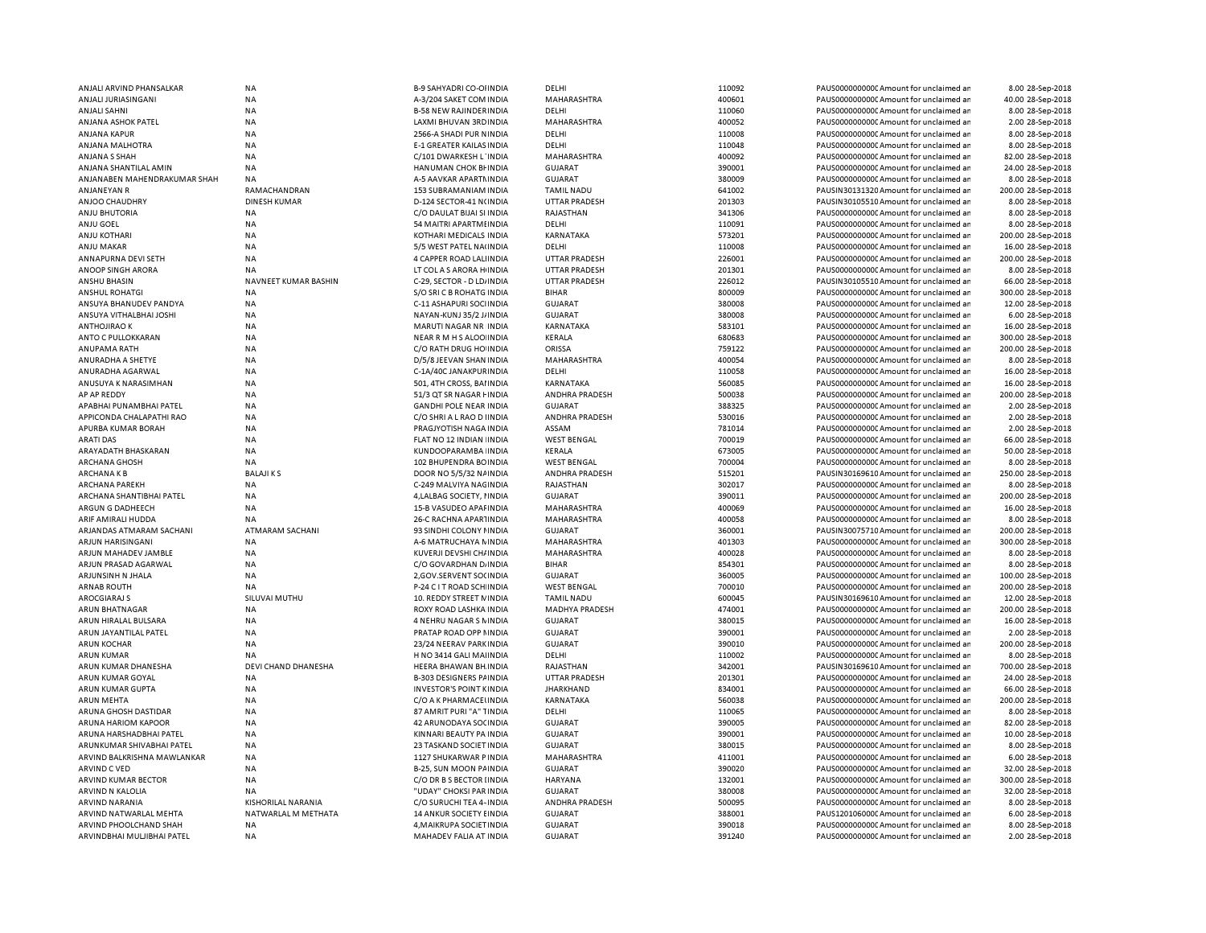| ANJALI ARVIND PHANSALKAR     | <b>NA</b>              | B-9 SAHYADRI CO-OI INDIA       | DELHI                 | 110092 | PAUS0000000000 Amount for unclaimed ar  | 8.00 28-Sep-2018   |
|------------------------------|------------------------|--------------------------------|-----------------------|--------|-----------------------------------------|--------------------|
| ANJALI JURIASINGANI          | <b>NA</b>              | A-3/204 SAKET COM INDIA        | MAHARASHTRA           | 400601 | PAUS0000000000CAmount for unclaimed an  | 40.00 28-Sep-2018  |
| ANJALI SAHNI                 | <b>NA</b>              | <b>B-58 NEW RAJINDER INDIA</b> | DELHI                 | 110060 | PAUS0000000000 Amount for unclaimed ar  | 8.00 28-Sep-2018   |
| ANJANA ASHOK PATEL           | NA                     | LAXMI BHUVAN 3RD INDIA         | MAHARASHTRA           | 400052 | PAUS0000000000 Amount for unclaimed ar  | 2.00 28-Sep-2018   |
| ANJANA KAPUR                 | <b>NA</b>              | 2566-A SHADI PUR NINDIA        | DELHI                 | 110008 | PAUS0000000000 Amount for unclaimed ar  | 8.00 28-Sep-2018   |
|                              | <b>NA</b>              |                                |                       | 110048 |                                         |                    |
| ANJANA MALHOTRA              |                        | E-1 GREATER KAILAS INDIA       | DELHI                 |        | PAUS0000000000CAmount for unclaimed ar  | 8.00 28-Sep-2018   |
| ANJANA S SHAH                | <b>NA</b>              | C/101 DWARKESH L'INDIA         | MAHARASHTRA           | 400092 | PAUS0000000000 Amount for unclaimed ar  | 82.00 28-Sep-2018  |
| ANJANA SHANTILAL AMIN        | <b>NA</b>              | HANUMAN CHOK BI INDIA          | <b>GUJARAT</b>        | 390001 | PAUS0000000000 Amount for unclaimed ar  | 24.00 28-Sep-2018  |
| ANJANABEN MAHENDRAKUMAR SHAH | <b>NA</b>              | A-5 AAVKAR APARTMINDIA         | <b>GUJARAT</b>        | 380009 | PAUS0000000000 Amount for unclaimed ar  | 8.00 28-Sep-2018   |
| ANJANEYAN R                  | RAMACHANDRAN           | 153 SUBRAMANIAM INDIA          | <b>TAMIL NADU</b>     | 641002 | PAUSIN30131320 Amount for unclaimed ar  | 200.00 28-Sep-2018 |
| ANJOO CHAUDHRY               | <b>DINESH KUMAR</b>    | D-124 SECTOR-41 N(INDIA        | UTTAR PRADESH         | 201303 | PAUSIN30105510 Amount for unclaimed ar  | 8.00 28-Sep-2018   |
| <b>ANJU BHUTORIA</b>         | <b>NA</b>              | C/O DAULAT BIJAI SI INDIA      | RAJASTHAN             | 341306 | PAUS0000000000CAmount for unclaimed ar  | 8.00 28-Sep-2018   |
|                              | <b>NA</b>              |                                | DELHI                 | 110091 | PAUS0000000000CAmount for unclaimed ar  | 8.00 28-Sep-2018   |
| ANJU GOEL                    |                        | 54 MAITRI APARTMI INDIA        |                       |        |                                         |                    |
| <b>ANJU KOTHARI</b>          | <b>NA</b>              | KOTHARI MEDICALS INDIA         | KARNATAKA             | 573201 | PAUS0000000000 Amount for unclaimed ar  | 200.00 28-Sep-2018 |
| ANJU MAKAR                   | <b>NA</b>              | 5/5 WEST PATEL NA(INDIA        | DELHI                 | 110008 | PAUS0000000000CAmount for unclaimed ar  | 16.00 28-Sep-2018  |
| ANNAPURNA DEVI SETH          | <b>NA</b>              | 4 CAPPER ROAD LALINDIA         | <b>UTTAR PRADESH</b>  | 226001 | PAUS0000000000CAmount for unclaimed ar  | 200.00 28-Sep-2018 |
| ANOOP SINGH ARORA            | NA                     | LT COL A S ARORA H INDIA       | <b>UTTAR PRADESH</b>  | 201301 | PAUS0000000000CAmount for unclaimed ar  | 8.00 28-Sep-2018   |
| ANSHU BHASIN                 | NAVNEET KUMAR BASHIN   | C-29, SECTOR - D LD/ INDIA     | <b>UTTAR PRADESH</b>  | 226012 | PAUSIN30105510 Amount for unclaimed ar  | 66.00 28-Sep-2018  |
| <b>ANSHUL ROHATGI</b>        | <b>NA</b>              | S/O SRI C B ROHATG INDIA       | <b>BIHAR</b>          | 800009 | PAUS0000000000CAmount for unclaimed ar  | 300.00 28-Sep-2018 |
| ANSUYA BHANUDEV PANDYA       | <b>NA</b>              | C-11 ASHAPURI SOCIINDIA        | <b>GUJARAT</b>        | 380008 | PAUS0000000000CAmount for unclaimed ar  | 12.00 28-Sep-2018  |
|                              |                        |                                |                       | 380008 | PAUS0000000000 Amount for unclaimed ar  |                    |
| ANSUYA VITHALBHAI JOSHI      | <b>NA</b>              | NAYAN-KUNJ 35/2 J/ INDIA       | <b>GUJARAT</b>        |        |                                         | 6.00 28-Sep-2018   |
| <b>ANTHOJIRAO K</b>          | <b>NA</b>              | MARUTI NAGAR NR INDIA          | KARNATAKA             | 583101 | PAUS0000000000Amount for unclaimed ar   | 16.00 28-Sep-2018  |
| ANTO C PULLOKKARAN           | <b>NA</b>              | NEAR R M H S ALOO INDIA        | KERALA                | 680683 | PAUS0000000000 Amount for unclaimed ar  | 300.00 28-Sep-2018 |
| ANUPAMA RATH                 | <b>NA</b>              | C/O RATH DRUG HO INDIA         | ORISSA                | 759122 | PAUS0000000000 Amount for unclaimed ar  | 200.00 28-Sep-2018 |
| ANURADHA A SHETYE            | <b>NA</b>              | D/5/8 JEEVAN SHAN INDIA        | MAHARASHTRA           | 400054 | PAUS0000000000 Amount for unclaimed ar  | 8.00 28-Sep-2018   |
| ANURADHA AGARWAL             | <b>NA</b>              | C-1A/40C JANAKPUR INDIA        | DELHI                 | 110058 | PAUS0000000000 Amount for unclaimed ar  | 16.00 28-Sep-2018  |
| ANUSUYA K NARASIMHAN         | <b>NA</b>              | 501, 4TH CROSS, BAI INDIA      | <b>KARNATAKA</b>      | 560085 | PAUS00000000000Amount for unclaimed ar  | 16.00 28-Sep-2018  |
|                              |                        |                                |                       |        |                                         |                    |
| AP AP REDDY                  | <b>NA</b>              | 51/3 QT SR NAGAR FINDIA        | ANDHRA PRADESH        | 500038 | PAUS0000000000 Amount for unclaimed ar  | 200.00 28-Sep-2018 |
| APABHAI PUNAMBHAI PATEL      | <b>NA</b>              | <b>GANDHI POLE NEAR INDIA</b>  | <b>GUJARAT</b>        | 388325 | PAUS0000000000 Amount for unclaimed ar  | 2.00 28-Sep-2018   |
| APPICONDA CHALAPATHI RAO     | NA                     | C/O SHRI A L RAO D I INDIA     | ANDHRA PRADESH        | 530016 | PAUS0000000000 Amount for unclaimed ar  | 2.00 28-Sep-2018   |
| APURBA KUMAR BORAH           | <b>NA</b>              | PRAGJYOTISH NAGA INDIA         | ASSAM                 | 781014 | PAUS0000000000 Amount for unclaimed ar  | 2.00 28-Sep-2018   |
| <b>ARATI DAS</b>             | <b>NA</b>              | FLAT NO 12 INDIAN INDIA        | <b>WEST BENGAL</b>    | 700019 | PAUS0000000000CAmount for unclaimed ar  | 66.00 28-Sep-2018  |
| ARAYADATH BHASKARAN          | <b>NA</b>              | KUNDOOPARAMBA INDIA            | KERALA                | 673005 | PAUS0000000000CAmount for unclaimed ar  | 50.00 28-Sep-2018  |
| ARCHANA GHOSH                | NA                     | 102 BHUPENDRA BOINDIA          | <b>WEST BENGAL</b>    | 700004 | PAUS0000000000C Amount for unclaimed ar | 8.00 28-Sep-2018   |
| ARCHANA K B                  | <b>BALAJIKS</b>        | DOOR NO 5/5/32 NAINDIA         | ANDHRA PRADESH        | 515201 | PAUSIN30169610 Amount for unclaimed ar  | 250.00 28-Sep-2018 |
|                              |                        |                                |                       |        |                                         |                    |
| ARCHANA PAREKH               | <b>NA</b>              | C-249 MALVIYA NAGINDIA         | RAJASTHAN             | 302017 | PAUS0000000000 Amount for unclaimed ar  | 8.00 28-Sep-2018   |
| ARCHANA SHANTIBHAI PATEL     | <b>NA</b>              | 4, LALBAG SOCIETY, I INDIA     | <b>GUJARAT</b>        | 390011 | PAUS0000000000 Amount for unclaimed ar  | 200.00 28-Sep-2018 |
| ARGUN G DADHEECH             | NA                     | 15-B VASUDEO APAFINDIA         | MAHARASHTRA           | 400069 | PAUS00000000000Amount for unclaimed ar  | 16.00 28-Sep-2018  |
| ARIF AMIRALI HUDDA           | <b>NA</b>              | 26-C RACHNA APARTINDIA         | MAHARASHTRA           | 400058 | PAUS0000000000 Amount for unclaimed ar  | 8.00 28-Sep-2018   |
| ARJANDAS ATMARAM SACHANI     | <b>ATMARAM SACHANI</b> | 93 SINDHI COLONY I INDIA       | <b>GUJARAT</b>        | 360001 | PAUSIN30075710 Amount for unclaimed ar  | 200.00 28-Sep-2018 |
| ARJUN HARISINGANI            | <b>NA</b>              | A-6 MATRUCHAYA N INDIA         | MAHARASHTRA           | 401303 | PAUS0000000000 Amount for unclaimed ar  | 300.00 28-Sep-2018 |
| ARJUN MAHADEV JAMBLE         | <b>NA</b>              | KUVERJI DEVSHI CH/ INDIA       | MAHARASHTRA           | 400028 | PAUS0000000000 Amount for unclaimed ar  | 8.00 28-Sep-2018   |
| ARJUN PRASAD AGARWAL         | <b>NA</b>              |                                | <b>BIHAR</b>          | 854301 |                                         | 8.00 28-Sep-2018   |
|                              |                        | C/O GOVARDHAN D/ INDIA         |                       |        | PAUS0000000000C Amount for unclaimed ar |                    |
| ARJUNSINH N JHALA            | <b>NA</b>              | 2, GOV.SERVENT SO( INDIA       | <b>GUJARAT</b>        | 360005 | PAUS0000000000 Amount for unclaimed ar  | 100.00 28-Sep-2018 |
| <b>ARNAB ROUTH</b>           | NA                     | P-24 C I T ROAD SCH INDIA      | <b>WEST BENGAL</b>    | 700010 | PAUS0000000000CAmount for unclaimed ar  | 200.00 28-Sep-2018 |
| <b>AROCGIARAJ S</b>          | SILUVAI MUTHU          | 10. REDDY STREET N INDIA       | <b>TAMIL NADU</b>     | 600045 | PAUSIN30169610 Amount for unclaimed ar  | 12.00 28-Sep-2018  |
| ARUN BHATNAGAR               | <b>NA</b>              | ROXY ROAD LASHKA INDIA         | <b>MADHYA PRADESH</b> | 474001 | PAUS0000000000CAmount for unclaimed ar  | 200.00 28-Sep-2018 |
| ARUN HIRALAL BULSARA         | <b>NA</b>              | 4 NEHRU NAGAR S N INDIA        | <b>GUJARAT</b>        | 380015 | PAUS0000000000 Amount for unclaimed ar  | 16.00 28-Sep-2018  |
| ARUN JAYANTILAL PATEL        | <b>NA</b>              | PRATAP ROAD OPP NINDIA         | <b>GUJARAT</b>        | 390001 | PAUS0000000000CAmount for unclaimed ar  | 2.00 28-Sep-2018   |
| <b>ARUN KOCHAR</b>           | <b>NA</b>              | 23/24 NEERAV PARK INDIA        | <b>GUJARAT</b>        | 390010 | PAUS0000000000CAmount for unclaimed ar  | 200.00 28-Sep-2018 |
| ARUN KUMAR                   | <b>NA</b>              | H NO 3414 GALI MAI INDIA       | DELHI                 | 110002 | PAUS0000000000CAmount for unclaimed ar  | 8.00 28-Sep-2018   |
|                              |                        |                                |                       |        |                                         |                    |
| ARUN KUMAR DHANESHA          | DEVI CHAND DHANESHA    | HEERA BHAWAN BH INDIA          | RAJASTHAN             | 342001 | PAUSIN30169610 Amount for unclaimed ar  | 700.00 28-Sep-2018 |
| ARUN KUMAR GOYAL             | <b>NA</b>              | <b>B-303 DESIGNERS PAINDIA</b> | <b>UTTAR PRADESH</b>  | 201301 | PAUS0000000000CAmount for unclaimed ar  | 24.00 28-Sep-2018  |
| ARUN KUMAR GUPTA             | <b>NA</b>              | <b>INVESTOR'S POINT KINDIA</b> | <b>JHARKHAND</b>      | 834001 | PAUS0000000000CAmount for unclaimed ar  | 66.00 28-Sep-2018  |
| ARUN MEHTA                   | <b>NA</b>              | C/O A K PHARMACELINDIA         | <b>KARNATAKA</b>      | 560038 | PAUS0000000000 Amount for unclaimed ar  | 200.00 28-Sep-2018 |
| ARUNA GHOSH DASTIDAR         | <b>NA</b>              | 87 AMRIT PURI "A" TINDIA       | DELHI                 | 110065 | PAUS0000000000 Amount for unclaimed ar  | 8.00 28-Sep-2018   |
| <b>ARUNA HARIOM KAPOOR</b>   | <b>NA</b>              | 42 ARUNODAYA SOCINDIA          | <b>GUJARAT</b>        | 390005 | PAUS0000000000 Amount for unclaimed ar  | 82.00 28-Sep-2018  |
| ARUNA HARSHADBHAI PATEL      | <b>NA</b>              | KINNARI BEAUTY PA INDIA        | <b>GUJARAT</b>        | 390001 | PAUS0000000000 Amount for unclaimed ar  | 10.00 28-Sep-2018  |
| ARUNKUMAR SHIVABHAI PATEL    | <b>NA</b>              | 23 TASKAND SOCIET INDIA        | <b>GUJARAT</b>        | 380015 | PAUS0000000000 Amount for unclaimed ar  |                    |
|                              |                        |                                |                       |        |                                         | 8.00 28-Sep-2018   |
| ARVIND BALKRISHNA MAWLANKAR  | <b>NA</b>              | 1127 SHUKARWAR P INDIA         | MAHARASHTRA           | 411001 | PAUS0000000000 Amount for unclaimed ar  | 6.00 28-Sep-2018   |
| ARVIND C VED                 | <b>NA</b>              | B-25, SUN MOON PAINDIA         | <b>GUJARAT</b>        | 390020 | PAUS0000000000 Amount for unclaimed ar  | 32.00 28-Sep-2018  |
| ARVIND KUMAR BECTOR          | <b>NA</b>              | C/O DR B S BECTOR I INDIA      | HARYANA               | 132001 | PAUS00000000000Amount for unclaimed ar  | 300.00 28-Sep-2018 |
| ARVIND N KALOLIA             | <b>NA</b>              | "UDAY" CHOKSI PAR INDIA        | <b>GUJARAT</b>        | 380008 | PAUS0000000000 Amount for unclaimed ar  | 32.00 28-Sep-2018  |
| ARVIND NARANIA               | KISHORILAL NARANIA     | C/O SURUCHI TEA 4- INDIA       | ANDHRA PRADESH        | 500095 | PAUS0000000000C Amount for unclaimed ar | 8.00 28-Sep-2018   |
| ARVIND NATWARLAL MEHTA       | NATWARLAL M METHATA    | 14 ANKUR SOCIETY EINDIA        | <b>GUJARAT</b>        | 388001 | PAUS1201060000 Amount for unclaimed ar  | 6.00 28-Sep-2018   |
|                              |                        |                                |                       | 390018 |                                         |                    |
| ARVIND PHOOLCHAND SHAH       | <b>NA</b>              | 4, MAIKRUPA SOCIET IN DIA      | <b>GUJARAT</b>        |        | PAUS0000000000CAmount for unclaimed ar  | 8.00 28-Sep-2018   |
| ARVINDBHAI MULJIBHAI PATEL   | NA                     | MAHADEV FALIA AT INDIA         | <b>GUJARAT</b>        | 391240 | PAUS0000000000 Amount for unclaimed ar  | 2.00 28-Sep-2018   |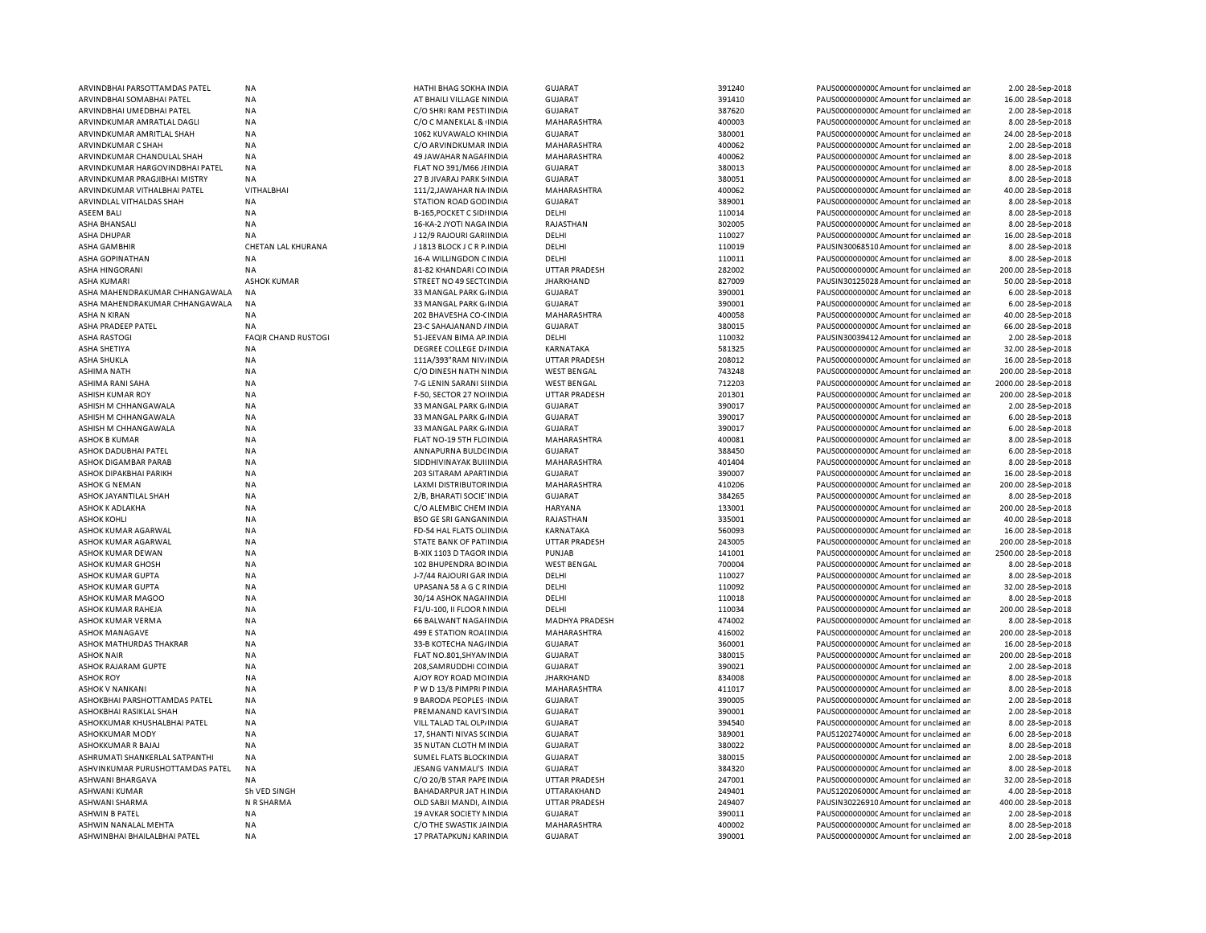| ARVINDBHAI PARSOTTAMDAS PATEL          | <b>NA</b>                  | HATHI BHAG SOKHA INDIA                            | <b>GUJARAT</b>        | 391240           | PAUS0000000000 Amount for unclaimed ar                                           | 2.00 28-Sep-2018    |
|----------------------------------------|----------------------------|---------------------------------------------------|-----------------------|------------------|----------------------------------------------------------------------------------|---------------------|
| ARVINDBHAI SOMABHAI PATEL              | <b>NA</b>                  | AT BHAILI VILLAGE NINDIA                          | <b>GUJARAT</b>        | 391410           | PAUS0000000000C Amount for unclaimed ar                                          | 16.00 28-Sep-2018   |
| ARVINDBHAI UMEDBHAI PATEL              | <b>NA</b>                  | C/O SHRI RAM PESTI INDIA                          | <b>GUJARAT</b>        | 387620           | PAUS0000000000 Amount for unclaimed ar                                           | 2.00 28-Sep-2018    |
| ARVINDKUMAR AMRATLAL DAGLI             | NA                         | C/O C MANEKLAL & INDIA                            | MAHARASHTRA           | 400003           | PAUS0000000000 Amount for unclaimed ar                                           | 8.00 28-Sep-2018    |
| ARVINDKUMAR AMRITLAL SHAH              | <b>NA</b>                  | 1062 KUVAWALO KHINDIA                             | <b>GUJARAT</b>        | 380001           | PAUS0000000000 Amount for unclaimed ar                                           | 24.00 28-Sep-2018   |
| <b>ARVINDKUMAR C SHAH</b>              | <b>NA</b>                  | C/O ARVINDKUMAR INDIA                             | MAHARASHTRA           | 400062           | PAUS0000000000 Amount for unclaimed ar                                           | 2.00 28-Sep-2018    |
| ARVINDKUMAR CHANDULAL SHAH             | <b>NA</b>                  | 49 JAWAHAR NAGAI INDIA                            | MAHARASHTRA           | 400062           | PAUS0000000000 Amount for unclaimed ar                                           | 8.00 28-Sep-2018    |
| ARVINDKUMAR HARGOVINDBHAI PATEL        | <b>NA</b>                  | FLAT NO 391/M66 JI INDIA                          | GUJARAT               | 380013           | PAUS0000000000 Amount for unclaimed ar                                           | 8.00 28-Sep-2018    |
| ARVINDKUMAR PRAGJIBHAI MISTRY          | <b>NA</b>                  | 27 B JIVARAJ PARK S INDIA                         | <b>GUJARAT</b>        | 380051           | PAUS0000000000 Amount for unclaimed ar                                           | 8.00 28-Sep-2018    |
| ARVINDKUMAR VITHALBHAI PATEL           | <b>VITHALBHAI</b>          | 111/2, JAWAHAR NA INDIA                           | MAHARASHTRA           | 400062           | PAUS0000000000 Amount for unclaimed ar                                           | 40.00 28-Sep-2018   |
| ARVINDLAL VITHALDAS SHAH               | <b>NA</b>                  | STATION ROAD GOD INDIA                            | GUJARAT               | 389001           | PAUS0000000000 Amount for unclaimed ar                                           | 8.00 28-Sep-2018    |
| ASEEM BALI                             | <b>NA</b>                  | <b>B-165, POCKET C SIDIINDIA</b>                  | DELHI                 | 110014           | PAUS0000000000 Amount for unclaimed ar                                           | 8.00 28-Sep-2018    |
| ASHA BHANSALI                          | <b>NA</b>                  | 16-KA-2 JYOTI NAGA INDIA                          | RAJASTHAN             | 302005           | PAUS0000000000CAmount for unclaimed ar                                           | 8.00 28-Sep-2018    |
| ASHA DHUPAR                            | <b>NA</b>                  | J 12/9 RAJOURI GARI INDIA                         | DELHI                 | 110027           | PAUS0000000000 Amount for unclaimed ar                                           | 16.00 28-Sep-2018   |
| ASHA GAMBHIR                           | CHETAN LAL KHURANA         | J 1813 BLOCK J C R P. INDIA                       | DELHI                 | 110019           | PAUSIN30068510 Amount for unclaimed ar                                           | 8.00 28-Sep-2018    |
| ASHA GOPINATHAN                        | <b>NA</b>                  | 16-A WILLINGDON CINDIA                            | DELHI                 | 110011           | PAUS0000000000 Amount for unclaimed ar                                           | 8.00 28-Sep-2018    |
| <b>ASHA HINGORANI</b>                  | NA                         | 81-82 KHANDARI CO INDIA                           | <b>UTTAR PRADESH</b>  | 282002           | PAUS0000000000CAmount for unclaimed ar                                           | 200.00 28-Sep-2018  |
| <b>ASHA KUMAR</b>                      | <b>ASHOK KUMAR</b>         | STREET NO 49 SECT(INDIA                           | <b>JHARKHAND</b>      | 827009           | PAUSIN30125028 Amount for unclaimed ar                                           | 50.00 28-Sep-2018   |
| ASHA MAHENDRAKUMAR CHHANGAWALA         | NA                         | 33 MANGAL PARK G. INDIA                           | <b>GUJARAT</b>        | 390001           | PAUS0000000000 Amount for unclaimed ar                                           | 6.00 28-Sep-2018    |
| ASHA MAHENDRAKUMAR CHHANGAWALA         | <b>NA</b>                  | 33 MANGAL PARK G. INDIA                           | <b>GUJARAT</b>        | 390001           | PAUS0000000000 Amount for unclaimed ar                                           | 6.00 28-Sep-2018    |
| <b>ASHA N KIRAN</b>                    | <b>NA</b>                  | 202 BHAVESHA CO-CINDIA                            | <b>MAHARASHTRA</b>    | 400058           | PAUS0000000000 Amount for unclaimed ar                                           | 40.00 28-Sep-2018   |
| ASHA PRADEEP PATEL                     | <b>NA</b>                  | 23-C SAHAJANAND / INDIA                           | <b>GUJARAT</b>        | 380015           | PAUS0000000000 Amount for unclaimed ar                                           | 66.00 28-Sep-2018   |
| <b>ASHA RASTOGI</b>                    | <b>FAQIR CHAND RUSTOGI</b> | 51-JEEVAN BIMA AP INDIA                           | DELHI                 | 110032           | PAUSIN30039412 Amount for unclaimed ar                                           | 2.00 28-Sep-2018    |
| ASHA SHETIYA                           | <b>NA</b>                  | DEGREE COLLEGE D/ INDIA                           | KARNATAKA             | 581325           | PAUS0000000000 Amount for unclaimed ar                                           | 32.00 28-Sep-2018   |
| ASHA SHUKLA                            | <b>NA</b>                  | 111A/393"RAM NIV/INDIA                            | <b>UTTAR PRADESH</b>  | 208012           | PAUS0000000000 Amount for unclaimed ar                                           | 16.00 28-Sep-2018   |
| ASHIMA NATH                            | <b>NA</b>                  | C/O DINESH NATH NINDIA                            | <b>WEST BENGAL</b>    | 743248           | PAUS0000000000 Amount for unclaimed ar                                           | 200.00 28-Sep-2018  |
| ASHIMA RANI SAHA                       | <b>NA</b>                  | 7-G LENIN SARANI SHNDIA                           | <b>WEST BENGAL</b>    | 712203           | PAUS0000000000CAmount for unclaimed ar                                           | 2000.00 28-Sep-2018 |
| ASHISH KUMAR ROY                       | <b>NA</b>                  | F-50, SECTOR 27 NO INDIA                          | <b>UTTAR PRADESH</b>  | 201301           | PAUS0000000000 Amount for unclaimed ar                                           | 200.00 28-Sep-2018  |
| ASHISH M CHHANGAWALA                   | <b>NA</b>                  | 33 MANGAL PARK G/INDIA                            | <b>GUJARAT</b>        | 390017           | PAUS0000000000 Amount for unclaimed ar                                           | 2.00 28-Sep-2018    |
| ASHISH M CHHANGAWALA                   | <b>NA</b>                  | 33 MANGAL PARK G/ INDIA                           | <b>GUJARAT</b>        | 390017           | PAUS0000000000 Amount for unclaimed ar                                           | 6.00 28-Sep-2018    |
| ASHISH M CHHANGAWALA                   | <b>NA</b>                  | 33 MANGAL PARK G. INDIA                           | <b>GUJARAT</b>        | 390017           | PAUS0000000000 Amount for unclaimed ar                                           | 6.00 28-Sep-2018    |
| <b>ASHOK B KUMAR</b>                   | <b>NA</b>                  | FLAT NO-19 5TH FLC INDIA                          | MAHARASHTRA           | 400081           | PAUS0000000000CAmount for unclaimed ar                                           | 8.00 28-Sep-2018    |
| ASHOK DADUBHAI PATEL                   | <b>NA</b>                  | ANNAPURNA BULDC INDIA                             | <b>GUJARAT</b>        | 388450           | PAUS0000000000 Amount for unclaimed ar                                           | 6.00 28-Sep-2018    |
| ASHOK DIGAMBAR PARAB                   | NA                         | SIDDHIVINAYAK BUIHNDIA                            | MAHARASHTRA           | 401404           | PAUS0000000000CAmount for unclaimed ar                                           | 8.00 28-Sep-2018    |
| ASHOK DIPAKBHAI PARIKH                 | <b>NA</b>                  | 203 SITARAM APARTINDIA                            | <b>GUJARAT</b>        | 390007           | PAUS0000000000 Amount for unclaimed ar                                           | 16.00 28-Sep-2018   |
| ASHOK G NEMAN                          | <b>NA</b>                  | LAXMI DISTRIBUTOR INDIA                           | MAHARASHTRA           | 410206           | PAUS0000000000 Amount for unclaimed ar                                           | 200.00 28-Sep-2018  |
| ASHOK JAYANTILAL SHAH                  | <b>NA</b>                  | 2/B, BHARATI SOCIE INDIA                          | <b>GUJARAT</b>        | 384265           | PAUS0000000000 Amount for unclaimed ar                                           | 8.00 28-Sep-2018    |
| ASHOK K ADLAKHA                        | <b>NA</b>                  | C/O ALEMBIC CHEM INDIA                            | HARYANA               | 133001           | PAUS0000000000 Amount for unclaimed ar                                           | 200.00 28-Sep-2018  |
| <b>ASHOK KOHLI</b>                     | <b>NA</b>                  | <b>BSO GE SRI GANGAN INDIA</b>                    | RAJASTHAN             | 335001           | PAUS0000000000 Amount for unclaimed ar                                           | 40.00 28-Sep-2018   |
| ASHOK KUMAR AGARWAL                    | <b>NA</b>                  | FD-54 HAL FLATS OLI INDIA                         | KARNATAKA             | 560093           | PAUS0000000000CAmount for unclaimed ar                                           | 16.00 28-Sep-2018   |
| ASHOK KUMAR AGARWAL                    | <b>NA</b>                  | STATE BANK OF PAT INDIA                           | <b>UTTAR PRADESH</b>  | 243005           | PAUS00000000000Amount for unclaimed ar                                           | 200.00 28-Sep-2018  |
| ASHOK KUMAR DEWAN                      | <b>NA</b>                  | B-XIX 1103 D TAGOR INDIA                          | PUNJAB                | 141001           | PAUS0000000000CAmount for unclaimed ar                                           | 2500.00 28-Sep-2018 |
|                                        | <b>NA</b>                  |                                                   | <b>WEST BENGAL</b>    | 700004           |                                                                                  | 8.00 28-Sep-2018    |
| ASHOK KUMAR GHOSH<br>ASHOK KUMAR GUPTA | <b>NA</b>                  | 102 BHUPENDRA BOINDIA<br>J-7/44 RAJOURI GAR INDIA | DELHI                 | 110027           | PAUS0000000000CAmount for unclaimed ar<br>PAUS0000000000 Amount for unclaimed ar |                     |
|                                        |                            |                                                   |                       |                  |                                                                                  | 8.00 28-Sep-2018    |
| ASHOK KUMAR GUPTA                      | <b>NA</b>                  | UPASANA 58 A G C RINDIA                           | DELHI                 | 110092           | PAUS0000000000CAmount for unclaimed ar                                           | 32.00 28-Sep-2018   |
| <b>ASHOK KUMAR MAGOO</b>               | <b>NA</b>                  | 30/14 ASHOK NAGAHNDIA                             | DELHI                 | 110018           | PAUS0000000000 Amount for unclaimed ar                                           | 8.00 28-Sep-2018    |
| ASHOK KUMAR RAHEJA                     | <b>NA</b>                  | F1/U-100, II FLOOR NINDIA                         | DELHI                 | 110034           | PAUS0000000000CAmount for unclaimed ar                                           | 200.00 28-Sep-2018  |
| ASHOK KUMAR VERMA                      | <b>NA</b>                  | 66 BALWANT NAGAHNDIA                              | <b>MADHYA PRADESH</b> | 474002<br>416002 | PAUS0000000000 Amount for unclaimed ar                                           | 8.00 28-Sep-2018    |
| ASHOK MANAGAVE                         | <b>NA</b>                  | 499 E STATION ROALINDIA                           | MAHARASHTRA           |                  | PAUS0000000000 Amount for unclaimed ar                                           | 200.00 28-Sep-2018  |
| ASHOK MATHURDAS THAKRAR                | <b>NA</b>                  | 33-B KOTECHA NAG/INDIA                            | <b>GUJARAT</b>        | 360001           | PAUS0000000000 Amount for unclaimed ar                                           | 16.00 28-Sep-2018   |
| <b>ASHOK NAIR</b>                      | <b>NA</b>                  | FLAT NO.801, SHYAN INDIA                          | <b>GUJARAT</b>        | 380015           | PAUS0000000000 Amount for unclaimed ar                                           | 200.00 28-Sep-2018  |
| ASHOK RAJARAM GUPTE                    | <b>NA</b>                  | 208, SAMRUDDHI CC INDIA                           | <b>GUJARAT</b>        | 390021           | PAUS0000000000 Amount for unclaimed ar                                           | 2.00 28-Sep-2018    |
| <b>ASHOK ROY</b>                       | <b>NA</b>                  | AJOY ROY ROAD MC INDIA                            | <b>JHARKHAND</b>      | 834008           | PAUS0000000000 Amount for unclaimed ar                                           | 8.00 28-Sep-2018    |
| ASHOK V NANKANI                        | <b>NA</b>                  | P W D 13/8 PIMPRI PINDIA                          | MAHARASHTRA           | 411017           | PAUS0000000000 Amount for unclaimed ar                                           | 8.00 28-Sep-2018    |
| ASHOKBHAI PARSHOTTAMDAS PATEL          | <b>NA</b>                  | 9 BARODA PEOPLES INDIA                            | <b>GUJARAT</b>        | 390005           | PAUS0000000000 Amount for unclaimed ar                                           | 2.00 28-Sep-2018    |
| ASHOKBHAI RASIKLAL SHAH                | <b>NA</b>                  | PREMANAND KAVI'S INDIA                            | <b>GUJARAT</b>        | 390001           | PAUS0000000000 Amount for unclaimed ar                                           | 2.00 28-Sep-2018    |
| ASHOKKUMAR KHUSHALBHAI PATEL           | <b>NA</b>                  | VILL TALAD TAL OLP/INDIA                          | <b>GUJARAT</b>        | 394540           | PAUS0000000000CAmount for unclaimed an                                           | 8.00 28-Sep-2018    |
| ASHOKKUMAR MODY                        | <b>NA</b>                  | 17, SHANTI NIVAS SCINDIA                          | <b>GUJARAT</b>        | 389001           | PAUS1202740000 Amount for unclaimed ar                                           | 6.00 28-Sep-2018    |
| ASHOKKUMAR R BAJAJ                     | <b>NA</b>                  | 35 NUTAN CLOTH M INDIA                            | <b>GUJARAT</b>        | 380022           | PAUS0000000000 Amount for unclaimed ar                                           | 8.00 28-Sep-2018    |
| ASHRUMATI SHANKERLAL SATPANTHI         | <b>NA</b>                  | SUMEL FLATS BLOCK INDIA                           | <b>GUJARAT</b>        | 380015           | PAUS0000000000 Amount for unclaimed ar                                           | 2.00 28-Sep-2018    |
| ASHVINKUMAR PURUSHOTTAMDAS PATEL       | <b>NA</b>                  | JESANG VANMALI'S INDIA                            | <b>GUJARAT</b>        | 384320           | PAUS0000000000 Amount for unclaimed ar                                           | 8.00 28-Sep-2018    |
| ASHWANI BHARGAVA                       | <b>NA</b>                  | C/O 20/B STAR PAPE INDIA                          | <b>UTTAR PRADESH</b>  | 247001           | PAUS0000000000 Amount for unclaimed ar                                           | 32.00 28-Sep-2018   |
| ASHWANI KUMAR                          | Sh VED SINGH               | BAHADARPUR JAT H. INDIA                           | UTTARAKHAND           | 249401           | PAUS1202060000 Amount for unclaimed ar                                           | 4.00 28-Sep-2018    |
| ASHWANI SHARMA                         | N R SHARMA                 | OLD SABJI MANDI, A INDIA                          | <b>UTTAR PRADESH</b>  | 249407           | PAUSIN30226910 Amount for unclaimed ar                                           | 400.00 28-Sep-2018  |
| <b>ASHWIN B PATEL</b>                  | <b>NA</b>                  | 19 AVKAR SOCIETY NINDIA                           | <b>GUJARAT</b>        | 390011           | PAUS0000000000 Amount for unclaimed ar                                           | 2.00 28-Sep-2018    |
| ASHWIN NANALAL MEHTA                   | <b>NA</b>                  | C/O THE SWASTIK JAINDIA                           | MAHARASHTRA           | 400002           | PAUS0000000000 Amount for unclaimed ar                                           | 8.00 28-Sep-2018    |
| ASHWINBHAI BHAILALBHAI PATEL           | <b>NA</b>                  | 17 PRATAPKUNJ KARINDIA                            | <b>GUJARAT</b>        | 390001           | PAUS0000000000 Amount for unclaimed ar                                           | 2.00 28-Sep-2018    |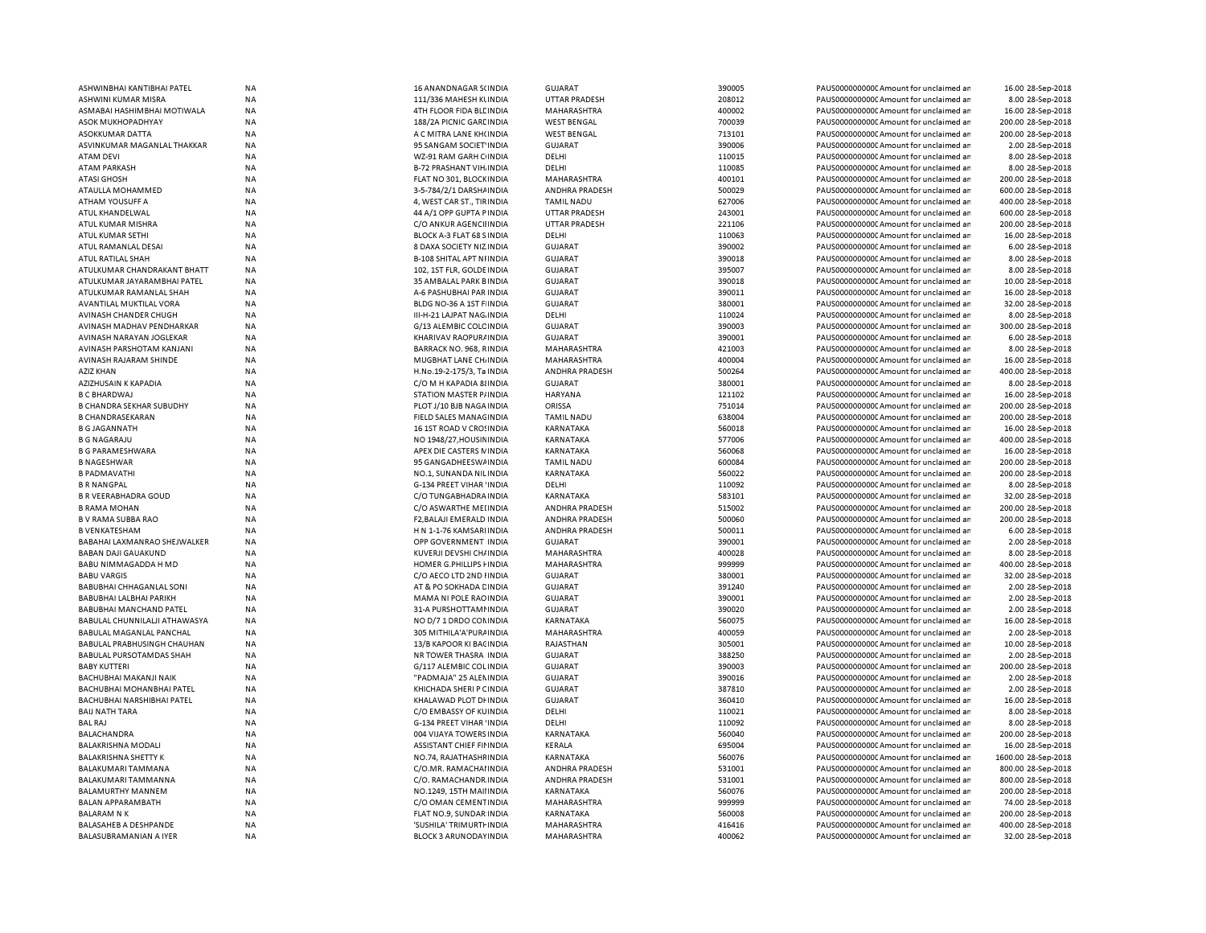| ASHWINBHAI KANTIBHAI PATEL      | <b>NA</b> | 16 ANANDNAGAR S(INDIA           | <b>GUJARAT</b>        | 390005 | PAUS0000000000 Amount for unclaimed an  | 16.00 28-Sep-2018   |
|---------------------------------|-----------|---------------------------------|-----------------------|--------|-----------------------------------------|---------------------|
| ASHWINI KUMAR MISRA             | <b>NA</b> | 111/336 MAHESH KUNDIA           | <b>UTTAR PRADESH</b>  | 208012 | PAUS0000000000 Amount for unclaimed ar  | 8.00 28-Sep-2018    |
| ASMABAI HASHIMBHAI MOTIWALA     | <b>NA</b> | 4TH FLOOR FIDA BLE INDIA        | <b>MAHARASHTRA</b>    | 400002 | PAUS0000000000 Amount for unclaimed ar  | 16.00 28-Sep-2018   |
| ASOK MUKHOPADHYAY               | <b>NA</b> | 188/2A PICNIC GARE INDIA        | <b>WEST BENGAL</b>    | 700039 | PAUS0000000000 Amount for unclaimed ar  | 200.00 28-Sep-2018  |
| ASOKKUMAR DATTA                 | <b>NA</b> | A C MITRA LANE KH(INDIA         | <b>WEST BENGAL</b>    | 713101 | PAUS0000000000 Amount for unclaimed ar  | 200.00 28-Sep-2018  |
| ASVINKUMAR MAGANLAL THAKKAR     | <b>NA</b> | 95 SANGAM SOCIET INDIA          | <b>GUJARAT</b>        | 390006 | PAUS0000000000 Amount for unclaimed ar  | 2.00 28-Sep-2018    |
| <b>ATAM DEVI</b>                | <b>NA</b> | WZ-91 RAM GARH C INDIA          | DELHI                 | 110015 | PAUS0000000000 Amount for unclaimed ar  | 8.00 28-Sep-2018    |
| <b>ATAM PARKASH</b>             | <b>NA</b> | <b>B-72 PRASHANT VIH. INDIA</b> | DELHI                 | 110085 | PAUS0000000000 Amount for unclaimed ar  | 8.00 28-Sep-2018    |
| <b>ATASI GHOSH</b>              | <b>NA</b> | FLAT NO 301, BLOCK INDIA        | MAHARASHTRA           | 400101 | PAUS0000000000 Amount for unclaimed ar  | 200.00 28-Sep-2018  |
| ATAULLA MOHAMMED                | NA        | 3-5-784/2/1 DARSHAINDIA         | ANDHRA PRADESH        | 500029 | PAUS0000000000 Amount for unclaimed ar  | 600.00 28-Sep-2018  |
| ATHAM YOUSUFF A                 | <b>NA</b> | 4, WEST CAR ST., TIRINDIA       | <b>TAMIL NADU</b>     | 627006 | PAUS0000000000 Amount for unclaimed ar  | 400.00 28-Sep-2018  |
| ATUL KHANDELWAL                 | NA        | 44 A/1 OPP GUPTA PINDIA         | <b>UTTAR PRADESH</b>  | 243001 | PAUS0000000000 Amount for unclaimed ar  | 600.00 28-Sep-2018  |
| ATUL KUMAR MISHRA               | <b>NA</b> | C/O ANKUR AGENCII INDIA         | <b>UTTAR PRADESH</b>  | 221106 | PAUS0000000000 Amount for unclaimed ar  | 200.00 28-Sep-2018  |
| ATUL KUMAR SETHI                | <b>NA</b> | BLOCK A-3 FLAT 68 SINDIA        | DELHI                 | 110063 | PAUS0000000000CAmount for unclaimed ar  | 16.00 28-Sep-2018   |
| ATUL RAMANLAL DESAI             | <b>NA</b> | 8 DAXA SOCIETY NIZ INDIA        | <b>GUJARAT</b>        | 390002 | PAUS0000000000 Amount for unclaimed ar  | 6.00 28-Sep-2018    |
| ATUL RATILAL SHAH               | <b>NA</b> | <b>B-108 SHITAL APT NIINDIA</b> | <b>GUJARAT</b>        | 390018 | PAUS0000000000 Amount for unclaimed ar  | 8.00 28-Sep-2018    |
| ATULKUMAR CHANDRAKANT BHATT     | ΝA        | 102, 1ST FLR, GOLDE INDIA       | <b>GUJARAT</b>        | 395007 | PAUS0000000000C Amount for unclaimed ar | 8.00 28-Sep-2018    |
| ATULKUMAR JAYARAMBHAI PATEL     | <b>NA</b> | 35 AMBALAL PARK BINDIA          | <b>GUJARAT</b>        | 390018 | PAUS0000000000 Amount for unclaimed ar  | 10.00 28-Sep-2018   |
|                                 | <b>NA</b> |                                 | <b>GUJARAT</b>        | 390011 |                                         | 16.00 28-Sep-2018   |
| ATULKUMAR RAMANLAL SHAH         |           | A-6 PASHUBHAI PAR INDIA         |                       |        | PAUS0000000000C Amount for unclaimed ar |                     |
| AVANTILAL MUKTILAL VORA         | NA        | BLDG NO-36 A 1ST F INDIA        | <b>GUJARAT</b>        | 380001 | PAUS0000000000 Amount for unclaimed ar  | 32.00 28-Sep-2018   |
| AVINASH CHANDER CHUGH           | NA        | III-H-21 LAJPAT NAG. INDIA      | DELHI                 | 110024 | PAUS0000000000 Amount for unclaimed ar  | 8.00 28-Sep-2018    |
| AVINASH MADHAV PENDHARKAR       | <b>NA</b> | G/13 ALEMBIC COLC INDIA         | <b>GUJARAT</b>        | 390003 | PAUS0000000000 Amount for unclaimed ar  | 300.00 28-Sep-2018  |
| AVINASH NARAYAN JOGLEKAR        | <b>NA</b> | KHARIVAV RAOPUR/INDIA           | GUJARAT               | 390001 | PAUS0000000000CAmount for unclaimed ar  | 6.00 28-Sep-2018    |
| AVINASH PARSHOTAM KANJANI       | <b>NA</b> | BARRACK NO. 968, RINDIA         | MAHARASHTRA           | 421003 | PAUS0000000000CAmount for unclaimed ar  | 8.00 28-Sep-2018    |
| AVINASH RAJARAM SHINDE          | <b>NA</b> | MUGBHAT LANE CH, INDIA          | MAHARASHTRA           | 400004 | PAUS0000000000CAmount for unclaimed ar  | 16.00 28-Sep-2018   |
| <b>AZIZ KHAN</b>                | <b>NA</b> | H.No.19-2-175/3, Ta INDIA       | ANDHRA PRADESH        | 500264 | PAUS0000000000CAmount for unclaimed ar  | 400.00 28-Sep-2018  |
| AZIZHUSAIN K KAPADIA            | <b>NA</b> | C/O M H KAPADIA 8 INDIA         | <b>GUJARAT</b>        | 380001 | PAUS0000000000 Amount for unclaimed ar  | 8.00 28-Sep-2018    |
| <b>B C BHARDWAJ</b>             | <b>NA</b> | STATION MASTER P/INDIA          | <b>HARYANA</b>        | 121102 | PAUS0000000000CAmount for unclaimed ar  | 16.00 28-Sep-2018   |
| <b>B CHANDRA SEKHAR SUBUDHY</b> | <b>NA</b> | PLOT J/10 BJB NAGA INDIA        | ORISSA                | 751014 | PAUS0000000000CAmount for unclaimed ar  | 200.00 28-Sep-2018  |
| <b>B CHANDRASEKARAN</b>         | NA        | FIELD SALES MANAGINDIA          | <b>TAMIL NADU</b>     | 638004 | PAUS0000000000CAmount for unclaimed ar  | 200.00 28-Sep-2018  |
| <b>B G JAGANNATH</b>            | <b>NA</b> | 16 1ST ROAD V CROSINDIA         | <b>KARNATAKA</b>      | 560018 | PAUS0000000000 Amount for unclaimed ar  | 16.00 28-Sep-2018   |
| <b>B G NAGARAJU</b>             | <b>NA</b> | NO 1948/27, HOUSIN INDIA        | KARNATAKA             | 577006 | PAUS0000000000C Amount for unclaimed ar | 400.00 28-Sep-2018  |
| <b>B G PARAMESHWARA</b>         | <b>NA</b> | APEX DIE CASTERS NINDIA         | <b>KARNATAKA</b>      | 560068 | PAUS0000000000 Amount for unclaimed ar  | 16.00 28-Sep-2018   |
| <b>B NAGESHWAR</b>              | NA        | 95 GANGADHEESWAINDIA            | <b>TAMIL NADU</b>     | 600084 | PAUS0000000000CAmount for unclaimed ar  | 200.00 28-Sep-2018  |
| <b>B PADMAVATHI</b>             | <b>NA</b> | NO.1. SUNANDA NILINDIA          | <b>KARNATAKA</b>      | 560022 | PAUS0000000000 Amount for unclaimed ar  | 200.00 28-Sep-2018  |
| <b>B R NANGPAL</b>              | <b>NA</b> | G-134 PREET VIHAR 'INDIA        | DELHI                 | 110092 | PAUS0000000000 Amount for unclaimed ar  | 8.00 28-Sep-2018    |
| <b>B R VEERABHADRA GOUD</b>     | <b>NA</b> | C/O TUNGABHADRA INDIA           | KARNATAKA             | 583101 | PAUS0000000000CAmount for unclaimed ar  | 32.00 28-Sep-2018   |
| <b>B RAMA MOHAN</b>             | NA        | C/O ASWARTHE MELINDIA           | <b>ANDHRA PRADESH</b> | 515002 | PAUS0000000000CAmount for unclaimed ar  | 200.00 28-Sep-2018  |
| <b>B V RAMA SUBBA RAO</b>       | <b>NA</b> | F2, BALAJI EMERALD INDIA        | ANDHRA PRADESH        | 500060 | PAUS0000000000CAmount for unclaimed ar  | 200.00 28-Sep-2018  |
| <b>B VENKATESHAM</b>            | <b>NA</b> | H N 1-1-76 KAMSARI INDIA        | <b>ANDHRA PRADESH</b> | 500011 | PAUS0000000000CAmount for unclaimed an  | 6.00 28-Sep-2018    |
| BABAHAI LAXMANRAO SHEJWALKER    | <b>NA</b> | OPP GOVERNMENT INDIA            | <b>GUJARAT</b>        | 390001 | PAUS0000000000CAmount for unclaimed ar  | 2.00 28-Sep-2018    |
| <b>BABAN DAJI GAUAKUND</b>      | <b>NA</b> | KUVERJI DEVSHI CH/ INDIA        | <b>MAHARASHTRA</b>    | 400028 | PAUS0000000000 Amount for unclaimed ar  | 8.00 28-Sep-2018    |
|                                 |           |                                 |                       |        |                                         |                     |
| BABU NIMMAGADDA H MD            | NA        | HOMER G.PHILLIPS FINDIA         | MAHARASHTRA           | 999999 | PAUS0000000000 Amount for unclaimed ar  | 400.00 28-Sep-2018  |
| <b>BABU VARGIS</b>              | <b>NA</b> | C/O AECO LTD 2ND HNDIA          | <b>GUJARAT</b>        | 380001 | PAUS0000000000 Amount for unclaimed ar  | 32.00 28-Sep-2018   |
| BABUBHAI CHHAGANLAL SONI        | NA        | AT & PO SOKHADA CINDIA          | <b>GUJARAT</b>        | 391240 | PAUS0000000000 Amount for unclaimed ar  | 2.00 28-Sep-2018    |
| <b>BABUBHAI LALBHAI PARIKH</b>  | <b>NA</b> | <b>MAMA NI POLE RAO INDIA</b>   | <b>GUJARAT</b>        | 390001 | PAUS0000000000 Amount for unclaimed ar  | 2.00 28-Sep-2018    |
| BABUBHAI MANCHAND PATEL         | NA        | 31-A PURSHOTTAMI INDIA          | <b>GUJARAT</b>        | 390020 | PAUS0000000000 Amount for unclaimed ar  | 2.00 28-Sep-2018    |
| BABULAL CHUNNILALJI ATHAWASYA   | NA        | NO D/7 1 DRDO CONINDIA          | KARNATAKA             | 560075 | PAUS0000000000 Amount for unclaimed ar  | 16.00 28-Sep-2018   |
| BABULAL MAGANLAL PANCHAL        | NA        | 305 MITHILA'A'PURA INDIA        | MAHARASHTRA           | 400059 | PAUS0000000000 Amount for unclaimed ar  | 2.00 28-Sep-2018    |
| BABULAL PRABHUSINGH CHAUHAN     | NA        | 13/B KAPOOR KI BACINDIA         | RAJASTHAN             | 305001 | PAUS0000000000 Amount for unclaimed ar  | 10.00 28-Sep-2018   |
| BABULAL PURSOTAMDAS SHAH        | NA        | NR TOWER THASRA INDIA           | GUJARAT               | 388250 | PAUS0000000000 Amount for unclaimed ar  | 2.00 28-Sep-2018    |
| <b>BABY KUTTERI</b>             | NA        | G/117 ALEMBIC COL INDIA         | <b>GUJARAT</b>        | 390003 | PAUS0000000000 Amount for unclaimed ar  | 200.00 28-Sep-2018  |
| BACHUBHAI MAKANJI NAIK          | <b>NA</b> | "PADMAJA" 25 ALENINDIA          | <b>GUJARAT</b>        | 390016 | PAUS0000000000 Amount for unclaimed ar  | 2.00 28-Sep-2018    |
| BACHUBHAI MOHANBHAI PATEL       | <b>NA</b> | KHICHADA SHERI P CINDIA         | <b>GUJARAT</b>        | 387810 | PAUS0000000000 Amount for unclaimed ar  | 2.00 28-Sep-2018    |
| BACHUBHAI NARSHIBHAI PATEL      | <b>NA</b> | KHALAWAD PLOT DI INDIA          | GUJARAT               | 360410 | PAUS0000000000CAmount for unclaimed ar  | 16.00 28-Sep-2018   |
| <b>BAIJ NATH TARA</b>           | NA        | C/O EMBASSY OF KUINDIA          | DELHI                 | 110021 | PAUS0000000000 Amount for unclaimed ar  | 8.00 28-Sep-2018    |
| <b>BAL RAJ</b>                  | <b>NA</b> | G-134 PREET VIHAR 'INDIA        | DELHI                 | 110092 | PAUS0000000000CAmount for unclaimed ar  | 8.00 28-Sep-2018    |
| <b>BALACHANDRA</b>              | NA        | 004 VIJAYA TOWERS INDIA         | KARNATAKA             | 560040 | PAUS0000000000 Amount for unclaimed ar  | 200.00 28-Sep-2018  |
| <b>BALAKRISHNA MODALI</b>       | <b>NA</b> | <b>ASSISTANT CHIEF FININDIA</b> | KERALA                | 695004 | PAUS0000000000 Amount for unclaimed ar  | 16.00 28-Sep-2018   |
| <b>BALAKRISHNA SHETTY K</b>     | NA        | NO.74, RAJATHASHFINDIA          | KARNATAKA             | 560076 | PAUS0000000000 Amount for unclaimed ar  | 1600.00 28-Sep-2018 |
| BALAKUMARI TAMMANA              | NA        | C/O.MR. RAMACHAI INDIA          | ANDHRA PRADESH        | 531001 | PAUS0000000000 Amount for unclaimed ar  | 800.00 28-Sep-2018  |
| BALAKUMARI TAMMANNA             | NA        | C/O. RAMACHANDR INDIA           | ANDHRA PRADESH        | 531001 | PAUS0000000000C Amount for unclaimed ar | 800.00 28-Sep-2018  |
| BALAMURTHY MANNEM               | NA        | NO.1249, 15TH MAII INDIA        | KARNATAKA             | 560076 | PAUS0000000000 Amount for unclaimed ar  | 200.00 28-Sep-2018  |
| BALAN APPARAMBATH               | NA        | C/O OMAN CEMENTINDIA            | MAHARASHTRA           | 999999 | PAUS0000000000CAmount for unclaimed ar  | 74.00 28-Sep-2018   |
| <b>BALARAM N K</b>              | NA        | FLAT NO.9, SUNDAR INDIA         | KARNATAKA             | 560008 | PAUS0000000000 Amount for unclaimed ar  | 200.00 28-Sep-2018  |
| BALASAHEB A DESHPANDE           | <b>NA</b> | 'SUSHILA' TRIMURTI INDIA        |                       | 416416 |                                         |                     |
|                                 |           |                                 | MAHARASHTRA           |        | PAUS0000000000C Amount for unclaimed ar | 400.00 28-Sep-2018  |
| BALASUBRAMANIAN A IYER          | NA        | BLOCK 3 ARUNODAY INDIA          | MAHARASHTRA           | 400062 | PAUS0000000000C Amount for unclaimed ar | 32.00 28-Sep-2018   |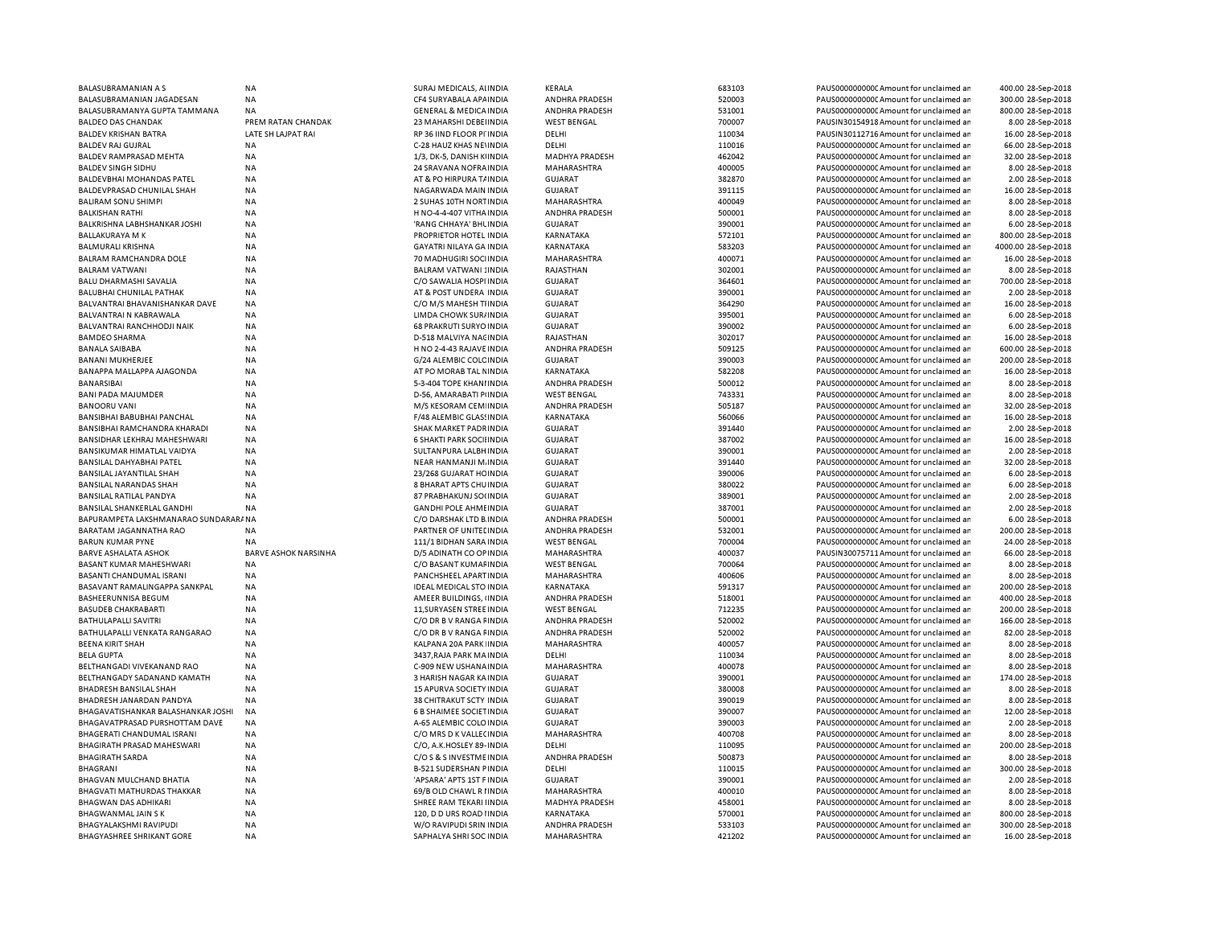| BALASUBRAMANIAN A S                  | <b>NA</b>                   | SURAJ MEDICALS, ALINDIA           | KERALA                | 683103 | PAUS00000000000Amount for unclaimed ar  | 400.00 28-Sep-2018  |
|--------------------------------------|-----------------------------|-----------------------------------|-----------------------|--------|-----------------------------------------|---------------------|
| BALASUBRAMANIAN JAGADESAN            | <b>NA</b>                   | CF4 SURYABALA APAINDIA            | ANDHRA PRADESH        | 520003 | PAUS0000000000 Amount for unclaimed ar  | 300.00 28-Sep-2018  |
| BALASUBRAMANYA GUPTA TAMMANA         | <b>NA</b>                   | <b>GENERAL &amp; MEDICA INDIA</b> | ANDHRA PRADESH        | 531001 | PAUS0000000000 Amount for unclaimed ar  | 800.00 28-Sep-2018  |
| <b>BALDEO DAS CHANDAK</b>            | PREM RATAN CHANDAK          | 23 MAHARSHI DEBELINDIA            | <b>WEST BENGAL</b>    | 700007 | PAUSIN30154918 Amount for unclaimed ar  | 8.00 28-Sep-2018    |
|                                      | LATE SH LAJPAT RAI          |                                   |                       |        |                                         |                     |
| <b>BALDEV KRISHAN BATRA</b>          |                             | RP 36 IIND FLOOR PI'INDIA         | DELHI                 | 110034 | PAUSIN30112716 Amount for unclaimed ar  | 16.00 28-Sep-2018   |
| <b>BALDEV RAJ GUJRAL</b>             | <b>NA</b>                   | C-28 HAUZ KHAS NE INDIA           | DELHI                 | 110016 | PAUS0000000000 Amount for unclaimed ar  | 66.00 28-Sep-2018   |
| BALDEV RAMPRASAD MEHTA               | ΝA                          | 1/3, DK-5, DANISH KINDIA          | MADHYA PRADESH        | 462042 | PAUS0000000000CAmount for unclaimed ar  | 32.00 28-Sep-2018   |
| <b>BALDEV SINGH SIDHU</b>            | <b>NA</b>                   | 24 SRAVANA NOFRA INDIA            | MAHARASHTRA           | 400005 | PAUS0000000000 Amount for unclaimed ar  | 8.00 28-Sep-2018    |
| BALDEVBHAI MOHANDAS PATEL            | NA                          | AT & PO HIRPURA T/ INDIA          | GUJARAT               | 382870 | PAUS0000000000C Amount for unclaimed ar | 2.00 28-Sep-2018    |
| <b>BALDEVPRASAD CHUNILAL SHAH</b>    | <b>NA</b>                   | NAGARWADA MAIN INDIA              | <b>GUJARAT</b>        | 391115 | PAUS0000000000 Amount for unclaimed ar  | 16.00 28-Sep-2018   |
| <b>BALIRAM SONU SHIMPI</b>           | <b>NA</b>                   | 2 SUHAS 10TH NORT INDIA           | MAHARASHTRA           | 400049 | PAUS0000000000 Amount for unclaimed ar  | 8.00 28-Sep-2018    |
|                                      |                             |                                   |                       |        |                                         |                     |
| <b>BALKISHAN RATHI</b>               | <b>NA</b>                   | H NO-4-4-407 VITHA INDIA          | ANDHRA PRADESH        | 500001 | PAUS0000000000 Amount for unclaimed ar  | 8.00 28-Sep-2018    |
| BALKRISHNA LABHSHANKAR JOSHI         | <b>NA</b>                   | 'RANG CHHAYA' BHL INDIA           | <b>GUJARAT</b>        | 390001 | PAUS0000000000 Amount for unclaimed ar  | 6.00 28-Sep-2018    |
| <b>BALLAKURAYA M K</b>               | <b>NA</b>                   | PROPRIETOR HOTEL INDIA            | KARNATAKA             | 572101 | PAUS0000000000 Amount for unclaimed ar  | 800.00 28-Sep-2018  |
| BALMURALI KRISHNA                    | <b>NA</b>                   | GAYATRI NILAYA GA INDIA           | KARNATAKA             | 583203 | PAUS0000000000CAmount for unclaimed ar  | 4000.00 28-Sep-2018 |
| BALRAM RAMCHANDRA DOLE               | <b>NA</b>                   | 70 MADHUGIRI SOCIINDIA            | MAHARASHTRA           | 400071 | PAUS0000000000 Amount for unclaimed ar  | 16.00 28-Sep-2018   |
| <b>BALRAM VATWANI</b>                | <b>NA</b>                   | <b>BALRAM VATWANI : INDIA</b>     | RAJASTHAN             | 302001 | PAUS0000000000 Amount for unclaimed ar  | 8.00 28-Sep-2018    |
| BALU DHARMASHI SAVALIA               | <b>NA</b>                   | C/O SAWALIA HOSPI INDIA           | <b>GUJARAT</b>        | 364601 | PAUS0000000000 Amount for unclaimed ar  | 700.00 28-Sep-2018  |
| <b>BALUBHAI CHUNILAL PATHAK</b>      | <b>NA</b>                   | AT & POST UNDERA INDIA            | <b>GUJARAT</b>        | 390001 | PAUS0000000000 Amount for unclaimed ar  |                     |
|                                      |                             |                                   |                       |        |                                         | 2.00 28-Sep-2018    |
| BALVANTRAI BHAVANISHANKAR DAVE       | <b>NA</b>                   | C/O M/S MAHESH TIINDIA            | <b>GUJARAT</b>        | 364290 | PAUS0000000000 Amount for unclaimed ar  | 16.00 28-Sep-2018   |
| BALVANTRAI N KABRAWALA               | <b>NA</b>                   | LIMDA CHOWK SUR/INDIA             | <b>GUJARAT</b>        | 395001 | PAUS0000000000 Amount for unclaimed ar  | 6.00 28-Sep-2018    |
| BALVANTRAI RANCHHODJI NAIK           | NA                          | 68 PRAKRUTI SURYO INDIA           | <b>GUJARAT</b>        | 390002 | PAUS0000000000 Amount for unclaimed ar  | 6.00 28-Sep-2018    |
| <b>BAMDEO SHARMA</b>                 | NA                          | D-518 MALVIYA NACINDIA            | RAJASTHAN             | 302017 | PAUS0000000000 Amount for unclaimed ar  | 16.00 28-Sep-2018   |
| <b>BANALA SAIBABA</b>                | <b>NA</b>                   | H NO 2-4-43 RAJAVE INDIA          | ANDHRA PRADESH        | 509125 | PAUS0000000000CAmount for unclaimed ar  | 600.00 28-Sep-2018  |
| <b>BANANI MUKHERJEE</b>              | NA                          | G/24 ALEMBIC COLC INDIA           | <b>GUJARAT</b>        | 390003 | PAUS0000000000 Amount for unclaimed ar  | 200.00 28-Sep-2018  |
|                                      |                             |                                   |                       |        |                                         |                     |
| BANAPPA MALLAPPA AJAGONDA            | NA                          | AT PO MORAB TAL NINDIA            | KARNATAKA             | 582208 | PAUS0000000000C Amount for unclaimed ar | 16.00 28-Sep-2018   |
| BANARSIBAI                           | <b>NA</b>                   | 5-3-404 TOPE KHANI INDIA          | ANDHRA PRADESH        | 500012 | PAUS0000000000 Amount for unclaimed ar  | 8.00 28-Sep-2018    |
| BANI PADA MAJUMDER                   | <b>NA</b>                   | D-56, AMARABATI PIINDIA           | <b>WEST BENGAL</b>    | 743331 | PAUS0000000000C Amount for unclaimed ar | 8.00 28-Sep-2018    |
| <b>BANOORU VANI</b>                  | <b>NA</b>                   | M/S KESORAM CEM INDIA             | ANDHRA PRADESH        | 505187 | PAUS0000000000 Amount for unclaimed ar  | 32.00 28-Sep-2018   |
| <b>BANSIBHAI BABUBHAI PANCHAL</b>    | <b>NA</b>                   | F/48 ALEMBIC GLASSINDIA           | <b>KARNATAKA</b>      | 560066 | PAUS0000000000 Amount for unclaimed ar  | 16.00 28-Sep-2018   |
| BANSIBHAI RAMCHANDRA KHARADI         | <b>NA</b>                   | SHAK MARKET PADR INDIA            | <b>GUJARAT</b>        | 391440 | PAUS0000000000CAmount for unclaimed ar  | 2.00 28-Sep-2018    |
| <b>BANSIDHAR LEKHRAJ MAHESHWARI</b>  | <b>NA</b>                   | <b>6 SHAKTI PARK SOCILINDIA</b>   | <b>GUJARAT</b>        | 387002 | PAUS0000000000CAmount for unclaimed ar  | 16.00 28-Sep-2018   |
|                                      |                             |                                   |                       |        |                                         |                     |
| BANSIKUMAR HIMATLAL VAIDYA           | <b>NA</b>                   | SULTANPURA LALBH INDIA            | <b>GUJARAT</b>        | 390001 | PAUS0000000000 Amount for unclaimed ar  | 2.00 28-Sep-2018    |
| <b>BANSILAL DAHYABHAI PATEL</b>      | <b>NA</b>                   | NEAR HANMANJI M. INDIA            | <b>GUJARAT</b>        | 391440 | PAUS0000000000 Amount for unclaimed ar  | 32.00 28-Sep-2018   |
| BANSILAL JAYANTILAL SHAH             | <b>NA</b>                   | 23/268 GUJARAT HC INDIA           | <b>GUJARAT</b>        | 390006 | PAUS0000000000 Amount for unclaimed ar  | 6.00 28-Sep-2018    |
| BANSILAL NARANDAS SHAH               | <b>NA</b>                   | 8 BHARAT APTS CHUINDIA            | <b>GUJARAT</b>        | 380022 | PAUS0000000000 Amount for unclaimed ar  | 6.00 28-Sep-2018    |
| BANSILAL RATILAL PANDYA              | <b>NA</b>                   | 87 PRABHAKUNJ SO(INDIA            | <b>GUJARAT</b>        | 389001 | PAUS0000000000 Amount for unclaimed ar  | 2.00 28-Sep-2018    |
| BANSILAL SHANKERLAL GANDHI           | <b>NA</b>                   | <b>GANDHI POLE AHMEINDIA</b>      | <b>GUJARAT</b>        | 387001 | PAUS0000000000 Amount for unclaimed ar  | 2.00 28-Sep-2018    |
|                                      |                             |                                   |                       |        |                                         |                     |
| BAPURAMPETA LAKSHMANARAO SUNDARARANA |                             | C/O DARSHAK LTD B INDIA           | ANDHRA PRADESH        | 500001 | PAUS0000000000 Amount for unclaimed ar  | 6.00 28-Sep-2018    |
| BARATAM JAGANNATHA RAO               | <b>NA</b>                   | PARTNER OF UNITED INDIA           | <b>ANDHRA PRADESH</b> | 532001 | PAUS0000000000CAmount for unclaimed ar  | 200.00 28-Sep-2018  |
| <b>BARUN KUMAR PYNE</b>              | NA                          | 111/1 BIDHAN SARA INDIA           | <b>WEST BENGAL</b>    | 700004 | PAUS0000000000 Amount for unclaimed ar  | 24.00 28-Sep-2018   |
| <b>BARVE ASHALATA ASHOK</b>          | <b>BARVE ASHOK NARSINHA</b> | D/5 ADINATH CO OP INDIA           | MAHARASHTRA           | 400037 | PAUSIN30075711 Amount for unclaimed ar  | 66.00 28-Sep-2018   |
| BASANT KUMAR MAHESHWARI              | <b>NA</b>                   | C/O BASANT KUMAF INDIA            | <b>WEST BENGAL</b>    | 700064 | PAUS0000000000C Amount for unclaimed ar | 8.00 28-Sep-2018    |
| BASANTI CHANDUMAL ISRANI             | NA                          | PANCHSHEEL APART INDIA            | MAHARASHTRA           | 400606 | PAUS0000000000 Amount for unclaimed ar  | 8.00 28-Sep-2018    |
| BASAVANT RAMALINGAPPA SANKPAL        | NA                          | <b>IDEAL MEDICAL STO INDIA</b>    | KARNATAKA             | 591317 | PAUS0000000000C Amount for unclaimed ar | 200.00 28-Sep-2018  |
|                                      |                             |                                   |                       |        |                                         |                     |
| BASHEERUNNISA BEGUM                  | NA                          | AMEER BUILDINGS, (INDIA           | ANDHRA PRADESH        | 518001 | PAUS0000000000 Amount for unclaimed ar  | 400.00 28-Sep-2018  |
| <b>BASUDEB CHAKRABARTI</b>           | NA                          | 11, SURYASEN STREE IN DIA         | <b>WEST BENGAL</b>    | 712235 | PAUS0000000000 Amount for unclaimed ar  | 200.00 28-Sep-2018  |
| BATHULAPALLI SAVITRI                 | <b>NA</b>                   | C/O DR B V RANGA FINDIA           | ANDHRA PRADESH        | 520002 | PAUS0000000000 Amount for unclaimed ar  | 166.00 28-Sep-2018  |
| BATHULAPALLI VENKATA RANGARAO        | <b>NA</b>                   | C/O DR B V RANGA FINDIA           | ANDHRA PRADESH        | 520002 | PAUS00000000000Amount for unclaimed ar  | 82.00 28-Sep-2018   |
| <b>BEENA KIRIT SHAH</b>              | <b>NA</b>                   | KALPANA 20A PARK INDIA            | MAHARASHTRA           | 400057 | PAUS0000000000CAmount for unclaimed ar  | 8.00 28-Sep-2018    |
| <b>BELA GUPTA</b>                    | <b>NA</b>                   | 3437, RAJA PARK MAINDIA           | DELHI                 | 110034 | PAUS0000000000 Amount for unclaimed ar  | 8.00 28-Sep-2018    |
| BELTHANGADI VIVEKANAND RAO           | <b>NA</b>                   | C-909 NEW USHANA INDIA            | MAHARASHTRA           | 400078 | PAUS0000000000CAmount for unclaimed ar  | 8.00 28-Sep-2018    |
|                                      |                             |                                   |                       | 390001 |                                         |                     |
| BELTHANGADY SADANAND KAMATH          | <b>NA</b>                   | 3 HARISH NAGAR KA INDIA           | <b>GUJARAT</b>        |        | PAUS0000000000C Amount for unclaimed ar | 174.00 28-Sep-2018  |
| BHADRESH BANSILAL SHAH               | <b>NA</b>                   | 15 APURVA SOCIETY INDIA           | <b>GUJARAT</b>        | 380008 | PAUS00000000000Amount for unclaimed ar  | 8.00 28-Sep-2018    |
| BHADRESH JANARDAN PANDYA             | <b>NA</b>                   | <b>38 CHITRAKUT SCTY INDIA</b>    | <b>GUJARAT</b>        | 390019 | PAUS0000000000 Amount for unclaimed ar  | 8.00 28-Sep-2018    |
| BHAGAVATISHANKAR BALASHANKAR JOSHI   | <b>NA</b>                   | <b>6 B SHAIMEE SOCIET INDIA</b>   | <b>GUJARAT</b>        | 390007 | PAUS0000000000 Amount for unclaimed ar  | 12.00 28-Sep-2018   |
| BHAGAVATPRASAD PURSHOTTAM DAVE       | <b>NA</b>                   | A-65 ALEMBIC COLO INDIA           | <b>GUJARAT</b>        | 390003 | PAUS0000000000 Amount for unclaimed ar  | 2.00 28-Sep-2018    |
| BHAGERATI CHANDUMAL ISRANI           | NA                          | C/O MRS D K VALLECINDIA           | MAHARASHTRA           | 400708 | PAUS0000000000 Amount for unclaimed ar  | 8.00 28-Sep-2018    |
| <b>BHAGIRATH PRASAD MAHESWARI</b>    | <b>NA</b>                   | C/O, A.K.HOSLEY 89- INDIA         | DELHI                 | 110095 | PAUS0000000000 Amount for unclaimed ar  | 200.00 28-Sep-2018  |
|                                      |                             |                                   |                       |        |                                         |                     |
| <b>BHAGIRATH SARDA</b>               | <b>NA</b>                   | C/O S & S INVESTME INDIA          | ANDHRA PRADESH        | 500873 | PAUS0000000000 Amount for unclaimed ar  | 8.00 28-Sep-2018    |
| <b>BHAGRANI</b>                      | NA                          | <b>B-521 SUDERSHAN PINDIA</b>     | DELHI                 | 110015 | PAUS0000000000 Amount for unclaimed ar  | 300.00 28-Sep-2018  |
| BHAGVAN MULCHAND BHATIA              | NA                          | 'APSARA' APTS 1ST F INDIA         | <b>GUJARAT</b>        | 390001 | PAUS0000000000C Amount for unclaimed ar | 2.00 28-Sep-2018    |
| <b>BHAGVATI MATHURDAS THAKKAR</b>    | <b>NA</b>                   | 69/B OLD CHAWL R I INDIA          | MAHARASHTRA           | 400010 | PAUS0000000000 Amount for unclaimed ar  | 8.00 28-Sep-2018    |
| <b>BHAGWAN DAS ADHIKARI</b>          | <b>NA</b>                   | SHREE RAM TEKARI IINDIA           | MADHYA PRADESH        | 458001 | PAUS0000000000 Amount for unclaimed ar  | 8.00 28-Sep-2018    |
| BHAGWANMAL JAIN S K                  | <b>NA</b>                   | 120, D D URS ROAD I INDIA         | KARNATAKA             | 570001 | PAUS0000000000 Amount for unclaimed ar  | 800.00 28-Sep-2018  |
|                                      |                             |                                   |                       |        |                                         |                     |
| BHAGYALAKSHMI RAVIPUDI               | <b>NA</b>                   | W/O RAVIPUDI SRIN INDIA           | ANDHRA PRADESH        | 533103 | PAUS0000000000C Amount for unclaimed ar | 300.00 28-Sep-2018  |
| <b>BHAGYASHREE SHRIKANT GORE</b>     | NA                          | SAPHALYA SHRI SOC INDIA           | MAHARASHTRA           | 421202 | PAUS0000000000 Amount for unclaimed ar  | 16.00 28-Sep-2018   |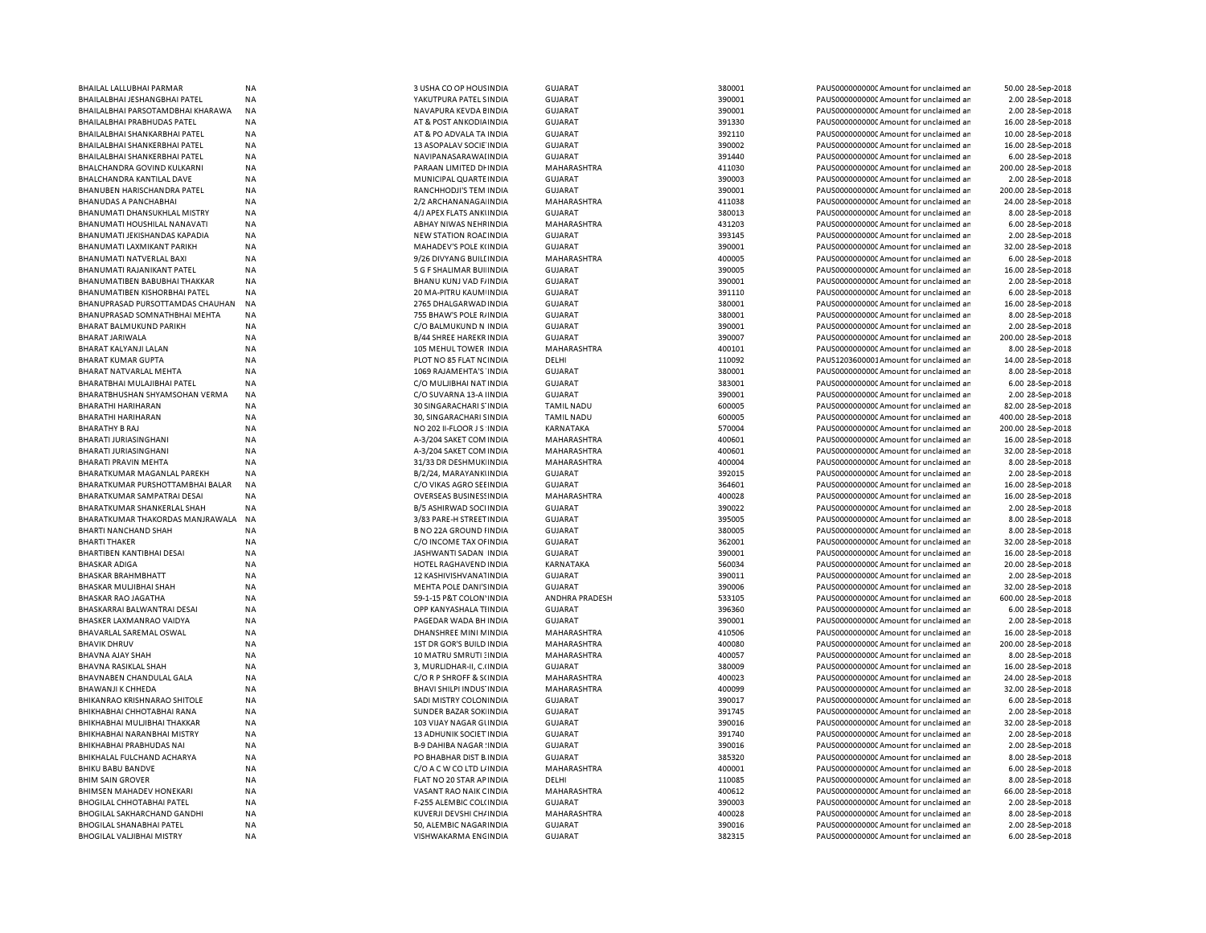| BHAILAL LALLUBHAI PARMAR            | NA        | 3 USHA CO OP HOUS INDIA        | <b>GUJARAT</b>        | 380001 | PAUS0000000000 Amount for unclaimed ar  | 50.00 28-Sep-2018  |
|-------------------------------------|-----------|--------------------------------|-----------------------|--------|-----------------------------------------|--------------------|
| BHAILALBHAI JESHANGBHAI PATEL       | NA        | YAKUTPURA PATEL SINDIA         | <b>GUJARAT</b>        | 390001 | PAUS0000000000CAmount for unclaimed ar  | 2.00 28-Sep-2018   |
| BHAILALBHAI PARSOTAMDBHAI KHARAWA   | NA        | NAVAPURA KEVDA EINDIA          | <b>GUJARAT</b>        | 390001 | PAUS0000000000 Amount for unclaimed ar  | 2.00 28-Sep-2018   |
| BHAILALBHAI PRABHUDAS PATEL         | NA        | AT & POST ANKODIA INDIA        | <b>GUJARAT</b>        | 391330 | PAUS0000000000 Amount for unclaimed ar  | 16.00 28-Sep-2018  |
| BHAILALBHAI SHANKARBHAI PATEL       | NA        | AT & PO ADVALA TA INDIA        | <b>GUJARAT</b>        | 392110 | PAUS0000000000 Amount for unclaimed ar  | 10.00 28-Sep-2018  |
| BHAILALBHAI SHANKERBHAI PATEL       | NA        | 13 ASOPALAV SOCIE INDIA        | <b>GUJARAT</b>        | 390002 | PAUS0000000000 Amount for unclaimed ar  | 16.00 28-Sep-2018  |
| BHAILALBHAI SHANKERBHAI PATEL       | NA        | NAVIPANASARAWAI INDIA          | <b>GUJARAT</b>        | 391440 | PAUS0000000000 Amount for unclaimed an  | 6.00 28-Sep-2018   |
|                                     |           | PARAAN LIMITED DI INDIA        | MAHARASHTRA           | 411030 |                                         |                    |
| BHALCHANDRA GOVIND KULKARNI         | NA        |                                |                       |        | PAUS0000000000 Amount for unclaimed ar  | 200.00 28-Sep-2018 |
| BHALCHANDRA KANTILAL DAVE           | NA        | MUNICIPAL QUARTE INDIA         | <b>GUJARAT</b>        | 390003 | PAUS0000000000 Amount for unclaimed ar  | 2.00 28-Sep-2018   |
| BHANUBEN HARISCHANDRA PATEL         | <b>NA</b> | RANCHHODJI'S TEM INDIA         | <b>GUJARAT</b>        | 390001 | PAUS0000000000 Amount for unclaimed ar  | 200.00 28-Sep-2018 |
| BHANUDAS A PANCHABHAI               | ΝA        | 2/2 ARCHANANAGA INDIA          | MAHARASHTRA           | 411038 | PAUS0000000000 Amount for unclaimed an  | 24.00 28-Sep-2018  |
| BHANUMATI DHANSUKHLAL MISTRY        | NA        | 4/J APEX FLATS ANKUNDIA        | <b>GUJARAT</b>        | 380013 | PAUS0000000000 Amount for unclaimed ar  | 8.00 28-Sep-2018   |
| BHANUMATI HOUSHILAL NANAVATI        | NA        | ABHAY NIWAS NEHFINDIA          | MAHARASHTRA           | 431203 | PAUS0000000000C Amount for unclaimed ar | 6.00 28-Sep-2018   |
| BHANUMATI JEKISHANDAS KAPADIA       | <b>NA</b> | NEW STATION ROAL INDIA         | GUJARAT               | 393145 | PAUS0000000000 Amount for unclaimed ar  | 2.00 28-Sep-2018   |
| BHANUMATI LAXMIKANT PARIKH          | NA        | MAHADEV'S POLE K(INDIA         | <b>GUJARAT</b>        | 390001 | PAUS0000000000C Amount for unclaimed an | 32.00 28-Sep-2018  |
| BHANUMATI NATVERLAL BAXI            | NA        | 9/26 DIVYANG BUILI INDIA       | MAHARASHTRA           | 400005 | PAUS00000000000 Amount for unclaimed an | 6.00 28-Sep-2018   |
| BHANUMATI RAJANIKANT PATEL          | NA        | 5 G F SHALIMAR BUI INDIA       | <b>GUJARAT</b>        | 390005 | PAUS0000000000C Amount for unclaimed ar | 16.00 28-Sep-2018  |
| BHANUMATIBEN BABUBHAI THAKKAR       | NA        | BHANU KUNJ VAD F/INDIA         | <b>GUJARAT</b>        | 390001 | PAUS0000000000 Amount for unclaimed ar  | 2.00 28-Sep-2018   |
| BHANUMATIBEN KISHORBHAI PATEL       | <b>NA</b> | 20 MA-PITRU KAUM INDIA         | <b>GUJARAT</b>        | 391110 | PAUS0000000000 Amount for unclaimed an  | 6.00 28-Sep-2018   |
|                                     |           |                                |                       |        |                                         |                    |
| BHANUPRASAD PURSOTTAMDAS CHAUHAN    | NA        | 2765 DHALGARWAD INDIA          | <b>GUJARAT</b>        | 380001 | PAUS00000000000 Amount for unclaimed an | 16.00 28-Sep-2018  |
| BHANUPRASAD SOMNATHBHAI MEHTA       | NA        | 755 BHAW'S POLE R/INDIA        | <b>GUJARAT</b>        | 380001 | PAUS0000000000CAmount for unclaimed ar  | 8.00 28-Sep-2018   |
| <b>BHARAT BALMUKUND PARIKH</b>      | NA        | C/O BALMUKUND N INDIA          | <b>GUJARAT</b>        | 390001 | PAUS0000000000 Amount for unclaimed ar  | 2.00 28-Sep-2018   |
| <b>BHARAT JARIWALA</b>              | <b>NA</b> | <b>B/44 SHREE HAREKR INDIA</b> | <b>GUJARAT</b>        | 390007 | PAUS0000000000 Amount for unclaimed ar  | 200.00 28-Sep-2018 |
| BHARAT KALYANJI LALAN               | <b>NA</b> | 105 MEHUL TOWER INDIA          | MAHARASHTRA           | 400101 | PAUS0000000000 Amount for unclaimed an  | 8.00 28-Sep-2018   |
| <b>BHARAT KUMAR GUPTA</b>           | <b>NA</b> | PLOT NO 85 FLAT NC INDIA       | DELHI                 | 110092 | PAUS1203600001Amount for unclaimed ar   | 14.00 28-Sep-2018  |
| BHARAT NATVARLAL MEHTA              | <b>NA</b> | 1069 RAJAMEHTA'S INDIA         | <b>GUJARAT</b>        | 380001 | PAUS0000000000 Amount for unclaimed ar  | 8.00 28-Sep-2018   |
| BHARATBHAI MULAJIBHAI PATEL         | <b>NA</b> | C/O MULJIBHAI NAT INDIA        | <b>GUJARAT</b>        | 383001 | PAUS0000000000 Amount for unclaimed ar  | 6.00 28-Sep-2018   |
| BHARATBHUSHAN SHYAMSOHAN VERMA      | NA        | C/O SUVARNA 13-A IINDIA        | <b>GUJARAT</b>        | 390001 | PAUS0000000000 Amount for unclaimed an  | 2.00 28-Sep-2018   |
| <b>BHARATHI HARIHARAN</b>           | NA        | 30 SINGARACHARI S'INDIA        | <b>TAMIL NADU</b>     | 600005 | PAUS0000000000 Amount for unclaimed ar  | 82.00 28-Sep-2018  |
| BHARATHI HARIHARAN                  | ΝA        | 30, SINGARACHARI SINDIA        | <b>TAMIL NADU</b>     | 600005 | PAUS0000000000CAmount for unclaimed ar  | 400.00 28-Sep-2018 |
|                                     |           |                                |                       | 570004 |                                         |                    |
| <b>BHARATHY B RAJ</b>               | NA        | NO 202 II-FLOOR J S INDIA      | KARNATAKA             |        | PAUS0000000000 Amount for unclaimed ar  | 200.00 28-Sep-2018 |
| BHARATI JURIASINGHANI               | <b>NA</b> | A-3/204 SAKET COM INDIA        | MAHARASHTRA           | 400601 | PAUS0000000000 Amount for unclaimed an  | 16.00 28-Sep-2018  |
| BHARATI JURIASINGHANI               | NA        | A-3/204 SAKET COM INDIA        | MAHARASHTRA           | 400601 | PAUS0000000000 Amount for unclaimed an  | 32.00 28-Sep-2018  |
| BHARATI PRAVIN MEHTA                | ΝA        | 31/33 DR DESHMUK INDIA         | MAHARASHTRA           | 400004 | PAUS0000000000C Amount for unclaimed ar | 8.00 28-Sep-2018   |
| BHARATKUMAR MAGANLAL PAREKH         | NA        | B/2/24, MARAYANKIINDIA         | <b>GUJARAT</b>        | 392015 | PAUS0000000000 Amount for unclaimed ar  | 2.00 28-Sep-2018   |
| BHARATKUMAR PURSHOTTAMBHAI BALAR    | <b>NA</b> | C/O VIKAS AGRO SEEINDIA        | GUJARAT               | 364601 | PAUS0000000000 Amount for unclaimed an  | 16.00 28-Sep-2018  |
| BHARATKUMAR SAMPATRAI DESAI         | NA        | <b>OVERSEAS BUSINESS INDIA</b> | MAHARASHTRA           | 400028 | PAUS0000000000 Amount for unclaimed an  | 16.00 28-Sep-2018  |
| BHARATKUMAR SHANKERLAL SHAH         | NA        | B/5 ASHIRWAD SOCI INDIA        | <b>GUJARAT</b>        | 390022 | PAUS0000000000 Amount for unclaimed ar  | 2.00 28-Sep-2018   |
| BHARATKUMAR THAKORDAS MANJRAWALA    | NA        | 3/83 PARE-H STREET INDIA       | <b>GUJARAT</b>        | 395005 | PAUS0000000000 Amount for unclaimed ar  | 8.00 28-Sep-2018   |
| BHARTI NANCHAND SHAH                | NA        | <b>B NO 22A GROUND HNDIA</b>   | <b>GUJARAT</b>        | 380005 | PAUS0000000000 Amount for unclaimed ar  | 8.00 28-Sep-2018   |
| <b>BHARTI THAKER</b>                | NA        | C/O INCOME TAX OF INDIA        | <b>GUJARAT</b>        | 362001 | PAUS00000000000 Amount for unclaimed an | 32.00 28-Sep-2018  |
| BHARTIBEN KANTIBHAI DESAI           | NA        | JASHWANTI SADAN INDIA          | <b>GUJARAT</b>        | 390001 | PAUS0000000000 Amount for unclaimed ar  |                    |
|                                     |           |                                |                       |        |                                         | 16.00 28-Sep-2018  |
| <b>BHASKAR ADIGA</b>                | NA        | HOTEL RAGHAVEND INDIA          | KARNATAKA             | 560034 | PAUS0000000000C Amount for unclaimed ar | 20.00 28-Sep-2018  |
| <b>BHASKAR BRAHMBHATT</b>           | NA        | 12 KASHIVISHVANA1INDIA         | <b>GUJARAT</b>        | 390011 | PAUS0000000000 Amount for unclaimed ar  | 2.00 28-Sep-2018   |
| BHASKAR MULJIBHAI SHAH              | <b>NA</b> | MEHTA POLE DANI'S INDIA        | <b>GUJARAT</b>        | 390006 | PAUS0000000000C Amount for unclaimed an | 32.00 28-Sep-2018  |
| <b>BHASKAR RAO JAGATHA</b>          | <b>NA</b> | 59-1-15 P&T COLON' INDIA       | <b>ANDHRA PRADESH</b> | 533105 | PAUS0000000000 Amount for unclaimed ar  | 600.00 28-Sep-2018 |
| BHASKARRAI BALWANTRAI DESAI         | NA        | OPP KANYASHALA TI INDIA        | <b>GUJARAT</b>        | 396360 | PAUS0000000000CAmount for unclaimed ar  | 6.00 28-Sep-2018   |
| BHASKER LAXMANRAO VAIDYA            | NA        | PAGEDAR WADA BH INDIA          | <b>GUJARAT</b>        | 390001 | PAUS0000000000 Amount for unclaimed ar  | 2.00 28-Sep-2018   |
| BHAVARLAL SAREMAL OSWAL             | <b>NA</b> | DHANSHREE MINI MINDIA          | MAHARASHTRA           | 410506 | PAUS0000000000 Amount for unclaimed an  | 16.00 28-Sep-2018  |
| <b>BHAVIK DHRUV</b>                 | NA        | 1ST DR GOR'S BUILD INDIA       | MAHARASHTRA           | 400080 | PAUS0000000000 Amount for unclaimed an  | 200.00 28-Sep-2018 |
| BHAVNA AJAY SHAH                    | NA        | 10 MATRU SMRUTI : INDIA        | MAHARASHTRA           | 400057 | PAUS0000000000 Amount for unclaimed ar  | 8.00 28-Sep-2018   |
| BHAVNA RASIKLAL SHAH                | NA        | 3, MURLIDHAR-II, C.(INDIA      | <b>GUJARAT</b>        | 380009 | PAUS0000000000 Amount for unclaimed ar  | 16.00 28-Sep-2018  |
|                                     |           |                                |                       |        |                                         |                    |
| BHAVNABEN CHANDULAL GALA            | NA        | C/O R P SHROFF & S(INDIA       | MAHARASHTRA           | 400023 | PAUS0000000000 Amount for unclaimed an  | 24.00 28-Sep-2018  |
| BHAWANJI K CHHEDA                   | NA        | BHAVI SHILPI INDUS INDIA       | MAHARASHTRA           | 400099 | PAUS00000000000 Amount for unclaimed an | 32.00 28-Sep-2018  |
| <b>BHIKANRAO KRISHNARAO SHITOLE</b> | NA        | SADI MISTRY COLONINDIA         | <b>GUJARAT</b>        | 390017 | PAUS0000000000CAmount for unclaimed an  | 6.00 28-Sep-2018   |
| BHIKHABHAI CHHOTABHAI RANA          | NA        | SUNDER BAZAR SOK INDIA         | <b>GUJARAT</b>        | 391745 | PAUS0000000000 Amount for unclaimed ar  | 2.00 28-Sep-2018   |
| BHIKHABHAI MULJIBHAI THAKKAR        | <b>NA</b> | 103 VIJAY NAGAR GUNDIA         | GUJARAT               | 390016 | PAUS0000000000CAmount for unclaimed an  | 32.00 28-Sep-2018  |
| BHIKHABHAI NARANBHAI MISTRY         | NA        | 13 ADHUNIK SOCIET INDIA        | <b>GUJARAT</b>        | 391740 | PAUS0000000000 Amount for unclaimed an  | 2.00 28-Sep-2018   |
| <b>BHIKHABHAI PRABHUDAS NAI</b>     | NA        | <b>B-9 DAHIBA NAGAR INDIA</b>  | <b>GUJARAT</b>        | 390016 | PAUS0000000000 Amount for unclaimed ar  | 2.00 28-Sep-2018   |
| BHIKHALAL FULCHAND ACHARYA          | NA        | PO BHABHAR DIST B. INDIA       | <b>GUJARAT</b>        | 385320 | PAUS0000000000 Amount for unclaimed ar  | 8.00 28-Sep-2018   |
| <b>BHIKU BABU BANDVE</b>            | NA        | C/O A C W CO LTD L/ INDIA      | MAHARASHTRA           | 400001 | PAUS0000000000 Amount for unclaimed ar  | 6.00 28-Sep-2018   |
| <b>BHIM SAIN GROVER</b>             | NA        | FLAT NO 20 STAR AP INDIA       | DELHI                 | 110085 | PAUS0000000000 Amount for unclaimed an  | 8.00 28-Sep-2018   |
| <b>BHIMSEN MAHADEV HONEKARI</b>     | NA        | VASANT RAO NAIK CINDIA         | MAHARASHTRA           | 400612 | PAUS0000000000 Amount for unclaimed ar  | 66.00 28-Sep-2018  |
|                                     |           |                                |                       |        |                                         |                    |
| <b>BHOGILAL CHHOTABHAI PATEL</b>    | ΝA        | F-255 ALEMBIC COL(INDIA        | GUJARAT               | 390003 | PAUS0000000000 Amount for unclaimed ar  | 2.00 28-Sep-2018   |
| BHOGILAL SAKHARCHAND GANDHI         | NA        | KUVERJI DEVSHI CH/INDIA        | MAHARASHTRA           | 400028 | PAUS0000000000 Amount for unclaimed ar  | 8.00 28-Sep-2018   |
| BHOGILAL SHANABHAI PATEL            | NA        | 50, ALEMBIC NAGARINDIA         | <b>GUJARAT</b>        | 390016 | PAUS0000000000C Amount for unclaimed an | 2.00 28-Sep-2018   |
| <b>BHOGILAL VALJIBHAI MISTRY</b>    | NA        | VISHWAKARMA ENCINDIA           | <b>GUJARAT</b>        | 382315 | PAUS0000000000 Amount for unclaimed an  | 6.00 28-Sep-2018   |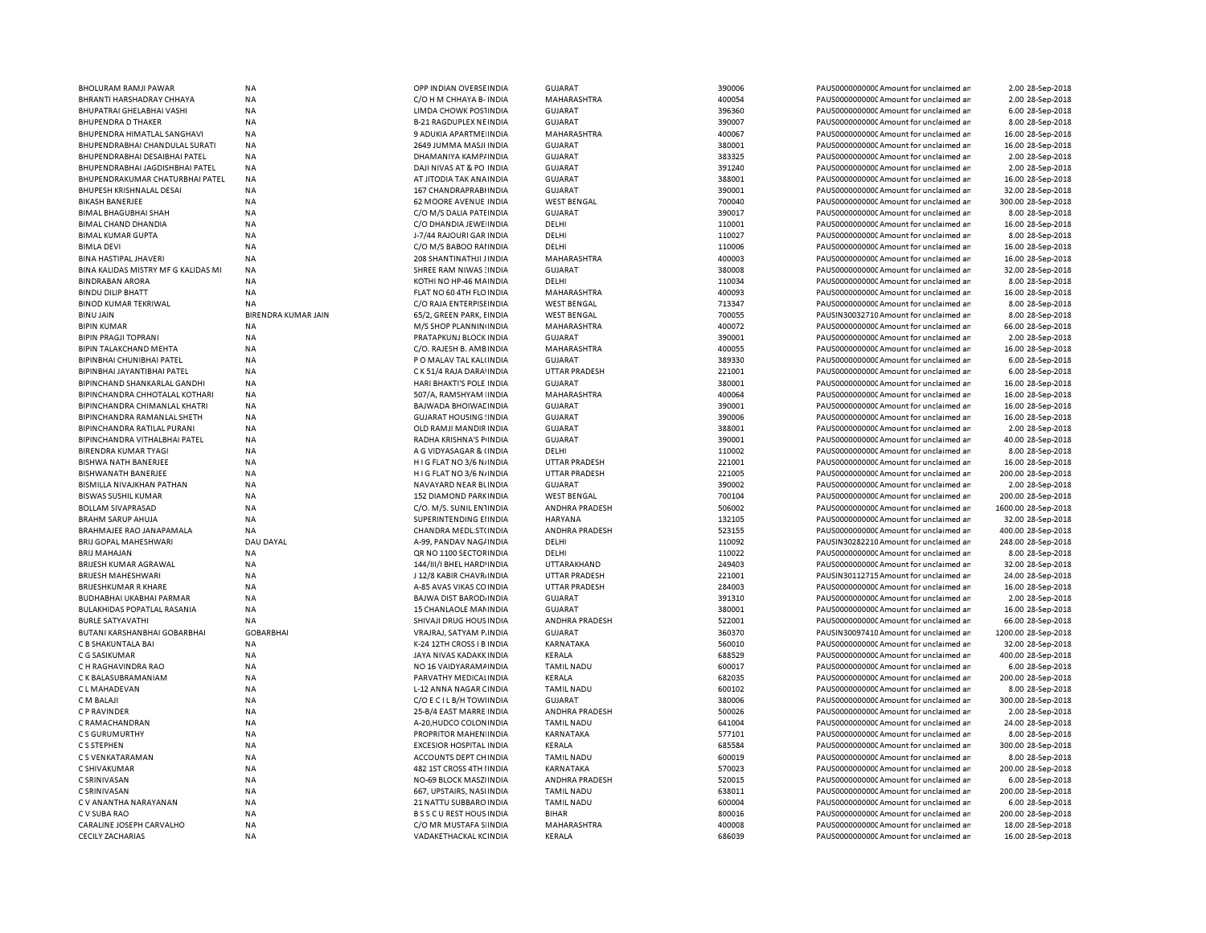| BHOLURAM RAMJI PAWAR                | <b>NA</b>                  | OPP INDIAN OVERSE INDIA        | <b>GUJARAT</b>        | 390006 | PAUS0000000000 Amount for unclaimed an  | 2.00 28-Sep-2018    |
|-------------------------------------|----------------------------|--------------------------------|-----------------------|--------|-----------------------------------------|---------------------|
| BHRANTI HARSHADRAY CHHAYA           | NA                         | C/O H M CHHAYA B- INDIA        | MAHARASHTRA           | 400054 | PAUS0000000000 Amount for unclaimed an  | 2.00 28-Sep-2018    |
| BHUPATRAI GHELABHAI VASHI           | NA                         | LIMDA CHOWK POSTINDIA          | <b>GUJARAT</b>        | 396360 | PAUS0000000000 Amount for unclaimed ar  | 6.00 28-Sep-2018    |
| <b>BHUPENDRA D THAKER</b>           | ΝA                         | <b>B-21 RAGDUPLEX NEINDIA</b>  | <b>GUJARAT</b>        | 390007 | PAUS0000000000 Amount for unclaimed ar  | 8.00 28-Sep-2018    |
| BHUPENDRA HIMATLAL SANGHAVI         | NA                         | 9 ADUKIA APARTME INDIA         | MAHARASHTRA           | 400067 | PAUS0000000000 Amount for unclaimed ar  | 16.00 28-Sep-2018   |
| BHUPENDRABHAI CHANDULAL SURATI      | <b>NA</b>                  | 2649 JUMMA MASJI INDIA         | <b>GUJARAT</b>        | 380001 | PAUS0000000000CAmount for unclaimed ar  | 16.00 28-Sep-2018   |
| BHUPENDRABHAI DESAIBHAI PATEL       | NA                         | DHAMANIYA KAMP/INDIA           | <b>GUJARAT</b>        | 383325 | PAUS0000000000 Amount for unclaimed ar  | 2.00 28-Sep-2018    |
| BHUPENDRABHAI JAGDISHBHAI PATEL     | NA                         | DAJI NIVAS AT & PO INDIA       | <b>GUJARAT</b>        | 391240 | PAUS0000000000 Amount for unclaimed ar  |                     |
|                                     |                            |                                |                       |        |                                         | 2.00 28-Sep-2018    |
| BHUPENDRAKUMAR CHATURBHAI PATEL     | NA                         | AT JITODIA TAK ANA INDIA       | <b>GUJARAT</b>        | 388001 | PAUS0000000000 Amount for unclaimed ar  | 16.00 28-Sep-2018   |
| BHUPESH KRISHNALAL DESAI            | <b>NA</b>                  | 167 CHANDRAPRABI INDIA         | <b>GUJARAT</b>        | 390001 | PAUS0000000000CAmount for unclaimed ar  | 32.00 28-Sep-2018   |
| <b>BIKASH BANERJEE</b>              | ΝA                         | <b>62 MOORE AVENUE INDIA</b>   | <b>WEST BENGAL</b>    | 700040 | PAUS0000000000C Amount for unclaimed ar | 300.00 28-Sep-2018  |
| <b>BIMAL BHAGUBHAI SHAH</b>         | <b>NA</b>                  | C/O M/S DALIA PATEINDIA        | <b>GUJARAT</b>        | 390017 | PAUS0000000000CAmount for unclaimed ar  | 8.00 28-Sep-2018    |
| BIMAL CHAND DHANDIA                 | NA                         | C/O DHANDIA JEWE INDIA         | DELHI                 | 110001 | PAUS0000000000CAmount for unclaimed ar  | 16.00 28-Sep-2018   |
| <b>BIMAL KUMAR GUPTA</b>            | <b>NA</b>                  | J-7/44 RAJOURI GAR INDIA       | DELHI                 | 110027 | PAUS0000000000CAmount for unclaimed ar  | 8.00 28-Sep-2018    |
| <b>BIMLA DEVI</b>                   | <b>NA</b>                  | C/O M/S BABOO RAI INDIA        | DELHI                 | 110006 | PAUS0000000000CAmount for unclaimed ar  | 16.00 28-Sep-2018   |
| <b>BINA HASTIPAL JHAVERI</b>        | <b>NA</b>                  | 208 SHANTINATHJI JINDIA        | MAHARASHTRA           | 400003 | PAUS0000000000 Amount for unclaimed ar  | 16.00 28-Sep-2018   |
| BINA KALIDAS MISTRY MF G KALIDAS MI | <b>NA</b>                  | SHREE RAM NIWAS: INDIA         | <b>GUJARAT</b>        | 380008 | PAUS0000000000CAmount for unclaimed ar  | 32.00 28-Sep-2018   |
| <b>BINDRABAN ARORA</b>              | <b>NA</b>                  | KOTHI NO HP-46 MAINDIA         | DELHI                 | 110034 | PAUS0000000000CAmount for unclaimed ar  | 8.00 28-Sep-2018    |
| <b>BINDU DILIP BHATT</b>            | <b>NA</b>                  | FLAT NO 60 4TH FLO INDIA       | MAHARASHTRA           | 400093 | PAUS0000000000 Amount for unclaimed ar  | 16.00 28-Sep-2018   |
|                                     |                            |                                |                       |        |                                         |                     |
| <b>BINOD KUMAR TEKRIWAL</b>         | <b>NA</b>                  | C/O RAJA ENTERPISE INDIA       | <b>WEST BENGAL</b>    | 713347 | PAUS0000000000 Amount for unclaimed ar  | 8.00 28-Sep-2018    |
| <b>BINU JAIN</b>                    | <b>BIRENDRA KUMAR JAIN</b> | 65/2, GREEN PARK, EINDIA       | <b>WEST BENGAL</b>    | 700055 | PAUSIN30032710 Amount for unclaimed ar  | 8.00 28-Sep-2018    |
| <b>BIPIN KUMAR</b>                  | <b>NA</b>                  | M/S SHOP PLANNIN INDIA         | MAHARASHTRA           | 400072 | PAUS0000000000 Amount for unclaimed ar  | 66.00 28-Sep-2018   |
| <b>BIPIN PRAGJI TOPRANI</b>         | <b>NA</b>                  | PRATAPKUNJ BLOCK INDIA         | <b>GUJARAT</b>        | 390001 | PAUS00000000000Amount for unclaimed an  | 2.00 28-Sep-2018    |
| <b>BIPIN TALAKCHAND MEHTA</b>       | <b>NA</b>                  | C/O. RAJESH B. AMBINDIA        | MAHARASHTRA           | 400055 | PAUS0000000000 Amount for unclaimed ar  | 16.00 28-Sep-2018   |
| <b>BIPINBHAI CHUNIBHAI PATEL</b>    | <b>NA</b>                  | P O MALAV TAL KAL(INDIA        | <b>GUJARAT</b>        | 389330 | PAUS0000000000 Amount for unclaimed ar  | 6.00 28-Sep-2018    |
| BIPINBHAI JAYANTIBHAI PATEL         | NA                         | C K 51/4 RAJA DARA' INDIA      | UTTAR PRADESH         | 221001 | PAUS0000000000 Amount for unclaimed ar  | 6.00 28-Sep-2018    |
| BIPINCHAND SHANKARLAL GANDHI        | <b>NA</b>                  | HARI BHAKTI'S POLE INDIA       | <b>GUJARAT</b>        | 380001 | PAUS0000000000 Amount for unclaimed ar  | 16.00 28-Sep-2018   |
| BIPINCHANDRA CHHOTALAL KOTHARI      | NA                         | 507/A, RAMSHYAM INDIA          | MAHARASHTRA           | 400064 | PAUS0000000000 Amount for unclaimed ar  | 16.00 28-Sep-2018   |
| BIPINCHANDRA CHIMANLAL KHATRI       | <b>NA</b>                  | <b>BAJWADA BHOIWAL INDIA</b>   | <b>GUJARAT</b>        | 390001 | PAUS0000000000 Amount for unclaimed ar  | 16.00 28-Sep-2018   |
| BIPINCHANDRA RAMANLAL SHETH         |                            |                                |                       | 390006 |                                         |                     |
|                                     | ΝA                         | <b>GUJARAT HOUSING ! INDIA</b> | <b>GUJARAT</b>        |        | PAUS00000000000Amount for unclaimed ar  | 16.00 28-Sep-2018   |
| BIPINCHANDRA RATILAL PURANI         | NA                         | OLD RAMJI MANDIR INDIA         | <b>GUJARAT</b>        | 388001 | PAUS0000000000 Amount for unclaimed ar  | 2.00 28-Sep-2018    |
| BIPINCHANDRA VITHALBHAI PATEL       | NA                         | RADHA KRISHNA'S PINDIA         | <b>GUJARAT</b>        | 390001 | PAUS00000000000Amount for unclaimed ar  | 40.00 28-Sep-2018   |
| <b>BIRENDRA KUMAR TYAGI</b>         | NA                         | A G VIDYASAGAR & (INDIA        | DELHI                 | 110002 | PAUS0000000000 Amount for unclaimed ar  | 8.00 28-Sep-2018    |
| <b>BISHWA NATH BANERJEE</b>         | NA                         | H I G FLAT NO 3/6 N/INDIA      | <b>UTTAR PRADESH</b>  | 221001 | PAUS00000000000Amount for unclaimed ar  | 16.00 28-Sep-2018   |
| BISHWANATH BANERJEE                 | NA                         | HIG FLAT NO 3/6 N/INDIA        | UTTAR PRADESH         | 221005 | PAUS0000000000 Amount for unclaimed ar  | 200.00 28-Sep-2018  |
| BISMILLA NIVAJKHAN PATHAN           | <b>NA</b>                  | NAVAYARD NEAR BUNDIA           | <b>GUJARAT</b>        | 390002 | PAUS0000000000CAmount for unclaimed ar  | 2.00 28-Sep-2018    |
| <b>BISWAS SUSHIL KUMAR</b>          | <b>NA</b>                  | 152 DIAMOND PARK INDIA         | <b>WEST BENGAL</b>    | 700104 | PAUS0000000000C Amount for unclaimed ar | 200.00 28-Sep-2018  |
| <b>BOLLAM SIVAPRASAD</b>            | NA                         | C/O. M/S. SUNIL ENTINDIA       | ANDHRA PRADESH        | 506002 | PAUS0000000000CAmount for unclaimed ar  | 1600.00 28-Sep-2018 |
| <b>BRAHM SARUP AHUJA</b>            | <b>NA</b>                  | SUPERINTENDING EIINDIA         | <b>HARYANA</b>        | 132105 | PAUS0000000000 Amount for unclaimed ar  | 32.00 28-Sep-2018   |
| BRAHMAJEE RAO JANAPAMALA            | <b>NA</b>                  | CHANDRA MEDL.ST(INDIA          | <b>ANDHRA PRADESH</b> | 523155 | PAUS0000000000CAmount for unclaimed ar  | 400.00 28-Sep-2018  |
|                                     |                            |                                |                       |        |                                         |                     |
| <b>BRIJ GOPAL MAHESHWARI</b>        | DAU DAYAL                  | A-99, PANDAV NAG/INDIA         | DELHI                 | 110092 | PAUSIN30282210 Amount for unclaimed ar  | 248.00 28-Sep-2018  |
| <b>BRIJ MAHAJAN</b>                 | <b>NA</b>                  | QR NO 1100 SECTOR INDIA        | DELHI                 | 110022 | PAUS0000000000 Amount for unclaimed ar  | 8.00 28-Sep-2018    |
| BRIJESH KUMAR AGRAWAL               | <b>NA</b>                  | 144/III/I BHEL HARD' INDIA     | UTTARAKHAND           | 249403 | PAUS0000000000CAmount for unclaimed ar  | 32.00 28-Sep-2018   |
| <b>BRIJESH MAHESHWARI</b>           | <b>NA</b>                  | J 12/8 KABIR CHAVR INDIA       | <b>UTTAR PRADESH</b>  | 221001 | PAUSIN30112715 Amount for unclaimed ar  | 24.00 28-Sep-2018   |
| <b>BRIJESHKUMAR R KHARE</b>         | <b>NA</b>                  | A-85 AVAS VIKAS CO INDIA       | UTTAR PRADESH         | 284003 | PAUS0000000000C Amount for unclaimed ar | 16.00 28-Sep-2018   |
| <b>BUDHABHAI UKABHAI PARMAR</b>     | <b>NA</b>                  | <b>BAJWA DIST BAROD, INDIA</b> | <b>GUJARAT</b>        | 391310 | PAUS0000000000 Amount for unclaimed ar  | 2.00 28-Sep-2018    |
| BULAKHIDAS POPATLAL RASANIA         | <b>NA</b>                  | 15 CHANLAOLE MANINDIA          | <b>GUJARAT</b>        | 380001 | PAUS0000000000CAmount for unclaimed ar  | 16.00 28-Sep-2018   |
| <b>BURLE SATYAVATHI</b>             | <b>NA</b>                  | SHIVAJI DRUG HOUS INDIA        | ANDHRA PRADESH        | 522001 | PAUS0000000000CAmount for unclaimed ar  | 66.00 28-Sep-2018   |
| BUTANI KARSHANBHAI GOBARBHAI        | <b>GOBARBHAI</b>           | VRAJRAJ, SATYAM P. INDIA       | <b>GUJARAT</b>        | 360370 | PAUSIN30097410 Amount for unclaimed ar  | 1200.00 28-Sep-2018 |
| C B SHAKUNTALA BAI                  | <b>NA</b>                  | K-24 12TH CROSS I B INDIA      | <b>KARNATAKA</b>      | 560010 | PAUS0000000000 Amount for unclaimed ar  | 32.00 28-Sep-2018   |
| C G SASIKUMAR                       | <b>NA</b>                  | JAYA NIVAS KADAKK INDIA        | KERALA                | 688529 | PAUS0000000000CAmount for unclaimed ar  | 400.00 28-Sep-2018  |
|                                     |                            |                                |                       |        |                                         |                     |
| C H RAGHAVINDRA RAO                 | NA                         | NO 16 VAIDYARAM / INDIA        | <b>TAMIL NADU</b>     | 600017 | PAUS0000000000CAmount for unclaimed ar  | 6.00 28-Sep-2018    |
| C K BALASUBRAMANIAM                 | NA                         | PARVATHY MEDICALINDIA          | KERALA                | 682035 | PAUS0000000000 Amount for unclaimed ar  | 200.00 28-Sep-2018  |
| C L MAHADEVAN                       | <b>NA</b>                  | L-12 ANNA NAGAR CINDIA         | <b>TAMIL NADU</b>     | 600102 | PAUS0000000000 Amount for unclaimed ar  | 8.00 28-Sep-2018    |
| C M BALAJI                          | <b>NA</b>                  | C/O E C I L B/H TOWINDIA       | <b>GUJARAT</b>        | 380006 | PAUS0000000000 Amount for unclaimed ar  | 300.00 28-Sep-2018  |
| C P RAVINDER                        | NA                         | 25-B/4 EAST MARRE INDIA        | ANDHRA PRADESH        | 500026 | PAUS0000000000 Amount for unclaimed ar  | 2.00 28-Sep-2018    |
| C RAMACHANDRAN                      | <b>NA</b>                  | A-20, HUDCO COLON IN DIA       | <b>TAMIL NADU</b>     | 641004 | PAUS00000000000Amount for unclaimed ar  | 24.00 28-Sep-2018   |
| C S GURUMURTHY                      | <b>NA</b>                  | PROPRITOR MAHEN INDIA          | KARNATAKA             | 577101 | PAUS0000000000 Amount for unclaimed ar  | 8.00 28-Sep-2018    |
| C S STEPHEN                         | <b>NA</b>                  | <b>EXCESIOR HOSPITAL INDIA</b> | <b>KERALA</b>         | 685584 | PAUS0000000000 Amount for unclaimed ar  | 300.00 28-Sep-2018  |
| C S VENKATARAMAN                    | <b>NA</b>                  | ACCOUNTS DEPT CHINDIA          | <b>TAMIL NADU</b>     | 600019 | PAUS0000000000 Amount for unclaimed ar  | 8.00 28-Sep-2018    |
| C SHIVAKUMAR                        | <b>NA</b>                  | 482 1ST CROSS 4TH I INDIA      | KARNATAKA             | 570023 | PAUS0000000000 Amount for unclaimed ar  |                     |
|                                     |                            |                                |                       |        |                                         | 200.00 28-Sep-2018  |
| C SRINIVASAN                        | NA                         | NO-69 BLOCK MASZI INDIA        | <b>ANDHRA PRADESH</b> | 520015 | PAUS00000000000Amount for unclaimed ar  | 6.00 28-Sep-2018    |
| C SRINIVASAN                        | NA                         | 667, UPSTAIRS, NASHNDIA        | <b>TAMIL NADU</b>     | 638011 | PAUS0000000000 Amount for unclaimed ar  | 200.00 28-Sep-2018  |
| C V ANANTHA NARAYANAN               | ΝA                         | 21 NATTU SUBBARO INDIA         | <b>TAMIL NADU</b>     | 600004 | PAUS00000000000Amount for unclaimed ar  | 6.00 28-Sep-2018    |
| C V SUBA RAO                        | <b>NA</b>                  | <b>BSSCUREST HOUS INDIA</b>    | <b>BIHAR</b>          | 800016 | PAUS0000000000 Amount for unclaimed ar  | 200.00 28-Sep-2018  |
| CARALINE JOSEPH CARVALHO            | NA                         | C/O MR MUSTAFA S INDIA         | MAHARASHTRA           | 400008 | PAUS0000000000 Amount for unclaimed ar  | 18.00 28-Sep-2018   |
| <b>CECILY ZACHARIAS</b>             | NA                         | VADAKETHACKAL KC INDIA         | KERALA                | 686039 | PAUS0000000000 Amount for unclaimed ar  | 16.00 28-Sep-2018   |
|                                     |                            |                                |                       |        |                                         |                     |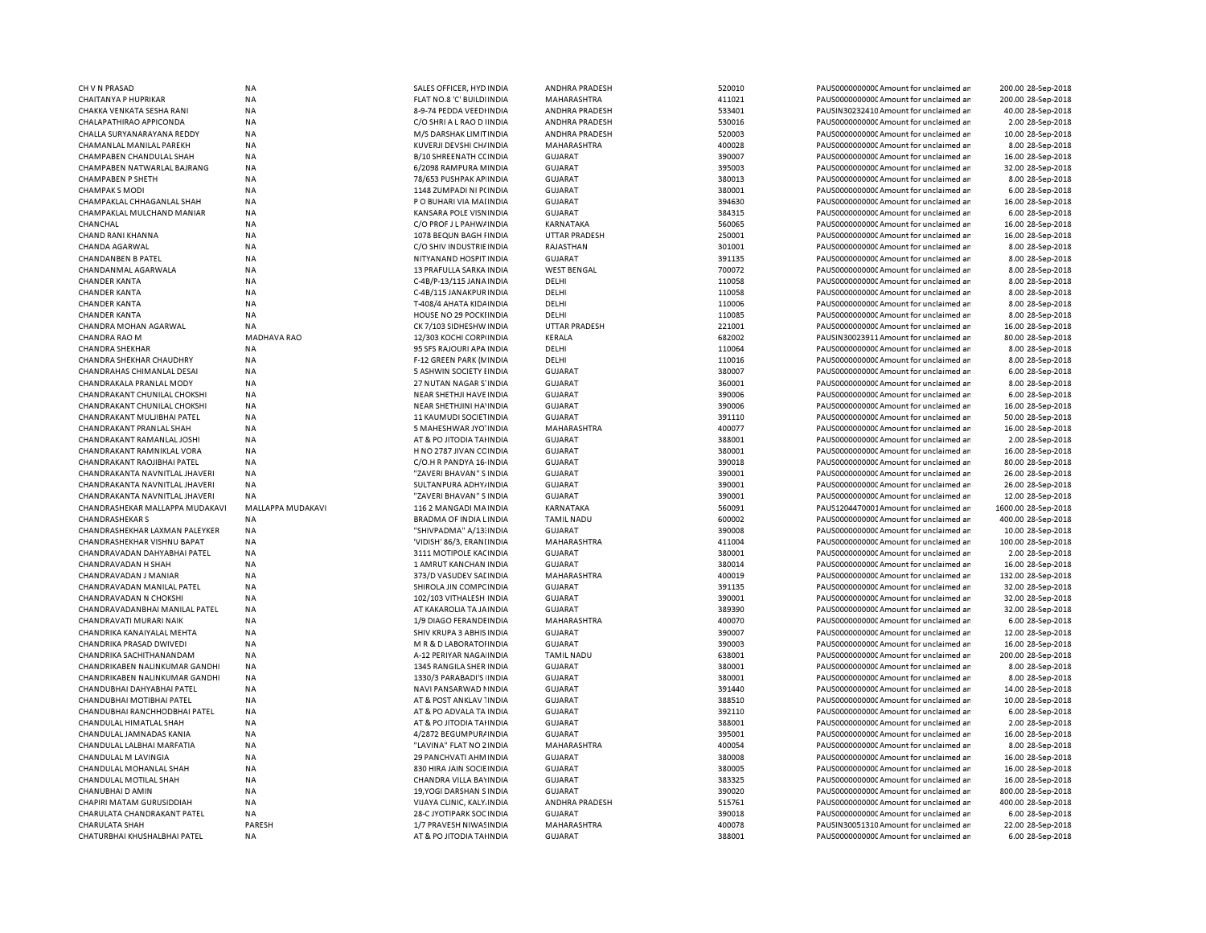| CH V N PRASAD                                         | <b>NA</b>           | SALES OFFICER, HYD INDIA                           | <b>ANDHRA PRADESH</b>         | 520010           | PAUS00000000000 Amount for unclaimed ar                                          | 200.00 28-Sep-2018                    |
|-------------------------------------------------------|---------------------|----------------------------------------------------|-------------------------------|------------------|----------------------------------------------------------------------------------|---------------------------------------|
| CHAITANYA P HUPRIKAR                                  | NA                  | FLAT NO.8 'C' BUILDI INDIA                         | MAHARASHTRA                   | 411021           | PAUS0000000000 Amount for unclaimed an                                           | 200.00 28-Sep-2018                    |
| CHAKKA VENKATA SESHA RANI                             | <b>NA</b>           | 8-9-74 PEDDA VEEDHNDIA                             | <b>ANDHRA PRADESH</b>         | 533401           | PAUSIN30232410 Amount for unclaimed ar                                           | 40.00 28-Sep-2018                     |
| CHALAPATHIRAO APPICONDA                               | NA                  | C/O SHRI A L RAO D I INDIA                         | <b>ANDHRA PRADESH</b>         | 530016           | PAUS0000000000CAmount for unclaimed ar                                           | 2.00 28-Sep-2018                      |
| CHALLA SURYANARAYANA REDDY                            | <b>NA</b>           | M/S DARSHAK LIMIT INDIA                            | ANDHRA PRADESH                | 520003           | PAUS0000000000C Amount for unclaimed ar                                          | 10.00 28-Sep-2018                     |
| CHAMANLAL MANILAL PAREKH                              | <b>NA</b>           | KUVERJI DEVSHI CH/ INDIA                           | MAHARASHTRA                   | 400028           | PAUS0000000000 Amount for unclaimed ar                                           | 8.00 28-Sep-2018                      |
| CHAMPABEN CHANDULAL SHAH                              | <b>NA</b>           | B/10 SHREENATH CC INDIA                            | <b>GUJARAT</b>                | 390007           | PAUS00000000000Amount for unclaimed an                                           | 16.00 28-Sep-2018                     |
| CHAMPABEN NATWARLAL BAJRANG                           | <b>NA</b>           | 6/2098 RAMPURA MINDIA                              | <b>GUJARAT</b>                | 395003           | PAUS0000000000 Amount for unclaimed ar                                           | 32.00 28-Sep-2018                     |
|                                                       |                     |                                                    |                               |                  |                                                                                  |                                       |
| <b>CHAMPABEN P SHETH</b>                              | NA                  | 78/653 PUSHPAK AP INDIA                            | <b>GUJARAT</b>                | 380013           | PAUS0000000000C Amount for unclaimed ar                                          | 8.00 28-Sep-2018                      |
| <b>CHAMPAK S MODI</b>                                 | <b>NA</b>           | 1148 ZUMPADI NI P(INDIA                            | <b>GUJARAT</b>                | 380001           | PAUS0000000000 Amount for unclaimed ar                                           | 6.00 28-Sep-2018                      |
| CHAMPAKLAL CHHAGANLAL SHAH                            | <b>NA</b>           | P O BUHARI VIA MAI INDIA                           | <b>GUJARAT</b>                | 394630           | PAUS0000000000 Amount for unclaimed ar                                           | 16.00 28-Sep-2018                     |
| CHAMPAKLAL MULCHAND MANIAR                            | <b>NA</b>           | KANSARA POLE VISNINDIA                             | <b>GUJARAT</b>                | 384315           | PAUS00000000000 Amount for unclaimed an                                          | 6.00 28-Sep-2018                      |
| CHANCHAL                                              | <b>NA</b>           | C/O PROF J L PAHW/ INDIA                           | KARNATAKA                     | 560065           | PAUS0000000000 Amount for unclaimed ar                                           | 16.00 28-Sep-2018                     |
| CHAND RANI KHANNA                                     | <b>NA</b>           | 1078 BEQUN BAGH FINDIA                             | <b>UTTAR PRADESH</b>          | 250001           | PAUS00000000000 Amount for unclaimed an                                          | 16.00 28-Sep-2018                     |
| CHANDA AGARWAL                                        | <b>NA</b>           | C/O SHIV INDUSTRIE INDIA                           | <b>RAJASTHAN</b>              | 301001           | PAUS0000000000CAmount for unclaimed ar                                           | 8.00 28-Sep-2018                      |
| <b>CHANDANBEN B PATEL</b>                             | NA                  | NITYANAND HOSPIT INDIA                             | <b>GUJARAT</b>                | 391135           | PAUS00000000000 Amount for unclaimed an                                          | 8.00 28-Sep-2018                      |
| CHANDANMAL AGARWALA                                   | <b>NA</b>           | 13 PRAFULLA SARKA INDIA                            | <b>WEST BENGAL</b>            | 700072           | PAUS0000000000CAmount for unclaimed ar                                           | 8.00 28-Sep-2018                      |
| <b>CHANDER KANTA</b>                                  | NA                  | C-4B/P-13/115 JANA INDIA                           | DELHI                         | 110058           | PAUS0000000000 Amount for unclaimed ar                                           | 8.00 28-Sep-2018                      |
| <b>CHANDER KANTA</b>                                  | <b>NA</b>           | C-4B/115 JANAKPUR INDIA                            | DELHI                         | 110058           | PAUS0000000000 Amount for unclaimed ar                                           | 8.00 28-Sep-2018                      |
| <b>CHANDER KANTA</b>                                  | <b>NA</b>           | T-408/4 AHATA KIDA INDIA                           | DELHI                         | 110006           | PAUS0000000000 Amount for unclaimed an                                           | 8.00 28-Sep-2018                      |
| <b>CHANDER KANTA</b>                                  | <b>NA</b>           | HOUSE NO 29 POCKLINDIA                             | DELHI                         | 110085           | PAUS0000000000CAmount for unclaimed ar                                           | 8.00 28-Sep-2018                      |
| CHANDRA MOHAN AGARWAL                                 | NA                  | CK 7/103 SIDHESHW INDIA                            | <b>UTTAR PRADESH</b>          | 221001           | PAUS0000000000 Amount for unclaimed ar                                           | 16.00 28-Sep-2018                     |
|                                                       |                     |                                                    |                               |                  |                                                                                  |                                       |
| CHANDRA RAO M                                         | <b>MADHAVA RAO</b>  | 12/303 KOCHI CORPINDIA                             | KERALA                        | 682002           | PAUSIN30023911 Amount for unclaimed ar                                           | 80.00 28-Sep-2018                     |
| <b>CHANDRA SHEKHAR</b>                                | <b>NA</b>           | 95 SFS RAJOURI APA INDIA                           | DELHI                         | 110064           | PAUS0000000000C Amount for unclaimed an                                          | 8.00 28-Sep-2018                      |
| CHANDRA SHEKHAR CHAUDHRY                              | NA                  | F-12 GREEN PARK (N INDIA                           | DELHI                         | 110016           | PAUS0000000000 Amount for unclaimed an                                           | 8.00 28-Sep-2018                      |
| CHANDRAHAS CHIMANLAL DESAI                            | NA                  | 5 ASHWIN SOCIETY I INDIA                           | <b>GUJARAT</b>                | 380007           | PAUS0000000000C Amount for unclaimed ar                                          | 6.00 28-Sep-2018                      |
| CHANDRAKALA PRANLAL MODY                              | <b>NA</b>           | 27 NUTAN NAGAR S'INDIA                             | <b>GUJARAT</b>                | 360001           | PAUS0000000000 Amount for unclaimed ar                                           | 8.00 28-Sep-2018                      |
| CHANDRAKANT CHUNILAL CHOKSHI                          | <b>NA</b>           | NEAR SHETHJI HAVE INDIA                            | <b>GUJARAT</b>                | 390006           | PAUS0000000000 Amount for unclaimed an                                           | 6.00 28-Sep-2018                      |
| CHANDRAKANT CHUNILAL CHOKSHI                          | <b>NA</b>           | NEAR SHETHJINI HA'INDIA                            | <b>GUJARAT</b>                | 390006           | PAUS0000000000 Amount for unclaimed ar                                           | 16.00 28-Sep-2018                     |
| CHANDRAKANT MULJIBHAI PATEL                           | <b>NA</b>           | 11 KAUMUDI SOCIETINDIA                             | GUJARAT                       | 391110           | PAUS0000000000CAmount for unclaimed ar                                           | 50.00 28-Sep-2018                     |
| CHANDRAKANT PRANLAL SHAH                              | <b>NA</b>           | 5 MAHESHWAR JYO' INDIA                             | MAHARASHTRA                   | 400077           | PAUS0000000000CAmount for unclaimed ar                                           | 16.00 28-Sep-2018                     |
| CHANDRAKANT RAMANLAL JOSHI                            | <b>NA</b>           | AT & PO JITODIA TAHNDIA                            | <b>GUJARAT</b>                | 388001           | PAUS00000000000Amount for unclaimed an                                           | 2.00 28-Sep-2018                      |
| CHANDRAKANT RAMNIKLAL VORA                            | <b>NA</b>           | H NO 2787 JIVAN CC INDIA                           | <b>GUJARAT</b>                | 380001           | PAUS00000000000 Amount for unclaimed an                                          | 16.00 28-Sep-2018                     |
| CHANDRAKANT RAOJIBHAI PATEL                           | NA                  | C/O.H R PANDYA 16- INDIA                           | <b>GUJARAT</b>                | 390018           | PAUS0000000000 Amount for unclaimed ar                                           | 80.00 28-Sep-2018                     |
| CHANDRAKANTA NAVNITLAL JHAVERI                        | <b>NA</b>           | "ZAVERI BHAVAN" S INDIA                            | <b>GUJARAT</b>                | 390001           | PAUS0000000000 Amount for unclaimed ar                                           | 26.00 28-Sep-2018                     |
| CHANDRAKANTA NAVNITLAL JHAVERI                        | <b>NA</b>           |                                                    | <b>GUJARAT</b>                | 390001           | PAUS0000000000 Amount for unclaimed ar                                           | 26.00 28-Sep-2018                     |
|                                                       |                     | SULTANPURA ADHY/INDIA                              |                               |                  |                                                                                  |                                       |
| CHANDRAKANTA NAVNITLAL JHAVERI                        | <b>NA</b>           | "ZAVERI BHAVAN" S INDIA                            | <b>GUJARAT</b>                | 390001           | PAUS0000000000 Amount for unclaimed an                                           | 12.00 28-Sep-2018                     |
| CHANDRASHEKAR MALLAPPA MUDAKAVI                       | MALLAPPA MUDAKAVI   | 116 2 MANGADI MA INDIA                             | <b>KARNATAKA</b>              | 560091           | PAUS1204470001Amount for unclaimed ar                                            | 1600.00 28-Sep-2018                   |
| <b>CHANDRASHEKAR S</b>                                | NA                  | BRADMA OF INDIA LINDIA                             | <b>TAMIL NADU</b>             | 600002           | PAUS0000000000 Amount for unclaimed ar                                           | 400.00 28-Sep-2018                    |
| CHANDRASHEKHAR LAXMAN PALEYKER                        |                     |                                                    |                               |                  |                                                                                  |                                       |
|                                                       | <b>NA</b>           | "SHIVPADMA" A/13: INDIA                            | <b>GUJARAT</b>                | 390008           | PAUS0000000000 Amount for unclaimed ar                                           | 10.00 28-Sep-2018                     |
| CHANDRASHEKHAR VISHNU BAPAT                           | <b>NA</b>           | 'VIDISH' 86/3, ERANI INDIA                         | MAHARASHTRA                   | 411004           | PAUS0000000000 Amount for unclaimed an                                           | 100.00 28-Sep-2018                    |
| CHANDRAVADAN DAHYABHAI PATEL                          | <b>NA</b>           | 3111 MOTIPOLE KACINDIA                             | <b>GUJARAT</b>                | 380001           | PAUS0000000000 Amount for unclaimed ar                                           | 2.00 28-Sep-2018                      |
| <b>CHANDRAVADAN H SHAH</b>                            | NA                  | 1 AMRUT KANCHAN INDIA                              | <b>GUJARAT</b>                | 380014           | PAUS0000000000C Amount for unclaimed ar                                          | 16.00 28-Sep-2018                     |
| CHANDRAVADAN J MANIAR                                 | <b>NA</b>           | 373/D VASUDEV SALINDIA                             | MAHARASHTRA                   | 400019           | PAUS0000000000 Amount for unclaimed ar                                           | 132.00 28-Sep-2018                    |
|                                                       |                     |                                                    |                               |                  |                                                                                  |                                       |
| CHANDRAVADAN MANILAL PATEL                            | NA                  | SHIROLA JIN COMPC INDIA                            | <b>GUJARAT</b>                | 391135           | PAUS0000000000C Amount for unclaimed ar                                          | 32.00 28-Sep-2018                     |
| CHANDRAVADAN N CHOKSHI                                | NA                  | 102/103 VITHALESH INDIA                            | <b>GUJARAT</b>                | 390001           | PAUS0000000000 Amount for unclaimed ar                                           | 32.00 28-Sep-2018                     |
| CHANDRAVADANBHAI MANILAL PATEL                        | NA                  | AT KAKAROLIA TA JA INDIA                           | <b>GUJARAT</b>                | 389390           | PAUS0000000000 Amount for unclaimed ar                                           | 32.00 28-Sep-2018                     |
| CHANDRAVATI MURARI NAIK                               | <b>NA</b>           | 1/9 DIAGO FERANDE INDIA                            | MAHARASHTRA                   | 400070           | PAUS0000000000CAmount for unclaimed ar                                           | 6.00 28-Sep-2018                      |
| CHANDRIKA KANAIYALAL MEHTA                            | <b>NA</b>           | SHIV KRUPA 3 ABHIS INDIA                           | <b>GUJARAT</b>                | 390007           | PAUS0000000000CAmount for unclaimed ar                                           | 12.00 28-Sep-2018                     |
| CHANDRIKA PRASAD DWIVEDI                              | <b>NA</b>           | M R & D LABORATOHNDIA                              | GUJARAT                       | 390003           | PAUS00000000000Amount for unclaimed an                                           | 16.00 28-Sep-2018                     |
| CHANDRIKA SACHITHANANDAM                              | <b>NA</b>           | A-12 PERIYAR NAGA INDIA                            | <b>TAMIL NADU</b>             | 638001           | PAUS0000000000CAmount for unclaimed ar                                           | 200.00 28-Sep-2018                    |
| CHANDRIKABEN NALINKUMAR GANDHI                        | <b>NA</b>           | 1345 RANGILA SHER INDIA                            | GUJARAT                       | 380001           | PAUS00000000000Amount for unclaimed an                                           | 8.00 28-Sep-2018                      |
| CHANDRIKABEN NALINKUMAR GANDHI                        | <b>NA</b>           | 1330/3 PARABADI'S INDIA                            | <b>GUJARAT</b>                | 380001           | PAUS0000000000CAmount for unclaimed ar                                           | 8.00 28-Sep-2018                      |
| CHANDUBHAI DAHYABHAI PATEL                            | <b>NA</b>           | NAVI PANSARWAD NINDIA                              | GUJARAT                       | 391440           | PAUS00000000000Amount for unclaimed an                                           | 14.00 28-Sep-2018                     |
| CHANDUBHAI MOTIBHAI PATEL                             | <b>NA</b>           | AT & POST ANKLAV 1 IN DIA                          | <b>GUJARAT</b>                | 388510           | PAUS0000000000 Amount for unclaimed ar                                           | 10.00 28-Sep-2018                     |
| CHANDUBHAI RANCHHODBHAI PATEL                         | NA                  | AT & PO ADVALA TA INDIA                            | <b>GUJARAT</b>                | 392110           | PAUS0000000000 Amount for unclaimed ar                                           | 6.00 28-Sep-2018                      |
| CHANDULAL HIMATLAL SHAH                               | <b>NA</b>           | AT & PO JITODIA TAHNDIA                            | <b>GUJARAT</b>                | 388001           | PAUS0000000000 Amount for unclaimed ar                                           | 2.00 28-Sep-2018                      |
|                                                       |                     |                                                    |                               |                  |                                                                                  |                                       |
| CHANDULAL JAMNADAS KANIA                              | <b>NA</b>           | 4/2872 BEGUMPUR/ INDIA                             | <b>GUJARAT</b>                | 395001           | PAUS0000000000 Amount for unclaimed an                                           | 16.00 28-Sep-2018                     |
| CHANDULAL LALBHAI MARFATIA                            | <b>NA</b>           | "LAVINA" FLAT NO 2 INDIA                           | <b>MAHARASHTRA</b>            | 400054           | PAUS0000000000 Amount for unclaimed ar                                           | 8.00 28-Sep-2018                      |
| CHANDULAL M LAVINGIA                                  | NA                  | 29 PANCHVATI AHM INDIA                             | <b>GUJARAT</b>                | 380008           | PAUS0000000000 Amount for unclaimed ar                                           | 16.00 28-Sep-2018                     |
| CHANDULAL MOHANLAL SHAH                               | NA                  | 830 HIRA JAIN SOCIE INDIA                          | <b>GUJARAT</b>                | 380005           | PAUS0000000000 Amount for unclaimed ar                                           | 16.00 28-Sep-2018                     |
| CHANDULAL MOTILAL SHAH                                | <b>NA</b>           | CHANDRA VILLA BAYINDIA                             | <b>GUJARAT</b>                | 383325           | PAUS0000000000CAmount for unclaimed ar                                           | 16.00 28-Sep-2018                     |
| CHANUBHAI D AMIN                                      | NA                  | 19, YOGI DARSHAN S INDIA                           | <b>GUJARAT</b>                | 390020           | PAUS0000000000 Amount for unclaimed ar                                           | 800.00 28-Sep-2018                    |
| CHAPIRI MATAM GURUSIDDIAH                             | NA                  | VIJAYA CLINIC, KALY. INDIA                         | <b>ANDHRA PRADESH</b>         | 515761           | PAUS00000000000Amount for unclaimed ar                                           | 400.00 28-Sep-2018                    |
| CHARULATA CHANDRAKANT PATEL                           | NA                  | 28-C JYOTIPARK SOC INDIA                           | <b>GUJARAT</b>                | 390018           | PAUS0000000000 Amount for unclaimed ar                                           | 6.00 28-Sep-2018                      |
| <b>CHARULATA SHAH</b><br>CHATURBHAI KHUSHALBHAI PATEL | PARESH<br><b>NA</b> | 1/7 PRAVESH NIWAS INDIA<br>AT & PO JITODIA TAHNDIA | MAHARASHTRA<br><b>GUJARAT</b> | 400078<br>388001 | PAUSIN30051310 Amount for unclaimed ar<br>PAUS0000000000 Amount for unclaimed an | 22.00 28-Sep-2018<br>6.00 28-Sep-2018 |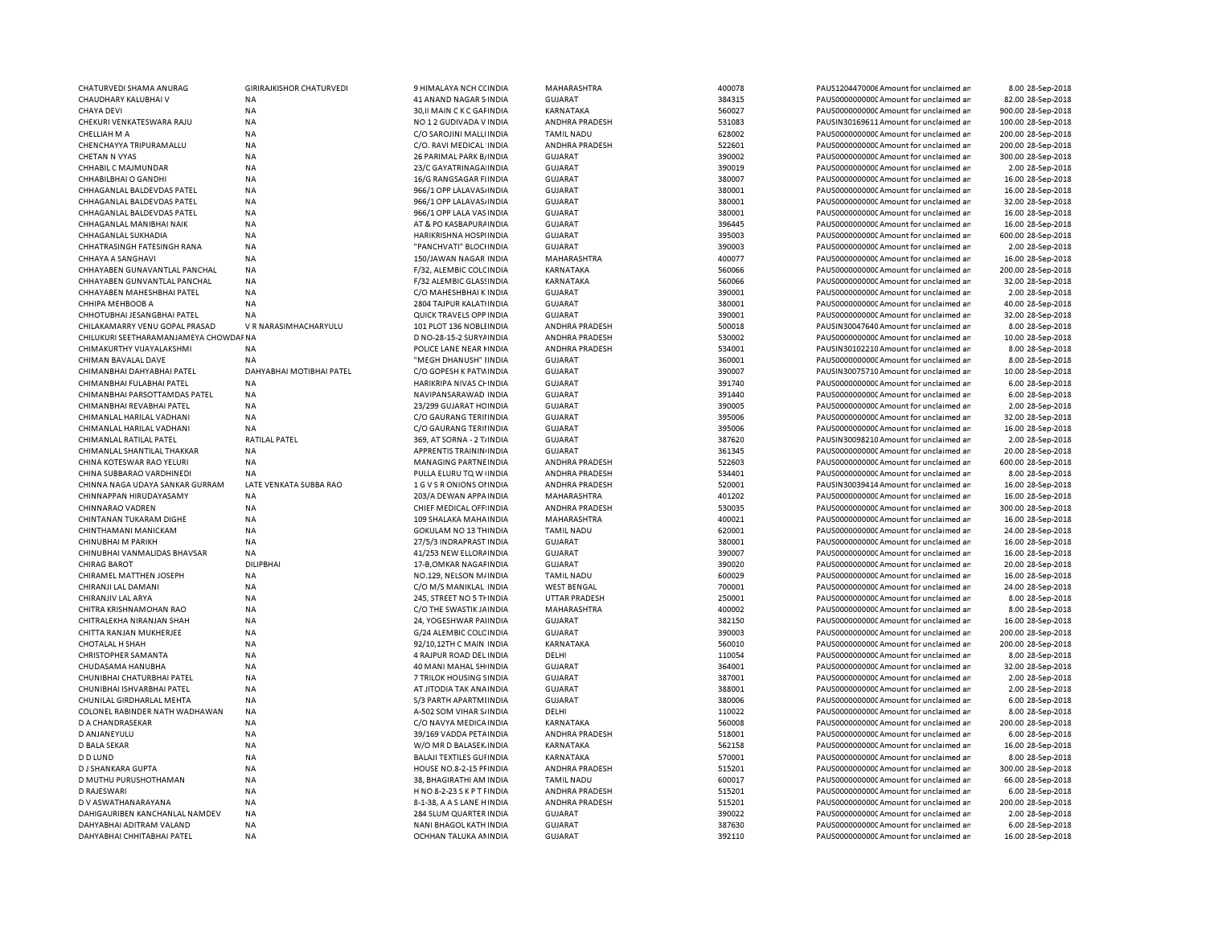| CHATURVEDI SHAMA ANURAG               | <b>GIRIRAJKISHOR CHATURVEDI</b> | 9 HIMALAYA NCH C(INDIA           | MAHARASHTRA           | 400078 | PAUS1204470006 Amount for unclaimed ar  | 8.00 28-Sep-2018   |
|---------------------------------------|---------------------------------|----------------------------------|-----------------------|--------|-----------------------------------------|--------------------|
| CHAUDHARY KALUBHAI V                  | <b>NA</b>                       | 41 ANAND NAGAR S INDIA           | <b>GUJARAT</b>        | 384315 | PAUS0000000000 Amount for unclaimed ar  | 82.00 28-Sep-2018  |
| <b>CHAYA DEVI</b>                     | <b>NA</b>                       | 30, II MAIN C K C GAI INDIA      | KARNATAKA             | 560027 | PAUS0000000000 Amount for unclaimed ar  | 900.00 28-Sep-2018 |
| CHEKURI VENKATESWARA RAJU             | <b>NA</b>                       | NO 12 GUDIVADA V INDIA           | ANDHRA PRADESH        | 531083 | PAUSIN30169611 Amount for unclaimed ar  | 100.00 28-Sep-2018 |
| CHELLIAH M A                          | <b>NA</b>                       | C/O SAROJINI MALLIINDIA          | <b>TAMIL NADU</b>     | 628002 | PAUS0000000000C Amount for unclaimed ar | 200.00 28-Sep-2018 |
| CHENCHAYYA TRIPURAMALLU               | <b>NA</b>                       | C/O. RAVI MEDICAL INDIA          | ANDHRA PRADESH        | 522601 | PAUS0000000000 Amount for unclaimed ar  | 200.00 28-Sep-2018 |
| CHETAN N VYAS                         | <b>NA</b>                       | 26 PARIMAL PARK B/ INDIA         | <b>GUJARAT</b>        | 390002 | PAUS0000000000CAmount for unclaimed ar  | 300.00 28-Sep-2018 |
| CHHABIL C MAJMUNDAR                   | <b>NA</b>                       | 23/C GAYATRINAGA INDIA           | <b>GUJARAT</b>        | 390019 | PAUS0000000000 Amount for unclaimed ar  | 2.00 28-Sep-2018   |
|                                       |                                 |                                  |                       |        |                                         |                    |
| CHHABILBHAI O GANDHI                  | <b>NA</b>                       | 16/G RANGSAGAR FIINDIA           | <b>GUJARAT</b>        | 380007 | PAUS0000000000C Amount for unclaimed ar | 16.00 28-Sep-2018  |
| CHHAGANLAL BALDEVDAS PATEL            | <b>NA</b>                       | 966/1 OPP LALAVAS/ INDIA         | <b>GUJARAT</b>        | 380001 | PAUS0000000000 Amount for unclaimed ar  | 16.00 28-Sep-2018  |
| CHHAGANLAL BALDEVDAS PATEL            | <b>NA</b>                       | 966/1 OPP LALAVAS/ INDIA         | <b>GUJARAT</b>        | 380001 | PAUS0000000000 Amount for unclaimed ar  | 32.00 28-Sep-2018  |
| CHHAGANLAL BALDEVDAS PATEL            | <b>NA</b>                       | 966/1 OPP LALA VAS INDIA         | <b>GUJARAT</b>        | 380001 | PAUS0000000000 Amount for unclaimed ar  | 16.00 28-Sep-2018  |
| CHHAGANLAL MANIBHAI NAIK              | <b>NA</b>                       | AT & PO KASBAPURA INDIA          | <b>GUJARAT</b>        | 396445 | PAUS0000000000 Amount for unclaimed ar  | 16.00 28-Sep-2018  |
| CHHAGANLAL SUKHADIA                   | <b>NA</b>                       | HARIKRISHNA HOSPI INDIA          | <b>GUJARAT</b>        | 395003 | PAUS0000000000 Amount for unclaimed ar  | 600.00 28-Sep-2018 |
| CHHATRASINGH FATESINGH RANA           | <b>NA</b>                       | "PANCHVATI" BLOCHNDIA            | <b>GUJARAT</b>        | 390003 | PAUS0000000000 Amount for unclaimed ar  | 2.00 28-Sep-2018   |
| CHHAYA A SANGHAVI                     | <b>NA</b>                       | 150/JAWAN NAGAR INDIA            | MAHARASHTRA           | 400077 | PAUS0000000000 Amount for unclaimed ar  | 16.00 28-Sep-2018  |
| CHHAYABEN GUNAVANTLAL PANCHAL         | <b>NA</b>                       | F/32, ALEMBIC COLCINDIA          | <b>KARNATAKA</b>      | 560066 | PAUS0000000000CAmount for unclaimed ar  | 200.00 28-Sep-2018 |
| CHHAYABEN GUNVANTLAL PANCHAL          | NA                              | F/32 ALEMBIC GLASSINDIA          | KARNATAKA             | 560066 | PAUS0000000000 Amount for unclaimed ar  | 32.00 28-Sep-2018  |
| CHHAYABEN MAHESHBHAI PATEL            | <b>NA</b>                       | C/O MAHESHBHAI K INDIA           | <b>GUJARAT</b>        | 390001 | PAUS0000000000CAmount for unclaimed an  | 2.00 28-Sep-2018   |
|                                       |                                 |                                  |                       |        |                                         |                    |
| CHHIPA MEHBOOB A                      | NA                              | 2804 TAJPUR KALATIINDIA          | <b>GUJARAT</b>        | 380001 | PAUS0000000000 Amount for unclaimed ar  | 40.00 28-Sep-2018  |
| CHHOTUBHAI JESANGBHAI PATEL           | NA                              | QUICK TRAVELS OPP INDIA          | <b>GUJARAT</b>        | 390001 | PAUS0000000000CAmount for unclaimed ar  | 32.00 28-Sep-2018  |
| CHILAKAMARRY VENU GOPAL PRASAD        | V R NARASIMHACHARYULU           | 101 PLOT 136 NOBLEINDIA          | ANDHRA PRADESH        | 500018 | PAUSIN30047640 Amount for unclaimed ar  | 8.00 28-Sep-2018   |
| CHILUKURI SEETHARAMANJAMEYA CHOWDAFNA |                                 | D NO-28-15-2 SURY / INDIA        | ANDHRA PRADESH        | 530002 | PAUS0000000000 Amount for unclaimed ar  | 10.00 28-Sep-2018  |
| CHIMAKURTHY VIJAYALAKSHMI             | NA                              | POLICE LANE NEAR HINDIA          | ANDHRA PRADESH        | 534001 | PAUSIN30102210 Amount for unclaimed ar  | 8.00 28-Sep-2018   |
| CHIMAN BAVALAL DAVE                   | NA                              | "MEGH DHANUSH" IINDIA            | <b>GUJARAT</b>        | 360001 | PAUS0000000000 Amount for unclaimed ar  | 8.00 28-Sep-2018   |
| CHIMANBHAI DAHYABHAI PATEL            | DAHYABHAI MOTIBHAI PATEL        | C/O GOPESH K PATVINDIA           | <b>GUJARAT</b>        | 390007 | PAUSIN30075710 Amount for unclaimed ar  | 10.00 28-Sep-2018  |
| CHIMANBHAI FULABHAI PATEL             | <b>NA</b>                       | HARIKRIPA NIVAS CHINDIA          | <b>GUJARAT</b>        | 391740 | PAUS0000000000 Amount for unclaimed ar  | 6.00 28-Sep-2018   |
| CHIMANBHAI PARSOTTAMDAS PATEL         | <b>NA</b>                       | NAVIPANSARAWAD INDIA             | GUJARAT               | 391440 | PAUS0000000000C Amount for unclaimed ar | 6.00 28-Sep-2018   |
| CHIMANBHAI REVABHAI PATEL             | NA                              | 23/299 GUJARAT HC INDIA          | <b>GUJARAT</b>        | 390005 | PAUS0000000000 Amount for unclaimed ar  | 2.00 28-Sep-2018   |
| CHIMANLAL HARILAL VADHANI             | <b>NA</b>                       | C/O GAURANG TERIHNDIA            | GUJARAT               | 395006 | PAUS0000000000CAmount for unclaimed ar  | 32.00 28-Sep-2018  |
| CHIMANLAL HARILAL VADHANI             | <b>NA</b>                       |                                  | <b>GUJARAT</b>        | 395006 | PAUS0000000000C Amount for unclaimed ar | 16.00 28-Sep-2018  |
|                                       |                                 | C/O GAURANG TERIHNDIA            |                       |        |                                         |                    |
| CHIMANLAL RATILAL PATEL               | RATILAL PATEL                   | 369, AT SORNA - 2 T/INDIA        | <b>GUJARAT</b>        | 387620 | PAUSIN30098210 Amount for unclaimed ar  | 2.00 28-Sep-2018   |
| CHIMANLAL SHANTILAL THAKKAR           | <b>NA</b>                       | APPRENTIS TRAININ INDIA          | <b>GUJARAT</b>        | 361345 | PAUS0000000000 Amount for unclaimed ar  | 20.00 28-Sep-2018  |
| CHINA KOTESWAR RAO YELURI             | <b>NA</b>                       | <b>MANAGING PARTNE INDIA</b>     | ANDHRA PRADESH        | 522603 | PAUS0000000000 Amount for unclaimed ar  | 600.00 28-Sep-2018 |
| CHINA SUBBARAO VARDHINEDI             | NA                              | PULLA ELURU TQ W (INDIA          | <b>ANDHRA PRADESH</b> | 534401 | PAUS0000000000 Amount for unclaimed ar  | 8.00 28-Sep-2018   |
| CHINNA NAGA UDAYA SANKAR GURRAM       | LATE VENKATA SUBBA RAO          | 1 G V S R ONIONS OF INDIA        | ANDHRA PRADESH        | 520001 | PAUSIN30039414 Amount for unclaimed ar  | 16.00 28-Sep-2018  |
| CHINNAPPAN HIRUDAYASAMY               | <b>NA</b>                       | 203/A DEWAN APPA INDIA           | MAHARASHTRA           | 401202 | PAUS0000000000 Amount for unclaimed ar  | 16.00 28-Sep-2018  |
| <b>CHINNARAO VADREN</b>               | NA                              | CHIEF MEDICAL OFF INDIA          | <b>ANDHRA PRADESH</b> | 530035 | PAUS0000000000 Amount for unclaimed ar  | 300.00 28-Sep-2018 |
| CHINTANAN TUKARAM DIGHE               | <b>NA</b>                       | 109 SHALAKA MAHA INDIA           | MAHARASHTRA           | 400021 | PAUS0000000000 Amount for unclaimed ar  | 16.00 28-Sep-2018  |
| CHINTHAMANI MANICKAM                  | <b>NA</b>                       | <b>GOKULAM NO 13 THINDIA</b>     | <b>TAMIL NADU</b>     | 620001 | PAUS0000000000CAmount for unclaimed ar  | 24.00 28-Sep-2018  |
| CHINUBHAI M PARIKH                    | NA                              | 27/5/3 INDRAPRAST INDIA          | <b>GUJARAT</b>        | 380001 | PAUS0000000000 Amount for unclaimed ar  | 16.00 28-Sep-2018  |
| CHINUBHAI VANMALIDAS BHAVSAR          | NA                              | 41/253 NEW ELLORA INDIA          | <b>GUJARAT</b>        | 390007 | PAUS0000000000 Amount for unclaimed ar  | 16.00 28-Sep-2018  |
|                                       |                                 |                                  |                       |        |                                         |                    |
| <b>CHIRAG BAROT</b>                   | <b>DILIPBHAI</b>                | 17-B, OMKAR NAGAF INDIA          | <b>GUJARAT</b>        | 390020 | PAUS0000000000C Amount for unclaimed ar | 20.00 28-Sep-2018  |
| CHIRAMEL MATTHEN JOSEPH               | <b>NA</b>                       | NO.129, NELSON M/INDIA           | <b>TAMIL NADU</b>     | 600029 | PAUS0000000000 Amount for unclaimed ar  | 16.00 28-Sep-2018  |
| CHIRANJI LAL DAMANI                   | NA                              | C/O M/S MANIKLAL INDIA           | <b>WEST BENGAL</b>    | 700001 | PAUS0000000000C Amount for unclaimed ar | 24.00 28-Sep-2018  |
| CHIRANJIV LAL ARYA                    | NA                              | 245, STREET NO 5 THINDIA         | <b>UTTAR PRADESH</b>  | 250001 | PAUS0000000000 Amount for unclaimed ar  | 8.00 28-Sep-2018   |
| CHITRA KRISHNAMOHAN RAO               | NA                              | C/O THE SWASTIK JAINDIA          | MAHARASHTRA           | 400002 | PAUS0000000000 Amount for unclaimed ar  | 8.00 28-Sep-2018   |
| CHITRALEKHA NIRANJAN SHAH             | <b>NA</b>                       | 24, YOGESHWAR PAHNDIA            | <b>GUJARAT</b>        | 382150 | PAUS0000000000C Amount for unclaimed ar | 16.00 28-Sep-2018  |
| CHITTA RANJAN MUKHERJEE               | <b>NA</b>                       | G/24 ALEMBIC COLC INDIA          | <b>GUJARAT</b>        | 390003 | PAUS0000000000CAmount for unclaimed ar  | 200.00 28-Sep-2018 |
| CHOTALAL H SHAH                       | <b>NA</b>                       | 92/10,12TH C MAIN INDIA          | KARNATAKA             | 560010 | PAUS0000000000C Amount for unclaimed ar | 200.00 28-Sep-2018 |
| CHRISTOPHER SAMANTA                   | <b>NA</b>                       | 4 RAJPUR ROAD DEL INDIA          | DELHI                 | 110054 | PAUS0000000000CAmount for unclaimed ar  | 8.00 28-Sep-2018   |
| CHUDASAMA HANUBHA                     | <b>NA</b>                       | 40 MANI MAHAL SHINDIA            | GUJARAT               | 364001 | PAUS0000000000C Amount for unclaimed ar | 32.00 28-Sep-2018  |
|                                       |                                 |                                  |                       |        |                                         |                    |
| CHUNIBHAI CHATURBHAI PATEL            | <b>NA</b>                       | 7 TRILOK HOUSING SINDIA          | GUJARAT               | 387001 | PAUS0000000000CAmount for unclaimed ar  | 2.00 28-Sep-2018   |
| CHUNIBHAI ISHVARBHAI PATEL            | NA                              | AT JITODIA TAK ANA INDIA         | <b>GUJARAT</b>        | 388001 | PAUS0000000000CAmount for unclaimed an  | 2.00 28-Sep-2018   |
| CHUNILAL GIRDHARLAL MEHTA             | NA                              | S/3 PARTH APARTMIINDIA           | <b>GUJARAT</b>        | 380006 | PAUS0000000000 Amount for unclaimed ar  | 6.00 28-Sep-2018   |
| COLONEL RABINDER NATH WADHAWAN        | NA                              | A-502 SOM VIHAR S/INDIA          | DELHI                 | 110022 | PAUS0000000000 Amount for unclaimed ar  | 8.00 28-Sep-2018   |
| D A CHANDRASEKAR                      | <b>NA</b>                       | C/O NAVYA MEDICA INDIA           | <b>KARNATAKA</b>      | 560008 | PAUS0000000000 Amount for unclaimed ar  | 200.00 28-Sep-2018 |
| D ANJANEYULU                          | <b>NA</b>                       | 39/169 VADDA PETAINDIA           | ANDHRA PRADESH        | 518001 | PAUS0000000000 Amount for unclaimed ar  | 6.00 28-Sep-2018   |
| D BALA SEKAR                          | <b>NA</b>                       | W/O MR D BALASEK INDIA           | <b>KARNATAKA</b>      | 562158 | PAUS0000000000 Amount for unclaimed ar  | 16.00 28-Sep-2018  |
| <b>D D LUND</b>                       | NA                              | <b>BALAJI TEXTILES GUI INDIA</b> | KARNATAKA             | 570001 | PAUS0000000000 Amount for unclaimed ar  | 8.00 28-Sep-2018   |
| D J SHANKARA GUPTA                    | <b>NA</b>                       | HOUSE NO.8-2-15 PFINDIA          | ANDHRA PRADESH        | 515201 | PAUS0000000000 Amount for unclaimed ar  | 300.00 28-Sep-2018 |
| D MUTHU PURUSHOTHAMAN                 | <b>NA</b>                       | 38, BHAGIRATHI AM INDIA          | <b>TAMIL NADU</b>     | 600017 | PAUS0000000000C Amount for unclaimed ar | 66.00 28-Sep-2018  |
| D RAJESWARI                           | <b>NA</b>                       | H NO 8-2-23 S K P T FINDIA       | ANDHRA PRADESH        | 515201 | PAUS0000000000 Amount for unclaimed ar  | 6.00 28-Sep-2018   |
|                                       |                                 |                                  |                       |        |                                         |                    |
| D V ASWATHANARAYANA                   | <b>NA</b>                       | 8-1-38, A A S LANE HINDIA        | ANDHRA PRADESH        | 515201 | PAUS0000000000CAmount for unclaimed ar  | 200.00 28-Sep-2018 |
| DAHIGAURIBEN KANCHANLAL NAMDEV        | <b>NA</b>                       | 284 SLUM QUARTER INDIA           | <b>GUJARAT</b>        | 390022 | PAUS0000000000 Amount for unclaimed an  | 2.00 28-Sep-2018   |
| DAHYABHAI ADITRAM VALAND              | <b>NA</b>                       | NANI BHAGOL KATH INDIA           | <b>GUJARAT</b>        | 387630 | PAUS0000000000 Amount for unclaimed ar  | 6.00 28-Sep-2018   |
| DAHYABHAI CHHITABHAI PATEL            | <b>NA</b>                       | OCHHAN TALUKA ANINDIA            | <b>GUJARAT</b>        | 392110 | PAUS0000000000 Amount for unclaimed ar  | 16.00 28-Sep-2018  |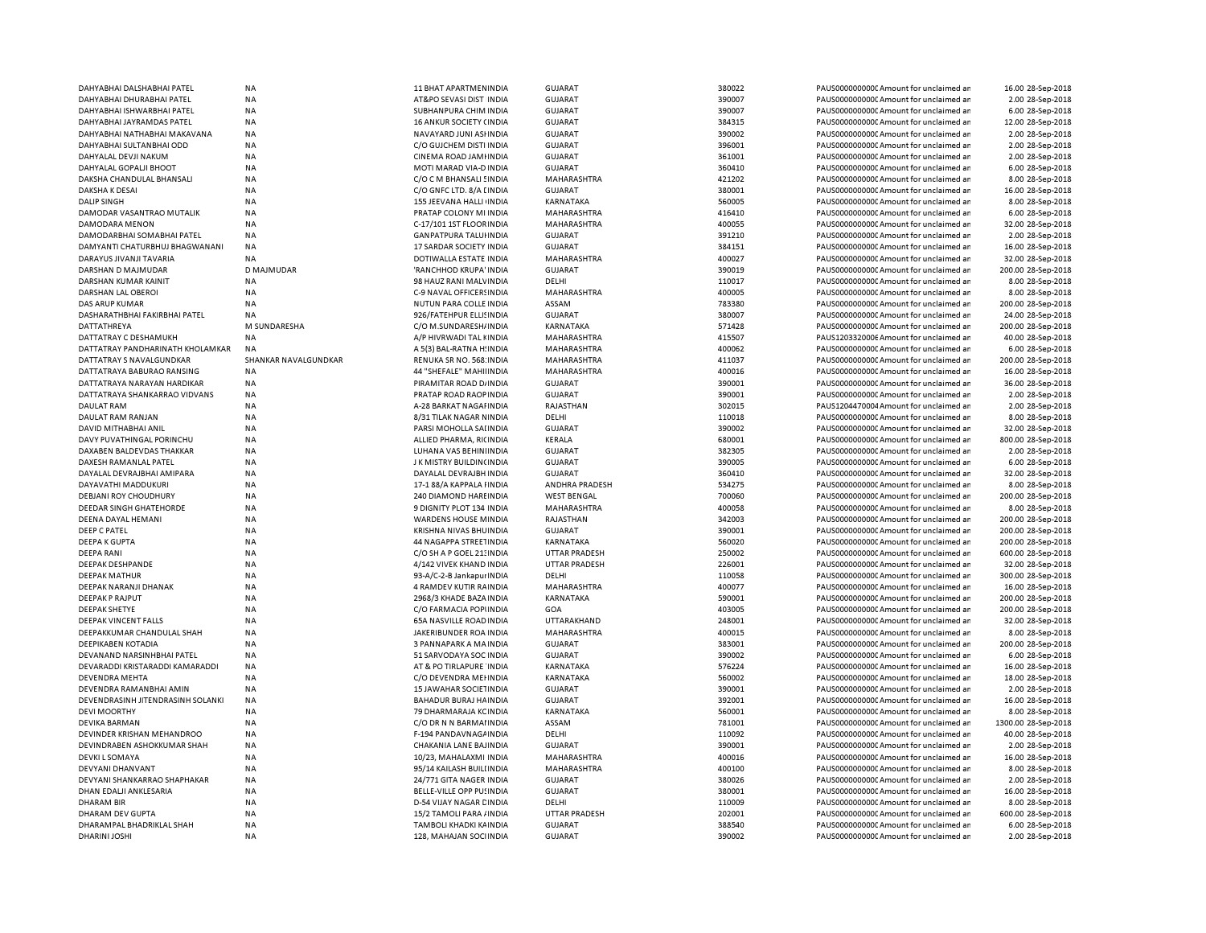| DAHYABHAI DALSHABHAI PATEL        | <b>NA</b>            | 11 BHAT APARTMENINDIA          | <b>GUJARAT</b>     | 380022 | PAUS00000000000Amount for unclaimed ar  | 16.00 28-Sep-2018   |
|-----------------------------------|----------------------|--------------------------------|--------------------|--------|-----------------------------------------|---------------------|
| DAHYABHAI DHURABHAI PATEL         | <b>NA</b>            | AT&PO SEVASI DIST INDIA        | <b>GUJARAT</b>     | 390007 | PAUS0000000000CAmount for unclaimed ar  | 2.00 28-Sep-2018    |
| DAHYABHAI ISHWARBHAI PATEL        | <b>NA</b>            | SUBHANPURA CHIM INDIA          | <b>GUJARAT</b>     | 390007 | PAUS0000000000Amount for unclaimed ar   | 6.00 28-Sep-2018    |
| DAHYABHAI JAYRAMDAS PATEL         | <b>NA</b>            | 16 ANKUR SOCIETY (INDIA        | <b>GUJARAT</b>     | 384315 | PAUS0000000000CAmount for unclaimed ar  | 12.00 28-Sep-2018   |
| DAHYABHAI NATHABHAI MAKAVANA      | <b>NA</b>            | NAVAYARD JUNI ASHNDIA          | <b>GUJARAT</b>     | 390002 | PAUS0000000000 Amount for unclaimed ar  | 2.00 28-Sep-2018    |
| DAHYABHAI SULTANBHAI ODD          | <b>NA</b>            | C/O GUJCHEM DISTI INDIA        | <b>GUJARAT</b>     | 396001 | PAUS0000000000 Amount for unclaimed ar  | 2.00 28-Sep-2018    |
| DAHYALAL DEVJI NAKUM              | <b>NA</b>            | CINEMA ROAD JAMHNDIA           | <b>GUJARAT</b>     | 361001 | PAUS0000000000 Amount for unclaimed ar  | 2.00 28-Sep-2018    |
|                                   |                      |                                |                    |        |                                         |                     |
| DAHYALAL GOPALJI BHOOT            | NA                   | MOTI MARAD VIA-D INDIA         | <b>GUJARAT</b>     | 360410 | PAUS0000000000 Amount for unclaimed ar  | 6.00 28-Sep-2018    |
| DAKSHA CHANDULAL BHANSALI         | <b>NA</b>            | C/O C M BHANSALI ! INDIA       | <b>MAHARASHTRA</b> | 421202 | PAUS0000000000 Amount for unclaimed ar  | 8.00 28-Sep-2018    |
| DAKSHA K DESAI                    | <b>NA</b>            | C/O GNFC LTD. 8/A LINDIA       | <b>GUJARAT</b>     | 380001 | PAUS0000000000 Amount for unclaimed ar  | 16.00 28-Sep-2018   |
| <b>DALIP SINGH</b>                | NA                   | 155 JEEVANA HALLI INDIA        | KARNATAKA          | 560005 | PAUS0000000000CAmount for unclaimed ar  | 8.00 28-Sep-2018    |
| DAMODAR VASANTRAO MUTALIK         | <b>NA</b>            | PRATAP COLONY MI INDIA         | MAHARASHTRA        | 416410 | PAUS0000000000 Amount for unclaimed ar  | 6.00 28-Sep-2018    |
| DAMODARA MENON                    | <b>NA</b>            | C-17/101 1ST FLOOR INDIA       | MAHARASHTRA        | 400055 | PAUS0000000000CAmount for unclaimed ar  | 32.00 28-Sep-2018   |
| DAMODARBHAI SOMABHAI PATEL        | <b>NA</b>            | <b>GANPATPURA TALUHNDIA</b>    | <b>GUJARAT</b>     | 391210 | PAUS0000000000CAmount for unclaimed ar  | 2.00 28-Sep-2018    |
| DAMYANTI CHATURBHUJ BHAGWANANI    | <b>NA</b>            | 17 SARDAR SOCIETY INDIA        | <b>GUJARAT</b>     | 384151 | PAUS0000000000CAmount for unclaimed ar  | 16.00 28-Sep-2018   |
| DARAYUS JIVANJI TAVARIA           | <b>NA</b>            | DOTIWALLA ESTATE INDIA         | MAHARASHTRA        | 400027 | PAUS0000000000CAmount for unclaimed ar  | 32.00 28-Sep-2018   |
| DARSHAN D MAJMUDAR                | D MAJMUDAR           | 'RANCHHOD KRUPA' INDIA         | <b>GUJARAT</b>     | 390019 | PAUS0000000000 Amount for unclaimed ar  | 200.00 28-Sep-2018  |
| <b>DARSHAN KUMAR KAINIT</b>       | <b>NA</b>            | 98 HAUZ RANI MALVINDIA         | DELHI              | 110017 | PAUS0000000000 Amount for unclaimed ar  | 8.00 28-Sep-2018    |
|                                   |                      |                                |                    |        |                                         |                     |
| DARSHAN LAL OBEROI                | NA                   | C-9 NAVAL OFFICERS INDIA       | MAHARASHTRA        | 400005 | PAUS0000000000 Amount for unclaimed ar  | 8.00 28-Sep-2018    |
| <b>DAS ARUP KUMAR</b>             | <b>NA</b>            | NUTUN PARA COLLE INDIA         | ASSAM              | 783380 | PAUS0000000000 Amount for unclaimed ar  | 200.00 28-Sep-2018  |
| DASHARATHBHAI FAKIRBHAI PATEL     | <b>NA</b>            | 926/FATEHPUR ELLISINDIA        | <b>GUJARAT</b>     | 380007 | PAUS0000000000 Amount for unclaimed ar  | 24.00 28-Sep-2018   |
| <b>DATTATHREYA</b>                | M SUNDARESHA         | C/O M.SUNDARESH/INDIA          | <b>KARNATAKA</b>   | 571428 | PAUS0000000000 Amount for unclaimed ar  | 200.00 28-Sep-2018  |
| DATTATRAY C DESHAMUKH             | <b>NA</b>            | A/P HIVRWADI TAL KINDIA        | MAHARASHTRA        | 415507 | PAUS1203320006 Amount for unclaimed ar  | 40.00 28-Sep-2018   |
| DATTATRAY PANDHARINATH KHOLAMKAR  | <b>NA</b>            | A 5(3) BAL-RATNA HINDIA        | MAHARASHTRA        | 400062 | PAUS0000000000 Amount for unclaimed ar  | 6.00 28-Sep-2018    |
| DATTATRAY S NAVALGUNDKAR          | SHANKAR NAVALGUNDKAR | RENUKA SR NO. 568: INDIA       | MAHARASHTRA        | 411037 | PAUS0000000000 Amount for unclaimed ar  | 200.00 28-Sep-2018  |
| DATTATRAYA BABURAO RANSING        | <b>NA</b>            | 44 "SHEFALE" MAHIIINDIA        | MAHARASHTRA        | 400016 | PAUS0000000000 Amount for unclaimed ar  | 16.00 28-Sep-2018   |
| DATTATRAYA NARAYAN HARDIKAR       | <b>NA</b>            | PIRAMITAR ROAD D/ INDIA        | <b>GUJARAT</b>     | 390001 | PAUS0000000000 Amount for unclaimed ar  | 36.00 28-Sep-2018   |
| DATTATRAYA SHANKARRAO VIDVANS     | <b>NA</b>            | PRATAP ROAD RAOP INDIA         | <b>GUJARAT</b>     | 390001 | PAUS0000000000CAmount for unclaimed ar  | 2.00 28-Sep-2018    |
|                                   | <b>NA</b>            |                                | RAJASTHAN          | 302015 | PAUS1204470004 Amount for unclaimed ar  | 2.00 28-Sep-2018    |
| <b>DAULAT RAM</b>                 |                      | A-28 BARKAT NAGAI INDIA        |                    |        |                                         |                     |
| DAULAT RAM RANJAN                 | <b>NA</b>            | 8/31 TILAK NAGAR NINDIA        | DELHI              | 110018 | PAUS0000000000 Amount for unclaimed ar  | 8.00 28-Sep-2018    |
| DAVID MITHABHAI ANIL              | <b>NA</b>            | PARSI MOHOLLA SAI INDIA        | <b>GUJARAT</b>     | 390002 | PAUS0000000000CAmount for unclaimed ar  | 32.00 28-Sep-2018   |
| DAVY PUVATHINGAL PORINCHU         | NA                   | ALLIED PHARMA, RICINDIA        | KERALA             | 680001 | PAUS0000000000 Amount for unclaimed ar  | 800.00 28-Sep-2018  |
| DAXABEN BALDEVDAS THAKKAR         | <b>NA</b>            | LUHANA VAS BEHINIINDIA         | <b>GUJARAT</b>     | 382305 | PAUS0000000000 Amount for unclaimed ar  | 2.00 28-Sep-2018    |
| DAXESH RAMANLAL PATEL             | <b>NA</b>            | J K MISTRY BUILDIN(INDIA       | <b>GUJARAT</b>     | 390005 | PAUS0000000000 Amount for unclaimed ar  | 6.00 28-Sep-2018    |
| DAYALAL DEVRAJBHAI AMIPARA        | <b>NA</b>            | DAYALAL DEVRAJBH INDIA         | <b>GUJARAT</b>     | 360410 | PAUS0000000000 Amount for unclaimed ar  | 32.00 28-Sep-2018   |
| DAYAVATHI MADDUKURI               | <b>NA</b>            | 17-1 88/A KAPPALA HNDIA        | ANDHRA PRADESH     | 534275 | PAUS0000000000 Amount for unclaimed ar  | 8.00 28-Sep-2018    |
| <b>DEBJANI ROY CHOUDHURY</b>      | <b>NA</b>            | 240 DIAMOND HAREINDIA          | <b>WEST BENGAL</b> | 700060 | PAUS0000000000 Amount for unclaimed ar  | 200.00 28-Sep-2018  |
| DEEDAR SINGH GHATEHORDE           | NA                   | 9 DIGNITY PLOT 134 INDIA       | MAHARASHTRA        | 400058 | PAUS0000000000 Amount for unclaimed ar  | 8.00 28-Sep-2018    |
| DEENA DAYAL HEMANI                | <b>NA</b>            | WARDENS HOUSE MINDIA           | RAJASTHAN          | 342003 | PAUS0000000000CAmount for unclaimed ar  | 200.00 28-Sep-2018  |
| DEEP C PATEL                      | NA                   | KRISHNA NIVAS BHUINDIA         | <b>GUJARAT</b>     | 390001 | PAUS0000000000 Amount for unclaimed ar  | 200.00 28-Sep-2018  |
|                                   |                      |                                |                    |        |                                         |                     |
| <b>DEEPA K GUPTA</b>              | <b>NA</b>            | 44 NAGAPPA STREETINDIA         | KARNATAKA          | 560020 | PAUS0000000000CAmount for unclaimed ar  | 200.00 28-Sep-2018  |
| <b>DEEPA RANI</b>                 | <b>NA</b>            | C/O SH A P GOEL 21: INDIA      | UTTAR PRADESH      | 250002 | PAUS0000000000CAmount for unclaimed ar  | 600.00 28-Sep-2018  |
| DEEPAK DESHPANDE                  | <b>NA</b>            | 4/142 VIVEK KHAND INDIA        | UTTAR PRADESH      | 226001 | PAUS0000000000 Amount for unclaimed ar  | 32.00 28-Sep-2018   |
| <b>DEEPAK MATHUR</b>              | <b>NA</b>            | 93-A/C-2-B Jankapur INDIA      | DELHI              | 110058 | PAUS0000000000 Amount for unclaimed ar  | 300.00 28-Sep-2018  |
| DEEPAK NARANJI DHANAK             | <b>NA</b>            | 4 RAMDEV KUTIR RAINDIA         | MAHARASHTRA        | 400077 | PAUS0000000000 Amount for unclaimed ar  | 16.00 28-Sep-2018   |
| <b>DEEPAK P RAJPUT</b>            | <b>NA</b>            | 2968/3 KHADE BAZA INDIA        | <b>KARNATAKA</b>   | 590001 | PAUS0000000000 Amount for unclaimed ar  | 200.00 28-Sep-2018  |
| <b>DEEPAK SHETYE</b>              | <b>NA</b>            | C/O FARMACIA POPI INDIA        | GOA                | 403005 | PAUS0000000000 Amount for unclaimed ar  | 200.00 28-Sep-2018  |
| DEEPAK VINCENT FALLS              | NA                   | <b>65A NASVILLE ROAD INDIA</b> | UTTARAKHAND        | 248001 | PAUS0000000000 Amount for unclaimed ar  | 32.00 28-Sep-2018   |
| DEEPAKKUMAR CHANDULAL SHAH        | <b>NA</b>            | JAKERIBUNDER ROA INDIA         | MAHARASHTRA        | 400015 | PAUS0000000000 Amount for unclaimed ar  | 8.00 28-Sep-2018    |
| DEEPIKABEN KOTADIA                | NA                   | 3 PANNAPARK A MAINDIA          | <b>GUJARAT</b>     | 383001 | PAUS0000000000 Amount for unclaimed ar  | 200.00 28-Sep-2018  |
| DEVANAND NARSINHBHAI PATEL        | NA                   | 51 SARVODAYA SOC INDIA         | <b>GUJARAT</b>     | 390002 | PAUS0000000000 Amount for unclaimed ar  | 6.00 28-Sep-2018    |
|                                   |                      |                                |                    |        |                                         |                     |
| DEVARADDI KRISTARADDI KAMARADDI   | <b>NA</b>            | AT & PO TIRLAPURE INDIA        | KARNATAKA          | 576224 | PAUS0000000000 Amount for unclaimed ar  | 16.00 28-Sep-2018   |
| <b>DEVENDRA MEHTA</b>             | NA                   | C/O DEVENDRA MEHNDIA           | KARNATAKA          | 560002 | PAUS0000000000 Amount for unclaimed ar  | 18.00 28-Sep-2018   |
| DEVENDRA RAMANBHAI AMIN           | NA                   | 15 JAWAHAR SOCIETINDIA         | <b>GUJARAT</b>     | 390001 | PAUS0000000000CAmount for unclaimed ar  | 2.00 28-Sep-2018    |
| DEVENDRASINH JITENDRASINH SOLANKI | NA                   | BAHADUR BURAJ HAINDIA          | <b>GUJARAT</b>     | 392001 | PAUS0000000000 Amount for unclaimed ar  | 16.00 28-Sep-2018   |
| <b>DEVI MOORTHY</b>               | NA                   | 79 DHARMARAJA KCINDIA          | KARNATAKA          | 560001 | PAUS0000000000 Amount for unclaimed ar  | 8.00 28-Sep-2018    |
| <b>DEVIKA BARMAN</b>              | <b>NA</b>            | C/O DR N N BARMAI INDIA        | ASSAM              | 781001 | PAUS0000000000CAmount for unclaimed ar  | 1300.00 28-Sep-2018 |
| DEVINDER KRISHAN MEHANDROO        | NA                   | F-194 PANDAVNAGAINDIA          | DELHI              | 110092 | PAUS0000000000 Amount for unclaimed ar  | 40.00 28-Sep-2018   |
| DEVINDRABEN ASHOKKUMAR SHAH       | <b>NA</b>            | CHAKANIA LANE BAJINDIA         | GUJARAT            | 390001 | PAUS0000000000CAmount for unclaimed ar  | 2.00 28-Sep-2018    |
| <b>DEVKI L SOMAYA</b>             | <b>NA</b>            | 10/23, MAHALAXMI INDIA         | MAHARASHTRA        | 400016 | PAUS0000000000 Amount for unclaimed ar  | 16.00 28-Sep-2018   |
| DEVYANI DHANVANT                  | <b>NA</b>            | 95/14 KAILASH BUILI INDIA      | MAHARASHTRA        | 400100 | PAUS0000000000 Amount for unclaimed ar  | 8.00 28-Sep-2018    |
|                                   | <b>NA</b>            |                                |                    |        |                                         |                     |
| DEVYANI SHANKARRAO SHAPHAKAR      |                      | 24/771 GITA NAGER INDIA        | <b>GUJARAT</b>     | 380026 | PAUS0000000000 Amount for unclaimed ar  | 2.00 28-Sep-2018    |
| DHAN EDALJI ANKLESARIA            | <b>NA</b>            | BELLE-VILLE OPP PU! INDIA      | <b>GUJARAT</b>     | 380001 | PAUS0000000000 Amount for unclaimed ar  | 16.00 28-Sep-2018   |
| <b>DHARAM BIR</b>                 | NA                   | D-54 VIJAY NAGAR CINDIA        | DELHI              | 110009 | PAUS0000000000 Amount for unclaimed ar  | 8.00 28-Sep-2018    |
| DHARAM DEV GUPTA                  | <b>NA</b>            | 15/2 TAMOLI PARA / INDIA       | UTTAR PRADESH      | 202001 | PAUS0000000000 Amount for unclaimed ar  | 600.00 28-Sep-2018  |
| DHARAMPAL BHADRIKLAL SHAH         | <b>NA</b>            | TAMBOLI KHADKI KAINDIA         | <b>GUJARAT</b>     | 388540 | PAUS00000000000 Amount for unclaimed an | 6.00 28-Sep-2018    |
| DHARINI JOSHI                     | <b>NA</b>            | 128, MAHAJAN SOCHNDIA          | <b>GUJARAT</b>     | 390002 | PAUS0000000000CAmount for unclaimed ar  | 2.00 28-Sep-2018    |
|                                   |                      |                                |                    |        |                                         |                     |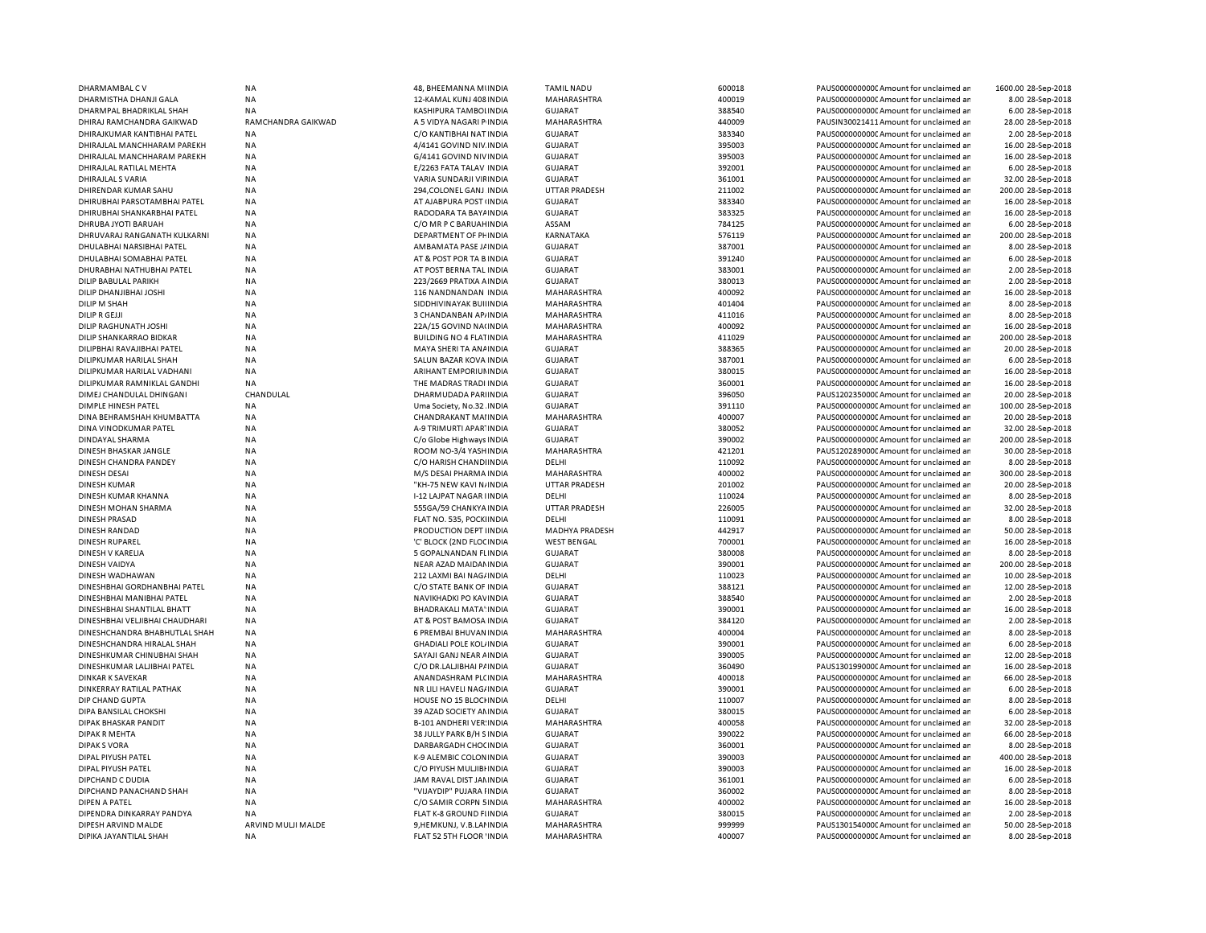| DHARMAMBAL CV                  | NA                 | 48, BHEEMANNA MUNDIA           | <b>TAMIL NADU</b>     | 600018 | PAUS0000000000 Amount for unclaimed ar  | 1600.00 28-Sep-2018 |
|--------------------------------|--------------------|--------------------------------|-----------------------|--------|-----------------------------------------|---------------------|
| DHARMISTHA DHANJI GALA         | NA                 | 12-KAMAL KUNJ 408 INDIA        | MAHARASHTRA           | 400019 | PAUS0000000000 Amount for unclaimed ar  | 8.00 28-Sep-2018    |
| DHARMPAL BHADRIKLAL SHAH       | NA                 | KASHIPURA TAMBOLINDIA          | <b>GUJARAT</b>        | 388540 | PAUS0000000000 Amount for unclaimed ar  | 6.00 28-Sep-2018    |
| DHIRAJ RAMCHANDRA GAIKWAD      | RAMCHANDRA GAIKWAD | A 5 VIDYA NAGARI P INDIA       | MAHARASHTRA           | 440009 | PAUSIN30021411 Amount for unclaimed ar  | 28.00 28-Sep-2018   |
| DHIRAJKUMAR KANTIBHAI PATEL    | <b>NA</b>          | C/O KANTIBHAI NAT INDIA        | <b>GUJARAT</b>        | 383340 | PAUS0000000000 Amount for unclaimed ar  | 2.00 28-Sep-2018    |
| DHIRAJLAL MANCHHARAM PAREKH    | NA                 | 4/4141 GOVIND NIV INDIA        | <b>GUJARAT</b>        | 395003 | PAUS0000000000 Amount for unclaimed ar  | 16.00 28-Sep-2018   |
| DHIRAJLAL MANCHHARAM PAREKH    | NA                 | G/4141 GOVIND NIVINDIA         | <b>GUJARAT</b>        | 395003 | PAUS0000000000 Amount for unclaimed ar  | 16.00 28-Sep-2018   |
| DHIRAJLAL RATILAL MEHTA        | NA                 |                                | <b>GUJARAT</b>        |        | PAUS0000000000 Amount for unclaimed ar  |                     |
|                                |                    | E/2263 FATA TALAV INDIA        |                       | 392001 |                                         | 6.00 28-Sep-2018    |
| DHIRAJLAL S VARIA              | NA                 | VARIA SUNDARJI VIFINDIA        | <b>GUJARAT</b>        | 361001 | PAUS0000000000 Amount for unclaimed ar  | 32.00 28-Sep-2018   |
| DHIRENDAR KUMAR SAHU           | NA                 | 294, COLONEL GANJ INDIA        | <b>UTTAR PRADESH</b>  | 211002 | PAUS0000000000 Amount for unclaimed ar  | 200.00 28-Sep-2018  |
| DHIRUBHAI PARSOTAMBHAI PATEL   | ΝA                 | AT AJABPURA POST (INDIA        | <b>GUJARAT</b>        | 383340 | PAUS0000000000 Amount for unclaimed ar  | 16.00 28-Sep-2018   |
| DHIRUBHAI SHANKARBHAI PATEL    | NA                 | RADODARA TA BAYA INDIA         | <b>GUJARAT</b>        | 383325 | PAUS0000000000 Amount for unclaimed ar  | 16.00 28-Sep-2018   |
| DHRUBA JYOTI BARUAH            | NA                 | C/O MR P C BARUAH INDIA        | ASSAM                 | 784125 | PAUS0000000000C Amount for unclaimed ar | 6.00 28-Sep-2018    |
| DHRUVARAJ RANGANATH KULKARNI   | NA                 | DEPARTMENT OF PHINDIA          | KARNATAKA             | 576119 | PAUS0000000000 Amount for unclaimed ar  | 200.00 28-Sep-2018  |
| DHULABHAI NARSIBHAI PATEL      | NA                 | AMBAMATA PASE J/ INDIA         | <b>GUJARAT</b>        | 387001 | PAUS0000000000CAmount for unclaimed ar  | 8.00 28-Sep-2018    |
| DHULABHAI SOMABHAI PATEL       | <b>NA</b>          | AT & POST POR TA B INDIA       | <b>GUJARAT</b>        | 391240 | PAUS0000000000 Amount for unclaimed ar  | 6.00 28-Sep-2018    |
| DHURABHAI NATHUBHAI PATEL      | NA                 | AT POST BERNA TAL INDIA        | <b>GUJARAT</b>        | 383001 | PAUS0000000000 Amount for unclaimed ar  | 2.00 28-Sep-2018    |
| DILIP BABULAL PARIKH           | NA                 | 223/2669 PRATIXA A INDIA       | <b>GUJARAT</b>        | 380013 | PAUS0000000000 Amount for unclaimed ar  | 2.00 28-Sep-2018    |
| DILIP DHANJIBHAI JOSHI         | <b>NA</b>          | 116 NANDNANDAN INDIA           | MAHARASHTRA           | 400092 | PAUS0000000000 Amount for unclaimed ar  | 16.00 28-Sep-2018   |
|                                |                    |                                |                       |        |                                         |                     |
| DILIP M SHAH                   | <b>NA</b>          | SIDDHIVINAYAK BUILINDIA        | MAHARASHTRA           | 401404 | PAUS0000000000 Amount for unclaimed ar  | 8.00 28-Sep-2018    |
| <b>DILIP R GEJJI</b>           | NA                 | 3 CHANDANBAN AP/INDIA          | MAHARASHTRA           | 411016 | PAUS0000000000 Amount for unclaimed ar  | 8.00 28-Sep-2018    |
| DILIP RAGHUNATH JOSHI          | NA                 | 22A/15 GOVIND NA(INDIA         | <b>MAHARASHTRA</b>    | 400092 | PAUS0000000000 Amount for unclaimed ar  | 16.00 28-Sep-2018   |
| DILIP SHANKARRAO BIDKAR        | <b>NA</b>          | <b>BUILDING NO 4 FLATINDIA</b> | MAHARASHTRA           | 411029 | PAUS0000000000 Amount for unclaimed ar  | 200.00 28-Sep-2018  |
| DILIPBHAI RAVAJIBHAI PATEL     | NA                 | MAYA SHERI TA ANAINDIA         | <b>GUJARAT</b>        | 388365 | PAUS0000000000 Amount for unclaimed ar  | 20.00 28-Sep-2018   |
| DILIPKUMAR HARILAL SHAH        | <b>NA</b>          | SALUN BAZAR KOVA INDIA         | <b>GUJARAT</b>        | 387001 | PAUS0000000000 Amount for unclaimed ar  | 6.00 28-Sep-2018    |
| DILIPKUMAR HARILAL VADHANI     | NA                 | ARIHANT EMPORIUN INDIA         | <b>GUJARAT</b>        | 380015 | PAUS0000000000 Amount for unclaimed ar  | 16.00 28-Sep-2018   |
| DILIPKUMAR RAMNIKLAL GANDHI    | NA                 | THE MADRAS TRADI INDIA         | <b>GUJARAT</b>        | 360001 | PAUS0000000000CAmount for unclaimed ar  | 16.00 28-Sep-2018   |
| DIMEJ CHANDULAL DHINGANI       | CHANDULAL          | DHARMUDADA PARIINDIA           | <b>GUJARAT</b>        | 396050 | PAUS1202350000 Amount for unclaimed ar  | 20.00 28-Sep-2018   |
| <b>DIMPLE HINESH PATEL</b>     | NA                 | Uma Society, No.32 INDIA       | <b>GUJARAT</b>        | 391110 | PAUS0000000000 Amount for unclaimed ar  | 100.00 28-Sep-2018  |
| DINA BEHRAMSHAH KHUMBATTA      | ΝA                 | CHANDRAKANT MAI INDIA          | MAHARASHTRA           | 400007 | PAUS0000000000 Amount for unclaimed ar  | 20.00 28-Sep-2018   |
|                                |                    |                                |                       |        |                                         |                     |
| DINA VINODKUMAR PATEL          | NA                 | A-9 TRIMURTI APAR' INDIA       | <b>GUJARAT</b>        | 380052 | PAUS0000000000 Amount for unclaimed ar  | 32.00 28-Sep-2018   |
| DINDAYAL SHARMA                | NA                 | C/o Globe Highways INDIA       | <b>GUJARAT</b>        | 390002 | PAUS0000000000CAmount for unclaimed ar  | 200.00 28-Sep-2018  |
| DINESH BHASKAR JANGLE          | NA                 | ROOM NO-3/4 YASHINDIA          | MAHARASHTRA           | 421201 | PAUS1202890000 Amount for unclaimed ar  | 30.00 28-Sep-2018   |
| DINESH CHANDRA PANDEY          | NA                 | C/O HARISH CHANDI INDIA        | DELHI                 | 110092 | PAUS0000000000 Amount for unclaimed ar  | 8.00 28-Sep-2018    |
| <b>DINESH DESAI</b>            | NA                 | M/S DESAI PHARMA INDIA         | MAHARASHTRA           | 400002 | PAUS0000000000 Amount for unclaimed ar  | 300.00 28-Sep-2018  |
| DINESH KUMAR                   | NA                 | "KH-75 NEW KAVI N/INDIA        | <b>UTTAR PRADESH</b>  | 201002 | PAUS0000000000 Amount for unclaimed ar  | 20.00 28-Sep-2018   |
| DINESH KUMAR KHANNA            | NA                 | I-12 LAJPAT NAGAR I INDIA      | DELHI                 | 110024 | PAUS0000000000 Amount for unclaimed ar  | 8.00 28-Sep-2018    |
| DINESH MOHAN SHARMA            | NA                 | 555GA/59 CHANKYA INDIA         | <b>UTTAR PRADESH</b>  | 226005 | PAUS0000000000 Amount for unclaimed ar  | 32.00 28-Sep-2018   |
| <b>DINESH PRASAD</b>           | NA                 | FLAT NO. 535, POCKI INDIA      | DELHI                 | 110091 | PAUS0000000000 Amount for unclaimed ar  | 8.00 28-Sep-2018    |
| <b>DINESH RANDAD</b>           | NA                 | PRODUCTION DEPT IINDIA         | <b>MADHYA PRADESH</b> | 442917 | PAUS0000000000 Amount for unclaimed ar  | 50.00 28-Sep-2018   |
| <b>DINESH RUPAREL</b>          | NA                 | 'C' BLOCK (2ND FLOC INDIA      | <b>WEST BENGAL</b>    | 700001 | PAUS0000000000CAmount for unclaimed ar  | 16.00 28-Sep-2018   |
|                                |                    |                                |                       |        |                                         |                     |
| DINESH V KARELIA               | <b>NA</b>          | 5 GOPALNANDAN FLINDIA          | <b>GUJARAT</b>        | 380008 | PAUS0000000000CAmount for unclaimed ar  | 8.00 28-Sep-2018    |
| DINESH VAIDYA                  | NA                 | NEAR AZAD MAIDAN INDIA         | <b>GUJARAT</b>        | 390001 | PAUS0000000000C Amount for unclaimed ar | 200.00 28-Sep-2018  |
| DINESH WADHAWAN                | <b>NA</b>          | 212 LAXMI BAI NAG/INDIA        | DELHI                 | 110023 | PAUS0000000000CAmount for unclaimed ar  | 10.00 28-Sep-2018   |
| DINESHBHAI GORDHANBHAI PATEL   | NA                 | C/O STATE BANK OF INDIA        | <b>GUJARAT</b>        | 388121 | PAUS0000000000CAmount for unclaimed ar  | 12.00 28-Sep-2018   |
| DINESHBHAI MANIBHAI PATEL      | <b>NA</b>          | <b>NAVIKHADKI PO KAVINDIA</b>  | <b>GUJARAT</b>        | 388540 | PAUS0000000000 Amount for unclaimed ar  | 2.00 28-Sep-2018    |
| DINESHBHAI SHANTILAL BHATT     | NA                 | BHADRAKALI MATA' INDIA         | <b>GUJARAT</b>        | 390001 | PAUS0000000000C Amount for unclaimed ar | 16.00 28-Sep-2018   |
| DINESHBHAI VELJIBHAI CHAUDHARI | NA                 | AT & POST BAMOSA INDIA         | <b>GUJARAT</b>        | 384120 | PAUS0000000000 Amount for unclaimed ar  | 2.00 28-Sep-2018    |
| DINESHCHANDRA BHABHUTLAL SHAH  | NA                 | 6 PREMBAI BHUVAN INDIA         | MAHARASHTRA           | 400004 | PAUS0000000000 Amount for unclaimed ar  | 8.00 28-Sep-2018    |
| DINESHCHANDRA HIRALAL SHAH     | NA                 | <b>GHADIALI POLE KOL INDIA</b> | <b>GUJARAT</b>        | 390001 | PAUS0000000000 Amount for unclaimed ar  | 6.00 28-Sep-2018    |
| DINESHKUMAR CHINUBHAI SHAH     | NA                 | SAYAJI GANJ NEAR AINDIA        | <b>GUJARAT</b>        | 390005 | PAUS0000000000 Amount for unclaimed ar  | 12.00 28-Sep-2018   |
| DINESHKUMAR LALJIBHAI PATEL    | NA                 | C/O DR.LALJIBHAI P/ INDIA      | <b>GUJARAT</b>        | 360490 | PAUS1301990000 Amount for unclaimed ar  | 16.00 28-Sep-2018   |
|                                |                    |                                |                       |        |                                         |                     |
| <b>DINKAR K SAVEKAR</b>        | <b>NA</b>          | ANANDASHRAM PLC INDIA          | MAHARASHTRA           | 400018 | PAUS0000000000 Amount for unclaimed ar  | 66.00 28-Sep-2018   |
| DINKERRAY RATILAL PATHAK       | NA                 | NR LILI HAVELI NAG/INDIA       | <b>GUJARAT</b>        | 390001 | PAUS0000000000 Amount for unclaimed ar  | 6.00 28-Sep-2018    |
| DIP CHAND GUPTA                | NA                 | HOUSE NO 15 BLOCHNDIA          | DELHI                 | 110007 | PAUS0000000000 Amount for unclaimed ar  | 8.00 28-Sep-2018    |
| DIPA BANSILAL CHOKSHI          | NA                 | 39 AZAD SOCIETY AN INDIA       | <b>GUJARAT</b>        | 380015 | PAUS0000000000 Amount for unclaimed ar  | 6.00 28-Sep-2018    |
| DIPAK BHASKAR PANDIT           | <b>NA</b>          | <b>B-101 ANDHERI VER INDIA</b> | MAHARASHTRA           | 400058 | PAUS0000000000 Amount for unclaimed ar  | 32.00 28-Sep-2018   |
| <b>DIPAK R MEHTA</b>           | NA                 | 38 JULLY PARK B/H S INDIA      | <b>GUJARAT</b>        | 390022 | PAUS0000000000 Amount for unclaimed ar  | 66.00 28-Sep-2018   |
| <b>DIPAK S VORA</b>            | <b>NA</b>          | DARBARGADH CHOC INDIA          | <b>GUJARAT</b>        | 360001 | PAUS0000000000 Amount for unclaimed ar  | 8.00 28-Sep-2018    |
| DIPAL PIYUSH PATEL             | NA                 | K-9 ALEMBIC COLONINDIA         | <b>GUJARAT</b>        | 390003 | PAUS0000000000 Amount for unclaimed ar  | 400.00 28-Sep-2018  |
| DIPAL PIYUSH PATEL             | NA                 | C/O PIYUSH MULJIBI INDIA       | <b>GUJARAT</b>        | 390003 | PAUS0000000000 Amount for unclaimed ar  | 16.00 28-Sep-2018   |
| DIPCHAND C DUDIA               | NA                 | JAM RAVAL DIST JAMINDIA        | <b>GUJARAT</b>        | 361001 | PAUS0000000000 Amount for unclaimed ar  | 6.00 28-Sep-2018    |
| DIPCHAND PANACHAND SHAH        | NA                 | "VIJAYDIP" PUJARA I INDIA      | <b>GUJARAT</b>        | 360002 | PAUS0000000000 Amount for unclaimed ar  | 8.00 28-Sep-2018    |
|                                |                    |                                |                       |        |                                         |                     |
| <b>DIPEN A PATEL</b>           | <b>NA</b>          | C/O SAMIR CORPN 5 INDIA        | MAHARASHTRA           | 400002 | PAUS0000000000 Amount for unclaimed ar  | 16.00 28-Sep-2018   |
| DIPENDRA DINKARRAY PANDYA      | NA                 | FLAT K-8 GROUND FIINDIA        | <b>GUJARAT</b>        | 380015 | PAUS0000000000 Amount for unclaimed ar  | 2.00 28-Sep-2018    |
| DIPESH ARVIND MALDE            | ARVIND MULJI MALDE | 9,HEMKUNJ, V.B.LAI INDIA       | MAHARASHTRA           | 999999 | PAUS1301540000 Amount for unclaimed ar  | 50.00 28-Sep-2018   |
| DIPIKA JAYANTILAL SHAH         | <b>NA</b>          | FLAT 52 5TH FLOOR 'INDIA       | MAHARASHTRA           | 400007 | PAUS0000000000 Amount for unclaimed ar  | 8.00 28-Sep-2018    |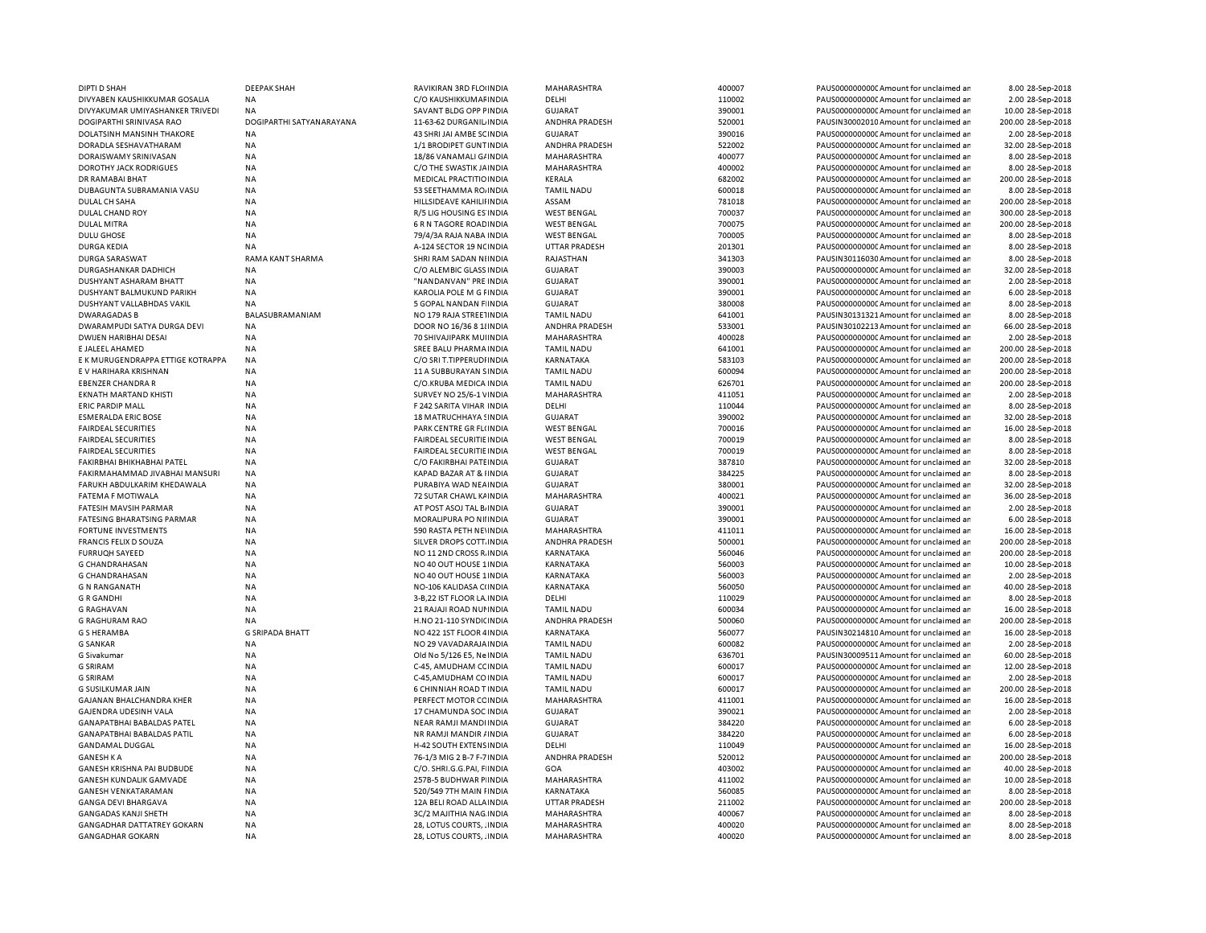| DIPTI D SHAH                      | <b>DEEPAK SHAH</b>       | RAVIKIRAN 3RD FLOUNDIA        | MAHARASHTRA          | 400007 | PAUS0000000000 Amount for unclaimed an  | 8.00 28-Sep-2018   |
|-----------------------------------|--------------------------|-------------------------------|----------------------|--------|-----------------------------------------|--------------------|
| DIVYABEN KAUSHIKKUMAR GOSALIA     | ΝA                       | C/O KAUSHIKKUMAF INDIA        | DELHI                | 110002 | PAUS0000000000 Amount for unclaimed an  | 2.00 28-Sep-2018   |
| DIVYAKUMAR UMIYASHANKER TRIVEDI   | NA                       | SAVANT BLDG OPP FINDIA        | <b>GUJARAT</b>       | 390001 | PAUS0000000000 Amount for unclaimed ar  | 10.00 28-Sep-2018  |
| DOGIPARTHI SRINIVASA RAO          | DOGIPARTHI SATYANARAYANA | 11-63-62 DURGANIL INDIA       | ANDHRA PRADESH       | 520001 | PAUSIN30002010 Amount for unclaimed ar  | 200.00 28-Sep-2018 |
| DOLATSINH MANSINH THAKORE         | NA                       | 43 SHRI JAI AMBE SCINDIA      | <b>GUJARAT</b>       | 390016 | PAUS0000000000 Amount for unclaimed ar  | 2.00 28-Sep-2018   |
| DORADLA SESHAVATHARAM             | <b>NA</b>                | 1/1 BRODIPET GUNT INDIA       | ANDHRA PRADESH       | 522002 | PAUS0000000000 Amount for unclaimed ar  | 32.00 28-Sep-2018  |
| DORAISWAMY SRINIVASAN             | NA                       | 18/86 VANAMALI G/ INDIA       | MAHARASHTRA          | 400077 | PAUS0000000000 Amount for unclaimed an  | 8.00 28-Sep-2018   |
| <b>DOROTHY JACK RODRIGUES</b>     | NA                       | C/O THE SWASTIK JAINDIA       | MAHARASHTRA          | 400002 | PAUS0000000000 Amount for unclaimed ar  | 8.00 28-Sep-2018   |
| DR RAMABAI BHAT                   | NA                       | MEDICAL PRACTITIO INDIA       | KERALA               | 682002 | PAUS0000000000 Amount for unclaimed ar  | 200.00 28-Sep-2018 |
| DUBAGUNTA SUBRAMANIA VASU         | NA                       | 53 SEETHAMMA RO, INDIA        | <b>TAMIL NADU</b>    | 600018 | PAUS0000000000 Amount for unclaimed ar  | 8.00 28-Sep-2018   |
| DULAL CH SAHA                     | <b>NA</b>                | HILLSIDEAVE KAHILII INDIA     | ASSAM                | 781018 | PAUS0000000000C Amount for unclaimed ar | 200.00 28-Sep-2018 |
| DULAL CHAND ROY                   | <b>NA</b>                | R/5 LIG HOUSING ES INDIA      | <b>WEST BENGAL</b>   | 700037 | PAUS0000000000CAmount for unclaimed ar  | 300.00 28-Sep-2018 |
| <b>DULAL MITRA</b>                | <b>NA</b>                | 6 R N TAGORE ROAD INDIA       | <b>WEST BENGAL</b>   | 700075 | PAUS0000000000CAmount for unclaimed ar  | 200.00 28-Sep-2018 |
| <b>DULU GHOSE</b>                 | <b>NA</b>                | 79/4/3A RAJA NABA INDIA       | <b>WEST BENGAL</b>   | 700005 | PAUS0000000000CAmount for unclaimed ar  | 8.00 28-Sep-2018   |
| DURGA KEDIA                       | NA                       | A-124 SECTOR 19 NC INDIA      | <b>UTTAR PRADESH</b> | 201301 | PAUS00000000000Amount for unclaimed an  | 8.00 28-Sep-2018   |
| <b>DURGA SARASWAT</b>             | RAMA KANT SHARMA         | SHRI RAM SADAN NIINDIA        | RAJASTHAN            | 341303 | PAUSIN30116030 Amount for unclaimed ar  | 8.00 28-Sep-2018   |
| DURGASHANKAR DADHICH              | <b>NA</b>                | C/O ALEMBIC GLASS INDIA       | <b>GUJARAT</b>       | 390003 | PAUS0000000000C Amount for unclaimed ar | 32.00 28-Sep-2018  |
| DUSHYANT ASHARAM BHATT            | NA                       | "NANDANVAN" PRE INDIA         | <b>GUJARAT</b>       | 390001 | PAUS0000000000CAmount for unclaimed an  | 2.00 28-Sep-2018   |
| DUSHYANT BALMUKUND PARIKH         | <b>NA</b>                | KAROLIA POLE M G FINDIA       | GUJARAT              | 390001 | PAUS0000000000 Amount for unclaimed an  | 6.00 28-Sep-2018   |
| DUSHYANT VALLABHDAS VAKIL         | NA                       | 5 GOPAL NANDAN FINDIA         | <b>GUJARAT</b>       | 380008 | PAUS0000000000CAmount for unclaimed an  | 8.00 28-Sep-2018   |
| <b>DWARAGADAS B</b>               | BALASUBRAMANIAM          | NO 179 RAJA STREETINDIA       | <b>TAMIL NADU</b>    | 641001 | PAUSIN30131321 Amount for unclaimed ar  | 8.00 28-Sep-2018   |
| DWARAMPUDI SATYA DURGA DEVI       | NA                       | DOOR NO 16/36 8 1 ! INDIA     | ANDHRA PRADESH       | 533001 | PAUSIN30102213 Amount for unclaimed ar  | 66.00 28-Sep-2018  |
| <b>DWIJEN HARIBHAI DESAI</b>      | <b>NA</b>                | 70 SHIVAJIPARK MUIINDIA       | MAHARASHTRA          | 400028 | PAUS0000000000 Amount for unclaimed ar  | 2.00 28-Sep-2018   |
| E JALEEL AHAMED                   | NA                       | SREE BALU PHARMA INDIA        | <b>TAMIL NADU</b>    | 641001 | PAUS0000000000 Amount for unclaimed ar  | 200.00 28-Sep-2018 |
| E K MURUGENDRAPPA ETTIGE KOTRAPPA | <b>NA</b>                | C/O SRI T.TIPPERUDI INDIA     | KARNATAKA            | 583103 | PAUS0000000000 Amount for unclaimed ar  | 200.00 28-Sep-2018 |
| E V HARIHARA KRISHNAN             | NA                       | 11 A SUBBURAYAN SINDIA        | <b>TAMIL NADU</b>    | 600094 | PAUS0000000000 Amount for unclaimed ar  | 200.00 28-Sep-2018 |
| <b>EBENZER CHANDRA R</b>          | <b>NA</b>                | C/O.KRUBA MEDICA INDIA        | <b>TAMIL NADU</b>    | 626701 | PAUS0000000000CAmount for unclaimed ar  | 200.00 28-Sep-2018 |
| EKNATH MARTAND KHISTI             | NA                       | SURVEY NO 25/6-1 VINDIA       | MAHARASHTRA          | 411051 | PAUS0000000000 Amount for unclaimed ar  | 2.00 28-Sep-2018   |
| <b>ERIC PARDIP MALL</b>           | <b>NA</b>                | F 242 SARITA VIHAR INDIA      | DELHI                | 110044 | PAUS0000000000 Amount for unclaimed ar  | 8.00 28-Sep-2018   |
| <b>ESMERALDA ERIC BOSE</b>        | NA                       | 18 MATRUCHHAYA SINDIA         | <b>GUJARAT</b>       | 390002 | PAUS0000000000 Amount for unclaimed ar  | 32.00 28-Sep-2018  |
| <b>FAIRDEAL SECURITIES</b>        | NA                       | PARK CENTRE GR FL(INDIA       | <b>WEST BENGAL</b>   | 700016 | PAUS0000000000 Amount for unclaimed ar  | 16.00 28-Sep-2018  |
| <b>FAIRDEAL SECURITIES</b>        | NA                       | FAIRDEAL SECURITIE INDIA      | <b>WEST BENGAL</b>   | 700019 | PAUS0000000000CAmount for unclaimed ar  | 8.00 28-Sep-2018   |
| <b>FAIRDEAL SECURITIES</b>        | NA                       | FAIRDEAL SECURITIE IN DIA     | <b>WEST BENGAL</b>   | 700019 | PAUS0000000000 Amount for unclaimed an  | 8.00 28-Sep-2018   |
| FAKIRBHAI BHIKHABHAI PATEL        | NA                       | C/O FAKIRBHAI PATE INDIA      | <b>GUJARAT</b>       | 387810 | PAUS0000000000C Amount for unclaimed ar | 32.00 28-Sep-2018  |
| FAKIRMAHAMMAD JIVABHAI MANSURI    | <b>NA</b>                | KAPAD BAZAR AT & IINDIA       | <b>GUJARAT</b>       | 384225 | PAUS0000000000 Amount for unclaimed ar  | 8.00 28-Sep-2018   |
| FARUKH ABDULKARIM KHEDAWALA       | <b>NA</b>                | PURABIYA WAD NEAINDIA         | <b>GUJARAT</b>       | 380001 | PAUS0000000000 Amount for unclaimed ar  | 32.00 28-Sep-2018  |
| FATEMA F MOTIWALA                 | NA                       | 72 SUTAR CHAWL KAINDIA        | MAHARASHTRA          | 400021 | PAUS0000000000C Amount for unclaimed ar | 36.00 28-Sep-2018  |
| FATESIH MAVSIH PARMAR             | NA                       | AT POST ASOJ TAL B. INDIA     | <b>GUJARAT</b>       | 390001 | PAUS0000000000 Amount for unclaimed ar  | 2.00 28-Sep-2018   |
| FATESING BHARATSING PARMAR        | NA                       | MORALIPURA PO NIIINDIA        | <b>GUJARAT</b>       | 390001 | PAUS0000000000 Amount for unclaimed ar  | 6.00 28-Sep-2018   |
| FORTUNE INVESTMENTS               | NA                       | 590 RASTA PETH NEVINDIA       | MAHARASHTRA          | 411011 | PAUS00000000000 Amount for unclaimed ar | 16.00 28-Sep-2018  |
| FRANCIS FELIX D SOUZA             | <b>NA</b>                | SILVER DROPS COTT. INDIA      | ANDHRA PRADESH       | 500001 | PAUS0000000000 Amount for unclaimed ar  | 200.00 28-Sep-2018 |
| <b>FURRUQH SAYEED</b>             | <b>NA</b>                | NO 11 2ND CROSS R. INDIA      | KARNATAKA            | 560046 | PAUS0000000000 Amount for unclaimed ar  | 200.00 28-Sep-2018 |
|                                   |                          |                               |                      |        |                                         |                    |
| <b>G CHANDRAHASAN</b>             | <b>NA</b>                | NO 40 OUT HOUSE 1 INDIA       | KARNATAKA            | 560003 | PAUS0000000000C Amount for unclaimed ar | 10.00 28-Sep-2018  |
| <b>G CHANDRAHASAN</b>             | <b>NA</b>                | NO 40 OUT HOUSE 1 INDIA       | KARNATAKA            | 560003 | PAUS0000000000CAmount for unclaimed ar  | 2.00 28-Sep-2018   |
| <b>G N RANGANATH</b>              | <b>NA</b>                | NO-106 KALIDASA CIINDIA       | KARNATAKA            | 560050 | PAUS0000000000C Amount for unclaimed ar | 40.00 28-Sep-2018  |
| <b>GRGANDHI</b>                   | <b>NA</b>                | 3-B.22 IST FLOOR LA INDIA     | DELHI                | 110029 | PAUS0000000000 Amount for unclaimed ar  | 8.00 28-Sep-2018   |
| <b>G RAGHAVAN</b>                 | <b>NA</b>                | 21 RAJAJI ROAD NUI INDIA      | <b>TAMIL NADU</b>    | 600034 | PAUS0000000000CAmount for unclaimed ar  | 16.00 28-Sep-2018  |
| <b>G RAGHURAM RAO</b>             | NA                       | H.NO 21-110 SYNDICINDIA       | ANDHRA PRADESH       | 500060 | PAUS0000000000 Amount for unclaimed ar  | 200.00 28-Sep-2018 |
| <b>G S HERAMBA</b>                | <b>G SRIPADA BHATT</b>   | NO 422 1ST FLOOR 4 INDIA      | KARNATAKA            | 560077 | PAUSIN30214810 Amount for unclaimed ar  | 16.00 28-Sep-2018  |
| <b>G SANKAR</b>                   | NA                       | NO 29 VAVADARAJA INDIA        | <b>TAMIL NADU</b>    | 600082 | PAUS0000000000CAmount for unclaimed an  | 2.00 28-Sep-2018   |
| G Sivakumar                       | <b>NA</b>                | Old No 5/126 E5, Ne INDIA     | <b>TAMIL NADU</b>    | 636701 | PAUSIN30009511 Amount for unclaimed ar  | 60.00 28-Sep-2018  |
| <b>G SRIRAM</b>                   | <b>NA</b>                | C-45, AMUDHAM CCINDIA         | <b>TAMIL NADU</b>    | 600017 | PAUS0000000000 Amount for unclaimed ar  | 12.00 28-Sep-2018  |
| <b>G SRIRAM</b>                   | <b>NA</b>                | C-45, AMUDHAM CO INDIA        | <b>TAMIL NADU</b>    | 600017 | PAUS0000000000 Amount for unclaimed ar  | 2.00 28-Sep-2018   |
| <b>G SUSILKUMAR JAIN</b>          | <b>NA</b>                | 6 CHINNIAH ROAD T INDIA       | <b>TAMIL NADU</b>    | 600017 | PAUS0000000000CAmount for unclaimed an  | 200.00 28-Sep-2018 |
| <b>GAJANAN BHALCHANDRA KHER</b>   | <b>NA</b>                | PERFECT MOTOR CC INDIA        | MAHARASHTRA          | 411001 | PAUS0000000000CAmount for unclaimed ar  | 16.00 28-Sep-2018  |
| GAJENDRA UDESINH VALA             | <b>NA</b>                | 17 CHAMUNDA SOC INDIA         | <b>GUJARAT</b>       | 390021 | PAUS0000000000 Amount for unclaimed ar  | 2.00 28-Sep-2018   |
| <b>GANAPATBHAI BABALDAS PATEL</b> | <b>NA</b>                | <b>NEAR RAMJI MANDI INDIA</b> | <b>GUJARAT</b>       | 384220 | PAUS0000000000 Amount for unclaimed ar  | 6.00 28-Sep-2018   |
| GANAPATBHAI BABALDAS PATIL        | <b>NA</b>                | NR RAMJI MANDIR / INDIA       | <b>GUJARAT</b>       | 384220 | PAUS0000000000 Amount for unclaimed ar  | 6.00 28-Sep-2018   |
| <b>GANDAMAL DUGGAL</b>            | <b>NA</b>                | H-42 SOUTH EXTENS INDIA       | DELHI                | 110049 | PAUS0000000000 Amount for unclaimed ar  | 16.00 28-Sep-2018  |
| <b>GANESH K A</b>                 | NA                       | 76-1/3 MIG 2 B-7 F-7 INDIA    | ANDHRA PRADESH       | 520012 | PAUS0000000000 Amount for unclaimed ar  | 200.00 28-Sep-2018 |
| GANESH KRISHNA PAI BUDBUDE        | <b>NA</b>                | C/O. SHRI.G.G.PAI, F INDIA    | GOA                  | 403002 | PAUS0000000000 Amount for unclaimed ar  | 40.00 28-Sep-2018  |
| GANESH KUNDALIK GAMVADE           | NA                       | 257B-5 BUDHWAR P INDIA        | MAHARASHTRA          | 411002 | PAUS0000000000C Amount for unclaimed ar | 10.00 28-Sep-2018  |
| <b>GANESH VENKATARAMAN</b>        | <b>NA</b>                | 520/549 7TH MAIN FINDIA       | KARNATAKA            | 560085 | PAUS0000000000 Amount for unclaimed ar  | 8.00 28-Sep-2018   |
| GANGA DEVI BHARGAVA               | NA                       | 12A BELI ROAD ALLA INDIA      | <b>UTTAR PRADESH</b> | 211002 | PAUS0000000000C Amount for unclaimed ar | 200.00 28-Sep-2018 |
| GANGADAS KANJI SHETH              | NA                       | 3C/2 MAJITHIA NAG INDIA       | MAHARASHTRA          | 400067 | PAUS0000000000 Amount for unclaimed an  | 8.00 28-Sep-2018   |
| GANGADHAR DATTATREY GOKARN        | NA                       | 28, LOTUS COURTS, . INDIA     | MAHARASHTRA          | 400020 | PAUS0000000000 Amount for unclaimed ar  | 8.00 28-Sep-2018   |
| <b>GANGADHAR GOKARN</b>           | NA                       | 28, LOTUS COURTS, . INDIA     | MAHARASHTRA          | 400020 | PAUS0000000000 Amount for unclaimed an  | 8.00 28-Sep-2018   |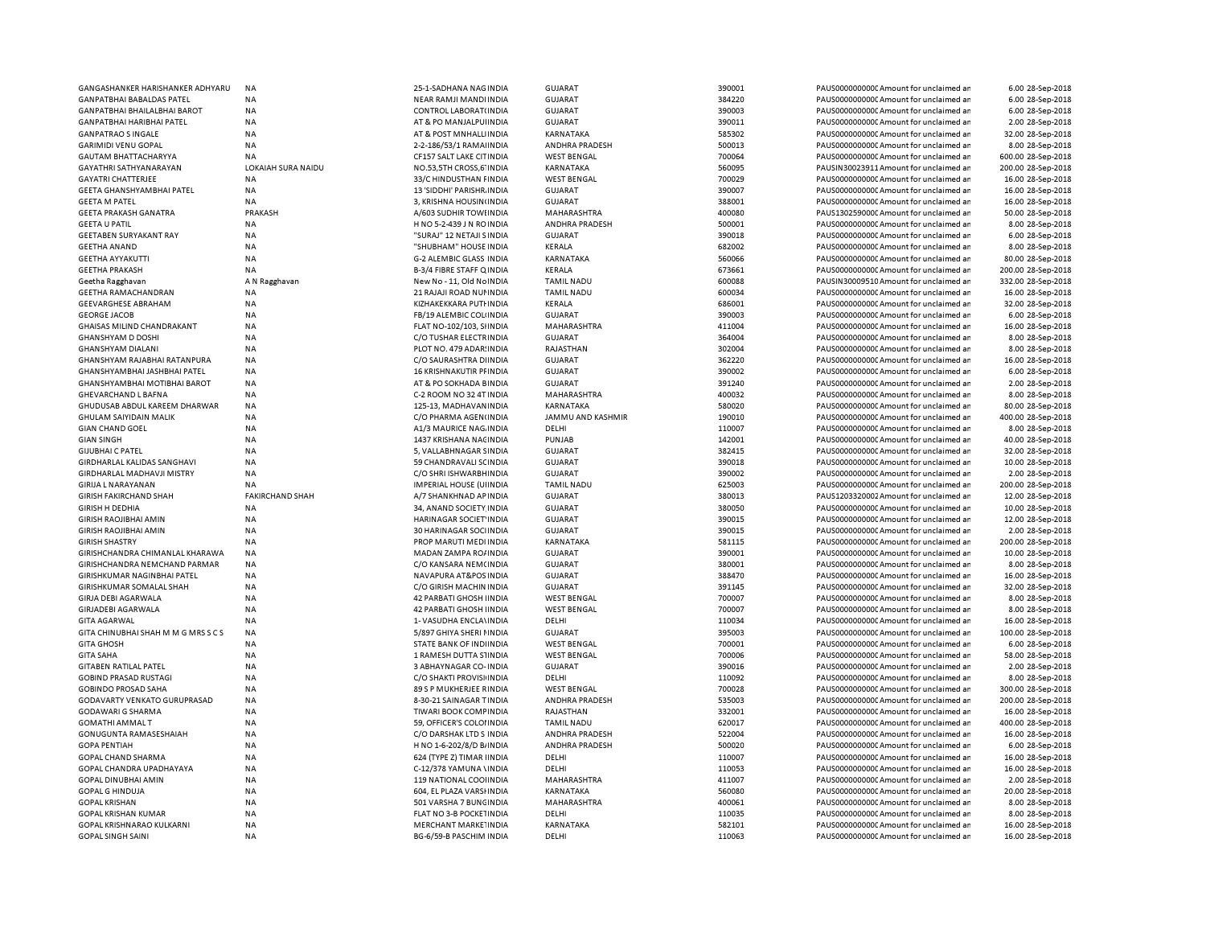| GANGASHANKER HARISHANKER ADHYARU    | <b>NA</b>              | 25-1-SADHANA NAG INDIA         | <b>GUJARAT</b>           | 390001 | PAUS00000000000Amount for unclaimed ar  | 6.00 28-Sep-2018   |
|-------------------------------------|------------------------|--------------------------------|--------------------------|--------|-----------------------------------------|--------------------|
| <b>GANPATBHAI BABALDAS PATEL</b>    | <b>NA</b>              | NEAR RAMJI MANDI INDIA         | <b>GUJARAT</b>           | 384220 | PAUS0000000000 Amount for unclaimed ar  | 6.00 28-Sep-2018   |
| <b>GANPATBHAI BHAILALBHAI BAROT</b> | <b>NA</b>              | CONTROL LABORAT(INDIA          | <b>GUJARAT</b>           | 390003 | PAUS0000000000 Amount for unclaimed ar  | 6.00 28-Sep-2018   |
| <b>GANPATBHAI HARIBHAI PATEL</b>    | <b>NA</b>              | AT & PO MANJALPUIINDIA         | <b>GUJARAT</b>           | 390011 | PAUS00000000000Amount for unclaimed ar  | 2.00 28-Sep-2018   |
| <b>GANPATRAO S INGALE</b>           | <b>NA</b>              | AT & POST MNHALLINDIA          |                          | 585302 |                                         | 32.00 28-Sep-2018  |
|                                     |                        |                                | KARNATAKA                |        | PAUS0000000000 Amount for unclaimed ar  |                    |
| <b>GARIMIDI VENU GOPAL</b>          | <b>NA</b>              | 2-2-186/53/1 RAMA INDIA        | ANDHRA PRADESH           | 500013 | PAUS0000000000CAmount for unclaimed ar  | 8.00 28-Sep-2018   |
| <b>GAUTAM BHATTACHARYYA</b>         | <b>NA</b>              | CF157 SALT LAKE CITINDIA       | <b>WEST BENGAL</b>       | 700064 | PAUS0000000000 Amount for unclaimed ar  | 600.00 28-Sep-2018 |
| GAYATHRI SATHYANARAYAN              | LOKAIAH SURA NAIDU     | NO.53,5TH CROSS,6' INDIA       | KARNATAKA                | 560095 | PAUSIN30023911 Amount for unclaimed ar  | 200.00 28-Sep-2018 |
| <b>GAYATRI CHATTERJEE</b>           | <b>NA</b>              | 33/C HINDUSTHAN FINDIA         | <b>WEST BENGAL</b>       | 700029 | PAUS0000000000CAmount for unclaimed ar  | 16.00 28-Sep-2018  |
| <b>GEETA GHANSHYAMBHAI PATEL</b>    | <b>NA</b>              | 13 'SIDDHI' PARISHR INDIA      | <b>GUJARAT</b>           | 390007 | PAUS0000000000 Amount for unclaimed ar  | 16.00 28-Sep-2018  |
| <b>GEETA M PATEL</b>                | <b>NA</b>              | 3, KRISHNA HOUSIN(INDIA        | GUJARAT                  | 388001 | PAUS0000000000 Amount for unclaimed ar  | 16.00 28-Sep-2018  |
|                                     |                        |                                |                          |        |                                         |                    |
| <b>GEETA PRAKASH GANATRA</b>        | PRAKASH                | A/603 SUDHIR TOWI INDIA        | MAHARASHTRA              | 400080 | PAUS1302590000 Amount for unclaimed ar  | 50.00 28-Sep-2018  |
| <b>GEETA U PATIL</b>                | <b>NA</b>              | H NO 5-2-439 J N RO INDIA      | ANDHRA PRADESH           | 500001 | PAUS0000000000 Amount for unclaimed ar  | 8.00 28-Sep-2018   |
| <b>GEETABEN SURYAKANT RAY</b>       | <b>NA</b>              | "SURAJ" 12 NETAJI SINDIA       | <b>GUJARAT</b>           | 390018 | PAUS0000000000CAmount for unclaimed ar  | 6.00 28-Sep-2018   |
| <b>GEETHA ANAND</b>                 | <b>NA</b>              | "SHUBHAM" HOUSE INDIA          | KERALA                   | 682002 | PAUS0000000000CAmount for unclaimed an  | 8.00 28-Sep-2018   |
| <b>GEETHA AYYAKUTTI</b>             | <b>NA</b>              | G-2 ALEMBIC GLASS INDIA        | KARNATAKA                | 560066 | PAUS0000000000CAmount for unclaimed ar  | 80.00 28-Sep-2018  |
| <b>GEETHA PRAKASH</b>               | <b>NA</b>              | B-3/4 FIBRE STAFF Q INDIA      | KERALA                   | 673661 | PAUS0000000000 Amount for unclaimed ar  | 200.00 28-Sep-2018 |
| Geetha Ragghavan                    | A N Ragghavan          | New No - 11, Old No INDIA      | <b>TAMIL NADU</b>        | 600088 | PAUSIN30009510 Amount for unclaimed ar  | 332.00 28-Sep-2018 |
|                                     |                        |                                |                          |        |                                         |                    |
| <b>GEETHA RAMACHANDRAN</b>          | <b>NA</b>              | 21 RAJAJI ROAD NUI INDIA       | <b>TAMIL NADU</b>        | 600034 | PAUS0000000000 Amount for unclaimed ar  | 16.00 28-Sep-2018  |
| <b>GEEVARGHESE ABRAHAM</b>          | <b>NA</b>              | KIZHAKEKKARA PUTI INDIA        | KERALA                   | 686001 | PAUS0000000000 Amount for unclaimed ar  | 32.00 28-Sep-2018  |
| <b>GEORGE JACOB</b>                 | <b>NA</b>              | FB/19 ALEMBIC COL(INDIA        | GUJARAT                  | 390003 | PAUS0000000000CAmount for unclaimed an  | 6.00 28-Sep-2018   |
| <b>GHAISAS MILIND CHANDRAKANT</b>   | <b>NA</b>              | FLAT NO-102/103, SHNDIA        | MAHARASHTRA              | 411004 | PAUS0000000000 Amount for unclaimed ar  | 16.00 28-Sep-2018  |
| <b>GHANSHYAM D DOSHI</b>            | <b>NA</b>              | C/O TUSHAR ELECTRINDIA         | <b>GUJARAT</b>           | 364004 | PAUS0000000000 Amount for unclaimed ar  | 8.00 28-Sep-2018   |
| <b>GHANSHYAM DIALANI</b>            | <b>NA</b>              | PLOT NO. 479 ADAR: INDIA       | RAJASTHAN                | 302004 | PAUS0000000000 Amount for unclaimed ar  | 8.00 28-Sep-2018   |
|                                     |                        |                                |                          |        |                                         |                    |
| GHANSHYAM RAJABHAI RATANPURA        | <b>NA</b>              | C/O SAURASHTRA DIINDIA         | <b>GUJARAT</b>           | 362220 | PAUS0000000000 Amount for unclaimed ar  | 16.00 28-Sep-2018  |
| GHANSHYAMBHAI JASHBHAI PATEL        | NA                     | 16 KRISHNAKUTIR PFINDIA        | <b>GUJARAT</b>           | 390002 | PAUS0000000000 Amount for unclaimed ar  | 6.00 28-Sep-2018   |
| GHANSHYAMBHAI MOTIBHAI BAROT        | <b>NA</b>              | AT & PO SOKHADA BINDIA         | <b>GUJARAT</b>           | 391240 | PAUS0000000000CAmount for unclaimed ar  | 2.00 28-Sep-2018   |
| GHEVARCHAND L BAFNA                 | ΝA                     | C-2 ROOM NO 32 4T INDIA        | MAHARASHTRA              | 400032 | PAUS0000000000 Amount for unclaimed ar  | 8.00 28-Sep-2018   |
| GHUDUSAB ABDUL KAREEM DHARWAR       | <b>NA</b>              | 125-13, MADHAVAN INDIA         | KARNATAKA                | 580020 | PAUS0000000000CAmount for unclaimed ar  | 80.00 28-Sep-2018  |
| <b>GHULAM SAIYIDAIN MALIK</b>       | <b>NA</b>              | C/O PHARMA AGEN(INDIA          | <b>JAMMU AND KASHMIR</b> | 190010 | PAUS0000000000 Amount for unclaimed ar  | 400.00 28-Sep-2018 |
| <b>GIAN CHAND GOEL</b>              | <b>NA</b>              | A1/3 MAURICE NAG. INDIA        | DELHI                    | 110007 | PAUS0000000000CAmount for unclaimed ar  | 8.00 28-Sep-2018   |
|                                     |                        |                                |                          |        |                                         |                    |
| <b>GIAN SINGH</b>                   | <b>NA</b>              | 1437 KRISHANA NACINDIA         | PUNJAB                   | 142001 | PAUS00000000000Amount for unclaimed ar  | 40.00 28-Sep-2018  |
| <b>GIJUBHAI C PATEL</b>             | <b>NA</b>              | 5, VALLABHNAGAR SINDIA         | GUJARAT                  | 382415 | PAUS0000000000CAmount for unclaimed ar  | 32.00 28-Sep-2018  |
| GIRDHARLAL KALIDAS SANGHAVI         | <b>NA</b>              | 59 CHANDRAVALI SCINDIA         | <b>GUJARAT</b>           | 390018 | PAUS0000000000CAmount for unclaimed ar  | 10.00 28-Sep-2018  |
| <b>GIRDHARLAL MADHAVJI MISTRY</b>   | <b>NA</b>              | C/O SHRI ISHWARBHINDIA         | <b>GUJARAT</b>           | 390002 | PAUS0000000000CAmount for unclaimed ar  | 2.00 28-Sep-2018   |
| <b>GIRIJA L NARAYANAN</b>           | <b>NA</b>              | <b>IMPERIAL HOUSE (UIINDIA</b> | <b>TAMIL NADU</b>        | 625003 | PAUS0000000000CAmount for unclaimed ar  | 200.00 28-Sep-2018 |
| <b>GIRISH FAKIRCHAND SHAH</b>       | <b>FAKIRCHAND SHAH</b> | A/7 SHANKHNAD AP INDIA         | <b>GUJARAT</b>           | 380013 | PAUS1203320002 Amount for unclaimed ar  | 12.00 28-Sep-2018  |
| <b>GIRISH H DEDHIA</b>              | <b>NA</b>              |                                | <b>GUJARAT</b>           | 380050 | PAUS0000000000 Amount for unclaimed ar  |                    |
|                                     |                        | 34, ANAND SOCIETY INDIA        |                          |        |                                         | 10.00 28-Sep-2018  |
| <b>GIRISH RAOJIBHAI AMIN</b>        | <b>NA</b>              | HARINAGAR SOCIET INDIA         | GUJARAT                  | 390015 | PAUS0000000000 Amount for unclaimed ar  | 12.00 28-Sep-2018  |
| <b>GIRISH RAOJIBHAI AMIN</b>        | <b>NA</b>              | 30 HARINAGAR SOCHNDIA          | <b>GUJARAT</b>           | 390015 | PAUS0000000000 Amount for unclaimed ar  | 2.00 28-Sep-2018   |
| <b>GIRISH SHASTRY</b>               | <b>NA</b>              | PROP MARUTI MEDI INDIA         | KARNATAKA                | 581115 | PAUS0000000000 Amount for unclaimed ar  | 200.00 28-Sep-2018 |
| GIRISHCHANDRA CHIMANLAL KHARAWA     | NA                     | MADAN ZAMPA RO/ INDIA          | <b>GUJARAT</b>           | 390001 | PAUS0000000000 Amount for unclaimed ar  | 10.00 28-Sep-2018  |
| GIRISHCHANDRA NEMCHAND PARMAR       | NA                     | C/O KANSARA NEM(INDIA          | <b>GUJARAT</b>           | 380001 | PAUS0000000000C Amount for unclaimed ar | 8.00 28-Sep-2018   |
| GIRISHKUMAR NAGINBHAI PATEL         | NA                     | NAVAPURA AT&POS INDIA          | <b>GUJARAT</b>           | 388470 | PAUS0000000000 Amount for unclaimed ar  | 16.00 28-Sep-2018  |
|                                     |                        |                                |                          |        |                                         |                    |
| GIRISHKUMAR SOMALAL SHAH            | <b>NA</b>              | C/O GIRISH MACHIN INDIA        | GUJARAT                  | 391145 | PAUS0000000000 Amount for unclaimed ar  | 32.00 28-Sep-2018  |
| <b>GIRJA DEBI AGARWALA</b>          | <b>NA</b>              | 42 PARBATI GHOSH IINDIA        | <b>WEST BENGAL</b>       | 700007 | PAUS0000000000 Amount for unclaimed ar  | 8.00 28-Sep-2018   |
| GIRJADEBI AGARWALA                  | <b>NA</b>              | <b>42 PARBATI GHOSH IINDIA</b> | <b>WEST BENGAL</b>       | 700007 | PAUS00000000000Amount for unclaimed ar  | 8.00 28-Sep-2018   |
| <b>GITA AGARWAL</b>                 | <b>NA</b>              | 1- VASUDHA ENCLAVINDIA         | DELHI                    | 110034 | PAUS0000000000CAmount for unclaimed ar  | 16.00 28-Sep-2018  |
| GITA CHINUBHAI SHAH M M G MRS S C S | <b>NA</b>              | 5/897 GHIYA SHERI I INDIA      | <b>GUJARAT</b>           | 395003 | PAUS0000000000CAmount for unclaimed ar  | 100.00 28-Sep-2018 |
| <b>GITA GHOSH</b>                   | <b>NA</b>              | STATE BANK OF INDIINDIA        | <b>WEST BENGAL</b>       | 700001 | PAUS0000000000CAmount for unclaimed ar  | 6.00 28-Sep-2018   |
|                                     | <b>NA</b>              | 1 RAMESH DUTTA S'INDIA         | <b>WEST BENGAL</b>       | 700006 | PAUS0000000000CAmount for unclaimed ar  | 58.00 28-Sep-2018  |
| <b>GITA SAHA</b>                    |                        |                                |                          |        |                                         |                    |
| <b>GITABEN RATILAL PATEL</b>        | <b>NA</b>              | 3 ABHAYNAGAR CO-INDIA          | GUJARAT                  | 390016 | PAUS0000000000CAmount for unclaimed ar  | 2.00 28-Sep-2018   |
| <b>GOBIND PRASAD RUSTAG</b>         | <b>NA</b>              | C/O SHAKTI PROVISI INDIA       | DELHI                    | 110092 | PAUS0000000000CAmount for unclaimed ar  | 8.00 28-Sep-2018   |
| <b>GOBINDO PROSAD SAHA</b>          | <b>NA</b>              | 89 S P MUKHERJEE RINDIA        | <b>WEST BENGAL</b>       | 700028 | PAUS0000000000CAmount for unclaimed ar  | 300.00 28-Sep-2018 |
| <b>GODAVARTY VENKATO GURUPRASAD</b> | <b>NA</b>              | 8-30-21 SAINAGAR TINDIA        | <b>ANDHRA PRADESH</b>    | 535003 | PAUS0000000000 Amount for unclaimed ar  | 200.00 28-Sep-2018 |
| <b>GODAWARI G SHARMA</b>            | <b>NA</b>              | TIWARI BOOK COMFINDIA          | RAJASTHAN                | 332001 | PAUS0000000000 Amount for unclaimed ar  | 16.00 28-Sep-2018  |
| <b>GOMATHI AMMALT</b>               | <b>NA</b>              | 59. OFFICER'S COLOHNDIA        | <b>TAMIL NADU</b>        | 620017 | PAUS0000000000 Amount for unclaimed ar  | 400.00 28-Sep-2018 |
|                                     |                        |                                |                          |        |                                         |                    |
| GONUGUNTA RAMASESHAIAH              | <b>NA</b>              | C/O DARSHAK LTD S INDIA        | ANDHRA PRADESH           | 522004 | PAUS0000000000 Amount for unclaimed ar  | 16.00 28-Sep-2018  |
| <b>GOPA PENTIAH</b>                 | <b>NA</b>              | H NO 1-6-202/8/D B/ INDIA      | <b>ANDHRA PRADESH</b>    | 500020 | PAUS0000000000 Amount for unclaimed ar  | 6.00 28-Sep-2018   |
| GOPAL CHAND SHARMA                  | <b>NA</b>              | 624 (TYPE Z) TIMAR IINDIA      | DELHI                    | 110007 | PAUS0000000000 Amount for unclaimed ar  | 16.00 28-Sep-2018  |
| GOPAL CHANDRA UPADHAYAYA            | <b>NA</b>              | C-12/378 YAMUNA \INDIA         | DELHI                    | 110053 | PAUS0000000000 Amount for unclaimed ar  | 16.00 28-Sep-2018  |
| GOPAL DINUBHAI AMIN                 | <b>NA</b>              | 119 NATIONAL COOHNDIA          | MAHARASHTRA              | 411007 | PAUS0000000000 Amount for unclaimed ar  | 2.00 28-Sep-2018   |
| <b>GOPAL G HINDUJA</b>              | NA                     | 604, EL PLAZA VARSHNDIA        | KARNATAKA                | 560080 | PAUS0000000000 Amount for unclaimed ar  | 20.00 28-Sep-2018  |
|                                     |                        |                                |                          |        |                                         |                    |
| <b>GOPAL KRISHAN</b>                | <b>NA</b>              | 501 VARSHA 7 BUNCINDIA         | MAHARASHTRA              | 400061 | PAUS0000000000 Amount for unclaimed ar  | 8.00 28-Sep-2018   |
| <b>GOPAL KRISHAN KUMAR</b>          | <b>NA</b>              | FLAT NO 3-B POCKETINDIA        | DELHI                    | 110035 | PAUS0000000000 Amount for unclaimed ar  | 8.00 28-Sep-2018   |
| GOPAL KRISHNARAO KULKARNI           | <b>NA</b>              | MERCHANT MARKE INDIA           | KARNATAKA                | 582101 | PAUS0000000000 Amount for unclaimed ar  | 16.00 28-Sep-2018  |
| <b>GOPAL SINGH SAINI</b>            | <b>NA</b>              | BG-6/59-B PASCHIM INDIA        | DELHI                    | 110063 | PAUS0000000000 Amount for unclaimed ar  | 16.00 28-Sep-2018  |
|                                     |                        |                                |                          |        |                                         |                    |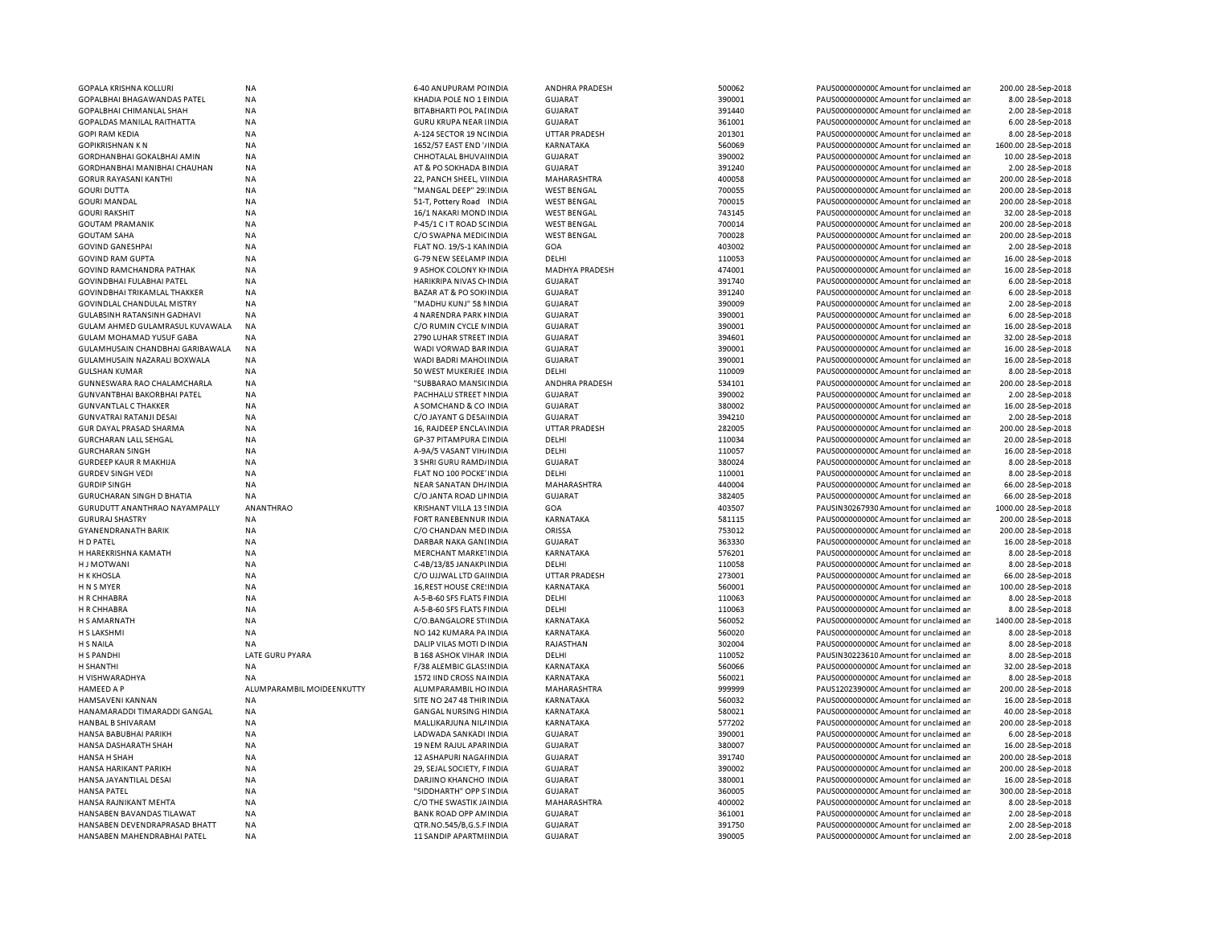| GOPALA KRISHNA KOLLURI               | <b>NA</b>                 | 6-40 ANUPURAM PC INDIA             | ANDHRA PRADESH       | 500062 | PAUS0000000000 Amount for unclaimed ar  | 200.00 28-Sep-2018  |
|--------------------------------------|---------------------------|------------------------------------|----------------------|--------|-----------------------------------------|---------------------|
| GOPALBHAI BHAGAWANDAS PATEL          | <b>NA</b>                 | KHADIA POLE NO 1 EINDIA            | <b>GUJARAT</b>       | 390001 | PAUS0000000000C Amount for unclaimed ar | 8.00 28-Sep-2018    |
| GOPALBHAI CHIMANLAL SHAH             | NA                        | BITABHARTI POL PALINDIA            | <b>GUJARAT</b>       | 391440 | PAUS0000000000 Amount for unclaimed ar  | 2.00 28-Sep-2018    |
| <b>GOPALDAS MANILAL RAITHATTA</b>    | <b>NA</b>                 | <b>GURU KRUPA NEAR IINDIA</b>      | <b>GUJARAT</b>       | 361001 | PAUS0000000000 Amount for unclaimed ar  | 6.00 28-Sep-2018    |
| <b>GOPI RAM KEDIA</b>                | <b>NA</b>                 | A-124 SECTOR 19 NCINDIA            | <b>UTTAR PRADESH</b> | 201301 | PAUS0000000000CAmount for unclaimed ar  | 8.00 28-Sep-2018    |
| <b>GOPIKRISHNAN KN</b>               | <b>NA</b>                 | 1652/57 EAST END VINDIA            | KARNATAKA            | 560069 | PAUS0000000000CAmount for unclaimed ar  | 1600.00 28-Sep-2018 |
| GORDHAN BHAI GOKALBHAI AMIN          | <b>NA</b>                 | CHHOTALAL BHUVAI INDIA             | <b>GUJARAT</b>       | 390002 | PAUS0000000000 Amount for unclaimed ar  | 10.00 28-Sep-2018   |
| GORDHANBHAI MANIBHAI CHAUHAN         | <b>NA</b>                 | AT & PO SOKHADA BINDIA             | <b>GUJARAT</b>       | 391240 | PAUS0000000000 Amount for unclaimed ar  | 2.00 28-Sep-2018    |
| <b>GORUR RAYASANI KANTHI</b>         | <b>NA</b>                 | 22, PANCH SHEEL, VIINDIA           | MAHARASHTRA          | 400058 | PAUS0000000000 Amount for unclaimed ar  | 200.00 28-Sep-2018  |
| <b>GOURI DUTTA</b>                   | <b>NA</b>                 | "MANGAL DEEP" 29: INDIA            | <b>WEST BENGAL</b>   | 700055 | PAUS0000000000 Amount for unclaimed ar  | 200.00 28-Sep-2018  |
| <b>GOURI MANDAL</b>                  | <b>NA</b>                 | 51-T, Pottery Road INDIA           | <b>WEST BENGAL</b>   | 700015 | PAUS0000000000 Amount for unclaimed ar  | 200.00 28-Sep-2018  |
| <b>GOURI RAKSHIT</b>                 | <b>NA</b>                 | 16/1 NAKARI MOND INDIA             | <b>WEST BENGAL</b>   | 743145 | PAUS0000000000CAmount for unclaimed ar  | 32.00 28-Sep-2018   |
| <b>GOUTAM PRAMANIK</b>               | <b>NA</b>                 | P-45/1 C I T ROAD SCINDIA          | <b>WEST BENGAL</b>   | 700014 | PAUS0000000000CAmount for unclaimed ar  | 200.00 28-Sep-2018  |
| <b>GOUTAM SAHA</b>                   | <b>NA</b>                 | C/O SWAPNA MEDICINDIA              | <b>WEST BENGAL</b>   | 700028 | PAUS0000000000CAmount for unclaimed ar  | 200.00 28-Sep-2018  |
| <b>GOVIND GANESHPAI</b>              | <b>NA</b>                 | FLAT NO. 19/S-1 KAN INDIA          | GOA                  | 403002 | PAUS0000000000CAmount for unclaimed ar  | 2.00 28-Sep-2018    |
| <b>GOVIND RAM GUPTA</b>              | <b>NA</b>                 | G-79 NEW SEELAMP INDIA             | DELHI                | 110053 | PAUS0000000000CAmount for unclaimed ar  | 16.00 28-Sep-2018   |
| GOVIND RAMCHANDRA PATHAK             | <b>NA</b>                 | 9 ASHOK COLONY KI INDIA            | MADHYA PRADESH       | 474001 | PAUS0000000000CAmount for unclaimed ar  | 16.00 28-Sep-2018   |
| GOVINDBHAI FULABHAI PATEL            | <b>NA</b>                 | HARIKRIPA NIVAS CHINDIA            | <b>GUJARAT</b>       | 391740 | PAUS0000000000 Amount for unclaimed ar  | 6.00 28-Sep-2018    |
| GOVINDBHAI TRIKAMLAL THAKKER         | <b>NA</b>                 | <b>BAZAR AT &amp; PO SOKIINDIA</b> | <b>GUJARAT</b>       | 391240 | PAUS0000000000 Amount for unclaimed ar  | 6.00 28-Sep-2018    |
| GOVINDLAL CHANDULAL MISTRY           | <b>NA</b>                 | "MADHU KUNJ" 58 NINDIA             | <b>GUJARAT</b>       | 390009 | PAUS0000000000 Amount for unclaimed ar  | 2.00 28-Sep-2018    |
| <b>GULABSINH RATANSINH GADHAVI</b>   | <b>NA</b>                 | 4 NARENDRA PARK FINDIA             | <b>GUJARAT</b>       | 390001 | PAUS0000000000Amount for unclaimed ar   | 6.00 28-Sep-2018    |
| GULAM AHMED GULAMRASUL KUVAWALA      | <b>NA</b>                 | C/O RUMIN CYCLE NINDIA             | <b>GUJARAT</b>       | 390001 | PAUS0000000000CAmount for unclaimed ar  | 16.00 28-Sep-2018   |
| <b>GULAM MOHAMAD YUSUF GABA</b>      | <b>NA</b>                 | 2790 LUHAR STREET INDIA            | <b>GUJARAT</b>       | 394601 | PAUS0000000000 Amount for unclaimed ar  | 32.00 28-Sep-2018   |
| GULAMHUSAIN CHANDBHAI GARIBAWALA     | <b>NA</b>                 | WADI VORWAD BAR INDIA              | <b>GUJARAT</b>       | 390001 | PAUS0000000000 Amount for unclaimed ar  | 16.00 28-Sep-2018   |
| GULAMHUSAIN NAZARALI BOXWALA         | <b>NA</b>                 | WADI BADRI MAHOLINDIA              | <b>GUJARAT</b>       | 390001 | PAUS0000000000 Amount for unclaimed ar  | 16.00 28-Sep-2018   |
| <b>GULSHAN KUMAR</b>                 | <b>NA</b>                 | 50 WEST MUKERJEE INDIA             | DELHI                | 110009 | PAUS0000000000 Amount for unclaimed ar  | 8.00 28-Sep-2018    |
| GUNNESWARA RAO CHALAMCHARLA          | <b>NA</b>                 | "SUBBARAO MANSI(INDIA              | ANDHRA PRADESH       | 534101 | PAUS00000000000Amount for unclaimed an  | 200.00 28-Sep-2018  |
| <b>GUNVANTBHAI BAKORBHAI PATEL</b>   | <b>NA</b>                 | PACHHALU STREET NINDIA             | <b>GUJARAT</b>       | 390002 | PAUS0000000000 Amount for unclaimed ar  | 2.00 28-Sep-2018    |
| <b>GUNVANTLAL C THAKKER</b>          | <b>NA</b>                 | A SOMCHAND & CO INDIA              | <b>GUJARAT</b>       | 380002 | PAUS0000000000 Amount for unclaimed ar  | 16.00 28-Sep-2018   |
| <b>GUNVATRAI RATANJI DESAI</b>       | <b>NA</b>                 | C/O JAYANT G DESA INDIA            | <b>GUJARAT</b>       | 394210 | PAUS00000000000Amount for unclaimed ar  | 2.00 28-Sep-2018    |
| GUR DAYAL PRASAD SHARMA              | <b>NA</b>                 | 16, RAJDEEP ENCLA\INDIA            | <b>UTTAR PRADESH</b> | 282005 | PAUS0000000000 Amount for unclaimed ar  | 200.00 28-Sep-2018  |
| <b>GURCHARAN LALL SEHGAL</b>         | <b>NA</b>                 | GP-37 PITAMPURA CINDIA             | DELHI                | 110034 | PAUS0000000000 Amount for unclaimed ar  | 20.00 28-Sep-2018   |
| <b>GURCHARAN SINGH</b>               | <b>NA</b>                 | A-9A/5 VASANT VIH/ INDIA           | DELHI                | 110057 | PAUS0000000000 Amount for unclaimed ar  | 16.00 28-Sep-2018   |
| <b>GURDEEP KAUR R MAKHIJA</b>        | <b>NA</b>                 | 3 SHRI GURU RAMD/INDIA             | <b>GUJARAT</b>       | 380024 | PAUS00000000000Amount for unclaimed ar  | 8.00 28-Sep-2018    |
| <b>GURDEV SINGH VEDI</b>             | <b>NA</b>                 | FLAT NO 100 POCKE INDIA            | DELHI                | 110001 | PAUS0000000000 Amount for unclaimed ar  | 8.00 28-Sep-2018    |
| <b>GURDIP SINGH</b>                  | <b>NA</b>                 | NEAR SANATAN DH/INDIA              | MAHARASHTRA          | 440004 | PAUS0000000000 Amount for unclaimed ar  | 66.00 28-Sep-2018   |
| <b>GURUCHARAN SINGH D BHATIA</b>     | NA                        | C/O JANTA ROAD LII INDIA           | <b>GUJARAT</b>       | 382405 | PAUS0000000000CAmount for unclaimed ar  | 66.00 28-Sep-2018   |
| <b>GURUDUTT ANANTHRAO NAYAMPALLY</b> | ANANTHRAO                 | KRISHANT VILLA 13 SINDIA           | GOA                  | 403507 | PAUSIN30267930 Amount for unclaimed ar  | 1000.00 28-Sep-2018 |
| <b>GURURAJ SHASTRY</b>               | <b>NA</b>                 | FORT RANEBENNUR INDIA              | KARNATAKA            | 581115 | PAUS0000000000 Amount for unclaimed ar  | 200.00 28-Sep-2018  |
| <b>GYANENDRANATH BARIK</b>           | <b>NA</b>                 | C/O CHANDAN MED INDIA              | ORISSA               | 753012 | PAUS0000000000 Amount for unclaimed ar  | 200.00 28-Sep-2018  |
| H D PATEL                            | <b>NA</b>                 | DARBAR NAKA GANLINDIA              | <b>GUJARAT</b>       | 363330 | PAUS0000000000CAmount for unclaimed ar  | 16.00 28-Sep-2018   |
| H HAREKRISHNA KAMATH                 | <b>NA</b>                 | MERCHANT MARKE INDIA               | KARNATAKA            | 576201 | PAUS0000000000 Amount for unclaimed ar  | 8.00 28-Sep-2018    |
|                                      |                           |                                    | DELHI                |        |                                         |                     |
| <b>HJ MOTWANI</b>                    | <b>NA</b>                 | C-4B/13/85 JANAKPUNDIA             |                      | 110058 | PAUS0000000000CAmount for unclaimed ar  | 8.00 28-Sep-2018    |
| <b>H K KHOSLA</b>                    | <b>NA</b>                 | C/O UJJWAL LTD GAHNDIA             | <b>UTTAR PRADESH</b> | 273001 | PAUS0000000000CAmount for unclaimed ar  | 66.00 28-Sep-2018   |
| H N S MYER                           | <b>NA</b>                 | 16, REST HOUSE CRE! INDIA          | KARNATAKA            | 560001 | PAUS0000000000CAmount for unclaimed ar  | 100.00 28-Sep-2018  |
| H R CHHABRA                          | <b>NA</b>                 | A-5-B-60 SFS FLATS FINDIA          | DELHI                | 110063 | PAUS0000000000 Amount for unclaimed ar  | 8.00 28-Sep-2018    |
| H R CHHABRA                          | <b>NA</b>                 | A-5-B-60 SFS FLATS FINDIA          | DELHI                | 110063 | PAUS0000000000CAmount for unclaimed ar  | 8.00 28-Sep-2018    |
| H S AMARNATH                         | <b>NA</b>                 | C/O.BANGALORE STUNDIA              | KARNATAKA            | 560052 | PAUS0000000000CAmount for unclaimed ar  | 1400.00 28-Sep-2018 |
| H S LAKSHMI                          | <b>NA</b>                 | NO 142 KUMARA PA INDIA             | KARNATAKA            | 560020 | PAUS0000000000 Amount for unclaimed ar  | 8.00 28-Sep-2018    |
| H S NAILA                            | <b>NA</b>                 | DALIP VILAS MOTI D INDIA           | RAJASTHAN            | 302004 | PAUS0000000000 Amount for unclaimed ar  | 8.00 28-Sep-2018    |
| <b>H S PANDHI</b>                    | LATE GURU PYARA           | <b>B 168 ASHOK VIHAR INDIA</b>     | DELHI                | 110052 | PAUSIN30223610 Amount for unclaimed ar  | 8.00 28-Sep-2018    |
| <b>H SHANTHI</b>                     | <b>NA</b>                 | F/38 ALEMBIC GLASSINDIA            | KARNATAKA            | 560066 | PAUS0000000000CAmount for unclaimed ar  | 32.00 28-Sep-2018   |
| H VISHWARADHYA                       | <b>NA</b>                 | 1572 IIND CROSS NAINDIA            | KARNATAKA            | 560021 | PAUS0000000000 Amount for unclaimed ar  | 8.00 28-Sep-2018    |
| <b>HAMEED A P</b>                    | ALUMPARAMBIL MOIDEENKUTTY | ALUMPARAMBIL HO INDIA              | MAHARASHTRA          | 999999 | PAUS1202390000 Amount for unclaimed ar  | 200.00 28-Sep-2018  |
| HAMSAVENI KANNAN                     | <b>NA</b>                 | SITE NO 247 48 THIR INDIA          | <b>KARNATAKA</b>     | 560032 | PAUS00000000000Amount for unclaimed an  | 16.00 28-Sep-2018   |
| HANAMARADDI TIMARADDI GANGAL         | <b>NA</b>                 | <b>GANGAL NURSING HINDIA</b>       | KARNATAKA            | 580021 | PAUS0000000000 Amount for unclaimed ar  | 40.00 28-Sep-2018   |
| HANBAL B SHIVARAM                    | <b>NA</b>                 | MALLIKARJUNA NILI INDIA            | KARNATAKA            | 577202 | PAUS00000000000Amount for unclaimed an  | 200.00 28-Sep-2018  |
| HANSA BABUBHAI PARIKH                | <b>NA</b>                 | LADWADA SANKADI INDIA              | <b>GUJARAT</b>       | 390001 | PAUS0000000000 Amount for unclaimed ar  | 6.00 28-Sep-2018    |
| HANSA DASHARATH SHAH                 | <b>NA</b>                 | 19 NEM RAJUL APARINDIA             | GUJARAT              | 380007 | PAUS0000000000 Amount for unclaimed ar  | 16.00 28-Sep-2018   |
| HANSA H SHAH                         | <b>NA</b>                 | 12 ASHAPURI NAGAI INDIA            | <b>GUJARAT</b>       | 391740 | PAUS0000000000 Amount for unclaimed ar  | 200.00 28-Sep-2018  |
| HANSA HARIKANT PARIKH                | <b>NA</b>                 | 29, SEJAL SOCIETY, FINDIA          | <b>GUJARAT</b>       | 390002 | PAUS0000000000 Amount for unclaimed ar  | 200.00 28-Sep-2018  |
| HANSA JAYANTILAL DESAI               | <b>NA</b>                 | DARJINO KHANCHO INDIA              | <b>GUJARAT</b>       | 380001 | PAUS0000000000 Amount for unclaimed ar  | 16.00 28-Sep-2018   |
| <b>HANSA PATEL</b>                   | <b>NA</b>                 | "SIDDHARTH" OPP S INDIA            | <b>GUJARAT</b>       | 360005 | PAUS0000000000 Amount for unclaimed ar  | 300.00 28-Sep-2018  |
| HANSA RAJNIKANT MEHTA                | <b>NA</b>                 | C/O THE SWASTIK JAINDIA            | MAHARASHTRA          | 400002 | PAUS0000000000CAmount for unclaimed ar  | 8.00 28-Sep-2018    |
| HANSABEN BAVANDAS TILAWAT            | <b>NA</b>                 | BANK ROAD OPP AM INDIA             | <b>GUJARAT</b>       | 361001 | PAUS0000000000 Amount for unclaimed ar  | 2.00 28-Sep-2018    |
| HANSABEN DEVENDRAPRASAD BHATT        | <b>NA</b>                 | QTR.NO.545/B,G.S.F INDIA           | <b>GUJARAT</b>       | 391750 | PAUS0000000000 Amount for unclaimed ar  | 2.00 28-Sep-2018    |
| HANSABEN MAHENDRABHAI PATEL          | <b>NA</b>                 | 11 SANDIP APARTMI INDIA            | <b>GUJARAT</b>       | 390005 | PAUS0000000000 Amount for unclaimed ar  | 2.00 28-Sep-2018    |
|                                      |                           |                                    |                      |        |                                         |                     |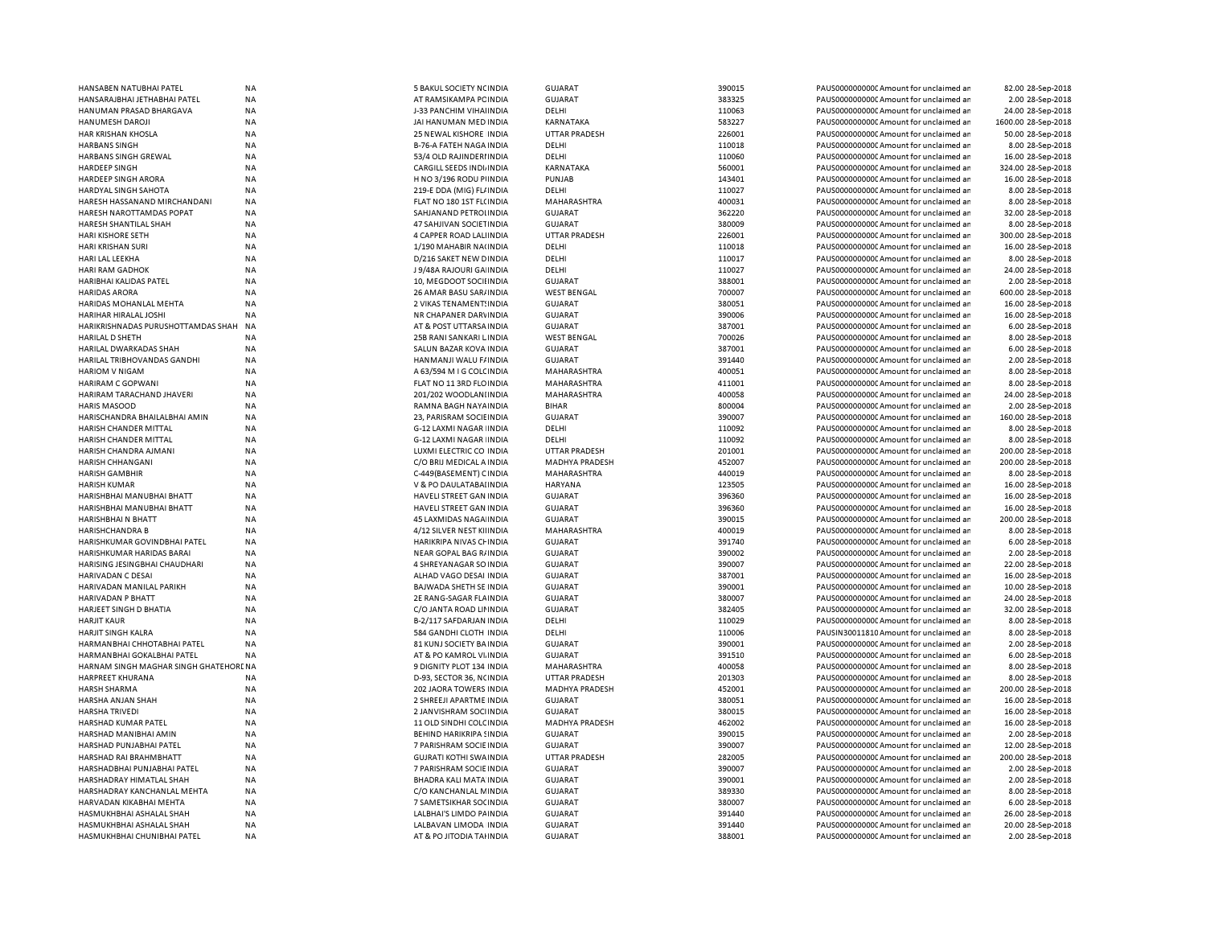| HANSABEN NATUBHAI PATEL                                 | <b>NA</b> | 5 BAKUL SOCIETY NCINDIA        | <b>GUJARAT</b>        | 390015 | PAUS0000000000C Amount for unclaimed ar | 82.00 28-Sep-2018   |
|---------------------------------------------------------|-----------|--------------------------------|-----------------------|--------|-----------------------------------------|---------------------|
| HANSARAJBHAI JETHABHAI PATEL                            | <b>NA</b> | AT RAMSIKAMPA PC INDIA         | <b>GUJARAT</b>        | 383325 | PAUS0000000000 Amount for unclaimed ar  | 2.00 28-Sep-2018    |
| HANUMAN PRASAD BHARGAVA                                 | <b>NA</b> | J-33 PANCHIM VIHAIINDIA        | DELHI                 | 110063 | PAUS0000000000 Amount for unclaimed ar  | 24.00 28-Sep-2018   |
| HANUMESH DAROJI                                         | NA        | JAI HANUMAN MED INDIA          | KARNATAKA             | 583227 | PAUS00000000000Amount for unclaimed ar  | 1600.00 28-Sep-2018 |
| HAR KRISHAN KHOSLA                                      | ΝA        | 25 NEWAL KISHORE INDIA         | <b>UTTAR PRADESH</b>  | 226001 | PAUS0000000000 Amount for unclaimed ar  | 50.00 28-Sep-2018   |
| <b>HARBANS SINGH</b>                                    | <b>NA</b> | <b>B-76-A FATEH NAGA INDIA</b> | DELHI                 | 110018 | PAUS0000000000CAmount for unclaimed ar  | 8.00 28-Sep-2018    |
| HARBANS SINGH GREWAL                                    | <b>NA</b> | 53/4 OLD RAJINDERI INDIA       | DELHI                 | 110060 | PAUS0000000000CAmount for unclaimed ar  | 16.00 28-Sep-2018   |
| <b>HARDEEP SINGH</b>                                    | <b>NA</b> | CARGILL SEEDS INDIJINDIA       | KARNATAKA             | 560001 | PAUS0000000000CAmount for unclaimed ar  | 324.00 28-Sep-2018  |
|                                                         |           |                                | PUNJAB                |        |                                         |                     |
| HARDEEP SINGH ARORA                                     | NA        | H NO 3/196 RODU PINDIA         |                       | 143401 | PAUS0000000000CAmount for unclaimed ar  | 16.00 28-Sep-2018   |
| <b>HARDYAL SINGH SAHOTA</b>                             | <b>NA</b> | 219-E DDA (MIG) FL/ INDIA      | DELHI                 | 110027 | PAUS0000000000 Amount for unclaimed ar  | 8.00 28-Sep-2018    |
| HARESH HASSANAND MIRCHANDANI                            | <b>NA</b> | FLAT NO 180 1ST FL(INDIA       | MAHARASHTRA           | 400031 | PAUS0000000000 Amount for unclaimed ar  | 8.00 28-Sep-2018    |
| HARESH NAROTTAMDAS POPAT                                | <b>NA</b> | SAHJANAND PETROLINDIA          | <b>GUJARAT</b>        | 362220 | PAUS0000000000CAmount for unclaimed ar  | 32.00 28-Sep-2018   |
| HARESH SHANTILAL SHAH                                   | <b>NA</b> | 47 SAHJIVAN SOCIETINDIA        | GUJARAT               | 380009 | PAUS0000000000 Amount for unclaimed ar  | 8.00 28-Sep-2018    |
| HARI KISHORE SETH                                       | <b>NA</b> | 4 CAPPER ROAD LALINDIA         | UTTAR PRADESH         | 226001 | PAUS0000000000CAmount for unclaimed ar  | 300.00 28-Sep-2018  |
| HARI KRISHAN SURI                                       | <b>NA</b> | 1/190 MAHABIR NA(INDIA         | DELHI                 | 110018 | PAUS0000000000CAmount for unclaimed ar  | 16.00 28-Sep-2018   |
| HARI LAL LEEKHA                                         | NA        | D/216 SAKET NEW DINDIA         | DELHI                 | 110017 | PAUS0000000000CAmount for unclaimed ar  | 8.00 28-Sep-2018    |
| HARI RAM GADHOK                                         | <b>NA</b> | J 9/48A RAJOURI GA INDIA       | DELHI                 | 110027 | PAUS0000000000 Amount for unclaimed ar  | 24.00 28-Sep-2018   |
| HARIBHAI KALIDAS PATEL                                  | <b>NA</b> | 10, MEGDOOT SOCII INDIA        | <b>GUJARAT</b>        | 388001 | PAUS0000000000 Amount for unclaimed ar  | 2.00 28-Sep-2018    |
| <b>HARIDAS ARORA</b>                                    | <b>NA</b> | 26 AMAR BASU SAR/ INDIA        | <b>WEST BENGAL</b>    | 700007 | PAUS0000000000CAmount for unclaimed ar  | 600.00 28-Sep-2018  |
|                                                         |           |                                |                       |        |                                         |                     |
| HARIDAS MOHANLAL MEHTA                                  | <b>NA</b> | 2 VIKAS TENAMENT: INDIA        | <b>GUJARAT</b>        | 380051 | PAUS0000000000 Amount for unclaimed ar  | 16.00 28-Sep-2018   |
| HARIHAR HIRALAL JOSHI                                   | <b>NA</b> | NR CHAPANER DARVINDIA          | <b>GUJARAT</b>        | 390006 | PAUS0000000000 Amount for unclaimed ar  | 16.00 28-Sep-2018   |
| HARIKRISHNADAS PURUSHOTTAMDAS SHAH                      | <b>NA</b> | AT & POST UTTARSA INDIA        | <b>GUJARAT</b>        | 387001 | PAUS0000000000 Amount for unclaimed ar  | 6.00 28-Sep-2018    |
| HARILAL D SHETH                                         | <b>NA</b> | 25B RANI SANKARI LINDIA        | <b>WEST BENGAL</b>    | 700026 | PAUS0000000000 Amount for unclaimed ar  | 8.00 28-Sep-2018    |
| HARILAL DWARKADAS SHAH                                  | <b>NA</b> | SALUN BAZAR KOVA INDIA         | <b>GUJARAT</b>        | 387001 | PAUS0000000000CAmount for unclaimed ar  | 6.00 28-Sep-2018    |
| HARILAL TRIBHOVANDAS GANDHI                             | NA        | HANMANJI WALU F/INDIA          | <b>GUJARAT</b>        | 391440 | PAUS0000000000 Amount for unclaimed ar  | 2.00 28-Sep-2018    |
| HARIOM V NIGAM                                          | ΝA        | A 63/594 M I G COLCINDIA       | MAHARASHTRA           | 400051 | PAUS0000000000 Amount for unclaimed ar  | 8.00 28-Sep-2018    |
| HARIRAM C GOPWANI                                       | <b>NA</b> | FLAT NO 11 3RD FLOINDIA        | MAHARASHTRA           | 411001 | PAUS0000000000CAmount for unclaimed ar  | 8.00 28-Sep-2018    |
|                                                         |           |                                |                       |        |                                         |                     |
| HARIRAM TARACHAND JHAVERI                               | ΝA        | 201/202 WOODLANIINDIA          | MAHARASHTRA           | 400058 | PAUS0000000000 Amount for unclaimed ar  | 24.00 28-Sep-2018   |
| <b>HARIS MASOOD</b>                                     | <b>NA</b> | RAMNA BAGH NAYA INDIA          | <b>BIHAR</b>          | 800004 | PAUS0000000000CAmount for unclaimed ar  | 2.00 28-Sep-2018    |
| HARISCHANDRA BHAILALBHAI AMIN                           | NA        | 23, PARISRAM SOCIEINDIA        | <b>GUJARAT</b>        | 390007 | PAUS00000000000Amount for unclaimed ar  | 160.00 28-Sep-2018  |
| HARISH CHANDER MITTAL                                   | <b>NA</b> | G-12 LAXMI NAGAR INDIA         | DELHI                 | 110092 | PAUS0000000000CAmount for unclaimed ar  | 8.00 28-Sep-2018    |
| HARISH CHANDER MITTAL                                   | <b>NA</b> | G-12 LAXMI NAGAR INDIA         | DELHI                 | 110092 | PAUS0000000000CAmount for unclaimed ar  | 8.00 28-Sep-2018    |
| HARISH CHANDRA AJMANI                                   | <b>NA</b> | LUXMI ELECTRIC CO INDIA        | <b>UTTAR PRADESH</b>  | 201001 | PAUS0000000000CAmount for unclaimed ar  | 200.00 28-Sep-2018  |
| HARISH CHHANGANI                                        | NA        | C/O BRIJ MEDICAL A INDIA       | <b>MADHYA PRADESH</b> | 452007 | PAUS0000000000CAmount for unclaimed an  | 200.00 28-Sep-2018  |
| <b>HARISH GAMBHIR</b>                                   | <b>NA</b> | C-449(BASEMENT) CINDIA         | MAHARASHTRA           | 440019 | PAUS0000000000CAmount for unclaimed ar  | 8.00 28-Sep-2018    |
| HARISH KUMAR                                            | <b>NA</b> | V & PO DAULATABAI INDIA        | <b>HARYANA</b>        | 123505 | PAUS0000000000 Amount for unclaimed ar  | 16.00 28-Sep-2018   |
|                                                         |           |                                |                       |        |                                         |                     |
| HARISHBHAI MANUBHAI BHATT                               | <b>NA</b> | HAVELI STREET GAN INDIA        | <b>GUJARAT</b>        | 396360 | PAUS0000000000 Amount for unclaimed ar  | 16.00 28-Sep-2018   |
| HARISHBHAI MANUBHAI BHATT                               | <b>NA</b> | HAVELI STREET GAN INDIA        | <b>GUJARAT</b>        | 396360 | PAUS0000000000 Amount for unclaimed ar  | 16.00 28-Sep-2018   |
| HARISHBHAI N BHATT                                      | <b>NA</b> | 45 LAXMIDAS NAGA INDIA         | <b>GUJARAT</b>        | 390015 | PAUS0000000000 Amount for unclaimed ar  | 200.00 28-Sep-2018  |
| <b>HARISHCHANDRA B</b>                                  | <b>NA</b> | 4/12 SILVER NEST KIIINDIA      | MAHARASHTRA           | 400019 | PAUS0000000000CAmount for unclaimed an  | 8.00 28-Sep-2018    |
| HARISHKUMAR GOVINDBHAI PATEL                            | <b>NA</b> | HARIKRIPA NIVAS CHINDIA        | <b>GUJARAT</b>        | 391740 | PAUS0000000000 Amount for unclaimed ar  | 6.00 28-Sep-2018    |
| HARISHKUMAR HARIDAS BARAI                               | <b>NA</b> | NEAR GOPAL BAG R/INDIA         | <b>GUJARAT</b>        | 390002 | PAUS0000000000 Amount for unclaimed ar  | 2.00 28-Sep-2018    |
| HARISING JESINGBHAI CHAUDHARI                           | NA        | 4 SHREYANAGAR SO INDIA         | <b>GUJARAT</b>        | 390007 | PAUS0000000000C Amount for unclaimed ar | 22.00 28-Sep-2018   |
| HARIVADAN C DESAI                                       | <b>NA</b> | ALHAD VAGO DESAI INDIA         | <b>GUJARAT</b>        | 387001 | PAUS0000000000 Amount for unclaimed ar  | 16.00 28-Sep-2018   |
| HARIVADAN MANILAL PARIKH                                | <b>NA</b> | BAJWADA SHETH SE INDIA         | <b>GUJARAT</b>        | 390001 | PAUS0000000000 Amount for unclaimed ar  | 10.00 28-Sep-2018   |
|                                                         |           |                                |                       |        |                                         |                     |
| HARIVADAN P BHATT                                       | NA        | 2E RANG-SAGAR FLAINDIA         | <b>GUJARAT</b>        | 380007 | PAUS0000000000 Amount for unclaimed ar  | 24.00 28-Sep-2018   |
| HARJEET SINGH D BHATIA                                  | NA        | C/O JANTA ROAD LII INDIA       | <b>GUJARAT</b>        | 382405 | PAUS0000000000 Amount for unclaimed ar  | 32.00 28-Sep-2018   |
| <b>HARJIT KAUR</b>                                      | <b>NA</b> | B-2/117 SAFDARJAN INDIA        | DELHI                 | 110029 | PAUS0000000000CAmount for unclaimed ar  | 8.00 28-Sep-2018    |
| HARJIT SINGH KALRA                                      | <b>NA</b> | 584 GANDHI CLOTH INDIA         | DELHI                 | 110006 | PAUSIN30011810 Amount for unclaimed ar  | 8.00 28-Sep-2018    |
| HARMANBHAI CHHOTABHAI PATEL                             | <b>NA</b> | 81 KUNJ SOCIETY BA INDIA       | <b>GUJARAT</b>        | 390001 | PAUS0000000000CAmount for unclaimed ar  | 2.00 28-Sep-2018    |
| HARMANBHAI GOKALBHAI PATEL                              | <b>NA</b> | AT & PO KAMROL VI. INDIA       | <b>GUJARAT</b>        | 391510 | PAUS0000000000CAmount for unclaimed ar  | 6.00 28-Sep-2018    |
| HARNAM SINGH MAGHAR SINGH GHATEHORENA                   |           | 9 DIGNITY PLOT 134 INDIA       | MAHARASHTRA           | 400058 | PAUS0000000000CAmount for unclaimed ar  | 8.00 28-Sep-2018    |
| HARPREET KHURANA                                        | <b>NA</b> | D-93, SECTOR 36, NCINDIA       | <b>UTTAR PRADESH</b>  | 201303 | PAUS00000000000Amount for unclaimed ar  | 8.00 28-Sep-2018    |
| HARSH SHARMA                                            | NA        | 202 JAORA TOWERS INDIA         | <b>MADHYA PRADESH</b> | 452001 | PAUS0000000000CAmount for unclaimed ar  | 200.00 28-Sep-2018  |
| HARSHA ANJAN SHAH                                       | <b>NA</b> | 2 SHREEJI APARTME INDIA        | <b>GUJARAT</b>        | 380051 | PAUS0000000000 Amount for unclaimed ar  | 16.00 28-Sep-2018   |
|                                                         |           |                                |                       |        |                                         |                     |
| HARSHA TRIVEDI                                          | <b>NA</b> | 2 JANVISHRAM SOCHNDIA          | <b>GUJARAT</b>        | 380015 | PAUS0000000000 Amount for unclaimed ar  | 16.00 28-Sep-2018   |
| HARSHAD KUMAR PATEL                                     | <b>NA</b> | 11 OLD SINDHI COLC INDIA       | <b>MADHYA PRADESH</b> | 462002 | PAUS0000000000 Amount for unclaimed ar  | 16.00 28-Sep-2018   |
| HARSHAD MANIBHAI AMIN                                   | <b>NA</b> | BEHIND HARIKRIPA SINDIA        | <b>GUJARAT</b>        | 390015 | PAUS0000000000 Amount for unclaimed ar  | 2.00 28-Sep-2018    |
| HARSHAD PUNJABHAI PATEL                                 | <b>NA</b> | 7 PARISHRAM SOCIE INDIA        | <b>GUJARAT</b>        | 390007 | PAUS0000000000 Amount for unclaimed ar  | 12.00 28-Sep-2018   |
| HARSHAD RAI BRAHMBHATT                                  | <b>NA</b> | <b>GUJRATI KOTHI SWA INDIA</b> | UTTAR PRADESH         | 282005 | PAUS0000000000 Amount for unclaimed ar  | 200.00 28-Sep-2018  |
| HARSHADBHAI PUNJABHAI PATEL                             | <b>NA</b> | 7 PARISHRAM SOCIE INDIA        | <b>GUJARAT</b>        | 390007 | PAUS0000000000 Amount for unclaimed ar  | 2.00 28-Sep-2018    |
| HARSHADRAY HIMATLAL SHAH                                | <b>NA</b> | BHADRA KALI MATA INDIA         | <b>GUJARAT</b>        | 390001 | PAUS0000000000 Amount for unclaimed ar  | 2.00 28-Sep-2018    |
| HARSHADRAY KANCHANLAL MEHTA                             | NA        | C/O KANCHANLAL MINDIA          | <b>GUJARAT</b>        | 389330 | PAUS0000000000 Amount for unclaimed ar  | 8.00 28-Sep-2018    |
| HARVADAN KIKABHAI MEHTA                                 | <b>NA</b> | 7 SAMETSIKHAR SOCINDIA         | <b>GUJARAT</b>        | 380007 | PAUS00000000000Amount for unclaimed ar  | 6.00 28-Sep-2018    |
|                                                         |           |                                |                       |        |                                         |                     |
| HASMUKHBHAI ASHALAL SHAH                                | <b>NA</b> | LALBHAI'S LIMDO PAINDIA        | <b>GUJARAT</b>        | 391440 | PAUS0000000000 Amount for unclaimed ar  | 26.00 28-Sep-2018   |
| HASMUKHBHAI ASHALAL SHAH<br>HASMUKHBHAI CHUNIBHAI PATEL | <b>NA</b> | LALBAVAN LIMODA INDIA          | <b>GUJARAT</b>        | 391440 | PAUS0000000000 Amount for unclaimed ar  | 20.00 28-Sep-2018   |
|                                                         | <b>NA</b> | AT & PO JITODIA TAHNDIA        | <b>GUJARAT</b>        | 388001 | PAUS0000000000 Amount for unclaimed ar  | 2.00 28-Sep-2018    |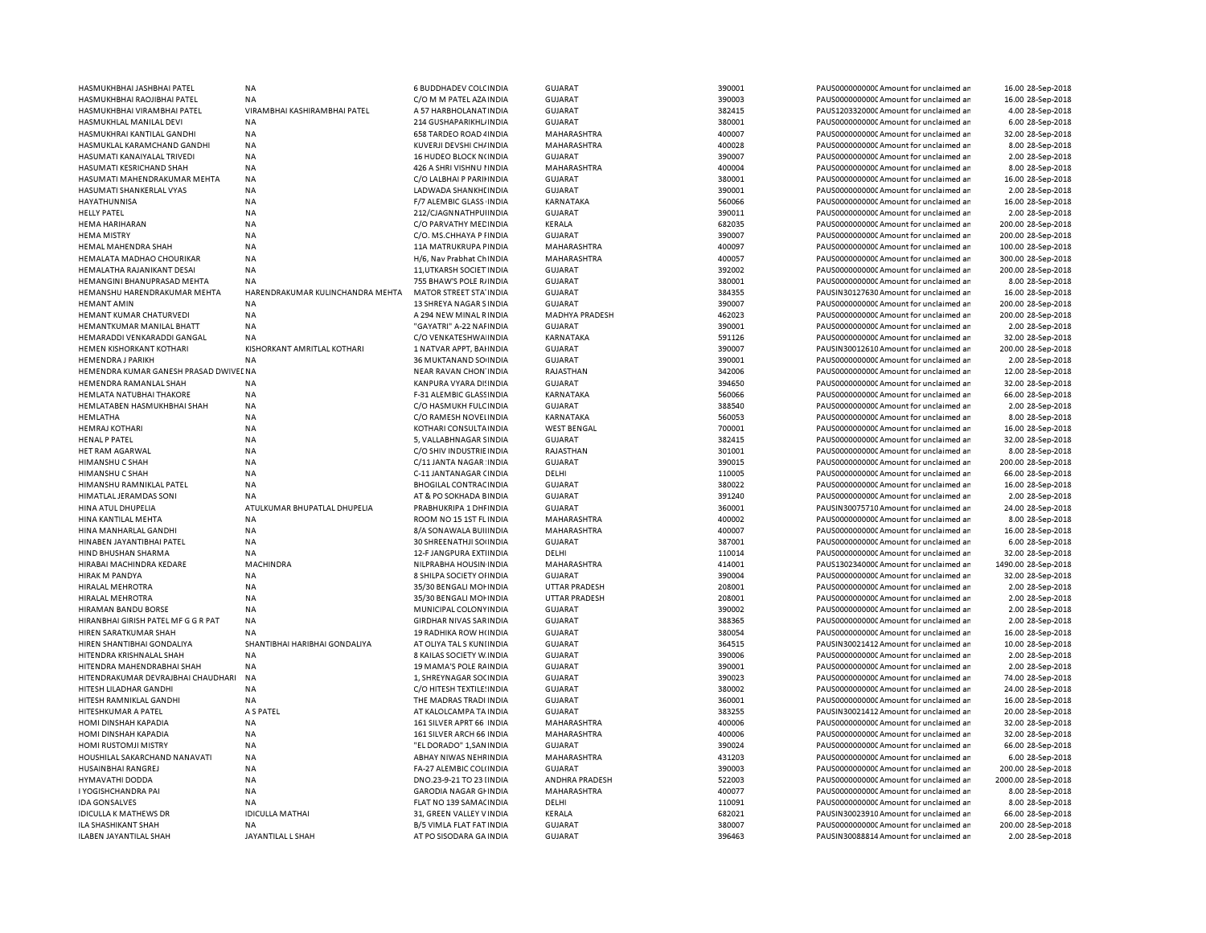| HASMUKHBHAI JASHBHAI PATEL            | <b>NA</b>                        | <b>6 BUDDHADEV COLCINDIA</b>    | <b>GUJARAT</b>       | 390001 | PAUS0000000000 Amount for unclaimed ar | 16.00 28-Sep-2018   |
|---------------------------------------|----------------------------------|---------------------------------|----------------------|--------|----------------------------------------|---------------------|
| HASMUKHBHAI RAOJIBHAI PATEL           | NA                               | C/O M M PATEL AZA INDIA         | <b>GUJARAT</b>       | 390003 | PAUS0000000000 Amount for unclaimed ar | 16.00 28-Sep-2018   |
| HASMUKHBHAI VIRAMBHAI PATEL           | VIRAMBHAI KASHIRAMBHAI PATEL     | A 57 HARBHOLANAT INDIA          | <b>GUJARAT</b>       | 382415 | PAUS1203320000 Amount for unclaimed ar | 4.00 28-Sep-2018    |
| HASMUKHLAL MANILAL DEVI               | <b>NA</b>                        | 214 GUSHAPARIKHL INDIA          | <b>GUJARAT</b>       | 380001 | PAUS0000000000 Amount for unclaimed ar | 6.00 28-Sep-2018    |
| HASMUKHRAI KANTILAL GANDHI            | <b>NA</b>                        | 658 TARDEO ROAD 4 INDIA         | MAHARASHTRA          | 400007 | PAUS0000000000 Amount for unclaimed ar | 32.00 28-Sep-2018   |
| HASMUKLAL KARAMCHAND GANDHI           | <b>NA</b>                        | KUVERJI DEVSHI CH/INDIA         | MAHARASHTRA          | 400028 | PAUS0000000000 Amount for unclaimed ar | 8.00 28-Sep-2018    |
| HASUMATI KANAIYALAL TRIVEDI           | <b>NA</b>                        | 16 HUDEO BLOCK N(INDIA          | <b>GUJARAT</b>       | 390007 | PAUS0000000000 Amount for unclaimed ar | 2.00 28-Sep-2018    |
| HASUMATI KESRICHAND SHAH              | <b>NA</b>                        | 426 A SHRI VISHNU I INDIA       | MAHARASHTRA          | 400004 | PAUS0000000000 Amount for unclaimed ar | 8.00 28-Sep-2018    |
| HASUMATI MAHENDRAKUMAR MEHTA          | <b>NA</b>                        | C/O LALBHAI P PARIHNDIA         | <b>GUJARAT</b>       | 380001 | PAUS0000000000 Amount for unclaimed ar | 16.00 28-Sep-2018   |
|                                       | <b>NA</b>                        |                                 |                      | 390001 |                                        | 2.00 28-Sep-2018    |
| HASUMATI SHANKERLAL VYAS              |                                  | LADWADA SHANKHI INDIA           | <b>GUJARAT</b>       |        | PAUS0000000000 Amount for unclaimed ar |                     |
| HAYATHUNNISA                          | NA                               | F/7 ALEMBIC GLASS INDIA         | KARNATAKA            | 560066 | PAUS0000000000 Amount for unclaimed ar | 16.00 28-Sep-2018   |
| <b>HELLY PATEL</b>                    | <b>NA</b>                        | 212/CJAGNNATHPUI INDIA          | <b>GUJARAT</b>       | 390011 | PAUS0000000000 Amount for unclaimed ar | 2.00 28-Sep-2018    |
| <b>HEMA HARIHARAN</b>                 | <b>NA</b>                        | C/O PARVATHY MED INDIA          | KERALA               | 682035 | PAUS0000000000 Amount for unclaimed ar | 200.00 28-Sep-2018  |
| <b>HEMA MISTRY</b>                    | <b>NA</b>                        | C/O. MS.CHHAYA P I INDIA        | <b>GUJARAT</b>       | 390007 | PAUS0000000000 Amount for unclaimed ar | 200.00 28-Sep-2018  |
| HEMAL MAHENDRA SHAH                   | <b>NA</b>                        | 11A MATRUKRUPA FINDIA           | MAHARASHTRA          | 400097 | PAUS0000000000 Amount for unclaimed ar | 100.00 28-Sep-2018  |
| <b>HEMALATA MADHAO CHOURIKAR</b>      | <b>NA</b>                        | H/6. Nav Prabhat Ch INDIA       | MAHARASHTRA          | 400057 | PAUS0000000000 Amount for unclaimed ar | 300.00 28-Sep-2018  |
| HEMALATHA RAJANIKANT DESAI            | <b>NA</b>                        | 11, UTKARSH SOCIET IN DIA       | <b>GUJARAT</b>       | 392002 | PAUS0000000000CAmount for unclaimed ar | 200.00 28-Sep-2018  |
| HEMANGINI BHANUPRASAD MEHTA           | <b>NA</b>                        | 755 BHAW'S POLE R/INDIA         | <b>GUJARAT</b>       | 380001 | PAUS0000000000 Amount for unclaimed ar | 8.00 28-Sep-2018    |
| HEMANSHU HARENDRAKUMAR MEHTA          | HARENDRAKUMAR KULINCHANDRA MEHTA | MATOR STREET STA' INDIA         | <b>GUJARAT</b>       | 384355 | PAUSIN30127630 Amount for unclaimed ar | 16.00 28-Sep-2018   |
| <b>HEMANT AMIN</b>                    | <b>NA</b>                        | 13 SHREYA NAGAR SINDIA          | <b>GUJARAT</b>       | 390007 | PAUS0000000000 Amount for unclaimed ar | 200.00 28-Sep-2018  |
| HEMANT KUMAR CHATURVEDI               | <b>NA</b>                        | A 294 NEW MINAL RINDIA          | MADHYA PRADESH       | 462023 | PAUS0000000000 Amount for unclaimed ar | 200.00 28-Sep-2018  |
| HEMANTKUMAR MANILAL BHATT             | <b>NA</b>                        | "GAYATRI" A-22 NAFINDIA         | <b>GUJARAT</b>       | 390001 | PAUS0000000000 Amount for unclaimed ar | 2.00 28-Sep-2018    |
| HEMARADDI VENKARADDI GANGAL           | <b>NA</b>                        | C/O VENKATESHWA INDIA           | KARNATAKA            | 591126 | PAUS0000000000 Amount for unclaimed ar | 32.00 28-Sep-2018   |
| HEMEN KISHORKANT KOTHARI              | KISHORKANT AMRITLAL KOTHARI      | 1 NATVAR APPT, BAHNDIA          | <b>GUJARAT</b>       | 390007 | PAUSIN30012610 Amount for unclaimed ar | 200.00 28-Sep-2018  |
| <b>HEMENDRA J PARIKH</b>              | <b>NA</b>                        | 36 MUKTANAND SO INDIA           | <b>GUJARAT</b>       | 390001 | PAUS0000000000 Amount for unclaimed ar | 2.00 28-Sep-2018    |
| HEMENDRA KUMAR GANESH PRASAD DWIVEENA |                                  | NEAR RAVAN CHON INDIA           | RAJASTHAN            | 342006 | PAUS0000000000 Amount for unclaimed ar | 12.00 28-Sep-2018   |
|                                       |                                  |                                 |                      |        |                                        |                     |
| HEMENDRA RAMANLAL SHAH                | <b>NA</b>                        | KANPURA VYARA DI INDIA          | <b>GUJARAT</b>       | 394650 | PAUS0000000000CAmount for unclaimed an | 32.00 28-Sep-2018   |
| HEMLATA NATUBHAI THAKORE              | <b>NA</b>                        | F-31 ALEMBIC GLASSINDIA         | KARNATAKA            | 560066 | PAUS0000000000 Amount for unclaimed ar | 66.00 28-Sep-2018   |
| HEMLATABEN HASMUKHBHAI SHAH           | <b>NA</b>                        | C/O HASMUKH FULC INDIA          | <b>GUJARAT</b>       | 388540 | PAUS0000000000 Amount for unclaimed ar | 2.00 28-Sep-2018    |
| HEMLATHA                              | <b>NA</b>                        | C/O RAMESH NOVELINDIA           | KARNATAKA            | 560053 | PAUS0000000000CAmount for unclaimed ar | 8.00 28-Sep-2018    |
| <b>HEMRAJ KOTHARI</b>                 | <b>NA</b>                        | KOTHARI CONSULTA INDIA          | <b>WEST BENGAL</b>   | 700001 | PAUS0000000000 Amount for unclaimed ar | 16.00 28-Sep-2018   |
| HENAL P PATEL                         | <b>NA</b>                        | 5, VALLABHNAGAR SINDIA          | <b>GUJARAT</b>       | 382415 | PAUS0000000000CAmount for unclaimed ar | 32.00 28-Sep-2018   |
| HET RAM AGARWAL                       | <b>NA</b>                        | C/O SHIV INDUSTRIE INDIA        | RAJASTHAN            | 301001 | PAUS0000000000 Amount for unclaimed ar | 8.00 28-Sep-2018    |
| HIMANSHU C SHAH                       | <b>NA</b>                        | C/11 JANTA NAGAR INDIA          | <b>GUJARAT</b>       | 390015 | PAUS0000000000CAmount for unclaimed ar | 200.00 28-Sep-2018  |
| HIMANSHU C SHAH                       | <b>NA</b>                        | C-11 JANTANAGAR (INDIA          | DELHI                | 110005 | PAUS0000000000 Amount for unclaimed ar | 66.00 28-Sep-2018   |
| HIMANSHU RAMNIKLAL PATEL              | <b>NA</b>                        | <b>BHOGILAL CONTRACINDIA</b>    | <b>GUJARAT</b>       | 380022 | PAUS0000000000 Amount for unclaimed ar | 16.00 28-Sep-2018   |
| HIMATLAL JERAMDAS SONI                | <b>NA</b>                        | AT & PO SOKHADA BINDIA          | <b>GUJARAT</b>       | 391240 | PAUS0000000000 Amount for unclaimed ar | 2.00 28-Sep-2018    |
| <b>HINA ATUL DHUPELIA</b>             | ATULKUMAR BHUPATLAL DHUPELIA     | PRABHUKRIPA 1 DHI INDIA         | GUJARAT              | 360001 | PAUSIN30075710 Amount for unclaimed ar | 24.00 28-Sep-2018   |
| HINA KANTILAL MEHTA                   | <b>NA</b>                        | ROOM NO 15 1ST FL INDIA         | MAHARASHTRA          | 400002 | PAUS0000000000 Amount for unclaimed ar | 8.00 28-Sep-2018    |
| HINA MANHARLAL GANDHI                 | <b>NA</b>                        | 8/A SONAWALA BUILINDIA          | MAHARASHTRA          | 400007 | PAUS0000000000 Amount for unclaimed ar | 16.00 28-Sep-2018   |
| HINABEN JAYANTIBHAI PATEL             | NA                               | 30 SHREENATHJI SOHNDIA          | <b>GUJARAT</b>       | 387001 | PAUS0000000000 Amount for unclaimed ar | 6.00 28-Sep-2018    |
| HIND BHUSHAN SHARMA                   | <b>NA</b>                        | 12-F JANGPURA EXTIINDIA         | DELHI                | 110014 | PAUS0000000000 Amount for unclaimed ar | 32.00 28-Sep-2018   |
|                                       | <b>MACHINDRA</b>                 |                                 |                      | 414001 |                                        |                     |
| HIRABAI MACHINDRA KEDARE              |                                  | NILPRABHA HOUSIN INDIA          | MAHARASHTRA          |        | PAUS1302340000 Amount for unclaimed ar | 1490.00 28-Sep-2018 |
| <b>HIRAK M PANDYA</b>                 | <b>NA</b>                        | 8 SHILPA SOCIETY OF INDIA       | <b>GUJARAT</b>       | 390004 | PAUS0000000000 Amount for unclaimed ar | 32.00 28-Sep-2018   |
| HIRALAL MEHROTRA                      | <b>NA</b>                        | 35/30 BENGALI MOI INDIA         | <b>UTTAR PRADESH</b> | 208001 | PAUS0000000000CAmount for unclaimed ar | 2.00 28-Sep-2018    |
| <b>HIRALAL MEHROTRA</b>               | <b>NA</b>                        | 35/30 BENGALI MOI INDIA         | <b>UTTAR PRADESH</b> | 208001 | PAUS0000000000 Amount for unclaimed ar | 2.00 28-Sep-2018    |
| HIRAMAN BANDU BORSE                   | <b>NA</b>                        | MUNICIPAL COLONY INDIA          | <b>GUJARAT</b>       | 390002 | PAUS0000000000 Amount for unclaimed ar | 2.00 28-Sep-2018    |
| HIRANBHAI GIRISH PATEL MF G G R PAT   | <b>NA</b>                        | GIRDHAR NIVAS SAR INDIA         | <b>GUJARAT</b>       | 388365 | PAUS0000000000CAmount for unclaimed ar | 2.00 28-Sep-2018    |
| HIREN SARATKUMAR SHAH                 | <b>NA</b>                        | 19 RADHIKA ROW H(INDIA          | <b>GUJARAT</b>       | 380054 | PAUS0000000000 Amount for unclaimed ar | 16.00 28-Sep-2018   |
| HIREN SHANTIBHAI GONDALIYA            | SHANTIBHAI HARIBHAI GONDALIYA    | AT OLIYA TAL S KUNI INDIA       | <b>GUJARAT</b>       | 364515 | PAUSIN30021412 Amount for unclaimed ar | 10.00 28-Sep-2018   |
| HITENDRA KRISHNALAL SHAH              | <b>NA</b>                        | 8 KAILAS SOCIETY W. INDIA       | <b>GUJARAT</b>       | 390006 | PAUS0000000000 Amount for unclaimed ar | 2.00 28-Sep-2018    |
| HITENDRA MAHENDRABHAI SHAH            | <b>NA</b>                        | 19 MAMA'S POLE RAINDIA          | <b>GUJARAT</b>       | 390001 | PAUS0000000000 Amount for unclaimed ar | 2.00 28-Sep-2018    |
| HITENDRAKUMAR DEVRAJBHAI CHAUDHARI    | <b>NA</b>                        | 1, SHREYNAGAR SOCINDIA          | <b>GUJARAT</b>       | 390023 | PAUS0000000000 Amount for unclaimed ar | 74.00 28-Sep-2018   |
| HITESH LILADHAR GANDHI                | NA                               | C/O HITESH TEXTILE: INDIA       | <b>GUJARAT</b>       | 380002 | PAUS0000000000 Amount for unclaimed ar | 24.00 28-Sep-2018   |
| HITESH RAMNIKLAL GANDHI               | NA                               | THE MADRAS TRADI INDIA          | <b>GUJARAT</b>       | 360001 | PAUS0000000000 Amount for unclaimed ar | 16.00 28-Sep-2018   |
| <b>HITESHKUMAR A PATEL</b>            | A S PATEL                        | AT KALOLCAMPA TA INDIA          | <b>GUJARAT</b>       | 383255 | PAUSIN30021412 Amount for unclaimed ar | 20.00 28-Sep-2018   |
| HOMI DINSHAH KAPADIA                  | <b>NA</b>                        | 161 SILVER APRT 66 INDIA        | MAHARASHTRA          | 400006 | PAUS0000000000 Amount for unclaimed ar | 32.00 28-Sep-2018   |
|                                       | <b>NA</b>                        |                                 | MAHARASHTRA          | 400006 | PAUS0000000000CAmount for unclaimed ar | 32.00 28-Sep-2018   |
| HOMI DINSHAH KAPADIA                  |                                  | 161 SILVER ARCH 66 INDIA        |                      | 390024 |                                        |                     |
| HOMI RUSTOMJI MISTRY                  | <b>NA</b>                        | "EL DORADO" 1, SAN INDIA        | <b>GUJARAT</b>       |        | PAUS0000000000 Amount for unclaimed ar | 66.00 28-Sep-2018   |
| HOUSHILAL SAKARCHAND NANAVATI         | NA                               | ABHAY NIWAS NEHFINDIA           | MAHARASHTRA          | 431203 | PAUS0000000000CAmount for unclaimed ar | 6.00 28-Sep-2018    |
| HUSAINBHAI RANGREJ                    | <b>NA</b>                        | FA-27 ALEMBIC COL(INDIA         | <b>GUJARAT</b>       | 390003 | PAUS00000000000Amount for unclaimed ar | 200.00 28-Sep-2018  |
| HYMAVATHI DODDA                       | <b>NA</b>                        | DNO.23-9-21 TO 23 IINDIA        | ANDHRA PRADESH       | 522003 | PAUS0000000000 Amount for unclaimed ar | 2000.00 28-Sep-2018 |
| I YOGISHCHANDRA PAI                   | <b>NA</b>                        | <b>GARODIA NAGAR GI INDIA</b>   | MAHARASHTRA          | 400077 | PAUS0000000000 Amount for unclaimed ar | 8.00 28-Sep-2018    |
| <b>IDA GONSALVES</b>                  | <b>NA</b>                        | FLAT NO 139 SAMACINDIA          | DELHI                | 110091 | PAUS0000000000 Amount for unclaimed ar | 8.00 28-Sep-2018    |
| <b>IDICULLA K MATHEWS DR</b>          | <b>IDICULLA MATHAI</b>           | 31, GREEN VALLEY V INDIA        | KERALA               | 682021 | PAUSIN30023910 Amount for unclaimed ar | 66.00 28-Sep-2018   |
| <b>ILA SHASHIKANT SHAH</b>            | <b>NA</b>                        | <b>B/5 VIMLA FLAT FAT INDIA</b> | <b>GUJARAT</b>       | 380007 | PAUS0000000000CAmount for unclaimed ar | 200.00 28-Sep-2018  |
| ILABEN JAYANTILAL SHAH                | JAYANTILAL L SHAH                | AT PO SISODARA GA INDIA         | <b>GUJARAT</b>       | 396463 | PAUSIN30088814 Amount for unclaimed ar | 2.00 28-Sep-2018    |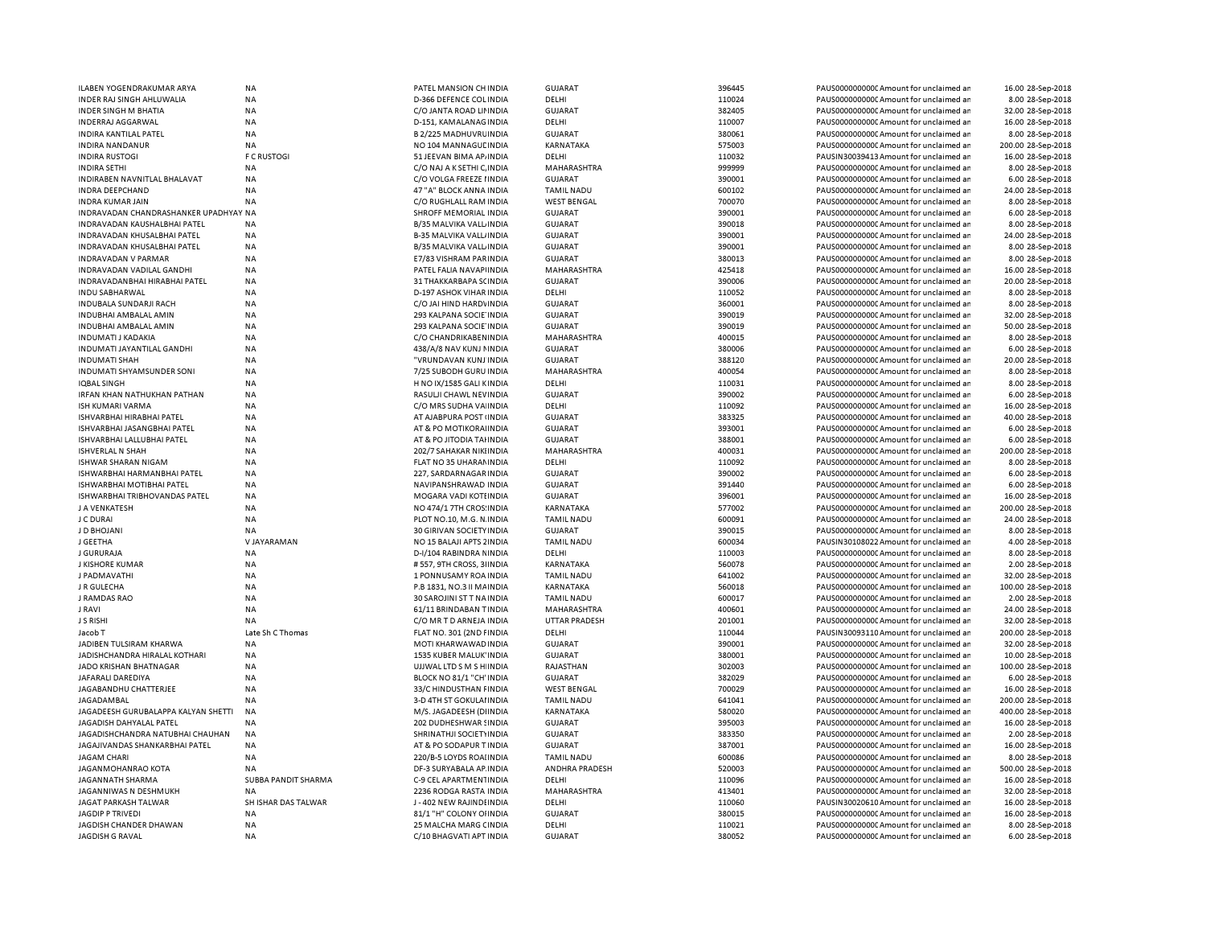| ILABEN YOGENDRAKUMAR ARYA             | <b>NA</b>           | PATEL MANSION CH INDIA         | <b>GUJARAT</b>       | 396445 | PAUS0000000000 Amount for unclaimed ar | 16.00 28-Sep-2018  |
|---------------------------------------|---------------------|--------------------------------|----------------------|--------|----------------------------------------|--------------------|
| INDER RAJ SINGH AHLUWALIA             | <b>NA</b>           | D-366 DEFENCE COL INDIA        | DELHI                | 110024 | PAUS0000000000 Amount for unclaimed ar | 8.00 28-Sep-2018   |
| <b>INDER SINGH M BHATIA</b>           | <b>NA</b>           | C/O JANTA ROAD LIMINDIA        | <b>GUJARAT</b>       | 382405 | PAUS0000000000 Amount for unclaimed ar | 32.00 28-Sep-2018  |
| <b>INDERRAJ AGGARWAL</b>              | NA                  | D-151, KAMALANAG INDIA         | DELHI                | 110007 | PAUS0000000000 Amount for unclaimed ar | 16.00 28-Sep-2018  |
| INDIRA KANTILAL PATEL                 | <b>NA</b>           | B 2/225 MADHUVRU INDIA         | <b>GUJARAT</b>       | 380061 | PAUS0000000000 Amount for unclaimed ar | 8.00 28-Sep-2018   |
| INDIRA NANDANUR                       | NA                  | NO 104 MANNAGUL INDIA          | KARNATAKA            | 575003 | PAUS0000000000 Amount for unclaimed ar | 200.00 28-Sep-2018 |
| <b>INDIRA RUSTOGI</b>                 | <b>F C RUSTOGI</b>  | 51 JEEVAN BIMA AP/INDIA        | DELHI                | 110032 | PAUSIN30039413 Amount for unclaimed ar | 16.00 28-Sep-2018  |
| <b>INDIRA SETHI</b>                   | <b>NA</b>           | C/O NAJ A K SETHI C, INDIA     | MAHARASHTRA          | 999999 | PAUS00000000000Amount for unclaimed ar | 8.00 28-Sep-2018   |
| INDIRABEN NAVNITLAL BHALAVAT          | NA                  | C/O VOLGA FREEZE I INDIA       | <b>GUJARAT</b>       | 390001 | PAUS0000000000 Amount for unclaimed ar | 6.00 28-Sep-2018   |
| INDRA DEEPCHAND                       | NA                  | 47 "A" BLOCK ANNA INDIA        | <b>TAMIL NADU</b>    | 600102 | PAUS0000000000 Amount for unclaimed ar | 24.00 28-Sep-2018  |
| <b>INDRA KUMAR JAIN</b>               | NA                  | C/O RUGHLALL RAM INDIA         | <b>WEST BENGAL</b>   | 700070 | PAUS0000000000 Amount for unclaimed ar | 8.00 28-Sep-2018   |
| INDRAVADAN CHANDRASHANKER UPADHYAY NA |                     | SHROFF MEMORIAL INDIA          | <b>GUJARAT</b>       | 390001 | PAUS0000000000 Amount for unclaimed ar | 6.00 28-Sep-2018   |
| INDRAVADAN KAUSHALBHAI PATEL          | <b>NA</b>           | B/35 MALVIKA VALL INDIA        | <b>GUJARAT</b>       | 390018 | PAUS0000000000 Amount for unclaimed ar | 8.00 28-Sep-2018   |
| INDRAVADAN KHUSALBHAI PATEL           | <b>NA</b>           | <b>B-35 MALVIKA VALL/INDIA</b> | <b>GUJARAT</b>       | 390001 | PAUS0000000000CAmount for unclaimed ar | 24.00 28-Sep-2018  |
| INDRAVADAN KHUSALBHAI PATEL           | <b>NA</b>           | B/35 MALVIKA VALL INDIA        | <b>GUJARAT</b>       | 390001 | PAUS0000000000 Amount for unclaimed ar | 8.00 28-Sep-2018   |
| <b>INDRAVADAN V PARMAR</b>            | <b>NA</b>           | E7/83 VISHRAM PARINDIA         | <b>GUJARAT</b>       | 380013 | PAUS00000000000Amount for unclaimed an | 8.00 28-Sep-2018   |
| INDRAVADAN VADILAL GANDHI             | <b>NA</b>           | PATEL FALIA NAVAPI INDIA       | MAHARASHTRA          | 425418 | PAUS0000000000 Amount for unclaimed ar | 16.00 28-Sep-2018  |
| INDRAVADANBHAI HIRABHAI PATEL         | <b>NA</b>           | 31 THAKKARBAPA SCINDIA         | <b>GUJARAT</b>       | 390006 | PAUS0000000000 Amount for unclaimed ar | 20.00 28-Sep-2018  |
| INDU SABHARWAL                        | NA                  | D-197 ASHOK VIHAR INDIA        | DELHI                | 110052 | PAUS0000000000 Amount for unclaimed ar | 8.00 28-Sep-2018   |
| INDUBALA SUNDARJI RACH                | NA                  | C/O JAI HIND HARDVINDIA        | <b>GUJARAT</b>       | 360001 | PAUS0000000000 Amount for unclaimed ar | 8.00 28-Sep-2018   |
|                                       |                     |                                |                      | 390019 |                                        |                    |
| INDUBHAI AMBALAL AMIN                 | NA                  | 293 KALPANA SOCIE INDIA        | <b>GUJARAT</b>       |        | PAUS0000000000CAmount for unclaimed ar | 32.00 28-Sep-2018  |
| INDUBHAI AMBALAL AMIN                 | NA<br><b>NA</b>     | 293 KALPANA SOCIE INDIA        | <b>GUJARAT</b>       | 390019 | PAUS0000000000 Amount for unclaimed ar | 50.00 28-Sep-2018  |
| <b>INDUMATI J KADAKIA</b>             |                     | C/O CHANDRIKABEN INDIA         | MAHARASHTRA          | 400015 | PAUS0000000000 Amount for unclaimed ar | 8.00 28-Sep-2018   |
| INDUMATI JAYANTILAL GANDHI            | <b>NA</b>           | 438/A/8 NAV KUNJ NINDIA        | GUJARAT              | 380006 | PAUS0000000000 Amount for unclaimed ar | 6.00 28-Sep-2018   |
| <b>INDUMATI SHAH</b>                  | <b>NA</b>           | "VRUNDAVAN KUNJ INDIA          | <b>GUJARAT</b>       | 388120 | PAUS0000000000CAmount for unclaimed ar | 20.00 28-Sep-2018  |
| INDUMATI SHYAMSUNDER SONI             | <b>NA</b>           | 7/25 SUBODH GURU INDIA         | MAHARASHTRA          | 400054 | PAUS00000000000Amount for unclaimed ar | 8.00 28-Sep-2018   |
| <b>IOBAL SINGH</b>                    | <b>NA</b>           | H NO IX/1585 GALI KINDIA       | DELHI                | 110031 | PAUS0000000000 Amount for unclaimed ar | 8.00 28-Sep-2018   |
| IRFAN KHAN NATHUKHAN PATHAN           | <b>NA</b>           | RASULJI CHAWL NEVINDIA         | GUJARAT              | 390002 | PAUS00000000000Amount for unclaimed ar | 6.00 28-Sep-2018   |
| ISH KUMARI VARMA                      | <b>NA</b>           | C/O MRS SUDHA VA INDIA         | DELHI                | 110092 | PAUS00000000000Amount for unclaimed an | 16.00 28-Sep-2018  |
| ISHVARBHAI HIRABHAI PATEL             | <b>NA</b>           | AT AJABPURA POST INDIA         | <b>GUJARAT</b>       | 383325 | PAUS0000000000CAmount for unclaimed ar | 40.00 28-Sep-2018  |
| ISHVARBHAI JASANGBHAI PATEL           | <b>NA</b>           | AT & PO MOTIKORAHNDIA          | <b>GUJARAT</b>       | 393001 | PAUS0000000000 Amount for unclaimed ar | 6.00 28-Sep-2018   |
| ISHVARBHAI LALLUBHAI PATEL            | <b>NA</b>           | AT & PO JITODIA TAHNDIA        | <b>GUJARAT</b>       | 388001 | PAUS0000000000CAmount for unclaimed ar | 6.00 28-Sep-2018   |
| <b>ISHVERLAL N SHAH</b>               | <b>NA</b>           | 202/7 SAHAKAR NIKIINDIA        | <b>MAHARASHTRA</b>   | 400031 | PAUS0000000000 Amount for unclaimed ar | 200.00 28-Sep-2018 |
| ISHWAR SHARAN NIGAM                   | <b>NA</b>           | FLAT NO 35 UHARAM INDIA        | DELHI                | 110092 | PAUS0000000000CAmount for unclaimed ar | 8.00 28-Sep-2018   |
| ISHWARBHAI HARMANBHAI PATEL           | <b>NA</b>           | 227. SARDARNAGAR INDIA         | <b>GUJARAT</b>       | 390002 | PAUS0000000000 Amount for unclaimed ar | 6.00 28-Sep-2018   |
| ISHWARBHAI MOTIBHAI PATEL             | <b>NA</b>           | NAVIPANSHRAWAD INDIA           | <b>GUJARAT</b>       | 391440 | PAUS0000000000 Amount for unclaimed ar | 6.00 28-Sep-2018   |
| ISHWARBHAI TRIBHOVANDAS PATEL         | <b>NA</b>           | MOGARA VADI KOTI INDIA         | <b>GUJARAT</b>       | 396001 | PAUS0000000000 Amount for unclaimed ar | 16.00 28-Sep-2018  |
| J A VENKATESH                         | <b>NA</b>           | NO 474/1 7TH CROS: INDIA       | KARNATAKA            | 577002 | PAUS0000000000CAmount for unclaimed ar | 200.00 28-Sep-2018 |
| J C DURAI                             | <b>NA</b>           | PLOT NO.10, M.G. N. INDIA      | <b>TAMIL NADU</b>    | 600091 | PAUS0000000000 Amount for unclaimed ar | 24.00 28-Sep-2018  |
| J D BHOJANI                           | <b>NA</b>           | 30 GIRIVAN SOCIETY INDIA       | <b>GUJARAT</b>       | 390015 | PAUS0000000000CAmount for unclaimed ar | 8.00 28-Sep-2018   |
| J GEETHA                              | V JAYARAMAN         | NO 15 BALAJI APTS 2 INDIA      | <b>TAMIL NADU</b>    | 600034 | PAUSIN30108022 Amount for unclaimed ar | 4.00 28-Sep-2018   |
| J GURURAJA                            | <b>NA</b>           | D-I/104 RABINDRA NINDIA        | DELHI                | 110003 | PAUS0000000000 Amount for unclaimed ar | 8.00 28-Sep-2018   |
| J KISHORE KUMAR                       | NA                  | #557, 9TH CROSS, 3 INDIA       | KARNATAKA            | 560078 | PAUS0000000000 Amount for unclaimed ar | 2.00 28-Sep-2018   |
| J PADMAVATHI                          | <b>NA</b>           | 1 PONNUSAMY ROA INDIA          | <b>TAMIL NADU</b>    | 641002 | PAUS0000000000 Amount for unclaimed ar | 32.00 28-Sep-2018  |
| J R GULECHA                           | NA                  | P.B 1831, NO.3 II MAINDIA      | KARNATAKA            | 560018 | PAUS0000000000 Amount for unclaimed ar | 100.00 28-Sep-2018 |
| J RAMDAS RAO                          | <b>NA</b>           | 30 SAROJINI ST T NA INDIA      | <b>TAMIL NADU</b>    | 600017 | PAUS0000000000 Amount for unclaimed ar |                    |
|                                       |                     |                                |                      |        |                                        | 2.00 28-Sep-2018   |
| J RAVI                                | NA                  | 61/11 BRINDABAN TINDIA         | MAHARASHTRA          | 400601 | PAUS0000000000 Amount for unclaimed ar | 24.00 28-Sep-2018  |
| <b>J S RISHI</b>                      | <b>NA</b>           | C/O MR T D ARNEJA INDIA        | <b>UTTAR PRADESH</b> | 201001 | PAUS0000000000 Amount for unclaimed ar | 32.00 28-Sep-2018  |
| Jacob T                               | Late Sh C Thomas    | FLAT NO. 301 (2ND FINDIA       | DELHI                | 110044 | PAUSIN30093110 Amount for unclaimed ar | 200.00 28-Sep-2018 |
| JADIBEN TULSIRAM KHARWA               | <b>NA</b>           | MOTI KHARWAWAD INDIA           | <b>GUJARAT</b>       | 390001 | PAUS0000000000 Amount for unclaimed ar | 32.00 28-Sep-2018  |
| JADISHCHANDRA HIRALAL KOTHARI         | NA                  | 1535 KUBER MALUK'INDIA         | <b>GUJARAT</b>       | 380001 | PAUS0000000000 Amount for unclaimed ar | 10.00 28-Sep-2018  |
| JADO KRISHAN BHATNAGAR                | <b>NA</b>           | UJJWAL LTD S M S H INDIA       | RAJASTHAN            | 302003 | PAUS0000000000 Amount for unclaimed ar | 100.00 28-Sep-2018 |
| JAFARALI DAREDIYA                     | <b>NA</b>           | BLOCK NO 81/1 "CH' INDIA       | <b>GUJARAT</b>       | 382029 | PAUS0000000000 Amount for unclaimed ar | 6.00 28-Sep-2018   |
| JAGABANDHU CHATTERJEE                 | <b>NA</b>           | 33/C HINDUSTHAN FINDIA         | <b>WEST BENGAL</b>   | 700029 | PAUS0000000000 Amount for unclaimed ar | 16.00 28-Sep-2018  |
| JAGADAMBAL                            | <b>NA</b>           | 3-D 4TH ST GOKULAI INDIA       | <b>TAMIL NADU</b>    | 641041 | PAUS0000000000CAmount for unclaimed ar | 200.00 28-Sep-2018 |
| JAGADEESH GURUBALAPPA KALYAN SHETTI   | <b>NA</b>           | M/S. JAGADEESH (DIINDIA        | KARNATAKA            | 580020 | PAUS0000000000 Amount for unclaimed ar | 400.00 28-Sep-2018 |
| JAGADISH DAHYALAL PATEL               | <b>NA</b>           | 202 DUDHESHWAR SINDIA          | <b>GUJARAT</b>       | 395003 | PAUS0000000000 Amount for unclaimed ar | 16.00 28-Sep-2018  |
| JAGADISHCHANDRA NATUBHAI CHAUHAN      | NA                  | SHRINATHJI SOCIETYINDIA        | <b>GUJARAT</b>       | 383350 | PAUS0000000000 Amount for unclaimed ar | 2.00 28-Sep-2018   |
| JAGAJIVANDAS SHANKARBHAI PATEL        | <b>NA</b>           | AT & PO SODAPUR TINDIA         | <b>GUJARAT</b>       | 387001 | PAUS0000000000 Amount for unclaimed ar | 16.00 28-Sep-2018  |
| <b>JAGAM CHARI</b>                    | <b>NA</b>           | 220/B-5 LOYDS ROAHNDIA         | <b>TAMIL NADU</b>    | 600086 | PAUS0000000000 Amount for unclaimed ar | 8.00 28-Sep-2018   |
| JAGANMOHANRAO KOTA                    | NA                  | DF-3 SURYABALA AP INDIA        | ANDHRA PRADESH       | 520003 | PAUS0000000000 Amount for unclaimed ar | 500.00 28-Sep-2018 |
| JAGANNATH SHARMA                      | SUBBA PANDIT SHARMA | C-9 CEL APARTMENTINDIA         | DELHI                | 110096 | PAUS0000000000 Amount for unclaimed ar | 16.00 28-Sep-2018  |
| JAGANNIWAS N DESHMUKH                 | <b>NA</b>           | 2236 RODGA RASTA INDIA         | MAHARASHTRA          | 413401 | PAUS0000000000 Amount for unclaimed ar | 32.00 28-Sep-2018  |
| JAGAT PARKASH TALWAR                  | SH ISHAR DAS TALWAR | J-402 NEW RAJINDI INDIA        | DELHI                | 110060 | PAUSIN30020610 Amount for unclaimed ar | 16.00 28-Sep-2018  |
| <b>JAGDIP P TRIVEDI</b>               | <b>NA</b>           | 81/1 "H" COLONY OHNDIA         | <b>GUJARAT</b>       | 380015 | PAUS0000000000 Amount for unclaimed ar | 16.00 28-Sep-2018  |
| JAGDISH CHANDER DHAWAN                | <b>NA</b>           | 25 MALCHA MARG CINDIA          | DELHI                | 110021 | PAUS0000000000 Amount for unclaimed ar | 8.00 28-Sep-2018   |
| JAGDISH G RAVAL                       | <b>NA</b>           | C/10 BHAGVATI APT INDIA        | <b>GUJARAT</b>       | 380052 | PAUS0000000000 Amount for unclaimed ar | 6.00 28-Sep-2018   |
|                                       |                     |                                |                      |        |                                        |                    |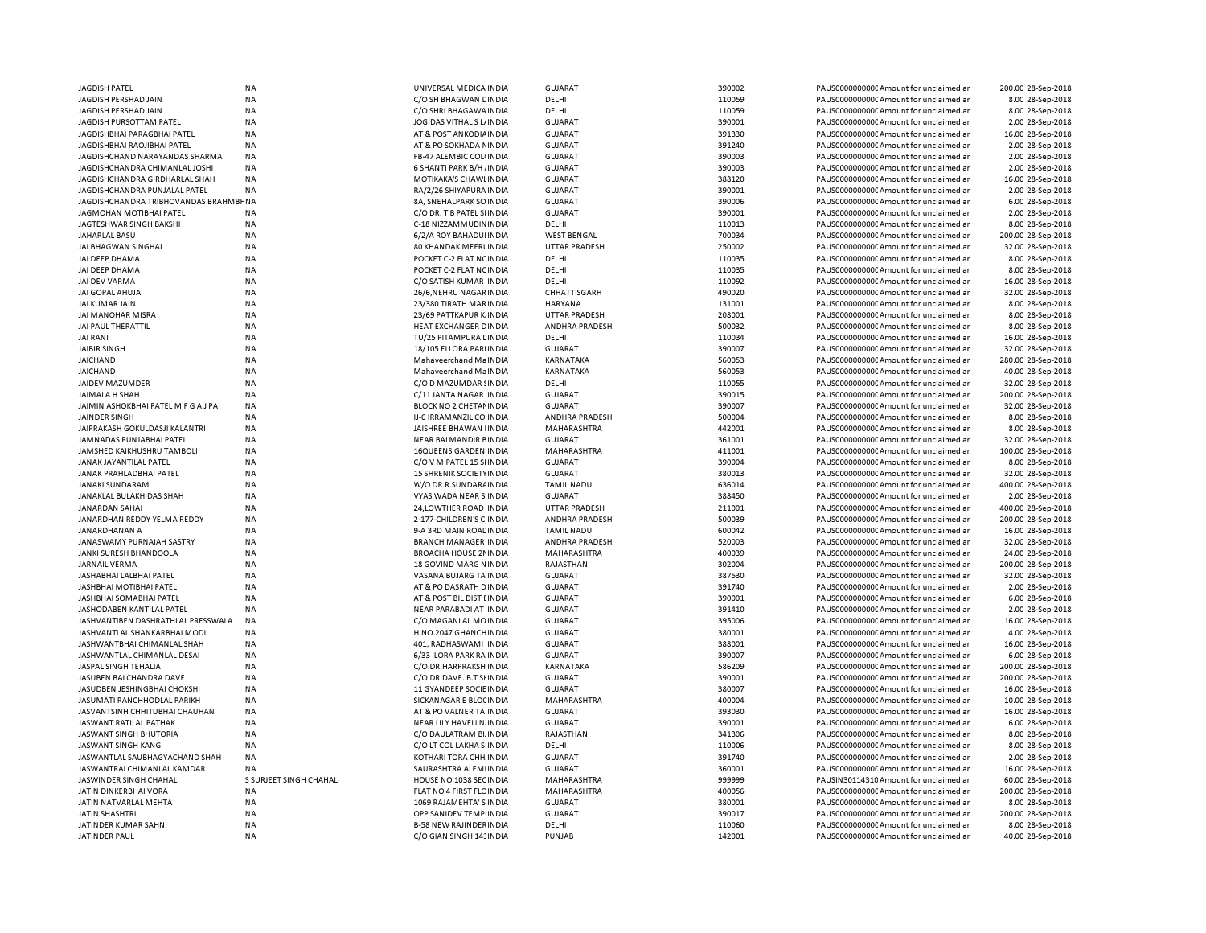| JAGDISH PATEL                          | <b>NA</b>              | UNIVERSAL MEDICA INDIA                                     | <b>GUJARAT</b>        | 390002           | PAUS0000000000CAmount for unclaimed ar                                           | 200.00 28-Sep-2018                    |
|----------------------------------------|------------------------|------------------------------------------------------------|-----------------------|------------------|----------------------------------------------------------------------------------|---------------------------------------|
| JAGDISH PERSHAD JAIN                   | <b>NA</b>              | C/O SH BHAGWAN CINDIA                                      | DELHI                 | 110059           | PAUS0000000000CAmount for unclaimed ar                                           | 8.00 28-Sep-2018                      |
| JAGDISH PERSHAD JAIN                   | <b>NA</b>              | C/O SHRI BHAGAWA INDIA                                     | DELHI                 | 110059           | PAUS0000000000 Amount for unclaimed ar                                           | 8.00 28-Sep-2018                      |
| JAGDISH PURSOTTAM PATEL                | <b>NA</b>              | JOGIDAS VITHAL S L/ INDIA                                  | <b>GUJARAT</b>        | 390001           | PAUS0000000000CAmount for unclaimed ar                                           | 2.00 28-Sep-2018                      |
| JAGDISHBHAI PARAGBHAI PATEL            | ΝA                     | AT & POST ANKODIA INDIA                                    | <b>GUJARAT</b>        | 391330           | PAUS0000000000 Amount for unclaimed ar                                           | 16.00 28-Sep-2018                     |
| JAGDISHBHAI RAOJIBHAI PATEL            | <b>NA</b>              | AT & PO SOKHADA NINDIA                                     | <b>GUJARAT</b>        | 391240           | PAUS0000000000CAmount for unclaimed ar                                           | 2.00 28-Sep-2018                      |
| JAGDISHCHAND NARAYANDAS SHARMA         | <b>NA</b>              | FB-47 ALEMBIC COL(INDIA                                    | <b>GUJARAT</b>        | 390003           | PAUS00000000000Amount for unclaimed ar                                           | 2.00 28-Sep-2018                      |
| JAGDISHCHANDRA CHIMANLAL JOSHI         | <b>NA</b>              | 6 SHANTI PARK B/H / INDIA                                  | <b>GUJARAT</b>        | 390003           | PAUS0000000000CAmount for unclaimed ar                                           | 2.00 28-Sep-2018                      |
|                                        |                        |                                                            |                       |                  |                                                                                  |                                       |
| JAGDISHCHANDRA GIRDHARLAL SHAH         | <b>NA</b>              | MOTIKAKA'S CHAWLINDIA                                      | <b>GUJARAT</b>        | 388120           | PAUS0000000000 Amount for unclaimed ar                                           | 16.00 28-Sep-2018                     |
| JAGDISHCHANDRA PUNJALAL PATEL          | <b>NA</b>              | RA/2/26 SHIYAPURA INDIA                                    | <b>GUJARAT</b>        | 390001           | PAUS0000000000 Amount for unclaimed ar                                           | 2.00 28-Sep-2018                      |
| JAGDISHCHANDRA TRIBHOVANDAS BRAHMBI NA |                        | 8A, SNEHALPARK SO INDIA                                    | <b>GUJARAT</b>        | 390006           | PAUS0000000000 Amount for unclaimed ar                                           | 6.00 28-Sep-2018                      |
| JAGMOHAN MOTIBHAI PATEL                | <b>NA</b>              | C/O DR. T B PATEL SHNDIA                                   | <b>GUJARAT</b>        | 390001           | PAUS0000000000CAmount for unclaimed ar                                           | 2.00 28-Sep-2018                      |
| JAGTESHWAR SINGH BAKSHI                | <b>NA</b>              | C-18 NIZZAMMUDININDIA                                      | DELHI                 | 110013           | PAUS0000000000 Amount for unclaimed ar                                           | 8.00 28-Sep-2018                      |
| JAHARLAL BASU                          | <b>NA</b>              | 6/2/A ROY BAHADUI INDIA                                    | <b>WEST BENGAL</b>    | 700034           | PAUS0000000000CAmount for unclaimed ar                                           | 200.00 28-Sep-2018                    |
| JAI BHAGWAN SINGHAL                    | <b>NA</b>              | 80 KHANDAK MEERLINDIA                                      | <b>UTTAR PRADESH</b>  | 250002           | PAUS0000000000Amount for unclaimed ar                                            | 32.00 28-Sep-2018                     |
| JAI DEEP DHAMA                         | <b>NA</b>              | POCKET C-2 FLAT NC INDIA                                   | DELHI                 | 110035           | PAUS0000000000CAmount for unclaimed ar                                           | 8.00 28-Sep-2018                      |
| JAI DEEP DHAMA                         | <b>NA</b>              | POCKET C-2 FLAT NC INDIA                                   | DELHI                 | 110035           | PAUS0000000000CAmount for unclaimed ar                                           | 8.00 28-Sep-2018                      |
| JAI DEV VARMA                          | <b>NA</b>              | C/O SATISH KUMAR INDIA                                     | DELHI                 | 110092           | PAUS0000000000 Amount for unclaimed ar                                           | 16.00 28-Sep-2018                     |
| JAI GOPAL AHUJA                        | <b>NA</b>              | 26/6, NEHRU NAGAR INDIA                                    | CHHATTISGARH          | 490020           | PAUS0000000000CAmount for unclaimed ar                                           | 32.00 28-Sep-2018                     |
| JAI KUMAR JAIN                         | <b>NA</b>              | 23/380 TIRATH MAR INDIA                                    | <b>HARYANA</b>        | 131001           | PAUS0000000000 Amount for unclaimed ar                                           | 8.00 28-Sep-2018                      |
| JAI MANOHAR MISRA                      | <b>NA</b>              | 23/69 PATTKAPUR K INDIA                                    | <b>UTTAR PRADESH</b>  | 208001           | PAUS0000000000CAmount for unclaimed ar                                           | 8.00 28-Sep-2018                      |
| JAI PAUL THERATTIL                     | <b>NA</b>              | HEAT EXCHANGER DINDIA                                      | ANDHRA PRADESH        | 500032           | PAUS0000000000 Amount for unclaimed ar                                           | 8.00 28-Sep-2018                      |
|                                        |                        |                                                            |                       |                  |                                                                                  |                                       |
| JAI RANI                               | <b>NA</b>              | TU/25 PITAMPURA LINDIA                                     | DELHI                 | 110034           | PAUS0000000000 Amount for unclaimed ar                                           | 16.00 28-Sep-2018                     |
| JAIBIR SINGH                           | NA                     | 18/105 ELLORA PARI INDIA                                   | <b>GUJARAT</b>        | 390007           | PAUS00000000000Amount for unclaimed ar                                           | 32.00 28-Sep-2018                     |
| <b>JAICHAND</b>                        | <b>NA</b>              | Mahaveerchand MaINDIA                                      | KARNATAKA             | 560053           | PAUS0000000000 Amount for unclaimed ar                                           | 280.00 28-Sep-2018                    |
| JAICHAND                               | NA                     | Mahaveerchand MaINDIA                                      | KARNATAKA             | 560053           | PAUS0000000000 Amount for unclaimed ar                                           | 40.00 28-Sep-2018                     |
| JAIDEV MAZUMDER                        | <b>NA</b>              | C/O D MAZUMDAR SINDIA                                      | DELHI                 | 110055           | PAUS0000000000CAmount for unclaimed ar                                           | 32.00 28-Sep-2018                     |
| JAIMALA H SHAH                         | <b>NA</b>              | C/11 JANTA NAGAR INDIA                                     | <b>GUJARAT</b>        | 390015           | PAUS0000000000 Amount for unclaimed ar                                           | 200.00 28-Sep-2018                    |
| JAIMIN ASHOKBHAI PATEL M F G A J PA    | <b>NA</b>              | BLOCK NO 2 CHETAMINDIA                                     | <b>GUJARAT</b>        | 390007           | PAUS0000000000CAmount for unclaimed ar                                           | 32.00 28-Sep-2018                     |
| JAINDER SINGH                          | NA                     | IJ-6 IRRAMANZIL CO INDIA                                   | <b>ANDHRA PRADESH</b> | 500004           | PAUS0000000000CAmount for unclaimed ar                                           | 8.00 28-Sep-2018                      |
| JAIPRAKASH GOKULDASJI KALANTRI         | <b>NA</b>              | JAISHREE BHAWAN IINDIA                                     | <b>MAHARASHTRA</b>    | 442001           | PAUS0000000000CAmount for unclaimed ar                                           | 8.00 28-Sep-2018                      |
| JAMNADAS PUNJABHAI PATEL               | <b>NA</b>              | NEAR BALMANDIR BINDIA                                      | <b>GUJARAT</b>        | 361001           | PAUS0000000000Amount for unclaimed ar                                            | 32.00 28-Sep-2018                     |
| JAMSHED KAIKHUSHRU TAMBOLI             | <b>NA</b>              | 16QUEENS GARDEN: INDIA                                     | MAHARASHTRA           | 411001           | PAUS0000000000CAmount for unclaimed ar                                           | 100.00 28-Sep-2018                    |
| JANAK JAYANTILAL PATEL                 | <b>NA</b>              | C/O V M PATEL 15 SHNDIA                                    | <b>GUJARAT</b>        | 390004           | PAUS0000000000Amount for unclaimed ar                                            | 8.00 28-Sep-2018                      |
| JANAK PRAHLADBHAI PATEL                | <b>NA</b>              | <b>15 SHRENIK SOCIETY IN DIA</b>                           | <b>GUJARAT</b>        | 380013           | PAUS0000000000CAmount for unclaimed ar                                           | 32.00 28-Sep-2018                     |
|                                        | <b>NA</b>              |                                                            | TAMIL NADU            | 636014           | PAUS0000000000CAmount for unclaimed ar                                           | 400.00 28-Sep-2018                    |
| JANAKI SUNDARAM                        |                        | W/O DR.R.SUNDARA INDIA                                     |                       |                  |                                                                                  |                                       |
| JANAKLAL BULAKHIDAS SHAH               | <b>NA</b>              | VYAS WADA NEAR S INDIA                                     | <b>GUJARAT</b>        | 388450           | PAUS0000000000 Amount for unclaimed ar                                           | 2.00 28-Sep-2018                      |
| JANARDAN SAHAI                         | <b>NA</b>              | 24.LOWTHER ROAD INDIA                                      | <b>UTTAR PRADESH</b>  | 211001           | PAUS0000000000 Amount for unclaimed ar                                           | 400.00 28-Sep-2018                    |
| JANARDHAN REDDY YELMA REDDY            | <b>NA</b>              | 2-177-CHILDREN'S C INDIA                                   | ANDHRA PRADESH        | 500039           | PAUS0000000000 Amount for unclaimed ar                                           | 200.00 28-Sep-2018                    |
| JANARDHANAN A                          | <b>NA</b>              | 9-A 3RD MAIN ROACINDIA                                     | <b>TAMIL NADU</b>     | 600042           | PAUS0000000000CAmount for unclaimed ar                                           | 16.00 28-Sep-2018                     |
| JANASWAMY PURNAIAH SASTRY              | <b>NA</b>              | <b>BRANCH MANAGER INDIA</b>                                | ANDHRA PRADESH        | 520003           | PAUS0000000000 Amount for unclaimed ar                                           | 32.00 28-Sep-2018                     |
| JANKI SURESH BHANDOOLA                 | <b>NA</b>              | <b>BROACHA HOUSE 2N INDIA</b>                              | MAHARASHTRA           | 400039           | PAUS0000000000 Amount for unclaimed ar                                           | 24.00 28-Sep-2018                     |
| JARNAIL VERMA                          | NA                     | <b>18 GOVIND MARG NINDIA</b>                               | RAJASTHAN             | 302004           | PAUS0000000000 Amount for unclaimed ar                                           | 200.00 28-Sep-2018                    |
| JASHABHAI LALBHAI PATEL                | <b>NA</b>              | VASANA BUJARG TA INDIA                                     | <b>GUJARAT</b>        | 387530           | PAUS0000000000 Amount for unclaimed ar                                           | 32.00 28-Sep-2018                     |
| JASHBHAI MOTIBHAI PATEL                | <b>NA</b>              | AT & PO DASRATH D INDIA                                    | <b>GUJARAT</b>        | 391740           | PAUS00000000000Amount for unclaimed ar                                           | 2.00 28-Sep-2018                      |
| JASHBHAI SOMABHAI PATEL                | <b>NA</b>              | AT & POST BIL DIST EINDIA                                  | <b>GUJARAT</b>        | 390001           | PAUS0000000000 Amount for unclaimed ar                                           | 6.00 28-Sep-2018                      |
| JASHODABEN KANTILAL PATEL              | NA                     | NEAR PARABADI AT INDIA                                     | <b>GUJARAT</b>        | 391410           | PAUS0000000000 Amount for unclaimed ar                                           | 2.00 28-Sep-2018                      |
| JASHVANTIBEN DASHRATHLAL PRESSWALA     | <b>NA</b>              | C/O MAGANLAL MOINDIA                                       | <b>GUJARAT</b>        | 395006           | PAUS0000000000CAmount for unclaimed ar                                           | 16.00 28-Sep-2018                     |
| JASHVANTLAL SHANKARBHAI MODI           | <b>NA</b>              | H.NO.2047 GHANCHINDIA                                      | <b>GUJARAT</b>        | 380001           | PAUS0000000000CAmount for unclaimed ar                                           | 4.00 28-Sep-2018                      |
|                                        |                        |                                                            |                       |                  |                                                                                  |                                       |
| JASHWANTBHAI CHIMANLAL SHAH            | <b>NA</b>              | 401, RADHASWAMI INDIA                                      | <b>GUJARAT</b>        | 388001           | PAUS0000000000CAmount for unclaimed ar                                           | 16.00 28-Sep-2018                     |
| JASHWANTLAL CHIMANLAL DESAI            | <b>NA</b>              | 6/33 ILORA PARK RA INDIA                                   | <b>GUJARAT</b>        | 390007           | PAUS0000000000Amount for unclaimed ar                                            | 6.00 28-Sep-2018                      |
| JASPAL SINGH TEHALIA                   | <b>NA</b>              | C/O.DR.HARPRAKSH INDIA                                     | <b>KARNATAKA</b>      | 586209           | PAUS0000000000CAmount for unclaimed ar                                           | 200.00 28-Sep-2018                    |
| JASUBEN BALCHANDRA DAVE                | <b>NA</b>              | C/O.DR.DAVE. B.T SHINDIA                                   | <b>GUJARAT</b>        | 390001           | PAUS0000000000CAmount for unclaimed ar                                           | 200.00 28-Sep-2018                    |
| JASUDBEN JESHINGBHAI CHOKSHI           | <b>NA</b>              | 11 GYANDEEP SOCIE INDIA                                    | <b>GUJARAT</b>        | 380007           | PAUS0000000000CAmount for unclaimed ar                                           | 16.00 28-Sep-2018                     |
| JASUMATI RANCHHODLAL PARIKH            | <b>NA</b>              | SICKANAGAR E BLOCINDIA                                     | <b>MAHARASHTRA</b>    | 400004           | PAUS0000000000 Amount for unclaimed ar                                           | 10.00 28-Sep-2018                     |
| JASVANTSINH CHHITUBHAI CHAUHAN         | <b>NA</b>              | AT & PO VALNER TA INDIA                                    | <b>GUJARAT</b>        | 393030           | PAUS0000000000 Amount for unclaimed ar                                           | 16.00 28-Sep-2018                     |
| JASWANT RATILAL PATHAK                 | <b>NA</b>              | <b>NEAR LILY HAVELI NJINDIA</b>                            | <b>GUJARAT</b>        | 390001           | PAUS0000000000 Amount for unclaimed ar                                           | 6.00 28-Sep-2018                      |
| JASWANT SINGH BHUTORIA                 | <b>NA</b>              | C/O DAULATRAM BI. INDIA                                    | RAJASTHAN             | 341306           | PAUS0000000000 Amount for unclaimed ar                                           | 8.00 28-Sep-2018                      |
| JASWANT SINGH KANG                     | <b>NA</b>              | C/O LT COL LAKHA SHNDIA                                    | DELHI                 | 110006           | PAUS0000000000 Amount for unclaimed ar                                           | 8.00 28-Sep-2018                      |
| JASWANTLAL SAUBHAGYACHAND SHAH         | <b>NA</b>              | KOTHARI TORA CHH. INDIA                                    | <b>GUJARAT</b>        | 391740           | PAUS0000000000 Amount for unclaimed ar                                           | 2.00 28-Sep-2018                      |
| JASWANTRAI CHIMANLAL KAMDAR            | <b>NA</b>              | SAURASHTRA ALEMIINDIA                                      | <b>GUJARAT</b>        | 360001           | PAUS0000000000 Amount for unclaimed ar                                           | 16.00 28-Sep-2018                     |
|                                        | S SURJEET SINGH CHAHAL |                                                            |                       |                  |                                                                                  |                                       |
| JASWINDER SINGH CHAHAL                 |                        | HOUSE NO 1038 SECINDIA                                     | MAHARASHTRA           | 999999           | PAUSIN30114310 Amount for unclaimed ar                                           | 60.00 28-Sep-2018                     |
|                                        |                        |                                                            |                       |                  |                                                                                  |                                       |
| JATIN DINKERBHAI VORA                  | NA                     | FLAT NO 4 FIRST FLC INDIA                                  | MAHARASHTRA           | 400056           | PAUS0000000000 Amount for unclaimed ar                                           | 200.00 28-Sep-2018                    |
| JATIN NATVARLAL MEHTA                  | ΝA                     | 1069 RAJAMEHTA'S INDIA                                     | <b>GUJARAT</b>        | 380001           | PAUS0000000000 Amount for unclaimed ar                                           | 8.00 28-Sep-2018                      |
| JATIN SHASHTRI                         | <b>NA</b>              | OPP SANIDEV TEMPIINDIA                                     | <b>GUJARAT</b>        | 390017           | PAUS0000000000 Amount for unclaimed ar                                           | 200.00 28-Sep-2018                    |
| JATINDER KUMAR SAHNI<br>JATINDER PAUL  | <b>NA</b><br><b>NA</b> | <b>B-58 NEW RAJINDER INDIA</b><br>C/O GIAN SINGH 143 INDIA | DELHI<br>PUNJAB       | 110060<br>142001 | PAUS0000000000 Amount for unclaimed ar<br>PAUS0000000000 Amount for unclaimed ar | 8.00 28-Sep-2018<br>40.00 28-Sep-2018 |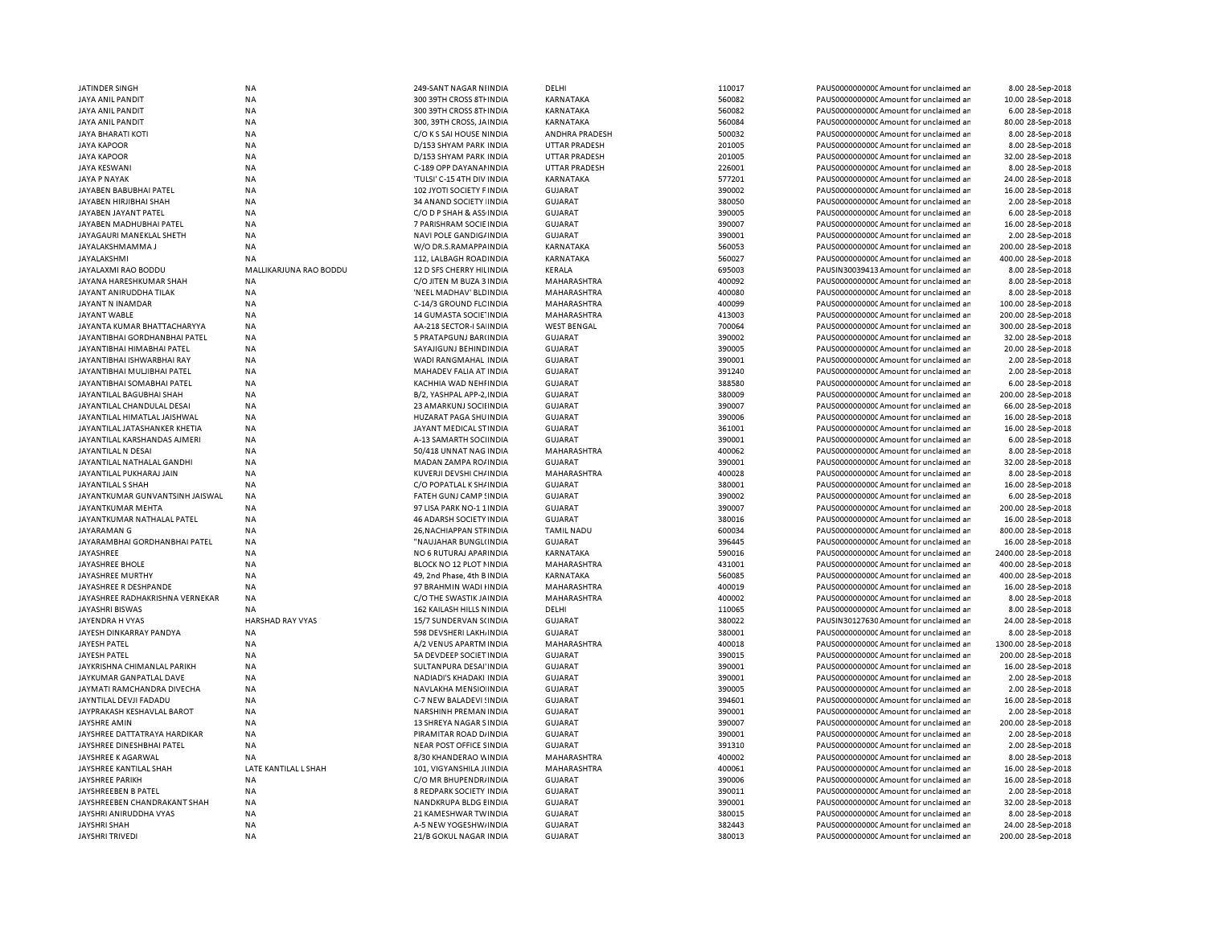| JATINDER SINGH                                | NA                     | 249-SANT NAGAR NIINDIA     | DELHI                 | 110017 | PAUS0000000000CAmount for unclaimed an | 8.00 28-Sep-2018    |
|-----------------------------------------------|------------------------|----------------------------|-----------------------|--------|----------------------------------------|---------------------|
| JAYA ANIL PANDIT                              | <b>NA</b>              | 300 39TH CROSS 8TH INDIA   | KARNATAKA             | 560082 | PAUS0000000000 Amount for unclaimed ar | 10.00 28-Sep-2018   |
| JAYA ANIL PANDIT                              | <b>NA</b>              | 300 39TH CROSS 8TH INDIA   | <b>KARNATAKA</b>      | 560082 | PAUS0000000000 Amount for unclaimed ar | 6.00 28-Sep-2018    |
| <b>JAYA ANIL PANDIT</b>                       | <b>NA</b>              | 300, 39TH CROSS, JAINDIA   | <b>KARNATAKA</b>      | 560084 | PAUS0000000000CAmount for unclaimed ar | 80.00 28-Sep-2018   |
| <b>JAYA BHARATI KOTI</b>                      | <b>NA</b>              | C/O K S SAI HOUSE NINDIA   | <b>ANDHRA PRADESH</b> | 500032 | PAUS0000000000 Amount for unclaimed ar | 8.00 28-Sep-2018    |
| <b>JAYA KAPOOR</b>                            | <b>NA</b>              | D/153 SHYAM PARK INDIA     | <b>UTTAR PRADESH</b>  | 201005 | PAUS0000000000 Amount for unclaimed ar | 8.00 28-Sep-2018    |
| <b>JAYA KAPOOR</b>                            | <b>NA</b>              | D/153 SHYAM PARK INDIA     | <b>UTTAR PRADESH</b>  | 201005 | PAUS0000000000 Amount for unclaimed ar | 32.00 28-Sep-2018   |
| <b>JAYA KESWANI</b>                           | <b>NA</b>              | C-189 OPP DAYANAI INDIA    | <b>UTTAR PRADESH</b>  | 226001 | PAUS0000000000 Amount for unclaimed ar | 8.00 28-Sep-2018    |
| <b>JAYA P NAYAK</b>                           | <b>NA</b>              | 'TULSI' C-15 4TH DIV INDIA | <b>KARNATAKA</b>      | 577201 | PAUS0000000000 Amount for unclaimed ar | 24.00 28-Sep-2018   |
| JAYABEN BABUBHAI PATEL                        | <b>NA</b>              | 102 JYOTI SOCIETY F INDIA  | <b>GUJARAT</b>        | 390002 | PAUS0000000000 Amount for unclaimed ar | 16.00 28-Sep-2018   |
| JAYABEN HIRJIBHAI SHAH                        | NA                     | 34 ANAND SOCIETY INDIA     | <b>GUJARAT</b>        | 380050 | PAUS0000000000 Amount for unclaimed ar | 2.00 28-Sep-2018    |
| JAYABEN JAYANT PATEL                          | <b>NA</b>              | C/O D P SHAH & ASS INDIA   | <b>GUJARAT</b>        | 390005 | PAUS0000000000 Amount for unclaimed ar | 6.00 28-Sep-2018    |
| JAYABEN MADHUBHAI PATEL                       | <b>NA</b>              | 7 PARISHRAM SOCIE INDIA    | <b>GUJARAT</b>        | 390007 | PAUS0000000000CAmount for unclaimed ar | 16.00 28-Sep-2018   |
| JAYAGAURI MANEKLAL SHETH                      | <b>NA</b>              | NAVI POLE GANDIG/ INDIA    | <b>GUJARAT</b>        | 390001 | PAUS0000000000Amount for unclaimed ar  | 2.00 28-Sep-2018    |
| JAYALAKSHMAMMA J                              | <b>NA</b>              | W/O DR.S.RAMAPPA INDIA     | KARNATAKA             | 560053 | PAUS0000000000CAmount for unclaimed ar | 200.00 28-Sep-2018  |
| <b>JAYALAKSHMI</b>                            | <b>NA</b>              | 112. LALBAGH ROAD IN DIA   | <b>KARNATAKA</b>      | 560027 | PAUS0000000000 Amount for unclaimed ar | 400.00 28-Sep-2018  |
| JAYALAXMI RAO BODDU                           | MALLIKARJUNA RAO BODDU | 12 D SFS CHERRY HILINDIA   | KERALA                | 695003 | PAUSIN30039413 Amount for unclaimed ar | 8.00 28-Sep-2018    |
| JAYANA HARESHKUMAR SHAH                       | <b>NA</b>              | C/O JITEN M BUZA 3 INDIA   | MAHARASHTRA           | 400092 | PAUS0000000000 Amount for unclaimed ar | 8.00 28-Sep-2018    |
| JAYANT ANIRUDDHA TILAK                        | <b>NA</b>              | 'NEEL MADHAV' BLD INDIA    | MAHARASHTRA           | 400080 | PAUS0000000000 Amount for unclaimed ar | 8.00 28-Sep-2018    |
| JAYANT N INAMDAR                              | <b>NA</b>              | C-14/3 GROUND FLC INDIA    | <b>MAHARASHTRA</b>    | 400099 | PAUS0000000000 Amount for unclaimed ar | 100.00 28-Sep-2018  |
| JAYANT WABLE                                  | NA                     | 14 GUMASTA SOCIE INDIA     | MAHARASHTRA           | 413003 | PAUS0000000000 Amount for unclaimed ar | 200.00 28-Sep-2018  |
| JAYANTA KUMAR BHATTACHARYYA                   | <b>NA</b>              | AA-218 SECTOR-I SA INDIA   | <b>WEST BENGAL</b>    | 700064 | PAUS0000000000 Amount for unclaimed ar | 300.00 28-Sep-2018  |
| JAYANTIBHAI GORDHANBHAI PATEL                 | <b>NA</b>              | 5 PRATAPGUNJ BAR(INDIA     | <b>GUJARAT</b>        | 390002 | PAUS0000000000 Amount for unclaimed ar | 32.00 28-Sep-2018   |
| JAYANTIBHAI HIMABHAI PATEL                    | <b>NA</b>              | SAYAJIGUNJ BEHINDINDIA     | <b>GUJARAT</b>        | 390005 | PAUS0000000000CAmount for unclaimed ar | 20.00 28-Sep-2018   |
| JAYANTIBHAI ISHWARBHAI RAY                    | <b>NA</b>              | WADI RANGMAHAL INDIA       | <b>GUJARAT</b>        | 390001 | PAUS0000000000 Amount for unclaimed ar | 2.00 28-Sep-2018    |
| JAYANTIBHAI MULJIBHAI PATEL                   | <b>NA</b>              | MAHADEV FALIA AT INDIA     | <b>GUJARAT</b>        | 391240 | PAUS0000000000CAmount for unclaimed ar | 2.00 28-Sep-2018    |
| JAYANTIBHAI SOMABHAI PATEL                    | <b>NA</b>              | KACHHIA WAD NEHI INDIA     | GUJARAT               | 388580 | PAUS0000000000CAmount for unclaimed ar | 6.00 28-Sep-2018    |
| JAYANTILAL BAGUBHAI SHAH                      | <b>NA</b>              | B/2, YASHPAL APP-2, INDIA  | GUJARAT               | 380009 | PAUS0000000000CAmount for unclaimed ar | 200.00 28-Sep-2018  |
| JAYANTILAL CHANDULAL DESAI                    | <b>NA</b>              | 23 AMARKUNJ SOCIHNDIA      | <b>GUJARAT</b>        | 390007 | PAUS0000000000 Amount for unclaimed ar | 66.00 28-Sep-2018   |
| JAYANTILAL HIMATLAL JAISHWAL                  | NA                     | HUZARAT PAGA SHUINDIA      | <b>GUJARAT</b>        | 390006 | PAUS0000000000 Amount for unclaimed ar | 16.00 28-Sep-2018   |
| JAYANTILAL JATASHANKER KHETIA                 | <b>NA</b>              | JAYANT MEDICAL STINDIA     | <b>GUJARAT</b>        | 361001 | PAUS0000000000 Amount for unclaimed ar | 16.00 28-Sep-2018   |
| JAYANTILAL KARSHANDAS AJMERI                  | <b>NA</b>              | A-13 SAMARTH SOCHNDIA      | <b>GUJARAT</b>        | 390001 | PAUS0000000000CAmount for unclaimed ar | 6.00 28-Sep-2018    |
| JAYANTILAL N DESAI                            | <b>NA</b>              | 50/418 UNNAT NAG INDIA     | <b>MAHARASHTRA</b>    | 400062 | PAUS0000000000 Amount for unclaimed ar | 8.00 28-Sep-2018    |
| JAYANTILAL NATHALAL GANDHI                    | <b>NA</b>              | MADAN ZAMPA RO/INDIA       | <b>GUJARAT</b>        | 390001 | PAUS0000000000CAmount for unclaimed ar | 32.00 28-Sep-2018   |
| JAYANTILAL PUKHARAJ JAIN                      | <b>NA</b>              | KUVERJI DEVSHI CH/INDIA    | <b>MAHARASHTRA</b>    | 400028 | PAUS0000000000 Amount for unclaimed ar | 8.00 28-Sep-2018    |
| JAYANTILAL S SHAH                             | <b>NA</b>              | C/O POPATLAL K SH/ INDIA   | <b>GUJARAT</b>        | 380001 | PAUS0000000000 Amount for unclaimed ar | 16.00 28-Sep-2018   |
| JAYANTKUMAR GUNVANTSINH JAISWAL               | <b>NA</b>              | FATEH GUNJ CAMP ! INDIA    | <b>GUJARAT</b>        | 390002 | PAUS0000000000CAmount for unclaimed ar | 6.00 28-Sep-2018    |
| <b>JAYANTKUMAR MEHTA</b>                      | <b>NA</b>              | 97 LISA PARK NO-1 1 INDIA  | <b>GUJARAT</b>        | 390007 | PAUS0000000000 Amount for unclaimed ar | 200.00 28-Sep-2018  |
| JAYANTKUMAR NATHALAL PATEL                    | <b>NA</b>              | 46 ADARSH SOCIETY INDIA    | <b>GUJARAT</b>        | 380016 | PAUS0000000000CAmount for unclaimed ar | 16.00 28-Sep-2018   |
| JAYARAMAN G                                   | <b>NA</b>              | 26, NACHIAPPAN STF INDIA   | <b>TAMIL NADU</b>     | 600034 | PAUS0000000000 Amount for unclaimed ar | 800.00 28-Sep-2018  |
| JAYARAMBHAI GORDHANBHAI PATEL                 | <b>NA</b>              | "NAUJAHAR BUNGL(INDIA      | GUJARAT               | 396445 | PAUS0000000000CAmount for unclaimed ar | 16.00 28-Sep-2018   |
| JAYASHREE                                     | <b>NA</b>              | NO 6 RUTURAJ APAFINDIA     | <b>KARNATAKA</b>      | 590016 | PAUS0000000000 Amount for unclaimed ar | 2400.00 28-Sep-2018 |
| JAYASHREE BHOLE                               | <b>NA</b>              | BLOCK NO 12 PLOT NINDIA    | MAHARASHTRA           | 431001 | PAUS0000000000CAmount for unclaimed ar | 400.00 28-Sep-2018  |
| <b>JAYASHREE MURTHY</b>                       | <b>NA</b>              | 49. 2nd Phase, 4th B INDIA | <b>KARNATAKA</b>      | 560085 | PAUS0000000000 Amount for unclaimed ar | 400.00 28-Sep-2018  |
| JAYASHREE R DESHPANDE                         | NA                     | 97 BRAHMIN WADI HNDIA      | MAHARASHTRA           | 400019 | PAUS0000000000 Amount for unclaimed ar | 16.00 28-Sep-2018   |
| JAYASHREE RADHAKRISHNA VERNEKAR               | <b>NA</b>              | C/O THE SWASTIK JAINDIA    | MAHARASHTRA           | 400002 | PAUS0000000000CAmount for unclaimed ar | 8.00 28-Sep-2018    |
| <b>JAYASHRI BISWAS</b>                        | <b>NA</b>              | 162 KAILASH HILLS NINDIA   | DELHI                 | 110065 | PAUS0000000000CAmount for unclaimed ar | 8.00 28-Sep-2018    |
| JAYENDRA H VYAS                               | HARSHAD RAY VYAS       | 15/7 SUNDERVAN S(INDIA     | <b>GUJARAT</b>        | 380022 | PAUSIN30127630 Amount for unclaimed ar | 24.00 28-Sep-2018   |
| JAYESH DINKARRAY PANDYA                       | <b>NA</b>              | 598 DEVSHERI LAKH INDIA    | <b>GUJARAT</b>        | 380001 | PAUS0000000000CAmount for unclaimed ar | 8.00 28-Sep-2018    |
| JAYESH PATEL                                  | <b>NA</b>              | A/2 VENUS APARTM INDIA     | MAHARASHTRA           | 400018 | PAUS0000000000CAmount for unclaimed ar | 1300.00 28-Sep-2018 |
| JAYESH PATEL                                  | <b>NA</b>              | 5A DEVDEEP SOCIET INDIA    | <b>GUJARAT</b>        | 390015 | PAUS0000000000CAmount for unclaimed ar | 200.00 28-Sep-2018  |
| JAYKRISHNA CHIMANLAL PARIKH                   | NA                     | SULTANPURA DESAI'INDIA     | GUJARAT               | 390001 | PAUS0000000000CAmount for unclaimed ar | 16.00 28-Sep-2018   |
| JAYKUMAR GANPATLAL DAVE                       | <b>NA</b>              | NADIADI'S KHADAKI INDIA    | GUJARAT               | 390001 | PAUS0000000000CAmount for unclaimed ar | 2.00 28-Sep-2018    |
| JAYMATI RAMCHANDRA DIVECHA                    | <b>NA</b>              | NAVLAKHA MENSIO INDIA      | <b>GUJARAT</b>        | 390005 | PAUS0000000000 Amount for unclaimed ar | 2.00 28-Sep-2018    |
| JAYNTILAL DEVJI FADADU                        | <b>NA</b>              | C-7 NEW BALADEVI ! INDIA   | <b>GUJARAT</b>        | 394601 | PAUS0000000000CAmount for unclaimed ar | 16.00 28-Sep-2018   |
| JAYPRAKASH KESHAVLAL BAROT                    | <b>NA</b>              | NARSHINH PREMAN INDIA      | <b>GUJARAT</b>        | 390001 | PAUS0000000000CAmount for unclaimed ar | 2.00 28-Sep-2018    |
| JAYSHRE AMIN                                  | <b>NA</b>              | 13 SHREYA NAGAR SINDIA     | <b>GUJARAT</b>        | 390007 | PAUS0000000000CAmount for unclaimed ar | 200.00 28-Sep-2018  |
| JAYSHREE DATTATRAYA HARDIKAR                  | <b>NA</b>              | PIRAMITAR ROAD D/INDIA     | <b>GUJARAT</b>        | 390001 | PAUS0000000000CAmount for unclaimed ar | 2.00 28-Sep-2018    |
| JAYSHREE DINESHBHAI PATEL                     | <b>NA</b>              | NEAR POST OFFICE SINDIA    | <b>GUJARAT</b>        | 391310 | PAUS0000000000CAmount for unclaimed ar | 2.00 28-Sep-2018    |
| JAYSHREE K AGARWAL                            | ΝA                     | 8/30 KHANDERAO WINDIA      | MAHARASHTRA           | 400002 | PAUS0000000000CAmount for unclaimed ar | 8.00 28-Sep-2018    |
| JAYSHREE KANTILAL SHAH                        | LATE KANTILAL L SHAH   | 101, VIGYANSHILA JUNDIA    | MAHARASHTRA           | 400061 | PAUS0000000000CAmount for unclaimed ar | 16.00 28-Sep-2018   |
| <b>JAYSHREE PARIKH</b>                        | <b>NA</b>              | C/O MR BHUPENDR/ INDIA     | GUJARAT               | 390006 | PAUS0000000000CAmount for unclaimed ar | 16.00 28-Sep-2018   |
| JAYSHREEBEN B PATEL                           | <b>NA</b>              | 8 REDPARK SOCIETY INDIA    | GUJARAT               | 390011 | PAUS0000000000 Amount for unclaimed ar | 2.00 28-Sep-2018    |
| JAYSHREEBEN CHANDRAKANT SHAH                  | <b>NA</b>              | NANDKRUPA BLDG EINDIA      | <b>GUJARAT</b>        | 390001 | PAUS0000000000CAmount for unclaimed ar | 32.00 28-Sep-2018   |
| JAYSHRI ANIRUDDHA VYAS                        | <b>NA</b>              | 21 KAMESHWAR TWINDIA       | GUJARAT               | 380015 | PAUS0000000000CAmount for unclaimed ar | 8.00 28-Sep-2018    |
| <b>JAYSHRI SHAH</b><br><b>JAYSHRI TRIVEDI</b> | <b>NA</b>              | A-5 NEW YOGESHW/ INDIA     | <b>GUJARAT</b>        | 382443 | PAUS0000000000CAmount for unclaimed ar | 24.00 28-Sep-2018   |
|                                               | <b>NA</b>              | 21/B GOKUL NAGAR INDIA     | GUJARAT               | 380013 | PAUS0000000000CAmount for unclaimed ar | 200.00 28-Sep-2018  |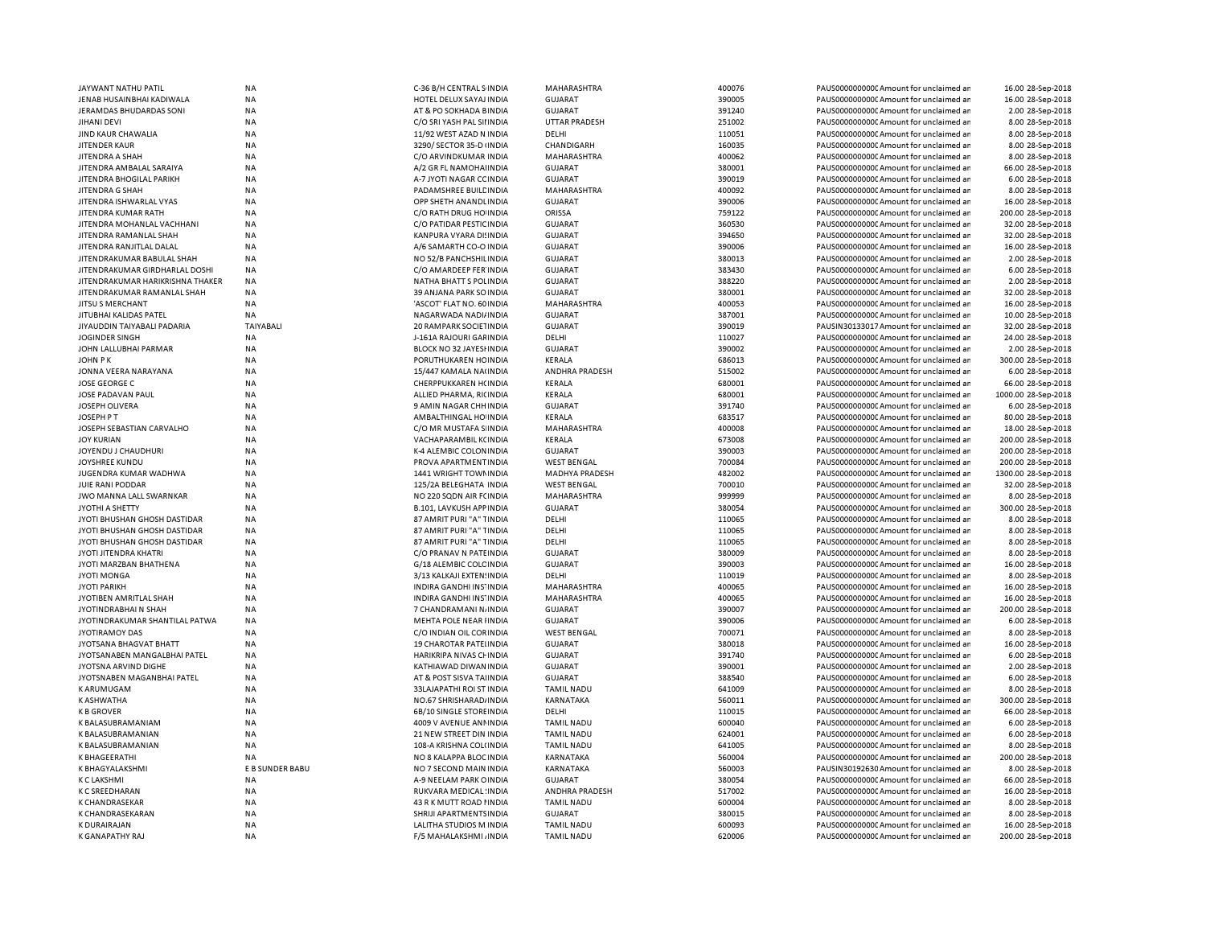| JAYWANT NATHU PATIL               | <b>NA</b>        | C-36 B/H CENTRAL S INDIA        | MAHARASHTRA           | 400076 | PAUS0000000000 Amount for unclaimed ar  | 16.00 28-Sep-2018   |
|-----------------------------------|------------------|---------------------------------|-----------------------|--------|-----------------------------------------|---------------------|
| JENAB HUSAINBHAI KADIWALA         | <b>NA</b>        | HOTEL DELUX SAYAJ INDIA         | <b>GUJARAT</b>        | 390005 | PAUS0000000000 Amount for unclaimed an  | 16.00 28-Sep-2018   |
| JERAMDAS BHUDARDAS SONI           | <b>NA</b>        | AT & PO SOKHADA BINDIA          | <b>GUJARAT</b>        | 391240 | PAUS0000000000 Amount for unclaimed ar  | 2.00 28-Sep-2018    |
| JIHANI DEVI                       | <b>NA</b>        | C/O SRI YASH PAL SII INDIA      | <b>UTTAR PRADESH</b>  | 251002 | PAUS0000000000 Amount for unclaimed ar  | 8.00 28-Sep-2018    |
| JIND KAUR CHAWALIA                | <b>NA</b>        | 11/92 WEST AZAD N INDIA         | DELHI                 | 110051 | PAUS0000000000 Amount for unclaimed ar  | 8.00 28-Sep-2018    |
| JITENDER KAUR                     | <b>NA</b>        | 3290/ SECTOR 35-D (INDIA        | CHANDIGARH            | 160035 | PAUS0000000000 Amount for unclaimed an  | 8.00 28-Sep-2018    |
| JITENDRA A SHAH                   | <b>NA</b>        | C/O ARVINDKUMAR INDIA           | MAHARASHTRA           | 400062 | PAUS0000000000 Amount for unclaimed an  | 8.00 28-Sep-2018    |
| JITENDRA AMBALAL SARAIYA          | <b>NA</b>        | A/2 GR FL NAMOHAHNDIA           | <b>GUJARAT</b>        | 380001 | PAUS0000000000CAmount for unclaimed an  | 66.00 28-Sep-2018   |
| JITENDRA BHOGILAL PARIKH          | <b>NA</b>        | A-7 JYOTI NAGAR CC INDIA        | <b>GUJARAT</b>        | 390019 | PAUS0000000000 Amount for unclaimed an  | 6.00 28-Sep-2018    |
| <b>JITENDRA G SHAH</b>            | <b>NA</b>        | PADAMSHREE BUILE INDIA          | MAHARASHTRA           | 400092 | PAUS0000000000 Amount for unclaimed an  | 8.00 28-Sep-2018    |
| JITENDRA ISHWARLAL VYAS           | <b>NA</b>        | OPP SHETH ANANDLINDIA           | <b>GUJARAT</b>        | 390006 | PAUS0000000000 Amount for unclaimed an  | 16.00 28-Sep-2018   |
| JITENDRA KUMAR RATH               | <b>NA</b>        | C/O RATH DRUG HO INDIA          | ORISSA                | 759122 | PAUS0000000000 Amount for unclaimed ar  | 200.00 28-Sep-2018  |
| JITENDRA MOHANLAL VACHHANI        | <b>NA</b>        | C/O PATIDAR PESTIC INDIA        | <b>GUJARAT</b>        | 360530 | PAUS0000000000 Amount for unclaimed ar  | 32.00 28-Sep-2018   |
| JITENDRA RAMANLAL SHAH            | <b>NA</b>        | KANPURA VYARA DI! INDIA         | <b>GUJARAT</b>        | 394650 | PAUS0000000000CAmount for unclaimed an  | 32.00 28-Sep-2018   |
| JITENDRA RANJITLAL DALAI          | <b>NA</b>        | A/6 SAMARTH CO-O INDIA          | <b>GUJARAT</b>        | 390006 | PAUS0000000000 Amount for unclaimed an  | 16.00 28-Sep-2018   |
| JITEN DRAKUMAR BABULAL SHAH       | <b>NA</b>        | NO 52/B PANCHSHILINDIA          | <b>GUJARAT</b>        | 380013 | PAUS0000000000CAmount for unclaimed an  | 2.00 28-Sep-2018    |
| JITENDRAKUMAR GIRDHARLAL DOSHI    | ΝA               | C/O AMARDEEP FER INDIA          | <b>GUJARAT</b>        | 383430 | PAUS0000000000 Amount for unclaimed ar  | 6.00 28-Sep-2018    |
| JITEN DRAKUMAR HARIKRISHNA THAKER | <b>NA</b>        | NATHA BHATT S POLINDIA          | <b>GUJARAT</b>        | 388220 | PAUS0000000000 Amount for unclaimed ar  | 2.00 28-Sep-2018    |
| JITENDRAKUMAR RAMANLAL SHAH       | <b>NA</b>        | 39 ANJANA PARK SO INDIA         | GUJARAT               | 380001 | PAUS0000000000 Amount for unclaimed an  | 32.00 28-Sep-2018   |
| JITSU S MERCHANT                  | <b>NA</b>        | 'ASCOT' FLAT NO. 60 INDIA       | MAHARASHTRA           | 400053 | PAUS0000000000 Amount for unclaimed an  | 16.00 28-Sep-2018   |
|                                   |                  |                                 |                       |        |                                         |                     |
| JITUBHAI KALIDAS PATEL            | ΝA               | NAGARWADA NADI/INDIA            | <b>GUJARAT</b>        | 387001 | PAUS0000000000C Amount for unclaimed ar | 10.00 28-Sep-2018   |
| JIYAUDDIN TAIYABALI PADARIA       | <b>TAIYABALI</b> | 20 RAMPARK SOCIETINDIA          | <b>GUJARAT</b>        | 390019 | PAUSIN30133017 Amount for unclaimed ar  | 32.00 28-Sep-2018   |
| JOGINDER SINGH                    | <b>NA</b>        | J-161A RAJOURI GAFINDIA         | DELHI                 | 110027 | PAUS0000000000 Amount for unclaimed ar  | 24.00 28-Sep-2018   |
| JOHN LALLUBHAI PARMAR             | <b>NA</b>        | BLOCK NO 32 JAYESHNDIA          | <b>GUJARAT</b>        | 390002 | PAUS0000000000CAmount for unclaimed an  | 2.00 28-Sep-2018    |
| JOHN PK                           | <b>NA</b>        | PORUTHUKAREN HC INDIA           | KERALA                | 686013 | PAUS0000000000CAmount for unclaimed ar  | 300.00 28-Sep-2018  |
| JONNA VEERA NARAYANA              | <b>NA</b>        | 15/447 KAMALA NA(INDIA          | ANDHRA PRADESH        | 515002 | PAUS0000000000C Amount for unclaimed ar | 6.00 28-Sep-2018    |
| JOSE GEORGE C                     | <b>NA</b>        | CHERPPUKKAREN H(INDIA           | KERALA                | 680001 | PAUS0000000000CAmount for unclaimed ar  | 66.00 28-Sep-2018   |
| JOSE PADAVAN PAUL                 | <b>NA</b>        | ALLIED PHARMA, RICINDIA         | KERALA                | 680001 | PAUS0000000000 Amount for unclaimed an  | 1000.00 28-Sep-2018 |
| JOSEPH OLIVERA                    | <b>NA</b>        | 9 AMIN NAGAR CHH INDIA          | <b>GUJARAT</b>        | 391740 | PAUS0000000000 Amount for unclaimed ar  | 6.00 28-Sep-2018    |
| JOSEPH P T                        | <b>NA</b>        | AMBALTHINGAL HO INDIA           | KERALA                | 683517 | PAUS0000000000C Amount for unclaimed ar | 80.00 28-Sep-2018   |
| JOSEPH SEBASTIAN CARVALHO         | <b>NA</b>        | C/O MR MUSTAFA S INDIA          | <b>MAHARASHTRA</b>    | 400008 | PAUS0000000000 Amount for unclaimed ar  | 18.00 28-Sep-2018   |
| JOY KURIAN                        | <b>NA</b>        | VACHAPARAMBIL KCINDIA           | KERALA                | 673008 | PAUS0000000000C Amount for unclaimed an | 200.00 28-Sep-2018  |
| JOYENDU J CHAUDHURI               | <b>NA</b>        | K-4 ALEMBIC COLONINDIA          | <b>GUJARAT</b>        | 390003 | PAUS0000000000 Amount for unclaimed ar  | 200.00 28-Sep-2018  |
| JOYSHREE KUNDU                    | <b>NA</b>        | PROVA APARTMENT INDIA           | <b>WEST BENGAL</b>    | 700084 | PAUS0000000000C Amount for unclaimed ar | 200.00 28-Sep-2018  |
| <b>JUGENDRA KUMAR WADHWA</b>      | <b>NA</b>        | 1441 WRIGHT TOWN IN DIA         | <b>MADHYA PRADESH</b> | 482002 | PAUS0000000000 Amount for unclaimed ar  | 1300.00 28-Sep-2018 |
| JUIE RANI PODDAR                  | <b>NA</b>        | 125/2A BELEGHATA INDIA          | <b>WEST BENGAL</b>    | 700010 | PAUS0000000000 Amount for unclaimed ar  | 32.00 28-Sep-2018   |
| JWO MANNA LALL SWARNKAR           | <b>NA</b>        | NO 220 SQDN AIR FCINDIA         | MAHARASHTRA           | 999999 | PAUS0000000000 Amount for unclaimed an  | 8.00 28-Sep-2018    |
| <b>JYOTHI A SHETTY</b>            | <b>NA</b>        | <b>B.101, LAVKUSH APPINDIA</b>  | <b>GUJARAT</b>        | 380054 | PAUS0000000000CAmount for unclaimed ar  | 300.00 28-Sep-2018  |
| JYOTI BHUSHAN GHOSH DASTIDAR      | <b>NA</b>        | 87 AMRIT PURI "A" TINDIA        | DELHI                 | 110065 | PAUS0000000000 Amount for unclaimed an  | 8.00 28-Sep-2018    |
| JYOTI BHUSHAN GHOSH DASTIDAR      | <b>NA</b>        | 87 AMRIT PURI "A" TINDIA        | DELHI                 | 110065 | PAUS0000000000CAmount for unclaimed ar  | 8.00 28-Sep-2018    |
| JYOTI BHUSHAN GHOSH DASTIDAR      | <b>NA</b>        | 87 AMRIT PURI "A" TINDIA        | DELHI                 | 110065 | PAUS0000000000 Amount for unclaimed an  | 8.00 28-Sep-2018    |
| JYOTI JITENDRA KHATRI             | <b>NA</b>        | C/O PRANAV N PATEINDIA          | <b>GUJARAT</b>        | 380009 | PAUS0000000000 Amount for unclaimed ar  | 8.00 28-Sep-2018    |
| JYOTI MARZBAN BHATHENA            | <b>NA</b>        | G/18 ALEMBIC COLC INDIA         | <b>GUJARAT</b>        | 390003 | PAUS0000000000 Amount for unclaimed ar  | 16.00 28-Sep-2018   |
| <b>JYOTI MONGA</b>                | <b>NA</b>        | 3/13 KALKAJI EXTEN: INDIA       | DELHI                 | 110019 | PAUS0000000000 Amount for unclaimed ar  | 8.00 28-Sep-2018    |
|                                   |                  |                                 |                       |        |                                         |                     |
| <b>JYOTI PARIKH</b>               | <b>NA</b>        | INDIRA GANDHI INS' INDIA        | MAHARASHTRA           | 400065 | PAUS0000000000 Amount for unclaimed an  | 16.00 28-Sep-2018   |
| <b>JYOTIBEN AMRITLAL SHAH</b>     | <b>NA</b>        | <b>INDIRA GANDHI INS' INDIA</b> | <b>MAHARASHTRA</b>    | 400065 | PAUS0000000000 Amount for unclaimed ar  | 16.00 28-Sep-2018   |
| JYOTINDRABHAI N SHAH              | <b>NA</b>        | 7 CHANDRAMANI NJINDIA           | <b>GUJARAT</b>        | 390007 | PAUS0000000000 Amount for unclaimed ar  | 200.00 28-Sep-2018  |
| JYOTINDRAKUMAR SHANTILAL PATWA    | <b>NA</b>        | MEHTA POLE NEAR IINDIA          | <b>GUJARAT</b>        | 390006 | PAUS0000000000 Amount for unclaimed ar  | 6.00 28-Sep-2018    |
| JYOTIRAMOY DAS                    | <b>NA</b>        | C/O INDIAN OIL CORINDIA         | <b>WEST BENGAL</b>    | 700071 | PAUS0000000000 Amount for unclaimed an  | 8.00 28-Sep-2018    |
| JYOTSANA BHAGVAT BHATT            | <b>NA</b>        | 19 CHAROTAR PATELINDIA          | <b>GUJARAT</b>        | 380018 | PAUS0000000000 Amount for unclaimed an  | 16.00 28-Sep-2018   |
| JYOTSANABEN MANGALBHAI PATEL      | <b>NA</b>        | HARIKRIPA NIVAS CHINDIA         | <b>GUJARAT</b>        | 391740 | PAUS0000000000 Amount for unclaimed an  | 6.00 28-Sep-2018    |
| JYOTSNA ARVIND DIGHE              | <b>NA</b>        | KATHIAWAD DIWAN INDIA           | <b>GUJARAT</b>        | 390001 | PAUS0000000000 Amount for unclaimed an  | 2.00 28-Sep-2018    |
| JYOTSNABEN MAGANBHAI PATEL        | <b>NA</b>        | AT & POST SISVA TAIINDIA        | GUJARAT               | 388540 | PAUS0000000000 Amount for unclaimed an  | 6.00 28-Sep-2018    |
| <b>KARUMUGAM</b>                  | <b>NA</b>        | 33LAJAPATHI ROI ST INDIA        | <b>TAMIL NADU</b>     | 641009 | PAUS0000000000 Amount for unclaimed an  | 8.00 28-Sep-2018    |
| K ASHWATHA                        | <b>NA</b>        | NO.67 SHRISHARAD/INDIA          | KARNATAKA             | 560011 | PAUS0000000000 Amount for unclaimed ar  | 300.00 28-Sep-2018  |
| <b>K B GROVER</b>                 | <b>NA</b>        | 6B/10 SINGLE STORE INDIA        | DELHI                 | 110015 | PAUS0000000000 Amount for unclaimed ar  | 66.00 28-Sep-2018   |
| K BALASUBRAMANIAM                 | <b>NA</b>        | 4009 V AVENUE ANNINDIA          | <b>TAMIL NADU</b>     | 600040 | PAUS0000000000 Amount for unclaimed ar  | 6.00 28-Sep-2018    |
| K BALASUBRAMANIAN                 | <b>NA</b>        | 21 NEW STREET DIN INDIA         | <b>TAMIL NADU</b>     | 624001 | PAUS0000000000 Amount for unclaimed an  | 6.00 28-Sep-2018    |
| K BALASUBRAMANIAN                 | <b>NA</b>        | 108-A KRISHNA COL(INDIA         | <b>TAMIL NADU</b>     | 641005 | PAUS0000000000CAmount for unclaimed an  | 8.00 28-Sep-2018    |
| K BHAGEERATHI                     | <b>NA</b>        | NO 8 KALAPPA BLOC INDIA         | KARNATAKA             | 560004 | PAUS0000000000 Amount for unclaimed ar  | 200.00 28-Sep-2018  |
| K BHAGYALAKSHMI                   | E B SUNDER BABU  | NO 7 SECOND MAIN INDIA          | KARNATAKA             | 560003 | PAUSIN30192630 Amount for unclaimed ar  | 8.00 28-Sep-2018    |
| <b>K C LAKSHMI</b>                | <b>NA</b>        | A-9 NEELAM PARK OINDIA          | <b>GUJARAT</b>        | 380054 | PAUS0000000000 Amount for unclaimed an  | 66.00 28-Sep-2018   |
| <b>KCSREEDHARAN</b>               | <b>NA</b>        | RUKVARA MEDICAL INDIA           | ANDHRA PRADESH        | 517002 | PAUS0000000000 Amount for unclaimed ar  | 16.00 28-Sep-2018   |
| K CHANDRASEKAR                    | <b>NA</b>        | 43 R K MUTT ROAD I INDIA        | <b>TAMIL NADU</b>     | 600004 | PAUS0000000000C Amount for unclaimed ar | 8.00 28-Sep-2018    |
| K CHANDRASEKARAN                  | <b>NA</b>        | SHRIJI APARTMENTS INDIA         | <b>GUJARAT</b>        | 380015 | PAUS0000000000 Amount for unclaimed an  | 8.00 28-Sep-2018    |
| <b>K DURAIRAJAN</b>               | <b>NA</b>        | LALITHA STUDIOS M INDIA         | <b>TAMIL NADU</b>     | 600093 | PAUS0000000000 Amount for unclaimed ar  | 16.00 28-Sep-2018   |
| K GANAPATHY RAJ                   | <b>NA</b>        | F/5 MAHALAKSHMI, INDIA          | <b>TAMIL NADU</b>     | 620006 | PAUS0000000000 Amount for unclaimed an  | 200.00 28-Sep-2018  |
|                                   |                  |                                 |                       |        |                                         |                     |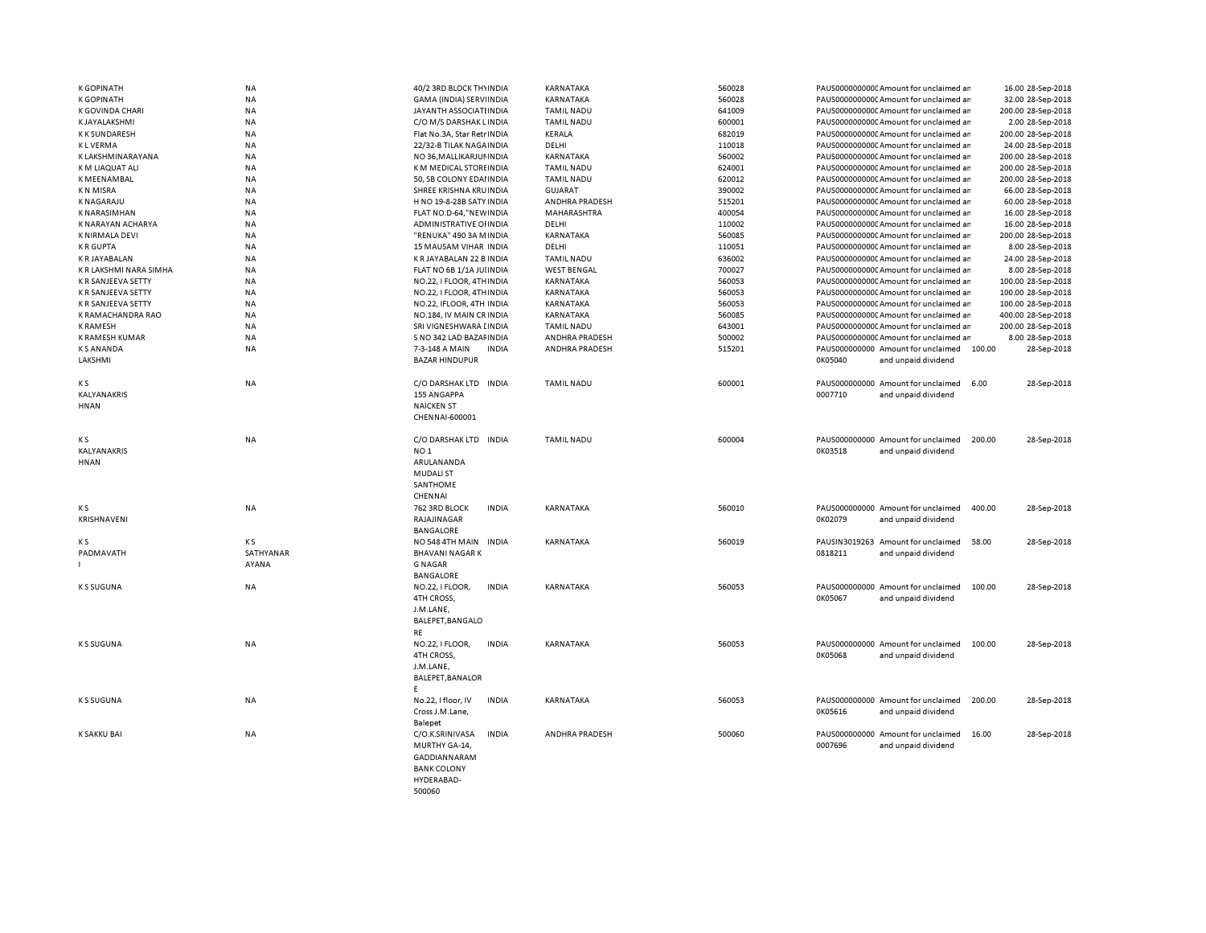| <b>K GOPINATH</b>      | ΝA        | 40/2 3RD BLOCK THYINDIA         | KARNATAKA             | 560028 | PAUS0000000000CAmount for unclaimed ar       | 16.00 28-Sep-2018  |
|------------------------|-----------|---------------------------------|-----------------------|--------|----------------------------------------------|--------------------|
| <b>K GOPINATH</b>      | NA        | GAMA (INDIA) SERVIINDIA         | KARNATAKA             | 560028 | PAUS0000000000CAmount for unclaimed ar       | 32.00 28-Sep-2018  |
| K GOVINDA CHARI        | <b>NA</b> | JAYANTH ASSOCIATI INDIA         | <b>TAMIL NADU</b>     | 641009 | PAUS0000000000 Amount for unclaimed ar       | 200.00 28-Sep-2018 |
| K JAYALAKSHMI          | <b>NA</b> | C/O M/S DARSHAK LINDIA          | <b>TAMIL NADU</b>     | 600001 | PAUS0000000000 Amount for unclaimed ar       | 2.00 28-Sep-2018   |
| K K SUNDARESH          | <b>NA</b> | Flat No.3A, Star Retr INDIA     | KERALA                | 682019 | PAUS0000000000 Amount for unclaimed ar       | 200.00 28-Sep-2018 |
| <b>KLVERMA</b>         | NA        | 22/32-B TILAK NAGA INDIA        | DELHI                 | 110018 | PAUS0000000000CAmount for unclaimed ar       | 24.00 28-Sep-2018  |
| K LAKSHMINARAYANA      | <b>NA</b> | NO 36, MALLIKARJUN INDIA        | KARNATAKA             | 560002 | PAUS0000000000CAmount for unclaimed ar       | 200.00 28-Sep-2018 |
| K M LIAQUAT ALI        | <b>NA</b> | K M MEDICAL STORE INDIA         | <b>TAMIL NADU</b>     | 624001 | PAUS0000000000 Amount for unclaimed ar       | 200.00 28-Sep-2018 |
| K MEENAMBAL            | NA        | 50, SB COLONY EDAI INDIA        | <b>TAMIL NADU</b>     | 620012 | PAUS0000000000C Amount for unclaimed ar      | 200.00 28-Sep-2018 |
| K N MISRA              | NA        | SHREE KRISHNA KRUINDIA          | <b>GUJARAT</b>        | 390002 | PAUS0000000000 Amount for unclaimed ar       | 66.00 28-Sep-2018  |
| <b>KNAGARAJU</b>       | <b>NA</b> | H NO 19-8-28B SATY INDIA        | ANDHRA PRADESH        | 515201 | PAUS0000000000 Amount for unclaimed ar       | 60.00 28-Sep-2018  |
| <b>K NARASIMHAN</b>    | NA        | FLAT NO.D-64,"NEW INDIA         | MAHARASHTRA           | 400054 | PAUS0000000000CAmount for unclaimed ar       | 16.00 28-Sep-2018  |
| K NARAYAN ACHARYA      | <b>NA</b> | ADMINISTRATIVE OF INDIA         | DELHI                 | 110002 | PAUS0000000000C Amount for unclaimed ar      | 16.00 28-Sep-2018  |
| K NIRMALA DEVI         | NA        | "RENUKA" 490 3A MINDIA          | KARNATAKA             | 560085 | PAUS0000000000Amount for unclaimed ar        | 200.00 28-Sep-2018 |
| <b>KRGUPTA</b>         | NA        | 15 MAUSAM VIHAR INDIA           | DELHI                 | 110051 | PAUS0000000000 Amount for unclaimed ar       | 8.00 28-Sep-2018   |
| K R JAYABALAN          | <b>NA</b> | K R JAYABALAN 22 B INDIA        | <b>TAMIL NADU</b>     | 636002 | PAUS0000000000 Amount for unclaimed ar       | 24.00 28-Sep-2018  |
| K R LAKSHMI NARA SIMHA | <b>NA</b> | FLAT NO 6B 1/1A JUI INDIA       | <b>WEST BENGAL</b>    | 700027 | PAUS0000000000 Amount for unclaimed ar       | 8.00 28-Sep-2018   |
| K R SANJEEVA SETTY     | <b>NA</b> | NO.22, I FLOOR, 4TH INDIA       | KARNATAKA             | 560053 | PAUS0000000000CAmount for unclaimed ar       | 100.00 28-Sep-2018 |
| K R SANJEEVA SETTY     | <b>NA</b> | NO.22, I FLOOR, 4TH INDIA       | KARNATAKA             | 560053 | PAUS0000000000 Amount for unclaimed ar       | 100.00 28-Sep-2018 |
| K R SANJEEVA SETTY     | <b>NA</b> | NO.22, IFLOOR, 4TH INDIA        | <b>KARNATAKA</b>      | 560053 | PAUS0000000000 Amount for unclaimed ar       | 100.00 28-Sep-2018 |
| K RAMACHANDRA RAO      | NA        | NO.184, IV MAIN CR INDIA        | KARNATAKA             | 560085 | PAUS0000000000 Amount for unclaimed ar       | 400.00 28-Sep-2018 |
| <b>K RAMESH</b>        | <b>NA</b> | SRI VIGNESHWARA [INDIA          | <b>TAMIL NADU</b>     | 643001 | PAUS0000000000 Amount for unclaimed ar       | 200.00 28-Sep-2018 |
| K RAMESH KUMAR         | <b>NA</b> | S NO 342 LAD BAZAF INDIA        | ANDHRA PRADESH        | 500002 | PAUS0000000000 Amount for unclaimed ar       | 8.00 28-Sep-2018   |
| <b>KS ANANDA</b>       | <b>NA</b> | 7-3-148 A MAIN<br><b>INDIA</b>  | <b>ANDHRA PRADESH</b> | 515201 | PAUS000000000 Amount for unclaimed<br>100.00 | 28-Sep-2018        |
| <b>LAKSHMI</b>         |           | <b>BAZAR HINDUPUR</b>           |                       |        | 0K05040<br>and unpaid dividend               |                    |
|                        |           |                                 |                       |        |                                              |                    |
| K S                    | <b>NA</b> | C/O DARSHAK LTD INDIA           | <b>TAMIL NADU</b>     | 600001 | PAUS000000000 Amount for unclaimed<br>6.00   | 28-Sep-2018        |
| KALYANAKRIS            |           | 155 ANGAPPA                     |                       |        | 0007710<br>and unpaid dividend               |                    |
| <b>HNAN</b>            |           | <b>NAICKEN ST</b>               |                       |        |                                              |                    |
|                        |           | CHENNAI-600001                  |                       |        |                                              |                    |
|                        |           |                                 |                       |        |                                              |                    |
| K S                    | NA        | C/O DARSHAK LTD INDIA           | <b>TAMIL NADU</b>     | 600004 | PAUS000000000 Amount for unclaimed<br>200.00 | 28-Sep-2018        |
| <b>KALYANAKRIS</b>     |           | NO <sub>1</sub>                 |                       |        | 0K03518<br>and unpaid dividend               |                    |
| HNAN                   |           | ARULANANDA                      |                       |        |                                              |                    |
|                        |           | <b>MUDALI ST</b>                |                       |        |                                              |                    |
|                        |           | SANTHOME                        |                       |        |                                              |                    |
|                        |           | CHENNAI                         |                       |        |                                              |                    |
| K S                    | NA        | 762 3RD BLOCK<br><b>INDIA</b>   | KARNATAKA             | 560010 | PAUS000000000 Amount for unclaimed<br>400.00 | 28-Sep-2018        |
| KRISHNAVENI            |           | RAJAJINAGAR                     |                       |        | 0K02079<br>and unpaid dividend               |                    |
|                        |           | <b>BANGALORE</b>                |                       |        |                                              |                    |
| ΚS                     | K S       | NO 548 4TH MAIN INDIA           | KARNATAKA             | 560019 | PAUSIN3019263 Amount for unclaimed<br>58.00  | 28-Sep-2018        |
| PADMAVATH              | SATHYANAR | <b>BHAVANI NAGAR K</b>          |                       |        | 0818211<br>and unpaid dividend               |                    |
|                        | AYANA     | <b>G NAGAR</b>                  |                       |        |                                              |                    |
|                        |           | <b>BANGALORE</b>                |                       |        |                                              |                    |
| <b>KS SUGUNA</b>       | <b>NA</b> | NO.22, I FLOOR,<br><b>INDIA</b> | <b>KARNATAKA</b>      | 560053 | PAUS000000000 Amount for unclaimed<br>100.00 | 28-Sep-2018        |
|                        |           | 4TH CROSS,                      |                       |        | 0K05067<br>and unpaid dividend               |                    |
|                        |           | J.M.LANE,                       |                       |        |                                              |                    |
|                        |           | BALEPET, BANGALO                |                       |        |                                              |                    |
|                        |           | <b>RE</b>                       |                       |        |                                              |                    |
| <b>KS SUGUNA</b>       | NA        | NO.22, I FLOOR,<br><b>INDIA</b> | KARNATAKA             | 560053 | PAUS000000000 Amount for unclaimed<br>100.00 | 28-Sep-2018        |
|                        |           | 4TH CROSS,                      |                       |        | 0K05068                                      |                    |
|                        |           |                                 |                       |        | and unpaid dividend                          |                    |
|                        |           | J.M.LANE,                       |                       |        |                                              |                    |
|                        |           | BALEPET, BANALOR                |                       |        |                                              |                    |
|                        |           | F<br><b>INDIA</b>               |                       | 560053 | PAUS000000000 Amount for unclaimed           | 28-Sep-2018        |
| <b>KS SUGUNA</b>       | ΝA        | No.22, I floor, IV              | KARNATAKA             |        | 200.00                                       |                    |
|                        |           | Cross J.M.Lane,                 |                       |        | 0K05616<br>and unpaid dividend               |                    |
|                        |           | Balepet                         |                       |        |                                              |                    |
| K SAKKU BAI            | <b>NA</b> | C/O.K.SRINIVASA<br><b>INDIA</b> | <b>ANDHRA PRADESH</b> | 500060 | PAUS000000000 Amount for unclaimed<br>16.00  | 28-Sep-2018        |
|                        |           | MURTHY GA-14,                   |                       |        | 0007696<br>and unpaid dividend               |                    |
|                        |           | GADDIANNARAM                    |                       |        |                                              |                    |
|                        |           | <b>BANK COLONY</b>              |                       |        |                                              |                    |
|                        |           | HYDERABAD-                      |                       |        |                                              |                    |
|                        |           | 500060                          |                       |        |                                              |                    |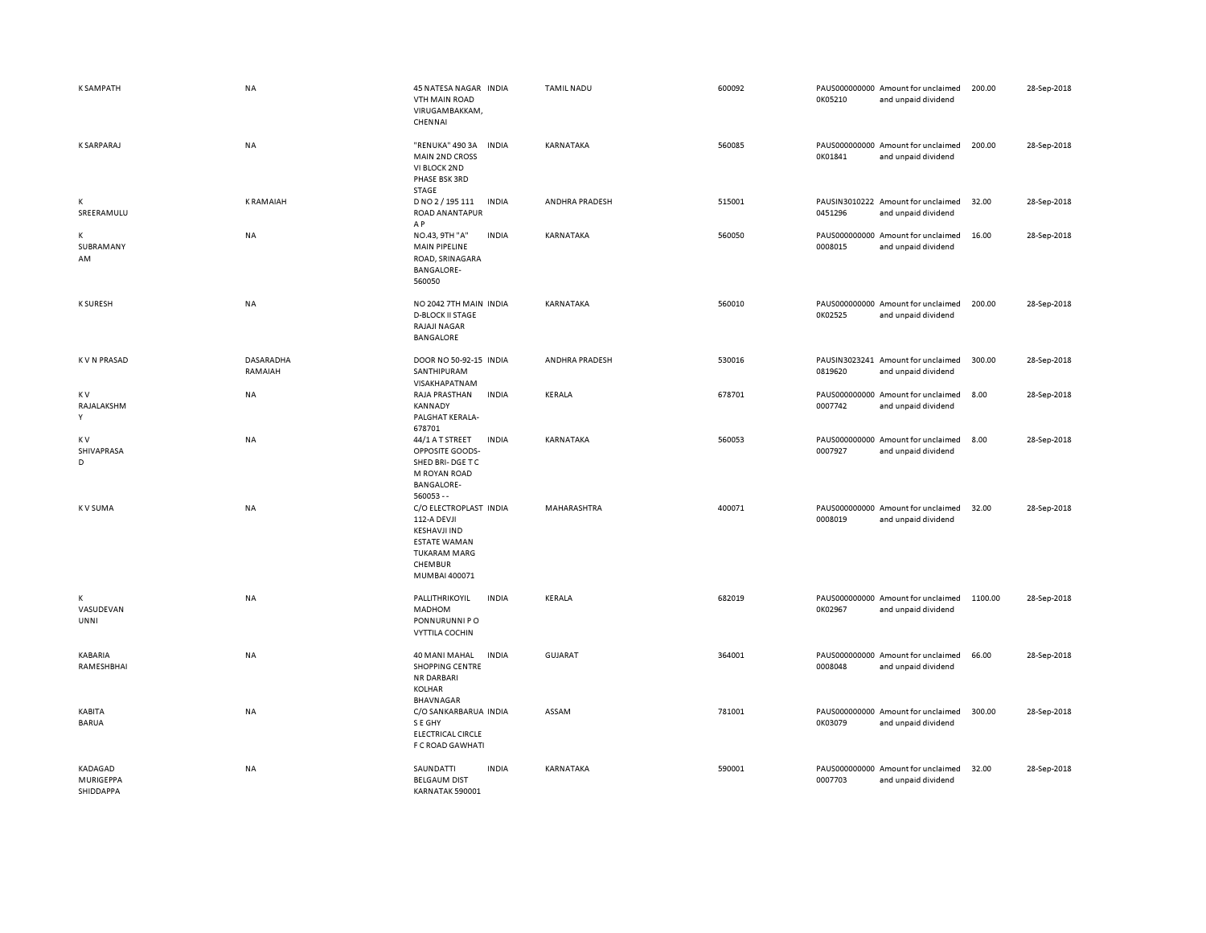| <b>K SAMPATH</b>                  | <b>NA</b>            | 45 NATESA NAGAR INDIA<br><b>VTH MAIN ROAD</b><br>VIRUGAMBAKKAM,<br>CHENNAI                                                             | <b>TAMIL NADU</b> | 600092<br>0K05210 | PAUS000000000 Amount for unclaimed<br>and unpaid dividend | 200.00  | 28-Sep-2018 |
|-----------------------------------|----------------------|----------------------------------------------------------------------------------------------------------------------------------------|-------------------|-------------------|-----------------------------------------------------------|---------|-------------|
| <b>K SARPARAJ</b>                 | <b>NA</b>            | "RENUKA" 490 3A<br><b>INDIA</b><br><b>MAIN 2ND CROSS</b><br>VI BLOCK 2ND<br>PHASE BSK 3RD<br>STAGE                                     | KARNATAKA         | 560085<br>0K01841 | PAUS000000000 Amount for unclaimed<br>and unpaid dividend | 200.00  | 28-Sep-2018 |
| К<br>SREERAMULU                   | <b>KRAMAIAH</b>      | D NO 2 / 195 111<br><b>INDIA</b><br>ROAD ANANTAPUR<br>A P                                                                              | ANDHRA PRADESH    | 515001<br>0451296 | PAUSIN3010222 Amount for unclaimed<br>and unpaid dividend | 32.00   | 28-Sep-2018 |
| К<br>SUBRAMANY<br>AM              | <b>NA</b>            | NO.43, 9TH "A"<br><b>INDIA</b><br><b>MAIN PIPELINE</b><br>ROAD, SRINAGARA<br><b>BANGALORE-</b><br>560050                               | KARNATAKA         | 560050<br>0008015 | PAUS000000000 Amount for unclaimed<br>and unpaid dividend | 16.00   | 28-Sep-2018 |
| <b>K SURESH</b>                   | NA                   | NO 2042 7TH MAIN INDIA<br><b>D-BLOCK II STAGE</b><br>RAJAJI NAGAR<br>BANGALORE                                                         | KARNATAKA         | 560010<br>0K02525 | PAUS000000000 Amount for unclaimed<br>and unpaid dividend | 200.00  | 28-Sep-2018 |
| <b>KVN PRASAD</b>                 | DASARADHA<br>RAMAIAH | DOOR NO 50-92-15 INDIA<br>SANTHIPURAM<br>VISAKHAPATNAM                                                                                 | ANDHRA PRADESH    | 530016<br>0819620 | PAUSIN3023241 Amount for unclaimed<br>and unpaid dividend | 300.00  | 28-Sep-2018 |
| K V<br>RAJALAKSHM<br>Y            | NA                   | RAJA PRASTHAN<br><b>INDIA</b><br><b>KANNADY</b><br>PALGHAT KERALA-<br>678701                                                           | KERALA            | 678701<br>0007742 | PAUS000000000 Amount for unclaimed<br>and unpaid dividend | 8.00    | 28-Sep-2018 |
| K V<br>SHIVAPRASA<br>D            | NA                   | 44/1 A T STREET<br><b>INDIA</b><br>OPPOSITE GOODS-<br>SHED BRI-DGE TC<br>M ROYAN ROAD<br><b>BANGALORE-</b><br>$560053 - -$             | KARNATAKA         | 560053<br>0007927 | PAUS000000000 Amount for unclaimed<br>and unpaid dividend | 8.00    | 28-Sep-2018 |
| <b>KV SUMA</b>                    | <b>NA</b>            | C/O ELECTROPLAST INDIA<br>112-A DEVJI<br><b>KESHAVJI IND</b><br><b>ESTATE WAMAN</b><br><b>TUKARAM MARG</b><br>CHEMBUR<br>MUMBAI 400071 | MAHARASHTRA       | 400071<br>0008019 | PAUS000000000 Amount for unclaimed<br>and unpaid dividend | 32.00   | 28-Sep-2018 |
| К<br>VASUDEVAN<br>UNNI            | <b>NA</b>            | PALLITHRIKOYIL<br><b>INDIA</b><br>MADHOM<br>PONNURUNNI PO<br><b>VYTTILA COCHIN</b>                                                     | KERALA            | 682019<br>0K02967 | PAUS000000000 Amount for unclaimed<br>and unpaid dividend | 1100.00 | 28-Sep-2018 |
| KABARIA<br>RAMESHBHAI             | NA                   | 40 MANI MAHAL<br><b>INDIA</b><br><b>SHOPPING CENTRE</b><br>NR DARBARI<br>KOLHAR<br>BHAVNAGAR                                           | <b>GUJARAT</b>    | 364001<br>0008048 | PAUS000000000 Amount for unclaimed<br>and unpaid dividend | 66.00   | 28-Sep-2018 |
| KABITA<br><b>BARUA</b>            | NA                   | C/O SANKARBARUA INDIA<br>S E GHY<br><b>ELECTRICAL CIRCLE</b><br>F C ROAD GAWHATI                                                       | ASSAM             | 781001<br>0K03079 | PAUS000000000 Amount for unclaimed<br>and unpaid dividend | 300.00  | 28-Sep-2018 |
| KADAGAD<br>MURIGEPPA<br>SHIDDAPPA | <b>NA</b>            | SAUNDATTI<br><b>INDIA</b><br><b>BELGAUM DIST</b><br>KARNATAK 590001                                                                    | KARNATAKA         | 590001<br>0007703 | PAUS000000000 Amount for unclaimed<br>and unpaid dividend | 32.00   | 28-Sep-2018 |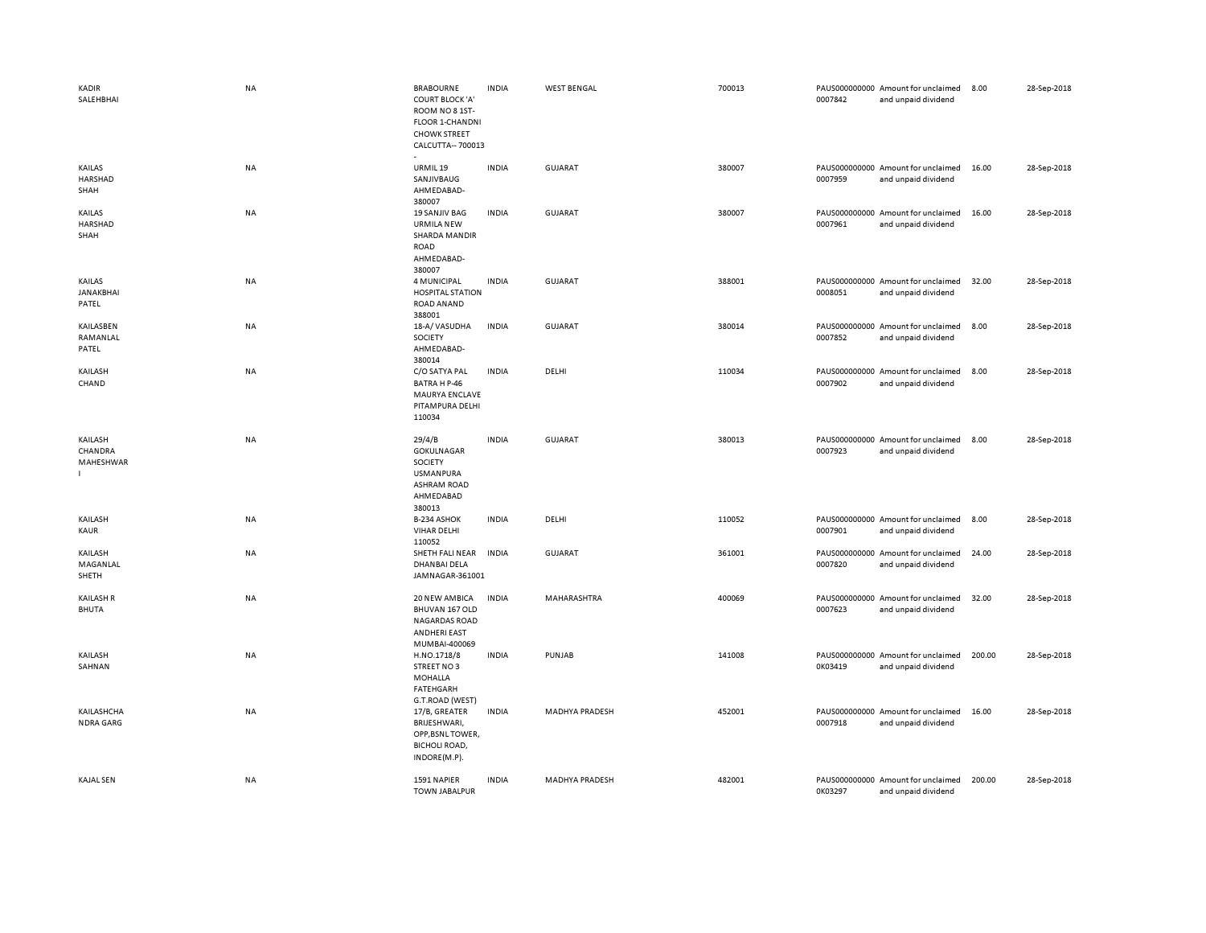| <b>KADIR</b><br>SALEHBHAI        | NA        | <b>BRABOURNE</b><br><b>COURT BLOCK 'A'</b><br>ROOM NO 8 1ST-<br><b>FLOOR 1-CHANDNI</b><br><b>CHOWK STREET</b><br>CALCUTTA-700013 | <b>INDIA</b> | <b>WEST BENGAL</b>    | 700013 | 0007842 | PAUS000000000 Amount for unclaimed<br>and unpaid dividend | 8.00   | 28-Sep-2018 |
|----------------------------------|-----------|----------------------------------------------------------------------------------------------------------------------------------|--------------|-----------------------|--------|---------|-----------------------------------------------------------|--------|-------------|
| KAILAS<br>HARSHAD<br>SHAH        | NA        | URMIL 19<br>SANJIVBAUG<br>AHMEDABAD-<br>380007                                                                                   | <b>INDIA</b> | GUJARAT               | 380007 | 0007959 | PAUS000000000 Amount for unclaimed<br>and unpaid dividend | 16.00  | 28-Sep-2018 |
| KAILAS<br>HARSHAD<br>SHAH        | <b>NA</b> | <b>19 SANJIV BAG</b><br><b>URMILA NEW</b><br><b>SHARDA MANDIR</b><br><b>ROAD</b><br>AHMEDABAD-<br>380007                         | <b>INDIA</b> | <b>GUJARAT</b>        | 380007 | 0007961 | PAUS000000000 Amount for unclaimed<br>and unpaid dividend | 16.00  | 28-Sep-2018 |
| KAILAS<br>JANAKBHAI<br>PATEL     | NA        | 4 MUNICIPAL<br><b>HOSPITAL STATION</b><br>ROAD ANAND<br>388001                                                                   | <b>INDIA</b> | <b>GUJARAT</b>        | 388001 | 0008051 | PAUS000000000 Amount for unclaimed<br>and unpaid dividend | 32.00  | 28-Sep-2018 |
| KAILASBEN<br>RAMANLAL<br>PATEL   | NA        | 18-A/VASUDHA<br>SOCIETY<br>AHMEDABAD-<br>380014                                                                                  | <b>INDIA</b> | GUJARAT               | 380014 | 0007852 | PAUS000000000 Amount for unclaimed<br>and unpaid dividend | 8.00   | 28-Sep-2018 |
| KAILASH<br>CHAND                 | NA        | C/O SATYA PAL<br>BATRA H P-46<br>MAURYA ENCLAVE<br>PITAMPURA DELHI<br>110034                                                     | <b>INDIA</b> | DELHI                 | 110034 | 0007902 | PAUS000000000 Amount for unclaimed<br>and unpaid dividend | 8.00   | 28-Sep-2018 |
| KAILASH<br>CHANDRA<br>MAHESHWAR  | <b>NA</b> | 29/4/B<br>GOKULNAGAR<br>SOCIETY<br><b>USMANPURA</b><br><b>ASHRAM ROAD</b><br>AHMEDABAD<br>380013                                 | <b>INDIA</b> | <b>GUJARAT</b>        | 380013 | 0007923 | PAUS000000000 Amount for unclaimed<br>and unpaid dividend | 8.00   | 28-Sep-2018 |
| KAILASH<br>KAUR                  | NA        | B-234 ASHOK<br><b>VIHAR DELHI</b><br>110052                                                                                      | <b>INDIA</b> | DELHI                 | 110052 | 0007901 | PAUS000000000 Amount for unclaimed<br>and unpaid dividend | 8.00   | 28-Sep-2018 |
| KAILASH<br>MAGANLAL<br>SHETH     | NA        | SHETH FALI NEAR<br><b>DHANBAI DELA</b><br>JAMNAGAR-361001                                                                        | <b>INDIA</b> | <b>GUJARAT</b>        | 361001 | 0007820 | PAUS000000000 Amount for unclaimed<br>and unpaid dividend | 24.00  | 28-Sep-2018 |
| <b>KAILASH R</b><br><b>BHUTA</b> | NA        | 20 NEW AMBICA<br>BHUVAN 167 OLD<br><b>NAGARDAS ROAD</b><br><b>ANDHERI EAST</b><br>MUMBAI-400069                                  | <b>INDIA</b> | MAHARASHTRA           | 400069 | 0007623 | PAUS000000000 Amount for unclaimed<br>and unpaid dividend | 32.00  | 28-Sep-2018 |
| KAILASH<br>SAHNAN                | NA        | H.NO.1718/8<br>STREET NO3<br>MOHALLA<br>FATEHGARH<br>G.T.ROAD (WEST)                                                             | <b>INDIA</b> | PUNJAB                | 141008 | 0K03419 | PAUS000000000 Amount for unclaimed<br>and unpaid dividend | 200.00 | 28-Sep-2018 |
| KAILASHCHA<br><b>NDRA GARG</b>   | NA        | 17/B, GREATER<br>BRIJESHWARI,<br>OPP, BSNL TOWER,<br><b>BICHOLI ROAD,</b><br>INDORE(M.P).                                        | <b>INDIA</b> | <b>MADHYA PRADESH</b> | 452001 | 0007918 | PAUS000000000 Amount for unclaimed<br>and unpaid dividend | 16.00  | 28-Sep-2018 |
| <b>KAJAL SEN</b>                 | NA        | 1591 NAPIER<br><b>TOWN JABALPUR</b>                                                                                              | <b>INDIA</b> | MADHYA PRADESH        | 482001 | 0K03297 | PAUS000000000 Amount for unclaimed<br>and unpaid dividend | 200.00 | 28-Sep-2018 |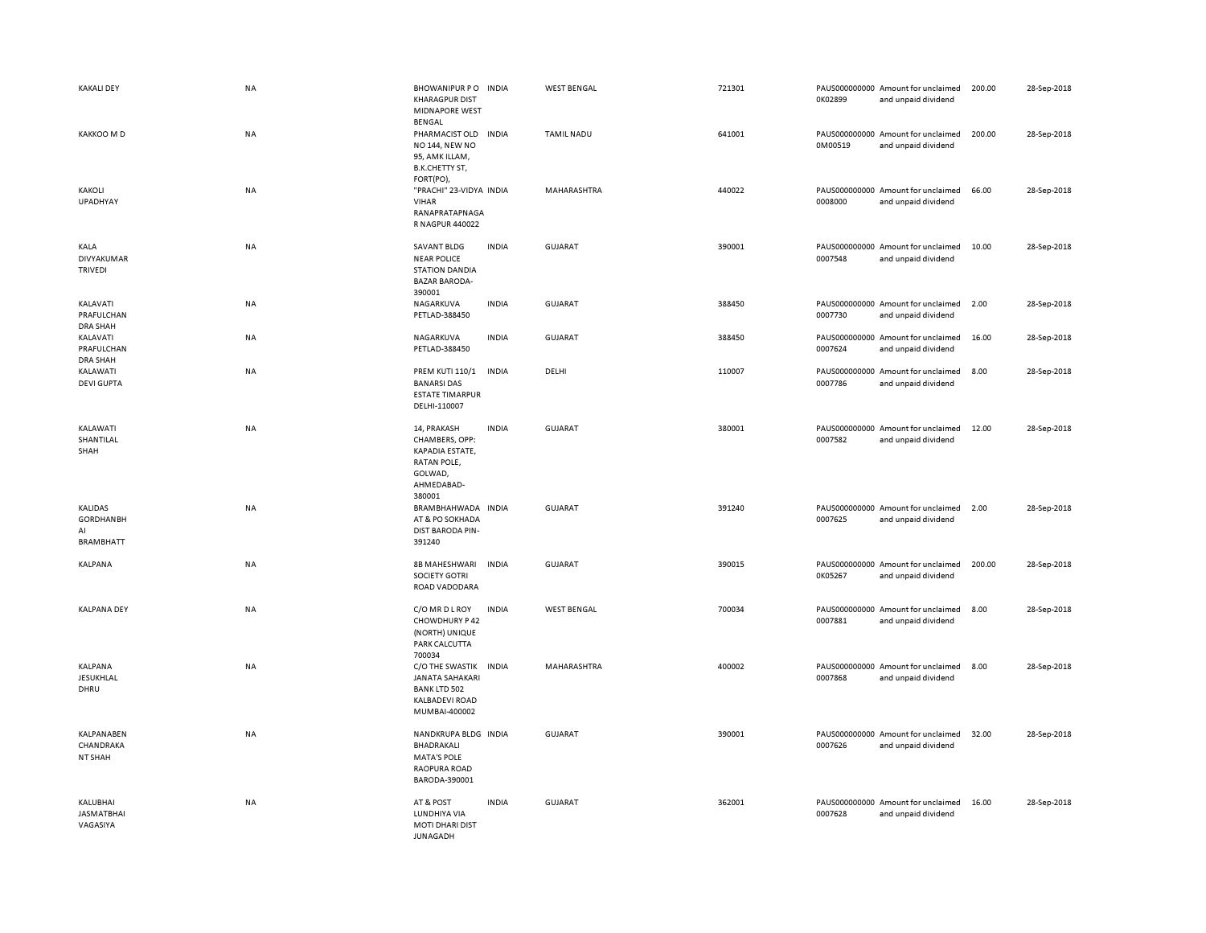| <b>KAKALI DEY</b>                                            | <b>NA</b> | <b>BHOWANIPUR PO</b><br><b>KHARAGPUR DIST</b><br><b>MIDNAPORE WEST</b><br>BENGAL                    | <b>INDIA</b> | <b>WEST BENGAL</b> | 721301 | 0K02899 | PAUS000000000 Amount for unclaimed<br>and unpaid dividend | 200.00 | 28-Sep-2018 |
|--------------------------------------------------------------|-----------|-----------------------------------------------------------------------------------------------------|--------------|--------------------|--------|---------|-----------------------------------------------------------|--------|-------------|
| KAKKOO M D                                                   | NA        | PHARMACIST OLD<br>NO 144, NEW NO<br>95, AMK ILLAM,<br>B.K.CHETTY ST,<br>FORT(PO),                   | <b>INDIA</b> | TAMIL NADU         | 641001 | 0M00519 | PAUS000000000 Amount for unclaimed<br>and unpaid dividend | 200.00 | 28-Sep-2018 |
| KAKOLI<br><b>UPADHYAY</b>                                    | <b>NA</b> | "PRACHI" 23-VIDYA INDIA<br><b>VIHAR</b><br>RANAPRATAPNAGA<br>R NAGPUR 440022                        |              | MAHARASHTRA        | 440022 | 0008000 | PAUS000000000 Amount for unclaimed<br>and unpaid dividend | 66.00  | 28-Sep-2018 |
| KALA<br>DIVYAKUMAR<br>TRIVEDI                                | NA        | <b>SAVANT BLDG</b><br><b>NEAR POLICE</b><br><b>STATION DANDIA</b><br><b>BAZAR BARODA-</b><br>390001 | <b>INDIA</b> | GUJARAT            | 390001 | 0007548 | PAUS000000000 Amount for unclaimed<br>and unpaid dividend | 10.00  | 28-Sep-2018 |
| KALAVATI<br>PRAFULCHAN<br><b>DRA SHAH</b>                    | NA        | NAGARKUVA<br>PETLAD-388450                                                                          | <b>INDIA</b> | <b>GUJARAT</b>     | 388450 | 0007730 | PAUS000000000 Amount for unclaimed<br>and unpaid dividend | 2.00   | 28-Sep-2018 |
| KALAVATI<br>PRAFULCHAN<br><b>DRA SHAH</b>                    | NA        | NAGARKUVA<br>PETLAD-388450                                                                          | <b>INDIA</b> | <b>GUJARAT</b>     | 388450 | 0007624 | PAUS000000000 Amount for unclaimed<br>and unpaid dividend | 16.00  | 28-Sep-2018 |
| KALAWATI<br><b>DEVI GUPTA</b>                                | <b>NA</b> | <b>PREM KUTI 110/1</b><br><b>BANARSI DAS</b><br><b>ESTATE TIMARPUR</b><br>DELHI-110007              | <b>INDIA</b> | DELHI              | 110007 | 0007786 | PAUS000000000 Amount for unclaimed<br>and unpaid dividend | 8.00   | 28-Sep-2018 |
| KALAWATI<br>SHANTILAL<br>SHAH                                | <b>NA</b> | 14, PRAKASH<br>CHAMBERS, OPP:<br>KAPADIA ESTATE,<br>RATAN POLE,<br>GOLWAD,<br>AHMEDABAD-<br>380001  | <b>INDIA</b> | <b>GUJARAT</b>     | 380001 | 0007582 | PAUS000000000 Amount for unclaimed<br>and unpaid dividend | 12.00  | 28-Sep-2018 |
| <b>KALIDAS</b><br><b>GORDHANBH</b><br>AI<br><b>BRAMBHATT</b> | NA        | BRAMBHAHWADA INDIA<br>AT & PO SOKHADA<br>DIST BARODA PIN-<br>391240                                 |              | GUJARAT            | 391240 | 0007625 | PAUS000000000 Amount for unclaimed<br>and unpaid dividend | 2.00   | 28-Sep-2018 |
| KALPANA                                                      | NA        | 8B MAHESHWARI<br>SOCIETY GOTRI<br>ROAD VADODARA                                                     | <b>INDIA</b> | GUJARAT            | 390015 | 0K05267 | PAUS000000000 Amount for unclaimed<br>and unpaid dividend | 200.00 | 28-Sep-2018 |
| <b>KALPANA DEY</b>                                           | NA        | C/O MR D L ROY<br>CHOWDHURY P 42<br>(NORTH) UNIQUE<br>PARK CALCUTTA<br>700034                       | <b>INDIA</b> | <b>WEST BENGAL</b> | 700034 | 0007881 | PAUS000000000 Amount for unclaimed<br>and unpaid dividend | 8.00   | 28-Sep-2018 |
| KALPANA<br>JESUKHLAL<br>DHRU                                 | NA        | C/O THE SWASTIK<br><b>JANATA SAHAKARI</b><br><b>BANK LTD 502</b><br>KALBADEVI ROAD<br>MUMBAI-400002 | <b>INDIA</b> | MAHARASHTRA        | 400002 | 0007868 | PAUS000000000 Amount for unclaimed<br>and unpaid dividend | 8.00   | 28-Sep-2018 |
| KALPANABEN<br>CHANDRAKA<br>NT SHAH                           | <b>NA</b> | NANDKRUPA BLDG INDIA<br>BHADRAKALI<br><b>MATA'S POLE</b><br>RAOPURA ROAD<br>BARODA-390001           |              | GUJARAT            | 390001 | 0007626 | PAUS000000000 Amount for unclaimed<br>and unpaid dividend | 32.00  | 28-Sep-2018 |
| KALUBHAI<br><b>JASMATBHAI</b><br>VAGASIYA                    | <b>NA</b> | AT & POST<br>LUNDHIYA VIA<br><b>MOTI DHARI DIST</b><br>JUNAGADH                                     | <b>INDIA</b> | <b>GUJARAT</b>     | 362001 | 0007628 | PAUS000000000 Amount for unclaimed<br>and unpaid dividend | 16.00  | 28-Sep-2018 |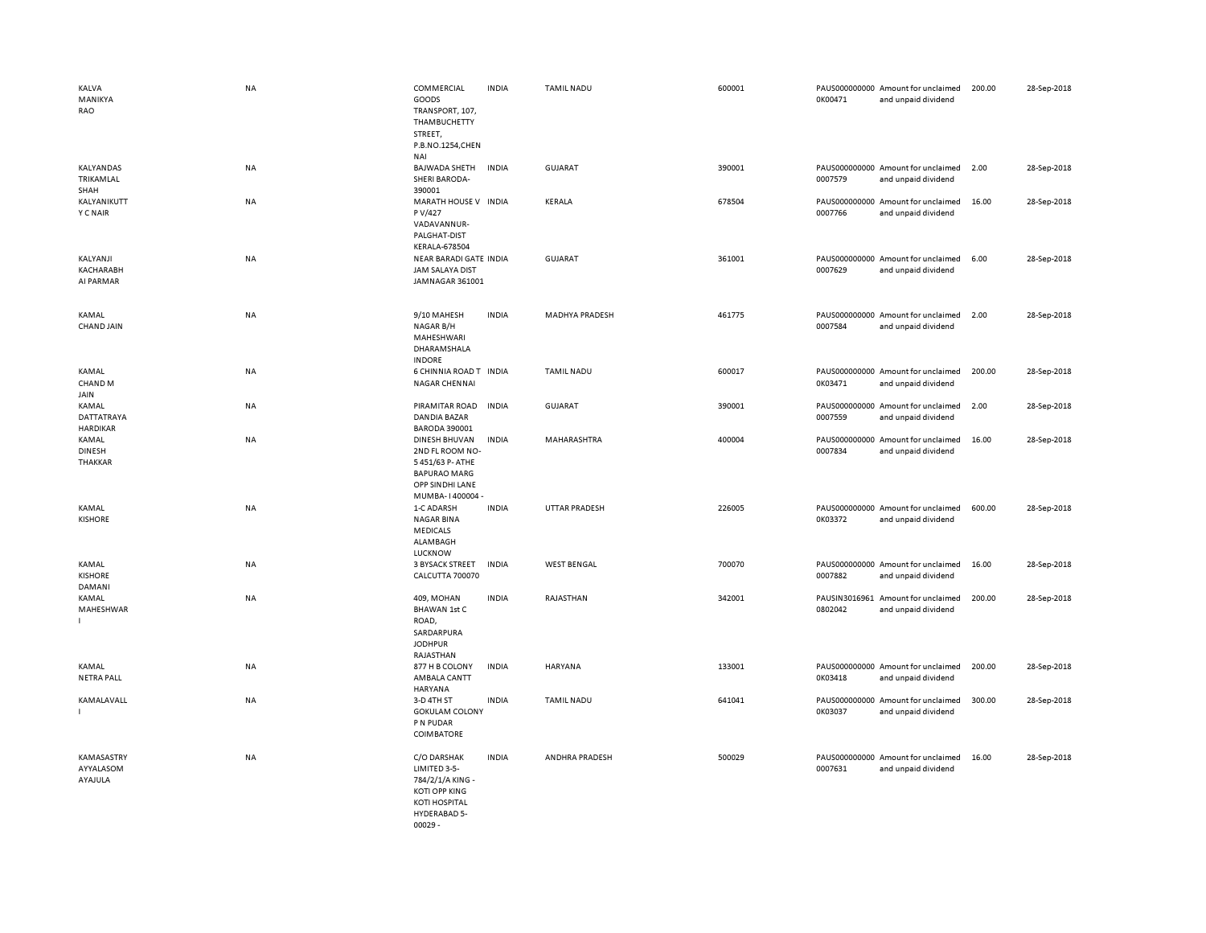| KALVA<br>MANIKYA<br>RAO                | <b>NA</b> | COMMERCIAL<br>GOODS<br>TRANSPORT, 107,<br>THAMBUCHETTY<br>STREET,<br>P.B.NO.1254,CHEN<br>NAI                                 | <b>INDIA</b> | <b>TAMIL NADU</b>     | 600001 | 0K00471 | PAUS000000000 Amount for unclaimed<br>and unpaid dividend | 200.00 | 28-Sep-2018 |
|----------------------------------------|-----------|------------------------------------------------------------------------------------------------------------------------------|--------------|-----------------------|--------|---------|-----------------------------------------------------------|--------|-------------|
| KALYANDAS<br>TRIKAMLAL<br>SHAH         | NA        | <b>BAJWADA SHETH</b><br><b>SHERI BARODA-</b><br>390001                                                                       | <b>INDIA</b> | <b>GUJARAT</b>        | 390001 | 0007579 | PAUS000000000 Amount for unclaimed<br>and unpaid dividend | 2.00   | 28-Sep-2018 |
| KALYANIKUTT<br><b>Y C NAIR</b>         | NA        | MARATH HOUSE V INDIA<br>P V/427<br>VADAVANNUR-<br>PALGHAT-DIST<br><b>KERALA-678504</b>                                       |              | KERALA                | 678504 | 0007766 | PAUS000000000 Amount for unclaimed<br>and unpaid dividend | 16.00  | 28-Sep-2018 |
| KALYANJI<br>KACHARABH<br>AI PARMAR     | NA        | NEAR BARADI GATE INDIA<br><b>JAM SALAYA DIST</b><br>JAMNAGAR 361001                                                          |              | GUJARAT               | 361001 | 0007629 | PAUS000000000 Amount for unclaimed<br>and unpaid dividend | 6.00   | 28-Sep-2018 |
| KAMAL<br><b>CHAND JAIN</b>             | <b>NA</b> | 9/10 MAHESH<br>NAGAR B/H<br>MAHESHWARI<br>DHARAMSHALA<br><b>INDORE</b>                                                       | <b>INDIA</b> | <b>MADHYA PRADESH</b> | 461775 | 0007584 | PAUS000000000 Amount for unclaimed<br>and unpaid dividend | 2.00   | 28-Sep-2018 |
| KAMAL<br>CHAND <sub>M</sub><br>JAIN    | NA        | 6 CHINNIA ROAD T INDIA<br>NAGAR CHENNAI                                                                                      |              | <b>TAMIL NADU</b>     | 600017 | 0K03471 | PAUS000000000 Amount for unclaimed<br>and unpaid dividend | 200.00 | 28-Sep-2018 |
| KAMAL<br>DATTATRAYA<br><b>HARDIKAR</b> | NA        | PIRAMITAR ROAD<br>DANDIA BAZAR<br><b>BARODA 390001</b>                                                                       | <b>INDIA</b> | <b>GUJARAT</b>        | 390001 | 0007559 | PAUS000000000 Amount for unclaimed<br>and unpaid dividend | 2.00   | 28-Sep-2018 |
| KAMAL<br><b>DINESH</b><br>THAKKAR      | <b>NA</b> | DINESH BHUVAN<br>2ND FL ROOM NO-<br>5451/63 P- ATHE<br><b>BAPURAO MARG</b><br>OPP SINDHI LANE<br>MUMBA-1400004-              | <b>INDIA</b> | MAHARASHTRA           | 400004 | 0007834 | PAUS000000000 Amount for unclaimed<br>and unpaid dividend | 16.00  | 28-Sep-2018 |
| KAMAL<br><b>KISHORE</b>                | NA        | 1-C ADARSH<br><b>NAGAR BINA</b><br><b>MEDICALS</b><br>ALAMBAGH<br>LUCKNOW                                                    | <b>INDIA</b> | UTTAR PRADESH         | 226005 | 0K03372 | PAUS000000000 Amount for unclaimed<br>and unpaid dividend | 600.00 | 28-Sep-2018 |
| KAMAL<br><b>KISHORE</b><br>DAMANI      | NA        | <b>3 BYSACK STREET</b><br>CALCUTTA 700070                                                                                    | <b>INDIA</b> | <b>WEST BENGAL</b>    | 700070 | 0007882 | PAUS000000000 Amount for unclaimed<br>and unpaid dividend | 16.00  | 28-Sep-2018 |
| KAMAL<br>MAHESHWAR                     | <b>NA</b> | 409, MOHAN<br>BHAWAN 1st C<br>ROAD,<br>SARDARPURA<br><b>JODHPUR</b><br>RAJASTHAN                                             | <b>INDIA</b> | RAJASTHAN             | 342001 | 0802042 | PAUSIN3016961 Amount for unclaimed<br>and unpaid dividend | 200.00 | 28-Sep-2018 |
| KAMAL<br><b>NETRA PALL</b>             | NA        | 877 H B COLONY<br>AMBALA CANTT<br>HARYANA                                                                                    | <b>INDIA</b> | HARYANA               | 133001 | 0K03418 | PAUS000000000 Amount for unclaimed<br>and unpaid dividend | 200.00 | 28-Sep-2018 |
| KAMALAVALL                             | <b>NA</b> | 3-D 4TH ST<br><b>GOKULAM COLONY</b><br>P N PUDAR<br>COIMBATORE                                                               | <b>INDIA</b> | <b>TAMIL NADU</b>     | 641041 | 0K03037 | PAUS000000000 Amount for unclaimed<br>and unpaid dividend | 300.00 | 28-Sep-2018 |
| KAMASASTRY<br>AYYALASOM<br>AYAJULA     | NA        | C/O DARSHAK<br>LIMITED 3-5-<br>784/2/1/A KING -<br><b>KOTI OPP KING</b><br><b>KOTI HOSPITAL</b><br>HYDERABAD 5-<br>$00029 -$ | <b>INDIA</b> | ANDHRA PRADESH        | 500029 | 0007631 | PAUS000000000 Amount for unclaimed<br>and unpaid dividend | 16.00  | 28-Sep-2018 |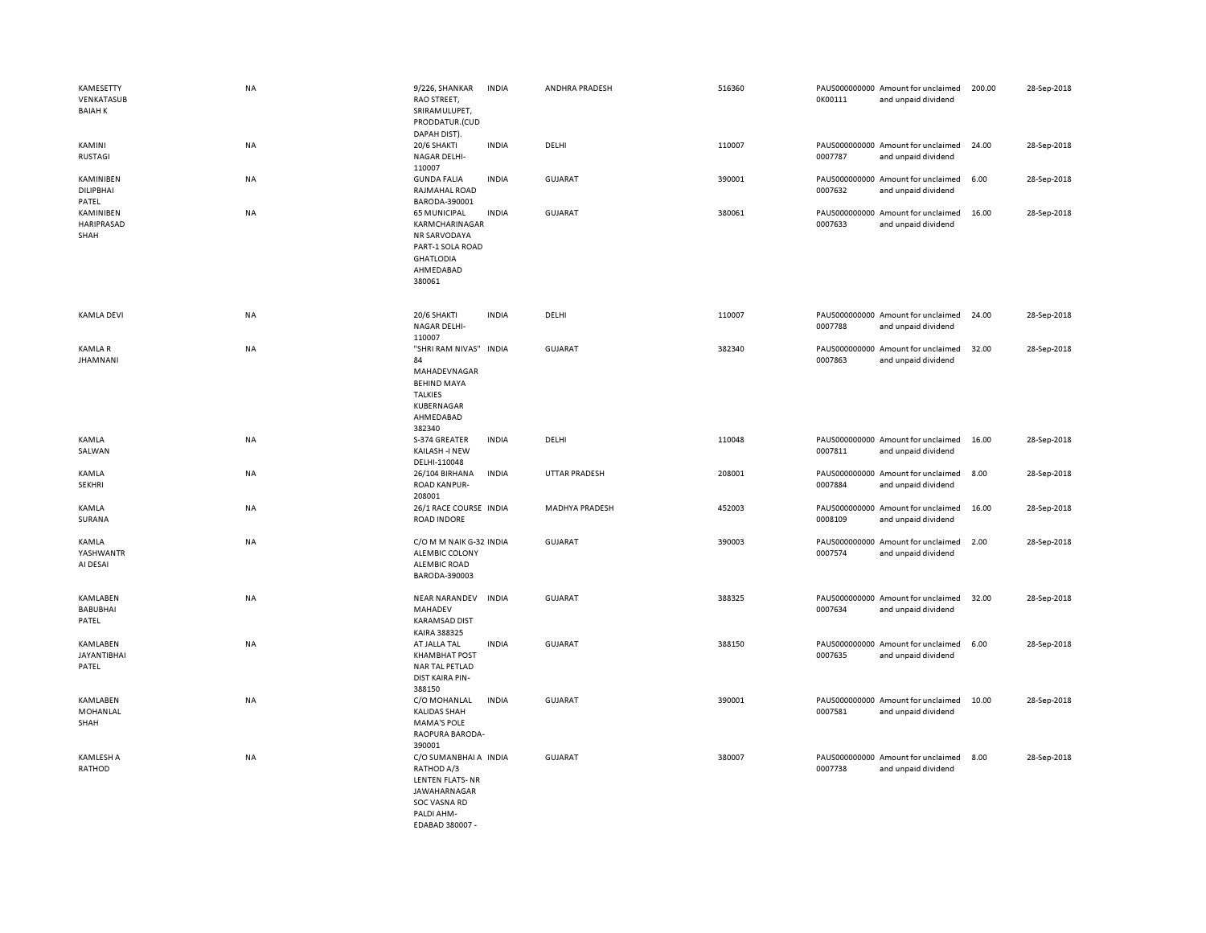| KAMESETTY<br>VENKATASUB<br><b>BAIAH K</b> | <b>NA</b> | 9/226, SHANKAR<br>RAO STREET,<br>SRIRAMULUPET,<br>PRODDATUR.(CUD<br>DAPAH DIST).                                          | <b>INDIA</b> | ANDHRA PRADESH        | 516360 | 0K00111 | PAUS000000000 Amount for unclaimed<br>and unpaid dividend | 200.00 | 28-Sep-2018 |
|-------------------------------------------|-----------|---------------------------------------------------------------------------------------------------------------------------|--------------|-----------------------|--------|---------|-----------------------------------------------------------|--------|-------------|
| <b>KAMINI</b><br><b>RUSTAGI</b>           | NA        | 20/6 SHAKTI<br>NAGAR DELHI-<br>110007                                                                                     | <b>INDIA</b> | DELHI                 | 110007 | 0007787 | PAUS000000000 Amount for unclaimed<br>and unpaid dividend | 24.00  | 28-Sep-2018 |
| KAMINIBEN<br>DILIPBHAI<br>PATEL           | NA        | <b>GUNDA FALIA</b><br>RAJMAHAL ROAD<br>BARODA-390001                                                                      | <b>INDIA</b> | <b>GUJARAT</b>        | 390001 | 0007632 | PAUS000000000 Amount for unclaimed<br>and unpaid dividend | 6.00   | 28-Sep-2018 |
| KAMINIBEN<br>HARIPRASAD<br>SHAH           | NA        | <b>65 MUNICIPAL</b><br>KARMCHARINAGAR<br>NR SARVODAYA<br>PART-1 SOLA ROAD<br><b>GHATLODIA</b><br>AHMEDABAD<br>380061      | <b>INDIA</b> | <b>GUJARAT</b>        | 380061 | 0007633 | PAUS000000000 Amount for unclaimed<br>and unpaid dividend | 16.00  | 28-Sep-2018 |
| <b>KAMLA DEVI</b>                         | <b>NA</b> | 20/6 SHAKTI<br>NAGAR DELHI-<br>110007                                                                                     | <b>INDIA</b> | DELHI                 | 110007 | 0007788 | PAUS000000000 Amount for unclaimed<br>and unpaid dividend | 24.00  | 28-Sep-2018 |
| KAMLA R<br><b>JHAMNANI</b>                | NA        | "SHRI RAM NIVAS" INDIA<br>84<br>MAHADEVNAGAR<br><b>BEHIND MAYA</b><br><b>TALKIES</b><br>KUBERNAGAR<br>AHMEDABAD<br>382340 |              | GUJARAT               | 382340 | 0007863 | PAUS000000000 Amount for unclaimed<br>and unpaid dividend | 32.00  | 28-Sep-2018 |
| KAMLA<br>SALWAN                           | NA        | S-374 GREATER<br>KAILASH -I NEW<br>DELHI-110048                                                                           | <b>INDIA</b> | DELHI                 | 110048 | 0007811 | PAUS000000000 Amount for unclaimed<br>and unpaid dividend | 16.00  | 28-Sep-2018 |
| KAMLA<br><b>SEKHRI</b>                    | NA        | 26/104 BIRHANA<br><b>ROAD KANPUR-</b><br>208001                                                                           | INDIA        | <b>UTTAR PRADESH</b>  | 208001 | 0007884 | PAUS000000000 Amount for unclaimed<br>and unpaid dividend | 8.00   | 28-Sep-2018 |
| KAMLA<br>SURANA                           | NA        | 26/1 RACE COURSE INDIA<br><b>ROAD INDORE</b>                                                                              |              | <b>MADHYA PRADESH</b> | 452003 | 0008109 | PAUS000000000 Amount for unclaimed<br>and unpaid dividend | 16.00  | 28-Sep-2018 |
| KAMLA<br>YASHWANTR<br>AI DESAI            | NA        | C/O M M NAIK G-32 INDIA<br>ALEMBIC COLONY<br>ALEMBIC ROAD<br>BARODA-390003                                                |              | <b>GUJARAT</b>        | 390003 | 0007574 | PAUS000000000 Amount for unclaimed<br>and unpaid dividend | 2.00   | 28-Sep-2018 |
| KAMLABEN<br><b>BABUBHAI</b><br>PATEL      | NA        | <b>NEAR NARANDEV</b><br>MAHADEV<br><b>KARAMSAD DIST</b><br>KAIRA 388325                                                   | <b>INDIA</b> | <b>GUJARAT</b>        | 388325 | 0007634 | PAUS000000000 Amount for unclaimed<br>and unpaid dividend | 32.00  | 28-Sep-2018 |
| KAMLABEN<br><b>JAYANTIBHAI</b><br>PATEL   | <b>NA</b> | AT JALLA TAL<br><b>KHAMBHAT POST</b><br>NAR TAL PETLAD<br>DIST KAIRA PIN-<br>388150                                       | <b>INDIA</b> | GUJARAT               | 388150 | 0007635 | PAUS000000000 Amount for unclaimed<br>and unpaid dividend | 6.00   | 28-Sep-2018 |
| KAMLABEN<br>MOHANLAL<br>SHAH              | NA        | C/O MOHANLAL<br><b>KALIDAS SHAH</b><br><b>MAMA'S POLE</b><br>RAOPURA BARODA-<br>390001                                    | <b>INDIA</b> | <b>GUJARAT</b>        | 390001 | 0007581 | PAUS000000000 Amount for unclaimed<br>and unpaid dividend | 10.00  | 28-Sep-2018 |
| KAMLESH A<br>RATHOD                       | <b>NA</b> | C/O SUMANBHAI A INDIA<br>RATHOD A/3<br><b>LENTEN FLATS-NR</b><br><b>JAWAHARNAGAR</b><br>SOC VASNA RD<br>PALDI AHM-        |              | <b>GUJARAT</b>        | 380007 | 0007738 | PAUS000000000 Amount for unclaimed<br>and unpaid dividend | 8.00   | 28-Sep-2018 |

EDABAD 380007 -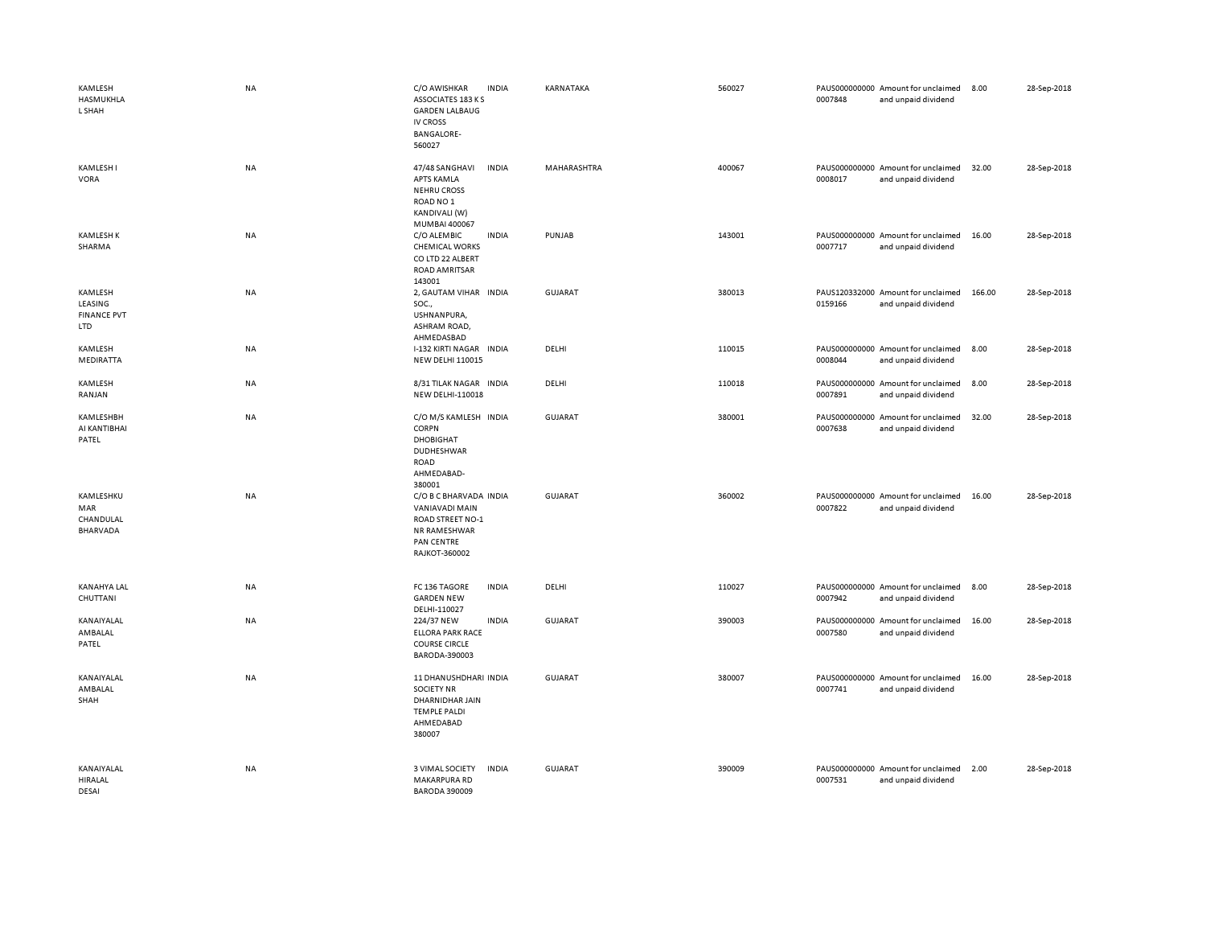| KAMLESH<br>HASMUKHLA<br>L SHAH                  | <b>NA</b> | C/O AWISHKAR<br><b>INDIA</b><br>ASSOCIATES 183 K S<br><b>GARDEN LALBAUG</b><br><b>IV CROSS</b><br><b>BANGALORE-</b><br>560027       | KARNATAKA      | 560027 | 0007848 | PAUS000000000 Amount for unclaimed<br>and unpaid dividend | 8.00   | 28-Sep-2018 |
|-------------------------------------------------|-----------|-------------------------------------------------------------------------------------------------------------------------------------|----------------|--------|---------|-----------------------------------------------------------|--------|-------------|
| <b>KAMLESH I</b><br><b>VORA</b>                 | NA        | <b>INDIA</b><br>47/48 SANGHAVI<br><b>APTS KAMLA</b><br><b>NEHRU CROSS</b><br>ROAD NO <sub>1</sub><br>KANDIVALI (W)<br>MUMBAI 400067 | MAHARASHTRA    | 400067 | 0008017 | PAUS000000000 Amount for unclaimed<br>and unpaid dividend | 32.00  | 28-Sep-2018 |
| <b>KAMLESH K</b><br>SHARMA                      | NA        | C/O ALEMBIC<br><b>INDIA</b><br><b>CHEMICAL WORKS</b><br>CO LTD 22 ALBERT<br>ROAD AMRITSAR<br>143001                                 | PUNJAB         | 143001 | 0007717 | PAUS000000000 Amount for unclaimed<br>and unpaid dividend | 16.00  | 28-Sep-2018 |
| KAMLESH<br>LEASING<br><b>FINANCE PVT</b><br>LTD | NA        | 2, GAUTAM VIHAR INDIA<br>SOC.,<br>USHNANPURA,<br>ASHRAM ROAD,<br>AHMEDASBAD                                                         | GUJARAT        | 380013 | 0159166 | PAUS120332000 Amount for unclaimed<br>and unpaid dividend | 166.00 | 28-Sep-2018 |
| KAMLESH<br>MEDIRATTA                            | <b>NA</b> | I-132 KIRTI NAGAR INDIA<br><b>NEW DELHI 110015</b>                                                                                  | DELHI          | 110015 | 0008044 | PAUS000000000 Amount for unclaimed<br>and unpaid dividend | 8.00   | 28-Sep-2018 |
| KAMLESH<br>RANJAN                               | NA        | 8/31 TILAK NAGAR INDIA<br><b>NEW DELHI-110018</b>                                                                                   | DELHI          | 110018 | 0007891 | PAUS000000000 Amount for unclaimed<br>and unpaid dividend | 8.00   | 28-Sep-2018 |
| KAMLESHBH<br>AI KANTIBHAI<br>PATEL              | NA        | C/O M/S KAMLESH INDIA<br>CORPN<br><b>DHOBIGHAT</b><br>DUDHESHWAR<br><b>ROAD</b><br>AHMEDABAD-<br>380001                             | <b>GUJARAT</b> | 380001 | 0007638 | PAUS000000000 Amount for unclaimed<br>and unpaid dividend | 32.00  | 28-Sep-2018 |
| KAMLESHKU<br>MAR<br>CHANDULAL<br>BHARVADA       | NA        | C/O B C BHARVADA INDIA<br>VANIAVADI MAIN<br><b>ROAD STREET NO-1</b><br>NR RAMESHWAR<br>PAN CENTRE<br>RAJKOT-360002                  | GUJARAT        | 360002 | 0007822 | PAUS000000000 Amount for unclaimed<br>and unpaid dividend | 16.00  | 28-Sep-2018 |
| <b>KANAHYA LAL</b><br>CHUTTANI                  | NA        | FC 136 TAGORE<br><b>INDIA</b><br><b>GARDEN NEW</b><br>DELHI-110027                                                                  | DELHI          | 110027 | 0007942 | PAUS000000000 Amount for unclaimed<br>and unpaid dividend | 8.00   | 28-Sep-2018 |
| KANAIYALAL<br>AMBALAL<br>PATEL                  | NA        | <b>INDIA</b><br>224/37 NEW<br><b>ELLORA PARK RACE</b><br><b>COURSE CIRCLE</b><br>BARODA-390003                                      | GUJARAT        | 390003 | 0007580 | PAUS000000000 Amount for unclaimed<br>and unpaid dividend | 16.00  | 28-Sep-2018 |
| KANAIYALAL<br>AMBALAL<br>SHAH                   | <b>NA</b> | 11 DHANUSHDHARI INDIA<br><b>SOCIETY NR</b><br>DHARNIDHAR JAIN<br><b>TEMPLE PALDI</b><br>AHMEDABAD<br>380007                         | <b>GUJARAT</b> | 380007 | 0007741 | PAUS000000000 Amount for unclaimed<br>and unpaid dividend | 16.00  | 28-Sep-2018 |
| KANAIYALAL<br><b>HIRALAL</b><br>DESAL           | NA        | 3 VIMAL SOCIETY<br><b>INDIA</b><br><b>MAKARPURA RD</b><br><b>BARODA 390009</b>                                                      | <b>GUJARAT</b> | 390009 | 0007531 | PAUS000000000 Amount for unclaimed<br>and unpaid dividend | 2.00   | 28-Sep-2018 |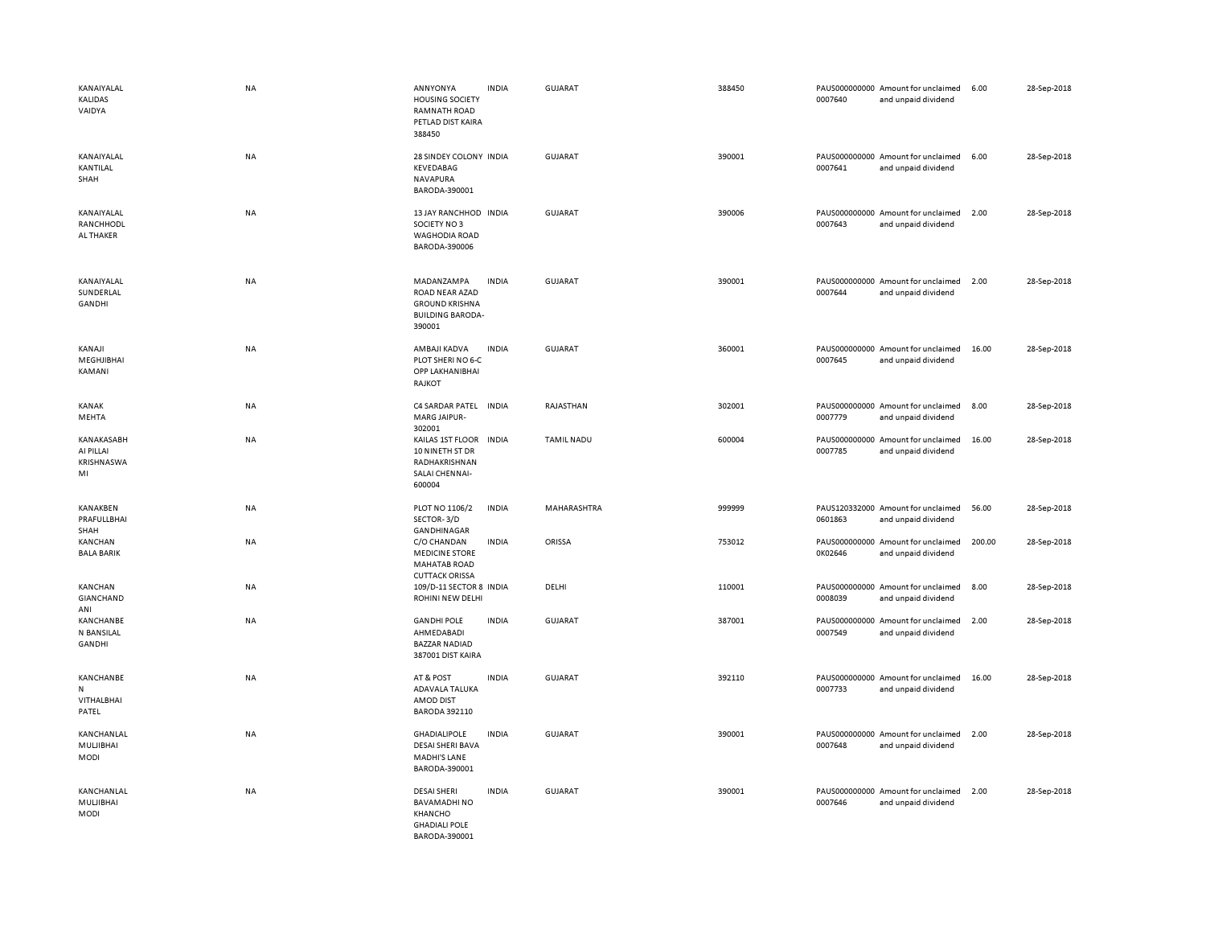| KANAIYALAL<br>KALIDAS<br>VAIDYA                    | <b>NA</b> | ANNYONYA<br><b>HOUSING SOCIETY</b><br><b>RAMNATH ROAD</b><br>PETLAD DIST KAIRA<br>388450            | <b>INDIA</b> | GUJARAT           | 388450 | 0007640 | PAUS000000000 Amount for unclaimed<br>and unpaid dividend | 6.00   | 28-Sep-2018 |
|----------------------------------------------------|-----------|-----------------------------------------------------------------------------------------------------|--------------|-------------------|--------|---------|-----------------------------------------------------------|--------|-------------|
| KANAIYALAL<br>KANTILAL<br>SHAH                     | <b>NA</b> | 28 SINDEY COLONY INDIA<br>KEVEDABAG<br>NAVAPURA<br>BARODA-390001                                    |              | GUJARAT           | 390001 | 0007641 | PAUS000000000 Amount for unclaimed<br>and unpaid dividend | 6.00   | 28-Sep-2018 |
| KANAIYALAL<br>RANCHHODL<br>AL THAKER               | <b>NA</b> | 13 JAY RANCHHOD INDIA<br>SOCIETY NO3<br><b>WAGHODIA ROAD</b><br>BARODA-390006                       |              | <b>GUJARAT</b>    | 390006 | 0007643 | PAUS000000000 Amount for unclaimed<br>and unpaid dividend | 2.00   | 28-Sep-2018 |
| KANAIYALAL<br>SUNDERLAL<br><b>GANDHI</b>           | <b>NA</b> | MADANZAMPA<br>ROAD NEAR AZAD<br><b>GROUND KRISHNA</b><br><b>BUILDING BARODA-</b><br>390001          | <b>INDIA</b> | <b>GUJARAT</b>    | 390001 | 0007644 | PAUS000000000 Amount for unclaimed<br>and unpaid dividend | 2.00   | 28-Sep-2018 |
| KANAJI<br>MEGHJIBHAI<br>KAMANI                     | NA        | AMBAJI KADVA<br>PLOT SHERI NO 6-C<br>OPP LAKHANIBHAI<br>RAJKOT                                      | <b>INDIA</b> | GUJARAT           | 360001 | 0007645 | PAUS000000000 Amount for unclaimed<br>and unpaid dividend | 16.00  | 28-Sep-2018 |
| KANAK<br>MEHTA                                     | <b>NA</b> | C4 SARDAR PATEL INDIA<br><b>MARG JAIPUR-</b><br>302001                                              |              | RAJASTHAN         | 302001 | 0007779 | PAUS000000000 Amount for unclaimed<br>and unpaid dividend | 8.00   | 28-Sep-2018 |
| KANAKASABH<br>AI PILLAI<br><b>KRISHNASWA</b><br>MI | NA        | KAILAS 1ST FLOOR<br>10 NINETH ST DR<br>RADHAKRISHNAN<br>SALAI CHENNAI-<br>600004                    | <b>INDIA</b> | <b>TAMIL NADU</b> | 600004 | 0007785 | PAUS000000000 Amount for unclaimed<br>and unpaid dividend | 16.00  | 28-Sep-2018 |
| KANAKBEN<br>PRAFULLBHAI<br>SHAH                    | <b>NA</b> | PLOT NO 1106/2<br>SECTOR-3/D<br>GANDHINAGAR                                                         | <b>INDIA</b> | MAHARASHTRA       | 999999 | 0601863 | PAUS120332000 Amount for unclaimed<br>and unpaid dividend | 56.00  | 28-Sep-2018 |
| KANCHAN<br><b>BALA BARIK</b>                       | <b>NA</b> | C/O CHANDAN<br><b>MEDICINE STORE</b><br><b>MAHATAB ROAD</b><br><b>CUTTACK ORISSA</b>                | <b>INDIA</b> | ORISSA            | 753012 | 0K02646 | PAUS000000000 Amount for unclaimed<br>and unpaid dividend | 200.00 | 28-Sep-2018 |
| KANCHAN<br>GIANCHAND<br>ANI                        | NA        | 109/D-11 SECTOR 8 INDIA<br>ROHINI NEW DELHI                                                         |              | DELHI             | 110001 | 0008039 | PAUS000000000 Amount for unclaimed<br>and unpaid dividend | 8.00   | 28-Sep-2018 |
| KANCHANBE<br>N BANSILAL<br><b>GANDHI</b>           | <b>NA</b> | <b>GANDHI POLE</b><br>AHMEDABADI<br><b>BAZZAR NADIAD</b><br>387001 DIST KAIRA                       | <b>INDIA</b> | <b>GUJARAT</b>    | 387001 | 0007549 | PAUS000000000 Amount for unclaimed<br>and unpaid dividend | 2.00   | 28-Sep-2018 |
| KANCHANBE<br>N<br>VITHALBHAI<br>PATEL              | NA        | AT & POST<br>ADAVALA TALUKA<br>AMOD DIST<br>BARODA 392110                                           | <b>INDIA</b> | GUJARAT           | 392110 | 0007733 | PAUS000000000 Amount for unclaimed<br>and unpaid dividend | 16.00  | 28-Sep-2018 |
| KANCHANLAL<br>MULJIBHAI<br>MODI                    | NA        | <b>GHADIALIPOLE</b><br><b>DESAI SHERI BAVA</b><br><b>MADHI'S LANE</b><br>BARODA-390001              | <b>INDIA</b> | GUJARAT           | 390001 | 0007648 | PAUS000000000 Amount for unclaimed<br>and unpaid dividend | 2.00   | 28-Sep-2018 |
| KANCHANLAL<br>MULJIBHAI<br>MODI                    | <b>NA</b> | <b>DESAI SHERI</b><br><b>BAVAMADHINO</b><br><b>KHANCHO</b><br><b>GHADIALI POLE</b><br>BARODA-390001 | <b>INDIA</b> | <b>GUJARAT</b>    | 390001 | 0007646 | PAUS000000000 Amount for unclaimed<br>and unpaid dividend | 2.00   | 28-Sep-2018 |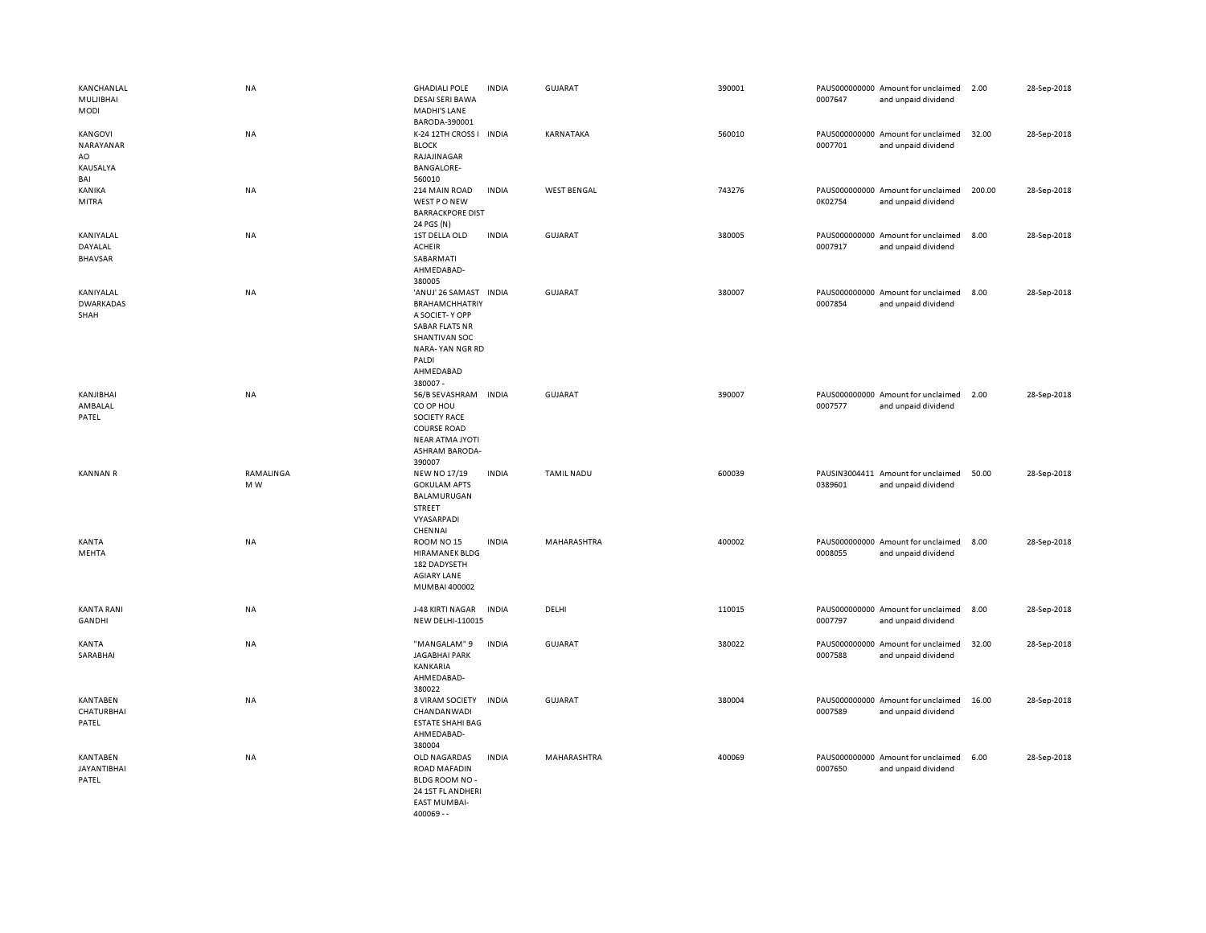| KANCHANLAL<br>MULJIBHAI<br><b>MODI</b>        | <b>NA</b>        | <b>GHADIALI POLE</b><br><b>DESAI SERI BAWA</b><br>MADHI'S LANE<br>BARODA-390001                                                                                 | <b>INDIA</b> | <b>GUJARAT</b>     | 390001 | 0007647 | PAUS000000000 Amount for unclaimed<br>and unpaid dividend | 2.00   | 28-Sep-2018 |
|-----------------------------------------------|------------------|-----------------------------------------------------------------------------------------------------------------------------------------------------------------|--------------|--------------------|--------|---------|-----------------------------------------------------------|--------|-------------|
| KANGOVI<br>NARAYANAR<br>AO<br>KAUSALYA<br>BAI | NA               | K-24 12TH CROSS I INDIA<br><b>BLOCK</b><br>RAJAJINAGAR<br><b>BANGALORE-</b><br>560010                                                                           |              | KARNATAKA          | 560010 | 0007701 | PAUS000000000 Amount for unclaimed<br>and unpaid dividend | 32.00  | 28-Sep-2018 |
| KANIKA<br>MITRA                               | <b>NA</b>        | 214 MAIN ROAD<br>WEST PONEW<br><b>BARRACKPORE DIST</b><br>24 PGS (N)                                                                                            | <b>INDIA</b> | <b>WEST BENGAL</b> | 743276 | 0K02754 | PAUS000000000 Amount for unclaimed<br>and unpaid dividend | 200.00 | 28-Sep-2018 |
| KANIYALAL<br>DAYALAL<br><b>BHAVSAR</b>        | NA               | 1ST DELLA OLD<br><b>ACHEIR</b><br>SABARMATI<br>AHMEDABAD-<br>380005                                                                                             | <b>INDIA</b> | GUJARAT            | 380005 | 0007917 | PAUS000000000 Amount for unclaimed<br>and unpaid dividend | 8.00   | 28-Sep-2018 |
| KANIYALAL<br><b>DWARKADAS</b><br>SHAH         | <b>NA</b>        | 'ANUJ' 26 SAMAST INDIA<br><b>BRAHAMCHHATRIY</b><br>A SOCIET-Y OPP<br><b>SABAR FLATS NR</b><br>SHANTIVAN SOC<br>NARA-YAN NGR RD<br>PALDI<br>AHMEDABAD<br>380007- |              | GUJARAT            | 380007 | 0007854 | PAUS000000000 Amount for unclaimed<br>and unpaid dividend | 8.00   | 28-Sep-2018 |
| KANJIBHAI<br>AMBALAL<br>PATEL                 | <b>NA</b>        | 56/B SEVASHRAM<br>CO OP HOU<br><b>SOCIETY RACE</b><br><b>COURSE ROAD</b><br><b>NEAR ATMA JYOTI</b><br><b>ASHRAM BARODA-</b><br>390007                           | <b>INDIA</b> | <b>GUJARAT</b>     | 390007 | 0007577 | PAUS000000000 Amount for unclaimed<br>and unpaid dividend | 2.00   | 28-Sep-2018 |
| <b>KANNAN R</b>                               | RAMALINGA<br>M W | <b>NEW NO 17/19</b><br><b>GOKULAM APTS</b><br>BALAMURUGAN<br>STREET<br>VYASARPADI<br>CHENNAI                                                                    | <b>INDIA</b> | <b>TAMIL NADU</b>  | 600039 | 0389601 | PAUSIN3004411 Amount for unclaimed<br>and unpaid dividend | 50.00  | 28-Sep-2018 |
| KANTA<br>MEHTA                                | NA               | ROOM NO <sub>15</sub><br><b>HIRAMANEK BLDG</b><br>182 DADYSETH<br><b>AGIARY LANE</b><br>MUMBAI 400002                                                           | <b>INDIA</b> | MAHARASHTRA        | 400002 | 0008055 | PAUS000000000 Amount for unclaimed<br>and unpaid dividend | 8.00   | 28-Sep-2018 |
| <b>KANTA RANI</b><br>GANDHI                   | NA               | J-48 KIRTI NAGAR<br><b>NEW DELHI-110015</b>                                                                                                                     | <b>INDIA</b> | DELHI              | 110015 | 0007797 | PAUS000000000 Amount for unclaimed<br>and unpaid dividend | 8.00   | 28-Sep-2018 |
| KANTA<br>SARABHAI                             | NA               | "MANGALAM" 9<br><b>JAGABHAI PARK</b><br>KANKARIA<br>AHMEDABAD-<br>380022                                                                                        | <b>INDIA</b> | <b>GUJARAT</b>     | 380022 | 0007588 | PAUS000000000 Amount for unclaimed<br>and unpaid dividend | 32.00  | 28-Sep-2018 |
| KANTABEN<br><b>CHATURBHAI</b><br>PATEL        | NA               | 8 VIRAM SOCIETY<br>CHANDANWADI<br><b>ESTATE SHAHI BAG</b><br>AHMEDABAD-<br>380004                                                                               | <b>INDIA</b> | <b>GUJARAT</b>     | 380004 | 0007589 | PAUS000000000 Amount for unclaimed<br>and unpaid dividend | 16.00  | 28-Sep-2018 |
| KANTABEN<br><b>JAYANTIBHAI</b><br>PATEL       | <b>NA</b>        | OLD NAGARDAS<br>ROAD MAFADIN<br>BLDG ROOM NO -<br>24 1ST FL ANDHERI<br><b>EAST MUMBAI-</b><br>$400069 - -$                                                      | <b>INDIA</b> | MAHARASHTRA        | 400069 | 0007650 | PAUS000000000 Amount for unclaimed<br>and unpaid dividend | 6.00   | 28-Sep-2018 |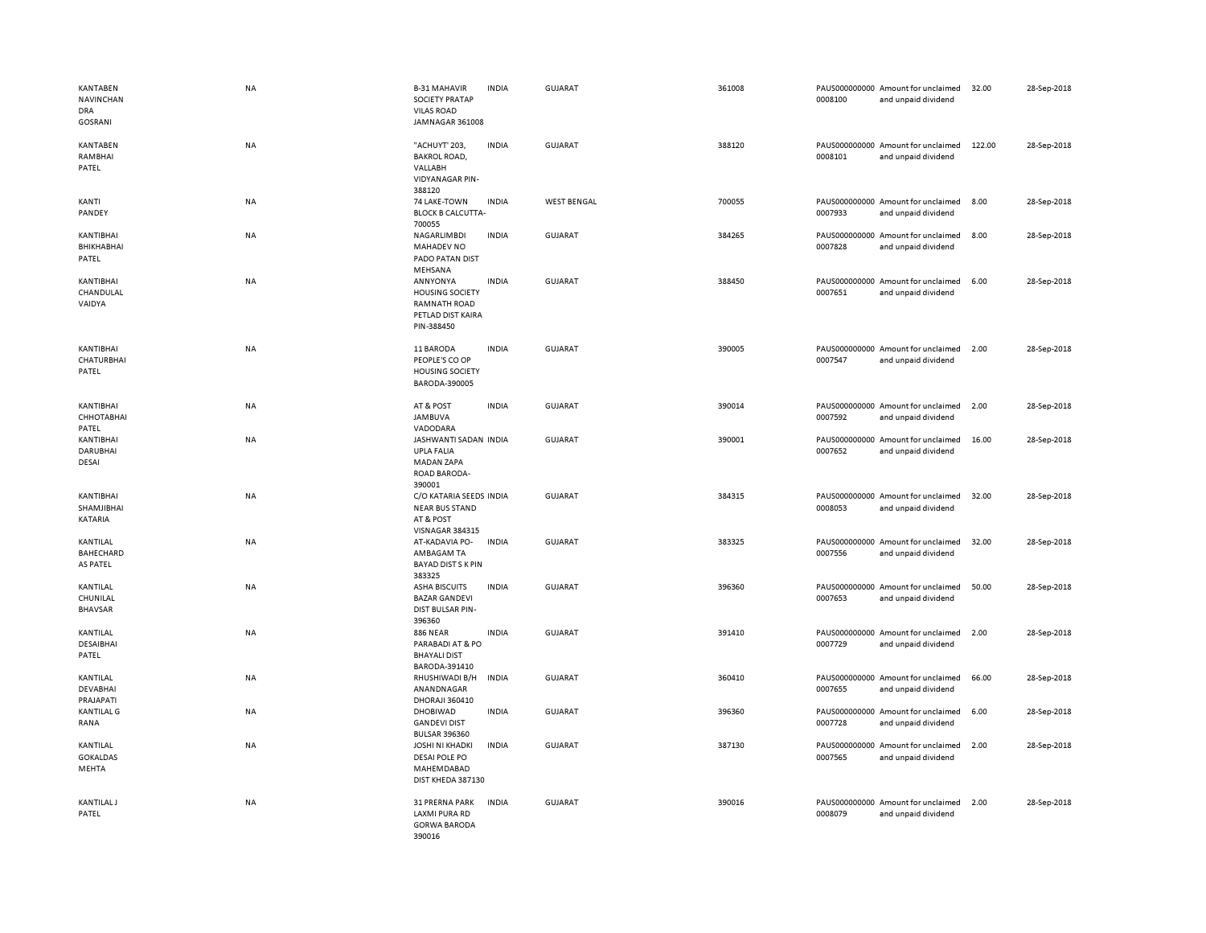| KANTABEN<br>NAVINCHAN<br><b>DRA</b><br><b>GOSRANI</b> | NA        | <b>B-31 MAHAVIR</b><br><b>SOCIETY PRATAP</b><br><b>VILAS ROAD</b><br>JAMNAGAR 361008      | <b>INDIA</b> | <b>GUJARAT</b>     | 361008 | 0008100 | PAUS000000000 Amount for unclaimed<br>and unpaid dividend | 32.00  | 28-Sep-2018 |
|-------------------------------------------------------|-----------|-------------------------------------------------------------------------------------------|--------------|--------------------|--------|---------|-----------------------------------------------------------|--------|-------------|
| <b>KANTABEN</b><br>RAMBHAI<br>PATEL                   | NA        | "ACHUYT' 203.<br><b>BAKROL ROAD,</b><br>VALLABH<br><b>VIDYANAGAR PIN-</b><br>388120       | <b>INDIA</b> | <b>GUJARAT</b>     | 388120 | 0008101 | PAUS000000000 Amount for unclaimed<br>and unpaid dividend | 122.00 | 28-Sep-2018 |
| KANTI<br>PANDEY                                       | NA        | 74 LAKE-TOWN<br><b>BLOCK B CALCUTTA-</b><br>700055                                        | <b>INDIA</b> | <b>WEST BENGAL</b> | 700055 | 0007933 | PAUS000000000 Amount for unclaimed<br>and unpaid dividend | 8.00   | 28-Sep-2018 |
| KANTIBHAI<br>BHIKHABHAI<br>PATEL                      | NA        | NAGARLIMBDI<br>MAHADEV NO<br>PADO PATAN DIST<br>MEHSANA                                   | <b>INDIA</b> | <b>GUJARAT</b>     | 384265 | 0007828 | PAUS000000000 Amount for unclaimed<br>and unpaid dividend | 8.00   | 28-Sep-2018 |
| KANTIBHAI<br>CHANDULAL<br>VAIDYA                      | NA        | ANNYONYA<br><b>HOUSING SOCIETY</b><br>RAMNATH ROAD<br>PETLAD DIST KAIRA<br>PIN-388450     | <b>INDIA</b> | <b>GUJARAT</b>     | 388450 | 0007651 | PAUS000000000 Amount for unclaimed<br>and unpaid dividend | 6.00   | 28-Sep-2018 |
| KANTIBHAI<br>CHATURBHAI<br>PATEL                      | NA        | 11 BARODA<br>PEOPLE'S CO OP<br><b>HOUSING SOCIETY</b><br>BARODA-390005                    | <b>INDIA</b> | <b>GUJARAT</b>     | 390005 | 0007547 | PAUS000000000 Amount for unclaimed<br>and unpaid dividend | 2.00   | 28-Sep-2018 |
| KANTIBHAI<br>СННОТАВНАІ<br>PATEL                      | NA        | AT & POST<br><b>JAMBUVA</b><br>VADODARA                                                   | <b>INDIA</b> | <b>GUJARAT</b>     | 390014 | 0007592 | PAUS000000000 Amount for unclaimed<br>and unpaid dividend | 2.00   | 28-Sep-2018 |
| KANTIBHAI<br>DARUBHAI<br><b>DESAI</b>                 | NA        | JASHWANTI SADAN INDIA<br><b>UPLA FALIA</b><br><b>MADAN ZAPA</b><br>ROAD BARODA-<br>390001 |              | <b>GUJARAT</b>     | 390001 | 0007652 | PAUS000000000 Amount for unclaimed<br>and unpaid dividend | 16.00  | 28-Sep-2018 |
| KANTIBHAI<br>SHAMJIBHAI<br>KATARIA                    | NA        | C/O KATARIA SEEDS INDIA<br><b>NEAR BUS STAND</b><br>AT & POST<br>VISNAGAR 384315          |              | <b>GUJARAT</b>     | 384315 | 0008053 | PAUS000000000 Amount for unclaimed<br>and unpaid dividend | 32.00  | 28-Sep-2018 |
| KANTILAL<br>BAHECHARD<br>AS PATEL                     | <b>NA</b> | AT-KADAVIA PO-<br>AMBAGAM TA<br><b>BAYAD DIST S K PIN</b><br>383325                       | <b>INDIA</b> | <b>GUJARAT</b>     | 383325 | 0007556 | PAUS000000000 Amount for unclaimed<br>and unpaid dividend | 32.00  | 28-Sep-2018 |
| KANTILAL<br>CHUNILAL<br><b>BHAVSAR</b>                | NA        | <b>ASHA BISCUITS</b><br><b>BAZAR GANDEVI</b><br><b>DIST BULSAR PIN-</b><br>396360         | <b>INDIA</b> | <b>GUJARAT</b>     | 396360 | 0007653 | PAUS000000000 Amount for unclaimed<br>and unpaid dividend | 50.00  | 28-Sep-2018 |
| KANTILAL<br>DESAIBHAI<br>PATEL                        | NA        | <b>886 NEAR</b><br>PARABADI AT & PO<br><b>BHAYALI DIST</b><br>BARODA-391410               | <b>INDIA</b> | <b>GUJARAT</b>     | 391410 | 0007729 | PAUS000000000 Amount for unclaimed<br>and unpaid dividend | 2.00   | 28-Sep-2018 |
| KANTILAL<br><b>DEVABHAI</b><br>PRAJAPATI              | NA        | RHUSHIWADI B/H<br>ANANDNAGAR<br><b>DHORAJI 360410</b>                                     | <b>INDIA</b> | <b>GUJARAT</b>     | 360410 | 0007655 | PAUS000000000 Amount for unclaimed<br>and unpaid dividend | 66.00  | 28-Sep-2018 |
| <b>KANTILAL G</b><br>RANA                             | NA        | DHOBIWAD<br><b>GANDEVI DIST</b><br><b>BULSAR 396360</b>                                   | <b>INDIA</b> | <b>GUJARAT</b>     | 396360 | 0007728 | PAUS000000000 Amount for unclaimed<br>and unpaid dividend | 6.00   | 28-Sep-2018 |
| KANTILAL<br><b>GOKALDAS</b><br>MEHTA                  | NA        | <b>JOSHI NI KHADKI</b><br><b>DESAI POLE PO</b><br>MAHEMDABAD<br>DIST KHEDA 387130         | <b>INDIA</b> | <b>GUJARAT</b>     | 387130 | 0007565 | PAUS000000000 Amount for unclaimed<br>and unpaid dividend | 2.00   | 28-Sep-2018 |
| <b>KANTILAL J</b><br>PATEL                            | NA        | 31 PRERNA PARK<br><b>LAXMI PURA RD</b><br><b>GORWA BARODA</b><br>390016                   | <b>INDIA</b> | <b>GUJARAT</b>     | 390016 | 0008079 | PAUS000000000 Amount for unclaimed<br>and unpaid dividend | 2.00   | 28-Sep-2018 |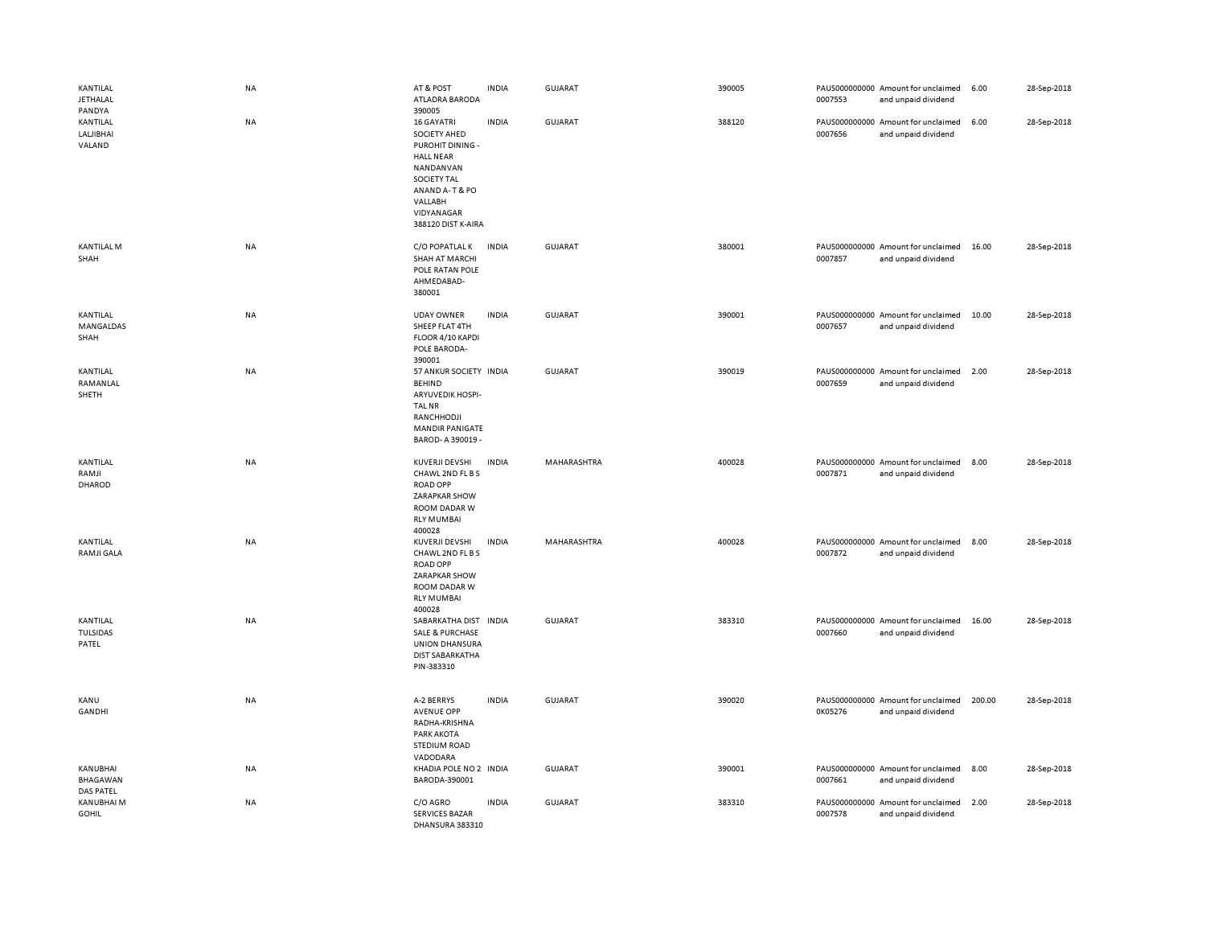| KANTILAL<br><b>JETHALAL</b><br>PANDYA    | NA        | AT & POST<br>ATLADRA BARODA<br>390005                                                                                                                                         | <b>INDIA</b> | GUJARAT        | 390005 | 0007553 | PAUS000000000 Amount for unclaimed<br>and unpaid dividend | 6.00   | 28-Sep-2018 |
|------------------------------------------|-----------|-------------------------------------------------------------------------------------------------------------------------------------------------------------------------------|--------------|----------------|--------|---------|-----------------------------------------------------------|--------|-------------|
| KANTILAL<br>LALJIBHAI<br>VALAND          | NA        | <b>16 GAYATRI</b><br>SOCIETY AHED<br>PUROHIT DINING -<br><b>HALL NEAR</b><br>NANDANVAN<br><b>SOCIETY TAL</b><br>ANAND A-T & PO<br>VALLABH<br>VIDYANAGAR<br>388120 DIST K-AIRA | <b>INDIA</b> | <b>GUJARAT</b> | 388120 | 0007656 | PAUS000000000 Amount for unclaimed<br>and unpaid dividend | 6.00   | 28-Sep-2018 |
| <b>KANTILAL M</b><br>SHAH                | NA        | C/O POPATLAL K<br>SHAH AT MARCHI<br>POLE RATAN POLE<br>AHMEDABAD-<br>380001                                                                                                   | <b>INDIA</b> | <b>GUJARAT</b> | 380001 | 0007857 | PAUS000000000 Amount for unclaimed<br>and unpaid dividend | 16.00  | 28-Sep-2018 |
| KANTILAL<br>MANGALDAS<br>SHAH            | NA        | <b>UDAY OWNER</b><br>SHEEP FLAT 4TH<br>FLOOR 4/10 KAPDI<br>POLE BARODA-<br>390001                                                                                             | <b>INDIA</b> | <b>GUJARAT</b> | 390001 | 0007657 | PAUS000000000 Amount for unclaimed<br>and unpaid dividend | 10.00  | 28-Sep-2018 |
| KANTILAL<br>RAMANLAL<br>SHETH            | NA        | 57 ANKUR SOCIETY INDIA<br><b>BEHIND</b><br>ARYUVEDIK HOSPI-<br><b>TAL NR</b><br>RANCHHODJI<br><b>MANDIR PANIGATE</b><br>BAROD- A 390019 -                                     |              | <b>GUJARAT</b> | 390019 | 0007659 | PAUS000000000 Amount for unclaimed<br>and unpaid dividend | 2.00   | 28-Sep-2018 |
| KANTILAL<br>RAMJI<br>DHAROD              | NA        | KUVERJI DEVSHI<br>CHAWL 2ND FL B S<br><b>ROAD OPP</b><br>ZARAPKAR SHOW<br>ROOM DADAR W<br><b>RLY MUMBAI</b><br>400028                                                         | <b>INDIA</b> | MAHARASHTRA    | 400028 | 0007871 | PAUS000000000 Amount for unclaimed<br>and unpaid dividend | 8.00   | 28-Sep-2018 |
| KANTILAL<br><b>RAMJI GALA</b>            | NA        | KUVERJI DEVSHI<br>CHAWL 2ND FL B S<br><b>ROAD OPP</b><br><b>ZARAPKAR SHOW</b><br>ROOM DADAR W<br><b>RLY MUMBAI</b><br>400028                                                  | <b>INDIA</b> | MAHARASHTRA    | 400028 | 0007872 | PAUS000000000 Amount for unclaimed<br>and unpaid dividend | 8.00   | 28-Sep-2018 |
| KANTILAL<br>TULSIDAS<br>PATEL            | <b>NA</b> | SABARKATHA DIST IN DIA<br><b>SALE &amp; PURCHASE</b><br><b>UNION DHANSURA</b><br><b>DIST SABARKATHA</b><br>PIN-383310                                                         |              | GUJARAT        | 383310 | 0007660 | PAUS000000000 Amount for unclaimed<br>and unpaid dividend | 16.00  | 28-Sep-2018 |
| <b>KANU</b><br>GANDHI                    | NA        | A-2 BERRYS<br><b>AVENUE OPP</b><br>RADHA-KRISHNA<br>PARK AKOTA<br>STEDIUM ROAD<br>VADODARA                                                                                    | <b>INDIA</b> | <b>GUJARAT</b> | 390020 | 0K05276 | PAUS000000000 Amount for unclaimed<br>and unpaid dividend | 200.00 | 28-Sep-2018 |
| KANUBHAI<br>BHAGAWAN<br><b>DAS PATEL</b> | NA        | KHADIA POLE NO 2 INDIA<br>BARODA-390001                                                                                                                                       |              | <b>GUJARAT</b> | 390001 | 0007661 | PAUS000000000 Amount for unclaimed<br>and unpaid dividend | 8.00   | 28-Sep-2018 |
| KANUBHAI M<br><b>GOHIL</b>               | NA        | C/O AGRO<br><b>SERVICES BAZAR</b>                                                                                                                                             | <b>INDIA</b> | GUJARAT        | 383310 | 0007578 | PAUS000000000 Amount for unclaimed<br>and unpaid dividend | 2.00   | 28-Sep-2018 |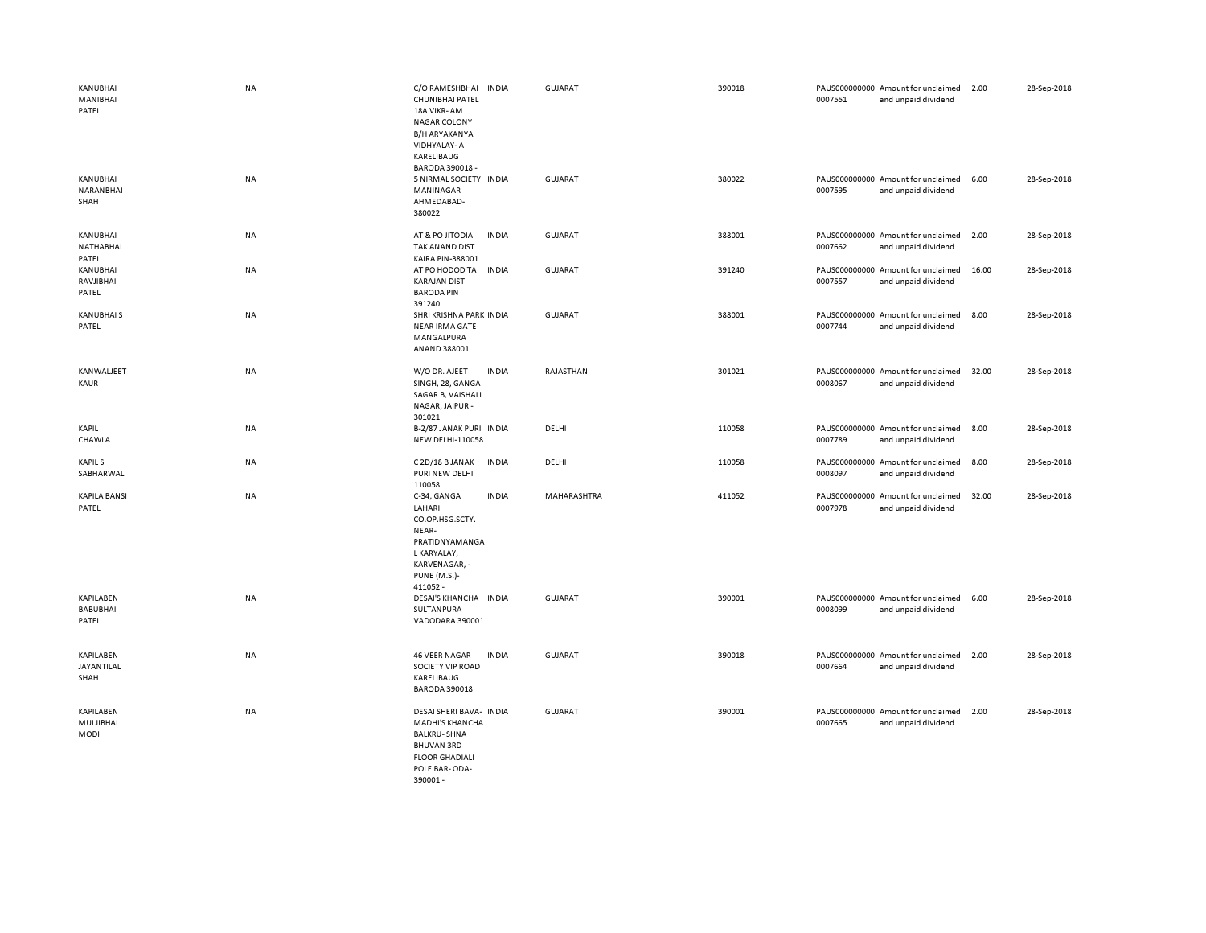| KANUBHAI<br>MANIBHAI<br>PATEL         | NA        | C/O RAMESHBHAI<br><b>INDIA</b><br>CHUNIBHAI PATEL<br>18A VIKR-AM<br><b>NAGAR COLONY</b><br>B/H ARYAKANYA<br>VIDHYALAY-A<br>KARELIBAUG<br>BARODA 390018 - | <b>GUJARAT</b> | 390018 | 0007551 | PAUS000000000 Amount for unclaimed<br>and unpaid dividend | 2.00  | 28-Sep-2018 |
|---------------------------------------|-----------|----------------------------------------------------------------------------------------------------------------------------------------------------------|----------------|--------|---------|-----------------------------------------------------------|-------|-------------|
| KANUBHAI<br>NARANBHAI<br>SHAH         | NA        | 5 NIRMAL SOCIETY INDIA<br>MANINAGAR<br>AHMEDABAD-<br>380022                                                                                              | GUJARAT        | 380022 | 0007595 | PAUS000000000 Amount for unclaimed<br>and unpaid dividend | 6.00  | 28-Sep-2018 |
| KANUBHAI<br>NATHABHAI<br>PATEL        | NA        | <b>INDIA</b><br>AT & PO JITODIA<br>TAK ANAND DIST<br>KAIRA PIN-388001                                                                                    | GUJARAT        | 388001 | 0007662 | PAUS000000000 Amount for unclaimed<br>and unpaid dividend | 2.00  | 28-Sep-2018 |
| KANUBHAI<br>RAVJIBHAI<br>PATEL        | NA        | AT PO HODOD TA<br><b>INDIA</b><br><b>KARAJAN DIST</b><br><b>BARODA PIN</b><br>391240                                                                     | <b>GUJARAT</b> | 391240 | 0007557 | PAUS000000000 Amount for unclaimed<br>and unpaid dividend | 16.00 | 28-Sep-2018 |
| <b>KANUBHAIS</b><br>PATEL             | <b>NA</b> | SHRI KRISHNA PARK INDIA<br><b>NEAR IRMA GATE</b><br>MANGALPURA<br>ANAND 388001                                                                           | GUJARAT        | 388001 | 0007744 | PAUS000000000 Amount for unclaimed<br>and unpaid dividend | 8.00  | 28-Sep-2018 |
| KANWALJEET<br>KAUR                    | NA        | W/O DR. AJEET<br><b>INDIA</b><br>SINGH, 28, GANGA<br>SAGAR B, VAISHALI<br>NAGAR, JAIPUR -<br>301021                                                      | RAJASTHAN      | 301021 | 0008067 | PAUS000000000 Amount for unclaimed<br>and unpaid dividend | 32.00 | 28-Sep-2018 |
| KAPIL<br>CHAWLA                       | NA        | B-2/87 JANAK PURI INDIA<br>NEW DELHI-110058                                                                                                              | DELHI          | 110058 | 0007789 | PAUS000000000 Amount for unclaimed<br>and unpaid dividend | 8.00  | 28-Sep-2018 |
| <b>KAPILS</b><br>SABHARWAL            | NA        | C 2D/18 B JANAK<br><b>INDIA</b><br>PURI NEW DELHI<br>110058                                                                                              | DELHI          | 110058 | 0008097 | PAUS000000000 Amount for unclaimed<br>and unpaid dividend | 8.00  | 28-Sep-2018 |
| <b>KAPILA BANSI</b><br>PATEL          | NA        | C-34, GANGA<br><b>INDIA</b><br>LAHARI<br>CO.OP.HSG.SCTY.<br>NEAR-<br>PRATIDNYAMANGA<br>L KARYALAY,<br>KARVENAGAR, -<br><b>PUNE (M.S.)-</b><br>411052 -   | MAHARASHTRA    | 411052 | 0007978 | PAUS000000000 Amount for unclaimed<br>and unpaid dividend | 32.00 | 28-Sep-2018 |
| KAPILABEN<br><b>BABUBHAI</b><br>PATEL | NA        | DESAI'S KHANCHA INDIA<br>SULTANPURA<br>VADODARA 390001                                                                                                   | <b>GUJARAT</b> | 390001 | 0008099 | PAUS000000000 Amount for unclaimed<br>and unpaid dividend | 6.00  | 28-Sep-2018 |
| KAPILABEN<br>JAYANTILAL<br>SHAH       | <b>NA</b> | <b>INDIA</b><br><b>46 VEER NAGAR</b><br>SOCIETY VIP ROAD<br>KARELIBAUG<br><b>BARODA 390018</b>                                                           | <b>GUJARAT</b> | 390018 | 0007664 | PAUS000000000 Amount for unclaimed<br>and unpaid dividend | 2.00  | 28-Sep-2018 |
| KAPILABEN<br>MULJIBHAI<br><b>MODI</b> | <b>NA</b> | DESAI SHERI BAVA- INDIA<br>MADHI'S KHANCHA<br><b>BALKRU-SHNA</b><br><b>BHUVAN 3RD</b><br><b>FLOOR GHADIALI</b><br>POLE BAR-ODA-<br>390001-               | <b>GUJARAT</b> | 390001 | 0007665 | PAUS000000000 Amount for unclaimed<br>and unpaid dividend | 2.00  | 28-Sep-2018 |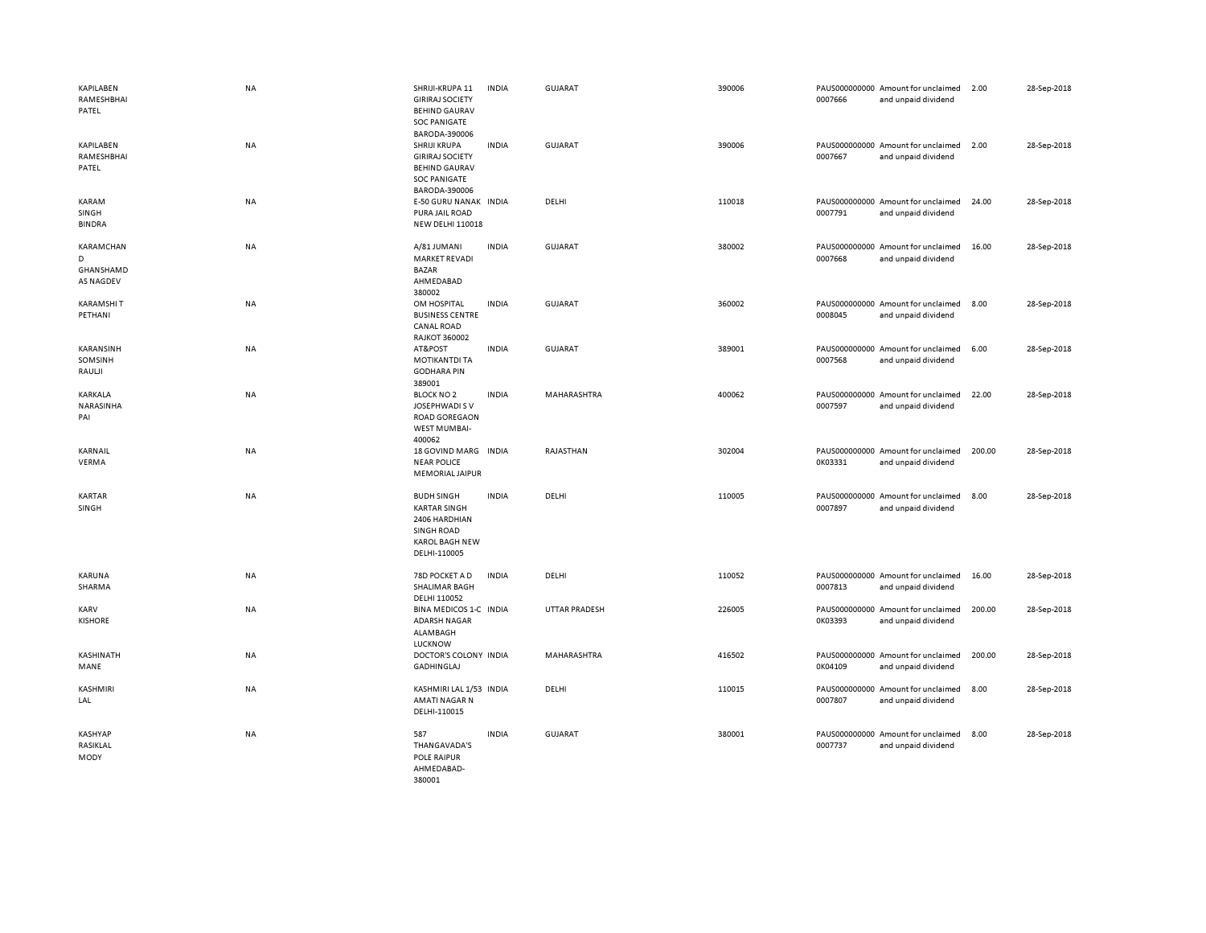| <b>KAPILABEN</b><br>RAMESHBHAI<br>PATEL         | <b>NA</b> | SHRIJI-KRUPA 11<br><b>GIRIRAJ SOCIETY</b><br><b>BEHIND GAURAV</b><br><b>SOC PANIGATE</b><br>BARODA-390006               | <b>INDIA</b> | <b>GUJARAT</b>       | 390006 | 0007666 | PAUS000000000 Amount for unclaimed<br>and unpaid dividend | 2.00   | 28-Sep-2018 |
|-------------------------------------------------|-----------|-------------------------------------------------------------------------------------------------------------------------|--------------|----------------------|--------|---------|-----------------------------------------------------------|--------|-------------|
| <b>KAPILABEN</b><br>RAMESHBHAI<br>PATEL         | <b>NA</b> | SHRIJI KRUPA<br><b>GIRIRAJ SOCIETY</b><br><b>BEHIND GAURAV</b><br><b>SOC PANIGATE</b><br>BARODA-390006                  | <b>INDIA</b> | <b>GUJARAT</b>       | 390006 | 0007667 | PAUS000000000 Amount for unclaimed<br>and unpaid dividend | 2.00   | 28-Sep-2018 |
| KARAM<br>SINGH<br><b>BINDRA</b>                 | <b>NA</b> | E-50 GURU NANAK INDIA<br>PURA JAIL ROAD<br><b>NEW DELHI 110018</b>                                                      |              | DELHI                | 110018 | 0007791 | PAUS000000000 Amount for unclaimed<br>and unpaid dividend | 24.00  | 28-Sep-2018 |
| KARAMCHAN<br>D<br>GHANSHAMD<br><b>AS NAGDEV</b> | NA        | A/81 JUMANI<br><b>MARKET REVADI</b><br>BAZAR<br>AHMEDABAD<br>380002                                                     | <b>INDIA</b> | <b>GUJARAT</b>       | 380002 | 0007668 | PAUS000000000 Amount for unclaimed<br>and unpaid dividend | 16.00  | 28-Sep-2018 |
| <b>KARAMSHIT</b><br>PETHANI                     | NA        | OM HOSPITAL<br><b>BUSINESS CENTRE</b><br><b>CANAL ROAD</b><br><b>RAJKOT 360002</b>                                      | <b>INDIA</b> | GUJARAT              | 360002 | 0008045 | PAUS000000000 Amount for unclaimed<br>and unpaid dividend | 8.00   | 28-Sep-2018 |
| KARANSINH<br>SOMSINH<br>RAULJI                  | NA        | AT&POST<br><b>MOTIKANTDI TA</b><br><b>GODHARA PIN</b><br>389001                                                         | <b>INDIA</b> | <b>GUJARAT</b>       | 389001 | 0007568 | PAUS000000000 Amount for unclaimed<br>and unpaid dividend | 6.00   | 28-Sep-2018 |
| KARKALA<br>NARASINHA<br>PAI                     | <b>NA</b> | <b>BLOCK NO 2</b><br>JOSEPHWADI S V<br><b>ROAD GOREGAON</b><br>WEST MUMBAI-<br>400062                                   | <b>INDIA</b> | MAHARASHTRA          | 400062 | 0007597 | PAUS000000000 Amount for unclaimed<br>and unpaid dividend | 22.00  | 28-Sep-2018 |
| KARNAIL<br>VERMA                                | <b>NA</b> | 18 GOVIND MARG INDIA<br><b>NEAR POLICE</b><br>MEMORIAL JAIPUR                                                           |              | RAJASTHAN            | 302004 | 0K03331 | PAUS000000000 Amount for unclaimed<br>and unpaid dividend | 200.00 | 28-Sep-2018 |
| <b>KARTAR</b><br>SINGH                          | <b>NA</b> | <b>BUDH SINGH</b><br><b>KARTAR SINGH</b><br>2406 HARDHIAN<br><b>SINGH ROAD</b><br><b>KAROL BAGH NEW</b><br>DELHI-110005 | <b>INDIA</b> | DELHI                | 110005 | 0007897 | PAUS000000000 Amount for unclaimed<br>and unpaid dividend | 8.00   | 28-Sep-2018 |
| KARUNA<br>SHARMA                                | NA        | 78D POCKET A D<br>SHALIMAR BAGH<br>DELHI 110052                                                                         | <b>INDIA</b> | DELHI                | 110052 | 0007813 | PAUS000000000 Amount for unclaimed<br>and unpaid dividend | 16.00  | 28-Sep-2018 |
| KARV<br><b>KISHORE</b>                          | <b>NA</b> | BINA MEDICOS 1-C INDIA<br><b>ADARSH NAGAR</b><br>ALAMBAGH<br><b>LUCKNOW</b>                                             |              | <b>UTTAR PRADESH</b> | 226005 | 0K03393 | PAUS000000000 Amount for unclaimed<br>and unpaid dividend | 200.00 | 28-Sep-2018 |
| KASHINATH<br>MANE                               | NA        | DOCTOR'S COLONY INDIA<br>GADHINGLAJ                                                                                     |              | MAHARASHTRA          | 416502 | 0K04109 | PAUS000000000 Amount for unclaimed<br>and unpaid dividend | 200.00 | 28-Sep-2018 |
| <b>KASHMIRI</b><br>LAL                          | <b>NA</b> | KASHMIRI LAL 1/53 INDIA<br><b>AMATI NAGAR N</b><br>DELHI-110015                                                         |              | DELHI                | 110015 | 0007807 | PAUS000000000 Amount for unclaimed<br>and unpaid dividend | 8.00   | 28-Sep-2018 |
| KASHYAP<br>RASIKLAL<br>MODY                     | <b>NA</b> | 587<br>THANGAVADA'S<br>POLE RAIPUR<br>AHMEDABAD-<br>380001                                                              | <b>INDIA</b> | <b>GUJARAT</b>       | 380001 | 0007737 | PAUS000000000 Amount for unclaimed<br>and unpaid dividend | 8.00   | 28-Sep-2018 |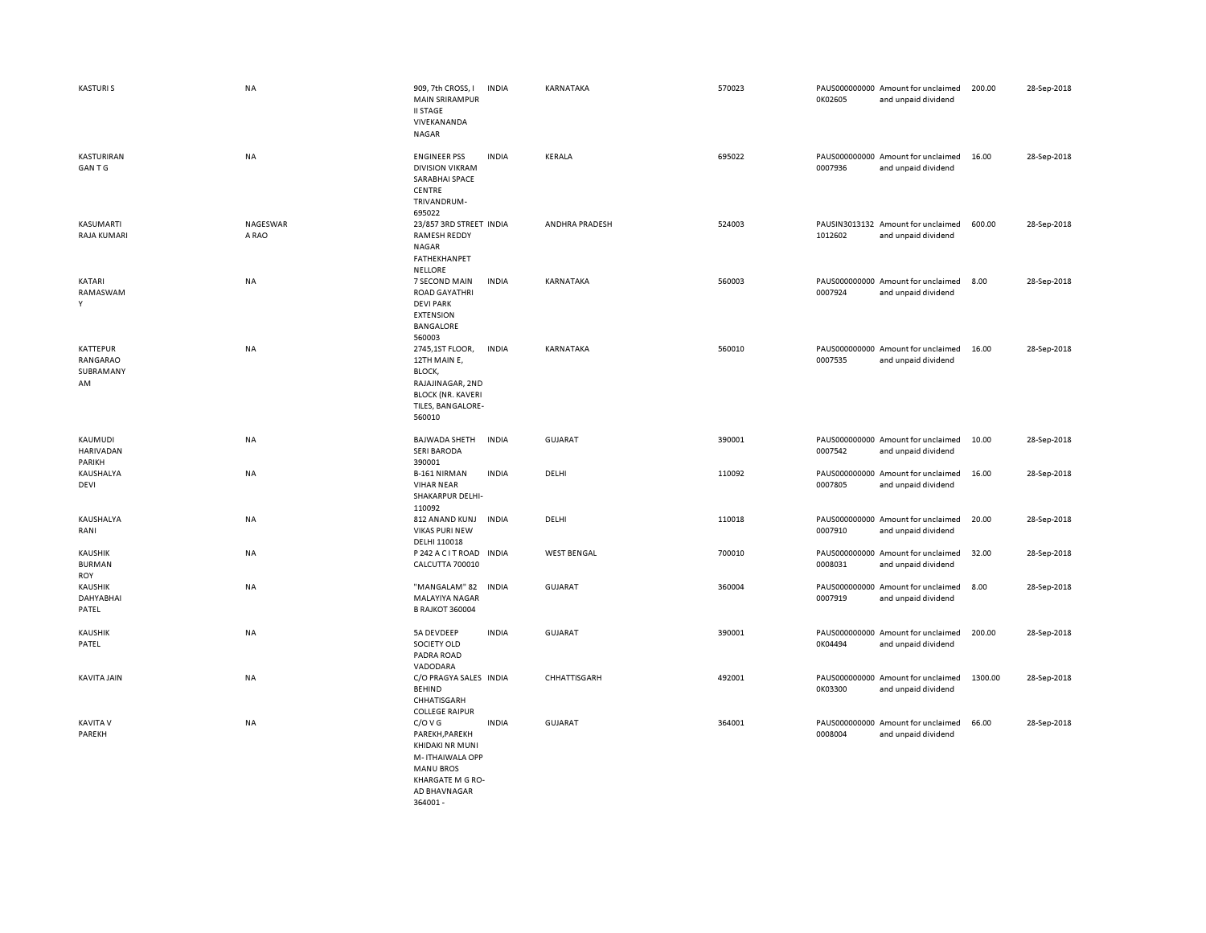| <b>KASTURIS</b>                         | <b>NA</b>         | 909, 7th CROSS, I<br>MAIN SRIRAMPUR<br><b>II STAGE</b><br>VIVEKANANDA<br><b>NAGAR</b>                                    | <b>INDIA</b> | KARNATAKA          | 570023 | 0K02605 | PAUS000000000 Amount for unclaimed<br>and unpaid dividend | 200.00  | 28-Sep-2018 |
|-----------------------------------------|-------------------|--------------------------------------------------------------------------------------------------------------------------|--------------|--------------------|--------|---------|-----------------------------------------------------------|---------|-------------|
| KASTURIRAN<br><b>GANTG</b>              | NA                | <b>ENGINEER PSS</b><br><b>DIVISION VIKRAM</b><br>SARABHAI SPACE<br>CENTRE<br>TRIVANDRUM-<br>695022                       | <b>INDIA</b> | KERALA             | 695022 | 0007936 | PAUS000000000 Amount for unclaimed<br>and unpaid dividend | 16.00   | 28-Sep-2018 |
| KASUMARTI<br>RAJA KUMARI                | NAGESWAR<br>A RAO | 23/857 3RD STREET INDIA<br><b>RAMESH REDDY</b><br><b>NAGAR</b><br>FATHEKHANPET<br><b>NELLORE</b>                         |              | ANDHRA PRADESH     | 524003 | 1012602 | PAUSIN3013132 Amount for unclaimed<br>and unpaid dividend | 600.00  | 28-Sep-2018 |
| KATARI<br>RAMASWAM<br>Y                 | <b>NA</b>         | 7 SECOND MAIN<br>ROAD GAYATHRI<br><b>DEVI PARK</b><br><b>EXTENSION</b><br><b>BANGALORE</b><br>560003                     | <b>INDIA</b> | KARNATAKA          | 560003 | 0007924 | PAUS000000000 Amount for unclaimed<br>and unpaid dividend | 8.00    | 28-Sep-2018 |
| KATTEPUR<br>RANGARAO<br>SUBRAMANY<br>AM | <b>NA</b>         | 2745,1ST FLOOR,<br>12TH MAIN E,<br>BLOCK,<br>RAJAJINAGAR, 2ND<br><b>BLOCK (NR. KAVERI</b><br>TILES, BANGALORE-<br>560010 | <b>INDIA</b> | KARNATAKA          | 560010 | 0007535 | PAUS000000000 Amount for unclaimed<br>and unpaid dividend | 16.00   | 28-Sep-2018 |
| KAUMUDI<br><b>HARIVADAN</b><br>PARIKH   | <b>NA</b>         | <b>BAJWADA SHETH</b><br><b>SERI BARODA</b><br>390001                                                                     | <b>INDIA</b> | GUJARAT            | 390001 | 0007542 | PAUS000000000 Amount for unclaimed<br>and unpaid dividend | 10.00   | 28-Sep-2018 |
| KAUSHALYA<br>DEVI                       | NA                | <b>B-161 NIRMAN</b><br><b>VIHAR NEAR</b><br>SHAKARPUR DELHI-<br>110092                                                   | <b>INDIA</b> | DELHI              | 110092 | 0007805 | PAUS000000000 Amount for unclaimed<br>and unpaid dividend | 16.00   | 28-Sep-2018 |
| KAUSHALYA<br>RANI                       | <b>NA</b>         | 812 ANAND KUNJ<br><b>VIKAS PURI NEW</b><br>DELHI 110018                                                                  | <b>INDIA</b> | DELHI              | 110018 | 0007910 | PAUS000000000 Amount for unclaimed<br>and unpaid dividend | 20.00   | 28-Sep-2018 |
| <b>KAUSHIK</b><br><b>BURMAN</b><br>ROY  | NA                | P 242 A C IT ROAD INDIA<br>CALCUTTA 700010                                                                               |              | <b>WEST BENGAL</b> | 700010 | 0008031 | PAUS000000000 Amount for unclaimed<br>and unpaid dividend | 32.00   | 28-Sep-2018 |
| KAUSHIK<br>DAHYABHAI<br>PATEL           | <b>NA</b>         | "MANGALAM" 82<br>MALAYIYA NAGAR<br><b>B RAJKOT 360004</b>                                                                | <b>INDIA</b> | <b>GUJARAT</b>     | 360004 | 0007919 | PAUS000000000 Amount for unclaimed<br>and unpaid dividend | 8.00    | 28-Sep-2018 |
| <b>KAUSHIK</b><br>PATEL                 | <b>NA</b>         | 5A DEVDEEP<br>SOCIETY OLD<br>PADRA ROAD<br>VADODARA                                                                      | <b>INDIA</b> | <b>GUJARAT</b>     | 390001 | 0K04494 | PAUS000000000 Amount for unclaimed<br>and unpaid dividend | 200.00  | 28-Sep-2018 |
| <b>KAVITA JAIN</b>                      | <b>NA</b>         | C/O PRAGYA SALES INDIA<br><b>BEHIND</b><br>CHHATISGARH<br><b>COLLEGE RAIPUR</b>                                          |              | CHHATTISGARH       | 492001 | 0K03300 | PAUS000000000 Amount for unclaimed<br>and unpaid dividend | 1300.00 | 28-Sep-2018 |
| <b>KAVITA V</b><br>PAREKH               | <b>NA</b>         | C/O V G<br>PAREKH, PAREKH<br>KHIDAKI NR MUNI<br>M-ITHAIWALA OPP<br><b>MANU BROS</b><br>KHARGATE M G RO-                  | <b>INDIA</b> | GUJARAT            | 364001 | 0008004 | PAUS000000000 Amount for unclaimed<br>and unpaid dividend | 66.00   | 28-Sep-2018 |

AD BHAVNAGAR 364001 -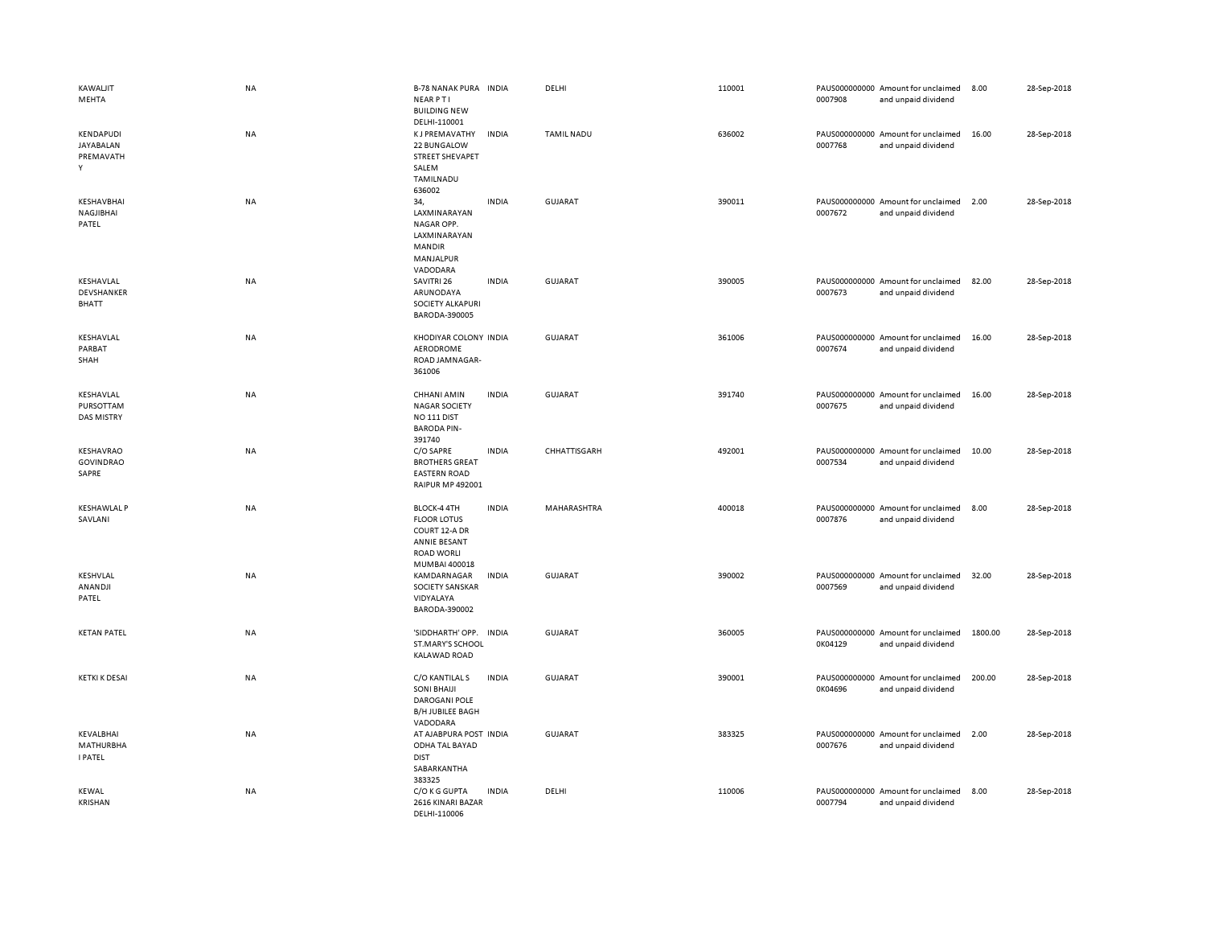| <b>KAWALJIT</b><br>MEHTA                    | NA        | <b>B-78 NANAK PURA INDIA</b><br><b>NEARPTI</b><br><b>BUILDING NEW</b>                          |              | DELHI             | 110001 | 0007908 | PAUS000000000 Amount for unclaimed<br>and unpaid dividend | 8.00    | 28-Sep-2018 |
|---------------------------------------------|-----------|------------------------------------------------------------------------------------------------|--------------|-------------------|--------|---------|-----------------------------------------------------------|---------|-------------|
| KENDAPUDI<br>JAYABALAN<br>PREMAVATH<br>Υ    | NA        | DELHI-110001<br><b>KJ PREMAVATHY</b><br>22 BUNGALOW<br>STREET SHEVAPET<br>SALEM<br>TAMILNADU   | <b>INDIA</b> | <b>TAMIL NADU</b> | 636002 | 0007768 | PAUS000000000 Amount for unclaimed<br>and unpaid dividend | 16.00   | 28-Sep-2018 |
| KESHAVBHAI<br>NAGJIBHAI<br>PATEL            | NA        | 636002<br>34,<br>LAXMINARAYAN<br>NAGAR OPP.<br>LAXMINARAYAN<br>MANDIR<br>MANJALPUR<br>VADODARA | <b>INDIA</b> | <b>GUJARAT</b>    | 390011 | 0007672 | PAUS000000000 Amount for unclaimed<br>and unpaid dividend | 2.00    | 28-Sep-2018 |
| KESHAVLAL<br>DEVSHANKER<br><b>BHATT</b>     | <b>NA</b> | SAVITRI 26<br>ARUNODAYA<br><b>SOCIETY ALKAPURI</b><br>BARODA-390005                            | <b>INDIA</b> | <b>GUJARAT</b>    | 390005 | 0007673 | PAUS000000000 Amount for unclaimed<br>and unpaid dividend | 82.00   | 28-Sep-2018 |
| KESHAVLAL<br>PARBAT<br>SHAH                 | NA        | KHODIYAR COLONY INDIA<br>AERODROME<br>ROAD JAMNAGAR-<br>361006                                 |              | <b>GUJARAT</b>    | 361006 | 0007674 | PAUS000000000 Amount for unclaimed<br>and unpaid dividend | 16.00   | 28-Sep-2018 |
| KESHAVLAL<br>PURSOTTAM<br><b>DAS MISTRY</b> | NA        | CHHANI AMIN<br><b>NAGAR SOCIETY</b><br>NO <sub>111</sub> DIST<br><b>BARODA PIN-</b>            | <b>INDIA</b> | <b>GUJARAT</b>    | 391740 | 0007675 | PAUS000000000 Amount for unclaimed<br>and unpaid dividend | 16.00   | 28-Sep-2018 |
| KESHAVRAO<br><b>GOVINDRAO</b><br>SAPRE      | NA        | 391740<br>C/O SAPRE<br><b>BROTHERS GREAT</b><br><b>EASTERN ROAD</b><br><b>RAIPUR MP 492001</b> | <b>INDIA</b> | CHHATTISGARH      | 492001 | 0007534 | PAUS000000000 Amount for unclaimed<br>and unpaid dividend | 10.00   | 28-Sep-2018 |
| <b>KESHAWLAL P</b><br>SAVLANI               | NA        | BLOCK-4 4TH<br><b>FLOOR LOTUS</b><br>COURT 12-A DR<br><b>ANNIE BESANT</b><br><b>ROAD WORLI</b> | <b>INDIA</b> | MAHARASHTRA       | 400018 | 0007876 | PAUS000000000 Amount for unclaimed<br>and unpaid dividend | 8.00    | 28-Sep-2018 |
| KESHVLAL<br>ANANDJI<br>PATEL                | NA        | MUMBAI 400018<br>KAMDARNAGAR<br>SOCIETY SANSKAR<br>VIDYALAYA<br>BARODA-390002                  | <b>INDIA</b> | <b>GUJARAT</b>    | 390002 | 0007569 | PAUS000000000 Amount for unclaimed<br>and unpaid dividend | 32.00   | 28-Sep-2018 |
| <b>KETAN PATEL</b>                          | NA        | 'SIDDHARTH' OPP.<br>ST.MARY'S SCHOOL<br><b>KALAWAD ROAD</b>                                    | <b>INDIA</b> | GUJARAT           | 360005 | 0K04129 | PAUS000000000 Amount for unclaimed<br>and unpaid dividend | 1800.00 | 28-Sep-2018 |
| <b>KETKI K DESAI</b>                        | <b>NA</b> | C/O KANTILAL S<br><b>SONI BHAIJI</b><br>DAROGANI POLE<br><b>B/H JUBILEE BAGH</b><br>VADODARA   | <b>INDIA</b> | <b>GUJARAT</b>    | 390001 | 0K04696 | PAUS000000000 Amount for unclaimed<br>and unpaid dividend | 200.00  | 28-Sep-2018 |
| KEVALBHAI<br>MATHURBHA<br><b>I PATEL</b>    | <b>NA</b> | AT AJABPURA POST INDIA<br>ODHA TAL BAYAD<br><b>DIST</b><br>SABARKANTHA<br>383325               |              | <b>GUJARAT</b>    | 383325 | 0007676 | PAUS000000000 Amount for unclaimed<br>and unpaid dividend | 2.00    | 28-Sep-2018 |
| <b>KEWAL</b><br><b>KRISHAN</b>              | <b>NA</b> | C/O K G GUPTA<br>2616 KINARI BAZAR<br>DELHI-110006                                             | <b>INDIA</b> | DELHI             | 110006 | 0007794 | PAUS000000000 Amount for unclaimed<br>and unpaid dividend | 8.00    | 28-Sep-2018 |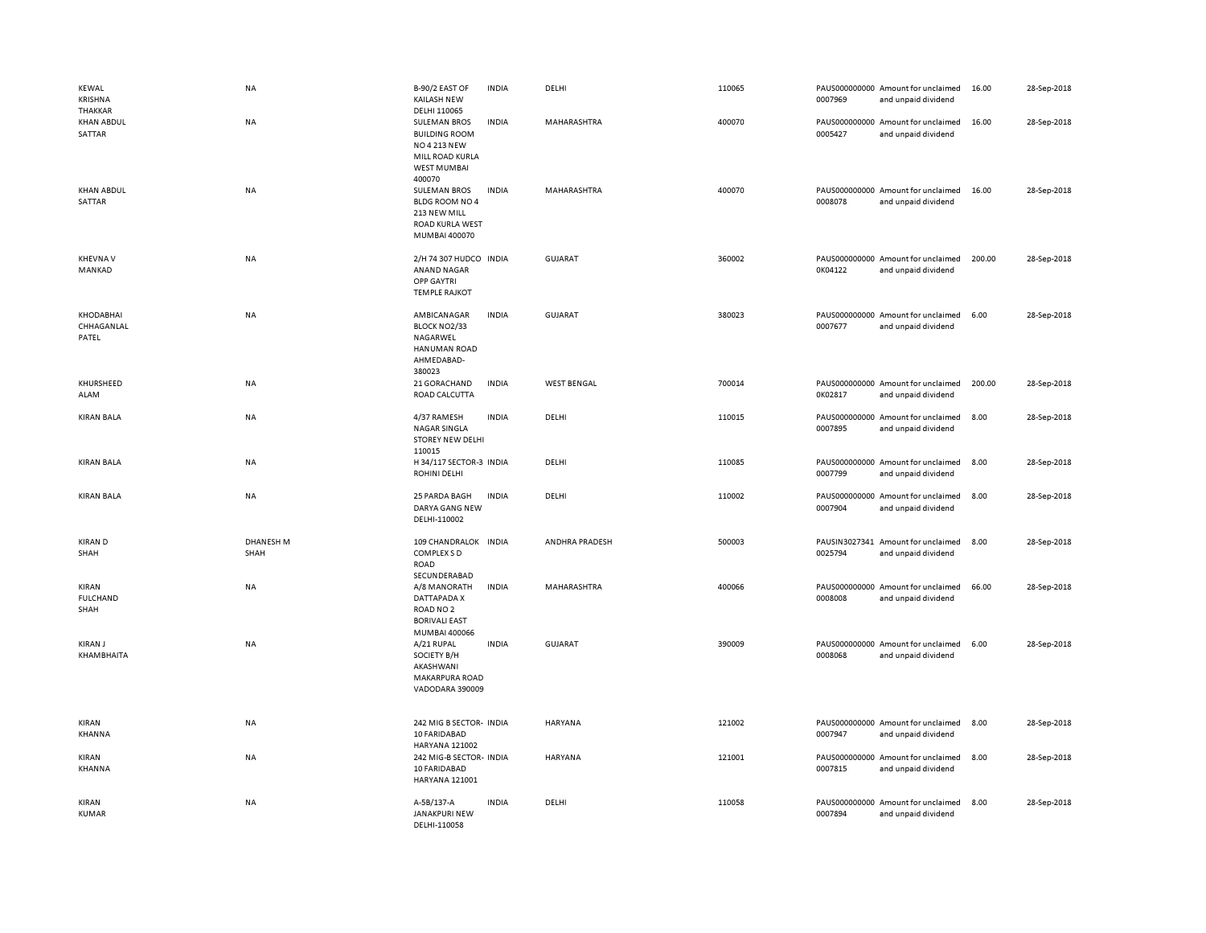| <b>KEWAL</b><br>KRISHNA<br><b>THAKKAR</b> | NA                       | B-90/2 EAST OF<br><b>KAILASH NEW</b><br>DELHI 110065                                                           | <b>INDIA</b> | DELHI              | 110065 | 0007969 | PAUS000000000 Amount for unclaimed<br>and unpaid dividend | 16.00  | 28-Sep-2018 |
|-------------------------------------------|--------------------------|----------------------------------------------------------------------------------------------------------------|--------------|--------------------|--------|---------|-----------------------------------------------------------|--------|-------------|
| <b>KHAN ABDUL</b><br>SATTAR               | NA                       | <b>SULEMAN BROS</b><br><b>BUILDING ROOM</b><br>NO 4 213 NEW<br>MILL ROAD KURLA<br><b>WEST MUMBAI</b><br>400070 | <b>INDIA</b> | MAHARASHTRA        | 400070 | 0005427 | PAUS000000000 Amount for unclaimed<br>and unpaid dividend | 16.00  | 28-Sep-2018 |
| <b>KHAN ABDUL</b><br>SATTAR               | <b>NA</b>                | <b>SULEMAN BROS</b><br>BLDG ROOM NO 4<br>213 NEW MILL<br><b>ROAD KURLA WEST</b><br>MUMBAI 400070               | <b>INDIA</b> | MAHARASHTRA        | 400070 | 0008078 | PAUS000000000 Amount for unclaimed<br>and unpaid dividend | 16.00  | 28-Sep-2018 |
| <b>KHEVNAV</b><br>MANKAD                  | NA                       | 2/H 74 307 HUDCO INDIA<br><b>ANAND NAGAR</b><br><b>OPP GAYTRI</b><br><b>TEMPLE RAJKOT</b>                      |              | <b>GUJARAT</b>     | 360002 | 0K04122 | PAUS000000000 Amount for unclaimed<br>and unpaid dividend | 200.00 | 28-Sep-2018 |
| KHODABHAI<br>CHHAGANLAL<br>PATEL          | <b>NA</b>                | AMBICANAGAR<br>BLOCK NO2/33<br>NAGARWEL<br>HANUMAN ROAD<br>AHMEDABAD-<br>380023                                | <b>INDIA</b> | <b>GUJARAT</b>     | 380023 | 0007677 | PAUS000000000 Amount for unclaimed<br>and unpaid dividend | 6.00   | 28-Sep-2018 |
| KHURSHEED<br>ALAM                         | NA                       | 21 GORACHAND<br>ROAD CALCUTTA                                                                                  | <b>INDIA</b> | <b>WEST BENGAL</b> | 700014 | 0K02817 | PAUS000000000 Amount for unclaimed<br>and unpaid dividend | 200.00 | 28-Sep-2018 |
| <b>KIRAN BALA</b>                         | NA                       | 4/37 RAMESH<br>NAGAR SINGLA<br><b>STOREY NEW DELHI</b><br>110015                                               | <b>INDIA</b> | DELHI              | 110015 | 0007895 | PAUS000000000 Amount for unclaimed<br>and unpaid dividend | 8.00   | 28-Sep-2018 |
| <b>KIRAN BALA</b>                         | NA                       | H 34/117 SECTOR-3 INDIA<br>ROHINI DELHI                                                                        |              | DELHI              | 110085 | 0007799 | PAUS000000000 Amount for unclaimed<br>and unpaid dividend | 8.00   | 28-Sep-2018 |
| <b>KIRAN BALA</b>                         | NA                       | 25 PARDA BAGH<br>DARYA GANG NEW<br>DELHI-110002                                                                | <b>INDIA</b> | DELHI              | 110002 | 0007904 | PAUS000000000 Amount for unclaimed<br>and unpaid dividend | 8.00   | 28-Sep-2018 |
| <b>KIRAN D</b><br>SHAH                    | <b>DHANESH M</b><br>SHAH | 109 CHANDRALOK INDIA<br>COMPLEX S D<br><b>ROAD</b><br>SECUNDERABAD                                             |              | ANDHRA PRADESH     | 500003 | 0025794 | PAUSIN3027341 Amount for unclaimed<br>and unpaid dividend | 8.00   | 28-Sep-2018 |
| KIRAN<br><b>FULCHAND</b><br>SHAH          | NA                       | A/8 MANORATH<br>DATTAPADA X<br>ROAD NO <sub>2</sub><br><b>BORIVALI EAST</b><br>MUMBAI 400066                   | <b>INDIA</b> | MAHARASHTRA        | 400066 | 0008008 | PAUS000000000 Amount for unclaimed<br>and unpaid dividend | 66.00  | 28-Sep-2018 |
| <b>KIRAN J</b><br>KHAMBHAITA              | <b>NA</b>                | A/21 RUPAL<br>SOCIETY B/H<br>AKASHWANI<br>MAKARPURA ROAD<br>VADODARA 390009                                    | <b>INDIA</b> | GUJARAT            | 390009 | 0008068 | PAUS000000000 Amount for unclaimed<br>and unpaid dividend | 6.00   | 28-Sep-2018 |
| KIRAN<br>KHANNA                           | NA                       | 242 MIG B SECTOR- INDIA<br>10 FARIDABAD<br><b>HARYANA 121002</b>                                               |              | <b>HARYANA</b>     | 121002 | 0007947 | PAUS000000000 Amount for unclaimed<br>and unpaid dividend | 8.00   | 28-Sep-2018 |
| KIRAN<br>KHANNA                           | NA                       | 242 MIG-B SECTOR- INDIA<br>10 FARIDABAD<br>HARYANA 121001                                                      |              | <b>HARYANA</b>     | 121001 | 0007815 | PAUS000000000 Amount for unclaimed<br>and unpaid dividend | 8.00   | 28-Sep-2018 |
|                                           |                          |                                                                                                                |              |                    |        |         |                                                           |        |             |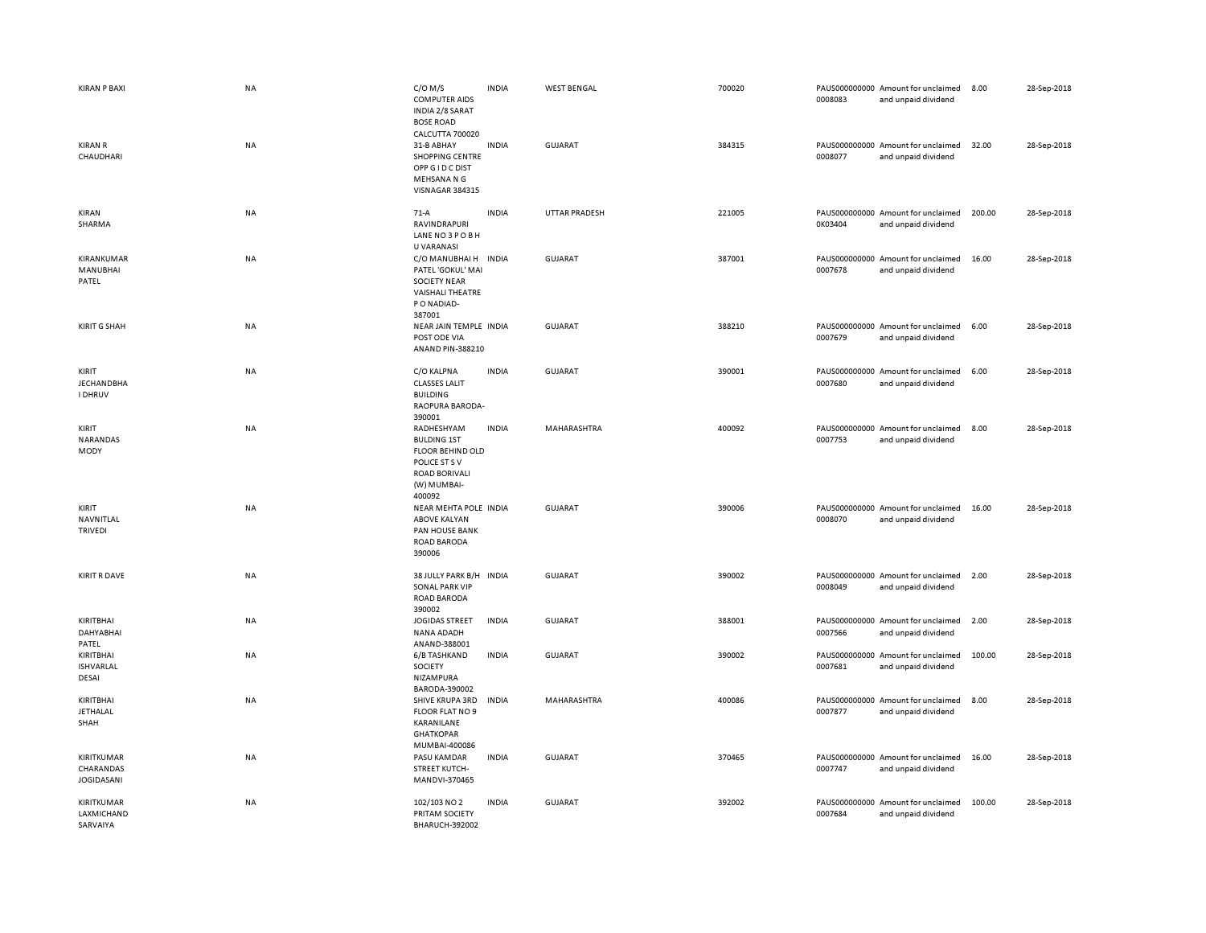| <b>KIRAN P BAXI</b>                          | <b>NA</b> | $C/O$ M/S<br><b>COMPUTER AIDS</b><br>INDIA 2/8 SARAT<br><b>BOSE ROAD</b>                                               | <b>INDIA</b> | <b>WEST BENGAL</b>   | 700020 | 0008083 | PAUS000000000 Amount for unclaimed<br>and unpaid dividend | 8.00   | 28-Sep-2018 |
|----------------------------------------------|-----------|------------------------------------------------------------------------------------------------------------------------|--------------|----------------------|--------|---------|-----------------------------------------------------------|--------|-------------|
| <b>KIRAN R</b><br>CHAUDHARI                  | NA        | CALCUTTA 700020<br>31-B ABHAY<br><b>SHOPPING CENTRE</b><br>OPP G I D C DIST<br>MEHSANA N G<br>VISNAGAR 384315          | <b>INDIA</b> | GUJARAT              | 384315 | 0008077 | PAUS000000000 Amount for unclaimed<br>and unpaid dividend | 32.00  | 28-Sep-2018 |
| KIRAN<br>SHARMA                              | NA        | $71-A$<br>RAVINDRAPURI<br>LANE NO3POBH<br>U VARANASI                                                                   | <b>INDIA</b> | <b>UTTAR PRADESH</b> | 221005 | 0K03404 | PAUS000000000 Amount for unclaimed<br>and unpaid dividend | 200.00 | 28-Sep-2018 |
| KIRANKUMAR<br>MANUBHAI<br>PATEL              | <b>NA</b> | C/O MANUBHAI H<br>PATEL 'GOKUL' MAI<br><b>SOCIETY NEAR</b><br><b>VAISHALI THEATRE</b><br>P O NADIAD-<br>387001         | <b>INDIA</b> | <b>GUJARAT</b>       | 387001 | 0007678 | PAUS000000000 Amount for unclaimed<br>and unpaid dividend | 16.00  | 28-Sep-2018 |
| <b>KIRIT G SHAH</b>                          | NA        | NEAR JAIN TEMPLE INDIA<br>POST ODE VIA<br>ANAND PIN-388210                                                             |              | <b>GUJARAT</b>       | 388210 | 0007679 | PAUS000000000 Amount for unclaimed<br>and unpaid dividend | 6.00   | 28-Sep-2018 |
| KIRIT<br><b>JECHANDBHA</b><br><b>I DHRUV</b> | NA        | C/O KALPNA<br><b>CLASSES LALIT</b><br><b>BUILDING</b><br>RAOPURA BARODA-<br>390001                                     | <b>INDIA</b> | <b>GUJARAT</b>       | 390001 | 0007680 | PAUS000000000 Amount for unclaimed<br>and unpaid dividend | 6.00   | 28-Sep-2018 |
| KIRIT<br>NARANDAS<br>MODY                    | <b>NA</b> | RADHESHYAM<br><b>BULDING 1ST</b><br>FLOOR BEHIND OLD<br>POLICE ST S V<br><b>ROAD BORIVALI</b><br>(W) MUMBAI-<br>400092 | <b>INDIA</b> | MAHARASHTRA          | 400092 | 0007753 | PAUS000000000 Amount for unclaimed<br>and unpaid dividend | 8.00   | 28-Sep-2018 |
| KIRIT<br>NAVNITLAL<br><b>TRIVEDI</b>         | NA        | NEAR MEHTA POLE INDIA<br><b>ABOVE KALYAN</b><br>PAN HOUSE BANK<br><b>ROAD BARODA</b><br>390006                         |              | <b>GUJARAT</b>       | 390006 | 0008070 | PAUS000000000 Amount for unclaimed<br>and unpaid dividend | 16.00  | 28-Sep-2018 |
| <b>KIRIT R DAVE</b>                          | NA        | 38 JULLY PARK B/H INDIA<br><b>SONAL PARK VIP</b><br>ROAD BARODA<br>390002                                              |              | <b>GUJARAT</b>       | 390002 | 0008049 | PAUS000000000 Amount for unclaimed<br>and unpaid dividend | 2.00   | 28-Sep-2018 |
| KIRITBHAI<br>DAHYABHAI<br>PATEL              | NA        | <b>JOGIDAS STREET</b><br><b>NANA ADADH</b><br>ANAND-388001                                                             | <b>INDIA</b> | GUJARAT              | 388001 | 0007566 | PAUS000000000 Amount for unclaimed<br>and unpaid dividend | 2.00   | 28-Sep-2018 |
| KIRITBHAI<br><b>ISHVARLAL</b><br>DESAI       | NA        | 6/B TASHKAND<br>SOCIETY<br><b>NIZAMPURA</b><br>BARODA-390002                                                           | <b>INDIA</b> | <b>GUJARAT</b>       | 390002 | 0007681 | PAUS000000000 Amount for unclaimed<br>and unpaid dividend | 100.00 | 28-Sep-2018 |
| KIRITBHAI<br>JETHALAL<br>SHAH                | <b>NA</b> | SHIVE KRUPA 3RD<br>FLOOR FLAT NO 9<br>KARANILANE<br><b>GHATKOPAR</b><br>MUMBAI-400086                                  | <b>INDIA</b> | MAHARASHTRA          | 400086 | 0007877 | PAUS000000000 Amount for unclaimed<br>and unpaid dividend | 8.00   | 28-Sep-2018 |
| KIRITKUMAR<br>CHARANDAS<br><b>JOGIDASANI</b> | NA        | PASU KAMDAR<br><b>STREET KUTCH-</b><br>MANDVI-370465                                                                   | <b>INDIA</b> | <b>GUJARAT</b>       | 370465 | 0007747 | PAUS000000000 Amount for unclaimed<br>and unpaid dividend | 16.00  | 28-Sep-2018 |
| KIRITKUMAR<br>LAXMICHAND<br>SARVAIYA         | NA        | 102/103 NO 2<br>PRITAM SOCIETY<br><b>BHARUCH-392002</b>                                                                | <b>INDIA</b> | <b>GUJARAT</b>       | 392002 | 0007684 | PAUS000000000 Amount for unclaimed<br>and unpaid dividend | 100.00 | 28-Sep-2018 |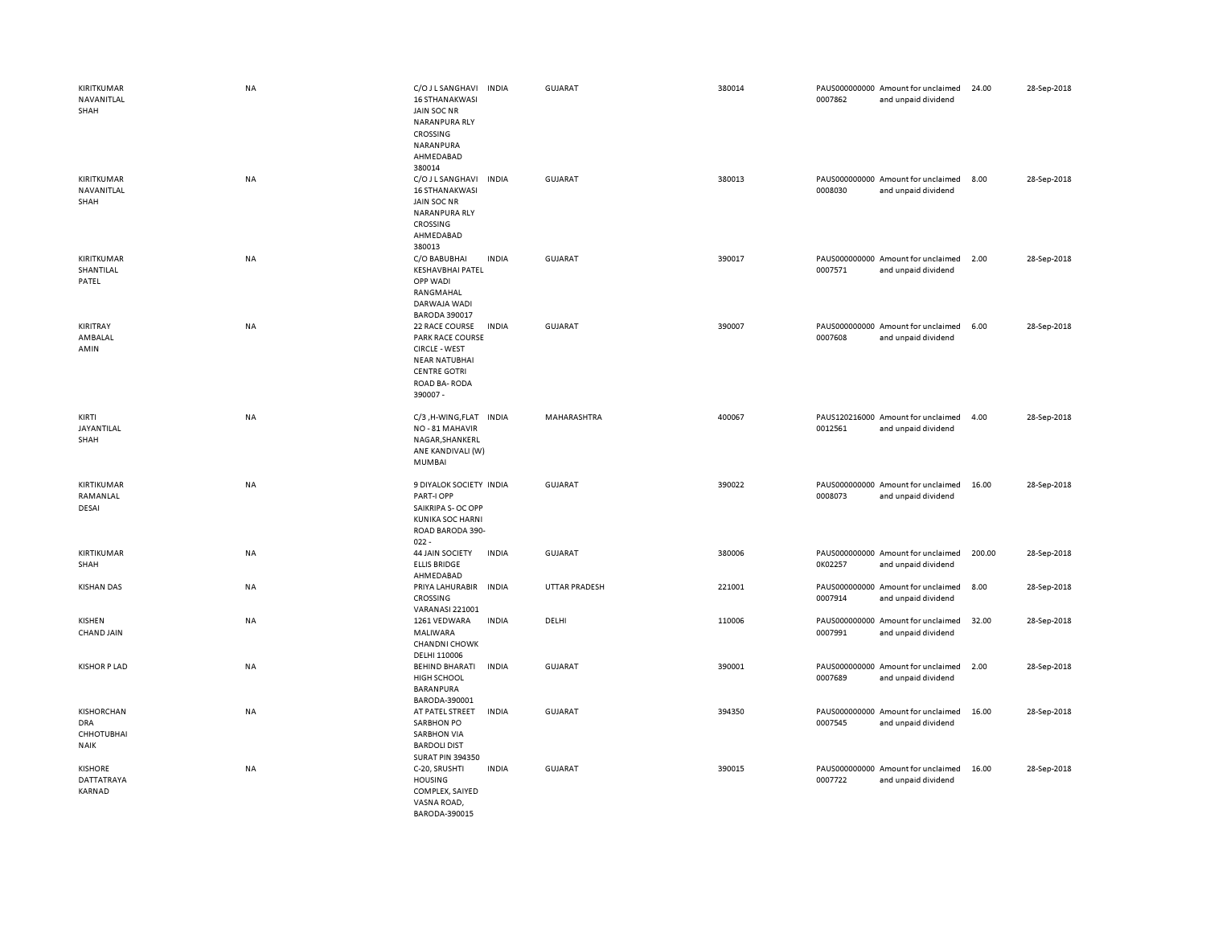| KIRITKUMAR<br>NAVANITLAL<br>SHAH                             | <b>NA</b> | C/O J L SANGHAVI<br><b>INDIA</b><br><b>16 STHANAKWASI</b><br>JAIN SOC NR<br>NARANPURA RLY<br>CROSSING<br>NARANPURA<br>AHMEDABAD<br>380014            | <b>GUJARAT</b> | 380014 | 0007862 | PAUS000000000 Amount for unclaimed<br>and unpaid dividend | 24.00  | 28-Sep-2018 |
|--------------------------------------------------------------|-----------|------------------------------------------------------------------------------------------------------------------------------------------------------|----------------|--------|---------|-----------------------------------------------------------|--------|-------------|
| KIRITKUMAR<br>NAVANITLAL<br>SHAH                             | NA        | C/O J L SANGHAVI<br><b>INDIA</b><br><b>16 STHANAKWASI</b><br>JAIN SOC NR<br><b>NARANPURA RLY</b><br>CROSSING<br>AHMEDABAD<br>380013                  | GUJARAT        | 380013 | 0008030 | PAUS000000000 Amount for unclaimed<br>and unpaid dividend | 8.00   | 28-Sep-2018 |
| KIRITKUMAR<br>SHANTILAL<br>PATEL                             | NA        | C/O BABUBHAI<br><b>INDIA</b><br><b>KESHAVBHAI PATEL</b><br>OPP WADI<br>RANGMAHAL<br>DARWAJA WADI<br><b>BARODA 390017</b>                             | GUJARAT        | 390017 | 0007571 | PAUS000000000 Amount for unclaimed<br>and unpaid dividend | 2.00   | 28-Sep-2018 |
| KIRITRAY<br>AMBALAL<br>AMIN                                  | NA        | 22 RACE COURSE<br><b>INDIA</b><br>PARK RACE COURSE<br><b>CIRCLE - WEST</b><br><b>NEAR NATUBHAI</b><br><b>CENTRE GOTRI</b><br>ROAD BA-RODA<br>390007- | <b>GUJARAT</b> | 390007 | 0007608 | PAUS000000000 Amount for unclaimed<br>and unpaid dividend | 6.00   | 28-Sep-2018 |
| KIRTI<br>JAYANTILAL<br>SHAH                                  | NA        | C/3, H-WING, FLAT INDIA<br>NO-81 MAHAVIR<br>NAGAR, SHANKERL<br>ANE KANDIVALI (W)<br>MUMBAI                                                           | MAHARASHTRA    | 400067 | 0012561 | PAUS120216000 Amount for unclaimed<br>and unpaid dividend | 4.00   | 28-Sep-2018 |
| KIRTIKUMAR<br>RAMANLAL<br>DESAI                              | NA        | 9 DIYALOK SOCIETY INDIA<br>PART-I OPP<br>SAIKRIPA S- OC OPP<br><b>KUNIKA SOC HARNI</b><br>ROAD BARODA 390-<br>$022 -$                                | <b>GUJARAT</b> | 390022 | 0008073 | PAUS000000000 Amount for unclaimed<br>and unpaid dividend | 16.00  | 28-Sep-2018 |
| KIRTIKUMAR<br>SHAH                                           | NA        | <b>44 JAIN SOCIETY</b><br><b>INDIA</b><br><b>ELLIS BRIDGE</b><br>AHMEDABAD                                                                           | <b>GUJARAT</b> | 380006 | 0K02257 | PAUS000000000 Amount for unclaimed<br>and unpaid dividend | 200.00 | 28-Sep-2018 |
| <b>KISHAN DAS</b>                                            | NA        | PRIYA LAHURABIR INDIA<br>CROSSING<br><b>VARANASI 221001</b>                                                                                          | UTTAR PRADESH  | 221001 | 0007914 | PAUS000000000 Amount for unclaimed<br>and unpaid dividend | 8.00   | 28-Sep-2018 |
| KISHEN<br>CHAND JAIN                                         | NA        | 1261 VEDWARA<br><b>INDIA</b><br>MALIWARA<br><b>CHANDNI CHOWK</b><br>DELHI 110006                                                                     | DELHI          | 110006 | 0007991 | PAUS000000000 Amount for unclaimed<br>and unpaid dividend | 32.00  | 28-Sep-2018 |
| <b>KISHOR P LAD</b>                                          | NA        | <b>BEHIND BHARATI</b><br><b>INDIA</b><br>HIGH SCHOOL<br>BARANPURA<br>BARODA-390001                                                                   | <b>GUJARAT</b> | 390001 | 0007689 | PAUS000000000 Amount for unclaimed<br>and unpaid dividend | 2.00   | 28-Sep-2018 |
| KISHORCHAN<br><b>DRA</b><br><b>CHHOTUBHAI</b><br><b>NAIK</b> | NA        | AT PATEL STREET<br><b>INDIA</b><br><b>SARBHON PO</b><br><b>SARBHON VIA</b><br><b>BARDOLI DIST</b><br><b>SURAT PIN 394350</b>                         | <b>GUJARAT</b> | 394350 | 0007545 | PAUS000000000 Amount for unclaimed<br>and unpaid dividend | 16.00  | 28-Sep-2018 |
| <b>KISHORE</b><br>DATTATRAYA<br>KARNAD                       | NA        | C-20, SRUSHTI<br><b>INDIA</b><br><b>HOUSING</b><br>COMPLEX, SAIYED<br>VASNA ROAD,<br>BARODA-390015                                                   | GUJARAT        | 390015 | 0007722 | PAUS000000000 Amount for unclaimed<br>and unpaid dividend | 16.00  | 28-Sep-2018 |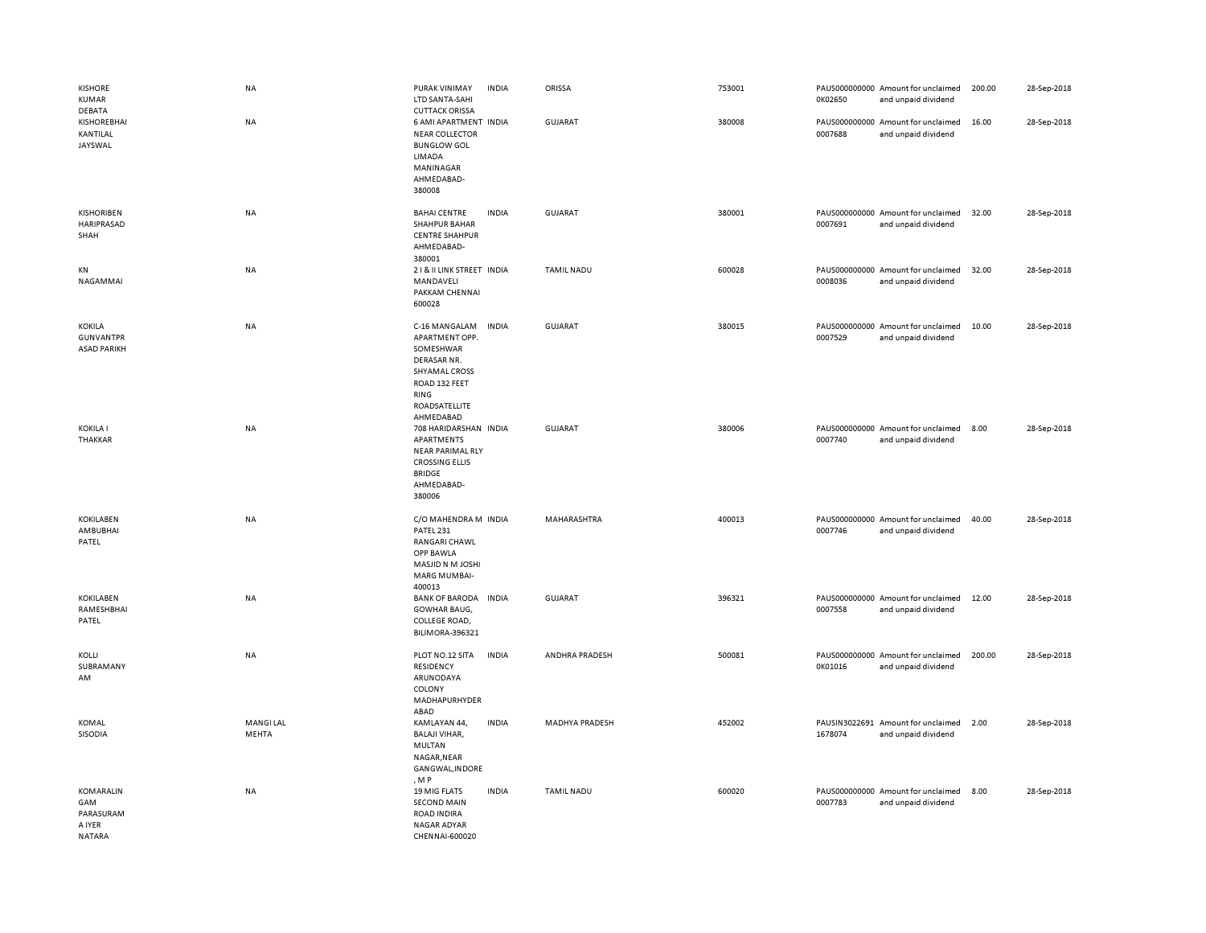| <b>KISHORE</b><br><b>KUMAR</b><br>DEBATA                 | NA                       | PURAK VINIMAY<br>LTD SANTA-SAHI<br><b>CUTTACK ORISSA</b>                                                                            | <b>INDIA</b> | ORISSA            | 753001 | 0K02650 | PAUS000000000 Amount for unclaimed<br>and unpaid dividend | 200.00 | 28-Sep-2018 |
|----------------------------------------------------------|--------------------------|-------------------------------------------------------------------------------------------------------------------------------------|--------------|-------------------|--------|---------|-----------------------------------------------------------|--------|-------------|
| <b>KISHOREBHAI</b><br>KANTILAL<br>JAYSWAL                | <b>NA</b>                | 6 AMI APARTMENT INDIA<br><b>NEAR COLLECTOR</b><br><b>BUNGLOW GOL</b><br>LIMADA<br>MANINAGAR<br>AHMEDABAD-<br>380008                 |              | GUJARAT           | 380008 | 0007688 | PAUS000000000 Amount for unclaimed<br>and unpaid dividend | 16.00  | 28-Sep-2018 |
| <b>KISHORIBEN</b><br>HARIPRASAD<br>SHAH                  | NA                       | <b>BAHAI CENTRE</b><br><b>SHAHPUR BAHAR</b><br><b>CENTRE SHAHPUR</b><br>AHMEDABAD-<br>380001                                        | <b>INDIA</b> | <b>GUJARAT</b>    | 380001 | 0007691 | PAUS000000000 Amount for unclaimed<br>and unpaid dividend | 32.00  | 28-Sep-2018 |
| KN<br>NAGAMMAI                                           | NA                       | 21& II LINK STREET INDIA<br>MANDAVELI<br>PAKKAM CHENNAI<br>600028                                                                   |              | <b>TAMIL NADU</b> | 600028 | 0008036 | PAUS000000000 Amount for unclaimed<br>and unpaid dividend | 32.00  | 28-Sep-2018 |
| KOKILA<br><b>GUNVANTPR</b><br><b>ASAD PARIKH</b>         | <b>NA</b>                | C-16 MANGALAM<br>APARTMENT OPP.<br>SOMESHWAR<br>DERASAR NR.<br>SHYAMAL CROSS<br>ROAD 132 FEET<br>RING<br>ROADSATELLITE<br>AHMEDABAD | <b>INDIA</b> | GUJARAT           | 380015 | 0007529 | PAUS000000000 Amount for unclaimed<br>and unpaid dividend | 10.00  | 28-Sep-2018 |
| <b>KOKILA I</b><br>THAKKAR                               | NA                       | 708 HARIDARSHAN INDIA<br>APARTMENTS<br>NEAR PARIMAL RLY<br><b>CROSSING ELLIS</b><br><b>BRIDGE</b><br>AHMEDABAD-<br>380006           |              | <b>GUJARAT</b>    | 380006 | 0007740 | PAUS000000000 Amount for unclaimed<br>and unpaid dividend | 8.00   | 28-Sep-2018 |
| <b>KOKILABEN</b><br>AMBUBHAI<br>PATEL                    | NA                       | C/O MAHENDRA M INDIA<br>PATEL 231<br>RANGARI CHAWL<br>OPP BAWLA<br>MASJID N M JOSHI<br>MARG MUMBAI-<br>400013                       |              | MAHARASHTRA       | 400013 | 0007746 | PAUS000000000 Amount for unclaimed<br>and unpaid dividend | 40.00  | 28-Sep-2018 |
| <b>KOKILABEN</b><br>RAMESHBHAI<br>PATEL                  | NA                       | <b>BANK OF BARODA</b><br>GOWHAR BAUG,<br>COLLEGE ROAD,<br>BILIMORA-396321                                                           | <b>INDIA</b> | <b>GUJARAT</b>    | 396321 | 0007558 | PAUS000000000 Amount for unclaimed<br>and unpaid dividend | 12.00  | 28-Sep-2018 |
| KOLLI<br>SUBRAMANY<br>AM                                 | <b>NA</b>                | PLOT NO.12 SITA<br>RESIDENCY<br>ARUNODAYA<br>COLONY<br>MADHAPURHYDER<br>ABAD                                                        | <b>INDIA</b> | ANDHRA PRADESH    | 500081 | 0K01016 | PAUS000000000 Amount for unclaimed<br>and unpaid dividend | 200.00 | 28-Sep-2018 |
| KOMAL<br>SISODIA                                         | <b>MANGILAL</b><br>MEHTA | KAMLAYAN 44,<br><b>BALAJI VIHAR,</b><br>MULTAN<br>NAGAR, NEAR<br>GANGWAL, INDORE<br>, M P                                           | <b>INDIA</b> | MADHYA PRADESH    | 452002 | 1678074 | PAUSIN3022691 Amount for unclaimed<br>and unpaid dividend | 2.00   | 28-Sep-2018 |
| KOMARALIN<br>GAM<br>PARASURAM<br>A IYER<br><b>NATARA</b> | <b>NA</b>                | <b>19 MIG FLATS</b><br><b>SECOND MAIN</b><br><b>ROAD INDIRA</b><br>NAGAR ADYAR<br>CHENNAI-600020                                    | <b>INDIA</b> | <b>TAMIL NADU</b> | 600020 | 0007783 | PAUS000000000 Amount for unclaimed<br>and unpaid dividend | 8.00   | 28-Sep-2018 |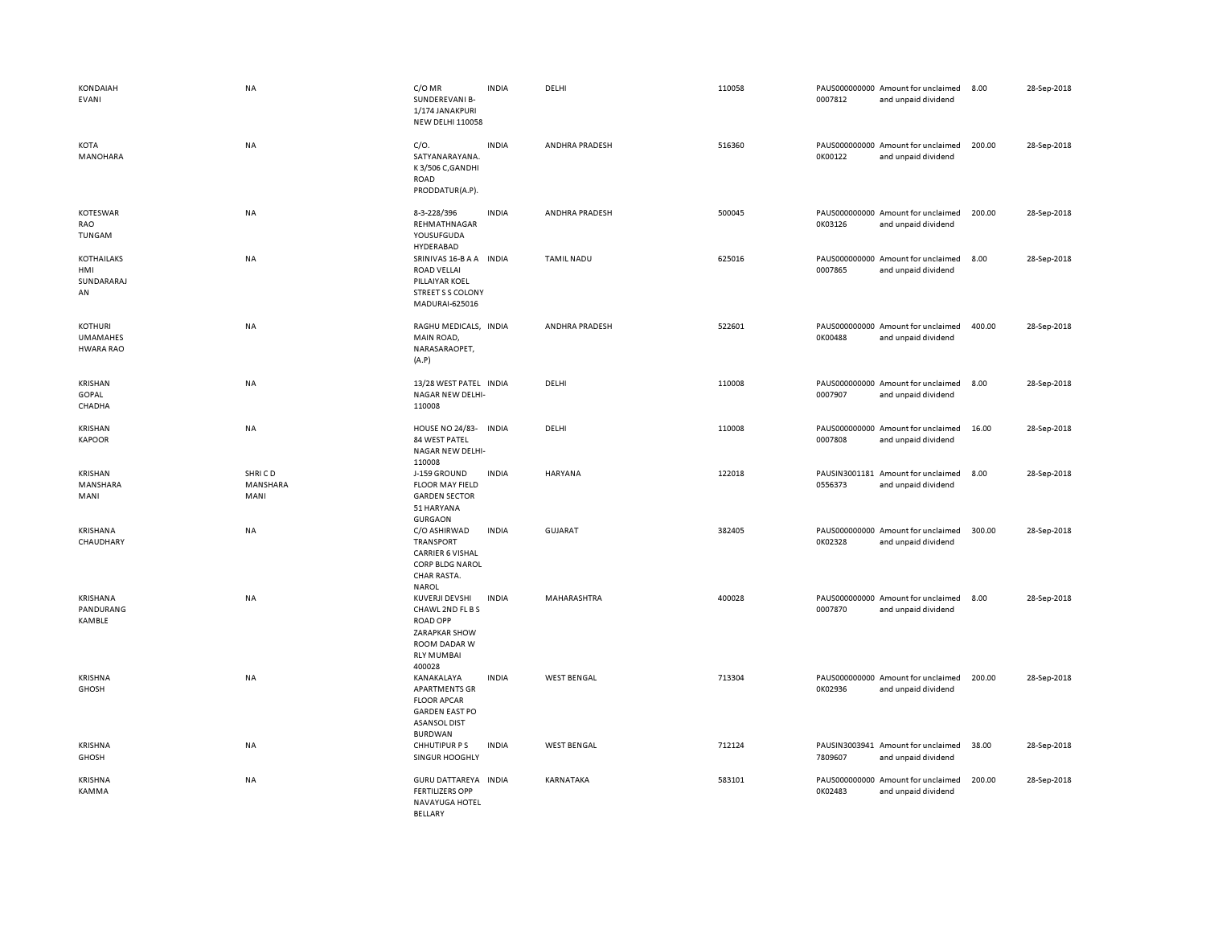| KONDAIAH<br>EVANI                                     | <b>NA</b>                  | C/OMR<br>SUNDEREVANI B-<br>1/174 JANAKPURI<br><b>NEW DELHI 110058</b>                                                        | <b>INDIA</b> | DELHI              | 110058 | 0007812 | PAUS000000000 Amount for unclaimed<br>and unpaid dividend | 8.00   | 28-Sep-2018 |
|-------------------------------------------------------|----------------------------|------------------------------------------------------------------------------------------------------------------------------|--------------|--------------------|--------|---------|-----------------------------------------------------------|--------|-------------|
| <b>KOTA</b><br>MANOHARA                               | <b>NA</b>                  | C/O.<br>SATYANARAYANA.<br>K3/506 C, GANDHI<br><b>ROAD</b><br>PRODDATUR(A.P).                                                 | <b>INDIA</b> | ANDHRA PRADESH     | 516360 | 0K00122 | PAUS000000000 Amount for unclaimed<br>and unpaid dividend | 200.00 | 28-Sep-2018 |
| <b>KOTESWAR</b><br>RAO<br>TUNGAM                      | NA                         | 8-3-228/396<br>REHMATHNAGAR<br>YOUSUFGUDA<br>HYDERABAD                                                                       | <b>INDIA</b> | ANDHRA PRADESH     | 500045 | 0K03126 | PAUS000000000 Amount for unclaimed<br>and unpaid dividend | 200.00 | 28-Sep-2018 |
| KOTHAILAKS<br>HMI<br>SUNDARARAJ<br>AN                 | <b>NA</b>                  | SRINIVAS 16-B A A INDIA<br><b>ROAD VELLAI</b><br>PILLAIYAR KOEL<br><b>STREET S S COLONY</b><br>MADURAI-625016                |              | <b>TAMIL NADU</b>  | 625016 | 0007865 | PAUS000000000 Amount for unclaimed<br>and unpaid dividend | 8.00   | 28-Sep-2018 |
| <b>KOTHURI</b><br><b>UMAMAHES</b><br><b>HWARA RAO</b> | NA                         | RAGHU MEDICALS, INDIA<br>MAIN ROAD,<br>NARASARAOPET,<br>(A.P)                                                                |              | ANDHRA PRADESH     | 522601 | 0K00488 | PAUS000000000 Amount for unclaimed<br>and unpaid dividend | 400.00 | 28-Sep-2018 |
| <b>KRISHAN</b><br>GOPAL<br>CHADHA                     | NA                         | 13/28 WEST PATEL INDIA<br>NAGAR NEW DELHI-<br>110008                                                                         |              | DELHI              | 110008 | 0007907 | PAUS000000000 Amount for unclaimed<br>and unpaid dividend | 8.00   | 28-Sep-2018 |
| <b>KRISHAN</b><br><b>KAPOOR</b>                       | NA                         | HOUSE NO 24/83- INDIA<br>84 WEST PATEL<br>NAGAR NEW DELHI-<br>110008                                                         |              | DELHI              | 110008 | 0007808 | PAUS000000000 Amount for unclaimed<br>and unpaid dividend | 16.00  | 28-Sep-2018 |
| <b>KRISHAN</b><br>MANSHARA<br>MANI                    | SHRICD<br>MANSHARA<br>MANI | J-159 GROUND<br><b>FLOOR MAY FIELD</b><br><b>GARDEN SECTOR</b><br>51 HARYANA<br><b>GURGAON</b>                               | <b>INDIA</b> | HARYANA            | 122018 | 0556373 | PAUSIN3001181 Amount for unclaimed<br>and unpaid dividend | 8.00   | 28-Sep-2018 |
| KRISHANA<br>CHAUDHARY                                 | <b>NA</b>                  | C/O ASHIRWAD<br>TRANSPORT<br><b>CARRIER 6 VISHAL</b><br>CORP BLDG NAROL<br>CHAR RASTA.<br><b>NAROL</b>                       | <b>INDIA</b> | GUJARAT            | 382405 | 0K02328 | PAUS000000000 Amount for unclaimed<br>and unpaid dividend | 300.00 | 28-Sep-2018 |
| KRISHANA<br>PANDURANG<br>KAMBLE                       | <b>NA</b>                  | KUVERJI DEVSHI<br>CHAWL 2ND FL B S<br><b>ROAD OPP</b><br><b>ZARAPKAR SHOW</b><br>ROOM DADAR W<br><b>RLY MUMBAI</b><br>400028 | <b>INDIA</b> | MAHARASHTRA        | 400028 | 0007870 | PAUS000000000 Amount for unclaimed<br>and unpaid dividend | 8.00   | 28-Sep-2018 |
| <b>KRISHNA</b><br><b>GHOSH</b>                        | NA                         | KANAKALAYA<br><b>APARTMENTS GR</b><br><b>FLOOR APCAR</b><br><b>GARDEN EAST PO</b><br><b>ASANSOL DIST</b><br><b>BURDWAN</b>   | <b>INDIA</b> | <b>WEST BENGAL</b> | 713304 | 0K02936 | PAUS000000000 Amount for unclaimed<br>and unpaid dividend | 200.00 | 28-Sep-2018 |
| KRISHNA<br><b>GHOSH</b>                               | NA                         | <b>CHHUTIPUR PS</b><br>SINGUR HOOGHLY                                                                                        | <b>INDIA</b> | <b>WEST BENGAL</b> | 712124 | 7809607 | PAUSIN3003941 Amount for unclaimed<br>and unpaid dividend | 38.00  | 28-Sep-2018 |
| <b>KRISHNA</b><br>KAMMA                               | NA                         | GURU DATTAREYA INDIA<br><b>FERTILIZERS OPP</b><br>NAVAYUGA HOTEL<br><b>BELLARY</b>                                           |              | KARNATAKA          | 583101 | 0K02483 | PAUS000000000 Amount for unclaimed<br>and unpaid dividend | 200.00 | 28-Sep-2018 |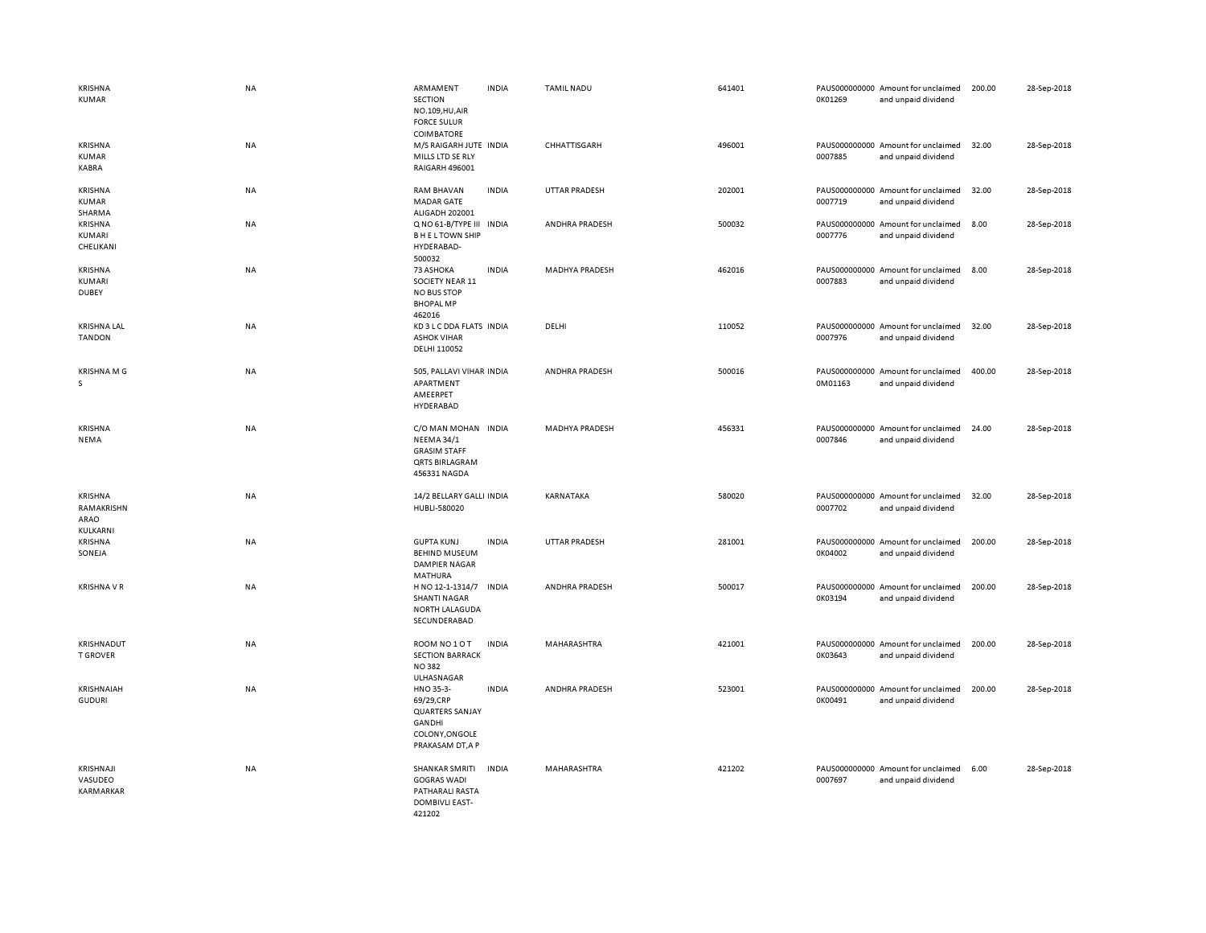| <b>KRISHNA</b><br><b>KUMAR</b>            | <b>NA</b> | ARMAMENT<br><b>SECTION</b><br>NO.109, HU, AIR<br><b>FORCE SULUR</b>                                      | <b>INDIA</b> | <b>TAMIL NADU</b>     | 641401 | 0K01269 | PAUS000000000 Amount for unclaimed<br>and unpaid dividend | 200.00 | 28-Sep-2018 |
|-------------------------------------------|-----------|----------------------------------------------------------------------------------------------------------|--------------|-----------------------|--------|---------|-----------------------------------------------------------|--------|-------------|
| <b>KRISHNA</b><br>KUMAR<br>KABRA          | <b>NA</b> | <b>COIMBATORE</b><br>M/S RAIGARH JUTE INDIA<br>MILLS LTD SE RLY<br>RAIGARH 496001                        |              | CHHATTISGARH          | 496001 | 0007885 | PAUS000000000 Amount for unclaimed<br>and unpaid dividend | 32.00  | 28-Sep-2018 |
| <b>KRISHNA</b><br><b>KUMAR</b><br>SHARMA  | <b>NA</b> | <b>RAM BHAVAN</b><br><b>MADAR GATE</b><br>ALIGADH 202001                                                 | <b>INDIA</b> | <b>UTTAR PRADESH</b>  | 202001 | 0007719 | PAUS000000000 Amount for unclaimed<br>and unpaid dividend | 32.00  | 28-Sep-2018 |
| <b>KRISHNA</b><br>KUMARI<br>CHELIKANI     | <b>NA</b> | Q NO 61-B/TYPE III INDIA<br><b>BHELTOWN SHIP</b><br>HYDERABAD-<br>500032                                 |              | ANDHRA PRADESH        | 500032 | 0007776 | PAUS000000000 Amount for unclaimed<br>and unpaid dividend | 8.00   | 28-Sep-2018 |
| KRISHNA<br>KUMARI<br><b>DUBEY</b>         | <b>NA</b> | 73 ASHOKA<br>SOCIETY NEAR 11<br><b>NO BUS STOP</b><br><b>BHOPAL MP</b><br>462016                         | <b>INDIA</b> | <b>MADHYA PRADESH</b> | 462016 | 0007883 | PAUS000000000 Amount for unclaimed<br>and unpaid dividend | 8.00   | 28-Sep-2018 |
| <b>KRISHNA LAL</b><br><b>TANDON</b>       | NA        | KD 3 L C DDA FLATS INDIA<br><b>ASHOK VIHAR</b><br>DELHI 110052                                           |              | DELHI                 | 110052 | 0007976 | PAUS000000000 Amount for unclaimed<br>and unpaid dividend | 32.00  | 28-Sep-2018 |
| <b>KRISHNA M G</b><br>s                   | NA        | 505, PALLAVI VIHAR INDIA<br>APARTMENT<br>AMEERPET<br>HYDERABAD                                           |              | ANDHRA PRADESH        | 500016 | 0M01163 | PAUS000000000 Amount for unclaimed<br>and unpaid dividend | 400.00 | 28-Sep-2018 |
| <b>KRISHNA</b><br>NEMA                    | NA        | C/O MAN MOHAN INDIA<br><b>NEEMA 34/1</b><br><b>GRASIM STAFF</b><br><b>QRTS BIRLAGRAM</b><br>456331 NAGDA |              | <b>MADHYA PRADESH</b> | 456331 | 0007846 | PAUS000000000 Amount for unclaimed<br>and unpaid dividend | 24.00  | 28-Sep-2018 |
| KRISHNA<br>RAMAKRISHN<br>ARAO<br>KULKARNI | NA        | 14/2 BELLARY GALLI INDIA<br>HUBLI-580020                                                                 |              | KARNATAKA             | 580020 | 0007702 | PAUS000000000 Amount for unclaimed<br>and unpaid dividend | 32.00  | 28-Sep-2018 |
| <b>KRISHNA</b><br>SONEJA                  | <b>NA</b> | <b>GUPTA KUNJ</b><br><b>BEHIND MUSEUM</b><br><b>DAMPIER NAGAR</b><br>MATHURA                             | <b>INDIA</b> | <b>UTTAR PRADESH</b>  | 281001 | 0K04002 | PAUS000000000 Amount for unclaimed<br>and unpaid dividend | 200.00 | 28-Sep-2018 |
| <b>KRISHNA V R</b>                        | <b>NA</b> | H NO 12-1-1314/7<br><b>SHANTI NAGAR</b><br><b>NORTH LALAGUDA</b><br>SECUNDERABAD                         | <b>INDIA</b> | ANDHRA PRADESH        | 500017 | 0K03194 | PAUS000000000 Amount for unclaimed<br>and unpaid dividend | 200.00 | 28-Sep-2018 |
| KRISHNADUT<br><b>T GROVER</b>             | <b>NA</b> | ROOM NO 1 O T<br><b>SECTION BARRACK</b><br><b>NO382</b><br>ULHASNAGAR                                    | <b>INDIA</b> | MAHARASHTRA           | 421001 | 0K03643 | PAUS000000000 Amount for unclaimed<br>and unpaid dividend | 200.00 | 28-Sep-2018 |
| KRISHNAIAH<br><b>GUDURI</b>               | <b>NA</b> | HNO 35-3-<br>69/29,CRP<br><b>QUARTERS SANJAY</b><br>GANDHI<br>COLONY, ONGOLE<br>PRAKASAM DT, A P         | <b>INDIA</b> | ANDHRA PRADESH        | 523001 | 0K00491 | PAUS000000000 Amount for unclaimed<br>and unpaid dividend | 200.00 | 28-Sep-2018 |
| KRISHNAJI<br>VASUDEO<br>KARMARKAR         | <b>NA</b> | <b>SHANKAR SMRITI</b><br><b>GOGRAS WADI</b><br>PATHARALI RASTA<br>DOMBIVLI EAST-<br>421202               | <b>INDIA</b> | MAHARASHTRA           | 421202 | 0007697 | PAUS000000000 Amount for unclaimed<br>and unpaid dividend | 6.00   | 28-Sep-2018 |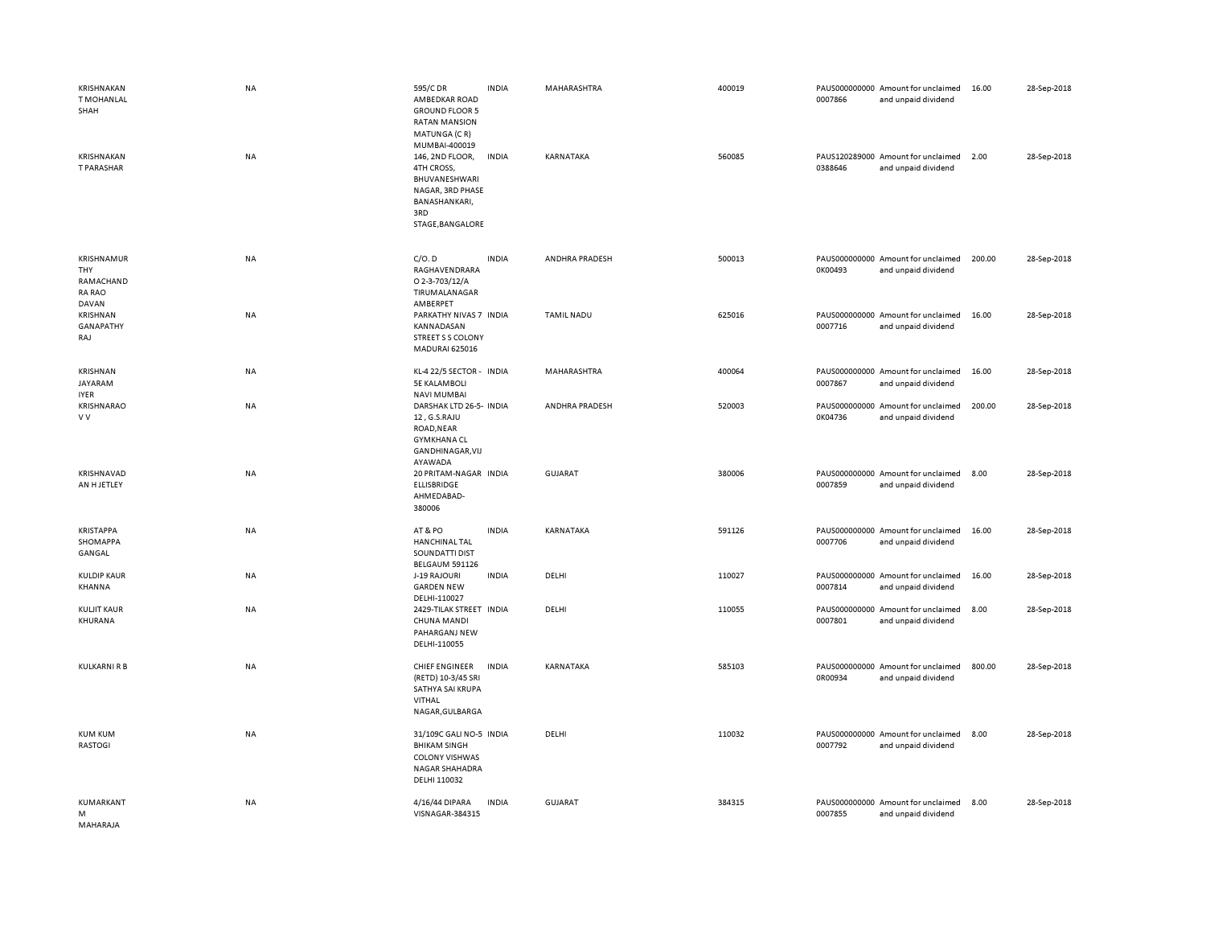| KRISHNAKAN<br><b>T MOHANLAL</b><br>SHAH<br>KRISHNAKAN<br>T PARASHAR | NA<br>NA  | 595/C DR<br>AMBEDKAR ROAD<br><b>GROUND FLOOR 5</b><br><b>RATAN MANSION</b><br>MATUNGA (CR)<br>MUMBAI-400019<br>146, 2ND FLOOR,<br>4TH CROSS,<br>BHUVANESHWARI<br>NAGAR, 3RD PHASE<br>BANASHANKARI,<br>3RD<br>STAGE, BANGALORE | <b>INDIA</b><br><b>INDIA</b> | MAHARASHTRA<br>KARNATAKA | 400019<br>560085 | 0007866<br>0388646 | PAUS000000000 Amount for unclaimed<br>and unpaid dividend<br>PAUS120289000 Amount for unclaimed<br>and unpaid dividend | 16.00<br>2.00 | 28-Sep-2018<br>28-Sep-2018 |
|---------------------------------------------------------------------|-----------|-------------------------------------------------------------------------------------------------------------------------------------------------------------------------------------------------------------------------------|------------------------------|--------------------------|------------------|--------------------|------------------------------------------------------------------------------------------------------------------------|---------------|----------------------------|
| KRISHNAMUR<br>THY<br>RAMACHAND<br><b>RA RAO</b>                     | NA        | C/O.D<br>RAGHAVENDRARA<br>O 2-3-703/12/A<br>TIRUMALANAGAR                                                                                                                                                                     | <b>INDIA</b>                 | ANDHRA PRADESH           | 500013           | 0K00493            | PAUS000000000 Amount for unclaimed<br>and unpaid dividend                                                              | 200.00        | 28-Sep-2018                |
| <b>DAVAN</b><br>KRISHNAN<br><b>GANAPATHY</b><br>RAJ                 | NA        | AMBERPET<br>PARKATHY NIVAS 7 INDIA<br>KANNADASAN<br>STREET S S COLONY<br>MADURAI 625016                                                                                                                                       |                              | <b>TAMIL NADU</b>        | 625016           | 0007716            | PAUS000000000 Amount for unclaimed<br>and unpaid dividend                                                              | 16.00         | 28-Sep-2018                |
| KRISHNAN<br>JAYARAM<br><b>IYER</b>                                  | NA        | KL-4 22/5 SECTOR - INDIA<br><b>5E KALAMBOLI</b><br><b>NAVI MUMBAI</b>                                                                                                                                                         |                              | <b>MAHARASHTRA</b>       | 400064           | 0007867            | PAUS000000000 Amount for unclaimed<br>and unpaid dividend                                                              | 16.00         | 28-Sep-2018                |
| KRISHNARAO<br>V V                                                   | NA        | DARSHAK LTD 26-5- INDIA<br>12, G.S.RAJU<br>ROAD, NEAR<br><b>GYMKHANA CL</b><br>GANDHINAGAR, VIJ<br>AYAWADA                                                                                                                    |                              | ANDHRA PRADESH           | 520003           | 0K04736            | PAUS000000000 Amount for unclaimed<br>and unpaid dividend                                                              | 200.00        | 28-Sep-2018                |
| KRISHNAVAD<br>AN H JETLEY                                           | NA        | 20 PRITAM-NAGAR INDIA<br>ELLISBRIDGE<br>AHMEDABAD-<br>380006                                                                                                                                                                  |                              | <b>GUJARAT</b>           | 380006           | 0007859            | PAUS000000000 Amount for unclaimed<br>and unpaid dividend                                                              | 8.00          | 28-Sep-2018                |
| <b>KRISTAPPA</b><br>SHOMAPPA<br>GANGAL                              | NA        | AT&PO<br><b>HANCHINAL TAL</b><br>SOUNDATTI DIST<br>BELGAUM 591126                                                                                                                                                             | <b>INDIA</b>                 | KARNATAKA                | 591126           | 0007706            | PAUS000000000 Amount for unclaimed<br>and unpaid dividend                                                              | 16.00         | 28-Sep-2018                |
| <b>KULDIP KAUR</b><br>KHANNA                                        | NA        | J-19 RAJOURI<br><b>GARDEN NEW</b><br>DELHI-110027                                                                                                                                                                             | <b>INDIA</b>                 | DELHI                    | 110027           | 0007814            | PAUS000000000 Amount for unclaimed<br>and unpaid dividend                                                              | 16.00         | 28-Sep-2018                |
| <b>KULJIT KAUR</b><br>KHURANA                                       | <b>NA</b> | 2429-TILAK STREET INDIA<br><b>CHUNA MANDI</b><br>PAHARGANJ NEW<br>DELHI-110055                                                                                                                                                |                              | DELHI                    | 110055           | 0007801            | PAUS000000000 Amount for unclaimed<br>and unpaid dividend                                                              | 8.00          | 28-Sep-2018                |
| KULKARNI R B                                                        | <b>NA</b> | CHIEF ENGINEER<br>(RETD) 10-3/45 SRI<br>SATHYA SAI KRUPA<br>VITHAL<br>NAGAR, GULBARGA                                                                                                                                         | <b>INDIA</b>                 | KARNATAKA                | 585103           | 0R00934            | PAUS000000000 Amount for unclaimed<br>and unpaid dividend                                                              | 800.00        | 28-Sep-2018                |
| <b>KUM KUM</b><br>RASTOGI                                           | <b>NA</b> | 31/109C GALI NO-5 INDIA<br><b>BHIKAM SINGH</b><br><b>COLONY VISHWAS</b><br><b>NAGAR SHAHADRA</b><br>DELHI 110032                                                                                                              |                              | DELHI                    | 110032           | 0007792            | PAUS000000000 Amount for unclaimed<br>and unpaid dividend                                                              | 8.00          | 28-Sep-2018                |
| KUMARKANT<br>M<br>MAHARAJA                                          | NA        | 4/16/44 DIPARA<br>VISNAGAR-384315                                                                                                                                                                                             | <b>INDIA</b>                 | <b>GUJARAT</b>           | 384315           | 0007855            | PAUS000000000 Amount for unclaimed<br>and unpaid dividend                                                              | 8.00          | 28-Sep-2018                |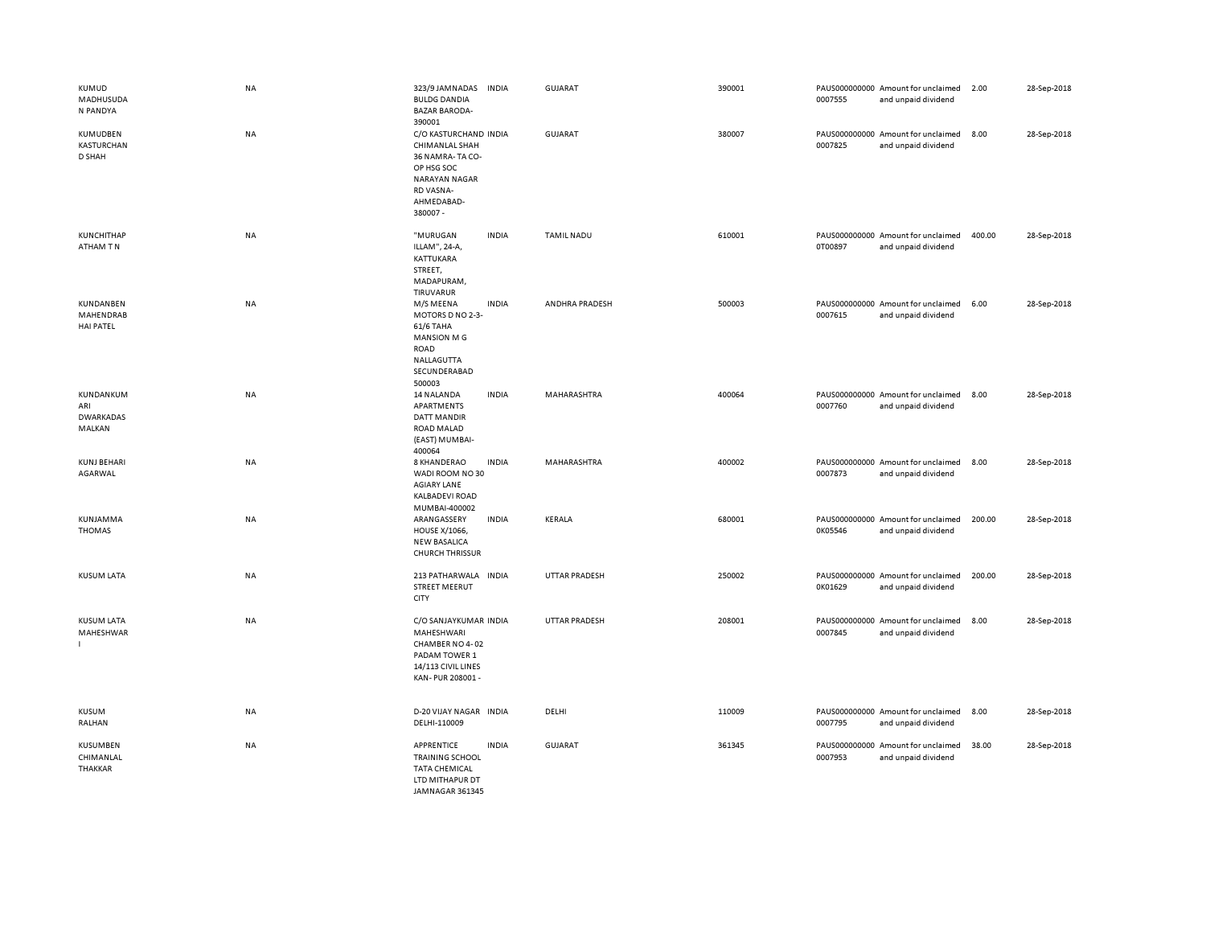| KUMUD<br>MADHUSUDA<br>N PANDYA                 | <b>NA</b> | 323/9 JAMNADAS<br><b>INDIA</b><br><b>BULDG DANDIA</b><br><b>BAZAR BARODA-</b><br>390001                                                | GUJARAT              | 390001 | PAUS000000000 Amount for unclaimed<br>0007555<br>and unpaid dividend | 2.00   | 28-Sep-2018 |
|------------------------------------------------|-----------|----------------------------------------------------------------------------------------------------------------------------------------|----------------------|--------|----------------------------------------------------------------------|--------|-------------|
| KUMUDBEN<br><b>KASTURCHAN</b><br>D SHAH        | <b>NA</b> | C/O KASTURCHAND INDIA<br>CHIMANLAL SHAH<br>36 NAMRA-TA CO-<br>OP HSG SOC<br><b>NARAYAN NAGAR</b><br>RD VASNA-<br>AHMEDABAD-<br>380007- | <b>GUJARAT</b>       | 380007 | PAUS000000000 Amount for unclaimed<br>0007825<br>and unpaid dividend | 8.00   | 28-Sep-2018 |
| KUNCHITHAP<br>ATHAM TN                         | <b>NA</b> | "MURUGAN<br><b>INDIA</b><br>ILLAM", 24-A,<br>KATTUKARA<br>STREET,<br>MADAPURAM,<br>TIRUVARUR                                           | <b>TAMIL NADU</b>    | 610001 | PAUS000000000 Amount for unclaimed<br>0T00897<br>and unpaid dividend | 400.00 | 28-Sep-2018 |
| KUNDANBEN<br>MAHENDRAB<br><b>HAI PATEL</b>     | <b>NA</b> | M/S MEENA<br><b>INDIA</b><br>MOTORS D NO 2-3-<br>61/6 TAHA<br><b>MANSION MG</b><br><b>ROAD</b><br>NALLAGUTTA<br>SECUNDERABAD<br>500003 | ANDHRA PRADESH       | 500003 | PAUS000000000 Amount for unclaimed<br>0007615<br>and unpaid dividend | 6.00   | 28-Sep-2018 |
| KUNDANKUM<br>ARI<br><b>DWARKADAS</b><br>MALKAN | <b>NA</b> | 14 NALANDA<br><b>INDIA</b><br>APARTMENTS<br><b>DATT MANDIR</b><br>ROAD MALAD<br>(EAST) MUMBAI-<br>400064                               | MAHARASHTRA          | 400064 | PAUS000000000 Amount for unclaimed<br>0007760<br>and unpaid dividend | 8.00   | 28-Sep-2018 |
| <b>KUNJ BEHARI</b><br>AGARWAL                  | <b>NA</b> | 8 KHANDERAO<br><b>INDIA</b><br>WADI ROOM NO 30<br><b>AGIARY LANE</b><br>KALBADEVI ROAD<br>MUMBAI-400002                                | MAHARASHTRA          | 400002 | PAUS000000000 Amount for unclaimed<br>0007873<br>and unpaid dividend | 8.00   | 28-Sep-2018 |
| KUNJAMMA<br><b>THOMAS</b>                      | NA        | ARANGASSERY<br><b>INDIA</b><br><b>HOUSE X/1066,</b><br><b>NEW BASALICA</b><br><b>CHURCH THRISSUR</b>                                   | KERALA               | 680001 | PAUS000000000 Amount for unclaimed<br>0K05546<br>and unpaid dividend | 200.00 | 28-Sep-2018 |
| <b>KUSUM LATA</b>                              | NA        | 213 PATHARWALA INDIA<br><b>STREET MEERUT</b><br>CITY                                                                                   | <b>UTTAR PRADESH</b> | 250002 | PAUS000000000 Amount for unclaimed<br>0K01629<br>and unpaid dividend | 200.00 | 28-Sep-2018 |
| <b>KUSUM LATA</b><br>MAHESHWAR                 | <b>NA</b> | C/O SANJAYKUMAR INDIA<br>MAHESHWARI<br>CHAMBER NO 4-02<br>PADAM TOWER 1<br>14/113 CIVIL LINES<br>KAN-PUR 208001 -                      | <b>UTTAR PRADESH</b> | 208001 | PAUS000000000 Amount for unclaimed<br>0007845<br>and unpaid dividend | 8.00   | 28-Sep-2018 |
| KUSUM<br>RALHAN                                | <b>NA</b> | D-20 VIJAY NAGAR INDIA<br>DELHI-110009                                                                                                 | DELHI                | 110009 | PAUS000000000 Amount for unclaimed<br>0007795<br>and unpaid dividend | 8.00   | 28-Sep-2018 |
| <b>KUSUMBEN</b><br>CHIMANLAL<br><b>THAKKAR</b> | NA        | <b>APPRENTICE</b><br><b>INDIA</b><br><b>TRAINING SCHOOL</b><br><b>TATA CHEMICAL</b><br>LTD MITHAPUR DT<br>IAMNAGAR 361345              | <b>GUJARAT</b>       | 361345 | PAUS000000000 Amount for unclaimed<br>0007953<br>and unpaid dividend | 38.00  | 28-Sep-2018 |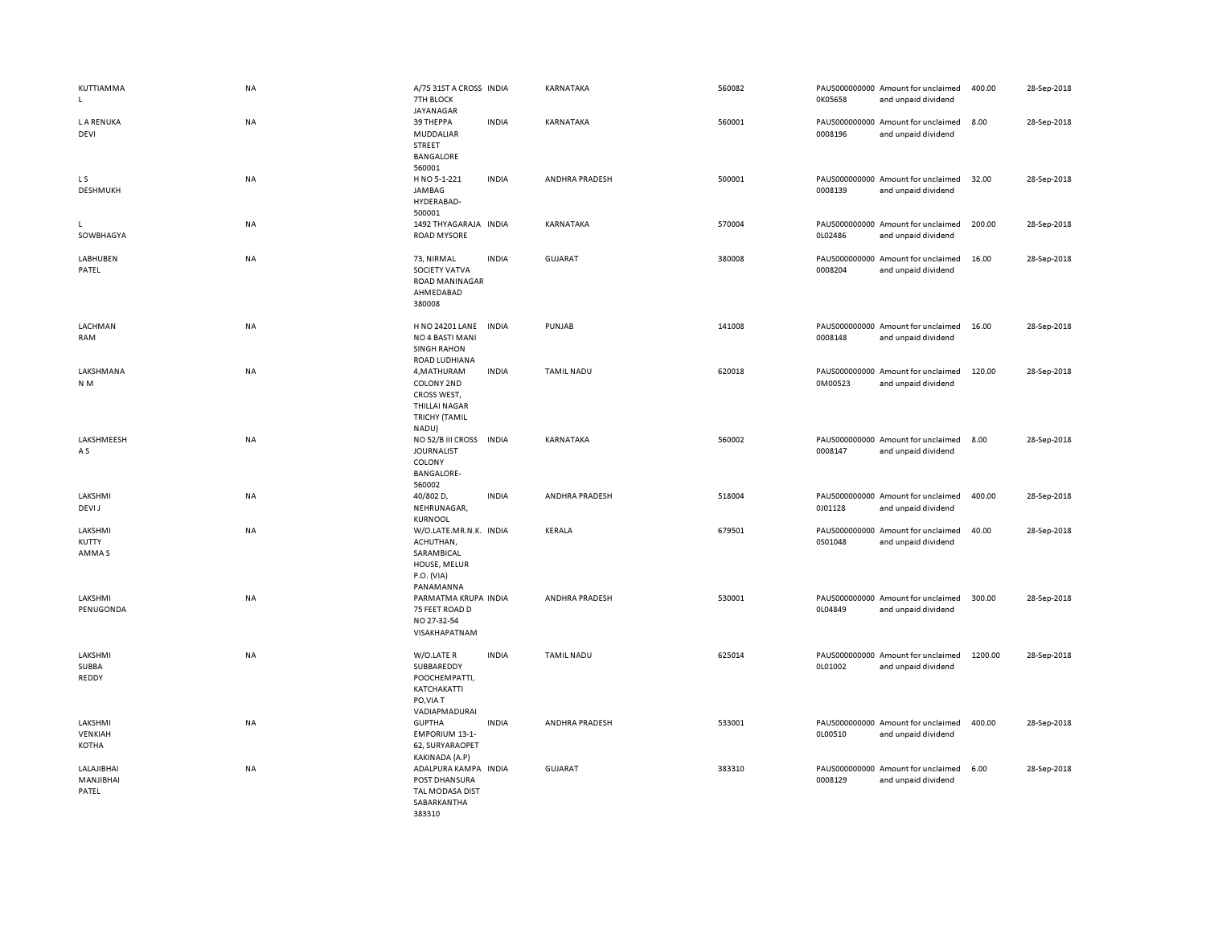| KUTTIAMMA<br>L.                  | NA        | A/75 31ST A CROSS INDIA<br>7TH BLOCK<br>JAYANAGAR                                                 |              | KARNATAKA         | 560082 | 0K05658 | PAUS000000000 Amount for unclaimed<br>and unpaid dividend | 400.00  | 28-Sep-2018 |
|----------------------------------|-----------|---------------------------------------------------------------------------------------------------|--------------|-------------------|--------|---------|-----------------------------------------------------------|---------|-------------|
| <b>LA RENUKA</b><br>DEVI         | <b>NA</b> | 39 THEPPA<br>MUDDALIAR<br>STREET<br>BANGALORE<br>560001                                           | <b>INDIA</b> | KARNATAKA         | 560001 | 0008196 | PAUS000000000 Amount for unclaimed<br>and unpaid dividend | 8.00    | 28-Sep-2018 |
| L S<br>DESHMUKH                  | <b>NA</b> | H NO 5-1-221<br>JAMBAG<br>HYDERABAD-<br>500001                                                    | <b>INDIA</b> | ANDHRA PRADESH    | 500001 | 0008139 | PAUS000000000 Amount for unclaimed<br>and unpaid dividend | 32.00   | 28-Sep-2018 |
| L<br>SOWBHAGYA                   | NA        | 1492 THYAGARAJA INDIA<br><b>ROAD MYSORE</b>                                                       |              | KARNATAKA         | 570004 | 0L02486 | PAUS000000000 Amount for unclaimed<br>and unpaid dividend | 200.00  | 28-Sep-2018 |
| LABHUBEN<br>PATEL                | NA        | 73, NIRMAL<br>SOCIETY VATVA<br>ROAD MANINAGAR<br>AHMEDABAD<br>380008                              | <b>INDIA</b> | GUJARAT           | 380008 | 0008204 | PAUS000000000 Amount for unclaimed<br>and unpaid dividend | 16.00   | 28-Sep-2018 |
| LACHMAN<br>RAM                   | NA        | H NO 24201 LANE INDIA<br>NO 4 BASTI MANI<br><b>SINGH RAHON</b><br>ROAD LUDHIANA                   |              | PUNJAB            | 141008 | 0008148 | PAUS000000000 Amount for unclaimed<br>and unpaid dividend | 16.00   | 28-Sep-2018 |
| LAKSHMANA<br>N <sub>M</sub>      | <b>NA</b> | 4, MATHURAM<br>COLONY 2ND<br>CROSS WEST,<br><b>THILLAI NAGAR</b><br><b>TRICHY (TAMIL</b><br>NADU) | <b>INDIA</b> | <b>TAMIL NADU</b> | 620018 | 0M00523 | PAUS000000000 Amount for unclaimed<br>and unpaid dividend | 120.00  | 28-Sep-2018 |
| LAKSHMEESH<br>A S                | NA        | NO 52/B III CROSS<br><b>JOURNALIST</b><br>COLONY<br><b>BANGALORE-</b><br>560002                   | <b>INDIA</b> | KARNATAKA         | 560002 | 0008147 | PAUS000000000 Amount for unclaimed<br>and unpaid dividend | 8.00    | 28-Sep-2018 |
| LAKSHMI<br>DEVI J                | NA        | 40/802 D,<br>NEHRUNAGAR,<br>KURNOOL                                                               | <b>INDIA</b> | ANDHRA PRADESH    | 518004 | 0J01128 | PAUS000000000 Amount for unclaimed<br>and unpaid dividend | 400.00  | 28-Sep-2018 |
| LAKSHMI<br>KUTTY<br>AMMA S       | NA        | W/O.LATE.MR.N.K. INDIA<br>ACHUTHAN,<br>SARAMBICAL<br>HOUSE, MELUR<br>P.O. (VIA)<br>PANAMANNA      |              | <b>KERALA</b>     | 679501 | 0S01048 | PAUS000000000 Amount for unclaimed<br>and unpaid dividend | 40.00   | 28-Sep-2018 |
| LAKSHMI<br>PENUGONDA             | <b>NA</b> | PARMATMA KRUPA INDIA<br>75 FEET ROAD D<br>NO 27-32-54<br>VISAKHAPATNAM                            |              | ANDHRA PRADESH    | 530001 | 0L04849 | PAUS000000000 Amount for unclaimed<br>and unpaid dividend | 300.00  | 28-Sep-2018 |
| LAKSHMI<br>SUBBA<br>REDDY        | <b>NA</b> | W/O.LATE R<br>SUBBAREDDY<br>POOCHEMPATTI,<br>KATCHAKATTI<br>PO, VIA T<br>VADIAPMADURAI            | <b>INDIA</b> | <b>TAMIL NADU</b> | 625014 | 0L01002 | PAUS000000000 Amount for unclaimed<br>and unpaid dividend | 1200.00 | 28-Sep-2018 |
| LAKSHMI<br>VENKIAH<br>KOTHA      | NA        | <b>GUPTHA</b><br><b>EMPORIUM 13-1-</b><br>62, SURYARAOPET<br>KAKINADA (A.P)                       | <b>INDIA</b> | ANDHRA PRADESH    | 533001 | 0L00510 | PAUS000000000 Amount for unclaimed<br>and unpaid dividend | 400.00  | 28-Sep-2018 |
| LALAJIBHAI<br>MANJIBHAI<br>PATEL | <b>NA</b> | ADALPURA KAMPA INDIA<br>POST DHANSURA<br>TAL MODASA DIST<br>SABARKANTHA<br>383310                 |              | GUJARAT           | 383310 | 0008129 | PAUS000000000 Amount for unclaimed<br>and unpaid dividend | 6.00    | 28-Sep-2018 |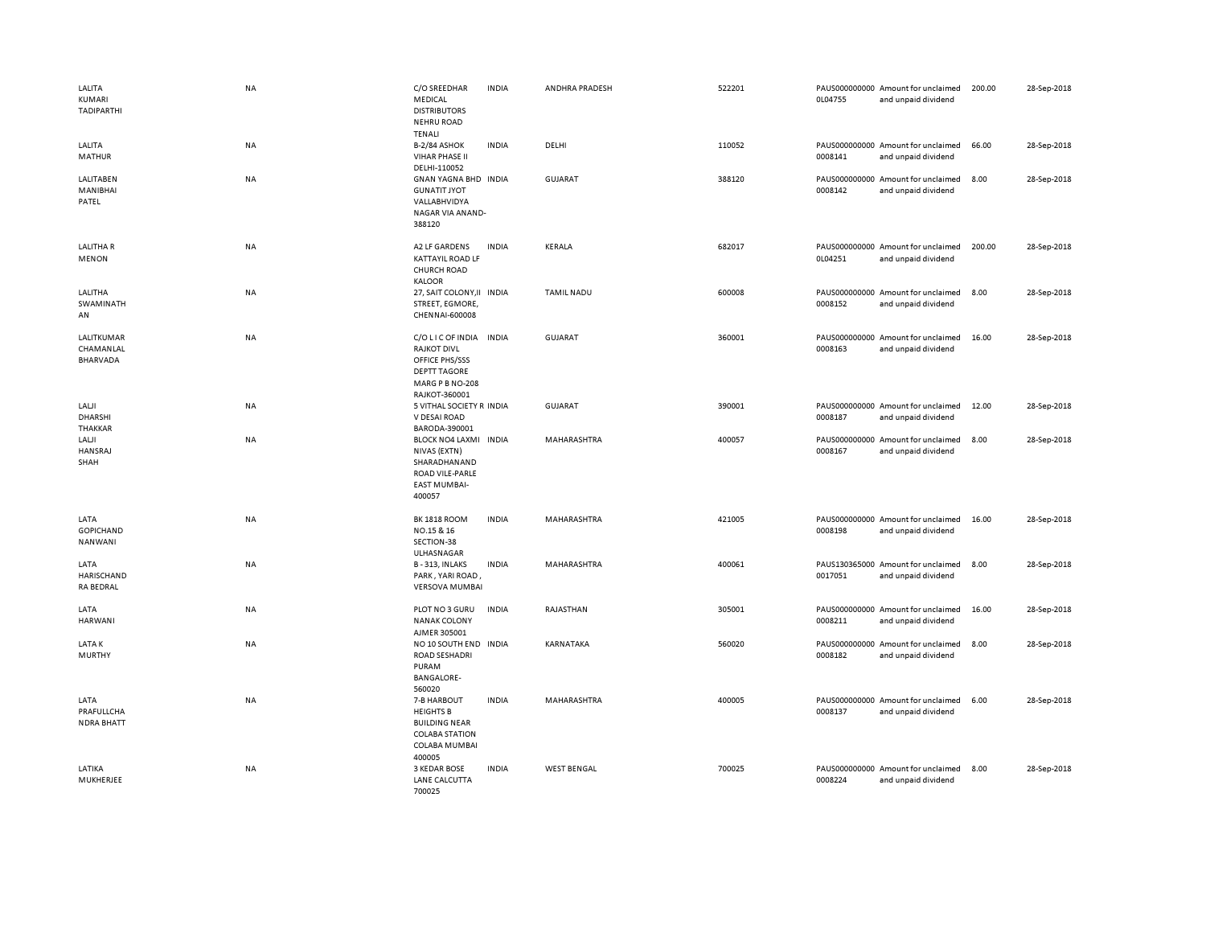| LALITA<br>KUMARI<br><b>TADIPARTHI</b>      | NA        | C/O SREEDHAR<br><b>MEDICAL</b><br><b>DISTRIBUTORS</b><br><b>NEHRU ROAD</b><br><b>TENALI</b>                               | <b>INDIA</b> | ANDHRA PRADESH     | 522201 | 0L04755 | PAUS000000000 Amount for unclaimed<br>and unpaid dividend | 200.00 | 28-Sep-2018 |
|--------------------------------------------|-----------|---------------------------------------------------------------------------------------------------------------------------|--------------|--------------------|--------|---------|-----------------------------------------------------------|--------|-------------|
| LALITA<br><b>MATHUR</b>                    | NA        | B-2/84 ASHOK<br>VIHAR PHASE II<br>DELHI-110052                                                                            | <b>INDIA</b> | DELHI              | 110052 | 0008141 | PAUS000000000 Amount for unclaimed<br>and unpaid dividend | 66.00  | 28-Sep-2018 |
| LALITABEN<br>MANIBHAI<br>PATEL             | NA        | GNAN YAGNA BHD INDIA<br><b>GUNATIT JYOT</b><br>VALLABHVIDYA<br>NAGAR VIA ANAND-<br>388120                                 |              | <b>GUJARAT</b>     | 388120 | 0008142 | PAUS000000000 Amount for unclaimed<br>and unpaid dividend | 8.00   | 28-Sep-2018 |
| <b>LALITHAR</b><br><b>MENON</b>            | NA        | A2 LF GARDENS<br><b>KATTAYIL ROAD LF</b><br><b>CHURCH ROAD</b><br><b>KALOOR</b>                                           | <b>INDIA</b> | KERALA             | 682017 | 0L04251 | PAUS000000000 Amount for unclaimed<br>and unpaid dividend | 200.00 | 28-Sep-2018 |
| LALITHA<br>SWAMINATH<br>AN                 | NA        | 27, SAIT COLONY, II INDIA<br>STREET, EGMORE,<br>CHENNAI-600008                                                            |              | TAMIL NADU         | 600008 | 0008152 | PAUS000000000 Amount for unclaimed<br>and unpaid dividend | 8.00   | 28-Sep-2018 |
| LALITKUMAR<br>CHAMANLAL<br>BHARVADA        | NA        | C/O LIC OF INDIA INDIA<br><b>RAJKOT DIVL</b><br>OFFICE PHS/SSS<br><b>DEPTT TAGORE</b><br>MARG P B NO-208<br>RAJKOT-360001 |              | GUJARAT            | 360001 | 0008163 | PAUS000000000 Amount for unclaimed<br>and unpaid dividend | 16.00  | 28-Sep-2018 |
| LALJI<br>DHARSHI<br>THAKKAR                | <b>NA</b> | 5 VITHAL SOCIETY R INDIA<br>V DESAI ROAD<br>BARODA-390001                                                                 |              | <b>GUJARAT</b>     | 390001 | 0008187 | PAUS000000000 Amount for unclaimed<br>and unpaid dividend | 12.00  | 28-Sep-2018 |
| LALJI<br><b>HANSRAJ</b><br>SHAH            | NA        | <b>BLOCK NO4 LAXMI</b><br>NIVAS (EXTN)<br>SHARADHANAND<br>ROAD VILE-PARLE<br><b>EAST MUMBAI-</b><br>400057                | <b>INDIA</b> | MAHARASHTRA        | 400057 | 0008167 | PAUS000000000 Amount for unclaimed<br>and unpaid dividend | 8.00   | 28-Sep-2018 |
| LATA<br><b>GOPICHAND</b><br><b>NANWANI</b> | NA        | <b>BK 1818 ROOM</b><br>NO.15 & 16<br>SECTION-38<br>ULHASNAGAR                                                             | <b>INDIA</b> | MAHARASHTRA        | 421005 | 0008198 | PAUS000000000 Amount for unclaimed<br>and unpaid dividend | 16.00  | 28-Sep-2018 |
| LATA<br>HARISCHAND<br><b>RA BEDRAL</b>     | NA        | B-313, INLAKS<br>PARK, YARI ROAD<br><b>VERSOVA MUMBAI</b>                                                                 | <b>INDIA</b> | MAHARASHTRA        | 400061 | 0017051 | PAUS130365000 Amount for unclaimed<br>and unpaid dividend | 8.00   | 28-Sep-2018 |
| LATA<br><b>HARWANI</b>                     | NA        | PLOT NO 3 GURU<br><b>NANAK COLONY</b><br>AJMER 305001                                                                     | <b>INDIA</b> | RAJASTHAN          | 305001 | 0008211 | PAUS000000000 Amount for unclaimed<br>and unpaid dividend | 16.00  | 28-Sep-2018 |
| LATA K<br><b>MURTHY</b>                    | NA        | NO 10 SOUTH END INDIA<br><b>ROAD SESHADRI</b><br>PURAM<br><b>BANGALORE-</b><br>560020                                     |              | KARNATAKA          | 560020 | 0008182 | PAUS000000000 Amount for unclaimed<br>and unpaid dividend | 8.00   | 28-Sep-2018 |
| LATA<br>PRAFULLCHA<br><b>NDRA BHATT</b>    | NA        | 7-B HARBOUT<br><b>HEIGHTS B</b><br><b>BUILDING NEAR</b><br><b>COLABA STATION</b><br>COLABA MUMBAI<br>400005               | <b>INDIA</b> | MAHARASHTRA        | 400005 | 0008137 | PAUS000000000 Amount for unclaimed<br>and unpaid dividend | 6.00   | 28-Sep-2018 |
| LATIKA<br>MUKHERJEE                        | NA        | 3 KEDAR BOSE<br>LANE CALCUTTA<br>700025                                                                                   | <b>INDIA</b> | <b>WEST BENGAL</b> | 700025 | 0008224 | PAUS000000000 Amount for unclaimed<br>and unpaid dividend | 8.00   | 28-Sep-2018 |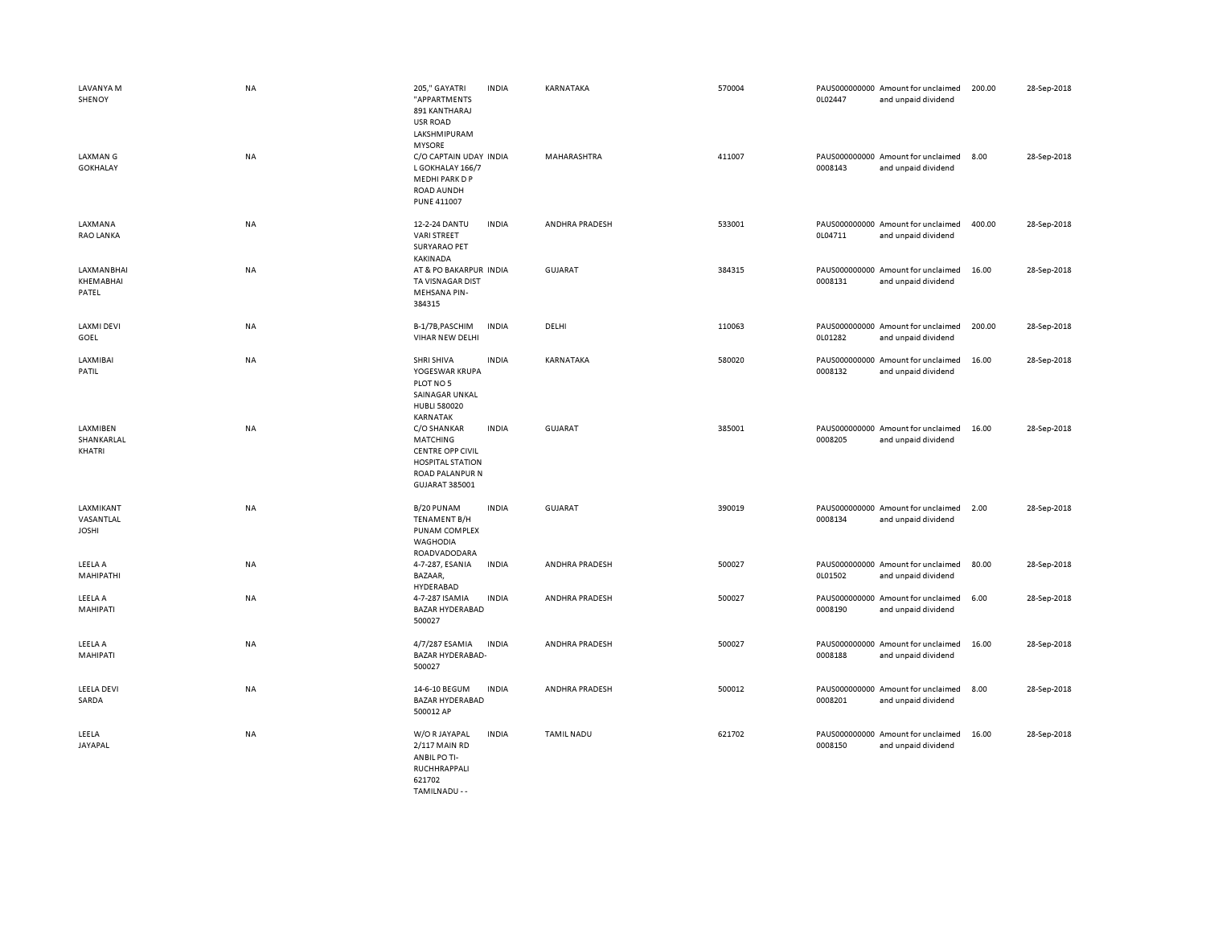| LAVANYA M<br>SHENOY<br><b>LAXMAN G</b> | <b>NA</b><br><b>NA</b> | 205," GAYATRI<br>"APPARTMENTS<br>891 KANTHARAJ<br><b>USR ROAD</b><br>LAKSHMIPURAM<br><b>MYSORE</b><br>C/O CAPTAIN UDAY INDIA | <b>INDIA</b> | KARNATAKA<br><b>MAHARASHTRA</b> | 570004<br>411007 | 0L02447 | PAUS000000000 Amount for unclaimed<br>and unpaid dividend<br>PAUS000000000 Amount for unclaimed | 200.00<br>8.00 | 28-Sep-2018<br>28-Sep-2018 |
|----------------------------------------|------------------------|------------------------------------------------------------------------------------------------------------------------------|--------------|---------------------------------|------------------|---------|-------------------------------------------------------------------------------------------------|----------------|----------------------------|
| <b>GOKHALAY</b>                        |                        | L GOKHALAY 166/7<br>MEDHI PARK D P<br>ROAD AUNDH<br><b>PUNE 411007</b>                                                       |              |                                 |                  | 0008143 | and unpaid dividend                                                                             |                |                            |
| LAXMANA<br><b>RAO LANKA</b>            | <b>NA</b>              | 12-2-24 DANTU<br><b>VARI STREET</b><br><b>SURYARAO PET</b><br><b>KAKINADA</b>                                                | <b>INDIA</b> | <b>ANDHRA PRADESH</b>           | 533001           | 0L04711 | PAUS000000000 Amount for unclaimed<br>and unpaid dividend                                       | 400.00         | 28-Sep-2018                |
| LAXMANBHAI<br>KHEMABHAI<br>PATEL       | NA                     | AT & PO BAKARPUR INDIA<br>TA VISNAGAR DIST<br><b>MEHSANA PIN-</b><br>384315                                                  |              | GUJARAT                         | 384315           | 0008131 | PAUS000000000 Amount for unclaimed<br>and unpaid dividend                                       | 16.00          | 28-Sep-2018                |
| <b>LAXMI DEVI</b><br>GOEL              | NA                     | B-1/7B, PASCHIM<br>VIHAR NEW DELHI                                                                                           | <b>INDIA</b> | DELHI                           | 110063           | 0L01282 | PAUS000000000 Amount for unclaimed<br>and unpaid dividend                                       | 200.00         | 28-Sep-2018                |
| LAXMIBAI<br>PATIL                      | NA                     | SHRI SHIVA<br>YOGESWAR KRUPA<br>PLOT NO 5<br>SAINAGAR UNKAL<br><b>HUBLI 580020</b><br>KARNATAK                               | <b>INDIA</b> | KARNATAKA                       | 580020           | 0008132 | PAUS000000000 Amount for unclaimed<br>and unpaid dividend                                       | 16.00          | 28-Sep-2018                |
| LAXMIBEN<br>SHANKARLAL<br>KHATRI       | NA                     | C/O SHANKAR<br>MATCHING<br><b>CENTRE OPP CIVIL</b><br><b>HOSPITAL STATION</b><br><b>ROAD PALANPUR N</b><br>GUJARAT 385001    | <b>INDIA</b> | <b>GUJARAT</b>                  | 385001           | 0008205 | PAUS000000000 Amount for unclaimed<br>and unpaid dividend                                       | 16.00          | 28-Sep-2018                |
| LAXMIKANT<br>VASANTLAL<br><b>JOSHI</b> | <b>NA</b>              | B/20 PUNAM<br>TENAMENT B/H<br>PUNAM COMPLEX<br><b>WAGHODIA</b><br>ROADVADODARA                                               | <b>INDIA</b> | <b>GUJARAT</b>                  | 390019           | 0008134 | PAUS000000000 Amount for unclaimed<br>and unpaid dividend                                       | 2.00           | 28-Sep-2018                |
| LEELA A<br>MAHIPATHI                   | NA                     | 4-7-287, ESANIA<br>BAZAAR,<br>HYDERABAD                                                                                      | <b>INDIA</b> | ANDHRA PRADESH                  | 500027           | 0L01502 | PAUS000000000 Amount for unclaimed<br>and unpaid dividend                                       | 80.00          | 28-Sep-2018                |
| LEELA A<br>MAHIPATI                    | <b>NA</b>              | 4-7-287 ISAMIA<br><b>BAZAR HYDERABAD</b><br>500027                                                                           | <b>INDIA</b> | ANDHRA PRADESH                  | 500027           | 0008190 | PAUS000000000 Amount for unclaimed<br>and unpaid dividend                                       | 6.00           | 28-Sep-2018                |
| LEELA A<br>MAHIPATI                    | NA                     | 4/7/287 ESAMIA<br><b>BAZAR HYDERABAD-</b><br>500027                                                                          | <b>INDIA</b> | ANDHRA PRADESH                  | 500027           | 0008188 | PAUS000000000 Amount for unclaimed<br>and unpaid dividend                                       | 16.00          | 28-Sep-2018                |
| <b>LEELA DEVI</b><br>SARDA             | <b>NA</b>              | 14-6-10 BEGUM<br><b>BAZAR HYDERABAD</b><br>500012 AP                                                                         | <b>INDIA</b> | <b>ANDHRA PRADESH</b>           | 500012           | 0008201 | PAUS000000000 Amount for unclaimed<br>and unpaid dividend                                       | 8.00           | 28-Sep-2018                |
| LEELA<br>JAYAPAL                       | NA                     | W/O R JAYAPAL<br>2/117 MAIN RD<br>ANBIL PO TI-<br>RUCHHRAPPALI<br>621702                                                     | <b>INDIA</b> | <b>TAMIL NADU</b>               | 621702           | 0008150 | PAUS000000000 Amount for unclaimed<br>and unpaid dividend                                       | 16.00          | 28-Sep-2018                |

TAMILNADU - -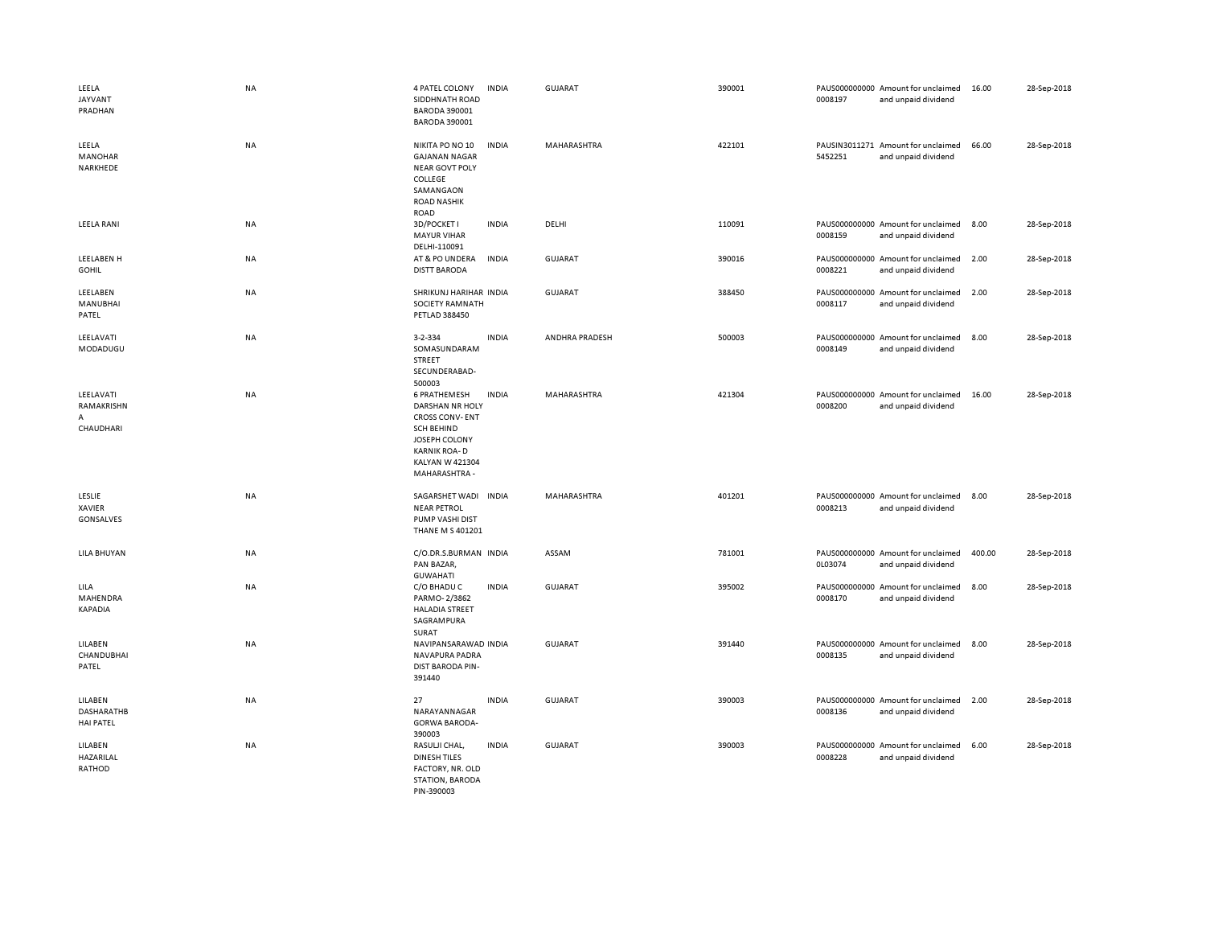| LEELA<br><b>JAYVANT</b><br>PRADHAN        | NA        | 4 PATEL COLONY<br>SIDDHNATH ROAD<br>BARODA 390001<br><b>BARODA 390001</b>                                                                                 | <b>INDIA</b> | GUJARAT        | 390001 | 0008197 | PAUS000000000 Amount for unclaimed<br>and unpaid dividend | 16.00  | 28-Sep-2018 |
|-------------------------------------------|-----------|-----------------------------------------------------------------------------------------------------------------------------------------------------------|--------------|----------------|--------|---------|-----------------------------------------------------------|--------|-------------|
| LEELA<br>MANOHAR<br>NARKHEDE              | <b>NA</b> | NIKITA PO NO 10<br><b>GAJANAN NAGAR</b><br><b>NEAR GOVT POLY</b><br>COLLEGE<br>SAMANGAON<br><b>ROAD NASHIK</b><br><b>ROAD</b>                             | <b>INDIA</b> | MAHARASHTRA    | 422101 | 5452251 | PAUSIN3011271 Amount for unclaimed<br>and unpaid dividend | 66.00  | 28-Sep-2018 |
| LEELA RANI                                | NA        | 3D/POCKET I<br><b>MAYUR VIHAR</b><br>DELHI-110091                                                                                                         | <b>INDIA</b> | DELHI          | 110091 | 0008159 | PAUS000000000 Amount for unclaimed<br>and unpaid dividend | 8.00   | 28-Sep-2018 |
| LEELABEN H<br><b>GOHIL</b>                | NA        | AT & PO UNDERA<br><b>DISTT BARODA</b>                                                                                                                     | <b>INDIA</b> | <b>GUJARAT</b> | 390016 | 0008221 | PAUS000000000 Amount for unclaimed<br>and unpaid dividend | 2.00   | 28-Sep-2018 |
| LEELABEN<br>MANUBHAI<br>PATEL             | NA        | SHRIKUNJ HARIHAR INDIA<br>SOCIETY RAMNATH<br>PETLAD 388450                                                                                                |              | <b>GUJARAT</b> | 388450 | 0008117 | PAUS000000000 Amount for unclaimed<br>and unpaid dividend | 2.00   | 28-Sep-2018 |
| LEELAVATI<br>MODADUGU                     | NA        | 3-2-334<br>SOMASUNDARAM<br>STREET<br>SECUNDERABAD-<br>500003                                                                                              | <b>INDIA</b> | ANDHRA PRADESH | 500003 | 0008149 | PAUS000000000 Amount for unclaimed<br>and unpaid dividend | 8.00   | 28-Sep-2018 |
| LEELAVATI<br>RAMAKRISHN<br>А<br>CHAUDHARI | NA        | 6 PRATHEMESH<br>DARSHAN NR HOLY<br><b>CROSS CONV-ENT</b><br><b>SCH BEHIND</b><br>JOSEPH COLONY<br><b>KARNIK ROA-D</b><br>KALYAN W 421304<br>MAHARASHTRA - | <b>INDIA</b> | MAHARASHTRA    | 421304 | 0008200 | PAUS000000000 Amount for unclaimed<br>and unpaid dividend | 16.00  | 28-Sep-2018 |
| LESLIE<br>XAVIER<br><b>GONSALVES</b>      | NA        | SAGARSHET WADI<br><b>NEAR PETROL</b><br>PUMP VASHI DIST<br><b>THANE M S 401201</b>                                                                        | <b>INDIA</b> | MAHARASHTRA    | 401201 | 0008213 | PAUS000000000 Amount for unclaimed<br>and unpaid dividend | 8.00   | 28-Sep-2018 |
| LILA BHUYAN                               | NA        | C/O.DR.S.BURMAN INDIA<br>PAN BAZAR,<br><b>GUWAHATI</b>                                                                                                    |              | ASSAM          | 781001 | 0L03074 | PAUS000000000 Amount for unclaimed<br>and unpaid dividend | 400.00 | 28-Sep-2018 |
| LILA<br>MAHENDRA<br>KAPADIA               | NA        | C/O BHADU C<br>PARMO-2/3862<br><b>HALADIA STREET</b><br>SAGRAMPURA<br>SURAT                                                                               | <b>INDIA</b> | <b>GUJARAT</b> | 395002 | 0008170 | PAUS000000000 Amount for unclaimed<br>and unpaid dividend | 8.00   | 28-Sep-2018 |
| LILABEN<br>CHANDUBHAI<br>PATEL            | <b>NA</b> | NAVIPANSARAWAD INDIA<br>NAVAPURA PADRA<br>DIST BARODA PIN-<br>391440                                                                                      |              | <b>GUJARAT</b> | 391440 | 0008135 | PAUS000000000 Amount for unclaimed<br>and unpaid dividend | 8.00   | 28-Sep-2018 |
| LILABEN<br>DASHARATHB<br><b>HAI PATEL</b> | NA        | 27<br>NARAYANNAGAR<br><b>GORWA BARODA-</b><br>390003                                                                                                      | <b>INDIA</b> | <b>GUJARAT</b> | 390003 | 0008136 | PAUS000000000 Amount for unclaimed<br>and unpaid dividend | 2.00   | 28-Sep-2018 |
| LILABEN<br>HAZARILAL<br>RATHOD            | NA        | RASULJI CHAL,<br><b>DINESH TILES</b><br>FACTORY, NR. OLD<br>STATION, BARODA<br>PIN-390003                                                                 | <b>INDIA</b> | <b>GUJARAT</b> | 390003 | 0008228 | PAUS000000000 Amount for unclaimed<br>and unpaid dividend | 6.00   | 28-Sep-2018 |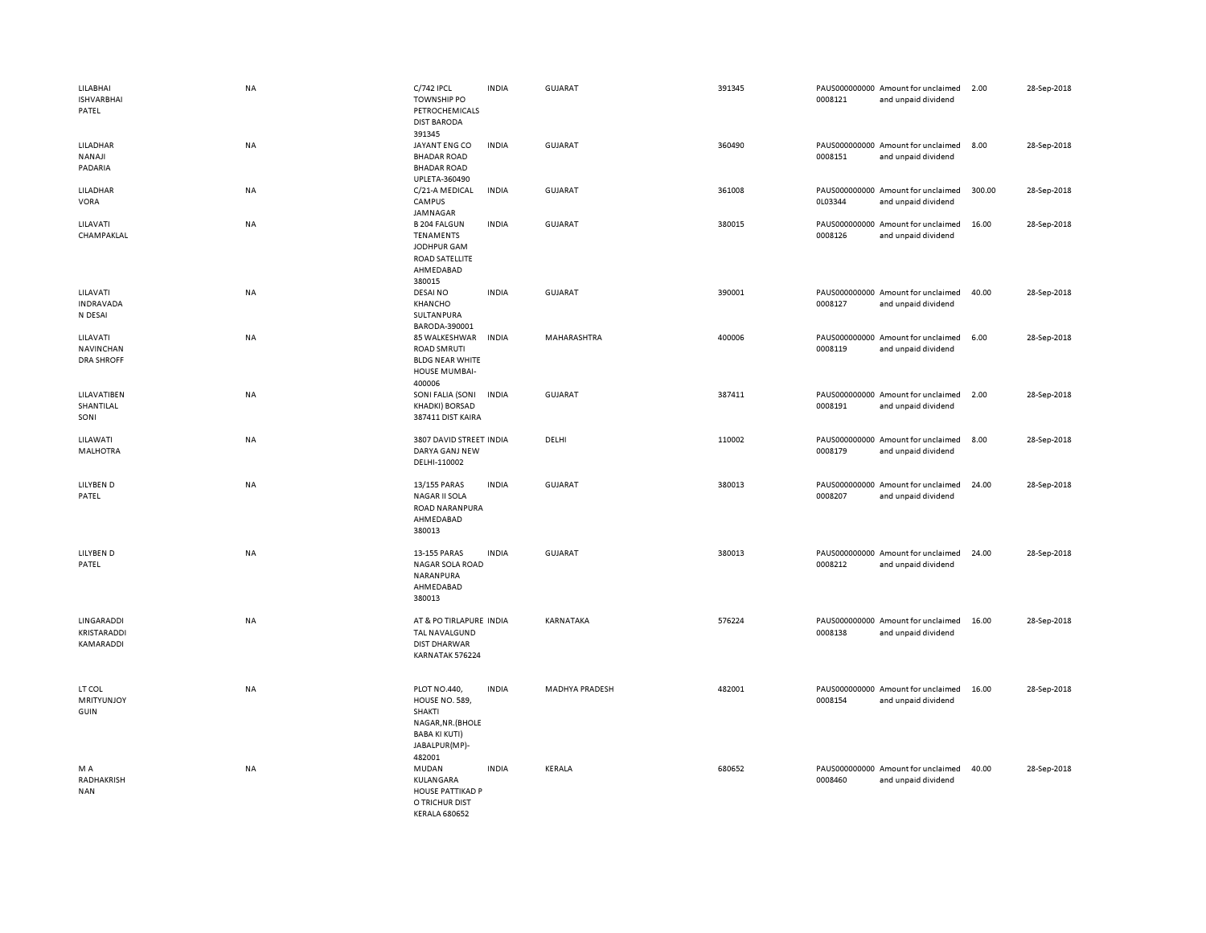| LILABHAI<br><b>ISHVARBHAI</b><br>PATEL            | <b>NA</b> | C/742 IPCL<br><b>TOWNSHIP PO</b><br>PETROCHEMICALS<br><b>DIST BARODA</b>                                                       | <b>INDIA</b> | <b>GUJARAT</b> | 391345 | 0008121 | PAUS000000000 Amount for unclaimed<br>and unpaid dividend | 2.00   | 28-Sep-2018 |
|---------------------------------------------------|-----------|--------------------------------------------------------------------------------------------------------------------------------|--------------|----------------|--------|---------|-----------------------------------------------------------|--------|-------------|
| <b>LILADHAR</b><br>NANAJI<br>PADARIA              | <b>NA</b> | 391345<br>JAYANT ENG CO<br><b>BHADAR ROAD</b><br><b>BHADAR ROAD</b><br>UPLETA-360490                                           | <b>INDIA</b> | <b>GUJARAT</b> | 360490 | 0008151 | PAUS000000000 Amount for unclaimed<br>and unpaid dividend | 8.00   | 28-Sep-2018 |
| LILADHAR<br>VORA                                  | NA        | C/21-A MEDICAL<br>CAMPUS<br>JAMNAGAR                                                                                           | <b>INDIA</b> | GUJARAT        | 361008 | 0L03344 | PAUS000000000 Amount for unclaimed<br>and unpaid dividend | 300.00 | 28-Sep-2018 |
| LILAVATI<br>CHAMPAKLAL                            | <b>NA</b> | <b>B 204 FALGUN</b><br>TENAMENTS<br>JODHPUR GAM<br><b>ROAD SATELLITE</b><br>AHMEDABAD<br>380015                                | <b>INDIA</b> | GUJARAT        | 380015 | 0008126 | PAUS000000000 Amount for unclaimed<br>and unpaid dividend | 16.00  | 28-Sep-2018 |
| LILAVATI<br><b>INDRAVADA</b><br>N DESAI           | NA        | <b>DESAI NO</b><br>KHANCHO<br>SULTANPURA<br>BARODA-390001                                                                      | <b>INDIA</b> | <b>GUJARAT</b> | 390001 | 0008127 | PAUS000000000 Amount for unclaimed<br>and unpaid dividend | 40.00  | 28-Sep-2018 |
| LILAVATI<br><b>NAVINCHAN</b><br><b>DRA SHROFF</b> | NA        | 85 WALKESHWAR<br><b>ROAD SMRUTI</b><br><b>BLDG NEAR WHITE</b><br><b>HOUSE MUMBAI-</b><br>400006                                | <b>INDIA</b> | MAHARASHTRA    | 400006 | 0008119 | PAUS000000000 Amount for unclaimed<br>and unpaid dividend | 6.00   | 28-Sep-2018 |
| LILAVATIBEN<br>SHANTILAL<br>SONI                  | NA        | SONI FALIA (SONI<br><b>KHADKI) BORSAD</b><br>387411 DIST KAIRA                                                                 | <b>INDIA</b> | GUJARAT        | 387411 | 0008191 | PAUS000000000 Amount for unclaimed<br>and unpaid dividend | 2.00   | 28-Sep-2018 |
| LILAWATI<br><b>MALHOTRA</b>                       | NA        | 3807 DAVID STREET INDIA<br>DARYA GANJ NEW<br>DELHI-110002                                                                      |              | DELHI          | 110002 | 0008179 | PAUS000000000 Amount for unclaimed<br>and unpaid dividend | 8.00   | 28-Sep-2018 |
| LILYBEN D<br>PATEL                                | <b>NA</b> | 13/155 PARAS<br><b>NAGAR II SOLA</b><br>ROAD NARANPURA<br>AHMEDABAD<br>380013                                                  | <b>INDIA</b> | <b>GUJARAT</b> | 380013 | 0008207 | PAUS000000000 Amount for unclaimed<br>and unpaid dividend | 24.00  | 28-Sep-2018 |
| LILYBEN D<br>PATEL                                | NA        | 13-155 PARAS<br>NAGAR SOLA ROAD<br>NARANPURA<br>AHMEDABAD<br>380013                                                            | <b>INDIA</b> | GUJARAT        | 380013 | 0008212 | PAUS000000000 Amount for unclaimed<br>and unpaid dividend | 24.00  | 28-Sep-2018 |
| LINGARADDI<br>KRISTARADDI<br>KAMARADDI            | NA        | AT & PO TIRLAPURE INDIA<br>TAL NAVALGUND<br><b>DIST DHARWAR</b><br>KARNATAK 576224                                             |              | KARNATAKA      | 576224 | 0008138 | PAUS000000000 Amount for unclaimed<br>and unpaid dividend | 16.00  | 28-Sep-2018 |
| LT COL<br><b>MRITYUNJOY</b><br>GUIN               | NA        | PLOT NO.440,<br><b>HOUSE NO. 589,</b><br><b>SHAKTI</b><br>NAGAR, NR. (BHOLE<br><b>BABA KI KUTI)</b><br>JABALPUR(MP)-<br>482001 | <b>INDIA</b> | MADHYA PRADESH | 482001 | 0008154 | PAUS000000000 Amount for unclaimed<br>and unpaid dividend | 16.00  | 28-Sep-2018 |
| M A<br>RADHAKRISH<br><b>NAN</b>                   | NA        | MUDAN<br>KULANGARA<br><b>HOUSE PATTIKAD P</b><br>O TRICHUR DIST<br>KERALA 680652                                               | <b>INDIA</b> | KERALA         | 680652 | 0008460 | PAUS000000000 Amount for unclaimed<br>and unpaid dividend | 40.00  | 28-Sep-2018 |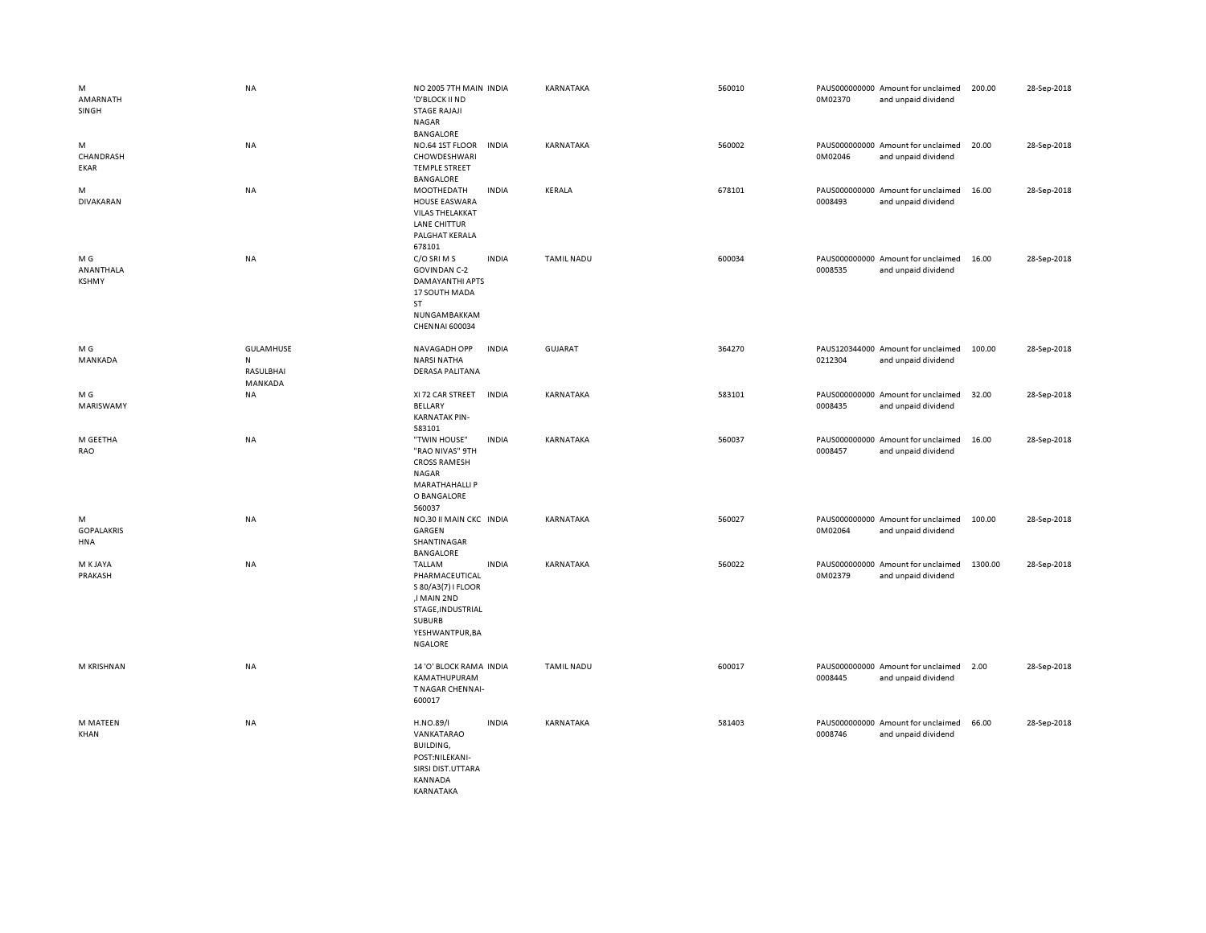| M<br>AMARNATH<br>SINGH           | NA                                                    | NO 2005 7TH MAIN INDIA<br>'D'BLOCK II ND<br><b>STAGE RAJAJI</b><br><b>NAGAR</b><br>BANGALORE                                      |              | KARNATAKA         | 560010 | 0M02370 | PAUS000000000 Amount for unclaimed<br>and unpaid dividend | 200.00  | 28-Sep-2018 |
|----------------------------------|-------------------------------------------------------|-----------------------------------------------------------------------------------------------------------------------------------|--------------|-------------------|--------|---------|-----------------------------------------------------------|---------|-------------|
| M<br>CHANDRASH<br>EKAR           | <b>NA</b>                                             | NO.64 1ST FLOOR<br>CHOWDESHWARI<br><b>TEMPLE STREET</b><br>BANGALORE                                                              | <b>INDIA</b> | KARNATAKA         | 560002 | 0M02046 | PAUS000000000 Amount for unclaimed<br>and unpaid dividend | 20.00   | 28-Sep-2018 |
| M<br>DIVAKARAN                   | NA                                                    | MOOTHEDATH<br><b>HOUSE EASWARA</b><br><b>VILAS THELAKKAT</b><br>LANE CHITTUR<br>PALGHAT KERALA<br>678101                          | <b>INDIA</b> | KERALA            | 678101 | 0008493 | PAUS000000000 Amount for unclaimed<br>and unpaid dividend | 16.00   | 28-Sep-2018 |
| M G<br>ANANTHALA<br><b>KSHMY</b> | NA                                                    | C/O SRI M S<br><b>GOVINDAN C-2</b><br>DAMAYANTHI APTS<br>17 SOUTH MADA<br>ST<br>NUNGAMBAKKAM<br>CHENNAI 600034                    | <b>INDIA</b> | <b>TAMIL NADU</b> | 600034 | 0008535 | PAUS000000000 Amount for unclaimed<br>and unpaid dividend | 16.00   | 28-Sep-2018 |
| M G<br>MANKADA                   | <b>GULAMHUSE</b><br>${\sf N}$<br>RASULBHAI<br>MANKADA | NAVAGADH OPP<br><b>NARSI NATHA</b><br><b>DERASA PALITANA</b>                                                                      | <b>INDIA</b> | <b>GUJARAT</b>    | 364270 | 0212304 | PAUS120344000 Amount for unclaimed<br>and unpaid dividend | 100.00  | 28-Sep-2018 |
| M G<br>MARISWAMY                 | NA                                                    | XI 72 CAR STREET<br><b>BELLARY</b><br><b>KARNATAK PIN-</b><br>583101                                                              | <b>INDIA</b> | KARNATAKA         | 583101 | 0008435 | PAUS000000000 Amount for unclaimed<br>and unpaid dividend | 32.00   | 28-Sep-2018 |
| M GEETHA<br>RAO                  | NA                                                    | "TWIN HOUSE"<br>"RAO NIVAS" 9TH<br><b>CROSS RAMESH</b><br>NAGAR<br><b>MARATHAHALLI P</b><br>O BANGALORE<br>560037                 | <b>INDIA</b> | KARNATAKA         | 560037 | 0008457 | PAUS000000000 Amount for unclaimed<br>and unpaid dividend | 16.00   | 28-Sep-2018 |
| M<br><b>GOPALAKRIS</b><br>HNA    | NA                                                    | NO.30 II MAIN CKC INDIA<br>GARGEN<br>SHANTINAGAR<br><b>BANGALORE</b>                                                              |              | KARNATAKA         | 560027 | 0M02064 | PAUS000000000 Amount for unclaimed<br>and unpaid dividend | 100.00  | 28-Sep-2018 |
| M K JAYA<br>PRAKASH              | NA                                                    | TALLAM<br>PHARMACEUTICAL<br>S 80/A3(7) I FLOOR<br>,I MAIN 2ND<br>STAGE, INDUSTRIAL<br>SUBURB<br>YESHWANTPUR, BA<br><b>NGALORE</b> | <b>INDIA</b> | KARNATAKA         | 560022 | 0M02379 | PAUS000000000 Amount for unclaimed<br>and unpaid dividend | 1300.00 | 28-Sep-2018 |
| M KRISHNAN                       | NA                                                    | 14 'O' BLOCK RAMA INDIA<br>KAMATHUPURAM<br>T NAGAR CHENNAI-<br>600017                                                             |              | <b>TAMIL NADU</b> | 600017 | 0008445 | PAUS000000000 Amount for unclaimed<br>and unpaid dividend | 2.00    | 28-Sep-2018 |
| M MATEEN<br>KHAN                 | NA                                                    | H.NO.89/I<br>VANKATARAO<br>BUILDING,<br>POST:NILEKANI-<br>SIRSI DIST.UTTARA<br>KANNADA<br>KARNATAKA                               | <b>INDIA</b> | KARNATAKA         | 581403 | 0008746 | PAUS000000000 Amount for unclaimed<br>and unpaid dividend | 66.00   | 28-Sep-2018 |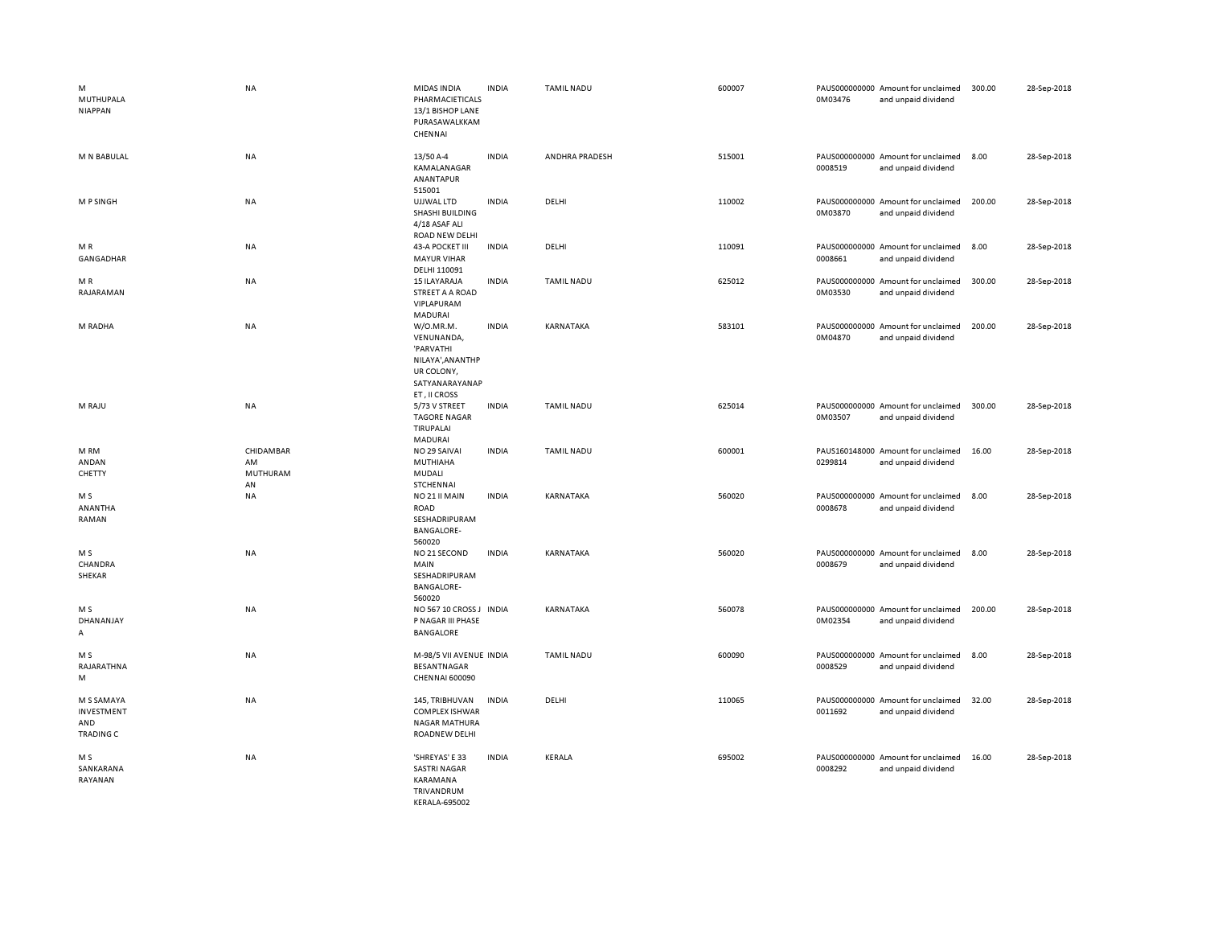| M<br>MUTHUPALA<br><b>NIAPPAN</b>                    | <b>NA</b>                                | MIDAS INDIA<br>PHARMACIETICALS<br>13/1 BISHOP LANE<br>PURASAWALKKAM<br>CHENNAI                            | <b>INDIA</b> | <b>TAMIL NADU</b> | 600007 | 0M03476 | PAUS000000000 Amount for unclaimed<br>and unpaid dividend | 300.00 | 28-Sep-2018 |
|-----------------------------------------------------|------------------------------------------|-----------------------------------------------------------------------------------------------------------|--------------|-------------------|--------|---------|-----------------------------------------------------------|--------|-------------|
| M N BABULAL                                         | NA                                       | 13/50 A-4<br>KAMALANAGAR<br>ANANTAPUR                                                                     | <b>INDIA</b> | ANDHRA PRADESH    | 515001 | 0008519 | PAUS000000000 Amount for unclaimed<br>and unpaid dividend | 8.00   | 28-Sep-2018 |
| M P SINGH                                           | <b>NA</b>                                | 515001<br>UJJWAL LTD<br>SHASHI BUILDING<br>4/18 ASAF ALI                                                  | <b>INDIA</b> | DELHI             | 110002 | 0M03870 | PAUS000000000 Amount for unclaimed<br>and unpaid dividend | 200.00 | 28-Sep-2018 |
| MR<br>GANGADHAR                                     | <b>NA</b>                                | ROAD NEW DELHI<br>43-A POCKET III<br><b>MAYUR VIHAR</b><br>DELHI 110091                                   | <b>INDIA</b> | DELHI             | 110091 | 0008661 | PAUS000000000 Amount for unclaimed<br>and unpaid dividend | 8.00   | 28-Sep-2018 |
| MR<br>RAJARAMAN                                     | NA                                       | 15 ILAYARAJA<br>STREET A A ROAD<br>VIPLAPURAM<br>MADURAI                                                  | <b>INDIA</b> | TAMIL NADU        | 625012 | 0M03530 | PAUS000000000 Amount for unclaimed<br>and unpaid dividend | 300.00 | 28-Sep-2018 |
| M RADHA                                             | NA                                       | W/O.MR.M.<br>VENUNANDA,<br>'PARVATHI<br>NILAYA', AN ANTHP<br>UR COLONY,<br>SATYANARAYANAP<br>ET, II CROSS | <b>INDIA</b> | KARNATAKA         | 583101 | 0M04870 | PAUS000000000 Amount for unclaimed<br>and unpaid dividend | 200.00 | 28-Sep-2018 |
| M RAJU                                              | <b>NA</b>                                | 5/73 V STREET<br><b>TAGORE NAGAR</b><br>TIRUPALAI<br>MADURAI                                              | <b>INDIA</b> | <b>TAMIL NADU</b> | 625014 | 0M03507 | PAUS000000000 Amount for unclaimed<br>and unpaid dividend | 300.00 | 28-Sep-2018 |
| M RM<br>ANDAN<br>CHETTY                             | CHIDAMBAR<br>AM<br><b>MUTHURAM</b><br>AN | NO 29 SAIVAI<br>MUTHIAHA<br>MUDALI<br>STCHENNAI                                                           | <b>INDIA</b> | <b>TAMIL NADU</b> | 600001 | 0299814 | PAUS160148000 Amount for unclaimed<br>and unpaid dividend | 16.00  | 28-Sep-2018 |
| M S<br>ANANTHA<br>RAMAN                             | <b>NA</b>                                | NO 21 II MAIN<br>ROAD<br>SESHADRIPURAM<br><b>BANGALORE-</b><br>560020                                     | <b>INDIA</b> | KARNATAKA         | 560020 | 0008678 | PAUS000000000 Amount for unclaimed<br>and unpaid dividend | 8.00   | 28-Sep-2018 |
| M S<br>CHANDRA<br>SHEKAR                            | <b>NA</b>                                | NO 21 SECOND<br>MAIN<br>SESHADRIPURAM<br><b>BANGALORE-</b><br>560020                                      | <b>INDIA</b> | KARNATAKA         | 560020 | 0008679 | PAUS000000000 Amount for unclaimed<br>and unpaid dividend | 8.00   | 28-Sep-2018 |
| M S<br>DHANANJAY<br>Α                               | <b>NA</b>                                | NO 567 10 CROSS J INDIA<br>P NAGAR III PHASE<br>BANGALORE                                                 |              | KARNATAKA         | 560078 | 0M02354 | PAUS000000000 Amount for unclaimed<br>and unpaid dividend | 200.00 | 28-Sep-2018 |
| M S<br>RAJARATHNA<br>M                              | <b>NA</b>                                | M-98/5 VII AVENUE INDIA<br>BESANTNAGAR<br>CHENNAI 600090                                                  |              | <b>TAMIL NADU</b> | 600090 | 0008529 | PAUS000000000 Amount for unclaimed<br>and unpaid dividend | 8.00   | 28-Sep-2018 |
| M S SAMAYA<br>INVESTMENT<br>AND<br><b>TRADING C</b> | <b>NA</b>                                | 145, TRIBHUVAN<br>COMPLEX ISHWAR<br>NAGAR MATHURA<br>ROADNEW DELHI                                        | <b>INDIA</b> | DELHI             | 110065 | 0011692 | PAUS000000000 Amount for unclaimed<br>and unpaid dividend | 32.00  | 28-Sep-2018 |
| M S<br>SANKARANA<br>RAYANAN                         | <b>NA</b>                                | 'SHREYAS' E 33<br><b>SASTRI NAGAR</b><br>KARAMANA<br>TRIVANDRUM<br><b>KERALA-695002</b>                   | <b>INDIA</b> | KERALA            | 695002 | 0008292 | PAUS000000000 Amount for unclaimed<br>and unpaid dividend | 16.00  | 28-Sep-2018 |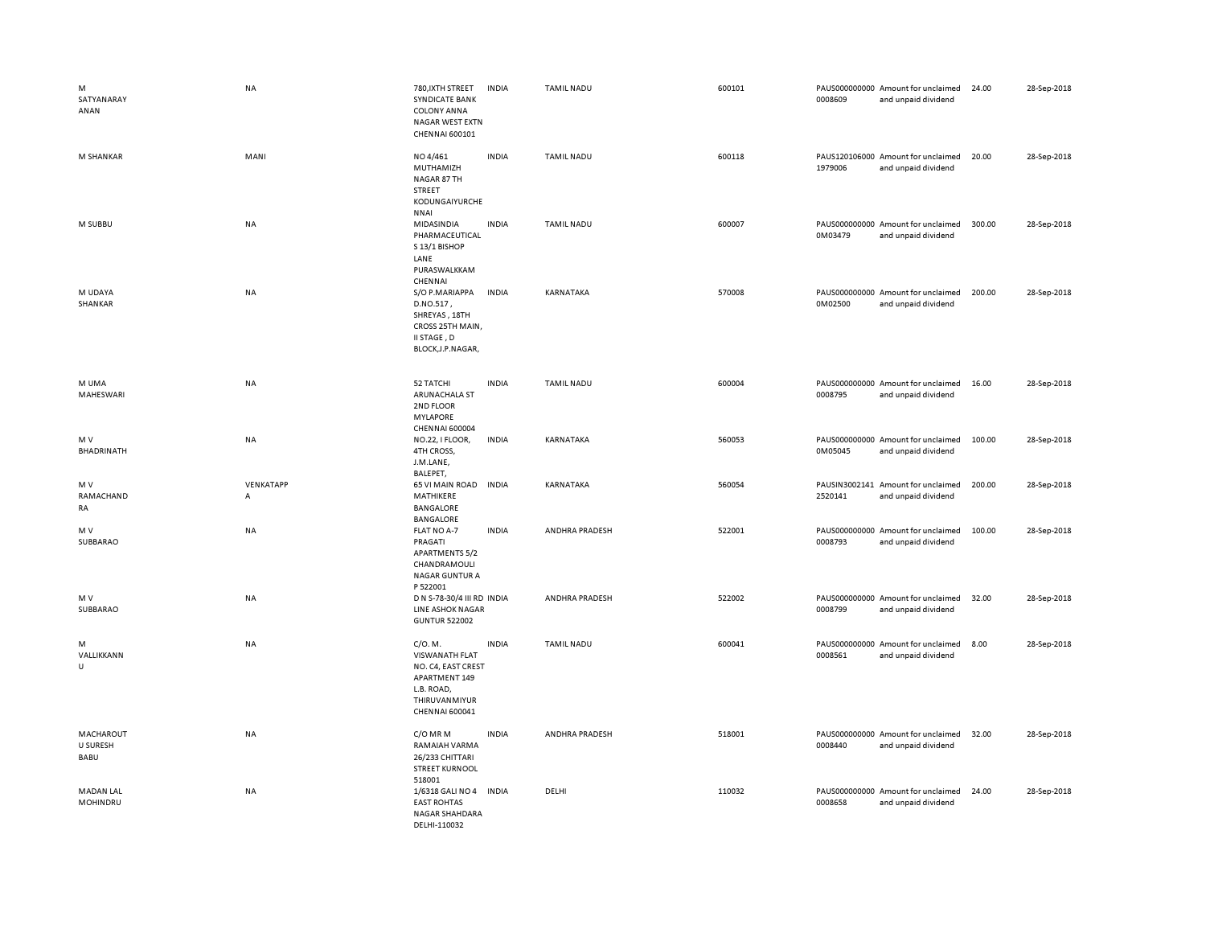| M<br>SATYANARAY<br>ANAN       | NA             | 780, IXTH STREET<br>SYNDICATE BANK<br><b>COLONY ANNA</b><br>NAGAR WEST EXTN<br>CHENNAI 600101                            | <b>INDIA</b> | <b>TAMIL NADU</b> | 600101 | 0008609 | PAUS000000000 Amount for unclaimed<br>and unpaid dividend | 24.00  | 28-Sep-2018 |
|-------------------------------|----------------|--------------------------------------------------------------------------------------------------------------------------|--------------|-------------------|--------|---------|-----------------------------------------------------------|--------|-------------|
| M SHANKAR                     | MANI           | NO 4/461<br>MUTHAMIZH<br>NAGAR 87 TH<br>STREET<br>KODUNGAIYURCHE<br><b>NNAI</b>                                          | <b>INDIA</b> | <b>TAMIL NADU</b> | 600118 | 1979006 | PAUS120106000 Amount for unclaimed<br>and unpaid dividend | 20.00  | 28-Sep-2018 |
| M SUBBU                       | <b>NA</b>      | MIDASINDIA<br>PHARMACEUTICAL<br>S 13/1 BISHOP<br>LANE<br>PURASWALKKAM<br>CHENNAI                                         | <b>INDIA</b> | <b>TAMIL NADU</b> | 600007 | 0M03479 | PAUS000000000 Amount for unclaimed<br>and unpaid dividend | 300.00 | 28-Sep-2018 |
| M UDAYA<br>SHANKAR            | <b>NA</b>      | S/O P.MARIAPPA<br>D.NO.517,<br>SHREYAS, 18TH<br>CROSS 25TH MAIN,<br>II STAGE, D<br>BLOCK, J.P.NAGAR,                     | <b>INDIA</b> | KARNATAKA         | 570008 | 0M02500 | PAUS000000000 Amount for unclaimed<br>and unpaid dividend | 200.00 | 28-Sep-2018 |
| M UMA<br>MAHESWARI            | <b>NA</b>      | 52 TATCHI<br>ARUNACHALA ST<br>2ND FLOOR<br>MYLAPORE<br><b>CHENNAI 600004</b>                                             | <b>INDIA</b> | <b>TAMIL NADU</b> | 600004 | 0008795 | PAUS000000000 Amount for unclaimed<br>and unpaid dividend | 16.00  | 28-Sep-2018 |
| M V<br>BHADRINATH             | <b>NA</b>      | NO.22, I FLOOR,<br>4TH CROSS<br>J.M.LANE,<br>BALEPET,                                                                    | <b>INDIA</b> | KARNATAKA         | 560053 | 0M05045 | PAUS000000000 Amount for unclaimed<br>and unpaid dividend | 100.00 | 28-Sep-2018 |
| M V<br>RAMACHAND<br>RA        | VENKATAPP<br>А | 65 VI MAIN ROAD<br>MATHIKERE<br>BANGALORE<br><b>BANGALORE</b>                                                            | <b>INDIA</b> | KARNATAKA         | 560054 | 2520141 | PAUSIN3002141 Amount for unclaimed<br>and unpaid dividend | 200.00 | 28-Sep-2018 |
| M V<br>SUBBARAO               | <b>NA</b>      | FLAT NO A-7<br>PRAGATI<br><b>APARTMENTS 5/2</b><br>CHANDRAMOULI<br><b>NAGAR GUNTUR A</b><br>P 522001                     | <b>INDIA</b> | ANDHRA PRADESH    | 522001 | 0008793 | PAUS000000000 Amount for unclaimed<br>and unpaid dividend | 100.00 | 28-Sep-2018 |
| M V<br>SUBBARAO               | <b>NA</b>      | D N S-78-30/4 III RD INDIA<br><b>LINE ASHOK NAGAR</b><br><b>GUNTUR 522002</b>                                            |              | ANDHRA PRADESH    | 522002 | 0008799 | PAUS000000000 Amount for unclaimed<br>and unpaid dividend | 32.00  | 28-Sep-2018 |
| M<br>VALLIKKANN<br>$\cup$     | <b>NA</b>      | C/O. M.<br><b>VISWANATH FLAT</b><br>NO. C4, EAST CREST<br>APARTMENT 149<br>L.B. ROAD,<br>THIRUVANMIYUR<br>CHENNAI 600041 | <b>INDIA</b> | <b>TAMIL NADU</b> | 600041 | 0008561 | PAUS000000000 Amount for unclaimed<br>and unpaid dividend | 8.00   | 28-Sep-2018 |
| MACHAROUT<br>U SURESH<br>BABU | NA             | C/O MR M<br>RAMAIAH VARMA<br>26/233 CHITTARI<br><b>STREET KURNOOL</b><br>518001                                          | <b>INDIA</b> | ANDHRA PRADESH    | 518001 | 0008440 | PAUS000000000 Amount for unclaimed<br>and unpaid dividend | 32.00  | 28-Sep-2018 |
| <b>MADAN LAL</b><br>MOHINDRU  | <b>NA</b>      | 1/6318 GALI NO 4 INDIA<br><b>EAST ROHTAS</b><br>NAGAR SHAHDARA<br>DELHI-110032                                           |              | DELHI             | 110032 | 0008658 | PAUS000000000 Amount for unclaimed<br>and unpaid dividend | 24.00  | 28-Sep-2018 |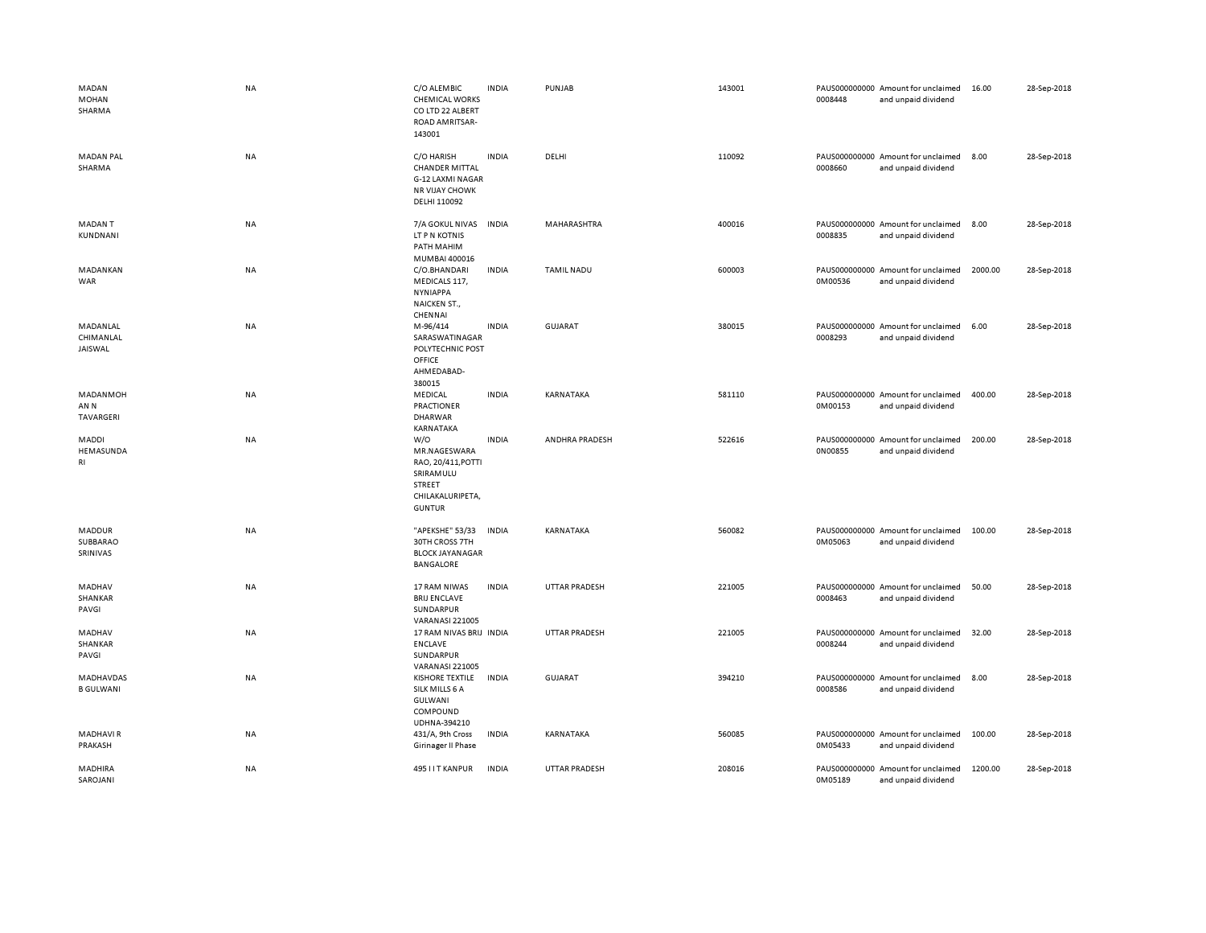| MADAN<br><b>MOHAN</b><br>SHARMA      | <b>NA</b> | C/O ALEMBIC<br><b>CHEMICAL WORKS</b><br>CO LTD 22 ALBERT<br>ROAD AMRITSAR-<br>143001                  | <b>INDIA</b> | PUNJAB               | 143001 | 0008448 | PAUS000000000 Amount for unclaimed<br>and unpaid dividend | 16.00   | 28-Sep-2018 |
|--------------------------------------|-----------|-------------------------------------------------------------------------------------------------------|--------------|----------------------|--------|---------|-----------------------------------------------------------|---------|-------------|
| <b>MADAN PAL</b><br>SHARMA           | <b>NA</b> | C/O HARISH<br><b>CHANDER MITTAL</b><br>G-12 LAXMI NAGAR<br><b>NR VIJAY CHOWK</b><br>DELHI 110092      | <b>INDIA</b> | DELHI                | 110092 | 0008660 | PAUS000000000 Amount for unclaimed<br>and unpaid dividend | 8.00    | 28-Sep-2018 |
| <b>MADANT</b><br>KUNDNANI            | NA        | 7/A GOKUL NIVAS<br>LT P N KOTNIS<br>PATH MAHIM<br>MUMBAI 400016                                       | <b>INDIA</b> | MAHARASHTRA          | 400016 | 0008835 | PAUS000000000 Amount for unclaimed<br>and unpaid dividend | 8.00    | 28-Sep-2018 |
| MADANKAN<br>WAR                      | <b>NA</b> | C/O.BHANDARI<br>MEDICALS 117,<br><b>NYNIAPPA</b><br>NAICKEN ST.,<br>CHENNAI                           | <b>INDIA</b> | <b>TAMIL NADU</b>    | 600003 | 0M00536 | PAUS000000000 Amount for unclaimed<br>and unpaid dividend | 2000.00 | 28-Sep-2018 |
| MADANLAL<br>CHIMANLAL<br>JAISWAL     | <b>NA</b> | M-96/414<br>SARASWATINAGAR<br>POLYTECHNIC POST<br>OFFICE<br>AHMEDABAD-<br>380015                      | <b>INDIA</b> | <b>GUJARAT</b>       | 380015 | 0008293 | PAUS000000000 Amount for unclaimed<br>and unpaid dividend | 6.00    | 28-Sep-2018 |
| MADANMOH<br>AN N<br><b>TAVARGERI</b> | <b>NA</b> | MEDICAL<br>PRACTIONER<br><b>DHARWAR</b><br>KARNATAKA                                                  | <b>INDIA</b> | KARNATAKA            | 581110 | 0M00153 | PAUS000000000 Amount for unclaimed<br>and unpaid dividend | 400.00  | 28-Sep-2018 |
| MADDI<br>HEMASUNDA<br>RI             | NA        | W/O<br>MR.NAGESWARA<br>RAO, 20/411, POTTI<br>SRIRAMULU<br>STREET<br>CHILAKALURIPETA,<br><b>GUNTUR</b> | <b>INDIA</b> | ANDHRA PRADESH       | 522616 | 0N00855 | PAUS000000000 Amount for unclaimed<br>and unpaid dividend | 200.00  | 28-Sep-2018 |
| MADDUR<br>SUBBARAO<br>SRINIVAS       | <b>NA</b> | "APEKSHE" 53/33<br>30TH CROSS 7TH<br><b>BLOCK JAYANAGAR</b><br>BANGALORE                              | <b>INDIA</b> | KARNATAKA            | 560082 | 0M05063 | PAUS000000000 Amount for unclaimed<br>and unpaid dividend | 100.00  | 28-Sep-2018 |
| MADHAV<br>SHANKAR<br>PAVGI           | NA        | 17 RAM NIWAS<br><b>BRIJ ENCLAVE</b><br>SUNDARPUR<br><b>VARANASI 221005</b>                            | <b>INDIA</b> | UTTAR PRADESH        | 221005 | 0008463 | PAUS000000000 Amount for unclaimed<br>and unpaid dividend | 50.00   | 28-Sep-2018 |
| MADHAV<br>SHANKAR<br>PAVGI           | <b>NA</b> | 17 RAM NIVAS BRIJ INDIA<br><b>ENCLAVE</b><br>SUNDARPUR<br>VARANASI 221005                             |              | UTTAR PRADESH        | 221005 | 0008244 | PAUS000000000 Amount for unclaimed<br>and unpaid dividend | 32.00   | 28-Sep-2018 |
| MADHAVDAS<br><b>B GULWANI</b>        | <b>NA</b> | <b>KISHORE TEXTILE</b><br>SILK MILLS 6 A<br>GULWANI<br>COMPOUND<br>UDHNA-394210                       | <b>INDIA</b> | GUJARAT              | 394210 | 0008586 | PAUS000000000 Amount for unclaimed<br>and unpaid dividend | 8.00    | 28-Sep-2018 |
| <b>MADHAVIR</b><br>PRAKASH           | NA        | 431/A, 9th Cross<br>Girinager II Phase                                                                | <b>INDIA</b> | KARNATAKA            | 560085 | 0M05433 | PAUS000000000 Amount for unclaimed<br>and unpaid dividend | 100.00  | 28-Sep-2018 |
| MADHIRA<br>SAROJANI                  | <b>NA</b> | 495 I I T KANPUR                                                                                      | <b>INDIA</b> | <b>UTTAR PRADESH</b> | 208016 | 0M05189 | PAUS000000000 Amount for unclaimed<br>and unpaid dividend | 1200.00 | 28-Sep-2018 |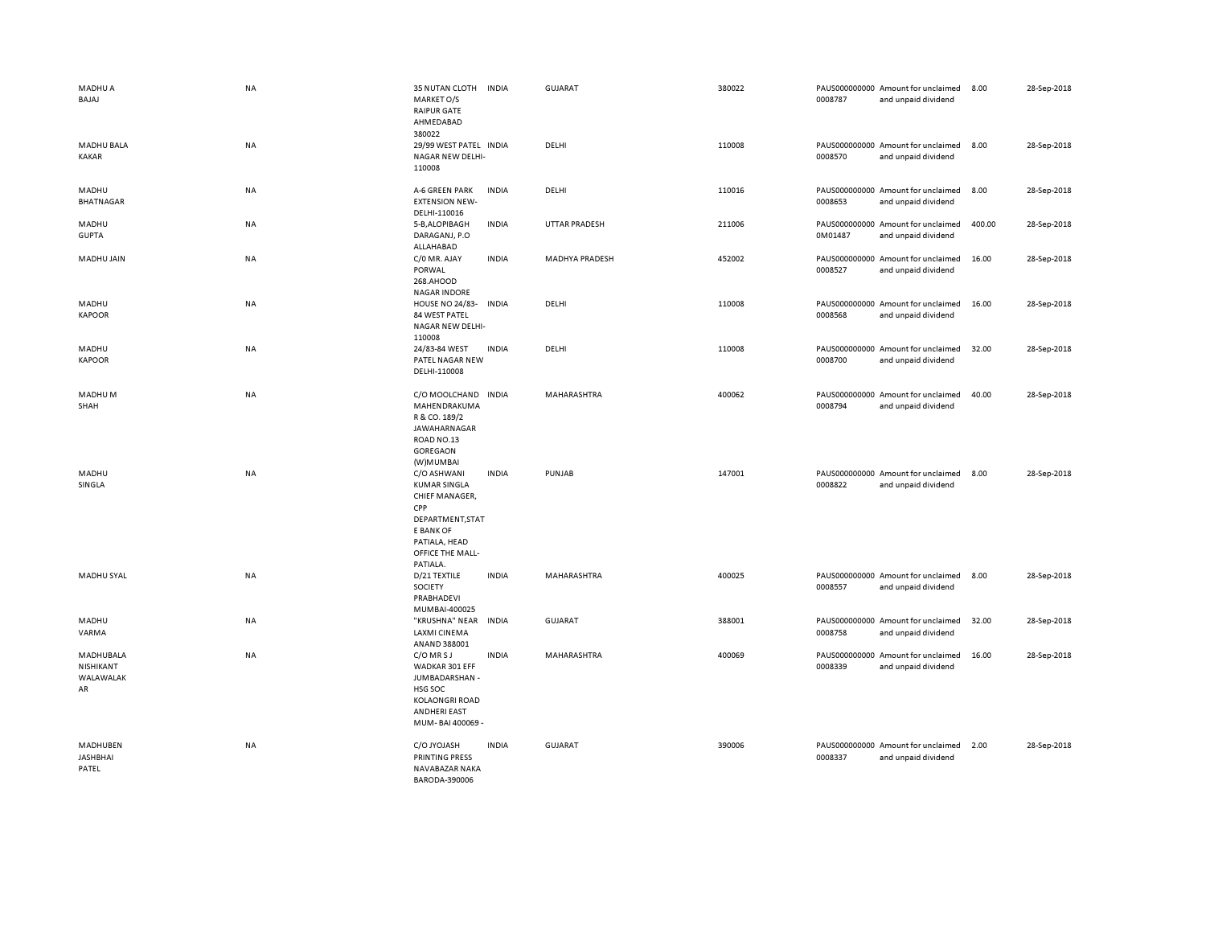| MADHU A<br>BAJAJ                          | <b>NA</b> | 35 NUTAN CLOTH<br>MARKET O/S<br><b>RAIPUR GATE</b><br>AHMEDABAD<br>380022                                                                     | <b>INDIA</b> | <b>GUJARAT</b> | 380022 | 0008787 | PAUS000000000 Amount for unclaimed<br>and unpaid dividend | 8.00   | 28-Sep-2018 |
|-------------------------------------------|-----------|-----------------------------------------------------------------------------------------------------------------------------------------------|--------------|----------------|--------|---------|-----------------------------------------------------------|--------|-------------|
| <b>MADHU BALA</b><br>KAKAR                | NA        | 29/99 WEST PATEL INDIA<br>NAGAR NEW DELHI-<br>110008                                                                                          |              | DELHI          | 110008 | 0008570 | PAUS000000000 Amount for unclaimed<br>and unpaid dividend | 8.00   | 28-Sep-2018 |
| MADHU<br><b>BHATNAGAR</b>                 | <b>NA</b> | A-6 GREEN PARK<br><b>EXTENSION NEW-</b><br>DELHI-110016                                                                                       | <b>INDIA</b> | DELHI          | 110016 | 0008653 | PAUS000000000 Amount for unclaimed<br>and unpaid dividend | 8.00   | 28-Sep-2018 |
| MADHU<br><b>GUPTA</b>                     | NA        | 5-B, ALOPIBAGH<br>DARAGANJ, P.O<br>ALLAHABAD                                                                                                  | <b>INDIA</b> | UTTAR PRADESH  | 211006 | 0M01487 | PAUS000000000 Amount for unclaimed<br>and unpaid dividend | 400.00 | 28-Sep-2018 |
| MADHU JAIN                                | <b>NA</b> | C/0 MR. AJAY<br>PORWAL<br>268.AHOOD<br><b>NAGAR INDORE</b>                                                                                    | <b>INDIA</b> | MADHYA PRADESH | 452002 | 0008527 | PAUS000000000 Amount for unclaimed<br>and unpaid dividend | 16.00  | 28-Sep-2018 |
| MADHU<br><b>KAPOOR</b>                    | <b>NA</b> | <b>HOUSE NO 24/83-</b><br>84 WEST PATEL<br>NAGAR NEW DELHI-<br>110008                                                                         | <b>INDIA</b> | DELHI          | 110008 | 0008568 | PAUS000000000 Amount for unclaimed<br>and unpaid dividend | 16.00  | 28-Sep-2018 |
| MADHU<br><b>KAPOOR</b>                    | <b>NA</b> | 24/83-84 WEST<br>PATEL NAGAR NEW<br>DELHI-110008                                                                                              | <b>INDIA</b> | DELHI          | 110008 | 0008700 | PAUS000000000 Amount for unclaimed<br>and unpaid dividend | 32.00  | 28-Sep-2018 |
| MADHU M<br>SHAH                           | NA        | C/O MOOLCHAND INDIA<br>MAHENDRAKUMA<br>R & CO. 189/2<br>JAWAHARNAGAR<br>ROAD NO.13<br>GOREGAON<br>(W)MUMBAI                                   |              | MAHARASHTRA    | 400062 | 0008794 | PAUS000000000 Amount for unclaimed<br>and unpaid dividend | 40.00  | 28-Sep-2018 |
| MADHU<br>SINGLA                           | NA        | C/O ASHWANI<br><b>KUMAR SINGLA</b><br>CHIEF MANAGER,<br>CPP<br>DEPARTMENT, STAT<br>E BANK OF<br>PATIALA, HEAD<br>OFFICE THE MALL-<br>PATIALA. | <b>INDIA</b> | PUNJAB         | 147001 | 0008822 | PAUS000000000 Amount for unclaimed<br>and unpaid dividend | 8.00   | 28-Sep-2018 |
| MADHU SYAL                                | NA        | D/21 TEXTILE<br>SOCIETY<br>PRABHADEVI<br>MUMBAI-400025                                                                                        | <b>INDIA</b> | MAHARASHTRA    | 400025 | 0008557 | PAUS000000000 Amount for unclaimed<br>and unpaid dividend | 8.00   | 28-Sep-2018 |
| MADHU<br>VARMA                            | NA        | "KRUSHNA" NEAR<br>LAXMI CINEMA<br>ANAND 388001                                                                                                | <b>INDIA</b> | <b>GUJARAT</b> | 388001 | 0008758 | PAUS000000000 Amount for unclaimed<br>and unpaid dividend | 32.00  | 28-Sep-2018 |
| MADHUBALA<br>NISHIKANT<br>WALAWALAK<br>AR | NA        | C/O MR S J<br>WADKAR 301 EFF<br>JUMBADARSHAN -<br>HSG SOC<br>KOLAONGRI ROAD<br><b>ANDHERI EAST</b><br>MUM-BAI 400069 -                        | <b>INDIA</b> | MAHARASHTRA    | 400069 | 0008339 | PAUS000000000 Amount for unclaimed<br>and unpaid dividend | 16.00  | 28-Sep-2018 |
| MADHUBEN<br><b>JASHBHAI</b><br>PATEL      | NA        | C/O JYOJASH<br>PRINTING PRESS<br>NAVABAZAR NAKA<br>BARODA-390006                                                                              | <b>INDIA</b> | <b>GUJARAT</b> | 390006 | 0008337 | PAUS000000000 Amount for unclaimed<br>and unpaid dividend | 2.00   | 28-Sep-2018 |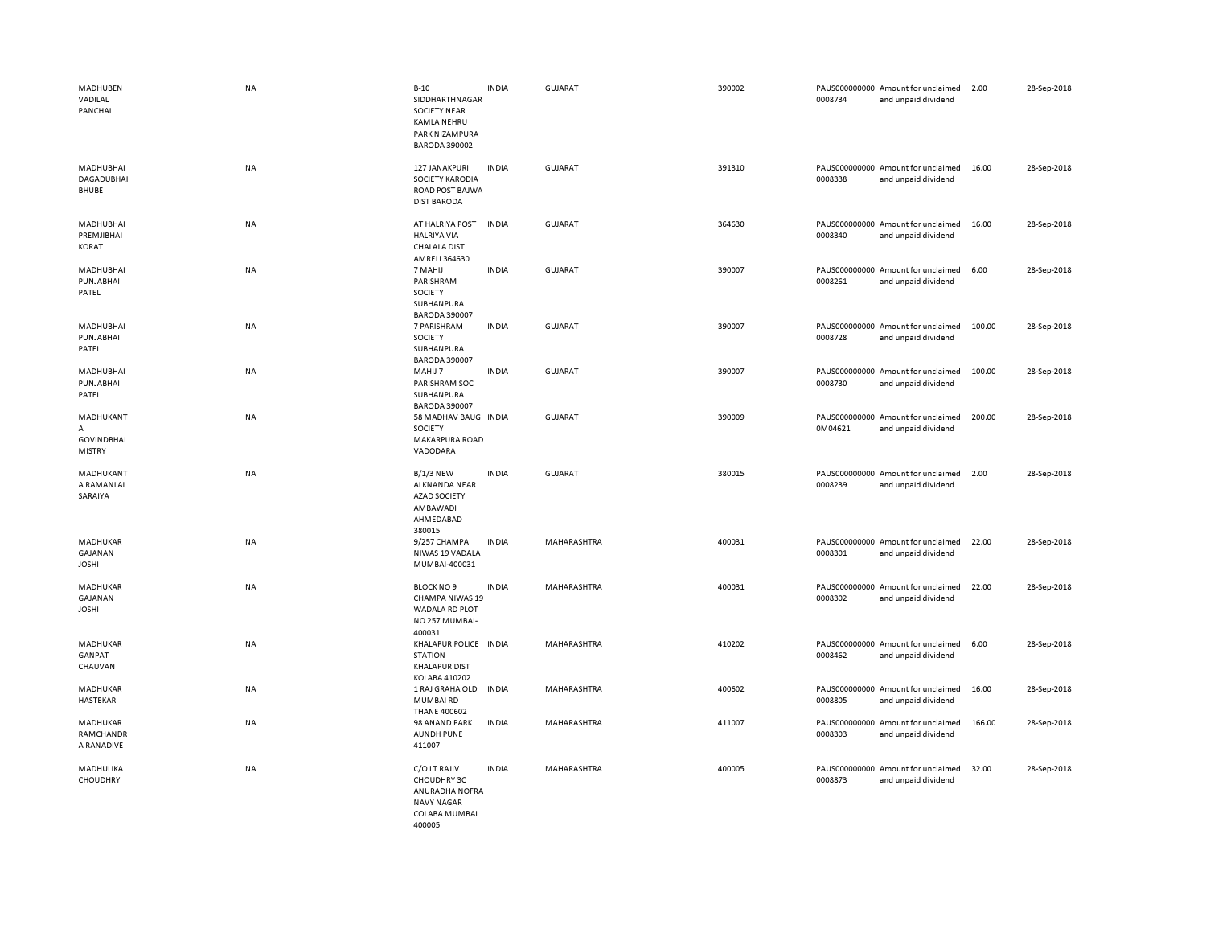| MADHUBEN<br>VADILAL<br>PANCHAL                                  | <b>NA</b> | $B-10$<br>SIDDHARTHNAGAR<br><b>SOCIETY NEAR</b><br><b>KAMLA NEHRU</b><br>PARK NIZAMPURA<br><b>BARODA 390002</b> | <b>INDIA</b> | GUJARAT        | 390002 | 0008734 | PAUS000000000 Amount for unclaimed<br>and unpaid dividend | 2.00   | 28-Sep-2018 |
|-----------------------------------------------------------------|-----------|-----------------------------------------------------------------------------------------------------------------|--------------|----------------|--------|---------|-----------------------------------------------------------|--------|-------------|
| MADHUBHAI<br>DAGADUBHAI<br><b>BHUBE</b>                         | NA        | 127 JANAKPURI<br>SOCIETY KARODIA<br>ROAD POST BAJWA<br><b>DIST BARODA</b>                                       | <b>INDIA</b> | <b>GUJARAT</b> | 391310 | 0008338 | PAUS000000000 Amount for unclaimed<br>and unpaid dividend | 16.00  | 28-Sep-2018 |
| MADHUBHAI<br>PREMJIBHAI<br><b>KORAT</b>                         | NA        | AT HALRIYA POST<br><b>HALRIYA VIA</b><br><b>CHALALA DIST</b><br>AMRELI 364630                                   | <b>INDIA</b> | <b>GUJARAT</b> | 364630 | 0008340 | PAUS000000000 Amount for unclaimed<br>and unpaid dividend | 16.00  | 28-Sep-2018 |
| MADHUBHAI<br>PUNJABHAI<br>PATEL                                 | NA        | 7 MAHIJ<br>PARISHRAM<br>SOCIETY<br>SUBHANPURA<br><b>BARODA 390007</b>                                           | <b>INDIA</b> | <b>GUJARAT</b> | 390007 | 0008261 | PAUS000000000 Amount for unclaimed<br>and unpaid dividend | 6.00   | 28-Sep-2018 |
| MADHUBHAI<br>PUNJABHAI<br>PATEL                                 | NA        | 7 PARISHRAM<br>SOCIETY<br>SUBHANPURA<br><b>BARODA 390007</b>                                                    | <b>INDIA</b> | GUJARAT        | 390007 | 0008728 | PAUS000000000 Amount for unclaimed<br>and unpaid dividend | 100.00 | 28-Sep-2018 |
| MADHUBHAI<br>PUNJABHAI<br>PATEL                                 | NA        | MAHIJ 7<br>PARISHRAM SOC<br>SUBHANPURA<br><b>BARODA 390007</b>                                                  | <b>INDIA</b> | GUJARAT        | 390007 | 0008730 | PAUS000000000 Amount for unclaimed<br>and unpaid dividend | 100.00 | 28-Sep-2018 |
| MADHUKANT<br>$\mathsf{A}$<br><b>GOVINDBHAI</b><br><b>MISTRY</b> | NA        | 58 MADHAV BAUG INDIA<br><b>SOCIETY</b><br>MAKARPURA ROAD<br>VADODARA                                            |              | GUJARAT        | 390009 | 0M04621 | PAUS000000000 Amount for unclaimed<br>and unpaid dividend | 200.00 | 28-Sep-2018 |
| MADHUKANT<br>A RAMANLAL<br>SARAIYA                              | <b>NA</b> | <b>B/1/3 NEW</b><br><b>ALKNANDA NEAR</b><br><b>AZAD SOCIETY</b><br>AMBAWADI<br>AHMEDABAD<br>380015              | <b>INDIA</b> | GUJARAT        | 380015 | 0008239 | PAUS000000000 Amount for unclaimed<br>and unpaid dividend | 2.00   | 28-Sep-2018 |
| MADHUKAR<br>GAJANAN<br><b>JOSHI</b>                             | NA        | 9/257 CHAMPA<br>NIWAS 19 VADALA<br>MUMBAI-400031                                                                | <b>INDIA</b> | MAHARASHTRA    | 400031 | 0008301 | PAUS000000000 Amount for unclaimed<br>and unpaid dividend | 22.00  | 28-Sep-2018 |
| MADHUKAR<br>GAJANAN<br><b>JOSHI</b>                             | NA        | <b>BLOCK NO 9</b><br><b>CHAMPA NIWAS 19</b><br>WADALA RD PLOT<br>NO 257 MUMBAI-<br>400031                       | <b>INDIA</b> | MAHARASHTRA    | 400031 | 0008302 | PAUS000000000 Amount for unclaimed<br>and unpaid dividend | 22.00  | 28-Sep-2018 |
| MADHUKAR<br>GANPAT<br>CHAUVAN                                   | NA        | KHALAPUR POLICE IN DIA<br><b>STATION</b><br><b>KHALAPUR DIST</b><br>KOLABA 410202                               |              | MAHARASHTRA    | 410202 | 0008462 | PAUS000000000 Amount for unclaimed<br>and unpaid dividend | 6.00   | 28-Sep-2018 |
| MADHUKAR<br>HASTEKAR                                            | NA        | 1 RAJ GRAHA OLD<br>MUMBAIRD<br><b>THANE 400602</b>                                                              | <b>INDIA</b> | MAHARASHTRA    | 400602 | 0008805 | PAUS000000000 Amount for unclaimed<br>and unpaid dividend | 16.00  | 28-Sep-2018 |
| MADHUKAR<br>RAMCHANDR<br>A RANADIVE                             | NA        | 98 ANAND PARK<br><b>AUNDH PUNE</b><br>411007                                                                    | <b>INDIA</b> | MAHARASHTRA    | 411007 | 0008303 | PAUS000000000 Amount for unclaimed<br>and unpaid dividend | 166.00 | 28-Sep-2018 |
| MADHULIKA<br>CHOUDHRY                                           | NA        | C/O LT RAJIV<br>CHOUDHRY 3C<br>ANURADHA NOFRA<br><b>NAVY NAGAR</b><br>COLABA MUMBAI<br>400005                   | <b>INDIA</b> | MAHARASHTRA    | 400005 | 0008873 | PAUS000000000 Amount for unclaimed<br>and unpaid dividend | 32.00  | 28-Sep-2018 |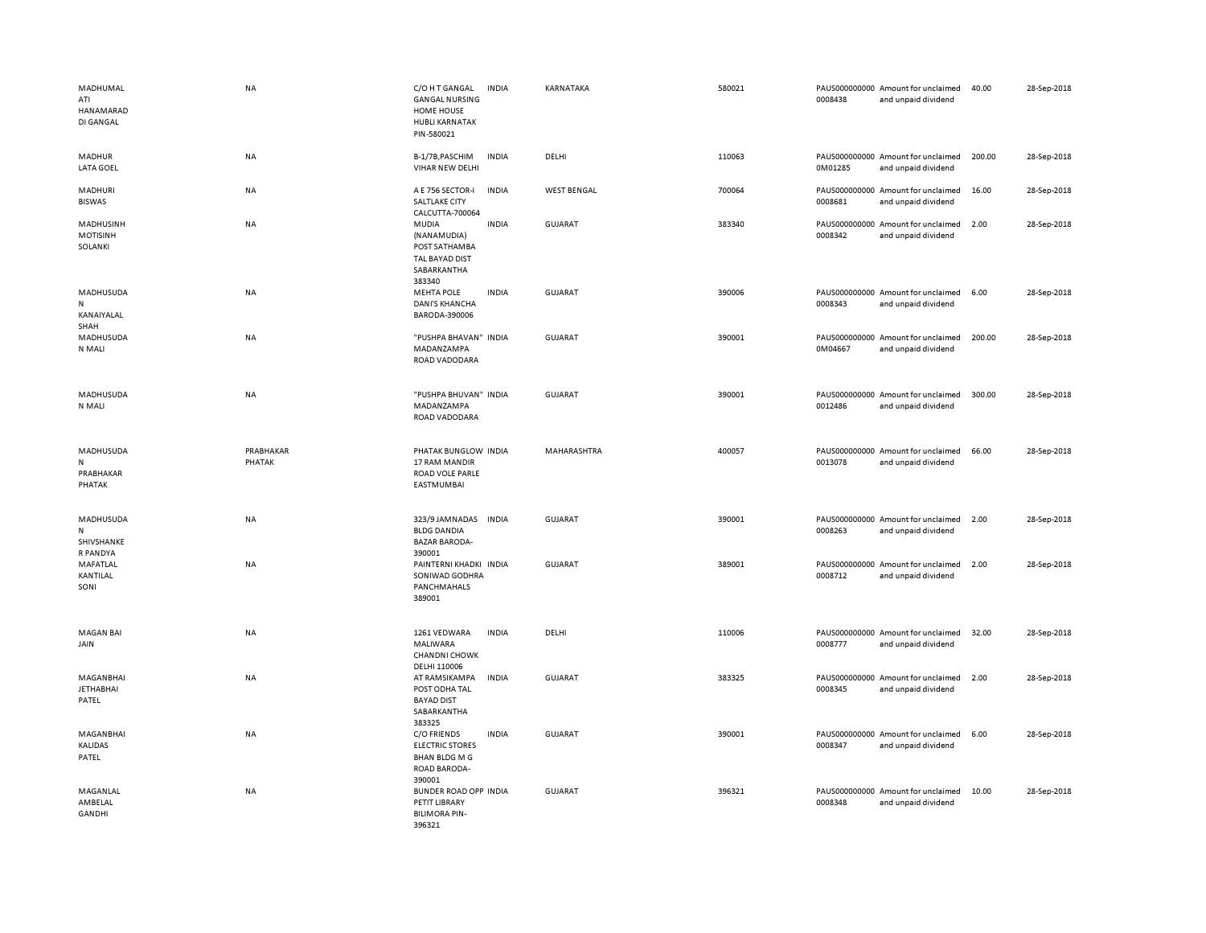| MADHUMAL<br>ATI<br>HANAMARAD<br>DI GANGAL    | <b>NA</b>           | C/O H T GANGAL<br><b>GANGAL NURSING</b><br>HOME HOUSE<br><b>HUBLI KARNATAK</b><br>PIN-580021   | <b>INDIA</b> | KARNATAKA          | 580021 | 0008438 | PAUS000000000 Amount for unclaimed<br>and unpaid dividend | 40.00  | 28-Sep-2018 |
|----------------------------------------------|---------------------|------------------------------------------------------------------------------------------------|--------------|--------------------|--------|---------|-----------------------------------------------------------|--------|-------------|
| MADHUR<br>LATA GOEL                          | NA                  | B-1/7B, PASCHIM<br>VIHAR NEW DELHI                                                             | <b>INDIA</b> | DELHI              | 110063 | 0M01285 | PAUS000000000 Amount for unclaimed<br>and unpaid dividend | 200.00 | 28-Sep-2018 |
| MADHURI<br><b>BISWAS</b>                     | NA                  | A E 756 SECTOR-I<br>SALTLAKE CITY<br>CALCUTTA-700064                                           | <b>INDIA</b> | <b>WEST BENGAL</b> | 700064 | 0008681 | PAUS000000000 Amount for unclaimed<br>and unpaid dividend | 16.00  | 28-Sep-2018 |
| MADHUSINH<br><b>MOTISINH</b><br>SOLANKI      | NA                  | MUDIA<br>(NANAMUDIA)<br>POST SATHAMBA<br>TAL BAYAD DIST<br>SABARKANTHA<br>383340               | <b>INDIA</b> | GUJARAT            | 383340 | 0008342 | PAUS000000000 Amount for unclaimed<br>and unpaid dividend | 2.00   | 28-Sep-2018 |
| MADHUSUDA<br>${\sf N}$<br>KANAIYALAL<br>SHAH | NA                  | <b>MEHTA POLE</b><br><b>DANI'S KHANCHA</b><br>BARODA-390006                                    | <b>INDIA</b> | GUJARAT            | 390006 | 0008343 | PAUS000000000 Amount for unclaimed<br>and unpaid dividend | 6.00   | 28-Sep-2018 |
| MADHUSUDA<br>N MALI                          | NA                  | "PUSHPA BHAVAN" INDIA<br>MADANZAMPA<br>ROAD VADODARA                                           |              | <b>GUJARAT</b>     | 390001 | 0M04667 | PAUS000000000 Amount for unclaimed<br>and unpaid dividend | 200.00 | 28-Sep-2018 |
| MADHUSUDA<br>N MALI                          | NA                  | "PUSHPA BHUVAN" INDIA<br>MADANZAMPA<br>ROAD VADODARA                                           |              | GUJARAT            | 390001 | 0012486 | PAUS000000000 Amount for unclaimed<br>and unpaid dividend | 300.00 | 28-Sep-2018 |
| MADHUSUDA<br>N<br>PRABHAKAR<br>PHATAK        | PRABHAKAR<br>PHATAK | PHATAK BUNGLOW INDIA<br>17 RAM MANDIR<br>ROAD VOLE PARLE<br>EASTMUMBAI                         |              | MAHARASHTRA        | 400057 | 0013078 | PAUS000000000 Amount for unclaimed<br>and unpaid dividend | 66.00  | 28-Sep-2018 |
| MADHUSUDA<br>N<br>SHIVSHANKE                 | NA                  | 323/9 JAMNADAS<br><b>BLDG DANDIA</b><br><b>BAZAR BARODA-</b><br>390001                         | <b>INDIA</b> | <b>GUJARAT</b>     | 390001 | 0008263 | PAUS000000000 Amount for unclaimed<br>and unpaid dividend | 2.00   | 28-Sep-2018 |
| R PANDYA<br>MAFATLAL<br>KANTILAL<br>SONI     | <b>NA</b>           | PAINTERNI KHADKI INDIA<br>SONIWAD GODHRA<br>PANCHMAHALS<br>389001                              |              | <b>GUJARAT</b>     | 389001 | 0008712 | PAUS000000000 Amount for unclaimed<br>and unpaid dividend | 2.00   | 28-Sep-2018 |
| <b>MAGAN BAI</b><br>JAIN                     | NA                  | 1261 VEDWARA<br>MALIWARA<br><b>CHANDNI CHOWK</b><br>DELHI 110006                               | <b>INDIA</b> | DELHI              | 110006 | 0008777 | PAUS000000000 Amount for unclaimed<br>and unpaid dividend | 32.00  | 28-Sep-2018 |
| MAGANBHAI<br><b>JETHABHAI</b><br>PATEL       | NA                  | AT RAMSIKAMPA<br>POST ODHA TAL<br><b>BAYAD DIST</b><br>SABARKANTHA<br>383325                   | <b>INDIA</b> | <b>GUJARAT</b>     | 383325 | 0008345 | PAUS000000000 Amount for unclaimed<br>and unpaid dividend | 2.00   | 28-Sep-2018 |
| MAGANBHAI<br>KALIDAS<br>PATEL                | NA                  | C/O FRIENDS<br><b>ELECTRIC STORES</b><br><b>BHAN BLDG M G</b><br><b>ROAD BARODA-</b><br>390001 | <b>INDIA</b> | <b>GUJARAT</b>     | 390001 | 0008347 | PAUS000000000 Amount for unclaimed<br>and unpaid dividend | 6.00   | 28-Sep-2018 |
| MAGANLAL<br>AMBELAL<br>GANDHI                | NA                  | BUNDER ROAD OPP INDIA<br>PETIT LIBRARY<br><b>BILIMORA PIN-</b><br>396321                       |              | <b>GUJARAT</b>     | 396321 | 0008348 | PAUS000000000 Amount for unclaimed<br>and unpaid dividend | 10.00  | 28-Sep-2018 |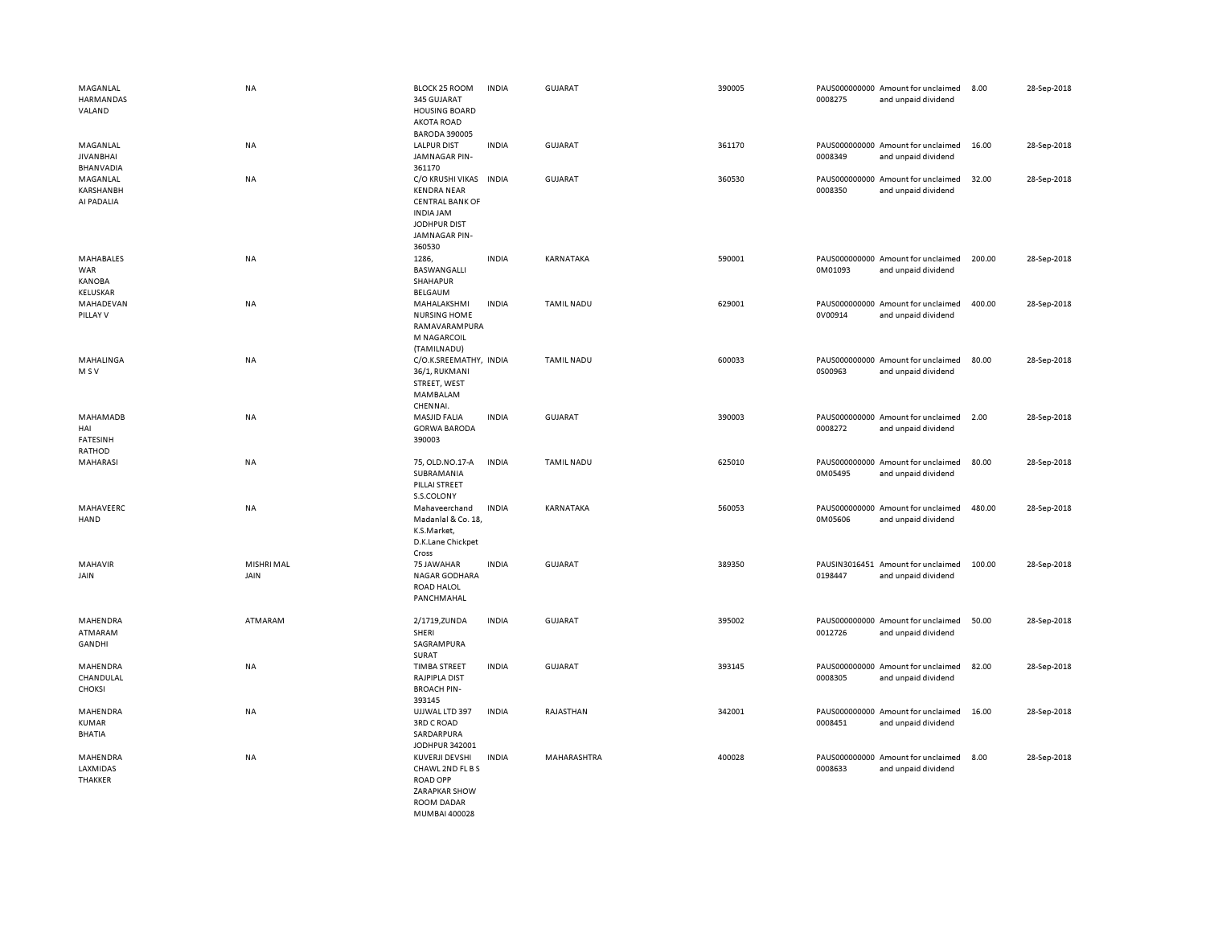| MAGANLAL<br><b>HARMANDAS</b><br>VALAND                      | <b>NA</b>          | <b>BLOCK 25 ROOM</b><br>345 GUJARAT<br><b>HOUSING BOARD</b><br><b>AKOTA ROAD</b><br><b>BARODA 390005</b>                       | <b>INDIA</b> | GUJARAT           | 390005 | 0008275                  | PAUS000000000 Amount for unclaimed<br>and unpaid dividend | 8.00   | 28-Sep-2018 |
|-------------------------------------------------------------|--------------------|--------------------------------------------------------------------------------------------------------------------------------|--------------|-------------------|--------|--------------------------|-----------------------------------------------------------|--------|-------------|
| MAGANLAL<br><b>JIVAN BHAI</b><br><b>BHANVADIA</b>           | <b>NA</b>          | <b>LALPUR DIST</b><br>JAMNAGAR PIN-<br>361170                                                                                  | <b>INDIA</b> | GUJARAT           | 361170 | 0008349                  | PAUS000000000 Amount for unclaimed<br>and unpaid dividend | 16.00  | 28-Sep-2018 |
| MAGANLAL<br><b>KARSHANBH</b><br>AI PADALIA                  | <b>NA</b>          | C/O KRUSHI VIKAS INDIA<br><b>KENDRA NEAR</b><br><b>CENTRAL BANK OF</b><br>INDIA JAM<br>JODHPUR DIST<br>JAMNAGAR PIN-<br>360530 |              | GUJARAT           | 360530 | 0008350                  | PAUS000000000 Amount for unclaimed<br>and unpaid dividend | 32.00  | 28-Sep-2018 |
| MAHABALES<br><b>WAR</b><br><b>KANOBA</b><br><b>KELUSKAR</b> | NA                 | 1286,<br>BASWANGALLI<br>SHAHAPUR<br>BELGAUM                                                                                    | <b>INDIA</b> | KARNATAKA         | 590001 | 0M01093                  | PAUS000000000 Amount for unclaimed<br>and unpaid dividend | 200.00 | 28-Sep-2018 |
| MAHADEVAN<br>PILLAY V                                       | <b>NA</b>          | MAHALAKSHMI<br><b>NURSING HOME</b><br>RAMAVARAMPURA<br>M NAGARCOIL<br>(TAMILNADU)                                              | <b>INDIA</b> | <b>TAMIL NADU</b> | 629001 | 0V00914                  | PAUS000000000 Amount for unclaimed<br>and unpaid dividend | 400.00 | 28-Sep-2018 |
| MAHALINGA<br>M S V                                          | <b>NA</b>          | C/O.K.SREEMATHY, INDIA<br>36/1, RUKMANI<br>STREET, WEST<br>MAMBALAM<br>CHENNAI.                                                |              | <b>TAMIL NADU</b> | 600033 | 0S00963                  | PAUS000000000 Amount for unclaimed<br>and unpaid dividend | 80.00  | 28-Sep-2018 |
| MAHAMADB<br>HAI<br><b>FATESINH</b><br>RATHOD                | <b>NA</b>          | MASJID FALIA<br><b>GORWA BARODA</b><br>390003                                                                                  | <b>INDIA</b> | GUJARAT           | 390003 | 0008272                  | PAUS000000000 Amount for unclaimed<br>and unpaid dividend | 2.00   | 28-Sep-2018 |
| MAHARASI                                                    | NA                 | 75, OLD.NO.17-A<br>SUBRAMANIA<br>PILLAI STREET<br>S.S.COLONY                                                                   | <b>INDIA</b> | <b>TAMIL NADU</b> | 625010 | 0M05495                  | PAUS000000000 Amount for unclaimed<br>and unpaid dividend | 80.00  | 28-Sep-2018 |
| MAHAVEERC<br>HAND                                           | NA                 | Mahaveerchand<br>Madanlal & Co. 18,<br>K.S.Market,<br>D.K.Lane Chickpet<br>Cross                                               | <b>INDIA</b> | KARNATAKA         | 560053 | 0M05606                  | PAUS000000000 Amount for unclaimed<br>and unpaid dividend | 480.00 | 28-Sep-2018 |
| <b>MAHAVIR</b><br>JAIN                                      | MISHRI MAL<br>JAIN | 75 JAWAHAR<br>NAGAR GODHARA<br>ROAD HALOL<br>PANCHMAHAL                                                                        | <b>INDIA</b> | <b>GUJARAT</b>    | 389350 | PAUSIN3016451<br>0198447 | Amount for unclaimed<br>and unpaid dividend               | 100.00 | 28-Sep-2018 |
| MAHENDRA<br>ATMARAM<br>GANDHI                               | ATMARAM            | 2/1719, ZUNDA<br>SHERI<br>SAGRAMPURA<br>SURAT                                                                                  | <b>INDIA</b> | <b>GUJARAT</b>    | 395002 | 0012726                  | PAUS000000000 Amount for unclaimed<br>and unpaid dividend | 50.00  | 28-Sep-2018 |
| MAHENDRA<br>CHANDULAL<br><b>CHOKSI</b>                      | NA                 | <b>TIMBA STREET</b><br>RAJPIPLA DIST<br><b>BROACH PIN-</b><br>393145                                                           | <b>INDIA</b> | GUJARAT           | 393145 | 0008305                  | PAUS000000000 Amount for unclaimed<br>and unpaid dividend | 82.00  | 28-Sep-2018 |
| MAHENDRA<br><b>KUMAR</b><br><b>BHATIA</b>                   | NA                 | UJJWAL LTD 397<br><b>3RD C ROAD</b><br>SARDARPURA<br>JODHPUR 342001                                                            | <b>INDIA</b> | RAJASTHAN         | 342001 | 0008451                  | PAUS000000000 Amount for unclaimed<br>and unpaid dividend | 16.00  | 28-Sep-2018 |
| MAHENDRA<br>LAXMIDAS<br><b>THAKKER</b>                      | <b>NA</b>          | KUVERJI DEVSHI<br>CHAWL 2ND FL B S<br><b>ROAD OPP</b><br><b>ZARAPKAR SHOW</b><br>ROOM DADAR                                    | <b>INDIA</b> | MAHARASHTRA       | 400028 | 0008633                  | PAUS000000000 Amount for unclaimed<br>and unpaid dividend | 8.00   | 28-Sep-2018 |

MUMBAI 400028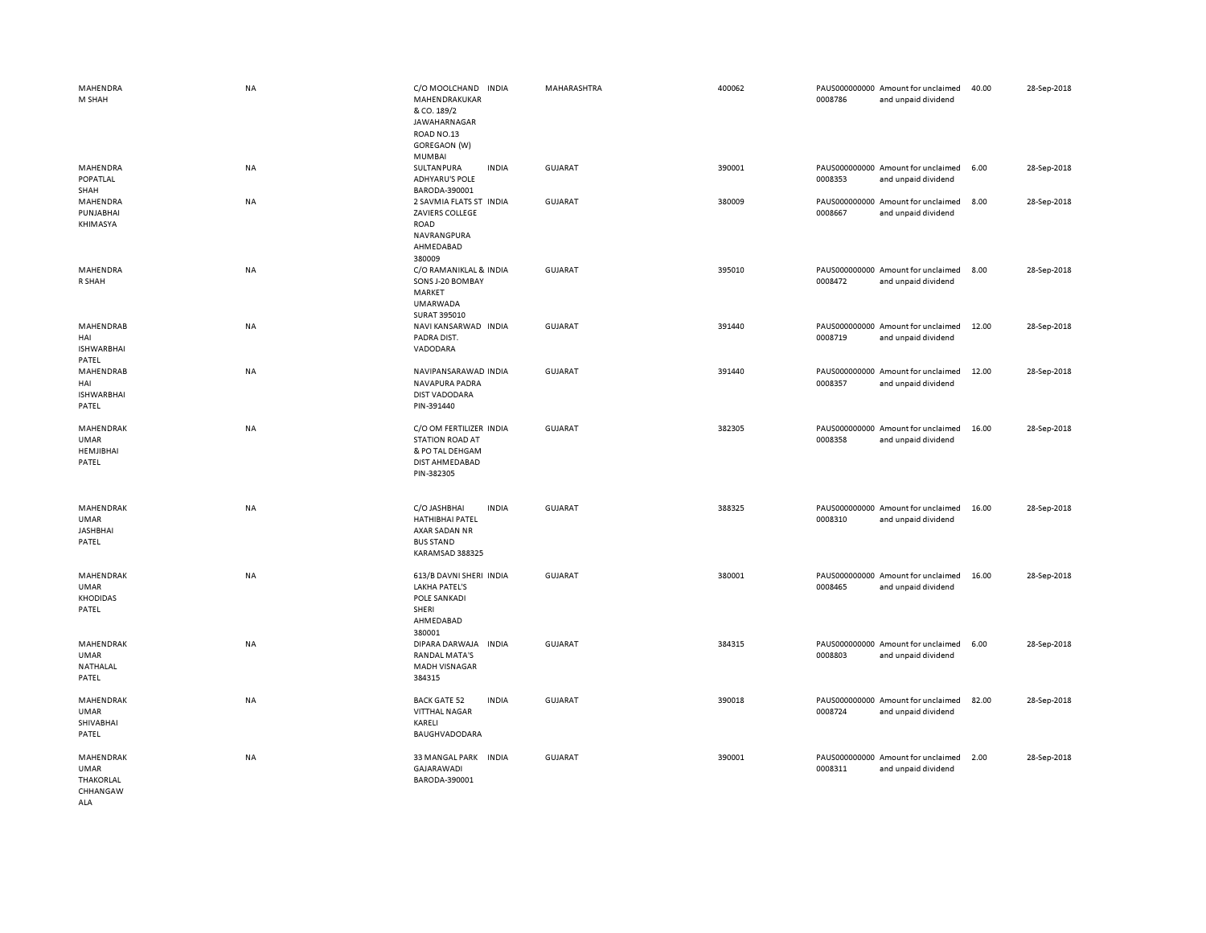| MAHENDRA<br>M SHAH                                   | NA        | C/O MOOLCHAND<br><b>INDIA</b><br>MAHENDRAKUKAR<br>& CO. 189/2<br>JAWAHARNAGAR<br>ROAD NO.13<br>GOREGAON (W)    | MAHARASHTRA    | 400062 | 0008786 | PAUS000000000 Amount for unclaimed<br>and unpaid dividend | 40.00 | 28-Sep-2018 |
|------------------------------------------------------|-----------|----------------------------------------------------------------------------------------------------------------|----------------|--------|---------|-----------------------------------------------------------|-------|-------------|
| MAHENDRA<br>POPATLAL                                 | NA        | MUMBAI<br>SULTANPURA<br><b>INDIA</b><br><b>ADHYARU'S POLE</b>                                                  | <b>GUJARAT</b> | 390001 | 0008353 | PAUS000000000 Amount for unclaimed<br>and unpaid dividend | 6.00  | 28-Sep-2018 |
| SHAH<br>MAHENDRA<br>PUNJABHAI<br>KHIMASYA            | NA        | BARODA-390001<br>2 SAVMIA FLATS ST INDIA<br>ZAVIERS COLLEGE<br>ROAD<br>NAVRANGPURA<br>AHMEDABAD<br>380009      | <b>GUJARAT</b> | 380009 | 0008667 | PAUS000000000 Amount for unclaimed<br>and unpaid dividend | 8.00  | 28-Sep-2018 |
| MAHENDRA<br>R SHAH                                   | NA        | C/O RAMANIKLAL & INDIA<br>SONS J-20 BOMBAY<br>MARKET<br><b>UMARWADA</b><br>SURAT 395010                        | GUJARAT        | 395010 | 0008472 | PAUS000000000 Amount for unclaimed<br>and unpaid dividend | 8.00  | 28-Sep-2018 |
| MAHENDRAB<br>HAI<br><b>ISHWARBHAI</b><br>PATEL       | NA        | NAVI KANSARWAD INDIA<br>PADRA DIST.<br>VADODARA                                                                | GUJARAT        | 391440 | 0008719 | PAUS000000000 Amount for unclaimed<br>and unpaid dividend | 12.00 | 28-Sep-2018 |
| MAHENDRAB<br>HAI<br><b>ISHWARBHAI</b><br>PATEL       | NA        | NAVIPANSARAWAD INDIA<br>NAVAPURA PADRA<br><b>DIST VADODARA</b><br>PIN-391440                                   | <b>GUJARAT</b> | 391440 | 0008357 | PAUS000000000 Amount for unclaimed<br>and unpaid dividend | 12.00 | 28-Sep-2018 |
| MAHENDRAK<br><b>UMAR</b><br>HEMJIBHAI<br>PATEL       | NA        | C/O OM FERTILIZER INDIA<br><b>STATION ROAD AT</b><br>& PO TAL DEHGAM<br>DIST AHMEDABAD<br>PIN-382305           | <b>GUJARAT</b> | 382305 | 0008358 | PAUS000000000 Amount for unclaimed<br>and unpaid dividend | 16.00 | 28-Sep-2018 |
| MAHENDRAK<br>UMAR<br><b>JASHBHAI</b><br>PATEL        | <b>NA</b> | C/O JASHBHAI<br><b>INDIA</b><br><b>HATHIBHAI PATEL</b><br>AXAR SADAN NR<br><b>BUS STAND</b><br>KARAMSAD 388325 | GUJARAT        | 388325 | 0008310 | PAUS000000000 Amount for unclaimed<br>and unpaid dividend | 16.00 | 28-Sep-2018 |
| MAHENDRAK<br><b>UMAR</b><br><b>KHODIDAS</b><br>PATEL | NA        | 613/B DAVNI SHERI INDIA<br><b>LAKHA PATEL'S</b><br>POLE SANKADI<br>SHERI<br>AHMEDABAD<br>380001                | <b>GUJARAT</b> | 380001 | 0008465 | PAUS000000000 Amount for unclaimed<br>and unpaid dividend | 16.00 | 28-Sep-2018 |
| MAHENDRAK<br>UMAR<br>NATHALAL<br>PATEL               | <b>NA</b> | DIPARA DARWAJA<br><b>INDIA</b><br><b>RANDAL MATA'S</b><br><b>MADH VISNAGAR</b><br>384315                       | GUJARAT        | 384315 | 0008803 | PAUS000000000 Amount for unclaimed<br>and unpaid dividend | 6.00  | 28-Sep-2018 |
| MAHENDRAK<br><b>UMAR</b><br>SHIVABHAI<br>PATEL       | <b>NA</b> | <b>BACK GATE 52</b><br><b>INDIA</b><br><b>VITTHAL NAGAR</b><br>KARELI<br>BAUGHVADODARA                         | <b>GUJARAT</b> | 390018 | 0008724 | PAUS000000000 Amount for unclaimed<br>and unpaid dividend | 82.00 | 28-Sep-2018 |
| MAHENDRAK<br><b>UMAR</b><br>THAKORLAL<br>CHHANGAW    | NA        | 33 MANGAL PARK INDIA<br><b>GAJARAWADI</b><br>BARODA-390001                                                     | <b>GUJARAT</b> | 390001 | 0008311 | PAUS000000000 Amount for unclaimed<br>and unpaid dividend | 2.00  | 28-Sep-2018 |

ALA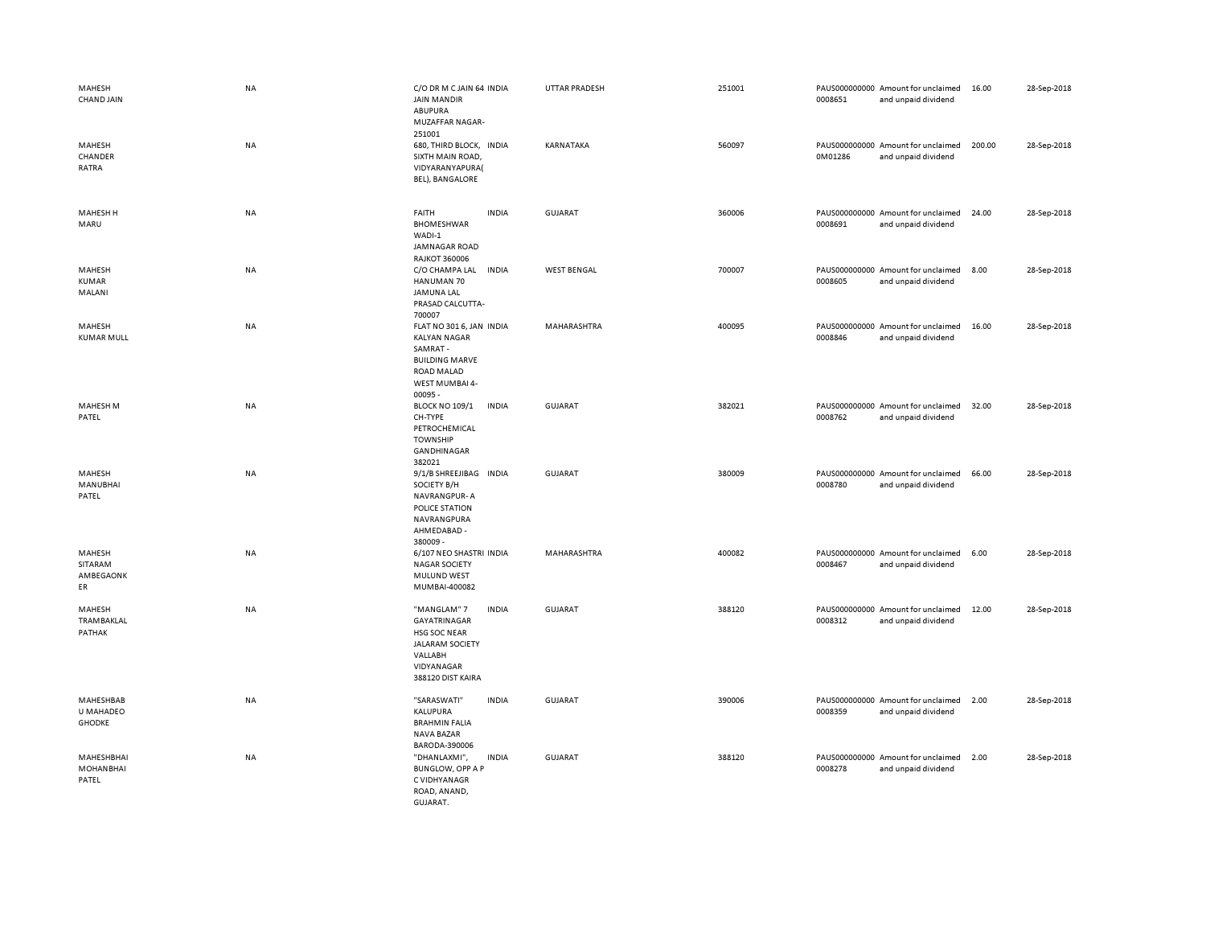| MAHESH<br>CHAND JAIN                    | NA        | C/O DR M C JAIN 64 INDIA<br><b>JAIN MANDIR</b><br><b>ABUPURA</b><br>MUZAFFAR NAGAR-<br>251001                                              | UTTAR PRADESH      | 251001 | 0008651 | PAUS000000000 Amount for unclaimed<br>and unpaid dividend | 16.00  | 28-Sep-2018 |
|-----------------------------------------|-----------|--------------------------------------------------------------------------------------------------------------------------------------------|--------------------|--------|---------|-----------------------------------------------------------|--------|-------------|
| MAHESH<br>CHANDER<br>RATRA              | NA        | 680, THIRD BLOCK, INDIA<br>SIXTH MAIN ROAD,<br>VIDYARANYAPURA(<br>BEL), BANGALORE                                                          | KARNATAKA          | 560097 | 0M01286 | PAUS000000000 Amount for unclaimed<br>and unpaid dividend | 200.00 | 28-Sep-2018 |
| MAHESH H<br>MARU                        | NA        | <b>FAITH</b><br><b>INDIA</b><br><b>BHOMESHWAR</b><br>WADI-1<br>JAMNAGAR ROAD<br><b>RAJKOT 360006</b>                                       | GUJARAT            | 360006 | 0008691 | PAUS000000000 Amount for unclaimed<br>and unpaid dividend | 24.00  | 28-Sep-2018 |
| MAHESH<br><b>KUMAR</b><br>MALANI        | NA        | C/O CHAMPA LAL<br><b>INDIA</b><br>HANUMAN 70<br>JAMUNA LAL<br>PRASAD CALCUTTA-<br>700007                                                   | <b>WEST BENGAL</b> | 700007 | 0008605 | PAUS000000000 Amount for unclaimed<br>and unpaid dividend | 8.00   | 28-Sep-2018 |
| MAHESH<br><b>KUMAR MULL</b>             | NA        | FLAT NO 301 6, JAN INDIA<br><b>KALYAN NAGAR</b><br>SAMRAT-<br><b>BUILDING MARVE</b><br>ROAD MALAD<br>WEST MUMBAI 4-<br>00095 -             | MAHARASHTRA        | 400095 | 0008846 | PAUS000000000 Amount for unclaimed<br>and unpaid dividend | 16.00  | 28-Sep-2018 |
| MAHESH M<br>PATEL                       | <b>NA</b> | <b>INDIA</b><br><b>BLOCK NO 109/1</b><br>CH-TYPE<br>PETROCHEMICAL<br><b>TOWNSHIP</b><br>GANDHINAGAR<br>382021                              | <b>GUJARAT</b>     | 382021 | 0008762 | PAUS000000000 Amount for unclaimed<br>and unpaid dividend | 32.00  | 28-Sep-2018 |
| MAHESH<br><b>MANUBHAI</b><br>PATEL      | <b>NA</b> | 9/1/B SHREEJIBAG INDIA<br>SOCIETY B/H<br>NAVRANGPUR-A<br>POLICE STATION<br>NAVRANGPURA<br>AHMEDABAD -<br>380009-                           | <b>GUJARAT</b>     | 380009 | 0008780 | PAUS000000000 Amount for unclaimed<br>and unpaid dividend | 66.00  | 28-Sep-2018 |
| MAHESH<br>SITARAM<br>AMBEGAONK<br>ER    | NA        | 6/107 NEO SHASTRI INDIA<br><b>NAGAR SOCIETY</b><br>MULUND WEST<br>MUMBAI-400082                                                            | MAHARASHTRA        | 400082 | 0008467 | PAUS000000000 Amount for unclaimed<br>and unpaid dividend | 6.00   | 28-Sep-2018 |
| MAHESH<br><b>TRAMBAKLAL</b><br>PATHAK   | <b>NA</b> | "MANGLAM" 7<br><b>INDIA</b><br>GAYATRINAGAR<br><b>HSG SOC NEAR</b><br><b>JALARAM SOCIETY</b><br>VALLABH<br>VIDYANAGAR<br>388120 DIST KAIRA | <b>GUJARAT</b>     | 388120 | 0008312 | PAUS000000000 Amount for unclaimed<br>and unpaid dividend | 12.00  | 28-Sep-2018 |
| MAHESHBAB<br>U MAHADEO<br><b>GHODKE</b> | NA        | "SARASWATI"<br><b>INDIA</b><br>KALUPURA<br><b>BRAHMIN FALIA</b><br>NAVA BAZAR<br>BARODA-390006                                             | <b>GUJARAT</b>     | 390006 | 0008359 | PAUS000000000 Amount for unclaimed<br>and unpaid dividend | 2.00   | 28-Sep-2018 |
| MAHESHBHAI<br><b>MOHANBHAI</b><br>PATEL | NA        | "DHANLAXMI",<br><b>INDIA</b><br><b>BUNGLOW, OPP A P</b><br>C VIDHYANAGR<br>ROAD, ANAND,<br>GUJARAT.                                        | <b>GUJARAT</b>     | 388120 | 0008278 | PAUS000000000 Amount for unclaimed<br>and unpaid dividend | 2.00   | 28-Sep-2018 |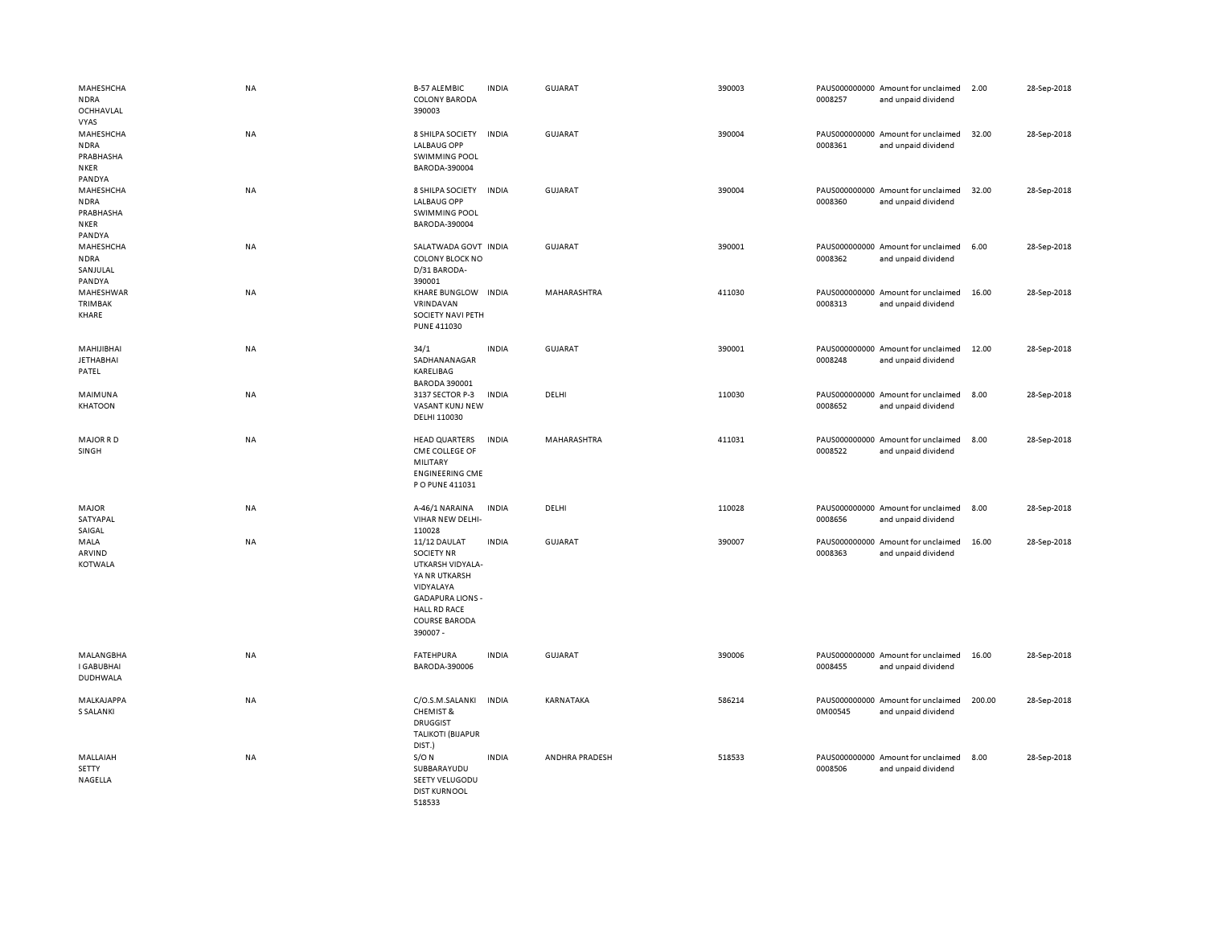| MAHESHCHA<br><b>NDRA</b><br>OCHHAVLAL<br><b>VYAS</b>           | <b>NA</b> | <b>B-57 ALEMBIC</b><br><b>COLONY BARODA</b><br>390003                                                                                                                     | <b>INDIA</b> | <b>GUJARAT</b> | 390003 | 0008257 | PAUS000000000 Amount for unclaimed<br>and unpaid dividend | 2.00   | 28-Sep-2018 |
|----------------------------------------------------------------|-----------|---------------------------------------------------------------------------------------------------------------------------------------------------------------------------|--------------|----------------|--------|---------|-----------------------------------------------------------|--------|-------------|
| MAHESHCHA<br><b>NDRA</b><br>PRABHASHA<br><b>NKER</b><br>PANDYA | NA        | 8 SHILPA SOCIETY<br><b>LALBAUG OPP</b><br><b>SWIMMING POOL</b><br>BARODA-390004                                                                                           | <b>INDIA</b> | <b>GUJARAT</b> | 390004 | 0008361 | PAUS000000000 Amount for unclaimed<br>and unpaid dividend | 32.00  | 28-Sep-2018 |
| MAHESHCHA<br><b>NDRA</b><br>PRABHASHA<br><b>NKER</b><br>PANDYA | <b>NA</b> | 8 SHILPA SOCIETY<br><b>LALBAUG OPP</b><br><b>SWIMMING POOL</b><br>BARODA-390004                                                                                           | <b>INDIA</b> | <b>GUJARAT</b> | 390004 | 0008360 | PAUS000000000 Amount for unclaimed<br>and unpaid dividend | 32.00  | 28-Sep-2018 |
| MAHESHCHA<br><b>NDRA</b><br>SANJULAL<br>PANDYA                 | <b>NA</b> | SALATWADA GOVT INDIA<br>COLONY BLOCK NO<br>D/31 BARODA-<br>390001                                                                                                         |              | GUJARAT        | 390001 | 0008362 | PAUS000000000 Amount for unclaimed<br>and unpaid dividend | 6.00   | 28-Sep-2018 |
| MAHESHWAR<br>TRIMBAK<br>KHARE                                  | <b>NA</b> | KHARE BUNGLOW INDIA<br>VRINDAVAN<br>SOCIETY NAVI PETH<br>PUNE 411030                                                                                                      |              | MAHARASHTRA    | 411030 | 0008313 | PAUS000000000 Amount for unclaimed<br>and unpaid dividend | 16.00  | 28-Sep-2018 |
| MAHIJIBHAI<br><b>JETHABHAI</b><br>PATEL                        | <b>NA</b> | 34/1<br>SADHANANAGAR<br>KARELIBAG<br><b>BARODA 390001</b>                                                                                                                 | <b>INDIA</b> | <b>GUJARAT</b> | 390001 | 0008248 | PAUS000000000 Amount for unclaimed<br>and unpaid dividend | 12.00  | 28-Sep-2018 |
| MAIMUNA<br><b>KHATOON</b>                                      | <b>NA</b> | 3137 SECTOR P-3<br>VASANT KUNJ NEW<br>DELHI 110030                                                                                                                        | <b>INDIA</b> | DELHI          | 110030 | 0008652 | PAUS000000000 Amount for unclaimed<br>and unpaid dividend | 8.00   | 28-Sep-2018 |
| <b>MAJOR RD</b><br>SINGH                                       | <b>NA</b> | <b>HEAD QUARTERS</b><br>CME COLLEGE OF<br>MILITARY<br><b>ENGINEERING CME</b><br>P O PUNE 411031                                                                           | <b>INDIA</b> | MAHARASHTRA    | 411031 | 0008522 | PAUS000000000 Amount for unclaimed<br>and unpaid dividend | 8.00   | 28-Sep-2018 |
| MAJOR<br>SATYAPAL<br>SAIGAL                                    | <b>NA</b> | A-46/1 NARAINA<br>VIHAR NEW DELHI-<br>110028                                                                                                                              | <b>INDIA</b> | DELHI          | 110028 | 0008656 | PAUS000000000 Amount for unclaimed<br>and unpaid dividend | 8.00   | 28-Sep-2018 |
| MALA<br>ARVIND<br><b>KOTWALA</b>                               | <b>NA</b> | 11/12 DAULAT<br><b>SOCIETY NR</b><br>UTKARSH VIDYALA-<br>YA NR UTKARSH<br>VIDYALAYA<br><b>GADAPURA LIONS -</b><br><b>HALL RD RACE</b><br><b>COURSE BARODA</b><br>390007 - | <b>INDIA</b> | <b>GUJARAT</b> | 390007 | 0008363 | PAUS000000000 Amount for unclaimed<br>and unpaid dividend | 16.00  | 28-Sep-2018 |
| MALANGBHA<br><b>I GABUBHAI</b><br><b>DUDHWALA</b>              | <b>NA</b> | <b>FATEHPURA</b><br>BARODA-390006                                                                                                                                         | <b>INDIA</b> | GUJARAT        | 390006 | 0008455 | PAUS000000000 Amount for unclaimed<br>and unpaid dividend | 16.00  | 28-Sep-2018 |
| MALKAJAPPA<br><b>S SALANKI</b>                                 | <b>NA</b> | C/O.S.M.SALANKI<br><b>CHEMIST &amp;</b><br><b>DRUGGIST</b><br><b>TALIKOTI (BIJAPUR</b><br>DIST.)                                                                          | <b>INDIA</b> | KARNATAKA      | 586214 | 0M00545 | PAUS000000000 Amount for unclaimed<br>and unpaid dividend | 200.00 | 28-Sep-2018 |
| MALLAIAH<br>SETTY<br>NAGELLA                                   | NA        | $S/O$ N<br>SUBBARAYUDU<br>SEETY VELUGODU<br><b>DIST KURNOOL</b><br>518533                                                                                                 | <b>INDIA</b> | ANDHRA PRADESH | 518533 | 0008506 | PAUS000000000 Amount for unclaimed<br>and unpaid dividend | 8.00   | 28-Sep-2018 |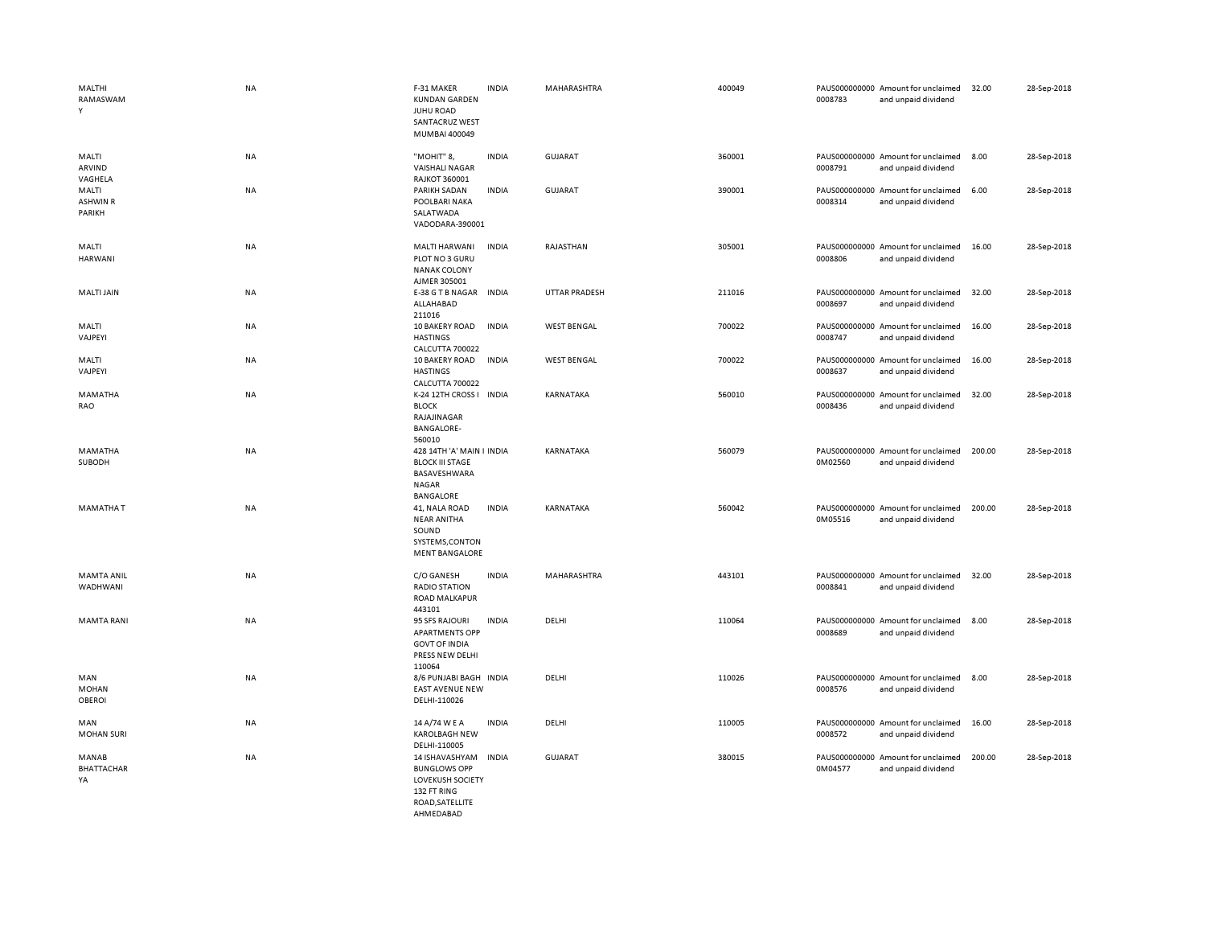| MALTHI<br>RAMASWAM<br>Y              | <b>NA</b> | F-31 MAKER<br><b>KUNDAN GARDEN</b><br><b>JUHU ROAD</b><br>SANTACRUZ WEST<br>MUMBAI 400049         | <b>INDIA</b> | MAHARASHTRA          | 400049 | 0008783 | PAUS000000000 Amount for unclaimed<br>and unpaid dividend | 32.00  | 28-Sep-2018 |
|--------------------------------------|-----------|---------------------------------------------------------------------------------------------------|--------------|----------------------|--------|---------|-----------------------------------------------------------|--------|-------------|
| MALTI<br>ARVIND<br>VAGHELA           | NA        | "MOHIT" 8,<br><b>VAISHALI NAGAR</b><br><b>RAJKOT 360001</b>                                       | <b>INDIA</b> | <b>GUJARAT</b>       | 360001 | 0008791 | PAUS000000000 Amount for unclaimed<br>and unpaid dividend | 8.00   | 28-Sep-2018 |
| MALTI<br><b>ASHWIN R</b><br>PARIKH   | <b>NA</b> | PARIKH SADAN<br>POOLBARI NAKA<br>SALATWADA<br>VADODARA-390001                                     | <b>INDIA</b> | <b>GUJARAT</b>       | 390001 | 0008314 | PAUS000000000 Amount for unclaimed<br>and unpaid dividend | 6.00   | 28-Sep-2018 |
| MALTI<br><b>HARWANI</b>              | <b>NA</b> | MALTI HARWANI<br>PLOT NO 3 GURU<br>NANAK COLONY<br>AJMER 305001                                   | <b>INDIA</b> | RAJASTHAN            | 305001 | 0008806 | PAUS000000000 Amount for unclaimed<br>and unpaid dividend | 16.00  | 28-Sep-2018 |
| <b>MALTI JAIN</b>                    | NA        | E-38 G T B NAGAR<br>ALLAHABAD<br>211016                                                           | <b>INDIA</b> | <b>UTTAR PRADESH</b> | 211016 | 0008697 | PAUS000000000 Amount for unclaimed<br>and unpaid dividend | 32.00  | 28-Sep-2018 |
| MALTI<br>VAJPEYI                     | NA        | 10 BAKERY ROAD<br><b>HASTINGS</b><br>CALCUTTA 700022                                              | <b>INDIA</b> | <b>WEST BENGAL</b>   | 700022 | 0008747 | PAUS000000000 Amount for unclaimed<br>and unpaid dividend | 16.00  | 28-Sep-2018 |
| MALTI<br>VAJPEYI                     | <b>NA</b> | 10 BAKERY ROAD<br><b>HASTINGS</b><br>CALCUTTA 700022                                              | <b>INDIA</b> | <b>WEST BENGAL</b>   | 700022 | 0008637 | PAUS000000000 Amount for unclaimed<br>and unpaid dividend | 16.00  | 28-Sep-2018 |
| MAMATHA<br>RAO                       | <b>NA</b> | K-24 12TH CROSS I INDIA<br><b>BLOCK</b><br>RAJAJINAGAR<br><b>BANGALORE-</b><br>560010             |              | KARNATAKA            | 560010 | 0008436 | PAUS000000000 Amount for unclaimed<br>and unpaid dividend | 32.00  | 28-Sep-2018 |
| MAMATHA<br>SUBODH                    | <b>NA</b> | 428 14TH 'A' MAIN I INDIA<br><b>BLOCK III STAGE</b><br>BASAVESHWARA<br><b>NAGAR</b><br>BANGALORE  |              | KARNATAKA            | 560079 | 0M02560 | PAUS000000000 Amount for unclaimed<br>and unpaid dividend | 200.00 | 28-Sep-2018 |
| <b>MAMATHAT</b>                      | <b>NA</b> | 41, NALA ROAD<br><b>NEAR ANITHA</b><br>SOUND<br>SYSTEMS, CONTON<br><b>MENT BANGALORE</b>          | <b>INDIA</b> | KARNATAKA            | 560042 | 0M05516 | PAUS000000000 Amount for unclaimed<br>and unpaid dividend | 200.00 | 28-Sep-2018 |
| <b>MAMTA ANIL</b><br>WADHWANI        | NA        | C/O GANESH<br><b>RADIO STATION</b><br><b>ROAD MALKAPUR</b><br>443101                              | <b>INDIA</b> | MAHARASHTRA          | 443101 | 0008841 | PAUS000000000 Amount for unclaimed<br>and unpaid dividend | 32.00  | 28-Sep-2018 |
| <b>MAMTA RANI</b>                    | NA        | 95 SFS RAJOURI<br><b>APARTMENTS OPP</b><br><b>GOVT OF INDIA</b><br>PRESS NEW DELHI<br>110064      | <b>INDIA</b> | DELHI                | 110064 | 0008689 | PAUS000000000 Amount for unclaimed<br>and unpaid dividend | 8.00   | 28-Sep-2018 |
| MAN<br><b>MOHAN</b><br><b>OBEROI</b> | <b>NA</b> | 8/6 PUNJABI BAGH INDIA<br><b>EAST AVENUE NEW</b><br>DELHI-110026                                  |              | DELHI                | 110026 | 0008576 | PAUS000000000 Amount for unclaimed<br>and unpaid dividend | 8.00   | 28-Sep-2018 |
| MAN<br><b>MOHAN SURI</b>             | NA        | 14 A/74 W E A<br><b>KAROLBAGH NEW</b><br>DELHI-110005                                             | <b>INDIA</b> | DELHI                | 110005 | 0008572 | PAUS000000000 Amount for unclaimed<br>and unpaid dividend | 16.00  | 28-Sep-2018 |
| MANAB<br><b>BHATTACHAR</b><br>YA     | NA        | 14 ISHAVASHYAM<br><b>BUNGLOWS OPP</b><br><b>LOVEKUSH SOCIETY</b><br>132 FT RING<br>ROAD.SATELLITE | <b>INDIA</b> | <b>GUJARAT</b>       | 380015 | 0M04577 | PAUS000000000 Amount for unclaimed<br>and unpaid dividend | 200.00 | 28-Sep-2018 |

AHMEDABAD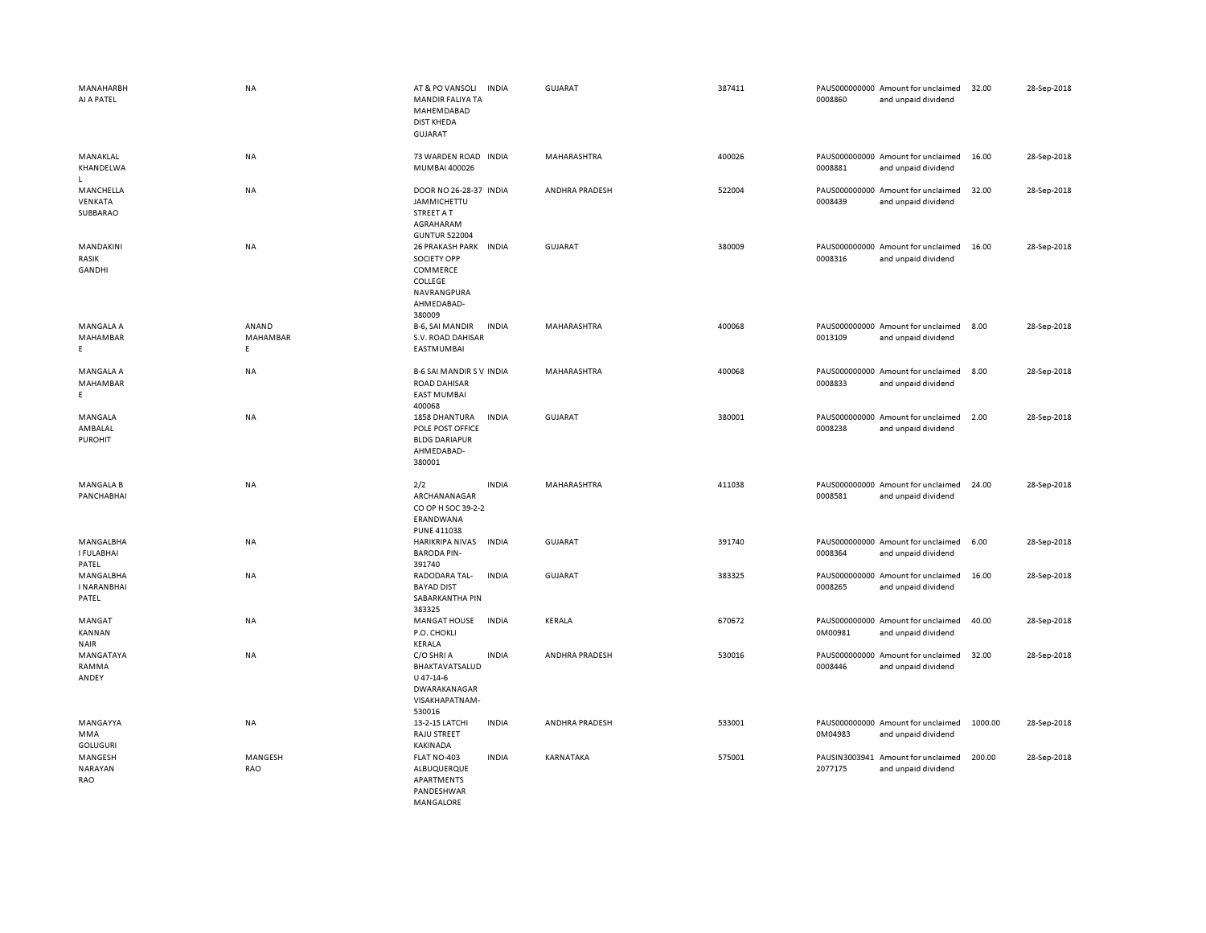| MANAHARBH<br>AI A PATEL                  | <b>NA</b>              | AT & PO VANSOLI<br><b>INDIA</b><br>MANDIR FALIYA TA<br>MAHEMDABAD<br><b>DIST KHEDA</b><br><b>GUJARAT</b>  | GUJARAT        | 387411 | 0008860                  | PAUS000000000 Amount for unclaimed<br>and unpaid dividend | 32.00   | 28-Sep-2018 |
|------------------------------------------|------------------------|-----------------------------------------------------------------------------------------------------------|----------------|--------|--------------------------|-----------------------------------------------------------|---------|-------------|
| MANAKLAL<br>KHANDELWA<br>$\mathsf{L}$    | NA                     | 73 WARDEN ROAD INDIA<br>MUMBAI 400026                                                                     | MAHARASHTRA    | 400026 | 0008881                  | PAUS000000000 Amount for unclaimed<br>and unpaid dividend | 16.00   | 28-Sep-2018 |
| MANCHELLA<br>VENKATA<br>SUBBARAO         | <b>NA</b>              | DOOR NO 26-28-37 INDIA<br>JAMMICHETTU<br><b>STREET A T</b><br>AGRAHARAM<br><b>GUNTUR 522004</b>           | ANDHRA PRADESH | 522004 | 0008439                  | PAUS000000000 Amount for unclaimed<br>and unpaid dividend | 32.00   | 28-Sep-2018 |
| MANDAKINI<br>RASIK<br>GANDHI             | <b>NA</b>              | 26 PRAKASH PARK INDIA<br><b>SOCIETY OPP</b><br>COMMERCE<br>COLLEGE<br>NAVRANGPURA<br>AHMEDABAD-<br>380009 | <b>GUJARAT</b> | 380009 | 0008316                  | PAUS000000000 Amount for unclaimed<br>and unpaid dividend | 16.00   | 28-Sep-2018 |
| MANGALA A<br>MAHAMBAR<br>E.              | ANAND<br>MAHAMBAR<br>E | <b>INDIA</b><br>B-6, SAI MANDIR<br>S.V. ROAD DAHISAR<br>EASTMUMBAI                                        | MAHARASHTRA    | 400068 | 0013109                  | PAUS000000000 Amount for unclaimed<br>and unpaid dividend | 8.00    | 28-Sep-2018 |
| <b>MANGALA A</b><br>MAHAMBAR<br>E.       | NA                     | <b>B-6 SAI MANDIR S V INDIA</b><br><b>ROAD DAHISAR</b><br><b>EAST MUMBAI</b><br>400068                    | MAHARASHTRA    | 400068 | 0008833                  | PAUS000000000 Amount for unclaimed<br>and unpaid dividend | 8.00    | 28-Sep-2018 |
| MANGALA<br>AMBALAL<br><b>PUROHIT</b>     | NA                     | 1858 DHANTURA<br><b>INDIA</b><br>POLE POST OFFICE<br><b>BLDG DARIAPUR</b><br>AHMEDABAD-<br>380001         | <b>GUJARAT</b> | 380001 | 0008238                  | PAUS000000000 Amount for unclaimed<br>and unpaid dividend | 2.00    | 28-Sep-2018 |
| <b>MANGALA B</b><br>PANCHABHAI           | NA                     | 2/2<br><b>INDIA</b><br>ARCHANANAGAR<br>CO OP H SOC 39-2-2<br>ERANDWANA<br><b>PUNE 411038</b>              | MAHARASHTRA    | 411038 | 0008581                  | PAUS000000000 Amount for unclaimed<br>and unpaid dividend | 24.00   | 28-Sep-2018 |
| MANGALBHA<br>I FULABHAI<br>PATEL         | NA                     | HARIKRIPA NIVAS INDIA<br><b>BARODA PIN-</b><br>391740                                                     | <b>GUJARAT</b> | 391740 | 0008364                  | PAUS000000000 Amount for unclaimed<br>and unpaid dividend | 6.00    | 28-Sep-2018 |
| MANGALBHA<br><b>I NARANBHAI</b><br>PATEL | NA                     | RADODARA TAL-<br><b>INDIA</b><br><b>BAYAD DIST</b><br>SABARKANTHA PIN<br>383325                           | GUJARAT        | 383325 | 0008265                  | PAUS000000000 Amount for unclaimed<br>and unpaid dividend | 16.00   | 28-Sep-2018 |
| MANGAT<br><b>KANNAN</b><br><b>NAIR</b>   | <b>NA</b>              | <b>INDIA</b><br><b>MANGAT HOUSE</b><br>P.O. CHOKLI<br>KERALA                                              | KERALA         | 670672 | 0M00981                  | PAUS000000000 Amount for unclaimed<br>and unpaid dividend | 40.00   | 28-Sep-2018 |
| MANGATAYA<br>RAMMA<br>ANDEY              | <b>NA</b>              | C/O SHRI A<br><b>INDIA</b><br>BHAKTAVATSALUD<br>U 47-14-6<br>DWARAKANAGAR<br>VISAKHAPATNAM-<br>530016     | ANDHRA PRADESH | 530016 | 0008446                  | PAUS000000000 Amount for unclaimed<br>and unpaid dividend | 32.00   | 28-Sep-2018 |
| MANGAYYA<br>MMA<br><b>GOLUGURI</b>       | NA                     | <b>INDIA</b><br>13-2-15 LATCHI<br>RAJU STREET<br>KAKINADA                                                 | ANDHRA PRADESH | 533001 | 0M04983                  | PAUS000000000 Amount for unclaimed<br>and unpaid dividend | 1000.00 | 28-Sep-2018 |
| MANGESH<br>NARAYAN<br>RAO                | MANGESH<br><b>RAO</b>  | FLAT NO-403<br><b>INDIA</b><br>ALBUQUERQUE<br>APARTMENTS<br>PANDESHWAR<br>MANGALORE                       | KARNATAKA      | 575001 | PAUSIN3003941<br>2077175 | Amount for unclaimed<br>and unpaid dividend               | 200.00  | 28-Sep-2018 |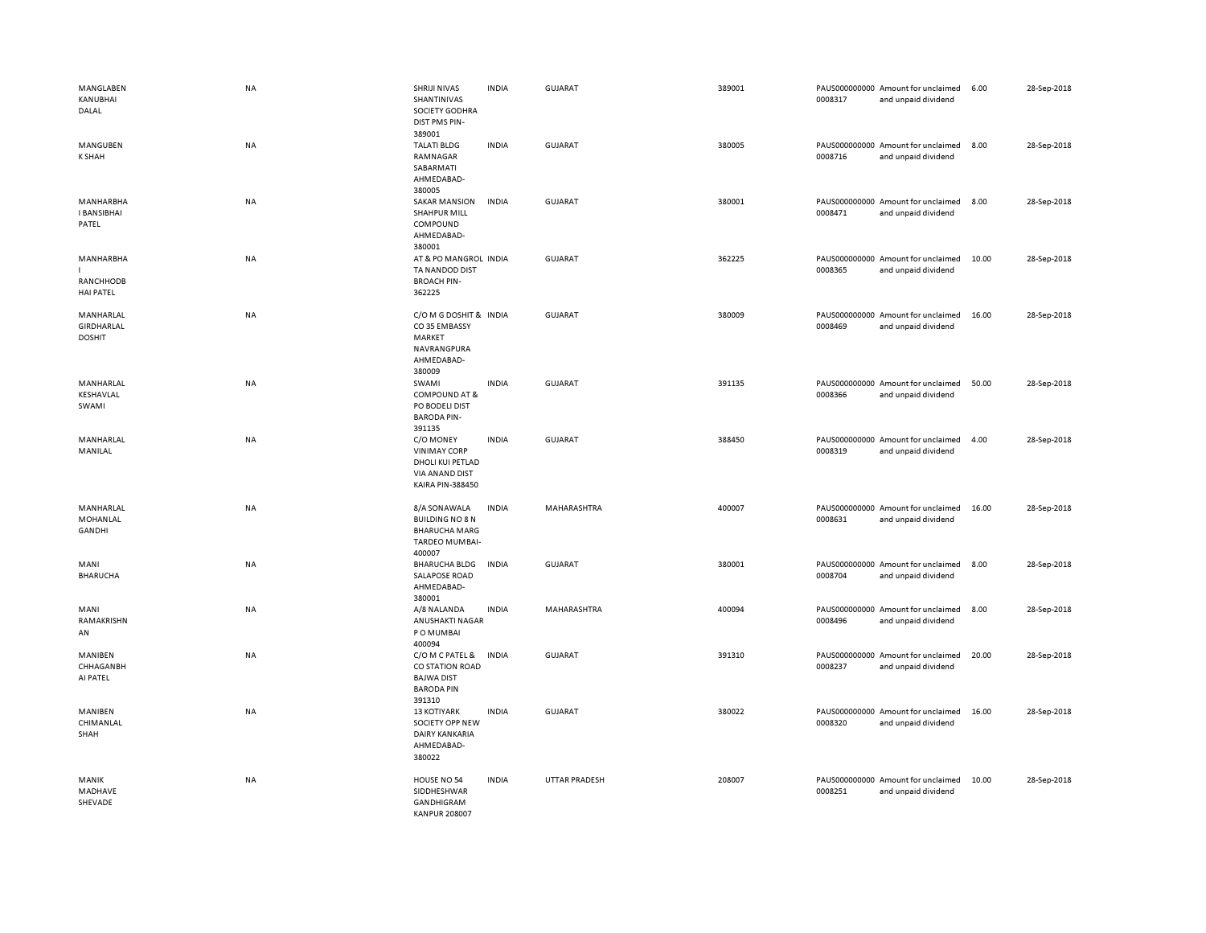| MANGLABEN<br>KANUBHAI<br>DALAL                  | <b>NA</b> | SHRIJI NIVAS<br>SHANTINIVAS<br>SOCIETY GODHRA<br>DIST PMS PIN-<br>389001                          | <b>INDIA</b> | <b>GUJARAT</b>       | 389001 | 0008317 | PAUS000000000 Amount for unclaimed<br>and unpaid dividend | 6.00  | 28-Sep-2018 |
|-------------------------------------------------|-----------|---------------------------------------------------------------------------------------------------|--------------|----------------------|--------|---------|-----------------------------------------------------------|-------|-------------|
| MANGUBEN<br><b>K SHAH</b>                       | <b>NA</b> | <b>TALATI BLDG</b><br>RAMNAGAR<br>SABARMATI<br>AHMEDABAD-<br>380005                               | <b>INDIA</b> | <b>GUJARAT</b>       | 380005 | 0008716 | PAUS000000000 Amount for unclaimed<br>and unpaid dividend | 8.00  | 28-Sep-2018 |
| <b>MANHARBHA</b><br><b>I BANSIBHAI</b><br>PATEL | NA        | <b>SAKAR MANSION</b><br><b>SHAHPUR MILL</b><br>COMPOUND<br>AHMEDABAD-<br>380001                   | <b>INDIA</b> | GUJARAT              | 380001 | 0008471 | PAUS000000000 Amount for unclaimed<br>and unpaid dividend | 8.00  | 28-Sep-2018 |
| MANHARBHA<br>RANCHHODB<br><b>HAI PATEL</b>      | <b>NA</b> | AT & PO MANGROL INDIA<br>TA NANDOD DIST<br><b>BROACH PIN-</b><br>362225                           |              | GUJARAT              | 362225 | 0008365 | PAUS000000000 Amount for unclaimed<br>and unpaid dividend | 10.00 | 28-Sep-2018 |
| MANHARLAL<br>GIRDHARLAL<br><b>DOSHIT</b>        | NA        | C/O M G DOSHIT & INDIA<br>CO35 EMBASSY<br>MARKET<br>NAVRANGPURA<br>AHMEDABAD-<br>380009           |              | <b>GUJARAT</b>       | 380009 | 0008469 | PAUS000000000 Amount for unclaimed<br>and unpaid dividend | 16.00 | 28-Sep-2018 |
| MANHARLAL<br>KESHAVLAL<br>SWAMI                 | <b>NA</b> | SWAMI<br>COMPOUND AT &<br>PO BODELI DIST<br><b>BARODA PIN-</b><br>391135                          | <b>INDIA</b> | <b>GUJARAT</b>       | 391135 | 0008366 | PAUS000000000 Amount for unclaimed<br>and unpaid dividend | 50.00 | 28-Sep-2018 |
| MANHARLAL<br>MANILAL                            | NA        | C/O MONEY<br><b>VINIMAY CORP</b><br>DHOLI KUI PETLAD<br>VIA ANAND DIST<br><b>KAIRA PIN-388450</b> | <b>INDIA</b> | <b>GUJARAT</b>       | 388450 | 0008319 | PAUS000000000 Amount for unclaimed<br>and unpaid dividend | 4.00  | 28-Sep-2018 |
| MANHARLAL<br>MOHANLAL<br><b>GANDHI</b>          | NA        | 8/A SONAWALA<br><b>BUILDING NO 8 N</b><br><b>BHARUCHA MARG</b><br><b>TARDEO MUMBAI-</b><br>400007 | <b>INDIA</b> | MAHARASHTRA          | 400007 | 0008631 | PAUS000000000 Amount for unclaimed<br>and unpaid dividend | 16.00 | 28-Sep-2018 |
| MANI<br><b>BHARUCHA</b>                         | NA        | <b>BHARUCHA BLDG</b><br><b>SALAPOSE ROAD</b><br>AHMEDABAD-<br>380001                              | <b>INDIA</b> | GUJARAT              | 380001 | 0008704 | PAUS000000000 Amount for unclaimed<br>and unpaid dividend | 8.00  | 28-Sep-2018 |
| MANI<br>RAMAKRISHN<br>AN                        | NA        | A/8 NALANDA<br>ANUSHAKTI NAGAR<br>PO MUMBAI<br>400094                                             | <b>INDIA</b> | MAHARASHTRA          | 400094 | 0008496 | PAUS000000000 Amount for unclaimed<br>and unpaid dividend | 8.00  | 28-Sep-2018 |
| MANIBEN<br>CHHAGANBH<br>AI PATEL                | NA        | C/O M C PATEL &<br>CO STATION ROAD<br><b>BAJWA DIST</b><br><b>BARODA PIN</b><br>391310            | <b>INDIA</b> | GUJARAT              | 391310 | 0008237 | PAUS000000000 Amount for unclaimed<br>and unpaid dividend | 20.00 | 28-Sep-2018 |
| MANIBEN<br>CHIMANLAL<br>SHAH                    | NA        | <b>13 KOTIYARK</b><br>SOCIETY OPP NEW<br>DAIRY KANKARIA<br>AHMEDABAD-<br>380022                   | <b>INDIA</b> | <b>GUJARAT</b>       | 380022 | 0008320 | PAUS000000000 Amount for unclaimed<br>and unpaid dividend | 16.00 | 28-Sep-2018 |
| MANIK<br>MADHAVE<br>SHEVADE                     | <b>NA</b> | HOUSE NO 54<br>SIDDHESHWAR<br>GANDHIGRAM<br>KANPUR 208007                                         | <b>INDIA</b> | <b>UTTAR PRADESH</b> | 208007 | 0008251 | PAUS000000000 Amount for unclaimed<br>and unpaid dividend | 10.00 | 28-Sep-2018 |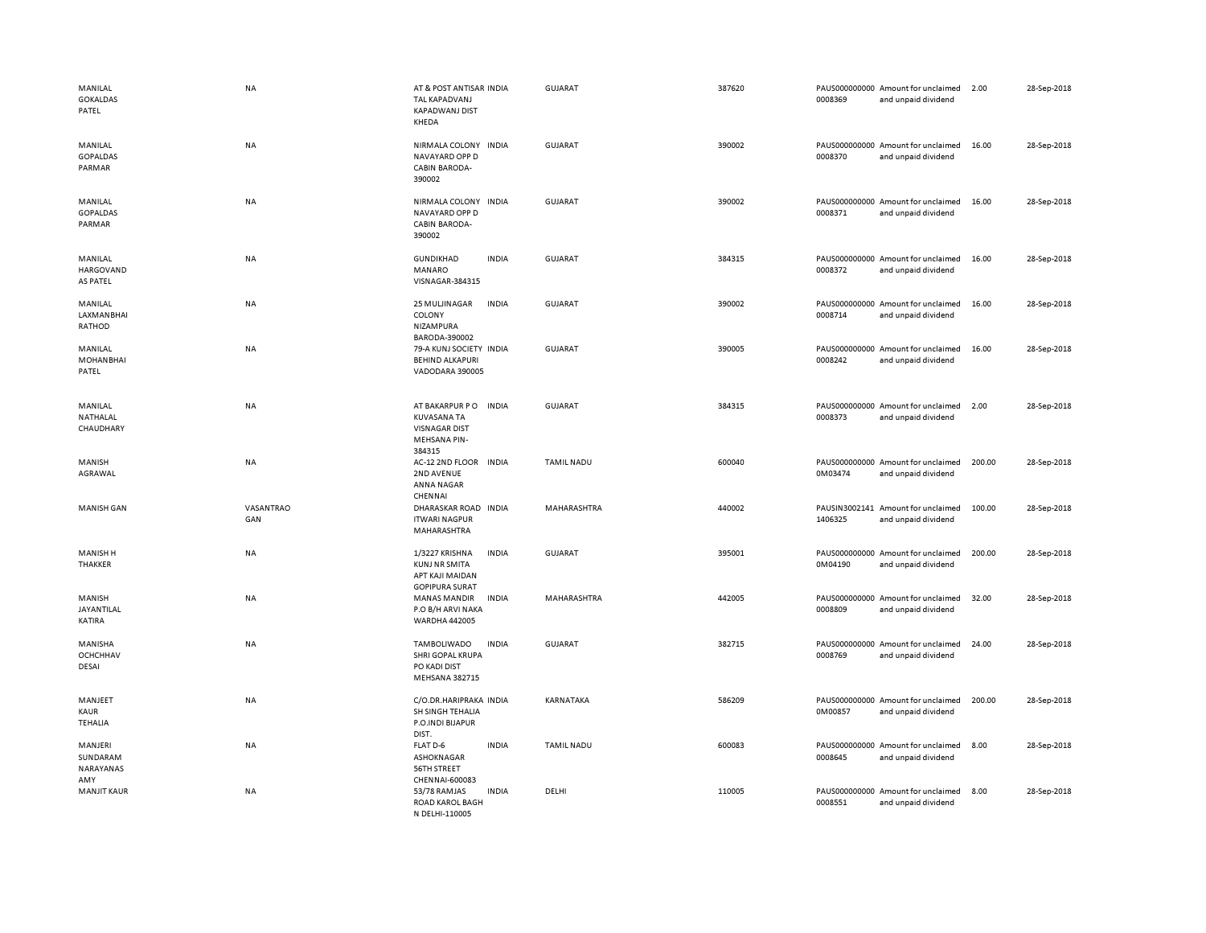| MANILAL<br><b>GOKALDAS</b><br>PATEL     | <b>NA</b>        | AT & POST ANTISAR INDIA<br>TAL KAPADVANJ<br><b>KAPADWANJ DIST</b><br>KHEDA                   | GUJARAT           | 387620 | PAUS000000000 Amount for unclaimed<br>0008369<br>and unpaid dividend | 2.00   | 28-Sep-2018 |
|-----------------------------------------|------------------|----------------------------------------------------------------------------------------------|-------------------|--------|----------------------------------------------------------------------|--------|-------------|
| MANILAL<br><b>GOPALDAS</b><br>PARMAR    | <b>NA</b>        | NIRMALA COLONY<br><b>INDIA</b><br>NAVAYARD OPP D<br><b>CABIN BARODA-</b><br>390002           | <b>GUJARAT</b>    | 390002 | PAUS000000000 Amount for unclaimed<br>0008370<br>and unpaid dividend | 16.00  | 28-Sep-2018 |
| MANILAL<br>GOPALDAS<br>PARMAR           | <b>NA</b>        | NIRMALA COLONY INDIA<br>NAVAYARD OPP D<br><b>CABIN BARODA-</b><br>390002                     | <b>GUJARAT</b>    | 390002 | PAUS000000000 Amount for unclaimed<br>0008371<br>and unpaid dividend | 16.00  | 28-Sep-2018 |
| MANILAL<br><b>HARGOVAND</b><br>AS PATEL | <b>NA</b>        | GUNDIKHAD<br><b>INDIA</b><br>MANARO<br>VISNAGAR-384315                                       | GUJARAT           | 384315 | PAUS000000000 Amount for unclaimed<br>0008372<br>and unpaid dividend | 16.00  | 28-Sep-2018 |
| MANILAL<br>LAXMANBHAI<br>RATHOD         | NA               | <b>INDIA</b><br>25 MULJINAGAR<br>COLONY<br>NIZAMPURA<br>BARODA-390002                        | <b>GUJARAT</b>    | 390002 | PAUS000000000 Amount for unclaimed<br>0008714<br>and unpaid dividend | 16.00  | 28-Sep-2018 |
| MANILAL<br><b>MOHANBHAI</b><br>PATEL    | NA               | 79-A KUNJ SOCIETY INDIA<br><b>BEHIND ALKAPURI</b><br>VADODARA 390005                         | <b>GUJARAT</b>    | 390005 | PAUS000000000 Amount for unclaimed<br>0008242<br>and unpaid dividend | 16.00  | 28-Sep-2018 |
| MANILAL<br>NATHALAL<br>CHAUDHARY        | <b>NA</b>        | AT BAKARPUR PO<br><b>INDIA</b><br>KUVASANA TA<br><b>VISNAGAR DIST</b><br><b>MEHSANA PIN-</b> | <b>GUJARAT</b>    | 384315 | PAUS000000000 Amount for unclaimed<br>0008373<br>and unpaid dividend | 2.00   | 28-Sep-2018 |
| MANISH<br>AGRAWAL                       | <b>NA</b>        | 384315<br>AC-12 2ND FLOOR<br><b>INDIA</b><br>2ND AVENUE<br>ANNA NAGAR<br>CHENNAI             | <b>TAMIL NADU</b> | 600040 | PAUS000000000 Amount for unclaimed<br>0M03474<br>and unpaid dividend | 200.00 | 28-Sep-2018 |
| <b>MANISH GAN</b>                       | VASANTRAO<br>GAN | DHARASKAR ROAD INDIA<br><b>ITWARI NAGPUR</b><br>MAHARASHTRA                                  | MAHARASHTRA       | 440002 | PAUSIN3002141 Amount for unclaimed<br>1406325<br>and unpaid dividend | 100.00 | 28-Sep-2018 |
| <b>MANISH H</b><br>THAKKER              | NA               | 1/3227 KRISHNA<br><b>INDIA</b><br>KUNJ NR SMITA<br>APT KAJI MAIDAN<br><b>GOPIPURA SURAT</b>  | <b>GUJARAT</b>    | 395001 | PAUS000000000 Amount for unclaimed<br>0M04190<br>and unpaid dividend | 200.00 | 28-Sep-2018 |
| MANISH<br>JAYANTILAL<br>KATIRA          | <b>NA</b>        | <b>MANAS MANDIR</b><br><b>INDIA</b><br>P.O B/H ARVI NAKA<br><b>WARDHA 442005</b>             | MAHARASHTRA       | 442005 | PAUS000000000 Amount for unclaimed<br>0008809<br>and unpaid dividend | 32.00  | 28-Sep-2018 |
| MANISHA<br>OCHCHHAV<br>DESAI            | NA               | TAMBOLIWADO<br><b>INDIA</b><br>SHRI GOPAL KRUPA<br>PO KADI DIST<br><b>MEHSANA 382715</b>     | <b>GUJARAT</b>    | 382715 | PAUS000000000 Amount for unclaimed<br>0008769<br>and unpaid dividend | 24.00  | 28-Sep-2018 |
| MANJEET<br>KAUR<br><b>TEHALIA</b>       | NA               | C/O.DR.HARIPRAKA INDIA<br>SH SINGH TEHALIA<br>P.O.INDI BIJAPUR<br>DIST.                      | KARNATAKA         | 586209 | PAUS000000000 Amount for unclaimed<br>0M00857<br>and unpaid dividend | 200.00 | 28-Sep-2018 |
| MANJERI<br>SUNDARAM<br>NARAYANAS<br>AMY | <b>NA</b>        | <b>INDIA</b><br>FLAT D-6<br>ASHOKNAGAR<br>56TH STREET<br>CHENNAI-600083                      | <b>TAMIL NADU</b> | 600083 | PAUS000000000 Amount for unclaimed<br>0008645<br>and unpaid dividend | 8.00   | 28-Sep-2018 |
| <b>MANJIT KAUR</b>                      | NA               | <b>INDIA</b><br>53/78 RAMJAS<br><b>ROAD KAROL BAGH</b><br>N DELHI-110005                     | DELHI             | 110005 | PAUS000000000 Amount for unclaimed<br>0008551<br>and unpaid dividend | 8.00   | 28-Sep-2018 |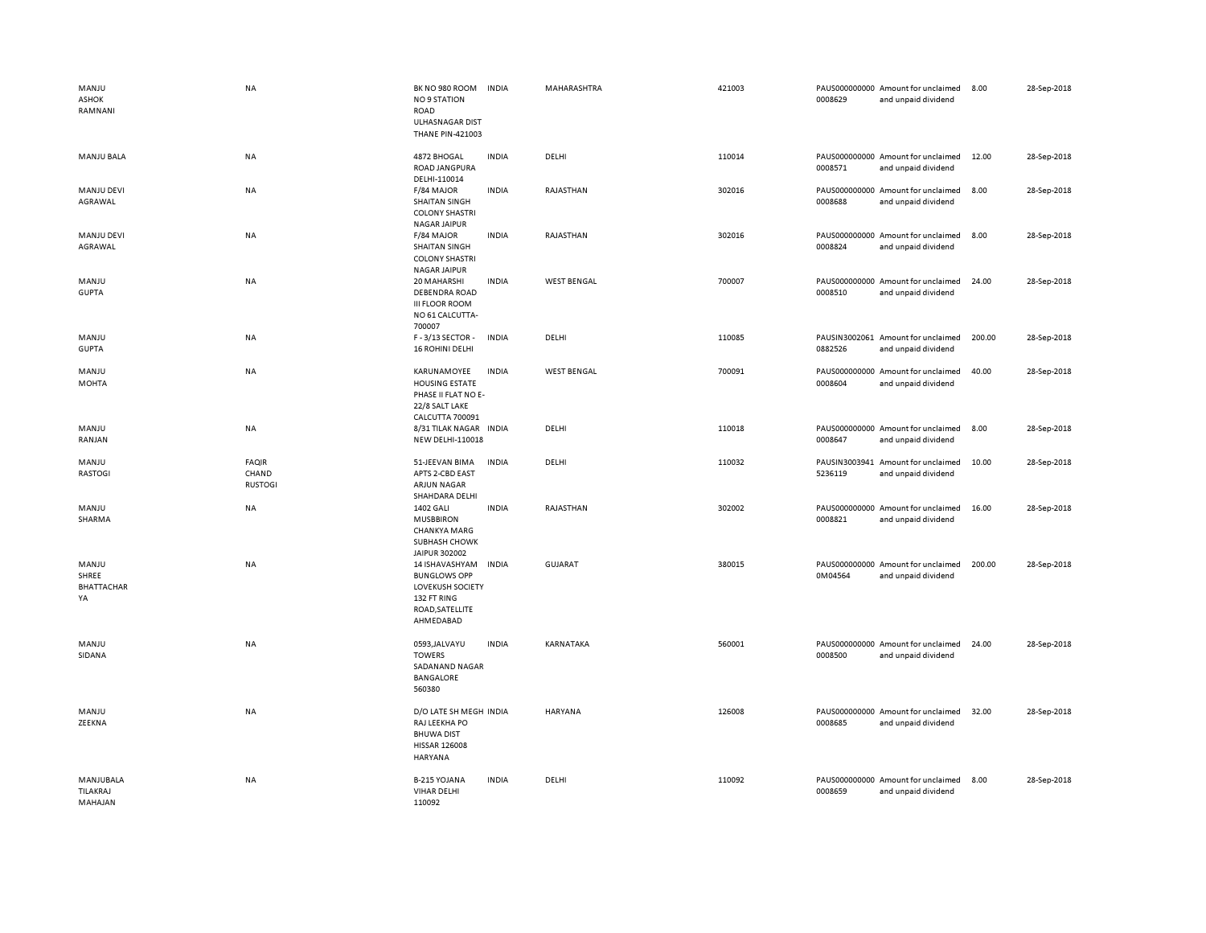| MANJU<br>ASHOK<br>RAMNANI          | <b>NA</b>                               | BK NO 980 ROOM<br><b>NO 9 STATION</b><br>ROAD<br><b>ULHASNAGAR DIST</b><br><b>THANE PIN-421003</b>       | <b>INDIA</b> | MAHARASHTRA        | 421003 | 0008629 | PAUS000000000 Amount for unclaimed<br>and unpaid dividend | 8.00   | 28-Sep-2018 |
|------------------------------------|-----------------------------------------|----------------------------------------------------------------------------------------------------------|--------------|--------------------|--------|---------|-----------------------------------------------------------|--------|-------------|
| <b>MANJU BALA</b>                  | NA                                      | 4872 BHOGAL<br><b>ROAD JANGPURA</b><br>DELHI-110014                                                      | <b>INDIA</b> | DELHI              | 110014 | 0008571 | PAUS000000000 Amount for unclaimed<br>and unpaid dividend | 12.00  | 28-Sep-2018 |
| MANJU DEVI<br>AGRAWAL              | NA                                      | F/84 MAJOR<br><b>SHAITAN SINGH</b><br><b>COLONY SHASTRI</b><br><b>NAGAR JAIPUR</b>                       | <b>INDIA</b> | RAJASTHAN          | 302016 | 0008688 | PAUS000000000 Amount for unclaimed<br>and unpaid dividend | 8.00   | 28-Sep-2018 |
| <b>MANJU DEVI</b><br>AGRAWAL       | ΝA                                      | F/84 MAJOR<br>SHAITAN SINGH<br><b>COLONY SHASTRI</b><br><b>NAGAR JAIPUR</b>                              | <b>INDIA</b> | RAJASTHAN          | 302016 | 0008824 | PAUS000000000 Amount for unclaimed<br>and unpaid dividend | 8.00   | 28-Sep-2018 |
| MANJU<br><b>GUPTA</b>              | NA                                      | 20 MAHARSHI<br><b>DEBENDRA ROAD</b><br><b>III FLOOR ROOM</b><br>NO 61 CALCUTTA-                          | <b>INDIA</b> | <b>WEST BENGAL</b> | 700007 | 0008510 | PAUS000000000 Amount for unclaimed<br>and unpaid dividend | 24.00  | 28-Sep-2018 |
| MANJU<br><b>GUPTA</b>              | <b>NA</b>                               | 700007<br>F-3/13 SECTOR-<br><b>16 ROHINI DELHI</b>                                                       | <b>INDIA</b> | DELHI              | 110085 | 0882526 | PAUSIN3002061 Amount for unclaimed<br>and unpaid dividend | 200.00 | 28-Sep-2018 |
| MANJU<br><b>MOHTA</b>              | NA                                      | KARUNAMOYEE<br><b>HOUSING ESTATE</b><br>PHASE II FLAT NO E-<br>22/8 SALT LAKE                            | <b>INDIA</b> | <b>WEST BENGAL</b> | 700091 | 0008604 | PAUS000000000 Amount for unclaimed<br>and unpaid dividend | 40.00  | 28-Sep-2018 |
| MANJU<br>RANJAN                    | NA                                      | <b>CALCUTTA 700091</b><br>8/31 TILAK NAGAR<br>NEW DELHI-110018                                           | <b>INDIA</b> | DELHI              | 110018 | 0008647 | PAUS000000000 Amount for unclaimed<br>and unpaid dividend | 8.00   | 28-Sep-2018 |
| MANJU<br><b>RASTOGI</b>            | <b>FAQIR</b><br>CHAND<br><b>RUSTOGI</b> | 51-JEEVAN BIMA<br>APTS 2-CBD EAST<br><b>ARJUN NAGAR</b><br>SHAHDARA DELHI                                | <b>INDIA</b> | DELHI              | 110032 | 5236119 | PAUSIN3003941 Amount for unclaimed<br>and unpaid dividend | 10.00  | 28-Sep-2018 |
| MANJU<br>SHARMA                    | NA                                      | 1402 GALI<br><b>MUSBBIRON</b><br><b>CHANKYA MARG</b><br>SUBHASH CHOWK<br>JAIPUR 302002                   | <b>INDIA</b> | RAJASTHAN          | 302002 | 0008821 | PAUS000000000 Amount for unclaimed<br>and unpaid dividend | 16.00  | 28-Sep-2018 |
| MANJU<br>SHREE<br>BHATTACHAR<br>YA | NA                                      | 14 ISHAVASHYAM<br><b>BUNGLOWS OPP</b><br>LOVEKUSH SOCIETY<br>132 FT RING<br>ROAD, SATELLITE<br>AHMEDABAD | <b>INDIA</b> | <b>GUJARAT</b>     | 380015 | 0M04564 | PAUS000000000 Amount for unclaimed<br>and unpaid dividend | 200.00 | 28-Sep-2018 |
| MANJU<br>SIDANA                    | NA                                      | 0593, JALVAYU<br><b>TOWERS</b><br>SADANAND NAGAR<br><b>BANGALORE</b><br>560380                           | <b>INDIA</b> | KARNATAKA          | 560001 | 0008500 | PAUS000000000 Amount for unclaimed<br>and unpaid dividend | 24.00  | 28-Sep-2018 |
| MANJU<br>ZEEKNA                    | <b>NA</b>                               | D/O LATE SH MEGH INDIA<br>RAJ LEEKHA PO<br><b>BHUWA DIST</b><br><b>HISSAR 126008</b><br>HARYANA          |              | HARYANA            | 126008 | 0008685 | PAUS000000000 Amount for unclaimed<br>and unpaid dividend | 32.00  | 28-Sep-2018 |
| MANJUBALA<br>TILAKRAJ<br>MAHAJAN   | NA                                      | <b>B-215 YOJANA</b><br><b>VIHAR DELHI</b><br>110092                                                      | <b>INDIA</b> | DELHI              | 110092 | 0008659 | PAUS000000000 Amount for unclaimed<br>and unpaid dividend | 8.00   | 28-Sep-2018 |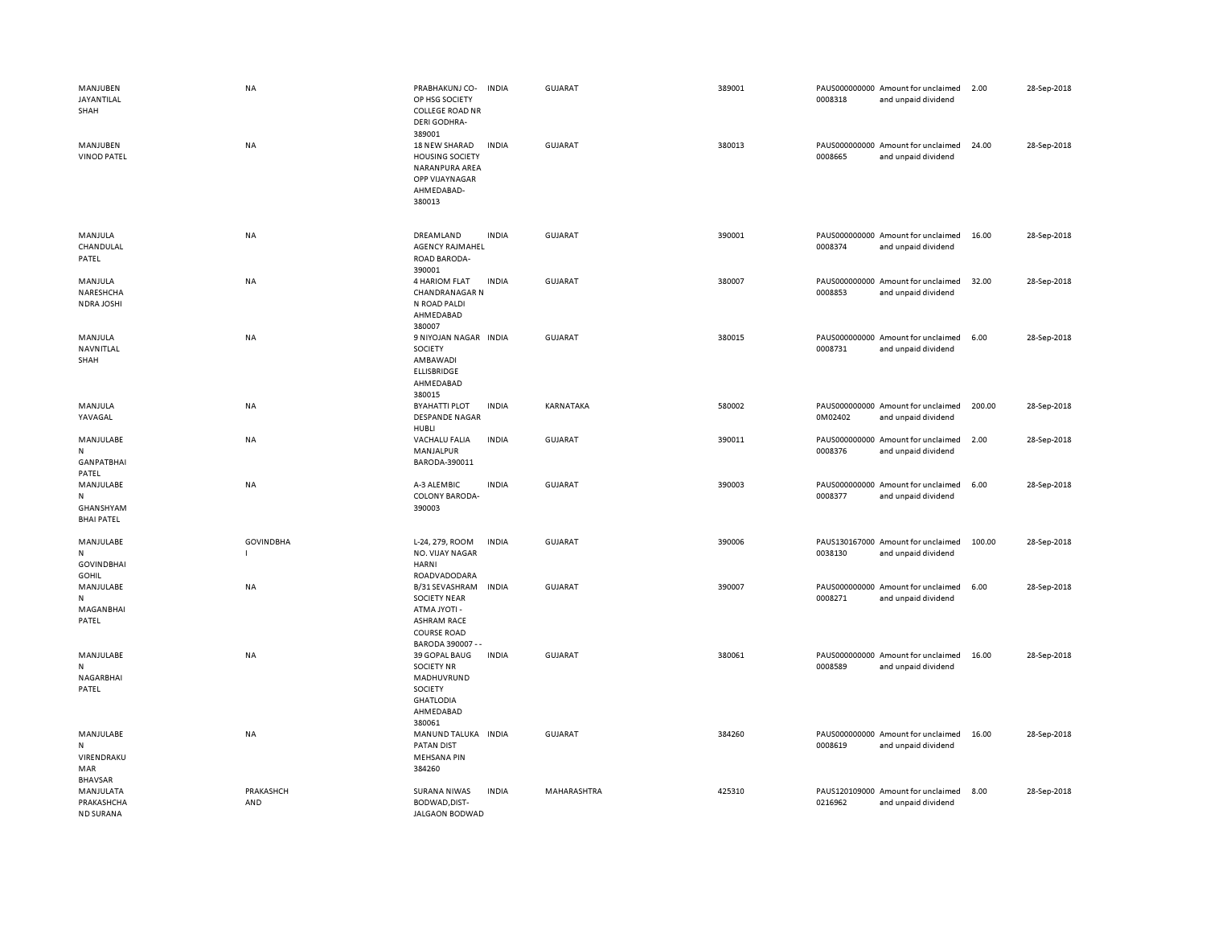| MANJUBEN<br>JAYANTILAL<br>SHAH                        | <b>NA</b>        | PRABHAKUNJ CO-<br>OP HSG SOCIETY<br><b>COLLEGE ROAD NR</b><br>DERI GODHRA-<br>389001                                  | <b>INDIA</b> | <b>GUJARAT</b> | 389001 | 0008318 | PAUS000000000 Amount for unclaimed<br>and unpaid dividend | 2.00   | 28-Sep-2018 |
|-------------------------------------------------------|------------------|-----------------------------------------------------------------------------------------------------------------------|--------------|----------------|--------|---------|-----------------------------------------------------------|--------|-------------|
| MANJUBEN<br><b>VINOD PATEL</b>                        | NA               | 18 NEW SHARAD<br><b>HOUSING SOCIETY</b><br>NARANPURA AREA<br><b>OPP VIJAYNAGAR</b><br>AHMEDABAD-<br>380013            | <b>INDIA</b> | <b>GUJARAT</b> | 380013 | 0008665 | PAUS000000000 Amount for unclaimed<br>and unpaid dividend | 24.00  | 28-Sep-2018 |
| MANJULA<br>CHANDULAL<br>PATEL                         | NA               | DREAMLAND<br><b>AGENCY RAJMAHEL</b><br>ROAD BARODA-<br>390001                                                         | <b>INDIA</b> | <b>GUJARAT</b> | 390001 | 0008374 | PAUS000000000 Amount for unclaimed<br>and unpaid dividend | 16.00  | 28-Sep-2018 |
| MANJULA<br>NARESHCHA<br>NDRA JOSHI                    | NA               | 4 HARIOM FLAT<br><b>CHANDRANAGAR N</b><br>N ROAD PALDI<br>AHMEDABAD<br>380007                                         | <b>INDIA</b> | GUJARAT        | 380007 | 0008853 | PAUS000000000 Amount for unclaimed<br>and unpaid dividend | 32.00  | 28-Sep-2018 |
| MANJULA<br>NAVNITLAL<br>SHAH                          | <b>NA</b>        | 9 NIYOJAN NAGAR INDIA<br>SOCIETY<br>AMBAWADI<br><b>ELLISBRIDGE</b><br>AHMEDABAD<br>380015                             |              | <b>GUJARAT</b> | 380015 | 0008731 | PAUS000000000 Amount for unclaimed<br>and unpaid dividend | 6.00   | 28-Sep-2018 |
| MANJULA<br>YAVAGAL                                    | <b>NA</b>        | <b>BYAHATTI PLOT</b><br><b>DESPANDE NAGAR</b><br>HUBLI                                                                | <b>INDIA</b> | KARNATAKA      | 580002 | 0M02402 | PAUS000000000 Amount for unclaimed<br>and unpaid dividend | 200.00 | 28-Sep-2018 |
| MANJULABE<br>N<br><b>GANPATBHAI</b><br>PATEL          | NA               | <b>VACHALU FALIA</b><br>MANJALPUR<br>BARODA-390011                                                                    | <b>INDIA</b> | <b>GUJARAT</b> | 390011 | 0008376 | PAUS000000000 Amount for unclaimed<br>and unpaid dividend | 2.00   | 28-Sep-2018 |
| MANJULABE<br>N<br>GHANSHYAM<br><b>BHAI PATEL</b>      | NA               | A-3 ALEMBIC<br><b>COLONY BARODA-</b><br>390003                                                                        | <b>INDIA</b> | <b>GUJARAT</b> | 390003 | 0008377 | PAUS000000000 Amount for unclaimed<br>and unpaid dividend | 6.00   | 28-Sep-2018 |
| MANJULABE<br>N<br><b>GOVINDBHAI</b><br><b>GOHIL</b>   | <b>GOVINDBHA</b> | L-24, 279, ROOM<br>NO. VIJAY NAGAR<br>HARNI<br>ROADVADODARA                                                           | <b>INDIA</b> | <b>GUJARAT</b> | 390006 | 0038130 | PAUS130167000 Amount for unclaimed<br>and unpaid dividend | 100.00 | 28-Sep-2018 |
| MANJULABE<br>N<br>MAGANBHAI<br>PATEL                  | <b>NA</b>        | B/31 SEVASHRAM<br><b>SOCIETY NEAR</b><br>ATMA JYOTI -<br><b>ASHRAM RACE</b><br><b>COURSE ROAD</b><br>BARODA 390007 -- | <b>INDIA</b> | <b>GUJARAT</b> | 390007 | 0008271 | PAUS000000000 Amount for unclaimed<br>and unpaid dividend | 6.00   | 28-Sep-2018 |
| MANJULABE<br>N<br>NAGARBHAI<br>PATEL                  | NA               | 39 GOPAL BAUG<br><b>SOCIETY NR</b><br>MADHUVRUND<br>SOCIETY<br><b>GHATLODIA</b><br>AHMEDABAD<br>380061                | <b>INDIA</b> | <b>GUJARAT</b> | 380061 | 0008589 | PAUS000000000 Amount for unclaimed<br>and unpaid dividend | 16.00  | 28-Sep-2018 |
| MANJULABE<br>N<br>VIRENDRAKU<br>MAR<br><b>BHAVSAR</b> | NA               | MANUND TALUKA INDIA<br><b>PATAN DIST</b><br><b>MEHSANA PIN</b><br>384260                                              |              | <b>GUJARAT</b> | 384260 | 0008619 | PAUS000000000 Amount for unclaimed<br>and unpaid dividend | 16.00  | 28-Sep-2018 |
| MANJULATA<br>PRAKASHCHA<br>ND SURANA                  | PRAKASHCH<br>AND | <b>SURANA NIWAS</b><br>BODWAD, DIST-<br><b>JALGAON BODWAD</b>                                                         | <b>INDIA</b> | MAHARASHTRA    | 425310 | 0216962 | PAUS120109000 Amount for unclaimed<br>and unpaid dividend | 8.00   | 28-Sep-2018 |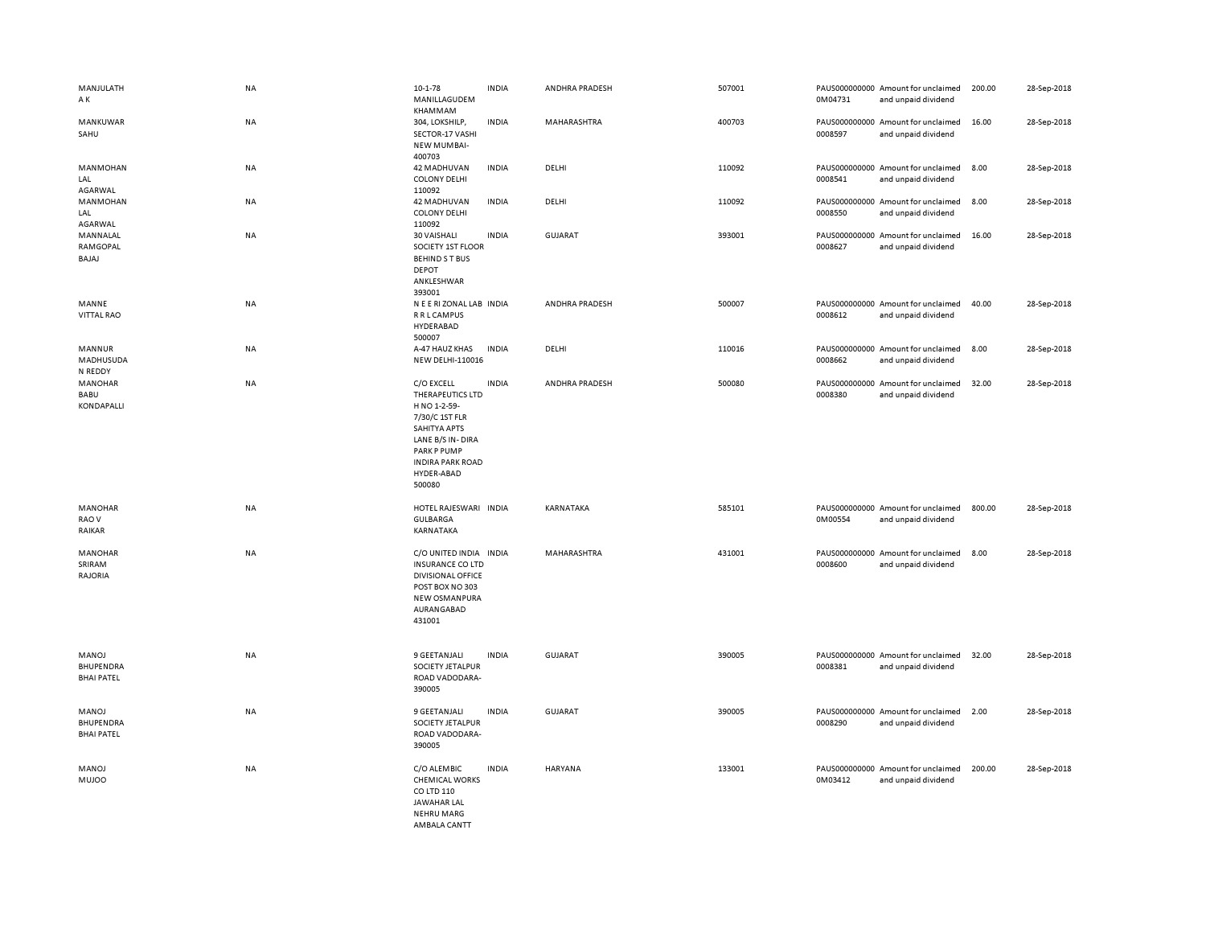| MANJULATH<br>ΑK                         | <b>NA</b> | $10 - 1 - 78$<br>MANILLAGUDEM<br>KHAMMAM                                                                                                                               | <b>INDIA</b> | ANDHRA PRADESH | 507001 | 0M04731 | PAUS000000000 Amount for unclaimed<br>and unpaid dividend | 200.00 | 28-Sep-2018 |
|-----------------------------------------|-----------|------------------------------------------------------------------------------------------------------------------------------------------------------------------------|--------------|----------------|--------|---------|-----------------------------------------------------------|--------|-------------|
| MANKUWAR<br>SAHU                        | <b>NA</b> | 304, LOKSHILP,<br>SECTOR-17 VASHI<br><b>NEW MUMBAI-</b><br>400703                                                                                                      | <b>INDIA</b> | MAHARASHTRA    | 400703 | 0008597 | PAUS000000000 Amount for unclaimed<br>and unpaid dividend | 16.00  | 28-Sep-2018 |
| <b>MANMOHAN</b><br>LAL<br>AGARWAL       | <b>NA</b> | 42 MADHUVAN<br><b>COLONY DELHI</b><br>110092                                                                                                                           | <b>INDIA</b> | DELHI          | 110092 | 0008541 | PAUS000000000 Amount for unclaimed<br>and unpaid dividend | 8.00   | 28-Sep-2018 |
| <b>MANMOHAN</b><br>LAL<br>AGARWAL       | NA        | 42 MADHUVAN<br><b>COLONY DELHI</b><br>110092                                                                                                                           | <b>INDIA</b> | DELHI          | 110092 | 0008550 | PAUS000000000 Amount for unclaimed<br>and unpaid dividend | 8.00   | 28-Sep-2018 |
| MANNALAL<br>RAMGOPAL<br>BAJAJ           | NA        | 30 VAISHALI<br>SOCIETY 1ST FLOOR<br><b>BEHINDST BUS</b><br><b>DEPOT</b><br>ANKLESHWAR                                                                                  | <b>INDIA</b> | <b>GUJARAT</b> | 393001 | 0008627 | PAUS000000000 Amount for unclaimed<br>and unpaid dividend | 16.00  | 28-Sep-2018 |
| MANNE<br>VITTAL RAO                     | NA        | 393001<br>N E E RI ZONAL LAB INDIA<br>R R L CAMPUS<br>HYDERABAD<br>500007                                                                                              |              | ANDHRA PRADESH | 500007 | 0008612 | PAUS000000000 Amount for unclaimed<br>and unpaid dividend | 40.00  | 28-Sep-2018 |
| MANNUR<br>MADHUSUDA<br>N REDDY          | NA        | A-47 HAUZ KHAS<br>NEW DELHI-110016                                                                                                                                     | <b>INDIA</b> | DELHI          | 110016 | 0008662 | PAUS000000000 Amount for unclaimed<br>and unpaid dividend | 8.00   | 28-Sep-2018 |
| MANOHAR<br>BABU<br>KONDAPALLI           | <b>NA</b> | C/O EXCELL<br>THERAPEUTICS LTD<br>H NO 1-2-59-<br>7/30/C 1ST FLR<br>SAHITYA APTS<br>LANE B/S IN-DIRA<br>PARK P PUMP<br><b>INDIRA PARK ROAD</b><br>HYDER-ABAD<br>500080 | <b>INDIA</b> | ANDHRA PRADESH | 500080 | 0008380 | PAUS000000000 Amount for unclaimed<br>and unpaid dividend | 32.00  | 28-Sep-2018 |
| MANOHAR<br>RAO V<br>RAIKAR              | <b>NA</b> | HOTEL RAJESWARI INDIA<br>GULBARGA<br>KARNATAKA                                                                                                                         |              | KARNATAKA      | 585101 | 0M00554 | PAUS000000000 Amount for unclaimed<br>and unpaid dividend | 800.00 | 28-Sep-2018 |
| MANOHAR<br>SRIRAM<br>RAJORIA            | NA        | C/O UNITED INDIA INDIA<br><b>INSURANCE CO LTD</b><br><b>DIVISIONAL OFFICE</b><br>POST BOX NO 303<br>NEW OSMANPURA<br>AURANGABAD<br>431001                              |              | MAHARASHTRA    | 431001 | 0008600 | PAUS000000000 Amount for unclaimed<br>and unpaid dividend | 8.00   | 28-Sep-2018 |
| MANOJ<br>BHUPENDRA<br><b>BHAI PATEL</b> | NA        | 9 GEETANJALI<br>SOCIETY JETALPUR<br>ROAD VADODARA-<br>390005                                                                                                           | <b>INDIA</b> | <b>GUJARAT</b> | 390005 | 0008381 | PAUS000000000 Amount for unclaimed<br>and unpaid dividend | 32.00  | 28-Sep-2018 |
| MANOJ<br>BHUPENDRA<br><b>BHAI PATEL</b> | <b>NA</b> | 9 GEETANJALI<br>SOCIETY JETALPUR<br>ROAD VADODARA-<br>390005                                                                                                           | <b>INDIA</b> | GUJARAT        | 390005 | 0008290 | PAUS000000000 Amount for unclaimed<br>and unpaid dividend | 2.00   | 28-Sep-2018 |
| MANOJ<br><b>MUJOO</b>                   | NA        | C/O ALEMBIC<br><b>CHEMICAL WORKS</b><br>CO LTD 110<br><b>JAWAHAR LAL</b><br><b>NEHRU MARG</b><br>AMRAIA CANTT                                                          | <b>INDIA</b> | <b>HARYANA</b> | 133001 | 0M03412 | PAUS000000000 Amount for unclaimed<br>and unpaid dividend | 200.00 | 28-Sep-2018 |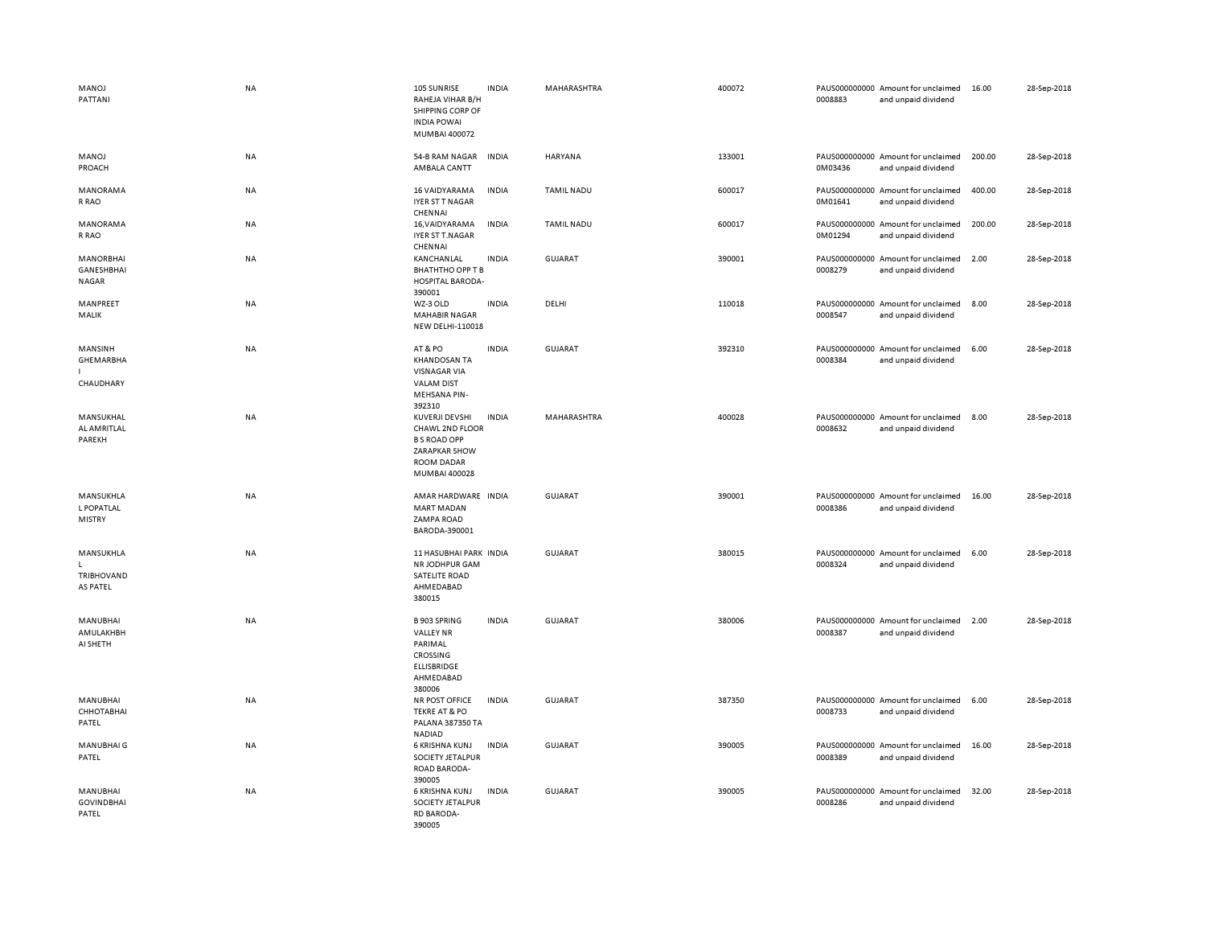| MANOJ<br>PATTANI                         | <b>NA</b> | 105 SUNRISE<br>RAHEJA VIHAR B/H<br>SHIPPING CORP OF<br><b>INDIA POWAI</b><br>MUMBAI 400072                  | <b>INDIA</b> | MAHARASHTRA       | 400072 | 0008883 | PAUS000000000 Amount for unclaimed<br>and unpaid dividend | 16.00  | 28-Sep-2018 |
|------------------------------------------|-----------|-------------------------------------------------------------------------------------------------------------|--------------|-------------------|--------|---------|-----------------------------------------------------------|--------|-------------|
| MANOJ<br>PROACH                          | NA        | 54-B RAM NAGAR<br>AMBALA CANTT                                                                              | <b>INDIA</b> | <b>HARYANA</b>    | 133001 | 0M03436 | PAUS000000000 Amount for unclaimed<br>and unpaid dividend | 200.00 | 28-Sep-2018 |
| MANORAMA<br>R RAO                        | <b>NA</b> | 16 VAIDYARAMA<br><b>IYER ST T NAGAR</b><br>CHENNAI                                                          | <b>INDIA</b> | <b>TAMIL NADU</b> | 600017 | 0M01641 | PAUS000000000 Amount for unclaimed<br>and unpaid dividend | 400.00 | 28-Sep-2018 |
| MANORAMA<br>R RAO                        | NA        | 16, VAIDYARAMA<br>IYER ST T.NAGAR<br>CHENNAI                                                                | <b>INDIA</b> | <b>TAMIL NADU</b> | 600017 | 0M01294 | PAUS000000000 Amount for unclaimed<br>and unpaid dividend | 200.00 | 28-Sep-2018 |
| MANORBHAI<br>GANESHBHAI<br><b>NAGAR</b>  | NA        | KANCHANLAL<br><b>BHATHTHO OPP T B</b><br>HOSPITAL BARODA-<br>390001                                         | <b>INDIA</b> | GUJARAT           | 390001 | 0008279 | PAUS000000000 Amount for unclaimed<br>and unpaid dividend | 2.00   | 28-Sep-2018 |
| MANPREET<br>MALIK                        | <b>NA</b> | WZ-3 OLD<br><b>MAHABIR NAGAR</b><br>NEW DELHI-110018                                                        | <b>INDIA</b> | DELHI             | 110018 | 0008547 | PAUS000000000 Amount for unclaimed<br>and unpaid dividend | 8.00   | 28-Sep-2018 |
| MANSINH<br>GHEMARBHA<br>CHAUDHARY        | <b>NA</b> | AT&PO<br><b>KHANDOSAN TA</b><br><b>VISNAGAR VIA</b><br><b>VALAM DIST</b><br><b>MEHSANA PIN-</b><br>392310   | <b>INDIA</b> | GUJARAT           | 392310 | 0008384 | PAUS000000000 Amount for unclaimed<br>and unpaid dividend | 6.00   | 28-Sep-2018 |
| MANSUKHAL<br>AL AMRITLAL<br>PAREKH       | <b>NA</b> | KUVERJI DEVSHI<br>CHAWL 2ND FLOOR<br><b>B S ROAD OPP</b><br>ZARAPKAR SHOW<br>ROOM DADAR<br>MUMBAI 400028    | <b>INDIA</b> | MAHARASHTRA       | 400028 | 0008632 | PAUS000000000 Amount for unclaimed<br>and unpaid dividend | 8.00   | 28-Sep-2018 |
| MANSUKHLA<br>L POPATLAL<br><b>MISTRY</b> | <b>NA</b> | AMAR HARDWARE INDIA<br><b>MART MADAN</b><br>ZAMPA ROAD<br>BARODA-390001                                     |              | <b>GUJARAT</b>    | 390001 | 0008386 | PAUS000000000 Amount for unclaimed<br>and unpaid dividend | 16.00  | 28-Sep-2018 |
| MANSUKHLA<br>TRIBHOVAND<br>AS PATEL      | <b>NA</b> | 11 HASUBHAI PARK INDIA<br>NR JODHPUR GAM<br>SATELITE ROAD<br>AHMEDABAD<br>380015                            |              | <b>GUJARAT</b>    | 380015 | 0008324 | PAUS000000000 Amount for unclaimed<br>and unpaid dividend | 6.00   | 28-Sep-2018 |
| MANUBHAI<br>AMULAKHBH<br>AI SHETH        | <b>NA</b> | <b>B 903 SPRING</b><br><b>VALLEY NR</b><br>PARIMAL<br>CROSSING<br><b>ELLISBRIDGE</b><br>AHMEDABAD<br>380006 | <b>INDIA</b> | <b>GUJARAT</b>    | 380006 | 0008387 | PAUS000000000 Amount for unclaimed<br>and unpaid dividend | 2.00   | 28-Sep-2018 |
| MANUBHAI<br>СННОТАВНАІ<br>PATEL          | NA        | NR POST OFFICE<br><b>TEKRE AT &amp; PO</b><br>PALANA 387350 TA<br><b>NADIAD</b>                             | <b>INDIA</b> | <b>GUJARAT</b>    | 387350 | 0008733 | PAUS000000000 Amount for unclaimed<br>and unpaid dividend | 6.00   | 28-Sep-2018 |
| MANUBHAI G<br>PATEL                      | NA        | 6 KRISHNA KUNJ<br>SOCIETY JETALPUR<br>ROAD BARODA-<br>390005                                                | <b>INDIA</b> | <b>GUJARAT</b>    | 390005 | 0008389 | PAUS000000000 Amount for unclaimed<br>and unpaid dividend | 16.00  | 28-Sep-2018 |
| MANUBHAI<br><b>GOVINDBHAI</b><br>PATEL   | NA        | 6 KRISHNA KUNJ<br>SOCIETY JETALPUR<br><b>RD BARODA-</b><br>390005                                           | <b>INDIA</b> | <b>GUJARAT</b>    | 390005 | 0008286 | PAUS000000000 Amount for unclaimed<br>and unpaid dividend | 32.00  | 28-Sep-2018 |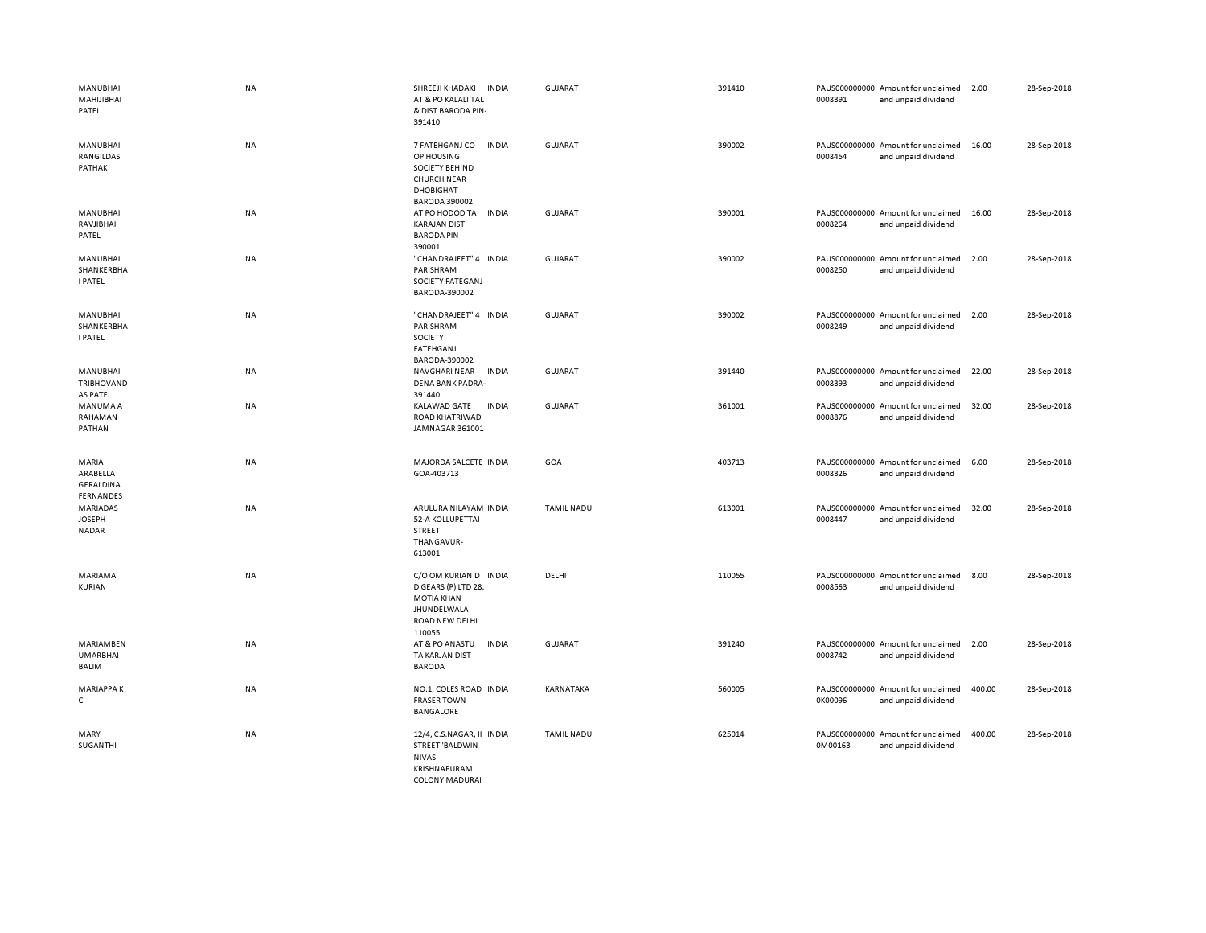| <b>MANUBHAI</b><br>MAHIJIBHAI<br>PATEL                    | <b>NA</b> | SHREEJI KHADAKI<br><b>INDIA</b><br>AT & PO KALALI TAL<br>& DIST BARODA PIN-<br>391410                                            | <b>GUJARAT</b>    | 391410 | PAUS000000000 Amount for unclaimed<br>0008391<br>and unpaid dividend | 2.00   | 28-Sep-2018 |
|-----------------------------------------------------------|-----------|----------------------------------------------------------------------------------------------------------------------------------|-------------------|--------|----------------------------------------------------------------------|--------|-------------|
| <b>MANUBHAI</b><br>RANGILDAS<br>PATHAK                    | NA        | 7 FATEHGANJ CO<br><b>INDIA</b><br>OP HOUSING<br>SOCIETY BEHIND<br><b>CHURCH NEAR</b><br><b>DHOBIGHAT</b><br><b>BARODA 390002</b> | <b>GUJARAT</b>    | 390002 | PAUS000000000 Amount for unclaimed<br>0008454<br>and unpaid dividend | 16.00  | 28-Sep-2018 |
| <b>MANUBHAI</b><br>RAVJIBHAI<br>PATEL                     | NA        | AT PO HODOD TA<br><b>INDIA</b><br><b>KARAJAN DIST</b><br><b>BARODA PIN</b><br>390001                                             | <b>GUJARAT</b>    | 390001 | PAUS000000000 Amount for unclaimed<br>0008264<br>and unpaid dividend | 16.00  | 28-Sep-2018 |
| <b>MANUBHAI</b><br>SHANKERBHA<br><b>I PATEL</b>           | NA        | "CHANDRAJEET" 4 INDIA<br>PARISHRAM<br><b>SOCIETY FATEGANJ</b><br>BARODA-390002                                                   | <b>GUJARAT</b>    | 390002 | PAUS000000000 Amount for unclaimed<br>0008250<br>and unpaid dividend | 2.00   | 28-Sep-2018 |
| <b>MANUBHAI</b><br>SHANKERBHA<br><b>I PATEL</b>           | NA        | "CHANDRAJEET" 4 INDIA<br>PARISHRAM<br>SOCIETY<br>FATEHGANJ<br>BARODA-390002                                                      | <b>GUJARAT</b>    | 390002 | PAUS000000000 Amount for unclaimed<br>0008249<br>and unpaid dividend | 2.00   | 28-Sep-2018 |
| <b>MANUBHAI</b><br>TRIBHOVAND<br>AS PATEL                 | NA        | <b>INDIA</b><br>NAVGHARI NEAR<br>DENA BANK PADRA-<br>391440                                                                      | <b>GUJARAT</b>    | 391440 | PAUS000000000 Amount for unclaimed<br>0008393<br>and unpaid dividend | 22.00  | 28-Sep-2018 |
| MANUMA A<br>RAHAMAN<br>PATHAN                             | NA        | KALAWAD GATE<br><b>INDIA</b><br>ROAD KHATRIWAD<br>JAMNAGAR 361001                                                                | <b>GUJARAT</b>    | 361001 | PAUS000000000 Amount for unclaimed<br>0008876<br>and unpaid dividend | 32.00  | 28-Sep-2018 |
| MARIA<br>ARABELLA<br><b>GERALDINA</b><br><b>FERNANDES</b> | NA        | MAJORDA SALCETE INDIA<br>GOA-403713                                                                                              | GOA               | 403713 | PAUS000000000 Amount for unclaimed<br>0008326<br>and unpaid dividend | 6.00   | 28-Sep-2018 |
| <b>MARIADAS</b><br><b>JOSEPH</b><br><b>NADAR</b>          | NA        | ARULURA NILAYAM INDIA<br>52-A KOLLUPETTAI<br><b>STREET</b><br>THANGAVUR-<br>613001                                               | <b>TAMIL NADU</b> | 613001 | PAUS000000000 Amount for unclaimed<br>0008447<br>and unpaid dividend | 32.00  | 28-Sep-2018 |
| MARIAMA<br>KURIAN                                         | <b>NA</b> | C/O OM KURIAN D INDIA<br>D GEARS (P) LTD 28,<br><b>MOTIA KHAN</b><br>JHUNDELWALA<br>ROAD NEW DELHI<br>110055                     | DELHI             | 110055 | PAUS000000000 Amount for unclaimed<br>0008563<br>and unpaid dividend | 8.00   | 28-Sep-2018 |
| <b>MARIAMBEN</b><br><b>UMARBHAI</b><br>BALIM              | NA        | AT & PO ANASTU<br><b>INDIA</b><br>TA KARJAN DIST<br><b>BARODA</b>                                                                | <b>GUJARAT</b>    | 391240 | PAUS000000000 Amount for unclaimed<br>0008742<br>and unpaid dividend | 2.00   | 28-Sep-2018 |
| <b>MARIAPPAK</b><br>$\mathsf{C}$                          | NA        | NO.1, COLES ROAD INDIA<br><b>FRASER TOWN</b><br>BANGALORE                                                                        | KARNATAKA         | 560005 | PAUS000000000 Amount for unclaimed<br>0K00096<br>and unpaid dividend | 400.00 | 28-Sep-2018 |
| MARY<br>SUGANTHI                                          | NA        | 12/4, C.S.NAGAR, II INDIA<br><b>STREET 'BALDWIN</b><br>NIVAS'<br>KRISHNAPURAM<br><b>COLONY MADURAI</b>                           | <b>TAMIL NADU</b> | 625014 | PAUS000000000 Amount for unclaimed<br>0M00163<br>and unpaid dividend | 400.00 | 28-Sep-2018 |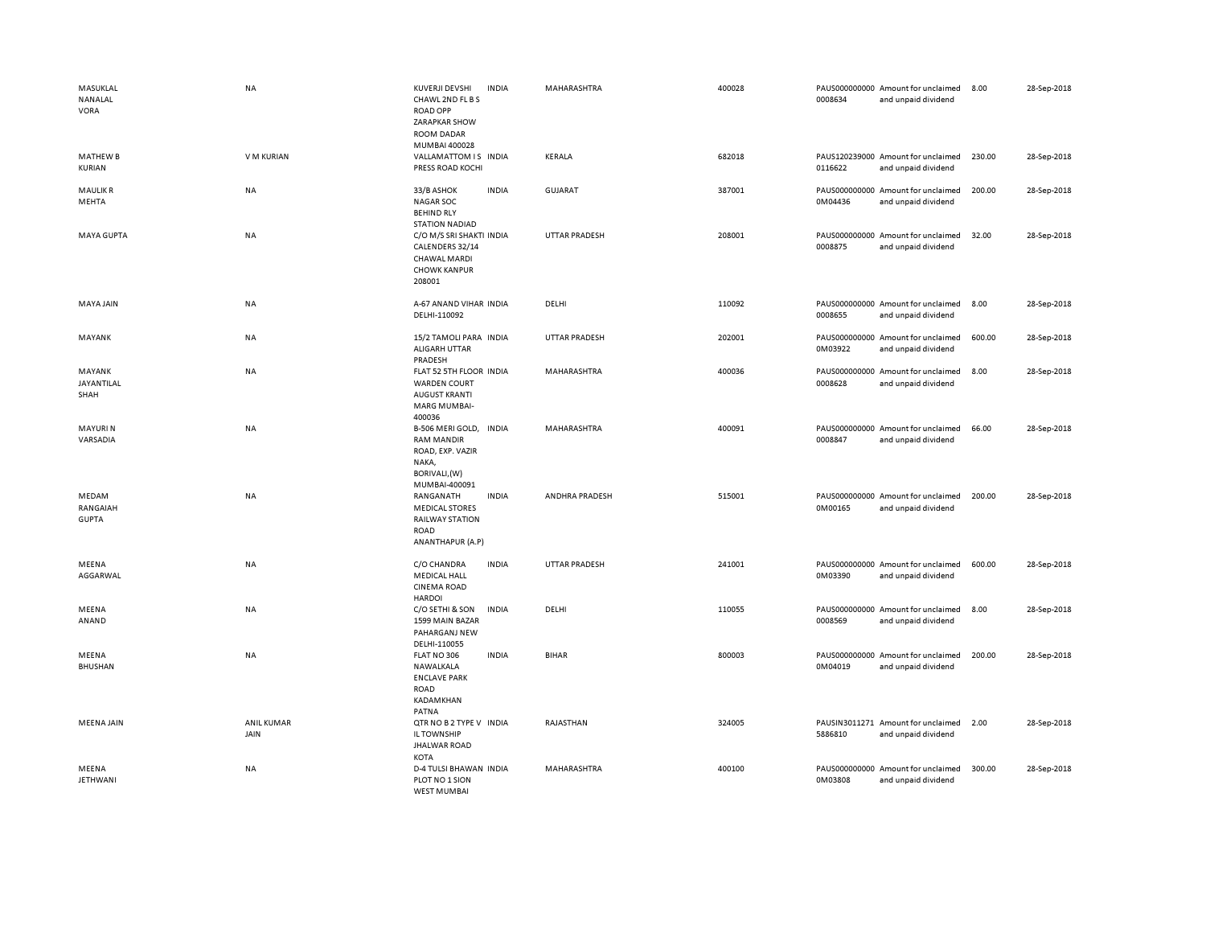| MASUKLAL<br>NANALAL<br><b>VORA</b> | <b>NA</b>                 | KUVERJI DEVSHI<br><b>INDIA</b><br>CHAWL 2ND FL B S<br><b>ROAD OPP</b><br>ZARAPKAR SHOW<br>ROOM DADAR<br>MUMBAI 400028 | MAHARASHTRA          | 400028 | 0008634 | PAUS000000000 Amount for unclaimed<br>and unpaid dividend | 8.00   | 28-Sep-2018 |
|------------------------------------|---------------------------|-----------------------------------------------------------------------------------------------------------------------|----------------------|--------|---------|-----------------------------------------------------------|--------|-------------|
| <b>MATHEW B</b><br>KURIAN          | V M KURIAN                | VALLAMATTOM IS INDIA<br>PRESS ROAD KOCHI                                                                              | KERALA               | 682018 | 0116622 | PAUS120239000 Amount for unclaimed<br>and unpaid dividend | 230.00 | 28-Sep-2018 |
| <b>MAULIK R</b><br>MEHTA           | NA                        | <b>INDIA</b><br>33/B ASHOK<br><b>NAGAR SOC</b><br><b>BEHIND RLY</b><br><b>STATION NADIAD</b>                          | <b>GUJARAT</b>       | 387001 | 0M04436 | PAUS000000000 Amount for unclaimed<br>and unpaid dividend | 200.00 | 28-Sep-2018 |
| <b>MAYA GUPTA</b>                  | <b>NA</b>                 | C/O M/S SRI SHAKTI INDIA<br>CALENDERS 32/14<br><b>CHAWAL MARDI</b><br><b>CHOWK KANPUR</b><br>208001                   | <b>UTTAR PRADESH</b> | 208001 | 0008875 | PAUS000000000 Amount for unclaimed<br>and unpaid dividend | 32.00  | 28-Sep-2018 |
| MAYA JAIN                          | NA                        | A-67 ANAND VIHAR INDIA<br>DELHI-110092                                                                                | DELHI                | 110092 | 0008655 | PAUS000000000 Amount for unclaimed<br>and unpaid dividend | 8.00   | 28-Sep-2018 |
| MAYANK                             | NA                        | 15/2 TAMOLI PARA INDIA<br>ALIGARH UTTAR<br>PRADESH                                                                    | <b>UTTAR PRADESH</b> | 202001 | 0M03922 | PAUS000000000 Amount for unclaimed<br>and unpaid dividend | 600.00 | 28-Sep-2018 |
| MAYANK<br>JAYANTILAL<br>SHAH       | <b>NA</b>                 | FLAT 52 5TH FLOOR INDIA<br><b>WARDEN COURT</b><br><b>AUGUST KRANTI</b><br><b>MARG MUMBAI-</b><br>400036               | MAHARASHTRA          | 400036 | 0008628 | PAUS000000000 Amount for unclaimed<br>and unpaid dividend | 8.00   | 28-Sep-2018 |
| <b>MAYURIN</b><br>VARSADIA         | NA                        | B-506 MERI GOLD, INDIA<br><b>RAM MANDIR</b><br>ROAD, EXP. VAZIR<br>NAKA,<br>BORIVALI, (W)<br>MUMBAI-400091            | MAHARASHTRA          | 400091 | 0008847 | PAUS000000000 Amount for unclaimed<br>and unpaid dividend | 66.00  | 28-Sep-2018 |
| MEDAM<br>RANGAIAH<br><b>GUPTA</b>  | <b>NA</b>                 | RANGANATH<br><b>INDIA</b><br><b>MEDICAL STORES</b><br><b>RAILWAY STATION</b><br><b>ROAD</b><br>ANANTHAPUR (A.P)       | ANDHRA PRADESH       | 515001 | 0M00165 | PAUS000000000 Amount for unclaimed<br>and unpaid dividend | 200.00 | 28-Sep-2018 |
| MEENA<br>AGGARWAL                  | NA                        | <b>INDIA</b><br>C/O CHANDRA<br><b>MEDICAL HALL</b><br><b>CINEMA ROAD</b><br><b>HARDOI</b>                             | <b>UTTAR PRADESH</b> | 241001 | 0M03390 | PAUS000000000 Amount for unclaimed<br>and unpaid dividend | 600.00 | 28-Sep-2018 |
| MEENA<br>ANAND                     | NA                        | C/O SETHI & SON<br><b>INDIA</b><br>1599 MAIN BAZAR<br>PAHARGANJ NEW<br>DELHI-110055                                   | DELHI                | 110055 | 0008569 | PAUS000000000 Amount for unclaimed<br>and unpaid dividend | 8.00   | 28-Sep-2018 |
| MEENA<br><b>BHUSHAN</b>            | NA                        | FLAT NO 306<br><b>INDIA</b><br>NAWALKALA<br><b>ENCLAVE PARK</b><br><b>ROAD</b><br>KADAMKHAN<br>PATNA                  | <b>BIHAR</b>         | 800003 | 0M04019 | PAUS000000000 Amount for unclaimed<br>and unpaid dividend | 200.00 | 28-Sep-2018 |
| <b>MEENA JAIN</b>                  | <b>ANIL KUMAR</b><br>JAIN | QTR NO B 2 TYPE V INDIA<br>IL TOWNSHIP<br><b>JHALWAR ROAD</b><br>KOTA                                                 | RAJASTHAN            | 324005 | 5886810 | PAUSIN3011271 Amount for unclaimed<br>and unpaid dividend | 2.00   | 28-Sep-2018 |
| MEENA<br><b>JETHWANI</b>           | NA                        | <b>D-4 TULSI BHAWAN INDIA</b><br>PLOT NO 1 SION<br>WEST MUMBAL                                                        | MAHARASHTRA          | 400100 | 0M03808 | PAUS000000000 Amount for unclaimed<br>and unpaid dividend | 300.00 | 28-Sep-2018 |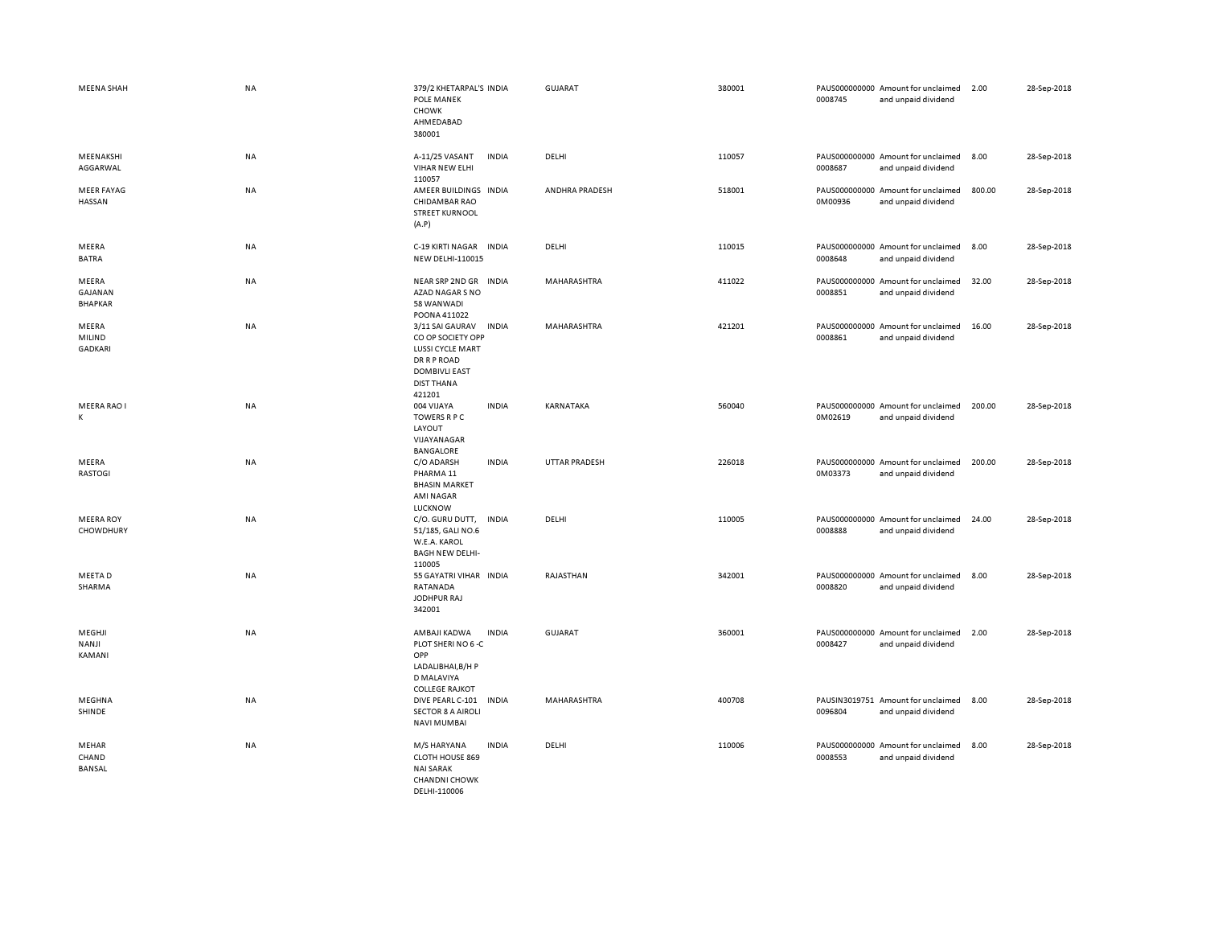| <b>MEENA SHAH</b>                  | <b>NA</b> | 379/2 KHETARPAL'S INDIA<br>POLE MANEK<br><b>CHOWK</b><br>AHMEDABAD<br>380001                                                                   | <b>GUJARAT</b>       | 380001 | 0008745 | PAUS000000000 Amount for unclaimed<br>and unpaid dividend | 2.00   | 28-Sep-2018 |
|------------------------------------|-----------|------------------------------------------------------------------------------------------------------------------------------------------------|----------------------|--------|---------|-----------------------------------------------------------|--------|-------------|
| MEENAKSHI<br>AGGARWAL              | NA        | A-11/25 VASANT<br><b>INDIA</b><br>VIHAR NEW ELHI<br>110057                                                                                     | DELHI                | 110057 | 0008687 | PAUS000000000 Amount for unclaimed<br>and unpaid dividend | 8.00   | 28-Sep-2018 |
| <b>MEER FAYAG</b><br>HASSAN        | NA        | AMEER BUILDINGS INDIA<br>CHIDAMBAR RAO<br><b>STREET KURNOOL</b><br>(A.P)                                                                       | ANDHRA PRADESH       | 518001 | 0M00936 | PAUS000000000 Amount for unclaimed<br>and unpaid dividend | 800.00 | 28-Sep-2018 |
| MEERA<br><b>BATRA</b>              | NA        | C-19 KIRTI NAGAR INDIA<br><b>NEW DELHI-110015</b>                                                                                              | DELHI                | 110015 | 0008648 | PAUS000000000 Amount for unclaimed<br>and unpaid dividend | 8.00   | 28-Sep-2018 |
| MEERA<br>GAJANAN<br><b>BHAPKAR</b> | NA        | NEAR SRP 2ND GR<br><b>INDIA</b><br>AZAD NAGAR S NO<br>58 WANWADI<br>POONA 411022                                                               | MAHARASHTRA          | 411022 | 0008851 | PAUS000000000 Amount for unclaimed<br>and unpaid dividend | 32.00  | 28-Sep-2018 |
| MEERA<br>MILIND<br><b>GADKARI</b>  | NA        | 3/11 SAI GAURAV<br><b>INDIA</b><br>CO OP SOCIETY OPP<br>LUSSI CYCLE MART<br>DR R P ROAD<br><b>DOMBIVLI EAST</b><br><b>DIST THANA</b><br>421201 | MAHARASHTRA          | 421201 | 0008861 | PAUS000000000 Amount for unclaimed<br>and unpaid dividend | 16.00  | 28-Sep-2018 |
| MEERA RAO I<br>К                   | NA        | 004 VIJAYA<br><b>INDIA</b><br><b>TOWERS R P C</b><br>LAYOUT<br>VIJAYANAGAR<br>BANGALORE                                                        | KARNATAKA            | 560040 | 0M02619 | PAUS000000000 Amount for unclaimed<br>and unpaid dividend | 200.00 | 28-Sep-2018 |
| MEERA<br><b>RASTOGI</b>            | NA        | C/O ADARSH<br><b>INDIA</b><br>PHARMA 11<br><b>BHASIN MARKET</b><br><b>AMI NAGAR</b><br>LUCKNOW                                                 | <b>UTTAR PRADESH</b> | 226018 | 0M03373 | PAUS000000000 Amount for unclaimed<br>and unpaid dividend | 200.00 | 28-Sep-2018 |
| <b>MEERA ROY</b><br>CHOWDHURY      | NA        | C/O. GURU DUTT,<br><b>INDIA</b><br>51/185, GALI NO.6<br>W.E.A. KAROL<br><b>BAGH NEW DELHI-</b><br>110005                                       | DELHI                | 110005 | 0008888 | PAUS000000000 Amount for unclaimed<br>and unpaid dividend | 24.00  | 28-Sep-2018 |
| MEETA D<br>SHARMA                  | <b>NA</b> | 55 GAYATRI VIHAR INDIA<br>RATANADA<br>JODHPUR RAJ<br>342001                                                                                    | RAJASTHAN            | 342001 | 0008820 | PAUS000000000 Amount for unclaimed<br>and unpaid dividend | 8.00   | 28-Sep-2018 |
| MEGHJI<br>NANJI<br>KAMANI          | NA        | AMBAJI KADWA<br><b>INDIA</b><br>PLOT SHERI NO 6 -C<br>OPP<br>LADALIBHAI, B/H P<br>D MALAVIYA<br><b>COLLEGE RAJKOT</b>                          | <b>GUJARAT</b>       | 360001 | 0008427 | PAUS000000000 Amount for unclaimed<br>and unpaid dividend | 2.00   | 28-Sep-2018 |
| MEGHNA<br>SHINDE                   | <b>NA</b> | DIVE PEARL C-101<br><b>INDIA</b><br><b>SECTOR 8 A AIROLI</b><br><b>NAVI MUMBAI</b>                                                             | MAHARASHTRA          | 400708 | 0096804 | PAUSIN3019751 Amount for unclaimed<br>and unpaid dividend | 8.00   | 28-Sep-2018 |
| MEHAR<br>CHAND<br>BANSAL           | NA        | M/S HARYANA<br><b>INDIA</b><br>CLOTH HOUSE 869<br><b>NAI SARAK</b><br><b>CHANDNI CHOWK</b><br>DELHI-110006                                     | DELHI                | 110006 | 0008553 | PAUS000000000 Amount for unclaimed<br>and unpaid dividend | 8.00   | 28-Sep-2018 |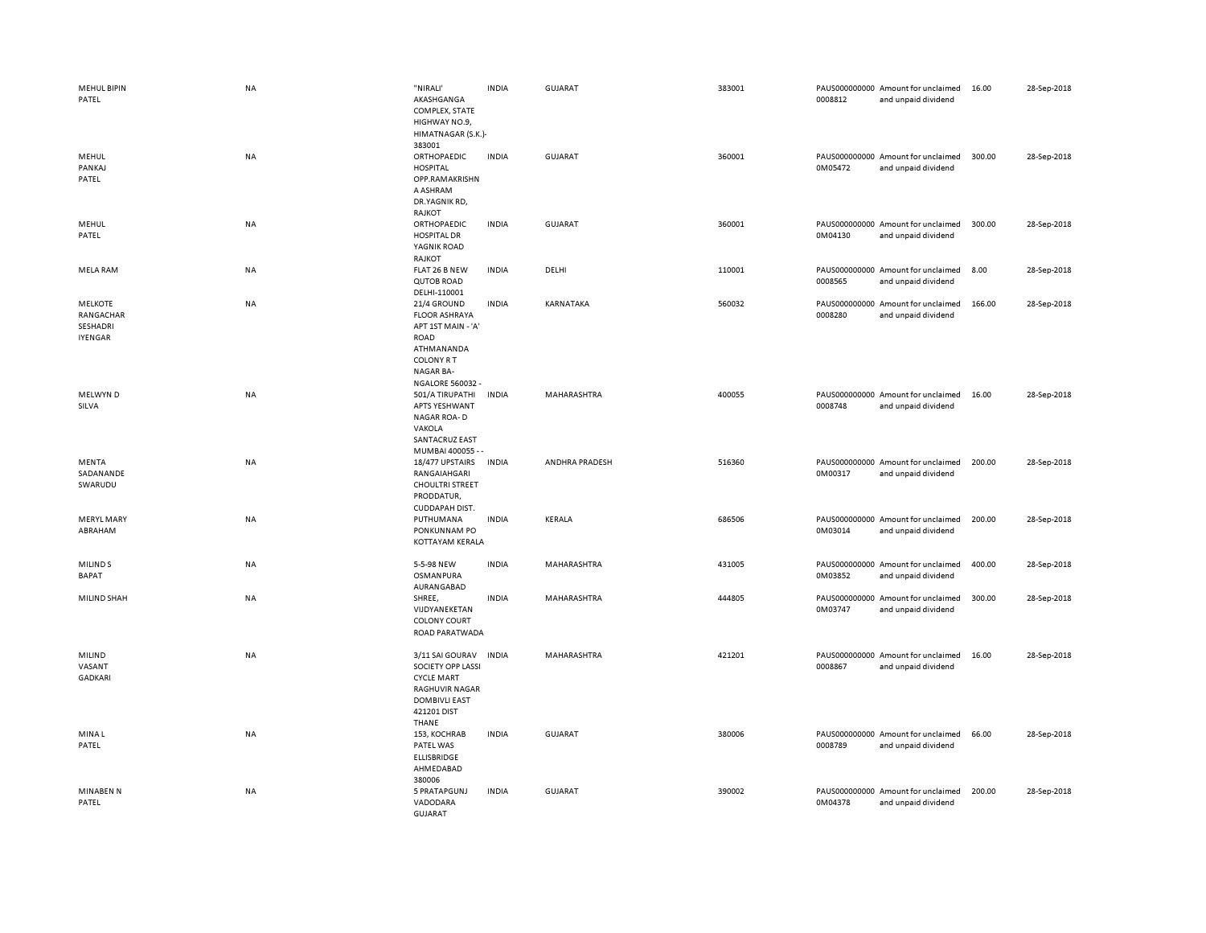| <b>MEHUL BIPIN</b><br>PATEL                        | NA        | "NIRALI"<br>AKASHGANGA<br>COMPLEX, STATE<br>HIGHWAY NO.9,<br>HIMATNAGAR (S.K.)-                                                             | <b>INDIA</b> | <b>GUJARAT</b> | 383001 | 0008812 | PAUS000000000 Amount for unclaimed<br>and unpaid dividend | 16.00  | 28-Sep-2018 |
|----------------------------------------------------|-----------|---------------------------------------------------------------------------------------------------------------------------------------------|--------------|----------------|--------|---------|-----------------------------------------------------------|--------|-------------|
| MEHUL<br>PANKAJ<br>PATEL                           | NA        | 383001<br>ORTHOPAEDIC<br><b>HOSPITAL</b><br>OPP.RAMAKRISHN<br>A ASHRAM<br>DR.YAGNIK RD,<br>RAJKOT                                           | <b>INDIA</b> | GUJARAT        | 360001 | 0M05472 | PAUS000000000 Amount for unclaimed<br>and unpaid dividend | 300.00 | 28-Sep-2018 |
| MEHUL<br>PATEL                                     | <b>NA</b> | ORTHOPAEDIC<br><b>HOSPITAL DR</b><br>YAGNIK ROAD<br>RAJKOT                                                                                  | <b>INDIA</b> | <b>GUJARAT</b> | 360001 | 0M04130 | PAUS000000000 Amount for unclaimed<br>and unpaid dividend | 300.00 | 28-Sep-2018 |
| MELA RAM                                           | NA        | FLAT 26 B NEW<br><b>QUTOB ROAD</b><br>DELHI-110001                                                                                          | <b>INDIA</b> | DELHI          | 110001 | 0008565 | PAUS000000000 Amount for unclaimed<br>and unpaid dividend | 8.00   | 28-Sep-2018 |
| <b>MELKOTE</b><br>RANGACHAR<br>SESHADRI<br>IYENGAR | NA        | 21/4 GROUND<br><b>FLOOR ASHRAYA</b><br>APT 1ST MAIN - 'A'<br><b>ROAD</b><br>ATHMANANDA<br><b>COLONY RT</b><br>NAGAR BA-<br>NGALORE 560032 - | <b>INDIA</b> | KARNATAKA      | 560032 | 0008280 | PAUS000000000 Amount for unclaimed<br>and unpaid dividend | 166.00 | 28-Sep-2018 |
| MELWYN D<br>SILVA                                  | NA        | 501/A TIRUPATHI<br><b>APTS YESHWANT</b><br>NAGAR ROA-D<br>VAKOLA<br>SANTACRUZ EAST<br>MUMBAI 400055 - -                                     | <b>INDIA</b> | MAHARASHTRA    | 400055 | 0008748 | PAUS000000000 Amount for unclaimed<br>and unpaid dividend | 16.00  | 28-Sep-2018 |
| MENTA<br>SADANANDE<br>SWARUDU                      | NA        | 18/477 UPSTAIRS<br>RANGAIAHGARI<br><b>CHOULTRI STREET</b><br>PRODDATUR,<br>CUDDAPAH DIST.                                                   | <b>INDIA</b> | ANDHRA PRADESH | 516360 | 0M00317 | PAUS000000000 Amount for unclaimed<br>and unpaid dividend | 200.00 | 28-Sep-2018 |
| <b>MERYL MARY</b><br>ABRAHAM                       | NA        | PUTHUMANA<br>PONKUNNAM PO<br>KOTTAYAM KERALA                                                                                                | <b>INDIA</b> | KERALA         | 686506 | 0M03014 | PAUS000000000 Amount for unclaimed<br>and unpaid dividend | 200.00 | 28-Sep-2018 |
| MILIND <sub>S</sub><br><b>BAPAT</b>                | NA        | 5-5-98 NEW<br>OSMANPURA<br>AURANGABAD                                                                                                       | <b>INDIA</b> | MAHARASHTRA    | 431005 | 0M03852 | PAUS000000000 Amount for unclaimed<br>and unpaid dividend | 400.00 | 28-Sep-2018 |
| MILIND SHAH                                        | NA        | SHREE,<br>VIJDYANEKETAN<br><b>COLONY COURT</b><br>ROAD PARATWADA                                                                            | <b>INDIA</b> | MAHARASHTRA    | 444805 | 0M03747 | PAUS000000000 Amount for unclaimed<br>and unpaid dividend | 300.00 | 28-Sep-2018 |
| MILIND<br>VASANT<br><b>GADKARI</b>                 | <b>NA</b> | 3/11 SAI GOURAV<br>SOCIETY OPP LASSI<br><b>CYCLE MART</b><br>RAGHUVIR NAGAR<br><b>DOMBIVLI EAST</b><br>421201 DIST<br>THANE                 | <b>INDIA</b> | MAHARASHTRA    | 421201 | 0008867 | PAUS000000000 Amount for unclaimed<br>and unpaid dividend | 16.00  | 28-Sep-2018 |
| MINA L<br>PATEL                                    | <b>NA</b> | 153, KOCHRAB<br>PATEL WAS<br><b>ELLISBRIDGE</b><br>AHMEDABAD<br>380006                                                                      | <b>INDIA</b> | <b>GUJARAT</b> | 380006 | 0008789 | PAUS000000000 Amount for unclaimed<br>and unpaid dividend | 66.00  | 28-Sep-2018 |
| <b>MINABEN N</b><br>PATEL                          | NA        | 5 PRATAPGUNJ<br>VADODARA<br><b>GUJARAT</b>                                                                                                  | <b>INDIA</b> | <b>GUJARAT</b> | 390002 | 0M04378 | PAUS000000000 Amount for unclaimed<br>and unpaid dividend | 200.00 | 28-Sep-2018 |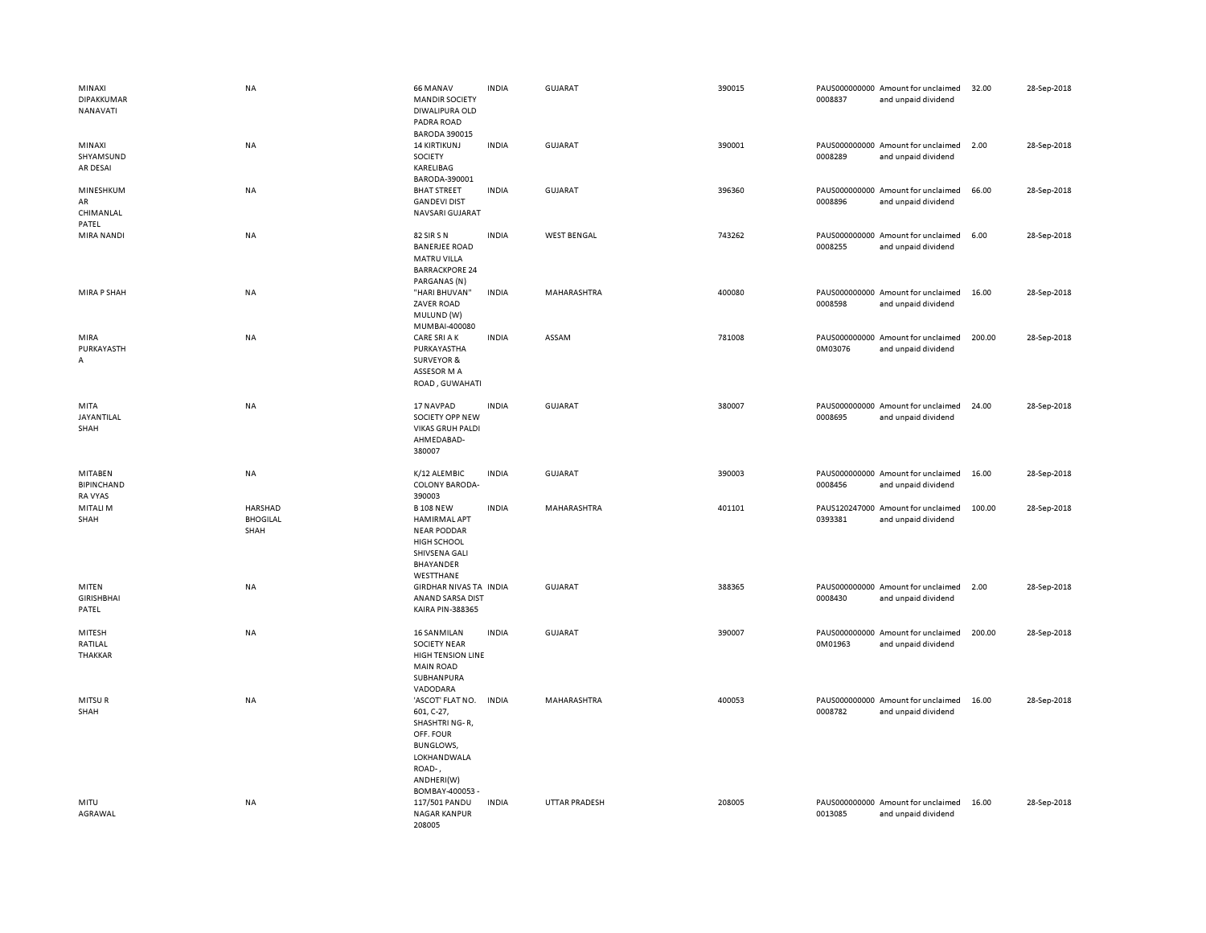| MINAXI<br><b>DIPAKKUMAR</b><br>NANAVATI        | <b>NA</b>                                 | 66 MANAV<br><b>MANDIR SOCIETY</b><br>DIWALIPURA OLD<br>PADRA ROAD<br><b>BARODA 390015</b>                                                   | <b>INDIA</b> | GUJARAT              | 390015 | 0008837 | PAUS000000000 Amount for unclaimed<br>and unpaid dividend | 32.00  | 28-Sep-2018 |
|------------------------------------------------|-------------------------------------------|---------------------------------------------------------------------------------------------------------------------------------------------|--------------|----------------------|--------|---------|-----------------------------------------------------------|--------|-------------|
| MINAXI<br>SHYAMSUND<br>AR DESAI                | NA                                        | <b>14 KIRTIKUNJ</b><br>SOCIETY<br>KARELIBAG<br>BARODA-390001                                                                                | <b>INDIA</b> | <b>GUJARAT</b>       | 390001 | 0008289 | PAUS000000000 Amount for unclaimed<br>and unpaid dividend | 2.00   | 28-Sep-2018 |
| MINESHKUM<br>AR<br>CHIMANLAL<br>PATEL          | NA                                        | <b>BHAT STREET</b><br><b>GANDEVI DIST</b><br>NAVSARI GUJARAT                                                                                | <b>INDIA</b> | <b>GUJARAT</b>       | 396360 | 0008896 | PAUS000000000 Amount for unclaimed<br>and unpaid dividend | 66.00  | 28-Sep-2018 |
| MIRA NANDI                                     | <b>NA</b>                                 | 82 SIR S N<br><b>BANERJEE ROAD</b><br><b>MATRU VILLA</b><br><b>BARRACKPORE 24</b><br>PARGANAS (N)                                           | <b>INDIA</b> | <b>WEST BENGAL</b>   | 743262 | 0008255 | PAUS000000000 Amount for unclaimed<br>and unpaid dividend | 6.00   | 28-Sep-2018 |
| MIRA P SHAH                                    | <b>NA</b>                                 | "HARI BHUVAN"<br>ZAVER ROAD<br>MULUND (W)<br>MUMBAI-400080                                                                                  | <b>INDIA</b> | MAHARASHTRA          | 400080 | 0008598 | PAUS000000000 Amount for unclaimed<br>and unpaid dividend | 16.00  | 28-Sep-2018 |
| MIRA<br>PURKAYASTH<br>Α                        | NA                                        | CARE SRI A K<br>PURKAYASTHA<br><b>SURVEYOR &amp;</b><br>ASSESOR M A<br>ROAD, GUWAHATI                                                       | <b>INDIA</b> | ASSAM                | 781008 | 0M03076 | PAUS000000000 Amount for unclaimed<br>and unpaid dividend | 200.00 | 28-Sep-2018 |
| MITA<br>JAYANTILAL<br>SHAH                     | NA                                        | 17 NAVPAD<br>SOCIETY OPP NEW<br><b>VIKAS GRUH PALDI</b><br>AHMEDABAD-<br>380007                                                             | <b>INDIA</b> | <b>GUJARAT</b>       | 380007 | 0008695 | PAUS000000000 Amount for unclaimed<br>and unpaid dividend | 24.00  | 28-Sep-2018 |
| MITABEN<br><b>BIPINCHAND</b><br><b>RA VYAS</b> | NA                                        | K/12 ALEMBIC<br><b>COLONY BARODA-</b><br>390003                                                                                             | <b>INDIA</b> | <b>GUJARAT</b>       | 390003 | 0008456 | PAUS000000000 Amount for unclaimed<br>and unpaid dividend | 16.00  | 28-Sep-2018 |
| MITALI M<br>SHAH                               | <b>HARSHAD</b><br><b>BHOGILAL</b><br>SHAH | <b>B 108 NEW</b><br><b>HAMIRMAL APT</b><br><b>NEAR PODDAR</b><br>HIGH SCHOOL<br>SHIVSENA GALI<br>BHAYANDER<br>WESTTHANE                     | <b>INDIA</b> | MAHARASHTRA          | 401101 | 0393381 | PAUS120247000 Amount for unclaimed<br>and unpaid dividend | 100.00 | 28-Sep-2018 |
| MITEN<br><b>GIRISHBHAI</b><br>PATEL            | <b>NA</b>                                 | GIRDHAR NIVAS TA INDIA<br>ANAND SARSA DIST<br><b>KAIRA PIN-388365</b>                                                                       |              | GUJARAT              | 388365 | 0008430 | PAUS000000000 Amount for unclaimed<br>and unpaid dividend | 2.00   | 28-Sep-2018 |
| MITESH<br>RATILAL<br>THAKKAR                   | NA                                        | <b>16 SANMILAN</b><br><b>SOCIETY NEAR</b><br>HIGH TENSION LINE<br><b>MAIN ROAD</b><br>SUBHANPURA<br>VADODARA                                | <b>INDIA</b> | <b>GUJARAT</b>       | 390007 | 0M01963 | PAUS000000000 Amount for unclaimed<br>and unpaid dividend | 200.00 | 28-Sep-2018 |
| MITSUR<br>SHAH                                 | NA                                        | 'ASCOT' FLAT NO.<br>601, C-27,<br>SHASHTRI NG-R,<br>OFF. FOUR<br><b>BUNGLOWS,</b><br>LOKHANDWALA<br>ROAD-,<br>ANDHERI(W)<br>BOMBAY-400053 - | <b>INDIA</b> | MAHARASHTRA          | 400053 | 0008782 | PAUS000000000 Amount for unclaimed<br>and unpaid dividend | 16.00  | 28-Sep-2018 |
| MITU<br>AGRAWAL                                | NA                                        | 117/501 PANDU<br><b>NAGAR KANPUR</b><br>208005                                                                                              | <b>INDIA</b> | <b>UTTAR PRADESH</b> | 208005 | 0013085 | PAUS000000000 Amount for unclaimed<br>and unpaid dividend | 16.00  | 28-Sep-2018 |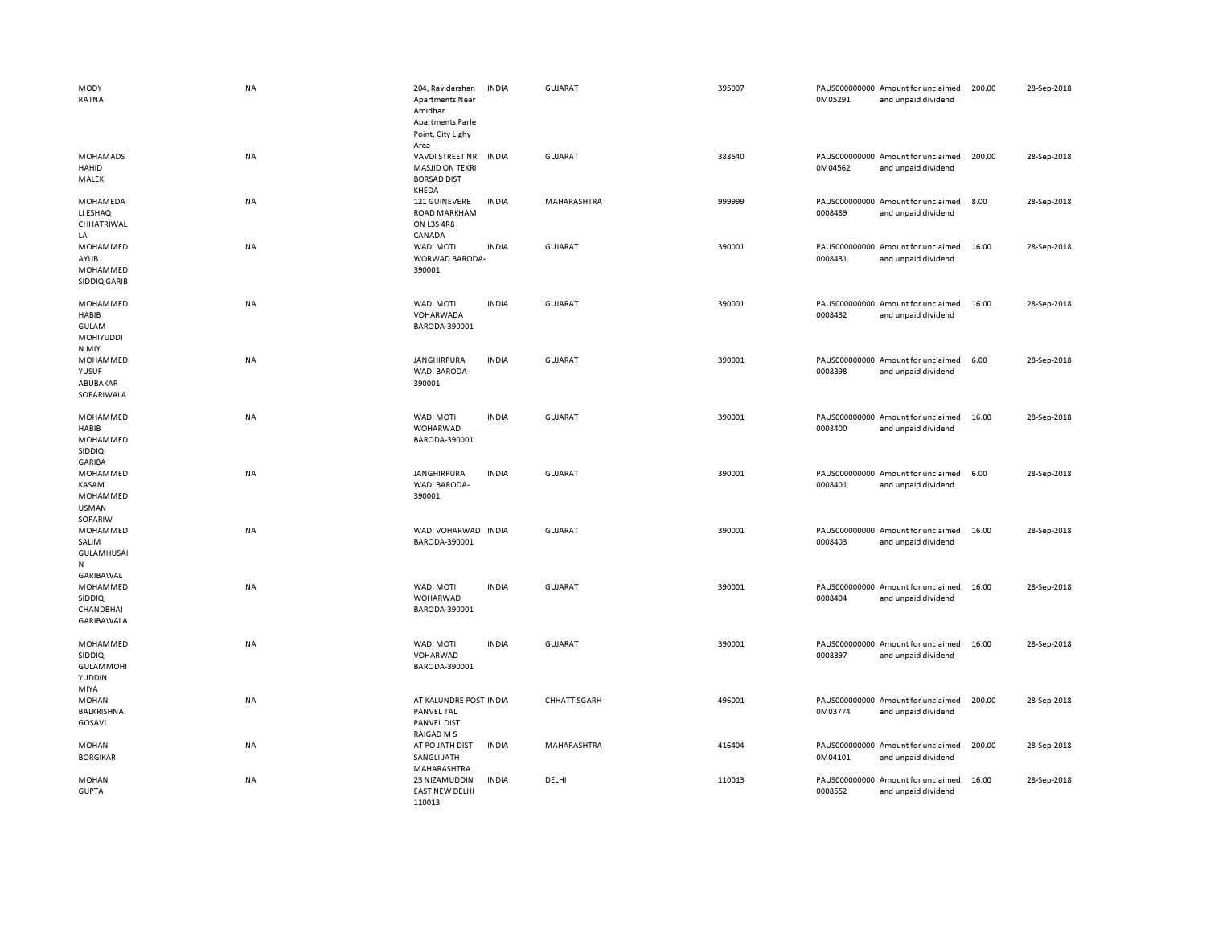| MODY<br>RATNA                                                      | <b>NA</b> | 204, Ravidarshan<br><b>Apartments Near</b><br>Amidhar<br><b>Apartments Parle</b><br>Point, City Lighy | <b>INDIA</b> | <b>GUJARAT</b> | 395007 | 0M05291                  | PAUS000000000 Amount for unclaimed<br>and unpaid dividend | 200.00 | 28-Sep-2018 |
|--------------------------------------------------------------------|-----------|-------------------------------------------------------------------------------------------------------|--------------|----------------|--------|--------------------------|-----------------------------------------------------------|--------|-------------|
| <b>MOHAMADS</b><br>HAHID<br>MALEK                                  | <b>NA</b> | Area<br><b>VAVDI STREET NR</b><br><b>MASJID ON TEKRI</b><br><b>BORSAD DIST</b>                        | <b>INDIA</b> | <b>GUJARAT</b> | 388540 | 0M04562                  | PAUS000000000 Amount for unclaimed<br>and unpaid dividend | 200.00 | 28-Sep-2018 |
| MOHAMEDA<br>LI ESHAQ<br>CHHATRIWAL                                 | <b>NA</b> | KHEDA<br>121 GUINEVERE<br><b>ROAD MARKHAM</b><br>ON L3S 4R8                                           | <b>INDIA</b> | MAHARASHTRA    | 999999 | 0008489                  | PAUS000000000 Amount for unclaimed<br>and unpaid dividend | 8.00   | 28-Sep-2018 |
| LA<br>MOHAMMED<br>AYUB<br>MOHAMMED<br>SIDDIQ GARIB                 | NA        | CANADA<br><b>WADI MOTI</b><br>WORWAD BARODA-<br>390001                                                | <b>INDIA</b> | GUJARAT        | 390001 | 0008431                  | PAUS000000000 Amount for unclaimed<br>and unpaid dividend | 16.00  | 28-Sep-2018 |
| MOHAMMED<br><b>HABIB</b><br><b>GULAM</b><br>MOHIYUDDI<br>N MIY     | NA        | WADI MOTI<br>VOHARWADA<br>BARODA-390001                                                               | <b>INDIA</b> | GUJARAT        | 390001 | 0008432                  | PAUS000000000 Amount for unclaimed<br>and unpaid dividend | 16.00  | 28-Sep-2018 |
| MOHAMMED<br>YUSUF<br>ABUBAKAR<br>SOPARIWALA                        | NA        | <b>JANGHIRPURA</b><br><b>WADI BARODA-</b><br>390001                                                   | <b>INDIA</b> | <b>GUJARAT</b> | 390001 | 0008398                  | PAUS000000000 Amount for unclaimed<br>and unpaid dividend | 6.00   | 28-Sep-2018 |
| MOHAMMED<br>HABIB<br>MOHAMMED<br>SIDDIQ                            | <b>NA</b> | <b>WADI MOTI</b><br>WOHARWAD<br>BARODA-390001                                                         | <b>INDIA</b> | <b>GUJARAT</b> | 390001 | 0008400                  | PAUS000000000 Amount for unclaimed<br>and unpaid dividend | 16.00  | 28-Sep-2018 |
| GARIBA<br>MOHAMMED<br>KASAM<br>MOHAMMED<br><b>USMAN</b><br>SOPARIW | <b>NA</b> | JANGHIRPURA<br>WADI BARODA-<br>390001                                                                 | <b>INDIA</b> | GUJARAT        | 390001 | 0008401                  | PAUS000000000 Amount for unclaimed<br>and unpaid dividend | 6.00   | 28-Sep-2018 |
| MOHAMMED<br>SALIM<br><b>GULAMHUSAI</b><br>${\sf N}$                | <b>NA</b> | WADI VOHARWAD INDIA<br>BARODA-390001                                                                  |              | <b>GUJARAT</b> | 390001 | 0008403                  | PAUS000000000 Amount for unclaimed<br>and unpaid dividend | 16.00  | 28-Sep-2018 |
| GARIBAWAL<br>MOHAMMED<br><b>SIDDIQ</b><br>CHANDBHAI<br>GARIBAWALA  | <b>NA</b> | <b>WADI MOTI</b><br>WOHARWAD<br>BARODA-390001                                                         | <b>INDIA</b> | <b>GUJARAT</b> | 390001 | 0008404                  | PAUS000000000 Amount for unclaimed<br>and unpaid dividend | 16.00  | 28-Sep-2018 |
| MOHAMMED<br>SIDDIQ<br><b>GULAMMOHI</b><br>YUDDIN<br>MIYA           | <b>NA</b> | <b>WADI MOTI</b><br>VOHARWAD<br>BARODA-390001                                                         | <b>INDIA</b> | <b>GUJARAT</b> | 390001 | 0008397                  | PAUS000000000 Amount for unclaimed<br>and unpaid dividend | 16.00  | 28-Sep-2018 |
| <b>MOHAN</b><br><b>BALKRISHNA</b><br>GOSAVI                        | NA        | AT KALUNDRE POST INDIA<br>PANVEL TAL<br>PANVEL DIST<br>RAIGAD M S                                     |              | CHHATTISGARH   | 496001 | 0M03774                  | PAUS000000000 Amount for unclaimed<br>and unpaid dividend | 200.00 | 28-Sep-2018 |
| MOHAN<br><b>BORGIKAR</b>                                           | <b>NA</b> | AT PO JATH DIST<br>SANGLI JATH<br>MAHARASHTRA                                                         | <b>INDIA</b> | MAHARASHTRA    | 416404 | 0M04101                  | PAUS000000000 Amount for unclaimed<br>and unpaid dividend | 200.00 | 28-Sep-2018 |
| <b>MOHAN</b><br><b>GUPTA</b>                                       | NA        | 23 NIZAMUDDIN<br><b>EAST NEW DELHI</b><br>110013                                                      | <b>INDIA</b> | DELHI          | 110013 | PAUS000000000<br>0008552 | Amount for unclaimed<br>and unpaid dividend               | 16.00  | 28-Sep-2018 |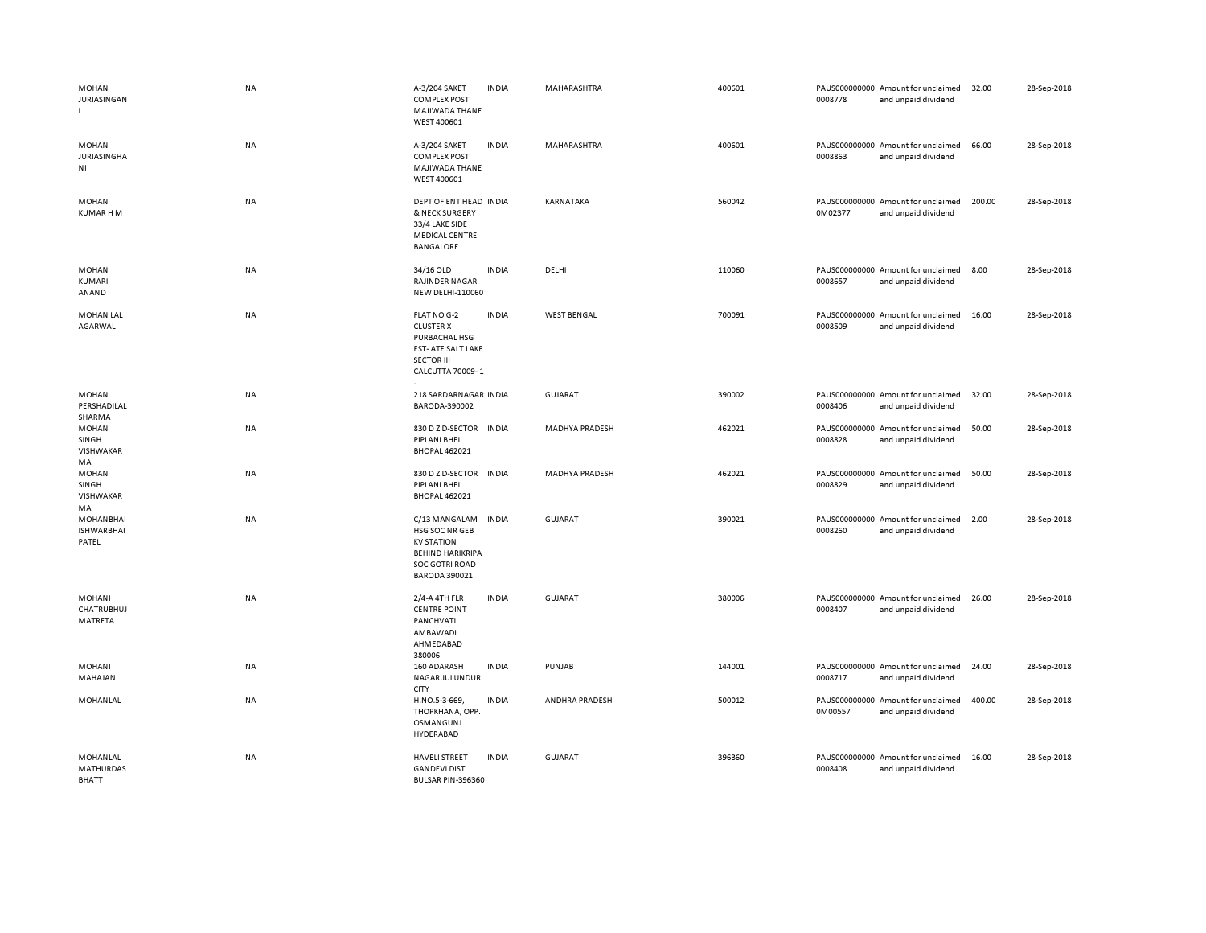| <b>MOHAN</b><br>JURIASINGAN                          | NA        | A-3/204 SAKET<br><b>COMPLEX POST</b><br>MAJIWADA THANE<br>WEST 400601                                                            | <b>INDIA</b> | MAHARASHTRA           | 400601 | 0008778 | PAUS000000000 Amount for unclaimed<br>and unpaid dividend | 32.00  | 28-Sep-2018 |
|------------------------------------------------------|-----------|----------------------------------------------------------------------------------------------------------------------------------|--------------|-----------------------|--------|---------|-----------------------------------------------------------|--------|-------------|
| <b>MOHAN</b><br><b>JURIASINGHA</b><br>N <sub>1</sub> | NA        | A-3/204 SAKET<br><b>COMPLEX POST</b><br>MAJIWADA THANE<br>WEST 400601                                                            | <b>INDIA</b> | MAHARASHTRA           | 400601 | 0008863 | PAUS000000000 Amount for unclaimed<br>and unpaid dividend | 66.00  | 28-Sep-2018 |
| MOHAN<br><b>KUMAR HM</b>                             | <b>NA</b> | DEPT OF ENT HEAD INDIA<br>& NECK SURGERY<br>33/4 LAKE SIDE<br>MEDICAL CENTRE<br><b>BANGALORE</b>                                 |              | KARNATAKA             | 560042 | 0M02377 | PAUS000000000 Amount for unclaimed<br>and unpaid dividend | 200.00 | 28-Sep-2018 |
| MOHAN<br>KUMARI<br>ANAND                             | <b>NA</b> | 34/16 OLD<br>RAJINDER NAGAR<br><b>NEW DELHI-110060</b>                                                                           | <b>INDIA</b> | DELHI                 | 110060 | 0008657 | PAUS000000000 Amount for unclaimed<br>and unpaid dividend | 8.00   | 28-Sep-2018 |
| <b>MOHAN LAL</b><br>AGARWAL                          | NA        | FLAT NO G-2<br><b>CLUSTER X</b><br>PURBACHAL HSG<br>EST- ATE SALT LAKE<br><b>SECTOR III</b><br>CALCUTTA 70009-1                  | <b>INDIA</b> | <b>WEST BENGAL</b>    | 700091 | 0008509 | PAUS000000000 Amount for unclaimed<br>and unpaid dividend | 16.00  | 28-Sep-2018 |
| <b>MOHAN</b><br>PERSHADILAL<br>SHARMA                | NA        | 218 SARDARNAGAR INDIA<br>BARODA-390002                                                                                           |              | <b>GUJARAT</b>        | 390002 | 0008406 | PAUS000000000 Amount for unclaimed<br>and unpaid dividend | 32.00  | 28-Sep-2018 |
| <b>MOHAN</b><br>SINGH<br>VISHWAKAR<br>MA             | NA        | 830 D Z D-SECTOR<br>PIPLANI BHEL<br><b>BHOPAL 462021</b>                                                                         | <b>INDIA</b> | <b>MADHYA PRADESH</b> | 462021 | 0008828 | PAUS000000000 Amount for unclaimed<br>and unpaid dividend | 50.00  | 28-Sep-2018 |
| <b>MOHAN</b><br>SINGH<br>VISHWAKAR<br>MA             | NA        | 830 D Z D-SECTOR<br>PIPLANI BHEL<br><b>BHOPAL 462021</b>                                                                         | <b>INDIA</b> | <b>MADHYA PRADESH</b> | 462021 | 0008829 | PAUS000000000 Amount for unclaimed<br>and unpaid dividend | 50.00  | 28-Sep-2018 |
| <b>MOHANBHAI</b><br><b>ISHWARBHAI</b><br>PATEL       | <b>NA</b> | C/13 MANGALAM<br>HSG SOC NR GEB<br><b>KV STATION</b><br><b>BEHIND HARIKRIPA</b><br><b>SOC GOTRI ROAD</b><br><b>BARODA 390021</b> | <b>INDIA</b> | GUJARAT               | 390021 | 0008260 | PAUS000000000 Amount for unclaimed<br>and unpaid dividend | 2.00   | 28-Sep-2018 |
| MOHANI<br>CHATRUBHUJ<br>MATRETA                      | <b>NA</b> | 2/4-A 4TH FLR<br><b>CENTRE POINT</b><br>PANCHVATI<br>AMBAWADI<br>AHMEDABAD<br>380006                                             | <b>INDIA</b> | <b>GUJARAT</b>        | 380006 | 0008407 | PAUS000000000 Amount for unclaimed<br>and unpaid dividend | 26.00  | 28-Sep-2018 |
| <b>MOHANI</b><br>MAHAJAN                             | NA        | 160 ADARASH<br>NAGAR JULUNDUR<br>CITY                                                                                            | <b>INDIA</b> | PUNJAB                | 144001 | 0008717 | PAUS000000000 Amount for unclaimed<br>and unpaid dividend | 24.00  | 28-Sep-2018 |
| MOHANLAL                                             | <b>NA</b> | H.NO.5-3-669,<br>THOPKHANA, OPP.<br>OSMANGUNJ<br>HYDERABAD                                                                       | <b>INDIA</b> | ANDHRA PRADESH        | 500012 | 0M00557 | PAUS000000000 Amount for unclaimed<br>and unpaid dividend | 400.00 | 28-Sep-2018 |
| MOHANLAL<br><b>MATHURDAS</b><br><b>BHATT</b>         | NA        | <b>HAVELI STREET</b><br><b>GANDEVI DIST</b><br><b>BULSAR PIN-396360</b>                                                          | <b>INDIA</b> | <b>GUJARAT</b>        | 396360 | 0008408 | PAUS000000000 Amount for unclaimed<br>and unpaid dividend | 16.00  | 28-Sep-2018 |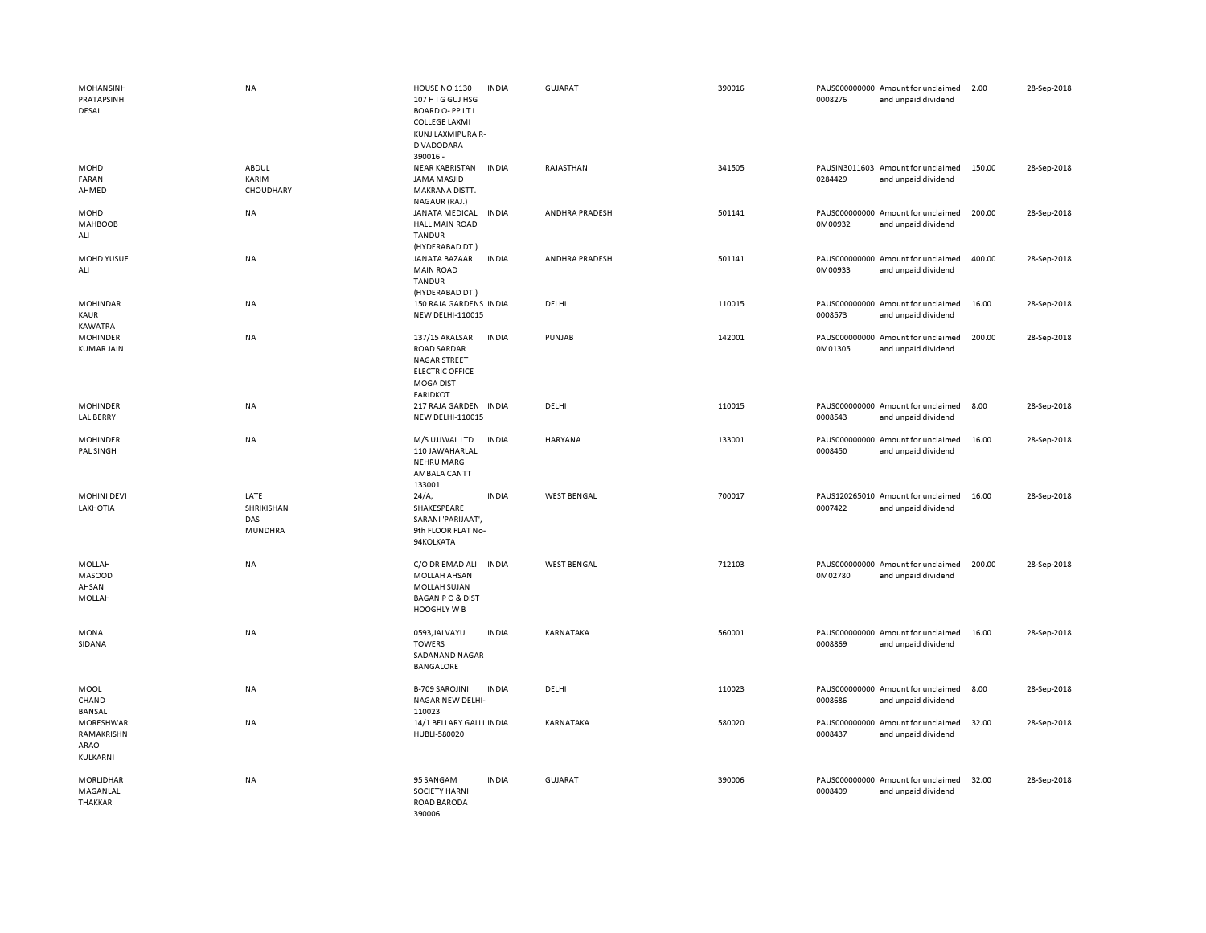| MOHANSINH<br>PRATAPSINH<br>DESAI            | <b>NA</b>                                   | HOUSE NO 1130<br>107 H I G GUJ HSG<br>BOARD O-PPITI<br><b>COLLEGE LAXMI</b><br>KUNJ LAXMIPURA R-<br>D VADODARA        | <b>INDIA</b> | GUJARAT            | 390016 | 0008276 | PAUS000000000 Amount for unclaimed<br>and unpaid dividend | 2.00   | 28-Sep-2018 |
|---------------------------------------------|---------------------------------------------|-----------------------------------------------------------------------------------------------------------------------|--------------|--------------------|--------|---------|-----------------------------------------------------------|--------|-------------|
| MOHD<br>FARAN<br>AHMED                      | ABDUL<br>KARIM<br><b>CHOUDHARY</b>          | 390016 -<br><b>NEAR KABRISTAN</b><br>JAMA MASJID<br>MAKRANA DISTT.<br>NAGAUR (RAJ.)                                   | <b>INDIA</b> | RAJASTHAN          | 341505 | 0284429 | PAUSIN3011603 Amount for unclaimed<br>and unpaid dividend | 150.00 | 28-Sep-2018 |
| MOHD<br>MAHBOOB<br>ALI                      | NA                                          | JANATA MEDICAL<br><b>HALL MAIN ROAD</b><br><b>TANDUR</b><br>(HYDERABAD DT.)                                           | <b>INDIA</b> | ANDHRA PRADESH     | 501141 | 0M00932 | PAUS000000000 Amount for unclaimed<br>and unpaid dividend | 200.00 | 28-Sep-2018 |
| MOHD YUSUF<br>ALI                           | NA                                          | JANATA BAZAAR<br><b>MAIN ROAD</b><br><b>TANDUR</b><br>(HYDERABAD DT.)                                                 | <b>INDIA</b> | ANDHRA PRADESH     | 501141 | 0M00933 | PAUS000000000 Amount for unclaimed<br>and unpaid dividend | 400.00 | 28-Sep-2018 |
| <b>MOHINDAR</b><br>KAUR<br><b>KAWATRA</b>   | <b>NA</b>                                   | 150 RAJA GARDENS INDIA<br>NEW DELHI-110015                                                                            |              | DELHI              | 110015 | 0008573 | PAUS000000000 Amount for unclaimed<br>and unpaid dividend | 16.00  | 28-Sep-2018 |
| <b>MOHINDER</b><br><b>KUMAR JAIN</b>        | NA                                          | 137/15 AKALSAR<br><b>ROAD SARDAR</b><br><b>NAGAR STREET</b><br><b>ELECTRIC OFFICE</b><br>MOGA DIST<br><b>FARIDKOT</b> | <b>INDIA</b> | PUNJAB             | 142001 | 0M01305 | PAUS000000000 Amount for unclaimed<br>and unpaid dividend | 200.00 | 28-Sep-2018 |
| <b>MOHINDER</b><br><b>LAL BERRY</b>         | NA                                          | 217 RAJA GARDEN INDIA<br><b>NEW DELHI-110015</b>                                                                      |              | DELHI              | 110015 | 0008543 | PAUS000000000 Amount for unclaimed<br>and unpaid dividend | 8.00   | 28-Sep-2018 |
| <b>MOHINDER</b><br>PAL SINGH                | NA                                          | M/S UJJWAL LTD<br>110 JAWAHARLAL<br>NEHRU MARG<br>AMBALA CANTT<br>133001                                              | <b>INDIA</b> | HARYANA            | 133001 | 0008450 | PAUS000000000 Amount for unclaimed<br>and unpaid dividend | 16.00  | 28-Sep-2018 |
| <b>MOHINI DEVI</b><br>LAKHOTIA              | LATE<br>SHRIKISHAN<br>DAS<br><b>MUNDHRA</b> | 24/A<br>SHAKESPEARE<br>SARANI 'PARIJAAT',<br>9th FLOOR FLAT No-<br>94KOLKATA                                          | <b>INDIA</b> | <b>WEST BENGAL</b> | 700017 | 0007422 | PAUS120265010 Amount for unclaimed<br>and unpaid dividend | 16.00  | 28-Sep-2018 |
| MOLLAH<br>MASOOD<br>AHSAN<br><b>MOLLAH</b>  | NA                                          | C/O DR EMAD ALI<br><b>MOLLAH AHSAN</b><br><b>MOLLAH SUJAN</b><br><b>BAGAN PO &amp; DIST</b><br>HOOGHLY W B            | <b>INDIA</b> | <b>WEST BENGAL</b> | 712103 | 0M02780 | PAUS000000000 Amount for unclaimed<br>and unpaid dividend | 200.00 | 28-Sep-2018 |
| <b>MONA</b><br>SIDANA                       | NA                                          | 0593, JALVAYU<br><b>TOWERS</b><br>SADANAND NAGAR<br><b>BANGALORE</b>                                                  | <b>INDIA</b> | KARNATAKA          | 560001 | 0008869 | PAUS000000000 Amount for unclaimed<br>and unpaid dividend | 16.00  | 28-Sep-2018 |
| MOOL<br>CHAND<br><b>BANSAL</b>              | NA                                          | <b>B-709 SAROJINI</b><br>NAGAR NEW DELHI-<br>110023                                                                   | <b>INDIA</b> | DELHI              | 110023 | 0008686 | PAUS000000000 Amount for unclaimed<br>and unpaid dividend | 8.00   | 28-Sep-2018 |
| MORESHWAR<br>RAMAKRISHN<br>ARAO<br>KULKARNI | NA                                          | 14/1 BELLARY GALLI INDIA<br>HUBLI-580020                                                                              |              | KARNATAKA          | 580020 | 0008437 | PAUS000000000 Amount for unclaimed<br>and unpaid dividend | 32.00  | 28-Sep-2018 |
| MORLIDHAR<br>MAGANLAL<br>THAKKAR            | <b>NA</b>                                   | 95 SANGAM<br><b>SOCIETY HARNI</b><br>ROAD BARODA<br>390006                                                            | <b>INDIA</b> | <b>GUJARAT</b>     | 390006 | 0008409 | PAUS000000000 Amount for unclaimed<br>and unpaid dividend | 32.00  | 28-Sep-2018 |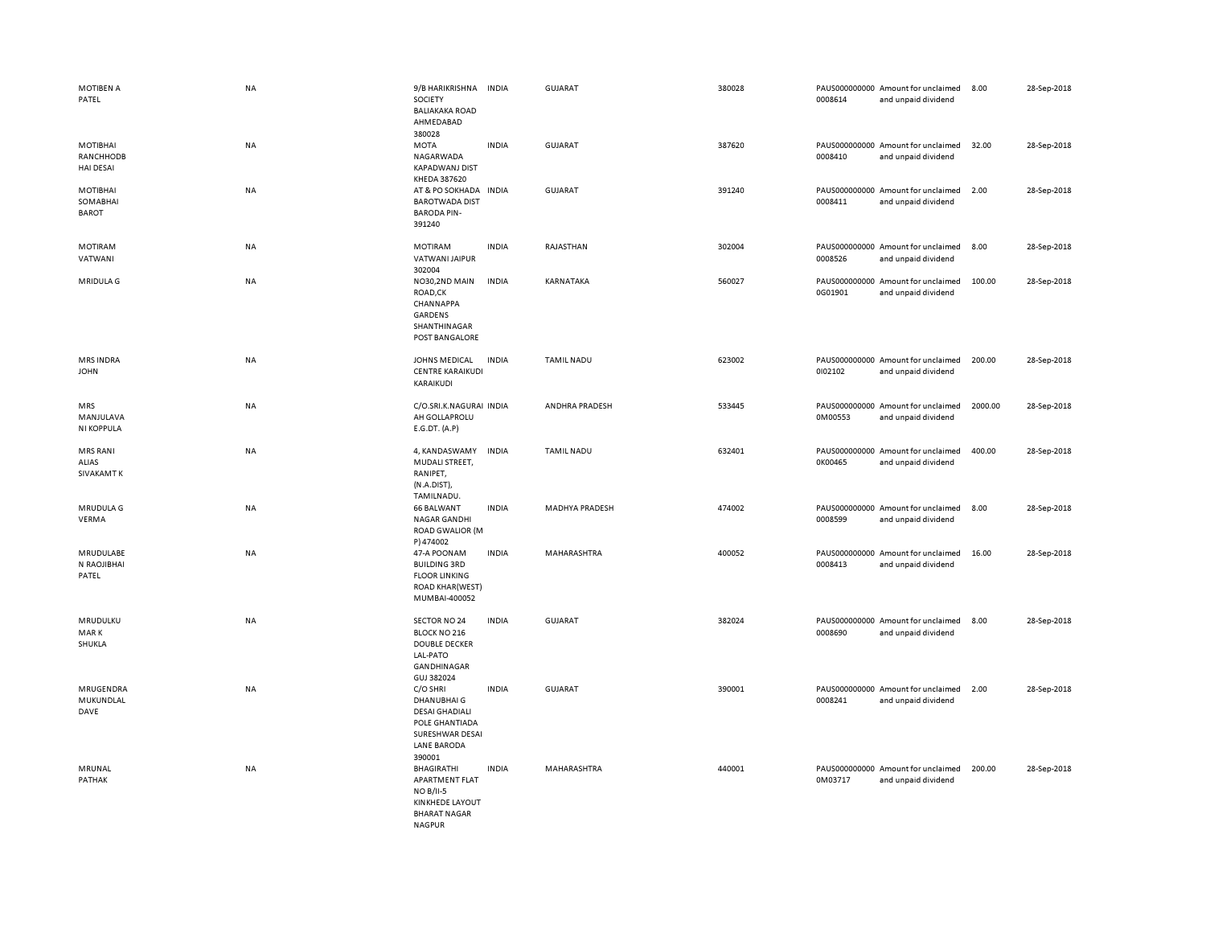| MOTIBEN A<br>PATEL                        | NA        | 9/B HARIKRISHNA<br>SOCIETY<br><b>BALIAKAKA ROAD</b><br>AHMEDABAD                                                   | <b>INDIA</b> | <b>GUJARAT</b>    | 380028 | 0008614 | PAUS000000000 Amount for unclaimed<br>and unpaid dividend | 8.00    | 28-Sep-2018 |
|-------------------------------------------|-----------|--------------------------------------------------------------------------------------------------------------------|--------------|-------------------|--------|---------|-----------------------------------------------------------|---------|-------------|
| MOTIBHAI<br>RANCHHODB<br><b>HAI DESAI</b> | NA        | 380028<br><b>MOTA</b><br>NAGARWADA<br><b>KAPADWANJ DIST</b><br>KHEDA 387620                                        | <b>INDIA</b> | GUJARAT           | 387620 | 0008410 | PAUS000000000 Amount for unclaimed<br>and unpaid dividend | 32.00   | 28-Sep-2018 |
| MOTIBHAI<br>SOMABHAI<br><b>BAROT</b>      | NA        | AT & PO SOKHADA IN DIA<br><b>BAROTWADA DIST</b><br><b>BARODA PIN-</b><br>391240                                    |              | <b>GUJARAT</b>    | 391240 | 0008411 | PAUS000000000 Amount for unclaimed<br>and unpaid dividend | 2.00    | 28-Sep-2018 |
| <b>MOTIRAM</b><br>VATWANI                 | <b>NA</b> | <b>MOTIRAM</b><br>VATWANI JAIPUR<br>302004                                                                         | <b>INDIA</b> | RAJASTHAN         | 302004 | 0008526 | PAUS000000000 Amount for unclaimed<br>and unpaid dividend | 8.00    | 28-Sep-2018 |
| MRIDULA G                                 | NA        | NO30,2ND MAIN<br>ROAD,CK<br>CHANNAPPA<br>GARDENS<br>SHANTHINAGAR<br>POST BANGALORE                                 | <b>INDIA</b> | KARNATAKA         | 560027 | 0G01901 | PAUS000000000 Amount for unclaimed<br>and unpaid dividend | 100.00  | 28-Sep-2018 |
| <b>MRS INDRA</b><br><b>JOHN</b>           | NA        | JOHNS MEDICAL<br><b>CENTRE KARAIKUDI</b><br>KARAIKUDI                                                              | <b>INDIA</b> | <b>TAMIL NADU</b> | 623002 | 0102102 | PAUS000000000 Amount for unclaimed<br>and unpaid dividend | 200.00  | 28-Sep-2018 |
| MRS<br>MANJULAVA<br><b>NI KOPPULA</b>     | NA        | C/O.SRI.K.NAGURAI INDIA<br>AH GOLLAPROLU<br>E.G.DT. (A.P)                                                          |              | ANDHRA PRADESH    | 533445 | 0M00553 | PAUS000000000 Amount for unclaimed<br>and unpaid dividend | 2000.00 | 28-Sep-2018 |
| <b>MRS RANI</b><br>ALIAS<br>SIVAKAMT K    | NA        | 4, KANDASWAMY<br>MUDALI STREET,<br>RANIPET,<br>(N.A.DIST)<br>TAMILNADU.                                            | <b>INDIA</b> | <b>TAMIL NADU</b> | 632401 | 0K00465 | PAUS000000000 Amount for unclaimed<br>and unpaid dividend | 400.00  | 28-Sep-2018 |
| MRUDULA G<br>VERMA                        | NA        | <b>66 BALWANT</b><br><b>NAGAR GANDHI</b><br>ROAD GWALIOR (M<br>P) 474002                                           | <b>INDIA</b> | MADHYA PRADESH    | 474002 | 0008599 | PAUS000000000 Amount for unclaimed<br>and unpaid dividend | 8.00    | 28-Sep-2018 |
| MRUDULABE<br>N RAOJIBHAI<br>PATEL         | NA        | 47-A POONAM<br><b>BUILDING 3RD</b><br><b>FLOOR LINKING</b><br><b>ROAD KHAR(WEST)</b><br>MUMBAI-400052              | <b>INDIA</b> | MAHARASHTRA       | 400052 | 0008413 | PAUS000000000 Amount for unclaimed<br>and unpaid dividend | 16.00   | 28-Sep-2018 |
| MRUDULKU<br>MAR K<br>SHUKLA               | NA        | SECTOR NO 24<br>BLOCK NO 216<br><b>DOUBLE DECKER</b><br>LAL-PATO<br>GANDHINAGAR<br>GUJ 382024                      | <b>INDIA</b> | <b>GUJARAT</b>    | 382024 | 0008690 | PAUS000000000 Amount for unclaimed<br>and unpaid dividend | 8.00    | 28-Sep-2018 |
| MRUGENDRA<br>MUKUNDLAL<br>DAVE            | NA        | C/O SHRI<br>DHANUBHAI G<br><b>DESAI GHADIALI</b><br>POLE GHANTIADA<br>SURESHWAR DESAI<br>LANE BARODA<br>390001     | <b>INDIA</b> | <b>GUJARAT</b>    | 390001 | 0008241 | PAUS000000000 Amount for unclaimed<br>and unpaid dividend | 2.00    | 28-Sep-2018 |
| MRUNAL<br>PATHAK                          | NA        | <b>BHAGIRATHI</b><br>APARTMENT FLAT<br><b>NO B/II-5</b><br>KINKHEDE LAYOUT<br><b>BHARAT NAGAR</b><br><b>NAGPUR</b> | <b>INDIA</b> | MAHARASHTRA       | 440001 | 0M03717 | PAUS000000000 Amount for unclaimed<br>and unpaid dividend | 200.00  | 28-Sep-2018 |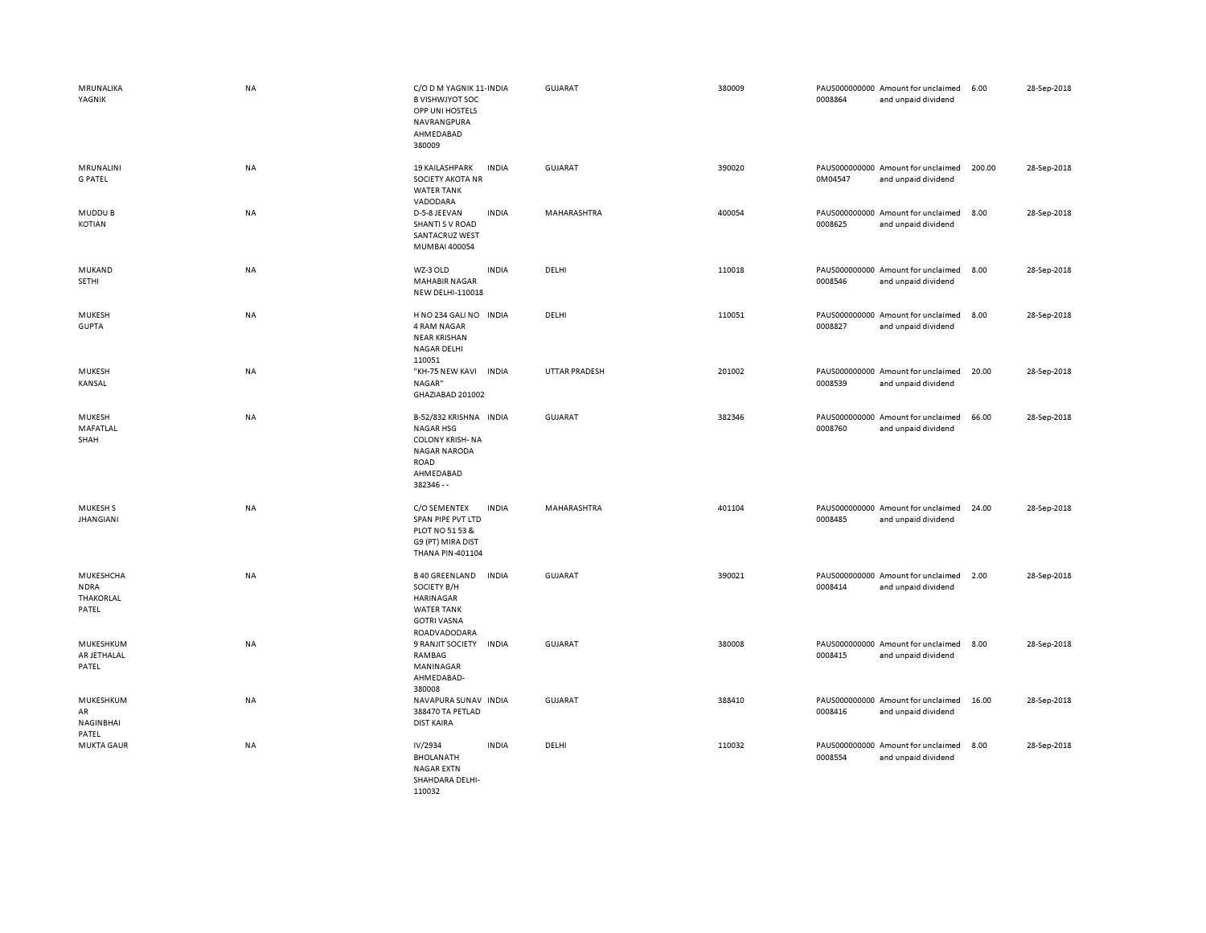| MRUNALIKA<br>YAGNIK                            | <b>NA</b> | C/O D M YAGNIK 11- INDIA<br><b>B VISHWJYOT SOC</b><br>OPP UNI HOSTELS<br>NAVRANGPURA<br>AHMEDABAD<br>380009                   | GUJARAT        | 380009 | PAUS000000000 Amount for unclaimed<br>0008864<br>and unpaid dividend | 6.00   | 28-Sep-2018 |
|------------------------------------------------|-----------|-------------------------------------------------------------------------------------------------------------------------------|----------------|--------|----------------------------------------------------------------------|--------|-------------|
| MRUNALINI<br><b>G PATEL</b>                    | <b>NA</b> | <b>19 KAILASHPARK</b><br><b>INDIA</b><br>SOCIETY AKOTA NR<br><b>WATER TANK</b><br>VADODARA                                    | GUJARAT        | 390020 | PAUS000000000 Amount for unclaimed<br>0M04547<br>and unpaid dividend | 200.00 | 28-Sep-2018 |
| MUDDU B<br>KOTIAN                              | <b>NA</b> | D-5-8 JEEVAN<br><b>INDIA</b><br>SHANTI S V ROAD<br>SANTACRUZ WEST<br>MUMBAI 400054                                            | MAHARASHTRA    | 400054 | PAUS000000000 Amount for unclaimed<br>0008625<br>and unpaid dividend | 8.00   | 28-Sep-2018 |
| MUKAND<br>SETHI                                | NA        | WZ-3 OLD<br><b>INDIA</b><br><b>MAHABIR NAGAR</b><br><b>NEW DELHI-110018</b>                                                   | DELHI          | 110018 | PAUS000000000 Amount for unclaimed<br>0008546<br>and unpaid dividend | 8.00   | 28-Sep-2018 |
| MUKESH<br><b>GUPTA</b>                         | NA        | H NO 234 GALI NO INDIA<br><b>4 RAM NAGAR</b><br><b>NEAR KRISHAN</b><br><b>NAGAR DELHI</b><br>110051                           | DELHI          | 110051 | PAUS000000000 Amount for unclaimed<br>0008827<br>and unpaid dividend | 8.00   | 28-Sep-2018 |
| MUKESH<br>KANSAL                               | NA        | "KH-75 NEW KAVI INDIA<br>NAGAR"<br>GHAZIABAD 201002                                                                           | UTTAR PRADESH  | 201002 | PAUS000000000 Amount for unclaimed<br>0008539<br>and unpaid dividend | 20.00  | 28-Sep-2018 |
| MUKESH<br>MAFATLAL<br>SHAH                     | <b>NA</b> | B-52/832 KRISHNA INDIA<br><b>NAGAR HSG</b><br><b>COLONY KRISH-NA</b><br><b>NAGAR NARODA</b><br>ROAD<br>AHMEDABAD<br>382346 -- | <b>GUJARAT</b> | 382346 | PAUS000000000 Amount for unclaimed<br>0008760<br>and unpaid dividend | 66.00  | 28-Sep-2018 |
| MUKESH <sub>S</sub><br><b>JHANGIANI</b>        | <b>NA</b> | C/O SEMENTEX<br><b>INDIA</b><br>SPAN PIPE PVT LTD<br>PLOT NO 51 53 &<br>G9 (PT) MIRA DIST<br>THANA PIN-401104                 | MAHARASHTRA    | 401104 | PAUS000000000 Amount for unclaimed<br>0008485<br>and unpaid dividend | 24.00  | 28-Sep-2018 |
| MUKESHCHA<br><b>NDRA</b><br>THAKORLAL<br>PATEL | NA        | <b>B40 GREENLAND</b><br><b>INDIA</b><br>SOCIETY B/H<br>HARINAGAR<br><b>WATER TANK</b><br><b>GOTRI VASNA</b><br>ROADVADODARA   | <b>GUJARAT</b> | 390021 | PAUS000000000 Amount for unclaimed<br>0008414<br>and unpaid dividend | 2.00   | 28-Sep-2018 |
| MUKESHKUM<br>AR JETHALAL<br>PATEL              | <b>NA</b> | 9 RANJIT SOCIETY<br><b>INDIA</b><br>RAMBAG<br>MANINAGAR<br>AHMEDABAD-<br>380008                                               | <b>GUJARAT</b> | 380008 | PAUS000000000 Amount for unclaimed<br>0008415<br>and unpaid dividend | 8.00   | 28-Sep-2018 |
| MUKESHKUM<br>AR<br><b>NAGINBHAI</b><br>PATEL   | NA        | NAVAPURA SUNAV INDIA<br>388470 TA PETLAD<br><b>DIST KAIRA</b>                                                                 | GUJARAT        | 388410 | PAUS000000000 Amount for unclaimed<br>0008416<br>and unpaid dividend | 16.00  | 28-Sep-2018 |
| <b>MUKTA GAUR</b>                              | <b>NA</b> | IV/2934<br><b>INDIA</b><br><b>BHOLANATH</b><br><b>NAGAR EXTN</b><br>SHAHDARA DELHI-<br>110032                                 | DELHI          | 110032 | PAUS000000000 Amount for unclaimed<br>0008554<br>and unpaid dividend | 8.00   | 28-Sep-2018 |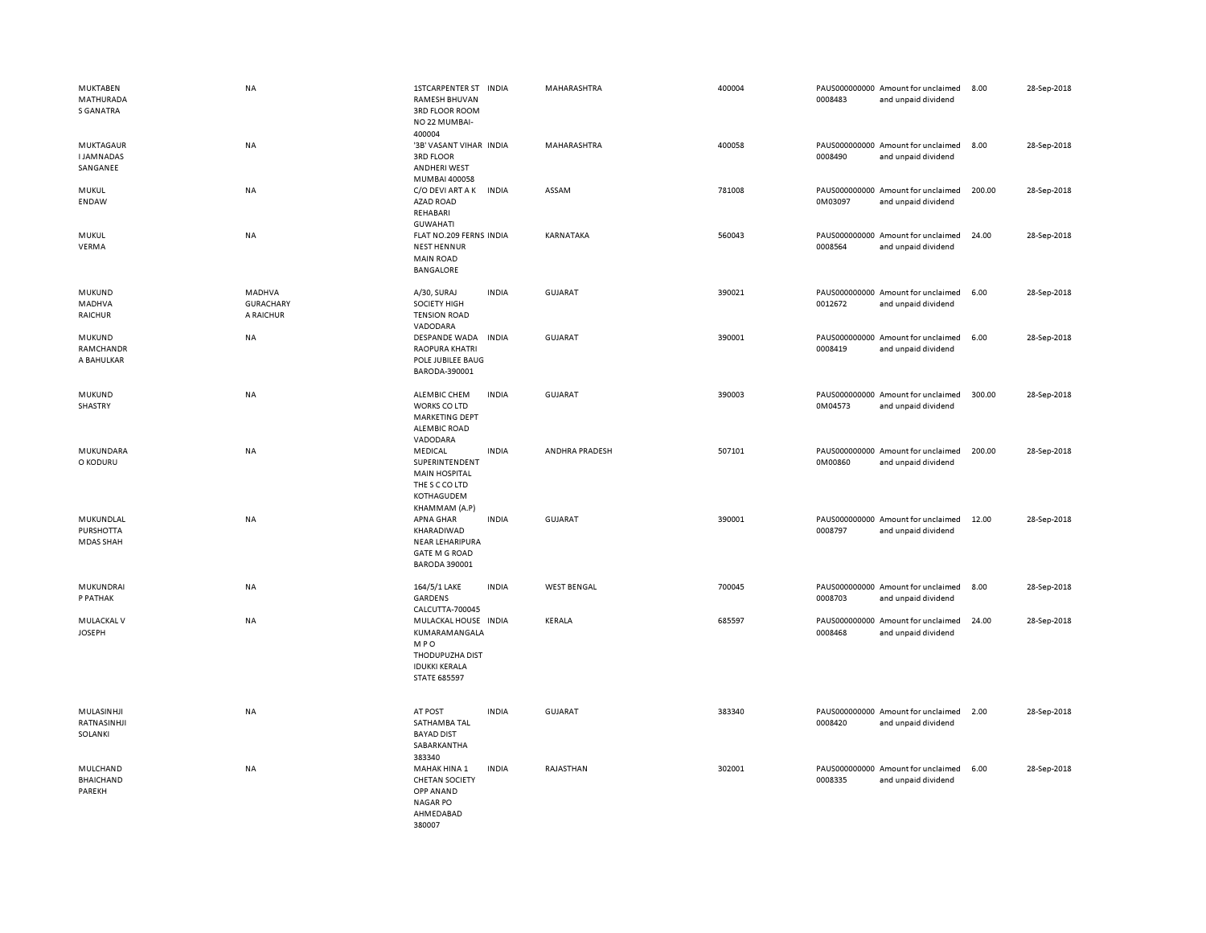| <b>MUKTABEN</b><br>MATHURADA<br><b>S GANATRA</b> | <b>NA</b>                                      | <b>1STCARPENTER ST</b><br><b>INDIA</b><br><b>RAMESH BHUVAN</b><br>3RD FLOOR ROOM<br>NO 22 MUMBAI-<br>400004           | MAHARASHTRA        | 400004 | PAUS000000000 Amount for unclaimed<br>0008483<br>and unpaid dividend | 8.00   | 28-Sep-2018 |
|--------------------------------------------------|------------------------------------------------|-----------------------------------------------------------------------------------------------------------------------|--------------------|--------|----------------------------------------------------------------------|--------|-------------|
| MUKTAGAUR<br><b>IJAMNADAS</b><br>SANGANEE        | NA                                             | '3B' VASANT VIHAR INDIA<br><b>3RD FLOOR</b><br><b>ANDHERI WEST</b><br>MUMBAI 400058                                   | MAHARASHTRA        | 400058 | PAUS000000000 Amount for unclaimed<br>0008490<br>and unpaid dividend | 8.00   | 28-Sep-2018 |
| MUKUL<br>ENDAW                                   | NA                                             | C/O DEVI ART A K<br><b>INDIA</b><br>AZAD ROAD<br>REHABARI<br><b>GUWAHATI</b>                                          | ASSAM              | 781008 | PAUS000000000 Amount for unclaimed<br>0M03097<br>and unpaid dividend | 200.00 | 28-Sep-2018 |
| MUKUL<br>VERMA                                   | NA                                             | FLAT NO.209 FERNS INDIA<br><b>NEST HENNUR</b><br><b>MAIN ROAD</b><br><b>BANGALORE</b>                                 | KARNATAKA          | 560043 | PAUS000000000 Amount for unclaimed<br>0008564<br>and unpaid dividend | 24.00  | 28-Sep-2018 |
| MUKUND<br>MADHVA<br><b>RAICHUR</b>               | <b>MADHVA</b><br><b>GURACHARY</b><br>A RAICHUR | A/30, SURAJ<br><b>INDIA</b><br><b>SOCIETY HIGH</b><br><b>TENSION ROAD</b><br>VADODARA                                 | <b>GUJARAT</b>     | 390021 | PAUS000000000 Amount for unclaimed<br>0012672<br>and unpaid dividend | 6.00   | 28-Sep-2018 |
| MUKUND<br>RAMCHANDR<br>A BAHULKAR                | NA                                             | DESPANDE WADA<br><b>INDIA</b><br><b>RAOPURA KHATRI</b><br>POLE JUBILEE BAUG<br>BARODA-390001                          | <b>GUJARAT</b>     | 390001 | PAUS000000000 Amount for unclaimed<br>0008419<br>and unpaid dividend | 6.00   | 28-Sep-2018 |
| MUKUND<br>SHASTRY                                | <b>NA</b>                                      | ALEMBIC CHEM<br><b>INDIA</b><br><b>WORKS CO LTD</b><br>MARKETING DEPT<br><b>ALEMBIC ROAD</b><br>VADODARA              | <b>GUJARAT</b>     | 390003 | PAUS000000000 Amount for unclaimed<br>0M04573<br>and unpaid dividend | 300.00 | 28-Sep-2018 |
| MUKUNDARA<br>O KODURU                            | <b>NA</b>                                      | MEDICAL<br><b>INDIA</b><br>SUPERINTENDENT<br><b>MAIN HOSPITAL</b><br>THE S C CO LTD<br>KOTHAGUDEM<br>KHAMMAM (A.P)    | ANDHRA PRADESH     | 507101 | PAUS000000000 Amount for unclaimed<br>0M00860<br>and unpaid dividend | 200.00 | 28-Sep-2018 |
| MUKUNDLAL<br><b>PURSHOTTA</b><br>MDAS SHAH       | <b>NA</b>                                      | <b>INDIA</b><br>APNA GHAR<br>KHARADIWAD<br><b>NEAR LEHARIPURA</b><br><b>GATE M G ROAD</b><br><b>BARODA 390001</b>     | <b>GUJARAT</b>     | 390001 | PAUS000000000 Amount for unclaimed<br>0008797<br>and unpaid dividend | 12.00  | 28-Sep-2018 |
| MUKUNDRAI<br>P PATHAK                            | NA                                             | 164/5/1 LAKE<br><b>INDIA</b><br><b>GARDENS</b><br>CALCUTTA-700045                                                     | <b>WEST BENGAL</b> | 700045 | PAUS000000000 Amount for unclaimed<br>0008703<br>and unpaid dividend | 8.00   | 28-Sep-2018 |
| MULACKAL V<br><b>JOSEPH</b>                      | <b>NA</b>                                      | MULACKAL HOUSE INDIA<br>KUMARAMANGALA<br><b>MPO</b><br>THODUPUZHA DIST<br><b>IDUKKI KERALA</b><br><b>STATE 685597</b> | KERALA             | 685597 | PAUS000000000 Amount for unclaimed<br>0008468<br>and unpaid dividend | 24.00  | 28-Sep-2018 |
| MULASINHJI<br>RATNASINHJI<br>SOLANKI             | <b>NA</b>                                      | <b>INDIA</b><br>AT POST<br>SATHAMBA TAL<br><b>BAYAD DIST</b><br>SABARKANTHA<br>383340                                 | <b>GUJARAT</b>     | 383340 | PAUS000000000 Amount for unclaimed<br>0008420<br>and unpaid dividend | 2.00   | 28-Sep-2018 |
| MULCHAND<br><b>BHAICHAND</b><br>PAREKH           | <b>NA</b>                                      | <b>INDIA</b><br>MAHAK HINA 1<br><b>CHETAN SOCIETY</b><br>OPP ANAND<br><b>NAGAR PO</b><br>AHMEDABAD<br>380007          | RAJASTHAN          | 302001 | PAUS000000000 Amount for unclaimed<br>0008335<br>and unpaid dividend | 6.00   | 28-Sep-2018 |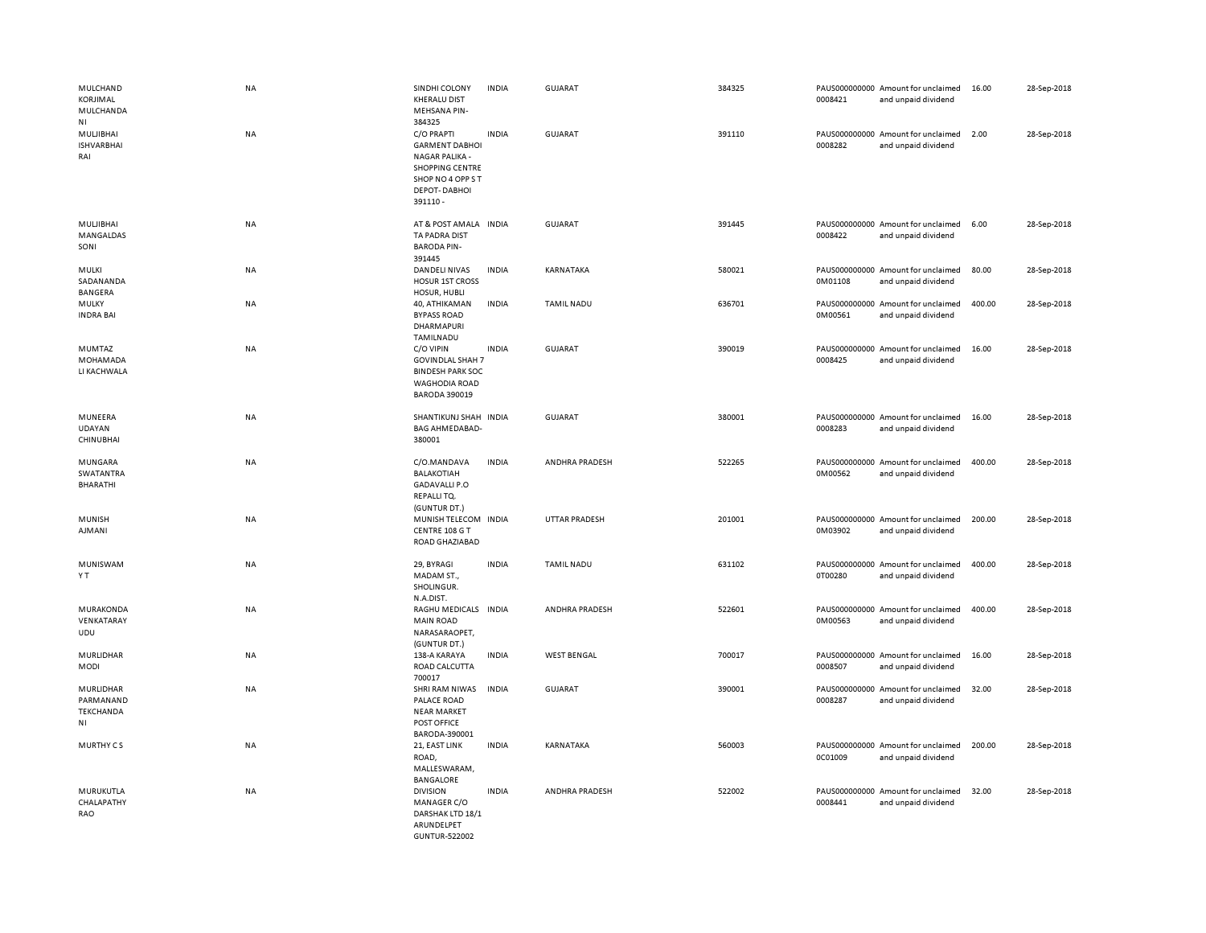| MULCHAND<br>KORJIMAL<br>MULCHANDA<br><b>NI</b>                | NA        | SINDHI COLONY<br><b>KHERALU DIST</b><br>MEHSANA PIN-<br>384325                                                                  | <b>INDIA</b> | <b>GUJARAT</b>       | 384325 | 0008421 | PAUS000000000 Amount for unclaimed<br>and unpaid dividend | 16.00  | 28-Sep-2018 |
|---------------------------------------------------------------|-----------|---------------------------------------------------------------------------------------------------------------------------------|--------------|----------------------|--------|---------|-----------------------------------------------------------|--------|-------------|
| MULJIBHAI<br><b>ISHVARBHAI</b><br>RAI                         | <b>NA</b> | C/O PRAPTI<br><b>GARMENT DABHOI</b><br>NAGAR PALIKA -<br><b>SHOPPING CENTRE</b><br>SHOP NO 4 OPP ST<br>DEPOT-DABHOI<br>391110 - | <b>INDIA</b> | GUJARAT              | 391110 | 0008282 | PAUS000000000 Amount for unclaimed<br>and unpaid dividend | 2.00   | 28-Sep-2018 |
| MULJIBHAI<br>MANGALDAS<br>SONI                                | <b>NA</b> | AT & POST AMALA INDIA<br>TA PADRA DIST<br><b>BARODA PIN-</b><br>391445                                                          |              | <b>GUJARAT</b>       | 391445 | 0008422 | PAUS000000000 Amount for unclaimed<br>and unpaid dividend | 6.00   | 28-Sep-2018 |
| <b>MULKI</b><br>SADANANDA<br><b>BANGERA</b>                   | <b>NA</b> | DANDELI NIVAS<br><b>HOSUR 1ST CROSS</b><br>HOSUR, HUBLI                                                                         | <b>INDIA</b> | KARNATAKA            | 580021 | 0M01108 | PAUS000000000 Amount for unclaimed<br>and unpaid dividend | 80.00  | 28-Sep-2018 |
| MULKY<br><b>INDRA BAI</b>                                     | NA        | 40, ATHIKAMAN<br><b>BYPASS ROAD</b><br>DHARMAPURI<br>TAMILNADU                                                                  | <b>INDIA</b> | TAMIL NADU           | 636701 | 0M00561 | PAUS000000000 Amount for unclaimed<br>and unpaid dividend | 400.00 | 28-Sep-2018 |
| MUMTAZ<br>MOHAMADA<br>LI KACHWALA                             | NA        | C/O VIPIN<br><b>GOVINDLAL SHAH 7</b><br><b>BINDESH PARK SOC</b><br><b>WAGHODIA ROAD</b><br><b>BARODA 390019</b>                 | <b>INDIA</b> | <b>GUJARAT</b>       | 390019 | 0008425 | PAUS000000000 Amount for unclaimed<br>and unpaid dividend | 16.00  | 28-Sep-2018 |
| MUNEERA<br>UDAYAN<br>CHINUBHAI                                | NA        | SHANTIKUNJ SHAH INDIA<br><b>BAG AHMEDABAD-</b><br>380001                                                                        |              | <b>GUJARAT</b>       | 380001 | 0008283 | PAUS000000000 Amount for unclaimed<br>and unpaid dividend | 16.00  | 28-Sep-2018 |
| MUNGARA<br><b>SWATANTRA</b><br>BHARATHI                       | NA        | C/O.MANDAVA<br><b>BALAKOTIAH</b><br><b>GADAVALLI P.O</b><br>REPALLITQ.<br>(GUNTUR DT.)                                          | <b>INDIA</b> | ANDHRA PRADESH       | 522265 | 0M00562 | PAUS000000000 Amount for unclaimed<br>and unpaid dividend | 400.00 | 28-Sep-2018 |
| <b>MUNISH</b><br><b>AJMANI</b>                                | <b>NA</b> | MUNISH TELECOM INDIA<br>CENTRE 108 G T<br>ROAD GHAZIABAD                                                                        |              | <b>UTTAR PRADESH</b> | 201001 | 0M03902 | PAUS000000000 Amount for unclaimed<br>and unpaid dividend | 200.00 | 28-Sep-2018 |
| MUNISWAM<br>Y T                                               | NA        | 29, BYRAGI<br>MADAM ST.,<br>SHOLINGUR.<br>N.A.DIST.                                                                             | <b>INDIA</b> | <b>TAMIL NADU</b>    | 631102 | 0T00280 | PAUS000000000 Amount for unclaimed<br>and unpaid dividend | 400.00 | 28-Sep-2018 |
| MURAKONDA<br>VENKATARAY<br>UDU                                | NA        | RAGHU MEDICALS INDIA<br><b>MAIN ROAD</b><br>NARASARAOPET,<br>(GUNTUR DT.)                                                       |              | ANDHRA PRADESH       | 522601 | 0M00563 | PAUS000000000 Amount for unclaimed<br>and unpaid dividend | 400.00 | 28-Sep-2018 |
| MURLIDHAR<br><b>MODI</b>                                      | NA        | 138-A KARAYA<br>ROAD CALCUTTA<br>700017                                                                                         | <b>INDIA</b> | <b>WEST BENGAL</b>   | 700017 | 0008507 | PAUS000000000 Amount for unclaimed<br>and unpaid dividend | 16.00  | 28-Sep-2018 |
| MURLIDHAR<br>PARMANAND<br>TEKCHANDA<br>$\mathsf{N}\mathsf{I}$ | NA        | SHRI RAM NIWAS<br>PALACE ROAD<br><b>NEAR MARKET</b><br>POST OFFICE<br>BARODA-390001                                             | <b>INDIA</b> | <b>GUJARAT</b>       | 390001 | 0008287 | PAUS000000000 Amount for unclaimed<br>and unpaid dividend | 32.00  | 28-Sep-2018 |
| MURTHY CS                                                     | <b>NA</b> | 21, EAST LINK<br>ROAD,<br>MALLESWARAM,<br><b>BANGALORE</b>                                                                      | <b>INDIA</b> | KARNATAKA            | 560003 | 0C01009 | PAUS000000000 Amount for unclaimed<br>and unpaid dividend | 200.00 | 28-Sep-2018 |
| MURUKUTLA<br>CHALAPATHY<br>RAO                                | <b>NA</b> | <b>DIVISION</b><br>MANAGER C/O<br>DARSHAK LTD 18/1<br>ARUNDELPET<br><b>GUNTUR-522002</b>                                        | <b>INDIA</b> | ANDHRA PRADESH       | 522002 | 0008441 | PAUS000000000 Amount for unclaimed<br>and unpaid dividend | 32.00  | 28-Sep-2018 |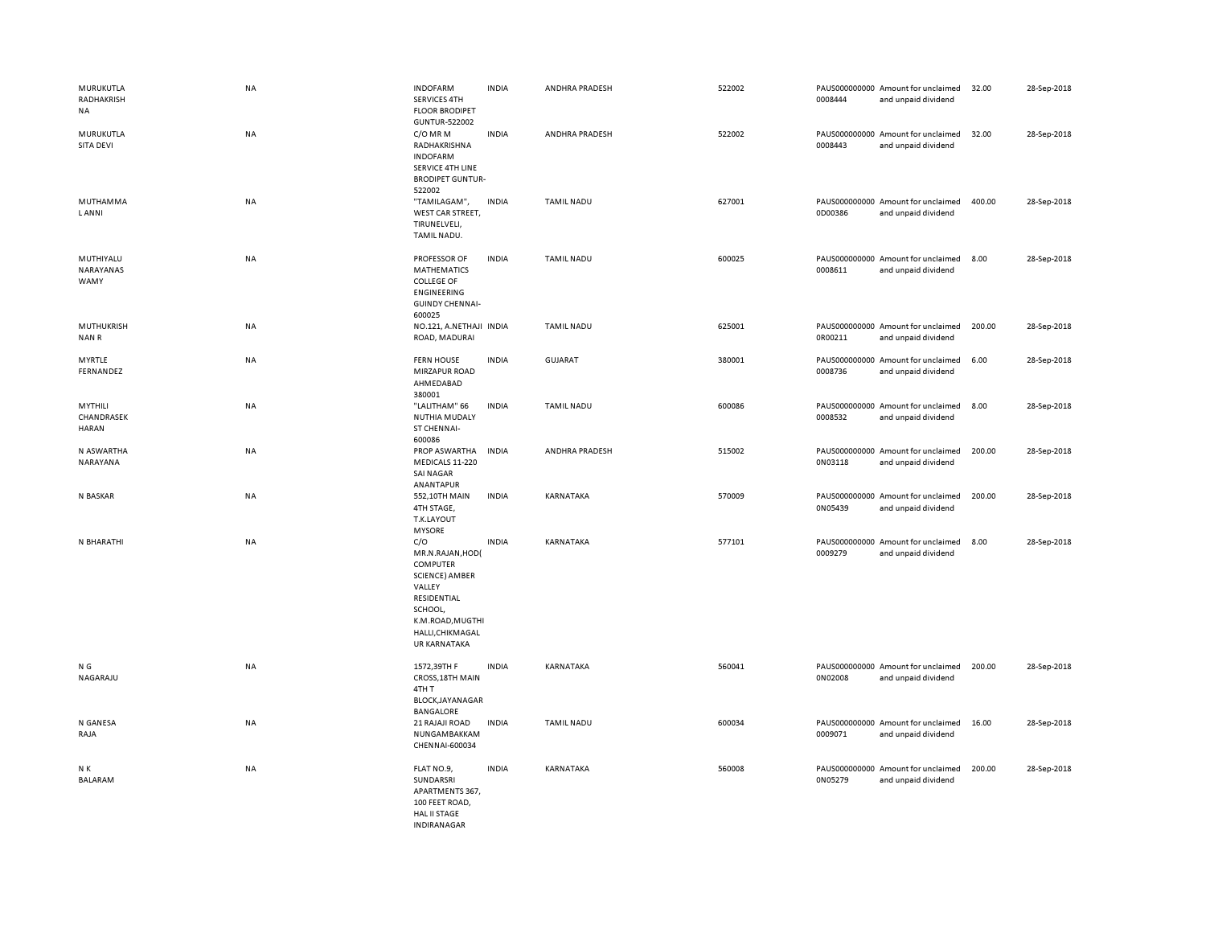| MURUKUTLA<br>RADHAKRISH<br><b>NA</b>  | NA        | <b>INDOFARM</b><br>SERVICES 4TH<br><b>FLOOR BRODIPET</b>                                                                                                        | <b>INDIA</b> | ANDHRA PRADESH    | 522002 | 0008444 | PAUS000000000 Amount for unclaimed<br>and unpaid dividend | 32.00  | 28-Sep-2018 |
|---------------------------------------|-----------|-----------------------------------------------------------------------------------------------------------------------------------------------------------------|--------------|-------------------|--------|---------|-----------------------------------------------------------|--------|-------------|
| MURUKUTLA<br>SITA DEVI                | NA        | <b>GUNTUR-522002</b><br>C/O MR M<br>RADHAKRISHNA<br><b>INDOFARM</b><br>SERVICE 4TH LINE<br><b>BRODIPET GUNTUR-</b><br>522002                                    | <b>INDIA</b> | ANDHRA PRADESH    | 522002 | 0008443 | PAUS000000000 Amount for unclaimed<br>and unpaid dividend | 32.00  | 28-Sep-2018 |
| MUTHAMMA<br><b>LANNI</b>              | <b>NA</b> | "TAMILAGAM",<br>WEST CAR STREET,<br>TIRUNELVELI,<br>TAMIL NADU.                                                                                                 | <b>INDIA</b> | <b>TAMIL NADU</b> | 627001 | 0D00386 | PAUS000000000 Amount for unclaimed<br>and unpaid dividend | 400.00 | 28-Sep-2018 |
| MUTHIYALU<br>NARAYANAS<br>WAMY        | NA        | PROFESSOR OF<br><b>MATHEMATICS</b><br><b>COLLEGE OF</b><br><b>ENGINEERING</b><br><b>GUINDY CHENNAI-</b><br>600025                                               | <b>INDIA</b> | <b>TAMIL NADU</b> | 600025 | 0008611 | PAUS000000000 Amount for unclaimed<br>and unpaid dividend | 8.00   | 28-Sep-2018 |
| <b>MUTHUKRISH</b><br>NAN R            | NA        | NO.121, A.NETHAJI INDIA<br>ROAD, MADURAI                                                                                                                        |              | <b>TAMIL NADU</b> | 625001 | 0R00211 | PAUS000000000 Amount for unclaimed<br>and unpaid dividend | 200.00 | 28-Sep-2018 |
| <b>MYRTLE</b><br>FERNANDEZ            | NA        | <b>FERN HOUSE</b><br><b>MIRZAPUR ROAD</b><br>AHMEDABAD<br>380001                                                                                                | <b>INDIA</b> | <b>GUJARAT</b>    | 380001 | 0008736 | PAUS000000000 Amount for unclaimed<br>and unpaid dividend | 6.00   | 28-Sep-2018 |
| MYTHILI<br>CHANDRASEK<br><b>HARAN</b> | NA        | "LALITHAM" 66<br><b>NUTHIA MUDALY</b><br>ST CHENNAI-<br>600086                                                                                                  | <b>INDIA</b> | <b>TAMIL NADU</b> | 600086 | 0008532 | PAUS000000000 Amount for unclaimed<br>and unpaid dividend | 8.00   | 28-Sep-2018 |
| N ASWARTHA<br>NARAYANA                | <b>NA</b> | PROP ASWARTHA<br>MEDICALS 11-220<br>SAI NAGAR<br>ANANTAPUR                                                                                                      | <b>INDIA</b> | ANDHRA PRADESH    | 515002 | 0N03118 | PAUS000000000 Amount for unclaimed<br>and unpaid dividend | 200.00 | 28-Sep-2018 |
| N BASKAR                              | NA        | 552,10TH MAIN<br>4TH STAGE,<br>T.K.LAYOUT<br><b>MYSORE</b>                                                                                                      | <b>INDIA</b> | KARNATAKA         | 570009 | 0N05439 | PAUS000000000 Amount for unclaimed<br>and unpaid dividend | 200.00 | 28-Sep-2018 |
| N BHARATHI                            | NA        | C/O<br>MR.N.RAJAN, HOD(<br>COMPUTER<br><b>SCIENCE) AMBER</b><br>VALLEY<br>RESIDENTIAL<br>SCHOOL,<br>K.M.ROAD, MUGTHI<br>HALLI, CHIKMAGAL<br><b>UR KARNATAKA</b> | <b>INDIA</b> | KARNATAKA         | 577101 | 0009279 | PAUS000000000 Amount for unclaimed<br>and unpaid dividend | 8.00   | 28-Sep-2018 |
| N G<br>NAGARAJU                       | <b>NA</b> | 1572,39TH F<br>CROSS, 18TH MAIN<br>4TH T<br>BLOCK, JAYANAGAR<br>BANGALORE                                                                                       | <b>INDIA</b> | KARNATAKA         | 560041 | 0N02008 | PAUS000000000 Amount for unclaimed<br>and unpaid dividend | 200.00 | 28-Sep-2018 |
| N GANESA<br>RAJA                      | NA        | 21 RAJAJI ROAD<br>NUNGAMBAKKAM<br>CHENNAI-600034                                                                                                                | <b>INDIA</b> | <b>TAMIL NADU</b> | 600034 | 0009071 | PAUS000000000 Amount for unclaimed<br>and unpaid dividend | 16.00  | 28-Sep-2018 |
| N K<br>BALARAM                        | NA        | FLAT NO.9,<br>SUNDARSRI<br>APARTMENTS 367,<br>100 FEET ROAD,<br><b>HAL II STAGE</b><br><b>INDIRANAGAR</b>                                                       | <b>INDIA</b> | KARNATAKA         | 560008 | 0N05279 | PAUS000000000 Amount for unclaimed<br>and unpaid dividend | 200.00 | 28-Sep-2018 |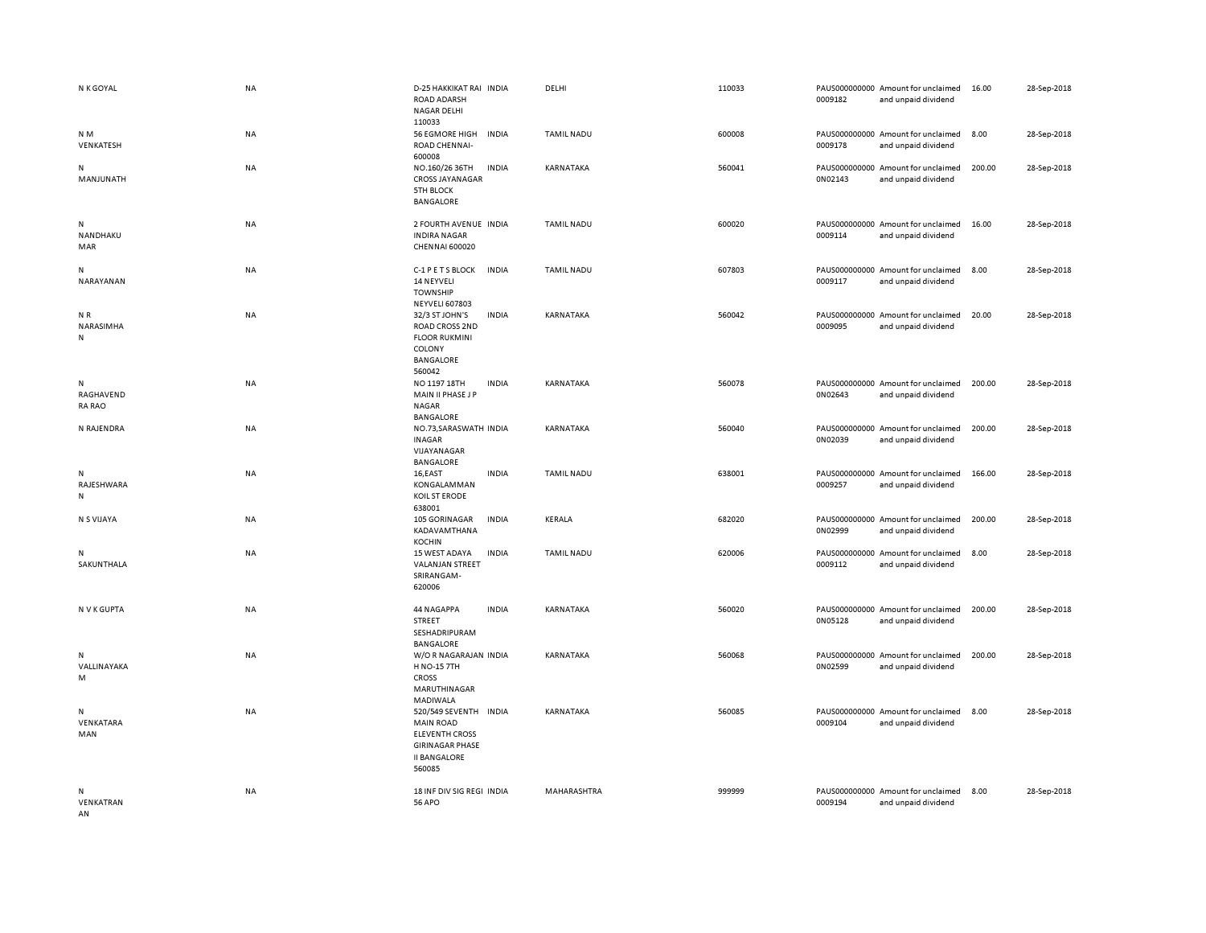| N K GOYAL                       | NA        | D-25 HAKKIKAT RAI INDIA<br><b>ROAD ADARSH</b><br>NAGAR DELHI<br>110033                                                        | DELHI             | 110033 | 0009182 | PAUS000000000 Amount for unclaimed<br>and unpaid dividend | 16.00  | 28-Sep-2018 |
|---------------------------------|-----------|-------------------------------------------------------------------------------------------------------------------------------|-------------------|--------|---------|-----------------------------------------------------------|--------|-------------|
| N M<br>VENKATESH                | NA        | <b>56 EGMORE HIGH</b><br><b>INDIA</b><br>ROAD CHENNAI-<br>600008                                                              | <b>TAMIL NADU</b> | 600008 | 0009178 | PAUS000000000 Amount for unclaimed<br>and unpaid dividend | 8.00   | 28-Sep-2018 |
| N<br>MANJUNATH                  | NA        | NO.160/26 36TH<br><b>INDIA</b><br><b>CROSS JAYANAGAR</b><br><b>5TH BLOCK</b><br><b>BANGALORE</b>                              | KARNATAKA         | 560041 | 0N02143 | PAUS000000000 Amount for unclaimed<br>and unpaid dividend | 200.00 | 28-Sep-2018 |
| N<br>NANDHAKU<br>MAR            | NA        | 2 FOURTH AVENUE INDIA<br><b>INDIRA NAGAR</b><br><b>CHENNAI 600020</b>                                                         | <b>TAMIL NADU</b> | 600020 | 0009114 | PAUS000000000 Amount for unclaimed<br>and unpaid dividend | 16.00  | 28-Sep-2018 |
| N<br>NARAYANAN                  | NA        | <b>INDIA</b><br>C-1 P E T S BLOCK<br>14 NEYVELI<br><b>TOWNSHIP</b><br><b>NEYVELI 607803</b>                                   | <b>TAMIL NADU</b> | 607803 | 0009117 | PAUS000000000 Amount for unclaimed<br>and unpaid dividend | 8.00   | 28-Sep-2018 |
| NR<br>NARASIMHA<br>N            | NA        | 32/3 ST JOHN'S<br><b>INDIA</b><br>ROAD CROSS 2ND<br><b>FLOOR RUKMINI</b><br>COLONY<br><b>BANGALORE</b><br>560042              | KARNATAKA         | 560042 | 0009095 | PAUS000000000 Amount for unclaimed<br>and unpaid dividend | 20.00  | 28-Sep-2018 |
| N<br>RAGHAVEND<br><b>RA RAO</b> | NA        | NO 1197 18TH<br><b>INDIA</b><br>MAIN II PHASE J P<br>NAGAR<br>BANGALORE                                                       | KARNATAKA         | 560078 | 0N02643 | PAUS000000000 Amount for unclaimed<br>and unpaid dividend | 200.00 | 28-Sep-2018 |
| N RAJENDRA                      | <b>NA</b> | NO.73, SARASWATH INDIA<br><b>INAGAR</b><br>VIJAYANAGAR<br><b>BANGALORE</b>                                                    | <b>KARNATAKA</b>  | 560040 | 0N02039 | PAUS000000000 Amount for unclaimed<br>and unpaid dividend | 200.00 | 28-Sep-2018 |
| N<br>RAJESHWARA<br>N            | NA        | 16,EAST<br><b>INDIA</b><br>KONGALAMMAN<br>KOIL ST ERODE<br>638001                                                             | <b>TAMIL NADU</b> | 638001 | 0009257 | PAUS000000000 Amount for unclaimed<br>and unpaid dividend | 166.00 | 28-Sep-2018 |
| N S VIJAYA                      | <b>NA</b> | 105 GORINAGAR<br><b>INDIA</b><br>KADAVAMTHANA<br><b>KOCHIN</b>                                                                | <b>KERALA</b>     | 682020 | 0N02999 | PAUS000000000 Amount for unclaimed<br>and unpaid dividend | 200.00 | 28-Sep-2018 |
| N<br>SAKUNTHALA                 | NA        | <b>INDIA</b><br>15 WEST ADAYA<br><b>VALANJAN STREET</b><br>SRIRANGAM-<br>620006                                               | <b>TAMIL NADU</b> | 620006 | 0009112 | PAUS000000000 Amount for unclaimed<br>and unpaid dividend | 8.00   | 28-Sep-2018 |
| N V K GUPTA                     | <b>NA</b> | 44 NAGAPPA<br><b>INDIA</b><br><b>STREET</b><br>SESHADRIPURAM<br><b>BANGALORE</b>                                              | KARNATAKA         | 560020 | 0N05128 | PAUS000000000 Amount for unclaimed<br>and unpaid dividend | 200.00 | 28-Sep-2018 |
| N<br>VALLINAYAKA<br>M           | NA        | W/OR NAGARAJAN INDIA<br>H NO-15 7TH<br><b>CROSS</b><br>MARUTHINAGAR<br>MADIWALA                                               | KARNATAKA         | 560068 | 0N02599 | PAUS000000000 Amount for unclaimed<br>and unpaid dividend | 200.00 | 28-Sep-2018 |
| N<br>VENKATARA<br>MAN           | NA        | 520/549 SEVENTH INDIA<br><b>MAIN ROAD</b><br><b>ELEVENTH CROSS</b><br><b>GIRINAGAR PHASE</b><br><b>II BANGALORE</b><br>560085 | KARNATAKA         | 560085 | 0009104 | PAUS000000000 Amount for unclaimed<br>and unpaid dividend | 8.00   | 28-Sep-2018 |
| N<br>VENKATRAN                  | <b>NA</b> | 18 INF DIV SIG REGI INDIA<br><b>56 APO</b>                                                                                    | MAHARASHTRA       | 999999 | 0009194 | PAUS000000000 Amount for unclaimed<br>and unpaid dividend | 8.00   | 28-Sep-2018 |

AN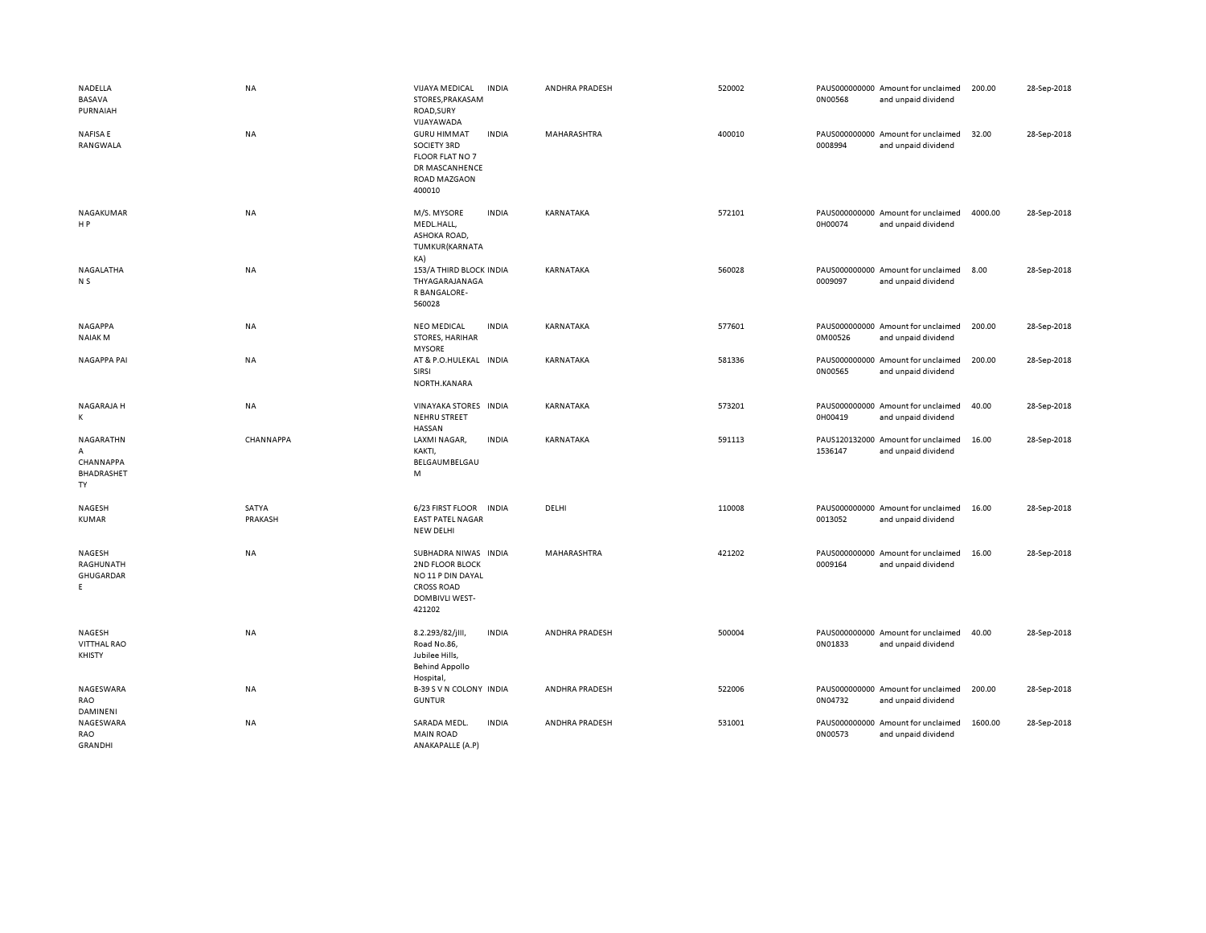| NADELLA<br>BASAVA<br>PURNAIAH                   | <b>NA</b>        | <b>VIJAYA MEDICAL</b><br>STORES, PRAKASAM<br>ROAD, SURY<br>VIJAYAWADA                                         | <b>INDIA</b> | ANDHRA PRADESH        | 520002 | 0N00568 | PAUS000000000 Amount for unclaimed<br>and unpaid dividend | 200.00  | 28-Sep-2018 |
|-------------------------------------------------|------------------|---------------------------------------------------------------------------------------------------------------|--------------|-----------------------|--------|---------|-----------------------------------------------------------|---------|-------------|
| <b>NAFISAE</b><br>RANGWALA                      | NA               | <b>GURU HIMMAT</b><br>SOCIETY 3RD<br>FLOOR FLAT NO 7<br>DR MASCANHENCE<br>ROAD MAZGAON<br>400010              | <b>INDIA</b> | MAHARASHTRA           | 400010 | 0008994 | PAUS000000000 Amount for unclaimed<br>and unpaid dividend | 32.00   | 28-Sep-2018 |
| NAGAKUMAR<br>H P                                | NA               | M/S. MYSORE<br>MEDL.HALL,<br>ASHOKA ROAD,<br>TUMKUR(KARNATA<br>KA)                                            | <b>INDIA</b> | KARNATAKA             | 572101 | 0H00074 | PAUS000000000 Amount for unclaimed<br>and unpaid dividend | 4000.00 | 28-Sep-2018 |
| NAGALATHA<br>N <sub>S</sub>                     | <b>NA</b>        | 153/A THIRD BLOCK INDIA<br>THYAGARAJANAGA<br>R BANGALORE-<br>560028                                           |              | KARNATAKA             | 560028 | 0009097 | PAUS000000000 Amount for unclaimed<br>and unpaid dividend | 8.00    | 28-Sep-2018 |
| <b>NAGAPPA</b><br><b>NAIAKM</b>                 | NA               | <b>NEO MEDICAL</b><br>STORES, HARIHAR<br><b>MYSORE</b>                                                        | <b>INDIA</b> | KARNATAKA             | 577601 | 0M00526 | PAUS000000000 Amount for unclaimed<br>and unpaid dividend | 200.00  | 28-Sep-2018 |
| <b>NAGAPPA PAI</b>                              | <b>NA</b>        | AT & P.O.HULEKAL INDIA<br>SIRSI<br>NORTH.KANARA                                                               |              | KARNATAKA             | 581336 | 0N00565 | PAUS000000000 Amount for unclaimed<br>and unpaid dividend | 200.00  | 28-Sep-2018 |
| NAGARAJA H<br>Κ                                 | NA               | VINAYAKA STORES INDIA<br><b>NEHRU STREET</b><br>HASSAN                                                        |              | KARNATAKA             | 573201 | 0H00419 | PAUS000000000 Amount for unclaimed<br>and unpaid dividend | 40.00   | 28-Sep-2018 |
| NAGARATHN<br>А<br>CHANNAPPA<br>BHADRASHET<br>TY | CHANNAPPA        | LAXMI NAGAR,<br>KAKTI,<br>BELGAUMBELGAU<br>M                                                                  | <b>INDIA</b> | <b>KARNATAKA</b>      | 591113 | 1536147 | PAUS120132000 Amount for unclaimed<br>and unpaid dividend | 16.00   | 28-Sep-2018 |
| NAGESH<br><b>KUMAR</b>                          | SATYA<br>PRAKASH | 6/23 FIRST FLOOR INDIA<br><b>EAST PATEL NAGAR</b><br>NEW DELHI                                                |              | DELHI                 | 110008 | 0013052 | PAUS000000000 Amount for unclaimed<br>and unpaid dividend | 16.00   | 28-Sep-2018 |
| <b>NAGESH</b><br>RAGHUNATH<br>GHUGARDAR<br>E    | <b>NA</b>        | SUBHADRA NIWAS INDIA<br>2ND FLOOR BLOCK<br>NO 11 P DIN DAYAL<br><b>CROSS ROAD</b><br>DOMBIVLI WEST-<br>421202 |              | MAHARASHTRA           | 421202 | 0009164 | PAUS000000000 Amount for unclaimed<br>and unpaid dividend | 16.00   | 28-Sep-2018 |
| NAGESH<br><b>VITTHAL RAO</b><br><b>KHISTY</b>   | NA               | 8.2.293/82/jlll,<br>Road No.86,<br>Jubilee Hills,<br><b>Behind Appollo</b><br>Hospital,                       | <b>INDIA</b> | <b>ANDHRA PRADESH</b> | 500004 | 0N01833 | PAUS000000000 Amount for unclaimed<br>and unpaid dividend | 40.00   | 28-Sep-2018 |
| NAGESWARA<br>RAO<br>DAMINENI                    | NA               | B-39 S V N COLONY INDIA<br><b>GUNTUR</b>                                                                      |              | ANDHRA PRADESH        | 522006 | 0N04732 | PAUS000000000 Amount for unclaimed<br>and unpaid dividend | 200.00  | 28-Sep-2018 |
| NAGESWARA<br>RAO<br><b>GRANDHI</b>              | NA               | SARADA MEDL.<br><b>MAIN ROAD</b><br>ANAKAPALLE (A.P)                                                          | <b>INDIA</b> | ANDHRA PRADESH        | 531001 | 0N00573 | PAUS000000000 Amount for unclaimed<br>and unpaid dividend | 1600.00 | 28-Sep-2018 |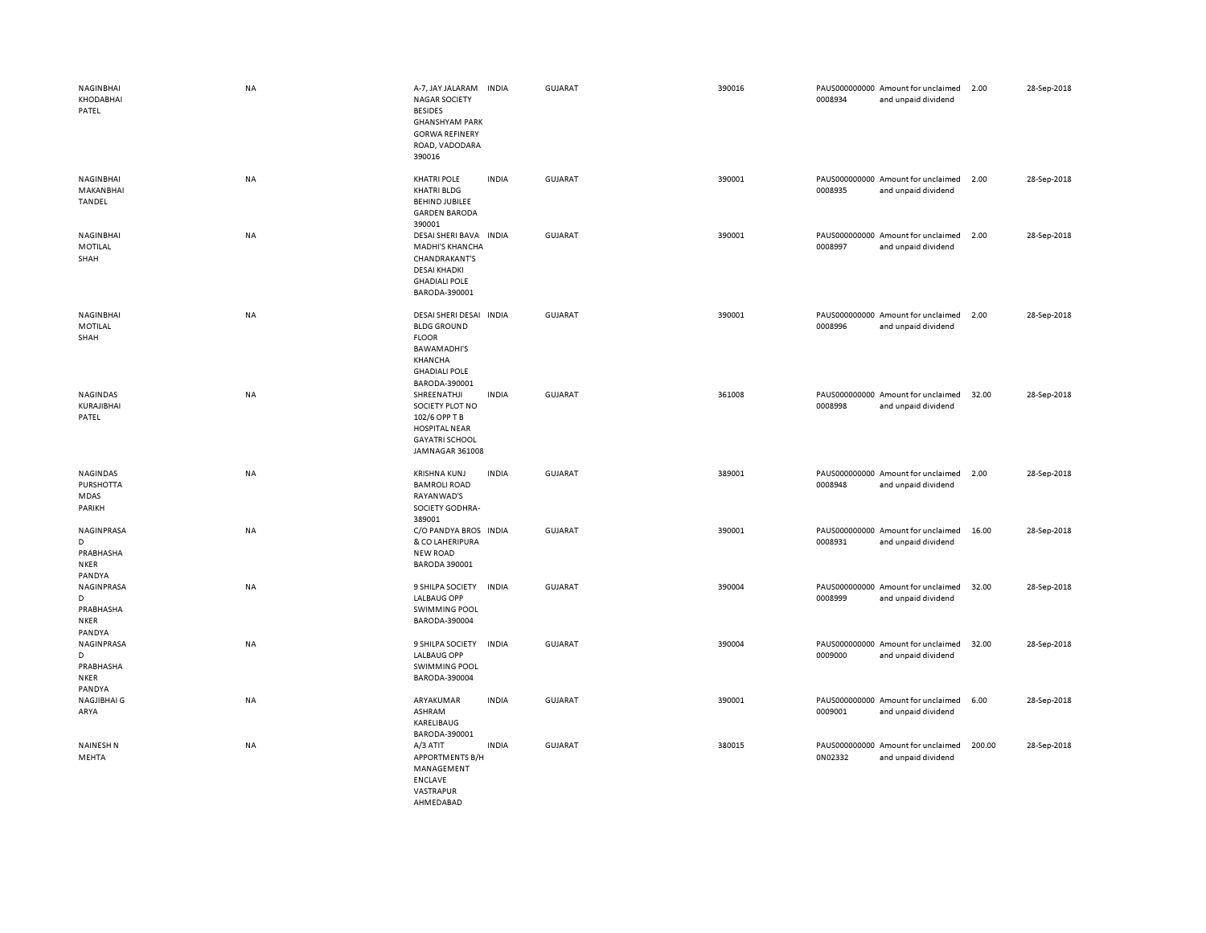| NAGINBHAI<br>KHODABHAI<br>PATEL                              | NA        | A-7, JAY JALARAM<br><b>NAGAR SOCIETY</b><br><b>BESIDES</b><br><b>GHANSHYAM PARK</b><br><b>GORWA REFINERY</b><br>ROAD, VADODARA<br>390016 | <b>INDIA</b> | <b>GUJARAT</b> | 390016 | 0008934 | PAUS000000000 Amount for unclaimed<br>and unpaid dividend | 2.00   | 28-Sep-2018 |
|--------------------------------------------------------------|-----------|------------------------------------------------------------------------------------------------------------------------------------------|--------------|----------------|--------|---------|-----------------------------------------------------------|--------|-------------|
| <b>NAGINBHAI</b><br>MAKANBHAI<br><b>TANDEL</b>               | NA        | <b>KHATRI POLE</b><br><b>KHATRI BLDG</b><br><b>BEHIND JUBILEE</b><br><b>GARDEN BARODA</b><br>390001                                      | <b>INDIA</b> | <b>GUJARAT</b> | 390001 | 0008935 | PAUS000000000 Amount for unclaimed<br>and unpaid dividend | 2.00   | 28-Sep-2018 |
| NAGINBHAI<br>MOTILAL<br>SHAH                                 | <b>NA</b> | DESAI SHERI BAVA<br><b>MADHI'S KHANCHA</b><br><b>CHANDRAKANT'S</b><br><b>DESAI KHADKI</b><br><b>GHADIALI POLE</b><br>BARODA-390001       | <b>INDIA</b> | GUJARAT        | 390001 | 0008997 | PAUS000000000 Amount for unclaimed<br>and unpaid dividend | 2.00   | 28-Sep-2018 |
| NAGINBHAI<br>MOTILAL<br>SHAH                                 | NA        | DESAI SHERI DESAI INDIA<br><b>BLDG GROUND</b><br><b>FLOOR</b><br><b>BAWAMADHI'S</b><br>KHANCHA<br><b>GHADIALI POLE</b><br>BARODA-390001  |              | <b>GUJARAT</b> | 390001 | 0008996 | PAUS000000000 Amount for unclaimed<br>and unpaid dividend | 2.00   | 28-Sep-2018 |
| NAGINDAS<br>KURAJIBHAI<br>PATEL                              | <b>NA</b> | SHREENATHJI<br>SOCIETY PLOT NO<br>102/6 OPP T B<br><b>HOSPITAL NEAR</b><br><b>GAYATRI SCHOOL</b><br>JAMNAGAR 361008                      | <b>INDIA</b> | <b>GUJARAT</b> | 361008 | 0008998 | PAUS000000000 Amount for unclaimed<br>and unpaid dividend | 32.00  | 28-Sep-2018 |
| NAGINDAS<br>PURSHOTTA<br>MDAS<br>PARIKH                      | NA        | <b>KRISHNA KUNJ</b><br><b>BAMROLI ROAD</b><br>RAYANWAD'S<br>SOCIETY GODHRA-<br>389001                                                    | <b>INDIA</b> | GUJARAT        | 389001 | 0008948 | PAUS000000000 Amount for unclaimed<br>and unpaid dividend | 2.00   | 28-Sep-2018 |
| NAGINPRASA<br>D<br>PRABHASHA<br><b>NKER</b><br>PANDYA        | NA        | C/O PANDYA BROS INDIA<br>& CO LAHERIPURA<br><b>NEW ROAD</b><br><b>BARODA 390001</b>                                                      |              | <b>GUJARAT</b> | 390001 | 0008931 | PAUS000000000 Amount for unclaimed<br>and unpaid dividend | 16.00  | 28-Sep-2018 |
| <b>NAGINPRASA</b><br>D<br>PRABHASHA<br><b>NKER</b><br>PANDYA | NA        | 9 SHILPA SOCIETY<br><b>LALBAUG OPP</b><br><b>SWIMMING POOL</b><br>BARODA-390004                                                          | <b>INDIA</b> | <b>GUJARAT</b> | 390004 | 0008999 | PAUS000000000 Amount for unclaimed<br>and unpaid dividend | 32.00  | 28-Sep-2018 |
| NAGINPRASA<br>D<br>PRABHASHA<br>NKER<br>PANDYA               | NA        | 9 SHILPA SOCIETY<br><b>LALBAUG OPP</b><br><b>SWIMMING POOL</b><br>BARODA-390004                                                          | <b>INDIA</b> | <b>GUJARAT</b> | 390004 | 0009000 | PAUS000000000 Amount for unclaimed<br>and unpaid dividend | 32.00  | 28-Sep-2018 |
| NAGJIBHAI G<br>ARYA                                          | NA        | ARYAKUMAR<br>ASHRAM<br>KARELIBAUG<br>BARODA-390001                                                                                       | <b>INDIA</b> | <b>GUJARAT</b> | 390001 | 0009001 | PAUS000000000 Amount for unclaimed<br>and unpaid dividend | 6.00   | 28-Sep-2018 |
| <b>NAINESH N</b><br>MEHTA                                    | NA        | A/3 ATIT<br><b>APPORTMENTS B/H</b><br>MANAGEMENT<br><b>ENCLAVE</b><br>VASTRAPUR                                                          | <b>INDIA</b> | <b>GUJARAT</b> | 380015 | 0N02332 | PAUS000000000 Amount for unclaimed<br>and unpaid dividend | 200.00 | 28-Sep-2018 |

AHMEDABAD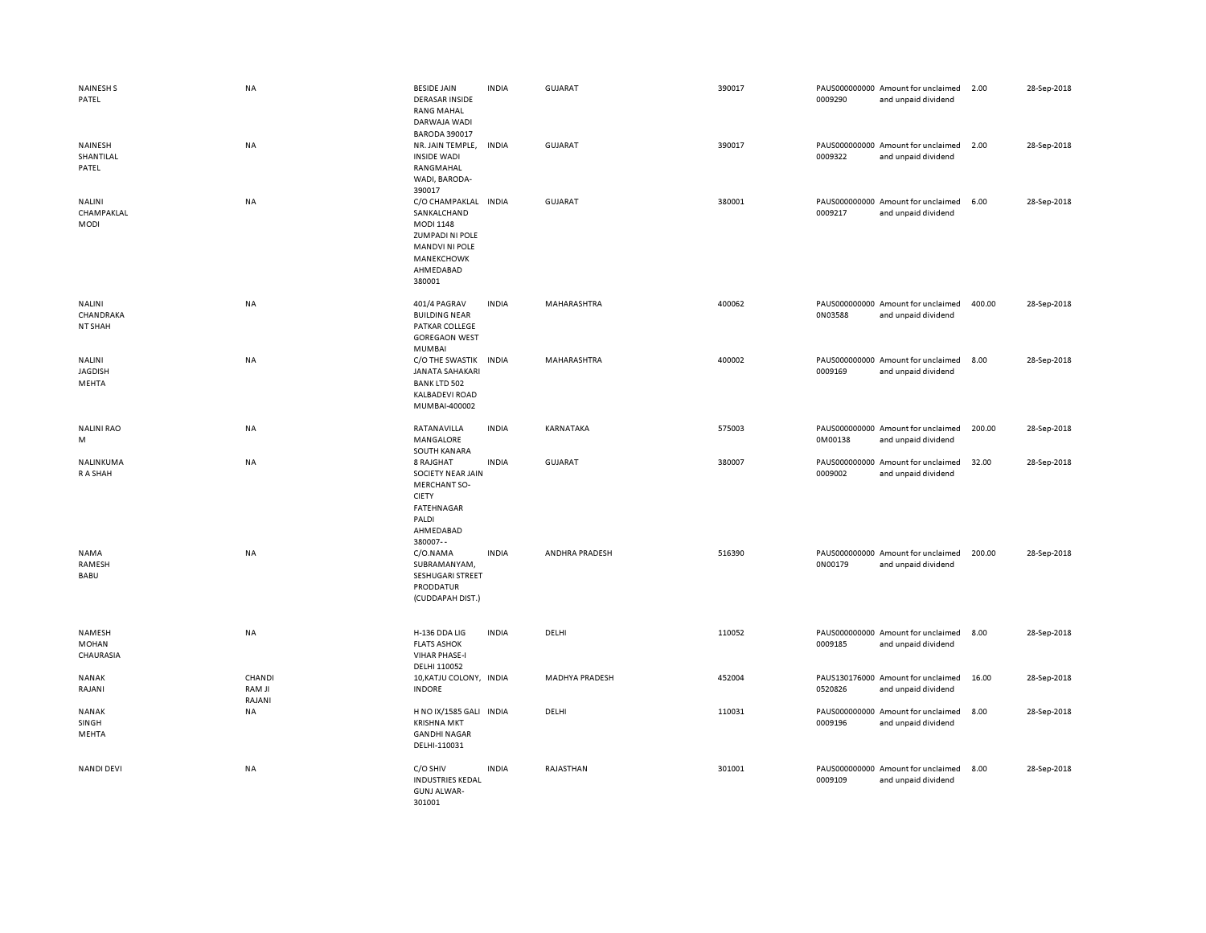| <b>NAINESH S</b><br>PATEL                  | <b>NA</b>                  | <b>BESIDE JAIN</b><br><b>DERASAR INSIDE</b><br><b>RANG MAHAL</b><br>DARWAJA WADI<br><b>BARODA 390017</b>                                        | <b>INDIA</b> | GUJARAT               | 390017 | 0009290 | PAUS000000000 Amount for unclaimed<br>and unpaid dividend | 2.00   | 28-Sep-2018 |
|--------------------------------------------|----------------------------|-------------------------------------------------------------------------------------------------------------------------------------------------|--------------|-----------------------|--------|---------|-----------------------------------------------------------|--------|-------------|
| NAINESH<br>SHANTILAL<br>PATEL              | <b>NA</b>                  | NR. JAIN TEMPLE,<br><b>INSIDE WADI</b><br>RANGMAHAL<br>WADI, BARODA-<br>390017                                                                  | INDIA        | GUJARAT               | 390017 | 0009322 | PAUS000000000 Amount for unclaimed<br>and unpaid dividend | 2.00   | 28-Sep-2018 |
| <b>NALINI</b><br>CHAMPAKLAL<br><b>MODI</b> | NA                         | C/O CHAMPAKLAL INDIA<br>SANKALCHAND<br><b>MODI 1148</b><br><b>ZUMPADI NI POLE</b><br><b>MANDVI NI POLE</b><br>MANEKCHOWK<br>AHMEDABAD<br>380001 |              | <b>GUJARAT</b>        | 380001 | 0009217 | PAUS000000000 Amount for unclaimed<br>and unpaid dividend | 6.00   | 28-Sep-2018 |
| <b>NALINI</b><br>CHANDRAKA<br>NT SHAH      | <b>NA</b>                  | 401/4 PAGRAV<br><b>BUILDING NEAR</b><br>PATKAR COLLEGE<br><b>GOREGAON WEST</b><br>MUMBAI                                                        | <b>INDIA</b> | MAHARASHTRA           | 400062 | 0N03588 | PAUS000000000 Amount for unclaimed<br>and unpaid dividend | 400.00 | 28-Sep-2018 |
| <b>NALINI</b><br><b>JAGDISH</b><br>MEHTA   | NA                         | C/O THE SWASTIK<br><b>JANATA SAHAKARI</b><br><b>BANK LTD 502</b><br><b>KALBADEVI ROAD</b><br>MUMBAI-400002                                      | <b>INDIA</b> | MAHARASHTRA           | 400002 | 0009169 | PAUS000000000 Amount for unclaimed<br>and unpaid dividend | 8.00   | 28-Sep-2018 |
| <b>NALINI RAO</b><br>M                     | NA                         | RATANAVILLA<br>MANGALORE<br>SOUTH KANARA                                                                                                        | <b>INDIA</b> | KARNATAKA             | 575003 | 0M00138 | PAUS000000000 Amount for unclaimed<br>and unpaid dividend | 200.00 | 28-Sep-2018 |
| NALINKUMA<br>R A SHAH                      | NA                         | 8 RAJGHAT<br>SOCIETY NEAR JAIN<br><b>MERCHANT SO-</b><br><b>CIETY</b><br><b>FATEHNAGAR</b><br>PALDI<br>AHMEDABAD<br>380007--                    | <b>INDIA</b> | GUJARAT               | 380007 | 0009002 | PAUS000000000 Amount for unclaimed<br>and unpaid dividend | 32.00  | 28-Sep-2018 |
| <b>NAMA</b><br>RAMESH<br>BABU              | NA                         | C/O.NAMA<br>SUBRAMANYAM,<br>SESHUGARI STREET<br>PRODDATUR<br>(CUDDAPAH DIST.)                                                                   | <b>INDIA</b> | ANDHRA PRADESH        | 516390 | 0N00179 | PAUS000000000 Amount for unclaimed<br>and unpaid dividend | 200.00 | 28-Sep-2018 |
| NAMESH<br>MOHAN<br>CHAURASIA               | <b>NA</b>                  | H-136 DDA LIG<br><b>FLATS ASHOK</b><br><b>VIHAR PHASE-I</b><br>DELHI 110052                                                                     | <b>INDIA</b> | DELHI                 | 110052 | 0009185 | PAUS000000000 Amount for unclaimed<br>and unpaid dividend | 8.00   | 28-Sep-2018 |
| <b>NANAK</b><br>RAJANI                     | CHANDI<br>RAM JI<br>RAJANI | 10, KATJU COLONY, INDIA<br><b>INDORE</b>                                                                                                        |              | <b>MADHYA PRADESH</b> | 452004 | 0520826 | PAUS130176000 Amount for unclaimed<br>and unpaid dividend | 16.00  | 28-Sep-2018 |
| <b>NANAK</b><br>SINGH<br>MEHTA             | NA                         | H NO IX/1585 GALI INDIA<br><b>KRISHNA MKT</b><br><b>GANDHI NAGAR</b><br>DELHI-110031                                                            |              | DELHI                 | 110031 | 0009196 | PAUS000000000 Amount for unclaimed<br>and unpaid dividend | 8.00   | 28-Sep-2018 |
| <b>NANDI DEVI</b>                          | NA                         | C/O SHIV<br><b>INDUSTRIES KEDAL</b><br><b>GUNJ ALWAR-</b><br>301001                                                                             | <b>INDIA</b> | RAJASTHAN             | 301001 | 0009109 | PAUS000000000 Amount for unclaimed<br>and unpaid dividend | 8.00   | 28-Sep-2018 |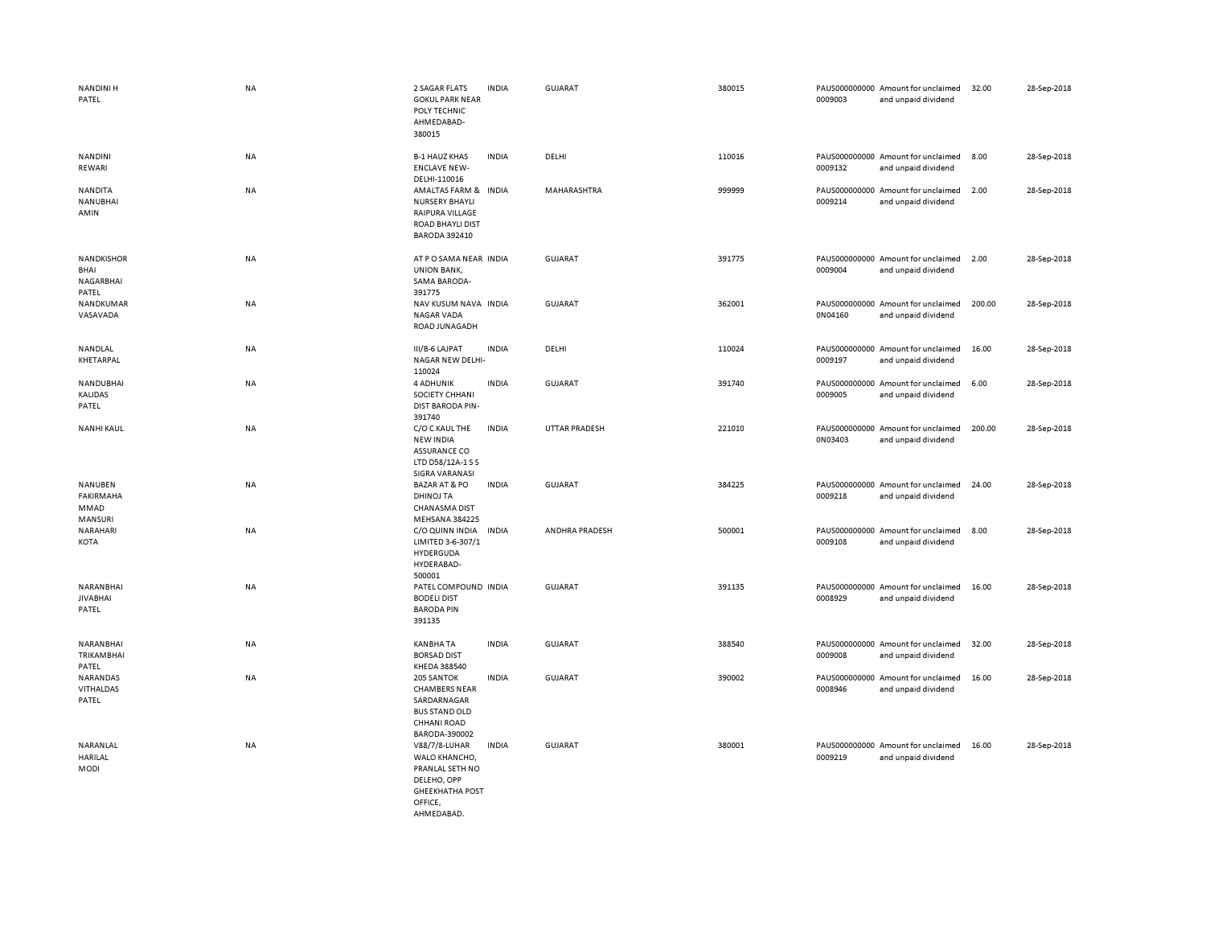| NANDINI H<br>PATEL                              | <b>NA</b> | 2 SAGAR FLATS<br><b>GOKUL PARK NEAR</b><br>POLY TECHNIC<br>AHMEDABAD-<br>380015                              | <b>INDIA</b> | GUJARAT        | 380015 | 0009003 | PAUS000000000 Amount for unclaimed<br>and unpaid dividend | 32.00  | 28-Sep-2018 |
|-------------------------------------------------|-----------|--------------------------------------------------------------------------------------------------------------|--------------|----------------|--------|---------|-----------------------------------------------------------|--------|-------------|
| NANDINI<br>REWARI                               | NA        | <b>B-1 HAUZ KHAS</b><br><b>ENCLAVE NEW-</b><br>DELHI-110016                                                  | <b>INDIA</b> | DELHI          | 110016 | 0009132 | PAUS000000000 Amount for unclaimed<br>and unpaid dividend | 8.00   | 28-Sep-2018 |
| NANDITA<br>NANUBHAI<br>AMIN                     | NA        | AMALTAS FARM & INDIA<br>NURSERY BHAYLI<br>RAIPURA VILLAGE<br><b>ROAD BHAYLI DIST</b><br><b>BARODA 392410</b> |              | MAHARASHTRA    | 999999 | 0009214 | PAUS000000000 Amount for unclaimed<br>and unpaid dividend | 2.00   | 28-Sep-2018 |
| <b>NANDKISHOR</b><br>BHAI<br>NAGARBHAI<br>PATEL | NA        | AT P O SAMA NEAR INDIA<br><b>UNION BANK,</b><br>SAMA BARODA-<br>391775                                       |              | GUJARAT        | 391775 | 0009004 | PAUS000000000 Amount for unclaimed<br>and unpaid dividend | 2.00   | 28-Sep-2018 |
| NANDKUMAR<br>VASAVADA                           | <b>NA</b> | NAV KUSUM NAVA INDIA<br><b>NAGAR VADA</b><br>ROAD JUNAGADH                                                   |              | <b>GUJARAT</b> | 362001 | 0N04160 | PAUS000000000 Amount for unclaimed<br>and unpaid dividend | 200.00 | 28-Sep-2018 |
| NANDLAL<br>KHETARPAL                            | <b>NA</b> | III/B-6 LAJPAT<br>NAGAR NEW DELHI-<br>110024                                                                 | <b>INDIA</b> | DELHI          | 110024 | 0009197 | PAUS000000000 Amount for unclaimed<br>and unpaid dividend | 16.00  | 28-Sep-2018 |
| NANDUBHAI<br><b>KALIDAS</b><br>PATEL            | <b>NA</b> | 4 ADHUNIK<br>SOCIETY CHHANI<br><b>DIST BARODA PIN-</b><br>391740                                             | <b>INDIA</b> | <b>GUJARAT</b> | 391740 | 0009005 | PAUS000000000 Amount for unclaimed<br>and unpaid dividend | 6.00   | 28-Sep-2018 |
| <b>NANHI KAUL</b>                               | NA        | C/O C KAUL THE<br><b>NEW INDIA</b><br><b>ASSURANCE CO</b><br>LTD D58/12A-1 S S<br><b>SIGRA VARANASI</b>      | <b>INDIA</b> | UTTAR PRADESH  | 221010 | 0N03403 | PAUS000000000 Amount for unclaimed<br>and unpaid dividend | 200.00 | 28-Sep-2018 |
| NANUBEN<br>FAKIRMAHA<br>MMAD<br>MANSURI         | <b>NA</b> | <b>BAZAR AT &amp; PO</b><br><b>DHINOJ TA</b><br><b>CHANASMA DIST</b><br>MEHSANA 384225                       | <b>INDIA</b> | <b>GUJARAT</b> | 384225 | 0009218 | PAUS000000000 Amount for unclaimed<br>and unpaid dividend | 24.00  | 28-Sep-2018 |
| NARAHARI<br>KOTA                                | <b>NA</b> | C/O QUINN INDIA<br>LIMITED 3-6-307/1<br>HYDERGUDA<br>HYDERABAD-<br>500001                                    | <b>INDIA</b> | ANDHRA PRADESH | 500001 | 0009108 | PAUS000000000 Amount for unclaimed<br>and unpaid dividend | 8.00   | 28-Sep-2018 |
| NARANBHAI<br><b>JIVABHAI</b><br>PATEL           | <b>NA</b> | PATEL COMPOUND INDIA<br><b>BODELI DIST</b><br><b>BARODA PIN</b><br>391135                                    |              | <b>GUJARAT</b> | 391135 | 0008929 | PAUS000000000 Amount for unclaimed<br>and unpaid dividend | 16.00  | 28-Sep-2018 |
| NARANBHAI<br>TRIKAMBHAI<br>PATEL                | NA        | <b>KANBHA TA</b><br><b>BORSAD DIST</b><br>KHEDA 388540                                                       | <b>INDIA</b> | <b>GUJARAT</b> | 388540 | 0009008 | PAUS000000000 Amount for unclaimed<br>and unpaid dividend | 32.00  | 28-Sep-2018 |
| NARANDAS<br>VITHALDAS<br>PATEL                  | NA        | 205 SANTOK<br><b>CHAMBERS NEAR</b><br>SARDARNAGAR<br><b>BUS STAND OLD</b><br>CHHANI ROAD<br>BARODA-390002    | <b>INDIA</b> | GUJARAT        | 390002 | 0008946 | PAUS000000000 Amount for unclaimed<br>and unpaid dividend | 16.00  | 28-Sep-2018 |
| NARANLAL<br><b>HARILAL</b><br>MODI              | NA        | V88/7/8-LUHAR<br>WALO KHANCHO,<br>PRANLAL SETH NO<br>DELEHO, OPP<br><b>GHEEKHATHA POST</b><br>OFFICE.        | <b>INDIA</b> | <b>GUJARAT</b> | 380001 | 0009219 | PAUS000000000 Amount for unclaimed<br>and unpaid dividend | 16.00  | 28-Sep-2018 |

AHMEDABAD.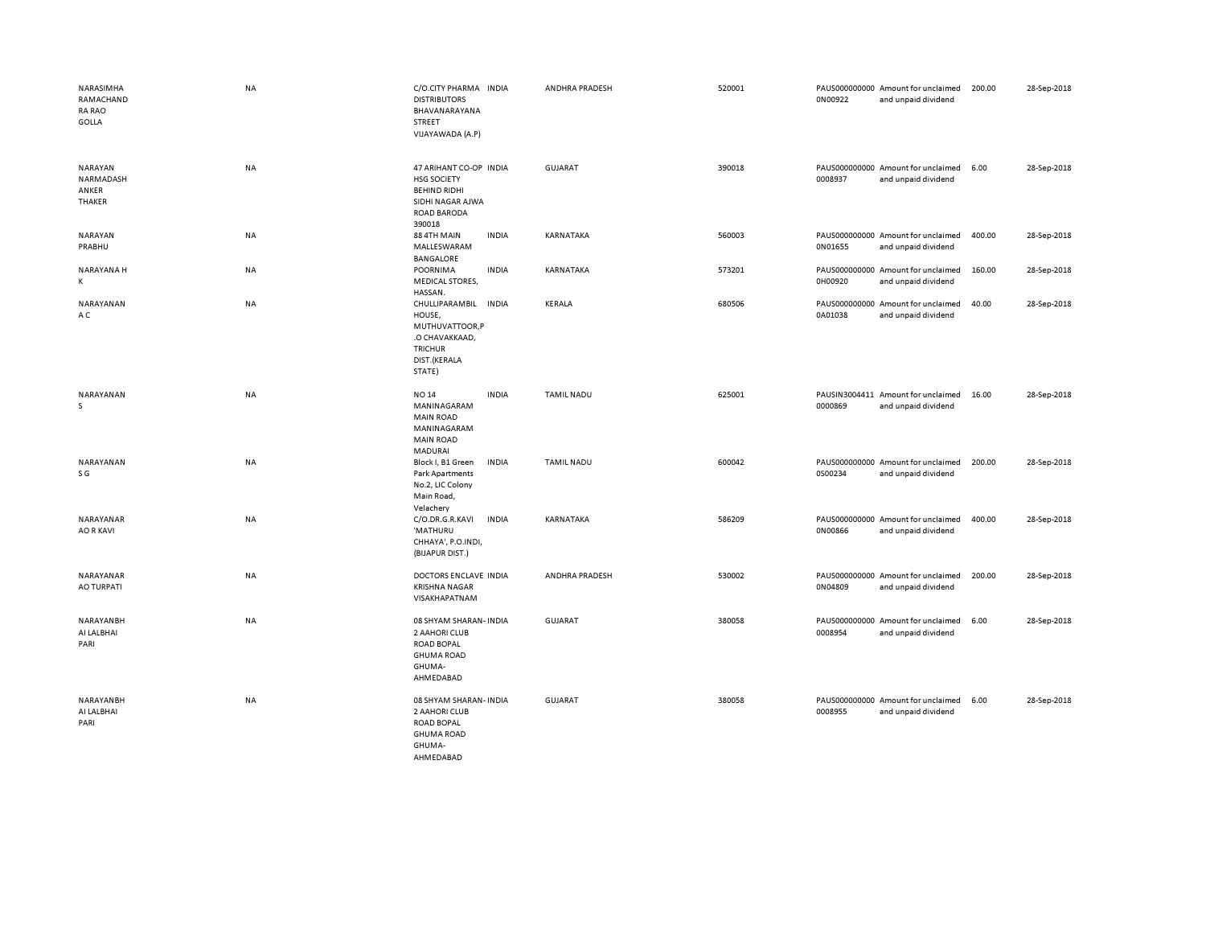| NARASIMHA<br>RAMACHAND<br><b>RA RAO</b><br>GOLLA | <b>NA</b> | C/O.CITY PHARMA INDIA<br><b>DISTRIBUTORS</b><br>BHAVANARAYANA<br><b>STREET</b><br>VIJAYAWADA (A.P)                      |              | ANDHRA PRADESH    | 520001 | 0N00922 | PAUS000000000 Amount for unclaimed<br>and unpaid dividend | 200.00 | 28-Sep-2018 |
|--------------------------------------------------|-----------|-------------------------------------------------------------------------------------------------------------------------|--------------|-------------------|--------|---------|-----------------------------------------------------------|--------|-------------|
| NARAYAN<br>NARMADASH<br>ANKER<br>THAKER          | NA        | 47 ARIHANT CO-OP INDIA<br><b>HSG SOCIETY</b><br><b>BEHIND RIDHI</b><br>SIDHI NAGAR AJWA<br><b>ROAD BARODA</b><br>390018 |              | <b>GUJARAT</b>    | 390018 | 0008937 | PAUS000000000 Amount for unclaimed<br>and unpaid dividend | 6.00   | 28-Sep-2018 |
| NARAYAN<br>PRABHU                                | NA        | 88 4TH MAIN<br>MALLESWARAM<br>BANGALORE                                                                                 | <b>INDIA</b> | KARNATAKA         | 560003 | 0N01655 | PAUS000000000 Amount for unclaimed<br>and unpaid dividend | 400.00 | 28-Sep-2018 |
| NARAYANA H<br>K                                  | <b>NA</b> | POORNIMA<br><b>MEDICAL STORES,</b><br>HASSAN.                                                                           | <b>INDIA</b> | KARNATAKA         | 573201 | 0H00920 | PAUS000000000 Amount for unclaimed<br>and unpaid dividend | 160.00 | 28-Sep-2018 |
| NARAYANAN<br>A C                                 | NA        | CHULLIPARAMBIL<br>HOUSE,<br>MUTHUVATTOOR,P<br>.O CHAVAKKAAD,<br><b>TRICHUR</b><br>DIST.(KERALA<br>STATE)                | <b>INDIA</b> | <b>KERALA</b>     | 680506 | 0A01038 | PAUS000000000 Amount for unclaimed<br>and unpaid dividend | 40.00  | 28-Sep-2018 |
| NARAYANAN<br>s                                   | NA        | <b>NO 14</b><br>MANINAGARAM<br><b>MAIN ROAD</b><br>MANINAGARAM<br><b>MAIN ROAD</b><br>MADURAI                           | <b>INDIA</b> | <b>TAMIL NADU</b> | 625001 | 0000869 | PAUSIN3004411 Amount for unclaimed<br>and unpaid dividend | 16.00  | 28-Sep-2018 |
| NARAYANAN<br>S G                                 | NA        | Block I, B1 Green<br><b>Park Apartments</b><br>No.2, LIC Colony<br>Main Road,<br>Velachery                              | <b>INDIA</b> | <b>TAMIL NADU</b> | 600042 | 0S00234 | PAUS000000000 Amount for unclaimed<br>and unpaid dividend | 200.00 | 28-Sep-2018 |
| NARAYANAR<br><b>AO R KAVI</b>                    | NA        | C/O.DR.G.R.KAVI<br>'MATHURU<br>CHHAYA', P.O.INDI,<br>(BIJAPUR DIST.)                                                    | <b>INDIA</b> | KARNATAKA         | 586209 | 0N00866 | PAUS000000000 Amount for unclaimed<br>and unpaid dividend | 400.00 | 28-Sep-2018 |
| NARAYANAR<br>AO TURPATI                          | NA        | DOCTORS ENCLAVE INDIA<br><b>KRISHNA NAGAR</b><br>VISAKHAPATNAM                                                          |              | ANDHRA PRADESH    | 530002 | 0N04809 | PAUS000000000 Amount for unclaimed<br>and unpaid dividend | 200.00 | 28-Sep-2018 |
| NARAYANBH<br>AI LALBHAI<br>PARI                  | <b>NA</b> | 08 SHYAM SHARAN- INDIA<br>2 AAHORI CLUB<br><b>ROAD BOPAL</b><br><b>GHUMA ROAD</b><br>GHUMA-<br>AHMEDABAD                |              | <b>GUJARAT</b>    | 380058 | 0008954 | PAUS000000000 Amount for unclaimed<br>and unpaid dividend | 6.00   | 28-Sep-2018 |
| NARAYANBH<br>AI LALBHAI<br>PARI                  | NA        | 08 SHYAM SHARAN- INDIA<br>2 AAHORI CLUB<br><b>ROAD BOPAL</b><br><b>GHUMA ROAD</b><br>GHUMA-<br>AHMEDABAD                |              | <b>GUJARAT</b>    | 380058 | 0008955 | PAUS000000000 Amount for unclaimed<br>and unpaid dividend | 6.00   | 28-Sep-2018 |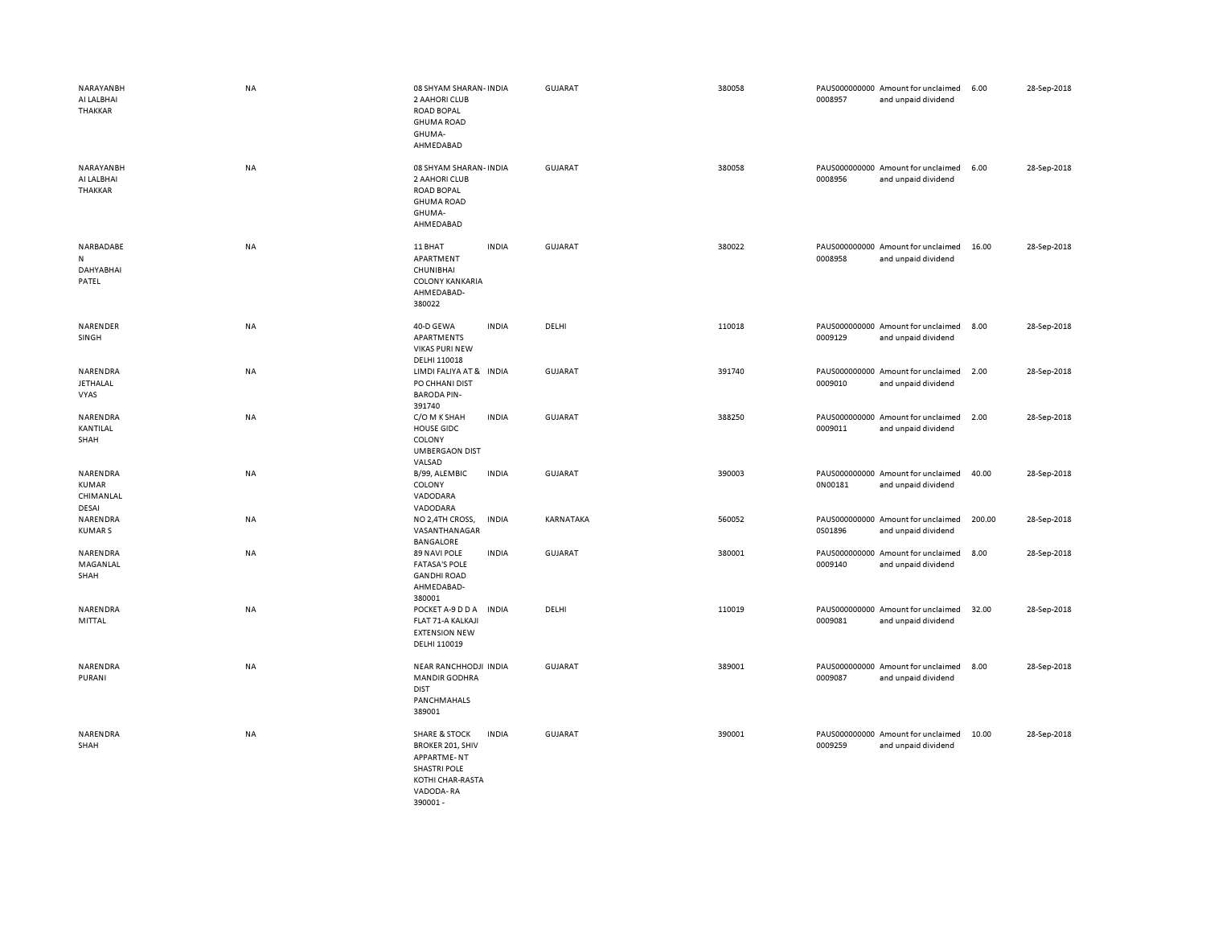| NARAYANBH<br>AI LALBHAI<br>THAKKAR             | <b>NA</b> | 08 SHYAM SHARAN- INDIA<br>2 AAHORI CLUB<br><b>ROAD BOPAL</b><br><b>GHUMA ROAD</b><br>GHUMA-<br>AHMEDABAD                                                     | GUJARAT        | 380058 | PAUS000000000 Amount for unclaimed<br>0008957<br>and unpaid dividend | 6.00<br>28-Sep-2018   |  |
|------------------------------------------------|-----------|--------------------------------------------------------------------------------------------------------------------------------------------------------------|----------------|--------|----------------------------------------------------------------------|-----------------------|--|
| NARAYANBH<br>AI LALBHAI<br><b>THAKKAR</b>      | <b>NA</b> | 08 SHYAM SHARAN- INDIA<br>2 AAHORI CLUB<br><b>ROAD BOPAL</b><br><b>GHUMA ROAD</b><br>GHUMA-<br>AHMEDABAD                                                     | GUJARAT        | 380058 | PAUS000000000 Amount for unclaimed<br>0008956<br>and unpaid dividend | 6.00<br>28-Sep-2018   |  |
| NARBADABE<br>N<br>DAHYABHAI<br>PATEL           | NA        | 11 BHAT<br><b>INDIA</b><br>APARTMENT<br>CHUNIBHAI<br><b>COLONY KANKARIA</b><br>AHMEDABAD-<br>380022                                                          | <b>GUJARAT</b> | 380022 | PAUS000000000 Amount for unclaimed<br>0008958<br>and unpaid dividend | 28-Sep-2018<br>16.00  |  |
| NARENDER<br>SINGH                              | NA        | 40-D GEWA<br><b>INDIA</b><br>APARTMENTS<br><b>VIKAS PURI NEW</b><br>DELHI 110018                                                                             | DELHI          | 110018 | PAUS000000000 Amount for unclaimed<br>0009129<br>and unpaid dividend | 8.00<br>28-Sep-2018   |  |
| NARENDRA<br><b>JETHALAL</b><br>VYAS            | NA        | LIMDI FALIYA AT & INDIA<br>PO CHHANI DIST<br><b>BARODA PIN-</b><br>391740                                                                                    | GUJARAT        | 391740 | PAUS000000000 Amount for unclaimed<br>0009010<br>and unpaid dividend | 2.00<br>28-Sep-2018   |  |
| NARENDRA<br>KANTILAL<br>SHAH                   | NA        | C/O M K SHAH<br><b>INDIA</b><br><b>HOUSE GIDC</b><br>COLONY<br><b>UMBERGAON DIST</b><br>VALSAD                                                               | <b>GUJARAT</b> | 388250 | PAUS000000000 Amount for unclaimed<br>0009011<br>and unpaid dividend | 2.00<br>28-Sep-2018   |  |
| NARENDRA<br><b>KUMAR</b><br>CHIMANLAL<br>DESAI | NA        | <b>INDIA</b><br>B/99, ALEMBIC<br>COLONY<br>VADODARA<br>VADODARA                                                                                              | GUJARAT        | 390003 | PAUS000000000 Amount for unclaimed<br>0N00181<br>and unpaid dividend | 40.00<br>28-Sep-2018  |  |
| NARENDRA<br><b>KUMARS</b>                      | <b>NA</b> | NO 2,4TH CROSS,<br><b>INDIA</b><br>VASANTHANAGAR<br>BANGALORE                                                                                                | KARNATAKA      | 560052 | PAUS000000000 Amount for unclaimed<br>0S01896<br>and unpaid dividend | 200.00<br>28-Sep-2018 |  |
| NARENDRA<br>MAGANLAL<br>SHAH                   | NA        | <b>INDIA</b><br>89 NAVI POLE<br><b>FATASA'S POLE</b><br><b>GANDHI ROAD</b><br>AHMEDABAD-<br>380001                                                           | <b>GUJARAT</b> | 380001 | PAUS000000000 Amount for unclaimed<br>0009140<br>and unpaid dividend | 28-Sep-2018<br>8.00   |  |
| NARENDRA<br>MITTAL                             | <b>NA</b> | POCKET A-9 D D A<br><b>INDIA</b><br>FLAT 71-A KALKAJI<br><b>EXTENSION NEW</b><br>DELHI 110019                                                                | DELHI          | 110019 | PAUS000000000 Amount for unclaimed<br>0009081<br>and unpaid dividend | 28-Sep-2018<br>32.00  |  |
| NARENDRA<br>PURANI                             | NA        | NEAR RANCHHODJI INDIA<br><b>MANDIR GODHRA</b><br><b>DIST</b><br>PANCHMAHALS<br>389001                                                                        | GUJARAT        | 389001 | PAUS000000000 Amount for unclaimed<br>0009087<br>and unpaid dividend | 28-Sep-2018<br>8.00   |  |
| NARENDRA<br>SHAH                               | <b>NA</b> | <b>SHARE &amp; STOCK</b><br><b>INDIA</b><br><b>BROKER 201, SHIV</b><br><b>APPARTME-NT</b><br><b>SHASTRI POLE</b><br>KOTHI CHAR-RASTA<br>VADODA-RA<br>390001- | GUJARAT        | 390001 | PAUS000000000 Amount for unclaimed<br>0009259<br>and unpaid dividend | 10.00<br>28-Sep-2018  |  |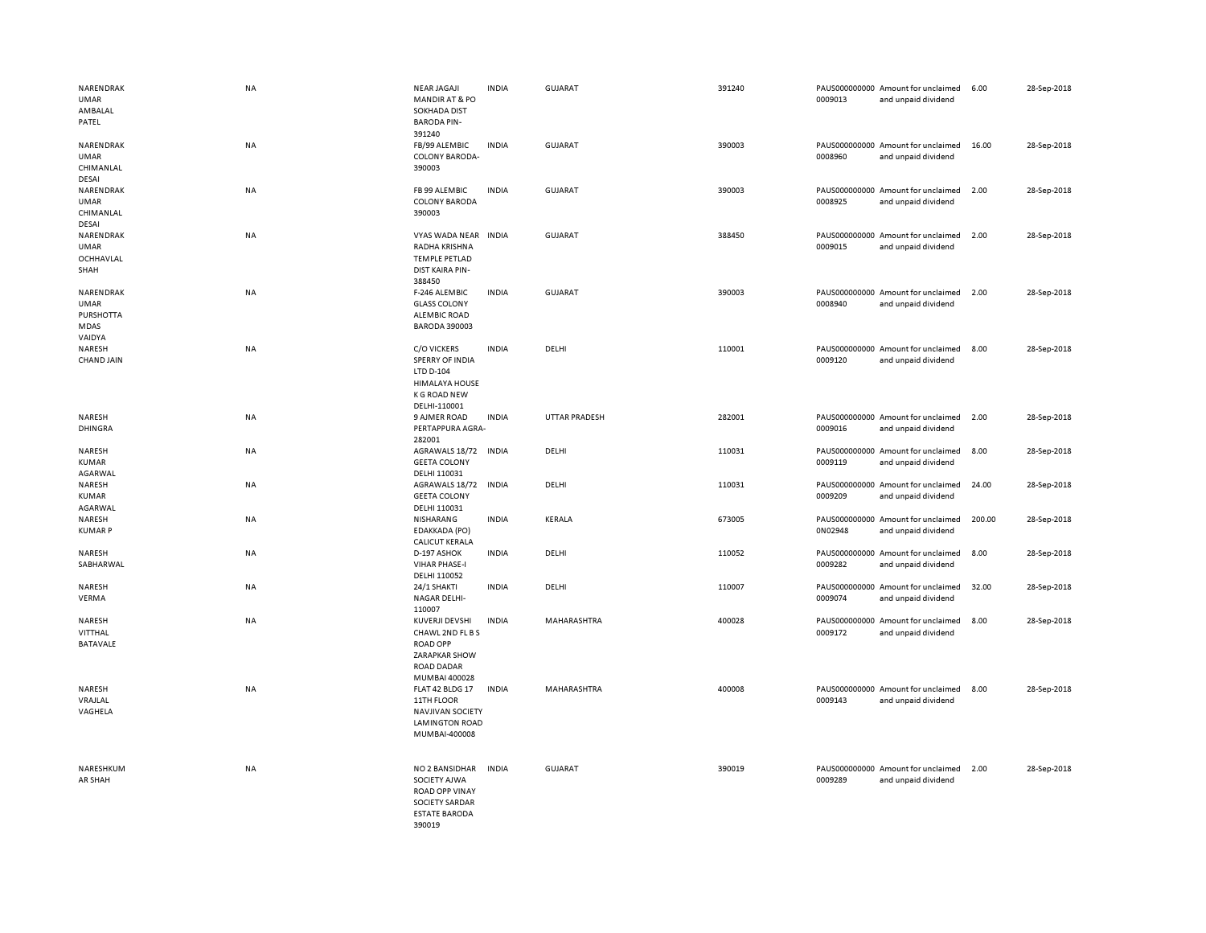| NARENDRAK<br>UMAR<br>AMBALAL<br>PATEL                   | <b>NA</b> | <b>NEAR JAGAJI</b><br><b>MANDIR AT &amp; PO</b><br><b>SOKHADA DIST</b><br><b>BARODA PIN-</b><br>391240                    | <b>INDIA</b> | GUJARAT        | 391240 | 0009013 | PAUS000000000 Amount for unclaimed<br>and unpaid dividend | 6.00   | 28-Sep-2018 |
|---------------------------------------------------------|-----------|---------------------------------------------------------------------------------------------------------------------------|--------------|----------------|--------|---------|-----------------------------------------------------------|--------|-------------|
| NARENDRAK<br>UMAR<br>CHIMANLAL<br>DESAI                 | NA        | FB/99 ALEMBIC<br><b>COLONY BARODA-</b><br>390003                                                                          | <b>INDIA</b> | GUJARAT        | 390003 | 0008960 | PAUS000000000 Amount for unclaimed<br>and unpaid dividend | 16.00  | 28-Sep-2018 |
| NARENDRAK<br><b>UMAR</b><br>CHIMANLAL<br><b>DESAI</b>   | NA        | FB 99 ALEMBIC<br><b>COLONY BARODA</b><br>390003                                                                           | <b>INDIA</b> | <b>GUJARAT</b> | 390003 | 0008925 | PAUS000000000 Amount for unclaimed<br>and unpaid dividend | 2.00   | 28-Sep-2018 |
| NARENDRAK<br>UMAR<br>OCHHAVLAL<br>SHAH                  | NA        | VYAS WADA NEAR<br>RADHA KRISHNA<br><b>TEMPLE PETLAD</b><br><b>DIST KAIRA PIN-</b><br>388450                               | <b>INDIA</b> | GUJARAT        | 388450 | 0009015 | PAUS000000000 Amount for unclaimed<br>and unpaid dividend | 2.00   | 28-Sep-2018 |
| NARENDRAK<br>UMAR<br><b>PURSHOTTA</b><br>MDAS<br>VAIDYA | NA        | F-246 ALEMBIC<br><b>GLASS COLONY</b><br><b>ALEMBIC ROAD</b><br><b>BARODA 390003</b>                                       | <b>INDIA</b> | GUJARAT        | 390003 | 0008940 | PAUS000000000 Amount for unclaimed<br>and unpaid dividend | 2.00   | 28-Sep-2018 |
| NARESH<br><b>CHAND JAIN</b>                             | <b>NA</b> | <b>C/O VICKERS</b><br><b>SPERRY OF INDIA</b><br>LTD D-104<br><b>HIMALAYA HOUSE</b><br><b>K G ROAD NEW</b><br>DELHI-110001 | <b>INDIA</b> | DELHI          | 110001 | 0009120 | PAUS000000000 Amount for unclaimed<br>and unpaid dividend | 8.00   | 28-Sep-2018 |
| NARESH<br><b>DHINGRA</b>                                | NA        | 9 AJMER ROAD<br>PERTAPPURA AGRA-<br>282001                                                                                | <b>INDIA</b> | UTTAR PRADESH  | 282001 | 0009016 | PAUS000000000 Amount for unclaimed<br>and unpaid dividend | 2.00   | 28-Sep-2018 |
| NARESH<br>KUMAR<br>AGARWAL                              | NA        | AGRAWALS 18/72 INDIA<br><b>GEETA COLONY</b><br>DELHI 110031                                                               |              | DELHI          | 110031 | 0009119 | PAUS000000000 Amount for unclaimed<br>and unpaid dividend | 8.00   | 28-Sep-2018 |
| NARESH<br>KUMAR<br>AGARWAL                              | NA        | AGRAWALS 18/72<br><b>GEETA COLONY</b><br>DELHI 110031                                                                     | INDIA        | DELHI          | 110031 | 0009209 | PAUS000000000 Amount for unclaimed<br>and unpaid dividend | 24.00  | 28-Sep-2018 |
| NARESH<br><b>KUMARP</b>                                 | NA        | NISHARANG<br>EDAKKADA (PO)<br><b>CALICUT KERALA</b>                                                                       | <b>INDIA</b> | KERALA         | 673005 | 0N02948 | PAUS000000000 Amount for unclaimed<br>and unpaid dividend | 200.00 | 28-Sep-2018 |
| NARESH<br>SABHARWAL                                     | NA        | D-197 ASHOK<br><b>VIHAR PHASE-I</b><br>DELHI 110052                                                                       | <b>INDIA</b> | DELHI          | 110052 | 0009282 | PAUS000000000 Amount for unclaimed<br>and unpaid dividend | 8.00   | 28-Sep-2018 |
| NARESH<br>VERMA                                         | NA        | 24/1 SHAKTI<br><b>NAGAR DELHI-</b><br>110007                                                                              | <b>INDIA</b> | DELHI          | 110007 | 0009074 | PAUS000000000 Amount for unclaimed<br>and unpaid dividend | 32.00  | 28-Sep-2018 |
| NARESH<br>VITTHAL<br><b>BATAVALE</b>                    | NA        | KUVERJI DEVSHI<br>CHAWL 2ND FL B S<br><b>ROAD OPP</b><br><b>ZARAPKAR SHOW</b><br><b>ROAD DADAR</b><br>MUMBAI 400028       | <b>INDIA</b> | MAHARASHTRA    | 400028 | 0009172 | PAUS000000000 Amount for unclaimed<br>and unpaid dividend | 8.00   | 28-Sep-2018 |
| NARESH<br>VRAJLAL<br>VAGHELA                            | NA        | FLAT 42 BLDG 17<br>11TH FLOOR<br><b>NAVJIVAN SOCIETY</b><br><b>LAMINGTON ROAD</b><br>MUMBAI-400008                        | <b>INDIA</b> | MAHARASHTRA    | 400008 | 0009143 | PAUS000000000 Amount for unclaimed<br>and unpaid dividend | 8.00   | 28-Sep-2018 |
| NARESHKUM<br>AR SHAH                                    | NA        | NO 2 BANSIDHAR<br>SOCIETY AJWA<br><b>ROAD OPP VINAY</b><br><b>SOCIETY SARDAR</b><br><b>ESTATE BARODA</b><br>390019        | <b>INDIA</b> | <b>GUJARAT</b> | 390019 | 0009289 | PAUS000000000 Amount for unclaimed<br>and unpaid dividend | 2.00   | 28-Sep-2018 |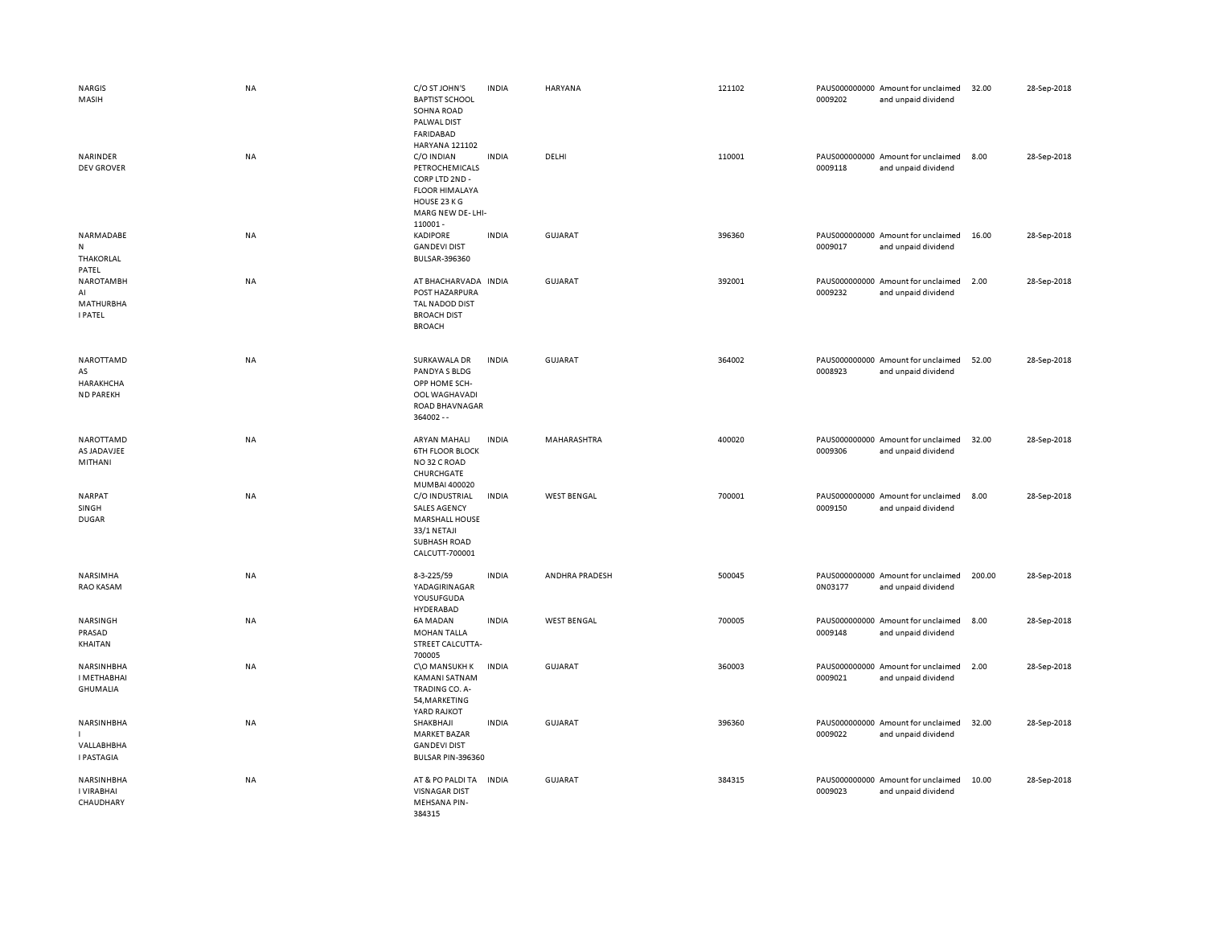| <b>NARGIS</b><br>MASIH                              | NA        | C/O ST JOHN'S<br><b>BAPTIST SCHOOL</b><br>SOHNA ROAD<br>PALWAL DIST<br><b>FARIDABAD</b>                                                  | <b>INDIA</b> | HARYANA            | 121102 | 0009202 | PAUS000000000 Amount for unclaimed<br>and unpaid dividend | 32.00  | 28-Sep-2018 |
|-----------------------------------------------------|-----------|------------------------------------------------------------------------------------------------------------------------------------------|--------------|--------------------|--------|---------|-----------------------------------------------------------|--------|-------------|
| NARINDER<br><b>DEV GROVER</b>                       | <b>NA</b> | HARYANA 121102<br>C/O INDIAN<br>PETROCHEMICALS<br>CORP LTD 2ND -<br><b>FLOOR HIMALAYA</b><br>HOUSE 23 K G<br>MARG NEW DE-LHI-<br>110001- | <b>INDIA</b> | DELHI              | 110001 | 0009118 | PAUS000000000 Amount for unclaimed<br>and unpaid dividend | 8.00   | 28-Sep-2018 |
| NARMADABE<br>N<br>THAKORLAL<br>PATEL                | NA        | <b>KADIPORE</b><br><b>GANDEVI DIST</b><br>BULSAR-396360                                                                                  | <b>INDIA</b> | <b>GUJARAT</b>     | 396360 | 0009017 | PAUS000000000 Amount for unclaimed<br>and unpaid dividend | 16.00  | 28-Sep-2018 |
| NAROTAMBH<br>AI<br>MATHURBHA<br><b>I PATEL</b>      | <b>NA</b> | AT BHACHARVADA INDIA<br>POST HAZARPURA<br>TAL NADOD DIST<br><b>BROACH DIST</b><br><b>BROACH</b>                                          |              | <b>GUJARAT</b>     | 392001 | 0009232 | PAUS000000000 Amount for unclaimed<br>and unpaid dividend | 2.00   | 28-Sep-2018 |
| NAROTTAMD<br>AS<br>HARAKHCHA<br><b>ND PAREKH</b>    | NA        | SURKAWALA DR<br>PANDYA S BLDG<br>OPP HOME SCH-<br>OOL WAGHAVADI<br>ROAD BHAVNAGAR<br>364002 --                                           | <b>INDIA</b> | GUJARAT            | 364002 | 0008923 | PAUS000000000 Amount for unclaimed<br>and unpaid dividend | 52.00  | 28-Sep-2018 |
| NAROTTAMD<br>AS JADAVJEE<br>MITHANI                 | NA        | ARYAN MAHALI<br><b>6TH FLOOR BLOCK</b><br>NO32 C ROAD<br>CHURCHGATE<br>MUMBAI 400020                                                     | <b>INDIA</b> | MAHARASHTRA        | 400020 | 0009306 | PAUS000000000 Amount for unclaimed<br>and unpaid dividend | 32.00  | 28-Sep-2018 |
| NARPAT<br>SINGH<br><b>DUGAR</b>                     | NA        | C/O INDUSTRIAL<br><b>SALES AGENCY</b><br><b>MARSHALL HOUSE</b><br>33/1 NETAJI<br><b>SUBHASH ROAD</b><br>CALCUTT-700001                   | <b>INDIA</b> | <b>WEST BENGAL</b> | 700001 | 0009150 | PAUS000000000 Amount for unclaimed<br>and unpaid dividend | 8.00   | 28-Sep-2018 |
| NARSIMHA<br>RAO KASAM                               | NA        | 8-3-225/59<br>YADAGIRINAGAR<br>YOUSUFGUDA<br>HYDERABAD                                                                                   | <b>INDIA</b> | ANDHRA PRADESH     | 500045 | 0N03177 | PAUS000000000 Amount for unclaimed<br>and unpaid dividend | 200.00 | 28-Sep-2018 |
| NARSINGH<br>PRASAD<br>KHAITAN                       | NA        | 6A MADAN<br><b>MOHAN TALLA</b><br>STREET CALCUTTA-<br>700005                                                                             | <b>INDIA</b> | <b>WEST BENGAL</b> | 700005 | 0009148 | PAUS000000000 Amount for unclaimed<br>and unpaid dividend | 8.00   | 28-Sep-2018 |
| NARSINHBHA<br><b>I METHABHAI</b><br><b>GHUMALIA</b> | NA        | C\O MANSUKH K<br>KAMANI SATNAM<br>TRADING CO. A-<br>54, MARKETING<br>YARD RAJKOT                                                         | <b>INDIA</b> | <b>GUJARAT</b>     | 360003 | 0009021 | PAUS000000000 Amount for unclaimed<br>and unpaid dividend | 2.00   | 28-Sep-2018 |
| NARSINHBHA<br>VALLABHBHA<br><b>I PASTAGIA</b>       | NA        | SHAKBHAJI<br><b>MARKET BAZAR</b><br><b>GANDEVI DIST</b><br>BULSAR PIN-396360                                                             | <b>INDIA</b> | <b>GUJARAT</b>     | 396360 | 0009022 | PAUS000000000 Amount for unclaimed<br>and unpaid dividend | 32.00  | 28-Sep-2018 |
| NARSINHBHA<br>I VIRABHAI<br>CHAUDHARY               | NA        | AT & PO PALDI TA<br><b>VISNAGAR DIST</b><br>MEHSANA PIN-<br>384315                                                                       | <b>INDIA</b> | GUJARAT            | 384315 | 0009023 | PAUS000000000 Amount for unclaimed<br>and unpaid dividend | 10.00  | 28-Sep-2018 |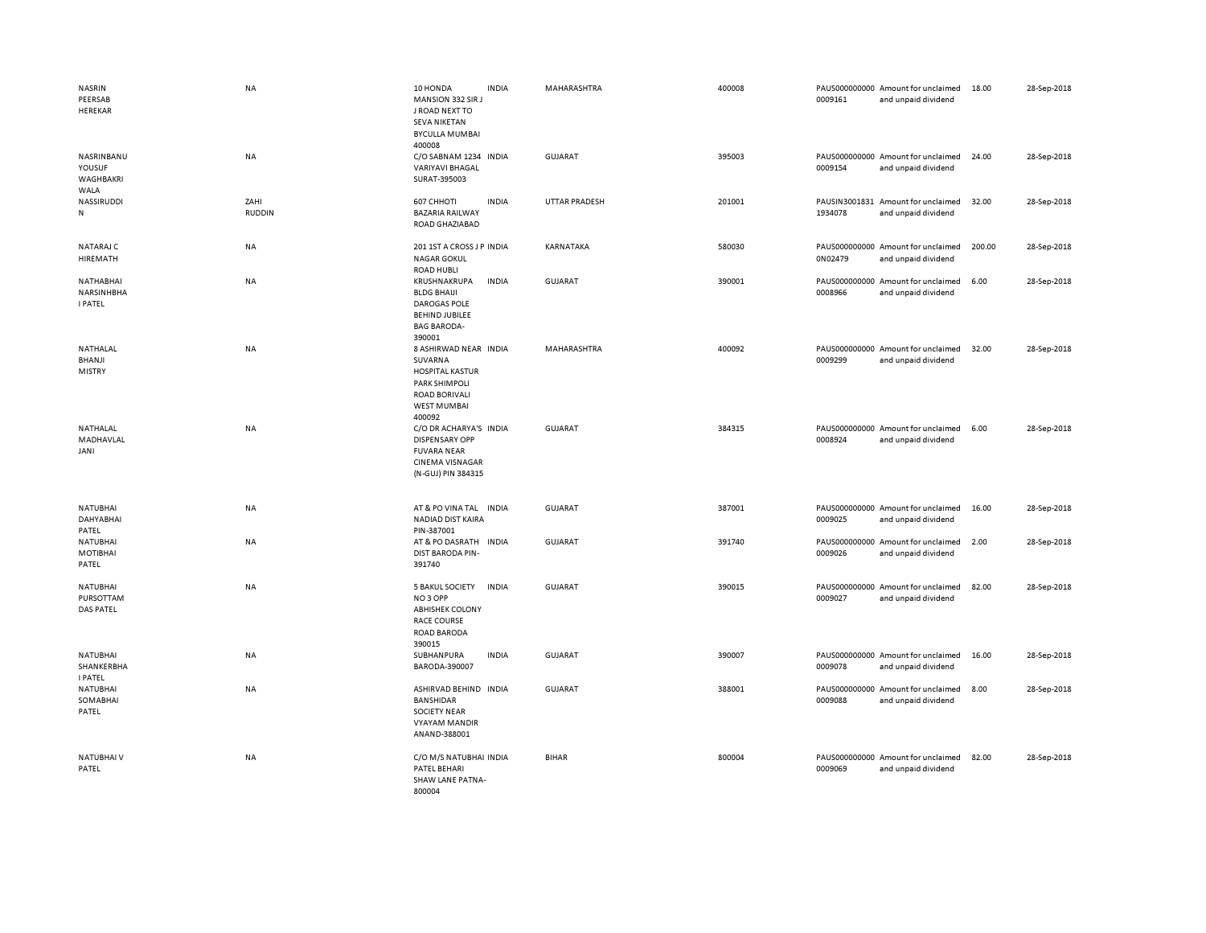| <b>NASRIN</b><br>PEERSAB<br>HEREKAR              | <b>NA</b>             | 10 HONDA<br><b>INDIA</b><br>MANSION 332 SIR J<br>J ROAD NEXT TO<br><b>SEVA NIKETAN</b><br><b>BYCULLA MUMBAI</b><br>400008                  | MAHARASHTRA          | 400008 | PAUS000000000 Amount for unclaimed<br>0009161<br>and unpaid dividend | 18.00  | 28-Sep-2018 |
|--------------------------------------------------|-----------------------|--------------------------------------------------------------------------------------------------------------------------------------------|----------------------|--------|----------------------------------------------------------------------|--------|-------------|
| NASRINBANU<br>YOUSUF<br>WAGHBAKRI<br>WALA        | NA                    | C/O SABNAM 1234 INDIA<br><b>VARIYAVI BHAGAL</b><br>SURAT-395003                                                                            | <b>GUJARAT</b>       | 395003 | PAUS000000000 Amount for unclaimed<br>0009154<br>and unpaid dividend | 24.00  | 28-Sep-2018 |
| NASSIRUDDI<br>N                                  | ZAHI<br><b>RUDDIN</b> | 607 CHHOTI<br><b>INDIA</b><br><b>BAZARIA RAILWAY</b><br>ROAD GHAZIABAD                                                                     | <b>UTTAR PRADESH</b> | 201001 | PAUSIN3001831 Amount for unclaimed<br>1934078<br>and unpaid dividend | 32.00  | 28-Sep-2018 |
| NATARAJ C<br>HIREMATH                            | NA                    | 201 1ST A CROSS J P INDIA<br><b>NAGAR GOKUL</b><br><b>ROAD HUBLI</b>                                                                       | KARNATAKA            | 580030 | PAUS000000000 Amount for unclaimed<br>0N02479<br>and unpaid dividend | 200.00 | 28-Sep-2018 |
| NATHABHAI<br>NARSINHBHA<br><b>I PATEL</b>        | NA                    | KRUSHNAKRUPA<br><b>INDIA</b><br><b>BLDG BHAIJI</b><br><b>DAROGAS POLE</b><br><b>BEHIND JUBILEE</b><br><b>BAG BARODA-</b><br>390001         | GUJARAT              | 390001 | PAUS000000000 Amount for unclaimed<br>0008966<br>and unpaid dividend | 6.00   | 28-Sep-2018 |
| NATHALAL<br>BHANJI<br><b>MISTRY</b>              | <b>NA</b>             | 8 ASHIRWAD NEAR INDIA<br>SUVARNA<br><b>HOSPITAL KASTUR</b><br><b>PARK SHIMPOLI</b><br><b>ROAD BORIVALI</b><br><b>WEST MUMBAI</b><br>400092 | MAHARASHTRA          | 400092 | PAUS000000000 Amount for unclaimed<br>0009299<br>and unpaid dividend | 32.00  | 28-Sep-2018 |
| NATHALAL<br>MADHAVLAL<br>JANI                    | <b>NA</b>             | C/O DR ACHARYA'S INDIA<br><b>DISPENSARY OPP</b><br><b>FUVARA NEAR</b><br><b>CINEMA VISNAGAR</b><br>(N-GUJ) PIN 384315                      | <b>GUJARAT</b>       | 384315 | PAUS000000000 Amount for unclaimed<br>0008924<br>and unpaid dividend | 6.00   | 28-Sep-2018 |
| <b>NATUBHAI</b><br>DAHYABHAI<br>PATEL            | NA                    | AT & PO VINA TAL INDIA<br>NADIAD DIST KAIRA<br>PIN-387001                                                                                  | <b>GUJARAT</b>       | 387001 | PAUS000000000 Amount for unclaimed<br>0009025<br>and unpaid dividend | 16.00  | 28-Sep-2018 |
| NATUBHAI<br><b>MOTIBHAI</b><br>PATEL             | NA                    | AT & PO DASRATH INDIA<br>DIST BARODA PIN-<br>391740                                                                                        | GUJARAT              | 391740 | PAUS000000000 Amount for unclaimed<br>0009026<br>and unpaid dividend | 2.00   | 28-Sep-2018 |
| <b>NATUBHAI</b><br>PURSOTTAM<br><b>DAS PATEL</b> | NA                    | <b>INDIA</b><br><b>5 BAKUL SOCIETY</b><br>NO <sub>3</sub> OPP<br><b>ABHISHEK COLONY</b><br><b>RACE COURSE</b><br>ROAD BARODA<br>390015     | <b>GUJARAT</b>       | 390015 | PAUS000000000 Amount for unclaimed<br>0009027<br>and unpaid dividend | 82.00  | 28-Sep-2018 |
| <b>NATUBHAI</b><br>SHANKERBHA<br><b>I PATEL</b>  | <b>NA</b>             | SUBHANPURA<br><b>INDIA</b><br>BARODA-390007                                                                                                | <b>GUJARAT</b>       | 390007 | PAUS000000000 Amount for unclaimed<br>0009078<br>and unpaid dividend | 16.00  | 28-Sep-2018 |
| NATUBHAI<br>SOMABHAI<br>PATEL                    | NA                    | ASHIRVAD BEHIND INDIA<br>BANSHIDAR<br><b>SOCIETY NEAR</b><br><b>VYAYAM MANDIR</b><br>ANAND-388001                                          | <b>GUJARAT</b>       | 388001 | PAUS000000000 Amount for unclaimed<br>0009088<br>and unpaid dividend | 8.00   | 28-Sep-2018 |
| NATUBHAI V<br>PATEL                              | <b>NA</b>             | C/O M/S NATUBHAI INDIA<br>PATEL BEHARI<br><b>SHAW LANE PATNA-</b><br>800004                                                                | <b>BIHAR</b>         | 800004 | PAUS000000000 Amount for unclaimed<br>0009069<br>and unpaid dividend | 82.00  | 28-Sep-2018 |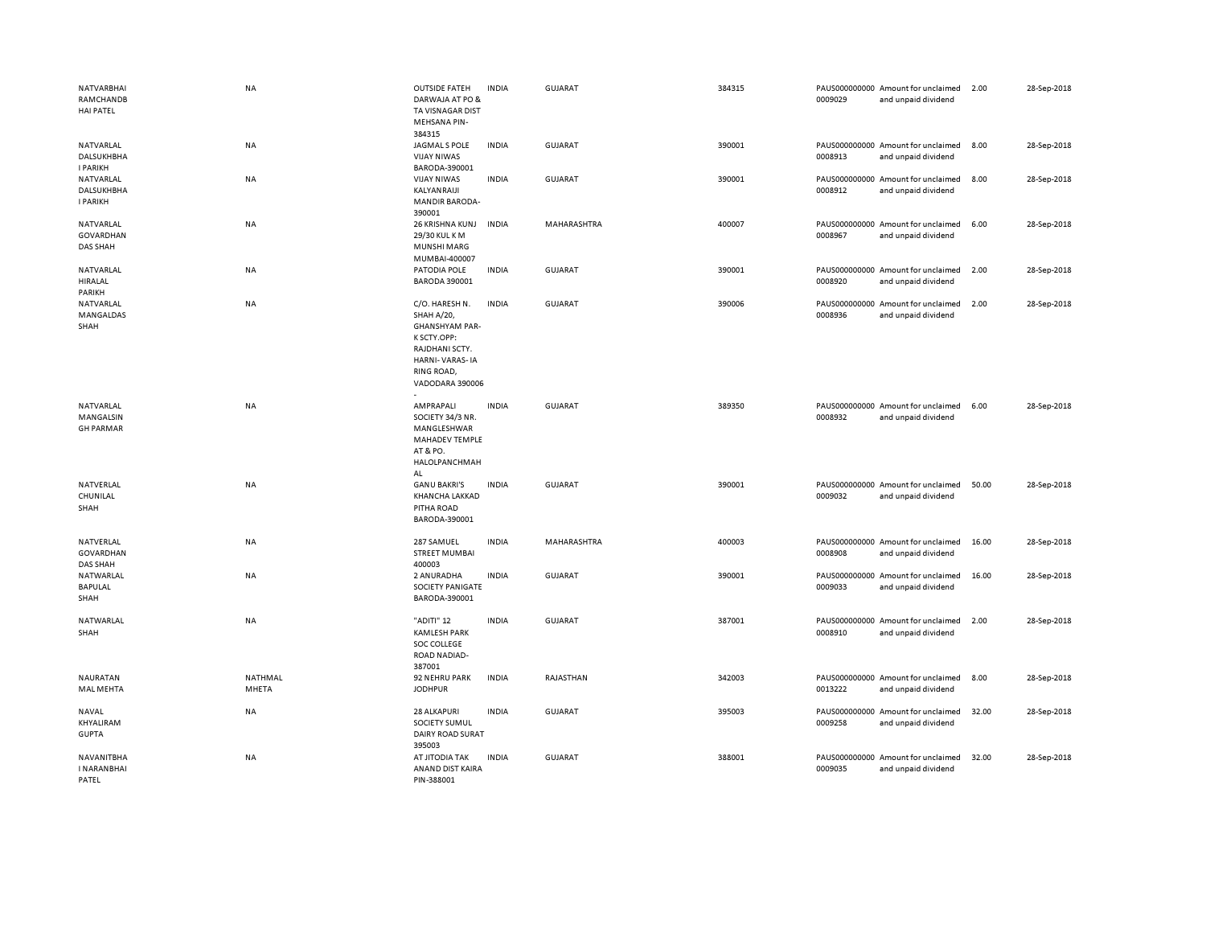| NATVARBHAI<br>RAMCHANDB<br><b>HAI PATEL</b> | <b>NA</b>        | <b>OUTSIDE FATEH</b><br>DARWAJA AT PO &<br>TA VISNAGAR DIST<br><b>MEHSANA PIN-</b><br>384315                                                     | <b>INDIA</b> | <b>GUJARAT</b> | 384315 | 0009029 | PAUS000000000 Amount for unclaimed<br>and unpaid dividend | 2.00  | 28-Sep-2018 |
|---------------------------------------------|------------------|--------------------------------------------------------------------------------------------------------------------------------------------------|--------------|----------------|--------|---------|-----------------------------------------------------------|-------|-------------|
| NATVARLAL<br>DALSUKHBHA<br><b>I PARIKH</b>  | <b>NA</b>        | JAGMAL S POLE<br><b>VIJAY NIWAS</b><br>BARODA-390001                                                                                             | <b>INDIA</b> | <b>GUJARAT</b> | 390001 | 0008913 | PAUS000000000 Amount for unclaimed<br>and unpaid dividend | 8.00  | 28-Sep-2018 |
| NATVARLAL<br>DALSUKHBHA<br><b>I PARIKH</b>  | NA               | <b>VIJAY NIWAS</b><br>KALYANRAIJI<br><b>MANDIR BARODA-</b><br>390001                                                                             | <b>INDIA</b> | <b>GUJARAT</b> | 390001 | 0008912 | PAUS000000000 Amount for unclaimed<br>and unpaid dividend | 8.00  | 28-Sep-2018 |
| NATVARLAL<br>GOVARDHAN<br><b>DAS SHAH</b>   | <b>NA</b>        | 26 KRISHNA KUNJ<br>29/30 KUL KM<br>MUNSHI MARG<br>MUMBAI-400007                                                                                  | <b>INDIA</b> | MAHARASHTRA    | 400007 | 0008967 | PAUS000000000 Amount for unclaimed<br>and unpaid dividend | 6.00  | 28-Sep-2018 |
| NATVARLAL<br>HIRALAL<br>PARIKH              | <b>NA</b>        | PATODIA POLE<br><b>BARODA 390001</b>                                                                                                             | <b>INDIA</b> | <b>GUJARAT</b> | 390001 | 0008920 | PAUS000000000 Amount for unclaimed<br>and unpaid dividend | 2.00  | 28-Sep-2018 |
| NATVARLAL<br>MANGALDAS<br>SHAH              | NA               | C/O. HARESH N.<br>SHAH A/20,<br><b>GHANSHYAM PAR-</b><br>K SCTY.OPP:<br>RAJDHANI SCTY.<br><b>HARNI-VARAS-IA</b><br>RING ROAD,<br>VADODARA 390006 | <b>INDIA</b> | <b>GUJARAT</b> | 390006 | 0008936 | PAUS000000000 Amount for unclaimed<br>and unpaid dividend | 2.00  | 28-Sep-2018 |
| NATVARLAL<br>MANGALSIN<br><b>GH PARMAR</b>  | <b>NA</b>        | AMPRAPALI<br>SOCIETY 34/3 NR.<br>MANGLESHWAR<br>MAHADEV TEMPLE<br>AT & PO.<br>HALOLPANCHMAH<br>AL                                                | <b>INDIA</b> | GUJARAT        | 389350 | 0008932 | PAUS000000000 Amount for unclaimed<br>and unpaid dividend | 6.00  | 28-Sep-2018 |
| NATVERLAL<br>CHUNILAL<br>SHAH               | <b>NA</b>        | <b>GANU BAKRI'S</b><br>KHANCHA LAKKAD<br>PITHA ROAD<br>BARODA-390001                                                                             | <b>INDIA</b> | <b>GUJARAT</b> | 390001 | 0009032 | PAUS000000000 Amount for unclaimed<br>and unpaid dividend | 50.00 | 28-Sep-2018 |
| NATVERLAL<br>GOVARDHAN<br>DAS SHAH          | <b>NA</b>        | 287 SAMUEL<br><b>STREET MUMBAI</b><br>400003                                                                                                     | <b>INDIA</b> | MAHARASHTRA    | 400003 | 0008908 | PAUS000000000 Amount for unclaimed<br>and unpaid dividend | 16.00 | 28-Sep-2018 |
| NATWARLAL<br>BAPULAL<br>SHAH                | NA               | 2 ANURADHA<br>SOCIETY PANIGATE<br>BARODA-390001                                                                                                  | <b>INDIA</b> | <b>GUJARAT</b> | 390001 | 0009033 | PAUS000000000 Amount for unclaimed<br>and unpaid dividend | 16.00 | 28-Sep-2018 |
| NATWARLAL<br>SHAH                           | <b>NA</b>        | "ADITI" 12<br><b>KAMLESH PARK</b><br>SOC COLLEGE<br>ROAD NADIAD-<br>387001                                                                       | <b>INDIA</b> | <b>GUJARAT</b> | 387001 | 0008910 | PAUS000000000 Amount for unclaimed<br>and unpaid dividend | 2.00  | 28-Sep-2018 |
| NAURATAN<br>MAL MEHTA                       | NATHMAL<br>MHETA | 92 NEHRU PARK<br><b>JODHPUR</b>                                                                                                                  | <b>INDIA</b> | RAJASTHAN      | 342003 | 0013222 | PAUS000000000 Amount for unclaimed<br>and unpaid dividend | 8.00  | 28-Sep-2018 |
| NAVAL<br>KHYALIRAM<br><b>GUPTA</b>          | NA               | <b>28 ALKAPURI</b><br>SOCIETY SUMUL<br>DAIRY ROAD SURAT<br>395003                                                                                | <b>INDIA</b> | <b>GUJARAT</b> | 395003 | 0009258 | PAUS000000000 Amount for unclaimed<br>and unpaid dividend | 32.00 | 28-Sep-2018 |
| NAVANITBHA<br><b>INARANBHAI</b><br>PATFI    | <b>NA</b>        | AT JITODIA TAK<br>ANAND DIST KAIRA<br>PIN-388001                                                                                                 | <b>INDIA</b> | GUJARAT        | 388001 | 0009035 | PAUS000000000 Amount for unclaimed<br>and unpaid dividend | 32.00 | 28-Sep-2018 |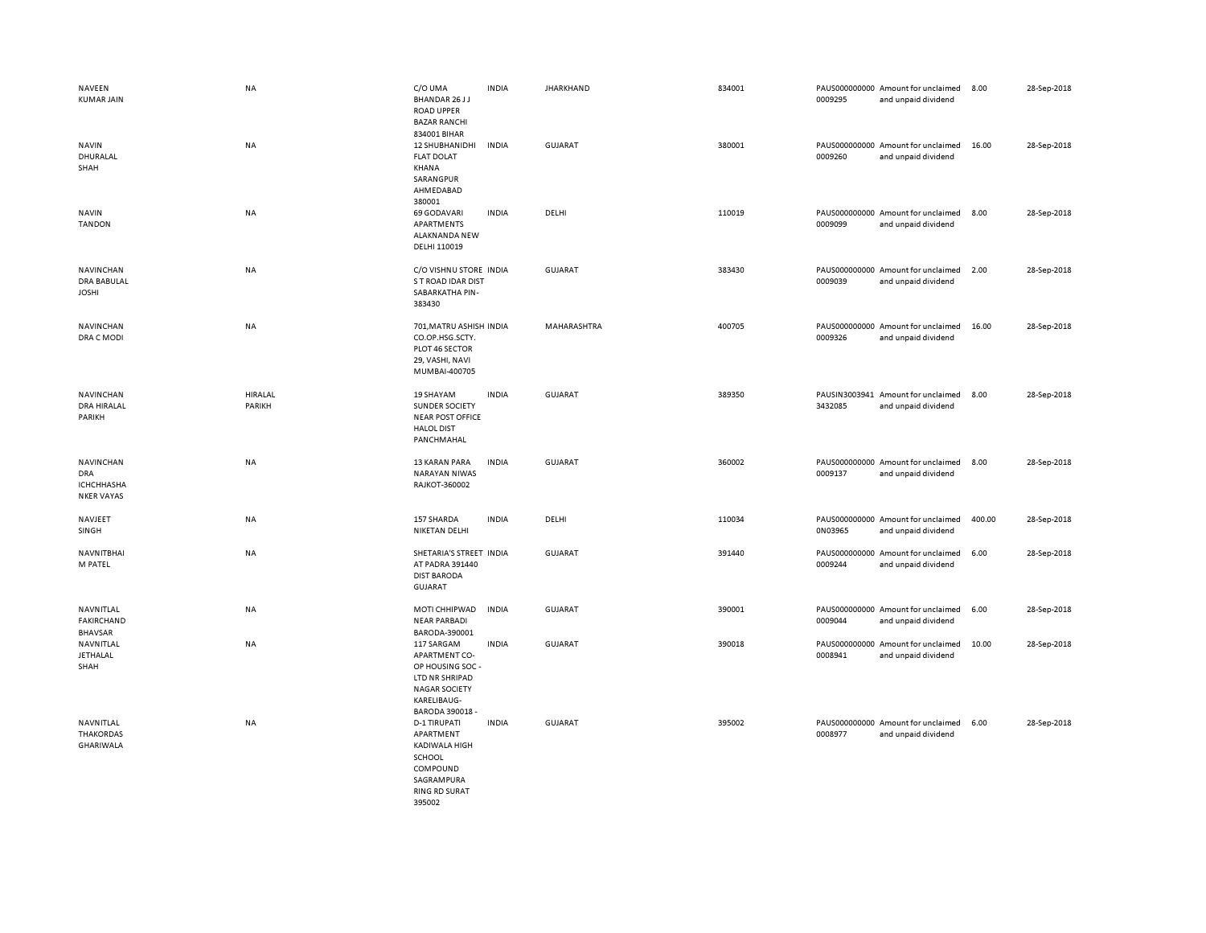| NAVEEN<br><b>KUMAR JAIN</b>                                | <b>NA</b>         | C/O UMA<br>BHANDAR 26 J J<br><b>ROAD UPPER</b><br><b>BAZAR RANCHI</b>                                                              | <b>INDIA</b> | <b>JHARKHAND</b> | 834001 | 0009295 | PAUS000000000 Amount for unclaimed<br>and unpaid dividend | 8.00   | 28-Sep-2018 |
|------------------------------------------------------------|-------------------|------------------------------------------------------------------------------------------------------------------------------------|--------------|------------------|--------|---------|-----------------------------------------------------------|--------|-------------|
| <b>NAVIN</b><br>DHURALAL<br>SHAH                           | NA                | 834001 BIHAR<br>12 SHUBHANIDHI<br><b>FLAT DOLAT</b><br>KHANA<br>SARANGPUR<br>AHMEDABAD<br>380001                                   | <b>INDIA</b> | GUJARAT          | 380001 | 0009260 | PAUS000000000 Amount for unclaimed<br>and unpaid dividend | 16.00  | 28-Sep-2018 |
| <b>NAVIN</b><br><b>TANDON</b>                              | NA                | 69 GODAVARI<br>APARTMENTS<br>ALAKNANDA NEW<br>DELHI 110019                                                                         | <b>INDIA</b> | DELHI            | 110019 | 0009099 | PAUS000000000 Amount for unclaimed<br>and unpaid dividend | 8.00   | 28-Sep-2018 |
| NAVINCHAN<br><b>DRA BABULAL</b><br><b>JOSHI</b>            | NA                | C/O VISHNU STORE INDIA<br>S T ROAD IDAR DIST<br>SABARKATHA PIN-<br>383430                                                          |              | <b>GUJARAT</b>   | 383430 | 0009039 | PAUS000000000 Amount for unclaimed<br>and unpaid dividend | 2.00   | 28-Sep-2018 |
| NAVINCHAN<br>DRA C MODI                                    | NA                | 701, MATRU ASHISH INDIA<br>CO.OP.HSG.SCTY.<br>PLOT 46 SECTOR<br>29, VASHI, NAVI<br>MUMBAI-400705                                   |              | MAHARASHTRA      | 400705 | 0009326 | PAUS000000000 Amount for unclaimed<br>and unpaid dividend | 16.00  | 28-Sep-2018 |
| NAVINCHAN<br><b>DRA HIRALAL</b><br>PARIKH                  | HIRALAL<br>PARIKH | 19 SHAYAM<br>SUNDER SOCIETY<br><b>NEAR POST OFFICE</b><br><b>HALOL DIST</b><br>PANCHMAHAL                                          | <b>INDIA</b> | <b>GUJARAT</b>   | 389350 | 3432085 | PAUSIN3003941 Amount for unclaimed<br>and unpaid dividend | 8.00   | 28-Sep-2018 |
| NAVINCHAN<br><b>DRA</b><br>ICHCHHASHA<br><b>NKER VAYAS</b> | NA                | 13 KARAN PARA<br><b>NARAYAN NIWAS</b><br>RAJKOT-360002                                                                             | <b>INDIA</b> | <b>GUJARAT</b>   | 360002 | 0009137 | PAUS000000000 Amount for unclaimed<br>and unpaid dividend | 8.00   | 28-Sep-2018 |
| NAVJEET<br>SINGH                                           | NA                | 157 SHARDA<br>NIKETAN DELHI                                                                                                        | <b>INDIA</b> | DELHI            | 110034 | 0N03965 | PAUS000000000 Amount for unclaimed<br>and unpaid dividend | 400.00 | 28-Sep-2018 |
| NAVNITBHAI<br>M PATEL                                      | NA                | SHETARIA'S STREET INDIA<br>AT PADRA 391440<br><b>DIST BARODA</b><br>GUJARAT                                                        |              | GUJARAT          | 391440 | 0009244 | PAUS000000000 Amount for unclaimed<br>and unpaid dividend | 6.00   | 28-Sep-2018 |
| NAVNITLAL<br><b>FAKIRCHAND</b><br><b>BHAVSAR</b>           | NA                | MOTI CHHIPWAD<br><b>NEAR PARBADI</b><br>BARODA-390001                                                                              | <b>INDIA</b> | <b>GUJARAT</b>   | 390001 | 0009044 | PAUS000000000 Amount for unclaimed<br>and unpaid dividend | 6.00   | 28-Sep-2018 |
| NAVNITLAL<br>JETHALAL<br>SHAH                              | NA                | 117 SARGAM<br><b>APARTMENT CO-</b><br>OP HOUSING SOC -<br>LTD NR SHRIPAD<br><b>NAGAR SOCIETY</b><br>KARELIBAUG-<br>BARODA 390018 - | <b>INDIA</b> | <b>GUJARAT</b>   | 390018 | 0008941 | PAUS000000000 Amount for unclaimed<br>and unpaid dividend | 10.00  | 28-Sep-2018 |
| NAVNITLAL<br><b>THAKORDAS</b><br>GHARIWALA                 | NA                | <b>D-1 TIRUPATI</b><br>APARTMENT<br>KADIWALA HIGH<br>SCHOOL<br>COMPOUND<br>SAGRAMPURA<br><b>RING RD SURAT</b><br>395002            | <b>INDIA</b> | <b>GUJARAT</b>   | 395002 | 0008977 | PAUS000000000 Amount for unclaimed<br>and unpaid dividend | 6.00   | 28-Sep-2018 |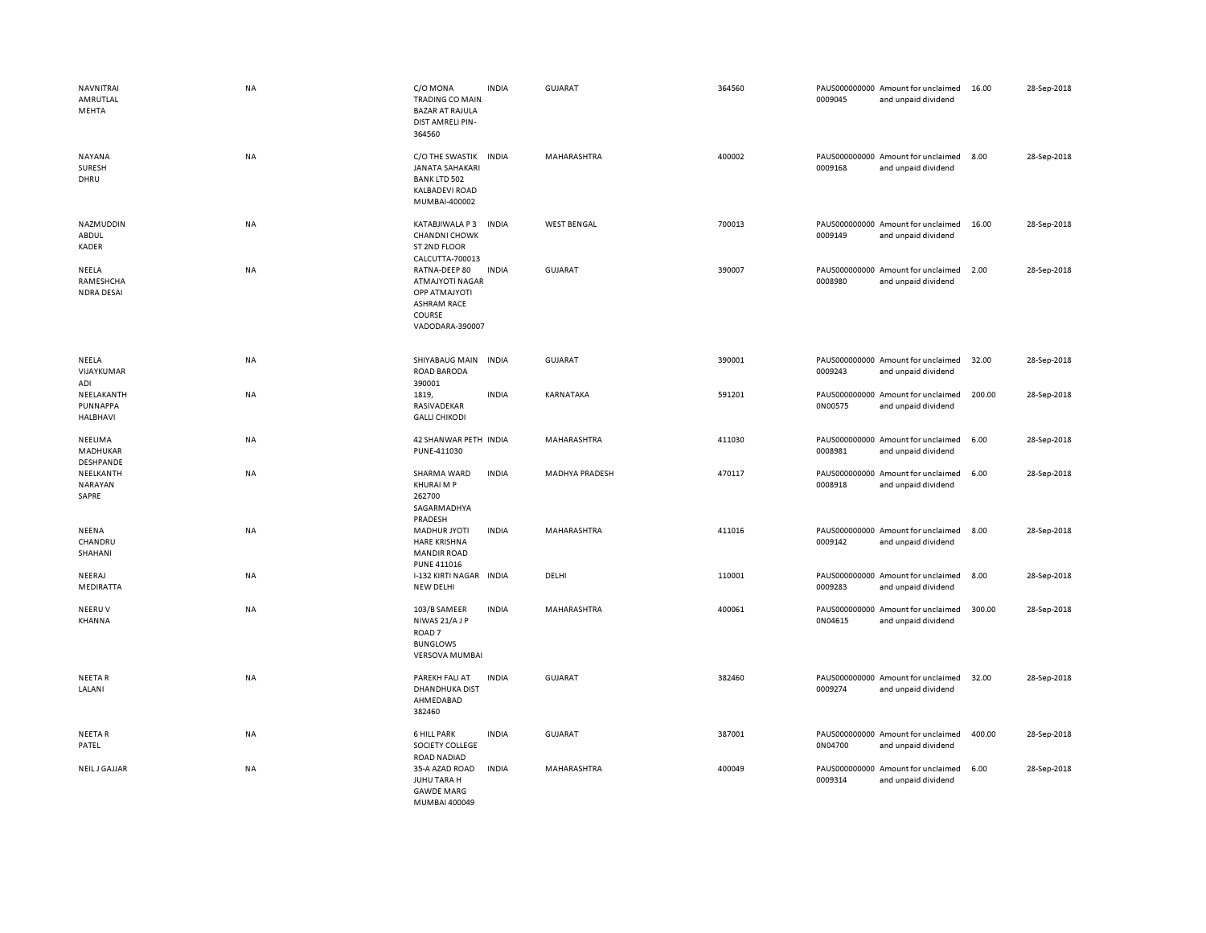| NAVNITRAI<br>AMRUTLAL<br>MEHTA            | <b>NA</b> | C/O MONA<br><b>TRADING CO MAIN</b><br><b>BAZAR AT RAJULA</b><br>DIST AMRELI PIN-<br>364560           | <b>INDIA</b> | <b>GUJARAT</b>        | 364560 | 0009045 | PAUS000000000 Amount for unclaimed<br>and unpaid dividend | 16.00  | 28-Sep-2018 |
|-------------------------------------------|-----------|------------------------------------------------------------------------------------------------------|--------------|-----------------------|--------|---------|-----------------------------------------------------------|--------|-------------|
| <b>NAYANA</b><br>SURESH<br>DHRU           | <b>NA</b> | C/O THE SWASTIK<br><b>JANATA SAHAKARI</b><br><b>BANK LTD 502</b><br>KALBADEVI ROAD<br>MUMBAI-400002  | <b>INDIA</b> | <b>MAHARASHTRA</b>    | 400002 | 0009168 | PAUS000000000 Amount for unclaimed<br>and unpaid dividend | 8.00   | 28-Sep-2018 |
| NAZMUDDIN<br>ABDUL<br>KADER               | <b>NA</b> | KATABJIWALA P3<br><b>CHANDNI CHOWK</b><br>ST 2ND FLOOR<br>CALCUTTA-700013                            | <b>INDIA</b> | <b>WEST BENGAL</b>    | 700013 | 0009149 | PAUS000000000 Amount for unclaimed<br>and unpaid dividend | 16.00  | 28-Sep-2018 |
| NEELA<br>RAMESHCHA<br><b>NDRA DESAI</b>   | <b>NA</b> | RATNA-DEEP 80<br>ATMAJYOTI NAGAR<br>ΟΡΡ ΑΤΜΑΙΥΟΤΙ<br><b>ASHRAM RACE</b><br>COURSE<br>VADODARA-390007 | <b>INDIA</b> | GUJARAT               | 390007 | 0008980 | PAUS000000000 Amount for unclaimed<br>and unpaid dividend | 2.00   | 28-Sep-2018 |
| NEELA<br>VIJAYKUMAR<br>ADI                | NA        | SHIYABAUG MAIN<br>ROAD BARODA<br>390001                                                              | <b>INDIA</b> | <b>GUJARAT</b>        | 390001 | 0009243 | PAUS000000000 Amount for unclaimed<br>and unpaid dividend | 32.00  | 28-Sep-2018 |
| NEELAKANTH<br>PUNNAPPA<br><b>HALBHAVI</b> | <b>NA</b> | 1819,<br>RASIVADEKAR<br><b>GALLI CHIKODI</b>                                                         | <b>INDIA</b> | KARNATAKA             | 591201 | 0N00575 | PAUS000000000 Amount for unclaimed<br>and unpaid dividend | 200.00 | 28-Sep-2018 |
| NEELIMA<br>MADHUKAR<br>DESHPANDE          | NA        | 42 SHANWAR PETH INDIA<br>PUNE-411030                                                                 |              | MAHARASHTRA           | 411030 | 0008981 | PAUS000000000 Amount for unclaimed<br>and unpaid dividend | 6.00   | 28-Sep-2018 |
| NEELKANTH<br>NARAYAN<br>SAPRE             | NA        | SHARMA WARD<br><b>KHURAI M P</b><br>262700<br>SAGARMADHYA<br>PRADESH                                 | <b>INDIA</b> | <b>MADHYA PRADESH</b> | 470117 | 0008918 | PAUS000000000 Amount for unclaimed<br>and unpaid dividend | 6.00   | 28-Sep-2018 |
| NEENA<br>CHANDRU<br>SHAHANI               | <b>NA</b> | <b>MADHUR JYOTI</b><br><b>HARE KRISHNA</b><br><b>MANDIR ROAD</b><br><b>PUNE 411016</b>               | <b>INDIA</b> | MAHARASHTRA           | 411016 | 0009142 | PAUS000000000 Amount for unclaimed<br>and unpaid dividend | 8.00   | 28-Sep-2018 |
| NEERAJ<br>MEDIRATTA                       | <b>NA</b> | I-132 KIRTI NAGAR INDIA<br>NEW DELHI                                                                 |              | DELHI                 | 110001 | 0009283 | PAUS000000000 Amount for unclaimed<br>and unpaid dividend | 8.00   | 28-Sep-2018 |
| NEERUV<br>KHANNA                          | <b>NA</b> | 103/B SAMEER<br>NIWAS 21/AJP<br>ROAD <sub>7</sub><br><b>BUNGLOWS</b><br><b>VERSOVA MUMBAI</b>        | <b>INDIA</b> | MAHARASHTRA           | 400061 | 0N04615 | PAUS000000000 Amount for unclaimed<br>and unpaid dividend | 300.00 | 28-Sep-2018 |
| <b>NEETAR</b><br>LALANI                   | <b>NA</b> | PAREKH FALI AT<br><b>DHANDHUKA DIST</b><br>AHMEDABAD<br>382460                                       | <b>INDIA</b> | <b>GUJARAT</b>        | 382460 | 0009274 | PAUS000000000 Amount for unclaimed<br>and unpaid dividend | 32.00  | 28-Sep-2018 |
| <b>NEETAR</b><br>PATEL                    | <b>NA</b> | <b>6 HILL PARK</b><br>SOCIETY COLLEGE<br><b>ROAD NADIAD</b>                                          | <b>INDIA</b> | GUJARAT               | 387001 | 0N04700 | PAUS000000000 Amount for unclaimed<br>and unpaid dividend | 400.00 | 28-Sep-2018 |
| NEIL J GAJJAR                             | <b>NA</b> | 35-A AZAD ROAD<br>JUHU TARA H<br><b>GAWDE MARG</b><br>MUMBAI 400049                                  | <b>INDIA</b> | MAHARASHTRA           | 400049 | 0009314 | PAUS000000000 Amount for unclaimed<br>and unpaid dividend | 6.00   | 28-Sep-2018 |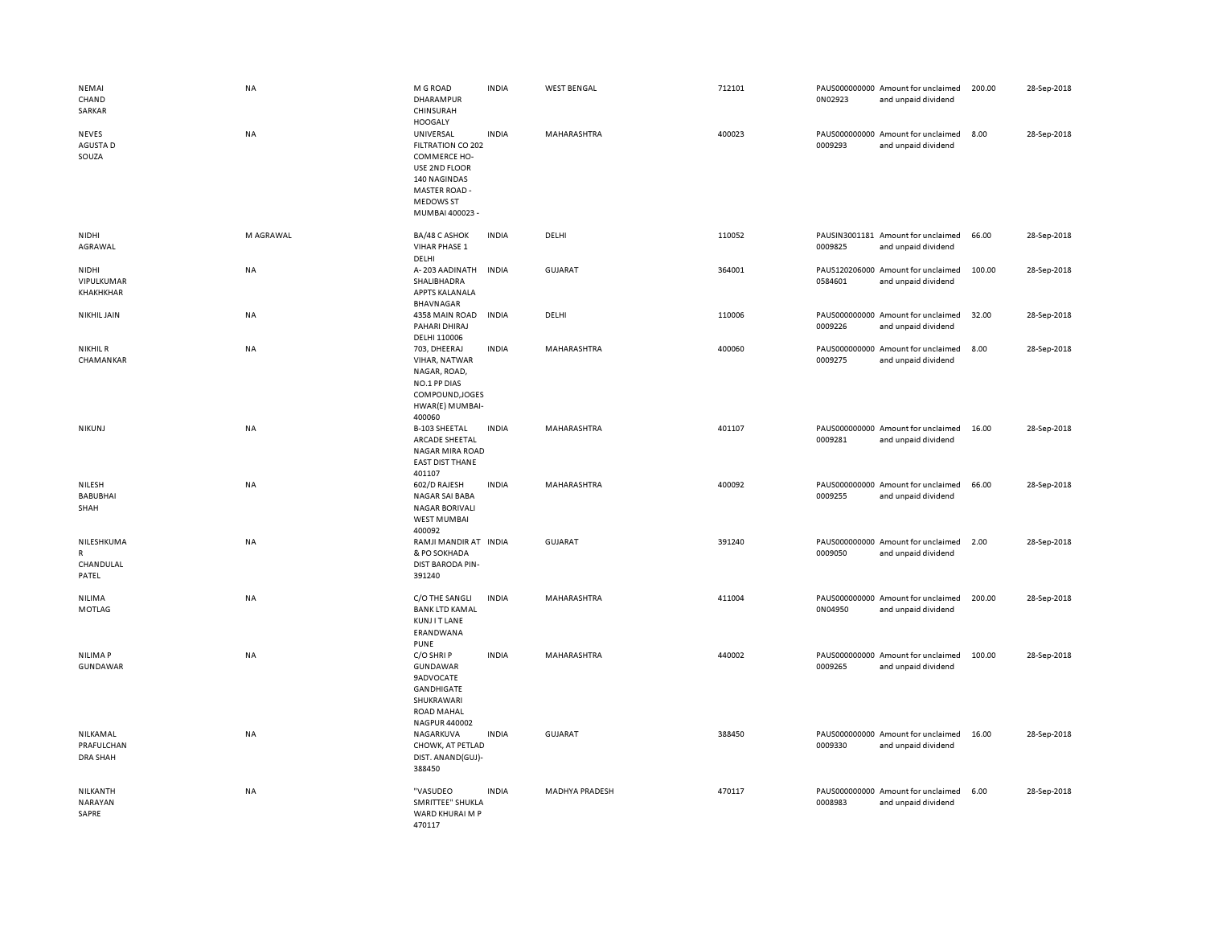| NEMAI<br>CHAND<br>SARKAR                  | <b>NA</b> | M G ROAD<br><b>DHARAMPUR</b><br>CHINSURAH<br><b>HOOGALY</b>                                                                                    | <b>INDIA</b> | <b>WEST BENGAL</b>    | 712101 | 0N02923 | PAUS000000000 Amount for unclaimed<br>and unpaid dividend | 200.00 | 28-Sep-2018 |
|-------------------------------------------|-----------|------------------------------------------------------------------------------------------------------------------------------------------------|--------------|-----------------------|--------|---------|-----------------------------------------------------------|--------|-------------|
| <b>NEVES</b><br>AGUSTA D<br>SOUZA         | <b>NA</b> | UNIVERSAL<br>FILTRATION CO 202<br>COMMERCE HO-<br>USE 2ND FLOOR<br>140 NAGINDAS<br><b>MASTER ROAD -</b><br><b>MEDOWS ST</b><br>MUMBAI 400023 - | <b>INDIA</b> | MAHARASHTRA           | 400023 | 0009293 | PAUS000000000 Amount for unclaimed<br>and unpaid dividend | 8.00   | 28-Sep-2018 |
| NIDHI<br>AGRAWAL                          | M AGRAWAL | BA/48 C ASHOK<br>VIHAR PHASE 1<br>DELHI                                                                                                        | <b>INDIA</b> | DELHI                 | 110052 | 0009825 | PAUSIN3001181 Amount for unclaimed<br>and unpaid dividend | 66.00  | 28-Sep-2018 |
| NIDHI<br>VIPULKUMAR<br>KHAKHKHAR          | <b>NA</b> | A-203 AADINATH<br>SHALIBHADRA<br>APPTS KALANALA<br>BHAVNAGAR                                                                                   | <b>INDIA</b> | GUJARAT               | 364001 | 0584601 | PAUS120206000 Amount for unclaimed<br>and unpaid dividend | 100.00 | 28-Sep-2018 |
| <b>NIKHIL JAIN</b>                        | NA        | 4358 MAIN ROAD<br>PAHARI DHIRAJ<br>DELHI 110006                                                                                                | <b>INDIA</b> | DELHI                 | 110006 | 0009226 | PAUS000000000 Amount for unclaimed<br>and unpaid dividend | 32.00  | 28-Sep-2018 |
| <b>NIKHIL R</b><br>CHAMANKAR              | NA        | 703, DHEERAJ<br>VIHAR, NATWAR<br>NAGAR, ROAD,<br>NO.1 PP DIAS<br>COMPOUND, JOGES<br>HWAR(E) MUMBAI-<br>400060                                  | <b>INDIA</b> | MAHARASHTRA           | 400060 | 0009275 | PAUS000000000 Amount for unclaimed<br>and unpaid dividend | 8.00   | 28-Sep-2018 |
| <b>NIKUNJ</b>                             | NA        | <b>B-103 SHEETAL</b><br>ARCADE SHEETAL<br><b>NAGAR MIRA ROAD</b><br><b>EAST DIST THANE</b><br>401107                                           | <b>INDIA</b> | MAHARASHTRA           | 401107 | 0009281 | PAUS000000000 Amount for unclaimed<br>and unpaid dividend | 16.00  | 28-Sep-2018 |
| NILESH<br><b>BABUBHAI</b><br>SHAH         | <b>NA</b> | 602/D RAJESH<br><b>NAGAR SAI BABA</b><br><b>NAGAR BORIVALI</b><br><b>WEST MUMBAI</b><br>400092                                                 | <b>INDIA</b> | MAHARASHTRA           | 400092 | 0009255 | PAUS000000000 Amount for unclaimed<br>and unpaid dividend | 66.00  | 28-Sep-2018 |
| NILESHKUMA<br>R<br>CHANDULAL<br>PATEL     | NA        | RAMJI MANDIR AT INDIA<br>& PO SOKHADA<br>DIST BARODA PIN-<br>391240                                                                            |              | <b>GUJARAT</b>        | 391240 | 0009050 | PAUS000000000 Amount for unclaimed<br>and unpaid dividend | 2.00   | 28-Sep-2018 |
| NILIMA<br>MOTLAG                          | <b>NA</b> | C/O THE SANGLI<br><b>BANK LTD KAMAL</b><br><b>KUNJITLANE</b><br>ERANDWANA<br><b>PUNE</b>                                                       | <b>INDIA</b> | MAHARASHTRA           | 411004 | 0N04950 | PAUS000000000 Amount for unclaimed<br>and unpaid dividend | 200.00 | 28-Sep-2018 |
| <b>NILIMAP</b><br>GUNDAWAR                | NA        | C/O SHRIP<br>GUNDAWAR<br><b>9ADVOCATE</b><br>GANDHIGATE<br>SHUKRAWARI<br><b>ROAD MAHAL</b><br>NAGPUR 440002                                    | <b>INDIA</b> | MAHARASHTRA           | 440002 | 0009265 | PAUS000000000 Amount for unclaimed<br>and unpaid dividend | 100.00 | 28-Sep-2018 |
| NILKAMAL<br>PRAFULCHAN<br><b>DRA SHAH</b> | <b>NA</b> | NAGARKUVA<br>CHOWK, AT PETLAD<br>DIST. ANAND(GUJ)-<br>388450                                                                                   | <b>INDIA</b> | <b>GUJARAT</b>        | 388450 | 0009330 | PAUS000000000 Amount for unclaimed<br>and unpaid dividend | 16.00  | 28-Sep-2018 |
| NILKANTH<br>NARAYAN<br>SAPRE              | NA        | "VASUDEO<br>SMRITTEE" SHUKLA<br>WARD KHURAI M P<br>470117                                                                                      | <b>INDIA</b> | <b>MADHYA PRADESH</b> | 470117 | 0008983 | PAUS000000000 Amount for unclaimed<br>and unpaid dividend | 6.00   | 28-Sep-2018 |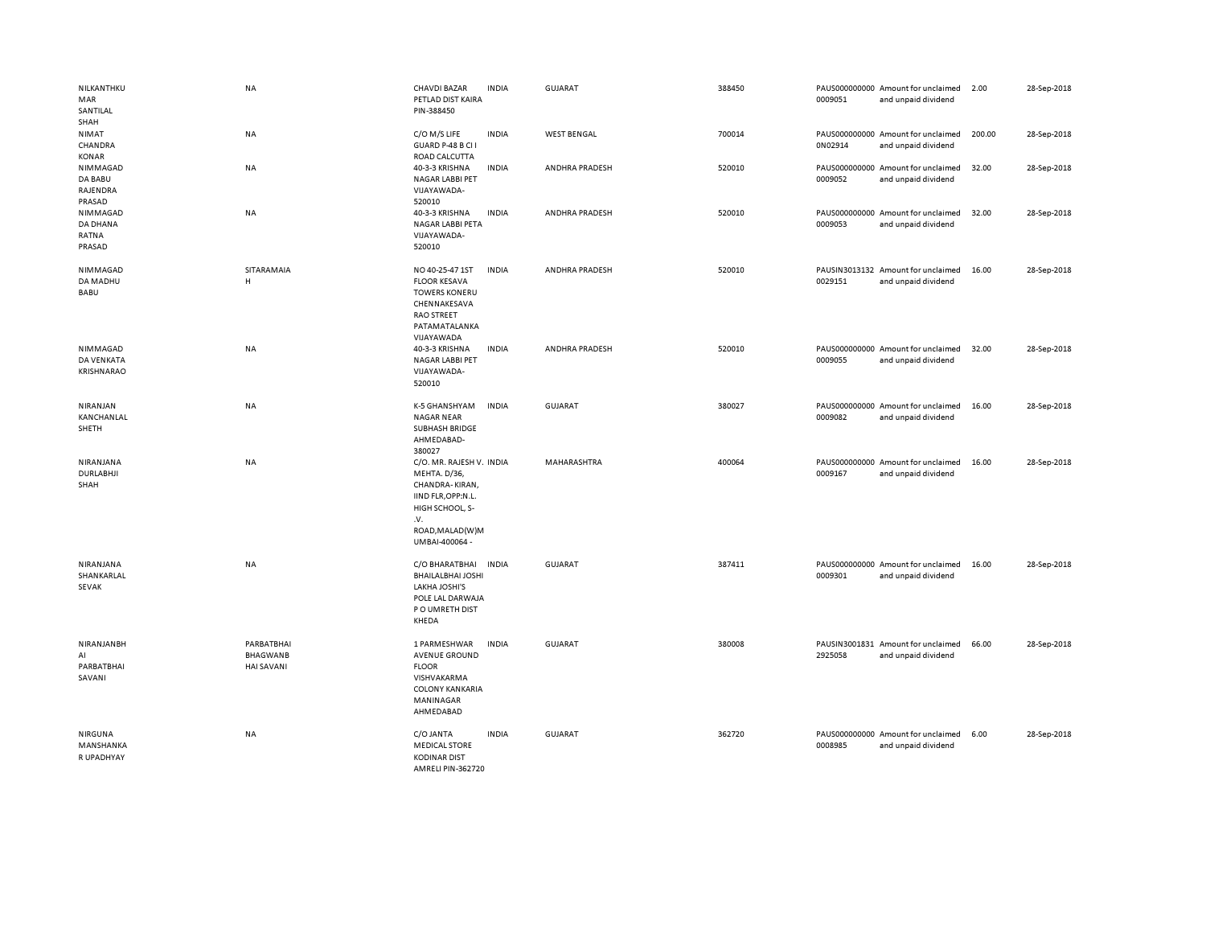| NILKANTHKU<br>MAR<br>SANTILAL<br>SHAH     | <b>NA</b>                                          | <b>CHAVDI BAZAR</b><br>PETLAD DIST KAIRA<br>PIN-388450                                                                                          | <b>INDIA</b> | <b>GUJARAT</b>     | 388450 | 0009051 | PAUS000000000 Amount for unclaimed<br>and unpaid dividend | 2.00   | 28-Sep-2018 |
|-------------------------------------------|----------------------------------------------------|-------------------------------------------------------------------------------------------------------------------------------------------------|--------------|--------------------|--------|---------|-----------------------------------------------------------|--------|-------------|
| NIMAT<br>CHANDRA<br>KONAR                 | NA                                                 | C/O M/S LIFE<br>GUARD P-48 B CI I<br>ROAD CALCUTTA                                                                                              | <b>INDIA</b> | <b>WEST BENGAL</b> | 700014 | 0N02914 | PAUS000000000 Amount for unclaimed<br>and unpaid dividend | 200.00 | 28-Sep-2018 |
| NIMMAGAD<br>DA BABU<br>RAJENDRA<br>PRASAD | NA                                                 | 40-3-3 KRISHNA<br><b>NAGAR LABBI PET</b><br>VIJAYAWADA-<br>520010                                                                               | <b>INDIA</b> | ANDHRA PRADESH     | 520010 | 0009052 | PAUS000000000 Amount for unclaimed<br>and unpaid dividend | 32.00  | 28-Sep-2018 |
| NIMMAGAD<br>DA DHANA<br>RATNA<br>PRASAD   | <b>NA</b>                                          | 40-3-3 KRISHNA<br>NAGAR LABBI PETA<br>VIJAYAWADA-<br>520010                                                                                     | <b>INDIA</b> | ANDHRA PRADESH     | 520010 | 0009053 | PAUS000000000 Amount for unclaimed<br>and unpaid dividend | 32.00  | 28-Sep-2018 |
| NIMMAGAD<br>DA MADHU<br>BABU              | SITARAMAIA<br>н                                    | NO 40-25-47 1ST<br><b>FLOOR KESAVA</b><br><b>TOWERS KONERU</b><br>CHENNAKESAVA<br><b>RAO STREET</b><br>PATAMATALANKA<br>VIJAYAWADA              | <b>INDIA</b> | ANDHRA PRADESH     | 520010 | 0029151 | PAUSIN3013132 Amount for unclaimed<br>and unpaid dividend | 16.00  | 28-Sep-2018 |
| NIMMAGAD<br>DA VENKATA<br>KRISHNARAO      | NA                                                 | 40-3-3 KRISHNA<br><b>NAGAR LABBI PET</b><br>VIJAYAWADA-<br>520010                                                                               | <b>INDIA</b> | ANDHRA PRADESH     | 520010 | 0009055 | PAUS000000000 Amount for unclaimed<br>and unpaid dividend | 32.00  | 28-Sep-2018 |
| NIRANJAN<br>KANCHANLAL<br>SHETH           | NA                                                 | K-5 GHANSHYAM<br><b>NAGAR NEAR</b><br><b>SUBHASH BRIDGE</b><br>AHMEDABAD-<br>380027                                                             | INDIA        | <b>GUJARAT</b>     | 380027 | 0009082 | PAUS000000000 Amount for unclaimed<br>and unpaid dividend | 16.00  | 28-Sep-2018 |
| NIRANJANA<br><b>DURLABHJI</b><br>SHAH     | NA                                                 | C/O. MR. RAJESH V. INDIA<br>MEHTA. D/36,<br>CHANDRA-KIRAN,<br>IIND FLR, OPP:N.L.<br>HIGH SCHOOL, S-<br>.v.<br>ROAD, MALAD(W)M<br>UMBAI-400064 - |              | MAHARASHTRA        | 400064 | 0009167 | PAUS000000000 Amount for unclaimed<br>and unpaid dividend | 16.00  | 28-Sep-2018 |
| NIRANJANA<br>SHANKARLAL<br>SEVAK          | NA                                                 | C/O BHARATBHAI<br><b>BHAILALBHAI JOSHI</b><br><b>LAKHA JOSHI'S</b><br>POLE LAL DARWAJA<br>P O UMRETH DIST<br>KHEDA                              | <b>INDIA</b> | <b>GUJARAT</b>     | 387411 | 0009301 | PAUS000000000 Amount for unclaimed<br>and unpaid dividend | 16.00  | 28-Sep-2018 |
| NIRANJANBH<br>AI<br>PARBATBHAI<br>SAVANI  | PARBATBHAI<br><b>BHAGWANB</b><br><b>HAI SAVANI</b> | 1 PARMESHWAR<br><b>AVENUE GROUND</b><br><b>FLOOR</b><br>VISHVAKARMA<br><b>COLONY KANKARIA</b><br>MANINAGAR<br>AHMEDABAD                         | <b>INDIA</b> | <b>GUJARAT</b>     | 380008 | 2925058 | PAUSIN3001831 Amount for unclaimed<br>and unpaid dividend | 66.00  | 28-Sep-2018 |
| NIRGUNA<br>MANSHANKA<br>R UPADHYAY        | <b>NA</b>                                          | C/O JANTA<br><b>MEDICAL STORE</b><br><b>KODINAR DIST</b><br>AMRELLPIN-362720                                                                    | <b>INDIA</b> | <b>GUJARAT</b>     | 362720 | 0008985 | PAUS000000000 Amount for unclaimed<br>and unpaid dividend | 6.00   | 28-Sep-2018 |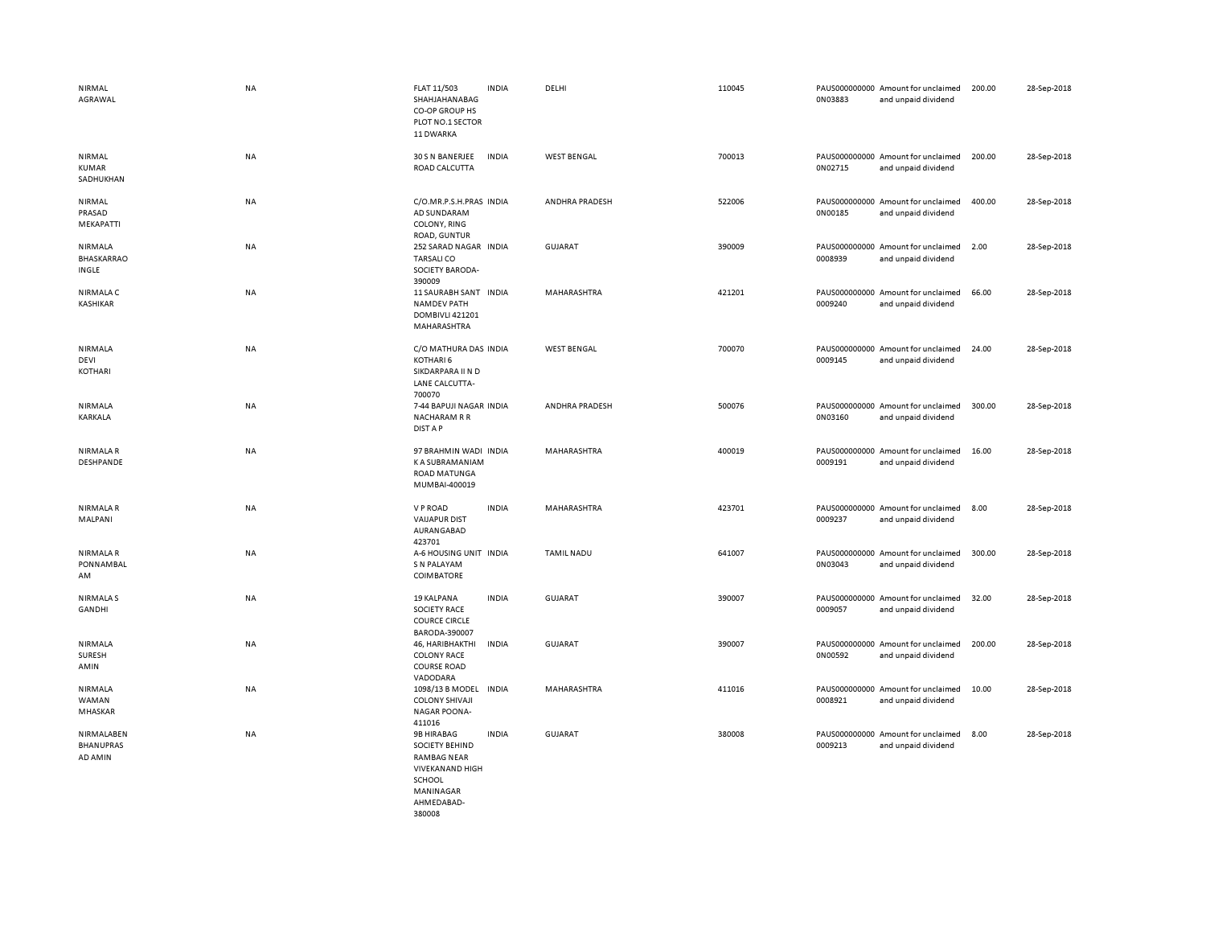| NIRMAL<br>AGRAWAL                         | NA        | FLAT 11/503<br>SHAHJAHANABAG<br>CO-OP GROUP HS<br>PLOT NO.1 SECTOR<br>11 DWARKA                                          | <b>INDIA</b> | DELHI              | 110045 | 0N03883 | PAUS000000000 Amount for unclaimed<br>and unpaid dividend | 200.00 | 28-Sep-2018 |
|-------------------------------------------|-----------|--------------------------------------------------------------------------------------------------------------------------|--------------|--------------------|--------|---------|-----------------------------------------------------------|--------|-------------|
| NIRMAL<br><b>KUMAR</b><br>SADHUKHAN       | NA        | 30 S N BANERJEE<br>ROAD CALCUTTA                                                                                         | <b>INDIA</b> | <b>WEST BENGAL</b> | 700013 | 0N02715 | PAUS000000000 Amount for unclaimed<br>and unpaid dividend | 200.00 | 28-Sep-2018 |
| NIRMAL<br>PRASAD<br>MEKAPATTI             | <b>NA</b> | C/O.MR.P.S.H.PRAS INDIA<br>AD SUNDARAM<br>COLONY, RING<br>ROAD, GUNTUR                                                   |              | ANDHRA PRADESH     | 522006 | 0N00185 | PAUS000000000 Amount for unclaimed<br>and unpaid dividend | 400.00 | 28-Sep-2018 |
| NIRMALA<br>BHASKARRAO<br>INGLE            | NA        | 252 SARAD NAGAR INDIA<br><b>TARSALICO</b><br>SOCIETY BARODA-<br>390009                                                   |              | <b>GUJARAT</b>     | 390009 | 0008939 | PAUS000000000 Amount for unclaimed<br>and unpaid dividend | 2.00   | 28-Sep-2018 |
| <b>NIRMALA C</b><br>KASHIKAR              | NA        | 11 SAURABH SANT INDIA<br><b>NAMDEV PATH</b><br>DOMBIVLI 421201<br>MAHARASHTRA                                            |              | MAHARASHTRA        | 421201 | 0009240 | PAUS000000000 Amount for unclaimed<br>and unpaid dividend | 66.00  | 28-Sep-2018 |
| <b>NIRMALA</b><br>DEVI<br>KOTHARI         | <b>NA</b> | C/O MATHURA DAS INDIA<br>KOTHARI 6<br>SIKDARPARA II N D<br>LANE CALCUTTA-<br>700070                                      |              | <b>WEST BENGAL</b> | 700070 | 0009145 | PAUS000000000 Amount for unclaimed<br>and unpaid dividend | 24.00  | 28-Sep-2018 |
| NIRMALA<br>KARKALA                        | NA        | 7-44 BAPUJI NAGAR INDIA<br><b>NACHARAM R R</b><br>DIST A P                                                               |              | ANDHRA PRADESH     | 500076 | 0N03160 | PAUS000000000 Amount for unclaimed<br>and unpaid dividend | 300.00 | 28-Sep-2018 |
| NIRMALA R<br>DESHPANDE                    | NA        | 97 BRAHMIN WADI INDIA<br>K A SUBRAMANIAM<br><b>ROAD MATUNGA</b><br>MUMBAI-400019                                         |              | MAHARASHTRA        | 400019 | 0009191 | PAUS000000000 Amount for unclaimed<br>and unpaid dividend | 16.00  | 28-Sep-2018 |
| <b>NIRMALAR</b><br>MALPANI                | NA        | V P ROAD<br><b>VAIJAPUR DIST</b><br>AURANGABAD<br>423701                                                                 | <b>INDIA</b> | MAHARASHTRA        | 423701 | 0009237 | PAUS000000000 Amount for unclaimed<br>and unpaid dividend | 8.00   | 28-Sep-2018 |
| NIRMALA R<br><b>PONNAMBAL</b><br>AM       | NA        | A-6 HOUSING UNIT INDIA<br>S N PALAYAM<br><b>COIMBATORE</b>                                                               |              | <b>TAMIL NADU</b>  | 641007 | 0N03043 | PAUS000000000 Amount for unclaimed<br>and unpaid dividend | 300.00 | 28-Sep-2018 |
| <b>NIRMALAS</b><br>GANDHI                 | NA        | 19 KALPANA<br><b>SOCIETY RACE</b><br><b>COURCE CIRCLE</b><br>BARODA-390007                                               | <b>INDIA</b> | <b>GUJARAT</b>     | 390007 | 0009057 | PAUS000000000 Amount for unclaimed<br>and unpaid dividend | 32.00  | 28-Sep-2018 |
| NIRMALA<br><b>SURESH</b><br>AMIN          | <b>NA</b> | 46, HARIBHAKTHI<br><b>COLONY RACE</b><br><b>COURSE ROAD</b><br>VADODARA                                                  | <b>INDIA</b> | <b>GUJARAT</b>     | 390007 | 0N00592 | PAUS000000000 Amount for unclaimed<br>and unpaid dividend | 200.00 | 28-Sep-2018 |
| NIRMALA<br>WAMAN<br>MHASKAR               | NA        | 1098/13 B MODEL<br><b>COLONY SHIVAJI</b><br><b>NAGAR POONA-</b><br>411016                                                | <b>INDIA</b> | MAHARASHTRA        | 411016 | 0008921 | PAUS000000000 Amount for unclaimed<br>and unpaid dividend | 10.00  | 28-Sep-2018 |
| NIRMALABEN<br><b>BHANUPRAS</b><br>AD AMIN | NA        | 9B HIRABAG<br><b>SOCIETY BEHIND</b><br><b>RAMBAG NEAR</b><br><b>VIVEKANAND HIGH</b><br>SCHOOL<br>MANINAGAR<br>AHMFDARAD- | <b>INDIA</b> | <b>GUJARAT</b>     | 380008 | 0009213 | PAUS000000000 Amount for unclaimed<br>and unpaid dividend | 8.00   | 28-Sep-2018 |

380008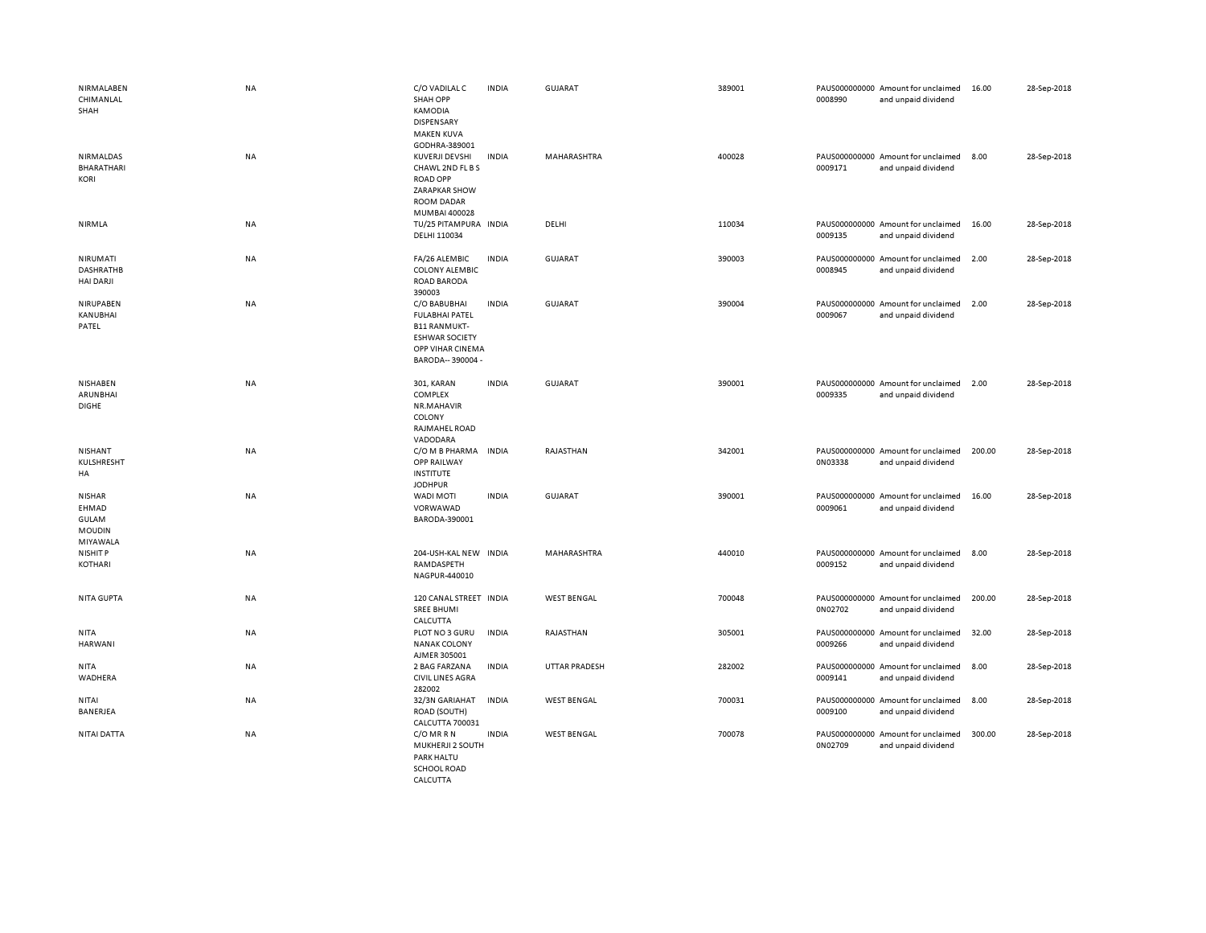| NIRMALABEN<br>CHIMANLAL<br>SHAH                                     | <b>NA</b> | C/O VADILAL C<br><b>SHAH OPP</b><br>KAMODIA<br><b>DISPENSARY</b><br><b>MAKEN KUVA</b><br>GODHRA-389001                         | <b>INDIA</b> | <b>GUJARAT</b>     | 389001 | 0008990 | PAUS000000000 Amount for unclaimed<br>and unpaid dividend | 16.00  | 28-Sep-2018 |
|---------------------------------------------------------------------|-----------|--------------------------------------------------------------------------------------------------------------------------------|--------------|--------------------|--------|---------|-----------------------------------------------------------|--------|-------------|
| NIRMALDAS<br><b>BHARATHARI</b><br>KORI                              | NA        | KUVERJI DEVSHI<br>CHAWL 2ND FL B S<br><b>ROAD OPP</b><br><b>ZARAPKAR SHOW</b><br>ROOM DADAR<br>MUMBAI 400028                   | <b>INDIA</b> | MAHARASHTRA        | 400028 | 0009171 | PAUS000000000 Amount for unclaimed<br>and unpaid dividend | 8.00   | 28-Sep-2018 |
| NIRMLA                                                              | NA        | TU/25 PITAMPURA INDIA<br>DELHI 110034                                                                                          |              | DELHI              | 110034 | 0009135 | PAUS000000000 Amount for unclaimed<br>and unpaid dividend | 16.00  | 28-Sep-2018 |
| NIRUMATI<br><b>DASHRATHB</b><br><b>HAI DARJI</b>                    | <b>NA</b> | FA/26 ALEMBIC<br><b>COLONY ALEMBIC</b><br><b>ROAD BARODA</b><br>390003                                                         | <b>INDIA</b> | GUJARAT            | 390003 | 0008945 | PAUS000000000 Amount for unclaimed<br>and unpaid dividend | 2.00   | 28-Sep-2018 |
| NIRUPABEN<br>KANUBHAI<br>PATEL                                      | <b>NA</b> | C/O BABUBHAI<br><b>FULABHAI PATEL</b><br><b>B11 RANMUKT-</b><br><b>ESHWAR SOCIETY</b><br>OPP VIHAR CINEMA<br>BARODA-- 390004 - | <b>INDIA</b> | <b>GUJARAT</b>     | 390004 | 0009067 | PAUS000000000 Amount for unclaimed<br>and unpaid dividend | 2.00   | 28-Sep-2018 |
| NISHABEN<br>ARUNBHAI<br><b>DIGHE</b>                                | <b>NA</b> | 301, KARAN<br>COMPLEX<br>NR.MAHAVIR<br>COLONY<br>RAJMAHEL ROAD<br>VADODARA                                                     | <b>INDIA</b> | <b>GUJARAT</b>     | 390001 | 0009335 | PAUS000000000 Amount for unclaimed<br>and unpaid dividend | 2.00   | 28-Sep-2018 |
| NISHANT<br>KULSHRESHT<br>HA                                         | NA        | C/O M B PHARMA INDIA<br>OPP RAILWAY<br><b>INSTITUTE</b><br><b>JODHPUR</b>                                                      |              | RAJASTHAN          | 342001 | 0N03338 | PAUS000000000 Amount for unclaimed<br>and unpaid dividend | 200.00 | 28-Sep-2018 |
| <b>NISHAR</b><br>EHMAD<br><b>GULAM</b><br><b>MOUDIN</b><br>MIYAWALA | NA        | WADI MOTI<br>VORWAWAD<br>BARODA-390001                                                                                         | <b>INDIA</b> | <b>GUJARAT</b>     | 390001 | 0009061 | PAUS000000000 Amount for unclaimed<br>and unpaid dividend | 16.00  | 28-Sep-2018 |
| NISHIT P<br>KOTHARI                                                 | NA        | 204-USH-KAL NEW INDIA<br>RAMDASPETH<br>NAGPUR-440010                                                                           |              | MAHARASHTRA        | 440010 | 0009152 | PAUS000000000 Amount for unclaimed<br>and unpaid dividend | 8.00   | 28-Sep-2018 |
| <b>NITA GUPTA</b>                                                   | NA        | 120 CANAL STREET INDIA<br><b>SREE BHUMI</b><br>CALCUTTA                                                                        |              | <b>WEST BENGAL</b> | 700048 | 0N02702 | PAUS000000000 Amount for unclaimed<br>and unpaid dividend | 200.00 | 28-Sep-2018 |
| <b>NITA</b><br><b>HARWANI</b>                                       | <b>NA</b> | PLOT NO 3 GURU<br><b>NANAK COLONY</b><br>AJMER 305001                                                                          | <b>INDIA</b> | RAJASTHAN          | 305001 | 0009266 | PAUS000000000 Amount for unclaimed<br>and unpaid dividend | 32.00  | 28-Sep-2018 |
| NITA<br>WADHERA                                                     | NA        | 2 BAG FARZANA<br><b>CIVIL LINES AGRA</b><br>282002                                                                             | INDIA        | UTTAR PRADESH      | 282002 | 0009141 | PAUS000000000 Amount for unclaimed<br>and unpaid dividend | 8.00   | 28-Sep-2018 |
| NITAI<br>BANERJEA                                                   | NA        | 32/3N GARIAHAT<br>ROAD (SOUTH)<br>CALCUTTA 700031                                                                              | <b>INDIA</b> | <b>WEST BENGAL</b> | 700031 | 0009100 | PAUS000000000 Amount for unclaimed<br>and unpaid dividend | 8.00   | 28-Sep-2018 |
| NITAI DATTA                                                         | NA        | C/OMRR<br>MUKHERJI 2 SOUTH<br>PARK HALTU<br><b>SCHOOL ROAD</b>                                                                 | <b>INDIA</b> | <b>WEST BENGAL</b> | 700078 | 0N02709 | PAUS000000000 Amount for unclaimed<br>and unpaid dividend | 300.00 | 28-Sep-2018 |

CALCUTTA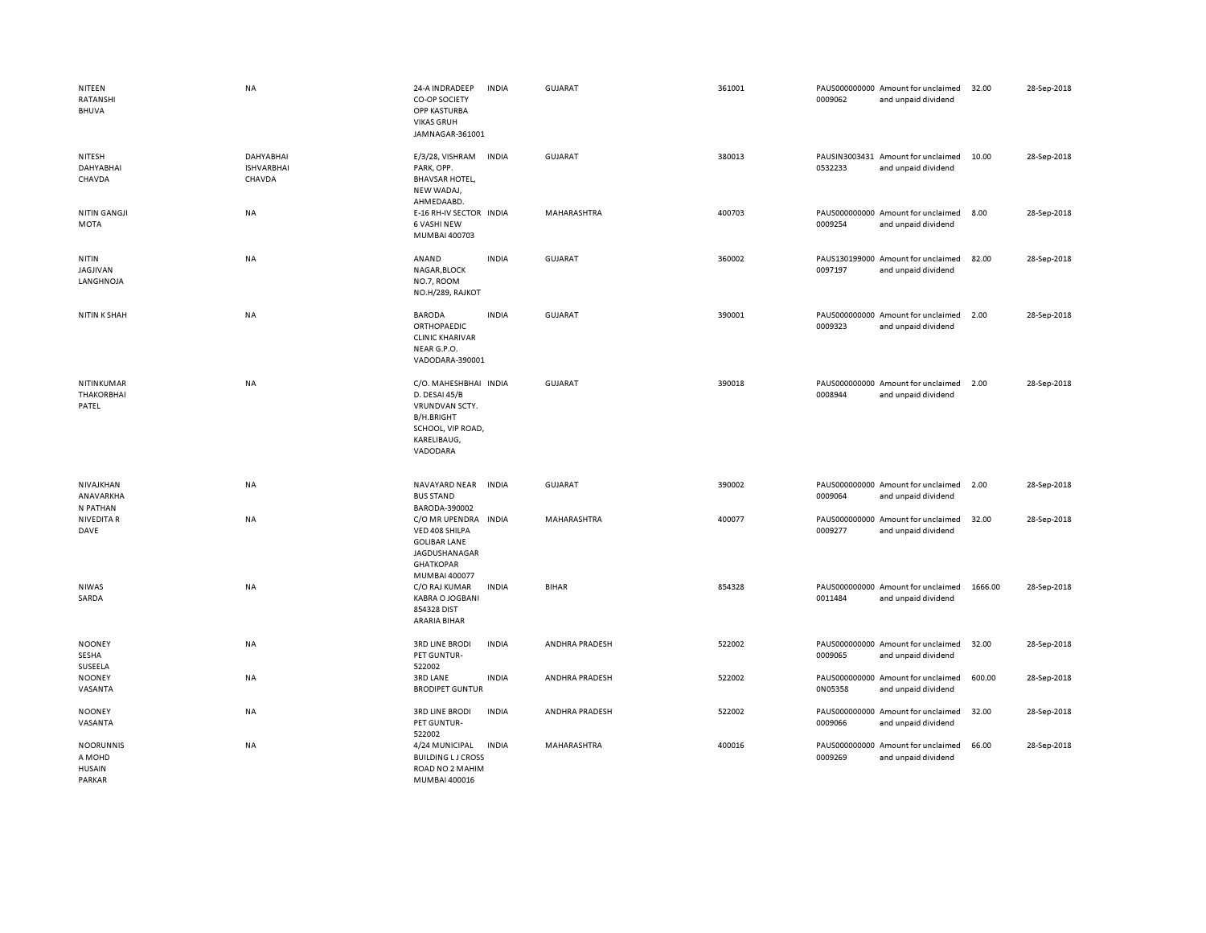| NITEEN<br>RATANSHI<br><b>BHUVA</b>                    | <b>NA</b>                                | 24-A INDRADEEP<br>CO-OP SOCIETY<br>OPP KASTURBA<br><b>VIKAS GRUH</b><br>JAMNAGAR-361001                                | <b>INDIA</b> | <b>GUJARAT</b> | 361001 | 0009062 | PAUS000000000 Amount for unclaimed<br>and unpaid dividend | 32.00   | 28-Sep-2018 |
|-------------------------------------------------------|------------------------------------------|------------------------------------------------------------------------------------------------------------------------|--------------|----------------|--------|---------|-----------------------------------------------------------|---------|-------------|
| NITESH<br>DAHYABHAI<br>CHAVDA                         | DAHYABHAI<br><b>ISHVARBHAI</b><br>CHAVDA | E/3/28, VISHRAM<br>PARK, OPP.<br><b>BHAVSAR HOTEL,</b><br>NEW WADAJ,<br>AHMEDAABD.                                     | <b>INDIA</b> | GUJARAT        | 380013 | 0532233 | PAUSIN3003431 Amount for unclaimed<br>and unpaid dividend | 10.00   | 28-Sep-2018 |
| <b>NITIN GANGJI</b><br>MOTA                           | NA                                       | E-16 RH-IV SECTOR INDIA<br><b>6 VASHI NEW</b><br>MUMBAI 400703                                                         |              | MAHARASHTRA    | 400703 | 0009254 | PAUS000000000 Amount for unclaimed<br>and unpaid dividend | 8.00    | 28-Sep-2018 |
| NITIN<br>JAGJIVAN<br>LANGHNOJA                        | NA                                       | ANAND<br>NAGAR, BLOCK<br>NO.7, ROOM<br>NO.H/289, RAJKOT                                                                | <b>INDIA</b> | GUJARAT        | 360002 | 0097197 | PAUS130199000 Amount for unclaimed<br>and unpaid dividend | 82.00   | 28-Sep-2018 |
| <b>NITIN K SHAH</b>                                   | <b>NA</b>                                | <b>BARODA</b><br>ORTHOPAEDIC<br><b>CLINIC KHARIVAR</b><br>NEAR G.P.O.<br>VADODARA-390001                               | <b>INDIA</b> | <b>GUJARAT</b> | 390001 | 0009323 | PAUS000000000 Amount for unclaimed<br>and unpaid dividend | 2.00    | 28-Sep-2018 |
| NITINKUMAR<br><b>THAKORBHAI</b><br>PATEL              | <b>NA</b>                                | C/O. MAHESHBHAI INDIA<br>D. DESAI 45/B<br>VRUNDVAN SCTY.<br>B/H.BRIGHT<br>SCHOOL, VIP ROAD,<br>KARELIBAUG,<br>VADODARA |              | GUJARAT        | 390018 | 0008944 | PAUS000000000 Amount for unclaimed<br>and unpaid dividend | 2.00    | 28-Sep-2018 |
| NIVAJKHAN<br>ANAVARKHA<br>N PATHAN                    | NA                                       | NAVAYARD NEAR<br><b>BUS STAND</b><br>BARODA-390002                                                                     | <b>INDIA</b> | <b>GUJARAT</b> | 390002 | 0009064 | PAUS000000000 Amount for unclaimed<br>and unpaid dividend | 2.00    | 28-Sep-2018 |
| <b>NIVEDITA R</b><br>DAVE                             | NA                                       | C/O MR UPENDRA<br>VED 408 SHILPA<br><b>GOLIBAR LANE</b><br>JAGDUSHANAGAR<br><b>GHATKOPAR</b><br>MUMBAI 400077          | <b>INDIA</b> | MAHARASHTRA    | 400077 | 0009277 | PAUS000000000 Amount for unclaimed<br>and unpaid dividend | 32.00   | 28-Sep-2018 |
| <b>NIWAS</b><br>SARDA                                 | NA                                       | C/O RAJ KUMAR<br><b>KABRA O JOGBANI</b><br>854328 DIST<br><b>ARARIA BIHAR</b>                                          | <b>INDIA</b> | <b>BIHAR</b>   | 854328 | 0011484 | PAUS000000000 Amount for unclaimed<br>and unpaid dividend | 1666.00 | 28-Sep-2018 |
| <b>NOONEY</b><br>SESHA<br>SUSEELA                     | NA                                       | <b>3RD LINE BRODI</b><br>PET GUNTUR-<br>522002                                                                         | <b>INDIA</b> | ANDHRA PRADESH | 522002 | 0009065 | PAUS000000000 Amount for unclaimed<br>and unpaid dividend | 32.00   | 28-Sep-2018 |
| <b>NOONEY</b><br>VASANTA                              | NA                                       | <b>3RD LANE</b><br><b>BRODIPET GUNTUR</b>                                                                              | <b>INDIA</b> | ANDHRA PRADESH | 522002 | 0N05358 | PAUS000000000 Amount for unclaimed<br>and unpaid dividend | 600.00  | 28-Sep-2018 |
| <b>NOONEY</b><br>VASANTA                              | NA                                       | <b>3RD LINE BRODI</b><br>PET GUNTUR-<br>522002                                                                         | <b>INDIA</b> | ANDHRA PRADESH | 522002 | 0009066 | PAUS000000000 Amount for unclaimed<br>and unpaid dividend | 32.00   | 28-Sep-2018 |
| <b>NOORUNNIS</b><br>A MOHD<br><b>HUSAIN</b><br>PARKAR | <b>NA</b>                                | 4/24 MUNICIPAL<br><b>BUILDING LJ CROSS</b><br>ROAD NO 2 MAHIM<br>MUMBAI 400016                                         | <b>INDIA</b> | MAHARASHTRA    | 400016 | 0009269 | PAUS000000000 Amount for unclaimed<br>and unpaid dividend | 66.00   | 28-Sep-2018 |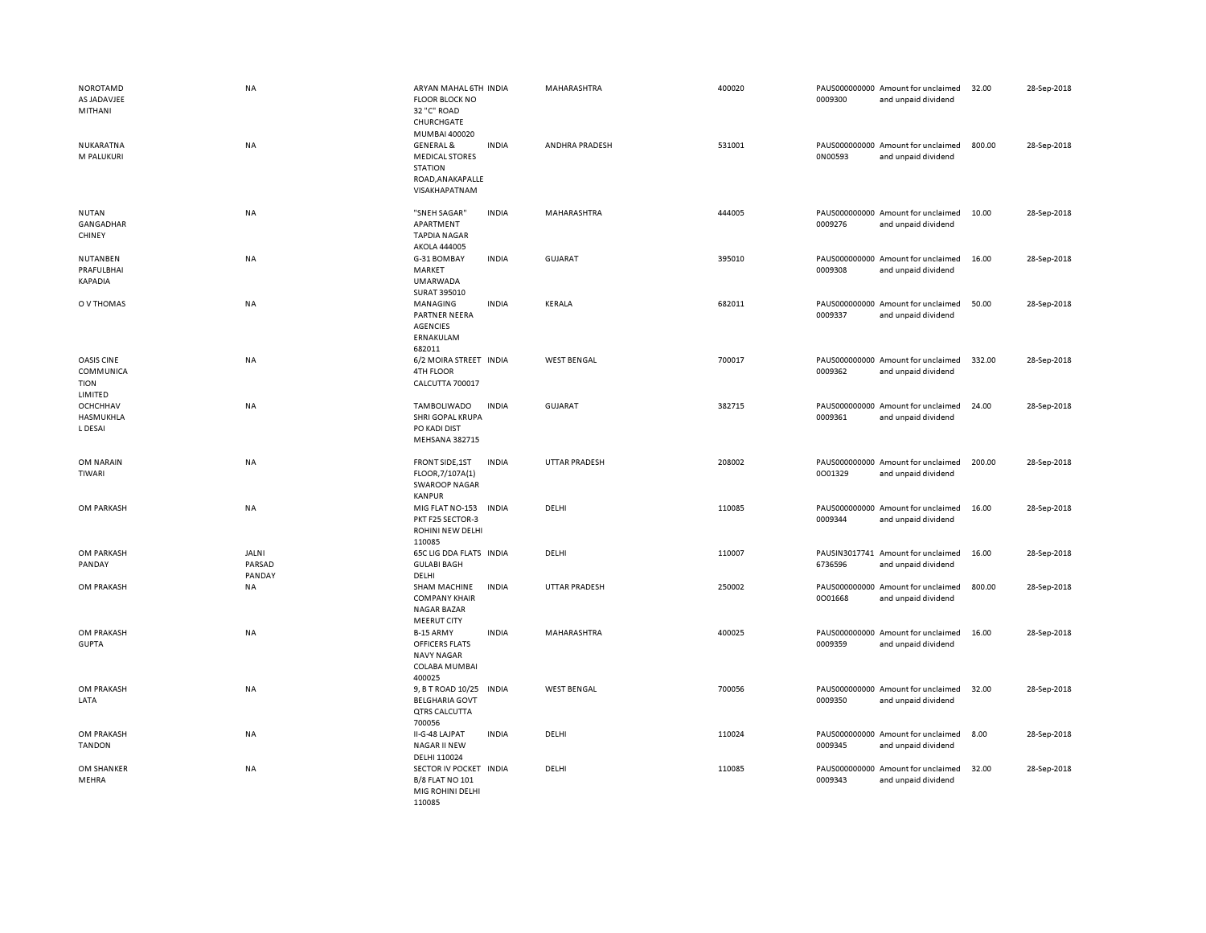| <b>NOROTAMD</b><br>AS JADAVJEE<br>MITHANI         | <b>NA</b>                 | ARYAN MAHAL 6TH INDIA<br><b>FLOOR BLOCK NO</b><br>32 "C" ROAD<br>CHURCHGATE<br>MUMBAI 400020         |              | MAHARASHTRA          | 400020 | 0009300 | PAUS000000000 Amount for unclaimed<br>and unpaid dividend | 32.00  | 28-Sep-2018 |
|---------------------------------------------------|---------------------------|------------------------------------------------------------------------------------------------------|--------------|----------------------|--------|---------|-----------------------------------------------------------|--------|-------------|
| NUKARATNA<br>M PALUKURI                           | <b>NA</b>                 | <b>GENERAL &amp;</b><br><b>MEDICAL STORES</b><br><b>STATION</b><br>ROAD, ANAKAPALLE<br>VISAKHAPATNAM | <b>INDIA</b> | ANDHRA PRADESH       | 531001 | 0N00593 | PAUS000000000 Amount for unclaimed<br>and unpaid dividend | 800.00 | 28-Sep-2018 |
| <b>NUTAN</b><br>GANGADHAR<br>CHINEY               | <b>NA</b>                 | "SNEH SAGAR"<br>APARTMENT<br><b>TAPDIA NAGAR</b><br>AKOLA 444005                                     | <b>INDIA</b> | <b>MAHARASHTRA</b>   | 444005 | 0009276 | PAUS000000000 Amount for unclaimed<br>and unpaid dividend | 10.00  | 28-Sep-2018 |
| NUTANBEN<br>PRAFULBHAI<br><b>KAPADIA</b>          | <b>NA</b>                 | G-31 BOMBAY<br>MARKET<br><b>UMARWADA</b><br>SURAT 395010                                             | <b>INDIA</b> | <b>GUJARAT</b>       | 395010 | 0009308 | PAUS000000000 Amount for unclaimed<br>and unpaid dividend | 16.00  | 28-Sep-2018 |
| O V THOMAS                                        | <b>NA</b>                 | MANAGING<br>PARTNER NEERA<br><b>AGENCIES</b><br>ERNAKULAM<br>682011                                  | <b>INDIA</b> | <b>KERALA</b>        | 682011 | 0009337 | PAUS000000000 Amount for unclaimed<br>and unpaid dividend | 50.00  | 28-Sep-2018 |
| OASIS CINE<br>COMMUNICA<br><b>TION</b><br>LIMITED | <b>NA</b>                 | 6/2 MOIRA STREET INDIA<br><b>4TH FLOOR</b><br>CALCUTTA 700017                                        |              | <b>WEST BENGAL</b>   | 700017 | 0009362 | PAUS000000000 Amount for unclaimed<br>and unpaid dividend | 332.00 | 28-Sep-2018 |
| OCHCHHAV<br>HASMUKHLA<br>L DESAI                  | <b>NA</b>                 | TAMBOLIWADO<br>SHRI GOPAL KRUPA<br>PO KADI DIST<br>MEHSANA 382715                                    | <b>INDIA</b> | GUJARAT              | 382715 | 0009361 | PAUS000000000 Amount for unclaimed<br>and unpaid dividend | 24.00  | 28-Sep-2018 |
| OM NARAIN<br>TIWARI                               | <b>NA</b>                 | FRONT SIDE, 1ST<br>FLOOR, 7/107A(1)<br><b>SWAROOP NAGAR</b><br><b>KANPUR</b>                         | <b>INDIA</b> | <b>UTTAR PRADESH</b> | 208002 | 0001329 | PAUS000000000 Amount for unclaimed<br>and unpaid dividend | 200.00 | 28-Sep-2018 |
| OM PARKASH                                        | <b>NA</b>                 | MIG FLAT NO-153<br>PKT F25 SECTOR-3<br>ROHINI NEW DELHI<br>110085                                    | <b>INDIA</b> | DELHI                | 110085 | 0009344 | PAUS000000000 Amount for unclaimed<br>and unpaid dividend | 16.00  | 28-Sep-2018 |
| OM PARKASH<br>PANDAY                              | JALNI<br>PARSAD<br>PANDAY | <b>65C LIG DDA FLATS INDIA</b><br><b>GULABI BAGH</b><br>DELHI                                        |              | DELHI                | 110007 | 6736596 | PAUSIN3017741 Amount for unclaimed<br>and unpaid dividend | 16.00  | 28-Sep-2018 |
| OM PRAKASH                                        | <b>NA</b>                 | SHAM MACHINE<br><b>COMPANY KHAIR</b><br>NAGAR BAZAR<br><b>MEERUT CITY</b>                            | <b>INDIA</b> | <b>UTTAR PRADESH</b> | 250002 | 0001668 | PAUS000000000 Amount for unclaimed<br>and unpaid dividend | 800.00 | 28-Sep-2018 |
| OM PRAKASH<br><b>GUPTA</b>                        | <b>NA</b>                 | B-15 ARMY<br>OFFICERS FLATS<br><b>NAVY NAGAR</b><br>COLABA MUMBAI<br>400025                          | <b>INDIA</b> | MAHARASHTRA          | 400025 | 0009359 | PAUS000000000 Amount for unclaimed<br>and unpaid dividend | 16.00  | 28-Sep-2018 |
| OM PRAKASH<br>LATA                                | <b>NA</b>                 | 9, B T ROAD 10/25<br><b>BELGHARIA GOVT</b><br>QTRS CALCUTTA<br>700056                                | <b>INDIA</b> | <b>WEST BENGAL</b>   | 700056 | 0009350 | PAUS000000000 Amount for unclaimed<br>and unpaid dividend | 32.00  | 28-Sep-2018 |
| OM PRAKASH<br><b>TANDON</b>                       | <b>NA</b>                 | II-G-48 LAJPAT<br>NAGAR II NEW<br>DELHI 110024                                                       | <b>INDIA</b> | DELHI                | 110024 | 0009345 | PAUS000000000 Amount for unclaimed<br>and unpaid dividend | 8.00   | 28-Sep-2018 |
| OM SHANKER<br>MEHRA                               | <b>NA</b>                 | SECTOR IV POCKET INDIA<br><b>B/8 FLAT NO 101</b><br>MIG ROHINI DELHI<br>110085                       |              | DELHI                | 110085 | 0009343 | PAUS000000000 Amount for unclaimed<br>and unpaid dividend | 32.00  | 28-Sep-2018 |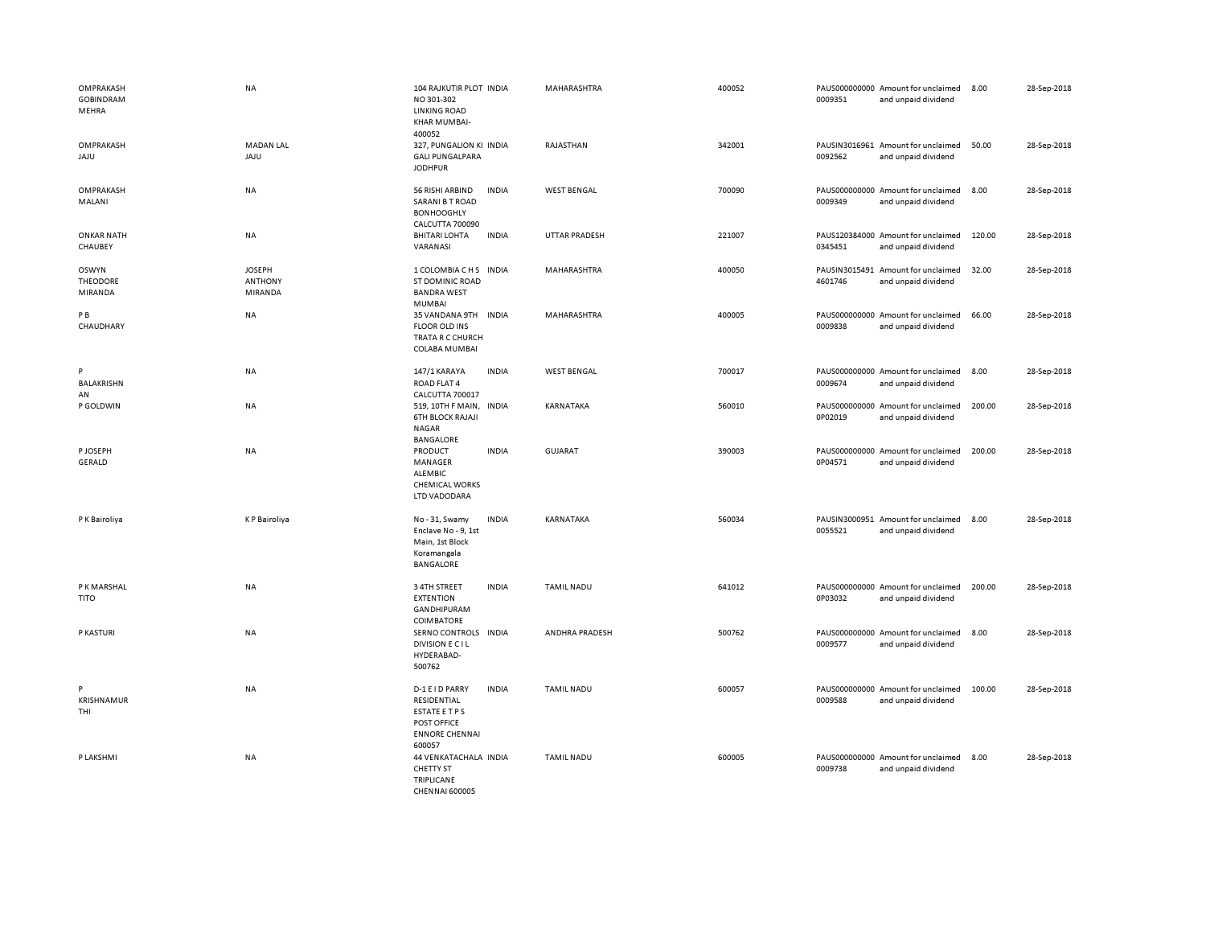| OMPRAKASH<br><b>GOBINDRAM</b><br>MEHRA | <b>NA</b>                                  | 104 RAJKUTIR PLOT INDIA<br>NO 301-302<br><b>LINKING ROAD</b><br>KHAR MUMBAI-<br>400052                          | MAHARASHTRA          | 400052 | 0009351                  | PAUS000000000 Amount for unclaimed<br>and unpaid dividend | 8.00   | 28-Sep-2018 |
|----------------------------------------|--------------------------------------------|-----------------------------------------------------------------------------------------------------------------|----------------------|--------|--------------------------|-----------------------------------------------------------|--------|-------------|
| OMPRAKASH<br><b>ULAL</b>               | <b>MADAN LAL</b><br>JAJU                   | 327, PUNGALION KI INDIA<br><b>GALI PUNGALPARA</b><br><b>JODHPUR</b>                                             | RAJASTHAN            | 342001 | 0092562                  | PAUSIN3016961 Amount for unclaimed<br>and unpaid dividend | 50.00  | 28-Sep-2018 |
| OMPRAKASH<br>MALANI                    | NA                                         | <b>INDIA</b><br>56 RISHI ARBIND<br>SARANI B T ROAD<br><b>BONHOOGHLY</b><br>CALCUTTA 700090                      | <b>WEST BENGAL</b>   | 700090 | 0009349                  | PAUS000000000 Amount for unclaimed<br>and unpaid dividend | 8.00   | 28-Sep-2018 |
| <b>ONKAR NATH</b><br>CHAUBEY           | NA                                         | <b>BHITARI LOHTA</b><br><b>INDIA</b><br>VARANASI                                                                | <b>UTTAR PRADESH</b> | 221007 | 0345451                  | PAUS120384000 Amount for unclaimed<br>and unpaid dividend | 120.00 | 28-Sep-2018 |
| <b>OSWYN</b><br>THEODORE<br>MIRANDA    | <b>JOSEPH</b><br><b>ANTHONY</b><br>MIRANDA | 1 COLOMBIA C H S INDIA<br>ST DOMINIC ROAD<br><b>BANDRA WEST</b><br><b>MUMBAI</b>                                | MAHARASHTRA          | 400050 | PAUSIN3015491<br>4601746 | Amount for unclaimed<br>and unpaid dividend               | 32.00  | 28-Sep-2018 |
| PB<br>CHAUDHARY                        | NA                                         | 35 VANDANA 9TH<br><b>INDIA</b><br><b>FLOOR OLD INS</b><br>TRATA R C CHURCH<br>COLABA MUMBAI                     | MAHARASHTRA          | 400005 | 0009838                  | PAUS000000000 Amount for unclaimed<br>and unpaid dividend | 66.00  | 28-Sep-2018 |
| P<br><b>BALAKRISHN</b><br>AN           | NA                                         | <b>INDIA</b><br>147/1 KARAYA<br>ROAD FLAT 4<br>CALCUTTA 700017                                                  | <b>WEST BENGAL</b>   | 700017 | 0009674                  | PAUS000000000 Amount for unclaimed<br>and unpaid dividend | 8.00   | 28-Sep-2018 |
| P GOLDWIN                              | NA                                         | 519, 10TH F MAIN, INDIA<br><b>6TH BLOCK RAJAJI</b><br>NAGAR<br><b>BANGALORE</b>                                 | KARNATAKA            | 560010 | 0P02019                  | PAUS000000000 Amount for unclaimed<br>and unpaid dividend | 200.00 | 28-Sep-2018 |
| P JOSEPH<br><b>GERALD</b>              | <b>NA</b>                                  | PRODUCT<br><b>INDIA</b><br>MANAGER<br><b>ALEMBIC</b><br><b>CHEMICAL WORKS</b><br>LTD VADODARA                   | <b>GUJARAT</b>       | 390003 | 0P04571                  | PAUS000000000 Amount for unclaimed<br>and unpaid dividend | 200.00 | 28-Sep-2018 |
| P K Bairoliya                          | <b>KP</b> Bairoliya                        | No-31, Swamy<br><b>INDIA</b><br>Enclave No - 9, 1st<br>Main, 1st Block<br>Koramangala<br>BANGALORE              | KARNATAKA            | 560034 | 0055521                  | PAUSIN3000951 Amount for unclaimed<br>and unpaid dividend | 8.00   | 28-Sep-2018 |
| P K MARSHAL<br><b>TITO</b>             | <b>NA</b>                                  | 3 4TH STREET<br><b>INDIA</b><br><b>EXTENTION</b><br>GANDHIPURAM<br><b>COIMBATORE</b>                            | <b>TAMIL NADU</b>    | 641012 | 0P03032                  | PAUS000000000 Amount for unclaimed<br>and unpaid dividend | 200.00 | 28-Sep-2018 |
| P KASTURI                              | <b>NA</b>                                  | SERNO CONTROLS INDIA<br><b>DIVISION E CIL</b><br>HYDERABAD-<br>500762                                           | ANDHRA PRADESH       | 500762 | 0009577                  | PAUS000000000 Amount for unclaimed<br>and unpaid dividend | 8.00   | 28-Sep-2018 |
| P<br><b>KRISHNAMUR</b><br>THI          | <b>NA</b>                                  | D-1 E I D PARRY<br><b>INDIA</b><br>RESIDENTIAL<br>ESTATE ETPS<br>POST OFFICE<br><b>ENNORE CHENNAI</b><br>600057 | <b>TAMIL NADU</b>    | 600057 | 0009588                  | PAUS000000000 Amount for unclaimed<br>and unpaid dividend | 100.00 | 28-Sep-2018 |
| P LAKSHMI                              | NA                                         | 44 VENKATACHALA INDIA<br>CHETTY ST<br><b>TRIPLICANE</b><br>CHENNAL 600005                                       | <b>TAMIL NADU</b>    | 600005 | 0009738                  | PAUS000000000 Amount for unclaimed<br>and unpaid dividend | 8.00   | 28-Sep-2018 |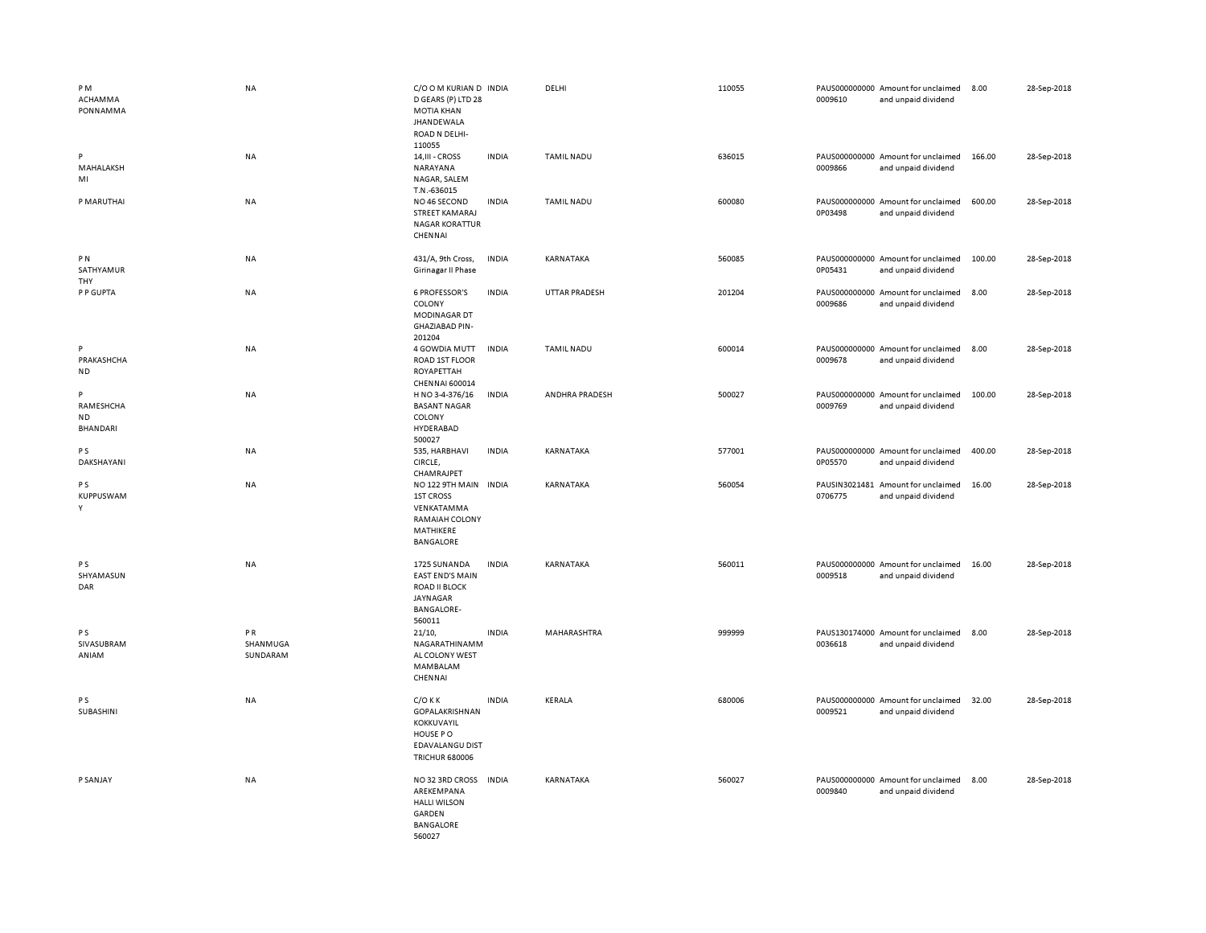| PM<br>ACHAMMA<br>PONNAMMA               | <b>NA</b>                  | C/O O M KURIAN D INDIA<br>D GEARS (P) LTD 28<br><b>MOTIA KHAN</b><br><b>JHANDEWALA</b><br>ROAD N DELHI-<br>110055 |              | DELHI             | 110055 | 0009610 | PAUS000000000 Amount for unclaimed<br>and unpaid dividend | 8.00   | 28-Sep-2018 |
|-----------------------------------------|----------------------------|-------------------------------------------------------------------------------------------------------------------|--------------|-------------------|--------|---------|-----------------------------------------------------------|--------|-------------|
| P<br>MAHALAKSH<br>MI                    | <b>NA</b>                  | 14, III - CROSS<br>NARAYANA<br>NAGAR, SALEM<br>T.N.-636015                                                        | <b>INDIA</b> | <b>TAMIL NADU</b> | 636015 | 0009866 | PAUS000000000 Amount for unclaimed<br>and unpaid dividend | 166.00 | 28-Sep-2018 |
| P MARUTHAI                              | <b>NA</b>                  | NO 46 SECOND<br><b>STREET KAMARAJ</b><br><b>NAGAR KORATTUR</b><br>CHENNAI                                         | <b>INDIA</b> | <b>TAMIL NADU</b> | 600080 | 0P03498 | PAUS000000000 Amount for unclaimed<br>and unpaid dividend | 600.00 | 28-Sep-2018 |
| PN<br>SATHYAMUR<br>THY                  | NA                         | 431/A, 9th Cross,<br>Girinagar II Phase                                                                           | <b>INDIA</b> | KARNATAKA         | 560085 | 0P05431 | PAUS000000000 Amount for unclaimed<br>and unpaid dividend | 100.00 | 28-Sep-2018 |
| P P GUPTA                               | <b>NA</b>                  | <b>6 PROFESSOR'S</b><br>COLONY<br>MODINAGAR DT<br><b>GHAZIABAD PIN-</b><br>201204                                 | <b>INDIA</b> | UTTAR PRADESH     | 201204 | 0009686 | PAUS000000000 Amount for unclaimed<br>and unpaid dividend | 8.00   | 28-Sep-2018 |
| P<br>PRAKASHCHA<br><b>ND</b>            | <b>NA</b>                  | 4 GOWDIA MUTT<br>ROAD 1ST FLOOR<br>ROYAPETTAH<br>CHENNAI 600014                                                   | <b>INDIA</b> | <b>TAMIL NADU</b> | 600014 | 0009678 | PAUS000000000 Amount for unclaimed<br>and unpaid dividend | 8.00   | 28-Sep-2018 |
| P<br>RAMESHCHA<br>ND<br><b>BHANDARI</b> | <b>NA</b>                  | H NO 3-4-376/16<br><b>BASANT NAGAR</b><br>COLONY<br>HYDERABAD<br>500027                                           | <b>INDIA</b> | ANDHRA PRADESH    | 500027 | 0009769 | PAUS000000000 Amount for unclaimed<br>and unpaid dividend | 100.00 | 28-Sep-2018 |
| <b>PS</b><br>DAKSHAYANI                 | <b>NA</b>                  | 535, HARBHAVI<br>CIRCLE,<br>CHAMRAJPET                                                                            | <b>INDIA</b> | KARNATAKA         | 577001 | 0P05570 | PAUS000000000 Amount for unclaimed<br>and unpaid dividend | 400.00 | 28-Sep-2018 |
| <b>PS</b><br>KUPPUSWAM<br>Y             | NA                         | NO 122 9TH MAIN INDIA<br><b>1ST CROSS</b><br>VENKATAMMA<br>RAMAIAH COLONY<br>MATHIKERE<br>BANGALORE               |              | KARNATAKA         | 560054 | 0706775 | PAUSIN3021481 Amount for unclaimed<br>and unpaid dividend | 16.00  | 28-Sep-2018 |
| P S<br>SHYAMASUN<br>DAR                 | <b>NA</b>                  | 1725 SUNANDA<br><b>EAST END'S MAIN</b><br>ROAD II BLOCK<br>JAYNAGAR<br><b>BANGALORE-</b><br>560011                | <b>INDIA</b> | KARNATAKA         | 560011 | 0009518 | PAUS000000000 Amount for unclaimed<br>and unpaid dividend | 16.00  | 28-Sep-2018 |
| P S<br>SIVASUBRAM<br>ANIAM              | PR<br>SHANMUGA<br>SUNDARAM | 21/10,<br>NAGARATHINAMM<br>AL COLONY WEST<br>MAMBALAM<br>CHENNAI                                                  | <b>INDIA</b> | MAHARASHTRA       | 999999 | 0036618 | PAUS130174000 Amount for unclaimed<br>and unpaid dividend | 8.00   | 28-Sep-2018 |
| P <sub>S</sub><br>SUBASHINI             | <b>NA</b>                  | $C/O$ K K<br>GOPALAKRISHNAN<br>KOKKUVAYIL<br>HOUSE PO<br><b>EDAVALANGU DIST</b><br><b>TRICHUR 680006</b>          | <b>INDIA</b> | KERALA            | 680006 | 0009521 | PAUS000000000 Amount for unclaimed<br>and unpaid dividend | 32.00  | 28-Sep-2018 |
| P SANJAY                                | <b>NA</b>                  | NO 32 3RD CROSS<br>AREKEMPANA<br><b>HALLI WILSON</b><br>GARDEN<br><b>BANGALORE</b><br>560027                      | <b>INDIA</b> | KARNATAKA         | 560027 | 0009840 | PAUS000000000 Amount for unclaimed<br>and unpaid dividend | 8.00   | 28-Sep-2018 |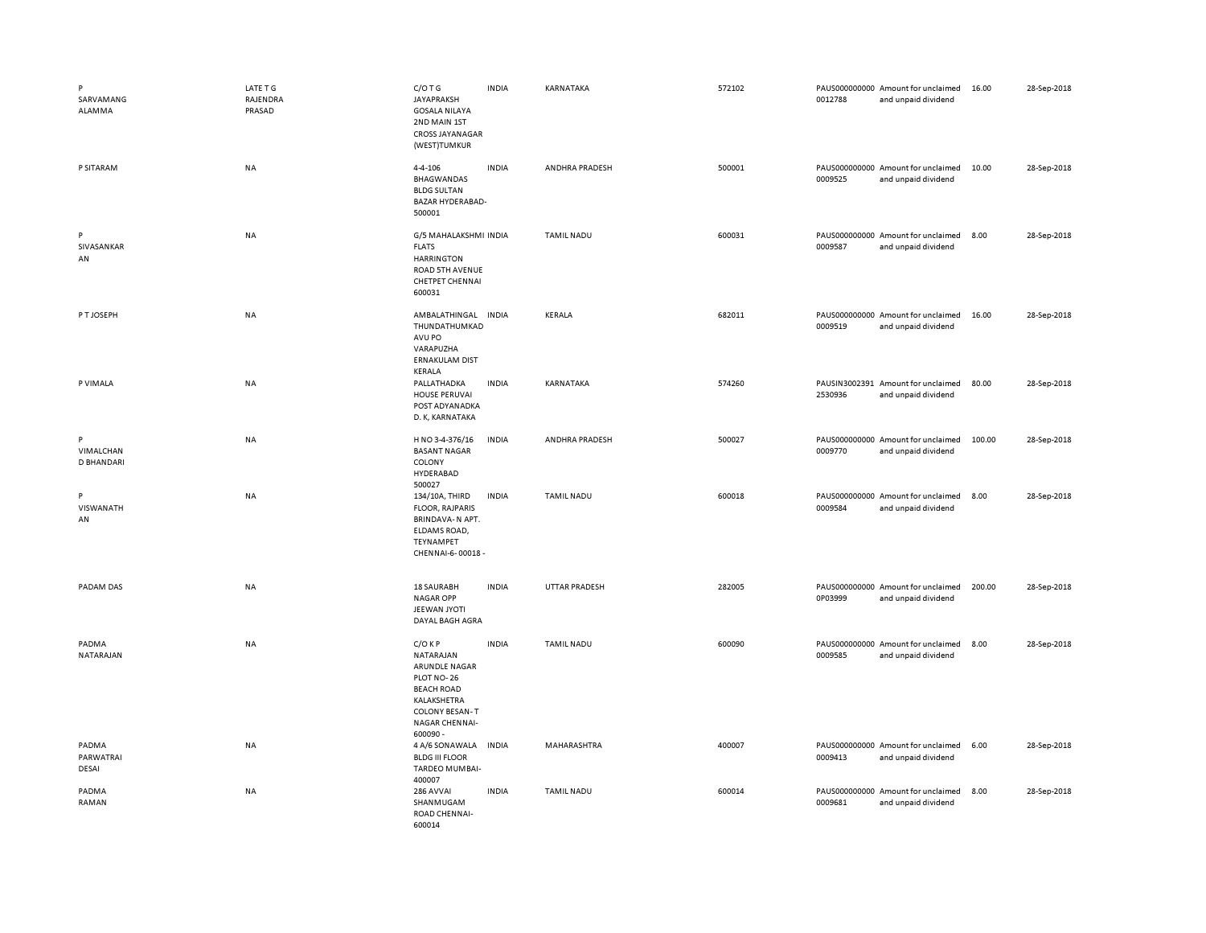| P<br>SARVAMANG<br>ALAMMA            | LATE T G<br>RAJENDRA<br>PRASAD | $C/O$ T G<br><b>JAYAPRAKSH</b><br><b>GOSALA NILAYA</b><br>2ND MAIN 1ST<br>CROSS JAYANAGAR<br>(WEST)TUMKUR                                      | <b>INDIA</b> | KARNATAKA         | 572102 | 0012788 | PAUS000000000 Amount for unclaimed<br>and unpaid dividend | 16.00  | 28-Sep-2018 |
|-------------------------------------|--------------------------------|------------------------------------------------------------------------------------------------------------------------------------------------|--------------|-------------------|--------|---------|-----------------------------------------------------------|--------|-------------|
| P SITARAM                           | <b>NA</b>                      | 4-4-106<br>BHAGWANDAS<br><b>BLDG SULTAN</b><br>BAZAR HYDERABAD-<br>500001                                                                      | <b>INDIA</b> | ANDHRA PRADESH    | 500001 | 0009525 | PAUS000000000 Amount for unclaimed<br>and unpaid dividend | 10.00  | 28-Sep-2018 |
| P<br>SIVASANKAR<br>AN               | <b>NA</b>                      | G/5 MAHALAKSHMI INDIA<br><b>FLATS</b><br><b>HARRINGTON</b><br>ROAD 5TH AVENUE<br><b>CHETPET CHENNAI</b><br>600031                              |              | <b>TAMIL NADU</b> | 600031 | 0009587 | PAUS000000000 Amount for unclaimed<br>and unpaid dividend | 8.00   | 28-Sep-2018 |
| P T JOSEPH                          | <b>NA</b>                      | AMBALATHINGAL INDIA<br>THUNDATHUMKAD<br>AVU PO<br>VARAPUZHA<br><b>ERNAKULAM DIST</b><br>KERALA                                                 |              | <b>KERALA</b>     | 682011 | 0009519 | PAUS000000000 Amount for unclaimed<br>and unpaid dividend | 16.00  | 28-Sep-2018 |
| P VIMALA                            | <b>NA</b>                      | PALLATHADKA<br><b>HOUSE PERUVAI</b><br>POST ADYANADKA<br>D. K, KARNATAKA                                                                       | <b>INDIA</b> | KARNATAKA         | 574260 | 2530936 | PAUSIN3002391 Amount for unclaimed<br>and unpaid dividend | 80.00  | 28-Sep-2018 |
| P<br>VIMALCHAN<br><b>D BHANDARI</b> | NA                             | H NO 3-4-376/16<br><b>BASANT NAGAR</b><br>COLONY<br>HYDERABAD<br>500027                                                                        | <b>INDIA</b> | ANDHRA PRADESH    | 500027 | 0009770 | PAUS000000000 Amount for unclaimed<br>and unpaid dividend | 100.00 | 28-Sep-2018 |
| P<br>VISWANATH<br>AN                | <b>NA</b>                      | 134/10A, THIRD<br><b>FLOOR, RAJPARIS</b><br>BRINDAVA-N APT.<br>ELDAMS ROAD,<br>TEYNAMPET<br>CHENNAI-6-00018 -                                  | <b>INDIA</b> | <b>TAMIL NADU</b> | 600018 | 0009584 | PAUS000000000 Amount for unclaimed<br>and unpaid dividend | 8.00   | 28-Sep-2018 |
| PADAM DAS                           | <b>NA</b>                      | 18 SAURABH<br><b>NAGAR OPP</b><br>JEEWAN JYOTI<br>DAYAL BAGH AGRA                                                                              | <b>INDIA</b> | UTTAR PRADESH     | 282005 | 0P03999 | PAUS000000000 Amount for unclaimed<br>and unpaid dividend | 200.00 | 28-Sep-2018 |
| PADMA<br>NATARAJAN                  | <b>NA</b>                      | $C/O$ KP<br>NATARAJAN<br>ARUNDLE NAGAR<br>PLOT NO-26<br><b>BEACH ROAD</b><br>KALAKSHETRA<br><b>COLONY BESAN-T</b><br>NAGAR CHENNAI-<br>600090- | <b>INDIA</b> | <b>TAMIL NADU</b> | 600090 | 0009585 | PAUS000000000 Amount for unclaimed<br>and unpaid dividend | 8.00   | 28-Sep-2018 |
| PADMA<br>PARWATRAI<br>DESAI         | <b>NA</b>                      | 4 A/6 SONAWALA<br><b>BLDG III FLOOR</b><br>TARDEO MUMBAI-<br>400007                                                                            | <b>INDIA</b> | MAHARASHTRA       | 400007 | 0009413 | PAUS000000000 Amount for unclaimed<br>and unpaid dividend | 6.00   | 28-Sep-2018 |
| PADMA<br>RAMAN                      | <b>NA</b>                      | 286 AVVAI<br>SHANMUGAM<br>ROAD CHENNAI-<br>600014                                                                                              | <b>INDIA</b> | <b>TAMIL NADU</b> | 600014 | 0009681 | PAUS000000000 Amount for unclaimed<br>and unpaid dividend | 8.00   | 28-Sep-2018 |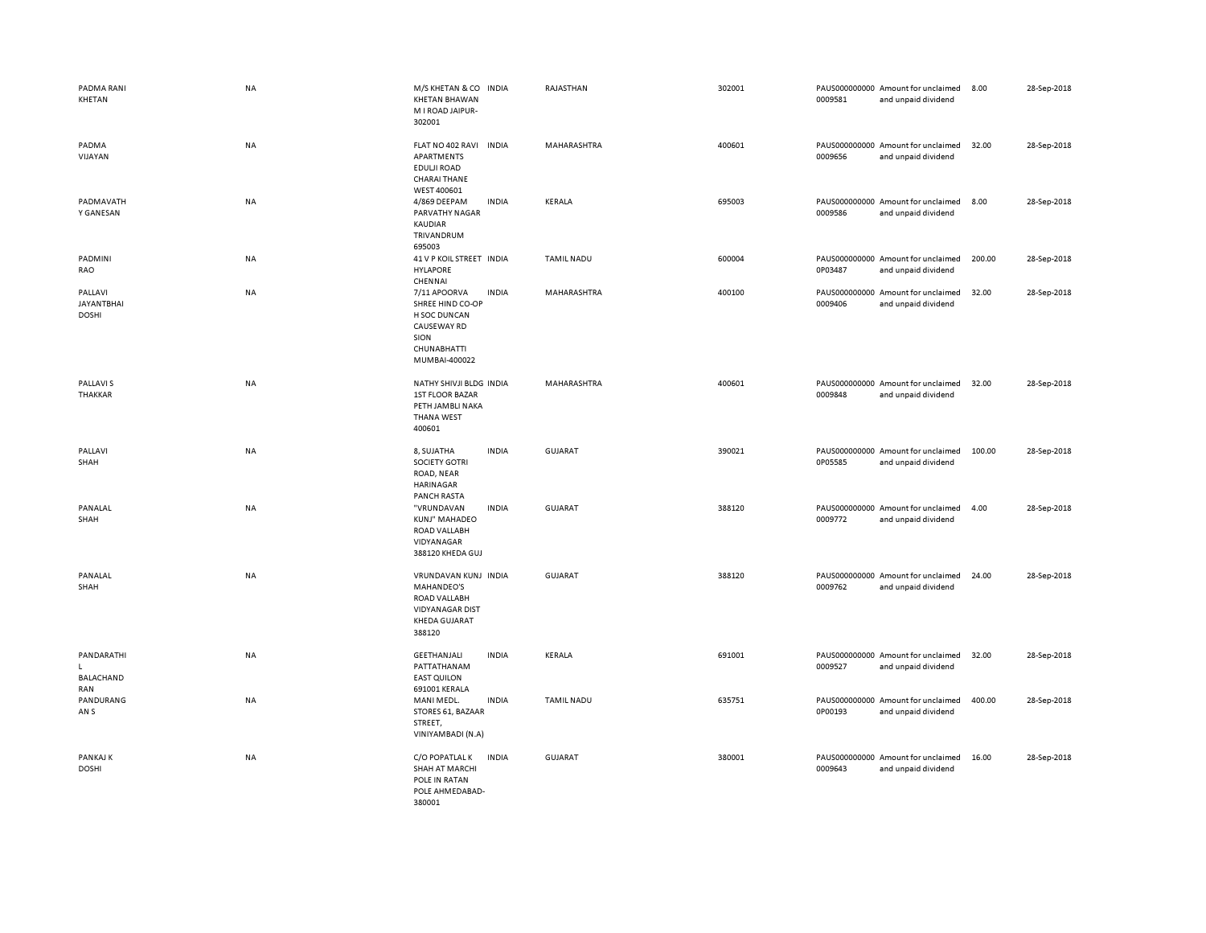| PADMA RANI<br>KHETAN                         | NA        | M/S KHETAN & CO INDIA<br><b>KHETAN BHAWAN</b><br>M I ROAD JAIPUR-<br>302001                                                    | RAJASTHAN         | 302001 | 0009581 | PAUS000000000 Amount for unclaimed<br>and unpaid dividend | 8.00   | 28-Sep-2018 |
|----------------------------------------------|-----------|--------------------------------------------------------------------------------------------------------------------------------|-------------------|--------|---------|-----------------------------------------------------------|--------|-------------|
| PADMA<br>VIJAYAN                             | NA        | FLAT NO 402 RAVI<br><b>INDIA</b><br>APARTMENTS<br>EDULJI ROAD<br><b>CHARAI THANE</b><br>WEST 400601                            | MAHARASHTRA       | 400601 | 0009656 | PAUS000000000 Amount for unclaimed<br>and unpaid dividend | 32.00  | 28-Sep-2018 |
| PADMAVATH<br>Y GANESAN                       | NA        | 4/869 DEEPAM<br><b>INDIA</b><br>PARVATHY NAGAR<br>KAUDIAR<br>TRIVANDRUM<br>695003                                              | KERALA            | 695003 | 0009586 | PAUS000000000 Amount for unclaimed<br>and unpaid dividend | 8.00   | 28-Sep-2018 |
| PADMINI<br>RAO                               | NA        | 41 V P KOIL STREET IN DIA<br><b>HYLAPORE</b><br>CHENNAI                                                                        | <b>TAMIL NADU</b> | 600004 | 0P03487 | PAUS000000000 Amount for unclaimed<br>and unpaid dividend | 200.00 | 28-Sep-2018 |
| PALLAVI<br><b>JAYANTBHAI</b><br><b>DOSHI</b> | NA        | 7/11 APOORVA<br><b>INDIA</b><br>SHREE HIND CO-OP<br><b>H SOC DUNCAN</b><br>CAUSEWAY RD<br>SION<br>CHUNABHATTI<br>MUMBAI-400022 | MAHARASHTRA       | 400100 | 0009406 | PAUS000000000 Amount for unclaimed<br>and unpaid dividend | 32.00  | 28-Sep-2018 |
| <b>PALLAVIS</b><br>THAKKAR                   | NA        | NATHY SHIVJI BLDG INDIA<br><b>1ST FLOOR BAZAR</b><br>PETH JAMBLI NAKA<br>THANA WEST<br>400601                                  | MAHARASHTRA       | 400601 | 0009848 | PAUS000000000 Amount for unclaimed<br>and unpaid dividend | 32.00  | 28-Sep-2018 |
| PALLAVI<br>SHAH                              | NA        | <b>INDIA</b><br>8, SUJATHA<br><b>SOCIETY GOTRI</b><br>ROAD, NEAR<br>HARINAGAR<br><b>PANCH RASTA</b>                            | <b>GUJARAT</b>    | 390021 | 0P05585 | PAUS000000000 Amount for unclaimed<br>and unpaid dividend | 100.00 | 28-Sep-2018 |
| PANALAL<br>SHAH                              | <b>NA</b> | "VRUNDAVAN<br><b>INDIA</b><br>KUNJ" MAHADEO<br>ROAD VALLABH<br>VIDYANAGAR<br>388120 KHEDA GUJ                                  | <b>GUJARAT</b>    | 388120 | 0009772 | PAUS000000000 Amount for unclaimed<br>and unpaid dividend | 4.00   | 28-Sep-2018 |
| PANALAL<br>SHAH                              | NA        | VRUNDAVAN KUNJ INDIA<br><b>MAHANDEO'S</b><br>ROAD VALLABH<br><b>VIDYANAGAR DIST</b><br>KHEDA GUJARAT<br>388120                 | <b>GUJARAT</b>    | 388120 | 0009762 | PAUS000000000 Amount for unclaimed<br>and unpaid dividend | 24.00  | 28-Sep-2018 |
| PANDARATHI<br>L<br>BALACHAND<br>RAN          | NA        | GEETHANJALI<br><b>INDIA</b><br>PATTATHANAM<br><b>EAST QUILON</b><br>691001 KERALA                                              | KERALA            | 691001 | 0009527 | PAUS000000000 Amount for unclaimed<br>and unpaid dividend | 32.00  | 28-Sep-2018 |
| PANDURANG<br>AN <sub>S</sub>                 | NA        | <b>INDIA</b><br>MANI MEDL.<br>STORES 61, BAZAAR<br>STREET,<br>VINIYAMBADI (N.A)                                                | <b>TAMIL NADU</b> | 635751 | 0P00193 | PAUS000000000 Amount for unclaimed<br>and unpaid dividend | 400.00 | 28-Sep-2018 |
| PANKAJ K<br><b>DOSHI</b>                     | NA        | C/O POPATLAL K<br><b>INDIA</b><br><b>SHAH AT MARCHI</b><br>POLE IN RATAN<br>POLE AHMEDABAD-<br>380001                          | <b>GUJARAT</b>    | 380001 | 0009643 | PAUS000000000 Amount for unclaimed<br>and unpaid dividend | 16.00  | 28-Sep-2018 |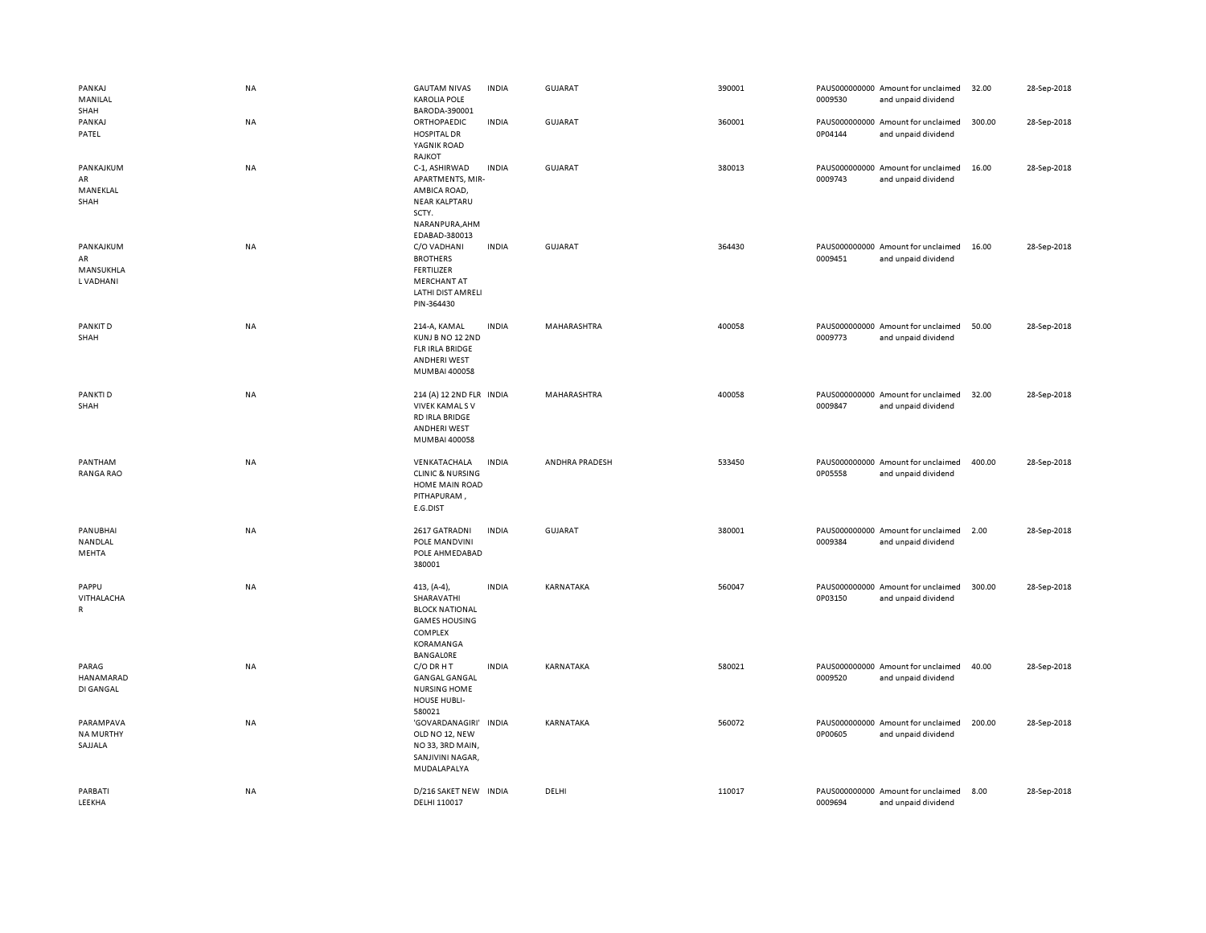| PANKAJ<br>MANILAL<br>SHAH                 | NA        | <b>GAUTAM NIVAS</b><br><b>KAROLIA POLE</b><br>BARODA-390001                                                                   | <b>INDIA</b> | GUJARAT        | 390001 | 0009530 | PAUS000000000 Amount for unclaimed<br>and unpaid dividend | 32.00  | 28-Sep-2018 |
|-------------------------------------------|-----------|-------------------------------------------------------------------------------------------------------------------------------|--------------|----------------|--------|---------|-----------------------------------------------------------|--------|-------------|
| PANKAJ<br>PATEL                           | NA        | ORTHOPAEDIC<br><b>HOSPITAL DR</b><br>YAGNIK ROAD<br>RAJKOT                                                                    | <b>INDIA</b> | GUJARAT        | 360001 | 0P04144 | PAUS000000000 Amount for unclaimed<br>and unpaid dividend | 300.00 | 28-Sep-2018 |
| PANKAJKUM<br>AR<br>MANEKLAL<br>SHAH       | NA        | C-1, ASHIRWAD<br>APARTMENTS, MIR-<br>AMBICA ROAD,<br><b>NEAR KALPTARU</b><br>SCTY.<br>NARANPURA, AHM                          | <b>INDIA</b> | <b>GUJARAT</b> | 380013 | 0009743 | PAUS000000000 Amount for unclaimed<br>and unpaid dividend | 16.00  | 28-Sep-2018 |
| PANKAJKUM<br>AR<br>MANSUKHLA<br>L VADHANI | NA        | EDABAD-380013<br>C/O VADHANI<br><b>BROTHERS</b><br><b>FERTILIZER</b><br><b>MERCHANT AT</b><br>LATHI DIST AMRELI<br>PIN-364430 | <b>INDIA</b> | GUJARAT        | 364430 | 0009451 | PAUS000000000 Amount for unclaimed<br>and unpaid dividend | 16.00  | 28-Sep-2018 |
| PANKIT D<br>SHAH                          | <b>NA</b> | 214-A, KAMAL<br>KUNJ B NO 12 2ND<br><b>FLR IRLA BRIDGE</b><br><b>ANDHERI WEST</b><br>MUMBAI 400058                            | <b>INDIA</b> | MAHARASHTRA    | 400058 | 0009773 | PAUS000000000 Amount for unclaimed<br>and unpaid dividend | 50.00  | 28-Sep-2018 |
| PANKTI D<br>SHAH                          | <b>NA</b> | 214 (A) 12 2ND FLR INDIA<br><b>VIVEK KAMALS V</b><br>RD IRLA BRIDGE<br><b>ANDHERI WEST</b><br>MUMBAI 400058                   |              | MAHARASHTRA    | 400058 | 0009847 | PAUS000000000 Amount for unclaimed<br>and unpaid dividend | 32.00  | 28-Sep-2018 |
| PANTHAM<br><b>RANGA RAO</b>               | NA        | VENKATACHALA<br><b>CLINIC &amp; NURSING</b><br>HOME MAIN ROAD<br>PITHAPURAM,<br>E.G.DIST                                      | <b>INDIA</b> | ANDHRA PRADESH | 533450 | 0P05558 | PAUS000000000 Amount for unclaimed<br>and unpaid dividend | 400.00 | 28-Sep-2018 |
| PANUBHAI<br>NANDLAL<br>MEHTA              | NA        | 2617 GATRADNI<br>POLE MANDVINI<br>POLE AHMEDABAD<br>380001                                                                    | <b>INDIA</b> | GUJARAT        | 380001 | 0009384 | PAUS000000000 Amount for unclaimed<br>and unpaid dividend | 2.00   | 28-Sep-2018 |
| PAPPU<br>VITHALACHA<br>R                  | NA        | 413, (A-4),<br>SHARAVATHI<br><b>BLOCK NATIONAL</b><br><b>GAMES HOUSING</b><br><b>COMPLEX</b><br>KORAMANGA<br>BANGALORE        | <b>INDIA</b> | KARNATAKA      | 560047 | 0P03150 | PAUS000000000 Amount for unclaimed<br>and unpaid dividend | 300.00 | 28-Sep-2018 |
| PARAG<br>HANAMARAD<br>DI GANGAL           | NA        | C/O DR H T<br><b>GANGAL GANGAL</b><br><b>NURSING HOME</b><br>HOUSE HUBLI-<br>580021                                           | <b>INDIA</b> | KARNATAKA      | 580021 | 0009520 | PAUS000000000 Amount for unclaimed<br>and unpaid dividend | 40.00  | 28-Sep-2018 |
| PARAMPAVA<br><b>NA MURTHY</b><br>SAJJALA  | NA        | 'GOVARDANAGIRI'<br>OLD NO 12, NEW<br>NO 33, 3RD MAIN,<br>SANJIVINI NAGAR,<br>MUDALAPALYA                                      | <b>INDIA</b> | KARNATAKA      | 560072 | 0P00605 | PAUS000000000 Amount for unclaimed<br>and unpaid dividend | 200.00 | 28-Sep-2018 |
| PARBATI<br>LEEKHA                         | NA        | D/216 SAKET NEW INDIA<br>DELHI 110017                                                                                         |              | DELHI          | 110017 | 0009694 | PAUS000000000 Amount for unclaimed<br>and unpaid dividend | 8.00   | 28-Sep-2018 |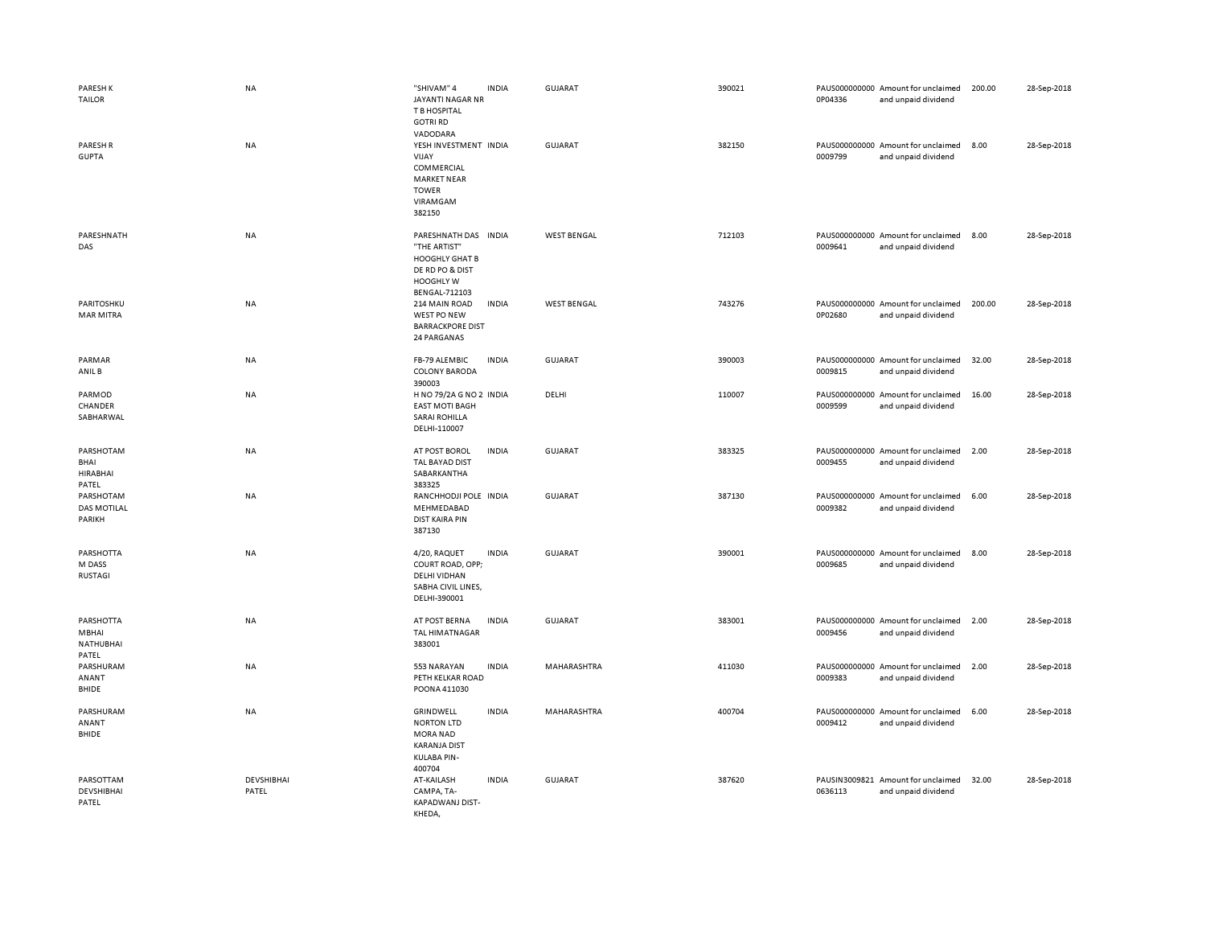| <b>PARESH K</b><br><b>TAILOR</b>                | <b>NA</b>           | "SHIVAM" 4<br>JAYANTI NAGAR NR<br>T B HOSPITAL<br><b>GOTRI RD</b>                                                    | <b>INDIA</b> | GUJARAT            | 390021 | 0P04336 | PAUS000000000 Amount for unclaimed<br>and unpaid dividend | 200.00 | 28-Sep-2018 |
|-------------------------------------------------|---------------------|----------------------------------------------------------------------------------------------------------------------|--------------|--------------------|--------|---------|-----------------------------------------------------------|--------|-------------|
| <b>PARESH R</b><br><b>GUPTA</b>                 | NA                  | VADODARA<br>YESH INVESTMENT INDIA<br>VIJAY<br>COMMERCIAL<br><b>MARKET NEAR</b><br><b>TOWER</b><br>VIRAMGAM<br>382150 |              | <b>GUJARAT</b>     | 382150 | 0009799 | PAUS000000000 Amount for unclaimed<br>and unpaid dividend | 8.00   | 28-Sep-2018 |
| PARESHNATH<br>DAS                               | <b>NA</b>           | PARESHNATH DAS INDIA<br>"THE ARTIST"<br><b>HOOGHLY GHAT B</b><br>DE RD PO & DIST<br>HOOGHLY W<br>BENGAL-712103       |              | <b>WEST BENGAL</b> | 712103 | 0009641 | PAUS000000000 Amount for unclaimed<br>and unpaid dividend | 8.00   | 28-Sep-2018 |
| PARITOSHKU<br><b>MAR MITRA</b>                  | <b>NA</b>           | 214 MAIN ROAD<br>WEST PO NEW<br><b>BARRACKPORE DIST</b><br>24 PARGANAS                                               | <b>INDIA</b> | <b>WEST BENGAL</b> | 743276 | 0P02680 | PAUS000000000 Amount for unclaimed<br>and unpaid dividend | 200.00 | 28-Sep-2018 |
| PARMAR<br>ANIL B                                | NA                  | FB-79 ALEMBIC<br><b>COLONY BARODA</b><br>390003                                                                      | <b>INDIA</b> | <b>GUJARAT</b>     | 390003 | 0009815 | PAUS000000000 Amount for unclaimed<br>and unpaid dividend | 32.00  | 28-Sep-2018 |
| PARMOD<br>CHANDER<br>SABHARWAL                  | NA                  | H NO 79/2A G NO 2 INDIA<br><b>EAST MOTI BAGH</b><br><b>SARAI ROHILLA</b><br>DELHI-110007                             |              | DELHI              | 110007 | 0009599 | PAUS000000000 Amount for unclaimed<br>and unpaid dividend | 16.00  | 28-Sep-2018 |
| PARSHOTAM<br>BHAI<br><b>HIRABHAI</b><br>PATEL   | NA                  | AT POST BOROL<br>TAL BAYAD DIST<br>SABARKANTHA<br>383325                                                             | <b>INDIA</b> | <b>GUJARAT</b>     | 383325 | 0009455 | PAUS000000000 Amount for unclaimed<br>and unpaid dividend | 2.00   | 28-Sep-2018 |
| PARSHOTAM<br><b>DAS MOTILAL</b><br>PARIKH       | <b>NA</b>           | RANCHHODJI POLE INDIA<br>MEHMEDABAD<br><b>DIST KAIRA PIN</b><br>387130                                               |              | <b>GUJARAT</b>     | 387130 | 0009382 | PAUS000000000 Amount for unclaimed<br>and unpaid dividend | 6.00   | 28-Sep-2018 |
| PARSHOTTA<br>M DASS<br><b>RUSTAGI</b>           | <b>NA</b>           | 4/20, RAQUET<br>COURT ROAD, OPP;<br><b>DELHI VIDHAN</b><br>SABHA CIVIL LINES,<br>DELHI-390001                        | <b>INDIA</b> | <b>GUJARAT</b>     | 390001 | 0009685 | PAUS000000000 Amount for unclaimed<br>and unpaid dividend | 8.00   | 28-Sep-2018 |
| PARSHOTTA<br>MBHAI<br><b>NATHUBHAI</b><br>PATEL | <b>NA</b>           | AT POST BERNA<br><b>TAL HIMATNAGAR</b><br>383001                                                                     | <b>INDIA</b> | <b>GUJARAT</b>     | 383001 | 0009456 | PAUS000000000 Amount for unclaimed<br>and unpaid dividend | 2.00   | 28-Sep-2018 |
| PARSHURAM<br>ANANT<br><b>BHIDE</b>              | <b>NA</b>           | 553 NARAYAN<br>PETH KELKAR ROAD<br>POONA 411030                                                                      | <b>INDIA</b> | MAHARASHTRA        | 411030 | 0009383 | PAUS000000000 Amount for unclaimed<br>and unpaid dividend | 2.00   | 28-Sep-2018 |
| PARSHURAM<br>ANANT<br><b>BHIDE</b>              | <b>NA</b>           | GRINDWELL<br><b>NORTON LTD</b><br><b>MORA NAD</b><br><b>KARANJA DIST</b><br>KULABA PIN-<br>400704                    | <b>INDIA</b> | <b>MAHARASHTRA</b> | 400704 | 0009412 | PAUS000000000 Amount for unclaimed<br>and unpaid dividend | 6.00   | 28-Sep-2018 |
| PARSOTTAM<br><b>DEVSHIBHAI</b><br>PATEL         | DEVSHIBHAI<br>PATEL | AT-KAILASH<br>CAMPA, TA-<br>KAPADWANJ DIST-<br>KHEDA,                                                                | <b>INDIA</b> | <b>GUJARAT</b>     | 387620 | 0636113 | PAUSIN3009821 Amount for unclaimed<br>and unpaid dividend | 32.00  | 28-Sep-2018 |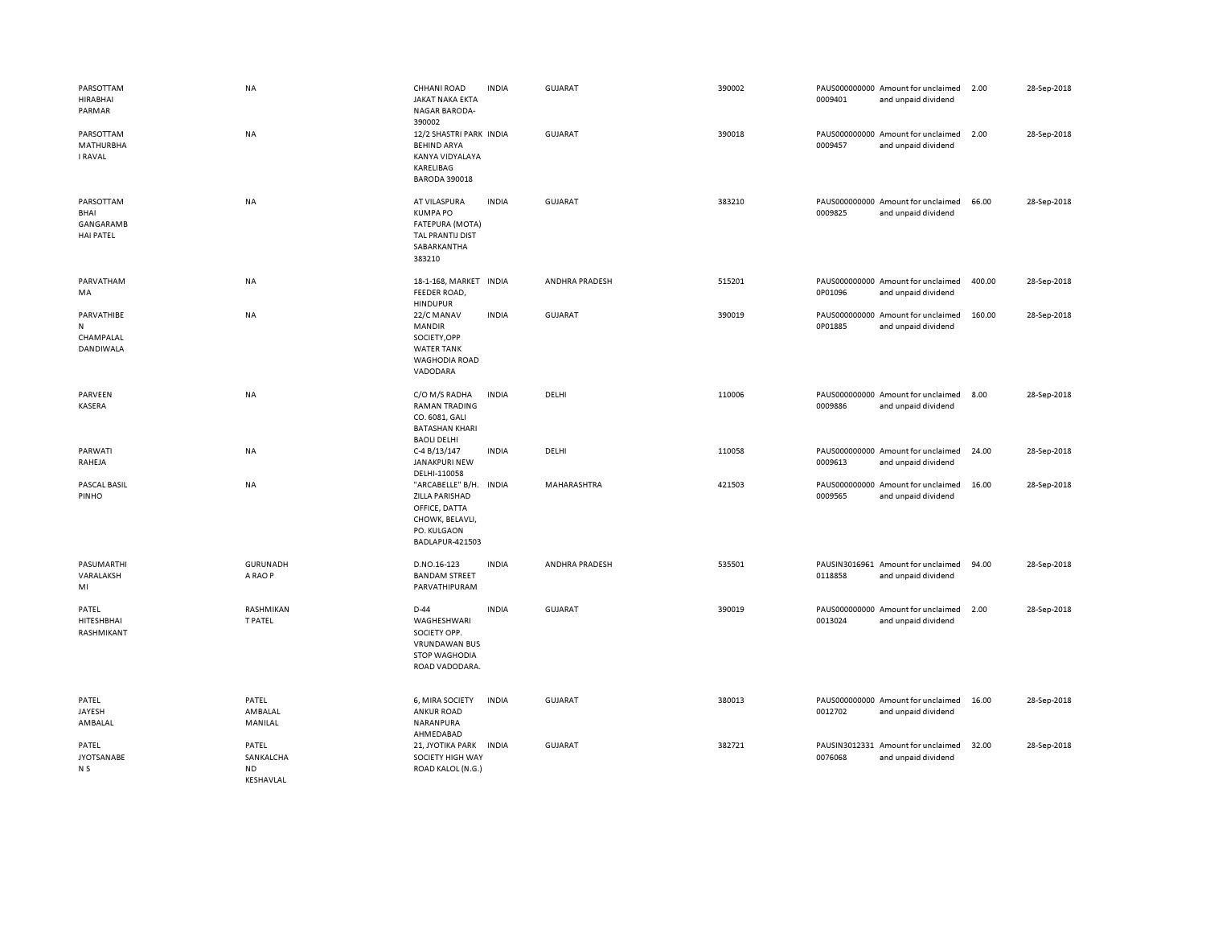| PARSOTTAM<br>HIRABHAI<br>PARMAR                           | <b>NA</b>                                           | CHHANI ROAD<br><b>JAKAT NAKA EKTA</b><br><b>NAGAR BARODA-</b>                                                   | <b>INDIA</b> | <b>GUJARAT</b> | 390002 | 0009401 | PAUS000000000 Amount for unclaimed<br>and unpaid dividend | 2.00   | 28-Sep-2018 |
|-----------------------------------------------------------|-----------------------------------------------------|-----------------------------------------------------------------------------------------------------------------|--------------|----------------|--------|---------|-----------------------------------------------------------|--------|-------------|
| PARSOTTAM<br><b>MATHURBHA</b><br><b>I RAVAL</b>           | <b>NA</b>                                           | 390002<br>12/2 SHASTRI PARK INDIA<br><b>BEHIND ARYA</b><br>KANYA VIDYALAYA<br>KARELIBAG<br><b>BARODA 390018</b> |              | <b>GUJARAT</b> | 390018 | 0009457 | PAUS000000000 Amount for unclaimed<br>and unpaid dividend | 2.00   | 28-Sep-2018 |
| PARSOTTAM<br>BHAI<br><b>GANGARAMB</b><br><b>HAI PATEL</b> | NA                                                  | AT VILASPURA<br><b>KUMPA PO</b><br>FATEPURA (MOTA)<br>TAL PRANTIJ DIST<br>SABARKANTHA<br>383210                 | <b>INDIA</b> | <b>GUJARAT</b> | 383210 | 0009825 | PAUS000000000 Amount for unclaimed<br>and unpaid dividend | 66.00  | 28-Sep-2018 |
| PARVATHAM<br>MA                                           | <b>NA</b>                                           | 18-1-168, MARKET INDIA<br>FEEDER ROAD,<br><b>HINDUPUR</b>                                                       |              | ANDHRA PRADESH | 515201 | 0P01096 | PAUS000000000 Amount for unclaimed<br>and unpaid dividend | 400.00 | 28-Sep-2018 |
| PARVATHIBE<br>N<br>CHAMPALAL<br>DANDIWALA                 | <b>NA</b>                                           | 22/C MANAV<br><b>MANDIR</b><br>SOCIETY, OPP<br><b>WATER TANK</b><br><b>WAGHODIA ROAD</b><br>VADODARA            | <b>INDIA</b> | GUJARAT        | 390019 | 0P01885 | PAUS000000000 Amount for unclaimed<br>and unpaid dividend | 160.00 | 28-Sep-2018 |
| PARVEEN<br>KASERA                                         | <b>NA</b>                                           | C/O M/S RADHA<br><b>RAMAN TRADING</b><br>CO. 6081, GALI<br><b>BATASHAN KHARI</b><br><b>BAOLI DELHI</b>          | <b>INDIA</b> | DELHI          | 110006 | 0009886 | PAUS000000000 Amount for unclaimed<br>and unpaid dividend | 8.00   | 28-Sep-2018 |
| PARWATI<br>RAHEJA                                         | <b>NA</b>                                           | C-4 B/13/147<br>JANAKPURI NEW<br>DELHI-110058                                                                   | <b>INDIA</b> | DELHI          | 110058 | 0009613 | PAUS000000000 Amount for unclaimed<br>and unpaid dividend | 24.00  | 28-Sep-2018 |
| PASCAL BASIL<br>PINHO                                     | <b>NA</b>                                           | "ARCABELLE" B/H. INDIA<br>ZILLA PARISHAD<br>OFFICE, DATTA<br>CHOWK, BELAVLI,<br>PO. KULGAON<br>BADLAPUR-421503  |              | MAHARASHTRA    | 421503 | 0009565 | PAUS000000000 Amount for unclaimed<br>and unpaid dividend | 16.00  | 28-Sep-2018 |
| PASUMARTHI<br>VARALAKSH<br>MI                             | GURUNADH<br>A RAO P                                 | D.NO.16-123<br><b>BANDAM STREET</b><br>PARVATHIPURAM                                                            | <b>INDIA</b> | ANDHRA PRADESH | 535501 | 0118858 | PAUSIN3016961 Amount for unclaimed<br>and unpaid dividend | 94.00  | 28-Sep-2018 |
| PATEL<br>HITESHBHAI<br>RASHMIKANT                         | RASHMIKAN<br><b>T PATEL</b>                         | $D-44$<br>WAGHESHWARI<br>SOCIETY OPP.<br><b>VRUNDAWAN BUS</b><br><b>STOP WAGHODIA</b><br>ROAD VADODARA.         | <b>INDIA</b> | <b>GUJARAT</b> | 390019 | 0013024 | PAUS000000000 Amount for unclaimed<br>and unpaid dividend | 2.00   | 28-Sep-2018 |
| PATEL<br>JAYESH<br>AMBALAL                                | PATEL<br>AMBALAL<br>MANILAL                         | 6, MIRA SOCIETY<br><b>ANKUR ROAD</b><br>NARANPURA<br>AHMEDABAD                                                  | <b>INDIA</b> | <b>GUJARAT</b> | 380013 | 0012702 | PAUS000000000 Amount for unclaimed<br>and unpaid dividend | 16.00  | 28-Sep-2018 |
| PATEL<br><b>JYOTSANABE</b><br>N S                         | PATEL<br>SANKALCHA<br><b>ND</b><br><b>KFSHAVIAI</b> | 21, JYOTIKA PARK INDIA<br>SOCIETY HIGH WAY<br>ROAD KALOL (N.G.)                                                 |              | <b>GUJARAT</b> | 382721 | 0076068 | PAUSIN3012331 Amount for unclaimed<br>and unpaid dividend | 32.00  | 28-Sep-2018 |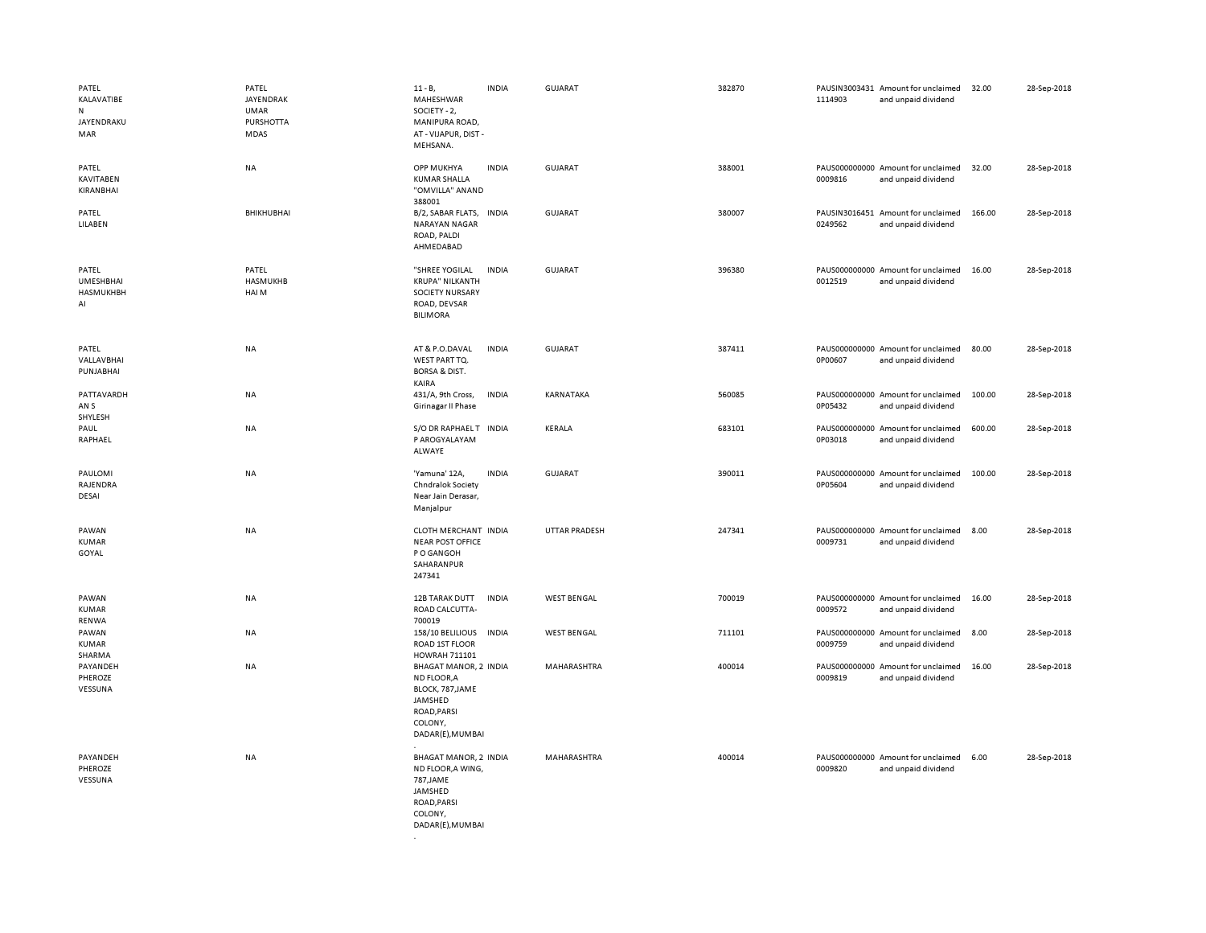| PATEL<br>KALAVATIBE<br>N<br>JAYENDRAKU<br>MAR | PATEL<br>JAYENDRAK<br><b>UMAR</b><br>PURSHOTTA<br>MDAS | $11 - B$ ,<br>MAHESHWAR<br>SOCIETY - 2,<br>MANIPURA ROAD,<br>AT - VIJAPUR, DIST -<br>MEHSANA.                            | <b>INDIA</b> | <b>GUJARAT</b>     | 382870 | 1114903 | PAUSIN3003431 Amount for unclaimed<br>and unpaid dividend | 32.00  | 28-Sep-2018 |
|-----------------------------------------------|--------------------------------------------------------|--------------------------------------------------------------------------------------------------------------------------|--------------|--------------------|--------|---------|-----------------------------------------------------------|--------|-------------|
| PATEL<br><b>KAVITABEN</b><br>KIRANBHAI        | <b>NA</b>                                              | <b>OPP MUKHYA</b><br><b>KUMAR SHALLA</b><br>"OMVILLA" ANAND<br>388001                                                    | <b>INDIA</b> | <b>GUJARAT</b>     | 388001 | 0009816 | PAUS000000000 Amount for unclaimed<br>and unpaid dividend | 32.00  | 28-Sep-2018 |
| PATEL<br>LILABEN                              | BHIKHUBHAI                                             | B/2, SABAR FLATS,<br>NARAYAN NAGAR<br>ROAD, PALDI<br>AHMEDABAD                                                           | <b>INDIA</b> | GUJARAT            | 380007 | 0249562 | PAUSIN3016451 Amount for unclaimed<br>and unpaid dividend | 166.00 | 28-Sep-2018 |
| PATEL<br><b>UMESHBHAI</b><br>HASMUKHBH<br>AI  | PATEL<br>HASMUKHB<br>HAI M                             | "SHREE YOGILAL<br><b>KRUPA" NILKANTH</b><br>SOCIETY NURSARY<br>ROAD, DEVSAR<br><b>BILIMORA</b>                           | <b>INDIA</b> | GUJARAT            | 396380 | 0012519 | PAUS000000000 Amount for unclaimed<br>and unpaid dividend | 16.00  | 28-Sep-2018 |
| PATEL<br>VALLAVBHAI<br>PUNJABHAI              | <b>NA</b>                                              | AT & P.O.DAVAL<br>WEST PART TQ.<br><b>BORSA &amp; DIST.</b><br>KAIRA                                                     | <b>INDIA</b> | <b>GUJARAT</b>     | 387411 | 0P00607 | PAUS000000000 Amount for unclaimed<br>and unpaid dividend | 80.00  | 28-Sep-2018 |
| PATTAVARDH<br>AN <sub>S</sub><br>SHYLESH      | NA                                                     | 431/A, 9th Cross,<br>Girinagar II Phase                                                                                  | <b>INDIA</b> | KARNATAKA          | 560085 | 0P05432 | PAUS000000000 Amount for unclaimed<br>and unpaid dividend | 100.00 | 28-Sep-2018 |
| PAUL<br>RAPHAEL                               | <b>NA</b>                                              | S/O DR RAPHAELT INDIA<br>P AROGYALAYAM<br>ALWAYE                                                                         |              | KERALA             | 683101 | 0P03018 | PAUS000000000 Amount for unclaimed<br>and unpaid dividend | 600.00 | 28-Sep-2018 |
| PAULOMI<br>RAJENDRA<br>DESAI                  | NA                                                     | 'Yamuna' 12A,<br>Chndralok Society<br>Near Jain Derasar,<br>Manjalpur                                                    | <b>INDIA</b> | GUJARAT            | 390011 | 0P05604 | PAUS000000000 Amount for unclaimed<br>and unpaid dividend | 100.00 | 28-Sep-2018 |
| PAWAN<br><b>KUMAR</b><br>GOYAL                | NA                                                     | CLOTH MERCHANT INDIA<br><b>NEAR POST OFFICE</b><br>P O GANGOH<br>SAHARANPUR<br>247341                                    |              | UTTAR PRADESH      | 247341 | 0009731 | PAUS000000000 Amount for unclaimed<br>and unpaid dividend | 8.00   | 28-Sep-2018 |
| PAWAN<br>KUMAR<br>RENWA                       | NA                                                     | 12B TARAK DUTT<br>ROAD CALCUTTA-<br>700019                                                                               | <b>INDIA</b> | <b>WEST BENGAL</b> | 700019 | 0009572 | PAUS000000000 Amount for unclaimed<br>and unpaid dividend | 16.00  | 28-Sep-2018 |
| PAWAN<br>KUMAR<br>SHARMA                      | <b>NA</b>                                              | 158/10 BELILIOUS<br>ROAD 1ST FLOOR<br>HOWRAH 711101                                                                      | <b>INDIA</b> | <b>WEST BENGAL</b> | 711101 | 0009759 | PAUS000000000 Amount for unclaimed<br>and unpaid dividend | 8.00   | 28-Sep-2018 |
| PAYANDEH<br>PHEROZE<br>VESSUNA                | NA                                                     | <b>BHAGAT MANOR, 2 INDIA</b><br>ND FLOOR, A<br>BLOCK, 787, JAME<br>JAMSHED<br>ROAD, PARSI<br>COLONY,<br>DADAR(E), MUMBAI |              | MAHARASHTRA        | 400014 | 0009819 | PAUS000000000 Amount for unclaimed<br>and unpaid dividend | 16.00  | 28-Sep-2018 |
| PAYANDEH<br>PHEROZE<br>VESSUNA                | <b>NA</b>                                              | BHAGAT MANOR, 2 INDIA<br>ND FLOOR, A WING,<br>787, JAME<br>JAMSHED<br>ROAD, PARSI<br>COLONY,<br>DADAR(E), MUMBAI         |              | MAHARASHTRA        | 400014 | 0009820 | PAUS000000000 Amount for unclaimed<br>and unpaid dividend | 6.00   | 28-Sep-2018 |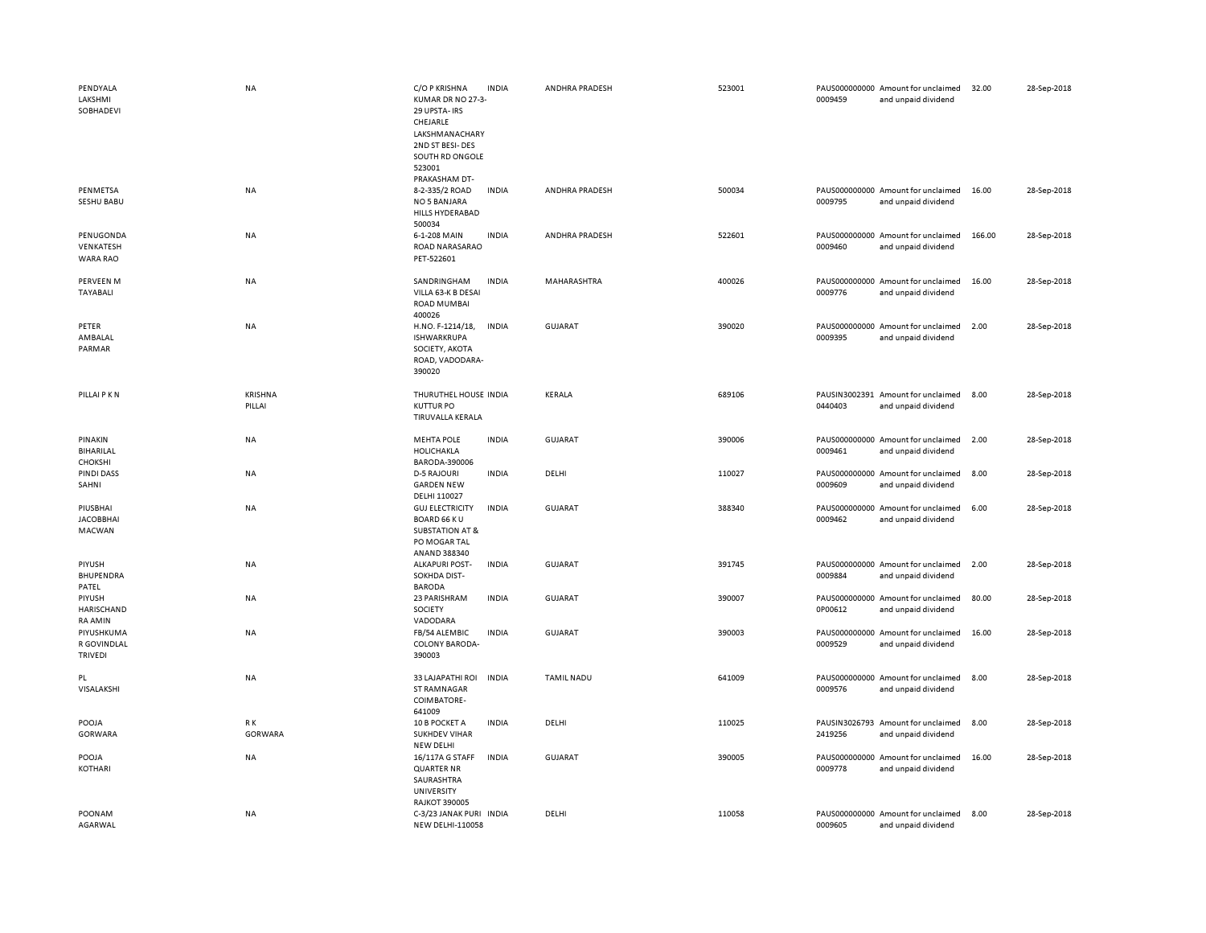| PENDYALA               | NA        | C/O P KRISHNA                                      | <b>INDIA</b> | ANDHRA PRADESH    | 523001 | PAUS000000000 Amount for unclaimed                                   | 32.00  | 28-Sep-2018 |
|------------------------|-----------|----------------------------------------------------|--------------|-------------------|--------|----------------------------------------------------------------------|--------|-------------|
| LAKSHMI<br>SOBHADEVI   |           | KUMAR DR NO 27-3-<br>29 UPSTA-IRS<br>CHEJARLE      |              |                   |        | 0009459<br>and unpaid dividend                                       |        |             |
|                        |           | LAKSHMANACHARY                                     |              |                   |        |                                                                      |        |             |
|                        |           | 2ND ST BESI-DES<br>SOUTH RD ONGOLE                 |              |                   |        |                                                                      |        |             |
|                        |           | 523001                                             |              |                   |        |                                                                      |        |             |
|                        |           | PRAKASHAM DT-                                      |              |                   |        |                                                                      |        |             |
| PENMETSA<br>SESHU BABU | NA        | 8-2-335/2 ROAD<br>NO 5 BANJARA                     | <b>INDIA</b> | ANDHRA PRADESH    | 500034 | PAUS000000000 Amount for unclaimed<br>0009795<br>and unpaid dividend | 16.00  | 28-Sep-2018 |
|                        |           | HILLS HYDERABAD                                    |              |                   |        |                                                                      |        |             |
|                        |           | 500034                                             |              |                   |        |                                                                      |        |             |
| PENUGONDA<br>VENKATESH | NA        | 6-1-208 MAIN<br>ROAD NARASARAO                     | <b>INDIA</b> | ANDHRA PRADESH    | 522601 | PAUS000000000 Amount for unclaimed<br>0009460<br>and unpaid dividend | 166.00 | 28-Sep-2018 |
| <b>WARA RAO</b>        |           | PET-522601                                         |              |                   |        |                                                                      |        |             |
| PERVEEN M              | NA        | SANDRINGHAM                                        | <b>INDIA</b> | MAHARASHTRA       | 400026 | PAUS000000000 Amount for unclaimed                                   | 16.00  | 28-Sep-2018 |
| TAYABALI               |           | VILLA 63-K B DESAI                                 |              |                   |        | 0009776<br>and unpaid dividend                                       |        |             |
|                        |           | <b>ROAD MUMBAI</b>                                 |              |                   |        |                                                                      |        |             |
| PETER                  | NA        | 400026<br>H.NO. F-1214/18,                         | <b>INDIA</b> | <b>GUJARAT</b>    | 390020 | PAUS000000000 Amount for unclaimed                                   | 2.00   | 28-Sep-2018 |
| AMBALAL                |           | <b>ISHWARKRUPA</b>                                 |              |                   |        | 0009395<br>and unpaid dividend                                       |        |             |
| PARMAR                 |           | SOCIETY, AKOTA                                     |              |                   |        |                                                                      |        |             |
|                        |           | ROAD, VADODARA-<br>390020                          |              |                   |        |                                                                      |        |             |
|                        |           |                                                    |              |                   |        |                                                                      |        |             |
| PILLAI P K N           | KRISHNA   | THURUTHEL HOUSE INDIA                              |              | KERALA            | 689106 | PAUSIN3002391 Amount for unclaimed                                   | 8.00   | 28-Sep-2018 |
|                        | PILLAI    | <b>KUTTUR PO</b><br>TIRUVALLA KERALA               |              |                   |        | 0440403<br>and unpaid dividend                                       |        |             |
|                        |           |                                                    |              |                   |        |                                                                      |        |             |
| PINAKIN<br>BIHARILAL   | NA        | <b>MEHTA POLE</b><br>HOLICHAKLA                    | <b>INDIA</b> | <b>GUJARAT</b>    | 390006 | PAUS000000000 Amount for unclaimed<br>0009461<br>and unpaid dividend | 2.00   | 28-Sep-2018 |
| CHOKSHI                |           | BARODA-390006                                      |              |                   |        |                                                                      |        |             |
| <b>PINDI DASS</b>      | NA        | <b>D-5 RAJOURI</b>                                 | <b>INDIA</b> | DELHI             | 110027 | PAUS000000000 Amount for unclaimed                                   | 8.00   | 28-Sep-2018 |
| SAHNI                  |           | <b>GARDEN NEW</b><br>DELHI 110027                  |              |                   |        | 0009609<br>and unpaid dividend                                       |        |             |
| PIUSBHAI               | <b>NA</b> | <b>GUJ ELECTRICITY</b>                             | <b>INDIA</b> | GUJARAT           | 388340 | PAUS000000000 Amount for unclaimed                                   | 6.00   | 28-Sep-2018 |
| <b>JACOBBHAI</b>       |           | <b>BOARD 66 KU</b>                                 |              |                   |        | 0009462<br>and unpaid dividend                                       |        |             |
| MACWAN                 |           | <b>SUBSTATION AT &amp;</b><br>PO MOGAR TAL         |              |                   |        |                                                                      |        |             |
|                        |           | ANAND 388340                                       |              |                   |        |                                                                      |        |             |
| PIYUSH<br>BHUPENDRA    | NA        | <b>ALKAPURI POST-</b><br>SOKHDA DIST-              | <b>INDIA</b> | <b>GUJARAT</b>    | 391745 | PAUS000000000 Amount for unclaimed<br>0009884<br>and unpaid dividend | 2.00   | 28-Sep-2018 |
| PATEL                  |           | <b>BARODA</b>                                      |              |                   |        |                                                                      |        |             |
| PIYUSH                 | NA        | 23 PARISHRAM                                       | <b>INDIA</b> | GUJARAT           | 390007 | PAUS000000000 Amount for unclaimed                                   | 80.00  | 28-Sep-2018 |
| HARISCHAND<br>RA AMIN  |           | SOCIETY<br>VADODARA                                |              |                   |        | 0P00612<br>and unpaid dividend                                       |        |             |
| PIYUSHKUMA             | NA        | FB/54 ALEMBIC                                      | <b>INDIA</b> | <b>GUJARAT</b>    | 390003 | PAUS000000000 Amount for unclaimed                                   | 16.00  | 28-Sep-2018 |
| R GOVINDLAL            |           | <b>COLONY BARODA-</b>                              |              |                   |        | 0009529<br>and unpaid dividend                                       |        |             |
| <b>TRIVEDI</b>         |           | 390003                                             |              |                   |        |                                                                      |        |             |
| PL                     | NA        | 33 LAJAPATHI ROI                                   | <b>INDIA</b> | <b>TAMIL NADU</b> | 641009 | PAUS000000000 Amount for unclaimed                                   | 8.00   | 28-Sep-2018 |
| VISALAKSHI             |           | <b>ST RAMNAGAR</b><br>COIMBATORE-                  |              |                   |        | 0009576<br>and unpaid dividend                                       |        |             |
|                        |           | 641009                                             |              |                   |        |                                                                      |        |             |
| POOJA                  | R K       | 10 B POCKET A                                      | <b>INDIA</b> | DELHI             | 110025 | PAUSIN3026793<br>Amount for unclaimed                                | 8.00   | 28-Sep-2018 |
| <b>GORWARA</b>         | GORWARA   | <b>SUKHDEV VIHAR</b><br>NEW DELHI                  |              |                   |        | 2419256<br>and unpaid dividend                                       |        |             |
| POOJA                  | NA        | 16/117A G STAFF                                    | <b>INDIA</b> | <b>GUJARAT</b>    | 390005 | PAUS000000000 Amount for unclaimed                                   | 16.00  | 28-Sep-2018 |
| KOTHARI                |           | <b>QUARTER NR</b>                                  |              |                   |        | 0009778<br>and unpaid dividend                                       |        |             |
|                        |           | SAURASHTRA<br>UNIVERSITY                           |              |                   |        |                                                                      |        |             |
|                        |           | <b>RAJKOT 390005</b>                               |              |                   |        |                                                                      |        |             |
| POONAM<br>AGARWAL      | <b>NA</b> | C-3/23 JANAK PURI INDIA<br><b>NEW DELHI-110058</b> |              | DELHI             | 110058 | PAUS000000000 Amount for unclaimed<br>0009605<br>and unpaid dividend | 8.00   | 28-Sep-2018 |
|                        |           |                                                    |              |                   |        |                                                                      |        |             |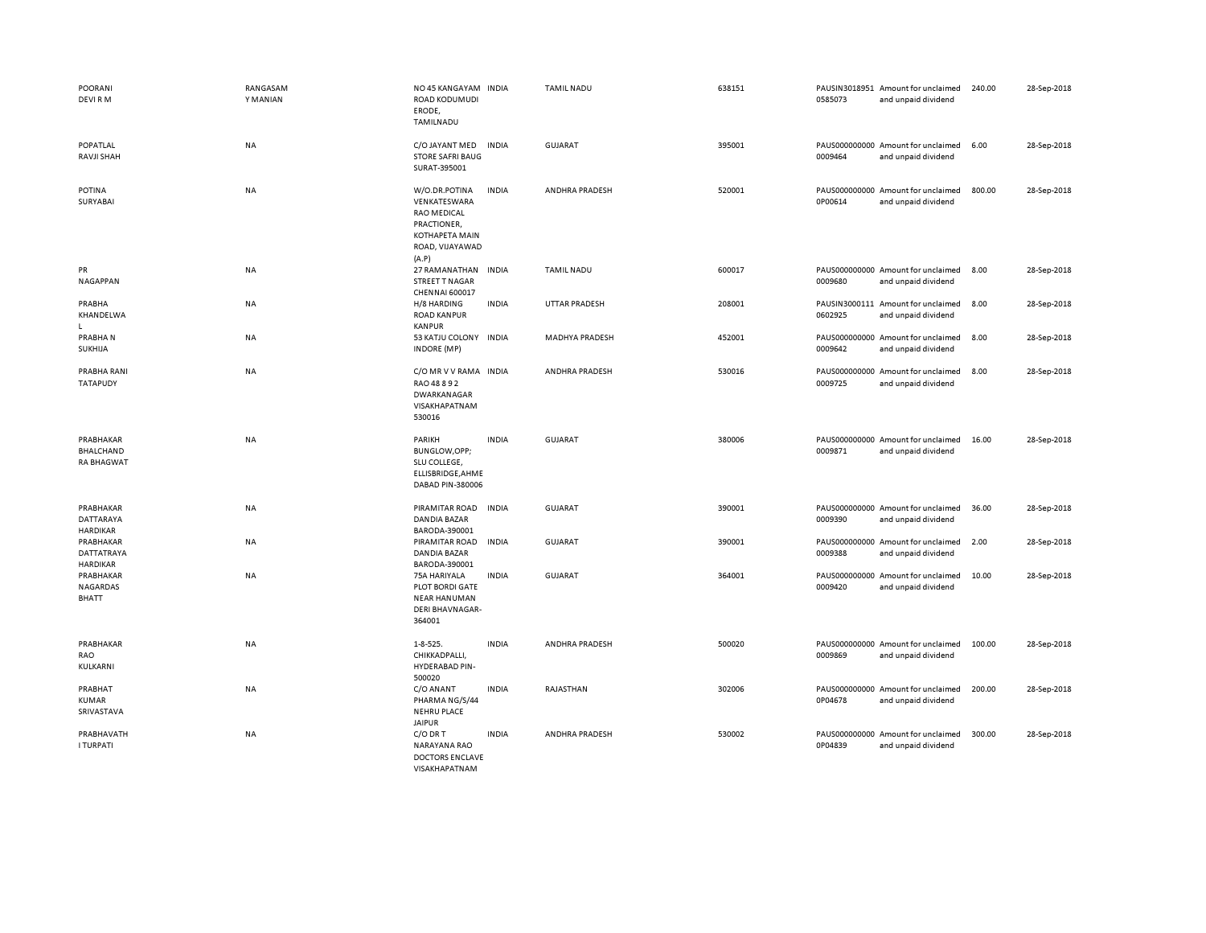| <b>POORANI</b><br>DEVI RM                          | RANGASAM<br>Y MANIAN | NO 45 KANGAYAM INDIA<br>ROAD KODUMUDI<br>ERODE,<br>TAMILNADU                                                            |              | <b>TAMIL NADU</b>    | 638151 | 0585073 | PAUSIN3018951 Amount for unclaimed<br>and unpaid dividend | 240.00 | 28-Sep-2018 |
|----------------------------------------------------|----------------------|-------------------------------------------------------------------------------------------------------------------------|--------------|----------------------|--------|---------|-----------------------------------------------------------|--------|-------------|
| POPATLAL<br>RAVJI SHAH                             | <b>NA</b>            | C/O JAYANT MED<br><b>STORE SAFRI BAUG</b><br>SURAT-395001                                                               | <b>INDIA</b> | <b>GUJARAT</b>       | 395001 | 0009464 | PAUS000000000 Amount for unclaimed<br>and unpaid dividend | 6.00   | 28-Sep-2018 |
| POTINA<br>SURYABAI                                 | NA                   | W/O.DR.POTINA<br>VENKATESWARA<br><b>RAO MEDICAL</b><br>PRACTIONER,<br><b>KOTHAPETA MAIN</b><br>ROAD, VIJAYAWAD<br>(A.P) | <b>INDIA</b> | ANDHRA PRADESH       | 520001 | 0P00614 | PAUS000000000 Amount for unclaimed<br>and unpaid dividend | 800.00 | 28-Sep-2018 |
| PR<br><b>NAGAPPAN</b>                              | NA                   | 27 RAMANATHAN<br>STREET T NAGAR<br>CHENNAI 600017                                                                       | <b>INDIA</b> | <b>TAMIL NADU</b>    | 600017 | 0009680 | PAUS000000000 Amount for unclaimed<br>and unpaid dividend | 8.00   | 28-Sep-2018 |
| PRABHA<br>KHANDELWA<br>$\mathbf{L}$                | <b>NA</b>            | H/8 HARDING<br><b>ROAD KANPUR</b><br><b>KANPUR</b>                                                                      | <b>INDIA</b> | <b>UTTAR PRADESH</b> | 208001 | 0602925 | PAUSIN3000111 Amount for unclaimed<br>and unpaid dividend | 8.00   | 28-Sep-2018 |
| PRABHAN<br>SUKHIJA                                 | NA                   | 53 KATJU COLONY<br><b>INDORE (MP)</b>                                                                                   | INDIA        | MADHYA PRADESH       | 452001 | 0009642 | PAUS000000000 Amount for unclaimed<br>and unpaid dividend | 8.00   | 28-Sep-2018 |
| PRABHA RANI<br><b>TATAPUDY</b>                     | NA                   | C/O MR V V RAMA INDIA<br>RAO 48 8 9 2<br>DWARKANAGAR<br>VISAKHAPATNAM<br>530016                                         |              | ANDHRA PRADESH       | 530016 | 0009725 | PAUS000000000 Amount for unclaimed<br>and unpaid dividend | 8.00   | 28-Sep-2018 |
| PRABHAKAR<br><b>BHALCHAND</b><br><b>RA BHAGWAT</b> | NA                   | PARIKH<br>BUNGLOW, OPP;<br>SLU COLLEGE,<br>ELLISBRIDGE, AHME<br>DABAD PIN-380006                                        | <b>INDIA</b> | <b>GUJARAT</b>       | 380006 | 0009871 | PAUS000000000 Amount for unclaimed<br>and unpaid dividend | 16.00  | 28-Sep-2018 |
| PRABHAKAR<br>DATTARAYA<br><b>HARDIKAR</b>          | NA                   | PIRAMITAR ROAD<br><b>DANDIA BAZAR</b><br>BARODA-390001                                                                  | <b>INDIA</b> | <b>GUJARAT</b>       | 390001 | 0009390 | PAUS000000000 Amount for unclaimed<br>and unpaid dividend | 36.00  | 28-Sep-2018 |
| PRABHAKAR<br>DATTATRAYA<br><b>HARDIKAR</b>         | NA                   | PIRAMITAR ROAD<br><b>DANDIA BAZAR</b><br>BARODA-390001                                                                  | <b>INDIA</b> | <b>GUJARAT</b>       | 390001 | 0009388 | PAUS000000000 Amount for unclaimed<br>and unpaid dividend | 2.00   | 28-Sep-2018 |
| PRABHAKAR<br>NAGARDAS<br><b>BHATT</b>              | NA                   | 75A HARIYALA<br>PLOT BORDI GATE<br><b>NEAR HANUMAN</b><br><b>DERI BHAVNAGAR-</b><br>364001                              | <b>INDIA</b> | GUJARAT              | 364001 | 0009420 | PAUS000000000 Amount for unclaimed<br>and unpaid dividend | 10.00  | 28-Sep-2018 |
| PRABHAKAR<br>RAO<br>KULKARNI                       | NA                   | $1 - 8 - 525.$<br>CHIKKADPALLI,<br><b>HYDERABAD PIN-</b><br>500020                                                      | <b>INDIA</b> | ANDHRA PRADESH       | 500020 | 0009869 | PAUS000000000 Amount for unclaimed<br>and unpaid dividend | 100.00 | 28-Sep-2018 |
| PRABHAT<br><b>KUMAR</b><br>SRIVASTAVA              | <b>NA</b>            | C/O ANANT<br>PHARMA NG/S/44<br><b>NEHRU PLACE</b><br><b>JAIPUR</b>                                                      | <b>INDIA</b> | RAJASTHAN            | 302006 | 0P04678 | PAUS000000000 Amount for unclaimed<br>and unpaid dividend | 200.00 | 28-Sep-2018 |
| PRABHAVATH<br><b>I TURPATI</b>                     | NA                   | C/O DR T<br>NARAYANA RAO<br><b>DOCTORS ENCLAVE</b><br>VISAKHAPATNAM                                                     | <b>INDIA</b> | ANDHRA PRADESH       | 530002 | 0P04839 | PAUS000000000 Amount for unclaimed<br>and unpaid dividend | 300.00 | 28-Sep-2018 |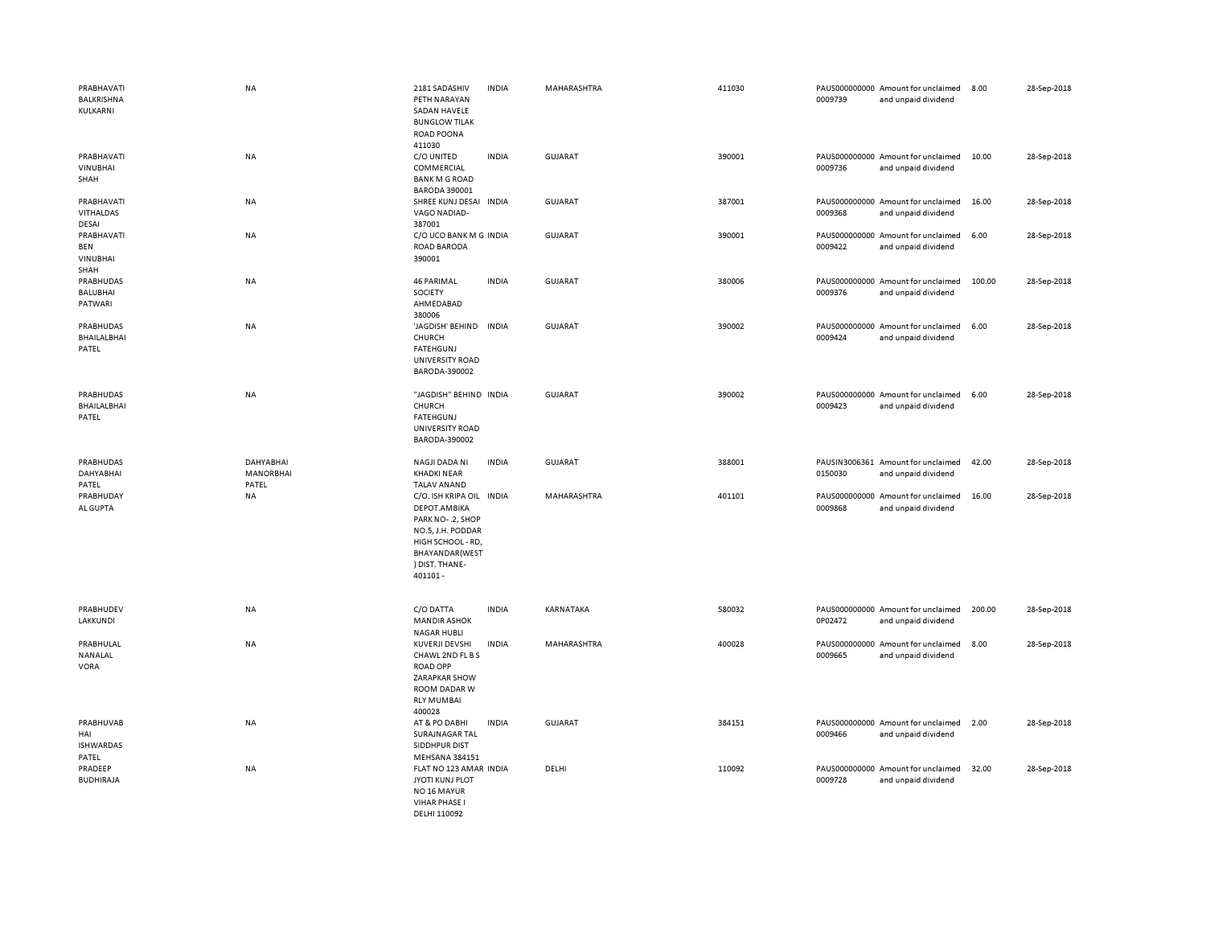| PRABHAVATI<br>BALKRISHNA<br>KULKARNI                | <b>NA</b>                                     | 2181 SADASHIV<br>PETH NARAYAN<br><b>SADAN HAVELE</b><br><b>BUNGLOW TILAK</b><br>ROAD POONA<br>411030                                                  | <b>INDIA</b> | MAHARASHTRA    | 411030 | 0009739 | PAUS000000000 Amount for unclaimed<br>and unpaid dividend | 8.00   | 28-Sep-2018 |
|-----------------------------------------------------|-----------------------------------------------|-------------------------------------------------------------------------------------------------------------------------------------------------------|--------------|----------------|--------|---------|-----------------------------------------------------------|--------|-------------|
| PRABHAVATI<br><b>VINUBHAI</b><br>SHAH               | <b>NA</b>                                     | C/O UNITED<br>COMMERCIAL<br><b>BANK M G ROAD</b><br><b>BARODA 390001</b>                                                                              | <b>INDIA</b> | <b>GUJARAT</b> | 390001 | 0009736 | PAUS000000000 Amount for unclaimed<br>and unpaid dividend | 10.00  | 28-Sep-2018 |
| PRABHAVATI<br>VITHALDAS<br>DESAI                    | <b>NA</b>                                     | SHREE KUNJ DESAI INDIA<br>VAGO NADIAD-<br>387001                                                                                                      |              | GUJARAT        | 387001 | 0009368 | PAUS000000000 Amount for unclaimed<br>and unpaid dividend | 16.00  | 28-Sep-2018 |
| PRABHAVATI<br><b>BEN</b><br><b>VINUBHAI</b><br>SHAH | NA                                            | C/O UCO BANK M G INDIA<br><b>ROAD BARODA</b><br>390001                                                                                                |              | GUJARAT        | 390001 | 0009422 | PAUS000000000 Amount for unclaimed<br>and unpaid dividend | 6.00   | 28-Sep-2018 |
| PRABHUDAS<br><b>BALUBHAI</b><br>PATWARI             | NA                                            | <b>46 PARIMAL</b><br>SOCIETY<br>AHMEDABAD                                                                                                             | <b>INDIA</b> | <b>GUJARAT</b> | 380006 | 0009376 | PAUS000000000 Amount for unclaimed<br>and unpaid dividend | 100.00 | 28-Sep-2018 |
| PRABHUDAS<br>BHAILALBHAI<br>PATEL                   | <b>NA</b>                                     | 380006<br>'JAGDISH' BEHIND<br>CHURCH<br>FATEHGUNJ<br>UNIVERSITY ROAD<br>BARODA-390002                                                                 | INDIA        | GUJARAT        | 390002 | 0009424 | PAUS000000000 Amount for unclaimed<br>and unpaid dividend | 6.00   | 28-Sep-2018 |
| PRABHUDAS<br><b>BHAILALBHAI</b><br>PATEL            | <b>NA</b>                                     | "JAGDISH" BEHIND INDIA<br>CHURCH<br><b>FATEHGUNJ</b><br>UNIVERSITY ROAD<br>BARODA-390002                                                              |              | <b>GUJARAT</b> | 390002 | 0009423 | PAUS000000000 Amount for unclaimed<br>and unpaid dividend | 6.00   | 28-Sep-2018 |
|                                                     |                                               |                                                                                                                                                       |              |                |        |         |                                                           |        |             |
| PRABHUDAS<br><b>DAHYABHAI</b><br>PATEL              | <b>DAHYABHAI</b><br><b>MANORBHAI</b><br>PATEL | NAGJI DADA NI<br><b>KHADKI NEAR</b><br><b>TALAV ANAND</b>                                                                                             | <b>INDIA</b> | GUJARAT        | 388001 | 0150030 | PAUSIN3006361 Amount for unclaimed<br>and unpaid dividend | 42.00  | 28-Sep-2018 |
| PRABHUDAY<br>AL GUPTA                               | <b>NA</b>                                     | C/O. ISH KRIPA OIL INDIA<br>DEPOT.AMBIKA<br>PARK NO-.2, SHOP<br>NO.5, J.H. PODDAR<br>HIGH SCHOOL - RD,<br>BHAYANDAR(WEST<br>) DIST. THANE-<br>401101- |              | MAHARASHTRA    | 401101 | 0009868 | PAUS000000000 Amount for unclaimed<br>and unpaid dividend | 16.00  | 28-Sep-2018 |
| PRABHUDEV<br><b>LAKKUNDI</b>                        | <b>NA</b>                                     | C/O DATTA<br><b>MANDIR ASHOK</b><br><b>NAGAR HUBLI</b>                                                                                                | <b>INDIA</b> | KARNATAKA      | 580032 | 0P02472 | PAUS000000000 Amount for unclaimed<br>and unpaid dividend | 200.00 | 28-Sep-2018 |
| PRABHULAL<br>NANALAL<br>VORA                        | NA                                            | <b>KUVERJI DEVSHI</b><br>CHAWL 2ND FL B S<br><b>ROAD OPP</b><br>ZARAPKAR SHOW<br>ROOM DADAR W<br><b>RLY MUMBAI</b><br>400028                          | <b>INDIA</b> | MAHARASHTRA    | 400028 | 0009665 | PAUS000000000 Amount for unclaimed<br>and unpaid dividend | 8.00   | 28-Sep-2018 |
| PRABHUVAB<br>HAI<br><b>ISHWARDAS</b><br>PATEL       | <b>NA</b>                                     | AT & PO DABHI<br>SURAJNAGAR TAL<br>SIDDHPUR DIST<br>MEHSANA 384151                                                                                    | <b>INDIA</b> | <b>GUJARAT</b> | 384151 | 0009466 | PAUS000000000 Amount for unclaimed<br>and unpaid dividend | 2.00   | 28-Sep-2018 |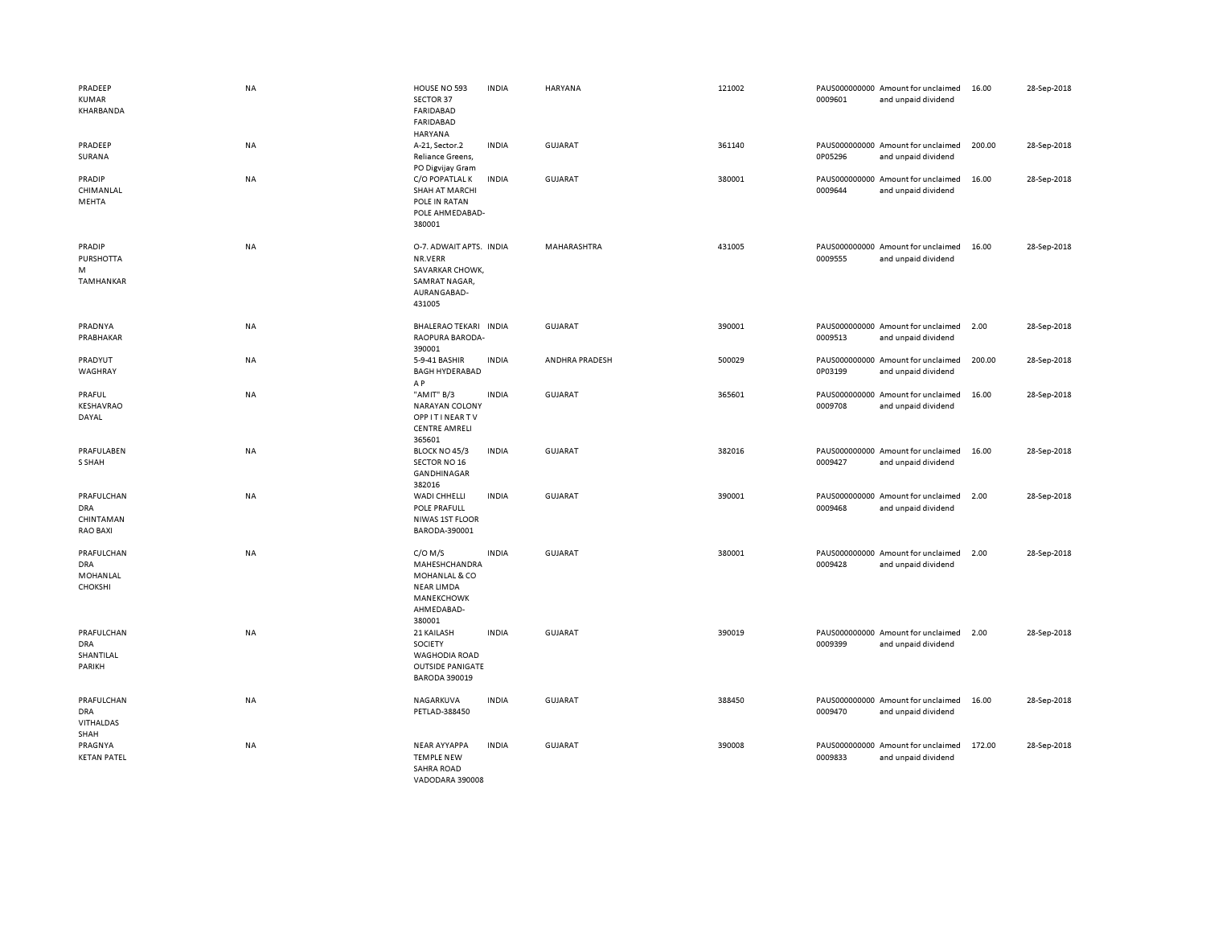| PRADEEP<br>KUMAR<br>KHARBANDA                     | <b>NA</b> | HOUSE NO 593<br>SECTOR 37<br>FARIDABAD<br><b>FARIDABAD</b><br><b>HARYANA</b>                           | <b>INDIA</b> | HARYANA        | 121002 | 0009601 | PAUS000000000 Amount for unclaimed<br>and unpaid dividend | 16.00  | 28-Sep-2018 |
|---------------------------------------------------|-----------|--------------------------------------------------------------------------------------------------------|--------------|----------------|--------|---------|-----------------------------------------------------------|--------|-------------|
| PRADEEP<br>SURANA                                 | NA        | A-21, Sector.2<br>Reliance Greens,<br>PO Digvijay Gram                                                 | <b>INDIA</b> | <b>GUJARAT</b> | 361140 | 0P05296 | PAUS000000000 Amount for unclaimed<br>and unpaid dividend | 200.00 | 28-Sep-2018 |
| PRADIP<br>CHIMANLAL<br>MEHTA                      | <b>NA</b> | C/O POPATLAL K<br><b>SHAH AT MARCHI</b><br>POLE IN RATAN<br>POLE AHMEDABAD-<br>380001                  | <b>INDIA</b> | <b>GUJARAT</b> | 380001 | 0009644 | PAUS000000000 Amount for unclaimed<br>and unpaid dividend | 16.00  | 28-Sep-2018 |
| PRADIP<br><b>PURSHOTTA</b><br>м<br>TAMHANKAR      | <b>NA</b> | O-7. ADWAIT APTS. INDIA<br>NR.VERR<br>SAVARKAR CHOWK,<br>SAMRAT NAGAR,<br>AURANGABAD-<br>431005        |              | MAHARASHTRA    | 431005 | 0009555 | PAUS000000000 Amount for unclaimed<br>and unpaid dividend | 16.00  | 28-Sep-2018 |
| PRADNYA<br>PRABHAKAR                              | NA        | BHALERAO TEKARI INDIA<br>RAOPURA BARODA-<br>390001                                                     |              | <b>GUJARAT</b> | 390001 | 0009513 | PAUS000000000 Amount for unclaimed<br>and unpaid dividend | 2.00   | 28-Sep-2018 |
| PRADYUT<br>WAGHRAY                                | NA        | 5-9-41 BASHIR<br><b>BAGH HYDERABAD</b><br>AP                                                           | <b>INDIA</b> | ANDHRA PRADESH | 500029 | 0P03199 | PAUS000000000 Amount for unclaimed<br>and unpaid dividend | 200.00 | 28-Sep-2018 |
| PRAFUL<br>KESHAVRAO<br>DAYAL                      | <b>NA</b> | "AMIT" B/3<br><b>NARAYAN COLONY</b><br><b>OPPITINEARTV</b><br><b>CENTRE AMRELI</b><br>365601           | <b>INDIA</b> | GUJARAT        | 365601 | 0009708 | PAUS000000000 Amount for unclaimed<br>and unpaid dividend | 16.00  | 28-Sep-2018 |
| PRAFULABEN<br>S SHAH                              | NA        | BLOCK NO 45/3<br>SECTOR NO 16<br>GANDHINAGAR<br>382016                                                 | <b>INDIA</b> | GUJARAT        | 382016 | 0009427 | PAUS000000000 Amount for unclaimed<br>and unpaid dividend | 16.00  | 28-Sep-2018 |
| PRAFULCHAN<br>DRA<br>CHINTAMAN<br><b>RAO BAXI</b> | NA        | <b>WADI CHHELLI</b><br>POLE PRAFULL<br>NIWAS 1ST FLOOR<br>BARODA-390001                                | <b>INDIA</b> | <b>GUJARAT</b> | 390001 | 0009468 | PAUS000000000 Amount for unclaimed<br>and unpaid dividend | 2.00   | 28-Sep-2018 |
| PRAFULCHAN<br><b>DRA</b><br>MOHANLAL<br>CHOKSHI   | NA        | $C/O$ M/S<br>MAHESHCHANDRA<br>MOHANLAL & CO<br><b>NEAR LIMDA</b><br>MANEKCHOWK<br>AHMEDABAD-<br>380001 | <b>INDIA</b> | <b>GUJARAT</b> | 380001 | 0009428 | PAUS000000000 Amount for unclaimed<br>and unpaid dividend | 2.00   | 28-Sep-2018 |
| PRAFULCHAN<br><b>DRA</b><br>SHANTILAL<br>PARIKH   | <b>NA</b> | 21 KAILASH<br>SOCIETY<br><b>WAGHODIA ROAD</b><br><b>OUTSIDE PANIGATE</b><br><b>BARODA 390019</b>       | <b>INDIA</b> | <b>GUJARAT</b> | 390019 | 0009399 | PAUS000000000 Amount for unclaimed<br>and unpaid dividend | 2.00   | 28-Sep-2018 |
| PRAFULCHAN<br>DRA<br>VITHALDAS<br>SHAH            | <b>NA</b> | NAGARKUVA<br>PETLAD-388450                                                                             | <b>INDIA</b> | <b>GUJARAT</b> | 388450 | 0009470 | PAUS000000000 Amount for unclaimed<br>and unpaid dividend | 16.00  | 28-Sep-2018 |
| PRAGNYA<br><b>KETAN PATEL</b>                     | NA        | <b>NEAR AYYAPPA</b><br><b>TEMPLE NEW</b><br><b>SAHRA ROAD</b><br>VADODARA 390008                       | <b>INDIA</b> | GUJARAT        | 390008 | 0009833 | PAUS000000000 Amount for unclaimed<br>and unpaid dividend | 172.00 | 28-Sep-2018 |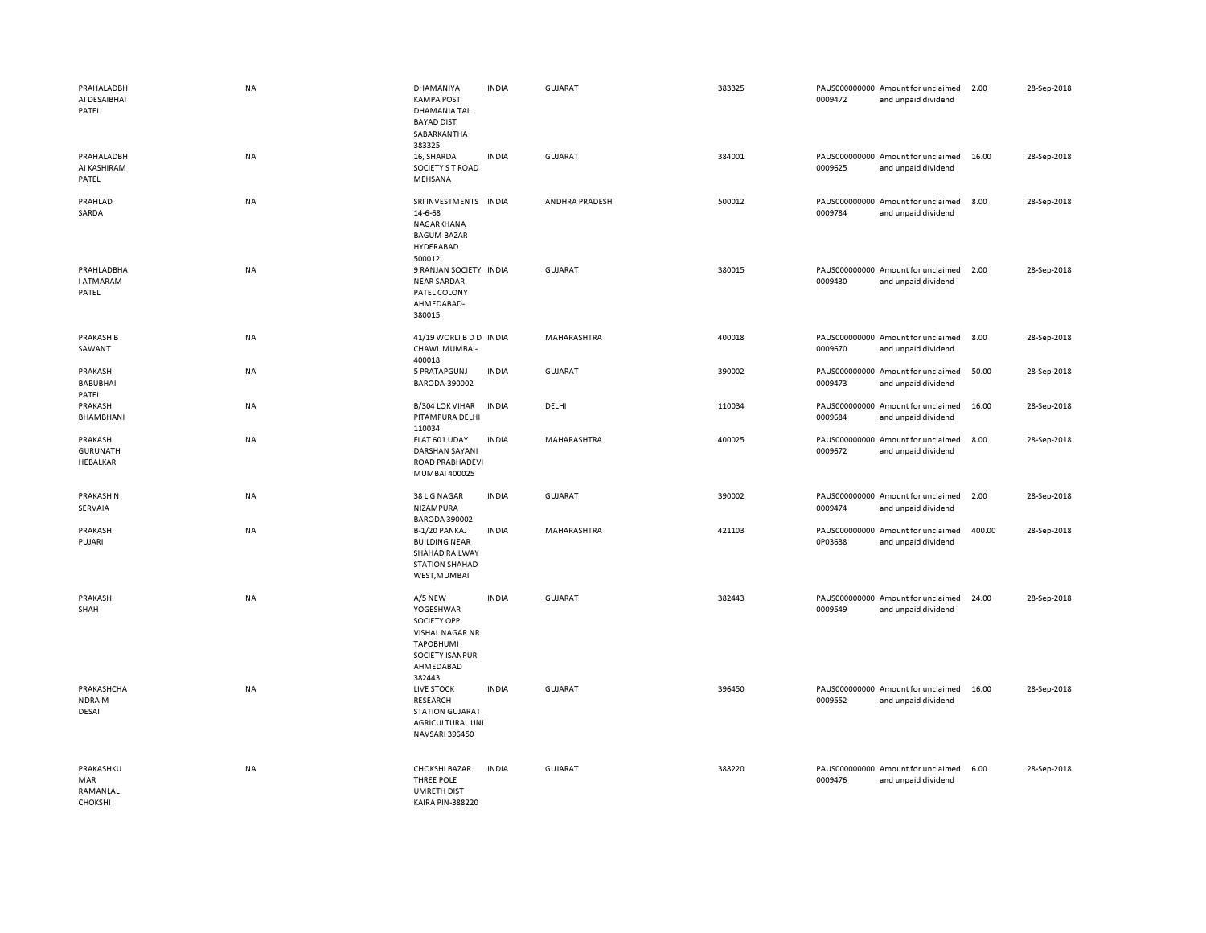| PRAHALADBH<br>AI DESAIBHAI<br>PATEL     | NA        | DHAMANIYA<br><b>KAMPA POST</b><br>DHAMANIA TAL<br><b>BAYAD DIST</b><br>SABARKANTHA<br>383325                  | <b>INDIA</b> | GUJARAT        | 383325 | 0009472 | PAUS000000000 Amount for unclaimed<br>and unpaid dividend | 2.00   | 28-Sep-2018 |
|-----------------------------------------|-----------|---------------------------------------------------------------------------------------------------------------|--------------|----------------|--------|---------|-----------------------------------------------------------|--------|-------------|
| PRAHALADBH<br>AI KASHIRAM<br>PATEL      | NA        | 16, SHARDA<br>SOCIETY S T ROAD<br>MEHSANA                                                                     | <b>INDIA</b> | <b>GUJARAT</b> | 384001 | 0009625 | PAUS000000000 Amount for unclaimed<br>and unpaid dividend | 16.00  | 28-Sep-2018 |
| PRAHLAD<br>SARDA                        | NA        | SRI INVESTMENTS INDIA<br>14-6-68<br>NAGARKHANA<br><b>BAGUM BAZAR</b><br>HYDERABAD<br>500012                   |              | ANDHRA PRADESH | 500012 | 0009784 | PAUS000000000 Amount for unclaimed<br>and unpaid dividend | 8.00   | 28-Sep-2018 |
| PRAHLADBHA<br><b>I ATMARAM</b><br>PATEL | NA        | 9 RANJAN SOCIETY INDIA<br><b>NEAR SARDAR</b><br>PATEL COLONY<br>AHMEDABAD-<br>380015                          |              | GUJARAT        | 380015 | 0009430 | PAUS000000000 Amount for unclaimed<br>and unpaid dividend | 2.00   | 28-Sep-2018 |
| <b>PRAKASH B</b><br>SAWANT              | NA        | 41/19 WORLI B D D INDIA<br>CHAWL MUMBAI-<br>400018                                                            |              | MAHARASHTRA    | 400018 | 0009670 | PAUS000000000 Amount for unclaimed<br>and unpaid dividend | 8.00   | 28-Sep-2018 |
| PRAKASH<br><b>BABUBHAI</b><br>PATEL     | NA        | 5 PRATAPGUNJ<br>BARODA-390002                                                                                 | <b>INDIA</b> | GUJARAT        | 390002 | 0009473 | PAUS000000000 Amount for unclaimed<br>and unpaid dividend | 50.00  | 28-Sep-2018 |
| PRAKASH<br>BHAMBHANI                    | NA        | B/304 LOK VIHAR<br>PITAMPURA DELHI<br>110034                                                                  | <b>INDIA</b> | DELHI          | 110034 | 0009684 | PAUS000000000 Amount for unclaimed<br>and unpaid dividend | 16.00  | 28-Sep-2018 |
| PRAKASH<br><b>GURUNATH</b><br>HEBALKAR  | NA        | FLAT 601 UDAY<br>DARSHAN SAYANI<br>ROAD PRABHADEVI<br>MUMBAI 400025                                           | <b>INDIA</b> | MAHARASHTRA    | 400025 | 0009672 | PAUS000000000 Amount for unclaimed<br>and unpaid dividend | 8.00   | 28-Sep-2018 |
| PRAKASH N<br>SERVAIA                    | NA        | 38 L G NAGAR<br>NIZAMPURA<br><b>BARODA 390002</b>                                                             | <b>INDIA</b> | <b>GUJARAT</b> | 390002 | 0009474 | PAUS000000000 Amount for unclaimed<br>and unpaid dividend | 2.00   | 28-Sep-2018 |
| PRAKASH<br>PUJARI                       | NA        | B-1/20 PANKAJ<br><b>BUILDING NEAR</b><br>SHAHAD RAILWAY<br><b>STATION SHAHAD</b><br>WEST, MUMBAI              | <b>INDIA</b> | MAHARASHTRA    | 421103 | 0P03638 | PAUS000000000 Amount for unclaimed<br>and unpaid dividend | 400.00 | 28-Sep-2018 |
| PRAKASH<br>SHAH                         | NA        | A/5 NEW<br>YOGESHWAR<br>SOCIETY OPP<br>VISHAL NAGAR NR<br>TAPOBHUMI<br>SOCIETY ISANPUR<br>AHMEDABAD<br>382443 | <b>INDIA</b> | <b>GUJARAT</b> | 382443 | 0009549 | PAUS000000000 Amount for unclaimed<br>and unpaid dividend | 24.00  | 28-Sep-2018 |
| PRAKASHCHA<br>NDRA M<br>DESAI           | NA        | LIVE STOCK<br><b>RESEARCH</b><br><b>STATION GUJARAT</b><br>AGRICULTURAL UNI<br>NAVSARI 396450                 | <b>INDIA</b> | <b>GUJARAT</b> | 396450 | 0009552 | PAUS000000000 Amount for unclaimed<br>and unpaid dividend | 16.00  | 28-Sep-2018 |
| PRAKASHKU<br>MAR<br>RAMANLAL<br>CHOKSHI | <b>NA</b> | <b>CHOKSHI BAZAR</b><br>THREE POLE<br><b>UMRETH DIST</b><br><b>KAIRA PIN-388220</b>                           | <b>INDIA</b> | <b>GUJARAT</b> | 388220 | 0009476 | PAUS000000000 Amount for unclaimed<br>and unpaid dividend | 6.00   | 28-Sep-2018 |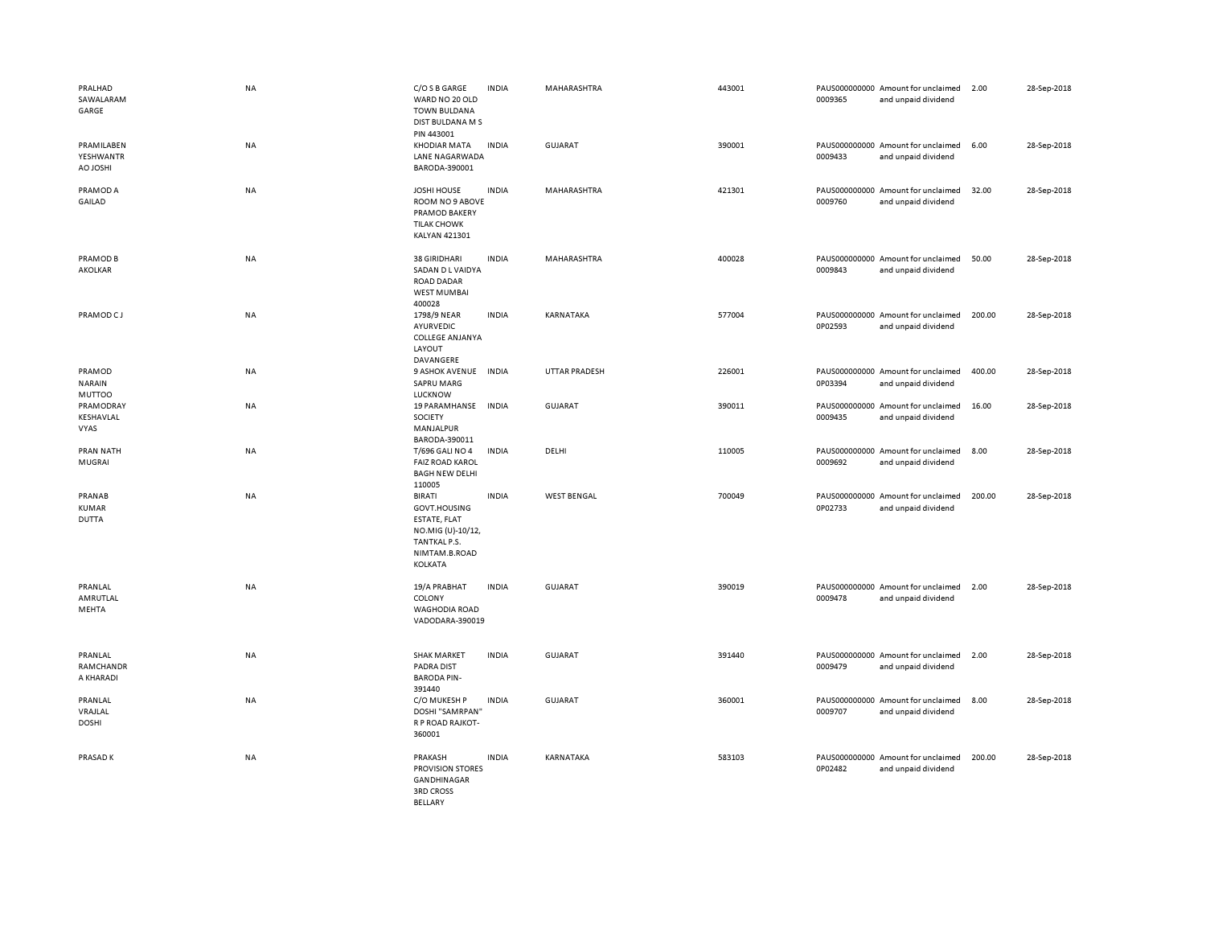| PRALHAD<br>SAWALARAM<br>GARGE            | <b>NA</b> | C/O S B GARGE<br>WARD NO 20 OLD<br><b>TOWN BULDANA</b><br>DIST BULDANA M S<br>PIN 443001                       | <b>INDIA</b> | MAHARASHTRA          | 443001 | 0009365 | PAUS000000000 Amount for unclaimed<br>and unpaid dividend | 2.00   | 28-Sep-2018 |
|------------------------------------------|-----------|----------------------------------------------------------------------------------------------------------------|--------------|----------------------|--------|---------|-----------------------------------------------------------|--------|-------------|
| PRAMILABEN<br>YESHWANTR<br><b>H2OLOA</b> | NA        | <b>KHODIAR MATA</b><br>LANE NAGARWADA<br>BARODA-390001                                                         | <b>INDIA</b> | <b>GUJARAT</b>       | 390001 | 0009433 | PAUS000000000 Amount for unclaimed<br>and unpaid dividend | 6.00   | 28-Sep-2018 |
| PRAMOD A<br>GAILAD                       | NA        | <b>JOSHI HOUSE</b><br>ROOM NO 9 ABOVE<br>PRAMOD BAKERY<br><b>TILAK CHOWK</b><br>KALYAN 421301                  | <b>INDIA</b> | MAHARASHTRA          | 421301 | 0009760 | PAUS000000000 Amount for unclaimed<br>and unpaid dividend | 32.00  | 28-Sep-2018 |
| PRAMOD B<br>AKOLKAR                      | NA        | 38 GIRIDHARI<br>SADAN D L VAIDYA<br><b>ROAD DADAR</b><br><b>WEST MUMBAI</b><br>400028                          | <b>INDIA</b> | MAHARASHTRA          | 400028 | 0009843 | PAUS000000000 Amount for unclaimed<br>and unpaid dividend | 50.00  | 28-Sep-2018 |
| PRAMOD CJ                                | <b>NA</b> | 1798/9 NEAR<br>AYURVEDIC<br><b>COLLEGE ANJANYA</b><br>LAYOUT<br>DAVANGERE                                      | <b>INDIA</b> | KARNATAKA            | 577004 | 0P02593 | PAUS000000000 Amount for unclaimed<br>and unpaid dividend | 200.00 | 28-Sep-2018 |
| PRAMOD<br><b>NARAIN</b><br><b>MUTTOO</b> | <b>NA</b> | 9 ASHOK AVENUE INDIA<br><b>SAPRU MARG</b><br><b>LUCKNOW</b>                                                    |              | <b>UTTAR PRADESH</b> | 226001 | 0P03394 | PAUS000000000 Amount for unclaimed<br>and unpaid dividend | 400.00 | 28-Sep-2018 |
| PRAMODRAY<br>KESHAVLAL<br>VYAS           | <b>NA</b> | 19 PARAMHANSE INDIA<br>SOCIETY<br>MANJALPUR<br>BARODA-390011                                                   |              | GUJARAT              | 390011 | 0009435 | PAUS000000000 Amount for unclaimed<br>and unpaid dividend | 16.00  | 28-Sep-2018 |
| PRAN NATH<br>MUGRAI                      | <b>NA</b> | T/696 GALI NO 4<br><b>FAIZ ROAD KAROL</b><br><b>BAGH NEW DELHI</b><br>110005                                   | <b>INDIA</b> | DELHI                | 110005 | 0009692 | PAUS000000000 Amount for unclaimed<br>and unpaid dividend | 8.00   | 28-Sep-2018 |
| PRANAB<br><b>KUMAR</b><br><b>DUTTA</b>   | <b>NA</b> | <b>BIRATI</b><br>GOVT.HOUSING<br>ESTATE, FLAT<br>NO.MIG (U)-10/12,<br>TANTKAL P.S.<br>NIMTAM.B.ROAD<br>KOLKATA | <b>INDIA</b> | <b>WEST BENGAL</b>   | 700049 | 0P02733 | PAUS000000000 Amount for unclaimed<br>and unpaid dividend | 200.00 | 28-Sep-2018 |
| PRANLAL<br>AMRUTLAL<br>MEHTA             | <b>NA</b> | 19/A PRABHAT<br>COLONY<br><b>WAGHODIA ROAD</b><br>VADODARA-390019                                              | <b>INDIA</b> | <b>GUJARAT</b>       | 390019 | 0009478 | PAUS000000000 Amount for unclaimed<br>and unpaid dividend | 2.00   | 28-Sep-2018 |
| PRANLAL<br>RAMCHANDR<br>A KHARADI        | <b>NA</b> | <b>SHAK MARKET</b><br><b>PADRA DIST</b><br><b>BARODA PIN-</b><br>391440                                        | <b>INDIA</b> | <b>GUJARAT</b>       | 391440 | 0009479 | PAUS000000000 Amount for unclaimed<br>and unpaid dividend | 2.00   | 28-Sep-2018 |
| PRANLAL<br>VRAJLAL<br><b>DOSHI</b>       | NA        | C/O MUKESH P<br>DOSHI "SAMRPAN"<br>R P ROAD RAJKOT-<br>360001                                                  | <b>INDIA</b> | GUJARAT              | 360001 | 0009707 | PAUS000000000 Amount for unclaimed<br>and unpaid dividend | 8.00   | 28-Sep-2018 |
| PRASAD K                                 | <b>NA</b> | PRAKASH<br><b>PROVISION STORES</b><br>GANDHINAGAR<br><b>3RD CROSS</b><br>BELLARY                               | <b>INDIA</b> | KARNATAKA            | 583103 | 0P02482 | PAUS000000000 Amount for unclaimed<br>and unpaid dividend | 200.00 | 28-Sep-2018 |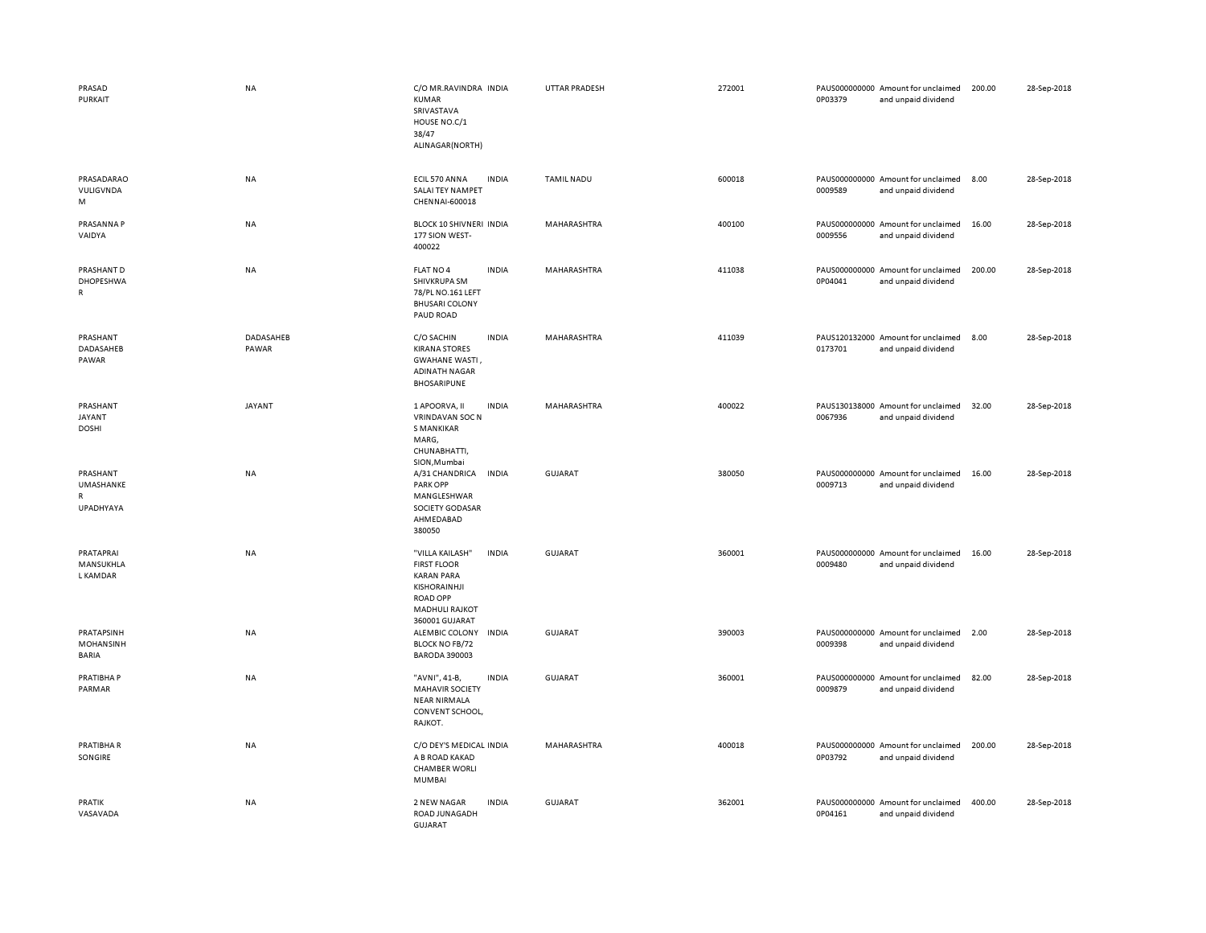| PRASAD<br>PURKAIT                                  | <b>NA</b>          | C/O MR.RAVINDRA INDIA<br>KUMAR<br>SRIVASTAVA<br>HOUSE NO.C/1<br>38/47<br>ALINAGAR(NORTH)                                                 |              | UTTAR PRADESH     | 272001 | 0P03379 | PAUS000000000 Amount for unclaimed<br>and unpaid dividend | 200.00 | 28-Sep-2018 |
|----------------------------------------------------|--------------------|------------------------------------------------------------------------------------------------------------------------------------------|--------------|-------------------|--------|---------|-----------------------------------------------------------|--------|-------------|
| PRASADARAO<br>VULIGVNDA<br>M                       | NA                 | ECIL 570 ANNA<br>SALAI TEY NAMPET<br>CHENNAI-600018                                                                                      | <b>INDIA</b> | <b>TAMIL NADU</b> | 600018 | 0009589 | PAUS000000000 Amount for unclaimed<br>and unpaid dividend | 8.00   | 28-Sep-2018 |
| PRASANNA P<br>VAIDYA                               | NA                 | <b>BLOCK 10 SHIVNERI INDIA</b><br>177 SION WEST-<br>400022                                                                               |              | MAHARASHTRA       | 400100 | 0009556 | PAUS000000000 Amount for unclaimed<br>and unpaid dividend | 16.00  | 28-Sep-2018 |
| PRASHANT D<br>DHOPESHWA<br>$\mathsf{R}$            | NA                 | FLAT NO 4<br>SHIVKRUPA SM<br>78/PL NO.161 LEFT<br><b>BHUSARI COLONY</b><br>PAUD ROAD                                                     | <b>INDIA</b> | MAHARASHTRA       | 411038 | 0P04041 | PAUS000000000 Amount for unclaimed<br>and unpaid dividend | 200.00 | 28-Sep-2018 |
| PRASHANT<br>DADASAHEB<br>PAWAR                     | DADASAHEB<br>PAWAR | C/O SACHIN<br><b>KIRANA STORES</b><br><b>GWAHANE WASTI</b><br><b>ADINATH NAGAR</b><br><b>BHOSARIPUNE</b>                                 | <b>INDIA</b> | MAHARASHTRA       | 411039 | 0173701 | PAUS120132000 Amount for unclaimed<br>and unpaid dividend | 8.00   | 28-Sep-2018 |
| PRASHANT<br>JAYANT<br><b>DOSHI</b>                 | <b>JAYANT</b>      | 1 APOORVA, II<br><b>VRINDAVAN SOC N</b><br><b>S MANKIKAR</b><br>MARG,<br>CHUNABHATTI,<br>SION, Mumbai                                    | <b>INDIA</b> | MAHARASHTRA       | 400022 | 0067936 | PAUS130138000 Amount for unclaimed<br>and unpaid dividend | 32.00  | 28-Sep-2018 |
| PRASHANT<br>UMASHANKE<br>$\mathsf{R}$<br>UPADHYAYA | <b>NA</b>          | A/31 CHANDRICA<br><b>PARK OPP</b><br>MANGLESHWAR<br>SOCIETY GODASAR<br>AHMEDABAD<br>380050                                               | <b>INDIA</b> | <b>GUJARAT</b>    | 380050 | 0009713 | PAUS000000000 Amount for unclaimed<br>and unpaid dividend | 16.00  | 28-Sep-2018 |
| PRATAPRAI<br>MANSUKHLA<br>L KAMDAR                 | <b>NA</b>          | "VILLA KAILASH"<br><b>FIRST FLOOR</b><br><b>KARAN PARA</b><br>KISHORAINHJI<br><b>ROAD OPP</b><br><b>MADHULI RAJKOT</b><br>360001 GUJARAT | <b>INDIA</b> | <b>GUJARAT</b>    | 360001 | 0009480 | PAUS000000000 Amount for unclaimed<br>and unpaid dividend | 16.00  | 28-Sep-2018 |
| PRATAPSINH<br>MOHANSINH<br><b>BARIA</b>            | NA                 | ALEMBIC COLONY<br><b>BLOCK NO FB/72</b><br><b>BARODA 390003</b>                                                                          | <b>INDIA</b> | <b>GUJARAT</b>    | 390003 | 0009398 | PAUS000000000 Amount for unclaimed<br>and unpaid dividend | 2.00   | 28-Sep-2018 |
| PRATIBHA P<br>PARMAR                               | NA                 | "AVNI", 41-B,<br><b>MAHAVIR SOCIETY</b><br><b>NEAR NIRMALA</b><br>CONVENT SCHOOL,<br>RAJKOT.                                             | <b>INDIA</b> | GUJARAT           | 360001 | 0009879 | PAUS000000000 Amount for unclaimed<br>and unpaid dividend | 82.00  | 28-Sep-2018 |
| PRATIBHA R<br>SONGIRE                              | NA                 | C/O DEY'S MEDICAL INDIA<br>A B ROAD KAKAD<br><b>CHAMBER WORLI</b><br><b>MUMBAI</b>                                                       |              | MAHARASHTRA       | 400018 | 0P03792 | PAUS000000000 Amount for unclaimed<br>and unpaid dividend | 200.00 | 28-Sep-2018 |
| PRATIK<br>VASAVADA                                 | NA                 | 2 NEW NAGAR<br>ROAD JUNAGADH<br><b>GUJARAT</b>                                                                                           | <b>INDIA</b> | <b>GUJARAT</b>    | 362001 | 0P04161 | PAUS000000000 Amount for unclaimed<br>and unpaid dividend | 400.00 | 28-Sep-2018 |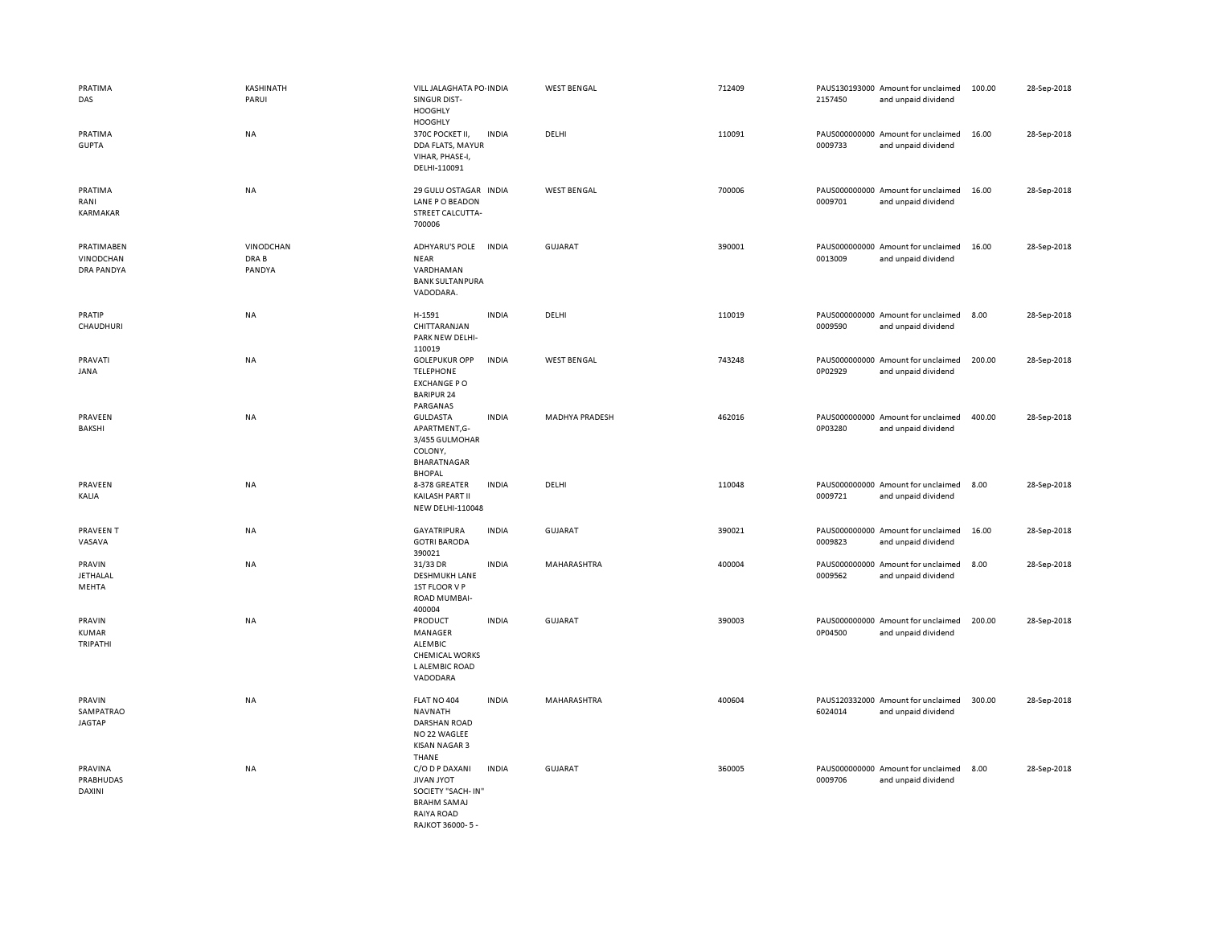| PRATIMA<br>DAS                               | KASHINATH<br>PARUI           | VILL JALAGHATA PO- INDIA<br>SINGUR DIST-<br><b>HOOGHLY</b><br><b>HOOGHLY</b>                                           |              | <b>WEST BENGAL</b>    | 712409 | 2157450 | PAUS130193000 Amount for unclaimed<br>and unpaid dividend | 100.00 | 28-Sep-2018 |
|----------------------------------------------|------------------------------|------------------------------------------------------------------------------------------------------------------------|--------------|-----------------------|--------|---------|-----------------------------------------------------------|--------|-------------|
| PRATIMA<br><b>GUPTA</b>                      | <b>NA</b>                    | 370C POCKET II,<br>DDA FLATS, MAYUR<br>VIHAR, PHASE-I,<br>DELHI-110091                                                 | <b>INDIA</b> | DELHI                 | 110091 | 0009733 | PAUS000000000 Amount for unclaimed<br>and unpaid dividend | 16.00  | 28-Sep-2018 |
| PRATIMA<br>RANI<br><b>KARMAKAR</b>           | NA                           | 29 GULU OSTAGAR INDIA<br>LANE P O BEADON<br>STREET CALCUTTA-<br>700006                                                 |              | <b>WEST BENGAL</b>    | 700006 | 0009701 | PAUS000000000 Amount for unclaimed<br>and unpaid dividend | 16.00  | 28-Sep-2018 |
| PRATIMABEN<br><b>VINODCHAN</b><br>DRA PANDYA | VINODCHAN<br>DRA B<br>PANDYA | ADHYARU'S POLE<br><b>NEAR</b><br>VARDHAMAN<br><b>BANK SULTANPURA</b><br>VADODARA.                                      | <b>INDIA</b> | <b>GUJARAT</b>        | 390001 | 0013009 | PAUS000000000 Amount for unclaimed<br>and unpaid dividend | 16.00  | 28-Sep-2018 |
| PRATIP<br>CHAUDHURI                          | NA                           | H-1591<br>CHITTARANJAN<br>PARK NEW DELHI-<br>110019                                                                    | <b>INDIA</b> | DELHI                 | 110019 | 0009590 | PAUS000000000 Amount for unclaimed<br>and unpaid dividend | 8.00   | 28-Sep-2018 |
| PRAVATI<br>JANA                              | <b>NA</b>                    | <b>GOLEPUKUR OPP</b><br><b>TELEPHONE</b><br><b>EXCHANGE PO</b><br><b>BARIPUR 24</b><br>PARGANAS                        | <b>INDIA</b> | <b>WEST BENGAL</b>    | 743248 | 0P02929 | PAUS000000000 Amount for unclaimed<br>and unpaid dividend | 200.00 | 28-Sep-2018 |
| PRAVEEN<br>BAKSHI                            | <b>NA</b>                    | <b>GULDASTA</b><br>APARTMENT,G-<br>3/455 GULMOHAR<br>COLONY,<br>BHARATNAGAR<br><b>BHOPAL</b>                           | <b>INDIA</b> | <b>MADHYA PRADESH</b> | 462016 | 0P03280 | PAUS000000000 Amount for unclaimed<br>and unpaid dividend | 400.00 | 28-Sep-2018 |
| PRAVEEN<br>KALIA                             | NA                           | 8-378 GREATER<br>KAILASH PART II<br><b>NEW DELHI-110048</b>                                                            | <b>INDIA</b> | DELHI                 | 110048 | 0009721 | PAUS000000000 Amount for unclaimed<br>and unpaid dividend | 8.00   | 28-Sep-2018 |
| PRAVEEN T<br>VASAVA                          | NA                           | <b>GAYATRIPURA</b><br><b>GOTRI BARODA</b><br>390021                                                                    | <b>INDIA</b> | <b>GUJARAT</b>        | 390021 | 0009823 | PAUS000000000 Amount for unclaimed<br>and unpaid dividend | 16.00  | 28-Sep-2018 |
| PRAVIN<br><b>JETHALAL</b><br>MEHTA           | NA                           | 31/33 DR<br><b>DESHMUKH LANE</b><br>1ST FLOOR V P<br><b>ROAD MUMBAI-</b><br>400004                                     | <b>INDIA</b> | MAHARASHTRA           | 400004 | 0009562 | PAUS000000000 Amount for unclaimed<br>and unpaid dividend | 8.00   | 28-Sep-2018 |
| PRAVIN<br><b>KUMAR</b><br>TRIPATHI           | NA                           | PRODUCT<br>MANAGER<br><b>ALEMBIC</b><br><b>CHEMICAL WORKS</b><br>L ALEMBIC ROAD<br>VADODARA                            | <b>INDIA</b> | <b>GUJARAT</b>        | 390003 | 0P04500 | PAUS000000000 Amount for unclaimed<br>and unpaid dividend | 200.00 | 28-Sep-2018 |
| PRAVIN<br>SAMPATRAO<br><b>JAGTAP</b>         | NA                           | FLAT NO 404<br><b>NAVNATH</b><br><b>DARSHAN ROAD</b><br>NO 22 WAGLEE<br><b>KISAN NAGAR 3</b><br>THANE                  | <b>INDIA</b> | MAHARASHTRA           | 400604 | 6024014 | PAUS120332000 Amount for unclaimed<br>and unpaid dividend | 300.00 | 28-Sep-2018 |
| PRAVINA<br>PRABHUDAS<br><b>DAXINI</b>        | NA                           | C/O D P DAXANI<br><b>JIVAN JYOT</b><br>SOCIETY "SACH-IN'<br><b>BRAHM SAMAJ</b><br>RAIYA ROAD<br><b>RAIKOT 36000-5-</b> | <b>INDIA</b> | <b>GUJARAT</b>        | 360005 | 0009706 | PAUS000000000 Amount for unclaimed<br>and unpaid dividend | 8.00   | 28-Sep-2018 |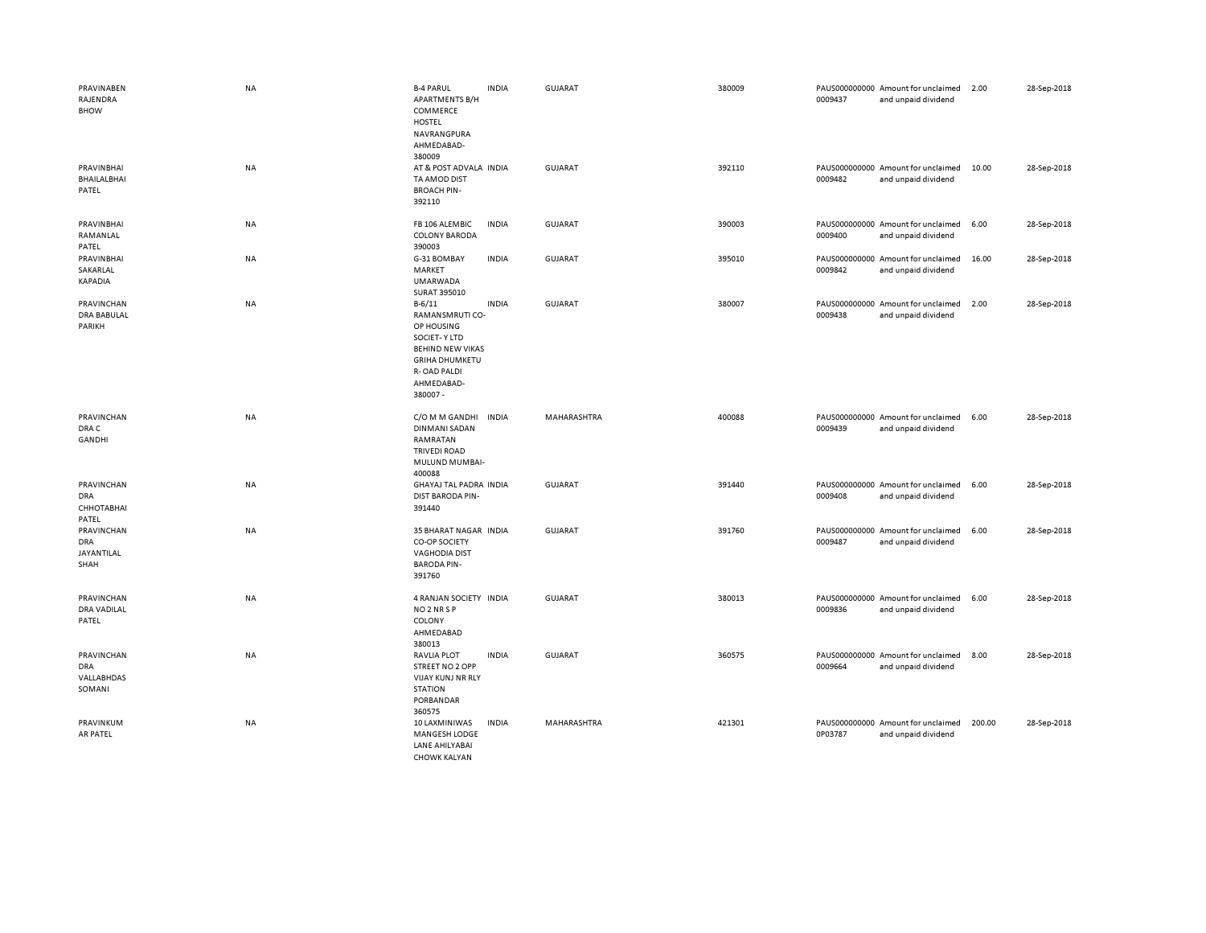| PRAVINABEN<br>RAJENDRA<br><b>BHOW</b>            | <b>NA</b> | <b>B-4 PARUL</b><br><b>INDIA</b><br><b>APARTMENTS B/H</b><br>COMMERCE<br><b>HOSTEL</b><br>NAVRANGPURA<br>AHMEDABAD-<br>380009                                                  | <b>GUJARAT</b> | 380009 | 0009437 | PAUS000000000 Amount for unclaimed<br>and unpaid dividend | 2.00   | 28-Sep-2018 |
|--------------------------------------------------|-----------|--------------------------------------------------------------------------------------------------------------------------------------------------------------------------------|----------------|--------|---------|-----------------------------------------------------------|--------|-------------|
| <b>PRAVINBHAI</b><br><b>BHAILALBHAI</b><br>PATEL | <b>NA</b> | AT & POST ADVALA INDIA<br>TA AMOD DIST<br><b>BROACH PIN-</b><br>392110                                                                                                         | <b>GUJARAT</b> | 392110 | 0009482 | PAUS000000000 Amount for unclaimed<br>and unpaid dividend | 10.00  | 28-Sep-2018 |
| PRAVINBHAI<br>RAMANLAL<br>PATEL                  | NA        | FB 106 ALEMBIC<br><b>INDIA</b><br><b>COLONY BARODA</b><br>390003                                                                                                               | <b>GUJARAT</b> | 390003 | 0009400 | PAUS000000000 Amount for unclaimed<br>and unpaid dividend | 6.00   | 28-Sep-2018 |
| PRAVINBHAI<br>SAKARLAL<br><b>KAPADIA</b>         | <b>NA</b> | G-31 BOMBAY<br><b>INDIA</b><br>MARKET<br><b>UMARWADA</b><br>SURAT 395010                                                                                                       | <b>GUJARAT</b> | 395010 | 0009842 | PAUS000000000 Amount for unclaimed<br>and unpaid dividend | 16.00  | 28-Sep-2018 |
| PRAVINCHAN<br><b>DRA BABULAL</b><br>PARIKH       | NA        | $B - 6/11$<br><b>INDIA</b><br>RAMANSMRUTI CO-<br>OP HOUSING<br><b>SOCIET-Y LTD</b><br><b>BEHIND NEW VIKAS</b><br><b>GRIHA DHUMKETU</b><br>R-OAD PALDI<br>AHMEDABAD-<br>380007- | <b>GUJARAT</b> | 380007 | 0009438 | PAUS000000000 Amount for unclaimed<br>and unpaid dividend | 2.00   | 28-Sep-2018 |
| PRAVINCHAN<br>DRA C<br>GANDHI                    | NA        | C/O M M GANDHI<br><b>INDIA</b><br><b>DINMANI SADAN</b><br>RAMRATAN<br><b>TRIVEDI ROAD</b><br>MULUND MUMBAI-<br>400088                                                          | MAHARASHTRA    | 400088 | 0009439 | PAUS000000000 Amount for unclaimed<br>and unpaid dividend | 6.00   | 28-Sep-2018 |
| PRAVINCHAN<br>DRA<br>СННОТАВНАІ<br>PATEL         | NA        | GHAYAJ TAL PADRA INDIA<br>DIST BARODA PIN-<br>391440                                                                                                                           | GUJARAT        | 391440 | 0009408 | PAUS000000000 Amount for unclaimed<br>and unpaid dividend | 6.00   | 28-Sep-2018 |
| PRAVINCHAN<br><b>DRA</b><br>JAYANTILAL<br>SHAH   | NA        | 35 BHARAT NAGAR INDIA<br>CO-OP SOCIETY<br><b>VAGHODIA DIST</b><br><b>BARODA PIN-</b><br>391760                                                                                 | <b>GUJARAT</b> | 391760 | 0009487 | PAUS000000000 Amount for unclaimed<br>and unpaid dividend | 6.00   | 28-Sep-2018 |
| PRAVINCHAN<br><b>DRA VADILAL</b><br>PATEL        | <b>NA</b> | 4 RANJAN SOCIETY INDIA<br>NO <sub>2</sub> NR <sub>SP</sub><br>COLONY<br>AHMEDABAD<br>380013                                                                                    | <b>GUJARAT</b> | 380013 | 0009836 | PAUS000000000 Amount for unclaimed<br>and unpaid dividend | 6.00   | 28-Sep-2018 |
| PRAVINCHAN<br>DRA<br>VALLABHDAS<br>SOMANI        | NA        | <b>INDIA</b><br><b>RAVLIA PLOT</b><br>STREET NO 2 OPP<br>VIJAY KUNJ NR RLY<br><b>STATION</b><br>PORBANDAR<br>360575                                                            | <b>GUJARAT</b> | 360575 | 0009664 | PAUS000000000 Amount for unclaimed<br>and unpaid dividend | 8.00   | 28-Sep-2018 |
| PRAVINKUM<br>AR PATEL                            | <b>NA</b> | <b>INDIA</b><br>10 LAXMINIWAS<br><b>MANGESH LODGE</b><br>LANE AHILYABAI<br><b>CHOWK KALYAN</b>                                                                                 | MAHARASHTRA    | 421301 | 0P03787 | PAUS000000000 Amount for unclaimed<br>and unpaid dividend | 200.00 | 28-Sep-2018 |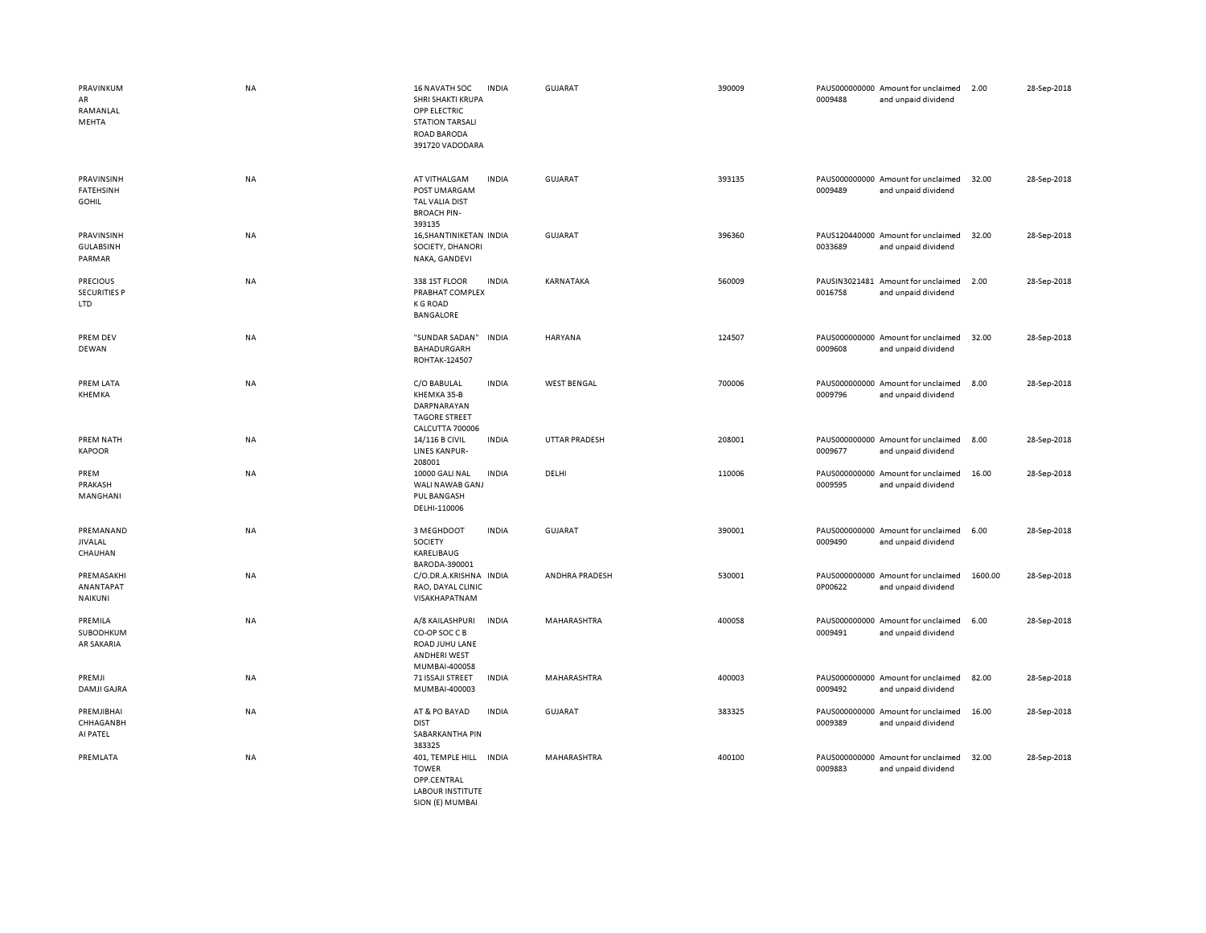| PRAVINKUM<br>AR<br>RAMANLAL<br>MEHTA                 | <b>NA</b> | 16 NAVATH SOC<br>SHRI SHAKTI KRUPA<br>OPP ELECTRIC<br><b>STATION TARSALI</b><br>ROAD BARODA<br>391720 VADODARA | <b>INDIA</b> | <b>GUJARAT</b>       | 390009 | 0009488 | PAUS000000000 Amount for unclaimed<br>and unpaid dividend | 2.00    | 28-Sep-2018 |
|------------------------------------------------------|-----------|----------------------------------------------------------------------------------------------------------------|--------------|----------------------|--------|---------|-----------------------------------------------------------|---------|-------------|
| PRAVINSINH<br>FATEHSINH<br><b>GOHIL</b>              | <b>NA</b> | AT VITHALGAM<br>POST UMARGAM<br>TAL VALIA DIST<br><b>BROACH PIN-</b><br>393135                                 | <b>INDIA</b> | <b>GUJARAT</b>       | 393135 | 0009489 | PAUS000000000 Amount for unclaimed<br>and unpaid dividend | 32.00   | 28-Sep-2018 |
| PRAVINSINH<br><b>GULABSINH</b><br>PARMAR             | <b>NA</b> | 16, SHANTINIKETAN INDIA<br>SOCIETY, DHANORI<br>NAKA, GANDEVI                                                   |              | <b>GUJARAT</b>       | 396360 | 0033689 | PAUS120440000 Amount for unclaimed<br>and unpaid dividend | 32.00   | 28-Sep-2018 |
| <b>PRECIOUS</b><br><b>SECURITIES P</b><br><b>LTD</b> | <b>NA</b> | 338 1ST FLOOR<br>PRABHAT COMPLEX<br><b>K G ROAD</b><br><b>BANGALORE</b>                                        | <b>INDIA</b> | KARNATAKA            | 560009 | 0016758 | PAUSIN3021481 Amount for unclaimed<br>and unpaid dividend | 2.00    | 28-Sep-2018 |
| PREM DEV<br>DEWAN                                    | <b>NA</b> | "SUNDAR SADAN"<br>BAHADURGARH<br>ROHTAK-124507                                                                 | <b>INDIA</b> | HARYANA              | 124507 | 0009608 | PAUS000000000 Amount for unclaimed<br>and unpaid dividend | 32.00   | 28-Sep-2018 |
| PREM LATA<br>KHEMKA                                  | <b>NA</b> | C/O BABULAL<br>KHEMKA 35-B<br>DARPNARAYAN<br><b>TAGORE STREET</b><br>CALCUTTA 700006                           | <b>INDIA</b> | <b>WEST BENGAL</b>   | 700006 | 0009796 | PAUS000000000 Amount for unclaimed<br>and unpaid dividend | 8.00    | 28-Sep-2018 |
| PREM NATH<br><b>KAPOOR</b>                           | <b>NA</b> | 14/116 B CIVIL<br>LINES KANPUR-<br>208001                                                                      | <b>INDIA</b> | <b>UTTAR PRADESH</b> | 208001 | 0009677 | PAUS000000000 Amount for unclaimed<br>and unpaid dividend | 8.00    | 28-Sep-2018 |
| PREM<br>PRAKASH<br>MANGHANI                          | <b>NA</b> | 10000 GALI NAL<br>WALI NAWAB GANJ<br>PUL BANGASH<br>DELHI-110006                                               | <b>INDIA</b> | DELHI                | 110006 | 0009595 | PAUS000000000 Amount for unclaimed<br>and unpaid dividend | 16.00   | 28-Sep-2018 |
| PREMANAND<br><b>JIVALAL</b><br>CHAUHAN               | <b>NA</b> | 3 MEGHDOOT<br>SOCIETY<br>KARELIBAUG<br>BARODA-390001                                                           | <b>INDIA</b> | <b>GUJARAT</b>       | 390001 | 0009490 | PAUS000000000 Amount for unclaimed<br>and unpaid dividend | 6.00    | 28-Sep-2018 |
| PREMASAKHI<br>ANANTAPAT<br>NAIKUNI                   | <b>NA</b> | C/O.DR.A.KRISHNA<br>RAO, DAYAL CLINIC<br>VISAKHAPATNAM                                                         | <b>INDIA</b> | ANDHRA PRADESH       | 530001 | 0P00622 | PAUS000000000 Amount for unclaimed<br>and unpaid dividend | 1600.00 | 28-Sep-2018 |
| PREMILA<br>SUBODHKUM<br>AR SAKARIA                   | <b>NA</b> | A/8 KAILASHPURI<br>CO-OP SOC C B<br>ROAD JUHU LANE<br><b>ANDHERI WEST</b><br>MUMBAI-400058                     | <b>INDIA</b> | MAHARASHTRA          | 400058 | 0009491 | PAUS000000000 Amount for unclaimed<br>and unpaid dividend | 6.00    | 28-Sep-2018 |
| PREMJI<br><b>DAMJI GAJRA</b>                         | <b>NA</b> | 71 ISSAJI STREET<br>MUMBAI-400003                                                                              | <b>INDIA</b> | MAHARASHTRA          | 400003 | 0009492 | PAUS000000000 Amount for unclaimed<br>and unpaid dividend | 82.00   | 28-Sep-2018 |
| PREMJIBHAI<br>CHHAGANBH<br>AI PATEL                  | <b>NA</b> | AT & PO BAYAD<br><b>DIST</b><br>SABARKANTHA PIN<br>383325                                                      | <b>INDIA</b> | <b>GUJARAT</b>       | 383325 | 0009389 | PAUS000000000 Amount for unclaimed<br>and unpaid dividend | 16.00   | 28-Sep-2018 |
| PREMLATA                                             | <b>NA</b> | 401, TEMPLE HILL<br><b>TOWER</b><br>OPP.CENTRAL<br><b>LABOUR INSTITUTE</b>                                     | <b>INDIA</b> | MAHARASHTRA          | 400100 | 0009883 | PAUS000000000 Amount for unclaimed<br>and unpaid dividend | 32.00   | 28-Sep-2018 |

SION (E) MUMBAI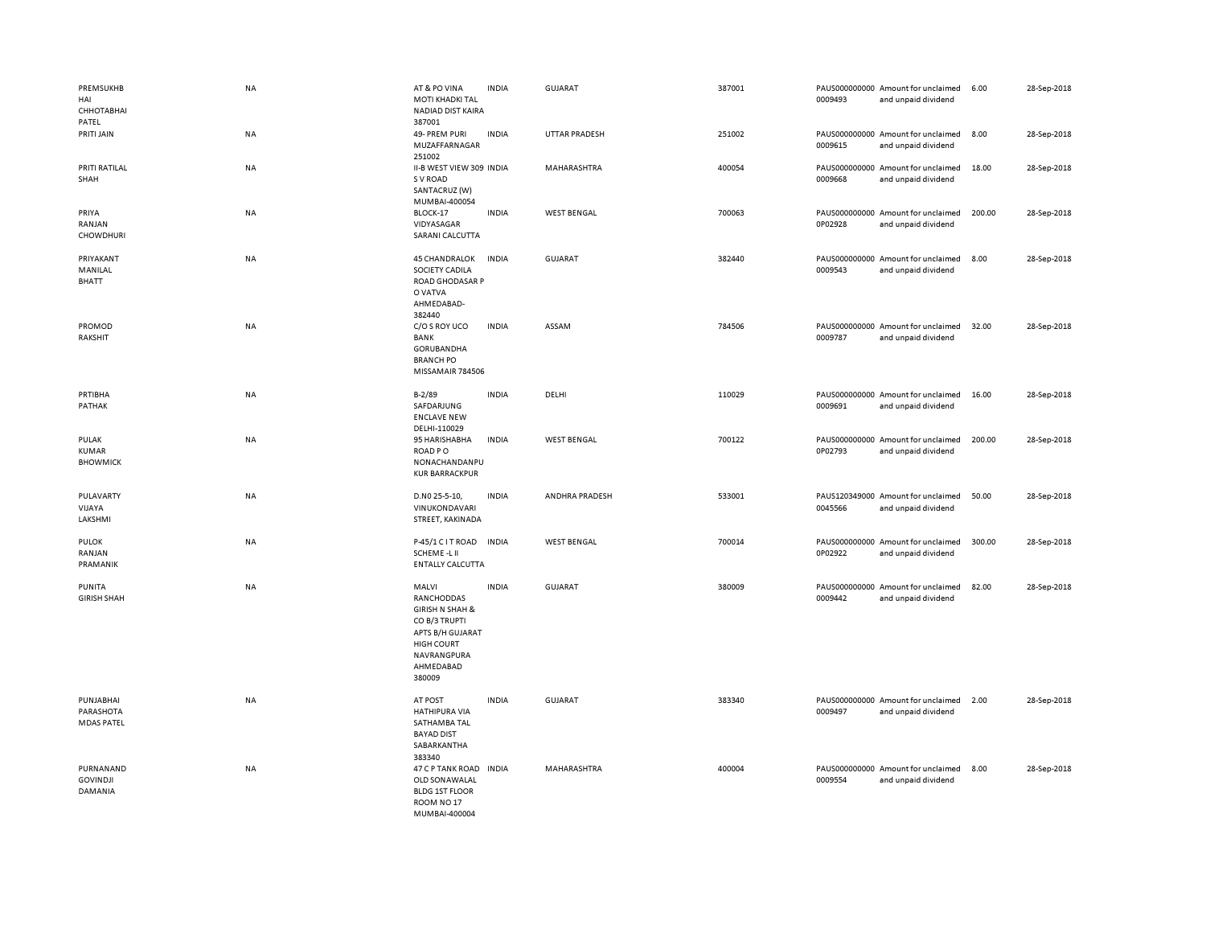| <b>PREMSUKHB</b><br>HAI<br>СННОТАВНАІ<br>PATEL | <b>NA</b> | AT & PO VINA<br><b>MOTI KHADKI TAL</b><br>NADIAD DIST KAIRA<br>387001                                                                             | <b>INDIA</b> | <b>GUJARAT</b>       | 387001 | 0009493 | PAUS000000000 Amount for unclaimed<br>and unpaid dividend | 6.00   | 28-Sep-2018 |
|------------------------------------------------|-----------|---------------------------------------------------------------------------------------------------------------------------------------------------|--------------|----------------------|--------|---------|-----------------------------------------------------------|--------|-------------|
| PRITI JAIN                                     | NA        | 49- PREM PURI<br>MUZAFFARNAGAR<br>251002                                                                                                          | <b>INDIA</b> | <b>UTTAR PRADESH</b> | 251002 | 0009615 | PAUS000000000 Amount for unclaimed<br>and unpaid dividend | 8.00   | 28-Sep-2018 |
| PRITI RATILAL<br>SHAH                          | NA        | II-B WEST VIEW 309 INDIA<br>S V ROAD<br>SANTACRUZ (W)<br>MUMBAI-400054                                                                            |              | MAHARASHTRA          | 400054 | 0009668 | PAUS000000000 Amount for unclaimed<br>and unpaid dividend | 18.00  | 28-Sep-2018 |
| PRIYA<br>RANJAN<br><b>CHOWDHURI</b>            | NA        | BLOCK-17<br>VIDYASAGAR<br>SARANI CALCUTTA                                                                                                         | <b>INDIA</b> | <b>WEST BENGAL</b>   | 700063 | 0P02928 | PAUS000000000 Amount for unclaimed<br>and unpaid dividend | 200.00 | 28-Sep-2018 |
| PRIYAKANT<br>MANILAL<br><b>BHATT</b>           | <b>NA</b> | <b>45 CHANDRALOK</b><br>SOCIETY CADILA<br>ROAD GHODASAR P<br>O VATVA<br>AHMEDABAD-<br>382440                                                      | <b>INDIA</b> | <b>GUJARAT</b>       | 382440 | 0009543 | PAUS000000000 Amount for unclaimed<br>and unpaid dividend | 8.00   | 28-Sep-2018 |
| PROMOD<br>RAKSHIT                              | NA        | C/O S ROY UCO<br>BANK<br><b>GORUBANDHA</b><br><b>BRANCH PO</b><br>MISSAMAIR 784506                                                                | <b>INDIA</b> | ASSAM                | 784506 | 0009787 | PAUS000000000 Amount for unclaimed<br>and unpaid dividend | 32.00  | 28-Sep-2018 |
| PRTIBHA<br>PATHAK                              | NA        | $B-2/89$<br>SAFDARJUNG<br><b>ENCLAVE NEW</b><br>DELHI-110029                                                                                      | <b>INDIA</b> | DELHI                | 110029 | 0009691 | PAUS000000000 Amount for unclaimed<br>and unpaid dividend | 16.00  | 28-Sep-2018 |
| PULAK<br><b>KUMAR</b><br><b>BHOWMICK</b>       | NA        | 95 HARISHABHA<br>ROAD PO<br>NONACHANDANPU<br><b>KUR BARRACKPUR</b>                                                                                | <b>INDIA</b> | <b>WEST BENGAL</b>   | 700122 | 0P02793 | PAUS000000000 Amount for unclaimed<br>and unpaid dividend | 200.00 | 28-Sep-2018 |
| PULAVARTY<br>VIJAYA<br>LAKSHMI                 | NA        | D.NO 25-5-10,<br>VINUKONDAVARI<br>STREET, KAKINADA                                                                                                | <b>INDIA</b> | ANDHRA PRADESH       | 533001 | 0045566 | PAUS120349000 Amount for unclaimed<br>and unpaid dividend | 50.00  | 28-Sep-2018 |
| <b>PULOK</b><br>RANJAN<br>PRAMANIK             | NA        | P-45/1 C I T ROAD<br>SCHEME-LII<br><b>ENTALLY CALCUTTA</b>                                                                                        | <b>INDIA</b> | <b>WEST BENGAL</b>   | 700014 | 0P02922 | PAUS000000000 Amount for unclaimed<br>and unpaid dividend | 300.00 | 28-Sep-2018 |
| PUNITA<br><b>GIRISH SHAH</b>                   | NA        | MALVI<br>RANCHODDAS<br><b>GIRISH N SHAH &amp;</b><br>CO B/3 TRUPTI<br>APTS B/H GUJARAT<br><b>HIGH COURT</b><br>NAVRANGPURA<br>AHMEDABAD<br>380009 | <b>INDIA</b> | <b>GUJARAT</b>       | 380009 | 0009442 | PAUS000000000 Amount for unclaimed<br>and unpaid dividend | 82.00  | 28-Sep-2018 |
| PUNJABHAI<br>PARASHOTA<br><b>MDAS PATEL</b>    | NA        | AT POST<br><b>HATHIPURA VIA</b><br>SATHAMBA TAL<br><b>BAYAD DIST</b><br>SABARKANTHA<br>383340                                                     | <b>INDIA</b> | <b>GUJARAT</b>       | 383340 | 0009497 | PAUS000000000 Amount for unclaimed<br>and unpaid dividend | 2.00   | 28-Sep-2018 |
| PURNANAND<br><b>GOVINDJI</b><br>DAMANIA        | NA        | 47 C P TANK ROAD<br>OLD SON AWALAL<br><b>BLDG 1ST FLOOR</b><br>ROOM NO <sub>17</sub><br>MUMBAL400004                                              | <b>INDIA</b> | MAHARASHTRA          | 400004 | 0009554 | PAUS000000000 Amount for unclaimed<br>and unpaid dividend | 8.00   | 28-Sep-2018 |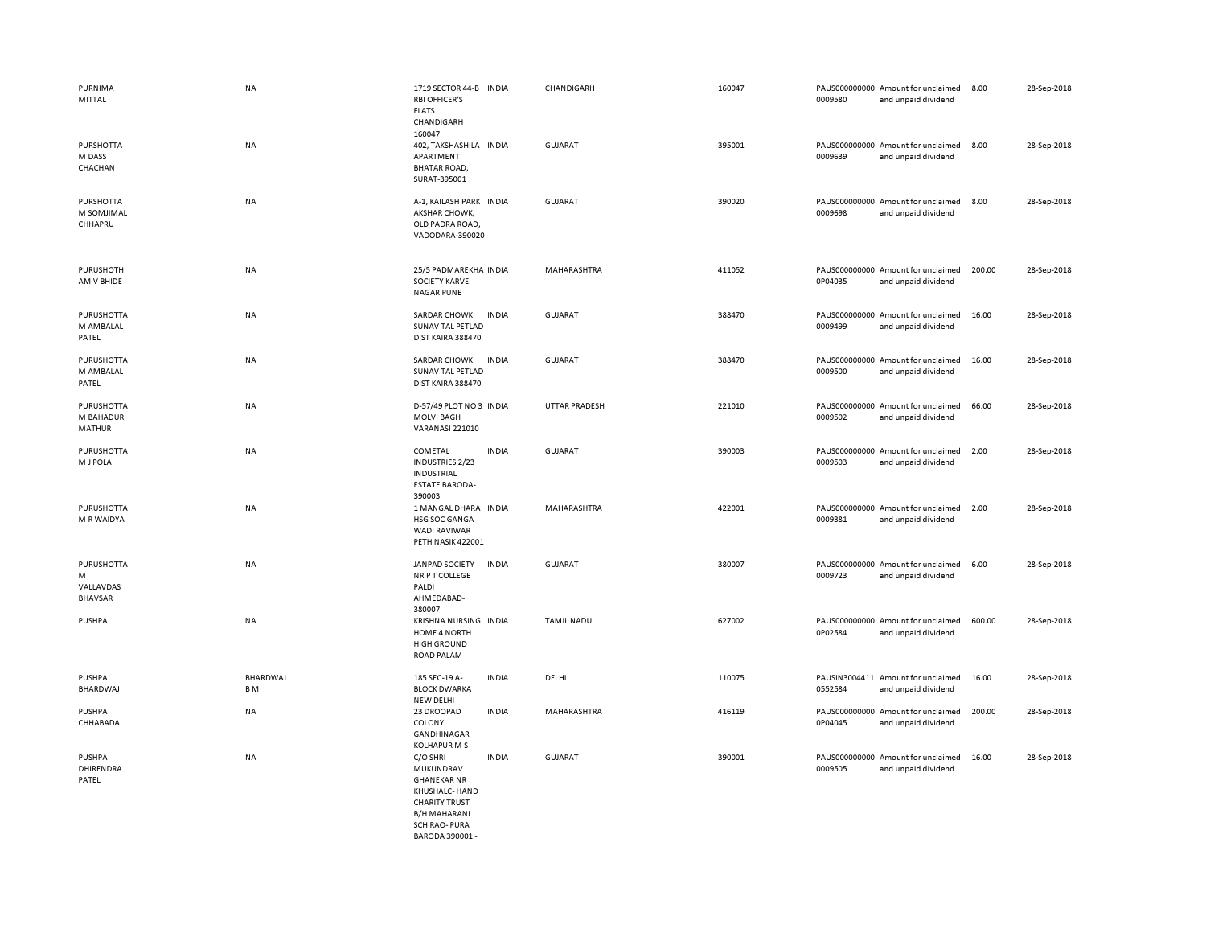| PURNIMA<br>MITTAL                               | <b>NA</b>                  | 1719 SECTOR 44-B INDIA<br><b>RBI OFFICER'S</b><br><b>FLATS</b><br>CHANDIGARH<br>160047                                                       | CHANDIGARH           | 160047 | 0009580 | PAUS000000000 Amount for unclaimed<br>and unpaid dividend | 8.00   | 28-Sep-2018 |
|-------------------------------------------------|----------------------------|----------------------------------------------------------------------------------------------------------------------------------------------|----------------------|--------|---------|-----------------------------------------------------------|--------|-------------|
| <b>PURSHOTTA</b><br>M DASS<br>CHACHAN           | NA                         | 402, TAKSHASHILA INDIA<br>APARTMENT<br><b>BHATAR ROAD,</b><br>SURAT-395001                                                                   | <b>GUJARAT</b>       | 395001 | 0009639 | PAUS000000000 Amount for unclaimed<br>and unpaid dividend | 8.00   | 28-Sep-2018 |
| PURSHOTTA<br>M SOMJIMAL<br>CHHAPRU              | <b>NA</b>                  | A-1, KAILASH PARK INDIA<br>AKSHAR CHOWK,<br>OLD PADRA ROAD,<br>VADODARA-390020                                                               | <b>GUJARAT</b>       | 390020 | 0009698 | PAUS000000000 Amount for unclaimed<br>and unpaid dividend | 8.00   | 28-Sep-2018 |
| PURUSHOTH<br>AM V BHIDE                         | NA                         | 25/5 PADMAREKHA INDIA<br><b>SOCIETY KARVE</b><br><b>NAGAR PUNE</b>                                                                           | MAHARASHTRA          | 411052 | 0P04035 | PAUS000000000 Amount for unclaimed<br>and unpaid dividend | 200.00 | 28-Sep-2018 |
| PURUSHOTTA<br>M AMBALAL<br>PATEL                | NA                         | <b>SARDAR CHOWK</b><br><b>INDIA</b><br>SUNAV TAL PETLAD<br>DIST KAIRA 388470                                                                 | <b>GUJARAT</b>       | 388470 | 0009499 | PAUS000000000 Amount for unclaimed<br>and unpaid dividend | 16.00  | 28-Sep-2018 |
| PURUSHOTTA<br>M AMBALAL<br>PATEL                | <b>NA</b>                  | SARDAR CHOWK<br><b>INDIA</b><br>SUNAV TAL PETLAD<br>DIST KAIRA 388470                                                                        | GUJARAT              | 388470 | 0009500 | PAUS000000000 Amount for unclaimed<br>and unpaid dividend | 16.00  | 28-Sep-2018 |
| <b>PURUSHOTTA</b><br>M BAHADUR<br><b>MATHUR</b> | <b>NA</b>                  | D-57/49 PLOT NO 3 INDIA<br><b>MOLVI BAGH</b><br><b>VARANASI 221010</b>                                                                       | <b>UTTAR PRADESH</b> | 221010 | 0009502 | PAUS000000000 Amount for unclaimed<br>and unpaid dividend | 66.00  | 28-Sep-2018 |
| <b>PURUSHOTTA</b><br>M J POLA                   | <b>NA</b>                  | COMETAL<br><b>INDIA</b><br>INDUSTRIES 2/23<br><b>INDUSTRIAL</b><br><b>ESTATE BARODA-</b><br>390003                                           | <b>GUJARAT</b>       | 390003 | 0009503 | PAUS000000000 Amount for unclaimed<br>and unpaid dividend | 2.00   | 28-Sep-2018 |
| PURUSHOTTA<br>M R WAIDYA                        | NA                         | 1 MANGAL DHARA<br><b>INDIA</b><br>HSG SOC GANGA<br><b>WADI RAVIWAR</b><br>PETH NASIK 422001                                                  | MAHARASHTRA          | 422001 | 0009381 | PAUS000000000 Amount for unclaimed<br>and unpaid dividend | 2.00   | 28-Sep-2018 |
| PURUSHOTTA<br>M<br>VALLAVDAS<br><b>BHAVSAR</b>  | NA                         | <b>INDIA</b><br><b>JANPAD SOCIETY</b><br><b>NR P T COLLEGE</b><br>PALDI<br>AHMEDABAD-<br>380007                                              | <b>GUJARAT</b>       | 380007 | 0009723 | PAUS000000000 Amount for unclaimed<br>and unpaid dividend | 6.00   | 28-Sep-2018 |
| <b>PUSHPA</b>                                   | <b>NA</b>                  | KRISHNA NURSING INDIA<br>HOME 4 NORTH<br><b>HIGH GROUND</b><br><b>ROAD PALAM</b>                                                             | <b>TAMIL NADU</b>    | 627002 | 0P02584 | PAUS000000000 Amount for unclaimed<br>and unpaid dividend | 600.00 | 28-Sep-2018 |
| <b>PUSHPA</b><br>BHARDWAJ                       | BHARDWAJ<br>B <sub>M</sub> | 185 SEC-19 A-<br><b>INDIA</b><br><b>BLOCK DWARKA</b><br><b>NEW DELHI</b>                                                                     | DELHI                | 110075 | 0552584 | PAUSIN3004411 Amount for unclaimed<br>and unpaid dividend | 16.00  | 28-Sep-2018 |
| PUSHPA<br>CHHABADA                              | NA                         | 23 DROOPAD<br><b>INDIA</b><br>COLONY<br>GANDHINAGAR<br><b>KOLHAPUR M S</b>                                                                   | MAHARASHTRA          | 416119 | 0P04045 | PAUS000000000 Amount for unclaimed<br>and unpaid dividend | 200.00 | 28-Sep-2018 |
| <b>PUSHPA</b><br>DHIRENDRA<br>PATEL             | NA                         | <b>INDIA</b><br>C/O SHRI<br>MUKUNDRAV<br><b>GHANEKAR NR</b><br>KHUSHALC- HAND<br><b>CHARITY TRUST</b><br><b>B/H MAHARANI</b><br>SCH RAO-PURA | <b>GUJARAT</b>       | 390001 | 0009505 | PAUS000000000 Amount for unclaimed<br>and unpaid dividend | 16.00  | 28-Sep-2018 |

BARODA 390001 -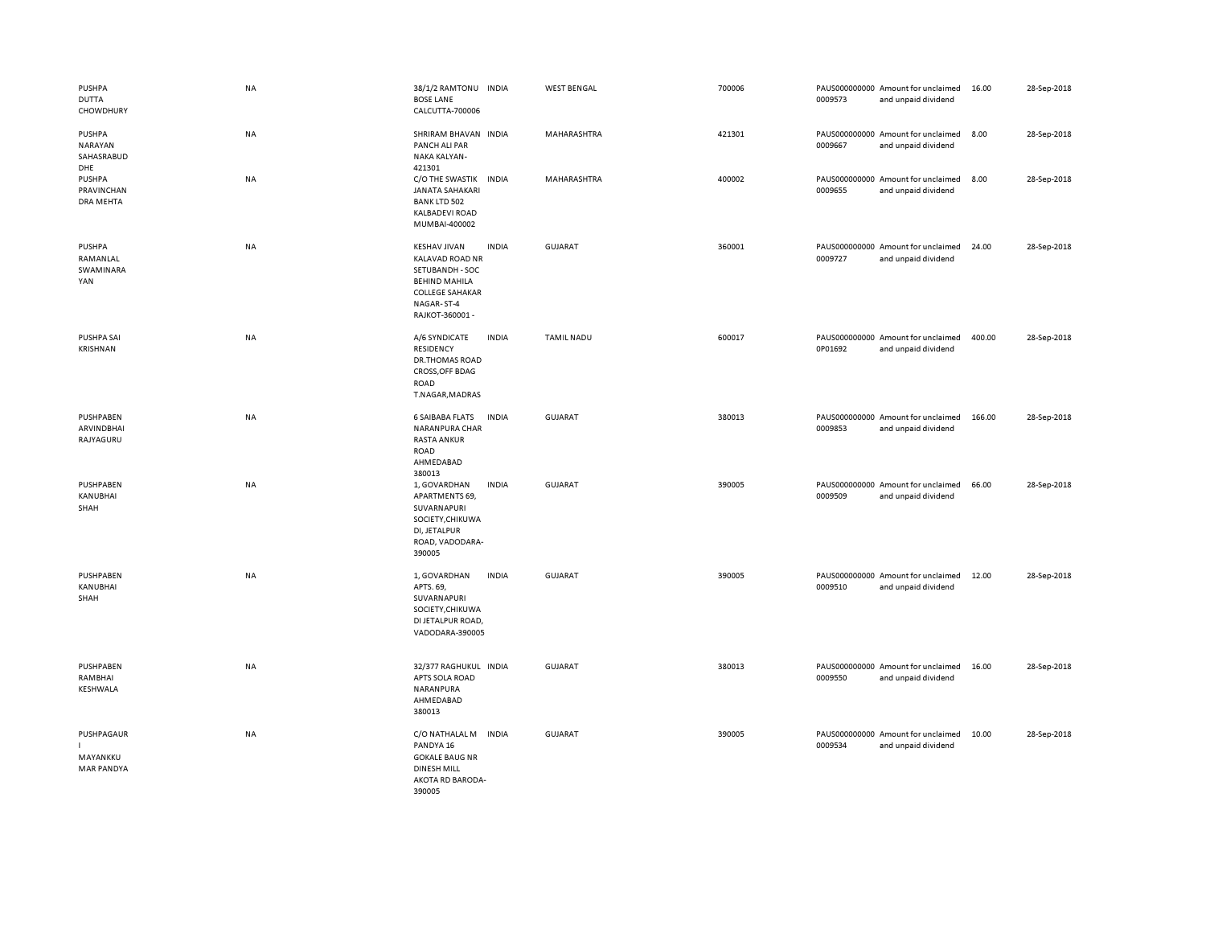| <b>PUSHPA</b><br><b>DUTTA</b><br>CHOWDHURY    | <b>NA</b> | 38/1/2 RAMTONU INDIA<br><b>BOSE LANE</b><br>CALCUTTA-700006                                                                                        |              | <b>WEST BENGAL</b> | 700006 | 0009573 | PAUS000000000 Amount for unclaimed<br>and unpaid dividend | 16.00  | 28-Sep-2018 |
|-----------------------------------------------|-----------|----------------------------------------------------------------------------------------------------------------------------------------------------|--------------|--------------------|--------|---------|-----------------------------------------------------------|--------|-------------|
| PUSHPA<br><b>NARAYAN</b><br>SAHASRABUD<br>DHE | NA        | SHRIRAM BHAVAN INDIA<br>PANCH ALI PAR<br>NAKA KALYAN-<br>421301                                                                                    |              | MAHARASHTRA        | 421301 | 0009667 | PAUS000000000 Amount for unclaimed<br>and unpaid dividend | 8.00   | 28-Sep-2018 |
| <b>PUSHPA</b><br>PRAVINCHAN<br>DRA MEHTA      | NA        | C/O THE SWASTIK INDIA<br><b>JANATA SAHAKARI</b><br><b>BANK LTD 502</b><br><b>KALBADEVI ROAD</b><br>MUMBAI-400002                                   |              | MAHARASHTRA        | 400002 | 0009655 | PAUS000000000 Amount for unclaimed<br>and unpaid dividend | 8.00   | 28-Sep-2018 |
| <b>PUSHPA</b><br>RAMANLAL<br>SWAMINARA<br>YAN | NA        | <b>KESHAV JIVAN</b><br><b>KALAVAD ROAD NR</b><br>SETUBANDH - SOC<br><b>BEHIND MAHILA</b><br><b>COLLEGE SAHAKAR</b><br>NAGAR-ST-4<br>RAJKOT-360001- | <b>INDIA</b> | GUJARAT            | 360001 | 0009727 | PAUS000000000 Amount for unclaimed<br>and unpaid dividend | 24.00  | 28-Sep-2018 |
| PUSHPA SAI<br>KRISHNAN                        | <b>NA</b> | A/6 SYNDICATE<br><b>RESIDENCY</b><br>DR.THOMAS ROAD<br>CROSS, OFF BDAG<br>ROAD<br>T.NAGAR, MADRAS                                                  | <b>INDIA</b> | <b>TAMIL NADU</b>  | 600017 | 0P01692 | PAUS000000000 Amount for unclaimed<br>and unpaid dividend | 400.00 | 28-Sep-2018 |
| PUSHPABEN<br>ARVINDBHAI<br>RAJYAGURU          | <b>NA</b> | <b>6 SAIBABA FLATS</b><br>NARANPURA CHAR<br><b>RASTA ANKUR</b><br>ROAD<br>AHMEDABAD<br>380013                                                      | <b>INDIA</b> | <b>GUJARAT</b>     | 380013 | 0009853 | PAUS000000000 Amount for unclaimed<br>and unpaid dividend | 166.00 | 28-Sep-2018 |
| PUSHPABEN<br>KANUBHAI<br>SHAH                 | NA        | 1, GOVARDHAN<br>APARTMENTS 69,<br>SUVARNAPURI<br>SOCIETY, CHIKUWA<br>DI, JETALPUR<br>ROAD, VADODARA-<br>390005                                     | <b>INDIA</b> | GUJARAT            | 390005 | 0009509 | PAUS000000000 Amount for unclaimed<br>and unpaid dividend | 66.00  | 28-Sep-2018 |
| PUSHPABEN<br>KANUBHAI<br>SHAH                 | NA        | 1, GOVARDHAN<br>APTS. 69,<br>SUVARNAPURI<br>SOCIETY, CHIKUWA<br>DI JETALPUR ROAD,<br>VADODARA-390005                                               | <b>INDIA</b> | <b>GUJARAT</b>     | 390005 | 0009510 | PAUS000000000 Amount for unclaimed<br>and unpaid dividend | 12.00  | 28-Sep-2018 |
| PUSHPABEN<br>RAMBHAI<br>KESHWALA              | <b>NA</b> | 32/377 RAGHUKUL INDIA<br>APTS SOLA ROAD<br>NARANPURA<br>AHMEDABAD<br>380013                                                                        |              | GUJARAT            | 380013 | 0009550 | PAUS000000000 Amount for unclaimed<br>and unpaid dividend | 16.00  | 28-Sep-2018 |
| PUSHPAGAUR<br>MAYANKKU<br><b>MAR PANDYA</b>   | NA        | C/O NATHALAL M INDIA<br>PANDYA 16<br><b>GOKALE BAUG NR</b><br><b>DINESH MILL</b><br>AKOTA RD BARODA-<br>390005                                     |              | GUJARAT            | 390005 | 0009534 | PAUS000000000 Amount for unclaimed<br>and unpaid dividend | 10.00  | 28-Sep-2018 |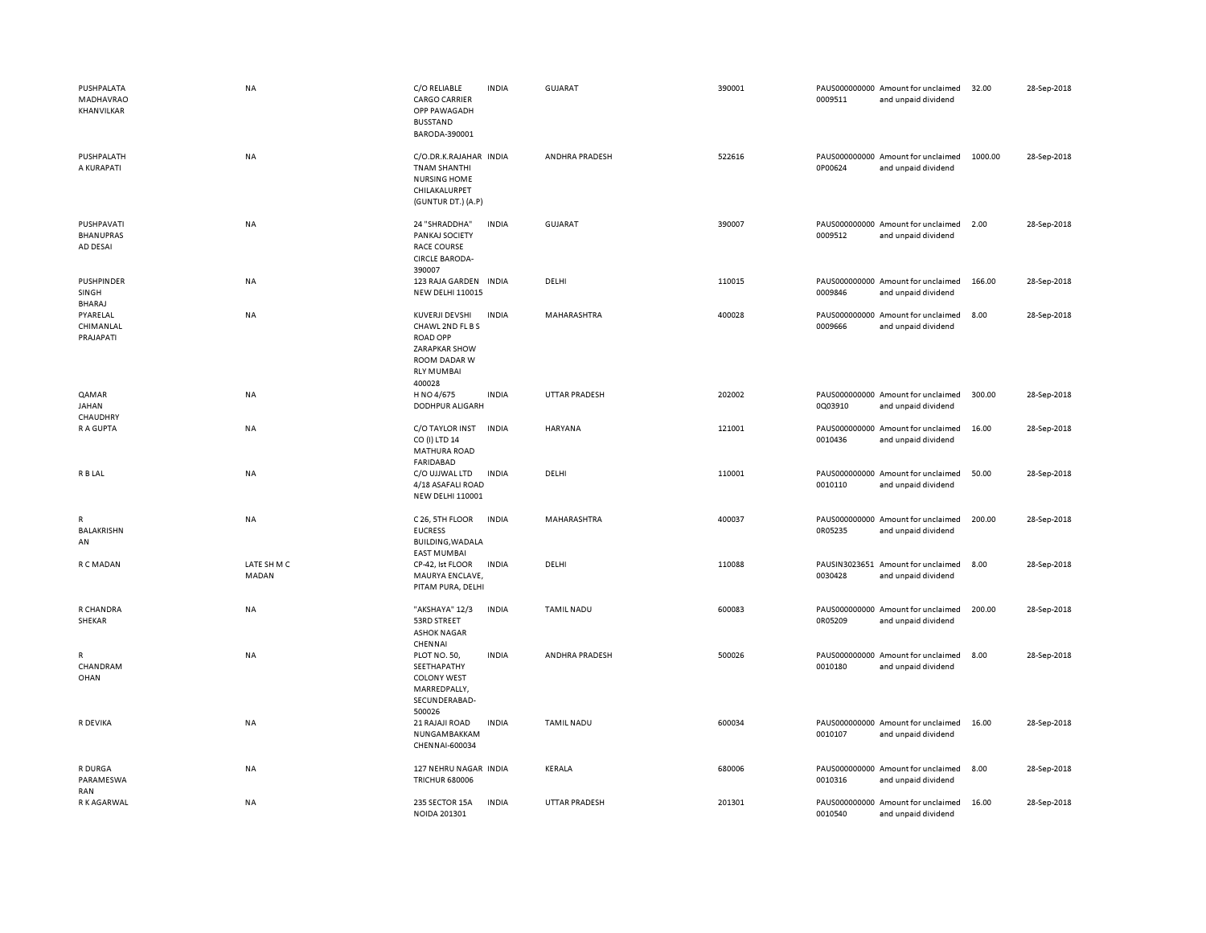| PUSHPALATA<br>MADHAVRAO<br>KHANVILKAR      | <b>NA</b>            | C/O RELIABLE<br><b>CARGO CARRIER</b><br>OPP PAWAGADH<br><b>BUSSTAND</b><br>BARODA-390001                                     | <b>INDIA</b> | GUJARAT              | 390001 | 0009511 | PAUS000000000 Amount for unclaimed<br>and unpaid dividend | 32.00   | 28-Sep-2018 |
|--------------------------------------------|----------------------|------------------------------------------------------------------------------------------------------------------------------|--------------|----------------------|--------|---------|-----------------------------------------------------------|---------|-------------|
| PUSHPALATH<br>A KURAPATI                   | <b>NA</b>            | C/O.DR.K.RAJAHAR INDIA<br><b>TNAM SHANTHI</b><br>NURSING HOME<br>CHILAKALURPET<br>(GUNTUR DT.) (A.P)                         |              | ANDHRA PRADESH       | 522616 | 0P00624 | PAUS000000000 Amount for unclaimed<br>and unpaid dividend | 1000.00 | 28-Sep-2018 |
| PUSHPAVATI<br><b>BHANUPRAS</b><br>AD DESAI | <b>NA</b>            | 24 "SHRADDHA"<br>PANKAJ SOCIETY<br><b>RACE COURSE</b><br><b>CIRCLE BARODA-</b><br>390007                                     | <b>INDIA</b> | <b>GUJARAT</b>       | 390007 | 0009512 | PAUS000000000 Amount for unclaimed<br>and unpaid dividend | 2.00    | 28-Sep-2018 |
| PUSHPINDER<br>SINGH<br><b>BHARAJ</b>       | NA                   | 123 RAJA GARDEN INDIA<br><b>NEW DELHI 110015</b>                                                                             |              | DELHI                | 110015 | 0009846 | PAUS000000000 Amount for unclaimed<br>and unpaid dividend | 166.00  | 28-Sep-2018 |
| PYARELAL<br>CHIMANLAL<br>PRAJAPATI         | <b>NA</b>            | <b>KUVERJI DEVSHI</b><br>CHAWL 2ND FL B S<br><b>ROAD OPP</b><br>ZARAPKAR SHOW<br>ROOM DADAR W<br><b>RLY MUMBAI</b><br>400028 | <b>INDIA</b> | MAHARASHTRA          | 400028 | 0009666 | PAUS000000000 Amount for unclaimed<br>and unpaid dividend | 8.00    | 28-Sep-2018 |
| QAMAR<br><b>JAHAN</b><br>CHAUDHRY          | NA                   | H NO 4/675<br><b>DODHPUR ALIGARH</b>                                                                                         | <b>INDIA</b> | UTTAR PRADESH        | 202002 | 0Q03910 | PAUS000000000 Amount for unclaimed<br>and unpaid dividend | 300.00  | 28-Sep-2018 |
| R A GUPTA                                  | <b>NA</b>            | C/O TAYLOR INST<br>CO (I) LTD 14<br>MATHURA ROAD<br><b>FARIDABAD</b>                                                         | <b>INDIA</b> | HARYANA              | 121001 | 0010436 | PAUS000000000 Amount for unclaimed<br>and unpaid dividend | 16.00   | 28-Sep-2018 |
| R B LAL                                    | <b>NA</b>            | C/O UJJWAL LTD<br>4/18 ASAFALI ROAD<br><b>NEW DELHI 110001</b>                                                               | <b>INDIA</b> | DELHI                | 110001 | 0010110 | PAUS000000000 Amount for unclaimed<br>and unpaid dividend | 50.00   | 28-Sep-2018 |
| $\mathsf{R}$<br>BALAKRISHN<br>AN           | <b>NA</b>            | C 26, 5TH FLOOR<br><b>EUCRESS</b><br><b>BUILDING, WADALA</b><br><b>EAST MUMBAI</b>                                           | <b>INDIA</b> | MAHARASHTRA          | 400037 | 0R05235 | PAUS000000000 Amount for unclaimed<br>and unpaid dividend | 200.00  | 28-Sep-2018 |
| R C MADAN                                  | LATE SH M C<br>MADAN | CP-42, lst FLOOR<br>MAURYA ENCLAVE,<br>PITAM PURA, DELHI                                                                     | <b>INDIA</b> | DELHI                | 110088 | 0030428 | PAUSIN3023651 Amount for unclaimed<br>and unpaid dividend | 8.00    | 28-Sep-2018 |
| R CHANDRA<br>SHEKAR                        | <b>NA</b>            | "AKSHAYA" 12/3<br>53RD STREET<br><b>ASHOK NAGAR</b><br>CHENNAI                                                               | <b>INDIA</b> | <b>TAMIL NADU</b>    | 600083 | 0R05209 | PAUS000000000 Amount for unclaimed<br>and unpaid dividend | 200.00  | 28-Sep-2018 |
| $\mathsf{R}$<br>CHANDRAM<br>OHAN           | <b>NA</b>            | PLOT NO. 50,<br>SEETHAPATHY<br><b>COLONY WEST</b><br>MARREDPALLY,<br>SECUNDERABAD-<br>500026                                 | <b>INDIA</b> | ANDHRA PRADESH       | 500026 | 0010180 | PAUS000000000 Amount for unclaimed<br>and unpaid dividend | 8.00    | 28-Sep-2018 |
| R DEVIKA                                   | NA                   | 21 RAJAJI ROAD<br>NUNGAMBAKKAM<br>CHENNAI-600034                                                                             | <b>INDIA</b> | <b>TAMIL NADU</b>    | 600034 | 0010107 | PAUS000000000 Amount for unclaimed<br>and unpaid dividend | 16.00   | 28-Sep-2018 |
| R DURGA<br>PARAMESWA<br>RAN                | <b>NA</b>            | 127 NEHRU NAGAR INDIA<br><b>TRICHUR 680006</b>                                                                               |              | <b>KERALA</b>        | 680006 | 0010316 | PAUS000000000 Amount for unclaimed<br>and unpaid dividend | 8.00    | 28-Sep-2018 |
| R K AGARWAL                                | <b>NA</b>            | 235 SECTOR 15A<br>NOIDA 201301                                                                                               | <b>INDIA</b> | <b>UTTAR PRADESH</b> | 201301 | 0010540 | PAUS000000000 Amount for unclaimed<br>and unpaid dividend | 16.00   | 28-Sep-2018 |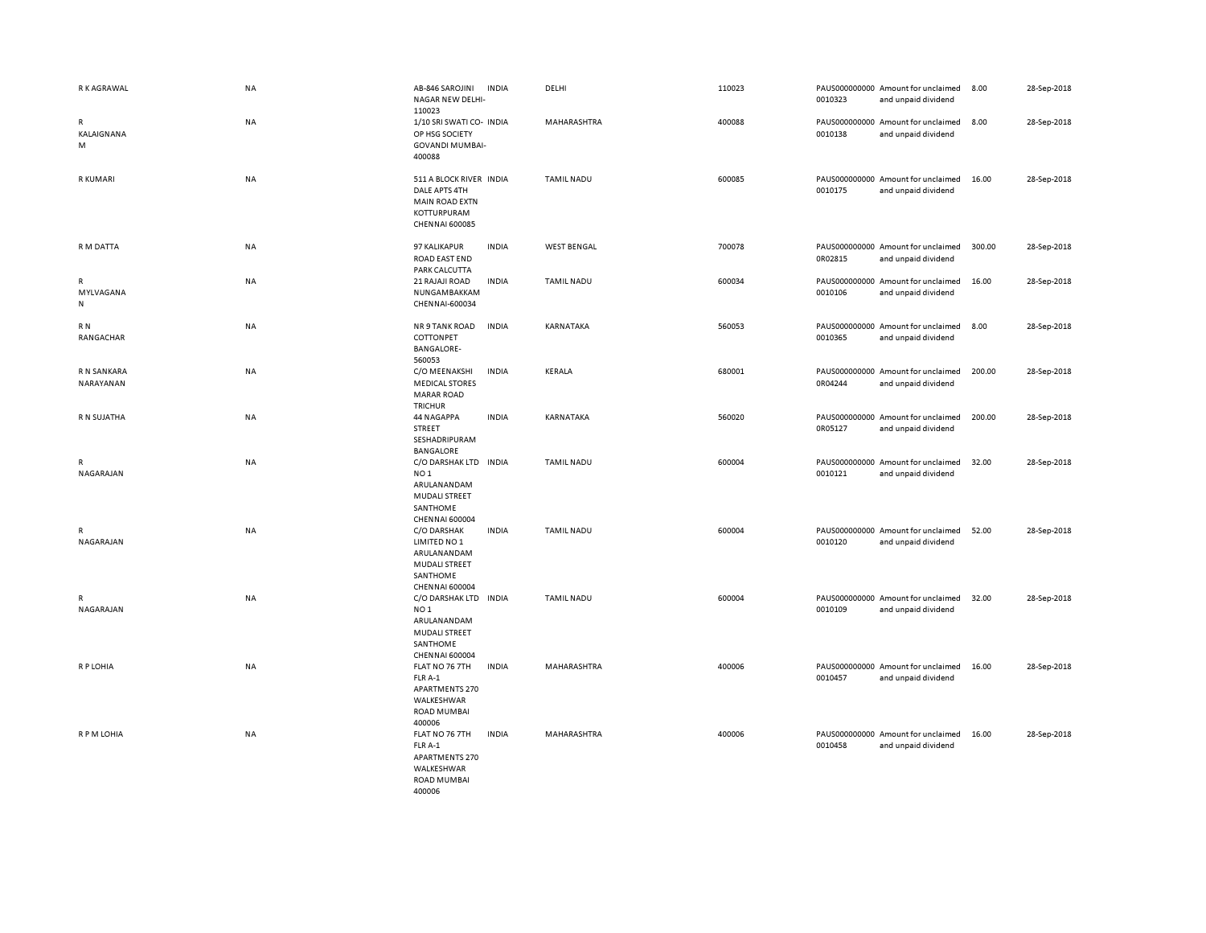| R K AGRAWAL               | <b>NA</b> | AB-846 SAROJINI<br>NAGAR NEW DELHI-<br>110023                                                                        | <b>INDIA</b> | DELHI              | 110023 | 0010323 | PAUS000000000 Amount for unclaimed<br>and unpaid dividend | 8.00   | 28-Sep-2018 |
|---------------------------|-----------|----------------------------------------------------------------------------------------------------------------------|--------------|--------------------|--------|---------|-----------------------------------------------------------|--------|-------------|
| R<br>KALAIGNANA<br>M      | <b>NA</b> | 1/10 SRI SWATI CO- INDIA<br>OP HSG SOCIETY<br><b>GOVANDI MUMBAI-</b><br>400088                                       |              | MAHARASHTRA        | 400088 | 0010138 | PAUS000000000 Amount for unclaimed<br>and unpaid dividend | 8.00   | 28-Sep-2018 |
| R KUMARI                  | <b>NA</b> | 511 A BLOCK RIVER INDIA<br>DALE APTS 4TH<br><b>MAIN ROAD EXTN</b><br>KOTTURPURAM<br><b>CHENNAI 600085</b>            |              | <b>TAMIL NADU</b>  | 600085 | 0010175 | PAUS000000000 Amount for unclaimed<br>and unpaid dividend | 16.00  | 28-Sep-2018 |
| R M DATTA                 | <b>NA</b> | 97 KALIKAPUR<br>ROAD EAST END<br>PARK CALCUTTA                                                                       | <b>INDIA</b> | <b>WEST BENGAL</b> | 700078 | 0R02815 | PAUS000000000 Amount for unclaimed<br>and unpaid dividend | 300.00 | 28-Sep-2018 |
| R<br>MYLVAGANA<br>N       | NA        | 21 RAJAJI ROAD<br>NUNGAMBAKKAM<br>CHENNAI-600034                                                                     | <b>INDIA</b> | <b>TAMIL NADU</b>  | 600034 | 0010106 | PAUS000000000 Amount for unclaimed<br>and unpaid dividend | 16.00  | 28-Sep-2018 |
| R N<br>RANGACHAR          | NA        | NR 9 TANK ROAD<br>COTTONPET<br><b>BANGALORE-</b><br>560053                                                           | <b>INDIA</b> | KARNATAKA          | 560053 | 0010365 | PAUS000000000 Amount for unclaimed<br>and unpaid dividend | 8.00   | 28-Sep-2018 |
| R N SANKARA<br>NARAYANAN  | <b>NA</b> | C/O MEENAKSHI<br><b>MEDICAL STORES</b><br><b>MARAR ROAD</b><br><b>TRICHUR</b>                                        | <b>INDIA</b> | <b>KERALA</b>      | 680001 | 0R04244 | PAUS000000000 Amount for unclaimed<br>and unpaid dividend | 200.00 | 28-Sep-2018 |
| R N SUJATHA               | <b>NA</b> | 44 NAGAPPA<br>STREET<br>SESHADRIPURAM<br>BANGALORE                                                                   | <b>INDIA</b> | KARNATAKA          | 560020 | 0R05127 | PAUS000000000 Amount for unclaimed<br>and unpaid dividend | 200.00 | 28-Sep-2018 |
| $\mathsf{R}$<br>NAGARAJAN | NA        | C/O DARSHAK LTD INDIA<br>NO <sub>1</sub><br>ARULANANDAM<br><b>MUDALI STREET</b><br>SANTHOME<br><b>CHENNAI 600004</b> |              | <b>TAMIL NADU</b>  | 600004 | 0010121 | PAUS000000000 Amount for unclaimed<br>and unpaid dividend | 32.00  | 28-Sep-2018 |
| $\mathsf{R}$<br>NAGARAJAN | <b>NA</b> | C/O DARSHAK<br>LIMITED NO 1<br>ARULANANDAM<br><b>MUDALI STREET</b><br>SANTHOME<br><b>CHENNAI 600004</b>              | <b>INDIA</b> | <b>TAMIL NADU</b>  | 600004 | 0010120 | PAUS000000000 Amount for unclaimed<br>and unpaid dividend | 52.00  | 28-Sep-2018 |
| $\mathsf{R}$<br>NAGARAJAN | <b>NA</b> | C/O DARSHAK LTD INDIA<br>NO <sub>1</sub><br>ARULANANDAM<br>MUDALI STREET<br>SANTHOME<br>CHENNAI 600004               |              | <b>TAMIL NADU</b>  | 600004 | 0010109 | PAUS000000000 Amount for unclaimed<br>and unpaid dividend | 32.00  | 28-Sep-2018 |
| R P LOHIA                 | <b>NA</b> | FLAT NO 76 7TH<br>FLR A-1<br>APARTMENTS 270<br>WALKESHWAR<br><b>ROAD MUMBAI</b><br>400006                            | <b>INDIA</b> | MAHARASHTRA        | 400006 | 0010457 | PAUS000000000 Amount for unclaimed<br>and unpaid dividend | 16.00  | 28-Sep-2018 |
| R P M LOHIA               | <b>NA</b> | FLAT NO 76 7TH<br>FLR A-1<br>APARTMENTS 270<br>WALKESHWAR<br><b>ROAD MUMBAI</b><br>400006                            | <b>INDIA</b> | MAHARASHTRA        | 400006 | 0010458 | PAUS000000000 Amount for unclaimed<br>and unpaid dividend | 16.00  | 28-Sep-2018 |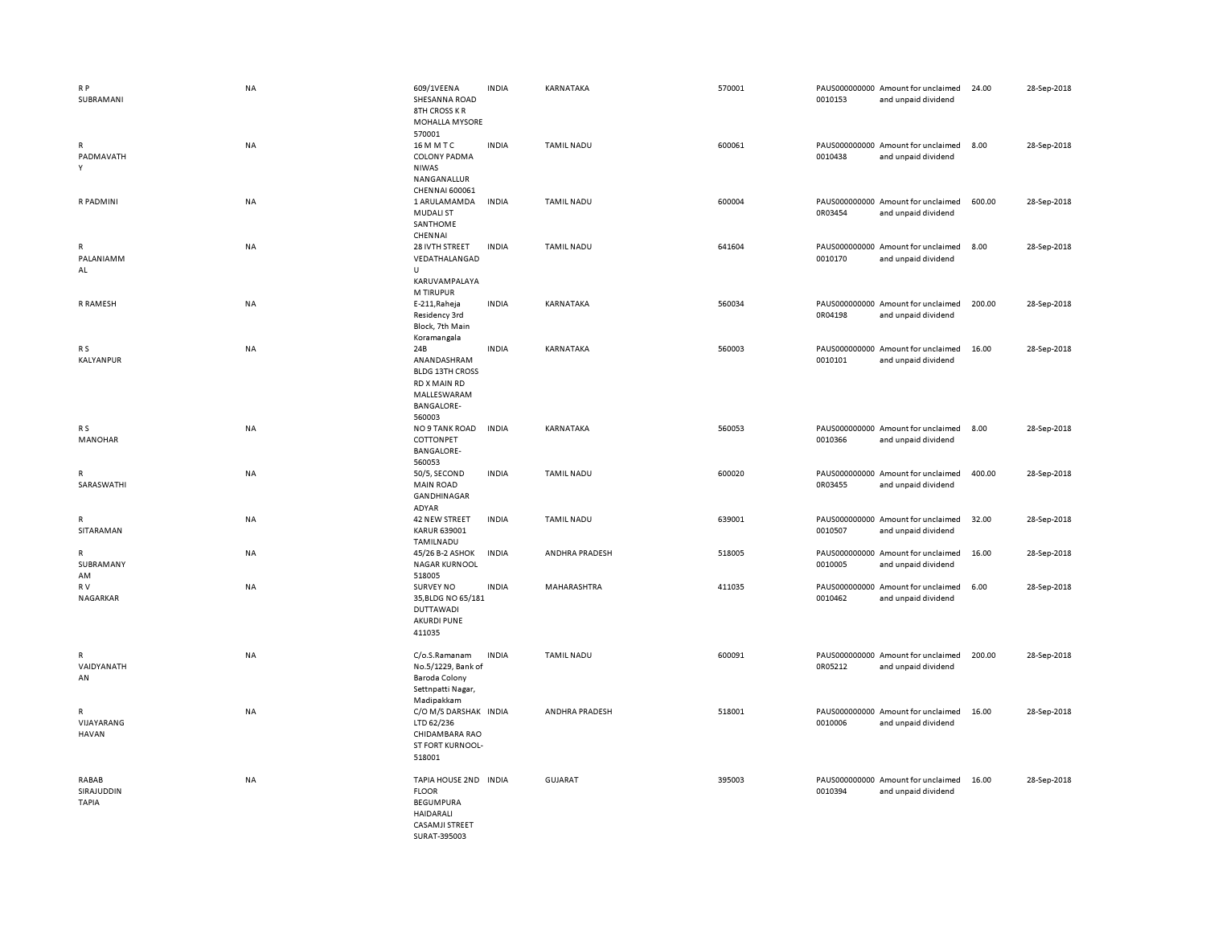| R <sub>P</sub><br>SUBRAMANI         | <b>NA</b> | 609/1VEENA<br>SHESANNA ROAD<br><b>8TH CROSS KR</b>                                                              | <b>INDIA</b> | KARNATAKA         | 570001 | 0010153 | PAUS000000000 Amount for unclaimed<br>and unpaid dividend | 24.00  | 28-Sep-2018 |
|-------------------------------------|-----------|-----------------------------------------------------------------------------------------------------------------|--------------|-------------------|--------|---------|-----------------------------------------------------------|--------|-------------|
| $\mathsf{R}$<br>PADMAVATH<br>Υ      | NA        | MOHALLA MYSORE<br>570001<br>16 M M T C<br><b>COLONY PADMA</b><br><b>NIWAS</b><br>NANGANALLUR                    | <b>INDIA</b> | <b>TAMIL NADU</b> | 600061 | 0010438 | PAUS000000000 Amount for unclaimed<br>and unpaid dividend | 8.00   | 28-Sep-2018 |
| R PADMINI                           | NA        | CHENNAI 600061<br>1 ARULAMAMDA<br><b>MUDALI ST</b><br>SANTHOME                                                  | <b>INDIA</b> | <b>TAMIL NADU</b> | 600004 | 0R03454 | PAUS000000000 Amount for unclaimed<br>and unpaid dividend | 600.00 | 28-Sep-2018 |
| R<br>PALANIAMM<br>AL                | NA        | CHENNAI<br>28 IVTH STREET<br>VEDATHALANGAD<br>$\cup$                                                            | <b>INDIA</b> | <b>TAMIL NADU</b> | 641604 | 0010170 | PAUS000000000 Amount for unclaimed<br>and unpaid dividend | 8.00   | 28-Sep-2018 |
| R RAMESH                            | NA        | KARUVAMPALAYA<br>M TIRUPUR<br>E-211, Raheja<br>Residency 3rd<br>Block, 7th Main                                 | <b>INDIA</b> | KARNATAKA         | 560034 | 0R04198 | PAUS000000000 Amount for unclaimed<br>and unpaid dividend | 200.00 | 28-Sep-2018 |
| R S<br>KALYANPUR                    | <b>NA</b> | Koramangala<br>24B<br>ANANDASHRAM<br><b>BLDG 13TH CROSS</b><br>RD X MAIN RD<br>MALLESWARAM                      | <b>INDIA</b> | KARNATAKA         | 560003 | 0010101 | PAUS000000000 Amount for unclaimed<br>and unpaid dividend | 16.00  | 28-Sep-2018 |
| R <sub>S</sub><br>MANOHAR           | <b>NA</b> | <b>BANGALORE-</b><br>560003<br>NO 9 TANK ROAD<br>COTTONPET<br><b>BANGALORE-</b><br>560053                       | <b>INDIA</b> | KARNATAKA         | 560053 | 0010366 | PAUS000000000 Amount for unclaimed<br>and unpaid dividend | 8.00   | 28-Sep-2018 |
| R<br>SARASWATHI                     | NA        | 50/5, SECOND<br><b>MAIN ROAD</b><br>GANDHINAGAR                                                                 | <b>INDIA</b> | <b>TAMIL NADU</b> | 600020 | 0R03455 | PAUS000000000 Amount for unclaimed<br>and unpaid dividend | 400.00 | 28-Sep-2018 |
| $\mathsf R$<br>SITARAMAN            | NA        | ADYAR<br>42 NEW STREET<br>KARUR 639001<br>TAMILNADU                                                             | <b>INDIA</b> | <b>TAMIL NADU</b> | 639001 | 0010507 | PAUS000000000 Amount for unclaimed<br>and unpaid dividend | 32.00  | 28-Sep-2018 |
| $\mathsf R$<br>SUBRAMANY<br>AM      | NA        | 45/26 B-2 ASHOK<br><b>NAGAR KURNOOL</b><br>518005                                                               | <b>INDIA</b> | ANDHRA PRADESH    | 518005 | 0010005 | PAUS000000000 Amount for unclaimed<br>and unpaid dividend | 16.00  | 28-Sep-2018 |
| R V<br>NAGARKAR                     | <b>NA</b> | <b>SURVEY NO</b><br>35, BLDG NO 65/181<br><b>DUTTAWADI</b><br><b>AKURDI PUNE</b><br>411035                      | <b>INDIA</b> | MAHARASHTRA       | 411035 | 0010462 | PAUS000000000 Amount for unclaimed<br>and unpaid dividend | 6.00   | 28-Sep-2018 |
| $\mathsf{R}$<br>VAIDYANATH<br>AN    | NA        | C/o.S.Ramanam<br>No.5/1229, Bank of<br><b>Baroda Colony</b><br>Settnpatti Nagar,                                | <b>INDIA</b> | <b>TAMIL NADU</b> | 600091 | 0R05212 | PAUS000000000 Amount for unclaimed<br>and unpaid dividend | 200.00 | 28-Sep-2018 |
| R<br>VIJAYARANG<br><b>HAVAN</b>     | <b>NA</b> | Madipakkam<br>C/O M/S DARSHAK INDIA<br>LTD 62/236<br>CHIDAMBARA RAO<br>ST FORT KURNOOL-<br>518001               |              | ANDHRA PRADESH    | 518001 | 0010006 | PAUS000000000 Amount for unclaimed<br>and unpaid dividend | 16.00  | 28-Sep-2018 |
| RABAB<br>SIRAJUDDIN<br><b>TAPIA</b> | <b>NA</b> | TAPIA HOUSE 2ND INDIA<br><b>FLOOR</b><br><b>BEGUMPURA</b><br><b>HAIDARALI</b><br>CASAMJI STREET<br>SURAT-395003 |              | <b>GUJARAT</b>    | 395003 | 0010394 | PAUS000000000 Amount for unclaimed<br>and unpaid dividend | 16.00  | 28-Sep-2018 |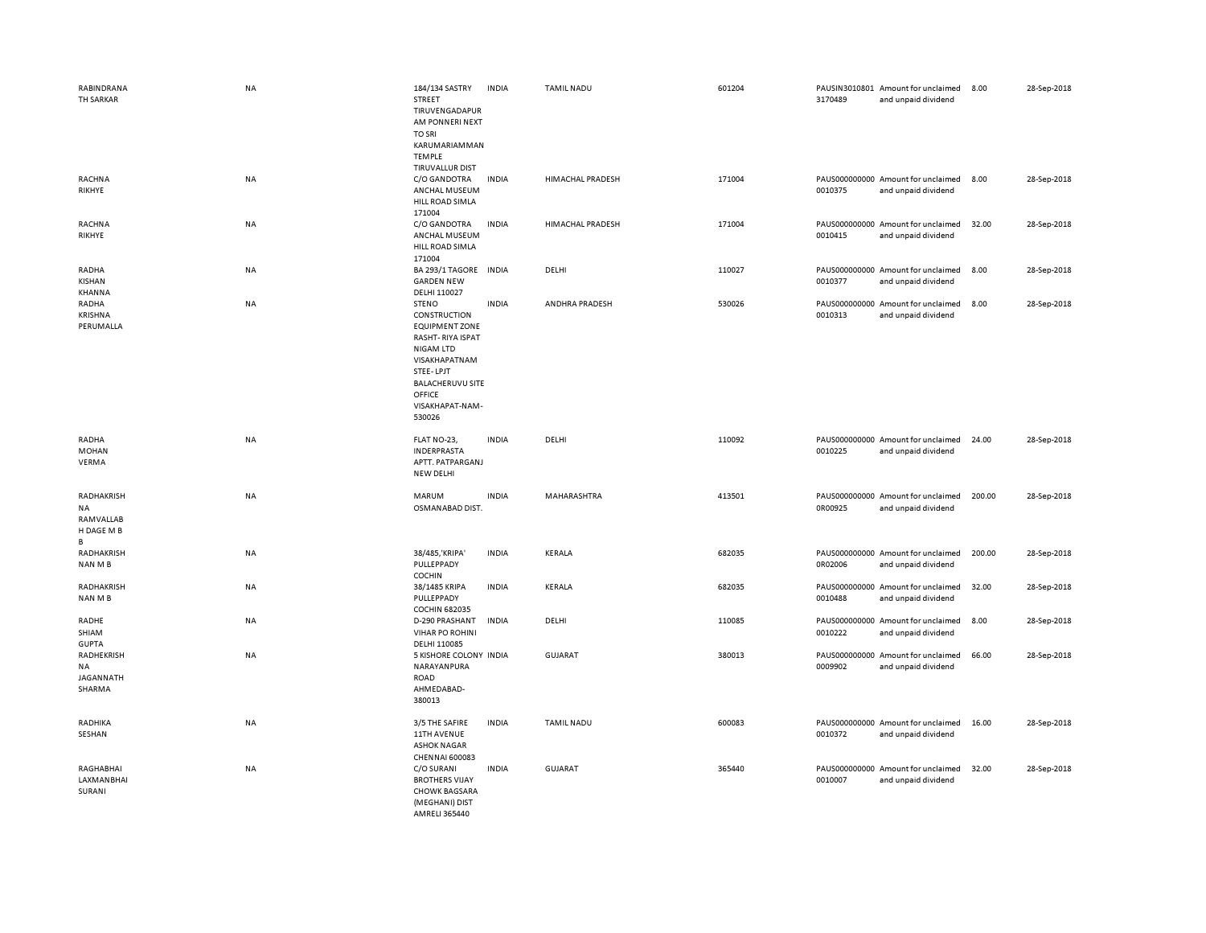| RABINDRANA<br>TH SARKAR                          | NA        | 184/134 SASTRY<br>STREET<br>TIRUVENGADAPUR<br>AM PONNERI NEXT<br><b>TO SRI</b><br>KARUMARIAMMAN<br><b>TEMPLE</b>                                                                              | <b>INDIA</b> | <b>TAMIL NADU</b> | 601204 | 3170489 | PAUSIN3010801 Amount for unclaimed<br>and unpaid dividend | 8.00   | 28-Sep-2018 |
|--------------------------------------------------|-----------|-----------------------------------------------------------------------------------------------------------------------------------------------------------------------------------------------|--------------|-------------------|--------|---------|-----------------------------------------------------------|--------|-------------|
| RACHNA<br>RIKHYE                                 | NA        | TIRUVALLUR DIST<br>C/O GANDOTRA<br>ANCHAL MUSEUM<br>HILL ROAD SIMLA<br>171004                                                                                                                 | <b>INDIA</b> | HIMACHAL PRADESH  | 171004 | 0010375 | PAUS000000000 Amount for unclaimed<br>and unpaid dividend | 8.00   | 28-Sep-2018 |
| <b>RACHNA</b><br>RIKHYE                          | NA        | C/O GANDOTRA<br>ANCHAL MUSEUM<br>HILL ROAD SIMLA<br>171004                                                                                                                                    | <b>INDIA</b> | HIMACHAL PRADESH  | 171004 | 0010415 | PAUS000000000 Amount for unclaimed<br>and unpaid dividend | 32.00  | 28-Sep-2018 |
| RADHA<br>KISHAN<br>KHANNA                        | NA        | BA 293/1 TAGORE IN DIA<br><b>GARDEN NEW</b><br>DELHI 110027                                                                                                                                   |              | DELHI             | 110027 | 0010377 | PAUS000000000 Amount for unclaimed<br>and unpaid dividend | 8.00   | 28-Sep-2018 |
| RADHA<br>KRISHNA<br>PERUMALLA                    | <b>NA</b> | <b>STENO</b><br>CONSTRUCTION<br><b>EQUIPMENT ZONE</b><br>RASHT-RIYA ISPAT<br><b>NIGAM LTD</b><br>VISAKHAPATNAM<br>STEE-LPJT<br><b>BALACHERUVU SITE</b><br>OFFICE<br>VISAKHAPAT-NAM-<br>530026 | <b>INDIA</b> | ANDHRA PRADESH    | 530026 | 0010313 | PAUS000000000 Amount for unclaimed<br>and unpaid dividend | 8.00   | 28-Sep-2018 |
| RADHA<br><b>MOHAN</b><br>VERMA                   | NA        | FLAT NO-23,<br><b>INDERPRASTA</b><br>APTT. PATPARGANJ<br>NEW DELHI                                                                                                                            | <b>INDIA</b> | DELHI             | 110092 | 0010225 | PAUS000000000 Amount for unclaimed<br>and unpaid dividend | 24.00  | 28-Sep-2018 |
| RADHAKRISH<br>NA<br>RAMVALLAB<br>H DAGE M B<br>В | NA        | <b>MARUM</b><br>OSMANABAD DIST.                                                                                                                                                               | <b>INDIA</b> | MAHARASHTRA       | 413501 | 0R00925 | PAUS000000000 Amount for unclaimed<br>and unpaid dividend | 200.00 | 28-Sep-2018 |
| <b>RADHAKRISH</b><br>NAN M B                     | <b>NA</b> | 38/485, 'KRIPA'<br>PULLEPPADY<br>COCHIN                                                                                                                                                       | <b>INDIA</b> | <b>KERALA</b>     | 682035 | 0R02006 | PAUS000000000 Amount for unclaimed<br>and unpaid dividend | 200.00 | 28-Sep-2018 |
| RADHAKRISH<br>NAN M B                            | NA        | 38/1485 KRIPA<br>PULLEPPADY<br><b>COCHIN 682035</b>                                                                                                                                           | <b>INDIA</b> | <b>KERALA</b>     | 682035 | 0010488 | PAUS000000000 Amount for unclaimed<br>and unpaid dividend | 32.00  | 28-Sep-2018 |
| RADHE<br>SHIAM<br><b>GUPTA</b>                   | NA        | D-290 PRASHANT<br><b>VIHAR PO ROHINI</b><br>DELHI 110085                                                                                                                                      | <b>INDIA</b> | DELHI             | 110085 | 0010222 | PAUS000000000 Amount for unclaimed<br>and unpaid dividend | 8.00   | 28-Sep-2018 |
| RADHEKRISH<br>NA<br>JAGANNATH<br>SHARMA          | NA        | 5 KISHORE COLONY INDIA<br>NARAYANPURA<br>ROAD<br>AHMEDABAD-<br>380013                                                                                                                         |              | GUJARAT           | 380013 | 0009902 | PAUS000000000 Amount for unclaimed<br>and unpaid dividend | 66.00  | 28-Sep-2018 |
| RADHIKA<br>SESHAN                                | NA        | 3/5 THE SAFIRE<br>11TH AVENUE<br><b>ASHOK NAGAR</b><br><b>CHENNAI 600083</b>                                                                                                                  | <b>INDIA</b> | <b>TAMIL NADU</b> | 600083 | 0010372 | PAUS000000000 Amount for unclaimed<br>and unpaid dividend | 16.00  | 28-Sep-2018 |
| RAGHABHAI<br>LAXMANBHAI<br>SURANI                | <b>NA</b> | C/O SURANI<br><b>BROTHERS VIJAY</b><br><b>CHOWK BAGSARA</b><br>(MEGHANI) DIST<br>AMRELI 365440                                                                                                | <b>INDIA</b> | <b>GUJARAT</b>    | 365440 | 0010007 | PAUS000000000 Amount for unclaimed<br>and unpaid dividend | 32.00  | 28-Sep-2018 |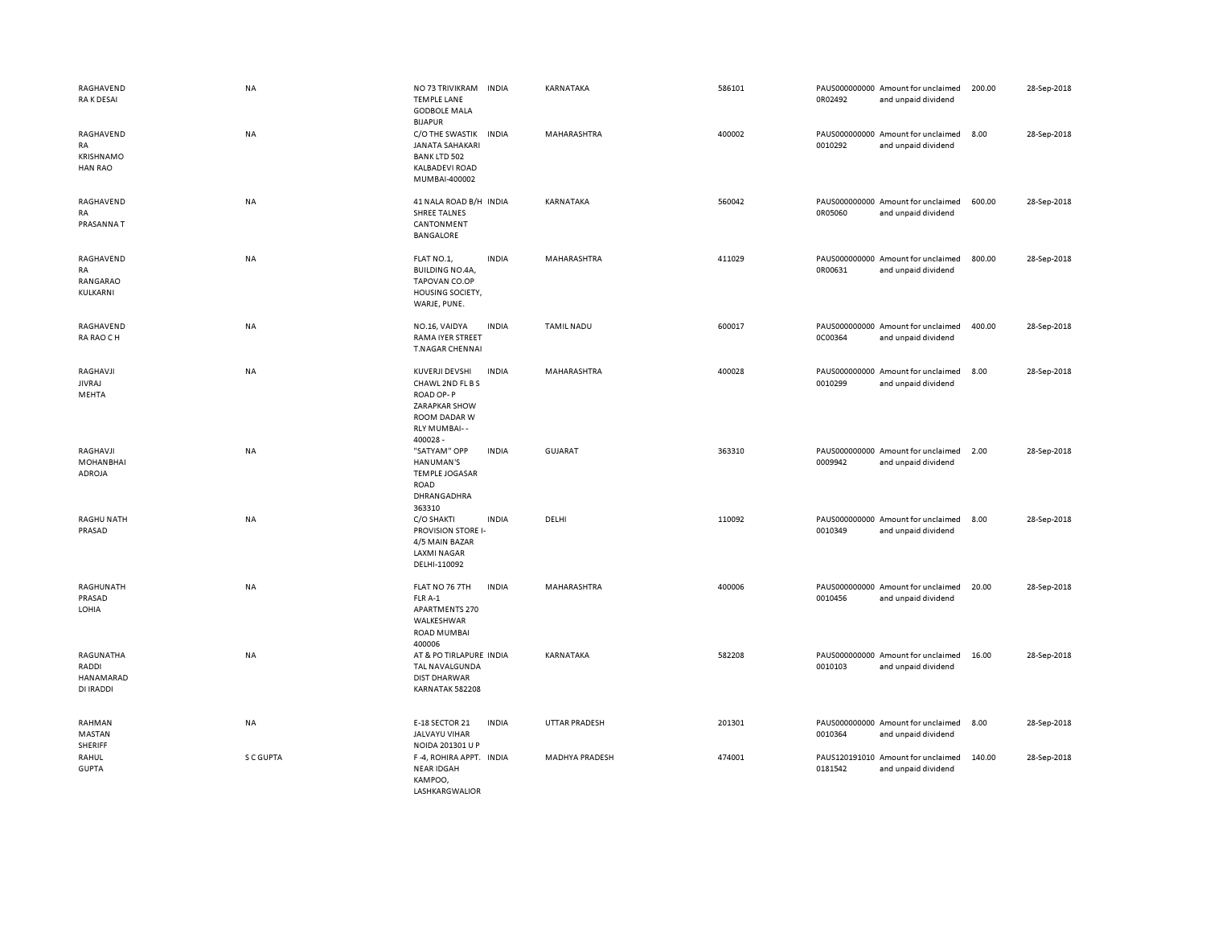| RAGHAVEND<br>RA K DESAI                        | <b>NA</b> | NO 73 TRIVIKRAM<br><b>INDIA</b><br><b>TEMPLE LANE</b><br><b>GODBOLE MALA</b><br><b>BIJAPUR</b>                              | KARNATAKA            | 586101 | 0R02492 | PAUS000000000 Amount for unclaimed<br>and unpaid dividend | 200.00 | 28-Sep-2018 |
|------------------------------------------------|-----------|-----------------------------------------------------------------------------------------------------------------------------|----------------------|--------|---------|-----------------------------------------------------------|--------|-------------|
| RAGHAVEND<br>RA<br>KRISHNAMO<br><b>HAN RAO</b> | NA        | C/O THE SWASTIK<br><b>INDIA</b><br><b>JANATA SAHAKARI</b><br><b>BANK LTD 502</b><br><b>KALBADEVI ROAD</b><br>MUMBAI-400002  | MAHARASHTRA          | 400002 | 0010292 | PAUS000000000 Amount for unclaimed<br>and unpaid dividend | 8.00   | 28-Sep-2018 |
| RAGHAVEND<br>RA<br>PRASANNAT                   | <b>NA</b> | 41 NALA ROAD B/H INDIA<br><b>SHREE TALNES</b><br>CANTONMENT<br><b>BANGALORE</b>                                             | KARNATAKA            | 560042 | 0R05060 | PAUS000000000 Amount for unclaimed<br>and unpaid dividend | 600.00 | 28-Sep-2018 |
| RAGHAVEND<br><b>RA</b><br>RANGARAO<br>KULKARNI | NA        | <b>INDIA</b><br>FLAT NO.1,<br><b>BUILDING NO.4A,</b><br>TAPOVAN CO.OP<br>HOUSING SOCIETY,<br>WARJE, PUNE.                   | MAHARASHTRA          | 411029 | 0R00631 | PAUS000000000 Amount for unclaimed<br>and unpaid dividend | 800.00 | 28-Sep-2018 |
| RAGHAVEND<br>RA RAO CH                         | <b>NA</b> | <b>INDIA</b><br>NO.16, VAIDYA<br><b>RAMA IYER STREET</b><br>T.NAGAR CHENNAI                                                 | <b>TAMIL NADU</b>    | 600017 | 0C00364 | PAUS000000000 Amount for unclaimed<br>and unpaid dividend | 400.00 | 28-Sep-2018 |
| RAGHAVJI<br><b>JIVRAJ</b><br>MEHTA             | <b>NA</b> | KUVERJI DEVSHI<br><b>INDIA</b><br>CHAWL 2ND FL B S<br>ROAD OP-P<br>ZARAPKAR SHOW<br>ROOM DADAR W<br>RLY MUMBAI--<br>400028- | <b>MAHARASHTRA</b>   | 400028 | 0010299 | PAUS000000000 Amount for unclaimed<br>and unpaid dividend | 8.00   | 28-Sep-2018 |
| RAGHAVJI<br><b>MOHANBHAI</b><br>ADROJA         | NA        | "SATYAM" OPP<br><b>INDIA</b><br>HANUMAN'S<br><b>TEMPLE JOGASAR</b><br>ROAD<br>DHRANGADHRA<br>363310                         | <b>GUJARAT</b>       | 363310 | 0009942 | PAUS000000000 Amount for unclaimed<br>and unpaid dividend | 2.00   | 28-Sep-2018 |
| <b>RAGHU NATH</b><br>PRASAD                    | NA        | <b>INDIA</b><br>C/O SHAKTI<br><b>PROVISION STORE I-</b><br>4/5 MAIN BAZAR<br><b>LAXMI NAGAR</b><br>DELHI-110092             | DELHI                | 110092 | 0010349 | PAUS000000000 Amount for unclaimed<br>and unpaid dividend | 8.00   | 28-Sep-2018 |
| RAGHUNATH<br>PRASAD<br>LOHIA                   | NA        | FLAT NO 76 7TH<br><b>INDIA</b><br>FLR A-1<br><b>APARTMENTS 270</b><br>WALKESHWAR<br><b>ROAD MUMBAI</b><br>400006            | <b>MAHARASHTRA</b>   | 400006 | 0010456 | PAUS000000000 Amount for unclaimed<br>and unpaid dividend | 20.00  | 28-Sep-2018 |
| RAGUNATHA<br>RADDI<br>HANAMARAD<br>DI IRADDI   | NA        | AT & PO TIRLAPURE INDIA<br>TAL NAVALGUNDA<br><b>DIST DHARWAR</b><br>KARNATAK 582208                                         | KARNATAKA            | 582208 | 0010103 | PAUS000000000 Amount for unclaimed<br>and unpaid dividend | 16.00  | 28-Sep-2018 |
| RAHMAN<br>MASTAN<br>SHERIFF                    | NA        | E-18 SECTOR 21<br><b>INDIA</b><br><b>JALVAYU VIHAR</b><br>NOIDA 201301 U P                                                  | <b>UTTAR PRADESH</b> | 201301 | 0010364 | PAUS000000000 Amount for unclaimed<br>and unpaid dividend | 8.00   | 28-Sep-2018 |
| RAHUL<br><b>GUPTA</b>                          | S C GUPTA | F-4, ROHIRA APPT. INDIA<br><b>NEAR IDGAH</b><br>KAMPOO,<br><b>LASHKARGWALIOR</b>                                            | MADHYA PRADESH       | 474001 | 0181542 | PAUS120191010 Amount for unclaimed<br>and unpaid dividend | 140.00 | 28-Sep-2018 |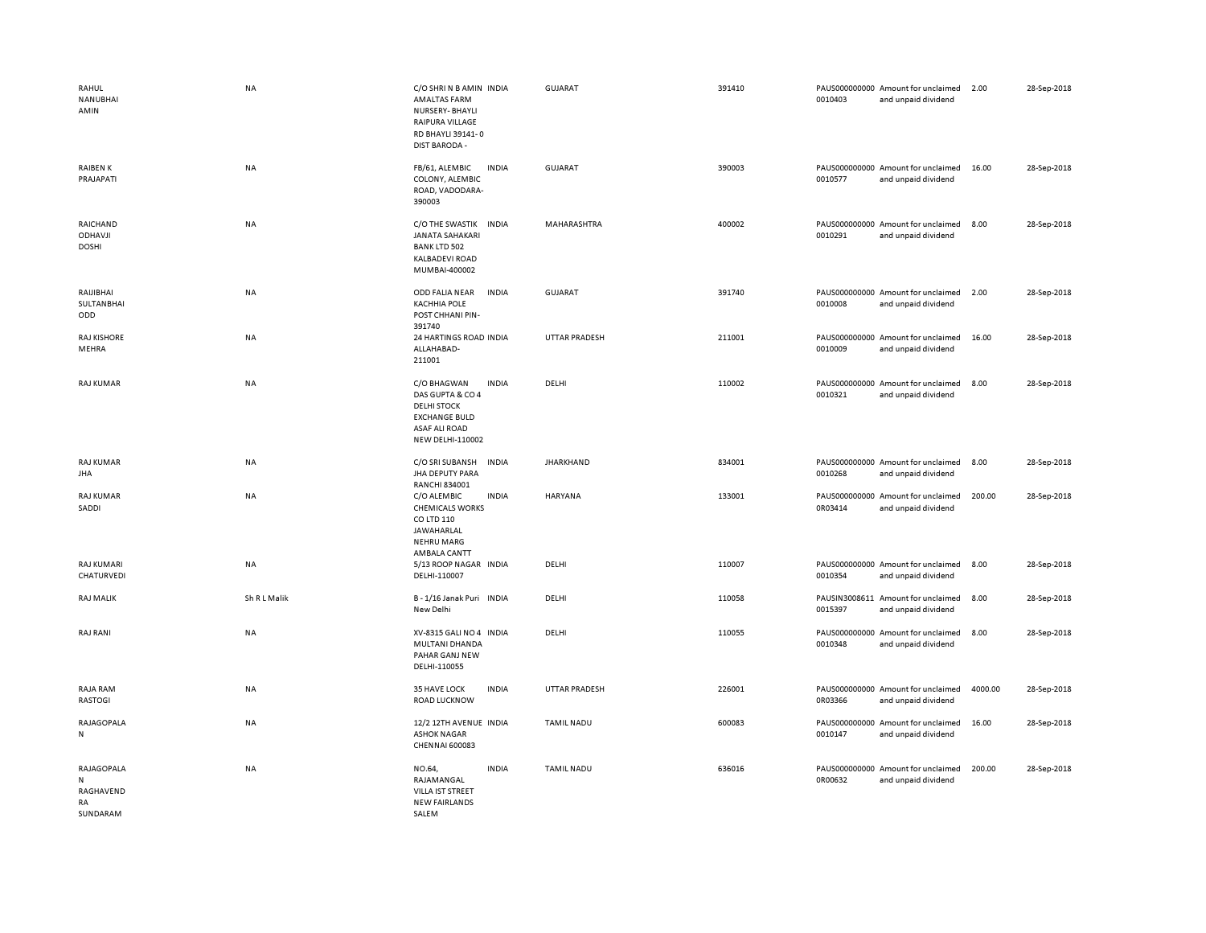| RAHUL<br>NANUBHAI<br>AMIN                             | <b>NA</b>    | C/O SHRI N B AMIN INDIA<br><b>AMALTAS FARM</b><br>NURSERY-BHAYLI<br>RAIPURA VILLAGE<br>RD BHAYLI 39141-0<br><b>DIST BARODA -</b>                 | <b>GUJARAT</b>    | 391410 | 0010403 | PAUS000000000 Amount for unclaimed<br>and unpaid dividend | 2.00    | 28-Sep-2018 |
|-------------------------------------------------------|--------------|--------------------------------------------------------------------------------------------------------------------------------------------------|-------------------|--------|---------|-----------------------------------------------------------|---------|-------------|
| <b>RAIBEN K</b><br>PRAJAPATI                          | <b>NA</b>    | FB/61, ALEMBIC<br><b>INDIA</b><br>COLONY, ALEMBIC<br>ROAD, VADODARA-<br>390003                                                                   | <b>GUJARAT</b>    | 390003 | 0010577 | PAUS000000000 Amount for unclaimed<br>and unpaid dividend | 16.00   | 28-Sep-2018 |
| RAICHAND<br><b>ODHAVJI</b><br><b>DOSHI</b>            | NA           | C/O THE SWASTIK INDIA<br><b>JANATA SAHAKARI</b><br><b>BANK LTD 502</b><br>KALBADEVI ROAD<br>MUMBAI-400002                                        | MAHARASHTRA       | 400002 | 0010291 | PAUS000000000 Amount for unclaimed<br>and unpaid dividend | 8.00    | 28-Sep-2018 |
| RAIJIBHAI<br><b>SULTANBHAI</b><br>ODD                 | <b>NA</b>    | ODD FALIA NEAR<br><b>INDIA</b><br><b>KACHHIA POLE</b><br>POST CHHANI PIN-<br>391740                                                              | GUJARAT           | 391740 | 0010008 | PAUS000000000 Amount for unclaimed<br>and unpaid dividend | 2.00    | 28-Sep-2018 |
| <b>RAJ KISHORE</b><br>MEHRA                           | NA           | 24 HARTINGS ROAD INDIA<br>ALLAHABAD-<br>211001                                                                                                   | UTTAR PRADESH     | 211001 | 0010009 | PAUS000000000 Amount for unclaimed<br>and unpaid dividend | 16.00   | 28-Sep-2018 |
| <b>RAJ KUMAR</b>                                      | <b>NA</b>    | C/O BHAGWAN<br><b>INDIA</b><br>DAS GUPTA & CO 4<br><b>DELHI STOCK</b><br><b>EXCHANGE BULD</b><br><b>ASAF ALI ROAD</b><br><b>NEW DELHI-110002</b> | DELHI             | 110002 | 0010321 | PAUS000000000 Amount for unclaimed<br>and unpaid dividend | 8.00    | 28-Sep-2018 |
| <b>RAJ KUMAR</b><br><b>JHA</b>                        | <b>NA</b>    | C/O SRI SUBANSH<br><b>INDIA</b><br><b>JHA DEPUTY PARA</b><br>RANCHI 834001                                                                       | <b>JHARKHAND</b>  | 834001 | 0010268 | PAUS000000000 Amount for unclaimed<br>and unpaid dividend | 8.00    | 28-Sep-2018 |
| <b>RAJ KUMAR</b><br>SADDI                             | NA           | C/O ALEMBIC<br><b>INDIA</b><br><b>CHEMICALS WORKS</b><br>CO LTD 110<br>JAWAHARLAL<br><b>NEHRU MARG</b><br>AMBALA CANTT                           | HARYANA           | 133001 | 0R03414 | PAUS000000000 Amount for unclaimed<br>and unpaid dividend | 200.00  | 28-Sep-2018 |
| <b>RAJ KUMARI</b><br>CHATURVEDI                       | NA           | 5/13 ROOP NAGAR INDIA<br>DELHI-110007                                                                                                            | DELHI             | 110007 | 0010354 | PAUS000000000 Amount for unclaimed<br>and unpaid dividend | 8.00    | 28-Sep-2018 |
| <b>RAJ MALIK</b>                                      | Sh R L Malik | B-1/16 Janak Puri INDIA<br>New Delhi                                                                                                             | DELHI             | 110058 | 0015397 | PAUSIN3008611 Amount for unclaimed<br>and unpaid dividend | 8.00    | 28-Sep-2018 |
| RAJ RANI                                              | NA           | XV-8315 GALI NO 4 INDIA<br>MULTANI DHANDA<br>PAHAR GANJ NEW<br>DELHI-110055                                                                      | DELHI             | 110055 | 0010348 | PAUS000000000 Amount for unclaimed<br>and unpaid dividend | 8.00    | 28-Sep-2018 |
| RAJA RAM<br>RASTOGI                                   | NA           | 35 HAVE LOCK<br><b>INDIA</b><br><b>ROAD LUCKNOW</b>                                                                                              | UTTAR PRADESH     | 226001 | 0R03366 | PAUS000000000 Amount for unclaimed<br>and unpaid dividend | 4000.00 | 28-Sep-2018 |
| RAJAGOPALA<br>N                                       | NA           | 12/2 12TH AVENUE INDIA<br><b>ASHOK NAGAR</b><br><b>CHENNAI 600083</b>                                                                            | <b>TAMIL NADU</b> | 600083 | 0010147 | PAUS000000000 Amount for unclaimed<br>and unpaid dividend | 16.00   | 28-Sep-2018 |
| RAJAGOPALA<br>N<br>RAGHAVEND<br><b>RA</b><br>SUNDARAM | NA           | <b>INDIA</b><br>NO.64,<br>RAJAMANGAL<br>VILLA IST STREET<br><b>NEW FAIRLANDS</b><br>SALEM                                                        | <b>TAMIL NADU</b> | 636016 | 0R00632 | PAUS000000000 Amount for unclaimed<br>and unpaid dividend | 200.00  | 28-Sep-2018 |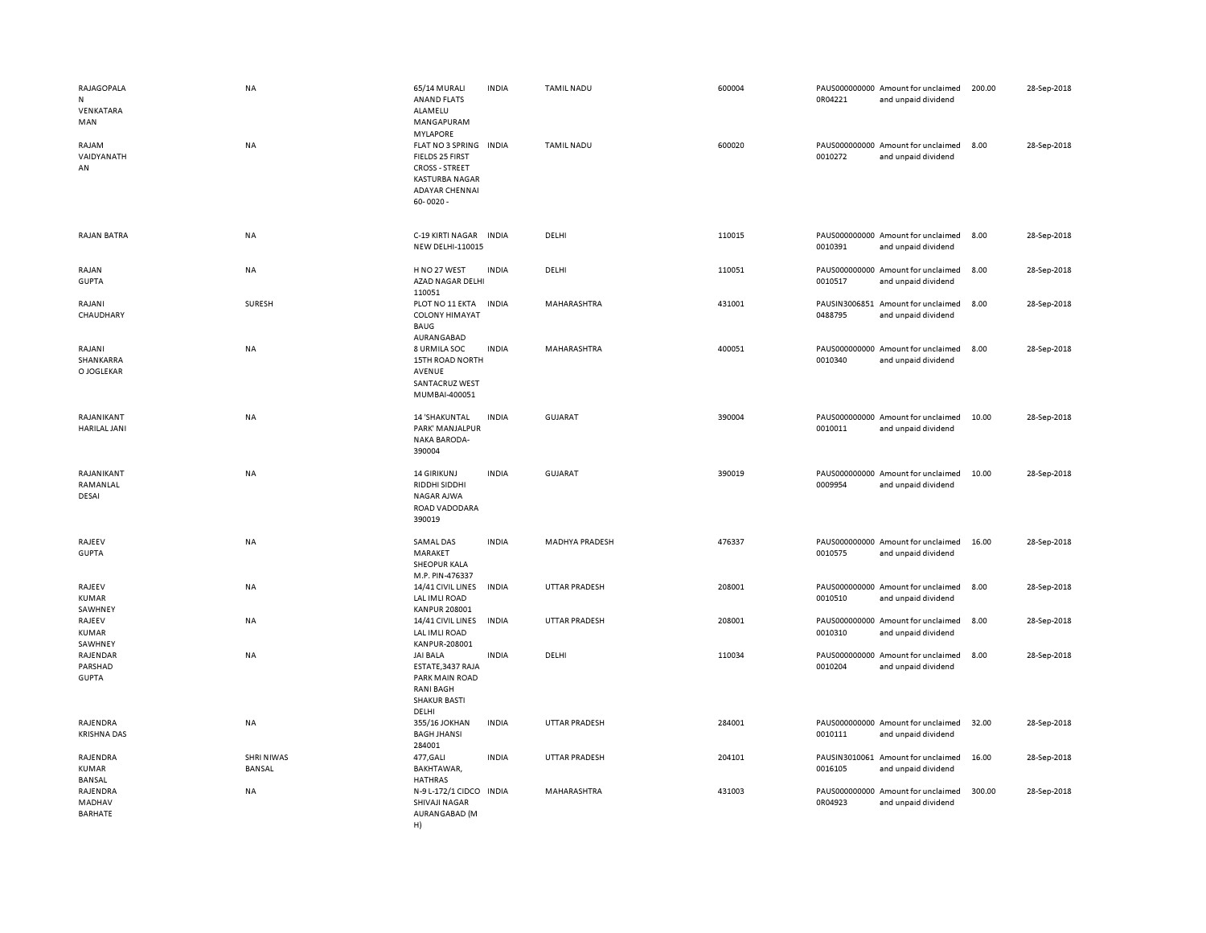| RAJAGOPALA<br>N<br>VENKATARA<br>MAN<br>RAJAM<br>VAIDYANATH<br>AN | <b>NA</b><br><b>NA</b>      | 65/14 MURALI<br><b>ANAND FLATS</b><br>ALAMELU<br>MANGAPURAM<br><b>MYLAPORE</b><br>FLAT NO 3 SPRING INDIA<br>FIELDS 25 FIRST<br><b>CROSS - STREET</b><br><b>KASTURBA NAGAR</b><br><b>ADAYAR CHENNAL</b><br>$60 - 0020 -$ | <b>INDIA</b> | <b>TAMIL NADU</b><br><b>TAMIL NADU</b> | 600004<br>600020 | 0R04221<br>0010272 | PAUS000000000 Amount for unclaimed<br>and unpaid dividend<br>PAUS000000000 Amount for unclaimed<br>and unpaid dividend | 200.00<br>8.00 | 28-Sep-2018<br>28-Sep-2018 |
|------------------------------------------------------------------|-----------------------------|-------------------------------------------------------------------------------------------------------------------------------------------------------------------------------------------------------------------------|--------------|----------------------------------------|------------------|--------------------|------------------------------------------------------------------------------------------------------------------------|----------------|----------------------------|
| <b>RAJAN BATRA</b>                                               | NA                          | C-19 KIRTI NAGAR INDIA<br><b>NEW DELHI-110015</b>                                                                                                                                                                       |              | DELHI                                  | 110015           | 0010391            | PAUS000000000 Amount for unclaimed<br>and unpaid dividend                                                              | 8.00           | 28-Sep-2018                |
| RAJAN<br><b>GUPTA</b>                                            | NA                          | H NO 27 WEST<br>AZAD NAGAR DELHI<br>110051                                                                                                                                                                              | <b>INDIA</b> | DELHI                                  | 110051           | 0010517            | PAUS000000000 Amount for unclaimed<br>and unpaid dividend                                                              | 8.00           | 28-Sep-2018                |
| RAJANI<br>CHAUDHARY                                              | SURESH                      | PLOT NO 11 EKTA<br><b>COLONY HIMAYAT</b><br><b>BAUG</b>                                                                                                                                                                 | <b>INDIA</b> | MAHARASHTRA                            | 431001           | 0488795            | PAUSIN3006851 Amount for unclaimed<br>and unpaid dividend                                                              | 8.00           | 28-Sep-2018                |
| RAJANI<br>SHANKARRA<br>O JOGLEKAR                                | <b>NA</b>                   | AURANGABAD<br>8 URMILA SOC<br>15TH ROAD NORTH<br>AVENUE<br>SANTACRUZ WEST<br>MUMBAI-400051                                                                                                                              | <b>INDIA</b> | MAHARASHTRA                            | 400051           | 0010340            | PAUS000000000 Amount for unclaimed<br>and unpaid dividend                                                              | 8.00           | 28-Sep-2018                |
| RAJANIKANT<br>HARILAL JANI                                       | NA                          | 14 'SHAKUNTAL<br>PARK' MANJALPUR<br><b>NAKA BARODA-</b><br>390004                                                                                                                                                       | <b>INDIA</b> | <b>GUJARAT</b>                         | 390004           | 0010011            | PAUS000000000 Amount for unclaimed<br>and unpaid dividend                                                              | 10.00          | 28-Sep-2018                |
| RAJANIKANT<br>RAMANLAL<br>DESAI                                  | <b>NA</b>                   | <b>14 GIRIKUNJ</b><br>RIDDHI SIDDHI<br>NAGAR AJWA<br>ROAD VADODARA<br>390019                                                                                                                                            | <b>INDIA</b> | <b>GUJARAT</b>                         | 390019           | 0009954            | PAUS000000000 Amount for unclaimed<br>and unpaid dividend                                                              | 10.00          | 28-Sep-2018                |
| RAJEEV<br><b>GUPTA</b>                                           | NA                          | <b>SAMAL DAS</b><br>MARAKET<br>SHEOPUR KALA<br>M.P. PIN-476337                                                                                                                                                          | <b>INDIA</b> | <b>MADHYA PRADESH</b>                  | 476337           | 0010575            | PAUS000000000 Amount for unclaimed<br>and unpaid dividend                                                              | 16.00          | 28-Sep-2018                |
| RAJEEV<br>KUMAR<br>SAWHNEY                                       | NA                          | 14/41 CIVIL LINES<br>LAL IMLI ROAD<br><b>KANPUR 208001</b>                                                                                                                                                              | <b>INDIA</b> | UTTAR PRADESH                          | 208001           | 0010510            | PAUS000000000 Amount for unclaimed<br>and unpaid dividend                                                              | 8.00           | 28-Sep-2018                |
| RAJEEV<br>KUMAR<br>SAWHNEY                                       | NA                          | 14/41 CIVIL LINES<br>LAL IMLI ROAD<br>KANPUR-208001                                                                                                                                                                     | <b>INDIA</b> | <b>UTTAR PRADESH</b>                   | 208001           | 0010310            | PAUS000000000 Amount for unclaimed<br>and unpaid dividend                                                              | 8.00           | 28-Sep-2018                |
| RAJENDAR<br>PARSHAD<br><b>GUPTA</b>                              | <b>NA</b>                   | <b>JAI BALA</b><br>ESTATE, 3437 RAJA<br>PARK MAIN ROAD<br>RANI BAGH<br><b>SHAKUR BASTI</b><br>DELHI                                                                                                                     | <b>INDIA</b> | DELHI                                  | 110034           | 0010204            | PAUS000000000 Amount for unclaimed<br>and unpaid dividend                                                              | 8.00           | 28-Sep-2018                |
| RAJENDRA<br><b>KRISHNA DAS</b>                                   | NA                          | 355/16 JOKHAN<br><b>BAGH JHANSI</b><br>284001                                                                                                                                                                           | <b>INDIA</b> | UTTAR PRADESH                          | 284001           | 0010111            | PAUS000000000 Amount for unclaimed<br>and unpaid dividend                                                              | 32.00          | 28-Sep-2018                |
| RAJENDRA<br>KUMAR<br>BANSAL                                      | <b>SHRI NIWAS</b><br>BANSAL | 477, GALI<br>BAKHTAWAR,<br><b>HATHRAS</b>                                                                                                                                                                               | <b>INDIA</b> | <b>UTTAR PRADESH</b>                   | 204101           | 0016105            | PAUSIN3010061 Amount for unclaimed<br>and unpaid dividend                                                              | 16.00          | 28-Sep-2018                |
| RAJENDRA<br>MADHAV<br><b>BARHATE</b>                             | <b>NA</b>                   | N-9 L-172/1 CIDCO INDIA<br>SHIVAJI NAGAR<br>AURANGABAD (M<br>H)                                                                                                                                                         |              | MAHARASHTRA                            | 431003           | 0R04923            | PAUS000000000 Amount for unclaimed<br>and unpaid dividend                                                              | 300.00         | 28-Sep-2018                |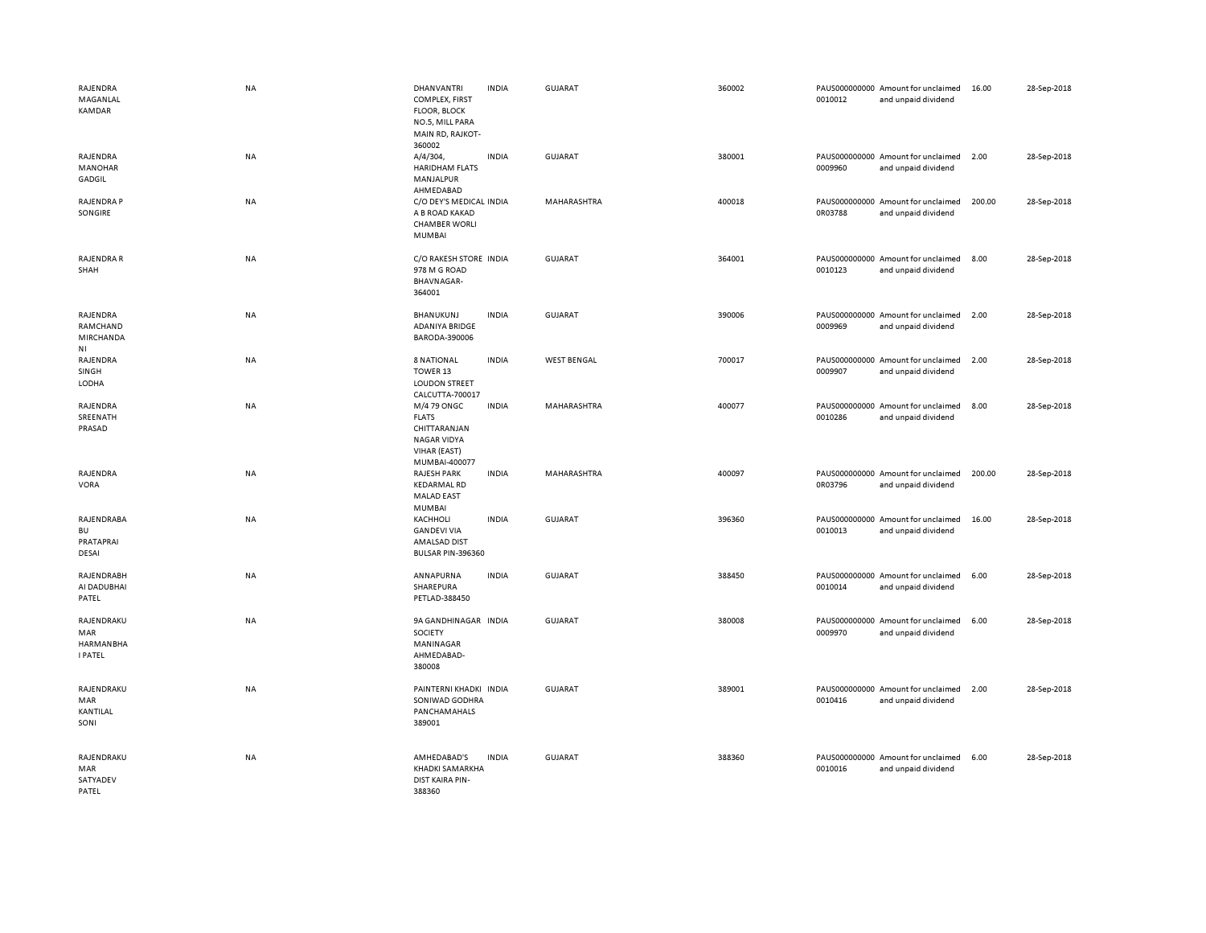| RAJENDRA<br>MAGANLAL<br><b>KAMDAR</b>                   | <b>NA</b> | <b>DHANVANTRI</b><br>COMPLEX, FIRST<br><b>FLOOR, BLOCK</b><br>NO.5, MILL PARA<br>MAIN RD, RAJKOT-<br>360002 | <b>INDIA</b> | <b>GUJARAT</b>     | 360002 | 0010012 | PAUS000000000 Amount for unclaimed<br>and unpaid dividend | 16.00  | 28-Sep-2018 |
|---------------------------------------------------------|-----------|-------------------------------------------------------------------------------------------------------------|--------------|--------------------|--------|---------|-----------------------------------------------------------|--------|-------------|
| RAJENDRA<br><b>MANOHAR</b><br>GADGIL                    | NA        | A/4/304,<br><b>HARIDHAM FLATS</b><br>MANJALPUR<br>AHMEDABAD                                                 | <b>INDIA</b> | <b>GUJARAT</b>     | 380001 | 0009960 | PAUS000000000 Amount for unclaimed<br>and unpaid dividend | 2.00   | 28-Sep-2018 |
| RAJENDRA P<br>SONGIRE                                   | <b>NA</b> | C/O DEY'S MEDICAL INDIA<br>A B ROAD KAKAD<br><b>CHAMBER WORLI</b><br><b>MUMBAI</b>                          |              | MAHARASHTRA        | 400018 | 0R03788 | PAUS000000000 Amount for unclaimed<br>and unpaid dividend | 200.00 | 28-Sep-2018 |
| RAJENDRA R<br>SHAH                                      | <b>NA</b> | C/O RAKESH STORE INDIA<br>978 M G ROAD<br><b>BHAVNAGAR-</b><br>364001                                       |              | GUJARAT            | 364001 | 0010123 | PAUS000000000 Amount for unclaimed<br>and unpaid dividend | 8.00   | 28-Sep-2018 |
| RAJENDRA<br>RAMCHAND<br>MIRCHANDA<br>NI                 | <b>NA</b> | BHANUKUNJ<br>ADANIYA BRIDGE<br>BARODA-390006                                                                | <b>INDIA</b> | <b>GUJARAT</b>     | 390006 | 0009969 | PAUS000000000 Amount for unclaimed<br>and unpaid dividend | 2.00   | 28-Sep-2018 |
| RAJENDRA<br>SINGH<br>LODHA                              | <b>NA</b> | 8 NATIONAL<br>TOWER 13<br><b>LOUDON STREET</b><br>CALCUTTA-700017                                           | <b>INDIA</b> | <b>WEST BENGAL</b> | 700017 | 0009907 | PAUS000000000 Amount for unclaimed<br>and unpaid dividend | 2.00   | 28-Sep-2018 |
| RAJENDRA<br>SREENATH<br>PRASAD                          | NA        | M/4 79 ONGC<br><b>FLATS</b><br>CHITTARANJAN<br>NAGAR VIDYA<br>VIHAR (EAST)<br>MUMBAI-400077                 | <b>INDIA</b> | MAHARASHTRA        | 400077 | 0010286 | PAUS000000000 Amount for unclaimed<br>and unpaid dividend | 8.00   | 28-Sep-2018 |
| RAJENDRA<br><b>VORA</b>                                 | <b>NA</b> | <b>RAJESH PARK</b><br><b>KEDARMAL RD</b><br><b>MALAD EAST</b><br>MUMBAI                                     | <b>INDIA</b> | MAHARASHTRA        | 400097 | 0R03796 | PAUS000000000 Amount for unclaimed<br>and unpaid dividend | 200.00 | 28-Sep-2018 |
| RAJENDRABA<br><b>BU</b><br>PRATAPRAI<br>DESAI           | NA        | KACHHOLI<br><b>GANDEVI VIA</b><br>AMALSAD DIST<br>BULSAR PIN-396360                                         | <b>INDIA</b> | GUJARAT            | 396360 | 0010013 | PAUS000000000 Amount for unclaimed<br>and unpaid dividend | 16.00  | 28-Sep-2018 |
| RAJENDRABH<br>AI DADUBHAI<br>PATEL                      | <b>NA</b> | ANNAPURNA<br>SHAREPURA<br>PETLAD-388450                                                                     | <b>INDIA</b> | GUJARAT            | 388450 | 0010014 | PAUS000000000 Amount for unclaimed<br>and unpaid dividend | 6.00   | 28-Sep-2018 |
| RAJENDRAKU<br>MAR<br><b>HARMANBHA</b><br><b>I PATEL</b> | NA        | 9A GANDHINAGAR INDIA<br><b>SOCIETY</b><br>MANINAGAR<br>AHMEDABAD-<br>380008                                 |              | GUJARAT            | 380008 | 0009970 | PAUS000000000 Amount for unclaimed<br>and unpaid dividend | 6.00   | 28-Sep-2018 |
| RAJENDRAKU<br>MAR<br>KANTILAL<br>SONI                   | <b>NA</b> | PAINTERNI KHADKI INDIA<br>SONIWAD GODHRA<br>PANCHAMAHALS<br>389001                                          |              | <b>GUJARAT</b>     | 389001 | 0010416 | PAUS000000000 Amount for unclaimed<br>and unpaid dividend | 2.00   | 28-Sep-2018 |
| RAJENDRAKU<br>MAR<br>SATYADEV<br>PATFI                  | NA        | AMHEDABAD'S<br>KHADKI SAMARKHA<br><b>DIST KAIRA PIN-</b><br>388360                                          | <b>INDIA</b> | <b>GUJARAT</b>     | 388360 | 0010016 | PAUS000000000 Amount for unclaimed<br>and unpaid dividend | 6.00   | 28-Sep-2018 |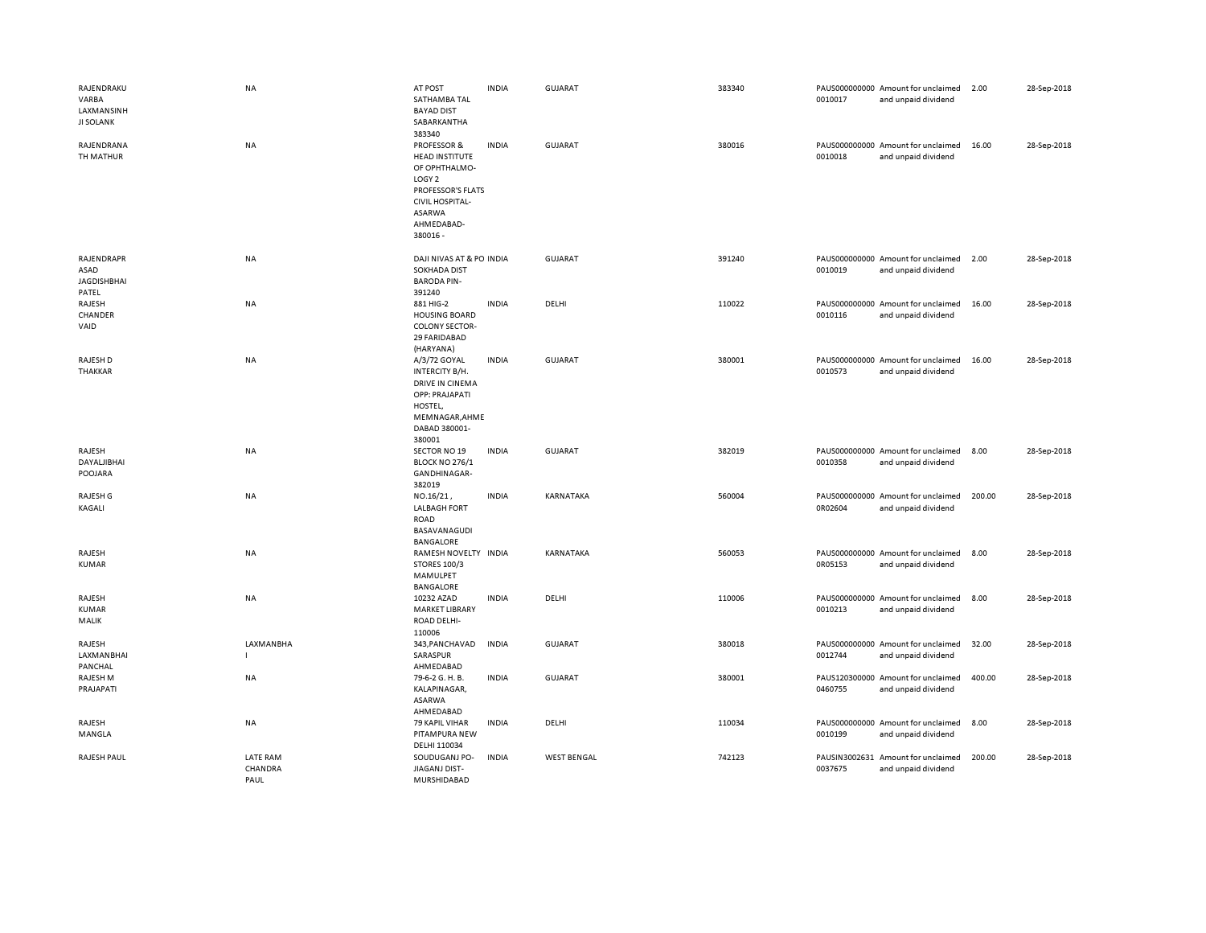| RAJENDRAKU<br>VARBA<br>LAXMANSINH<br><b>JI SOLANK</b> | NA                                 | AT POST<br>SATHAMBA TAL<br><b>BAYAD DIST</b><br>SABARKANTHA<br>383340                                                                                         | <b>INDIA</b> | <b>GUJARAT</b>     | 383340 | 0010017                  | PAUS000000000 Amount for unclaimed<br>and unpaid dividend | 2.00   | 28-Sep-2018 |
|-------------------------------------------------------|------------------------------------|---------------------------------------------------------------------------------------------------------------------------------------------------------------|--------------|--------------------|--------|--------------------------|-----------------------------------------------------------|--------|-------------|
| RAJENDRANA<br>TH MATHUR                               | <b>NA</b>                          | PROFESSOR &<br><b>HEAD INSTITUTE</b><br>OF OPHTHALMO-<br>LOGY <sub>2</sub><br>PROFESSOR'S FLATS<br><b>CIVIL HOSPITAL-</b><br>ASARWA<br>AHMEDABAD-<br>380016 - | <b>INDIA</b> | GUJARAT            | 380016 | 0010018                  | PAUS000000000 Amount for unclaimed<br>and unpaid dividend | 16.00  | 28-Sep-2018 |
| RAJENDRAPR<br>ASAD<br><b>JAGDISHBHAI</b><br>PATEL     | NA                                 | DAJI NIVAS AT & PO INDIA<br><b>SOKHADA DIST</b><br><b>BARODA PIN-</b><br>391240                                                                               |              | GUJARAT            | 391240 | 0010019                  | PAUS000000000 Amount for unclaimed<br>and unpaid dividend | 2.00   | 28-Sep-2018 |
| RAJESH<br>CHANDER<br>VAID                             | <b>NA</b>                          | 881 HIG-2<br><b>HOUSING BOARD</b><br><b>COLONY SECTOR-</b><br>29 FARIDABAD<br>(HARYANA)                                                                       | <b>INDIA</b> | DELHI              | 110022 | 0010116                  | PAUS000000000 Amount for unclaimed<br>and unpaid dividend | 16.00  | 28-Sep-2018 |
| RAJESH D<br>THAKKAR                                   | NA                                 | A/3/72 GOYAL<br>INTERCITY B/H.<br><b>DRIVE IN CINEMA</b><br>OPP: PRAJAPATI<br>HOSTEL,<br>MEMNAGAR, AHME<br>DABAD 380001-<br>380001                            | <b>INDIA</b> | <b>GUJARAT</b>     | 380001 | 0010573                  | PAUS000000000 Amount for unclaimed<br>and unpaid dividend | 16.00  | 28-Sep-2018 |
| RAJESH<br>DAYALJIBHAI<br>POOJARA                      | <b>NA</b>                          | <b>SECTOR NO 19</b><br>BLOCK NO 276/1<br>GANDHINAGAR-<br>382019                                                                                               | <b>INDIA</b> | <b>GUJARAT</b>     | 382019 | 0010358                  | PAUS000000000 Amount for unclaimed<br>and unpaid dividend | 8.00   | 28-Sep-2018 |
| RAJESH G<br>KAGALI                                    | NA                                 | NO.16/21,<br><b>LALBAGH FORT</b><br>ROAD<br>BASAVANAGUDI<br><b>BANGALORE</b>                                                                                  | <b>INDIA</b> | KARNATAKA          | 560004 | 0R02604                  | PAUS000000000 Amount for unclaimed<br>and unpaid dividend | 200.00 | 28-Sep-2018 |
| RAJESH<br><b>KUMAR</b>                                | NA                                 | RAMESH NOVELTY INDIA<br><b>STORES 100/3</b><br>MAMULPET<br><b>BANGALORE</b>                                                                                   |              | KARNATAKA          | 560053 | 0R05153                  | PAUS000000000 Amount for unclaimed<br>and unpaid dividend | 8.00   | 28-Sep-2018 |
| RAJESH<br><b>KUMAR</b><br>MALIK                       | NA                                 | 10232 AZAD<br><b>MARKET LIBRARY</b><br>ROAD DELHI-<br>110006                                                                                                  | <b>INDIA</b> | DELHI              | 110006 | 0010213                  | PAUS000000000 Amount for unclaimed<br>and unpaid dividend | 8.00   | 28-Sep-2018 |
| RAJESH<br>LAXMANBHAI<br>PANCHAL                       | <b>LAXMANBHA</b><br>-1             | 343, PANCHAVAD<br>SARASPUR<br>AHMEDABAD                                                                                                                       | <b>INDIA</b> | <b>GUJARAT</b>     | 380018 | 0012744                  | PAUS000000000 Amount for unclaimed<br>and unpaid dividend | 32.00  | 28-Sep-2018 |
| RAJESH M<br>PRAJAPATI                                 | <b>NA</b>                          | 79-6-2 G. H. B.<br>KALAPINAGAR,<br>ASARWA<br>AHMEDABAD                                                                                                        | <b>INDIA</b> | <b>GUJARAT</b>     | 380001 | 0460755                  | PAUS120300000 Amount for unclaimed<br>and unpaid dividend | 400.00 | 28-Sep-2018 |
| RAJESH<br>MANGLA                                      | <b>NA</b>                          | 79 KAPIL VIHAR<br>PITAMPURA NEW<br>DELHI 110034                                                                                                               | <b>INDIA</b> | DELHI              | 110034 | 0010199                  | PAUS000000000 Amount for unclaimed<br>and unpaid dividend | 8.00   | 28-Sep-2018 |
| <b>RAJESH PAUL</b>                                    | <b>LATE RAM</b><br>CHANDRA<br>PAUL | SOUDUGANJ PO-<br>JIAGANJ DIST-<br>MURSHIDABAD                                                                                                                 | <b>INDIA</b> | <b>WEST BENGAL</b> | 742123 | PAUSIN3002631<br>0037675 | Amount for unclaimed<br>and unpaid dividend               | 200.00 | 28-Sep-2018 |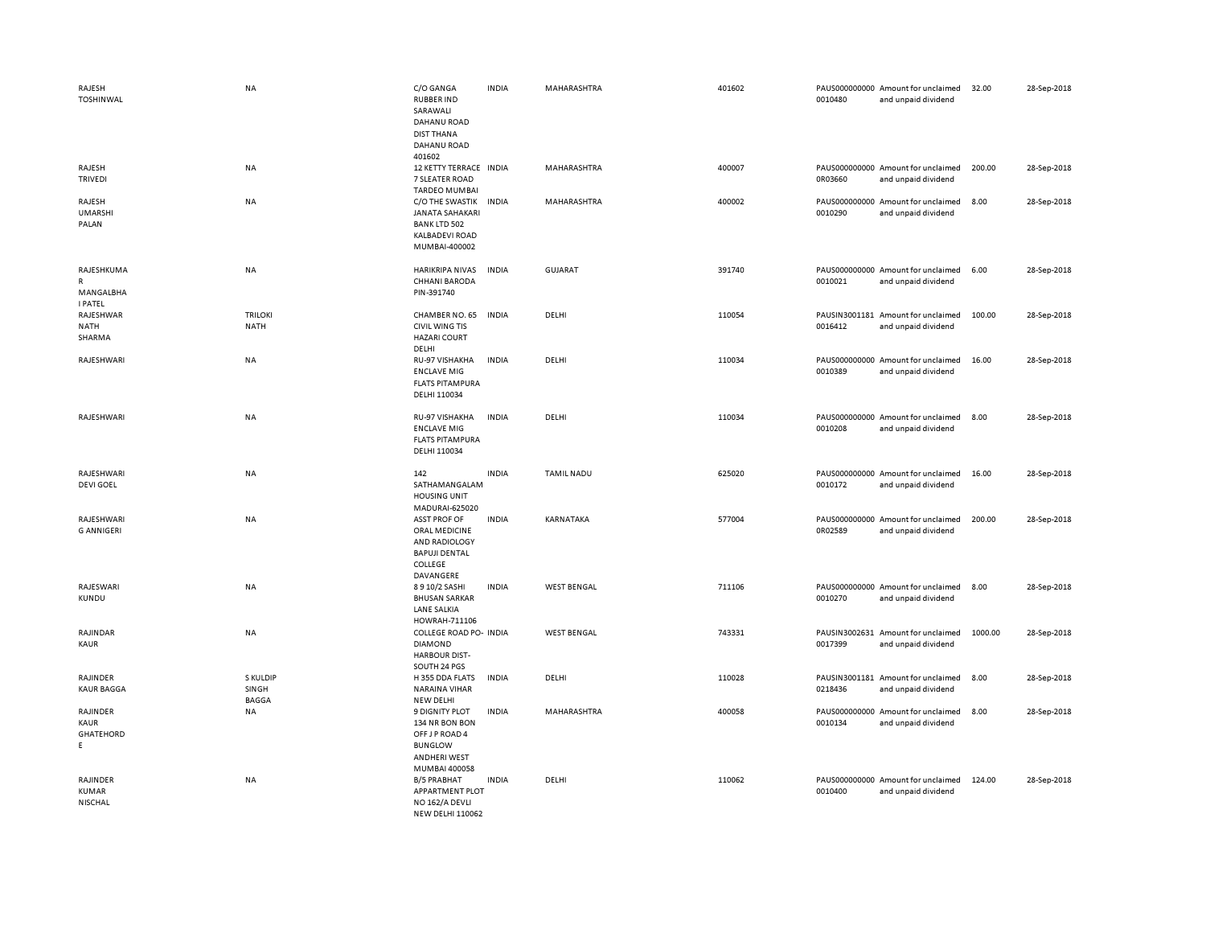| RAJESH<br><b>TOSHINWAL</b>                     | NA                                | C/O GANGA<br><b>RUBBER IND</b><br>SARAWALI<br>DAHANU ROAD<br><b>DIST THANA</b><br>DAHANU ROAD<br>401602             | <b>INDIA</b> | MAHARASHTRA        | 401602 | 0010480                  | PAUS000000000 Amount for unclaimed<br>and unpaid dividend | 32.00   | 28-Sep-2018 |
|------------------------------------------------|-----------------------------------|---------------------------------------------------------------------------------------------------------------------|--------------|--------------------|--------|--------------------------|-----------------------------------------------------------|---------|-------------|
| RAJESH<br>TRIVEDI                              | NA                                | 12 KETTY TERRACE IN DIA<br>7 SLEATER ROAD<br><b>TARDEO MUMBAI</b>                                                   |              | <b>MAHARASHTRA</b> | 400007 | 0R03660                  | PAUS000000000 Amount for unclaimed<br>and unpaid dividend | 200.00  | 28-Sep-2018 |
| RAJESH<br><b>UMARSHI</b><br>PALAN              | NA                                | C/O THE SWASTIK<br><b>JANATA SAHAKARI</b><br><b>BANK LTD 502</b><br><b>KALBADEVI ROAD</b><br>MUMBAI-400002          | <b>INDIA</b> | MAHARASHTRA        | 400002 | 0010290                  | PAUS000000000 Amount for unclaimed<br>and unpaid dividend | 8.00    | 28-Sep-2018 |
| RAJESHKUMA<br>R<br>MANGALBHA<br><b>I PATEL</b> | NA                                | HARIKRIPA NIVAS<br><b>CHHANI BARODA</b><br>PIN-391740                                                               | <b>INDIA</b> | <b>GUJARAT</b>     | 391740 | 0010021                  | PAUS000000000 Amount for unclaimed<br>and unpaid dividend | 6.00    | 28-Sep-2018 |
| RAJESHWAR<br><b>NATH</b><br>SHARMA             | <b>TRILOKI</b><br><b>NATH</b>     | CHAMBER NO. 65<br><b>CIVIL WING TIS</b><br><b>HAZARI COURT</b><br>DELHI                                             | <b>INDIA</b> | DELHI              | 110054 | 0016412                  | PAUSIN3001181 Amount for unclaimed<br>and unpaid dividend | 100.00  | 28-Sep-2018 |
| RAJESHWARI                                     | <b>NA</b>                         | RU-97 VISHAKHA<br><b>ENCLAVE MIG</b><br><b>FLATS PITAMPURA</b><br>DELHI 110034                                      | <b>INDIA</b> | DELHI              | 110034 | 0010389                  | PAUS000000000 Amount for unclaimed<br>and unpaid dividend | 16.00   | 28-Sep-2018 |
| RAJESHWARI                                     | NA                                | RU-97 VISHAKHA<br><b>ENCLAVE MIG</b><br><b>FLATS PITAMPURA</b><br>DELHI 110034                                      | <b>INDIA</b> | DELHI              | 110034 | 0010208                  | PAUS000000000 Amount for unclaimed<br>and unpaid dividend | 8.00    | 28-Sep-2018 |
| RAJESHWARI<br><b>DEVI GOEL</b>                 | <b>NA</b>                         | 142<br>SATHAMANGALAM<br><b>HOUSING UNIT</b><br>MADURAI-625020                                                       | <b>INDIA</b> | <b>TAMIL NADU</b>  | 625020 | 0010172                  | PAUS000000000 Amount for unclaimed<br>and unpaid dividend | 16.00   | 28-Sep-2018 |
| RAJESHWARI<br><b>G ANNIGERI</b>                | NA                                | <b>ASST PROF OF</b><br>ORAL MEDICINE<br>AND RADIOLOGY<br><b>BAPUJI DENTAL</b><br>COLLEGE<br>DAVANGERE               | <b>INDIA</b> | KARNATAKA          | 577004 | 0R02589                  | PAUS000000000 Amount for unclaimed<br>and unpaid dividend | 200.00  | 28-Sep-2018 |
| RAJESWARI<br>KUNDU                             | NA                                | 8 9 10/2 SASHI<br><b>BHUSAN SARKAR</b><br><b>LANE SALKIA</b><br>HOWRAH-711106                                       | <b>INDIA</b> | <b>WEST BENGAL</b> | 711106 | 0010270                  | PAUS000000000 Amount for unclaimed<br>and unpaid dividend | 8.00    | 28-Sep-2018 |
| RAJINDAR<br>KAUR                               | NA                                | COLLEGE ROAD PO- INDIA<br><b>DIAMOND</b><br><b>HARBOUR DIST-</b><br>SOUTH 24 PGS                                    |              | <b>WEST BENGAL</b> | 743331 | PAUSIN3002631<br>0017399 | Amount for unclaimed<br>and unpaid dividend               | 1000.00 | 28-Sep-2018 |
| RAJINDER<br><b>KAUR BAGGA</b>                  | S KULDIP<br>SINGH<br><b>BAGGA</b> | H 355 DDA FLATS<br><b>NARAINA VIHAR</b><br><b>NEW DELHI</b>                                                         | INDIA        | DELHI              | 110028 | 0218436                  | PAUSIN3001181 Amount for unclaimed<br>and unpaid dividend | 8.00    | 28-Sep-2018 |
| RAJINDER<br>KAUR<br>GHATEHORD<br>E             | NA                                | <b>9 DIGNITY PLOT</b><br>134 NR BON BON<br>OFF J P ROAD 4<br><b>BUNGLOW</b><br><b>ANDHERI WEST</b><br>MUMBAI 400058 | <b>INDIA</b> | MAHARASHTRA        | 400058 | 0010134                  | PAUS000000000 Amount for unclaimed<br>and unpaid dividend | 8.00    | 28-Sep-2018 |
| RAJINDER<br>KUMAR<br>NISCHAL                   | NA                                | <b>B/5 PRABHAT</b><br>APPARTMENT PLOT<br>NO 162/A DEVLI<br><b>NEW DELHI 110062</b>                                  | <b>INDIA</b> | DELHI              | 110062 | 0010400                  | PAUS000000000 Amount for unclaimed<br>and unpaid dividend | 124.00  | 28-Sep-2018 |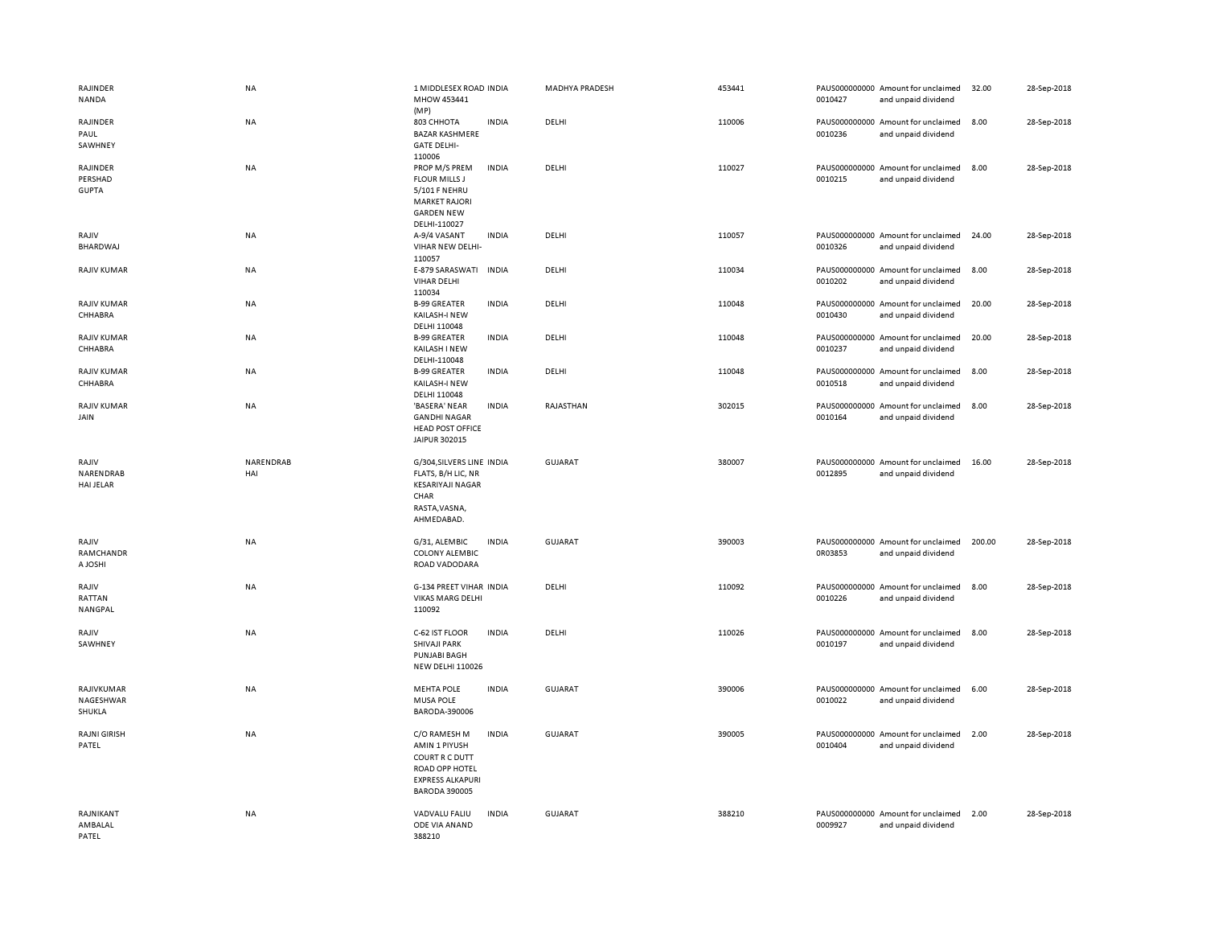| <b>RAJINDER</b><br>NANDA                   | NA               | 1 MIDDLESEX ROAD INDIA<br>MHOW 453441<br>(MP)                                                                                        | MADHYA PRADESH | 453441 | 0010427 | PAUS000000000 Amount for unclaimed<br>and unpaid dividend | 32.00  | 28-Sep-2018 |
|--------------------------------------------|------------------|--------------------------------------------------------------------------------------------------------------------------------------|----------------|--------|---------|-----------------------------------------------------------|--------|-------------|
| RAJINDER<br>PAUL<br>SAWHNEY                | NA               | <b>INDIA</b><br>803 CHHOTA<br><b>BAZAR KASHMERE</b><br><b>GATE DELHI-</b><br>110006                                                  | DELHI          | 110006 | 0010236 | PAUS000000000 Amount for unclaimed<br>and unpaid dividend | 8.00   | 28-Sep-2018 |
| <b>RAJINDER</b><br>PERSHAD<br><b>GUPTA</b> | <b>NA</b>        | PROP M/S PREM<br><b>INDIA</b><br><b>FLOUR MILLS J</b><br>5/101 F NEHRU<br><b>MARKET RAJORI</b><br><b>GARDEN NEW</b><br>DELHI-110027  | DELHI          | 110027 | 0010215 | PAUS000000000 Amount for unclaimed<br>and unpaid dividend | 8.00   | 28-Sep-2018 |
| RAJIV<br><b>BHARDWAJ</b>                   | NA               | <b>INDIA</b><br>A-9/4 VASANT<br>VIHAR NEW DELHI-<br>110057                                                                           | DELHI          | 110057 | 0010326 | PAUS000000000 Amount for unclaimed<br>and unpaid dividend | 24.00  | 28-Sep-2018 |
| <b>RAJIV KUMAR</b>                         | NA               | E-879 SARASWATI<br><b>INDIA</b><br><b>VIHAR DELHI</b><br>110034                                                                      | DELHI          | 110034 | 0010202 | PAUS000000000 Amount for unclaimed<br>and unpaid dividend | 8.00   | 28-Sep-2018 |
| <b>RAJIV KUMAR</b><br>CHHABRA              | <b>NA</b>        | <b>B-99 GREATER</b><br><b>INDIA</b><br>KAILASH-I NEW<br>DELHI 110048                                                                 | DELHI          | 110048 | 0010430 | PAUS000000000 Amount for unclaimed<br>and unpaid dividend | 20.00  | 28-Sep-2018 |
| <b>RAJIV KUMAR</b><br>CHHABRA              | NA               | <b>B-99 GREATER</b><br><b>INDIA</b><br>KAILASH I NEW<br>DELHI-110048                                                                 | DELHI          | 110048 | 0010237 | PAUS000000000 Amount for unclaimed<br>and unpaid dividend | 20.00  | 28-Sep-2018 |
| <b>RAJIV KUMAR</b><br>CHHABRA              | NA               | <b>B-99 GREATER</b><br><b>INDIA</b><br>KAILASH-I NEW<br>DELHI 110048                                                                 | DELHI          | 110048 | 0010518 | PAUS000000000 Amount for unclaimed<br>and unpaid dividend | 8.00   | 28-Sep-2018 |
| <b>RAJIV KUMAR</b><br>JAIN                 | <b>NA</b>        | 'BASERA' NEAR<br><b>INDIA</b><br><b>GANDHI NAGAR</b><br><b>HEAD POST OFFICE</b><br>JAIPUR 302015                                     | RAJASTHAN      | 302015 | 0010164 | PAUS000000000 Amount for unclaimed<br>and unpaid dividend | 8.00   | 28-Sep-2018 |
| RAJIV<br>NARENDRAB<br><b>HAI JELAR</b>     | NARENDRAB<br>HAI | G/304, SILVERS LINE INDIA<br>FLATS, B/H LIC, NR<br><b>KESARIYAJI NAGAR</b><br>CHAR<br>RASTA, VASNA,<br>AHMEDABAD.                    | <b>GUJARAT</b> | 380007 | 0012895 | PAUS000000000 Amount for unclaimed<br>and unpaid dividend | 16.00  | 28-Sep-2018 |
| RAJIV<br>RAMCHANDR<br>A JOSHI              | NA               | <b>INDIA</b><br>G/31, ALEMBIC<br><b>COLONY ALEMBIC</b><br>ROAD VADODARA                                                              | GUJARAT        | 390003 | 0R03853 | PAUS000000000 Amount for unclaimed<br>and unpaid dividend | 200.00 | 28-Sep-2018 |
| RAJIV<br>RATTAN<br>NANGPAL                 | NA               | G-134 PREET VIHAR INDIA<br><b>VIKAS MARG DELHI</b><br>110092                                                                         | DELHI          | 110092 | 0010226 | PAUS000000000 Amount for unclaimed<br>and unpaid dividend | 8.00   | 28-Sep-2018 |
| RAJIV<br>SAWHNEY                           | NA               | C-62 IST FLOOR<br><b>INDIA</b><br>SHIVAJI PARK<br><b>PUNJABI BAGH</b><br><b>NEW DELHI 110026</b>                                     | DELHI          | 110026 | 0010197 | PAUS000000000 Amount for unclaimed<br>and unpaid dividend | 8.00   | 28-Sep-2018 |
| RAJIVKUMAR<br>NAGESHWAR<br>SHUKLA          | NA               | <b>MEHTA POLE</b><br><b>INDIA</b><br><b>MUSA POLE</b><br>BARODA-390006                                                               | <b>GUJARAT</b> | 390006 | 0010022 | PAUS000000000 Amount for unclaimed<br>and unpaid dividend | 6.00   | 28-Sep-2018 |
| RAJNI GIRISH<br>PATEL                      | NA               | C/O RAMESH M<br><b>INDIA</b><br>AMIN 1 PIYUSH<br>COURT R C DUTT<br>ROAD OPP HOTEL<br><b>EXPRESS ALKAPURI</b><br><b>BARODA 390005</b> | GUJARAT        | 390005 | 0010404 | PAUS000000000 Amount for unclaimed<br>and unpaid dividend | 2.00   | 28-Sep-2018 |
| RAJNIKANT<br>AMBALAL<br>PATEL              | <b>NA</b>        | <b>INDIA</b><br>VADVALU FALIU<br>ODE VIA ANAND<br>388210                                                                             | <b>GUJARAT</b> | 388210 | 0009927 | PAUS000000000 Amount for unclaimed<br>and unpaid dividend | 2.00   | 28-Sep-2018 |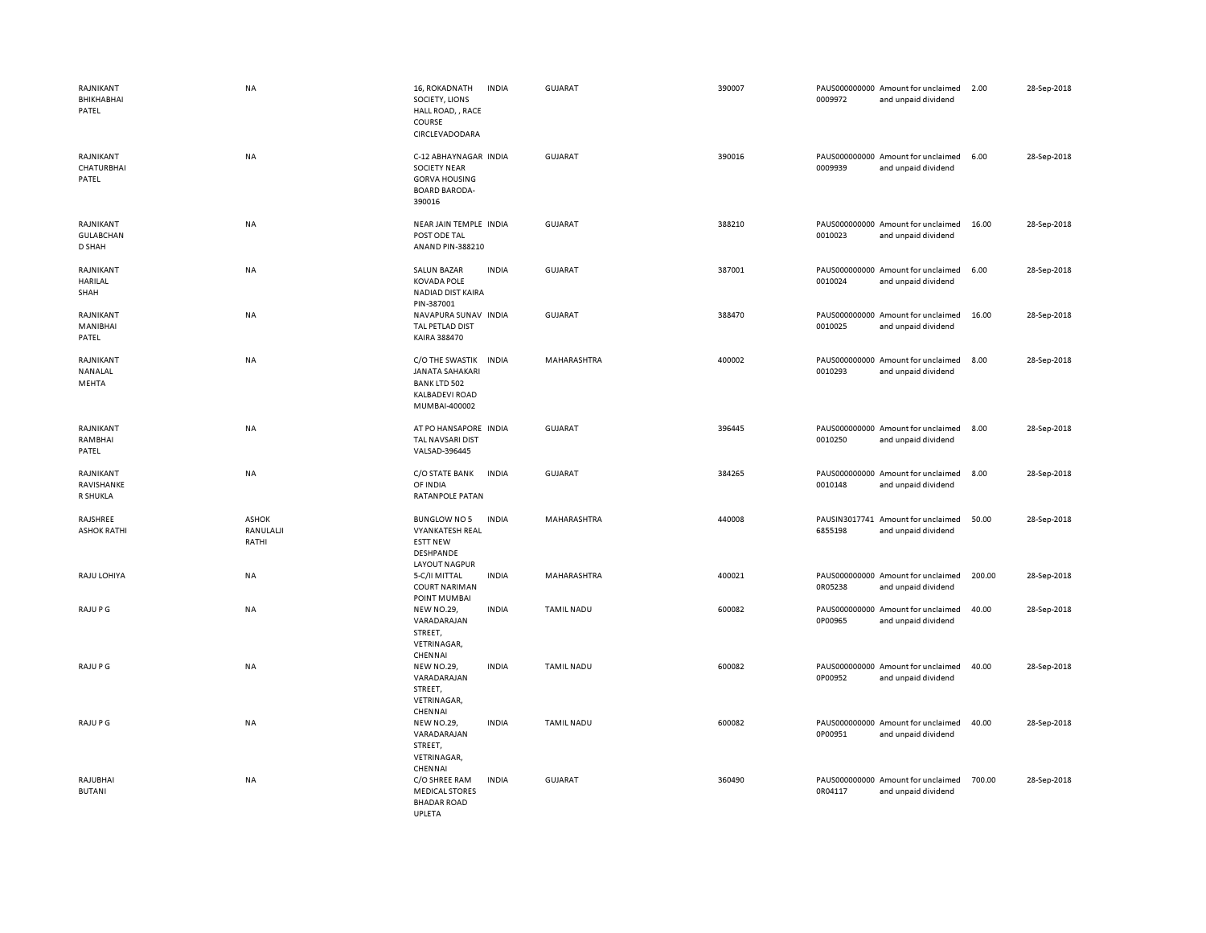| RAJNIKANT<br>BHIKHABHAI<br>PATEL           | <b>NA</b>                          | 16, ROKADNATH<br>SOCIETY, LIONS<br>HALL ROAD, , RACE<br>COURSE<br>CIRCLEVADODARA                                 | <b>INDIA</b> | <b>GUJARAT</b>    | 390007 | 0009972 | PAUS000000000 Amount for unclaimed<br>and unpaid dividend | 2.00   | 28-Sep-2018 |
|--------------------------------------------|------------------------------------|------------------------------------------------------------------------------------------------------------------|--------------|-------------------|--------|---------|-----------------------------------------------------------|--------|-------------|
| RAJNIKANT<br>CHATURBHAI<br>PATEL           | NA                                 | C-12 ABHAYNAGAR INDIA<br><b>SOCIETY NEAR</b><br><b>GORVA HOUSING</b><br><b>BOARD BARODA-</b><br>390016           |              | GUJARAT           | 390016 | 0009939 | PAUS000000000 Amount for unclaimed<br>and unpaid dividend | 6.00   | 28-Sep-2018 |
| RAJNIKANT<br><b>GULABCHAN</b><br>D SHAH    | NA                                 | NEAR JAIN TEMPLE INDIA<br>POST ODE TAL<br>ANAND PIN-388210                                                       |              | <b>GUJARAT</b>    | 388210 | 0010023 | PAUS000000000 Amount for unclaimed<br>and unpaid dividend | 16.00  | 28-Sep-2018 |
| RAJNIKANT<br>HARILAL<br>SHAH               | NA                                 | <b>SALUN BAZAR</b><br><b>KOVADA POLE</b><br>NADIAD DIST KAIRA<br>PIN-387001                                      | <b>INDIA</b> | <b>GUJARAT</b>    | 387001 | 0010024 | PAUS000000000 Amount for unclaimed<br>and unpaid dividend | 6.00   | 28-Sep-2018 |
| RAJNIKANT<br>MANIBHAI<br>PATEL             | NA                                 | NAVAPURA SUNAV INDIA<br>TAL PETLAD DIST<br>KAIRA 388470                                                          |              | <b>GUJARAT</b>    | 388470 | 0010025 | PAUS000000000 Amount for unclaimed<br>and unpaid dividend | 16.00  | 28-Sep-2018 |
| RAJNIKANT<br>NANALAL<br>MEHTA              | NA                                 | C/O THE SWASTIK INDIA<br><b>JANATA SAHAKARI</b><br><b>BANK LTD 502</b><br><b>KALBADEVI ROAD</b><br>MUMBAI-400002 |              | MAHARASHTRA       | 400002 | 0010293 | PAUS000000000 Amount for unclaimed<br>and unpaid dividend | 8.00   | 28-Sep-2018 |
| RAJNIKANT<br>RAMBHAI<br>PATEL              | NA                                 | AT PO HANSAPORE INDIA<br>TAL NAVSARI DIST<br>VALSAD-396445                                                       |              | <b>GUJARAT</b>    | 396445 | 0010250 | PAUS000000000 Amount for unclaimed<br>and unpaid dividend | 8.00   | 28-Sep-2018 |
| RAJNIKANT<br>RAVISHANKE<br><b>R SHUKLA</b> | NA                                 | C/O STATE BANK<br>OF INDIA<br>RATANPOLE PATAN                                                                    | <b>INDIA</b> | <b>GUJARAT</b>    | 384265 | 0010148 | PAUS000000000 Amount for unclaimed<br>and unpaid dividend | 8.00   | 28-Sep-2018 |
| RAJSHREE<br><b>ASHOK RATHI</b>             | <b>ASHOK</b><br>RANULALJI<br>RATHI | <b>BUNGLOW NO 5</b><br><b>VYANKATESH REAL</b><br><b>ESTT NEW</b><br>DESHPANDE<br><b>LAYOUT NAGPUR</b>            | <b>INDIA</b> | MAHARASHTRA       | 440008 | 6855198 | PAUSIN3017741 Amount for unclaimed<br>and unpaid dividend | 50.00  | 28-Sep-2018 |
| RAJU LOHIYA                                | NA                                 | 5-C/II MITTAL<br><b>COURT NARIMAN</b><br>POINT MUMBAI                                                            | <b>INDIA</b> | MAHARASHTRA       | 400021 | 0R05238 | PAUS000000000 Amount for unclaimed<br>and unpaid dividend | 200.00 | 28-Sep-2018 |
| RAJU P G                                   | <b>NA</b>                          | <b>NEW NO.29,</b><br>VARADARAJAN<br>STREET,<br>VETRINAGAR,<br>CHENNAI                                            | <b>INDIA</b> | <b>TAMIL NADU</b> | 600082 | 0P00965 | PAUS000000000 Amount for unclaimed<br>and unpaid dividend | 40.00  | 28-Sep-2018 |
| RAJU P G                                   | <b>NA</b>                          | <b>NEW NO.29,</b><br>VARADARAJAN<br>STREET,<br>VETRINAGAR,<br>CHENNAI                                            | <b>INDIA</b> | <b>TAMIL NADU</b> | 600082 | 0P00952 | PAUS000000000 Amount for unclaimed<br>and unpaid dividend | 40.00  | 28-Sep-2018 |
| RAJU P G                                   | <b>NA</b>                          | <b>NEW NO.29,</b><br>VARADARAJAN<br>STREET,<br>VETRINAGAR,<br>CHENNAI                                            | <b>INDIA</b> | <b>TAMIL NADU</b> | 600082 | 0P00951 | PAUS000000000 Amount for unclaimed<br>and unpaid dividend | 40.00  | 28-Sep-2018 |
| RAJUBHAI<br><b>BUTANI</b>                  | <b>NA</b>                          | C/O SHREE RAM<br><b>MEDICAL STORES</b><br><b>BHADAR ROAD</b><br><b>UPLETA</b>                                    | <b>INDIA</b> | <b>GUJARAT</b>    | 360490 | 0R04117 | PAUS000000000 Amount for unclaimed<br>and unpaid dividend | 700.00 | 28-Sep-2018 |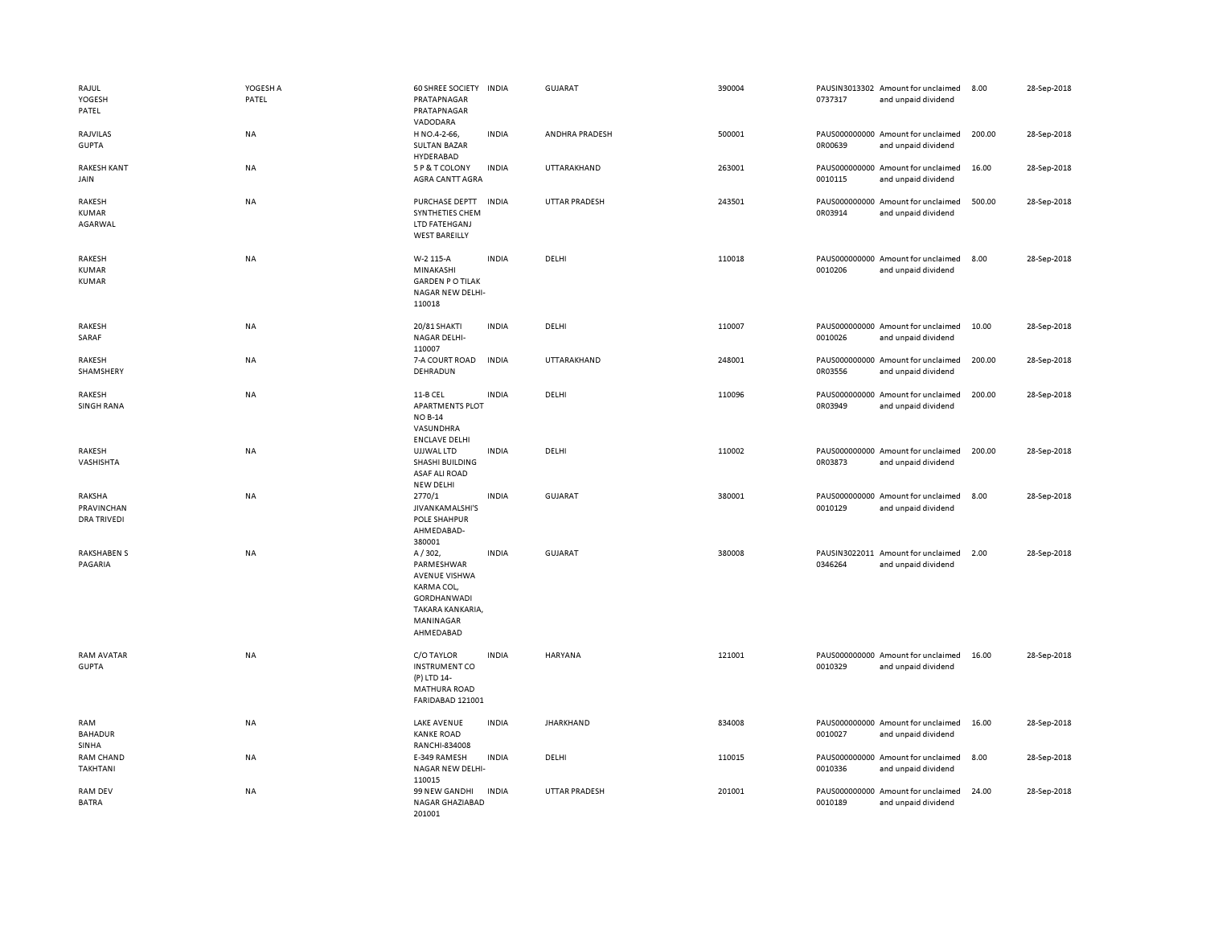| RAJUL<br>YOGESH<br>PATEL                   | YOGESH A<br>PATEL | 60 SHREE SOCIETY<br>PRATAPNAGAR<br>PRATAPNAGAR<br>VADODARA                                                                     | <b>INDIA</b> | <b>GUJARAT</b>       | 390004 | 0737317 | PAUSIN3013302 Amount for unclaimed<br>and unpaid dividend | 8.00   | 28-Sep-2018 |
|--------------------------------------------|-------------------|--------------------------------------------------------------------------------------------------------------------------------|--------------|----------------------|--------|---------|-----------------------------------------------------------|--------|-------------|
| RAJVILAS<br><b>GUPTA</b>                   | NA                | H NO.4-2-66,<br><b>SULTAN BAZAR</b><br>HYDERABAD                                                                               | <b>INDIA</b> | ANDHRA PRADESH       | 500001 | 0R00639 | PAUS000000000 Amount for unclaimed<br>and unpaid dividend | 200.00 | 28-Sep-2018 |
| <b>RAKESH KANT</b><br>JAIN                 | NA                | 5 P & T COLONY<br><b>AGRA CANTT AGRA</b>                                                                                       | <b>INDIA</b> | UTTARAKHAND          | 263001 | 0010115 | PAUS000000000 Amount for unclaimed<br>and unpaid dividend | 16.00  | 28-Sep-2018 |
| RAKESH<br>KUMAR<br>AGARWAL                 | NA                | PURCHASE DEPTT<br>SYNTHETIES CHEM<br>LTD FATEHGANJ<br><b>WEST BAREILLY</b>                                                     | <b>INDIA</b> | <b>UTTAR PRADESH</b> | 243501 | 0R03914 | PAUS000000000 Amount for unclaimed<br>and unpaid dividend | 500.00 | 28-Sep-2018 |
| RAKESH<br>KUMAR<br>KUMAR                   | NA                | W-2 115-A<br>MINAKASHI<br><b>GARDEN PO TILAK</b><br>NAGAR NEW DELHI-<br>110018                                                 | <b>INDIA</b> | DELHI                | 110018 | 0010206 | PAUS000000000 Amount for unclaimed<br>and unpaid dividend | 8.00   | 28-Sep-2018 |
| RAKESH<br>SARAF                            | <b>NA</b>         | 20/81 SHAKTI<br><b>NAGAR DELHI-</b><br>110007                                                                                  | <b>INDIA</b> | DELHI                | 110007 | 0010026 | PAUS000000000 Amount for unclaimed<br>and unpaid dividend | 10.00  | 28-Sep-2018 |
| RAKESH<br>SHAMSHERY                        | NA                | 7-A COURT ROAD<br>DEHRADUN                                                                                                     | <b>INDIA</b> | UTTARAKHAND          | 248001 | 0R03556 | PAUS000000000 Amount for unclaimed<br>and unpaid dividend | 200.00 | 28-Sep-2018 |
| RAKESH<br><b>SINGH RANA</b>                | NA                | 11-B CEL<br><b>APARTMENTS PLOT</b><br><b>NO B-14</b><br>VASUNDHRA<br><b>ENCLAVE DELHI</b>                                      | <b>INDIA</b> | DELHI                | 110096 | 0R03949 | PAUS000000000 Amount for unclaimed<br>and unpaid dividend | 200.00 | 28-Sep-2018 |
| RAKESH<br>VASHISHTA                        | NA                | UJJWAL LTD<br>SHASHI BUILDING<br><b>ASAF ALI ROAD</b><br><b>NEW DELHI</b>                                                      | <b>INDIA</b> | DELHI                | 110002 | 0R03873 | PAUS000000000 Amount for unclaimed<br>and unpaid dividend | 200.00 | 28-Sep-2018 |
| RAKSHA<br>PRAVINCHAN<br><b>DRA TRIVEDI</b> | <b>NA</b>         | 2770/1<br>JIVANKAMALSHI'S<br>POLE SHAHPUR<br>AHMEDABAD-<br>380001                                                              | <b>INDIA</b> | GUJARAT              | 380001 | 0010129 | PAUS000000000 Amount for unclaimed<br>and unpaid dividend | 8.00   | 28-Sep-2018 |
| <b>RAKSHABEN S</b><br>PAGARIA              | NA                | A/302,<br>PARMESHWAR<br><b>AVENUE VISHWA</b><br>KARMA COL,<br><b>GORDHANWADI</b><br>TAKARA KANKARIA,<br>MANINAGAR<br>AHMEDABAD | <b>INDIA</b> | GUJARAT              | 380008 | 0346264 | PAUSIN3022011 Amount for unclaimed<br>and unpaid dividend | 2.00   | 28-Sep-2018 |
| <b>RAM AVATAR</b><br><b>GUPTA</b>          | NA                | C/O TAYLOR<br><b>INSTRUMENT CO</b><br>(P) LTD 14-<br><b>MATHURA ROAD</b><br>FARIDABAD 121001                                   | <b>INDIA</b> | <b>HARYANA</b>       | 121001 | 0010329 | PAUS000000000 Amount for unclaimed<br>and unpaid dividend | 16.00  | 28-Sep-2018 |
| RAM<br><b>BAHADUR</b><br>SINHA             | NA                | <b>LAKE AVENUE</b><br><b>KANKE ROAD</b><br>RANCHI-834008                                                                       | <b>INDIA</b> | <b>JHARKHAND</b>     | 834008 | 0010027 | PAUS000000000 Amount for unclaimed<br>and unpaid dividend | 16.00  | 28-Sep-2018 |
| <b>RAM CHAND</b><br>TAKHTANI               | NA                | E-349 RAMESH<br>NAGAR NEW DELHI-<br>110015                                                                                     | <b>INDIA</b> | DELHI                | 110015 | 0010336 | PAUS000000000 Amount for unclaimed<br>and unpaid dividend | 8.00   | 28-Sep-2018 |
| <b>RAM DEV</b><br><b>BATRA</b>             | <b>NA</b>         | 99 NEW GANDHI<br>NAGAR GHAZIABAD<br>201001                                                                                     | <b>INDIA</b> | <b>UTTAR PRADESH</b> | 201001 | 0010189 | PAUS000000000 Amount for unclaimed<br>and unpaid dividend | 24.00  | 28-Sep-2018 |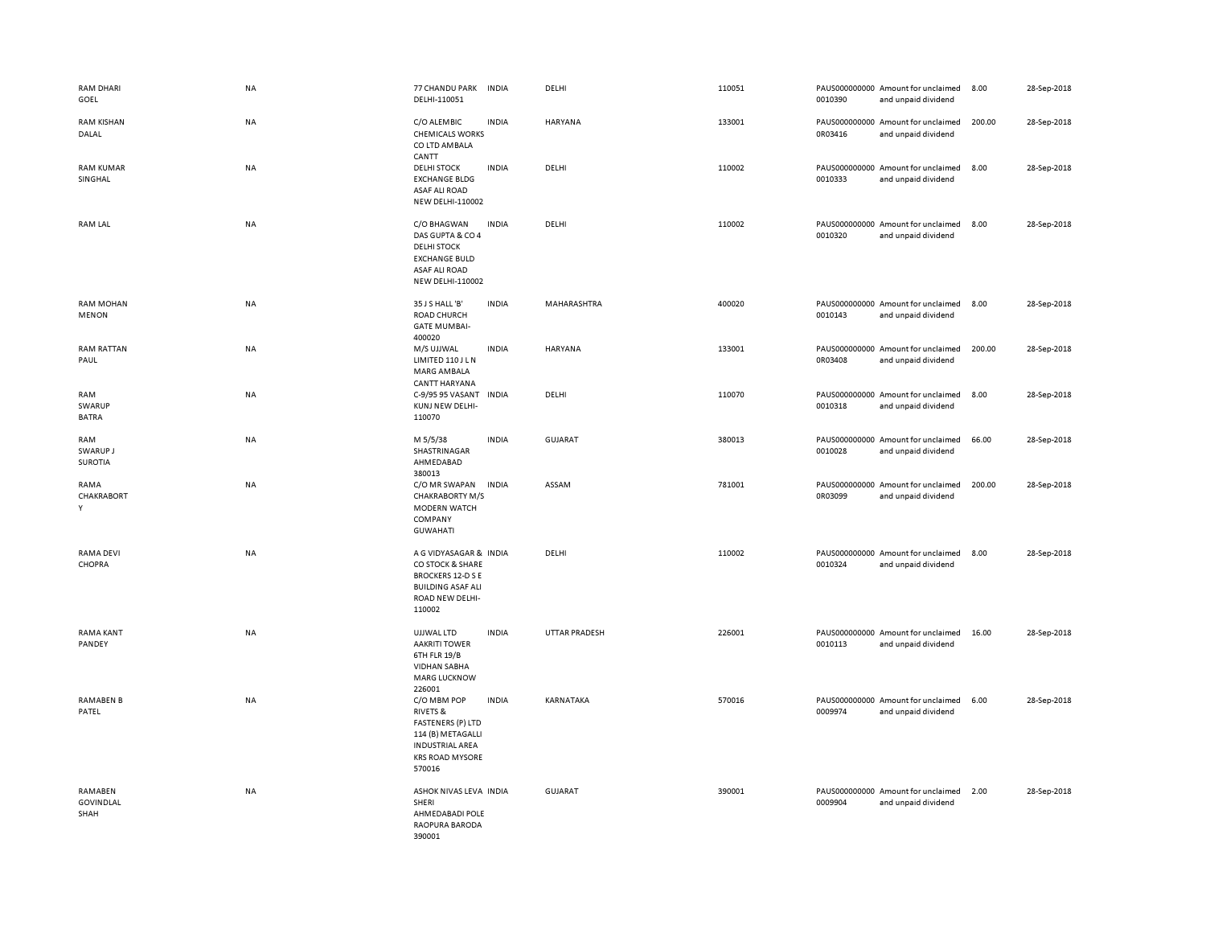| RAM DHARI<br>GOEL                          | <b>NA</b> | 77 CHANDU PARK<br>DELHI-110051                                                                                                                    | <b>INDIA</b> | DELHI          | 110051 | 0010390 | PAUS000000000 Amount for unclaimed<br>and unpaid dividend | 8.00   | 28-Sep-2018 |
|--------------------------------------------|-----------|---------------------------------------------------------------------------------------------------------------------------------------------------|--------------|----------------|--------|---------|-----------------------------------------------------------|--------|-------------|
| <b>RAM KISHAN</b><br>DALAL                 | NA        | C/O ALEMBIC<br><b>CHEMICALS WORKS</b><br>CO LTD AMBALA<br>CANTT                                                                                   | <b>INDIA</b> | HARYANA        | 133001 | 0R03416 | PAUS000000000 Amount for unclaimed<br>and unpaid dividend | 200.00 | 28-Sep-2018 |
| <b>RAM KUMAR</b><br>SINGHAL                | NA        | <b>DELHI STOCK</b><br><b>EXCHANGE BLDG</b><br><b>ASAF ALI ROAD</b><br><b>NEW DELHI-110002</b>                                                     | <b>INDIA</b> | DELHI          | 110002 | 0010333 | PAUS000000000 Amount for unclaimed<br>and unpaid dividend | 8.00   | 28-Sep-2018 |
| <b>RAM LAL</b>                             | <b>NA</b> | C/O BHAGWAN<br>DAS GUPTA & CO 4<br><b>DELHI STOCK</b><br><b>EXCHANGE BULD</b><br><b>ASAF ALI ROAD</b><br>NEW DELHI-110002                         | <b>INDIA</b> | DELHI          | 110002 | 0010320 | PAUS000000000 Amount for unclaimed<br>and unpaid dividend | 8.00   | 28-Sep-2018 |
| <b>RAM MOHAN</b><br><b>MENON</b>           | NA        | 35 J S HALL 'B'<br>ROAD CHURCH<br><b>GATE MUMBAI-</b><br>400020                                                                                   | <b>INDIA</b> | MAHARASHTRA    | 400020 | 0010143 | PAUS000000000 Amount for unclaimed<br>and unpaid dividend | 8.00   | 28-Sep-2018 |
| <b>RAM RATTAN</b><br>PAUL                  | NA        | M/S UJJWAL<br>LIMITED 110 J L N<br>MARG AMBALA<br>CANTT HARYANA                                                                                   | <b>INDIA</b> | HARYANA        | 133001 | 0R03408 | PAUS000000000 Amount for unclaimed<br>and unpaid dividend | 200.00 | 28-Sep-2018 |
| <b>RAM</b><br>SWARUP<br><b>BATRA</b>       | NA        | C-9/95 95 VASANT<br>KUNJ NEW DELHI-<br>110070                                                                                                     | <b>INDIA</b> | DELHI          | 110070 | 0010318 | PAUS000000000 Amount for unclaimed<br>and unpaid dividend | 8.00   | 28-Sep-2018 |
| RAM<br>SWARUP J<br><b>SUROTIA</b>          | <b>NA</b> | M 5/5/38<br>SHASTRINAGAR<br>AHMEDABAD<br>380013                                                                                                   | <b>INDIA</b> | <b>GUJARAT</b> | 380013 | 0010028 | PAUS000000000 Amount for unclaimed<br>and unpaid dividend | 66.00  | 28-Sep-2018 |
| RAMA<br>CHAKRABORT<br>Y                    | NA        | C/O MR SWAPAN<br><b>CHAKRABORTY M/S</b><br>MODERN WATCH<br>COMPANY<br><b>GUWAHATI</b>                                                             | <b>INDIA</b> | ASSAM          | 781001 | 0R03099 | PAUS000000000 Amount for unclaimed<br>and unpaid dividend | 200.00 | 28-Sep-2018 |
| <b>RAMA DEVI</b><br>CHOPRA                 | NA        | A G VIDYASAGAR & INDIA<br>CO STOCK & SHARE<br><b>BROCKERS 12-D S E</b><br><b>BUILDING ASAF ALI</b><br>ROAD NEW DELHI-<br>110002                   |              | DELHI          | 110002 | 0010324 | PAUS000000000 Amount for unclaimed<br>and unpaid dividend | 8.00   | 28-Sep-2018 |
| <b>RAMA KANT</b><br>PANDEY                 | <b>NA</b> | UJJWAL LTD<br><b>AAKRITI TOWER</b><br>6TH FLR 19/B<br><b>VIDHAN SABHA</b><br><b>MARG LUCKNOW</b><br>226001                                        | <b>INDIA</b> | UTTAR PRADESH  | 226001 | 0010113 | PAUS000000000 Amount for unclaimed<br>and unpaid dividend | 16.00  | 28-Sep-2018 |
| <b>RAMABEN B</b><br>PATEL                  | NA        | C/O MBM POP<br><b>RIVETS &amp;</b><br><b>FASTENERS (P) LTD</b><br>114 (B) METAGALLI<br><b>INDUSTRIAL AREA</b><br><b>KRS ROAD MYSORE</b><br>570016 | <b>INDIA</b> | KARNATAKA      | 570016 | 0009974 | PAUS000000000 Amount for unclaimed<br>and unpaid dividend | 6.00   | 28-Sep-2018 |
| <b>RAMABEN</b><br><b>GOVINDLAL</b><br>SHAH | <b>NA</b> | ASHOK NIVAS LEVA INDIA<br>SHERI<br>AHMEDABADI POLE<br>RAOPURA BARODA<br>390001                                                                    |              | <b>GUJARAT</b> | 390001 | 0009904 | PAUS000000000 Amount for unclaimed<br>and unpaid dividend | 2.00   | 28-Sep-2018 |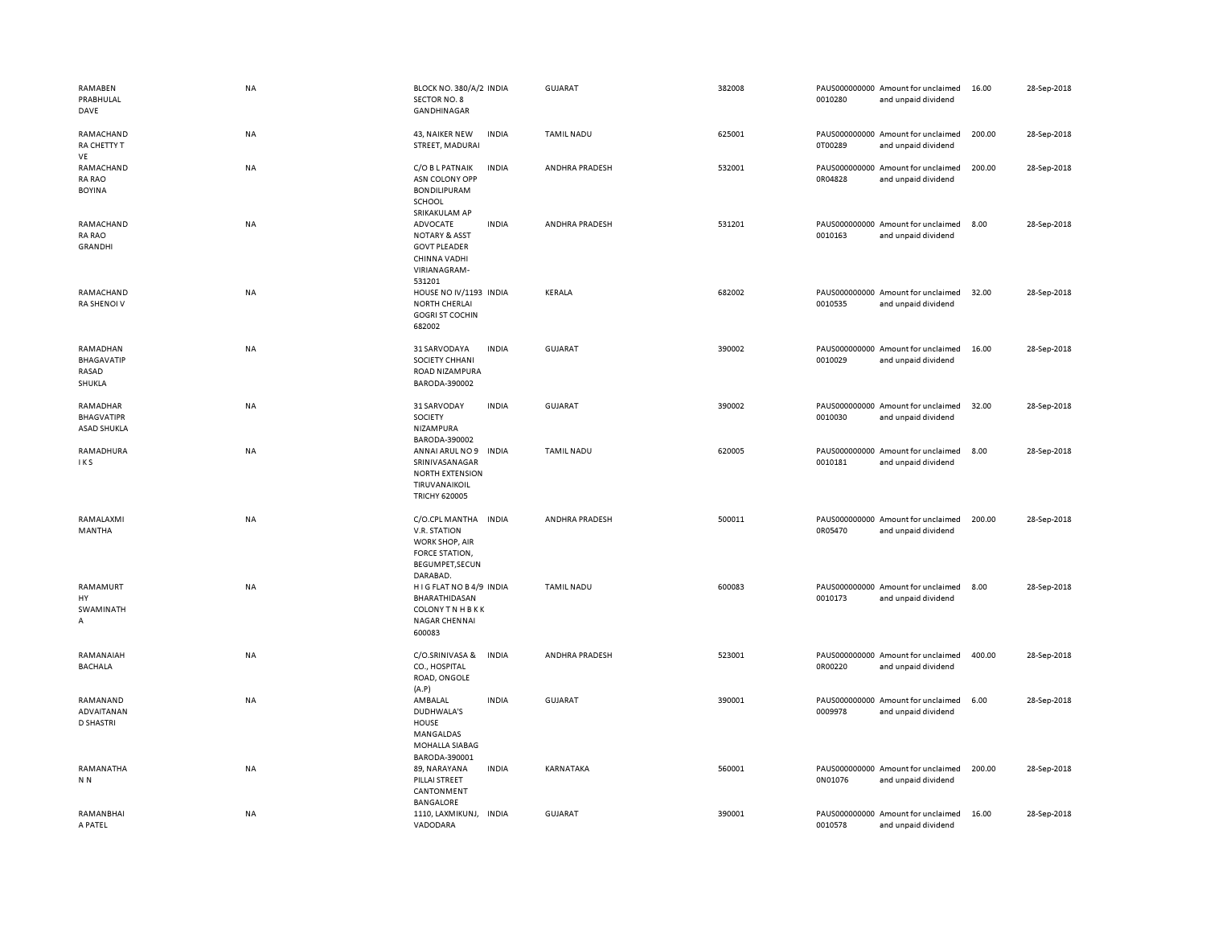| RAMABEN<br>PRABHULAL<br>DAVE                        | NA        | BLOCK NO. 380/A/2 INDIA<br>SECTOR NO. 8<br>GANDHINAGAR                                                                | <b>GUJARAT</b>    | 382008 | 0010280 | PAUS000000000 Amount for unclaimed<br>and unpaid dividend | 16.00  | 28-Sep-2018 |
|-----------------------------------------------------|-----------|-----------------------------------------------------------------------------------------------------------------------|-------------------|--------|---------|-----------------------------------------------------------|--------|-------------|
| RAMACHAND<br>RA CHETTY T<br>VE                      | <b>NA</b> | <b>INDIA</b><br>43, NAIKER NEW<br>STREET, MADURAI                                                                     | <b>TAMIL NADU</b> | 625001 | 0T00289 | PAUS000000000 Amount for unclaimed<br>and unpaid dividend | 200.00 | 28-Sep-2018 |
| RAMACHAND<br><b>RA RAO</b><br><b>BOYINA</b>         | NA        | C/O B L PATNAIK<br><b>INDIA</b><br>ASN COLONY OPP<br><b>BONDILIPURAM</b><br>SCHOOL<br>SRIKAKULAM AP                   | ANDHRA PRADESH    | 532001 | 0R04828 | PAUS000000000 Amount for unclaimed<br>and unpaid dividend | 200.00 | 28-Sep-2018 |
| RAMACHAND<br><b>RA RAO</b><br><b>GRANDHI</b>        | NA        | ADVOCATE<br><b>INDIA</b><br><b>NOTARY &amp; ASST</b><br><b>GOVT PLEADER</b><br>CHINNA VADHI<br>VIRIANAGRAM-<br>531201 | ANDHRA PRADESH    | 531201 | 0010163 | PAUS000000000 Amount for unclaimed<br>and unpaid dividend | 8.00   | 28-Sep-2018 |
| RAMACHAND<br>RA SHENOI V                            | NA        | HOUSE NO IV/1193 INDIA<br><b>NORTH CHERLAI</b><br><b>GOGRI ST COCHIN</b><br>682002                                    | <b>KERALA</b>     | 682002 | 0010535 | PAUS000000000 Amount for unclaimed<br>and unpaid dividend | 32.00  | 28-Sep-2018 |
| RAMADHAN<br>BHAGAVATIP<br>RASAD<br>SHUKLA           | NA        | 31 SARVODAYA<br><b>INDIA</b><br>SOCIETY CHHANI<br>ROAD NIZAMPURA<br>BARODA-390002                                     | <b>GUJARAT</b>    | 390002 | 0010029 | PAUS000000000 Amount for unclaimed<br>and unpaid dividend | 16.00  | 28-Sep-2018 |
| RAMADHAR<br><b>BHAGVATIPR</b><br><b>ASAD SHUKLA</b> | NA        | <b>INDIA</b><br>31 SARVODAY<br>SOCIETY<br>NIZAMPURA<br>BARODA-390002                                                  | GUJARAT           | 390002 | 0010030 | PAUS000000000 Amount for unclaimed<br>and unpaid dividend | 32.00  | 28-Sep-2018 |
| RAMADHURA<br>IKS                                    | NA        | <b>INDIA</b><br>ANNAI ARUL NO 9<br>SRINIVASANAGAR<br><b>NORTH EXTENSION</b><br>TIRUVANAIKOIL<br><b>TRICHY 620005</b>  | <b>TAMIL NADU</b> | 620005 | 0010181 | PAUS000000000 Amount for unclaimed<br>and unpaid dividend | 8.00   | 28-Sep-2018 |
| RAMALAXMI<br>MANTHA                                 | NA        | C/O.CPL MANTHA<br><b>INDIA</b><br>V.R. STATION<br>WORK SHOP, AIR<br>FORCE STATION,<br>BEGUMPET, SECUN<br>DARABAD.     | ANDHRA PRADESH    | 500011 | 0R05470 | PAUS000000000 Amount for unclaimed<br>and unpaid dividend | 200.00 | 28-Sep-2018 |
| RAMAMURT<br>HY<br>SWAMINATH<br>А                    | NA        | HIGFLAT NO B4/9 INDIA<br>BHARATHIDASAN<br><b>COLONY TN HBKK</b><br>NAGAR CHENNAI<br>600083                            | <b>TAMIL NADU</b> | 600083 | 0010173 | PAUS000000000 Amount for unclaimed<br>and unpaid dividend | 8.00   | 28-Sep-2018 |
| RAMANAIAH<br><b>BACHALA</b>                         | NA        | C/O.SRINIVASA &<br><b>INDIA</b><br>CO., HOSPITAL<br>ROAD, ONGOLE<br>(A.P)                                             | ANDHRA PRADESH    | 523001 | 0R00220 | PAUS000000000 Amount for unclaimed<br>and unpaid dividend | 400.00 | 28-Sep-2018 |
| RAMANAND<br>ADVAITANAN<br><b>D SHASTRI</b>          | NA        | AMBALAL<br><b>INDIA</b><br>DUDHWALA'S<br><b>HOUSE</b><br>MANGALDAS<br>MOHALLA SIABAG<br>BARODA-390001                 | <b>GUJARAT</b>    | 390001 | 0009978 | PAUS000000000 Amount for unclaimed<br>and unpaid dividend | 6.00   | 28-Sep-2018 |
| RAMANATHA<br>N <sub>N</sub>                         | NA        | 89, NARAYANA<br><b>INDIA</b><br>PILLAI STREET<br>CANTONMENT<br><b>BANGALORE</b>                                       | <b>KARNATAKA</b>  | 560001 | 0N01076 | PAUS000000000 Amount for unclaimed<br>and unpaid dividend | 200.00 | 28-Sep-2018 |
| RAMANBHAI<br>A PATEL                                | NA        | 1110, LAXMIKUNJ, INDIA<br>VADODARA                                                                                    | GUJARAT           | 390001 | 0010578 | PAUS000000000 Amount for unclaimed<br>and unpaid dividend | 16.00  | 28-Sep-2018 |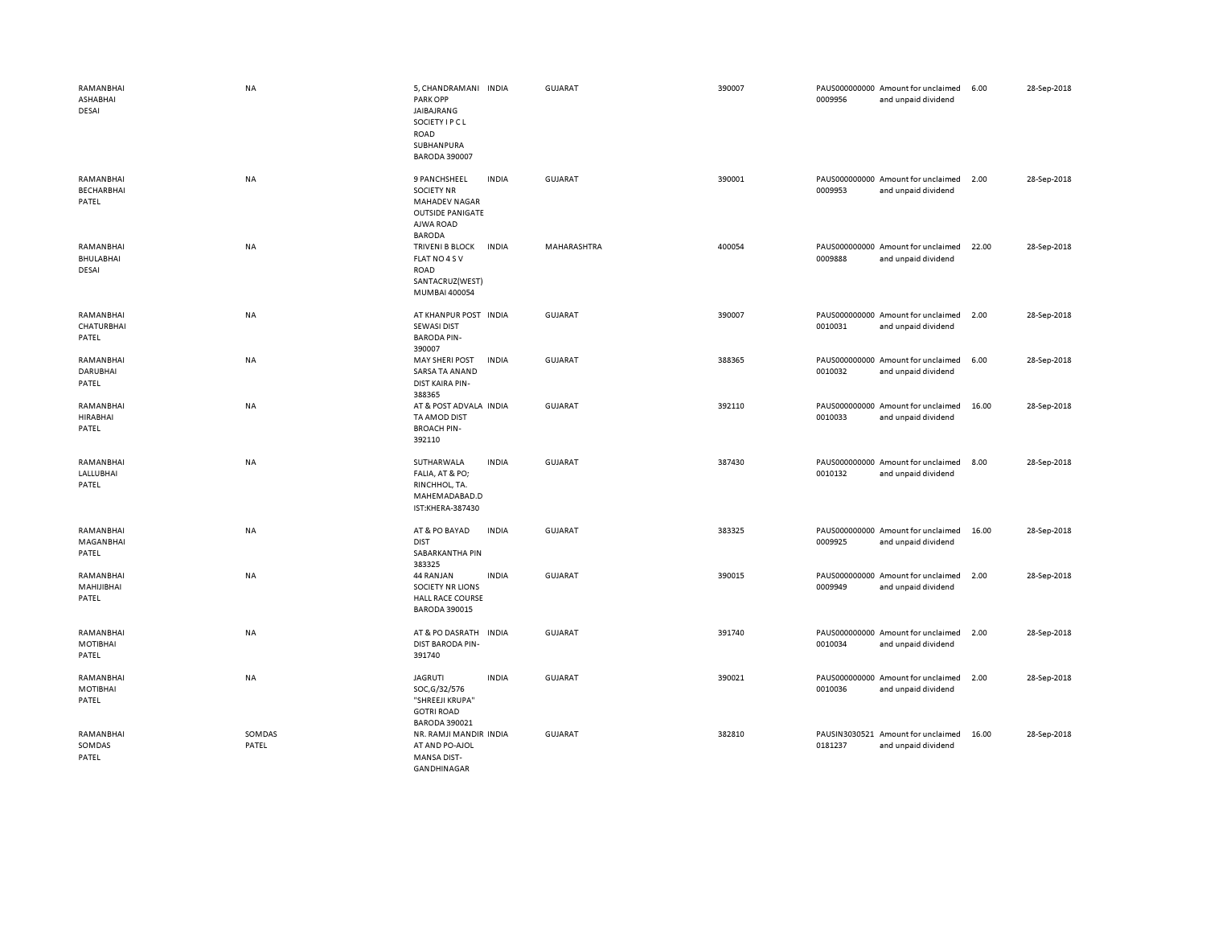| RAMANBHAI<br>ASHABHAI<br><b>DESAI</b>   | <b>NA</b>       | 5, CHANDRAMANI INDIA<br><b>PARK OPP</b><br>JAIBAJRANG<br>SOCIETY I P C L<br>ROAD<br>SUBHANPURA<br><b>BARODA 390007</b> |              | <b>GUJARAT</b> | 390007 | 0009956 | PAUS000000000 Amount for unclaimed<br>and unpaid dividend | 6.00  | 28-Sep-2018 |
|-----------------------------------------|-----------------|------------------------------------------------------------------------------------------------------------------------|--------------|----------------|--------|---------|-----------------------------------------------------------|-------|-------------|
| RAMANBHAI<br><b>BECHARBHAI</b><br>PATEL | NA              | 9 PANCHSHEEL<br><b>SOCIETY NR</b><br><b>MAHADEV NAGAR</b><br><b>OUTSIDE PANIGATE</b><br>AJWA ROAD<br><b>BARODA</b>     | <b>INDIA</b> | <b>GUJARAT</b> | 390001 | 0009953 | PAUS000000000 Amount for unclaimed<br>and unpaid dividend | 2.00  | 28-Sep-2018 |
| RAMANBHAI<br>BHULABHAI<br>DESAI         | NA              | TRIVENI B BLOCK<br>FLAT NO 4 S V<br>ROAD<br>SANTACRUZ(WEST)<br>MUMBAI 400054                                           | INDIA        | MAHARASHTRA    | 400054 | 0009888 | PAUS000000000 Amount for unclaimed<br>and unpaid dividend | 22.00 | 28-Sep-2018 |
| RAMANBHAI<br>CHATURBHAI<br>PATEL        | NA              | AT KHANPUR POST INDIA<br><b>SEWASI DIST</b><br><b>BARODA PIN-</b><br>390007                                            |              | <b>GUJARAT</b> | 390007 | 0010031 | PAUS000000000 Amount for unclaimed<br>and unpaid dividend | 2.00  | 28-Sep-2018 |
| RAMANBHAI<br><b>DARUBHAI</b><br>PATEL   | NA              | <b>MAY SHERI POST</b><br>SARSA TA ANAND<br>DIST KAIRA PIN-<br>388365                                                   | <b>INDIA</b> | <b>GUJARAT</b> | 388365 | 0010032 | PAUS000000000 Amount for unclaimed<br>and unpaid dividend | 6.00  | 28-Sep-2018 |
| RAMANBHAI<br><b>HIRABHAI</b><br>PATEL   | NA              | AT & POST ADVALA INDIA<br>TA AMOD DIST<br><b>BROACH PIN-</b><br>392110                                                 |              | <b>GUJARAT</b> | 392110 | 0010033 | PAUS000000000 Amount for unclaimed<br>and unpaid dividend | 16.00 | 28-Sep-2018 |
| RAMANBHAI<br>LALLUBHAI<br>PATEL         | <b>NA</b>       | SUTHARWALA<br>FALIA, AT & PO;<br>RINCHHOL, TA.<br>MAHEMADABAD.D<br>IST:KHERA-387430                                    | <b>INDIA</b> | GUJARAT        | 387430 | 0010132 | PAUS000000000 Amount for unclaimed<br>and unpaid dividend | 8.00  | 28-Sep-2018 |
| RAMANBHAI<br>MAGANBHAI<br>PATEL         | NA              | AT & PO BAYAD<br><b>DIST</b><br>SABARKANTHA PIN<br>383325                                                              | <b>INDIA</b> | <b>GUJARAT</b> | 383325 | 0009925 | PAUS000000000 Amount for unclaimed<br>and unpaid dividend | 16.00 | 28-Sep-2018 |
| RAMANBHAI<br>MAHIJIBHAI<br>PATEL        | <b>NA</b>       | 44 RANJAN<br>SOCIETY NR LIONS<br><b>HALL RACE COURSE</b><br><b>BARODA 390015</b>                                       | <b>INDIA</b> | <b>GUJARAT</b> | 390015 | 0009949 | PAUS000000000 Amount for unclaimed<br>and unpaid dividend | 2.00  | 28-Sep-2018 |
| RAMANBHAI<br>MOTIBHAI<br>PATEL          | NA              | AT & PO DASRATH INDIA<br><b>DIST BARODA PIN-</b><br>391740                                                             |              | GUJARAT        | 391740 | 0010034 | PAUS000000000 Amount for unclaimed<br>and unpaid dividend | 2.00  | 28-Sep-2018 |
| RAMANBHAI<br><b>MOTIBHAI</b><br>PATEL   | <b>NA</b>       | <b>JAGRUTI</b><br>SOC, G/32/576<br>"SHREEJI KRUPA"<br><b>GOTRI ROAD</b><br><b>BARODA 390021</b>                        | <b>INDIA</b> | GUJARAT        | 390021 | 0010036 | PAUS000000000 Amount for unclaimed<br>and unpaid dividend | 2.00  | 28-Sep-2018 |
| RAMANBHAI<br>SOMDAS<br>PATEL            | SOMDAS<br>PATEL | NR. RAMJI MANDIR INDIA<br>AT AND PO-AJOL<br><b>MANSA DIST-</b><br><b>GANDHINAGAR</b>                                   |              | GUJARAT        | 382810 | 0181237 | PAUSIN3030521 Amount for unclaimed<br>and unpaid dividend | 16.00 | 28-Sep-2018 |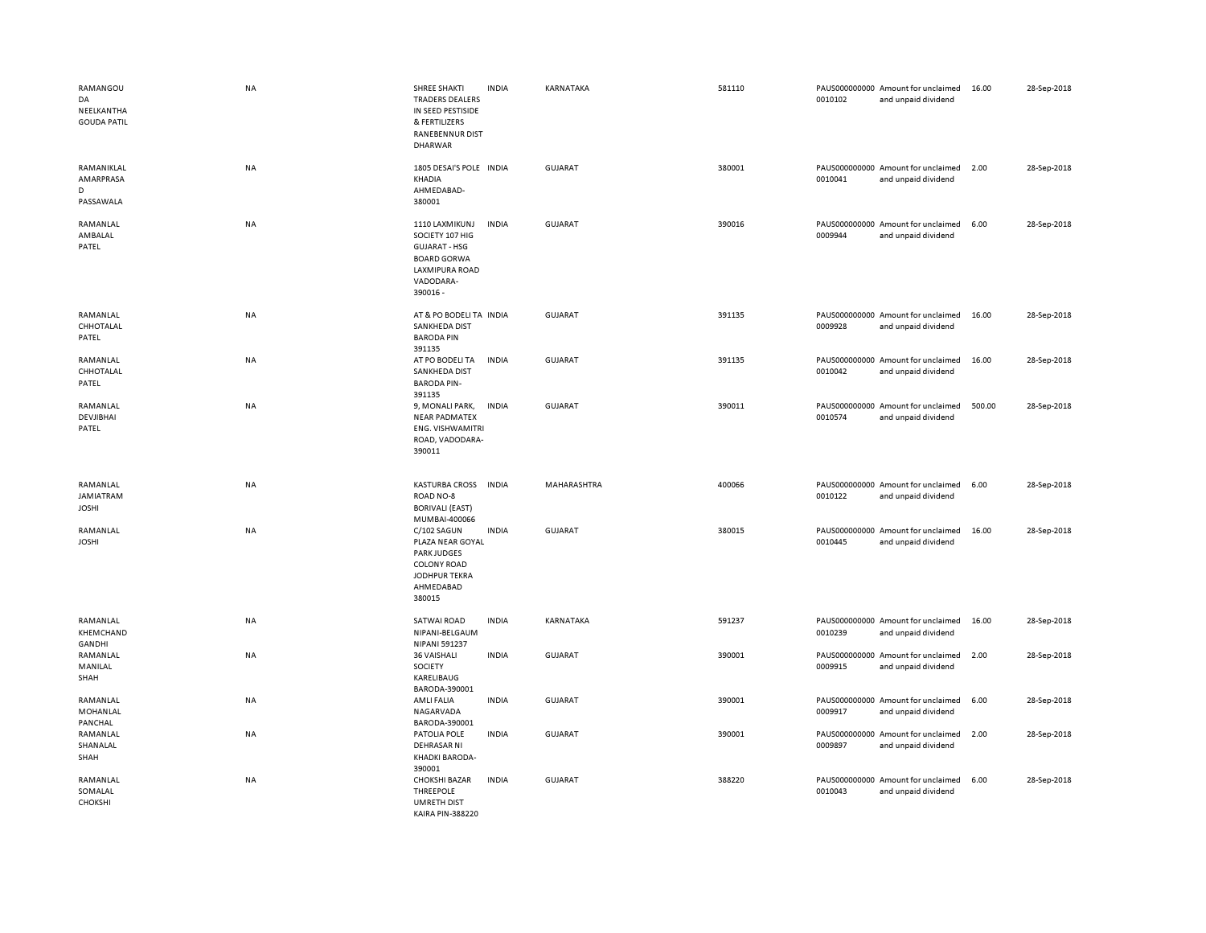| RAMANGOU<br>DA<br>NEELKANTHA<br><b>GOUDA PATIL</b> | <b>NA</b> | SHREE SHAKTI<br><b>TRADERS DEALERS</b><br>IN SEED PESTISIDE<br>& FERTILIZERS<br>RANEBENNUR DIST<br><b>DHARWAR</b>          | <b>INDIA</b> | KARNATAKA      | 581110 | 0010102 | PAUS000000000 Amount for unclaimed<br>and unpaid dividend | 16.00  | 28-Sep-2018 |
|----------------------------------------------------|-----------|----------------------------------------------------------------------------------------------------------------------------|--------------|----------------|--------|---------|-----------------------------------------------------------|--------|-------------|
| RAMANIKLAL<br>AMARPRASA<br>D<br>PASSAWALA          | NA        | 1805 DESAI'S POLE INDIA<br>KHADIA<br>AHMEDABAD-<br>380001                                                                  |              | <b>GUJARAT</b> | 380001 | 0010041 | PAUS000000000 Amount for unclaimed<br>and unpaid dividend | 2.00   | 28-Sep-2018 |
| RAMANLAL<br>AMBALAL<br>PATEL                       | <b>NA</b> | 1110 LAXMIKUNJ<br>SOCIETY 107 HIG<br><b>GUJARAT - HSG</b><br><b>BOARD GORWA</b><br>LAXMIPURA ROAD<br>VADODARA-<br>390016 - | <b>INDIA</b> | <b>GUJARAT</b> | 390016 | 0009944 | PAUS000000000 Amount for unclaimed<br>and unpaid dividend | 6.00   | 28-Sep-2018 |
| RAMANLAL<br>CHHOTALAL<br>PATEL                     | NA        | AT & PO BODELI TA INDIA<br>SANKHEDA DIST<br><b>BARODA PIN</b><br>391135                                                    |              | <b>GUJARAT</b> | 391135 | 0009928 | PAUS000000000 Amount for unclaimed<br>and unpaid dividend | 16.00  | 28-Sep-2018 |
| RAMANLAL<br>CHHOTALAL<br>PATEL                     | NA        | AT PO BODELI TA<br>SANKHEDA DIST<br><b>BARODA PIN-</b><br>391135                                                           | <b>INDIA</b> | GUJARAT        | 391135 | 0010042 | PAUS000000000 Amount for unclaimed<br>and unpaid dividend | 16.00  | 28-Sep-2018 |
| RAMANLAL<br>DEVJIBHAI<br>PATEL                     | <b>NA</b> | 9, MONALI PARK,<br><b>NEAR PADMATEX</b><br><b>ENG. VISHWAMITRI</b><br>ROAD, VADODARA-<br>390011                            | <b>INDIA</b> | <b>GUJARAT</b> | 390011 | 0010574 | PAUS000000000 Amount for unclaimed<br>and unpaid dividend | 500.00 | 28-Sep-2018 |
| RAMANLAL<br>JAMIATRAM<br><b>JOSHI</b>              | NA        | <b>KASTURBA CROSS</b><br>ROAD NO-8<br><b>BORIVALI (EAST)</b><br>MUMBAI-400066                                              | <b>INDIA</b> | MAHARASHTRA    | 400066 | 0010122 | PAUS000000000 Amount for unclaimed<br>and unpaid dividend | 6.00   | 28-Sep-2018 |
| RAMANLAL<br><b>JOSHI</b>                           | NA        | C/102 SAGUN<br>PLAZA NEAR GOYAL<br><b>PARK JUDGES</b><br><b>COLONY ROAD</b><br>JODHPUR TEKRA<br>AHMEDABAD<br>380015        | <b>INDIA</b> | GUJARAT        | 380015 | 0010445 | PAUS000000000 Amount for unclaimed<br>and unpaid dividend | 16.00  | 28-Sep-2018 |
| RAMANLAL<br>KHEMCHAND<br><b>GANDHI</b>             | NA        | SATWAI ROAD<br>NIPANI-BELGAUM<br>NIPANI 591237                                                                             | <b>INDIA</b> | KARNATAKA      | 591237 | 0010239 | PAUS000000000 Amount for unclaimed<br>and unpaid dividend | 16.00  | 28-Sep-2018 |
| RAMANLAL<br>MANILAL<br>SHAH                        | NA        | 36 VAISHALI<br>SOCIETY<br>KARELIBAUG<br>BARODA-390001                                                                      | <b>INDIA</b> | GUJARAT        | 390001 | 0009915 | PAUS000000000 Amount for unclaimed<br>and unpaid dividend | 2.00   | 28-Sep-2018 |
| RAMANLAL<br>MOHANLAL<br>PANCHAL                    | NA        | AMLI FALIA<br>NAGARVADA<br>BARODA-390001                                                                                   | <b>INDIA</b> | GUJARAT        | 390001 | 0009917 | PAUS000000000 Amount for unclaimed<br>and unpaid dividend | 6.00   | 28-Sep-2018 |
| RAMANLAL<br>SHANALAL<br>SHAH                       | NA        | PATOLIA POLE<br><b>DEHRASAR NI</b><br>KHADKI BARODA-<br>390001                                                             | <b>INDIA</b> | <b>GUJARAT</b> | 390001 | 0009897 | PAUS000000000 Amount for unclaimed<br>and unpaid dividend | 2.00   | 28-Sep-2018 |
| RAMANLAL<br>SOMALAL<br>CHOKSHI                     | NA        | <b>CHOKSHI BAZAR</b><br>THREEPOLE<br><b>UMRETH DIST</b>                                                                    | <b>INDIA</b> | <b>GUJARAT</b> | 388220 | 0010043 | PAUS000000000 Amount for unclaimed<br>and unpaid dividend | 6.00   | 28-Sep-2018 |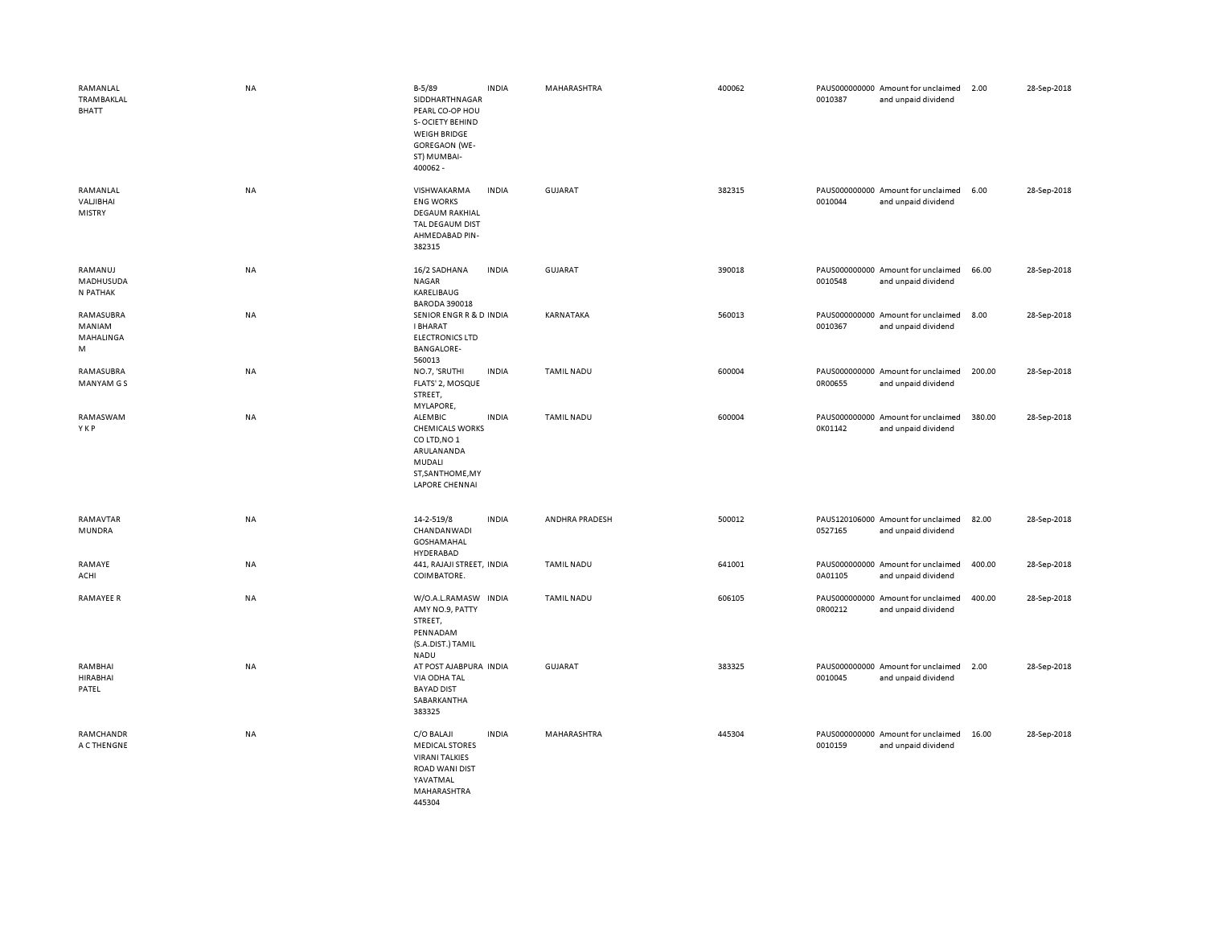| RAMANLAL<br><b>TRAMBAKLAL</b><br><b>BHATT</b> | NA        | $B-5/89$<br><b>INDIA</b><br>SIDDHARTHNAGAR<br>PEARL CO-OP HOU<br>S-OCIETY BEHIND<br><b>WEIGH BRIDGE</b><br><b>GOREGAON (WE-</b><br>ST) MUMBAI-<br>400062 - | MAHARASHTRA       | 400062 | PAUS000000000 Amount for unclaimed<br>0010387<br>and unpaid dividend | 2.00   | 28-Sep-2018 |
|-----------------------------------------------|-----------|------------------------------------------------------------------------------------------------------------------------------------------------------------|-------------------|--------|----------------------------------------------------------------------|--------|-------------|
| RAMANLAL<br>VALIBHAI<br><b>MISTRY</b>         | <b>NA</b> | VISHWAKARMA<br><b>INDIA</b><br><b>ENG WORKS</b><br><b>DEGAUM RAKHIAL</b><br>TAL DEGAUM DIST<br>AHMEDABAD PIN-<br>382315                                    | <b>GUJARAT</b>    | 382315 | PAUS000000000 Amount for unclaimed<br>0010044<br>and unpaid dividend | 6.00   | 28-Sep-2018 |
| RAMANUJ<br>MADHUSUDA<br>N PATHAK              | NA        | 16/2 SADHANA<br><b>INDIA</b><br><b>NAGAR</b><br>KARELIBAUG<br><b>BARODA 390018</b>                                                                         | <b>GUJARAT</b>    | 390018 | PAUS000000000 Amount for unclaimed<br>0010548<br>and unpaid dividend | 66.00  | 28-Sep-2018 |
| RAMASUBRA<br>MANIAM<br>MAHALINGA<br>M         | NA        | SENIOR ENGR R & D INDIA<br><b>I BHARAT</b><br><b>ELECTRONICS LTD</b><br><b>BANGALORE-</b><br>560013                                                        | KARNATAKA         | 560013 | PAUS000000000 Amount for unclaimed<br>0010367<br>and unpaid dividend | 8.00   | 28-Sep-2018 |
| RAMASUBRA<br><b>MANYAM GS</b>                 | NA        | NO.7, 'SRUTHI<br><b>INDIA</b><br>FLATS' 2, MOSQUE<br>STREET,<br>MYLAPORE,                                                                                  | <b>TAMIL NADU</b> | 600004 | PAUS000000000 Amount for unclaimed<br>0R00655<br>and unpaid dividend | 200.00 | 28-Sep-2018 |
| RAMASWAM<br>YKP                               | NA        | <b>INDIA</b><br>ALEMBIC<br><b>CHEMICALS WORKS</b><br>CO LTD, NO 1<br>ARULANANDA<br>MUDALI<br>ST, SANTHOME, MY<br><b>LAPORE CHENNAI</b>                     | TAMIL NADU        | 600004 | PAUS000000000 Amount for unclaimed<br>0K01142<br>and unpaid dividend | 380.00 | 28-Sep-2018 |
| RAMAVTAR<br>MUNDRA                            | NA        | 14-2-519/8<br><b>INDIA</b><br>CHANDANWADI<br>GOSHAMAHAL<br>HYDERABAD                                                                                       | ANDHRA PRADESH    | 500012 | PAUS120106000 Amount for unclaimed<br>0527165<br>and unpaid dividend | 82.00  | 28-Sep-2018 |
| RAMAYE<br>ACHI                                | NA        | 441, RAJAJI STREET, INDIA<br>COIMBATORE.                                                                                                                   | <b>TAMIL NADU</b> | 641001 | PAUS000000000 Amount for unclaimed<br>0A01105<br>and unpaid dividend | 400.00 | 28-Sep-2018 |
| <b>RAMAYEE R</b>                              | NA        | W/O.A.L.RAMASW INDIA<br>AMY NO.9, PATTY<br>STREET,<br>PENNADAM<br>(S.A.DIST.) TAMIL<br><b>NADU</b>                                                         | <b>TAMIL NADU</b> | 606105 | PAUS000000000 Amount for unclaimed<br>0R00212<br>and unpaid dividend | 400.00 | 28-Sep-2018 |
| RAMBHAI<br><b>HIRABHAI</b><br>PATEL           | NA        | AT POST AJABPURA INDIA<br>VIA ODHA TAL<br><b>BAYAD DIST</b><br>SABARKANTHA<br>383325                                                                       | GUJARAT           | 383325 | PAUS000000000 Amount for unclaimed<br>0010045<br>and unpaid dividend | 2.00   | 28-Sep-2018 |
| RAMCHANDR<br>A C THENGNE                      | NA        | C/O BALAJI<br><b>INDIA</b><br><b>MEDICAL STORES</b><br><b>VIRANI TALKIES</b><br>ROAD WANI DIST<br>YAVATMAL<br>MAHARASHTRA<br>445304                        | MAHARASHTRA       | 445304 | PAUS000000000 Amount for unclaimed<br>0010159<br>and unpaid dividend | 16.00  | 28-Sep-2018 |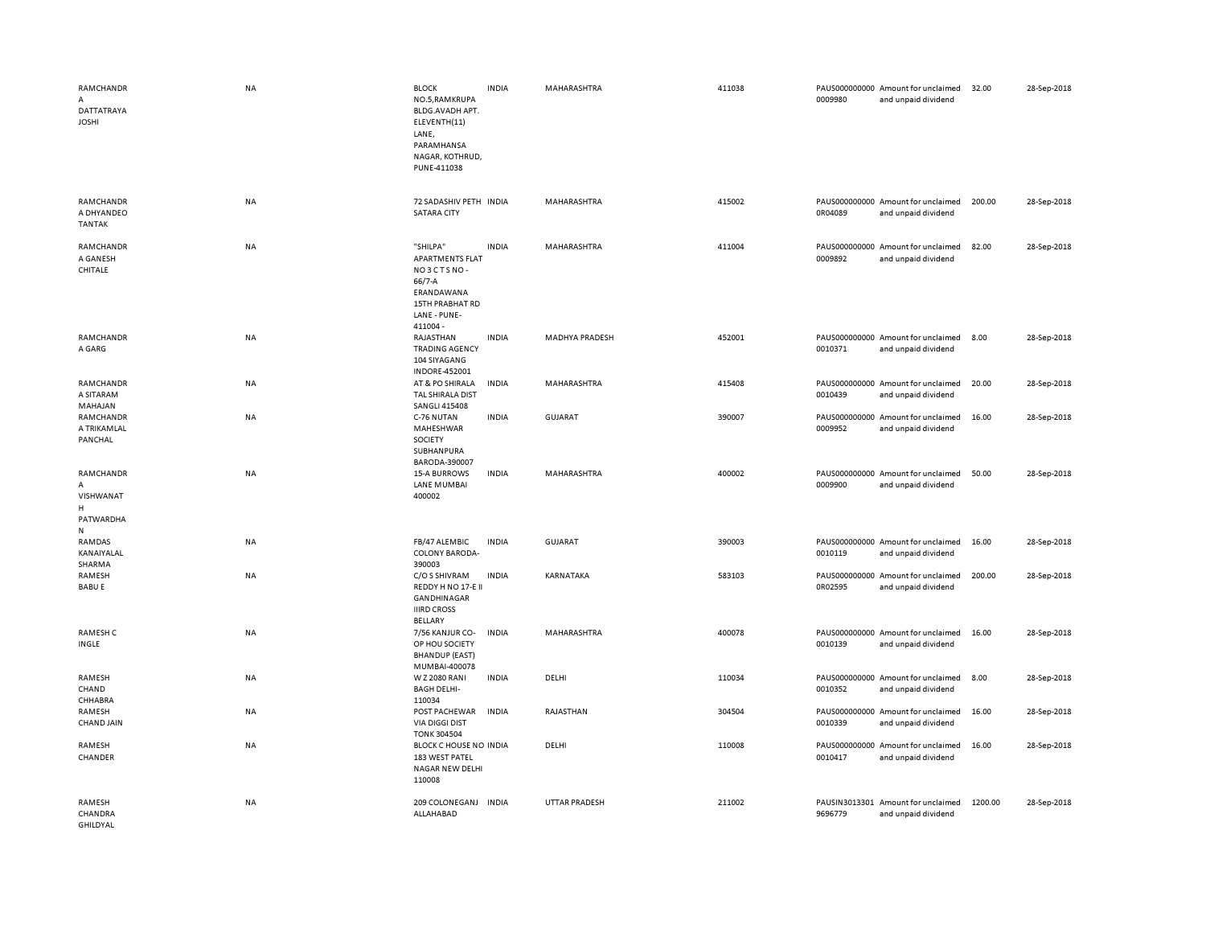| RAMCHANDR<br>A<br>DATTATRAYA<br><b>JOSHI</b>                  | <b>NA</b> | <b>BLOCK</b><br>NO.5, RAMKRUPA<br>BLDG.AVADH APT.<br>ELEVENTH(11)<br>LANE,<br>PARAMHANSA<br>NAGAR, KOTHRUD,<br>PUNE-411038 | <b>INDIA</b> | MAHARASHTRA          | 411038 | 0009980 | PAUS000000000 Amount for unclaimed<br>and unpaid dividend | 32.00   | 28-Sep-2018 |
|---------------------------------------------------------------|-----------|----------------------------------------------------------------------------------------------------------------------------|--------------|----------------------|--------|---------|-----------------------------------------------------------|---------|-------------|
| RAMCHANDR<br>A DHYANDEO<br><b>TANTAK</b>                      | <b>NA</b> | 72 SADASHIV PETH INDIA<br><b>SATARA CITY</b>                                                                               |              | MAHARASHTRA          | 415002 | 0R04089 | PAUS000000000 Amount for unclaimed<br>and unpaid dividend | 200.00  | 28-Sep-2018 |
| RAMCHANDR<br>A GANESH<br>CHITALE                              | NA        | "SHILPA"<br><b>APARTMENTS FLAT</b><br>NO3CTSNO-<br>$66/7 - A$<br>ERANDAWANA<br>15TH PRABHAT RD<br>LANE - PUNE-<br>411004-  | <b>INDIA</b> | MAHARASHTRA          | 411004 | 0009892 | PAUS000000000 Amount for unclaimed<br>and unpaid dividend | 82.00   | 28-Sep-2018 |
| RAMCHANDR<br>A GARG                                           | <b>NA</b> | RAJASTHAN<br><b>TRADING AGENCY</b><br>104 SIYAGANG<br><b>INDORE-452001</b>                                                 | <b>INDIA</b> | MADHYA PRADESH       | 452001 | 0010371 | PAUS000000000 Amount for unclaimed<br>and unpaid dividend | 8.00    | 28-Sep-2018 |
| RAMCHANDR<br>A SITARAM<br>MAHAJAN                             | NA        | AT & PO SHIRALA<br>TAL SHIRALA DIST<br><b>SANGLI 415408</b>                                                                | <b>INDIA</b> | MAHARASHTRA          | 415408 | 0010439 | PAUS000000000 Amount for unclaimed<br>and unpaid dividend | 20.00   | 28-Sep-2018 |
| RAMCHANDR<br>A TRIKAMLAL<br>PANCHAL                           | <b>NA</b> | C-76 NUTAN<br>MAHESHWAR<br>SOCIETY<br>SUBHANPURA                                                                           | <b>INDIA</b> | <b>GUJARAT</b>       | 390007 | 0009952 | PAUS000000000 Amount for unclaimed<br>and unpaid dividend | 16.00   | 28-Sep-2018 |
| RAMCHANDR<br>$\mathsf{A}$<br>VISHWANAT<br>H<br>PATWARDHA<br>N | <b>NA</b> | BARODA-390007<br><b>15-A BURROWS</b><br><b>LANE MUMBAI</b><br>400002                                                       | <b>INDIA</b> | MAHARASHTRA          | 400002 | 0009900 | PAUS000000000 Amount for unclaimed<br>and unpaid dividend | 50.00   | 28-Sep-2018 |
| RAMDAS<br>KANAIYALAL<br>SHARMA                                | <b>NA</b> | FB/47 ALEMBIC<br>COLONY BARODA-<br>390003                                                                                  | <b>INDIA</b> | <b>GUJARAT</b>       | 390003 | 0010119 | PAUS000000000 Amount for unclaimed<br>and unpaid dividend | 16.00   | 28-Sep-2018 |
| RAMESH<br><b>BABU E</b>                                       | <b>NA</b> | C/O S SHIVRAM<br>REDDY H NO 17-E II<br>GANDHINAGAR<br><b>IIIRD CROSS</b><br><b>BELLARY</b>                                 | <b>INDIA</b> | KARNATAKA            | 583103 | 0R02595 | PAUS000000000 Amount for unclaimed<br>and unpaid dividend | 200.00  | 28-Sep-2018 |
| RAMESH C<br>INGLE                                             | NA        | 7/56 KANJUR CO-<br>OP HOU SOCIETY<br><b>BHANDUP (EAST)</b><br>MUMBAI-400078                                                | <b>INDIA</b> | MAHARASHTRA          | 400078 | 0010139 | PAUS000000000 Amount for unclaimed<br>and unpaid dividend | 16.00   | 28-Sep-2018 |
| RAMESH<br>CHAND<br>CHHABRA                                    | <b>NA</b> | W Z 2080 RANI<br><b>BAGH DELHI-</b><br>110034                                                                              | <b>INDIA</b> | DELHI                | 110034 | 0010352 | PAUS000000000 Amount for unclaimed<br>and unpaid dividend | 8.00    | 28-Sep-2018 |
| RAMESH<br>CHAND JAIN                                          | <b>NA</b> | POST PACHEWAR<br><b>VIA DIGGI DIST</b><br><b>TONK 304504</b>                                                               | <b>INDIA</b> | RAJASTHAN            | 304504 | 0010339 | PAUS000000000 Amount for unclaimed<br>and unpaid dividend | 16.00   | 28-Sep-2018 |
| RAMESH<br>CHANDER                                             | <b>NA</b> | BLOCK C HOUSE NO INDIA<br>183 WEST PATEL<br>NAGAR NEW DELHI<br>110008                                                      |              | DELHI                | 110008 | 0010417 | PAUS000000000 Amount for unclaimed<br>and unpaid dividend | 16.00   | 28-Sep-2018 |
| RAMESH<br>CHANDRA<br>GHILDYAL                                 | <b>NA</b> | 209 COLONEGANJ INDIA<br>ALLAHABAD                                                                                          |              | <b>UTTAR PRADESH</b> | 211002 | 9696779 | PAUSIN3013301 Amount for unclaimed<br>and unpaid dividend | 1200.00 | 28-Sep-2018 |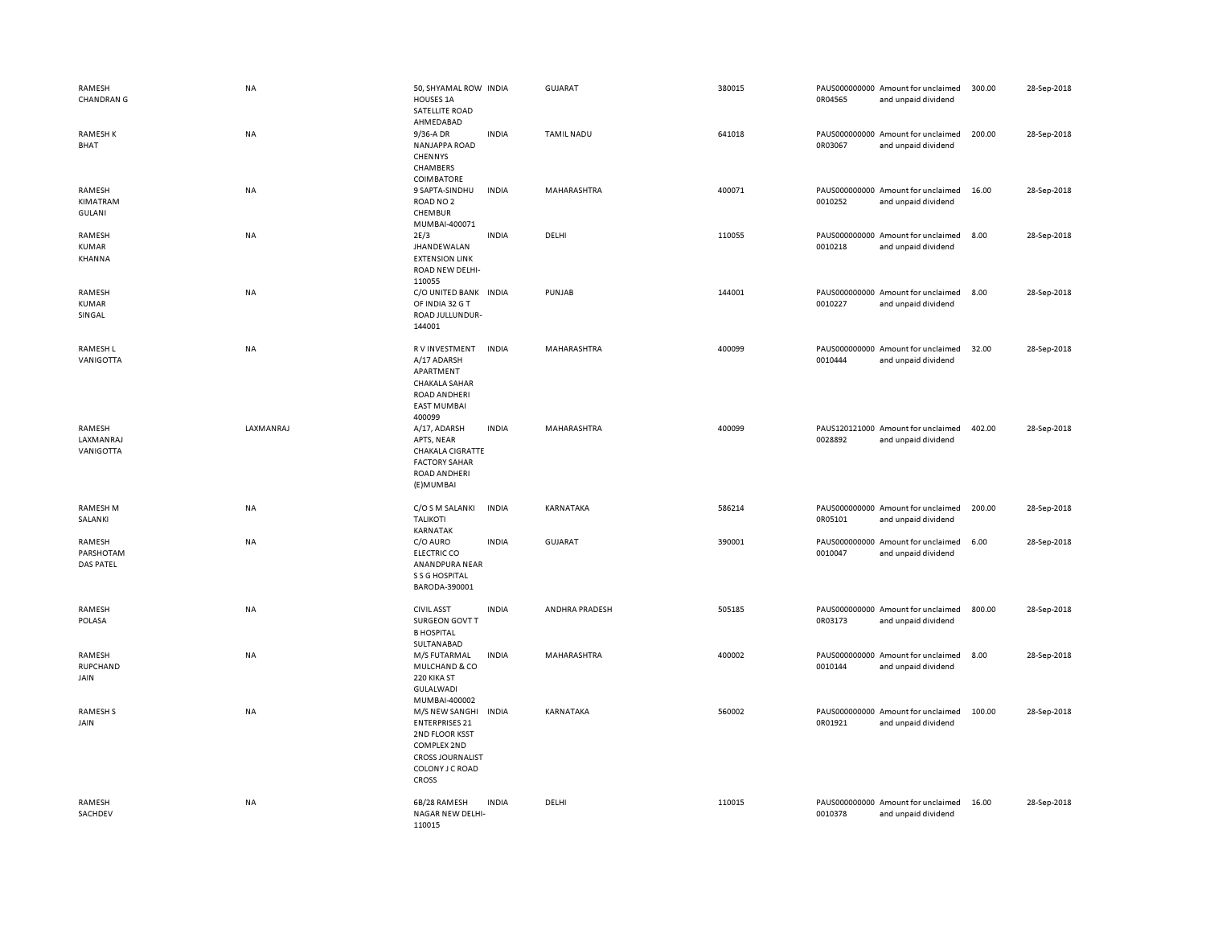| RAMESH<br><b>CHANDRAN G</b>             | <b>NA</b> | 50, SHYAMAL ROW INDIA<br>HOUSES 1A<br>SATELLITE ROAD<br>AHMEDABAD                                                                      |              | <b>GUJARAT</b>    | 380015 | 0R04565 | PAUS000000000 Amount for unclaimed<br>and unpaid dividend | 300.00 | 28-Sep-2018 |
|-----------------------------------------|-----------|----------------------------------------------------------------------------------------------------------------------------------------|--------------|-------------------|--------|---------|-----------------------------------------------------------|--------|-------------|
| <b>RAMESHK</b><br>BHAT                  | NA        | 9/36-A DR<br><b>NANJAPPA ROAD</b><br>CHENNYS<br>CHAMBERS<br>COIMBATORE                                                                 | <b>INDIA</b> | <b>TAMIL NADU</b> | 641018 | 0R03067 | PAUS000000000 Amount for unclaimed<br>and unpaid dividend | 200.00 | 28-Sep-2018 |
| RAMESH<br>KIMATRAM<br><b>GULANI</b>     | <b>NA</b> | 9 SAPTA-SINDHU<br>ROAD NO <sub>2</sub><br>CHEMBUR<br>MUMBAI-400071                                                                     | <b>INDIA</b> | MAHARASHTRA       | 400071 | 0010252 | PAUS000000000 Amount for unclaimed<br>and unpaid dividend | 16.00  | 28-Sep-2018 |
| RAMESH<br>KUMAR<br>KHANNA               | NA        | 2E/3<br><b>JHANDEWALAN</b><br><b>EXTENSION LINK</b><br>ROAD NEW DELHI-<br>110055                                                       | <b>INDIA</b> | DELHI             | 110055 | 0010218 | PAUS000000000 Amount for unclaimed<br>and unpaid dividend | 8.00   | 28-Sep-2018 |
| RAMESH<br><b>KUMAR</b><br>SINGAL        | NA        | C/O UNITED BANK INDIA<br>OF INDIA 32 G T<br>ROAD JULLUNDUR-<br>144001                                                                  |              | PUNJAB            | 144001 | 0010227 | PAUS000000000 Amount for unclaimed<br>and unpaid dividend | 8.00   | 28-Sep-2018 |
| RAMESH L<br>VANIGOTTA                   | NA        | R V INVESTMENT<br>A/17 ADARSH<br>APARTMENT<br><b>CHAKALA SAHAR</b><br><b>ROAD ANDHERI</b><br><b>EAST MUMBAI</b><br>400099              | <b>INDIA</b> | MAHARASHTRA       | 400099 | 0010444 | PAUS000000000 Amount for unclaimed<br>and unpaid dividend | 32.00  | 28-Sep-2018 |
| RAMESH<br>LAXMANRAJ<br>VANIGOTTA        | LAXMANRAJ | A/17, ADARSH<br>APTS, NEAR<br><b>CHAKALA CIGRATTE</b><br><b>FACTORY SAHAR</b><br>ROAD ANDHERI<br>(E) MUMBAI                            | <b>INDIA</b> | MAHARASHTRA       | 400099 | 0028892 | PAUS120121000 Amount for unclaimed<br>and unpaid dividend | 402.00 | 28-Sep-2018 |
| <b>RAMESH M</b><br>SALANKI              | NA        | C/O S M SALANKI<br><b>TALIKOTI</b><br><b>KARNATAK</b>                                                                                  | <b>INDIA</b> | KARNATAKA         | 586214 | 0R05101 | PAUS000000000 Amount for unclaimed<br>and unpaid dividend | 200.00 | 28-Sep-2018 |
| RAMESH<br>PARSHOTAM<br><b>DAS PATEL</b> | NA        | C/O AURO<br><b>ELECTRIC CO</b><br>ANANDPURA NEAR<br>S S G HOSPITAL<br>BARODA-390001                                                    | <b>INDIA</b> | <b>GUJARAT</b>    | 390001 | 0010047 | PAUS000000000 Amount for unclaimed<br>and unpaid dividend | 6.00   | 28-Sep-2018 |
| RAMESH<br>POLASA                        | NA        | <b>CIVIL ASST</b><br>SURGEON GOVT T<br><b>B HOSPITAL</b><br>SULTANABAD                                                                 | <b>INDIA</b> | ANDHRA PRADESH    | 505185 | 0R03173 | PAUS000000000 Amount for unclaimed<br>and unpaid dividend | 800.00 | 28-Sep-2018 |
| RAMESH<br>RUPCHAND<br>JAIN              | NA        | M/S FUTARMAL<br>MULCHAND & CO<br>220 KIKA ST<br>GULALWADI<br>MUMBAI-400002                                                             | <b>INDIA</b> | MAHARASHTRA       | 400002 | 0010144 | PAUS000000000 Amount for unclaimed<br>and unpaid dividend | 8.00   | 28-Sep-2018 |
| <b>RAMESHS</b><br>JAIN                  | NA        | M/S NEW SANGHI<br><b>ENTERPRISES 21</b><br>2ND FLOOR KSST<br>COMPLEX 2ND<br><b>CROSS JOURNALIST</b><br>COLONY J C ROAD<br><b>CROSS</b> | INDIA        | KARNATAKA         | 560002 | 0R01921 | PAUS000000000 Amount for unclaimed<br>and unpaid dividend | 100.00 | 28-Sep-2018 |
| RAMESH<br>SACHDEV                       | <b>NA</b> | 6B/28 RAMESH<br>NAGAR NEW DELHI-<br>110015                                                                                             | <b>INDIA</b> | DELHI             | 110015 | 0010378 | PAUS000000000 Amount for unclaimed<br>and unpaid dividend | 16.00  | 28-Sep-2018 |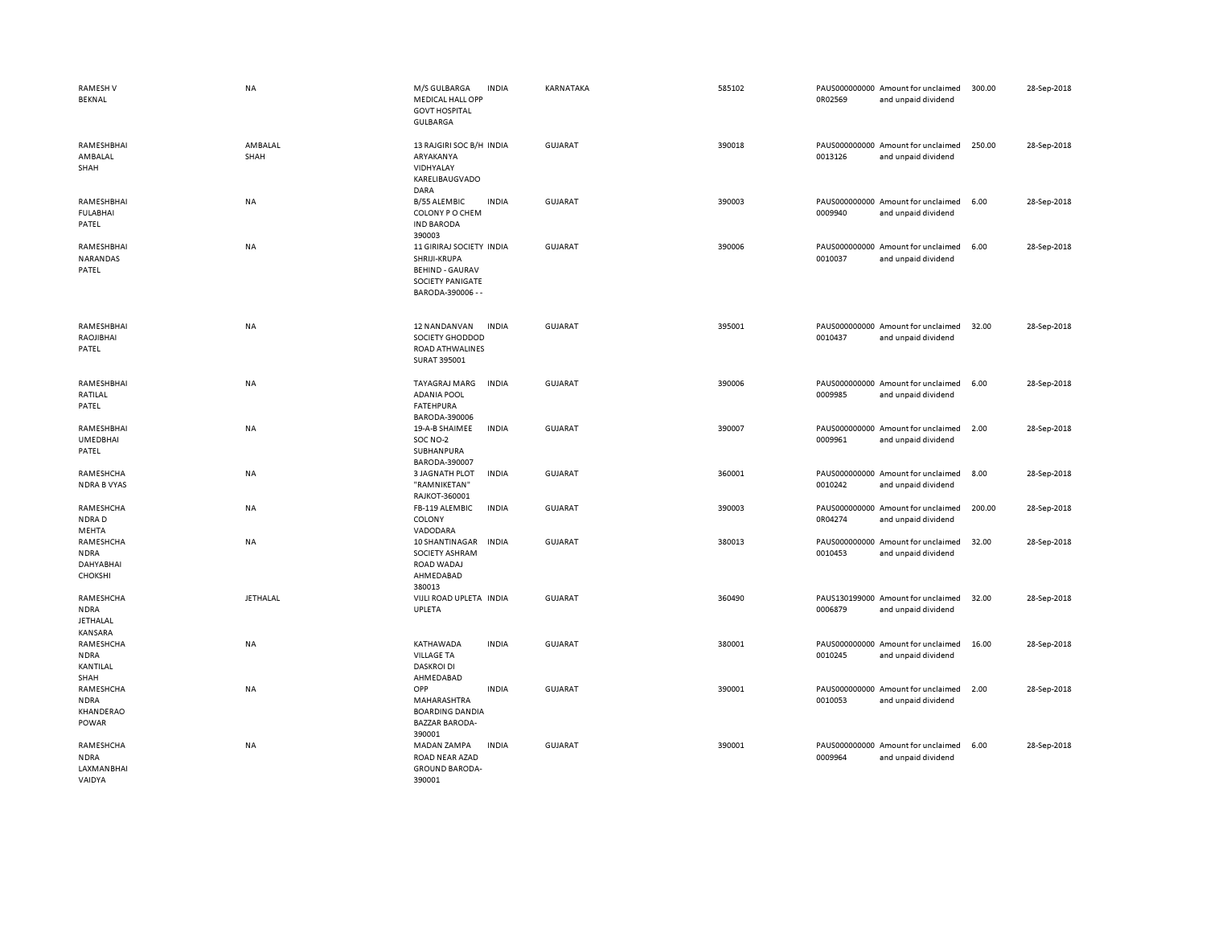| <b>RAMESHV</b><br>BEKNAL                               | NA              | M/S GULBARGA<br><b>MEDICAL HALL OPP</b><br><b>GOVT HOSPITAL</b><br><b>GULBARGA</b>                                 | <b>INDIA</b> | KARNATAKA      | 585102 | 0R02569 | PAUS000000000 Amount for unclaimed<br>and unpaid dividend | 300.00 | 28-Sep-2018 |
|--------------------------------------------------------|-----------------|--------------------------------------------------------------------------------------------------------------------|--------------|----------------|--------|---------|-----------------------------------------------------------|--------|-------------|
| RAMESHBHAI<br>AMBALAL<br>SHAH                          | AMBALAL<br>SHAH | 13 RAJGIRI SOC B/H INDIA<br>ARYAKANYA<br>VIDHYALAY<br>KARELIBAUGVADO<br>DARA                                       |              | <b>GUJARAT</b> | 390018 | 0013126 | PAUS000000000 Amount for unclaimed<br>and unpaid dividend | 250.00 | 28-Sep-2018 |
| RAMESHBHAI<br><b>FULABHAI</b><br>PATEL                 | NA              | <b>B/55 ALEMBIC</b><br>COLONY P O CHEM<br><b>IND BARODA</b><br>390003                                              | <b>INDIA</b> | <b>GUJARAT</b> | 390003 | 0009940 | PAUS000000000 Amount for unclaimed<br>and unpaid dividend | 6.00   | 28-Sep-2018 |
| RAMESHBHAI<br>NARANDAS<br>PATEL                        | NA              | 11 GIRIRAJ SOCIETY INDIA<br>SHRIJI-KRUPA<br><b>BEHIND - GAURAV</b><br><b>SOCIETY PANIGATE</b><br>BARODA-390006 - - |              | <b>GUJARAT</b> | 390006 | 0010037 | PAUS000000000 Amount for unclaimed<br>and unpaid dividend | 6.00   | 28-Sep-2018 |
| RAMESHBHAI<br>RAOJIBHAI<br>PATEL                       | <b>NA</b>       | 12 NANDANVAN<br>SOCIETY GHODDOD<br>ROAD ATHWALINES<br>SURAT 395001                                                 | <b>INDIA</b> | GUJARAT        | 395001 | 0010437 | PAUS000000000 Amount for unclaimed<br>and unpaid dividend | 32.00  | 28-Sep-2018 |
| RAMESHBHAI<br>RATILAL<br>PATEL                         | <b>NA</b>       | TAYAGRAJ MARG<br><b>ADANIA POOL</b><br><b>FATEHPURA</b><br>BARODA-390006                                           | <b>INDIA</b> | GUJARAT        | 390006 | 0009985 | PAUS000000000 Amount for unclaimed<br>and unpaid dividend | 6.00   | 28-Sep-2018 |
| RAMESHBHAI<br><b>UMEDBHAI</b><br>PATEL                 | NA              | 19-A-B SHAIMEE<br>SOC NO-2<br>SUBHANPURA<br>BARODA-390007                                                          | <b>INDIA</b> | <b>GUJARAT</b> | 390007 | 0009961 | PAUS000000000 Amount for unclaimed<br>and unpaid dividend | 2.00   | 28-Sep-2018 |
| RAMESHCHA<br><b>NDRA B VYAS</b>                        | <b>NA</b>       | <b>3 JAGNATH PLOT</b><br>"RAMNIKETAN"<br>RAJKOT-360001                                                             | <b>INDIA</b> | <b>GUJARAT</b> | 360001 | 0010242 | PAUS000000000 Amount for unclaimed<br>and unpaid dividend | 8.00   | 28-Sep-2018 |
| RAMESHCHA<br>NDRAD<br>MEHTA                            | NA              | FB-119 ALEMBIC<br>COLONY<br>VADODARA                                                                               | <b>INDIA</b> | <b>GUJARAT</b> | 390003 | 0R04274 | PAUS000000000 Amount for unclaimed<br>and unpaid dividend | 200.00 | 28-Sep-2018 |
| RAMESHCHA<br><b>NDRA</b><br>DAHYABHAI<br>CHOKSHI       | NA              | 10 SHANTINAGAR<br>SOCIETY ASHRAM<br>ROAD WADAJ<br>AHMEDABAD<br>380013                                              | <b>INDIA</b> | <b>GUJARAT</b> | 380013 | 0010453 | PAUS000000000 Amount for unclaimed<br>and unpaid dividend | 32.00  | 28-Sep-2018 |
| RAMESHCHA<br><b>NDRA</b><br><b>JETHALAL</b><br>KANSARA | JETHALAL        | VIJLI ROAD UPLETA INDIA<br>UPLETA                                                                                  |              | <b>GUJARAT</b> | 360490 | 0006879 | PAUS130199000 Amount for unclaimed<br>and unpaid dividend | 32.00  | 28-Sep-2018 |
| RAMESHCHA<br><b>NDRA</b><br>KANTILAL<br>SHAH           | <b>NA</b>       | KATHAWADA<br><b>VILLAGE TA</b><br><b>DASKROI DI</b><br>AHMEDABAD                                                   | <b>INDIA</b> | <b>GUJARAT</b> | 380001 | 0010245 | PAUS000000000 Amount for unclaimed<br>and unpaid dividend | 16.00  | 28-Sep-2018 |
| RAMESHCHA<br><b>NDRA</b><br>KHANDERAO<br>POWAR         | <b>NA</b>       | OPP<br><b>MAHARASHTRA</b><br><b>BOARDING DANDIA</b><br><b>BAZZAR BARODA-</b><br>390001                             | <b>INDIA</b> | GUJARAT        | 390001 | 0010053 | PAUS000000000 Amount for unclaimed<br>and unpaid dividend | 2.00   | 28-Sep-2018 |
| RAMESHCHA<br><b>NDRA</b><br>LAXMANBHAI<br>VAIDYA       | <b>NA</b>       | MADAN ZAMPA<br>ROAD NEAR AZAD<br><b>GROUND BARODA-</b><br>390001                                                   | <b>INDIA</b> | GUJARAT        | 390001 | 0009964 | PAUS000000000 Amount for unclaimed<br>and unpaid dividend | 6.00   | 28-Sep-2018 |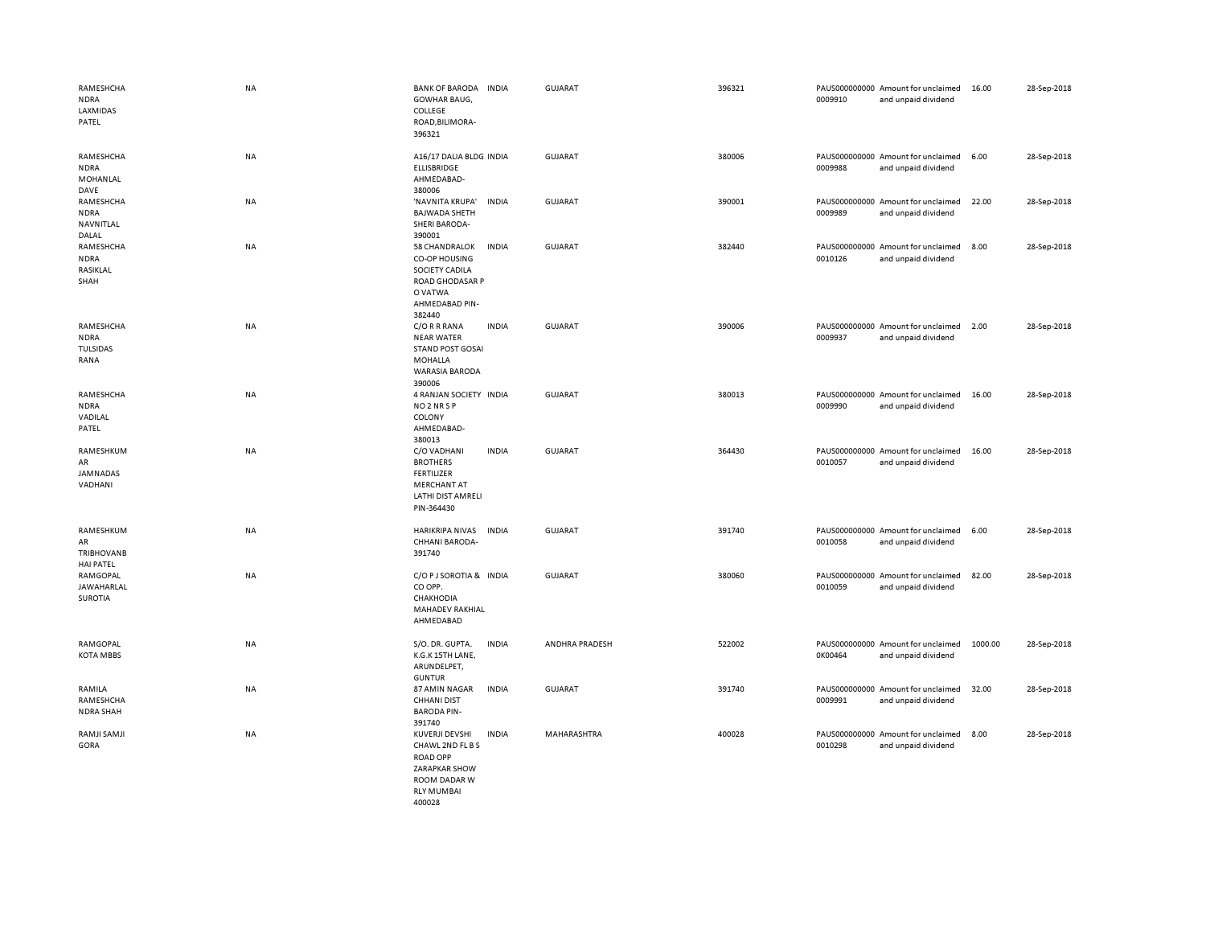| RAMESHCHA<br><b>NDRA</b><br>LAXMIDAS<br>PATEL            | <b>NA</b> | <b>BANK OF BARODA</b><br><b>GOWHAR BAUG,</b><br>COLLEGE<br>ROAD, BILIMORA-<br>396321                                        | <b>INDIA</b> | <b>GUJARAT</b> | 396321 | 0009910 | PAUS000000000 Amount for unclaimed<br>and unpaid dividend | 16.00   | 28-Sep-2018 |
|----------------------------------------------------------|-----------|-----------------------------------------------------------------------------------------------------------------------------|--------------|----------------|--------|---------|-----------------------------------------------------------|---------|-------------|
| RAMESHCHA<br><b>NDRA</b><br>MOHANLAL                     | NA        | A16/17 DALIA BLDG INDIA<br>ELLISBRIDGE<br>AHMEDABAD-                                                                        |              | <b>GUJARAT</b> | 380006 | 0009988 | PAUS000000000 Amount for unclaimed<br>and unpaid dividend | 6.00    | 28-Sep-2018 |
| DAVE<br>RAMESHCHA<br><b>NDRA</b><br>NAVNITLAL            | NA        | 380006<br>'NAVNITA KRUPA'<br><b>BAJWADA SHETH</b><br><b>SHERI BARODA-</b>                                                   | <b>INDIA</b> | <b>GUJARAT</b> | 390001 | 0009989 | PAUS000000000 Amount for unclaimed<br>and unpaid dividend | 22.00   | 28-Sep-2018 |
| DALAL<br>RAMESHCHA<br><b>NDRA</b><br>RASIKLAL<br>SHAH    | NA        | 390001<br>58 CHANDRALOK<br>CO-OP HOUSING<br>SOCIETY CADILA<br><b>ROAD GHODASAR P</b><br>O VATWA<br>AHMEDABAD PIN-<br>382440 | <b>INDIA</b> | GUJARAT        | 382440 | 0010126 | PAUS000000000 Amount for unclaimed<br>and unpaid dividend | 8.00    | 28-Sep-2018 |
| RAMESHCHA<br><b>NDRA</b><br><b>TULSIDAS</b><br>RANA      | NA        | C/O R R RANA<br><b>NEAR WATER</b><br><b>STAND POST GOSAI</b><br><b>MOHALLA</b><br><b>WARASIA BARODA</b><br>390006           | <b>INDIA</b> | <b>GUJARAT</b> | 390006 | 0009937 | PAUS000000000 Amount for unclaimed<br>and unpaid dividend | 2.00    | 28-Sep-2018 |
| RAMESHCHA<br><b>NDRA</b><br>VADILAL<br>PATEL             | <b>NA</b> | 4 RANJAN SOCIETY INDIA<br>NO <sub>2</sub> NR <sub>SP</sub><br>COLONY<br>AHMEDABAD-<br>380013                                |              | <b>GUJARAT</b> | 380013 | 0009990 | PAUS000000000 Amount for unclaimed<br>and unpaid dividend | 16.00   | 28-Sep-2018 |
| RAMESHKUM<br>AR<br>JAMNADAS<br>VADHANI                   | <b>NA</b> | C/O VADHANI<br><b>BROTHERS</b><br><b>FERTILIZER</b><br><b>MERCHANT AT</b><br>LATHI DIST AMRELI<br>PIN-364430                | <b>INDIA</b> | <b>GUJARAT</b> | 364430 | 0010057 | PAUS000000000 Amount for unclaimed<br>and unpaid dividend | 16.00   | 28-Sep-2018 |
| RAMESHKUM<br>AR<br><b>TRIBHOVANB</b><br><b>HAI PATEL</b> | <b>NA</b> | <b>HARIKRIPA NIVAS</b><br>CHHANI BARODA-<br>391740                                                                          | <b>INDIA</b> | <b>GUJARAT</b> | 391740 | 0010058 | PAUS000000000 Amount for unclaimed<br>and unpaid dividend | 6.00    | 28-Sep-2018 |
| RAMGOPAL<br>JAWAHARLAL<br>SUROTIA                        | NA        | C/O P J SOROTIA & INDIA<br>CO OPP.<br>CHAKHODIA<br>MAHADEV RAKHIAL<br>AHMEDABAD                                             |              | <b>GUJARAT</b> | 380060 | 0010059 | PAUS000000000 Amount for unclaimed<br>and unpaid dividend | 82.00   | 28-Sep-2018 |
| RAMGOPAL<br><b>KOTA MBBS</b>                             | NA        | S/O. DR. GUPTA.<br>K.G.K 15TH LANE,<br>ARUNDELPET,<br><b>GUNTUR</b>                                                         | <b>INDIA</b> | ANDHRA PRADESH | 522002 | 0K00464 | PAUS000000000 Amount for unclaimed<br>and unpaid dividend | 1000.00 | 28-Sep-2018 |
| RAMILA<br>RAMESHCHA<br><b>NDRA SHAH</b>                  | <b>NA</b> | 87 AMIN NAGAR<br><b>CHHANI DIST</b><br><b>BARODA PIN-</b><br>391740                                                         | <b>INDIA</b> | <b>GUJARAT</b> | 391740 | 0009991 | PAUS000000000 Amount for unclaimed<br>and unpaid dividend | 32.00   | 28-Sep-2018 |
| RAMJI SAMJI<br>GORA                                      | NA        | KUVERJI DEVSHI<br>CHAWL 2ND FL B S<br><b>ROAD OPP</b><br>ZARAPKAR SHOW<br>ROOM DADAR W<br><b>RLY MUMBAI</b><br>400028       | <b>INDIA</b> | MAHARASHTRA    | 400028 | 0010298 | PAUS000000000 Amount for unclaimed<br>and unpaid dividend | 8.00    | 28-Sep-2018 |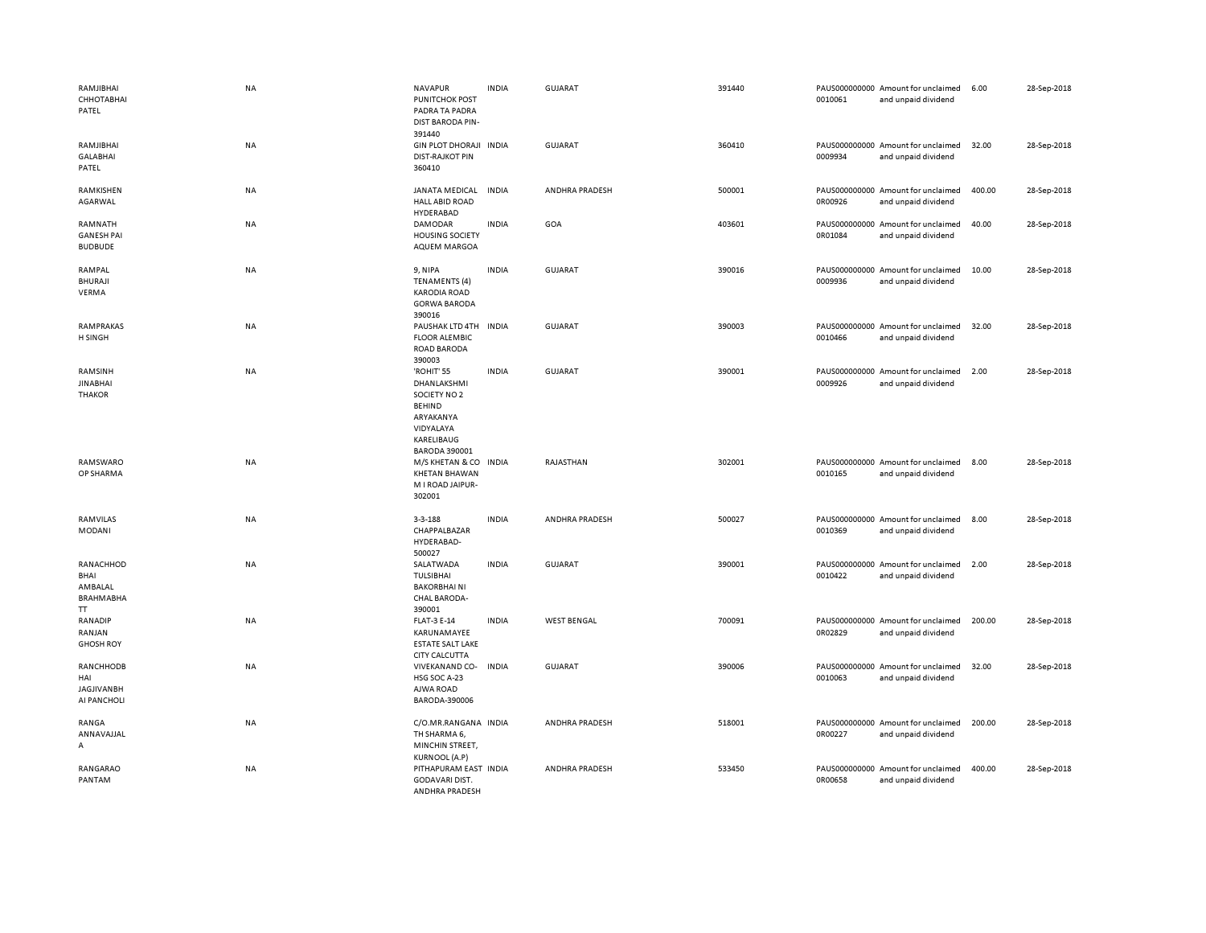| RAMJIBHAI<br>СННОТАВНАІ<br>PATEL                        | <b>NA</b> | <b>NAVAPUR</b><br><b>PUNITCHOK POST</b><br>PADRA TA PADRA<br><b>DIST BARODA PIN-</b><br>391440                                    | <b>INDIA</b> | <b>GUJARAT</b>     | 391440 | 0010061 | PAUS000000000 Amount for unclaimed<br>and unpaid dividend | 6.00   | 28-Sep-2018 |
|---------------------------------------------------------|-----------|-----------------------------------------------------------------------------------------------------------------------------------|--------------|--------------------|--------|---------|-----------------------------------------------------------|--------|-------------|
| RAMJIBHAI<br><b>GALABHAI</b><br>PATEL                   | <b>NA</b> | GIN PLOT DHORAJI INDIA<br><b>DIST-RAJKOT PIN</b><br>360410                                                                        |              | <b>GUJARAT</b>     | 360410 | 0009934 | PAUS000000000 Amount for unclaimed<br>and unpaid dividend | 32.00  | 28-Sep-2018 |
| RAMKISHEN<br>AGARWAL                                    | <b>NA</b> | JANATA MEDICAL<br><b>HALL ABID ROAD</b><br>HYDERABAD                                                                              | <b>INDIA</b> | ANDHRA PRADESH     | 500001 | 0R00926 | PAUS000000000 Amount for unclaimed<br>and unpaid dividend | 400.00 | 28-Sep-2018 |
| RAMNATH<br><b>GANESH PAI</b><br><b>BUDBUDE</b>          | NA        | <b>DAMODAR</b><br><b>HOUSING SOCIETY</b><br>AQUEM MARGOA                                                                          | <b>INDIA</b> | GOA                | 403601 | 0R01084 | PAUS000000000 Amount for unclaimed<br>and unpaid dividend | 40.00  | 28-Sep-2018 |
| RAMPAL<br><b>BHURAJI</b><br>VERMA                       | <b>NA</b> | 9, NIPA<br><b>TENAMENTS (4)</b><br><b>KARODIA ROAD</b><br><b>GORWA BARODA</b><br>390016                                           | <b>INDIA</b> | GUJARAT            | 390016 | 0009936 | PAUS000000000 Amount for unclaimed<br>and unpaid dividend | 10.00  | 28-Sep-2018 |
| <b>RAMPRAKAS</b><br><b>H SINGH</b>                      | NA        | PAUSHAK LTD 4TH<br><b>FLOOR ALEMBIC</b><br><b>ROAD BARODA</b><br>390003                                                           | <b>INDIA</b> | <b>GUJARAT</b>     | 390003 | 0010466 | PAUS000000000 Amount for unclaimed<br>and unpaid dividend | 32.00  | 28-Sep-2018 |
| RAMSINH<br><b>JINABHAI</b><br><b>THAKOR</b>             | <b>NA</b> | 'ROHIT' 55<br><b>DHANLAKSHMI</b><br>SOCIETY NO 2<br><b>BEHIND</b><br>ARYAKANYA<br>VIDYALAYA<br>KARELIBAUG<br><b>BARODA 390001</b> | <b>INDIA</b> | <b>GUJARAT</b>     | 390001 | 0009926 | PAUS000000000 Amount for unclaimed<br>and unpaid dividend | 2.00   | 28-Sep-2018 |
| RAMSWARO<br>OP SHARMA                                   | <b>NA</b> | M/S KHETAN & CO<br><b>KHETAN BHAWAN</b><br>M I ROAD JAIPUR-<br>302001                                                             | <b>INDIA</b> | RAJASTHAN          | 302001 | 0010165 | PAUS000000000 Amount for unclaimed<br>and unpaid dividend | 8.00   | 28-Sep-2018 |
| RAMVILAS<br>MODANI                                      | NA        | $3 - 3 - 188$<br>CHAPPALBAZAR<br>HYDERABAD-<br>500027                                                                             | <b>INDIA</b> | ANDHRA PRADESH     | 500027 | 0010369 | PAUS000000000 Amount for unclaimed<br>and unpaid dividend | 8.00   | 28-Sep-2018 |
| RANACHHOD<br>BHAI<br>AMBALAL<br><b>BRAHMABHA</b><br>TT. | NA        | SALATWADA<br>TULSIBHAI<br><b>BAKORBHAINI</b><br>CHAL BARODA-<br>390001                                                            | <b>INDIA</b> | <b>GUJARAT</b>     | 390001 | 0010422 | PAUS000000000 Amount for unclaimed<br>and unpaid dividend | 2.00   | 28-Sep-2018 |
| RANADIP<br>RANJAN<br><b>GHOSH ROY</b>                   | NA        | <b>FLAT-3 E-14</b><br>KARUNAMAYEE<br><b>ESTATE SALT LAKE</b><br><b>CITY CALCUTTA</b>                                              | <b>INDIA</b> | <b>WEST BENGAL</b> | 700091 | 0R02829 | PAUS000000000 Amount for unclaimed<br>and unpaid dividend | 200.00 | 28-Sep-2018 |
| RANCHHODB<br>HAI<br><b>JAGJIVANBH</b><br>AI PANCHOLI    | NA        | VIVEKANAND CO- INDIA<br>HSG SOC A-23<br>AJWA ROAD<br>BARODA-390006                                                                |              | <b>GUJARAT</b>     | 390006 | 0010063 | PAUS000000000 Amount for unclaimed<br>and unpaid dividend | 32.00  | 28-Sep-2018 |
| RANGA<br>ANNAVAJJAL<br>А                                | NA        | C/O.MR.RANGANA INDIA<br>TH SHARMA 6,<br>MINCHIN STREET,<br><b>KURNOOL (A.P)</b>                                                   |              | ANDHRA PRADESH     | 518001 | 0R00227 | PAUS000000000 Amount for unclaimed<br>and unpaid dividend | 200.00 | 28-Sep-2018 |
| RANGARAO<br>PANTAM                                      | NA        | PITHAPURAM EAST INDIA<br>GODAVARI DIST.<br>ANDHRA PRADESH                                                                         |              | ANDHRA PRADESH     | 533450 | 0R00658 | PAUS000000000 Amount for unclaimed<br>and unpaid dividend | 400.00 | 28-Sep-2018 |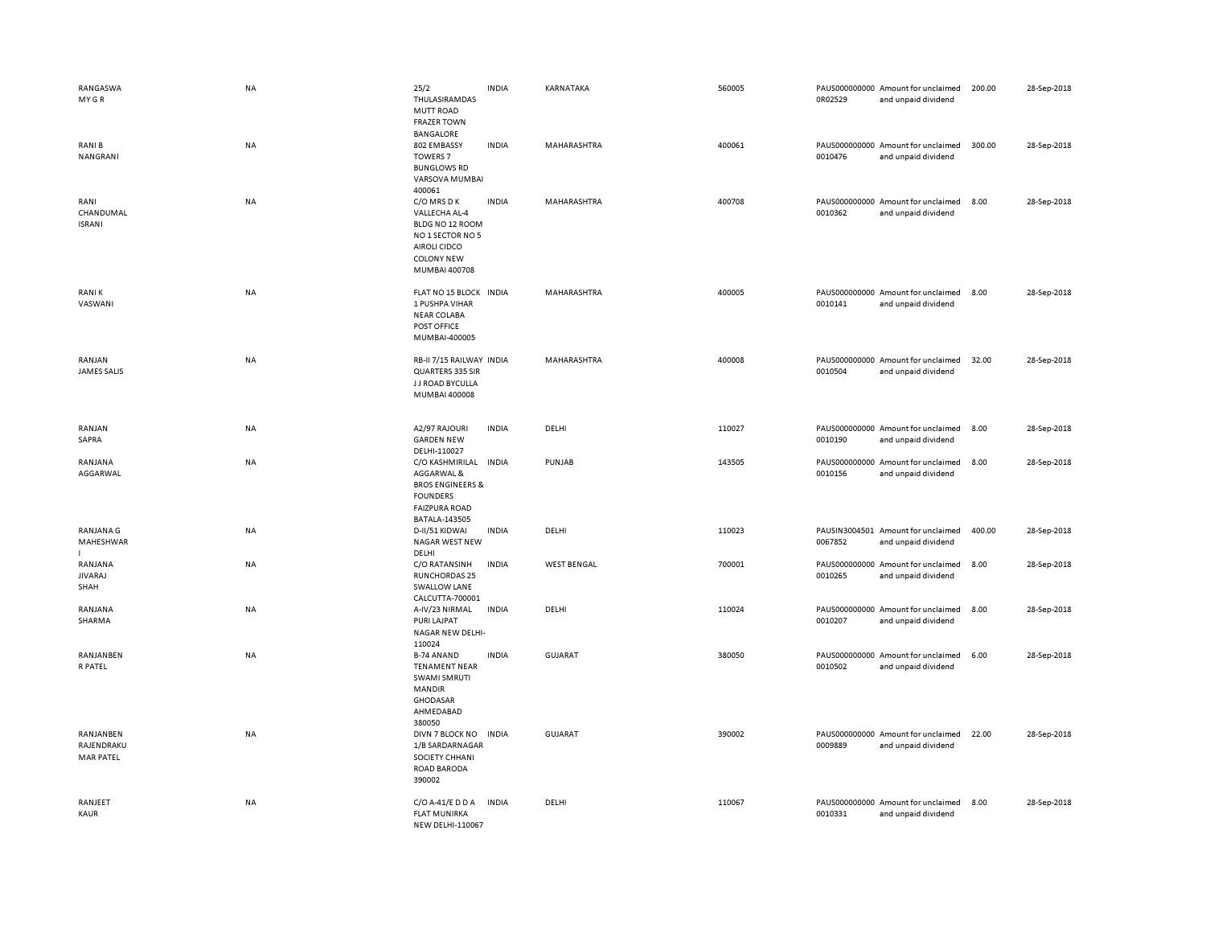| RANGASWA<br>MY GR                           | NA        | 25/2<br>THULASIRAMDAS<br><b>MUTT ROAD</b><br><b>FRAZER TOWN</b>                                                                       | <b>INDIA</b> | KARNATAKA          | 560005 | PAUS000000000 Amount for unclaimed<br>0R02529<br>and unpaid dividend | 200.00 | 28-Sep-2018 |
|---------------------------------------------|-----------|---------------------------------------------------------------------------------------------------------------------------------------|--------------|--------------------|--------|----------------------------------------------------------------------|--------|-------------|
| <b>RANIB</b><br>NANGRANI                    | <b>NA</b> | BANGALORE<br>802 EMBASSY<br><b>TOWERS 7</b><br><b>BUNGLOWS RD</b><br>VARSOVA MUMBAI<br>400061                                         | <b>INDIA</b> | MAHARASHTRA        | 400061 | PAUS000000000 Amount for unclaimed<br>0010476<br>and unpaid dividend | 300.00 | 28-Sep-2018 |
| RANI<br>CHANDUMAL<br><b>ISRANI</b>          | NA        | C/O MRS D K<br>VALLECHA AL-4<br>BLDG NO 12 ROOM<br>NO 1 SECTOR NO 5<br><b>AIROLI CIDCO</b><br><b>COLONY NEW</b><br>MUMBAI 400708      | <b>INDIA</b> | MAHARASHTRA        | 400708 | PAUS000000000 Amount for unclaimed<br>0010362<br>and unpaid dividend | 8.00   | 28-Sep-2018 |
| <b>RANIK</b><br>VASWANI                     | <b>NA</b> | FLAT NO 15 BLOCK INDIA<br>1 PUSHPA VIHAR<br><b>NEAR COLABA</b><br>POST OFFICE<br>MUMBAI-400005                                        |              | MAHARASHTRA        | 400005 | PAUS000000000 Amount for unclaimed<br>0010141<br>and unpaid dividend | 8.00   | 28-Sep-2018 |
| RANJAN<br><b>JAMES SALIS</b>                | NA        | RB-II 7/15 RAILWAY INDIA<br>QUARTERS 335 SIR<br>J J ROAD BYCULLA<br>MUMBAI 400008                                                     |              | MAHARASHTRA        | 400008 | PAUS000000000 Amount for unclaimed<br>0010504<br>and unpaid dividend | 32.00  | 28-Sep-2018 |
| RANJAN<br>SAPRA                             | NA        | A2/97 RAJOURI<br><b>GARDEN NEW</b><br>DELHI-110027                                                                                    | <b>INDIA</b> | DELHI              | 110027 | PAUS000000000 Amount for unclaimed<br>0010190<br>and unpaid dividend | 8.00   | 28-Sep-2018 |
| RANJANA<br>AGGARWAL                         | NA        | C/O KASHMIRILAL INDIA<br>AGGARWAL &<br><b>BROS ENGINEERS &amp;</b><br><b>FOUNDERS</b><br><b>FAIZPURA ROAD</b><br><b>BATALA-143505</b> |              | PUNJAB             | 143505 | PAUS000000000 Amount for unclaimed<br>0010156<br>and unpaid dividend | 8.00   | 28-Sep-2018 |
| RANJANA G<br>MAHESHWAR                      | NA        | D-II/51 KIDWAI<br>NAGAR WEST NEW<br>DELHI                                                                                             | <b>INDIA</b> | DELHI              | 110023 | PAUSIN3004501 Amount for unclaimed<br>0067852<br>and unpaid dividend | 400.00 | 28-Sep-2018 |
| RANJANA<br><b>JIVARAJ</b><br>SHAH           | <b>NA</b> | C/O RATANSINH<br><b>RUNCHORDAS 25</b><br><b>SWALLOW LANE</b><br>CALCUTTA-700001                                                       | <b>INDIA</b> | <b>WEST BENGAL</b> | 700001 | PAUS000000000 Amount for unclaimed<br>0010265<br>and unpaid dividend | 8.00   | 28-Sep-2018 |
| RANJANA<br>SHARMA                           | NA        | A-IV/23 NIRMAL<br>PURI LAJPAT<br>NAGAR NEW DELHI-<br>110024                                                                           | <b>INDIA</b> | DELHI              | 110024 | PAUS000000000 Amount for unclaimed<br>0010207<br>and unpaid dividend | 8.00   | 28-Sep-2018 |
| RANJANBEN<br>R PATEL                        | NA        | <b>B-74 ANAND</b><br><b>TENAMENT NEAR</b><br>SWAMI SMRUTI<br>MANDIR<br><b>GHODASAR</b><br>AHMEDABAD<br>380050                         | <b>INDIA</b> | <b>GUJARAT</b>     | 380050 | PAUS000000000 Amount for unclaimed<br>0010502<br>and unpaid dividend | 6.00   | 28-Sep-2018 |
| RANJANBEN<br>RAJENDRAKU<br><b>MAR PATEL</b> | <b>NA</b> | DIVN 7 BLOCK NO<br>1/B SARDARNAGAR<br>SOCIETY CHHANI<br>ROAD BARODA<br>390002                                                         | <b>INDIA</b> | <b>GUJARAT</b>     | 390002 | PAUS000000000 Amount for unclaimed<br>0009889<br>and unpaid dividend | 22.00  | 28-Sep-2018 |
| RANJEET<br>KAUR                             | NA        | C/O A-41/E D D A<br><b>FLAT MUNIRKA</b><br><b>NEW DELHI-110067</b>                                                                    | <b>INDIA</b> | DELHI              | 110067 | PAUS000000000 Amount for unclaimed<br>0010331<br>and unpaid dividend | 8.00   | 28-Sep-2018 |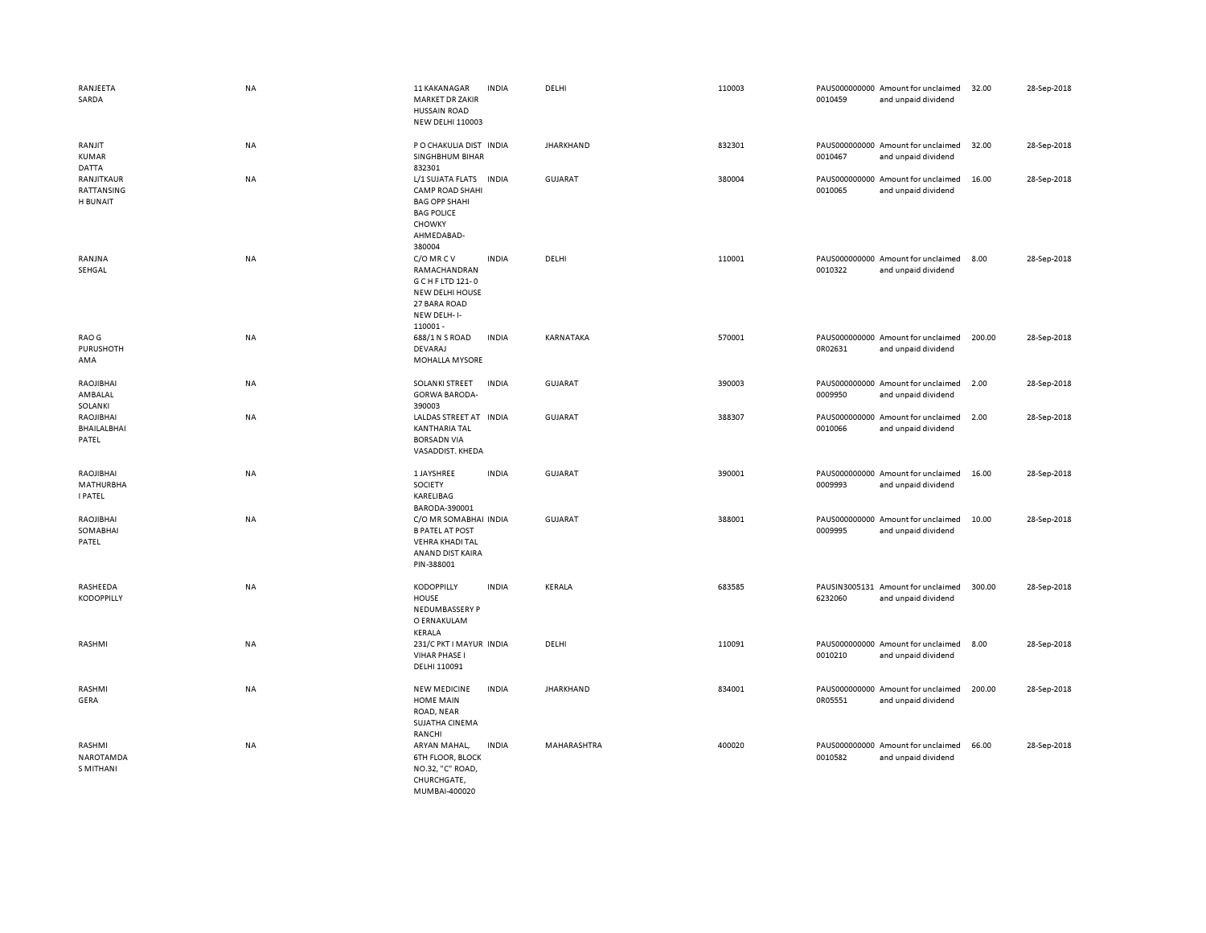| RANJEETA<br>SARDA                               | <b>NA</b> | 11 KAKANAGAR<br><b>MARKET DR ZAKIR</b><br><b>HUSSAIN ROAD</b><br><b>NEW DELHI 110003</b>                                  | <b>INDIA</b> | DELHI            | 110003 | 0010459 | PAUS000000000 Amount for unclaimed<br>and unpaid dividend | 32.00  | 28-Sep-2018 |
|-------------------------------------------------|-----------|---------------------------------------------------------------------------------------------------------------------------|--------------|------------------|--------|---------|-----------------------------------------------------------|--------|-------------|
| RANJIT<br><b>KUMAR</b><br><b>DATTA</b>          | NA        | P O CHAKULIA DIST IN DIA<br>SINGHBHUM BIHAR<br>832301                                                                     |              | <b>JHARKHAND</b> | 832301 | 0010467 | PAUS000000000 Amount for unclaimed<br>and unpaid dividend | 32.00  | 28-Sep-2018 |
| RANJITKAUR<br>RATTANSING<br>H BUNAIT            | NA        | L/1 SUJATA FLATS<br><b>CAMP ROAD SHAHI</b><br><b>BAG OPP SHAHI</b><br><b>BAG POLICE</b><br>CHOWKY<br>AHMEDABAD-<br>380004 | <b>INDIA</b> | <b>GUJARAT</b>   | 380004 | 0010065 | PAUS000000000 Amount for unclaimed<br>and unpaid dividend | 16.00  | 28-Sep-2018 |
| RANJNA<br>SEHGAL                                | NA        | C/O MR C V<br>RAMACHANDRAN<br>G C H F LTD 121-0<br>NEW DELHI HOUSE<br>27 BARA ROAD<br>NEW DELH-I-<br>110001-              | <b>INDIA</b> | DELHI            | 110001 | 0010322 | PAUS000000000 Amount for unclaimed<br>and unpaid dividend | 8.00   | 28-Sep-2018 |
| RAO G<br>PURUSHOTH<br>AMA                       | NA        | 688/1 N S ROAD<br><b>DEVARAJ</b><br>MOHALLA MYSORE                                                                        | <b>INDIA</b> | KARNATAKA        | 570001 | 0R02631 | PAUS000000000 Amount for unclaimed<br>and unpaid dividend | 200.00 | 28-Sep-2018 |
| RAOJIBHAI<br>AMBALAL<br>SOLANKI                 | NA        | <b>SOLANKI STREET</b><br><b>GORWA BARODA-</b><br>390003                                                                   | <b>INDIA</b> | <b>GUJARAT</b>   | 390003 | 0009950 | PAUS000000000 Amount for unclaimed<br>and unpaid dividend | 2.00   | 28-Sep-2018 |
| RAOJIBHAI<br>BHAILALBHAI<br>PATEL               | NA        | LALDAS STREET AT INDIA<br><b>KANTHARIA TAL</b><br><b>BORSADN VIA</b><br>VASADDIST. KHEDA                                  |              | <b>GUJARAT</b>   | 388307 | 0010066 | PAUS000000000 Amount for unclaimed<br>and unpaid dividend | 2.00   | 28-Sep-2018 |
| RAOJIBHAI<br><b>MATHURBHA</b><br><b>I PATEL</b> | NA        | 1 JAYSHREE<br>SOCIETY<br>KARELIBAG<br>BARODA-390001                                                                       | <b>INDIA</b> | <b>GUJARAT</b>   | 390001 | 0009993 | PAUS000000000 Amount for unclaimed<br>and unpaid dividend | 16.00  | 28-Sep-2018 |
| RAOJIBHAI<br>SOMABHAI<br>PATEL                  | NA        | C/O MR SOMABHAI INDIA<br><b>B PATEL AT POST</b><br><b>VEHRA KHADI TAL</b><br>ANAND DIST KAIRA<br>PIN-388001               |              | <b>GUJARAT</b>   | 388001 | 0009995 | PAUS000000000 Amount for unclaimed<br>and unpaid dividend | 10.00  | 28-Sep-2018 |
| RASHEEDA<br><b>KODOPPILLY</b>                   | NA        | <b>KODOPPILLY</b><br><b>HOUSE</b><br>NEDUMBASSERY P<br>O ERNAKULAM<br>KERALA                                              | <b>INDIA</b> | KERALA           | 683585 | 6232060 | PAUSIN3005131 Amount for unclaimed<br>and unpaid dividend | 300.00 | 28-Sep-2018 |
| RASHMI                                          | NA        | 231/C PKT I MAYUR INDIA<br><b>VIHAR PHASE I</b><br>DELHI 110091                                                           |              | DELHI            | 110091 | 0010210 | PAUS000000000 Amount for unclaimed<br>and unpaid dividend | 8.00   | 28-Sep-2018 |
| RASHMI<br>GERA                                  | <b>NA</b> | <b>NEW MEDICINE</b><br><b>HOME MAIN</b><br>ROAD, NEAR<br>SUJATHA CINEMA<br>RANCHI                                         | <b>INDIA</b> | <b>JHARKHAND</b> | 834001 | 0R05551 | PAUS000000000 Amount for unclaimed<br>and unpaid dividend | 200.00 | 28-Sep-2018 |
| RASHMI<br>NAROTAMDA<br><b>S MITHANI</b>         | NA        | ARYAN MAHAL,<br><b>6TH FLOOR, BLOCK</b><br>NO.32, "C" ROAD,<br>CHURCHGATE,<br>MUMBAL400020                                | <b>INDIA</b> | MAHARASHTRA      | 400020 | 0010582 | PAUS000000000 Amount for unclaimed<br>and unpaid dividend | 66.00  | 28-Sep-2018 |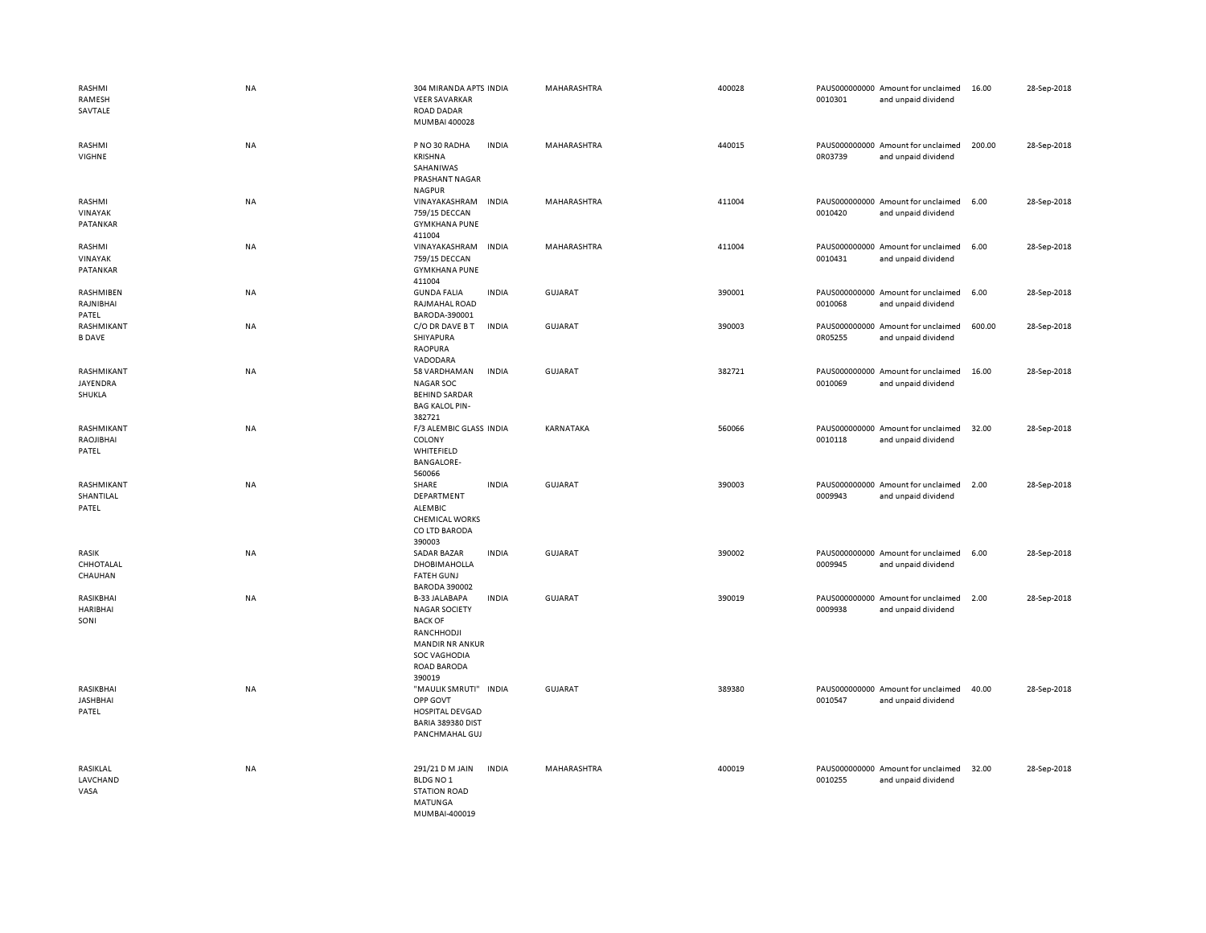| RASHMI<br>RAMESH<br>SAVTALE           | <b>NA</b> | 304 MIRANDA APTS INDIA<br><b>VEER SAVARKAR</b><br><b>ROAD DADAR</b><br>MUMBAI 400028                                                            |              | MAHARASHTRA        | 400028 | 0010301 | PAUS000000000 Amount for unclaimed<br>and unpaid dividend | 16.00  | 28-Sep-2018 |
|---------------------------------------|-----------|-------------------------------------------------------------------------------------------------------------------------------------------------|--------------|--------------------|--------|---------|-----------------------------------------------------------|--------|-------------|
| RASHMI<br>VIGHNE                      | <b>NA</b> | P NO 30 RADHA<br><b>KRISHNA</b><br>SAHANIWAS<br>PRASHANT NAGAR<br><b>NAGPUR</b>                                                                 | <b>INDIA</b> | <b>MAHARASHTRA</b> | 440015 | 0R03739 | PAUS000000000 Amount for unclaimed<br>and unpaid dividend | 200.00 | 28-Sep-2018 |
| RASHMI<br>VINAYAK<br>PATANKAR         | NA        | VINAYAKASHRAM<br>759/15 DECCAN<br><b>GYMKHANA PUNE</b><br>411004                                                                                | <b>INDIA</b> | MAHARASHTRA        | 411004 | 0010420 | PAUS000000000 Amount for unclaimed<br>and unpaid dividend | 6.00   | 28-Sep-2018 |
| RASHMI<br>VINAYAK<br>PATANKAR         | NA        | VINAYAKASHRAM<br>759/15 DECCAN<br><b>GYMKHANA PUNE</b><br>411004                                                                                | <b>INDIA</b> | MAHARASHTRA        | 411004 | 0010431 | PAUS000000000 Amount for unclaimed<br>and unpaid dividend | 6.00   | 28-Sep-2018 |
| RASHMIBEN<br>RAJNIBHAI<br>PATEL       | NA        | <b>GUNDA FALIA</b><br>RAJMAHAL ROAD<br>BARODA-390001                                                                                            | <b>INDIA</b> | <b>GUJARAT</b>     | 390001 | 0010068 | PAUS000000000 Amount for unclaimed<br>and unpaid dividend | 6.00   | 28-Sep-2018 |
| RASHMIKANT<br><b>B DAVE</b>           | NA        | C/O DR DAVE B T<br>SHIYAPURA<br><b>RAOPURA</b><br>VADODARA                                                                                      | <b>INDIA</b> | <b>GUJARAT</b>     | 390003 | 0R05255 | PAUS000000000 Amount for unclaimed<br>and unpaid dividend | 600.00 | 28-Sep-2018 |
| RASHMIKANT<br>JAYENDRA<br>SHUKLA      | <b>NA</b> | 58 VARDHAMAN<br><b>NAGAR SOC</b><br><b>BEHIND SARDAR</b><br><b>BAG KALOL PIN-</b><br>382721                                                     | <b>INDIA</b> | <b>GUJARAT</b>     | 382721 | 0010069 | PAUS000000000 Amount for unclaimed<br>and unpaid dividend | 16.00  | 28-Sep-2018 |
| RASHMIKANT<br>RAOJIBHAI<br>PATEL      | <b>NA</b> | F/3 ALEMBIC GLASS INDIA<br>COLONY<br>WHITEFIELD<br><b>BANGALORE-</b><br>560066                                                                  |              | <b>KARNATAKA</b>   | 560066 | 0010118 | PAUS000000000 Amount for unclaimed<br>and unpaid dividend | 32.00  | 28-Sep-2018 |
| RASHMIKANT<br>SHANTILAL<br>PATEL      | NA        | SHARE<br>DEPARTMENT<br><b>ALEMBIC</b><br><b>CHEMICAL WORKS</b><br>CO LTD BARODA<br>390003                                                       | <b>INDIA</b> | <b>GUJARAT</b>     | 390003 | 0009943 | PAUS000000000 Amount for unclaimed<br>and unpaid dividend | 2.00   | 28-Sep-2018 |
| RASIK<br>CHHOTALAL<br>CHAUHAN         | <b>NA</b> | <b>SADAR BAZAR</b><br>DHOBIMAHOLLA<br><b>FATEH GUNJ</b><br><b>BARODA 390002</b>                                                                 | <b>INDIA</b> | <b>GUJARAT</b>     | 390002 | 0009945 | PAUS000000000 Amount for unclaimed<br>and unpaid dividend | 6.00   | 28-Sep-2018 |
| RASIKBHAI<br><b>HARIBHAI</b><br>SONI  | <b>NA</b> | B-33 JALABAPA<br><b>NAGAR SOCIETY</b><br><b>BACK OF</b><br>RANCHHODJI<br><b>MANDIR NR ANKUR</b><br><b>SOC VAGHODIA</b><br>ROAD BARODA<br>390019 | <b>INDIA</b> | <b>GUJARAT</b>     | 390019 | 0009938 | PAUS000000000 Amount for unclaimed<br>and unpaid dividend | 2.00   | 28-Sep-2018 |
| RASIKBHAI<br><b>JASHBHAI</b><br>PATEL | <b>NA</b> | "MAULIK SMRUTI" INDIA<br>OPP GOVT<br>HOSPITAL DEVGAD<br>BARIA 389380 DIST<br>PANCHMAHAL GUJ                                                     |              | <b>GUJARAT</b>     | 389380 | 0010547 | PAUS000000000 Amount for unclaimed<br>and unpaid dividend | 40.00  | 28-Sep-2018 |
| RASIKLAL<br><b>LAVCHAND</b><br>VASA   | NA        | 291/21 D M JAIN<br>BLDG NO 1<br><b>STATION ROAD</b><br>MATUNGA<br>MUMBAI-400019                                                                 | <b>INDIA</b> | MAHARASHTRA        | 400019 | 0010255 | PAUS000000000 Amount for unclaimed<br>and unpaid dividend | 32.00  | 28-Sep-2018 |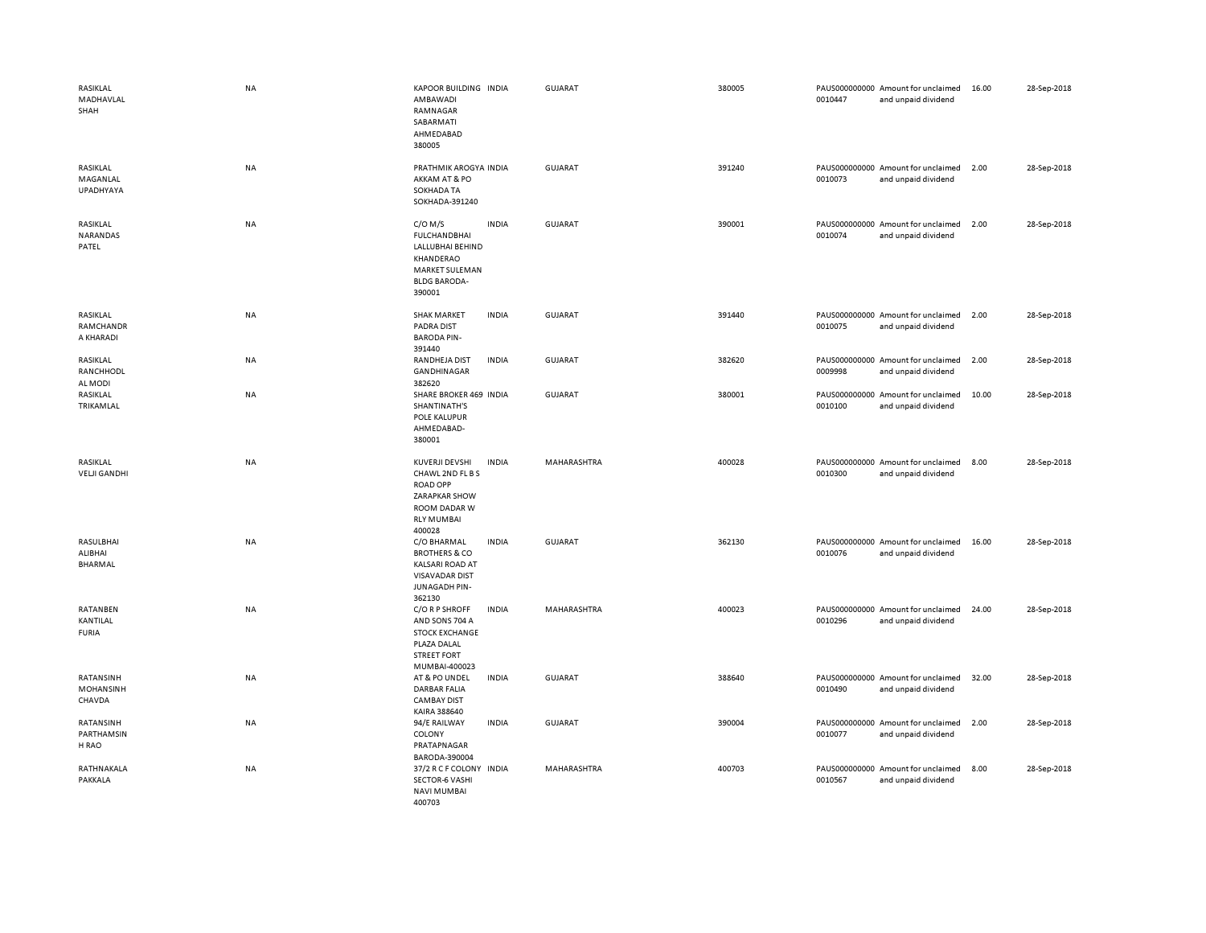| RASIKLAL<br>MADHAVLAL<br>SHAH           | <b>NA</b> | KAPOOR BUILDING INDIA<br>AMBAWADI<br>RAMNAGAR<br>SABARMATI<br>AHMEDABAD<br>380005                                                           | GUJARAT        | 380005 | 0010447 | PAUS000000000 Amount for unclaimed<br>and unpaid dividend | 16.00 | 28-Sep-2018 |
|-----------------------------------------|-----------|---------------------------------------------------------------------------------------------------------------------------------------------|----------------|--------|---------|-----------------------------------------------------------|-------|-------------|
| RASIKLAL<br>MAGANLAL<br>UPADHYAYA       | NA        | PRATHMIK AROGYA INDIA<br>AKKAM AT & PO<br>SOKHADA TA<br>SOKHADA-391240                                                                      | <b>GUJARAT</b> | 391240 | 0010073 | PAUS000000000 Amount for unclaimed<br>and unpaid dividend | 2.00  | 28-Sep-2018 |
| RASIKLAL<br>NARANDAS<br>PATEL           | <b>NA</b> | $C/O$ M/S<br><b>INDIA</b><br><b>FULCHANDBHAI</b><br>LALLUBHAI BEHIND<br>KHANDERAO<br><b>MARKET SULEMAN</b><br><b>BLDG BARODA-</b><br>390001 | GUJARAT        | 390001 | 0010074 | PAUS000000000 Amount for unclaimed<br>and unpaid dividend | 2.00  | 28-Sep-2018 |
| RASIKLAL<br>RAMCHANDR<br>A KHARADI      | <b>NA</b> | <b>INDIA</b><br><b>SHAK MARKET</b><br>PADRA DIST<br><b>BARODA PIN-</b><br>391440                                                            | GUJARAT        | 391440 | 0010075 | PAUS000000000 Amount for unclaimed<br>and unpaid dividend | 2.00  | 28-Sep-2018 |
| RASIKLAL<br>RANCHHODL<br>AL MODI        | <b>NA</b> | RANDHEJA DIST<br><b>INDIA</b><br><b>GANDHINAGAR</b><br>382620                                                                               | GUJARAT        | 382620 | 0009998 | PAUS000000000 Amount for unclaimed<br>and unpaid dividend | 2.00  | 28-Sep-2018 |
| RASIKLAL<br>TRIKAMLAL                   | NA        | SHARE BROKER 469 INDIA<br>SHANTINATH'S<br>POLE KALUPUR<br>AHMEDABAD-<br>380001                                                              | GUJARAT        | 380001 | 0010100 | PAUS000000000 Amount for unclaimed<br>and unpaid dividend | 10.00 | 28-Sep-2018 |
| RASIKLAL<br><b>VELJI GANDHI</b>         | NA        | <b>INDIA</b><br>KUVERJI DEVSHI<br>CHAWL 2ND FL B S<br><b>ROAD OPP</b><br>ZARAPKAR SHOW<br>ROOM DADAR W<br><b>RLY MUMBAI</b><br>400028       | MAHARASHTRA    | 400028 | 0010300 | PAUS000000000 Amount for unclaimed<br>and unpaid dividend | 8.00  | 28-Sep-2018 |
| RASULBHAI<br>ALIBHAI<br>BHARMAL         | NA        | C/O BHARMAL<br><b>INDIA</b><br><b>BROTHERS &amp; CO</b><br><b>KALSARI ROAD AT</b><br><b>VISAVADAR DIST</b><br>JUNAGADH PIN-<br>362130       | <b>GUJARAT</b> | 362130 | 0010076 | PAUS000000000 Amount for unclaimed<br>and unpaid dividend | 16.00 | 28-Sep-2018 |
| RATANBEN<br>KANTILAL<br><b>FURIA</b>    | <b>NA</b> | C/O R P SHROFF<br><b>INDIA</b><br>AND SONS 704 A<br><b>STOCK EXCHANGE</b><br>PLAZA DALAL<br><b>STREET FORT</b><br>MUMBAI-400023             | MAHARASHTRA    | 400023 | 0010296 | PAUS000000000 Amount for unclaimed<br>and unpaid dividend | 24.00 | 28-Sep-2018 |
| RATANSINH<br><b>MOHANSINH</b><br>CHAVDA | <b>NA</b> | AT & PO UNDEL<br><b>INDIA</b><br><b>DARBAR FALIA</b><br><b>CAMBAY DIST</b><br>KAIRA 388640                                                  | GUJARAT        | 388640 | 0010490 | PAUS000000000 Amount for unclaimed<br>and unpaid dividend | 32.00 | 28-Sep-2018 |
| RATANSINH<br>PARTHAMSIN<br>H RAO        | NA        | <b>INDIA</b><br>94/E RAILWAY<br>COLONY<br>PRATAPNAGAR<br>BARODA-390004                                                                      | <b>GUJARAT</b> | 390004 | 0010077 | PAUS000000000 Amount for unclaimed<br>and unpaid dividend | 2.00  | 28-Sep-2018 |
| RATHNAKALA<br>PAKKALA                   | NA        | 37/2 R C F COLONY INDIA<br><b>SECTOR-6 VASHI</b><br><b>NAVI MUMBAI</b><br>400703                                                            | MAHARASHTRA    | 400703 | 0010567 | PAUS000000000 Amount for unclaimed<br>and unpaid dividend | 8.00  | 28-Sep-2018 |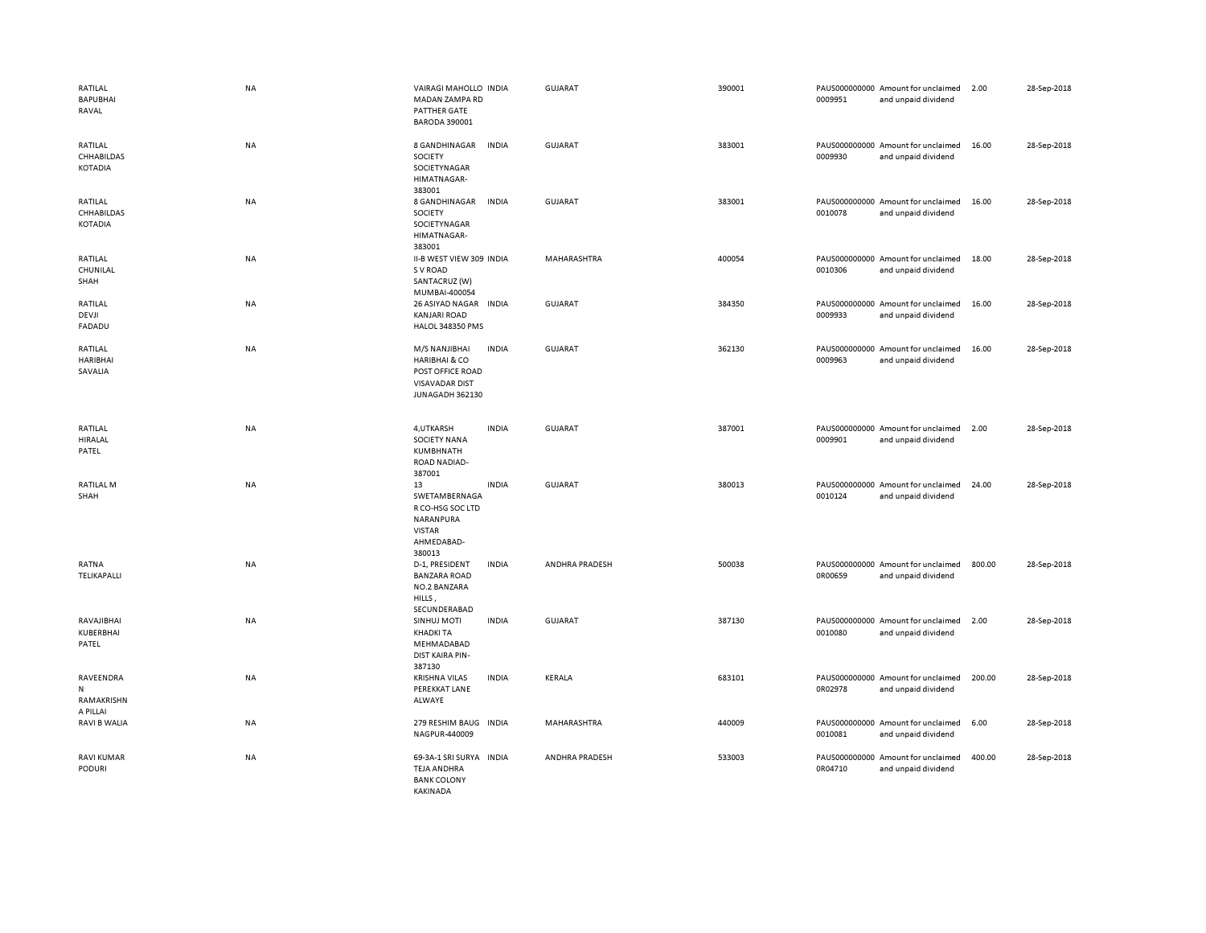| RATILAL<br><b>BAPUBHAI</b><br>RAVAL      | <b>NA</b> | VAIRAGI MAHOLLO INDIA<br><b>MADAN ZAMPA RD</b><br>PATTHER GATE<br><b>BARODA 390001</b>                    |              | GUJARAT               | 390001 | 0009951 | PAUS000000000 Amount for unclaimed<br>and unpaid dividend | 2.00   | 28-Sep-2018 |
|------------------------------------------|-----------|-----------------------------------------------------------------------------------------------------------|--------------|-----------------------|--------|---------|-----------------------------------------------------------|--------|-------------|
| RATILAL<br>CHHABILDAS<br>KOTADIA         | NA        | 8 GANDHINAGAR<br>SOCIETY<br>SOCIETYNAGAR<br>HIMATNAGAR-<br>383001                                         | <b>INDIA</b> | <b>GUJARAT</b>        | 383001 | 0009930 | PAUS000000000 Amount for unclaimed<br>and unpaid dividend | 16.00  | 28-Sep-2018 |
| RATILAL<br>CHHABILDAS<br>KOTADIA         | <b>NA</b> | 8 GANDHINAGAR<br>SOCIETY<br>SOCIETYNAGAR<br>HIMATNAGAR-<br>383001                                         | <b>INDIA</b> | GUJARAT               | 383001 | 0010078 | PAUS000000000 Amount for unclaimed<br>and unpaid dividend | 16.00  | 28-Sep-2018 |
| RATILAL<br>CHUNILAL<br>SHAH              | <b>NA</b> | II-B WEST VIEW 309 INDIA<br>S V ROAD<br>SANTACRUZ (W)<br>MUMBAI-400054                                    |              | MAHARASHTRA           | 400054 | 0010306 | PAUS000000000 Amount for unclaimed<br>and unpaid dividend | 18.00  | 28-Sep-2018 |
| RATILAL<br>DEVJI<br>FADADU               | NA        | 26 ASIYAD NAGAR INDIA<br><b>KANJARI ROAD</b><br>HALOL 348350 PMS                                          |              | <b>GUJARAT</b>        | 384350 | 0009933 | PAUS000000000 Amount for unclaimed<br>and unpaid dividend | 16.00  | 28-Sep-2018 |
| RATILAL<br><b>HARIBHAI</b><br>SAVALIA    | <b>NA</b> | M/S NANJIBHAI<br><b>HARIBHAI &amp; CO</b><br>POST OFFICE ROAD<br><b>VISAVADAR DIST</b><br>JUNAGADH 362130 | <b>INDIA</b> | <b>GUJARAT</b>        | 362130 | 0009963 | PAUS000000000 Amount for unclaimed<br>and unpaid dividend | 16.00  | 28-Sep-2018 |
| RATILAL<br>HIRALAL<br>PATEL              | <b>NA</b> | 4, UTKARSH<br><b>SOCIETY NANA</b><br>KUMBHNATH<br><b>ROAD NADIAD-</b><br>387001                           | <b>INDIA</b> | <b>GUJARAT</b>        | 387001 | 0009901 | PAUS000000000 Amount for unclaimed<br>and unpaid dividend | 2.00   | 28-Sep-2018 |
| <b>RATILAL M</b><br>SHAH                 | NA        | 13<br>SWETAMBERNAGA<br>R CO-HSG SOC LTD<br>NARANPURA<br><b>VISTAR</b><br>AHMEDABAD-<br>380013             | <b>INDIA</b> | <b>GUJARAT</b>        | 380013 | 0010124 | PAUS000000000 Amount for unclaimed<br>and unpaid dividend | 24.00  | 28-Sep-2018 |
| RATNA<br>TELIKAPALLI                     | <b>NA</b> | D-1, PRESIDENT<br><b>BANZARA ROAD</b><br>NO.2 BANZARA<br>HILLS,<br>SECUNDERABAD                           | <b>INDIA</b> | <b>ANDHRA PRADESH</b> | 500038 | 0R00659 | PAUS000000000 Amount for unclaimed<br>and unpaid dividend | 800.00 | 28-Sep-2018 |
| RAVAJIBHAI<br>KUBERBHAI<br>PATEL         | NA        | <b>SINHUJ MOTI</b><br><b>KHADKI TA</b><br>MEHMADABAD<br>DIST KAIRA PIN-<br>387130                         | <b>INDIA</b> | <b>GUJARAT</b>        | 387130 | 0010080 | PAUS000000000 Amount for unclaimed<br>and unpaid dividend | 2.00   | 28-Sep-2018 |
| RAVEENDRA<br>N<br>RAMAKRISHN<br>A PILLAI | NA        | <b>KRISHNA VILAS</b><br>PEREKKAT LANE<br>ALWAYE                                                           | <b>INDIA</b> | KERALA                | 683101 | 0R02978 | PAUS000000000 Amount for unclaimed<br>and unpaid dividend | 200.00 | 28-Sep-2018 |
| RAVI B WALIA                             | <b>NA</b> | 279 RESHIM BAUG INDIA<br>NAGPUR-440009                                                                    |              | MAHARASHTRA           | 440009 | 0010081 | PAUS000000000 Amount for unclaimed<br>and unpaid dividend | 6.00   | 28-Sep-2018 |
| RAVI KUMAR<br><b>PODURI</b>              | NA        | 69-3A-1 SRI SURYA<br><b>TEJA ANDHRA</b><br><b>BANK COLONY</b><br><b>KAKINADA</b>                          | <b>INDIA</b> | ANDHRA PRADESH        | 533003 | 0R04710 | PAUS000000000 Amount for unclaimed<br>and unpaid dividend | 400.00 | 28-Sep-2018 |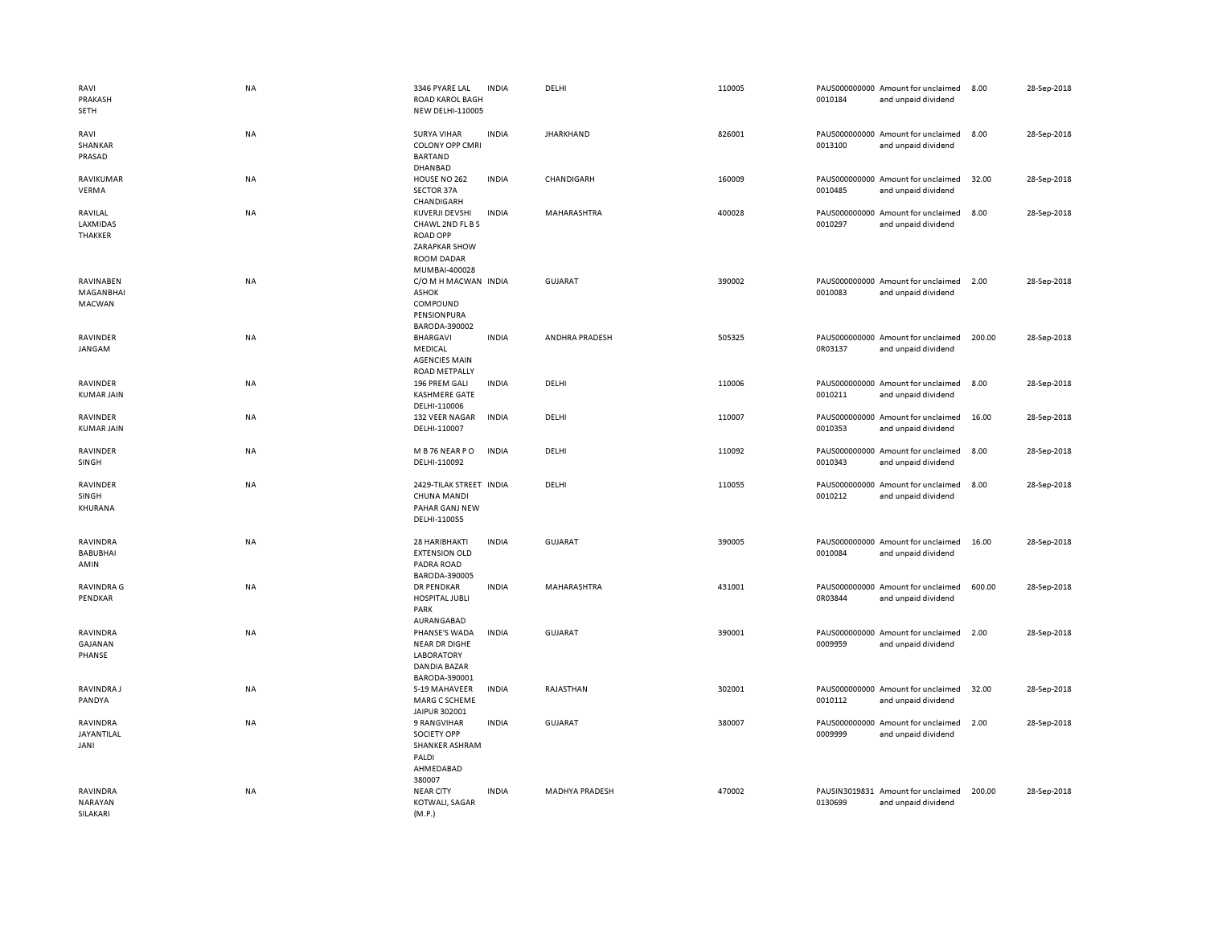| RAVI<br>PRAKASH<br>SETH                       | <b>NA</b> | 3346 PYARE LAL<br>ROAD KAROL BAGH<br><b>NEW DELHI-110005</b>                                                 | <b>INDIA</b> | DELHI                 | 110005 | 0010184 | PAUS000000000 Amount for unclaimed<br>and unpaid dividend | 8.00   | 28-Sep-2018 |
|-----------------------------------------------|-----------|--------------------------------------------------------------------------------------------------------------|--------------|-----------------------|--------|---------|-----------------------------------------------------------|--------|-------------|
| RAVI<br>SHANKAR<br>PRASAD                     | NA        | <b>SURYA VIHAR</b><br><b>COLONY OPP CMRI</b><br><b>BARTAND</b><br><b>DHANBAD</b>                             | <b>INDIA</b> | <b>JHARKHAND</b>      | 826001 | 0013100 | PAUS000000000 Amount for unclaimed<br>and unpaid dividend | 8.00   | 28-Sep-2018 |
| RAVIKUMAR<br>VERMA                            | NA        | HOUSE NO 262<br><b>SECTOR 37A</b><br>CHANDIGARH                                                              | INDIA        | CHANDIGARH            | 160009 | 0010485 | PAUS000000000 Amount for unclaimed<br>and unpaid dividend | 32.00  | 28-Sep-2018 |
| RAVILAL<br><b>LAXMIDAS</b><br>THAKKER         | NA        | KUVERJI DEVSHI<br>CHAWL 2ND FL B S<br><b>ROAD OPP</b><br>ZARAPKAR SHOW<br><b>ROOM DADAR</b><br>MUMBAI-400028 | <b>INDIA</b> | MAHARASHTRA           | 400028 | 0010297 | PAUS000000000 Amount for unclaimed<br>and unpaid dividend | 8.00   | 28-Sep-2018 |
| RAVINABEN<br>MAGANBHAI<br>MACWAN              | NA        | C/O M H MACWAN INDIA<br><b>ASHOK</b><br>COMPOUND<br>PENSIONPURA<br>BARODA-390002                             |              | <b>GUJARAT</b>        | 390002 | 0010083 | PAUS000000000 Amount for unclaimed<br>and unpaid dividend | 2.00   | 28-Sep-2018 |
| RAVINDER<br>JANGAM                            | NA        | <b>BHARGAVI</b><br>MEDICAL<br><b>AGENCIES MAIN</b><br><b>ROAD METPALLY</b>                                   | INDIA        | ANDHRA PRADESH        | 505325 | 0R03137 | PAUS000000000 Amount for unclaimed<br>and unpaid dividend | 200.00 | 28-Sep-2018 |
| RAVINDER<br><b>KUMAR JAIN</b>                 | NA        | 196 PREM GALI<br><b>KASHMERE GATE</b><br>DELHI-110006                                                        | <b>INDIA</b> | DELHI                 | 110006 | 0010211 | PAUS000000000 Amount for unclaimed<br>and unpaid dividend | 8.00   | 28-Sep-2018 |
| RAVINDER<br><b>KUMAR JAIN</b>                 | NA        | 132 VEER NAGAR<br>DELHI-110007                                                                               | <b>INDIA</b> | DELHI                 | 110007 | 0010353 | PAUS000000000 Amount for unclaimed<br>and unpaid dividend | 16.00  | 28-Sep-2018 |
| RAVINDER<br>SINGH                             | NA        | M B 76 NEAR PO<br>DELHI-110092                                                                               | <b>INDIA</b> | DELHI                 | 110092 | 0010343 | PAUS000000000 Amount for unclaimed<br>and unpaid dividend | 8.00   | 28-Sep-2018 |
| RAVINDER<br>SINGH<br>KHURANA                  | NA        | 2429-TILAK STREET INDIA<br>CHUNA MANDI<br>PAHAR GANJ NEW<br>DELHI-110055                                     |              | DELHI                 | 110055 | 0010212 | PAUS000000000 Amount for unclaimed<br>and unpaid dividend | 8.00   | 28-Sep-2018 |
| RAVINDRA<br><b>BABUBHAI</b><br>AMIN           | NA        | 28 HARIBHAKTI<br><b>EXTENSION OLD</b><br>PADRA ROAD<br>BARODA-390005                                         | <b>INDIA</b> | GUJARAT               | 390005 | 0010084 | PAUS000000000 Amount for unclaimed<br>and unpaid dividend | 16.00  | 28-Sep-2018 |
| <b>RAVINDRA G</b><br>PENDKAR                  | NA        | <b>DR PENDKAR</b><br>HOSPITAL JUBLI<br>PARK<br>AURANGABAD                                                    | INDIA        | MAHARASHTRA           | 431001 | 0R03844 | PAUS000000000 Amount for unclaimed<br>and unpaid dividend | 600.00 | 28-Sep-2018 |
| RAVINDRA<br>GAJANAN<br>PHANSE                 | NA        | PHANSE'S WADA<br><b>NEAR DR DIGHE</b><br><b>LABORATORY</b><br>DANDIA BAZAR<br>BARODA-390001                  | <b>INDIA</b> | <b>GUJARAT</b>        | 390001 | 0009959 | PAUS000000000 Amount for unclaimed<br>and unpaid dividend | 2.00   | 28-Sep-2018 |
| <b>RAVINDRAJ</b><br>PANDYA                    | NA        | S-19 MAHAVEER<br>MARG C SCHEME<br>JAIPUR 302001                                                              | <b>INDIA</b> | RAJASTHAN             | 302001 | 0010112 | PAUS000000000 Amount for unclaimed<br>and unpaid dividend | 32.00  | 28-Sep-2018 |
| RAVINDRA<br>JAYANTILAL<br>JANI                | NA        | 9 RANGVIHAR<br>SOCIETY OPP<br><b>SHANKER ASHRAM</b><br>PALDI<br>AHMEDABAD<br>380007                          | <b>INDIA</b> | GUJARAT               | 380007 | 0009999 | PAUS000000000 Amount for unclaimed<br>and unpaid dividend | 2.00   | 28-Sep-2018 |
| <b>RAVINDRA</b><br><b>NARAYAN</b><br>SILAKARI | NA        | <b>NEAR CITY</b><br>KOTWALI, SAGAR<br>(M.P.)                                                                 | <b>INDIA</b> | <b>MADHYA PRADESH</b> | 470002 | 0130699 | PAUSIN3019831 Amount for unclaimed<br>and unpaid dividend | 200.00 | 28-Sep-2018 |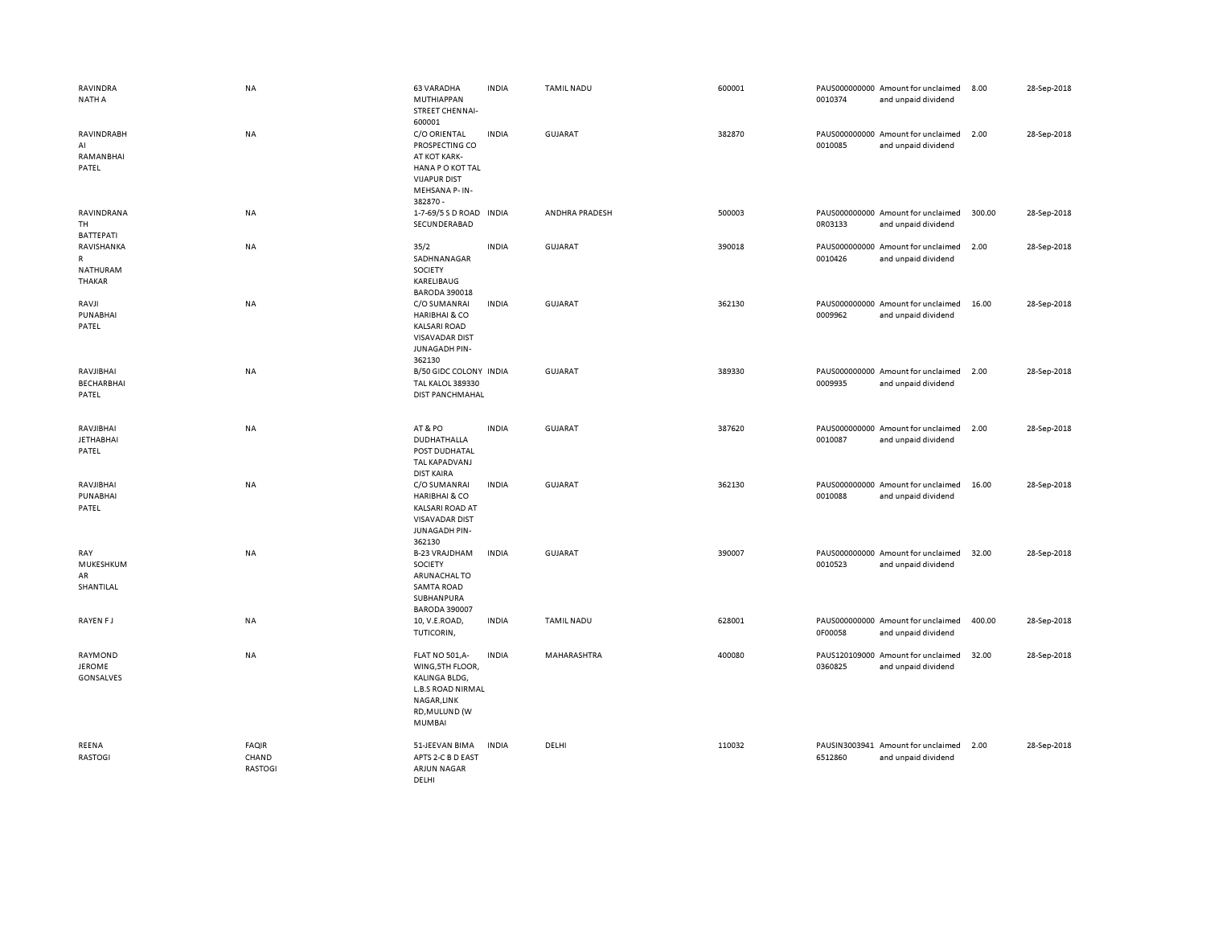| <b>RAVINDRA</b><br><b>NATH A</b>             | <b>NA</b>                        | <b>63 VARADHA</b><br>MUTHIAPPAN<br>STREET CHENNAI-<br>600001                                                                            | <b>INDIA</b> | <b>TAMIL NADU</b> | 600001 | 0010374 | PAUS000000000 Amount for unclaimed<br>and unpaid dividend | 8.00   | 28-Sep-2018 |
|----------------------------------------------|----------------------------------|-----------------------------------------------------------------------------------------------------------------------------------------|--------------|-------------------|--------|---------|-----------------------------------------------------------|--------|-------------|
| RAVINDRABH<br>AI<br>RAMANBHAI<br>PATEL       | <b>NA</b>                        | C/O ORIENTAL<br>PROSPECTING CO<br>AT KOT KARK-<br>HANA PO KOT TAL<br><b>VIJAPUR DIST</b><br>MEHSANA P- IN-<br>382870 -                  | <b>INDIA</b> | GUJARAT           | 382870 | 0010085 | PAUS000000000 Amount for unclaimed<br>and unpaid dividend | 2.00   | 28-Sep-2018 |
| RAVINDRANA<br>TH<br><b>BATTEPATI</b>         | NA                               | 1-7-69/5 S D ROAD INDIA<br>SECUNDERABAD                                                                                                 |              | ANDHRA PRADESH    | 500003 | 0R03133 | PAUS000000000 Amount for unclaimed<br>and unpaid dividend | 300.00 | 28-Sep-2018 |
| RAVISHANKA<br>R<br>NATHURAM<br><b>THAKAR</b> | NA                               | 35/2<br>SADHNANAGAR<br>SOCIETY<br>KARELIBAUG<br><b>BARODA 390018</b>                                                                    | <b>INDIA</b> | <b>GUJARAT</b>    | 390018 | 0010426 | PAUS000000000 Amount for unclaimed<br>and unpaid dividend | 2.00   | 28-Sep-2018 |
| RAVJI<br>PUNABHAI<br>PATEL                   | <b>NA</b>                        | C/O SUMANRAI<br><b>HARIBHAI &amp; CO</b><br><b>KALSARI ROAD</b><br><b>VISAVADAR DIST</b><br>JUNAGADH PIN-<br>362130                     | <b>INDIA</b> | <b>GUJARAT</b>    | 362130 | 0009962 | PAUS000000000 Amount for unclaimed<br>and unpaid dividend | 16.00  | 28-Sep-2018 |
| RAVJIBHAI<br><b>BECHARBHAI</b><br>PATEL      | <b>NA</b>                        | B/50 GIDC COLONY INDIA<br><b>TAL KALOL 389330</b><br>DIST PANCHMAHAL                                                                    |              | <b>GUJARAT</b>    | 389330 | 0009935 | PAUS000000000 Amount for unclaimed<br>and unpaid dividend | 2.00   | 28-Sep-2018 |
| RAVJIBHAI<br><b>JETHABHAI</b><br>PATEL       | <b>NA</b>                        | AT&PO<br>DUDHATHALLA<br>POST DUDHATAL<br>TAL KAPADVANJ<br><b>DIST KAIRA</b>                                                             | <b>INDIA</b> | <b>GUJARAT</b>    | 387620 | 0010087 | PAUS000000000 Amount for unclaimed<br>and unpaid dividend | 2.00   | 28-Sep-2018 |
| RAVJIBHAI<br>PUNABHAI<br>PATEL               | <b>NA</b>                        | C/O SUMANRAI<br><b>HARIBHAI &amp; CO</b><br><b>KALSARI ROAD AT</b><br><b>VISAVADAR DIST</b><br>JUNAGADH PIN-<br>362130                  | <b>INDIA</b> | <b>GUJARAT</b>    | 362130 | 0010088 | PAUS000000000 Amount for unclaimed<br>and unpaid dividend | 16.00  | 28-Sep-2018 |
| RAY<br>MUKESHKUM<br>AR<br>SHANTILAL          | <b>NA</b>                        | <b>B-23 VRAJDHAM</b><br>SOCIETY<br>ARUNACHAL TO<br><b>SAMTA ROAD</b><br>SUBHANPURA<br><b>BARODA 390007</b>                              | <b>INDIA</b> | <b>GUJARAT</b>    | 390007 | 0010523 | PAUS000000000 Amount for unclaimed<br>and unpaid dividend | 32.00  | 28-Sep-2018 |
| RAYEN FJ                                     | NA                               | 10, V.E.ROAD,<br>TUTICORIN,                                                                                                             | <b>INDIA</b> | <b>TAMIL NADU</b> | 628001 | 0F00058 | PAUS000000000 Amount for unclaimed<br>and unpaid dividend | 400.00 | 28-Sep-2018 |
| RAYMOND<br><b>JEROME</b><br>GONSALVES        | <b>NA</b>                        | <b>FLAT NO 501,A-</b><br>WING, 5TH FLOOR,<br>KALINGA BLDG,<br><b>L.B.S ROAD NIRMAL</b><br>NAGAR, LINK<br>RD, MULUND (W<br><b>MUMBAI</b> | <b>INDIA</b> | MAHARASHTRA       | 400080 | 0360825 | PAUS120109000 Amount for unclaimed<br>and unpaid dividend | 32.00  | 28-Sep-2018 |
| REENA<br><b>RASTOGI</b>                      | <b>FAQIR</b><br>CHAND<br>RASTOGI | 51-JEEVAN BIMA<br>APTS 2-C B D EAST<br><b>ARJUN NAGAR</b><br>DELHI                                                                      | <b>INDIA</b> | DELHI             | 110032 | 6512860 | PAUSIN3003941 Amount for unclaimed<br>and unpaid dividend | 2.00   | 28-Sep-2018 |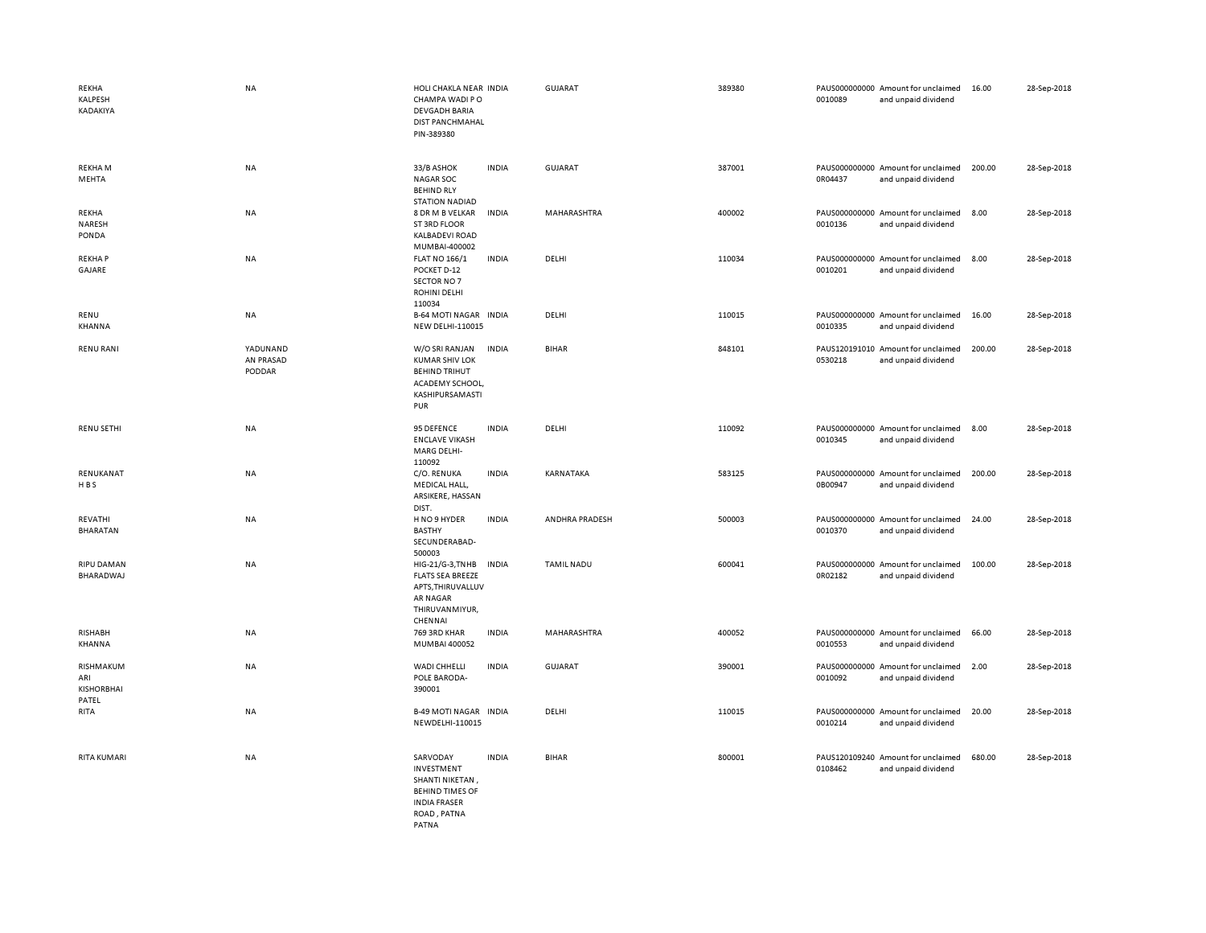| <b>REKHA</b><br>KALPESH<br>KADAKIYA            | NA                              | HOLI CHAKLA NEAR INDIA<br>CHAMPA WADI PO<br><b>DEVGADH BARIA</b><br><b>DIST PANCHMAHAL</b><br>PIN-389380                  |              | GUJARAT           | 389380 | 0010089 | PAUS000000000 Amount for unclaimed<br>and unpaid dividend | 16.00  | 28-Sep-2018 |
|------------------------------------------------|---------------------------------|---------------------------------------------------------------------------------------------------------------------------|--------------|-------------------|--------|---------|-----------------------------------------------------------|--------|-------------|
| <b>REKHAM</b><br>MEHTA                         | <b>NA</b>                       | 33/B ASHOK<br><b>NAGAR SOC</b><br><b>BEHIND RLY</b><br><b>STATION NADIAD</b>                                              | <b>INDIA</b> | GUJARAT           | 387001 | 0R04437 | PAUS000000000 Amount for unclaimed<br>and unpaid dividend | 200.00 | 28-Sep-2018 |
| <b>REKHA</b><br>NARESH<br>PONDA                | <b>NA</b>                       | 8 DR M B VELKAR<br>ST 3RD FLOOR<br><b>KALBADEVI ROAD</b><br>MUMBAI-400002                                                 | <b>INDIA</b> | MAHARASHTRA       | 400002 | 0010136 | PAUS000000000 Amount for unclaimed<br>and unpaid dividend | 8.00   | 28-Sep-2018 |
| <b>REKHAP</b><br>GAJARE                        | NA                              | <b>FLAT NO 166/1</b><br>POCKET D-12<br>SECTOR NO 7<br><b>ROHINI DELHI</b><br>110034                                       | <b>INDIA</b> | DELHI             | 110034 | 0010201 | PAUS000000000 Amount for unclaimed<br>and unpaid dividend | 8.00   | 28-Sep-2018 |
| RENU<br>KHANNA                                 | NA                              | <b>B-64 MOTI NAGAR INDIA</b><br>NEW DELHI-110015                                                                          |              | DELHI             | 110015 | 0010335 | PAUS000000000 Amount for unclaimed<br>and unpaid dividend | 16.00  | 28-Sep-2018 |
| <b>RENU RANI</b>                               | YADUNAND<br>AN PRASAD<br>PODDAR | W/O SRI RANJAN<br><b>KUMAR SHIV LOK</b><br><b>BEHIND TRIHUT</b><br>ACADEMY SCHOOL,<br>KASHIPURSAMASTI<br>PUR              | <b>INDIA</b> | <b>BIHAR</b>      | 848101 | 0530218 | PAUS120191010 Amount for unclaimed<br>and unpaid dividend | 200.00 | 28-Sep-2018 |
| <b>RENU SETHI</b>                              | NA                              | 95 DEFENCE<br><b>ENCLAVE VIKASH</b><br>MARG DELHI-<br>110092                                                              | <b>INDIA</b> | DELHI             | 110092 | 0010345 | PAUS000000000 Amount for unclaimed<br>and unpaid dividend | 8.00   | 28-Sep-2018 |
| RENUKANAT<br><b>HBS</b>                        | NA                              | C/O. RENUKA<br>MEDICAL HALL,<br>ARSIKERE, HASSAN<br>DIST.                                                                 | <b>INDIA</b> | KARNATAKA         | 583125 | 0B00947 | PAUS000000000 Amount for unclaimed<br>and unpaid dividend | 200.00 | 28-Sep-2018 |
| REVATHI<br><b>BHARATAN</b>                     | <b>NA</b>                       | H NO 9 HYDER<br><b>BASTHY</b><br>SECUNDERABAD-<br>500003                                                                  | <b>INDIA</b> | ANDHRA PRADESH    | 500003 | 0010370 | PAUS000000000 Amount for unclaimed<br>and unpaid dividend | 24.00  | 28-Sep-2018 |
| <b>RIPU DAMAN</b><br>BHARADWAJ                 | NA                              | HIG-21/G-3, TNHB<br><b>FLATS SEA BREEZE</b><br>APTS, THIRUVALLUV<br>AR NAGAR<br>THIRUVANMIYUR,<br>CHENNAI                 | <b>INDIA</b> | <b>TAMIL NADU</b> | 600041 | 0R02182 | PAUS000000000 Amount for unclaimed<br>and unpaid dividend | 100.00 | 28-Sep-2018 |
| <b>RISHABH</b><br>KHANNA                       | NA                              | 769 3RD KHAR<br>MUMBAI 400052                                                                                             | INDIA        | MAHARASHTRA       | 400052 | 0010553 | PAUS000000000 Amount for unclaimed<br>and unpaid dividend | 66.00  | 28-Sep-2018 |
| RISHMAKUM<br>ARI<br><b>KISHORBHAI</b><br>PATEL | NA                              | WADI CHHELLI<br>POLE BARODA-<br>390001                                                                                    | <b>INDIA</b> | GUJARAT           | 390001 | 0010092 | PAUS000000000 Amount for unclaimed<br>and unpaid dividend | 2.00   | 28-Sep-2018 |
| RITA                                           | NA                              | <b>B-49 MOTI NAGAR INDIA</b><br>NEWDELHI-110015                                                                           |              | DELHI             | 110015 | 0010214 | PAUS000000000 Amount for unclaimed<br>and unpaid dividend | 20.00  | 28-Sep-2018 |
| <b>RITA KUMARI</b>                             | NA                              | SARVODAY<br><b>INVESTMENT</b><br>SHANTI NIKETAN,<br><b>BEHIND TIMES OF</b><br><b>INDIA FRASER</b><br>ROAD, PATNA<br>PATNA | <b>INDIA</b> | <b>BIHAR</b>      | 800001 | 0108462 | PAUS120109240 Amount for unclaimed<br>and unpaid dividend | 680.00 | 28-Sep-2018 |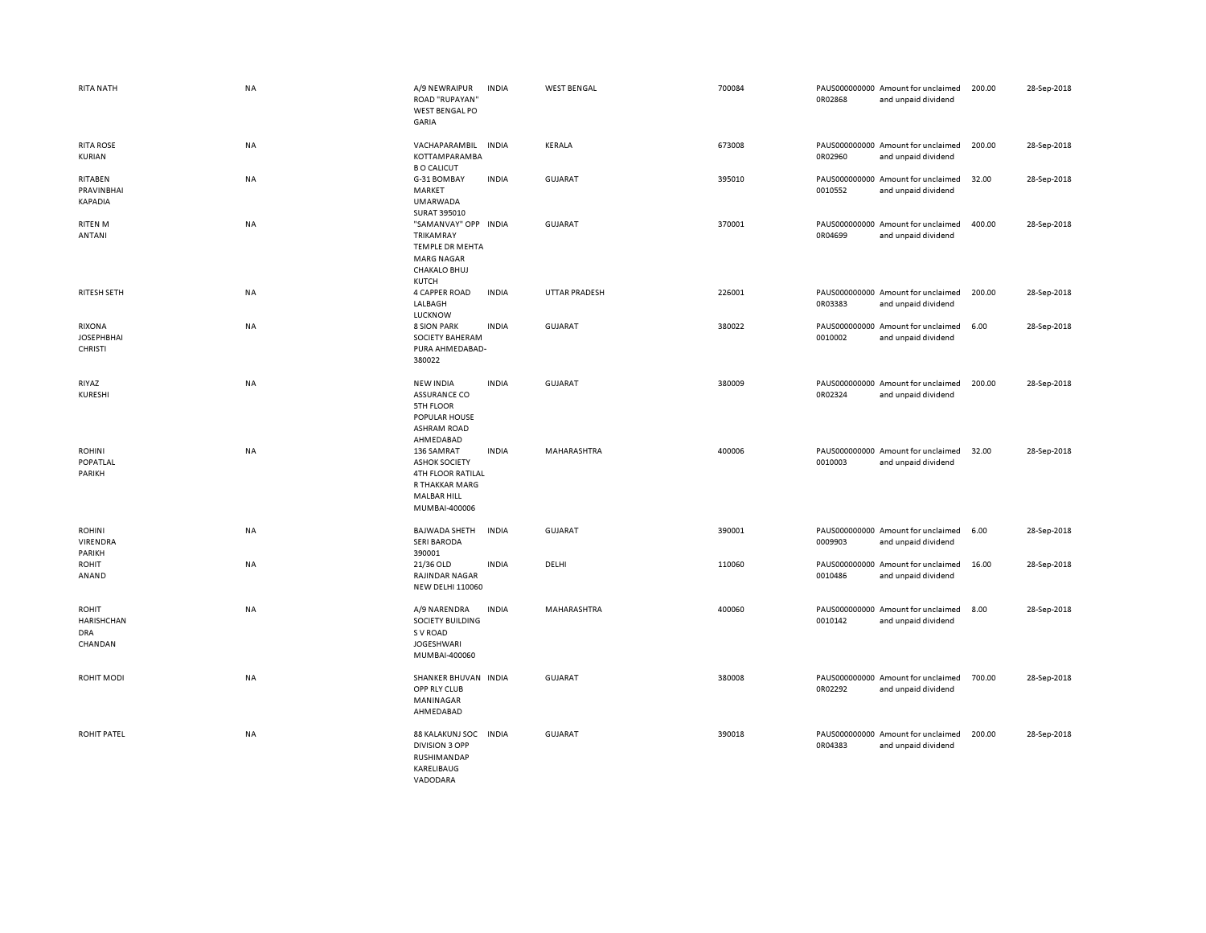| RITA NATH                                     | <b>NA</b> | A/9 NEWRAIPUR<br><b>ROAD "RUPAYAN"</b><br><b>WEST BENGAL PO</b><br>GARIA                                         | <b>INDIA</b> | <b>WEST BENGAL</b>   | 700084 | 0R02868 | PAUS000000000 Amount for unclaimed<br>and unpaid dividend | 200.00 | 28-Sep-2018 |
|-----------------------------------------------|-----------|------------------------------------------------------------------------------------------------------------------|--------------|----------------------|--------|---------|-----------------------------------------------------------|--------|-------------|
| <b>RITA ROSE</b><br>KURIAN                    | <b>NA</b> | VACHAPARAMBIL<br>KOTTAMPARAMBA<br><b>B O CALICUT</b>                                                             | <b>INDIA</b> | <b>KERALA</b>        | 673008 | 0R02960 | PAUS000000000 Amount for unclaimed<br>and unpaid dividend | 200.00 | 28-Sep-2018 |
| RITABEN<br>PRAVINBHAI<br>KAPADIA              | NA        | G-31 BOMBAY<br>MARKET<br><b>UMARWADA</b><br>SURAT 395010                                                         | <b>INDIA</b> | <b>GUJARAT</b>       | 395010 | 0010552 | PAUS000000000 Amount for unclaimed<br>and unpaid dividend | 32.00  | 28-Sep-2018 |
| <b>RITEN M</b><br><b>ANTANI</b>               | NA        | "SAMANVAY" OPP INDIA<br><b>TRIKAMRAY</b><br>TEMPLE DR MEHTA<br><b>MARG NAGAR</b><br><b>CHAKALO BHUJ</b><br>KUTCH |              | <b>GUJARAT</b>       | 370001 | 0R04699 | PAUS000000000 Amount for unclaimed<br>and unpaid dividend | 400.00 | 28-Sep-2018 |
| RITESH SETH                                   | <b>NA</b> | <b>4 CAPPER ROAD</b><br>LALBAGH<br>LUCKNOW                                                                       | <b>INDIA</b> | <b>UTTAR PRADESH</b> | 226001 | 0R03383 | PAUS000000000 Amount for unclaimed<br>and unpaid dividend | 200.00 | 28-Sep-2018 |
| RIXONA<br><b>JOSEPHBHAI</b><br><b>CHRISTI</b> | NA        | <b>8 SION PARK</b><br><b>SOCIETY BAHERAM</b><br>PURA AHMEDABAD-<br>380022                                        | <b>INDIA</b> | <b>GUJARAT</b>       | 380022 | 0010002 | PAUS000000000 Amount for unclaimed<br>and unpaid dividend | 6.00   | 28-Sep-2018 |
| RIYAZ<br>KURESHI                              | <b>NA</b> | <b>NEW INDIA</b><br><b>ASSURANCE CO</b><br>5TH FLOOR<br>POPULAR HOUSE<br><b>ASHRAM ROAD</b><br>AHMEDABAD         | <b>INDIA</b> | GUJARAT              | 380009 | 0R02324 | PAUS000000000 Amount for unclaimed<br>and unpaid dividend | 200.00 | 28-Sep-2018 |
| <b>ROHINI</b><br>POPATLAL<br>PARIKH           | NA        | 136 SAMRAT<br><b>ASHOK SOCIETY</b><br>4TH FLOOR RATILAL<br>R THAKKAR MARG<br><b>MALBAR HILL</b><br>MUMBAI-400006 | <b>INDIA</b> | MAHARASHTRA          | 400006 | 0010003 | PAUS000000000 Amount for unclaimed<br>and unpaid dividend | 32.00  | 28-Sep-2018 |
| <b>ROHINI</b><br>VIRENDRA<br>PARIKH           | NA        | <b>BAJWADA SHETH</b><br><b>SERI BARODA</b><br>390001                                                             | <b>INDIA</b> | <b>GUJARAT</b>       | 390001 | 0009903 | PAUS000000000 Amount for unclaimed<br>and unpaid dividend | 6.00   | 28-Sep-2018 |
| <b>ROHIT</b><br>ANAND                         | <b>NA</b> | 21/36 OLD<br><b>RAJINDAR NAGAR</b><br><b>NEW DELHI 110060</b>                                                    | <b>INDIA</b> | DELHI                | 110060 | 0010486 | PAUS000000000 Amount for unclaimed<br>and unpaid dividend | 16.00  | 28-Sep-2018 |
| ROHIT<br>HARISHCHAN<br><b>DRA</b><br>CHANDAN  | NA        | A/9 NARENDRA<br>SOCIETY BUILDING<br>S V ROAD<br><b>JOGESHWARI</b><br>MUMBAI-400060                               | <b>INDIA</b> | MAHARASHTRA          | 400060 | 0010142 | PAUS000000000 Amount for unclaimed<br>and unpaid dividend | 8.00   | 28-Sep-2018 |
| ROHIT MODI                                    | <b>NA</b> | SHANKER BHUVAN INDIA<br>OPP RLY CLUB<br>MANINAGAR<br>AHMEDABAD                                                   |              | <b>GUJARAT</b>       | 380008 | 0R02292 | PAUS000000000 Amount for unclaimed<br>and unpaid dividend | 700.00 | 28-Sep-2018 |
| <b>ROHIT PATEL</b>                            | <b>NA</b> | 88 KALAKUNJ SOC<br><b>DIVISION 3 OPP</b><br>RUSHIMANDAP<br>KARELIBAUG<br>VADODARA                                | <b>INDIA</b> | <b>GUJARAT</b>       | 390018 | 0R04383 | PAUS000000000 Amount for unclaimed<br>and unpaid dividend | 200.00 | 28-Sep-2018 |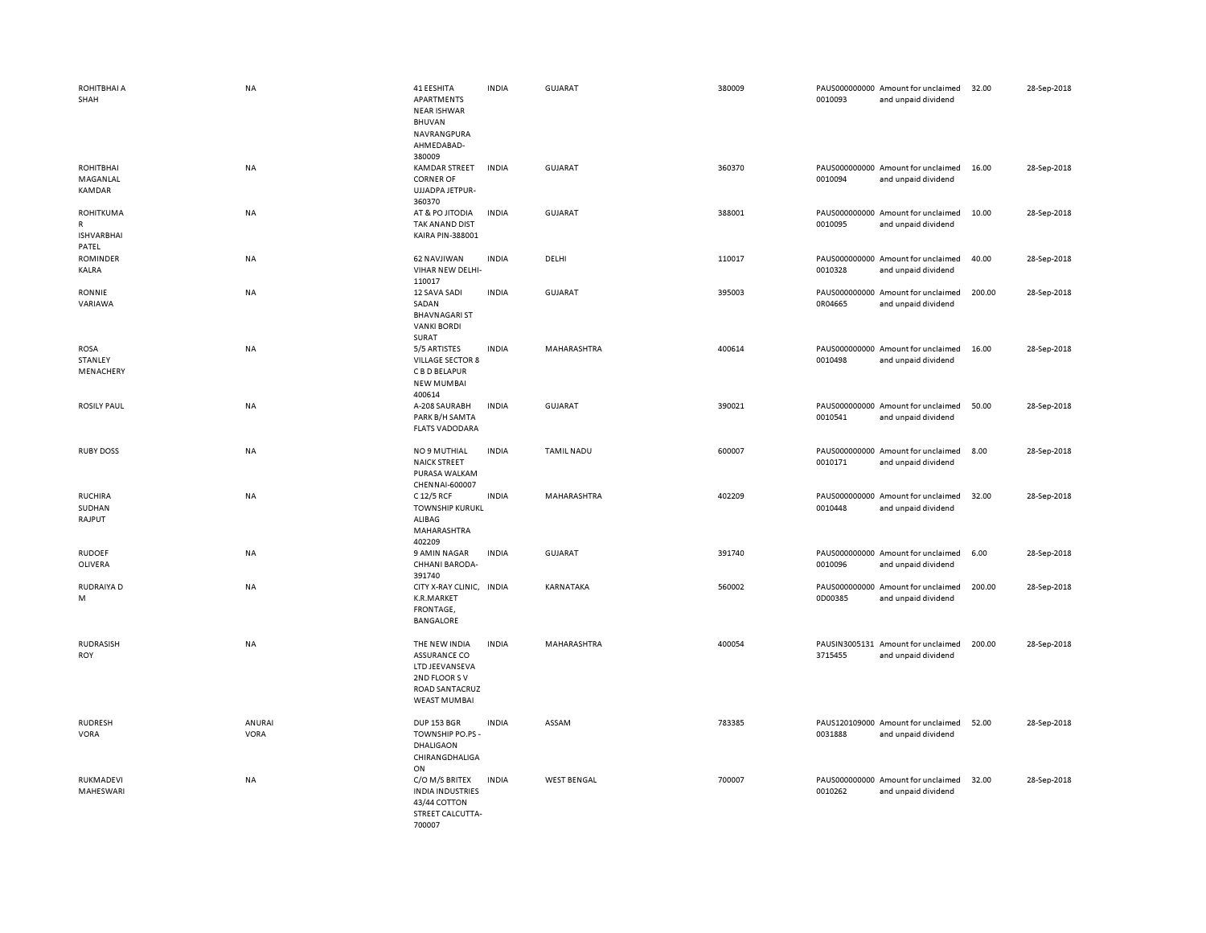| ROHITBHAI A<br>SHAH                                 | <b>NA</b>      | 41 EESHITA<br>APARTMENTS<br><b>NEAR ISHWAR</b><br><b>BHUVAN</b><br>NAVRANGPURA<br>AHMEDABAD-<br>380009          | <b>INDIA</b> | <b>GUJARAT</b>     | 380009 | 0010093 | PAUS000000000 Amount for unclaimed<br>and unpaid dividend | 32.00  | 28-Sep-2018 |
|-----------------------------------------------------|----------------|-----------------------------------------------------------------------------------------------------------------|--------------|--------------------|--------|---------|-----------------------------------------------------------|--------|-------------|
| ROHITBHAI<br>MAGANLAL<br>KAMDAR                     | <b>NA</b>      | <b>KAMDAR STREET</b><br><b>CORNER OF</b><br>UJJADPA JETPUR-<br>360370                                           | <b>INDIA</b> | <b>GUJARAT</b>     | 360370 | 0010094 | PAUS000000000 Amount for unclaimed<br>and unpaid dividend | 16.00  | 28-Sep-2018 |
| <b>ROHITKUMA</b><br>R<br><b>ISHVARBHAI</b><br>PATEL | <b>NA</b>      | AT & PO JITODIA<br>TAK ANAND DIST<br>KAIRA PIN-388001                                                           | <b>INDIA</b> | GUJARAT            | 388001 | 0010095 | PAUS000000000 Amount for unclaimed<br>and unpaid dividend | 10.00  | 28-Sep-2018 |
| <b>ROMINDER</b><br>KALRA                            | NA             | 62 NAVJIWAN<br>VIHAR NEW DELHI-<br>110017                                                                       | <b>INDIA</b> | DELHI              | 110017 | 0010328 | PAUS000000000 Amount for unclaimed<br>and unpaid dividend | 40.00  | 28-Sep-2018 |
| RONNIE<br>VARIAWA                                   | <b>NA</b>      | 12 SAVA SADI<br>SADAN<br><b>BHAVNAGARI ST</b><br><b>VANKI BORDI</b><br>SURAT                                    | <b>INDIA</b> | GUJARAT            | 395003 | 0R04665 | PAUS000000000 Amount for unclaimed<br>and unpaid dividend | 200.00 | 28-Sep-2018 |
| <b>ROSA</b><br>STANLEY<br>MENACHERY                 | NA             | 5/5 ARTISTES<br><b>VILLAGE SECTOR 8</b><br>C B D BELAPUR<br><b>NEW MUMBAI</b><br>400614                         | <b>INDIA</b> | MAHARASHTRA        | 400614 | 0010498 | PAUS000000000 Amount for unclaimed<br>and unpaid dividend | 16.00  | 28-Sep-2018 |
| <b>ROSILY PAUL</b>                                  | <b>NA</b>      | A-208 SAURABH<br>PARK B/H SAMTA<br><b>FLATS VADODARA</b>                                                        | <b>INDIA</b> | GUJARAT            | 390021 | 0010541 | PAUS000000000 Amount for unclaimed<br>and unpaid dividend | 50.00  | 28-Sep-2018 |
| <b>RUBY DOSS</b>                                    | NA             | NO 9 MUTHIAL<br><b>NAICK STREET</b><br>PURASA WALKAM<br>CHENNAI-600007                                          | <b>INDIA</b> | <b>TAMIL NADU</b>  | 600007 | 0010171 | PAUS000000000 Amount for unclaimed<br>and unpaid dividend | 8.00   | 28-Sep-2018 |
| <b>RUCHIRA</b><br>SUDHAN<br>RAJPUT                  | NA             | C 12/5 RCF<br><b>TOWNSHIP KURUKL</b><br>ALIBAG<br>MAHARASHTRA<br>402209                                         | <b>INDIA</b> | MAHARASHTRA        | 402209 | 0010448 | PAUS000000000 Amount for unclaimed<br>and unpaid dividend | 32.00  | 28-Sep-2018 |
| <b>RUDOEF</b><br>OLIVERA                            | NA             | 9 AMIN NAGAR<br>CHHANI BARODA-<br>391740                                                                        | <b>INDIA</b> | <b>GUJARAT</b>     | 391740 | 0010096 | PAUS000000000 Amount for unclaimed<br>and unpaid dividend | 6.00   | 28-Sep-2018 |
| RUDRAIYA D<br>M                                     | NA             | CITY X-RAY CLINIC, INDIA<br>K.R.MARKET<br>FRONTAGE,<br><b>BANGALORE</b>                                         |              | KARNATAKA          | 560002 | 0D00385 | PAUS000000000 Amount for unclaimed<br>and unpaid dividend | 200.00 | 28-Sep-2018 |
| <b>RUDRASISH</b><br>ROY                             | NA             | THE NEW INDIA<br><b>ASSURANCE CO</b><br>LTD JEEVANSEVA<br>2ND FLOOR SV<br>ROAD SANTACRUZ<br><b>WEAST MUMBAI</b> | <b>INDIA</b> | MAHARASHTRA        | 400054 | 3715455 | PAUSIN3005131 Amount for unclaimed<br>and unpaid dividend | 200.00 | 28-Sep-2018 |
| <b>RUDRESH</b><br>VORA                              | ANURAI<br>VORA | <b>DUP 153 BGR</b><br>TOWNSHIP PO.PS -<br>DHALIGAON<br>CHIRANGDHALIGA<br>ON                                     | <b>INDIA</b> | ASSAM              | 783385 | 0031888 | PAUS120109000 Amount for unclaimed<br>and unpaid dividend | 52.00  | 28-Sep-2018 |
| RUKMADEVI<br>MAHESWARI                              | NA             | C/O M/S BRITEX<br><b>INDIA INDUSTRIES</b><br>43/44 COTTON<br>STREET CALCUTTA-<br>700007                         | <b>INDIA</b> | <b>WEST BENGAL</b> | 700007 | 0010262 | PAUS000000000 Amount for unclaimed<br>and unpaid dividend | 32.00  | 28-Sep-2018 |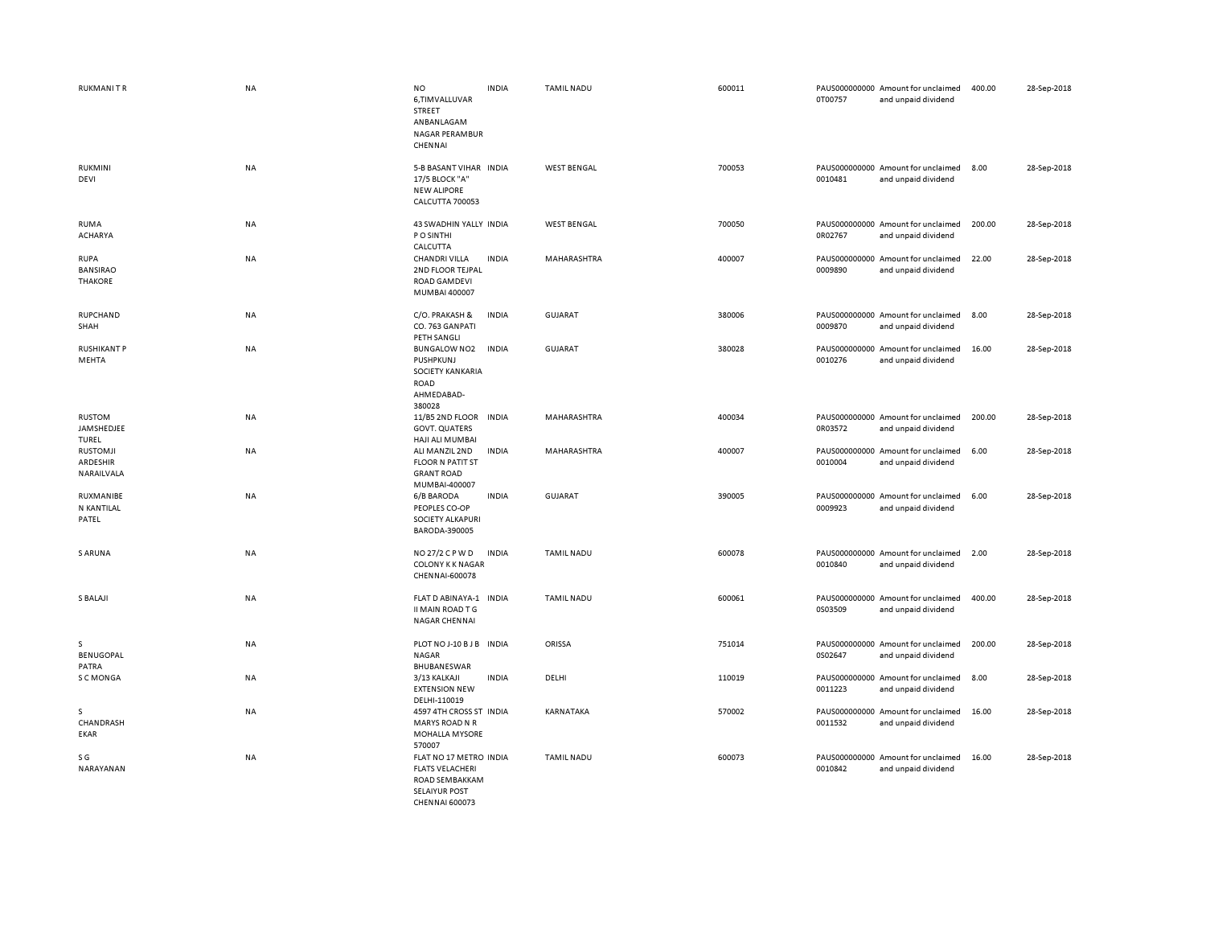| <b>RUKMANITR</b>                                 | <b>NA</b> | <b>NO</b><br>6,TIMVALLUVAR<br>STREET<br>ANBANLAGAM<br><b>NAGAR PERAMBUR</b><br>CHENNAI | <b>INDIA</b> | <b>TAMIL NADU</b>  | 600011 | 0T00757 | PAUS000000000 Amount for unclaimed<br>and unpaid dividend | 400.00 | 28-Sep-2018 |
|--------------------------------------------------|-----------|----------------------------------------------------------------------------------------|--------------|--------------------|--------|---------|-----------------------------------------------------------|--------|-------------|
| RUKMINI<br>DEVI                                  | <b>NA</b> | 5-B BASANT VIHAR INDIA<br>17/5 BLOCK "A"<br><b>NEW ALIPORE</b><br>CALCUTTA 700053      |              | <b>WEST BENGAL</b> | 700053 | 0010481 | PAUS000000000 Amount for unclaimed<br>and unpaid dividend | 8.00   | 28-Sep-2018 |
| <b>RUMA</b><br><b>ACHARYA</b>                    | NA        | 43 SWADHIN YALLY INDIA<br>P O SINTHI<br>CALCUTTA                                       |              | <b>WEST BENGAL</b> | 700050 | 0R02767 | PAUS000000000 Amount for unclaimed<br>and unpaid dividend | 200.00 | 28-Sep-2018 |
| <b>RUPA</b><br><b>BANSIRAO</b><br><b>THAKORE</b> | <b>NA</b> | <b>CHANDRI VILLA</b><br>2ND FLOOR TEJPAL<br><b>ROAD GAMDEVI</b><br>MUMBAI 400007       | <b>INDIA</b> | MAHARASHTRA        | 400007 | 0009890 | PAUS000000000 Amount for unclaimed<br>and unpaid dividend | 22.00  | 28-Sep-2018 |
| RUPCHAND<br>SHAH                                 | <b>NA</b> | C/O. PRAKASH &<br>CO. 763 GANPATI<br>PETH SANGLI                                       | <b>INDIA</b> | <b>GUJARAT</b>     | 380006 | 0009870 | PAUS000000000 Amount for unclaimed<br>and unpaid dividend | 8.00   | 28-Sep-2018 |
| <b>RUSHIKANT P</b><br>MEHTA                      | <b>NA</b> | <b>BUNGALOW NO2</b><br>PUSHPKUNJ<br>SOCIETY KANKARIA<br>ROAD<br>AHMEDABAD-<br>380028   | <b>INDIA</b> | <b>GUJARAT</b>     | 380028 | 0010276 | PAUS000000000 Amount for unclaimed<br>and unpaid dividend | 16.00  | 28-Sep-2018 |
| <b>RUSTOM</b><br>JAMSHEDJEE<br>TUREL             | NA        | 11/B5 2ND FLOOR<br><b>GOVT. QUATERS</b><br>HAJI ALI MUMBAI                             | <b>INDIA</b> | MAHARASHTRA        | 400034 | 0R03572 | PAUS000000000 Amount for unclaimed<br>and unpaid dividend | 200.00 | 28-Sep-2018 |
| <b>RUSTOMJI</b><br>ARDESHIR<br>NARAILVALA        | <b>NA</b> | ALI MANZIL 2ND<br><b>FLOOR N PATIT ST</b><br><b>GRANT ROAD</b><br>MUMBAI-400007        | <b>INDIA</b> | <b>MAHARASHTRA</b> | 400007 | 0010004 | PAUS000000000 Amount for unclaimed<br>and unpaid dividend | 6.00   | 28-Sep-2018 |
| RUXMANIBE<br>N KANTILAL<br>PATEL                 | <b>NA</b> | 6/B BARODA<br>PEOPLES CO-OP<br>SOCIETY ALKAPURI<br>BARODA-390005                       | <b>INDIA</b> | GUJARAT            | 390005 | 0009923 | PAUS000000000 Amount for unclaimed<br>and unpaid dividend | 6.00   | 28-Sep-2018 |
| S ARUNA                                          | NA        | NO 27/2 C P W D<br><b>COLONY K K NAGAR</b><br>CHENNAI-600078                           | <b>INDIA</b> | <b>TAMIL NADU</b>  | 600078 | 0010840 | PAUS000000000 Amount for unclaimed<br>and unpaid dividend | 2.00   | 28-Sep-2018 |
| S BALAJI                                         | <b>NA</b> | FLAT D ABINAYA-1<br>II MAIN ROAD T G<br><b>NAGAR CHENNAI</b>                           | <b>INDIA</b> | <b>TAMIL NADU</b>  | 600061 | 0S03509 | PAUS000000000 Amount for unclaimed<br>and unpaid dividend | 400.00 | 28-Sep-2018 |
| s<br><b>BENUGOPAL</b><br>PATRA                   | NA        | PLOT NO J-10 B J B INDIA<br><b>NAGAR</b><br>BHUBANESWAR                                |              | ORISSA             | 751014 | 0S02647 | PAUS000000000 Amount for unclaimed<br>and unpaid dividend | 200.00 | 28-Sep-2018 |
| S C MONGA                                        | <b>NA</b> | 3/13 KALKAJI<br><b>EXTENSION NEW</b><br>DELHI-110019                                   | <b>INDIA</b> | DELHI              | 110019 | 0011223 | PAUS000000000 Amount for unclaimed<br>and unpaid dividend | 8.00   | 28-Sep-2018 |
| <sub>S</sub><br>CHANDRASH<br>EKAR                | NA        | 4597 4TH CROSS ST INDIA<br><b>MARYS ROAD N R</b><br><b>MOHALLA MYSORE</b><br>570007    |              | KARNATAKA          | 570002 | 0011532 | PAUS000000000 Amount for unclaimed<br>and unpaid dividend | 16.00  | 28-Sep-2018 |
| S G<br>NARAYANAN                                 | NA        | FLAT NO 17 METRO INDIA<br><b>FLATS VELACHERI</b><br>ROAD SEMBAKKAM<br>SELAIVUR POST    |              | <b>TAMIL NADU</b>  | 600073 | 0010842 | PAUS000000000 Amount for unclaimed<br>and unpaid dividend | 16.00  | 28-Sep-2018 |

CHENNAI 600073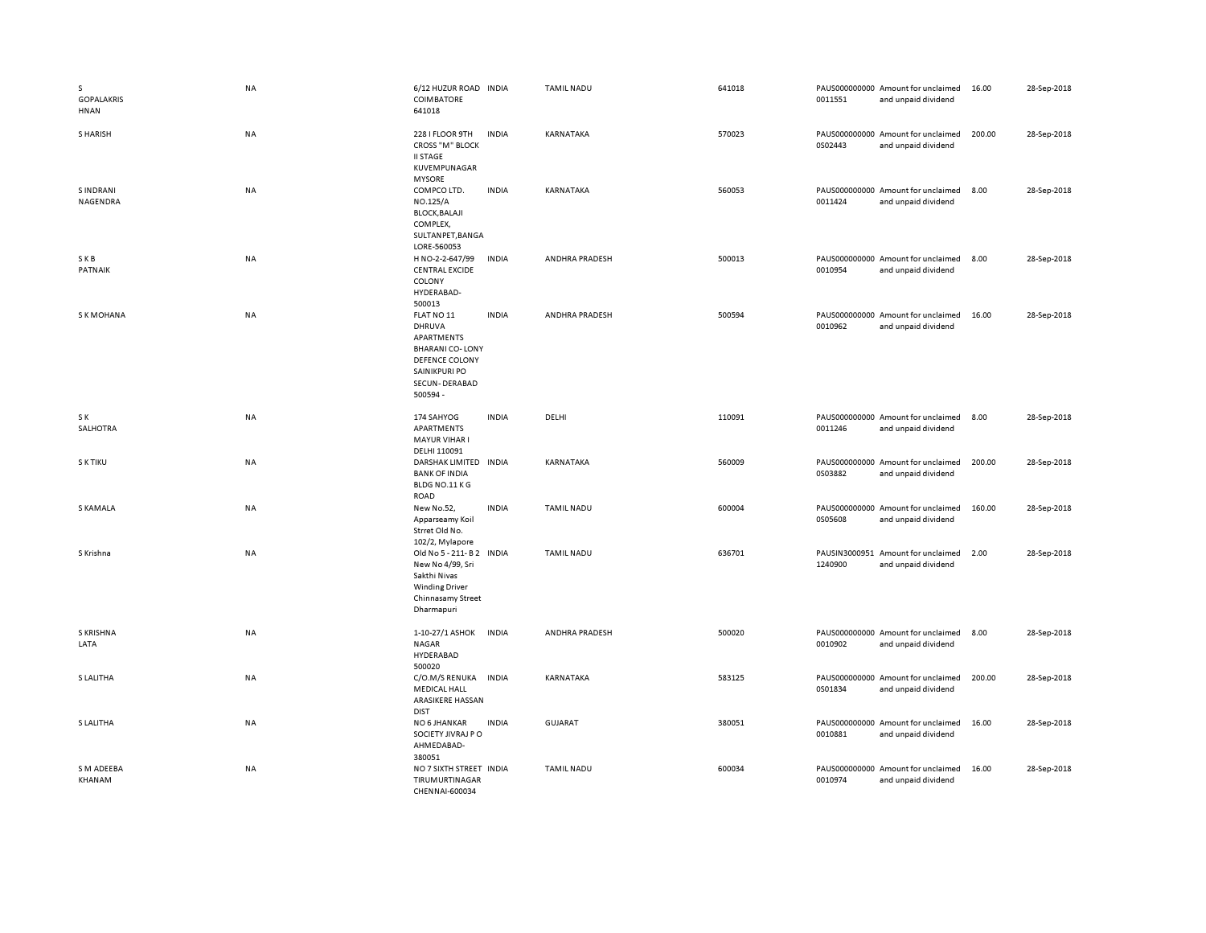| s<br><b>GOPALAKRIS</b><br>HNAN | <b>NA</b> | 6/12 HUZUR ROAD INDIA<br>COIMBATORE<br>641018                                                                                |              | <b>TAMIL NADU</b>     | 641018 | 0011551 | PAUS000000000 Amount for unclaimed<br>and unpaid dividend | 16.00  | 28-Sep-2018 |
|--------------------------------|-----------|------------------------------------------------------------------------------------------------------------------------------|--------------|-----------------------|--------|---------|-----------------------------------------------------------|--------|-------------|
| S HARISH                       | <b>NA</b> | 228 I FLOOR 9TH<br><b>CROSS "M" BLOCK</b><br><b>II STAGE</b><br>KUVEMPUNAGAR<br><b>MYSORE</b>                                | <b>INDIA</b> | KARNATAKA             | 570023 | 0S02443 | PAUS000000000 Amount for unclaimed<br>and unpaid dividend | 200.00 | 28-Sep-2018 |
| <b>SINDRANI</b><br>NAGENDRA    | <b>NA</b> | COMPCO LTD.<br>NO.125/A<br><b>BLOCK, BALAJI</b><br>COMPLEX,<br>SULTANPET, BANGA<br>LORE-560053                               | <b>INDIA</b> | KARNATAKA             | 560053 | 0011424 | PAUS000000000 Amount for unclaimed<br>and unpaid dividend | 8.00   | 28-Sep-2018 |
| SKB<br>PATNAIK                 | <b>NA</b> | H NO-2-2-647/99<br><b>CENTRAL EXCIDE</b><br>COLONY<br>HYDERABAD-<br>500013                                                   | <b>INDIA</b> | ANDHRA PRADESH        | 500013 | 0010954 | PAUS000000000 Amount for unclaimed<br>and unpaid dividend | 8.00   | 28-Sep-2018 |
| <b>SK MOHANA</b>               | NA        | FLAT NO 11<br>DHRUVA<br>APARTMENTS<br><b>BHARANI CO-LONY</b><br>DEFENCE COLONY<br>SAINIKPURI PO<br>SECUN-DERABAD<br>500594 - | <b>INDIA</b> | ANDHRA PRADESH        | 500594 | 0010962 | PAUS000000000 Amount for unclaimed<br>and unpaid dividend | 16.00  | 28-Sep-2018 |
| S K<br>SALHOTRA                | <b>NA</b> | 174 SAHYOG<br>APARTMENTS<br><b>MAYUR VIHAR I</b><br>DELHI 110091                                                             | <b>INDIA</b> | DELHI                 | 110091 | 0011246 | PAUS000000000 Amount for unclaimed<br>and unpaid dividend | 8.00   | 28-Sep-2018 |
| S K TIKU                       | <b>NA</b> | DARSHAK LIMITED INDIA<br><b>BANK OF INDIA</b><br>BLDG NO.11 KG<br><b>ROAD</b>                                                |              | KARNATAKA             | 560009 | 0S03882 | PAUS000000000 Amount for unclaimed<br>and unpaid dividend | 200.00 | 28-Sep-2018 |
| <b>S KAMALA</b>                | <b>NA</b> | New No.52,<br>Apparseamy Koil<br>Strret Old No.<br>102/2, Mylapore                                                           | <b>INDIA</b> | <b>TAMIL NADU</b>     | 600004 | 0S05608 | PAUS000000000 Amount for unclaimed<br>and unpaid dividend | 160.00 | 28-Sep-2018 |
| S Krishna                      | NA        | Old No 5 - 211- B 2 INDIA<br>New No 4/99, Sri<br>Sakthi Nivas<br><b>Winding Driver</b><br>Chinnasamy Street<br>Dharmapuri    |              | <b>TAMIL NADU</b>     | 636701 | 1240900 | PAUSIN3000951 Amount for unclaimed<br>and unpaid dividend | 2.00   | 28-Sep-2018 |
| <b>S KRISHNA</b><br>LATA       | <b>NA</b> | 1-10-27/1 ASHOK<br><b>NAGAR</b><br>HYDERABAD<br>500020                                                                       | <b>INDIA</b> | <b>ANDHRA PRADESH</b> | 500020 | 0010902 | PAUS000000000 Amount for unclaimed<br>and unpaid dividend | 8.00   | 28-Sep-2018 |
| S LALITHA                      | <b>NA</b> | C/O.M/S RENUKA<br><b>MEDICAL HALL</b><br>ARASIKERE HASSAN<br><b>DIST</b>                                                     | <b>INDIA</b> | KARNATAKA             | 583125 | 0S01834 | PAUS000000000 Amount for unclaimed<br>and unpaid dividend | 200.00 | 28-Sep-2018 |
| S LALITHA                      | NA        | NO 6 JHANKAR<br>SOCIETY JIVRAJ PO<br>AHMEDABAD-<br>380051                                                                    | <b>INDIA</b> | <b>GUJARAT</b>        | 380051 | 0010881 | PAUS000000000 Amount for unclaimed<br>and unpaid dividend | 16.00  | 28-Sep-2018 |
| S M ADEEBA<br>KHANAM           | NA        | NO 7 SIXTH STREET INDIA<br>TIRUMURTINAGAR<br>CHENNAL-600034                                                                  |              | <b>TAMIL NADU</b>     | 600034 | 0010974 | PAUS000000000 Amount for unclaimed<br>and unpaid dividend | 16.00  | 28-Sep-2018 |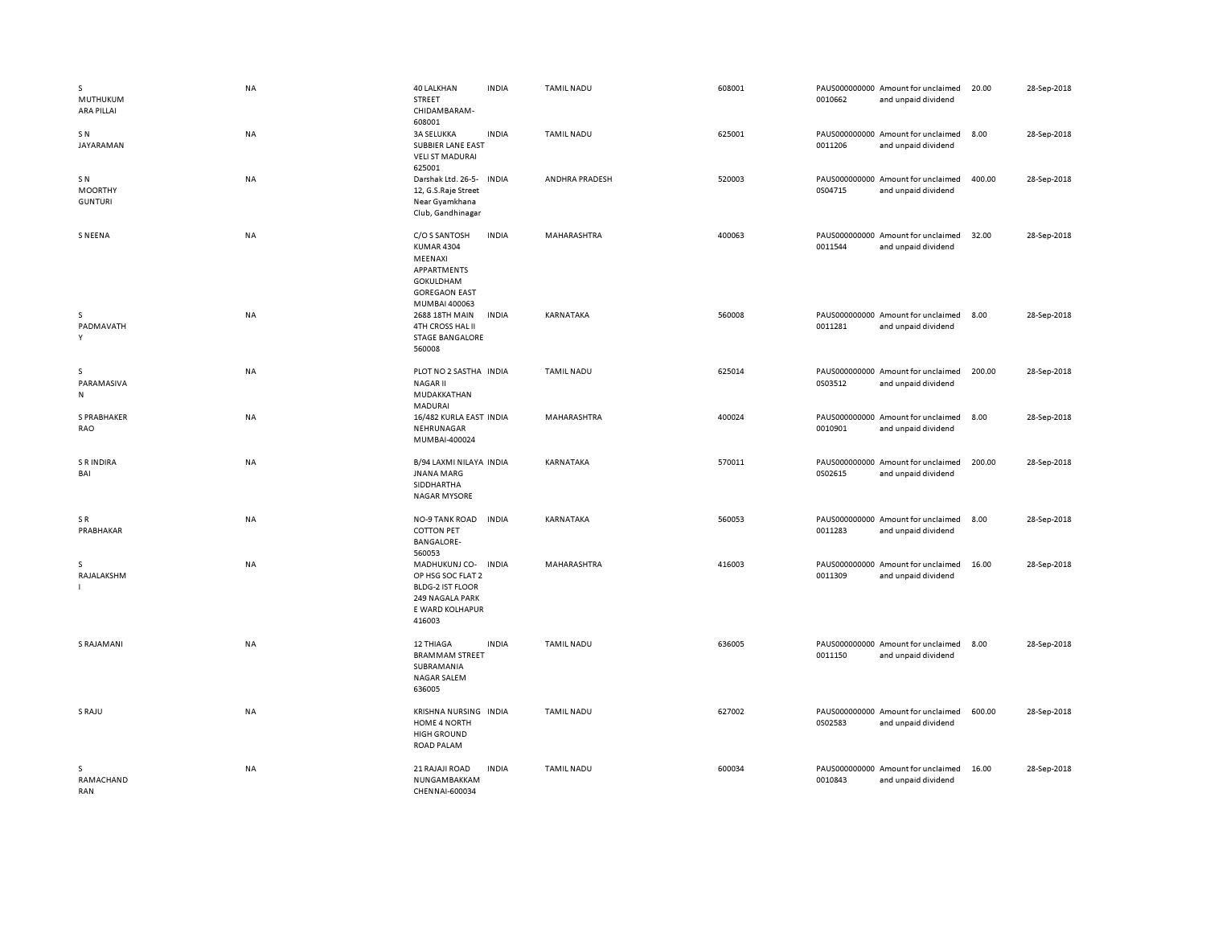| s<br>MUTHUKUM<br><b>ARA PILLAI</b>     | NA        | <b>40 LALKHAN</b><br><b>INDIA</b><br>STREET<br>CHIDAMBARAM-<br>608001                                                                     | TAMIL NADU        | 608001 | 0010662 | PAUS000000000 Amount for unclaimed<br>and unpaid dividend | 20.00  | 28-Sep-2018 |
|----------------------------------------|-----------|-------------------------------------------------------------------------------------------------------------------------------------------|-------------------|--------|---------|-----------------------------------------------------------|--------|-------------|
| SN.<br>JAYARAMAN                       | NA        | <b>INDIA</b><br><b>3A SELUKKA</b><br>SUBBIER LANE EAST<br><b>VELIST MADURAI</b><br>625001                                                 | <b>TAMIL NADU</b> | 625001 | 0011206 | PAUS000000000 Amount for unclaimed<br>and unpaid dividend | 8.00   | 28-Sep-2018 |
| SN<br><b>MOORTHY</b><br><b>GUNTURI</b> | NA        | Darshak Ltd. 26-5-<br><b>INDIA</b><br>12, G.S.Raje Street<br>Near Gyamkhana<br>Club, Gandhinagar                                          | ANDHRA PRADESH    | 520003 | 0S04715 | PAUS000000000 Amount for unclaimed<br>and unpaid dividend | 400.00 | 28-Sep-2018 |
| <b>SNEENA</b>                          | NA        | C/O S SANTOSH<br><b>INDIA</b><br><b>KUMAR 4304</b><br>MEENAXI<br>APPARTMENTS<br><b>GOKULDHAM</b><br><b>GOREGAON EAST</b><br>MUMBAI 400063 | MAHARASHTRA       | 400063 | 0011544 | PAUS000000000 Amount for unclaimed<br>and unpaid dividend | 32.00  | 28-Sep-2018 |
| S.<br>PADMAVATH<br>Y                   | <b>NA</b> | 2688 18TH MAIN<br><b>INDIA</b><br>4TH CROSS HAL II<br><b>STAGE BANGALORE</b><br>560008                                                    | KARNATAKA         | 560008 | 0011281 | PAUS000000000 Amount for unclaimed<br>and unpaid dividend | 8.00   | 28-Sep-2018 |
| s<br>PARAMASIVA<br>N                   | NA        | PLOT NO 2 SASTHA INDIA<br><b>NAGARII</b><br>MUDAKKATHAN<br><b>MADURAI</b>                                                                 | <b>TAMIL NADU</b> | 625014 | 0S03512 | PAUS000000000 Amount for unclaimed<br>and unpaid dividend | 200.00 | 28-Sep-2018 |
| S PRABHAKER<br>RAO                     | NA        | 16/482 KURLA EAST INDIA<br>NEHRUNAGAR<br>MUMBAI-400024                                                                                    | MAHARASHTRA       | 400024 | 0010901 | PAUS000000000 Amount for unclaimed<br>and unpaid dividend | 8.00   | 28-Sep-2018 |
| <b>S R INDIRA</b><br>BAI               | <b>NA</b> | B/94 LAXMI NILAYA INDIA<br><b>JNANA MARG</b><br>SIDDHARTHA<br><b>NAGAR MYSORE</b>                                                         | KARNATAKA         | 570011 | 0S02615 | PAUS000000000 Amount for unclaimed<br>and unpaid dividend | 200.00 | 28-Sep-2018 |
| SR<br>PRABHAKAR                        | NA        | <b>INDIA</b><br><b>NO-9 TANK ROAD</b><br><b>COTTON PET</b><br><b>BANGALORE-</b><br>560053                                                 | KARNATAKA         | 560053 | 0011283 | PAUS000000000 Amount for unclaimed<br>and unpaid dividend | 8.00   | 28-Sep-2018 |
| s<br>RAJALAKSHM                        | NA        | <b>INDIA</b><br>MADHUKUNJ CO-<br>OP HSG SOC FLAT 2<br><b>BLDG-2 IST FLOOR</b><br>249 NAGALA PARK<br>E WARD KOLHAPUR<br>416003             | MAHARASHTRA       | 416003 | 0011309 | PAUS000000000 Amount for unclaimed<br>and unpaid dividend | 16.00  | 28-Sep-2018 |
| S RAJAMANI                             | <b>NA</b> | <b>INDIA</b><br><b>12 THIAGA</b><br><b>BRAMMAM STREET</b><br>SUBRAMANIA<br><b>NAGAR SALEM</b><br>636005                                   | <b>TAMIL NADU</b> | 636005 | 0011150 | PAUS000000000 Amount for unclaimed<br>and unpaid dividend | 8.00   | 28-Sep-2018 |
| S RAJU                                 | <b>NA</b> | KRISHNA NURSING INDIA<br>HOME 4 NORTH<br><b>HIGH GROUND</b><br><b>ROAD PALAM</b>                                                          | <b>TAMIL NADU</b> | 627002 | 0S02583 | PAUS000000000 Amount for unclaimed<br>and unpaid dividend | 600.00 | 28-Sep-2018 |
| s<br>RAMACHAND<br>RAN                  | NA        | 21 RAJAJI ROAD<br><b>INDIA</b><br>NUNGAMBAKKAM<br>CHENNAI-600034                                                                          | <b>TAMIL NADU</b> | 600034 | 0010843 | PAUS000000000 Amount for unclaimed<br>and unpaid dividend | 16.00  | 28-Sep-2018 |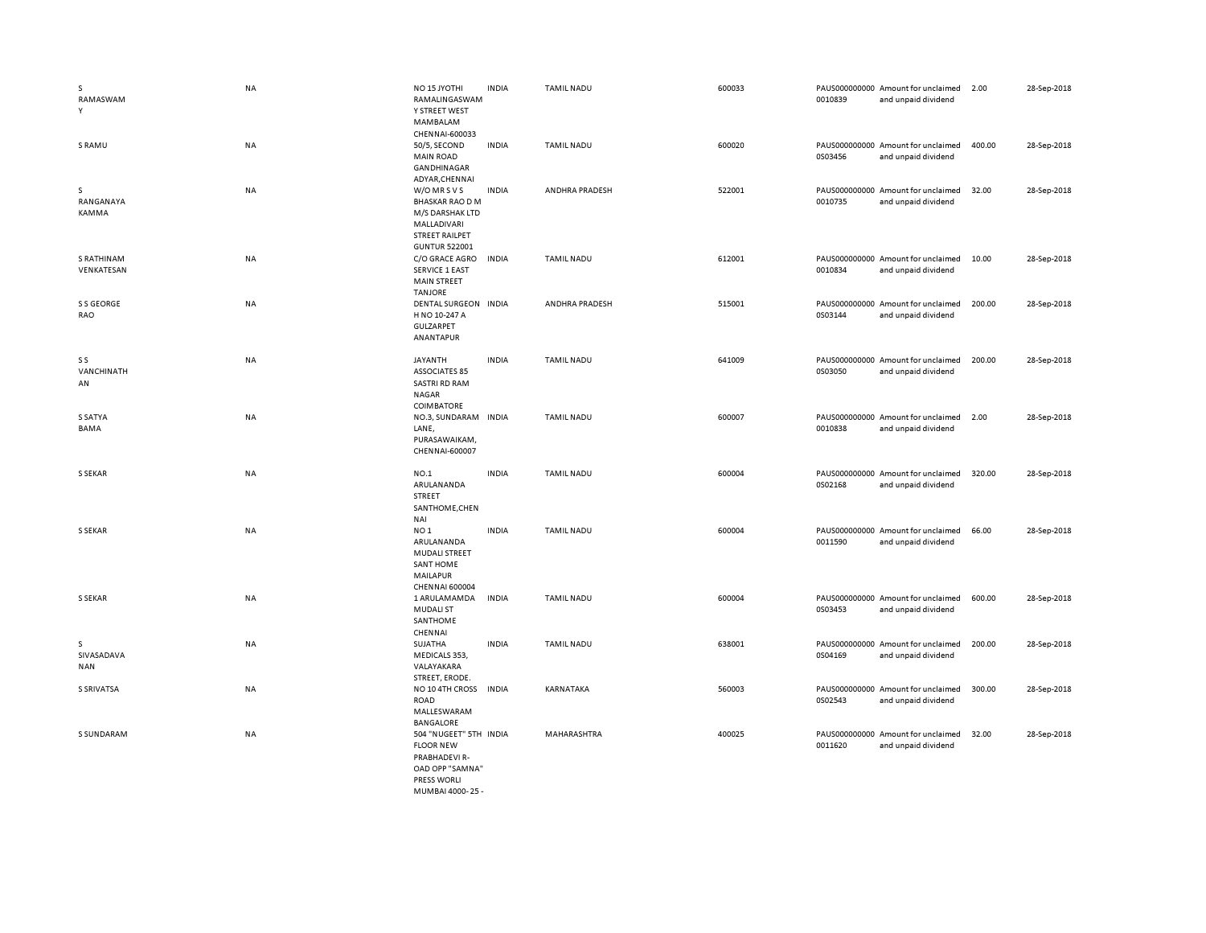| s<br>RAMASWAM<br>Y            | <b>NA</b> | NO <sub>15</sub> JYOTHI<br>RAMALINGASWAM<br>Y STREET WEST<br>MAMBALAM<br>CHENNAI-600033                                   | <b>INDIA</b> | <b>TAMIL NADU</b> | 600033 | 0010839 | PAUS000000000 Amount for unclaimed<br>and unpaid dividend | 2.00   | 28-Sep-2018 |
|-------------------------------|-----------|---------------------------------------------------------------------------------------------------------------------------|--------------|-------------------|--------|---------|-----------------------------------------------------------|--------|-------------|
| S RAMU                        | NA        | 50/5, SECOND<br><b>MAIN ROAD</b><br>GANDHINAGAR<br>ADYAR, CHENNAI                                                         | <b>INDIA</b> | <b>TAMIL NADU</b> | 600020 | 0S03456 | PAUS000000000 Amount for unclaimed<br>and unpaid dividend | 400.00 | 28-Sep-2018 |
| s<br>RANGANAYA<br>KAMMA       | <b>NA</b> | W/O MR S V S<br><b>BHASKAR RAO D M</b><br>M/S DARSHAK LTD<br>MALLADIVARI<br><b>STREET RAILPET</b><br><b>GUNTUR 522001</b> | <b>INDIA</b> | ANDHRA PRADESH    | 522001 | 0010735 | PAUS000000000 Amount for unclaimed<br>and unpaid dividend | 32.00  | 28-Sep-2018 |
| S RATHINAM<br>VENKATESAN      | NA        | C/O GRACE AGRO<br><b>SERVICE 1 EAST</b><br><b>MAIN STREET</b><br><b>TANJORE</b>                                           | <b>INDIA</b> | <b>TAMIL NADU</b> | 612001 | 0010834 | PAUS000000000 Amount for unclaimed<br>and unpaid dividend | 10.00  | 28-Sep-2018 |
| S S GEORGE<br>RAO             | NA        | DENTAL SURGEON INDIA<br>H NO 10-247 A<br>GULZARPET<br>ANANTAPUR                                                           |              | ANDHRA PRADESH    | 515001 | 0S03144 | PAUS000000000 Amount for unclaimed<br>and unpaid dividend | 200.00 | 28-Sep-2018 |
| S S<br>VANCHINATH<br>AN       | NA        | JAYANTH<br><b>ASSOCIATES 85</b><br><b>SASTRI RD RAM</b><br>NAGAR<br>COIMBATORE                                            | <b>INDIA</b> | <b>TAMIL NADU</b> | 641009 | 0S03050 | PAUS000000000 Amount for unclaimed<br>and unpaid dividend | 200.00 | 28-Sep-2018 |
| S SATYA<br>BAMA               | NA        | NO.3, SUNDARAM<br>LANE,<br>PURASAWAIKAM,<br>CHENNAI-600007                                                                | <b>INDIA</b> | <b>TAMIL NADU</b> | 600007 | 0010838 | PAUS000000000 Amount for unclaimed<br>and unpaid dividend | 2.00   | 28-Sep-2018 |
| S SEKAR                       | <b>NA</b> | NO.1<br>ARULANANDA<br><b>STREET</b><br>SANTHOME, CHEN<br>NAI                                                              | <b>INDIA</b> | <b>TAMIL NADU</b> | 600004 | 0S02168 | PAUS000000000 Amount for unclaimed<br>and unpaid dividend | 320.00 | 28-Sep-2018 |
| S SEKAR                       | <b>NA</b> | NO <sub>1</sub><br>ARULANANDA<br><b>MUDALI STREET</b><br><b>SANT HOME</b><br>MAILAPUR<br>CHENNAI 600004                   | <b>INDIA</b> | <b>TAMIL NADU</b> | 600004 | 0011590 | PAUS000000000 Amount for unclaimed<br>and unpaid dividend | 66.00  | 28-Sep-2018 |
| <b>S SEKAR</b>                | <b>NA</b> | 1 ARULAMAMDA<br><b>MUDALI ST</b><br>SANTHOME<br>CHENNAI                                                                   | <b>INDIA</b> | <b>TAMIL NADU</b> | 600004 | 0S03453 | PAUS000000000 Amount for unclaimed<br>and unpaid dividend | 600.00 | 28-Sep-2018 |
| s<br>SIVASADAVA<br><b>NAN</b> | NA        | SUJATHA<br>MEDICALS 353,<br>VALAYAKARA<br>STREET, ERODE.                                                                  | <b>INDIA</b> | <b>TAMIL NADU</b> | 638001 | 0S04169 | PAUS000000000 Amount for unclaimed<br>and unpaid dividend | 200.00 | 28-Sep-2018 |
| <b>S SRIVATSA</b>             | NA        | NO 10 4TH CROSS<br><b>ROAD</b><br>MALLESWARAM<br>BANGALORE                                                                | <b>INDIA</b> | KARNATAKA         | 560003 | 0S02543 | PAUS000000000 Amount for unclaimed<br>and unpaid dividend | 300.00 | 28-Sep-2018 |
| <b>S SUNDARAM</b>             | <b>NA</b> | 504 "NUGEET" 5TH INDIA<br><b>FLOOR NEW</b><br>PRABHADEVI R-<br>OAD OPP "SAMNA"<br>PRESS WORLI                             |              | MAHARASHTRA       | 400025 | 0011620 | PAUS000000000 Amount for unclaimed<br>and unpaid dividend | 32.00  | 28-Sep-2018 |

MUMBAI 4000- 25 -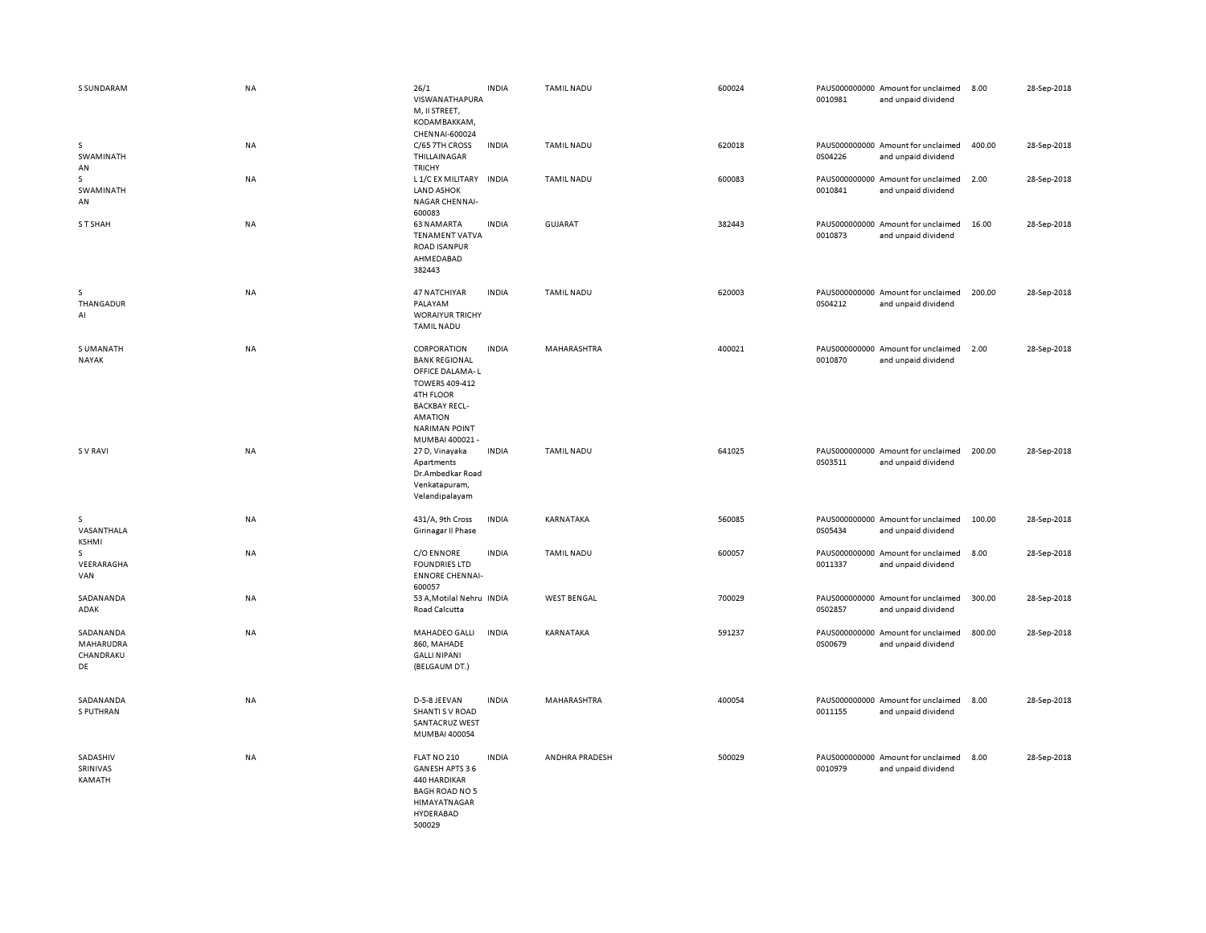| S SUNDARAM                                       | <b>NA</b> | 26/1<br>VISWANATHAPURA<br>M, II STREET,<br>KODAMBAKKAM,<br>CHENNAI-600024                                                                                                        | <b>INDIA</b> | <b>TAMIL NADU</b>  | 600024 | 0010981 | PAUS000000000 Amount for unclaimed<br>and unpaid dividend | 8.00   | 28-Sep-2018 |
|--------------------------------------------------|-----------|----------------------------------------------------------------------------------------------------------------------------------------------------------------------------------|--------------|--------------------|--------|---------|-----------------------------------------------------------|--------|-------------|
| s<br>SWAMINATH<br>AN                             | NA        | C/65 7TH CROSS<br>THILLAINAGAR<br><b>TRICHY</b>                                                                                                                                  | <b>INDIA</b> | <b>TAMIL NADU</b>  | 620018 | 0S04226 | PAUS000000000 Amount for unclaimed<br>and unpaid dividend | 400.00 | 28-Sep-2018 |
| s<br>SWAMINATH<br>AN                             | <b>NA</b> | L 1/C EX MILITARY<br><b>LAND ASHOK</b><br><b>NAGAR CHENNAI-</b><br>600083                                                                                                        | <b>INDIA</b> | <b>TAMIL NADU</b>  | 600083 | 0010841 | PAUS000000000 Amount for unclaimed<br>and unpaid dividend | 2.00   | 28-Sep-2018 |
| S T SHAH                                         | <b>NA</b> | <b>63 NAMARTA</b><br><b>TENAMENT VATVA</b><br><b>ROAD ISANPUR</b><br>AHMEDABAD<br>382443                                                                                         | <b>INDIA</b> | <b>GUJARAT</b>     | 382443 | 0010873 | PAUS000000000 Amount for unclaimed<br>and unpaid dividend | 16.00  | 28-Sep-2018 |
| s<br>THANGADUR<br>AI                             | <b>NA</b> | 47 NATCHIYAR<br>PALAYAM<br><b>WORAIYUR TRICHY</b><br><b>TAMIL NADU</b>                                                                                                           | <b>INDIA</b> | <b>TAMIL NADU</b>  | 620003 | 0S04212 | PAUS000000000 Amount for unclaimed<br>and unpaid dividend | 200.00 | 28-Sep-2018 |
| S UMANATH<br><b>NAYAK</b>                        | NA        | CORPORATION<br><b>BANK REGIONAL</b><br>OFFICE DALAMA-L<br>TOWERS 409-412<br><b>4TH FLOOR</b><br><b>BACKBAY RECL-</b><br><b>AMATION</b><br><b>NARIMAN POINT</b><br>MUMBAI 400021- | <b>INDIA</b> | MAHARASHTRA        | 400021 | 0010870 | PAUS000000000 Amount for unclaimed<br>and unpaid dividend | 2.00   | 28-Sep-2018 |
| <b>SV RAVI</b>                                   | <b>NA</b> | 27 D, Vinayaka<br>Apartments<br>Dr.Ambedkar Road<br>Venkatapuram,<br>Velandipalayam                                                                                              | <b>INDIA</b> | <b>TAMIL NADU</b>  | 641025 | 0S03511 | PAUS000000000 Amount for unclaimed<br>and unpaid dividend | 200.00 | 28-Sep-2018 |
| s<br>VASANTHALA<br><b>KSHMI</b>                  | NA        | 431/A, 9th Cross<br>Girinagar II Phase                                                                                                                                           | <b>INDIA</b> | KARNATAKA          | 560085 | 0S05434 | PAUS000000000 Amount for unclaimed<br>and unpaid dividend | 100.00 | 28-Sep-2018 |
| s<br>VEERARAGHA<br>VAN                           | <b>NA</b> | C/O ENNORE<br><b>FOUNDRIES LTD</b><br><b>ENNORE CHENNAI-</b><br>600057                                                                                                           | <b>INDIA</b> | <b>TAMIL NADU</b>  | 600057 | 0011337 | PAUS000000000 Amount for unclaimed<br>and unpaid dividend | 8.00   | 28-Sep-2018 |
| SADANANDA<br>ADAK                                | <b>NA</b> | 53 A, Motilal Nehru INDIA<br>Road Calcutta                                                                                                                                       |              | <b>WEST BENGAL</b> | 700029 | 0S02857 | PAUS000000000 Amount for unclaimed<br>and unpaid dividend | 300.00 | 28-Sep-2018 |
| SADANANDA<br><b>MAHARUDRA</b><br>CHANDRAKU<br>DE | <b>NA</b> | MAHADEO GALLI<br>860, MAHADE<br><b>GALLI NIPANI</b><br>(BELGAUM DT.)                                                                                                             | <b>INDIA</b> | KARNATAKA          | 591237 | 0S00679 | PAUS000000000 Amount for unclaimed<br>and unpaid dividend | 800.00 | 28-Sep-2018 |
| SADANANDA<br>S PUTHRAN                           | <b>NA</b> | D-5-8 JEEVAN<br>SHANTI S V ROAD<br><b>SANTACRUZ WEST</b><br>MUMBAI 400054                                                                                                        | <b>INDIA</b> | MAHARASHTRA        | 400054 | 0011155 | PAUS000000000 Amount for unclaimed<br>and unpaid dividend | 8.00   | 28-Sep-2018 |
| SADASHIV<br>SRINIVAS<br>KAMATH                   | <b>NA</b> | FLAT NO 210<br>GANESH APTS 36<br>440 HARDIKAR<br><b>BAGH ROAD NO 5</b><br>HIMAYATNAGAR<br>HYDERABAD<br>500029                                                                    | <b>INDIA</b> | ANDHRA PRADESH     | 500029 | 0010979 | PAUS000000000 Amount for unclaimed<br>and unpaid dividend | 8.00   | 28-Sep-2018 |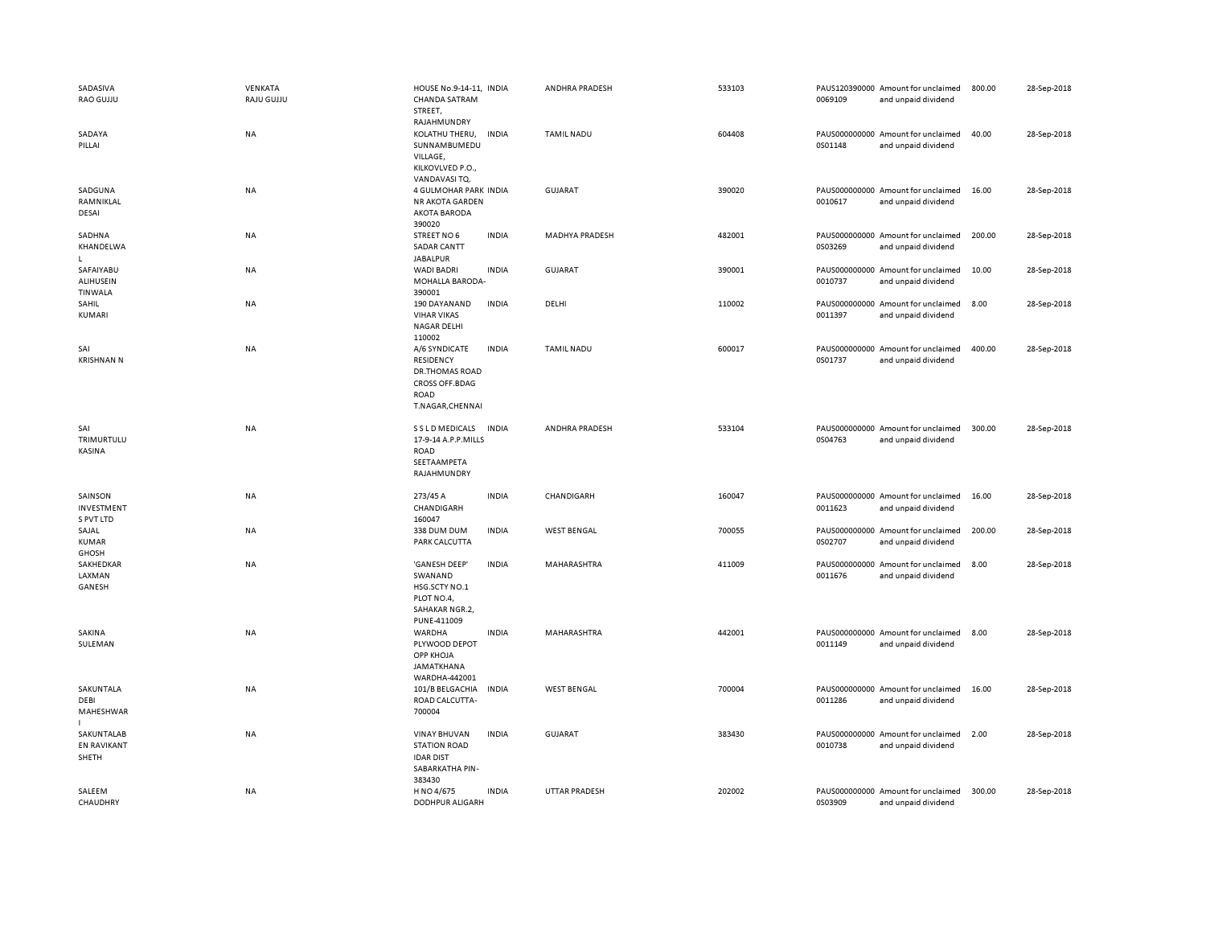| SADASIVA<br>RAO GUJJU                           | VENKATA<br>RAJU GUJJU | HOUSE No.9-14-11, INDIA<br><b>CHANDA SATRAM</b><br>STREET,                                              |              | ANDHRA PRADESH        | 533103 | 0069109 | PAUS120390000 Amount for unclaimed<br>and unpaid dividend | 800.00 | 28-Sep-2018 |
|-------------------------------------------------|-----------------------|---------------------------------------------------------------------------------------------------------|--------------|-----------------------|--------|---------|-----------------------------------------------------------|--------|-------------|
| SADAYA<br>PILLAI                                | NA                    | RAJAHMUNDRY<br>KOLATHU THERU,<br>SUNNAMBUMEDU<br>VILLAGE,<br>KILKOVLVED P.O.,                           | INDIA        | <b>TAMIL NADU</b>     | 604408 | 0S01148 | PAUS000000000 Amount for unclaimed<br>and unpaid dividend | 40.00  | 28-Sep-2018 |
| SADGUNA<br>RAMNIKLAL<br>DESAI                   | <b>NA</b>             | VANDAVASITQ.<br>4 GULMOHAR PARK INDIA<br>NR AKOTA GARDEN<br><b>AKOTA BARODA</b>                         |              | GUJARAT               | 390020 | 0010617 | PAUS000000000 Amount for unclaimed<br>and unpaid dividend | 16.00  | 28-Sep-2018 |
| SADHNA<br>KHANDELWA<br>т.                       | NA                    | 390020<br>STREET NO 6<br><b>SADAR CANTT</b><br><b>JABALPUR</b>                                          | <b>INDIA</b> | <b>MADHYA PRADESH</b> | 482001 | 0S03269 | PAUS000000000 Amount for unclaimed<br>and unpaid dividend | 200.00 | 28-Sep-2018 |
| SAFAIYABU<br><b>ALIHUSEIN</b><br><b>TINWALA</b> | NA                    | <b>WADI BADRI</b><br>MOHALLA BARODA-<br>390001                                                          | <b>INDIA</b> | GUJARAT               | 390001 | 0010737 | PAUS000000000 Amount for unclaimed<br>and unpaid dividend | 10.00  | 28-Sep-2018 |
| SAHIL<br>KUMARI                                 | NA                    | 190 DAYANAND<br><b>VIHAR VIKAS</b><br><b>NAGAR DELHI</b><br>110002                                      | <b>INDIA</b> | DELHI                 | 110002 | 0011397 | PAUS000000000 Amount for unclaimed<br>and unpaid dividend | 8.00   | 28-Sep-2018 |
| SAI<br><b>KRISHNAN N</b>                        | <b>NA</b>             | A/6 SYNDICATE<br><b>RESIDENCY</b><br>DR.THOMAS ROAD<br><b>CROSS OFF.BDAG</b><br>ROAD<br>T.NAGAR,CHENNAI | <b>INDIA</b> | <b>TAMIL NADU</b>     | 600017 | 0S01737 | PAUS000000000 Amount for unclaimed<br>and unpaid dividend | 400.00 | 28-Sep-2018 |
| SAI<br>TRIMURTULU<br>KASINA                     | NA                    | S S L D MEDICALS<br>17-9-14 A.P.P.MILLS<br><b>ROAD</b><br>SEETAAMPETA<br>RAJAHMUNDRY                    | <b>INDIA</b> | ANDHRA PRADESH        | 533104 | 0S04763 | PAUS000000000 Amount for unclaimed<br>and unpaid dividend | 300.00 | 28-Sep-2018 |
| SAINSON<br>INVESTMENT<br>S PVT LTD              | NA                    | 273/45 A<br>CHANDIGARH<br>160047                                                                        | <b>INDIA</b> | CHANDIGARH            | 160047 | 0011623 | PAUS000000000 Amount for unclaimed<br>and unpaid dividend | 16.00  | 28-Sep-2018 |
| SAJAL<br><b>KUMAR</b><br>GHOSH                  | NA                    | 338 DUM DUM<br>PARK CALCUTTA                                                                            | <b>INDIA</b> | <b>WEST BENGAL</b>    | 700055 | 0S02707 | PAUS000000000 Amount for unclaimed<br>and unpaid dividend | 200.00 | 28-Sep-2018 |
| SAKHEDKAR<br>LAXMAN<br>GANESH                   | NA                    | 'GANESH DEEP'<br>SWANAND<br>HSG.SCTY NO.1<br>PLOT NO.4,<br>SAHAKAR NGR.2,<br>PUNE-411009                | <b>INDIA</b> | MAHARASHTRA           | 411009 | 0011676 | PAUS000000000 Amount for unclaimed<br>and unpaid dividend | 8.00   | 28-Sep-2018 |
| SAKINA<br>SULEMAN                               | NA                    | WARDHA<br>PLYWOOD DEPOT<br><b>OPP KHOJA</b><br>JAMATKHANA<br>WARDHA-442001                              | <b>INDIA</b> | MAHARASHTRA           | 442001 | 0011149 | PAUS000000000 Amount for unclaimed<br>and unpaid dividend | 8.00   | 28-Sep-2018 |
| SAKUNTALA<br>DEBI<br>MAHESHWAR                  | <b>NA</b>             | 101/B BELGACHIA<br>ROAD CALCUTTA-<br>700004                                                             | <b>INDIA</b> | <b>WEST BENGAL</b>    | 700004 | 0011286 | PAUS000000000 Amount for unclaimed<br>and unpaid dividend | 16.00  | 28-Sep-2018 |
| SAKUNTALAB<br><b>EN RAVIKANT</b><br>SHETH       | NA                    | <b>VINAY BHUVAN</b><br><b>STATION ROAD</b><br><b>IDAR DIST</b><br>SABARKATHA PIN-<br>383430             | <b>INDIA</b> | GUJARAT               | 383430 | 0010738 | PAUS000000000 Amount for unclaimed<br>and unpaid dividend | 2.00   | 28-Sep-2018 |
| SALEEM<br>CHAUDHRY                              | NA                    | H NO 4/675<br><b>DODHPUR ALIGARH</b>                                                                    | <b>INDIA</b> | <b>UTTAR PRADESH</b>  | 202002 | 0S03909 | PAUS000000000 Amount for unclaimed<br>and unpaid dividend | 300.00 | 28-Sep-2018 |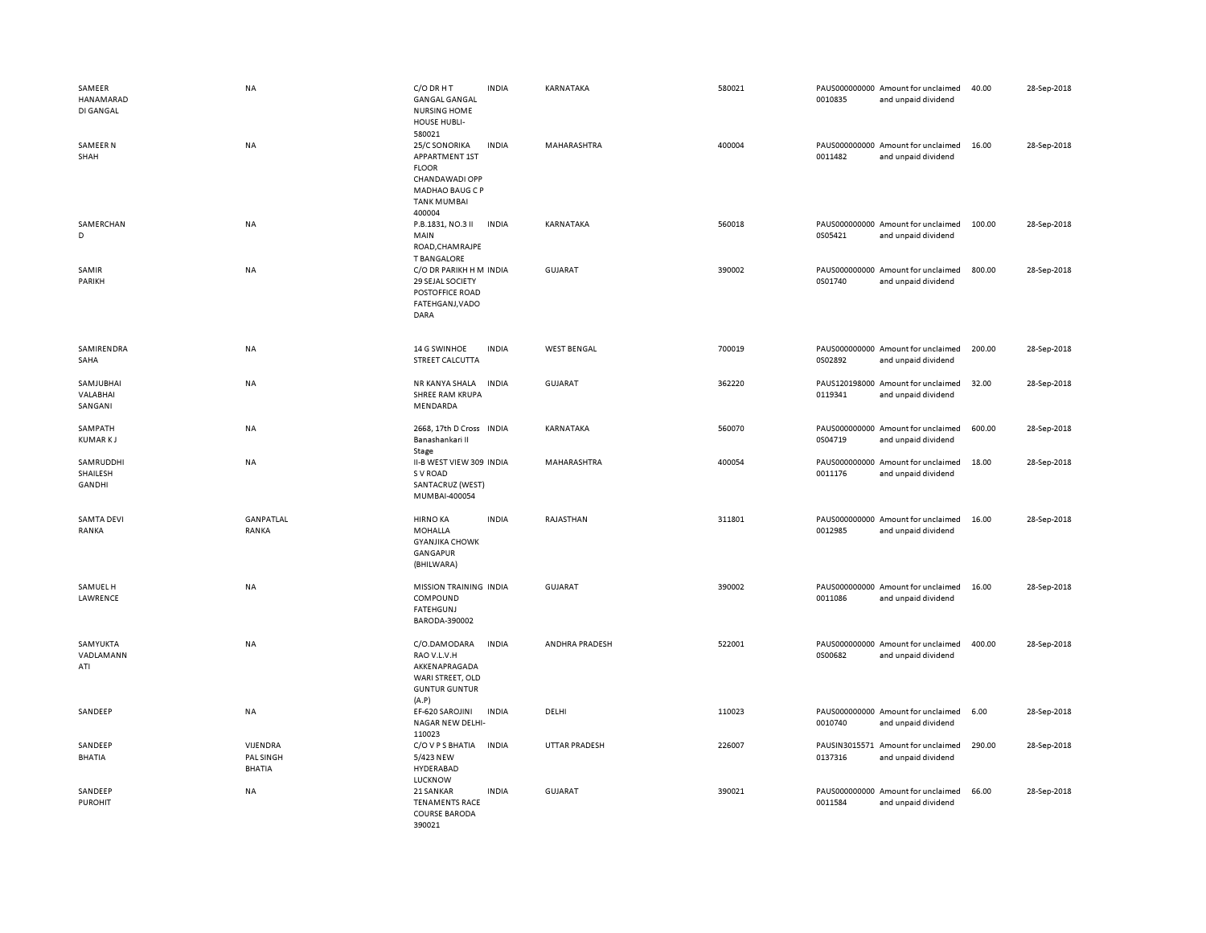| SAMEER<br>HANAMARAD<br>DI GANGAL | <b>NA</b>                              | C/O DR H T<br><b>GANGAL GANGAL</b><br>NURSING HOME<br>HOUSE HUBLI-<br>580021                                                | <b>INDIA</b> | KARNATAKA          | 580021 | 0010835 | PAUS000000000 Amount for unclaimed<br>and unpaid dividend | 40.00  | 28-Sep-2018 |
|----------------------------------|----------------------------------------|-----------------------------------------------------------------------------------------------------------------------------|--------------|--------------------|--------|---------|-----------------------------------------------------------|--------|-------------|
| SAMEER N<br>SHAH                 | NA                                     | 25/C SONORIKA<br>APPARTMENT 1ST<br><b>FLOOR</b><br>CHANDAWADI OPP<br><b>MADHAO BAUG C P</b><br><b>TANK MUMBAI</b><br>400004 | <b>INDIA</b> | MAHARASHTRA        | 400004 | 0011482 | PAUS000000000 Amount for unclaimed<br>and unpaid dividend | 16.00  | 28-Sep-2018 |
| SAMERCHAN<br>D                   | <b>NA</b>                              | P.B.1831, NO.3 II<br>MAIN<br>ROAD, CHAMRAJPE<br><b>T BANGALORE</b>                                                          | <b>INDIA</b> | KARNATAKA          | 560018 | 0S05421 | PAUS000000000 Amount for unclaimed<br>and unpaid dividend | 100.00 | 28-Sep-2018 |
| SAMIR<br>PARIKH                  | <b>NA</b>                              | C/O DR PARIKH H M INDIA<br>29 SEJAL SOCIETY<br>POSTOFFICE ROAD<br>FATEHGANJ, VADO<br>DARA                                   |              | <b>GUJARAT</b>     | 390002 | 0S01740 | PAUS000000000 Amount for unclaimed<br>and unpaid dividend | 800.00 | 28-Sep-2018 |
| SAMIRENDRA<br>SAHA               | <b>NA</b>                              | 14 G SWINHOE<br>STREET CALCUTTA                                                                                             | <b>INDIA</b> | <b>WEST BENGAL</b> | 700019 | 0S02892 | PAUS000000000 Amount for unclaimed<br>and unpaid dividend | 200.00 | 28-Sep-2018 |
| SAMJUBHAI<br>VALABHAI<br>SANGANI | NA                                     | NR KANYA SHALA<br>SHREE RAM KRUPA<br>MENDARDA                                                                               | <b>INDIA</b> | <b>GUJARAT</b>     | 362220 | 0119341 | PAUS120198000 Amount for unclaimed<br>and unpaid dividend | 32.00  | 28-Sep-2018 |
| SAMPATH<br><b>KUMARKJ</b>        | <b>NA</b>                              | 2668, 17th D Cross INDIA<br>Banashankari II<br>Stage                                                                        |              | KARNATAKA          | 560070 | 0S04719 | PAUS000000000 Amount for unclaimed<br>and unpaid dividend | 600.00 | 28-Sep-2018 |
| SAMRUDDHI<br>SHAILESH<br>GANDHI  | <b>NA</b>                              | II-B WEST VIEW 309 INDIA<br>S V ROAD<br>SANTACRUZ (WEST)<br>MUMBAI-400054                                                   |              | MAHARASHTRA        | 400054 | 0011176 | PAUS000000000 Amount for unclaimed<br>and unpaid dividend | 18.00  | 28-Sep-2018 |
| <b>SAMTA DEVI</b><br>RANKA       | GANPATLAL<br>RANKA                     | <b>HIRNO KA</b><br><b>MOHALLA</b><br><b>GYANJIKA CHOWK</b><br>GANGAPUR<br>(BHILWARA)                                        | <b>INDIA</b> | RAJASTHAN          | 311801 | 0012985 | PAUS000000000 Amount for unclaimed<br>and unpaid dividend | 16.00  | 28-Sep-2018 |
| SAMUEL H<br>LAWRENCE             | <b>NA</b>                              | MISSION TRAINING INDIA<br>COMPOUND<br><b>FATEHGUNJ</b><br>BARODA-390002                                                     |              | <b>GUJARAT</b>     | 390002 | 0011086 | PAUS000000000 Amount for unclaimed<br>and unpaid dividend | 16.00  | 28-Sep-2018 |
| SAMYUKTA<br>VADLAMANN<br>ATI     | <b>NA</b>                              | C/O.DAMODARA<br>RAO V.L.V.H<br>AKKENAPRAGADA<br>WARI STREET, OLD<br><b>GUNTUR GUNTUR</b><br>(A.P)                           | <b>INDIA</b> | ANDHRA PRADESH     | 522001 | 0S00682 | PAUS000000000 Amount for unclaimed<br>and unpaid dividend | 400.00 | 28-Sep-2018 |
| SANDEEP                          | <b>NA</b>                              | EF-620 SAROJINI<br>NAGAR NEW DELHI-<br>110023                                                                               | <b>INDIA</b> | DELHI              | 110023 | 0010740 | PAUS000000000 Amount for unclaimed<br>and unpaid dividend | 6.00   | 28-Sep-2018 |
| SANDEEP<br><b>BHATIA</b>         | VIJENDRA<br>PAL SINGH<br><b>BHATIA</b> | C/O V P S BHATIA<br>5/423 NEW<br>HYDERABAD<br>LUCKNOW                                                                       | <b>INDIA</b> | UTTAR PRADESH      | 226007 | 0137316 | PAUSIN3015571 Amount for unclaimed<br>and unpaid dividend | 290.00 | 28-Sep-2018 |
| SANDEEP<br><b>PUROHIT</b>        | NA                                     | 21 SANKAR<br><b>TENAMENTS RACE</b><br><b>COURSE BARODA</b><br>390021                                                        | <b>INDIA</b> | <b>GUJARAT</b>     | 390021 | 0011584 | PAUS000000000 Amount for unclaimed<br>and unpaid dividend | 66.00  | 28-Sep-2018 |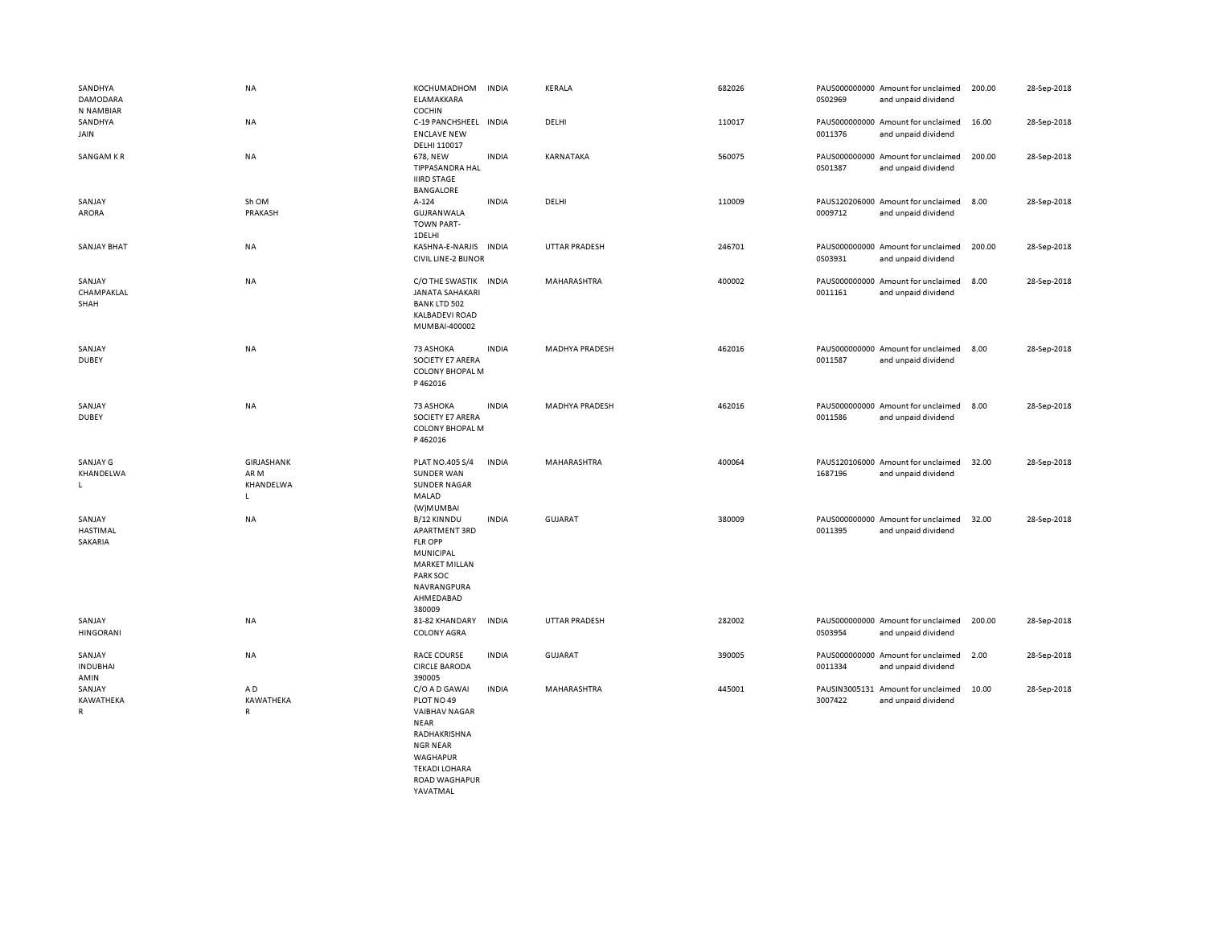| SANDHYA<br>DAMODARA<br>N NAMBIAR  | <b>NA</b>                                       | KOCHUMADHOM<br>ELAMAKKARA<br>COCHIN                                                                                                              | <b>INDIA</b> | KERALA                | 682026 | 0S02969                  | PAUS000000000 Amount for unclaimed<br>and unpaid dividend | 200.00 | 28-Sep-2018 |
|-----------------------------------|-------------------------------------------------|--------------------------------------------------------------------------------------------------------------------------------------------------|--------------|-----------------------|--------|--------------------------|-----------------------------------------------------------|--------|-------------|
| SANDHYA<br>JAIN                   | <b>NA</b>                                       | C-19 PANCHSHEEL INDIA<br><b>ENCLAVE NEW</b><br>DELHI 110017                                                                                      |              | DELHI                 | 110017 | 0011376                  | PAUS000000000 Amount for unclaimed<br>and unpaid dividend | 16.00  | 28-Sep-2018 |
| SANGAM KR                         | <b>NA</b>                                       | 678, NEW<br>TIPPASANDRA HAL<br><b>IIIRD STAGE</b><br><b>BANGALORE</b>                                                                            | <b>INDIA</b> | KARNATAKA             | 560075 | 0S01387                  | PAUS000000000 Amount for unclaimed<br>and unpaid dividend | 200.00 | 28-Sep-2018 |
| SANJAY<br>ARORA                   | Sh OM<br>PRAKASH                                | A-124<br>GUJRANWALA<br><b>TOWN PART-</b><br>1DELHI                                                                                               | <b>INDIA</b> | DELHI                 | 110009 | 0009712                  | PAUS120206000 Amount for unclaimed<br>and unpaid dividend | 8.00   | 28-Sep-2018 |
| <b>SANJAY BHAT</b>                | <b>NA</b>                                       | KASHNA-E-NARJIS<br><b>CIVIL LINE-2 BIJNOR</b>                                                                                                    | <b>INDIA</b> | <b>UTTAR PRADESH</b>  | 246701 | 0S03931                  | PAUS000000000 Amount for unclaimed<br>and unpaid dividend | 200.00 | 28-Sep-2018 |
| SANJAY<br>CHAMPAKLAL<br>SHAH      | <b>NA</b>                                       | C/O THE SWASTIK<br><b>JANATA SAHAKARI</b><br><b>BANK LTD 502</b><br><b>KALBADEVI ROAD</b><br>MUMBAI-400002                                       | <b>INDIA</b> | MAHARASHTRA           | 400002 | 0011161                  | PAUS000000000 Amount for unclaimed<br>and unpaid dividend | 8.00   | 28-Sep-2018 |
| SANJAY<br><b>DUBEY</b>            | NA                                              | 73 ASHOKA<br>SOCIETY E7 ARERA<br><b>COLONY BHOPAL M</b><br>P462016                                                                               | <b>INDIA</b> | <b>MADHYA PRADESH</b> | 462016 | 0011587                  | PAUS000000000 Amount for unclaimed<br>and unpaid dividend | 8.00   | 28-Sep-2018 |
| SANJAY<br><b>DUBEY</b>            | NA                                              | 73 ASHOKA<br>SOCIETY E7 ARERA<br>COLONY BHOPAL M<br>P462016                                                                                      | <b>INDIA</b> | <b>MADHYA PRADESH</b> | 462016 | 0011586                  | PAUS000000000 Amount for unclaimed<br>and unpaid dividend | 8.00   | 28-Sep-2018 |
| SANJAY G<br>KHANDELWA<br>L        | GIRJASHANK<br>AR M<br>KHANDELWA<br>$\mathsf{L}$ | PLAT NO.405 S/4<br><b>SUNDER WAN</b><br><b>SUNDER NAGAR</b><br>MALAD<br>(W)MUMBAI                                                                | <b>INDIA</b> | MAHARASHTRA           | 400064 | 1687196                  | PAUS120106000 Amount for unclaimed<br>and unpaid dividend | 32.00  | 28-Sep-2018 |
| SANJAY<br>HASTIMAL<br>SAKARIA     | NA                                              | B/12 KINNDU<br>APARTMENT 3RD<br><b>FLR OPP</b><br>MUNICIPAL<br><b>MARKET MILLAN</b><br>PARK SOC<br>NAVRANGPURA<br>AHMEDABAD<br>380009            | <b>INDIA</b> | <b>GUJARAT</b>        | 380009 | 0011395                  | PAUS000000000 Amount for unclaimed<br>and unpaid dividend | 32.00  | 28-Sep-2018 |
| SANJAY<br><b>HINGORANI</b>        | NA                                              | 81-82 KHANDARY<br><b>COLONY AGRA</b>                                                                                                             | <b>INDIA</b> | <b>UTTAR PRADESH</b>  | 282002 | 0S03954                  | PAUS000000000 Amount for unclaimed<br>and unpaid dividend | 200.00 | 28-Sep-2018 |
| SANJAY<br><b>INDUBHAI</b><br>AMIN | NA                                              | <b>RACE COURSE</b><br><b>CIRCLE BARODA</b><br>390005                                                                                             | <b>INDIA</b> | <b>GUJARAT</b>        | 390005 | 0011334                  | PAUS000000000 Amount for unclaimed<br>and unpaid dividend | 2.00   | 28-Sep-2018 |
| SANJAY<br>KAWATHEKA<br>R          | AD<br>KAWATHEKA<br>$\mathsf{R}$                 | C/O A D GAWAI<br>PLOT NO 49<br><b>VAIBHAV NAGAR</b><br><b>NEAR</b><br>RADHAKRISHNA<br><b>NGR NEAR</b><br><b>WAGHAPUR</b><br><b>TEKADI LOHARA</b> | <b>INDIA</b> | MAHARASHTRA           | 445001 | PAUSIN3005131<br>3007422 | Amount for unclaimed<br>and unpaid dividend               | 10.00  | 28-Sep-2018 |

 ROAD WAGHAPUR YAVATMAL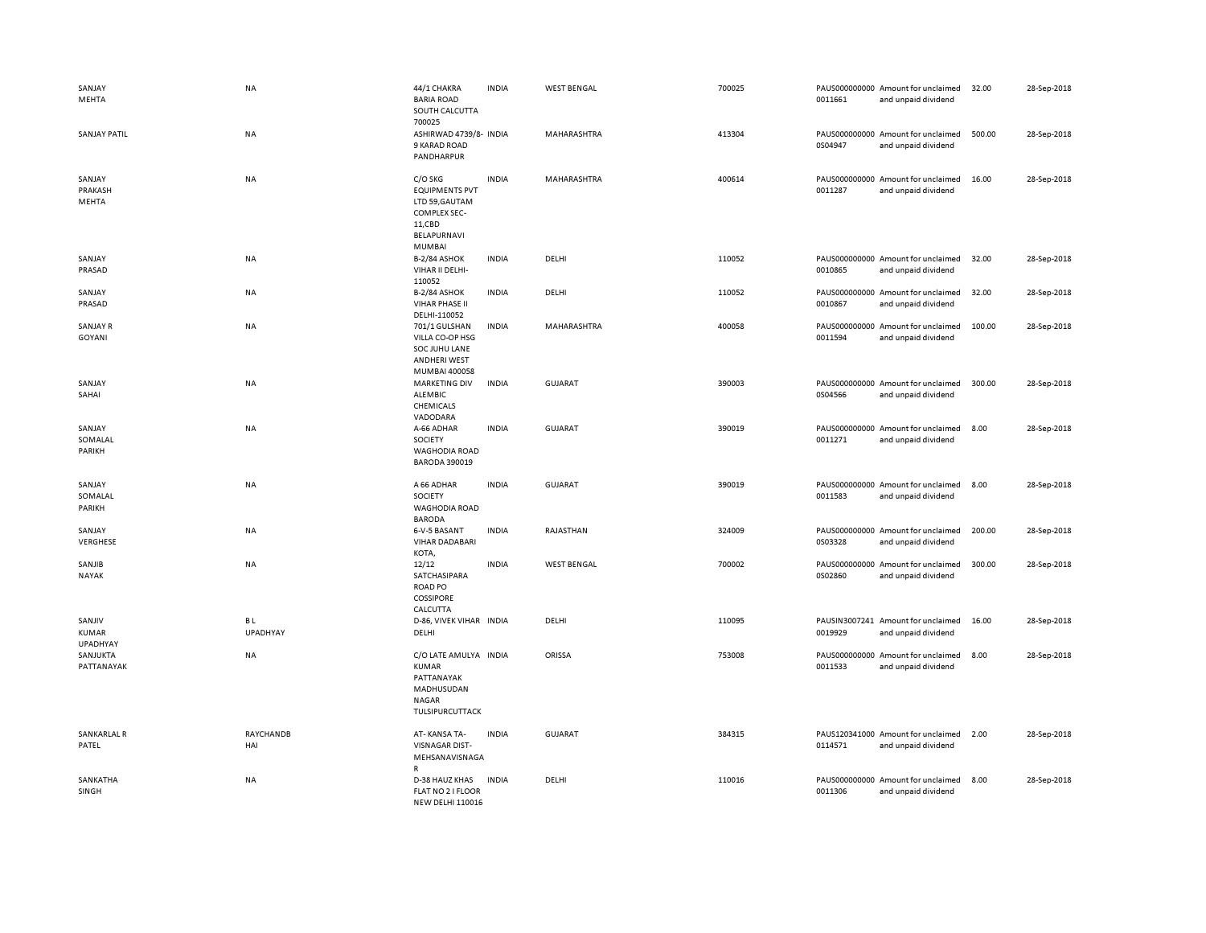| SANJAY<br>MEHTA                    | NA                           | 44/1 CHAKRA<br><b>BARIA ROAD</b><br>SOUTH CALCUTTA<br>700025                                                 | <b>INDIA</b> | <b>WEST BENGAL</b> | 700025 | 0011661 | PAUS000000000 Amount for unclaimed<br>and unpaid dividend | 32.00  | 28-Sep-2018 |
|------------------------------------|------------------------------|--------------------------------------------------------------------------------------------------------------|--------------|--------------------|--------|---------|-----------------------------------------------------------|--------|-------------|
| <b>SANJAY PATIL</b>                | <b>NA</b>                    | ASHIRWAD 4739/8- INDIA<br>9 KARAD ROAD<br>PANDHARPUR                                                         |              | <b>MAHARASHTRA</b> | 413304 | 0S04947 | PAUS000000000 Amount for unclaimed<br>and unpaid dividend | 500.00 | 28-Sep-2018 |
| SANJAY<br>PRAKASH<br>MEHTA         | NA                           | C/O SKG<br><b>EQUIPMENTS PVT</b><br>LTD 59, GAUTAM<br>COMPLEX SEC-<br>11,CBD<br>BELAPURNAVI<br><b>MUMBAI</b> | <b>INDIA</b> | MAHARASHTRA        | 400614 | 0011287 | PAUS000000000 Amount for unclaimed<br>and unpaid dividend | 16.00  | 28-Sep-2018 |
| SANJAY<br>PRASAD                   | <b>NA</b>                    | <b>B-2/84 ASHOK</b><br>VIHAR II DELHI-<br>110052                                                             | <b>INDIA</b> | DELHI              | 110052 | 0010865 | PAUS000000000 Amount for unclaimed<br>and unpaid dividend | 32.00  | 28-Sep-2018 |
| SANJAY<br>PRASAD                   | NA                           | <b>B-2/84 ASHOK</b><br><b>VIHAR PHASE II</b><br>DELHI-110052                                                 | <b>INDIA</b> | DELHI              | 110052 | 0010867 | PAUS000000000 Amount for unclaimed<br>and unpaid dividend | 32.00  | 28-Sep-2018 |
| SANJAY R<br>GOYANI                 | <b>NA</b>                    | 701/1 GULSHAN<br>VILLA CO-OP HSG<br>SOC JUHU LANE<br>ANDHERI WEST<br>MUMBAI 400058                           | <b>INDIA</b> | MAHARASHTRA        | 400058 | 0011594 | PAUS000000000 Amount for unclaimed<br>and unpaid dividend | 100.00 | 28-Sep-2018 |
| SANJAY<br>SAHAI                    | <b>NA</b>                    | <b>MARKETING DIV</b><br>ALEMBIC<br>CHEMICALS<br>VADODARA                                                     | <b>INDIA</b> | GUJARAT            | 390003 | 0S04566 | PAUS000000000 Amount for unclaimed<br>and unpaid dividend | 300.00 | 28-Sep-2018 |
| SANJAY<br>SOMALAL<br>PARIKH        | NA                           | A-66 ADHAR<br>SOCIETY<br><b>WAGHODIA ROAD</b><br><b>BARODA 390019</b>                                        | <b>INDIA</b> | <b>GUJARAT</b>     | 390019 | 0011271 | PAUS000000000 Amount for unclaimed<br>and unpaid dividend | 8.00   | 28-Sep-2018 |
| SANJAY<br>SOMALAL<br>PARIKH        | NA                           | A 66 ADHAR<br>SOCIETY<br><b>WAGHODIA ROAD</b><br><b>BARODA</b>                                               | <b>INDIA</b> | <b>GUJARAT</b>     | 390019 | 0011583 | PAUS000000000 Amount for unclaimed<br>and unpaid dividend | 8.00   | 28-Sep-2018 |
| SANJAY<br>VERGHESE                 | NA                           | 6-V-5 BASANT<br><b>VIHAR DADABARI</b><br>KOTA,                                                               | <b>INDIA</b> | RAJASTHAN          | 324009 | 0S03328 | PAUS000000000 Amount for unclaimed<br>and unpaid dividend | 200.00 | 28-Sep-2018 |
| SANJIB<br><b>NAYAK</b>             | NA                           | 12/12<br>SATCHASIPARA<br><b>ROAD PO</b><br><b>COSSIPORE</b><br>CALCUTTA                                      | <b>INDIA</b> | <b>WEST BENGAL</b> | 700002 | 0S02860 | PAUS000000000 Amount for unclaimed<br>and unpaid dividend | 300.00 | 28-Sep-2018 |
| SANJIV<br><b>KUMAR</b><br>UPADHYAY | <b>BL</b><br><b>UPADHYAY</b> | D-86, VIVEK VIHAR INDIA<br>DELHI                                                                             |              | DELHI              | 110095 | 0019929 | PAUSIN3007241 Amount for unclaimed<br>and unpaid dividend | 16.00  | 28-Sep-2018 |
| SANJUKTA<br>PATTANAYAK             | NA                           | C/O LATE AMULYA INDIA<br>KUMAR<br>PATTANAYAK<br>MADHUSUDAN<br>NAGAR<br>TULSIPURCUTTACK                       |              | ORISSA             | 753008 | 0011533 | PAUS000000000 Amount for unclaimed<br>and unpaid dividend | 8.00   | 28-Sep-2018 |
| SANKARLAL R<br>PATEL               | RAYCHANDB<br>HAI             | AT-KANSA TA-<br><b>VISNAGAR DIST-</b><br>MEHSANAVISNAGA<br>R                                                 | <b>INDIA</b> | GUJARAT            | 384315 | 0114571 | PAUS120341000 Amount for unclaimed<br>and unpaid dividend | 2.00   | 28-Sep-2018 |
| SANKATHA<br>SINGH                  | NA                           | D-38 HAUZ KHAS<br>FLAT NO 2 I FLOOR<br><b>NEW DELHI 110016</b>                                               | <b>INDIA</b> | DELHI              | 110016 | 0011306 | PAUS000000000 Amount for unclaimed<br>and unpaid dividend | 8.00   | 28-Sep-2018 |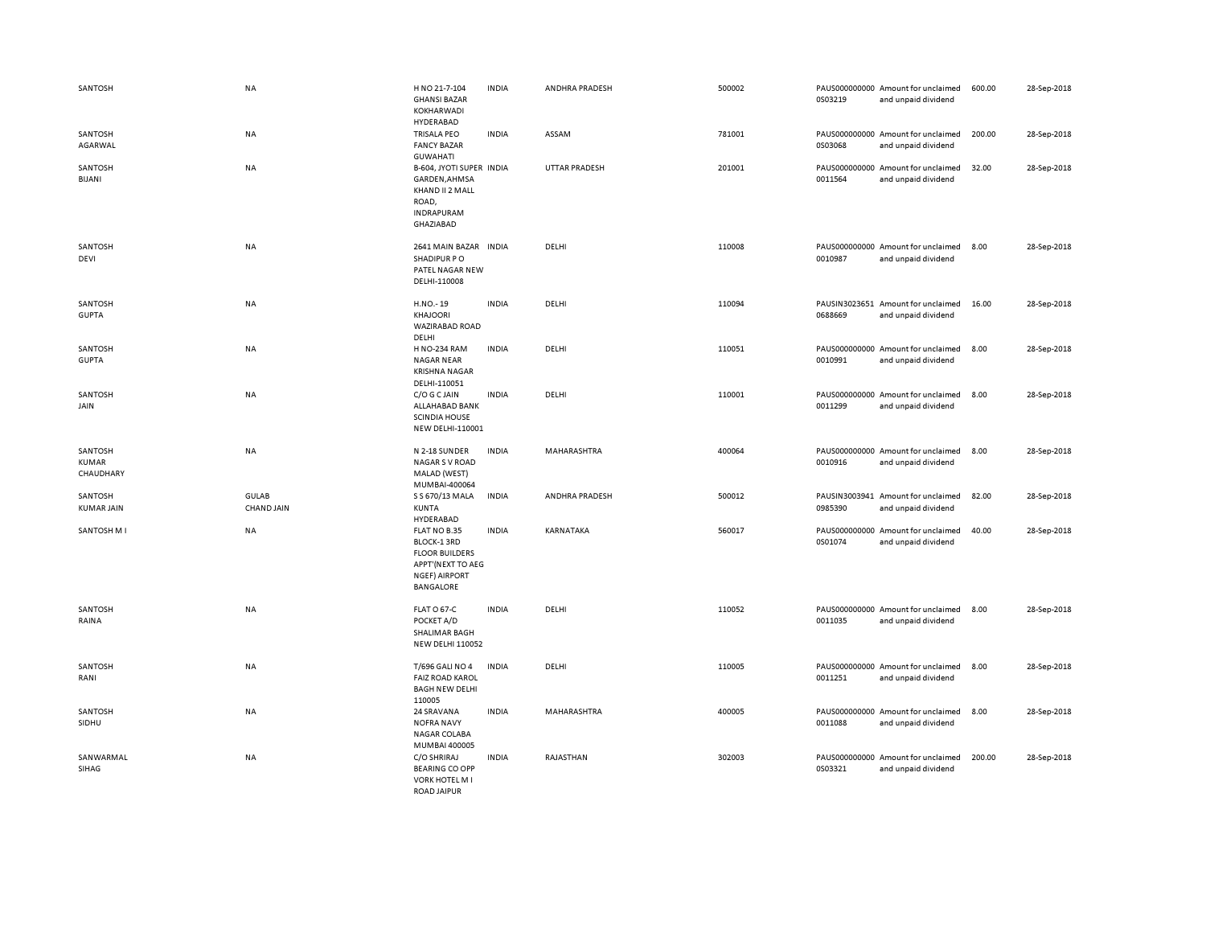| SANTOSH                              | NA                         | H NO 21-7-104<br><b>GHANSI BAZAR</b><br>KOKHARWADI<br>HYDERABAD                                                | <b>INDIA</b> | ANDHRA PRADESH       | 500002 | 0S03219 | PAUS000000000 Amount for unclaimed<br>and unpaid dividend | 600.00 | 28-Sep-2018 |
|--------------------------------------|----------------------------|----------------------------------------------------------------------------------------------------------------|--------------|----------------------|--------|---------|-----------------------------------------------------------|--------|-------------|
| SANTOSH<br>AGARWAL                   | NA                         | <b>TRISALA PEO</b><br><b>FANCY BAZAR</b><br><b>GUWAHATI</b>                                                    | <b>INDIA</b> | ASSAM                | 781001 | 0S03068 | PAUS000000000 Amount for unclaimed<br>and unpaid dividend | 200.00 | 28-Sep-2018 |
| SANTOSH<br><b>BIJANI</b>             | <b>NA</b>                  | B-604, JYOTI SUPER INDIA<br>GARDEN, AHMSA<br>KHAND II 2 MALL<br>ROAD,<br>INDRAPURAM<br>GHAZIABAD               |              | <b>UTTAR PRADESH</b> | 201001 | 0011564 | PAUS000000000 Amount for unclaimed<br>and unpaid dividend | 32.00  | 28-Sep-2018 |
| SANTOSH<br>DEVI                      | NA                         | 2641 MAIN BAZAR INDIA<br>SHADIPUR PO<br>PATEL NAGAR NEW<br>DELHI-110008                                        |              | DELHI                | 110008 | 0010987 | PAUS000000000 Amount for unclaimed<br>and unpaid dividend | 8.00   | 28-Sep-2018 |
| SANTOSH<br><b>GUPTA</b>              | NA                         | H.NO.-19<br>KHAJOORI<br>WAZIRABAD ROAD<br>DELHI                                                                | <b>INDIA</b> | DELHI                | 110094 | 0688669 | PAUSIN3023651 Amount for unclaimed<br>and unpaid dividend | 16.00  | 28-Sep-2018 |
| SANTOSH<br><b>GUPTA</b>              | NA                         | <b>H NO-234 RAM</b><br><b>NAGAR NEAR</b><br><b>KRISHNA NAGAR</b><br>DELHI-110051                               | <b>INDIA</b> | DELHI                | 110051 | 0010991 | PAUS000000000 Amount for unclaimed<br>and unpaid dividend | 8.00   | 28-Sep-2018 |
| SANTOSH<br>JAIN                      | <b>NA</b>                  | C/O G C JAIN<br>ALLAHABAD BANK<br><b>SCINDIA HOUSE</b><br>NEW DELHI-110001                                     | <b>INDIA</b> | DELHI                | 110001 | 0011299 | PAUS000000000 Amount for unclaimed<br>and unpaid dividend | 8.00   | 28-Sep-2018 |
| SANTOSH<br><b>KUMAR</b><br>CHAUDHARY | NA                         | N 2-18 SUNDER<br><b>NAGAR S V ROAD</b><br>MALAD (WEST)<br>MUMBAI-400064                                        | <b>INDIA</b> | MAHARASHTRA          | 400064 | 0010916 | PAUS000000000 Amount for unclaimed<br>and unpaid dividend | 8.00   | 28-Sep-2018 |
| SANTOSH<br><b>KUMAR JAIN</b>         | GULAB<br><b>CHAND JAIN</b> | S S 670/13 MALA<br>KUNTA<br>HYDERABAD                                                                          | <b>INDIA</b> | ANDHRA PRADESH       | 500012 | 0985390 | PAUSIN3003941 Amount for unclaimed<br>and unpaid dividend | 82.00  | 28-Sep-2018 |
| SANTOSH M I                          | <b>NA</b>                  | FLAT NO B.35<br>BLOCK-1 3RD<br><b>FLOOR BUILDERS</b><br>APPT'(NEXT TO AEG<br><b>NGEF) AIRPORT</b><br>BANGALORE | <b>INDIA</b> | KARNATAKA            | 560017 | 0S01074 | PAUS000000000 Amount for unclaimed<br>and unpaid dividend | 40.00  | 28-Sep-2018 |
| SANTOSH<br>RAINA                     | <b>NA</b>                  | FLAT O 67-C<br>POCKET A/D<br>SHALIMAR BAGH<br><b>NEW DELHI 110052</b>                                          | <b>INDIA</b> | DELHI                | 110052 | 0011035 | PAUS000000000 Amount for unclaimed<br>and unpaid dividend | 8.00   | 28-Sep-2018 |
| SANTOSH<br>RANI                      | NA                         | T/696 GALI NO 4<br><b>FAIZ ROAD KAROL</b><br><b>BAGH NEW DELHI</b><br>110005                                   | <b>INDIA</b> | DELHI                | 110005 | 0011251 | PAUS000000000 Amount for unclaimed<br>and unpaid dividend | 8.00   | 28-Sep-2018 |
| SANTOSH<br>SIDHU                     | NA                         | 24 SRAVANA<br><b>NOFRA NAVY</b><br>NAGAR COLABA<br>MUMBAI 400005                                               | <b>INDIA</b> | MAHARASHTRA          | 400005 | 0011088 | PAUS000000000 Amount for unclaimed<br>and unpaid dividend | 8.00   | 28-Sep-2018 |
| SANWARMAL<br>SIHAG                   | NA                         | C/O SHRIRAJ<br><b>BEARING CO OPP</b><br><b>VORK HOTEL M I</b><br><b>ROAD JAIPUR</b>                            | <b>INDIA</b> | RAJASTHAN            | 302003 | 0S03321 | PAUS000000000 Amount for unclaimed<br>and unpaid dividend | 200.00 | 28-Sep-2018 |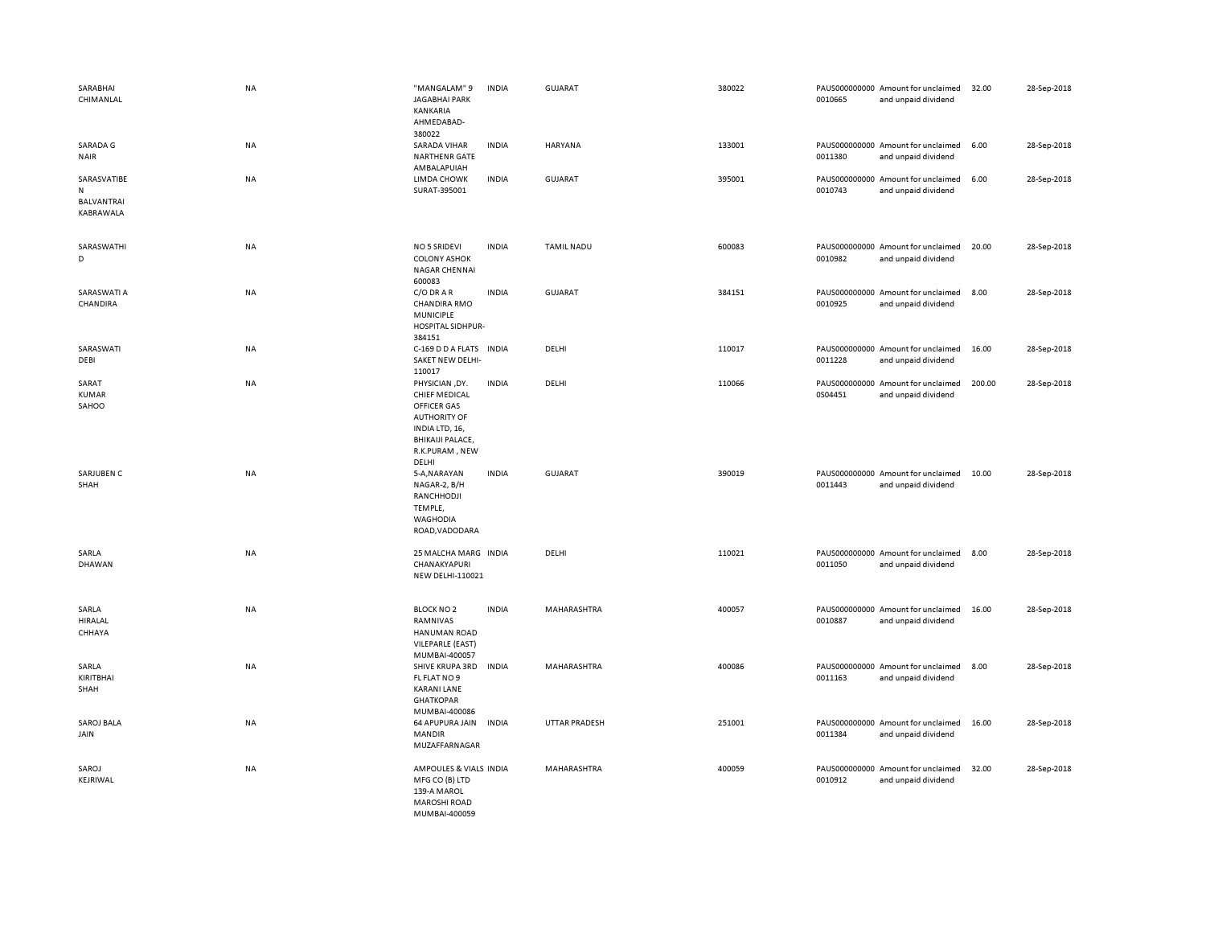| SARABHAI<br>CHIMANLAL                       | <b>NA</b> | "MANGALAM" 9<br><b>JAGABHAI PARK</b><br>KANKARIA<br>AHMEDABAD-<br>380022                                                                             | <b>INDIA</b> | GUJARAT           | 380022 | 0010665 | PAUS000000000 Amount for unclaimed<br>and unpaid dividend | 32.00  | 28-Sep-2018 |
|---------------------------------------------|-----------|------------------------------------------------------------------------------------------------------------------------------------------------------|--------------|-------------------|--------|---------|-----------------------------------------------------------|--------|-------------|
| SARADA G<br><b>NAIR</b>                     | NA        | <b>SARADA VIHAR</b><br><b>NARTHENR GATE</b><br>AMBALAPUIAH                                                                                           | <b>INDIA</b> | HARYANA           | 133001 | 0011380 | PAUS000000000 Amount for unclaimed<br>and unpaid dividend | 6.00   | 28-Sep-2018 |
| SARASVATIBE<br>N<br>BALVANTRAI<br>KABRAWALA | NA        | <b>LIMDA CHOWK</b><br>SURAT-395001                                                                                                                   | <b>INDIA</b> | <b>GUJARAT</b>    | 395001 | 0010743 | PAUS000000000 Amount for unclaimed<br>and unpaid dividend | 6.00   | 28-Sep-2018 |
| SARASWATHI<br>D                             | NA        | <b>NO 5 SRIDEVI</b><br><b>COLONY ASHOK</b><br>NAGAR CHENNAI<br>600083                                                                                | <b>INDIA</b> | <b>TAMIL NADU</b> | 600083 | 0010982 | PAUS000000000 Amount for unclaimed<br>and unpaid dividend | 20.00  | 28-Sep-2018 |
| SARASWATI A<br>CHANDIRA                     | NA        | C/O DRAR<br>CHANDIRA RMO<br><b>MUNICIPLE</b><br>HOSPITAL SIDHPUR-<br>384151                                                                          | <b>INDIA</b> | <b>GUJARAT</b>    | 384151 | 0010925 | PAUS000000000 Amount for unclaimed<br>and unpaid dividend | 8.00   | 28-Sep-2018 |
| SARASWATI<br>DEBI                           | NA        | C-169 D D A FLATS INDIA<br>SAKET NEW DELHI-<br>110017                                                                                                |              | DELHI             | 110017 | 0011228 | PAUS000000000 Amount for unclaimed<br>and unpaid dividend | 16.00  | 28-Sep-2018 |
| SARAT<br><b>KUMAR</b><br>SAHOO              | <b>NA</b> | PHYSICIAN, DY.<br><b>CHIEF MEDICAL</b><br>OFFICER GAS<br><b>AUTHORITY OF</b><br>INDIA LTD, 16,<br><b>BHIKAIJI PALACE,</b><br>R.K.PURAM, NEW<br>DELHI | <b>INDIA</b> | DELHI             | 110066 | 0S04451 | PAUS000000000 Amount for unclaimed<br>and unpaid dividend | 200.00 | 28-Sep-2018 |
| SARJUBEN C<br>SHAH                          | <b>NA</b> | 5-A, NARAYAN<br>NAGAR-2, B/H<br>RANCHHODJI<br>TEMPLE,<br>WAGHODIA<br>ROAD, VADODARA                                                                  | <b>INDIA</b> | <b>GUJARAT</b>    | 390019 | 0011443 | PAUS000000000 Amount for unclaimed<br>and unpaid dividend | 10.00  | 28-Sep-2018 |
| SARLA<br>DHAWAN                             | NA        | 25 MALCHA MARG INDIA<br>CHANAKYAPURI<br>NEW DELHI-110021                                                                                             |              | DELHI             | 110021 | 0011050 | PAUS000000000 Amount for unclaimed<br>and unpaid dividend | 8.00   | 28-Sep-2018 |
| SARLA<br><b>HIRALAL</b><br>CHHAYA           | NA        | <b>BLOCK NO 2</b><br>RAMNIVAS<br><b>HANUMAN ROAD</b><br>VILEPARLE (EAST)<br>MUMBAI-400057                                                            | <b>INDIA</b> | MAHARASHTRA       | 400057 | 0010887 | PAUS000000000 Amount for unclaimed<br>and unpaid dividend | 16.00  | 28-Sep-2018 |
| SARLA<br>KIRITBHAI<br>SHAH                  | NA        | SHIVE KRUPA 3RD<br>FL FLAT NO 9<br><b>KARANI LANE</b><br><b>GHATKOPAR</b><br>MUMBAI-400086                                                           | <b>INDIA</b> | MAHARASHTRA       | 400086 | 0011163 | PAUS000000000 Amount for unclaimed<br>and unpaid dividend | 8.00   | 28-Sep-2018 |
| SAROJ BALA<br>JAIN                          | NA        | 64 APUPURA JAIN<br><b>MANDIR</b><br>MUZAFFARNAGAR                                                                                                    | <b>INDIA</b> | UTTAR PRADESH     | 251001 | 0011384 | PAUS000000000 Amount for unclaimed<br>and unpaid dividend | 16.00  | 28-Sep-2018 |
| SAROJ<br>KEJRIWAL                           | NA        | AMPOULES & VIALS INDIA<br>MFG CO (B) LTD<br>139-A MAROL<br><b>MAROSHI ROAD</b><br>MUMBAI-400059                                                      |              | MAHARASHTRA       | 400059 | 0010912 | PAUS000000000 Amount for unclaimed<br>and unpaid dividend | 32.00  | 28-Sep-2018 |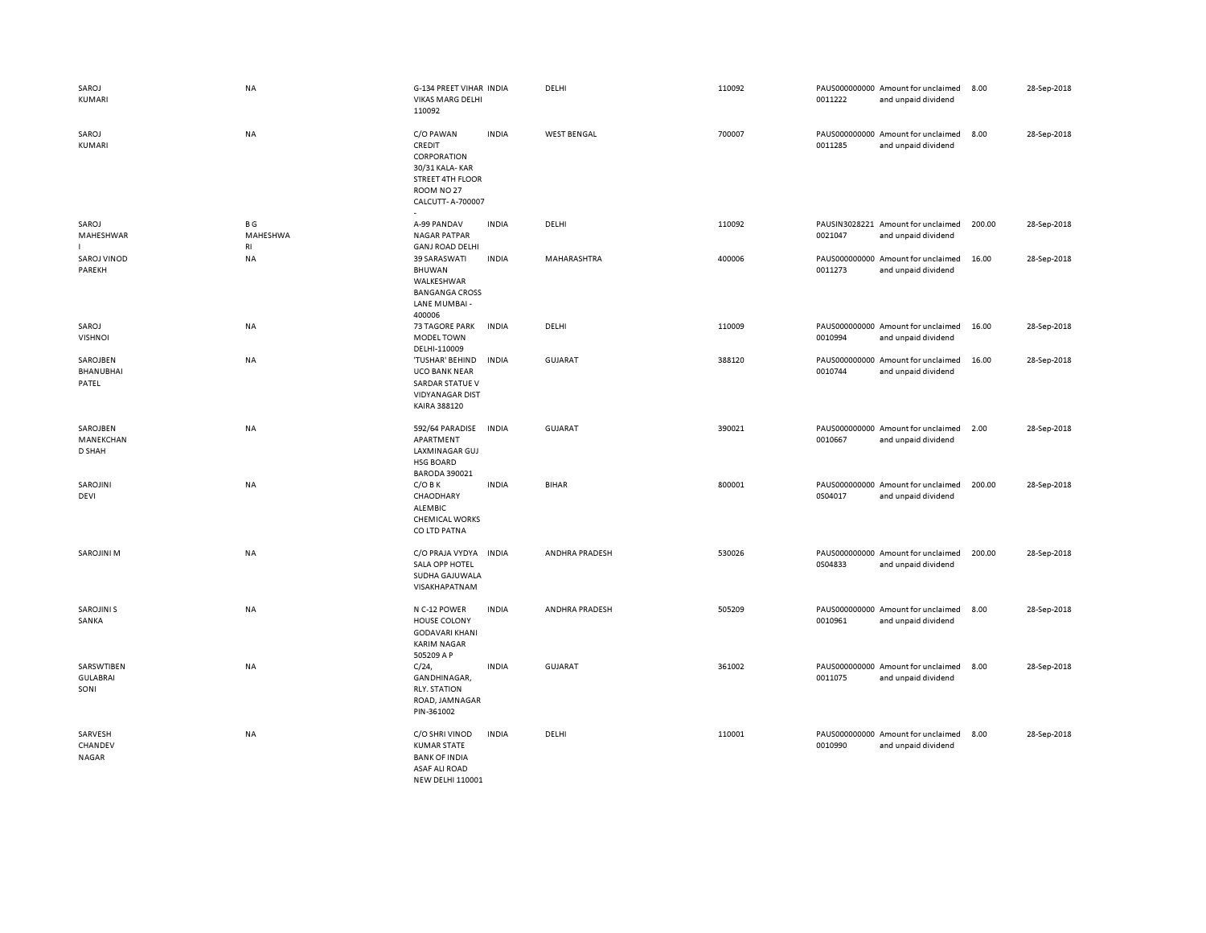| SAROJ<br>KUMARI                       | NA                           | G-134 PREET VIHAR INDIA<br><b>VIKAS MARG DELHI</b><br>110092                                                                  |              | DELHI              | 110092 | 0011222 | PAUS000000000 Amount for unclaimed<br>and unpaid dividend | 8.00   | 28-Sep-2018 |
|---------------------------------------|------------------------------|-------------------------------------------------------------------------------------------------------------------------------|--------------|--------------------|--------|---------|-----------------------------------------------------------|--------|-------------|
| SAROJ<br>KUMARI                       | NA                           | C/O PAWAN<br>CREDIT<br>CORPORATION<br>30/31 KALA-KAR<br><b>STREET 4TH FLOOR</b><br>ROOM NO <sub>27</sub><br>CALCUTT- A-700007 | <b>INDIA</b> | <b>WEST BENGAL</b> | 700007 | 0011285 | PAUS000000000 Amount for unclaimed<br>and unpaid dividend | 8.00   | 28-Sep-2018 |
| SAROJ<br>MAHESHWAR                    | B G<br>MAHESHWA<br><b>RI</b> | A-99 PANDAV<br><b>NAGAR PATPAR</b><br><b>GANJ ROAD DELHI</b>                                                                  | <b>INDIA</b> | DELHI              | 110092 | 0021047 | PAUSIN3028221 Amount for unclaimed<br>and unpaid dividend | 200.00 | 28-Sep-2018 |
| <b>SAROJ VINOD</b><br>PAREKH          | NA                           | 39 SARASWATI<br>BHUWAN<br>WALKESHWAR<br><b>BANGANGA CROSS</b><br>LANE MUMBAI -<br>400006                                      | <b>INDIA</b> | MAHARASHTRA        | 400006 | 0011273 | PAUS000000000 Amount for unclaimed<br>and unpaid dividend | 16.00  | 28-Sep-2018 |
| SAROJ<br><b>VISHNOI</b>               | NA                           | <b>73 TAGORE PARK</b><br><b>MODEL TOWN</b><br>DELHI-110009                                                                    | <b>INDIA</b> | DELHI              | 110009 | 0010994 | PAUS000000000 Amount for unclaimed<br>and unpaid dividend | 16.00  | 28-Sep-2018 |
| SAROJBEN<br><b>BHANUBHAI</b><br>PATEL | <b>NA</b>                    | 'TUSHAR' BEHIND<br><b>UCO BANK NEAR</b><br><b>SARDAR STATUE V</b><br><b>VIDYANAGAR DIST</b><br>KAIRA 388120                   | <b>INDIA</b> | <b>GUJARAT</b>     | 388120 | 0010744 | PAUS000000000 Amount for unclaimed<br>and unpaid dividend | 16.00  | 28-Sep-2018 |
| SAROJBEN<br>MANEKCHAN<br>D SHAH       | <b>NA</b>                    | 592/64 PARADISE<br>APARTMENT<br>LAXMINAGAR GUJ<br><b>HSG BOARD</b><br><b>BARODA 390021</b>                                    | <b>INDIA</b> | <b>GUJARAT</b>     | 390021 | 0010667 | PAUS000000000 Amount for unclaimed<br>and unpaid dividend | 2.00   | 28-Sep-2018 |
| SAROJINI<br><b>DEVI</b>               | NA                           | $C/O$ B K<br>CHAODHARY<br>ALEMBIC<br><b>CHEMICAL WORKS</b><br>CO LTD PATNA                                                    | <b>INDIA</b> | <b>BIHAR</b>       | 800001 | 0S04017 | PAUS000000000 Amount for unclaimed<br>and unpaid dividend | 200.00 | 28-Sep-2018 |
| <b>SAROJINI M</b>                     | NA                           | C/O PRAJA VYDYA<br>SALA OPP HOTEL<br>SUDHA GAJUWALA<br>VISAKHAPATNAM                                                          | <b>INDIA</b> | ANDHRA PRADESH     | 530026 | 0S04833 | PAUS000000000 Amount for unclaimed<br>and unpaid dividend | 200.00 | 28-Sep-2018 |
| <b>SAROJINI S</b><br>SANKA            | NA                           | N C-12 POWER<br>HOUSE COLONY<br><b>GODAVARI KHANI</b><br><b>KARIM NAGAR</b><br>505209 A P                                     | <b>INDIA</b> | ANDHRA PRADESH     | 505209 | 0010961 | PAUS000000000 Amount for unclaimed<br>and unpaid dividend | 8.00   | 28-Sep-2018 |
| SARSWTIBEN<br><b>GULABRAI</b><br>SONI | NA                           | $C/24$ ,<br>GANDHINAGAR,<br><b>RLY. STATION</b><br>ROAD, JAMNAGAR<br>PIN-361002                                               | <b>INDIA</b> | <b>GUJARAT</b>     | 361002 | 0011075 | PAUS000000000 Amount for unclaimed<br>and unpaid dividend | 8.00   | 28-Sep-2018 |
| SARVESH<br>CHANDEV<br>NAGAR           | NA                           | C/O SHRI VINOD<br><b>KUMAR STATE</b><br><b>BANK OF INDIA</b><br><b>ASAF ALI ROAD</b><br>NEW DELHI 110001                      | <b>INDIA</b> | DELHI              | 110001 | 0010990 | PAUS000000000 Amount for unclaimed<br>and unpaid dividend | 8.00   | 28-Sep-2018 |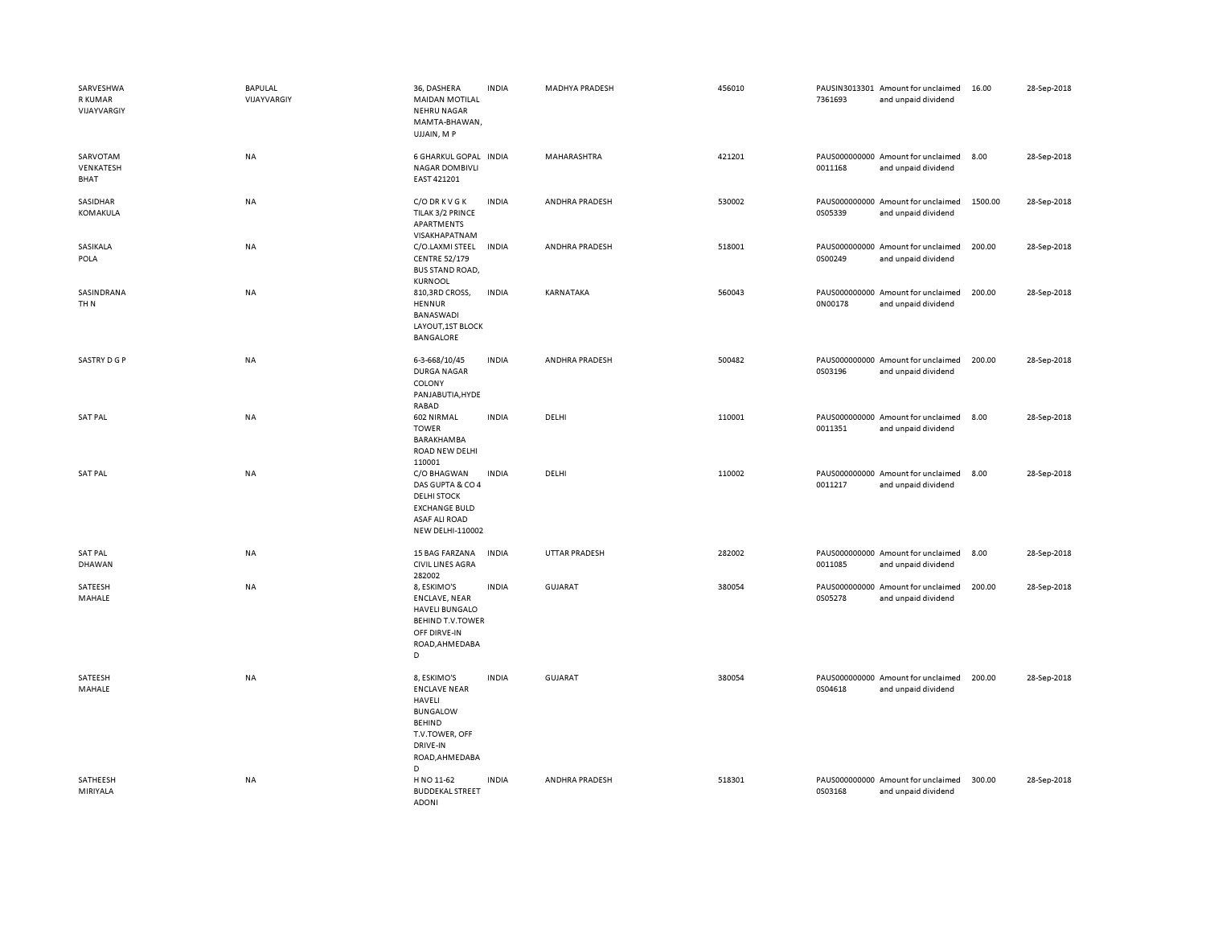| SARVESHWA<br><b>R KUMAR</b><br>VIJAYVARGIY | <b>BAPULAL</b><br>VIJAYVARGIY | 36, DASHERA<br><b>MAIDAN MOTILAL</b><br><b>NEHRU NAGAR</b><br>MAMTA-BHAWAN,<br>UJJAIN, MP                                             | <b>INDIA</b> | MADHYA PRADESH | 456010 | 7361693 | PAUSIN3013301 Amount for unclaimed<br>and unpaid dividend | 16.00   | 28-Sep-2018 |
|--------------------------------------------|-------------------------------|---------------------------------------------------------------------------------------------------------------------------------------|--------------|----------------|--------|---------|-----------------------------------------------------------|---------|-------------|
| SARVOTAM<br>VENKATESH<br>BHAT              | <b>NA</b>                     | 6 GHARKUL GOPAL INDIA<br><b>NAGAR DOMBIVLI</b><br>EAST 421201                                                                         |              | MAHARASHTRA    | 421201 | 0011168 | PAUS000000000 Amount for unclaimed<br>and unpaid dividend | 8.00    | 28-Sep-2018 |
| SASIDHAR<br>KOMAKULA                       | <b>NA</b>                     | C/O DR K V G K<br>TILAK 3/2 PRINCE<br>APARTMENTS<br>VISAKHAPATNAM                                                                     | <b>INDIA</b> | ANDHRA PRADESH | 530002 | 0S05339 | PAUS000000000 Amount for unclaimed<br>and unpaid dividend | 1500.00 | 28-Sep-2018 |
| SASIKALA<br>POLA                           | <b>NA</b>                     | C/O.LAXMI STEEL<br><b>CENTRE 52/179</b><br><b>BUS STAND ROAD,</b><br>KURNOOL                                                          | <b>INDIA</b> | ANDHRA PRADESH | 518001 | 0S00249 | PAUS000000000 Amount for unclaimed<br>and unpaid dividend | 200.00  | 28-Sep-2018 |
| SASINDRANA<br>TH <sub>N</sub>              | <b>NA</b>                     | 810,3RD CROSS,<br>HENNUR<br>BANASWADI<br>LAYOUT, 1ST BLOCK<br>BANGALORE                                                               | <b>INDIA</b> | KARNATAKA      | 560043 | 0N00178 | PAUS000000000 Amount for unclaimed<br>and unpaid dividend | 200.00  | 28-Sep-2018 |
| SASTRY D G P                               | <b>NA</b>                     | 6-3-668/10/45<br><b>DURGA NAGAR</b><br>COLONY<br>PANJABUTIA, HYDE<br>RABAD                                                            | <b>INDIA</b> | ANDHRA PRADESH | 500482 | 0S03196 | PAUS000000000 Amount for unclaimed<br>and unpaid dividend | 200.00  | 28-Sep-2018 |
| <b>SAT PAL</b>                             | <b>NA</b>                     | 602 NIRMAL<br><b>TOWER</b><br><b>BARAKHAMBA</b><br><b>ROAD NEW DELHI</b><br>110001                                                    | <b>INDIA</b> | <b>DELHI</b>   | 110001 | 0011351 | PAUS000000000 Amount for unclaimed<br>and unpaid dividend | 8.00    | 28-Sep-2018 |
| <b>SAT PAL</b>                             | <b>NA</b>                     | C/O BHAGWAN<br>DAS GUPTA & CO 4<br><b>DELHI STOCK</b><br><b>EXCHANGE BULD</b><br><b>ASAF ALI ROAD</b><br>NEW DELHI-110002             | <b>INDIA</b> | DELHI          | 110002 | 0011217 | PAUS000000000 Amount for unclaimed<br>and unpaid dividend | 8.00    | 28-Sep-2018 |
| <b>SAT PAL</b><br><b>DHAWAN</b>            | <b>NA</b>                     | 15 BAG FARZANA<br><b>CIVIL LINES AGRA</b><br>282002                                                                                   | <b>INDIA</b> | UTTAR PRADESH  | 282002 | 0011085 | PAUS000000000 Amount for unclaimed<br>and unpaid dividend | 8.00    | 28-Sep-2018 |
| SATEESH<br>MAHALE                          | <b>NA</b>                     | 8, ESKIMO'S<br><b>ENCLAVE, NEAR</b><br><b>HAVELI BUNGALO</b><br><b>BEHIND T.V.TOWER</b><br>OFF DIRVE-IN<br>ROAD, AHMEDABA<br>D        | <b>INDIA</b> | <b>GUJARAT</b> | 380054 | 0S05278 | PAUS000000000 Amount for unclaimed<br>and unpaid dividend | 200.00  | 28-Sep-2018 |
| SATEESH<br>MAHALE                          | <b>NA</b>                     | 8, ESKIMO'S<br><b>ENCLAVE NEAR</b><br>HAVELI<br><b>BUNGALOW</b><br><b>BEHIND</b><br>T.V.TOWER, OFF<br>DRIVE-IN<br>ROAD, AHMEDABA<br>D | <b>INDIA</b> | <b>GUJARAT</b> | 380054 | 0S04618 | PAUS000000000 Amount for unclaimed<br>and unpaid dividend | 200.00  | 28-Sep-2018 |
| SATHEESH<br>MIRIYALA                       | <b>NA</b>                     | H NO 11-62<br><b>BUDDEKAL STREET</b><br><b>ADONI</b>                                                                                  | <b>INDIA</b> | ANDHRA PRADESH | 518301 | 0S03168 | PAUS000000000 Amount for unclaimed<br>and unpaid dividend | 300.00  | 28-Sep-2018 |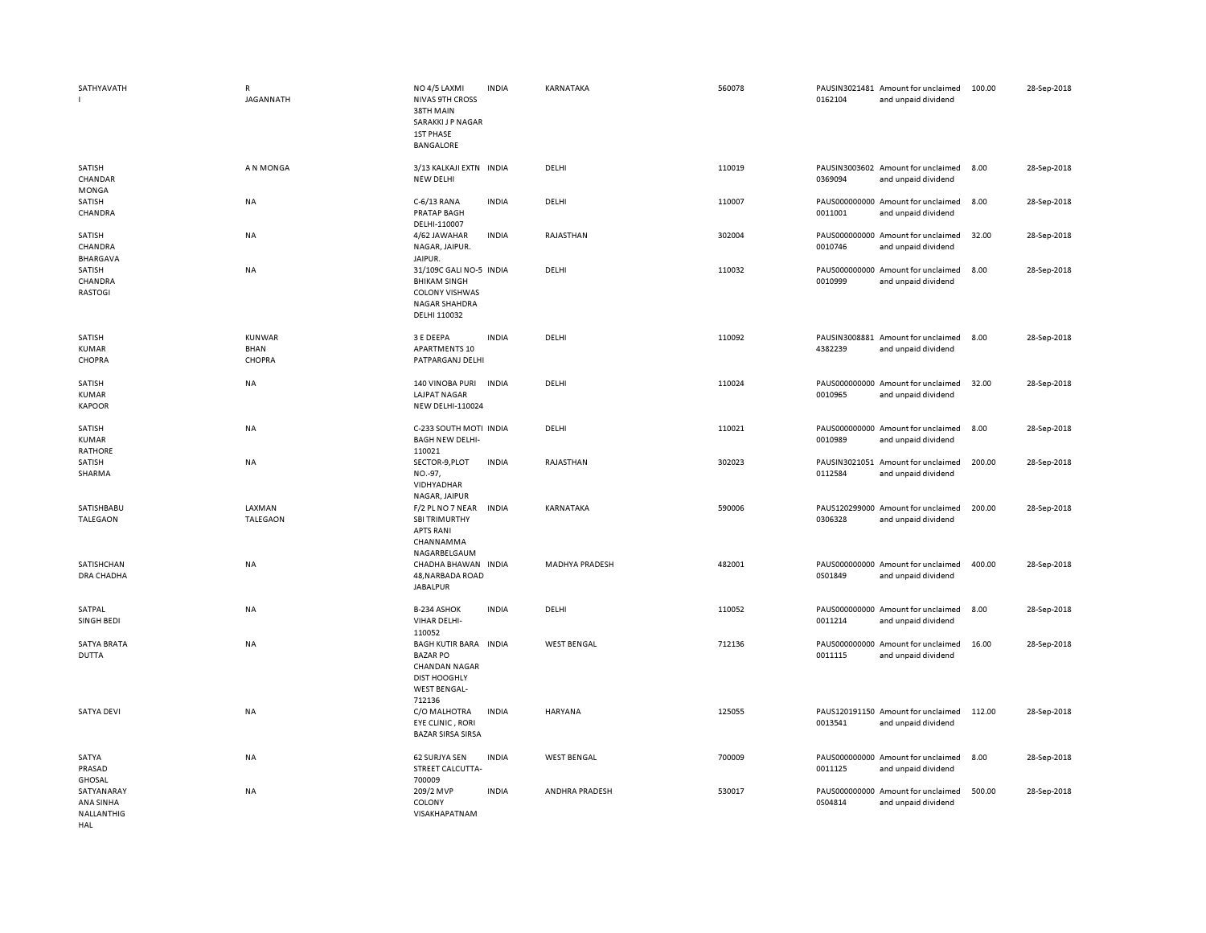| SATHYAVATH                                   | ${\sf R}$<br><b>JAGANNATH</b>          | NO <sub>4</sub> /5 LAXMI<br><b>NIVAS 9TH CROSS</b><br>38TH MAIN<br>SARAKKI J P NAGAR<br><b>1ST PHASE</b><br>BANGALORE     | <b>INDIA</b> | KARNATAKA             | 560078 | 0162104 | PAUSIN3021481 Amount for unclaimed<br>and unpaid dividend | 100.00 | 28-Sep-2018 |
|----------------------------------------------|----------------------------------------|---------------------------------------------------------------------------------------------------------------------------|--------------|-----------------------|--------|---------|-----------------------------------------------------------|--------|-------------|
| SATISH<br>CHANDAR<br>MONGA                   | A N MONGA                              | 3/13 KALKAJI EXTN INDIA<br>NEW DELHI                                                                                      |              | DELHI                 | 110019 | 0369094 | PAUSIN3003602 Amount for unclaimed<br>and unpaid dividend | 8.00   | 28-Sep-2018 |
| SATISH<br>CHANDRA                            | <b>NA</b>                              | C-6/13 RANA<br><b>PRATAP BAGH</b><br>DELHI-110007                                                                         | <b>INDIA</b> | DELHI                 | 110007 | 0011001 | PAUS000000000 Amount for unclaimed<br>and unpaid dividend | 8.00   | 28-Sep-2018 |
| SATISH<br>CHANDRA<br><b>BHARGAVA</b>         | <b>NA</b>                              | 4/62 JAWAHAR<br>NAGAR, JAIPUR.<br>JAIPUR.                                                                                 | <b>INDIA</b> | RAJASTHAN             | 302004 | 0010746 | PAUS000000000 Amount for unclaimed<br>and unpaid dividend | 32.00  | 28-Sep-2018 |
| SATISH<br>CHANDRA<br>RASTOGI                 | NA                                     | 31/109C GALI NO-5 INDIA<br><b>BHIKAM SINGH</b><br><b>COLONY VISHWAS</b><br>NAGAR SHAHDRA<br>DELHI 110032                  |              | DELHI                 | 110032 | 0010999 | PAUS000000000 Amount for unclaimed<br>and unpaid dividend | 8.00   | 28-Sep-2018 |
| SATISH<br><b>KUMAR</b><br>CHOPRA             | <b>KUNWAR</b><br><b>BHAN</b><br>CHOPRA | 3 E DEEPA<br><b>APARTMENTS 10</b><br>PATPARGANJ DELHI                                                                     | <b>INDIA</b> | DELHI                 | 110092 | 4382239 | PAUSIN3008881 Amount for unclaimed<br>and unpaid dividend | 8.00   | 28-Sep-2018 |
| SATISH<br><b>KUMAR</b><br><b>KAPOOR</b>      | <b>NA</b>                              | 140 VINOBA PURI<br><b>LAJPAT NAGAR</b><br><b>NEW DELHI-110024</b>                                                         | <b>INDIA</b> | DELHI                 | 110024 | 0010965 | PAUS000000000 Amount for unclaimed<br>and unpaid dividend | 32.00  | 28-Sep-2018 |
| SATISH<br><b>KUMAR</b><br><b>RATHORE</b>     | NA                                     | C-233 SOUTH MOTI INDIA<br><b>BAGH NEW DELHI-</b><br>110021                                                                |              | DELHI                 | 110021 | 0010989 | PAUS000000000 Amount for unclaimed<br>and unpaid dividend | 8.00   | 28-Sep-2018 |
| SATISH<br>SHARMA                             | NA                                     | SECTOR-9, PLOT<br>NO.-97,<br>VIDHYADHAR                                                                                   | <b>INDIA</b> | RAJASTHAN             | 302023 | 0112584 | PAUSIN3021051 Amount for unclaimed<br>and unpaid dividend | 200.00 | 28-Sep-2018 |
| SATISHBABU<br>TALEGAON                       | LAXMAN<br><b>TALEGAON</b>              | NAGAR, JAIPUR<br>F/2 PL NO 7 NEAR<br><b>SBI TRIMURTHY</b><br><b>APTS RANI</b><br>CHANNAMMA<br>NAGARBELGAUM                | <b>INDIA</b> | KARNATAKA             | 590006 | 0306328 | PAUS120299000 Amount for unclaimed<br>and unpaid dividend | 200.00 | 28-Sep-2018 |
| SATISHCHAN<br>DRA CHADHA                     | NA                                     | CHADHA BHAWAN INDIA<br>48, NARBADA ROAD<br><b>JABALPUR</b>                                                                |              | <b>MADHYA PRADESH</b> | 482001 | 0S01849 | PAUS000000000 Amount for unclaimed<br>and unpaid dividend | 400.00 | 28-Sep-2018 |
| SATPAL<br>SINGH BEDI                         | NA                                     | B-234 ASHOK<br>VIHAR DELHI-<br>110052                                                                                     | <b>INDIA</b> | DELHI                 | 110052 | 0011214 | PAUS000000000 Amount for unclaimed<br>and unpaid dividend | 8.00   | 28-Sep-2018 |
| <b>SATYA BRATA</b><br><b>DUTTA</b>           | NA                                     | <b>BAGH KUTIR BARA</b><br><b>BAZAR PO</b><br><b>CHANDAN NAGAR</b><br><b>DIST HOOGHLY</b><br><b>WEST BENGAL-</b><br>712136 | <b>INDIA</b> | <b>WEST BENGAL</b>    | 712136 | 0011115 | PAUS000000000 Amount for unclaimed<br>and unpaid dividend | 16.00  | 28-Sep-2018 |
| <b>SATYA DEVI</b>                            | NA                                     | C/O MALHOTRA<br><b>EYE CLINIC, RORI</b><br><b>BAZAR SIRSA SIRSA</b>                                                       | <b>INDIA</b> | HARYANA               | 125055 | 0013541 | PAUS120191150 Amount for unclaimed<br>and unpaid dividend | 112.00 | 28-Sep-2018 |
| SATYA<br>PRASAD<br>GHOSAL                    | NA                                     | 62 SURJYA SEN<br>STREET CALCUTTA-<br>700009                                                                               | <b>INDIA</b> | <b>WEST BENGAL</b>    | 700009 | 0011125 | PAUS000000000 Amount for unclaimed<br>and unpaid dividend | 8.00   | 28-Sep-2018 |
| SATYANARAY<br>ANA SINHA<br>NALLANTHIG<br>HAL | <b>NA</b>                              | 209/2 MVP<br>COLONY<br>VISAKHAPATNAM                                                                                      | <b>INDIA</b> | ANDHRA PRADESH        | 530017 | 0S04814 | PAUS000000000 Amount for unclaimed<br>and unpaid dividend | 500.00 | 28-Sep-2018 |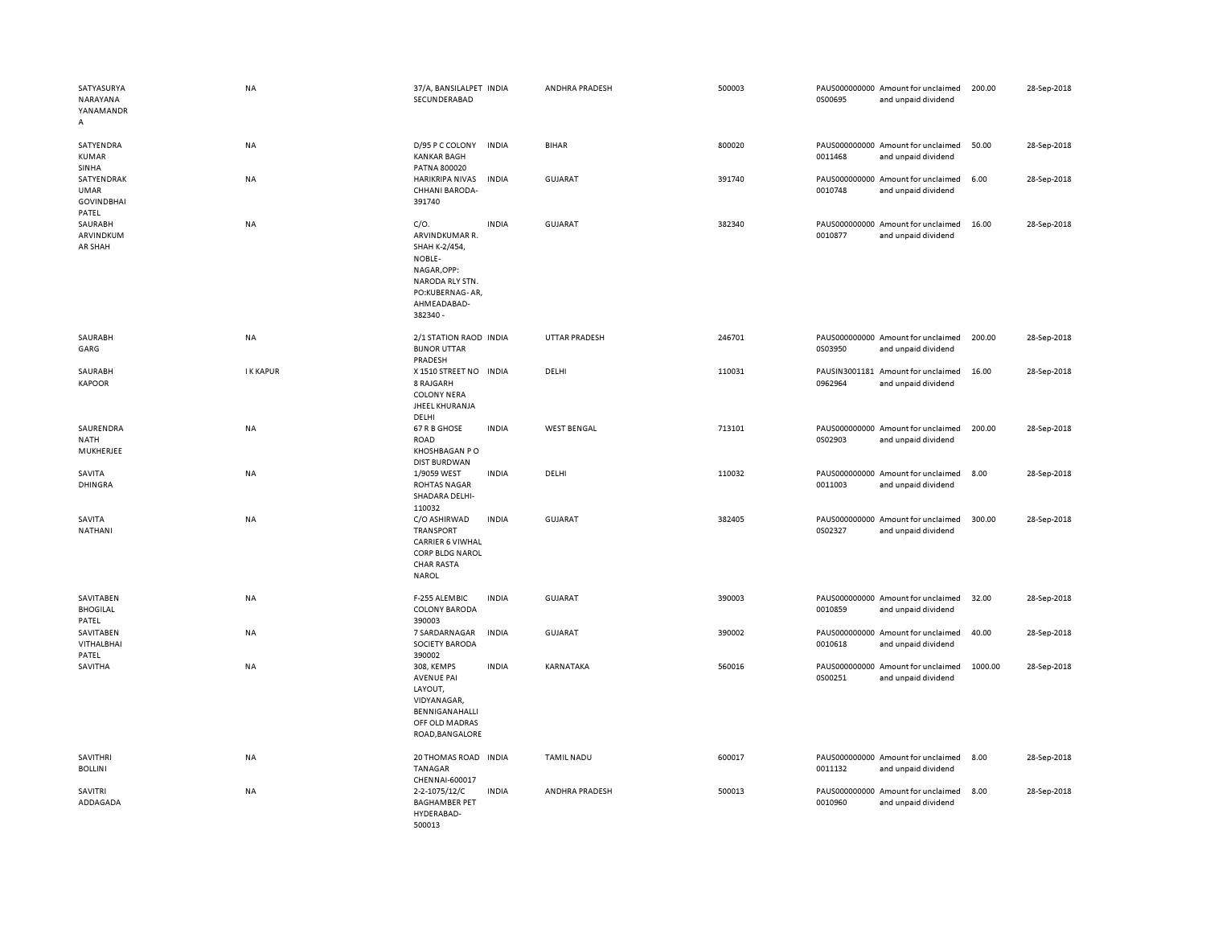| SATYASURYA<br>NARAYANA<br>YANAMANDR<br>А                | <b>NA</b>      | 37/A, BANSILALPET INDIA<br>SECUNDERABAD                                                                                              |              | ANDHRA PRADESH     | 500003 | 0S00695 | PAUS000000000 Amount for unclaimed<br>and unpaid dividend | 200.00  | 28-Sep-2018 |
|---------------------------------------------------------|----------------|--------------------------------------------------------------------------------------------------------------------------------------|--------------|--------------------|--------|---------|-----------------------------------------------------------|---------|-------------|
| SATYENDRA<br><b>KUMAR</b><br>SINHA                      | NA             | D/95 P C COLONY<br><b>KANKAR BAGH</b><br>PATNA 800020                                                                                | <b>INDIA</b> | <b>BIHAR</b>       | 800020 | 0011468 | PAUS000000000 Amount for unclaimed<br>and unpaid dividend | 50.00   | 28-Sep-2018 |
| SATYENDRAK<br><b>UMAR</b><br><b>GOVINDBHAI</b><br>PATEL | <b>NA</b>      | <b>HARIKRIPA NIVAS</b><br>CHHANI BARODA-<br>391740                                                                                   | <b>INDIA</b> | <b>GUJARAT</b>     | 391740 | 0010748 | PAUS000000000 Amount for unclaimed<br>and unpaid dividend | 6.00    | 28-Sep-2018 |
| SAURABH<br>ARVINDKUM<br>AR SHAH                         | <b>NA</b>      | $C/O$ .<br>ARVINDKUMAR R.<br>SHAH K-2/454,<br>NOBLE-<br>NAGAR, OPP:<br>NARODA RLY STN.<br>PO:KUBERNAG-AR,<br>AHMEADABAD-<br>382340 - | <b>INDIA</b> | GUJARAT            | 382340 | 0010877 | PAUS000000000 Amount for unclaimed<br>and unpaid dividend | 16.00   | 28-Sep-2018 |
| SAURABH<br>GARG                                         | <b>NA</b>      | 2/1 STATION RAOD INDIA<br><b>BIJNOR UTTAR</b><br>PRADESH                                                                             |              | UTTAR PRADESH      | 246701 | 0S03950 | PAUS000000000 Amount for unclaimed<br>and unpaid dividend | 200.00  | 28-Sep-2018 |
| SAURABH<br><b>KAPOOR</b>                                | <b>IKKAPUR</b> | X 1510 STREET NO INDIA<br>8 RAJGARH<br><b>COLONY NERA</b><br>JHEEL KHURANJA<br>DELHI                                                 |              | DELHI              | 110031 | 0962964 | PAUSIN3001181 Amount for unclaimed<br>and unpaid dividend | 16.00   | 28-Sep-2018 |
| SAURENDRA<br><b>NATH</b><br>MUKHERJEE                   | NA             | 67 R B GHOSE<br><b>ROAD</b><br>KHOSHBAGAN PO<br><b>DIST BURDWAN</b>                                                                  | <b>INDIA</b> | <b>WEST BENGAL</b> | 713101 | 0S02903 | PAUS000000000 Amount for unclaimed<br>and unpaid dividend | 200.00  | 28-Sep-2018 |
| SAVITA<br><b>DHINGRA</b>                                | <b>NA</b>      | 1/9059 WEST<br><b>ROHTAS NAGAR</b><br>SHADARA DELHI-<br>110032                                                                       | <b>INDIA</b> | DELHI              | 110032 | 0011003 | PAUS000000000 Amount for unclaimed<br>and unpaid dividend | 8.00    | 28-Sep-2018 |
| SAVITA<br>NATHANI                                       | NA             | C/O ASHIRWAD<br><b>TRANSPORT</b><br><b>CARRIER 6 VIWHAL</b><br>CORP BLDG NAROL<br><b>CHAR RASTA</b><br><b>NAROL</b>                  | <b>INDIA</b> | <b>GUJARAT</b>     | 382405 | 0S02327 | PAUS000000000 Amount for unclaimed<br>and unpaid dividend | 300.00  | 28-Sep-2018 |
| SAVITABEN<br><b>BHOGILAL</b><br>PATEL                   | NA             | F-255 ALEMBIC<br><b>COLONY BARODA</b><br>390003                                                                                      | <b>INDIA</b> | <b>GUJARAT</b>     | 390003 | 0010859 | PAUS000000000 Amount for unclaimed<br>and unpaid dividend | 32.00   | 28-Sep-2018 |
| SAVITABEN<br>VITHALBHAI<br>PATEL                        | NA             | 7 SARDARNAGAR<br>SOCIETY BARODA<br>390002                                                                                            | <b>INDIA</b> | <b>GUJARAT</b>     | 390002 | 0010618 | PAUS000000000 Amount for unclaimed<br>and unpaid dividend | 40.00   | 28-Sep-2018 |
| SAVITHA                                                 | <b>NA</b>      | 308, KEMPS<br><b>AVENUE PAI</b><br>LAYOUT,<br>VIDYANAGAR,<br>BENNIGANAHALLI<br>OFF OLD MADRAS<br>ROAD, BANGALORE                     | <b>INDIA</b> | KARNATAKA          | 560016 | 0S00251 | PAUS000000000 Amount for unclaimed<br>and unpaid dividend | 1000.00 | 28-Sep-2018 |
| SAVITHRI<br><b>BOLLINI</b>                              | NA             | 20 THOMAS ROAD INDIA<br>TANAGAR<br>CHENNAI-600017                                                                                    |              | <b>TAMIL NADU</b>  | 600017 | 0011132 | PAUS000000000 Amount for unclaimed<br>and unpaid dividend | 8.00    | 28-Sep-2018 |
| SAVITRI<br>ADDAGADA                                     | NA             | 2-2-1075/12/C<br><b>BAGHAMBER PET</b><br>HYDERABAD-<br>500013                                                                        | <b>INDIA</b> | ANDHRA PRADESH     | 500013 | 0010960 | PAUS000000000 Amount for unclaimed<br>and unpaid dividend | 8.00    | 28-Sep-2018 |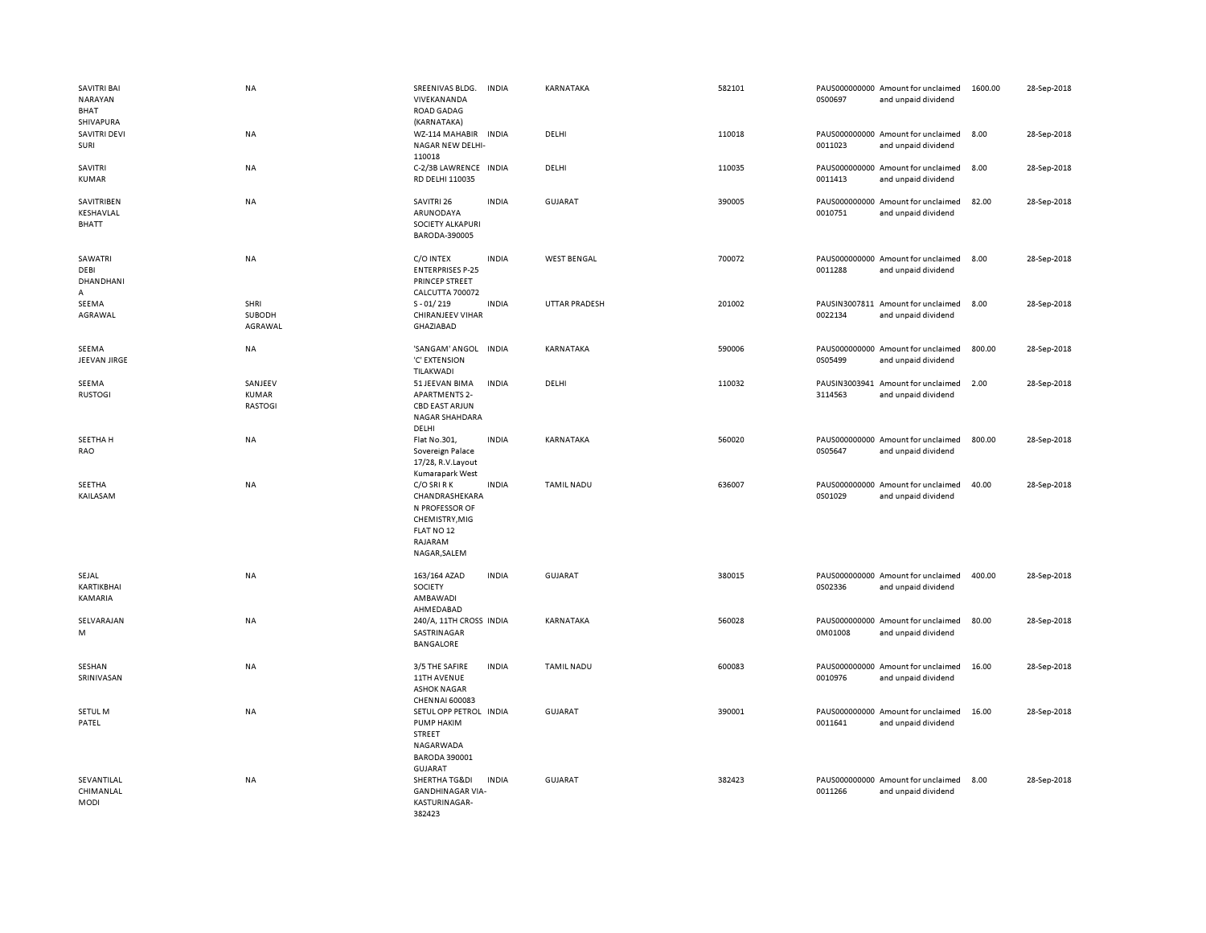| <b>SAVITRI BAI</b><br>NARAYAN<br><b>BHAT</b><br>SHIVAPURA | <b>NA</b>                          | SREENIVAS BLDG.<br>VIVEKANANDA<br><b>ROAD GADAG</b><br>(KARNATAKA)                                           | <b>INDIA</b> | KARNATAKA            | 582101 | 0S00697 | PAUS000000000 Amount for unclaimed<br>and unpaid dividend | 1600.00 | 28-Sep-2018 |
|-----------------------------------------------------------|------------------------------------|--------------------------------------------------------------------------------------------------------------|--------------|----------------------|--------|---------|-----------------------------------------------------------|---------|-------------|
| SAVITRI DEVI<br>SURI                                      | NA                                 | WZ-114 MAHABIR INDIA<br>NAGAR NEW DELHI-<br>110018                                                           |              | DELHI                | 110018 | 0011023 | PAUS000000000 Amount for unclaimed<br>and unpaid dividend | 8.00    | 28-Sep-2018 |
| SAVITRI<br>KUMAR                                          | NA                                 | C-2/3B LAWRENCE INDIA<br>RD DELHI 110035                                                                     |              | DELHI                | 110035 | 0011413 | PAUS000000000 Amount for unclaimed<br>and unpaid dividend | 8.00    | 28-Sep-2018 |
| SAVITRIBEN<br>KESHAVLAL<br>BHATT                          | NA                                 | SAVITRI 26<br>ARUNODAYA<br>SOCIETY ALKAPURI<br>BARODA-390005                                                 | <b>INDIA</b> | <b>GUJARAT</b>       | 390005 | 0010751 | PAUS000000000 Amount for unclaimed<br>and unpaid dividend | 82.00   | 28-Sep-2018 |
| SAWATRI<br>DEBI<br>DHANDHANI<br>Α                         | NA                                 | C/O INTEX<br><b>ENTERPRISES P-25</b><br>PRINCEP STREET<br>CALCUTTA 700072                                    | <b>INDIA</b> | <b>WEST BENGAL</b>   | 700072 | 0011288 | PAUS000000000 Amount for unclaimed<br>and unpaid dividend | 8.00    | 28-Sep-2018 |
| SEEMA<br>AGRAWAL                                          | SHRI<br>SUBODH<br>AGRAWAL          | $S - 01/219$<br><b>CHIRANJEEV VIHAR</b><br>GHAZIABAD                                                         | <b>INDIA</b> | <b>UTTAR PRADESH</b> | 201002 | 0022134 | PAUSIN3007811 Amount for unclaimed<br>and unpaid dividend | 8.00    | 28-Sep-2018 |
| SEEMA<br>JEEVAN JIRGE                                     | NA                                 | 'SANGAM' ANGOL INDIA<br>'C' EXTENSION<br>TILAKWADI                                                           |              | KARNATAKA            | 590006 | 0S05499 | PAUS000000000 Amount for unclaimed<br>and unpaid dividend | 800.00  | 28-Sep-2018 |
| SEEMA<br><b>RUSTOGI</b>                                   | SANJEEV<br>KUMAR<br><b>RASTOGI</b> | 51 JEEVAN BIMA<br><b>APARTMENTS 2-</b><br><b>CBD EAST ARJUN</b><br><b>NAGAR SHAHDARA</b><br>DELHI            | <b>INDIA</b> | DELHI                | 110032 | 3114563 | PAUSIN3003941 Amount for unclaimed<br>and unpaid dividend | 2.00    | 28-Sep-2018 |
| SEETHA H<br>RAO                                           | <b>NA</b>                          | Flat No.301,<br>Sovereign Palace<br>17/28, R.V.Layout<br>Kumarapark West                                     | <b>INDIA</b> | KARNATAKA            | 560020 | 0S05647 | PAUS000000000 Amount for unclaimed<br>and unpaid dividend | 800.00  | 28-Sep-2018 |
| SEETHA<br>KAILASAM                                        | NA                                 | C/O SRI R K<br>CHANDRASHEKARA<br>N PROFESSOR OF<br>CHEMISTRY, MIG<br>FLAT NO 12<br>RAJARAM<br>NAGAR, SALEM   | <b>INDIA</b> | <b>TAMIL NADU</b>    | 636007 | 0S01029 | PAUS000000000 Amount for unclaimed<br>and unpaid dividend | 40.00   | 28-Sep-2018 |
| SEJAL<br>KARTIKBHAI<br>KAMARIA                            | <b>NA</b>                          | 163/164 AZAD<br>SOCIETY<br>AMBAWADI<br>AHMEDABAD                                                             | <b>INDIA</b> | <b>GUJARAT</b>       | 380015 | 0S02336 | PAUS000000000 Amount for unclaimed<br>and unpaid dividend | 400.00  | 28-Sep-2018 |
| SELVARAJAN<br>M                                           | NA                                 | 240/A, 11TH CROSS INDIA<br>SASTRINAGAR<br>BANGALORE                                                          |              | KARNATAKA            | 560028 | 0M01008 | PAUS000000000 Amount for unclaimed<br>and unpaid dividend | 80.00   | 28-Sep-2018 |
| SESHAN<br>SRINIVASAN                                      | NA                                 | 3/5 THE SAFIRE<br>11TH AVENUE<br><b>ASHOK NAGAR</b><br>CHENNAI 600083                                        | <b>INDIA</b> | <b>TAMIL NADU</b>    | 600083 | 0010976 | PAUS000000000 Amount for unclaimed<br>and unpaid dividend | 16.00   | 28-Sep-2018 |
| <b>SETULM</b><br>PATEL                                    | <b>NA</b>                          | SETUL OPP PETROL INDIA<br>PUMP HAKIM<br><b>STREET</b><br>NAGARWADA<br><b>BARODA 390001</b><br><b>GUJARAT</b> |              | <b>GUJARAT</b>       | 390001 | 0011641 | PAUS000000000 Amount for unclaimed<br>and unpaid dividend | 16.00   | 28-Sep-2018 |
| SEVANTILAL<br>CHIMANLAL<br>MODI                           | NA                                 | SHERTHA TG&DI<br><b>GANDHINAGAR VIA-</b><br>KASTURINAGAR-<br>382423                                          | <b>INDIA</b> | GUJARAT              | 382423 | 0011266 | PAUS000000000 Amount for unclaimed<br>and unpaid dividend | 8.00    | 28-Sep-2018 |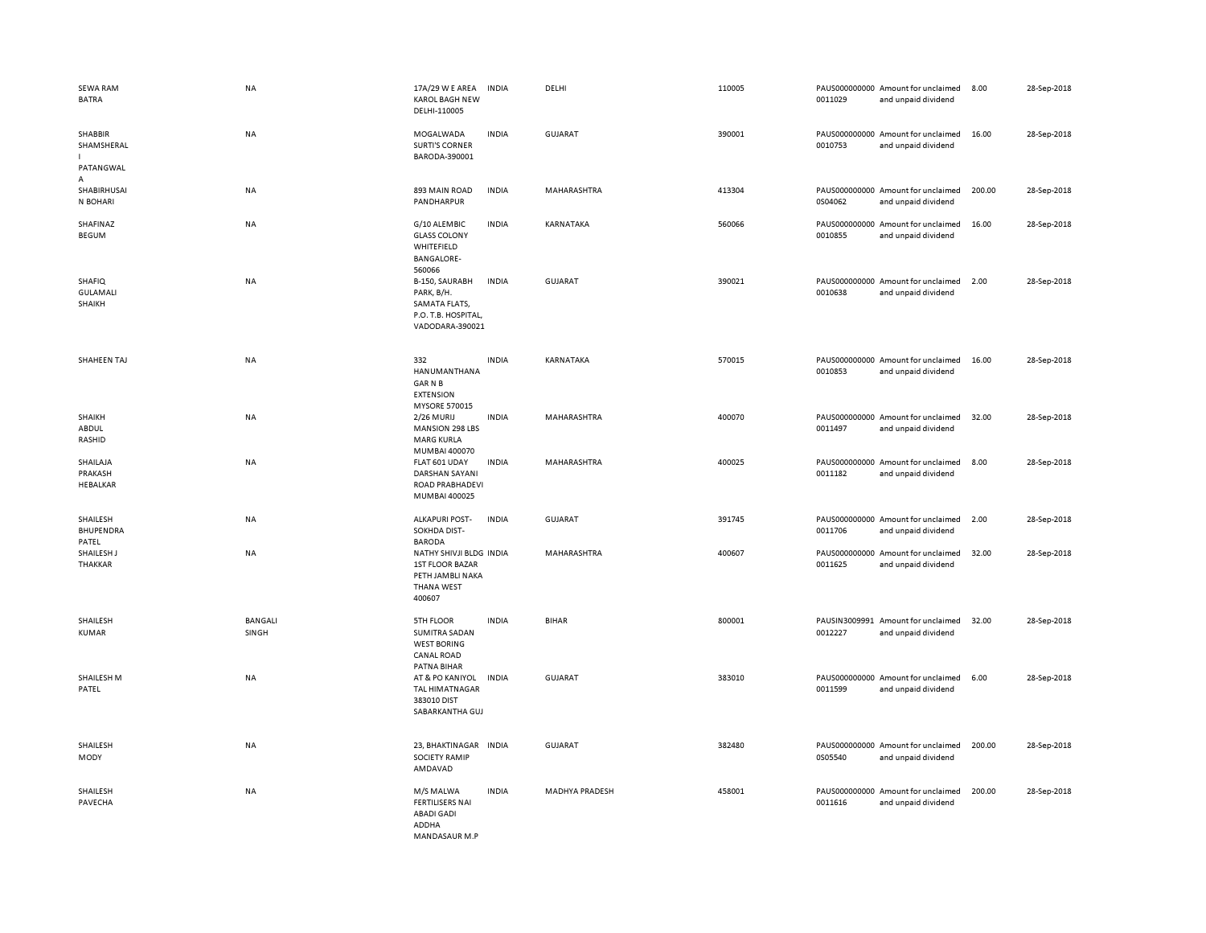| <b>SEWA RAM</b><br><b>BATRA</b>        | NA                      | 17A/29 W E AREA<br><b>KAROL BAGH NEW</b><br>DELHI-110005                                             | <b>INDIA</b> | DELHI              | 110005 | 0011029 | PAUS000000000 Amount for unclaimed<br>and unpaid dividend | 8.00   | 28-Sep-2018 |
|----------------------------------------|-------------------------|------------------------------------------------------------------------------------------------------|--------------|--------------------|--------|---------|-----------------------------------------------------------|--------|-------------|
| SHABBIR<br>SHAMSHERAL<br>PATANGWAL     | NA                      | MOGALWADA<br><b>SURTI'S CORNER</b><br>BARODA-390001                                                  | <b>INDIA</b> | <b>GUJARAT</b>     | 390001 | 0010753 | PAUS000000000 Amount for unclaimed<br>and unpaid dividend | 16.00  | 28-Sep-2018 |
| A<br>SHABIRHUSAI<br>N BOHARI           | <b>NA</b>               | 893 MAIN ROAD<br>PANDHARPUR                                                                          | <b>INDIA</b> | MAHARASHTRA        | 413304 | 0S04062 | PAUS000000000 Amount for unclaimed<br>and unpaid dividend | 200.00 | 28-Sep-2018 |
| SHAFINAZ<br>BEGUM                      | <b>NA</b>               | G/10 ALEMBIC<br><b>GLASS COLONY</b><br>WHITEFIELD<br><b>BANGALORE-</b><br>560066                     | <b>INDIA</b> | KARNATAKA          | 560066 | 0010855 | PAUS000000000 Amount for unclaimed<br>and unpaid dividend | 16.00  | 28-Sep-2018 |
| SHAFIQ<br>GULAMALI<br>SHAIKH           | NA                      | B-150, SAURABH<br>PARK, B/H.<br>SAMATA FLATS,<br>P.O. T.B. HOSPITAL,<br>VADODARA-390021              | <b>INDIA</b> | <b>GUJARAT</b>     | 390021 | 0010638 | PAUS000000000 Amount for unclaimed<br>and unpaid dividend | 2.00   | 28-Sep-2018 |
| SHAHEEN TAJ                            | <b>NA</b>               | 332<br>HANUMANTHANA<br><b>GARNB</b><br><b>EXTENSION</b><br><b>MYSORE 570015</b>                      | <b>INDIA</b> | KARNATAKA          | 570015 | 0010853 | PAUS000000000 Amount for unclaimed<br>and unpaid dividend | 16.00  | 28-Sep-2018 |
| SHAIKH<br>ABDUL<br>RASHID              | NA                      | 2/26 MURIJ<br><b>MANSION 298 LBS</b><br><b>MARG KURLA</b>                                            | <b>INDIA</b> | MAHARASHTRA        | 400070 | 0011497 | PAUS000000000 Amount for unclaimed<br>and unpaid dividend | 32.00  | 28-Sep-2018 |
| SHAILAJA<br>PRAKASH<br><b>HEBALKAR</b> | NA                      | MUMBAI 400070<br>FLAT 601 UDAY<br><b>DARSHAN SAYANI</b><br>ROAD PRABHADEVI<br>MUMBAI 400025          | <b>INDIA</b> | MAHARASHTRA        | 400025 | 0011182 | PAUS000000000 Amount for unclaimed<br>and unpaid dividend | 8.00   | 28-Sep-2018 |
| SHAILESH<br>BHUPENDRA<br>PATEL         | <b>NA</b>               | <b>ALKAPURI POST-</b><br>SOKHDA DIST-<br><b>BARODA</b>                                               | <b>INDIA</b> | GUJARAT            | 391745 | 0011706 | PAUS000000000 Amount for unclaimed<br>and unpaid dividend | 2.00   | 28-Sep-2018 |
| SHAILESH J<br>THAKKAR                  | <b>NA</b>               | NATHY SHIVJI BLDG INDIA<br><b>1ST FLOOR BAZAR</b><br>PETH JAMBLI NAKA<br><b>THANA WEST</b><br>400607 |              | <b>MAHARASHTRA</b> | 400607 | 0011625 | PAUS000000000 Amount for unclaimed<br>and unpaid dividend | 32.00  | 28-Sep-2018 |
| SHAILESH<br>KUMAR                      | <b>BANGALI</b><br>SINGH | 5TH FLOOR<br><b>SUMITRA SADAN</b><br><b>WEST BORING</b><br>CANAL ROAD<br>PATNA BIHAR                 | <b>INDIA</b> | <b>BIHAR</b>       | 800001 | 0012227 | PAUSIN3009991 Amount for unclaimed<br>and unpaid dividend | 32.00  | 28-Sep-2018 |
| SHAILESH M<br>PATEL                    | NA                      | AT & PO KANIYOL<br><b>TAL HIMATNAGAR</b><br>383010 DIST<br>SABARKANTHA GUJ                           | <b>INDIA</b> | <b>GUJARAT</b>     | 383010 | 0011599 | PAUS000000000 Amount for unclaimed<br>and unpaid dividend | 6.00   | 28-Sep-2018 |
| SHAILESH<br>MODY                       | NA                      | 23, BHAKTINAGAR INDIA<br><b>SOCIETY RAMIP</b><br>AMDAVAD                                             |              | <b>GUJARAT</b>     | 382480 | 0S05540 | PAUS000000000 Amount for unclaimed<br>and unpaid dividend | 200.00 | 28-Sep-2018 |
| SHAILESH<br>PAVECHA                    | <b>NA</b>               | M/S MALWA<br><b>FERTILISERS NAI</b><br><b>ABADI GADI</b><br>ADDHA<br>MANDASAUR M P                   | <b>INDIA</b> | MADHYA PRADESH     | 458001 | 0011616 | PAUS000000000 Amount for unclaimed<br>and unpaid dividend | 200.00 | 28-Sep-2018 |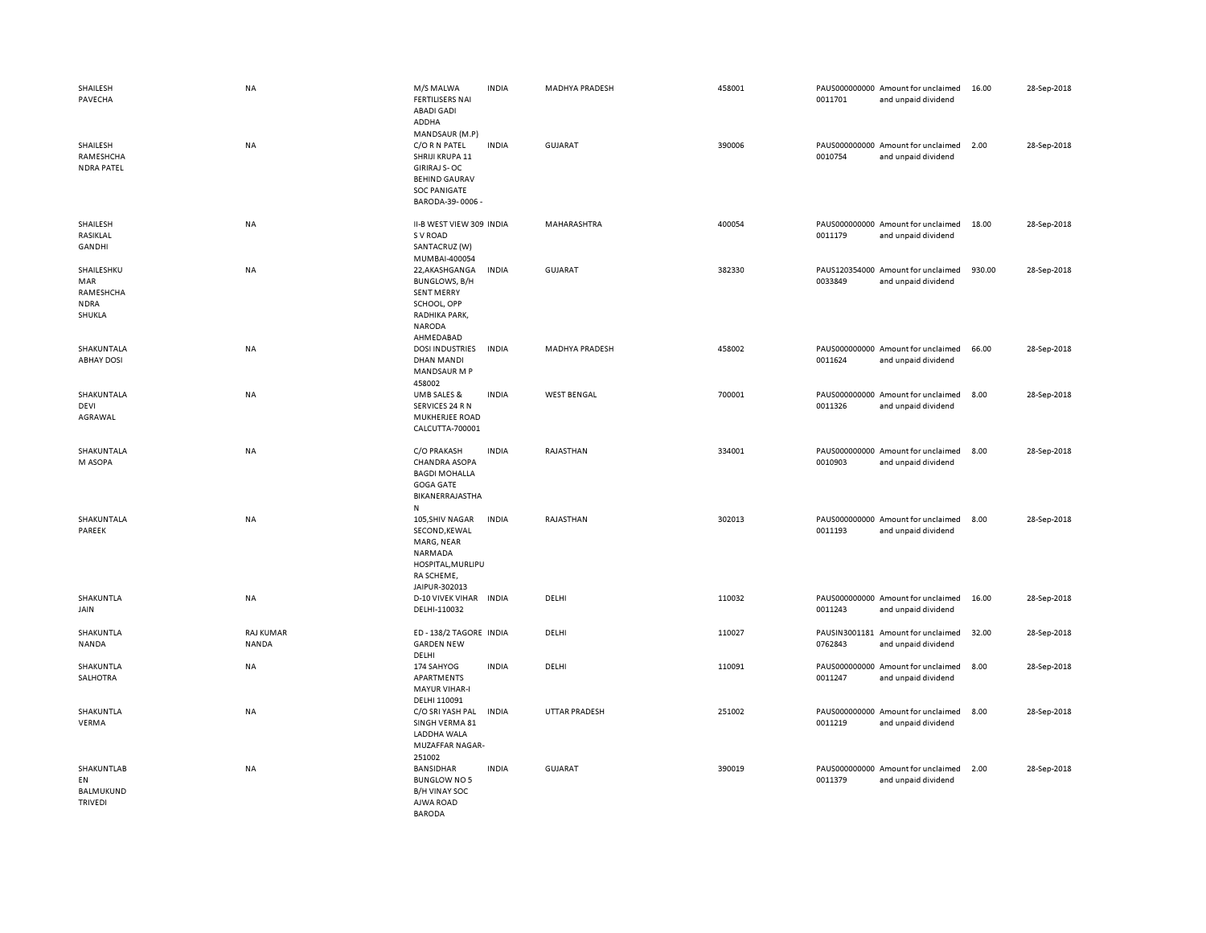| SHAILESH<br>PAVECHA                                     | NA                        | M/S MALWA<br><b>FERTILISERS NAI</b><br><b>ABADI GADI</b><br>ADDHA                                                                           | <b>INDIA</b> | <b>MADHYA PRADESH</b> | 458001 | 0011701 | PAUS000000000 Amount for unclaimed<br>and unpaid dividend | 16.00  | 28-Sep-2018 |
|---------------------------------------------------------|---------------------------|---------------------------------------------------------------------------------------------------------------------------------------------|--------------|-----------------------|--------|---------|-----------------------------------------------------------|--------|-------------|
| SHAILESH<br>RAMESHCHA<br><b>NDRA PATEL</b>              | NA                        | MANDSAUR (M.P)<br>C/O R N PATEL<br>SHRIJI KRUPA 11<br><b>GIRIRAJ S-OC</b><br><b>BEHIND GAURAV</b><br><b>SOC PANIGATE</b><br>BARODA-39-0006- | <b>INDIA</b> | GUJARAT               | 390006 | 0010754 | PAUS000000000 Amount for unclaimed<br>and unpaid dividend | 2.00   | 28-Sep-2018 |
| SHAILESH<br>RASIKLAL<br>GANDHI                          | NA                        | II-B WEST VIEW 309 INDIA<br>S V ROAD<br>SANTACRUZ (W)<br>MUMBAI-400054                                                                      |              | MAHARASHTRA           | 400054 | 0011179 | PAUS000000000 Amount for unclaimed<br>and unpaid dividend | 18.00  | 28-Sep-2018 |
| SHAILESHKU<br>MAR<br>RAMESHCHA<br><b>NDRA</b><br>SHUKLA | NA                        | 22, AKASHGANGA<br>BUNGLOWS, B/H<br><b>SENT MERRY</b><br>SCHOOL, OPP<br>RADHIKA PARK,<br>NARODA<br>AHMEDABAD                                 | <b>INDIA</b> | GUJARAT               | 382330 | 0033849 | PAUS120354000 Amount for unclaimed<br>and unpaid dividend | 930.00 | 28-Sep-2018 |
| SHAKUNTALA<br><b>ABHAY DOSI</b>                         | NA                        | <b>DOSI INDUSTRIES</b><br>DHAN MANDI<br>MANDSAUR M P<br>458002                                                                              | <b>INDIA</b> | <b>MADHYA PRADESH</b> | 458002 | 0011624 | PAUS000000000 Amount for unclaimed<br>and unpaid dividend | 66.00  | 28-Sep-2018 |
| SHAKUNTALA<br>DEVI<br>AGRAWAL                           | NA                        | UMB SALES &<br>SERVICES 24 R N<br>MUKHERJEE ROAD<br>CALCUTTA-700001                                                                         | <b>INDIA</b> | <b>WEST BENGAL</b>    | 700001 | 0011326 | PAUS000000000 Amount for unclaimed<br>and unpaid dividend | 8.00   | 28-Sep-2018 |
| SHAKUNTALA<br>M ASOPA                                   | <b>NA</b>                 | C/O PRAKASH<br><b>CHANDRA ASOPA</b><br><b>BAGDI MOHALLA</b><br>GOGA GATE<br>BIKANERRAJASTHA<br>N                                            | <b>INDIA</b> | RAJASTHAN             | 334001 | 0010903 | PAUS000000000 Amount for unclaimed<br>and unpaid dividend | 8.00   | 28-Sep-2018 |
| SHAKUNTALA<br>PAREEK                                    | NA                        | 105, SHIV NAGAR<br>SECOND, KEWAL<br>MARG, NEAR<br>NARMADA<br>HOSPITAL, MURLIPU<br>RA SCHEME,<br>JAIPUR-302013                               | <b>INDIA</b> | RAJASTHAN             | 302013 | 0011193 | PAUS000000000 Amount for unclaimed<br>and unpaid dividend | 8.00   | 28-Sep-2018 |
| SHAKUNTLA<br>JAIN                                       | NA                        | D-10 VIVEK VIHAR INDIA<br>DELHI-110032                                                                                                      |              | DELHI                 | 110032 | 0011243 | PAUS000000000 Amount for unclaimed<br>and unpaid dividend | 16.00  | 28-Sep-2018 |
| SHAKUNTLA<br>NANDA                                      | <b>RAJ KUMAR</b><br>NANDA | ED-138/2 TAGORE INDIA<br><b>GARDEN NEW</b><br>DELHI                                                                                         |              | DELHI                 | 110027 | 0762843 | PAUSIN3001181 Amount for unclaimed<br>and unpaid dividend | 32.00  | 28-Sep-2018 |
| SHAKUNTLA<br>SALHOTRA                                   | NA                        | 174 SAHYOG<br>APARTMENTS<br><b>MAYUR VIHAR-I</b><br>DELHI 110091                                                                            | <b>INDIA</b> | DELHI                 | 110091 | 0011247 | PAUS000000000 Amount for unclaimed<br>and unpaid dividend | 8.00   | 28-Sep-2018 |
| SHAKUNTLA<br>VERMA                                      | NA                        | C/O SRI YASH PAL<br>SINGH VERMA 81<br>LADDHA WALA<br>MUZAFFAR NAGAR-<br>251002                                                              | <b>INDIA</b> | <b>UTTAR PRADESH</b>  | 251002 | 0011219 | PAUS000000000 Amount for unclaimed<br>and unpaid dividend | 8.00   | 28-Sep-2018 |
| SHAKUNTLAB<br>EN<br><b>BALMUKUND</b><br><b>TRIVEDI</b>  | NA                        | BANSIDHAR<br><b>BUNGLOW NO 5</b><br><b>B/H VINAY SOC</b><br>AJWA ROAD<br><b>BARODA</b>                                                      | <b>INDIA</b> | <b>GUJARAT</b>        | 390019 | 0011379 | PAUS000000000 Amount for unclaimed<br>and unpaid dividend | 2.00   | 28-Sep-2018 |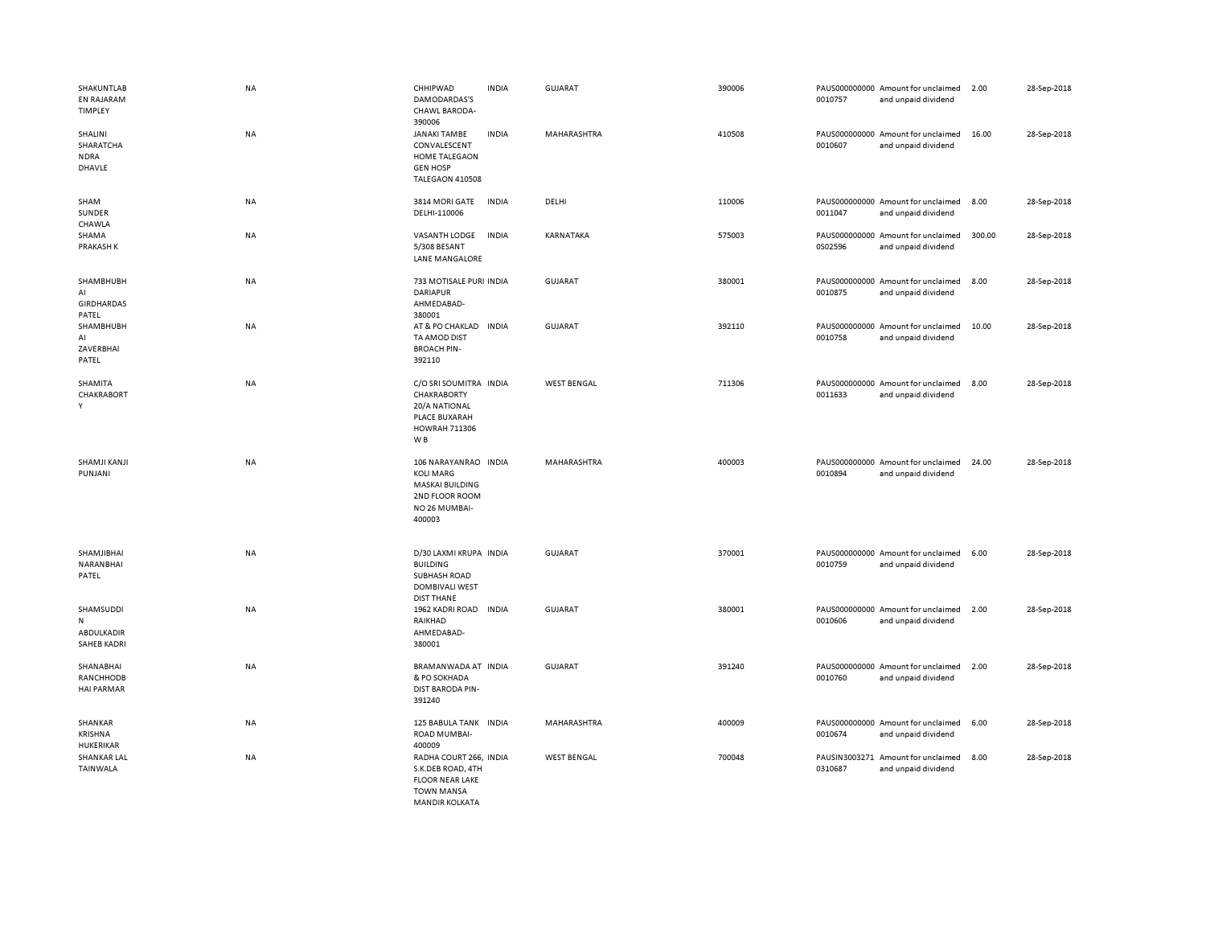| SHAKUNTLAB<br><b>EN RAJARAM</b><br>TIMPLEY         | <b>NA</b> | CHHIPWAD<br>DAMODARDAS'S<br>CHAWL BARODA-<br>390006                                                                      | <b>INDIA</b> | <b>GUJARAT</b>     | 390006 | 0010757                  | PAUS000000000 Amount for unclaimed<br>and unpaid dividend | 2.00   | 28-Sep-2018 |
|----------------------------------------------------|-----------|--------------------------------------------------------------------------------------------------------------------------|--------------|--------------------|--------|--------------------------|-----------------------------------------------------------|--------|-------------|
| SHALINI<br>SHARATCHA<br><b>NDRA</b><br>DHAVLE      | NA        | JANAKI TAMBE<br>CONVALESCENT<br><b>HOME TALEGAON</b><br><b>GEN HOSP</b><br>TALEGAON 410508                               | <b>INDIA</b> | MAHARASHTRA        | 410508 | 0010607                  | PAUS000000000 Amount for unclaimed<br>and unpaid dividend | 16.00  | 28-Sep-2018 |
| SHAM<br>SUNDER<br>CHAWLA                           | NA        | 3814 MORI GATE<br>DELHI-110006                                                                                           | <b>INDIA</b> | DELHI              | 110006 | 0011047                  | PAUS000000000 Amount for unclaimed<br>and unpaid dividend | 8.00   | 28-Sep-2018 |
| SHAMA<br>PRAKASH K                                 | NA        | VASANTH LODGE<br>5/308 BESANT<br>LANE MANGALORE                                                                          | <b>INDIA</b> | KARNATAKA          | 575003 | 0S02596                  | PAUS000000000 Amount for unclaimed<br>and unpaid dividend | 300.00 | 28-Sep-2018 |
| SHAMBHUBH<br>AI<br><b>GIRDHARDAS</b><br>PATEL      | NA        | 733 MOTISALE PURI INDIA<br><b>DARIAPUR</b><br>AHMEDABAD-<br>380001                                                       |              | GUJARAT            | 380001 | 0010875                  | PAUS000000000 Amount for unclaimed<br>and unpaid dividend | 8.00   | 28-Sep-2018 |
| SHAMBHUBH<br>AI<br>ZAVERBHAI<br>PATEL              | NA        | AT & PO CHAKLAD IN DIA<br>TA AMOD DIST<br><b>BROACH PIN-</b><br>392110                                                   |              | <b>GUJARAT</b>     | 392110 | 0010758                  | PAUS000000000 Amount for unclaimed<br>and unpaid dividend | 10.00  | 28-Sep-2018 |
| SHAMITA<br>CHAKRABORT<br>Y                         | <b>NA</b> | C/O SRI SOUMITRA INDIA<br>CHAKRABORTY<br><b>20/A NATIONAL</b><br>PLACE BUXARAH<br><b>HOWRAH 711306</b><br>W <sub>B</sub> |              | <b>WEST BENGAL</b> | 711306 | 0011633                  | PAUS000000000 Amount for unclaimed<br>and unpaid dividend | 8.00   | 28-Sep-2018 |
| SHAMJI KANJI<br>PUNJANI                            | NA        | 106 NARAYANRAO INDIA<br><b>KOLI MARG</b><br><b>MASKAI BUILDING</b><br>2ND FLOOR ROOM<br>NO 26 MUMBAI-<br>400003          |              | MAHARASHTRA        | 400003 | 0010894                  | PAUS000000000 Amount for unclaimed<br>and unpaid dividend | 24.00  | 28-Sep-2018 |
| SHAMJIBHAI<br>NARANBHAI<br>PATEL                   | <b>NA</b> | D/30 LAXMI KRUPA INDIA<br><b>BUILDING</b><br>SUBHASH ROAD<br>DOMBIVALI WEST<br><b>DIST THANE</b>                         |              | GUJARAT            | 370001 | 0010759                  | PAUS000000000 Amount for unclaimed<br>and unpaid dividend | 6.00   | 28-Sep-2018 |
| SHAMSUDDI<br>N<br>ABDULKADIR<br><b>SAHEB KADRI</b> | NA        | 1962 KADRI ROAD<br>RAIKHAD<br>AHMEDABAD-<br>380001                                                                       | <b>INDIA</b> | GUJARAT            | 380001 | 0010606                  | PAUS000000000 Amount for unclaimed<br>and unpaid dividend | 2.00   | 28-Sep-2018 |
| SHANABHAI<br>RANCHHODB<br><b>HAI PARMAR</b>        | NA        | BRAMANWADA AT INDIA<br>& PO SOKHADA<br><b>DIST BARODA PIN-</b><br>391240                                                 |              | GUJARAT            | 391240 | 0010760                  | PAUS000000000 Amount for unclaimed<br>and unpaid dividend | 2.00   | 28-Sep-2018 |
| SHANKAR<br>KRISHNA<br>HUKERIKAR                    | NA        | 125 BABULA TANK INDIA<br>ROAD MUMBAI-<br>400009                                                                          |              | MAHARASHTRA        | 400009 | 0010674                  | PAUS000000000 Amount for unclaimed<br>and unpaid dividend | 6.00   | 28-Sep-2018 |
| <b>SHANKAR LAL</b><br>TAINWALA                     | <b>NA</b> | RADHA COURT 266, INDIA<br>S.K.DEB ROAD, 4TH<br><b>FLOOR NEAR LAKE</b><br><b>TOWN MANSA</b><br>MANDIR KOLKATA             |              | <b>WEST BENGAL</b> | 700048 | PAUSIN3003271<br>0310687 | Amount for unclaimed<br>and unpaid dividend               | 8.00   | 28-Sep-2018 |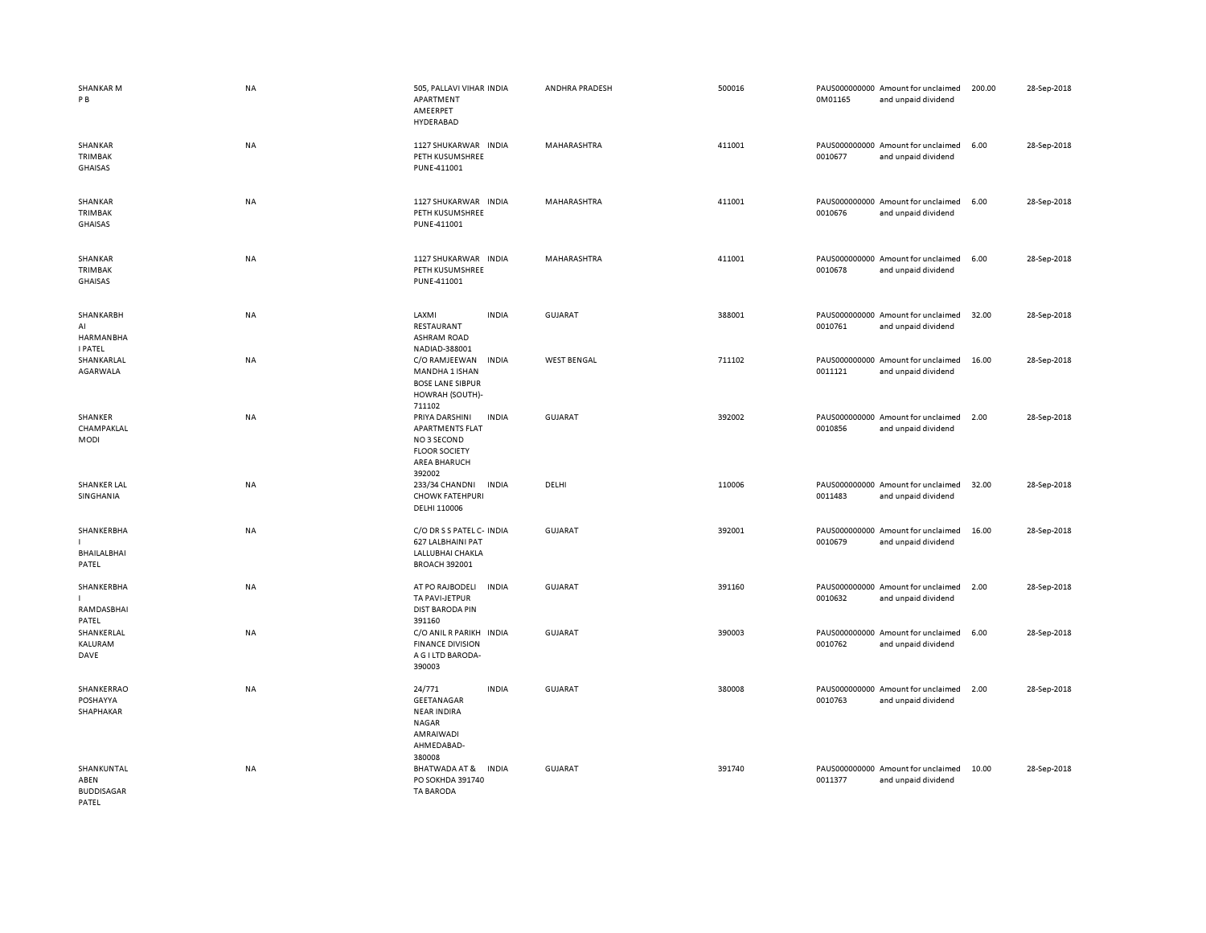| <b>SHANKAR M</b><br>P B                               | <b>NA</b> | 505, PALLAVI VIHAR INDIA<br>APARTMENT<br>AMEERPET<br>HYDERABAD                                                         | ANDHRA PRADESH     | 500016 | 0M01165 | PAUS000000000 Amount for unclaimed<br>and unpaid dividend | 200.00 | 28-Sep-2018 |
|-------------------------------------------------------|-----------|------------------------------------------------------------------------------------------------------------------------|--------------------|--------|---------|-----------------------------------------------------------|--------|-------------|
| SHANKAR<br>TRIMBAK<br><b>GHAISAS</b>                  | <b>NA</b> | 1127 SHUKARWAR INDIA<br>PETH KUSUMSHREE<br>PUNE-411001                                                                 | MAHARASHTRA        | 411001 | 0010677 | PAUS000000000 Amount for unclaimed<br>and unpaid dividend | 6.00   | 28-Sep-2018 |
| SHANKAR<br>TRIMBAK<br><b>GHAISAS</b>                  | <b>NA</b> | 1127 SHUKARWAR INDIA<br>PETH KUSUMSHREE<br>PUNE-411001                                                                 | MAHARASHTRA        | 411001 | 0010676 | PAUS000000000 Amount for unclaimed<br>and unpaid dividend | 6.00   | 28-Sep-2018 |
| SHANKAR<br>TRIMBAK<br><b>GHAISAS</b>                  | NA        | 1127 SHUKARWAR INDIA<br>PETH KUSUMSHREE<br>PUNE-411001                                                                 | MAHARASHTRA        | 411001 | 0010678 | PAUS000000000 Amount for unclaimed<br>and unpaid dividend | 6.00   | 28-Sep-2018 |
| SHANKARBH<br>AI<br><b>HARMANBHA</b><br><b>I PATEL</b> | NA        | LAXMI<br><b>INDIA</b><br>RESTAURANT<br><b>ASHRAM ROAD</b><br>NADIAD-388001                                             | <b>GUJARAT</b>     | 388001 | 0010761 | PAUS000000000 Amount for unclaimed<br>and unpaid dividend | 32.00  | 28-Sep-2018 |
| SHANKARLAL<br>AGARWALA                                | <b>NA</b> | C/O RAMJEEWAN<br><b>INDIA</b><br>MANDHA 1 ISHAN<br><b>BOSE LANE SIBPUR</b><br>HOWRAH (SOUTH)-<br>711102                | <b>WEST BENGAL</b> | 711102 | 0011121 | PAUS000000000 Amount for unclaimed<br>and unpaid dividend | 16.00  | 28-Sep-2018 |
| SHANKER<br>CHAMPAKLAL<br><b>MODI</b>                  | NA        | <b>INDIA</b><br>PRIYA DARSHINI<br><b>APARTMENTS FLAT</b><br>NO 3 SECOND<br><b>FLOOR SOCIETY</b><br><b>AREA BHARUCH</b> | <b>GUJARAT</b>     | 392002 | 0010856 | PAUS000000000 Amount for unclaimed<br>and unpaid dividend | 2.00   | 28-Sep-2018 |
| <b>SHANKER LAL</b><br>SINGHANIA                       | <b>NA</b> | 392002<br><b>INDIA</b><br>233/34 CHANDNI<br><b>CHOWK FATEHPURI</b><br>DELHI 110006                                     | DELHI              | 110006 | 0011483 | PAUS000000000 Amount for unclaimed<br>and unpaid dividend | 32.00  | 28-Sep-2018 |
| SHANKERBHA<br>BHAILALBHAI<br>PATEL                    | <b>NA</b> | C/O DR S S PATEL C- INDIA<br>627 LALBHAINI PAT<br>LALLUBHAI CHAKLA<br><b>BROACH 392001</b>                             | <b>GUJARAT</b>     | 392001 | 0010679 | PAUS000000000 Amount for unclaimed<br>and unpaid dividend | 16.00  | 28-Sep-2018 |
| SHANKERBHA<br>RAMDASBHAI<br>PATEL                     | NA        | AT PO RAJBODELI<br><b>INDIA</b><br>TA PAVI-JETPUR<br><b>DIST BARODA PIN</b><br>391160                                  | <b>GUJARAT</b>     | 391160 | 0010632 | PAUS000000000 Amount for unclaimed<br>and unpaid dividend | 2.00   | 28-Sep-2018 |
| SHANKERLAL<br>KALURAM<br>DAVE                         | <b>NA</b> | C/O ANIL R PARIKH<br><b>INDIA</b><br><b>FINANCE DIVISION</b><br>A G I LTD BARODA-<br>390003                            | <b>GUJARAT</b>     | 390003 | 0010762 | PAUS000000000 Amount for unclaimed<br>and unpaid dividend | 6.00   | 28-Sep-2018 |
| SHANKERRAO<br>POSHAYYA<br>SHAPHAKAR                   | NA        | 24/771<br><b>INDIA</b><br>GEETANAGAR<br><b>NEAR INDIRA</b><br><b>NAGAR</b><br>AMRAIWADI<br>AHMEDABAD-<br>380008        | <b>GUJARAT</b>     | 380008 | 0010763 | PAUS000000000 Amount for unclaimed<br>and unpaid dividend | 2.00   | 28-Sep-2018 |
| SHANKUNTAL<br>ABEN<br><b>BUDDISAGAR</b><br>PATEL      | NA        | BHATWADA AT &<br><b>INDIA</b><br>PO SOKHDA 391740<br><b>TA BARODA</b>                                                  | GUJARAT            | 391740 | 0011377 | PAUS000000000 Amount for unclaimed<br>and unpaid dividend | 10.00  | 28-Sep-2018 |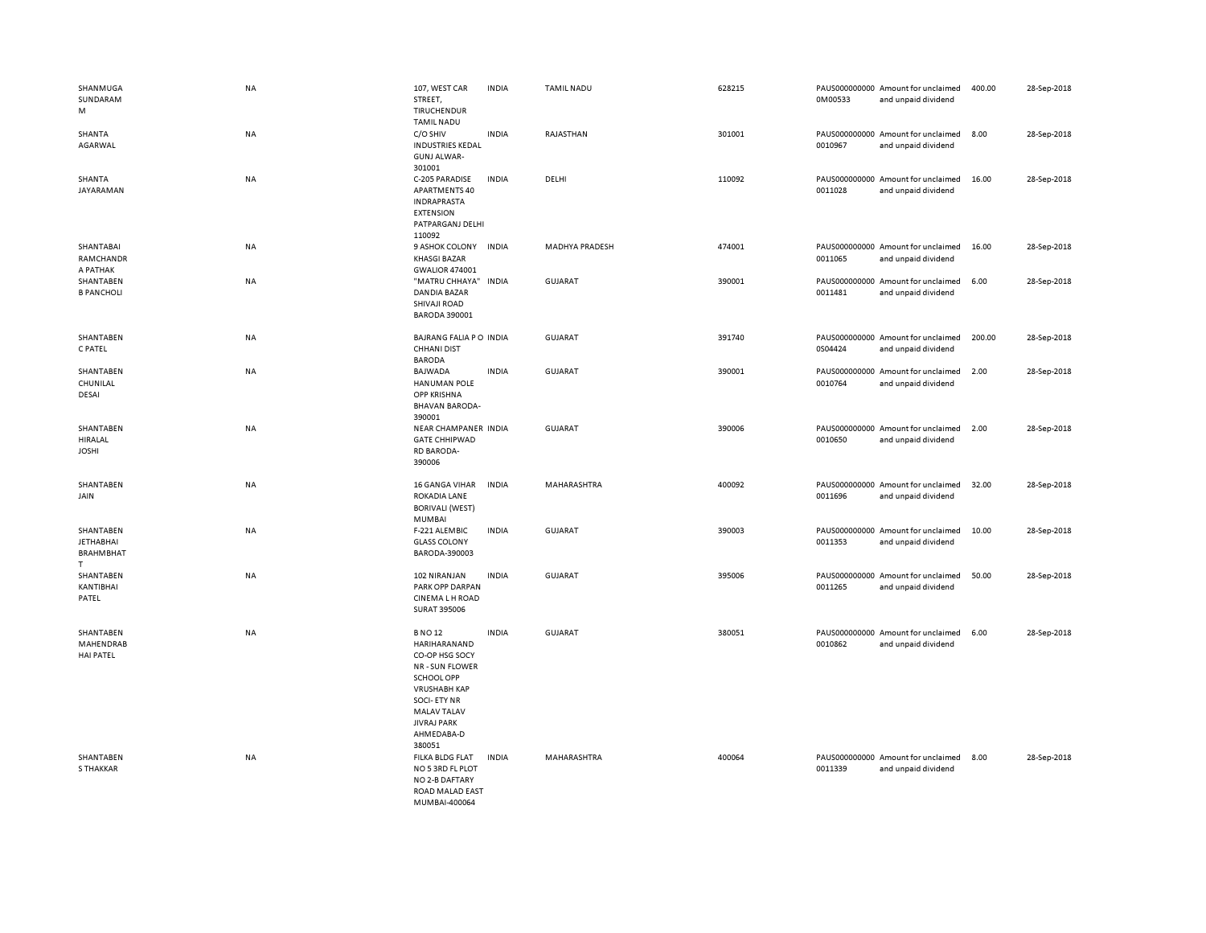| SHANMUGA<br>SUNDARAM<br>M                               | NA        | 107, WEST CAR<br>STREET,<br>TIRUCHENDUR<br><b>TAMIL NADU</b>                                                                                                                                     | <b>INDIA</b> | <b>TAMIL NADU</b>     | 628215 | 0M00533 | PAUS000000000 Amount for unclaimed<br>and unpaid dividend | 400.00 | 28-Sep-2018 |
|---------------------------------------------------------|-----------|--------------------------------------------------------------------------------------------------------------------------------------------------------------------------------------------------|--------------|-----------------------|--------|---------|-----------------------------------------------------------|--------|-------------|
| SHANTA<br>AGARWAL                                       | NA        | C/O SHIV<br><b>INDUSTRIES KEDAL</b><br><b>GUNJ ALWAR-</b><br>301001                                                                                                                              | <b>INDIA</b> | RAJASTHAN             | 301001 | 0010967 | PAUS000000000 Amount for unclaimed<br>and unpaid dividend | 8.00   | 28-Sep-2018 |
| SHANTA<br>JAYARAMAN                                     | NA        | C-205 PARADISE<br><b>APARTMENTS 40</b><br><b>INDRAPRASTA</b><br><b>EXTENSION</b><br>PATPARGANJ DELHI<br>110092                                                                                   | <b>INDIA</b> | DELHI                 | 110092 | 0011028 | PAUS000000000 Amount for unclaimed<br>and unpaid dividend | 16.00  | 28-Sep-2018 |
| SHANTABAI<br>RAMCHANDR<br>A PATHAK                      | NA        | 9 ASHOK COLONY INDIA<br><b>KHASGI BAZAR</b><br><b>GWALIOR 474001</b>                                                                                                                             |              | <b>MADHYA PRADESH</b> | 474001 | 0011065 | PAUS000000000 Amount for unclaimed<br>and unpaid dividend | 16.00  | 28-Sep-2018 |
| SHANTABEN<br><b>B PANCHOLI</b>                          | NA        | "MATRU CHHAYA"<br><b>DANDIA BAZAR</b><br>SHIVAJI ROAD<br><b>BARODA 390001</b>                                                                                                                    | <b>INDIA</b> | GUJARAT               | 390001 | 0011481 | PAUS000000000 Amount for unclaimed<br>and unpaid dividend | 6.00   | 28-Sep-2018 |
| SHANTABEN<br>C PATEL                                    | NA        | BAJRANG FALIA PO INDIA<br><b>CHHANI DIST</b><br><b>BARODA</b>                                                                                                                                    |              | GUJARAT               | 391740 | 0S04424 | PAUS000000000 Amount for unclaimed<br>and unpaid dividend | 200.00 | 28-Sep-2018 |
| SHANTABEN<br>CHUNILAL<br><b>DESAI</b>                   | NA        | <b>BAJWADA</b><br><b>HANUMAN POLE</b><br><b>OPP KRISHNA</b><br><b>BHAVAN BARODA-</b><br>390001                                                                                                   | <b>INDIA</b> | <b>GUJARAT</b>        | 390001 | 0010764 | PAUS000000000 Amount for unclaimed<br>and unpaid dividend | 2.00   | 28-Sep-2018 |
| SHANTABEN<br><b>HIRALAL</b><br><b>JOSHI</b>             | <b>NA</b> | NEAR CHAMPANER INDIA<br><b>GATE CHHIPWAD</b><br><b>RD BARODA-</b><br>390006                                                                                                                      |              | <b>GUJARAT</b>        | 390006 | 0010650 | PAUS000000000 Amount for unclaimed<br>and unpaid dividend | 2.00   | 28-Sep-2018 |
| SHANTABEN<br>JAIN                                       | NA        | 16 GANGA VIHAR<br>ROKADIA LANE<br><b>BORIVALI (WEST)</b><br>MUMBAI                                                                                                                               | <b>INDIA</b> | MAHARASHTRA           | 400092 | 0011696 | PAUS000000000 Amount for unclaimed<br>and unpaid dividend | 32.00  | 28-Sep-2018 |
| SHANTABEN<br><b>JETHABHAI</b><br><b>BRAHMBHAT</b><br>T. | NA        | F-221 ALEMBIC<br><b>GLASS COLONY</b><br>BARODA-390003                                                                                                                                            | <b>INDIA</b> | GUJARAT               | 390003 | 0011353 | PAUS000000000 Amount for unclaimed<br>and unpaid dividend | 10.00  | 28-Sep-2018 |
| SHANTABEN<br>KANTIBHAI<br>PATEL                         | NA        | 102 NIRANJAN<br>PARK OPP DARPAN<br><b>CINEMALH ROAD</b><br>SURAT 395006                                                                                                                          | <b>INDIA</b> | <b>GUJARAT</b>        | 395006 | 0011265 | PAUS000000000 Amount for unclaimed<br>and unpaid dividend | 50.00  | 28-Sep-2018 |
| SHANTABEN<br>MAHENDRAB<br><b>HAI PATEL</b>              | <b>NA</b> | <b>BNO12</b><br>HARIHARANAND<br>CO-OP HSG SOCY<br>NR - SUN FLOWER<br>SCHOOL OPP<br><b>VRUSHABH KAP</b><br><b>SOCI-ETY NR</b><br><b>MALAV TALAV</b><br><b>JIVRAJ PARK</b><br>AHMEDABA-D<br>380051 | <b>INDIA</b> | <b>GUJARAT</b>        | 380051 | 0010862 | PAUS000000000 Amount for unclaimed<br>and unpaid dividend | 6.00   | 28-Sep-2018 |
| SHANTABEN<br><b>S THAKKAR</b>                           | NA        | FILKA BLDG FLAT<br>NO 5 3RD FL PLOT<br>NO 2-B DAFTARY<br>ROAD MALAD EAST<br>MUMBAI-400064                                                                                                        | <b>INDIA</b> | MAHARASHTRA           | 400064 | 0011339 | PAUS000000000 Amount for unclaimed<br>and unpaid dividend | 8.00   | 28-Sep-2018 |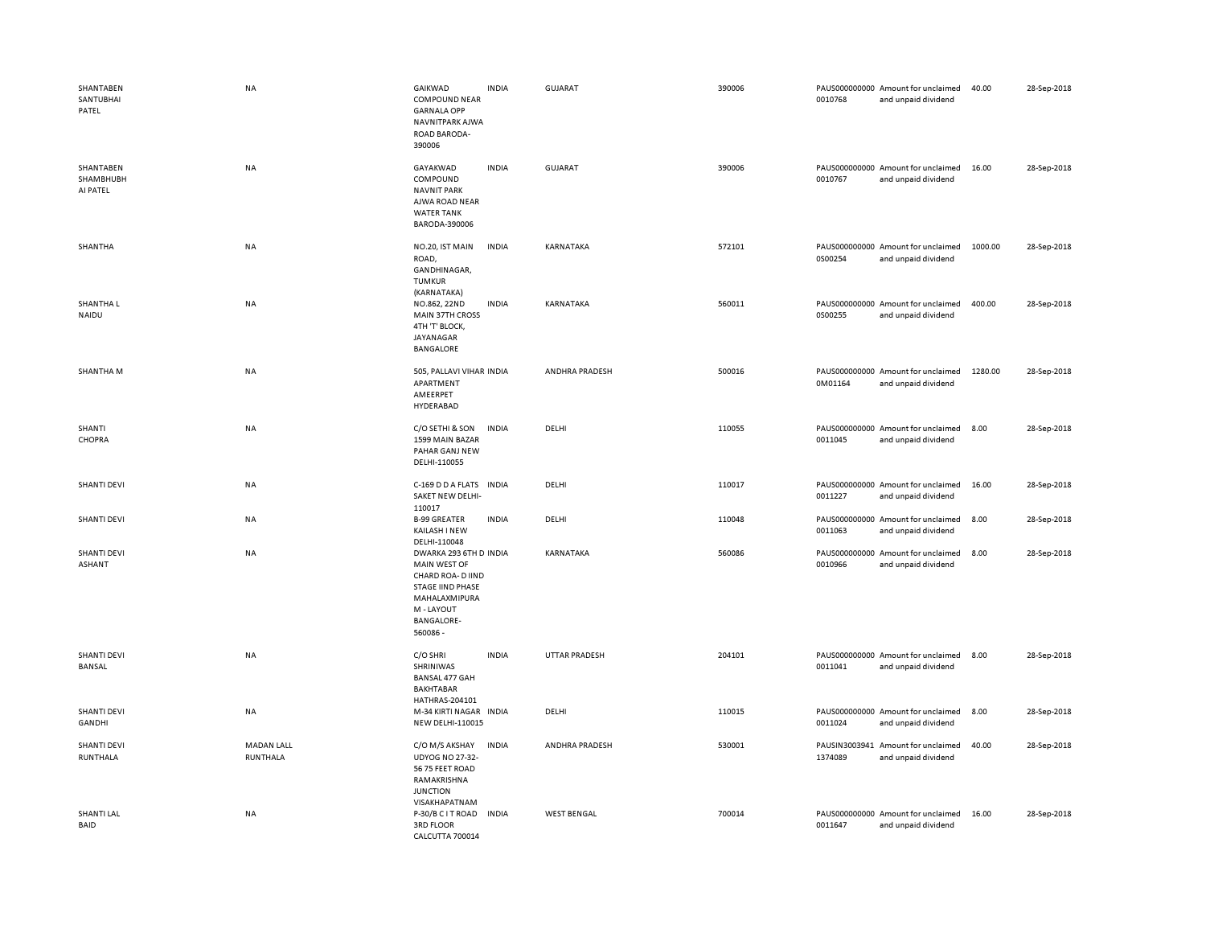| SHANTABEN<br>SANTUBHAI<br>PATEL    | NA                            | GAIKWAD<br><b>COMPOUND NEAR</b><br><b>GARNALA OPP</b><br>NAVNITPARK AJWA<br>ROAD BARODA-<br>390006                                                    | <b>INDIA</b> | GUJARAT            | 390006 | 0010768 | PAUS000000000 Amount for unclaimed<br>and unpaid dividend | 40.00   | 28-Sep-2018 |
|------------------------------------|-------------------------------|-------------------------------------------------------------------------------------------------------------------------------------------------------|--------------|--------------------|--------|---------|-----------------------------------------------------------|---------|-------------|
| SHANTABEN<br>SHAMBHUBH<br>AI PATEL | NA                            | GAYAKWAD<br>COMPOUND<br><b>NAVNIT PARK</b><br>AJWA ROAD NEAR<br><b>WATER TANK</b><br>BARODA-390006                                                    | <b>INDIA</b> | <b>GUJARAT</b>     | 390006 | 0010767 | PAUS000000000 Amount for unclaimed<br>and unpaid dividend | 16.00   | 28-Sep-2018 |
| SHANTHA                            | NA                            | NO.20, IST MAIN<br>ROAD,<br>GANDHINAGAR,<br>TUMKUR<br>(KARNATAKA)                                                                                     | <b>INDIA</b> | KARNATAKA          | 572101 | 0S00254 | PAUS000000000 Amount for unclaimed<br>and unpaid dividend | 1000.00 | 28-Sep-2018 |
| SHANTHA L<br>NAIDU                 | NA                            | NO.862, 22ND<br>MAIN 37TH CROSS<br>4TH 'T' BLOCK,<br>JAYANAGAR<br><b>BANGALORE</b>                                                                    | <b>INDIA</b> | KARNATAKA          | 560011 | 0S00255 | PAUS000000000 Amount for unclaimed<br>and unpaid dividend | 400.00  | 28-Sep-2018 |
| <b>SHANTHAM</b>                    | NA                            | 505, PALLAVI VIHAR INDIA<br>APARTMENT<br>AMEERPET<br>HYDERABAD                                                                                        |              | ANDHRA PRADESH     | 500016 | 0M01164 | PAUS000000000 Amount for unclaimed<br>and unpaid dividend | 1280.00 | 28-Sep-2018 |
| SHANTI<br>CHOPRA                   | <b>NA</b>                     | C/O SETHI & SON<br>1599 MAIN BAZAR<br>PAHAR GANJ NEW<br>DELHI-110055                                                                                  | <b>INDIA</b> | DELHI              | 110055 | 0011045 | PAUS000000000 Amount for unclaimed<br>and unpaid dividend | 8.00    | 28-Sep-2018 |
| <b>SHANTI DEVI</b>                 | <b>NA</b>                     | C-169 D D A FLATS<br>SAKET NEW DELHI-<br>110017                                                                                                       | <b>INDIA</b> | DELHI              | 110017 | 0011227 | PAUS000000000 Amount for unclaimed<br>and unpaid dividend | 16.00   | 28-Sep-2018 |
| <b>SHANTI DEVI</b>                 | NA                            | <b>B-99 GREATER</b><br>KAILASH I NEW<br>DELHI-110048                                                                                                  | <b>INDIA</b> | DELHI              | 110048 | 0011063 | PAUS000000000 Amount for unclaimed<br>and unpaid dividend | 8.00    | 28-Sep-2018 |
| <b>SHANTI DEVI</b><br>ASHANT       | NA                            | DWARKA 293 6TH D INDIA<br>MAIN WEST OF<br>CHARD ROA- D IIND<br><b>STAGE IIND PHASE</b><br>MAHALAXMIPURA<br>M - LAYOUT<br><b>BANGALORE-</b><br>560086- |              | KARNATAKA          | 560086 | 0010966 | PAUS000000000 Amount for unclaimed<br>and unpaid dividend | 8.00    | 28-Sep-2018 |
| <b>SHANTI DEVI</b><br>BANSAL       | <b>NA</b>                     | C/O SHRI<br>SHRINIWAS<br><b>BANSAL 477 GAH</b><br><b>BAKHTABAR</b><br>HATHRAS-204101                                                                  | <b>INDIA</b> | UTTAR PRADESH      | 204101 | 0011041 | PAUS000000000 Amount for unclaimed<br>and unpaid dividend | 8.00    | 28-Sep-2018 |
| <b>SHANTI DEVI</b><br>GANDHI       | NA                            | M-34 KIRTI NAGAR INDIA<br>NEW DELHI-110015                                                                                                            |              | DELHI              | 110015 | 0011024 | PAUS000000000 Amount for unclaimed<br>and unpaid dividend | 8.00    | 28-Sep-2018 |
| <b>SHANTI DEVI</b><br>RUNTHALA     | <b>MADAN LALL</b><br>RUNTHALA | C/O M/S AKSHAY<br><b>UDYOG NO 27-32-</b><br>56 75 FEET ROAD<br>RAMAKRISHNA<br><b>JUNCTION</b><br>VISAKHAPATNAM                                        | <b>INDIA</b> | ANDHRA PRADESH     | 530001 | 1374089 | PAUSIN3003941 Amount for unclaimed<br>and unpaid dividend | 40.00   | 28-Sep-2018 |
| <b>SHANTI LAL</b><br>BAID          | NA                            | P-30/B C I T ROAD IN DIA<br><b>3RD FLOOR</b><br>CALCUTTA 700014                                                                                       |              | <b>WEST BENGAL</b> | 700014 | 0011647 | PAUS000000000 Amount for unclaimed<br>and unpaid dividend | 16.00   | 28-Sep-2018 |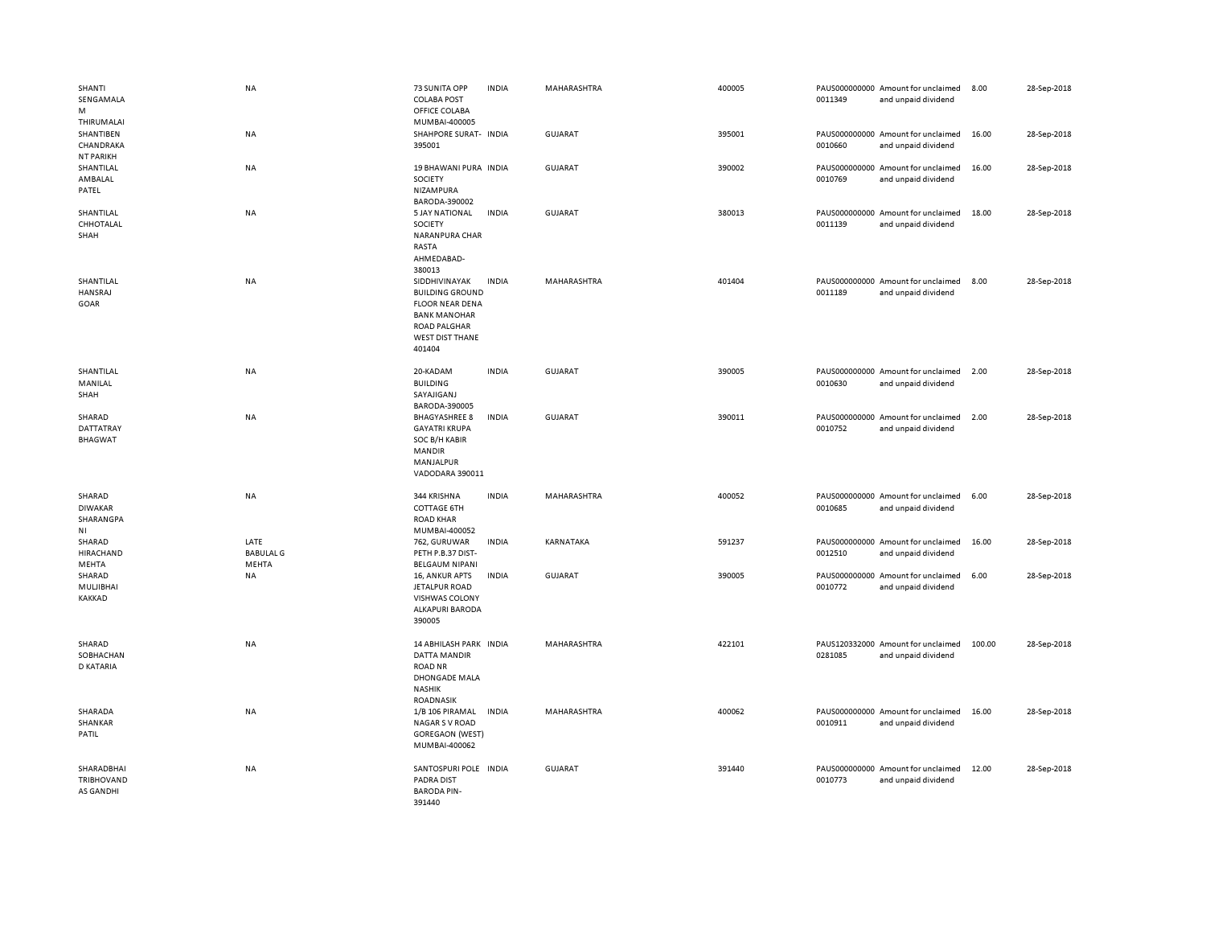| SHANTI<br>SENGAMALA<br>M<br>THIRUMALAI                  | NA                                | 73 SUNITA OPP<br><b>COLABA POST</b><br>OFFICE COLABA<br>MUMBAI-400005                                                                               | <b>INDIA</b> | MAHARASHTRA    | 400005 | 0011349 | PAUS000000000 Amount for unclaimed<br>and unpaid dividend | 8.00   | 28-Sep-2018 |
|---------------------------------------------------------|-----------------------------------|-----------------------------------------------------------------------------------------------------------------------------------------------------|--------------|----------------|--------|---------|-----------------------------------------------------------|--------|-------------|
| SHANTIBEN<br>CHANDRAKA<br><b>NT PARIKH</b>              | NA                                | SHAHPORE SURAT- INDIA<br>395001                                                                                                                     |              | <b>GUJARAT</b> | 395001 | 0010660 | PAUS000000000 Amount for unclaimed<br>and unpaid dividend | 16.00  | 28-Sep-2018 |
| SHANTILAL<br>AMBALAL<br>PATEL                           | NA                                | 19 BHAWANI PURA INDIA<br>SOCIETY<br>NIZAMPURA<br>BARODA-390002                                                                                      |              | <b>GUJARAT</b> | 390002 | 0010769 | PAUS000000000 Amount for unclaimed<br>and unpaid dividend | 16.00  | 28-Sep-2018 |
| SHANTILAL<br>CHHOTALAL<br>SHAH                          | NA                                | 5 JAY NATIONAL<br>SOCIETY<br>NARANPURA CHAR<br>RASTA<br>AHMEDABAD-<br>380013                                                                        | <b>INDIA</b> | <b>GUJARAT</b> | 380013 | 0011139 | PAUS000000000 Amount for unclaimed<br>and unpaid dividend | 18.00  | 28-Sep-2018 |
| SHANTILAL<br>HANSRAJ<br>GOAR                            | NA                                | SIDDHIVINAYAK<br><b>BUILDING GROUND</b><br><b>FLOOR NEAR DENA</b><br><b>BANK MANOHAR</b><br><b>ROAD PALGHAR</b><br><b>WEST DIST THANE</b><br>401404 | <b>INDIA</b> | MAHARASHTRA    | 401404 | 0011189 | PAUS000000000 Amount for unclaimed<br>and unpaid dividend | 8.00   | 28-Sep-2018 |
| SHANTILAL<br>MANILAL<br>SHAH                            | <b>NA</b>                         | 20-KADAM<br><b>BUILDING</b><br>SAYAJIGANJ<br>BARODA-390005                                                                                          | <b>INDIA</b> | <b>GUJARAT</b> | 390005 | 0010630 | PAUS000000000 Amount for unclaimed<br>and unpaid dividend | 2.00   | 28-Sep-2018 |
| SHARAD<br>DATTATRAY<br><b>BHAGWAT</b>                   | NA                                | <b>BHAGYASHREE 8</b><br><b>GAYATRI KRUPA</b><br>SOC B/H KABIR<br><b>MANDIR</b><br>MANJALPUR<br>VADODARA 390011                                      | <b>INDIA</b> | <b>GUJARAT</b> | 390011 | 0010752 | PAUS000000000 Amount for unclaimed<br>and unpaid dividend | 2.00   | 28-Sep-2018 |
| SHARAD<br><b>DIWAKAR</b><br>SHARANGPA<br>N <sub>1</sub> | <b>NA</b>                         | 344 KRISHNA<br><b>COTTAGE 6TH</b><br><b>ROAD KHAR</b><br>MUMBAI-400052                                                                              | <b>INDIA</b> | MAHARASHTRA    | 400052 | 0010685 | PAUS000000000 Amount for unclaimed<br>and unpaid dividend | 6.00   | 28-Sep-2018 |
| SHARAD<br>HIRACHAND<br>MEHTA                            | LATE<br><b>BABULAL G</b><br>MEHTA | 762, GURUWAR<br>PETH P.B.37 DIST-<br><b>BELGAUM NIPANI</b>                                                                                          | <b>INDIA</b> | KARNATAKA      | 591237 | 0012510 | PAUS000000000 Amount for unclaimed<br>and unpaid dividend | 16.00  | 28-Sep-2018 |
| SHARAD<br>MULJIBHAI<br>KAKKAD                           | NA                                | 16, ANKUR APTS<br>JETALPUR ROAD<br>VISHWAS COLONY<br><b>ALKAPURI BARODA</b><br>390005                                                               | <b>INDIA</b> | <b>GUJARAT</b> | 390005 | 0010772 | PAUS000000000 Amount for unclaimed<br>and unpaid dividend | 6.00   | 28-Sep-2018 |
| SHARAD<br>SOBHACHAN<br>D KATARIA                        | <b>NA</b>                         | 14 ABHILASH PARK INDIA<br>DATTA MANDIR<br><b>ROAD NR</b><br><b>DHONGADE MALA</b><br><b>NASHIK</b><br>ROADNASIK                                      |              | MAHARASHTRA    | 422101 | 0281085 | PAUS120332000 Amount for unclaimed<br>and unpaid dividend | 100.00 | 28-Sep-2018 |
| SHARADA<br>SHANKAR<br>PATIL                             | NA                                | 1/B 106 PIRAMAL INDIA<br><b>NAGAR S V ROAD</b><br><b>GOREGAON (WEST)</b><br>MUMBAI-400062                                                           |              | MAHARASHTRA    | 400062 | 0010911 | PAUS000000000 Amount for unclaimed<br>and unpaid dividend | 16.00  | 28-Sep-2018 |
| SHARADBHAI<br>TRIBHOVAND<br>AS GANDHI                   | NA                                | SANTOSPURI POLE INDIA<br><b>PADRA DIST</b><br><b>BARODA PIN-</b><br>391440                                                                          |              | <b>GUJARAT</b> | 391440 | 0010773 | PAUS000000000 Amount for unclaimed<br>and unpaid dividend | 12.00  | 28-Sep-2018 |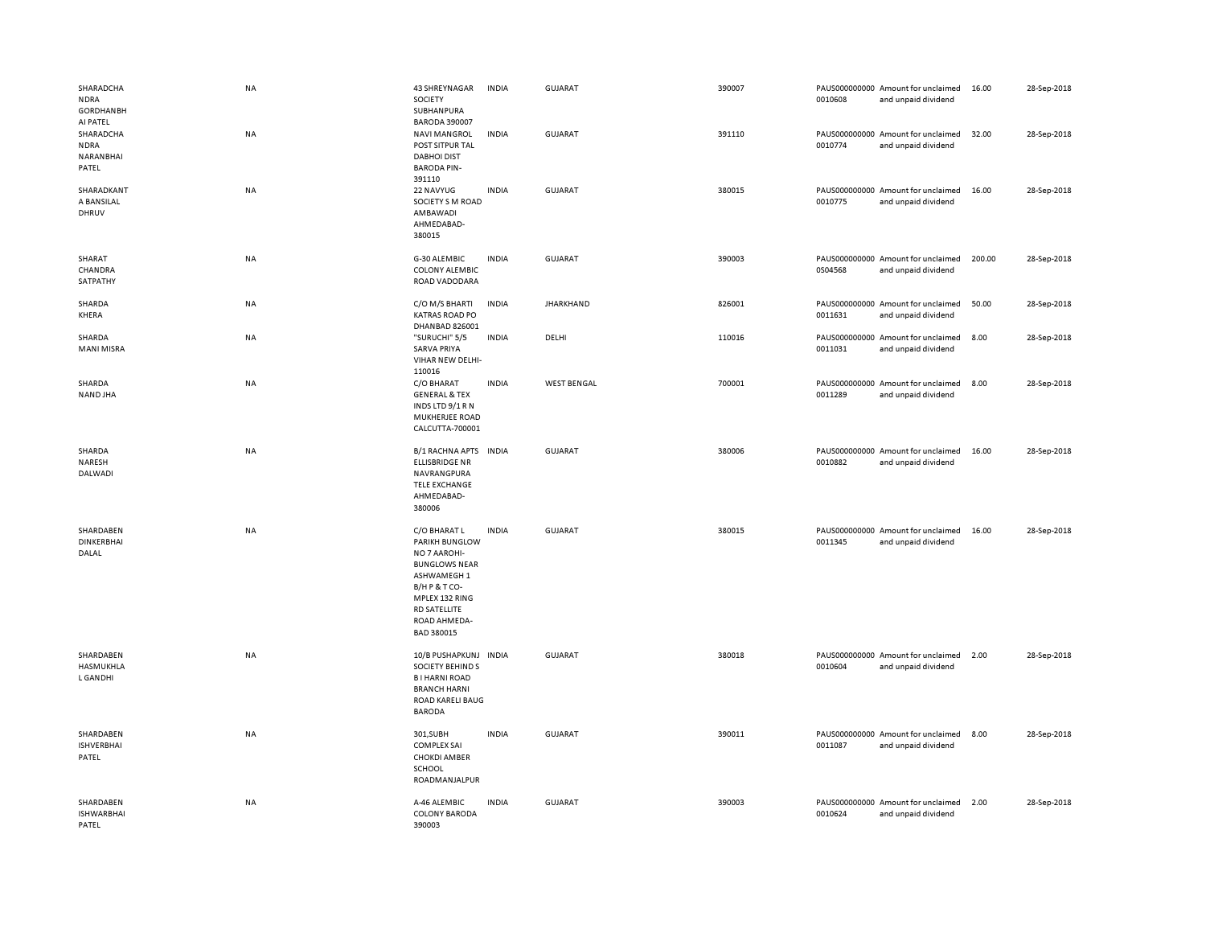| SHARADCHA<br><b>NDRA</b><br><b>GORDHANBH</b><br>AI PATEL | NA        | 43 SHREYNAGAR<br>SOCIETY<br>SUBHANPURA<br><b>BARODA 390007</b>                                                                                                                   | <b>INDIA</b> | <b>GUJARAT</b>     | 390007 | 0010608 | PAUS000000000 Amount for unclaimed<br>and unpaid dividend | 16.00  | 28-Sep-2018 |
|----------------------------------------------------------|-----------|----------------------------------------------------------------------------------------------------------------------------------------------------------------------------------|--------------|--------------------|--------|---------|-----------------------------------------------------------|--------|-------------|
| SHARADCHA<br><b>NDRA</b><br>NARANBHAI<br>PATEL           | <b>NA</b> | <b>NAVI MANGROL</b><br>POST SITPUR TAL<br><b>DABHOI DIST</b><br><b>BARODA PIN-</b><br>391110                                                                                     | <b>INDIA</b> | GUJARAT            | 391110 | 0010774 | PAUS000000000 Amount for unclaimed<br>and unpaid dividend | 32.00  | 28-Sep-2018 |
| SHARADKANT<br>A BANSILAL<br>DHRUV                        | NA        | 22 NAVYUG<br>SOCIETY S M ROAD<br>AMBAWADI<br>AHMEDABAD-<br>380015                                                                                                                | <b>INDIA</b> | <b>GUJARAT</b>     | 380015 | 0010775 | PAUS000000000 Amount for unclaimed<br>and unpaid dividend | 16.00  | 28-Sep-2018 |
| SHARAT<br>CHANDRA<br>SATPATHY                            | NA        | G-30 ALEMBIC<br><b>COLONY ALEMBIC</b><br>ROAD VADODARA                                                                                                                           | <b>INDIA</b> | <b>GUJARAT</b>     | 390003 | 0S04568 | PAUS000000000 Amount for unclaimed<br>and unpaid dividend | 200.00 | 28-Sep-2018 |
| SHARDA<br>KHERA                                          | NA        | C/O M/S BHARTI<br><b>KATRAS ROAD PO</b><br>DHANBAD 826001                                                                                                                        | <b>INDIA</b> | <b>JHARKHAND</b>   | 826001 | 0011631 | PAUS000000000 Amount for unclaimed<br>and unpaid dividend | 50.00  | 28-Sep-2018 |
| SHARDA<br><b>MANI MISRA</b>                              | NA        | "SURUCHI" 5/5<br><b>SARVA PRIYA</b><br>VIHAR NEW DELHI-<br>110016                                                                                                                | <b>INDIA</b> | DELHI              | 110016 | 0011031 | PAUS000000000 Amount for unclaimed<br>and unpaid dividend | 8.00   | 28-Sep-2018 |
| SHARDA<br>NAND JHA                                       | <b>NA</b> | C/O BHARAT<br><b>GENERAL &amp; TEX</b><br>INDS LTD 9/1 R N<br>MUKHERJEE ROAD<br>CALCUTTA-700001                                                                                  | <b>INDIA</b> | <b>WEST BENGAL</b> | 700001 | 0011289 | PAUS000000000 Amount for unclaimed<br>and unpaid dividend | 8.00   | 28-Sep-2018 |
| SHARDA<br>NARESH<br>DALWADI                              | NA        | B/1 RACHNA APTS<br><b>ELLISBRIDGE NR</b><br>NAVRANGPURA<br><b>TELE EXCHANGE</b><br>AHMEDABAD-<br>380006                                                                          | <b>INDIA</b> | <b>GUJARAT</b>     | 380006 | 0010882 | PAUS000000000 Amount for unclaimed<br>and unpaid dividend | 16.00  | 28-Sep-2018 |
| SHARDABEN<br><b>DINKERBHAI</b><br>DALAL                  | NA        | C/O BHARAT L<br><b>PARIKH BUNGLOW</b><br>NO 7 AAROHI-<br><b>BUNGLOWS NEAR</b><br>ASHWAMEGH 1<br>B/HP&TCO-<br>MPLEX 132 RING<br><b>RD SATELLITE</b><br>ROAD AHMEDA-<br>BAD 380015 | <b>INDIA</b> | <b>GUJARAT</b>     | 380015 | 0011345 | PAUS000000000 Amount for unclaimed<br>and unpaid dividend | 16.00  | 28-Sep-2018 |
| SHARDABEN<br>HASMUKHLA<br>L GANDHI                       | NA        | 10/B PUSHAPKUNJ INDIA<br>SOCIETY BEHIND S<br><b>BI HARNI ROAD</b><br><b>BRANCH HARNI</b><br><b>ROAD KARELI BAUG</b><br><b>BARODA</b>                                             |              | GUJARAT            | 380018 | 0010604 | PAUS000000000 Amount for unclaimed<br>and unpaid dividend | 2.00   | 28-Sep-2018 |
| SHARDABEN<br><b>ISHVERBHAI</b><br>PATEL                  | NA        | 301,SUBH<br><b>COMPLEX SAI</b><br><b>CHOKDI AMBER</b><br>SCHOOL<br>ROADMANJALPUR                                                                                                 | <b>INDIA</b> | <b>GUJARAT</b>     | 390011 | 0011087 | PAUS000000000 Amount for unclaimed<br>and unpaid dividend | 8.00   | 28-Sep-2018 |
| SHARDABEN<br><b>ISHWARBHAI</b><br>PATEL                  | NA        | A-46 ALEMBIC<br><b>COLONY BARODA</b><br>390003                                                                                                                                   | <b>INDIA</b> | <b>GUJARAT</b>     | 390003 | 0010624 | PAUS000000000 Amount for unclaimed<br>and unpaid dividend | 2.00   | 28-Sep-2018 |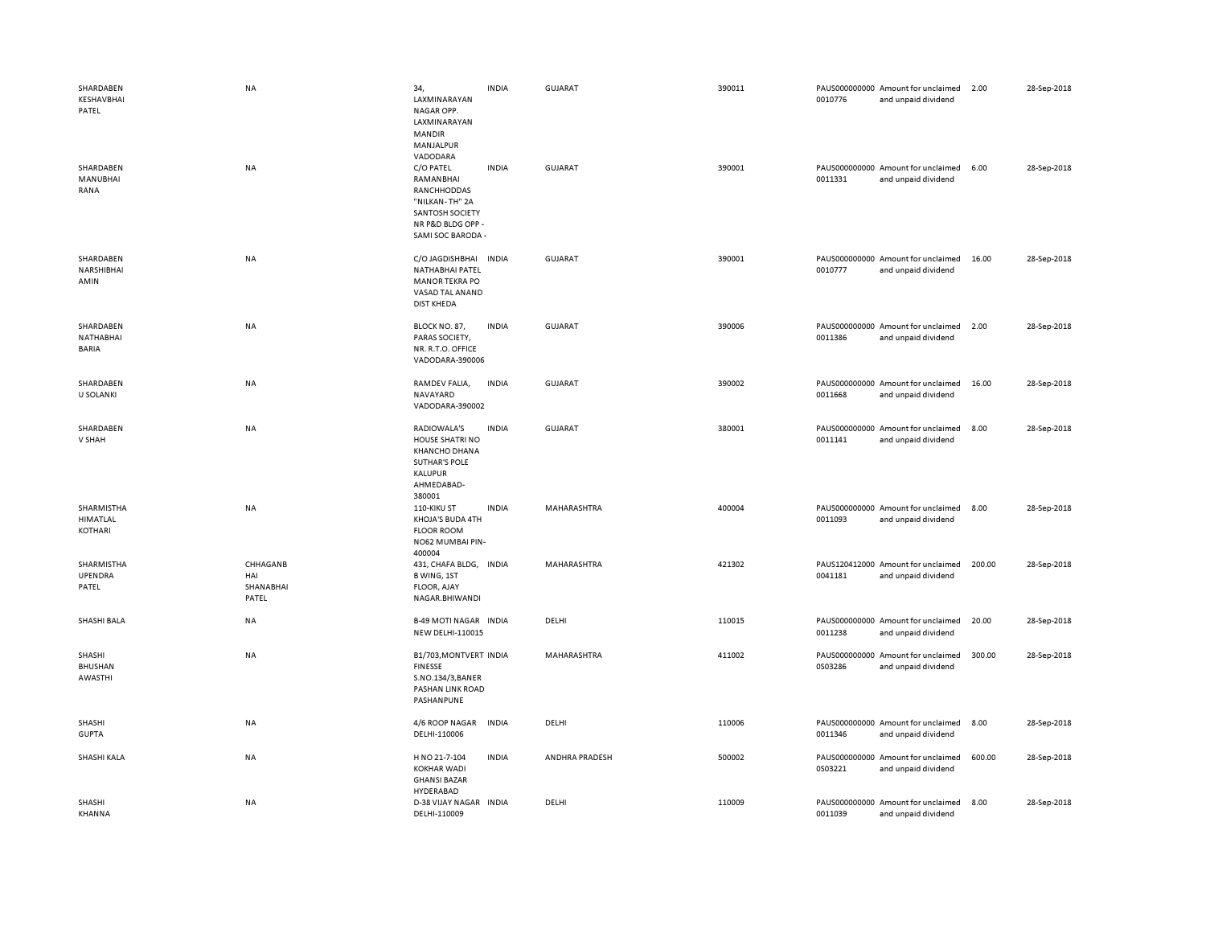| SHARDABEN<br>KESHAVBHAI<br>PATEL      | <b>NA</b>                             | 34,<br>LAXMINARAYAN<br>NAGAR OPP.<br>LAXMINARAYAN<br><b>MANDIR</b><br>MANJALPUR<br>VADODARA                          | <b>INDIA</b> | GUJARAT        | 390011 | 0010776 | PAUS000000000 Amount for unclaimed<br>and unpaid dividend | 2.00   | 28-Sep-2018 |
|---------------------------------------|---------------------------------------|----------------------------------------------------------------------------------------------------------------------|--------------|----------------|--------|---------|-----------------------------------------------------------|--------|-------------|
| SHARDABEN<br>MANUBHAI<br>RANA         | NA                                    | C/O PATEL<br>RAMANBHAI<br>RANCHHODDAS<br>"NILKAN-TH" 2A<br>SANTOSH SOCIETY<br>NR P&D BLDG OPP -<br>SAMI SOC BARODA - | <b>INDIA</b> | <b>GUJARAT</b> | 390001 | 0011331 | PAUS000000000 Amount for unclaimed<br>and unpaid dividend | 6.00   | 28-Sep-2018 |
| SHARDABEN<br>NARSHIBHAI<br>AMIN       | NA                                    | C/O JAGDISHBHAI INDIA<br>NATHABHAI PATEL<br><b>MANOR TEKRA PO</b><br>VASAD TAL ANAND<br><b>DIST KHEDA</b>            |              | <b>GUJARAT</b> | 390001 | 0010777 | PAUS000000000 Amount for unclaimed<br>and unpaid dividend | 16.00  | 28-Sep-2018 |
| SHARDABEN<br>NATHABHAI<br>BARIA       | NA                                    | BLOCK NO. 87,<br>PARAS SOCIETY,<br>NR. R.T.O. OFFICE<br>VADODARA-390006                                              | <b>INDIA</b> | <b>GUJARAT</b> | 390006 | 0011386 | PAUS000000000 Amount for unclaimed<br>and unpaid dividend | 2.00   | 28-Sep-2018 |
| SHARDABEN<br><b>U SOLANKI</b>         | NA                                    | RAMDEV FALIA,<br>NAVAYARD<br>VADODARA-390002                                                                         | <b>INDIA</b> | <b>GUJARAT</b> | 390002 | 0011668 | PAUS000000000 Amount for unclaimed<br>and unpaid dividend | 16.00  | 28-Sep-2018 |
| SHARDABEN<br>V SHAH                   | NA                                    | RADIOWALA'S<br>HOUSE SHATRI NO<br><b>KHANCHO DHANA</b><br><b>SUTHAR'S POLE</b><br>KALUPUR<br>AHMEDABAD-<br>380001    | <b>INDIA</b> | <b>GUJARAT</b> | 380001 | 0011141 | PAUS000000000 Amount for unclaimed<br>and unpaid dividend | 8.00   | 28-Sep-2018 |
| SHARMISTHA<br>HIMATLAL<br>KOTHARI     | NA                                    | 110-KIKU ST<br>KHOJA'S BUDA 4TH<br><b>FLOOR ROOM</b><br>NO62 MUMBAI PIN-<br>400004                                   | <b>INDIA</b> | MAHARASHTRA    | 400004 | 0011093 | PAUS000000000 Amount for unclaimed<br>and unpaid dividend | 8.00   | 28-Sep-2018 |
| SHARMISTHA<br><b>UPENDRA</b><br>PATEL | CHHAGANB<br>HAI<br>SHANABHAI<br>PATEL | 431, CHAFA BLDG, INDIA<br>B WING, 1ST<br>FLOOR, AJAY<br>NAGAR.BHIWANDI                                               |              | MAHARASHTRA    | 421302 | 0041181 | PAUS120412000 Amount for unclaimed<br>and unpaid dividend | 200.00 | 28-Sep-2018 |
| SHASHI BALA                           | <b>NA</b>                             | <b>B-49 MOTI NAGAR INDIA</b><br>NEW DELHI-110015                                                                     |              | DELHI          | 110015 | 0011238 | PAUS000000000 Amount for unclaimed<br>and unpaid dividend | 20.00  | 28-Sep-2018 |
| SHASHI<br><b>BHUSHAN</b><br>AWASTHI   | <b>NA</b>                             | B1/703, MONTVERT INDIA<br><b>FINESSE</b><br>S.NO.134/3, BANER<br>PASHAN LINK ROAD<br>PASHANPUNE                      |              | MAHARASHTRA    | 411002 | 0S03286 | PAUS000000000 Amount for unclaimed<br>and unpaid dividend | 300.00 | 28-Sep-2018 |
| SHASHI<br><b>GUPTA</b>                | NA                                    | 4/6 ROOP NAGAR<br>DELHI-110006                                                                                       | <b>INDIA</b> | DELHI          | 110006 | 0011346 | PAUS000000000 Amount for unclaimed<br>and unpaid dividend | 8.00   | 28-Sep-2018 |
| SHASHI KALA                           | NA                                    | H NO 21-7-104<br><b>KOKHAR WADI</b><br><b>GHANSI BAZAR</b><br>HYDERABAD                                              | <b>INDIA</b> | ANDHRA PRADESH | 500002 | 0S03221 | PAUS000000000 Amount for unclaimed<br>and unpaid dividend | 600.00 | 28-Sep-2018 |
| SHASHI<br>KHANNA                      | NA                                    | D-38 VIJAY NAGAR INDIA<br>DELHI-110009                                                                               |              | DELHI          | 110009 | 0011039 | PAUS000000000 Amount for unclaimed<br>and unpaid dividend | 8.00   | 28-Sep-2018 |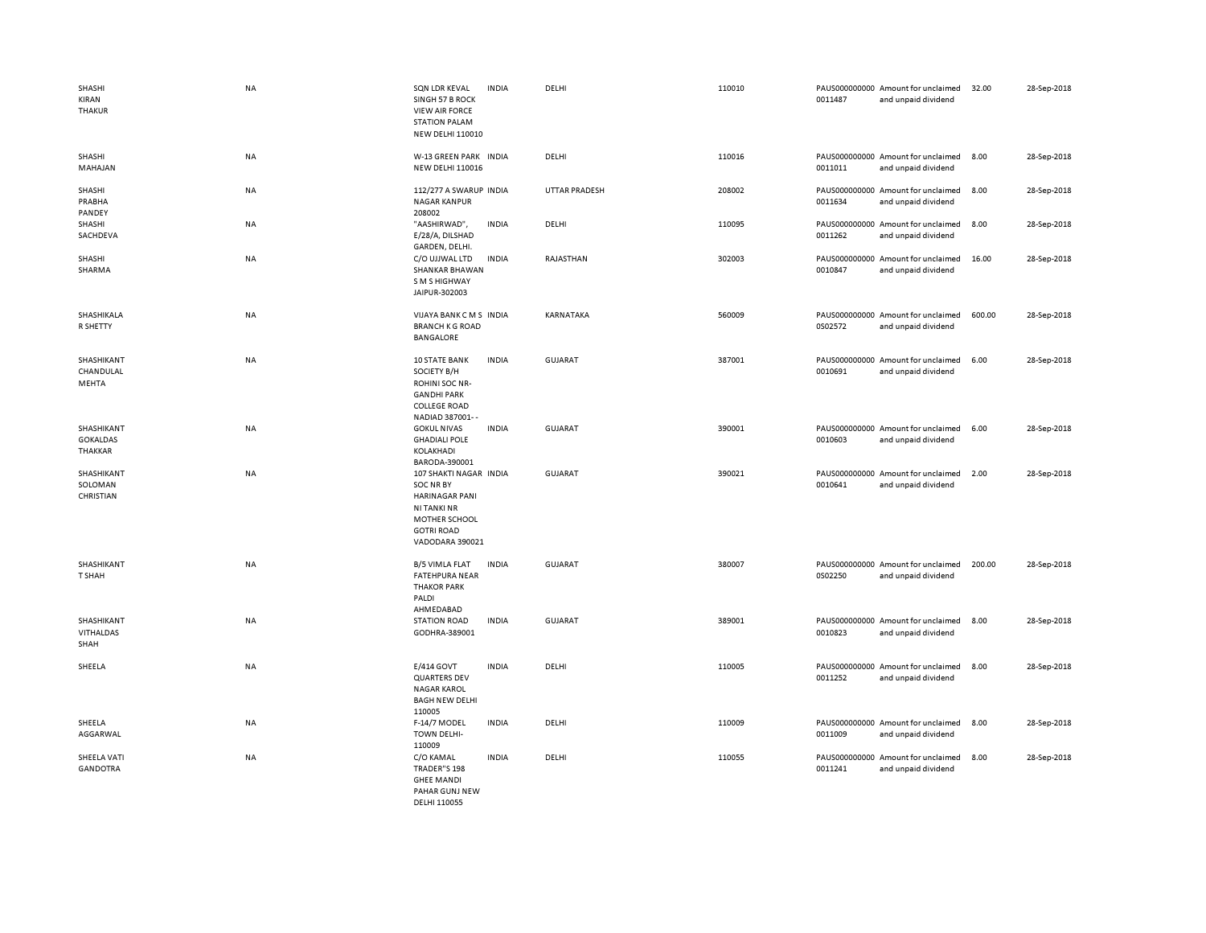| SHASHI<br>KIRAN<br><b>THAKUR</b>         | <b>NA</b> | SQN LDR KEVAL<br>SINGH 57 B ROCK<br><b>VIEW AIR FORCE</b><br><b>STATION PALAM</b><br><b>NEW DELHI 110010</b>                                | <b>INDIA</b> | DELHI                | 110010 | 0011487 | PAUS000000000 Amount for unclaimed<br>and unpaid dividend | 32.00  | 28-Sep-2018 |
|------------------------------------------|-----------|---------------------------------------------------------------------------------------------------------------------------------------------|--------------|----------------------|--------|---------|-----------------------------------------------------------|--------|-------------|
| SHASHI<br>MAHAJAN                        | NA        | W-13 GREEN PARK INDIA<br><b>NEW DELHI 110016</b>                                                                                            |              | DELHI                | 110016 | 0011011 | PAUS000000000 Amount for unclaimed<br>and unpaid dividend | 8.00   | 28-Sep-2018 |
| SHASHI<br>PRABHA<br>PANDEY               | <b>NA</b> | 112/277 A SWARUP INDIA<br><b>NAGAR KANPUR</b><br>208002                                                                                     |              | <b>UTTAR PRADESH</b> | 208002 | 0011634 | PAUS000000000 Amount for unclaimed<br>and unpaid dividend | 8.00   | 28-Sep-2018 |
| SHASHI<br>SACHDEVA                       | NA        | "AASHIRWAD",<br>E/28/A, DILSHAD<br>GARDEN, DELHI.                                                                                           | <b>INDIA</b> | DELHI                | 110095 | 0011262 | PAUS000000000 Amount for unclaimed<br>and unpaid dividend | 8.00   | 28-Sep-2018 |
| SHASHI<br>SHARMA                         | <b>NA</b> | C/O UJJWAL LTD<br>SHANKAR BHAWAN<br>S M S HIGHWAY<br>JAIPUR-302003                                                                          | <b>INDIA</b> | RAJASTHAN            | 302003 | 0010847 | PAUS000000000 Amount for unclaimed<br>and unpaid dividend | 16.00  | 28-Sep-2018 |
| SHASHIKALA<br>R SHETTY                   | NA        | VIJAYA BANK CMS INDIA<br><b>BRANCH K G ROAD</b><br><b>BANGALORE</b>                                                                         |              | KARNATAKA            | 560009 | 0S02572 | PAUS000000000 Amount for unclaimed<br>and unpaid dividend | 600.00 | 28-Sep-2018 |
| SHASHIKANT<br>CHANDULAL<br>MEHTA         | <b>NA</b> | <b>10 STATE BANK</b><br>SOCIETY B/H<br>ROHINI SOC NR-<br><b>GANDHI PARK</b><br><b>COLLEGE ROAD</b><br>NADIAD 387001--                       | <b>INDIA</b> | <b>GUJARAT</b>       | 387001 | 0010691 | PAUS000000000 Amount for unclaimed<br>and unpaid dividend | 6.00   | 28-Sep-2018 |
| SHASHIKANT<br><b>GOKALDAS</b><br>THAKKAR | <b>NA</b> | <b>GOKUL NIVAS</b><br><b>GHADIALI POLE</b><br>KOLAKHADI<br>BARODA-390001                                                                    | <b>INDIA</b> | <b>GUJARAT</b>       | 390001 | 0010603 | PAUS000000000 Amount for unclaimed<br>and unpaid dividend | 6.00   | 28-Sep-2018 |
| SHASHIKANT<br>SOLOMAN<br>CHRISTIAN       | NA        | 107 SHAKTI NAGAR INDIA<br>SOC NR BY<br><b>HARINAGAR PANI</b><br><b>NI TANKI NR</b><br>MOTHER SCHOOL<br><b>GOTRI ROAD</b><br>VADODARA 390021 |              | <b>GUJARAT</b>       | 390021 | 0010641 | PAUS000000000 Amount for unclaimed<br>and unpaid dividend | 2.00   | 28-Sep-2018 |
| SHASHIKANT<br>T SHAH                     | <b>NA</b> | <b>B/5 VIMLA FLAT</b><br><b>FATEHPURA NEAR</b><br><b>THAKOR PARK</b><br>PALDI<br>AHMEDABAD                                                  | <b>INDIA</b> | <b>GUJARAT</b>       | 380007 | 0S02250 | PAUS000000000 Amount for unclaimed<br>and unpaid dividend | 200.00 | 28-Sep-2018 |
| SHASHIKANT<br><b>VITHALDAS</b><br>SHAH   | NA        | <b>STATION ROAD</b><br>GODHRA-389001                                                                                                        | <b>INDIA</b> | <b>GUJARAT</b>       | 389001 | 0010823 | PAUS000000000 Amount for unclaimed<br>and unpaid dividend | 8.00   | 28-Sep-2018 |
| SHEELA                                   | <b>NA</b> | E/414 GOVT<br><b>QUARTERS DEV</b><br><b>NAGAR KAROL</b><br><b>BAGH NEW DELHI</b><br>110005                                                  | <b>INDIA</b> | DELHI                | 110005 | 0011252 | PAUS000000000 Amount for unclaimed<br>and unpaid dividend | 8.00   | 28-Sep-2018 |
| SHEELA<br>AGGARWAL                       | NA        | F-14/7 MODEL<br><b>TOWN DELHI-</b><br>110009                                                                                                | <b>INDIA</b> | DELHI                | 110009 | 0011009 | PAUS000000000 Amount for unclaimed<br>and unpaid dividend | 8.00   | 28-Sep-2018 |
| SHEELA VATI<br><b>GANDOTRA</b>           | NA        | C/O KAMAL<br>TRADER"S 198<br><b>GHEE MANDI</b><br>PAHAR GUNJ NEW<br>DELHI 110055                                                            | <b>INDIA</b> | DELHI                | 110055 | 0011241 | PAUS000000000 Amount for unclaimed<br>and unpaid dividend | 8.00   | 28-Sep-2018 |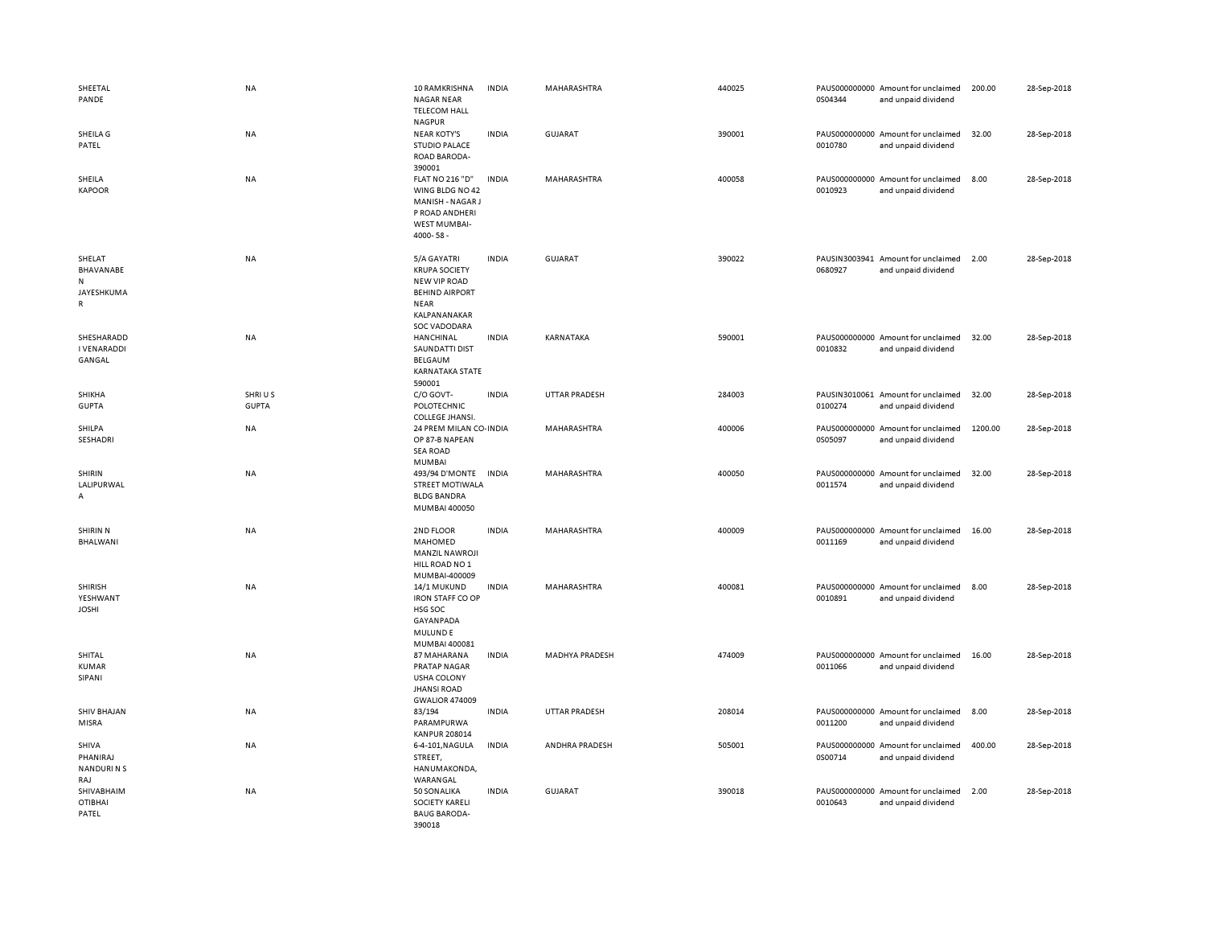| SHEETAL<br>PANDE                                    | NA                     | 10 RAMKRISHNA<br><b>NAGAR NEAR</b><br><b>TELECOM HALL</b>                                                                                 | <b>INDIA</b> | MAHARASHTRA           | 440025 | 0S04344 | PAUS000000000 Amount for unclaimed<br>and unpaid dividend | 200.00  | 28-Sep-2018 |
|-----------------------------------------------------|------------------------|-------------------------------------------------------------------------------------------------------------------------------------------|--------------|-----------------------|--------|---------|-----------------------------------------------------------|---------|-------------|
| SHEILA G<br>PATEL                                   | NA                     | <b>NAGPUR</b><br><b>NEAR KOTY'S</b><br><b>STUDIO PALACE</b><br><b>ROAD BARODA-</b><br>390001                                              | <b>INDIA</b> | GUJARAT               | 390001 | 0010780 | PAUS000000000 Amount for unclaimed<br>and unpaid dividend | 32.00   | 28-Sep-2018 |
| SHEILA<br><b>KAPOOR</b>                             | NA                     | <b>FLAT NO 216 "D"</b><br>WING BLDG NO 42<br>MANISH - NAGAR J<br>P ROAD ANDHERI<br>WEST MUMBAI-<br>4000-58-                               | <b>INDIA</b> | MAHARASHTRA           | 400058 | 0010923 | PAUS000000000 Amount for unclaimed<br>and unpaid dividend | 8.00    | 28-Sep-2018 |
| SHELAT<br>BHAVANABE<br>N<br>JAYESHKUMA<br>R         | NA                     | 5/A GAYATRI<br><b>KRUPA SOCIETY</b><br><b>NEW VIP ROAD</b><br><b>BEHIND AIRPORT</b><br><b>NEAR</b><br>KALPANANAKAR<br><b>SOC VADODARA</b> | <b>INDIA</b> | GUJARAT               | 390022 | 0680927 | PAUSIN3003941 Amount for unclaimed<br>and unpaid dividend | 2.00    | 28-Sep-2018 |
| SHESHARADD<br><b>I VENARADDI</b><br>GANGAL          | NA                     | HANCHINAL<br>SAUNDATTI DIST<br><b>BELGAUM</b><br>KARNATAKA STATE<br>590001                                                                | <b>INDIA</b> | KARNATAKA             | 590001 | 0010832 | PAUS000000000 Amount for unclaimed<br>and unpaid dividend | 32.00   | 28-Sep-2018 |
| SHIKHA<br><b>GUPTA</b>                              | SHRIUS<br><b>GUPTA</b> | C/O GOVT-<br>POLOTECHNIC<br>COLLEGE JHANSI.                                                                                               | <b>INDIA</b> | <b>UTTAR PRADESH</b>  | 284003 | 0100274 | PAUSIN3010061 Amount for unclaimed<br>and unpaid dividend | 32.00   | 28-Sep-2018 |
| SHILPA<br>SESHADRI                                  | NA                     | 24 PREM MILAN CO-INDIA<br>OP 87-B NAPEAN<br><b>SEA ROAD</b><br><b>MUMBAI</b>                                                              |              | MAHARASHTRA           | 400006 | 0S05097 | PAUS000000000 Amount for unclaimed<br>and unpaid dividend | 1200.00 | 28-Sep-2018 |
| SHIRIN<br>LALIPURWAL<br>А                           | NA                     | 493/94 D'MONTE INDIA<br><b>STREET MOTIWALA</b><br><b>BLDG BANDRA</b><br>MUMBAI 400050                                                     |              | MAHARASHTRA           | 400050 | 0011574 | PAUS000000000 Amount for unclaimed<br>and unpaid dividend | 32.00   | 28-Sep-2018 |
| SHIRIN N<br>BHALWANI                                | <b>NA</b>              | 2ND FLOOR<br>MAHOMED<br><b>MANZIL NAWROJI</b><br>HILL ROAD NO 1<br>MUMBAI-400009                                                          | <b>INDIA</b> | <b>MAHARASHTRA</b>    | 400009 | 0011169 | PAUS000000000 Amount for unclaimed<br>and unpaid dividend | 16.00   | 28-Sep-2018 |
| <b>SHIRISH</b><br>YESHWANT<br><b>JOSHI</b>          | NA                     | 14/1 MUKUND<br><b>IRON STAFF CO OP</b><br>HSG SOC<br>GAYANPADA<br><b>MULUNDE</b><br>MUMBAI 400081                                         | <b>INDIA</b> | MAHARASHTRA           | 400081 | 0010891 | PAUS000000000 Amount for unclaimed<br>and unpaid dividend | 8.00    | 28-Sep-2018 |
| SHITAL<br><b>KUMAR</b><br>SIPANI                    | <b>NA</b>              | 87 MAHARANA<br><b>PRATAP NAGAR</b><br><b>USHA COLONY</b><br><b>JHANSI ROAD</b><br><b>GWALIOR 474009</b>                                   | <b>INDIA</b> | <b>MADHYA PRADESH</b> | 474009 | 0011066 | PAUS000000000 Amount for unclaimed<br>and unpaid dividend | 16.00   | 28-Sep-2018 |
| <b>SHIV BHAJAN</b><br>MISRA                         | NA                     | 83/194<br>PARAMPURWA<br><b>KANPUR 208014</b>                                                                                              | <b>INDIA</b> | <b>UTTAR PRADESH</b>  | 208014 | 0011200 | PAUS000000000 Amount for unclaimed<br>and unpaid dividend | 8.00    | 28-Sep-2018 |
| <b>SHIVA</b><br>PHANIRAJ<br><b>NANDURINS</b><br>RAJ | <b>NA</b>              | 6-4-101, NAGULA<br>STREET,<br>HANUMAKONDA,<br>WARANGAL                                                                                    | <b>INDIA</b> | <b>ANDHRA PRADESH</b> | 505001 | 0S00714 | PAUS000000000 Amount for unclaimed<br>and unpaid dividend | 400.00  | 28-Sep-2018 |
| SHIVABHAIM<br><b>OTIBHAI</b><br>PATEL               | <b>NA</b>              | 50 SONALIKA<br><b>SOCIETY KARELI</b><br><b>BAUG BARODA-</b><br>390018                                                                     | <b>INDIA</b> | <b>GUJARAT</b>        | 390018 | 0010643 | PAUS000000000 Amount for unclaimed<br>and unpaid dividend | 2.00    | 28-Sep-2018 |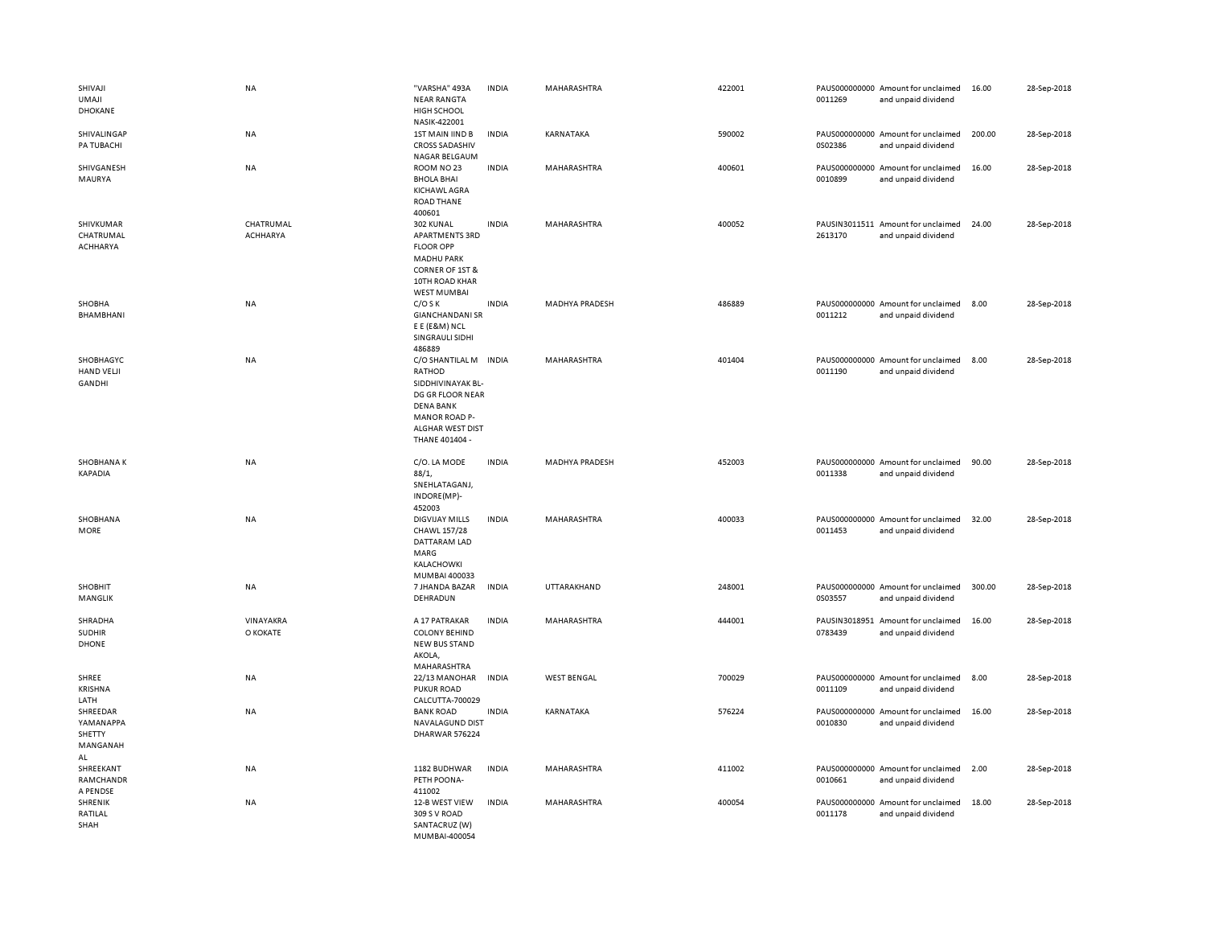| SHIVAJI<br><b>UMAJI</b><br>DHOKANE                | <b>NA</b>             | "VARSHA" 493A<br><b>NEAR RANGTA</b><br>HIGH SCHOOL<br>NASIK-422001                                                                                         | <b>INDIA</b> | MAHARASHTRA           | 422001 | 0011269 | PAUS000000000 Amount for unclaimed<br>and unpaid dividend | 16.00  | 28-Sep-2018 |
|---------------------------------------------------|-----------------------|------------------------------------------------------------------------------------------------------------------------------------------------------------|--------------|-----------------------|--------|---------|-----------------------------------------------------------|--------|-------------|
| SHIVALINGAP<br>PA TUBACHI                         | <b>NA</b>             | 1ST MAIN IIND B<br><b>CROSS SADASHIV</b><br>NAGAR BELGAUM                                                                                                  | <b>INDIA</b> | KARNATAKA             | 590002 | 0S02386 | PAUS000000000 Amount for unclaimed<br>and unpaid dividend | 200.00 | 28-Sep-2018 |
| SHIVGANESH<br>MAURYA                              | <b>NA</b>             | ROOM NO 23<br><b>BHOLA BHAI</b><br><b>KICHAWL AGRA</b><br>ROAD THANE<br>400601                                                                             | <b>INDIA</b> | MAHARASHTRA           | 400601 | 0010899 | PAUS000000000 Amount for unclaimed<br>and unpaid dividend | 16.00  | 28-Sep-2018 |
| SHIVKUMAR<br>CHATRUMAL<br>ACHHARYA                | CHATRUMAL<br>ACHHARYA | 302 KUNAL<br>APARTMENTS 3RD<br><b>FLOOR OPP</b><br><b>MADHU PARK</b><br>CORNER OF 1ST &<br>10TH ROAD KHAR<br><b>WEST MUMBAI</b>                            | <b>INDIA</b> | MAHARASHTRA           | 400052 | 2613170 | PAUSIN3011511 Amount for unclaimed<br>and unpaid dividend | 24.00  | 28-Sep-2018 |
| SHOBHA<br>BHAMBHANI                               | <b>NA</b>             | $C/O$ S K<br><b>GIANCHANDANI SR</b><br>E E (E&M) NCL<br>SINGRAULI SIDHI<br>486889                                                                          | <b>INDIA</b> | <b>MADHYA PRADESH</b> | 486889 | 0011212 | PAUS000000000 Amount for unclaimed<br>and unpaid dividend | 8.00   | 28-Sep-2018 |
| SHOBHAGYC<br>HAND VELJI<br><b>GANDHI</b>          | NA                    | C/O SHANTILAL M INDIA<br>RATHOD<br>SIDDHIVINAYAK BL-<br>DG GR FLOOR NEAR<br><b>DENA BANK</b><br><b>MANOR ROAD P-</b><br>ALGHAR WEST DIST<br>THANE 401404 - |              | <b>MAHARASHTRA</b>    | 401404 | 0011190 | PAUS000000000 Amount for unclaimed<br>and unpaid dividend | 8.00   | 28-Sep-2018 |
| <b>SHOBHANAK</b><br>KAPADIA                       | NA                    | C/O. LA MODE<br>88/1,<br>SNEHLATAGANJ,<br>INDORE(MP)-<br>452003                                                                                            | <b>INDIA</b> | <b>MADHYA PRADESH</b> | 452003 | 0011338 | PAUS000000000 Amount for unclaimed<br>and unpaid dividend | 90.00  | 28-Sep-2018 |
| SHOBHANA<br>MORE                                  | NA                    | DIGVIJAY MILLS<br>CHAWL 157/28<br>DATTARAM LAD<br>MARG<br>KALACHOWKI<br>MUMBAI 400033                                                                      | <b>INDIA</b> | MAHARASHTRA           | 400033 | 0011453 | PAUS000000000 Amount for unclaimed<br>and unpaid dividend | 32.00  | 28-Sep-2018 |
| SHOBHIT<br>MANGLIK                                | <b>NA</b>             | 7 JHANDA BAZAR<br>DEHRADUN                                                                                                                                 | <b>INDIA</b> | UTTARAKHAND           | 248001 | 0S03557 | PAUS000000000 Amount for unclaimed<br>and unpaid dividend | 300.00 | 28-Sep-2018 |
| SHRADHA<br><b>SUDHIR</b><br><b>DHONE</b>          | VINAYAKRA<br>O KOKATE | A 17 PATRAKAR<br><b>COLONY BEHIND</b><br>NEW BUS STAND<br>AKOLA,<br>MAHARASHTRA                                                                            | <b>INDIA</b> | MAHARASHTRA           | 444001 | 0783439 | PAUSIN3018951 Amount for unclaimed<br>and unpaid dividend | 16.00  | 28-Sep-2018 |
| SHREE<br><b>KRISHNA</b><br>LATH                   | <b>NA</b>             | 22/13 MANOHAR<br><b>PUKUR ROAD</b><br>CALCUTTA-700029                                                                                                      | <b>INDIA</b> | <b>WEST BENGAL</b>    | 700029 | 0011109 | PAUS000000000 Amount for unclaimed<br>and unpaid dividend | 8.00   | 28-Sep-2018 |
| SHREEDAR<br>YAMANAPPA<br>SHETTY<br>MANGANAH<br>AL | <b>NA</b>             | <b>BANK ROAD</b><br>NAVALAGUND DIST<br>DHARWAR 576224                                                                                                      | <b>INDIA</b> | KARNATAKA             | 576224 | 0010830 | PAUS000000000 Amount for unclaimed<br>and unpaid dividend | 16.00  | 28-Sep-2018 |
| SHREEKANT<br>RAMCHANDR<br>A PENDSE                | NA                    | 1182 BUDHWAR<br>PETH POONA-<br>411002                                                                                                                      | <b>INDIA</b> | MAHARASHTRA           | 411002 | 0010661 | PAUS000000000 Amount for unclaimed<br>and unpaid dividend | 2.00   | 28-Sep-2018 |
| SHRENIK<br>RATILAL<br>SHAH                        | NA                    | 12-B WEST VIEW<br>309 S V ROAD<br>SANTACRUZ (W)<br>MUMBAI-400054                                                                                           | <b>INDIA</b> | MAHARASHTRA           | 400054 | 0011178 | PAUS000000000 Amount for unclaimed<br>and unpaid dividend | 18.00  | 28-Sep-2018 |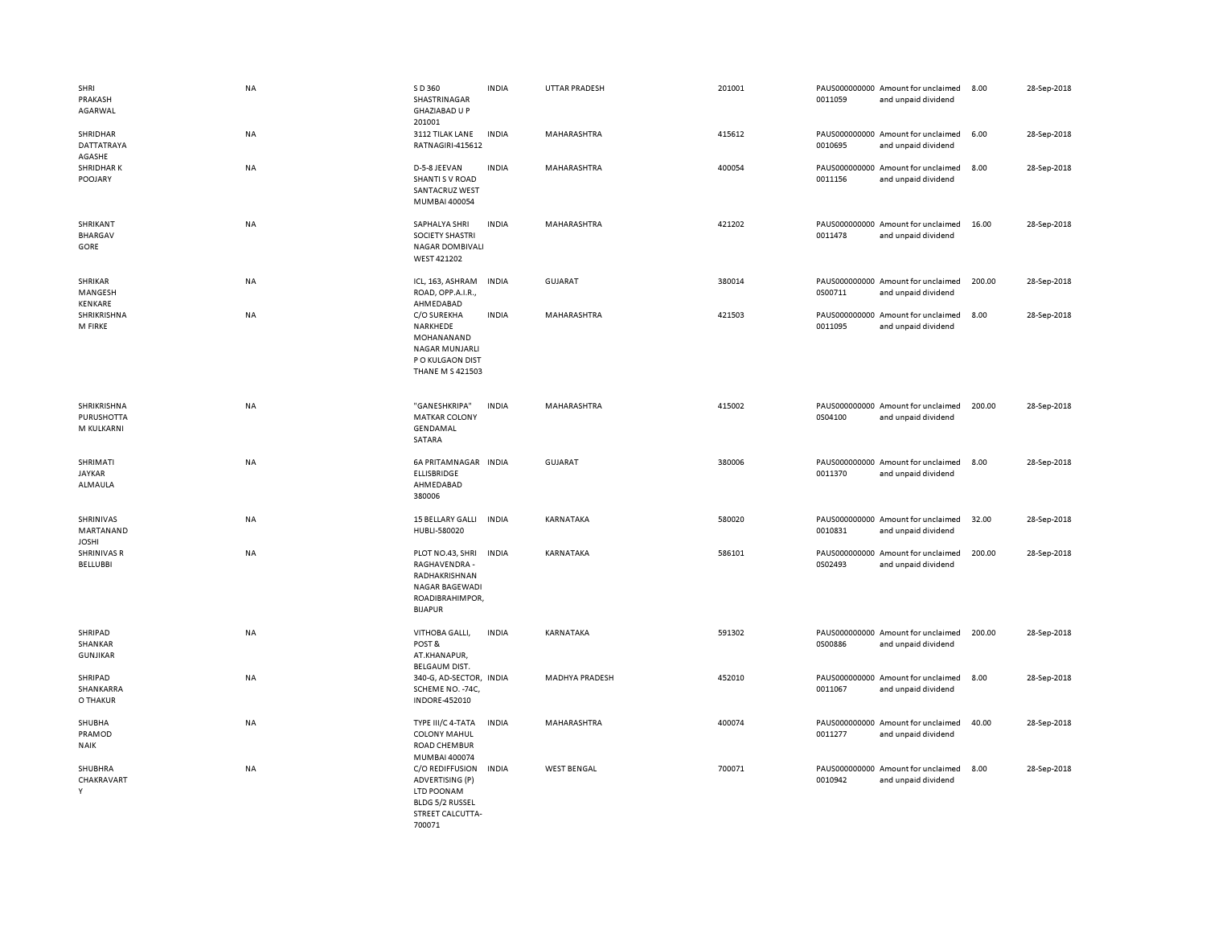| SHRI<br>PRAKASH<br>AGARWAL                     | <b>NA</b> | S D 360<br>SHASTRINAGAR<br><b>GHAZIABAD U P</b><br>201001                                                          | <b>INDIA</b> | <b>UTTAR PRADESH</b>  | 201001 | 0011059 | PAUS000000000 Amount for unclaimed<br>and unpaid dividend | 8.00   | 28-Sep-2018 |
|------------------------------------------------|-----------|--------------------------------------------------------------------------------------------------------------------|--------------|-----------------------|--------|---------|-----------------------------------------------------------|--------|-------------|
| SHRIDHAR<br>DATTATRAYA<br>AGASHE               | <b>NA</b> | 3112 TILAK LANE<br>RATNAGIRI-415612                                                                                | <b>INDIA</b> | MAHARASHTRA           | 415612 | 0010695 | PAUS000000000 Amount for unclaimed<br>and unpaid dividend | 6.00   | 28-Sep-2018 |
| <b>SHRIDHARK</b><br>POOJARY                    | <b>NA</b> | D-5-8 JEEVAN<br>SHANTI S V ROAD<br><b>SANTACRUZ WEST</b><br>MUMBAI 400054                                          | <b>INDIA</b> | MAHARASHTRA           | 400054 | 0011156 | PAUS000000000 Amount for unclaimed<br>and unpaid dividend | 8.00   | 28-Sep-2018 |
| SHRIKANT<br><b>BHARGAV</b><br>GORE             | NA        | SAPHALYA SHRI<br>SOCIETY SHASTRI<br><b>NAGAR DOMBIVALI</b><br>WEST 421202                                          | <b>INDIA</b> | MAHARASHTRA           | 421202 | 0011478 | PAUS000000000 Amount for unclaimed<br>and unpaid dividend | 16.00  | 28-Sep-2018 |
| SHRIKAR<br>MANGESH<br>KENKARE                  | <b>NA</b> | ICL, 163, ASHRAM<br>ROAD, OPP.A.I.R.,<br>AHMEDABAD                                                                 | <b>INDIA</b> | <b>GUJARAT</b>        | 380014 | 0S00711 | PAUS000000000 Amount for unclaimed<br>and unpaid dividend | 200.00 | 28-Sep-2018 |
| SHRIKRISHNA<br>M FIRKE                         | NA        | C/O SUREKHA<br>NARKHEDE<br>MOHANANAND<br><b>NAGAR MUNJARLI</b><br>P O KULGAON DIST<br><b>THANE M S 421503</b>      | <b>INDIA</b> | MAHARASHTRA           | 421503 | 0011095 | PAUS000000000 Amount for unclaimed<br>and unpaid dividend | 8.00   | 28-Sep-2018 |
| SHRIKRISHNA<br><b>PURUSHOTTA</b><br>M KULKARNI | NA        | "GANESHKRIPA"<br><b>MATKAR COLONY</b><br>GENDAMAL<br>SATARA                                                        | <b>INDIA</b> | MAHARASHTRA           | 415002 | 0S04100 | PAUS000000000 Amount for unclaimed<br>and unpaid dividend | 200.00 | 28-Sep-2018 |
| SHRIMATI<br><b>JAYKAR</b><br>ALMAULA           | <b>NA</b> | 6A PRITAMNAGAR INDIA<br><b>ELLISBRIDGE</b><br>AHMEDABAD<br>380006                                                  |              | GUJARAT               | 380006 | 0011370 | PAUS000000000 Amount for unclaimed<br>and unpaid dividend | 8.00   | 28-Sep-2018 |
| SHRINIVAS<br>MARTANAND<br><b>JOSHI</b>         | <b>NA</b> | 15 BELLARY GALLI<br>HUBLI-580020                                                                                   | <b>INDIA</b> | KARNATAKA             | 580020 | 0010831 | PAUS000000000 Amount for unclaimed<br>and unpaid dividend | 32.00  | 28-Sep-2018 |
| <b>SHRINIVAS R</b><br><b>BELLUBBI</b>          | NA        | PLOT NO.43, SHRI<br>RAGHAVENDRA -<br>RADHAKRISHNAN<br>NAGAR BAGEWADI<br>ROADIBRAHIMPOR,<br><b>BIJAPUR</b>          | <b>INDIA</b> | KARNATAKA             | 586101 | 0S02493 | PAUS000000000 Amount for unclaimed<br>and unpaid dividend | 200.00 | 28-Sep-2018 |
| SHRIPAD<br>SHANKAR<br><b>GUNJIKAR</b>          | <b>NA</b> | VITHOBA GALLI,<br>POST&<br>AT.KHANAPUR,<br><b>BELGAUM DIST.</b>                                                    | <b>INDIA</b> | KARNATAKA             | 591302 | 0S00886 | PAUS000000000 Amount for unclaimed<br>and unpaid dividend | 200.00 | 28-Sep-2018 |
| SHRIPAD<br>SHANKARRA<br>O THAKUR               | <b>NA</b> | 340-G, AD-SECTOR, INDIA<br>SCHEME NO. - 74C,<br>INDORE-452010                                                      |              | <b>MADHYA PRADESH</b> | 452010 | 0011067 | PAUS000000000 Amount for unclaimed<br>and unpaid dividend | 8.00   | 28-Sep-2018 |
| SHUBHA<br>PRAMOD<br><b>NAIK</b>                | <b>NA</b> | TYPE III/C 4-TATA<br><b>COLONY MAHUL</b><br>ROAD CHEMBUR                                                           | <b>INDIA</b> | MAHARASHTRA           | 400074 | 0011277 | PAUS000000000 Amount for unclaimed<br>and unpaid dividend | 40.00  | 28-Sep-2018 |
| SHUBHRA<br>CHAKRAVART<br>Y                     | <b>NA</b> | MUMBAI 400074<br>C/O REDIFFUSION<br>ADVERTISING (P)<br>LTD POONAM<br>BLDG 5/2 RUSSEL<br>STREET CALCUTTA-<br>700071 | <b>INDIA</b> | <b>WEST BENGAL</b>    | 700071 | 0010942 | PAUS000000000 Amount for unclaimed<br>and unpaid dividend | 8.00   | 28-Sep-2018 |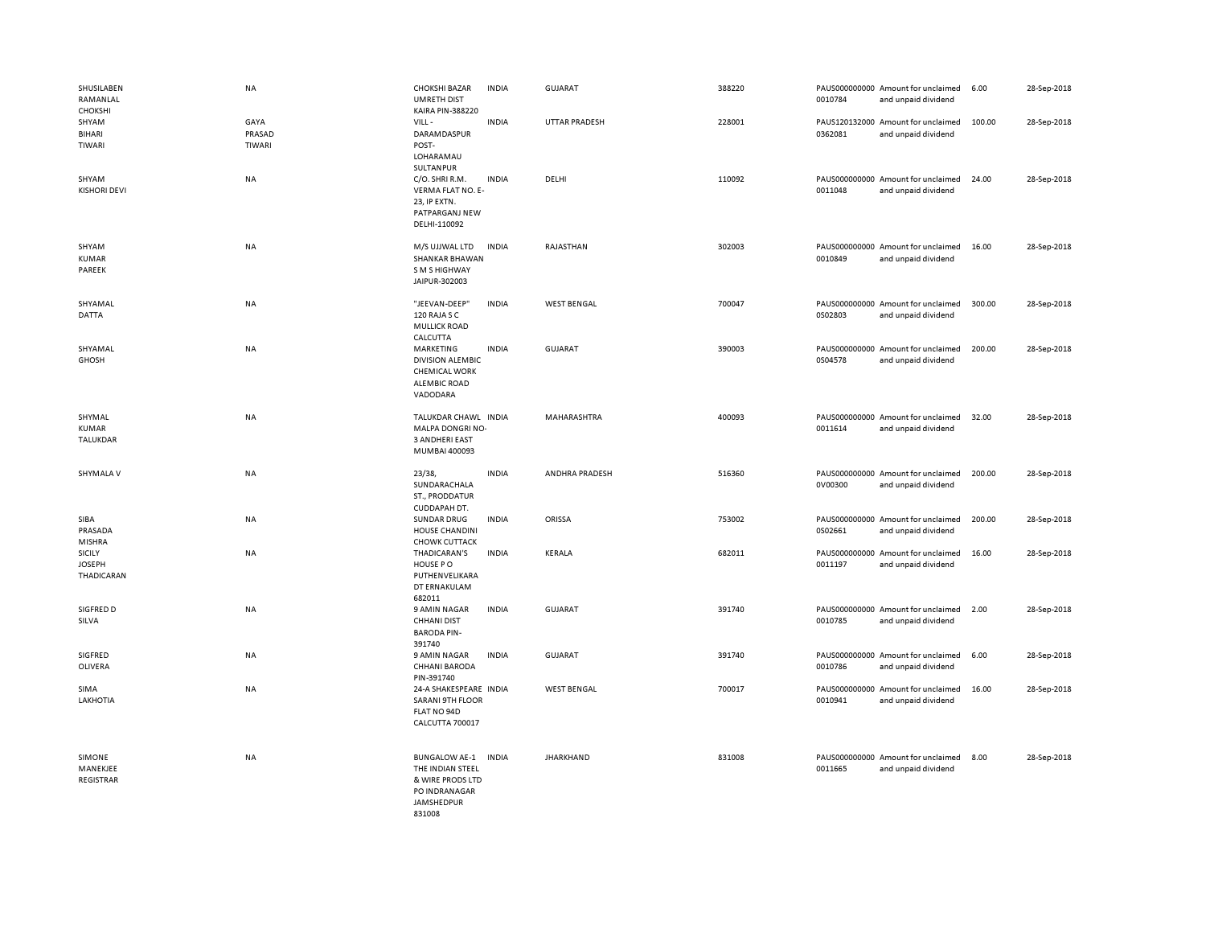| SHUSILABEN<br>RAMANLAL<br>CHOKSHI            | <b>NA</b>                | <b>CHOKSHI BAZAR</b><br><b>UMRETH DIST</b><br><b>KAIRA PIN-388220</b>                                        | <b>INDIA</b> | <b>GUJARAT</b>     | 388220 | 0010784 | PAUS000000000 Amount for unclaimed<br>and unpaid dividend | 6.00   | 28-Sep-2018 |
|----------------------------------------------|--------------------------|--------------------------------------------------------------------------------------------------------------|--------------|--------------------|--------|---------|-----------------------------------------------------------|--------|-------------|
| SHYAM<br>BIHARI<br>TIWARI                    | GAYA<br>PRASAD<br>TIWARI | VILL-<br>DARAMDASPUR<br>POST-<br>LOHARAMAU<br>SULTANPUR                                                      | <b>INDIA</b> | UTTAR PRADESH      | 228001 | 0362081 | PAUS120132000 Amount for unclaimed<br>and unpaid dividend | 100.00 | 28-Sep-2018 |
| SHYAM<br><b>KISHORI DEVI</b>                 | NA                       | C/O. SHRI R.M.<br>VERMA FLAT NO. E-<br>23, IP EXTN.<br>PATPARGANJ NEW<br>DELHI-110092                        | <b>INDIA</b> | DELHI              | 110092 | 0011048 | PAUS000000000 Amount for unclaimed<br>and unpaid dividend | 24.00  | 28-Sep-2018 |
| SHYAM<br><b>KUMAR</b><br>PAREEK              | NA                       | M/S UJJWAL LTD<br><b>SHANKAR BHAWAN</b><br>S M S HIGHWAY<br>JAIPUR-302003                                    | <b>INDIA</b> | RAJASTHAN          | 302003 | 0010849 | PAUS000000000 Amount for unclaimed<br>and unpaid dividend | 16.00  | 28-Sep-2018 |
| SHYAMAL<br>DATTA                             | NA                       | "JEEVAN-DEEP"<br>120 RAJA S C<br><b>MULLICK ROAD</b><br>CALCUTTA                                             | <b>INDIA</b> | <b>WEST BENGAL</b> | 700047 | 0S02803 | PAUS000000000 Amount for unclaimed<br>and unpaid dividend | 300.00 | 28-Sep-2018 |
| SHYAMAL<br>GHOSH                             | <b>NA</b>                | MARKETING<br><b>DIVISION ALEMBIC</b><br><b>CHEMICAL WORK</b><br><b>ALEMBIC ROAD</b><br>VADODARA              | <b>INDIA</b> | <b>GUJARAT</b>     | 390003 | 0S04578 | PAUS000000000 Amount for unclaimed<br>and unpaid dividend | 200.00 | 28-Sep-2018 |
| SHYMAL<br>KUMAR<br>TALUKDAR                  | NA                       | TALUKDAR CHAWL INDIA<br>MALPA DONGRI NO-<br><b>3 ANDHERI EAST</b><br>MUMBAI 400093                           |              | MAHARASHTRA        | 400093 | 0011614 | PAUS000000000 Amount for unclaimed<br>and unpaid dividend | 32.00  | 28-Sep-2018 |
| SHYMALA V                                    | <b>NA</b>                | 23/38,<br>SUNDARACHALA<br>ST., PRODDATUR<br>CUDDAPAH DT.                                                     | <b>INDIA</b> | ANDHRA PRADESH     | 516360 | 0V00300 | PAUS000000000 Amount for unclaimed<br>and unpaid dividend | 200.00 | 28-Sep-2018 |
| SIBA<br>PRASADA<br>MISHRA                    | <b>NA</b>                | <b>SUNDAR DRUG</b><br><b>HOUSE CHANDINI</b><br>CHOWK CUTTACK                                                 | <b>INDIA</b> | <b>ORISSA</b>      | 753002 | 0S02661 | PAUS000000000 Amount for unclaimed<br>and unpaid dividend | 200.00 | 28-Sep-2018 |
| <b>SICILY</b><br><b>JOSEPH</b><br>THADICARAN | NA                       | THADICARAN'S<br>HOUSE PO<br>PUTHENVELIKARA<br>DT ERNAKULAM<br>682011                                         | <b>INDIA</b> | KERALA             | 682011 | 0011197 | PAUS000000000 Amount for unclaimed<br>and unpaid dividend | 16.00  | 28-Sep-2018 |
| SIGFRED D<br>SILVA                           | NA                       | 9 AMIN NAGAR<br><b>CHHANI DIST</b><br><b>BARODA PIN-</b><br>391740                                           | <b>INDIA</b> | <b>GUJARAT</b>     | 391740 | 0010785 | PAUS000000000 Amount for unclaimed<br>and unpaid dividend | 2.00   | 28-Sep-2018 |
| SIGFRED<br>OLIVERA                           | NA                       | 9 AMIN NAGAR<br><b>CHHANI BARODA</b><br>PIN-391740                                                           | <b>INDIA</b> | GUJARAT            | 391740 | 0010786 | PAUS000000000 Amount for unclaimed<br>and unpaid dividend | 6.00   | 28-Sep-2018 |
| SIMA<br>LAKHOTIA                             | NA                       | 24-A SHAKESPEARE INDIA<br><b>SARANI 9TH FLOOR</b><br>FLAT NO 94D<br>CALCUTTA 700017                          |              | <b>WEST BENGAL</b> | 700017 | 0010941 | PAUS000000000 Amount for unclaimed<br>and unpaid dividend | 16.00  | 28-Sep-2018 |
| SIMONE<br>MANEKJEE<br><b>REGISTRAR</b>       | NA                       | <b>BUNGALOW AE-1</b><br>THE INDIAN STEEL<br>& WIRE PRODS LTD<br>PO INDRANAGAR<br><b>JAMSHEDPUR</b><br>831008 | <b>INDIA</b> | <b>JHARKHAND</b>   | 831008 | 0011665 | PAUS000000000 Amount for unclaimed<br>and unpaid dividend | 8.00   | 28-Sep-2018 |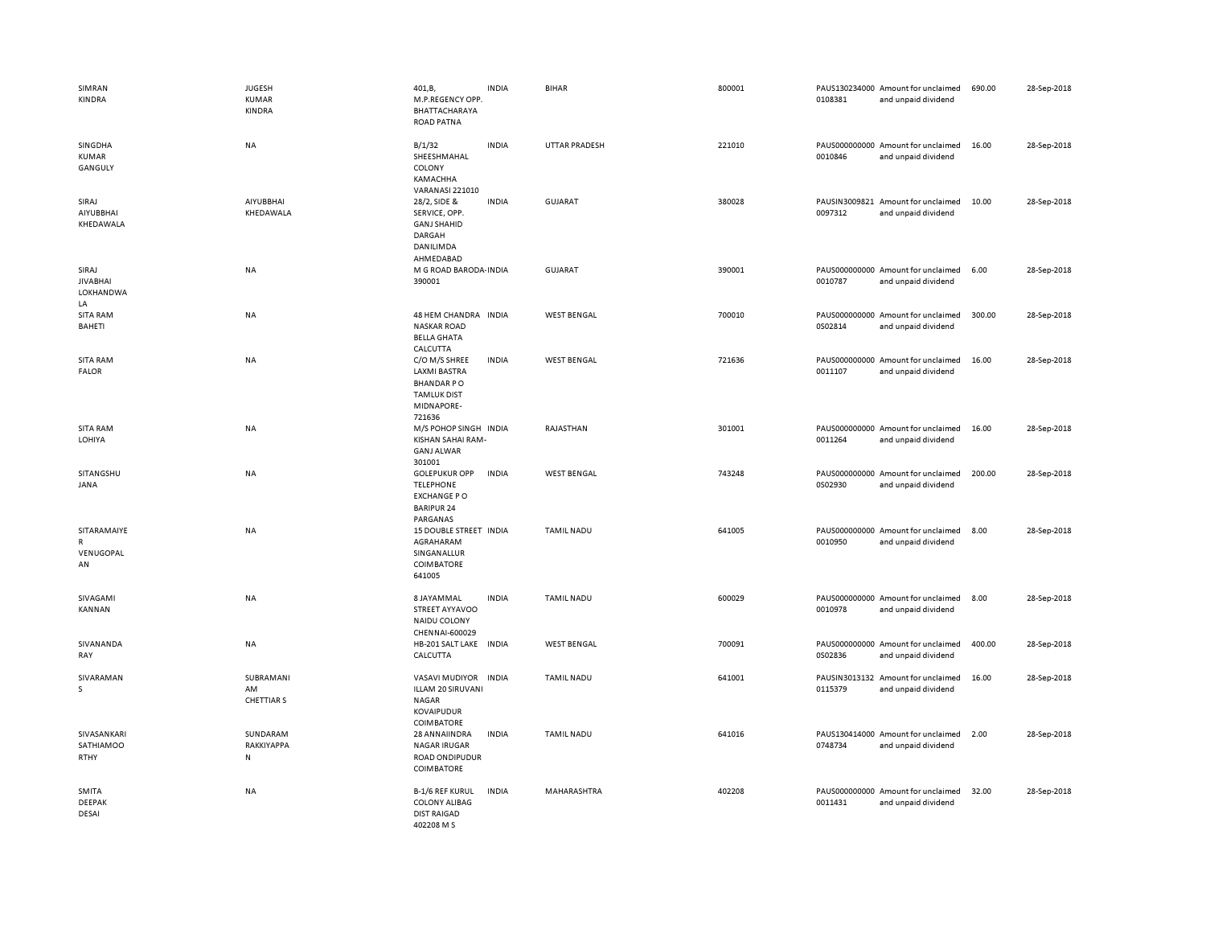| SIMRAN<br><b>KINDRA</b>                        | JUGESH<br>KUMAR<br>KINDRA           | 401, B,<br>M.P.REGENCY OPP.<br>BHATTACHARAYA<br><b>ROAD PATNA</b>                                      | <b>INDIA</b> | <b>BIHAR</b>       | 800001 | 0108381 | PAUS130234000 Amount for unclaimed<br>and unpaid dividend | 690.00 | 28-Sep-2018 |
|------------------------------------------------|-------------------------------------|--------------------------------------------------------------------------------------------------------|--------------|--------------------|--------|---------|-----------------------------------------------------------|--------|-------------|
| SINGDHA<br>KUMAR<br>GANGULY                    | <b>NA</b>                           | B/1/32<br>SHEESHMAHAL<br>COLONY<br>КАМАСННА<br>VARANASI 221010                                         | <b>INDIA</b> | UTTAR PRADESH      | 221010 | 0010846 | PAUS000000000 Amount for unclaimed<br>and unpaid dividend | 16.00  | 28-Sep-2018 |
| SIRAJ<br>AIYUBBHAI<br>KHEDAWALA                | <b>AIYUBBHAI</b><br>KHEDAWALA       | 28/2, SIDE &<br>SERVICE, OPP.<br><b>GANJ SHAHID</b><br>DARGAH<br>DANILIMDA<br>AHMEDABAD                | <b>INDIA</b> | <b>GUJARAT</b>     | 380028 | 0097312 | PAUSIN3009821 Amount for unclaimed<br>and unpaid dividend | 10.00  | 28-Sep-2018 |
| SIRAJ<br><b>JIVABHAI</b><br>LOKHANDWA<br>LA    | NA                                  | M G ROAD BARODA INDIA<br>390001                                                                        |              | <b>GUJARAT</b>     | 390001 | 0010787 | PAUS000000000 Amount for unclaimed<br>and unpaid dividend | 6.00   | 28-Sep-2018 |
| SITA RAM<br>BAHETI                             | NA                                  | 48 HEM CHANDRA INDIA<br><b>NASKAR ROAD</b><br><b>BELLA GHATA</b><br>CALCUTTA                           |              | <b>WEST BENGAL</b> | 700010 | 0S02814 | PAUS000000000 Amount for unclaimed<br>and unpaid dividend | 300.00 | 28-Sep-2018 |
| SITA RAM<br><b>FALOR</b>                       | NA                                  | C/O M/S SHREE<br><b>LAXMI BASTRA</b><br><b>BHANDARPO</b><br><b>TAMLUK DIST</b><br>MIDNAPORE-<br>721636 | INDIA        | <b>WEST BENGAL</b> | 721636 | 0011107 | PAUS000000000 Amount for unclaimed<br>and unpaid dividend | 16.00  | 28-Sep-2018 |
| SITA RAM<br>LOHIYA                             | <b>NA</b>                           | M/S POHOP SINGH INDIA<br>KISHAN SAHAI RAM-<br><b>GANJ ALWAR</b><br>301001                              |              | RAJASTHAN          | 301001 | 0011264 | PAUS000000000 Amount for unclaimed<br>and unpaid dividend | 16.00  | 28-Sep-2018 |
| SITANGSHU<br><b>JANA</b>                       | NA                                  | <b>GOLEPUKUR OPP</b><br><b>TELEPHONE</b><br><b>EXCHANGE PO</b><br><b>BARIPUR 24</b><br>PARGANAS        | INDIA        | <b>WEST BENGAL</b> | 743248 | 0S02930 | PAUS000000000 Amount for unclaimed<br>and unpaid dividend | 200.00 | 28-Sep-2018 |
| SITARAMAIYE<br>$\mathsf{R}$<br>VENUGOPAL<br>AN | NA                                  | 15 DOUBLE STREET INDIA<br>AGRAHARAM<br>SINGANALLUR<br>COIMBATORE<br>641005                             |              | <b>TAMIL NADU</b>  | 641005 | 0010950 | PAUS000000000 Amount for unclaimed<br>and unpaid dividend | 8.00   | 28-Sep-2018 |
| SIVAGAMI<br>KANNAN                             | <b>NA</b>                           | 8 JAYAMMAL<br>STREET AYYAVOO<br>NAIDU COLONY<br>CHENNAI-600029                                         | <b>INDIA</b> | <b>TAMIL NADU</b>  | 600029 | 0010978 | PAUS000000000 Amount for unclaimed<br>and unpaid dividend | 8.00   | 28-Sep-2018 |
| SIVANANDA<br>RAY                               | <b>NA</b>                           | HB-201 SALT LAKE INDIA<br>CALCUTTA                                                                     |              | <b>WEST BENGAL</b> | 700091 | 0S02836 | PAUS000000000 Amount for unclaimed<br>and unpaid dividend | 400.00 | 28-Sep-2018 |
| SIVARAMAN<br>s                                 | SUBRAMANI<br>AM<br><b>CHETTIARS</b> | VASAVI MUDIYOR INDIA<br>ILLAM 20 SIRUVANI<br><b>NAGAR</b><br><b>KOVAIPUDUR</b><br><b>COIMBATORE</b>    |              | <b>TAMIL NADU</b>  | 641001 | 0115379 | PAUSIN3013132 Amount for unclaimed<br>and unpaid dividend | 16.00  | 28-Sep-2018 |
| SIVASANKARI<br>SATHIAMOO<br>RTHY               | SUNDARAM<br>RAKKIYAPPA<br>N         | 28 ANNAIINDRA<br><b>NAGAR IRUGAR</b><br>ROAD ONDIPUDUR<br>COIMBATORE                                   | <b>INDIA</b> | <b>TAMIL NADU</b>  | 641016 | 0748734 | PAUS130414000 Amount for unclaimed<br>and unpaid dividend | 2.00   | 28-Sep-2018 |
| SMITA<br><b>DEEPAK</b><br>DESAI                | NA                                  | <b>B-1/6 REF KURUL</b><br><b>COLONY ALIBAG</b><br><b>DIST RAIGAD</b><br>402208 M S                     | <b>INDIA</b> | MAHARASHTRA        | 402208 | 0011431 | PAUS000000000 Amount for unclaimed<br>and unpaid dividend | 32.00  | 28-Sep-2018 |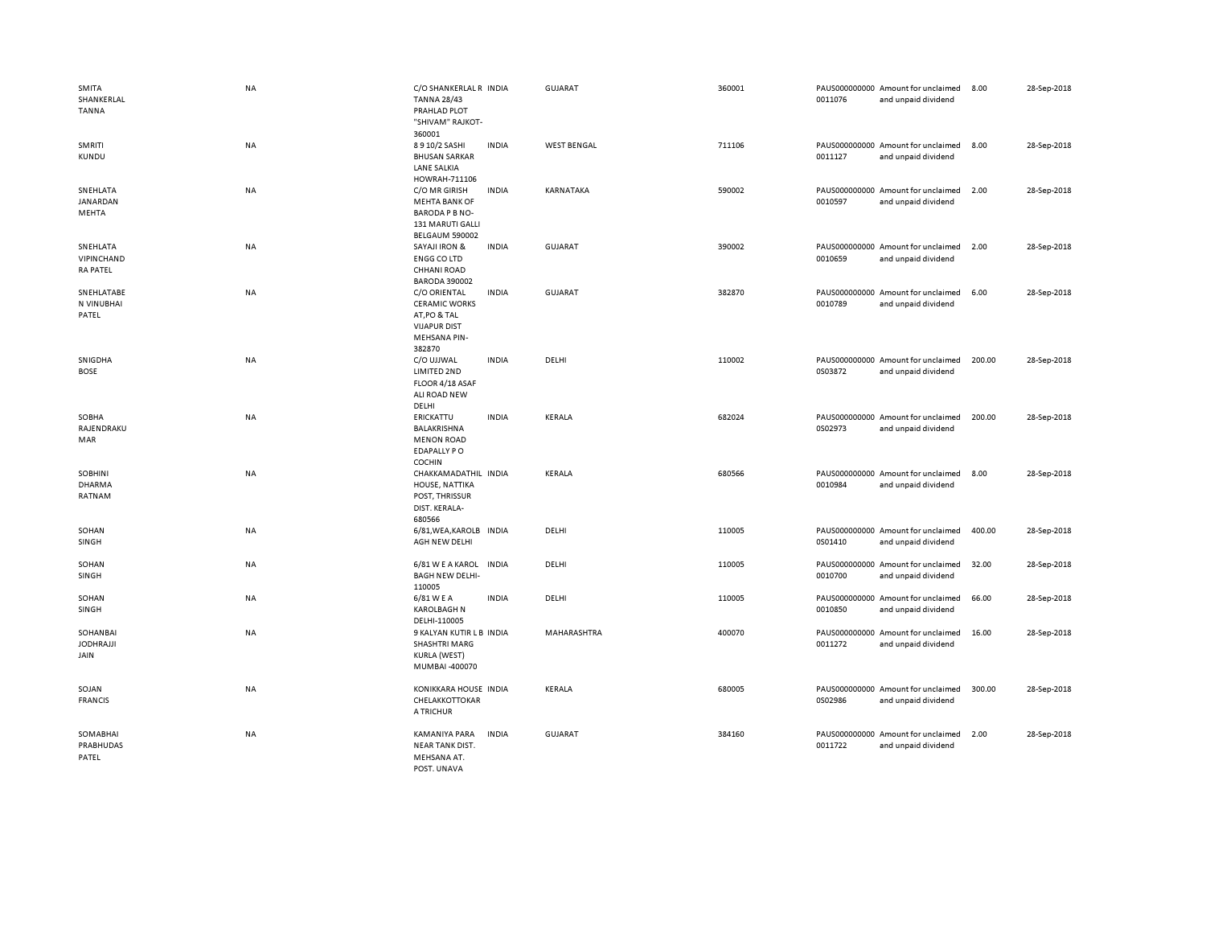| SMITA<br>SHANKERLAL<br><b>TANNA</b>         | <b>NA</b> | C/O SHANKERLAL R INDIA<br><b>TANNA 28/43</b><br>PRAHLAD PLOT<br>"SHIVAM" RAJKOT-<br>360001            |              | GUJARAT            | 360001 | 0011076 | PAUS000000000 Amount for unclaimed<br>and unpaid dividend | 8.00   | 28-Sep-2018 |
|---------------------------------------------|-----------|-------------------------------------------------------------------------------------------------------|--------------|--------------------|--------|---------|-----------------------------------------------------------|--------|-------------|
| SMRITI<br><b>KUNDU</b>                      | NA        | 8910/2 SASHI<br><b>BHUSAN SARKAR</b><br><b>LANE SALKIA</b><br>HOWRAH-711106                           | <b>INDIA</b> | <b>WEST BENGAL</b> | 711106 | 0011127 | PAUS000000000 Amount for unclaimed<br>and unpaid dividend | 8.00   | 28-Sep-2018 |
| SNEHLATA<br>JANARDAN<br>MEHTA               | ΝA        | C/O MR GIRISH<br><b>MEHTA BANK OF</b><br>BARODA P B NO-<br>131 MARUTI GALLI<br>BELGAUM 590002         | <b>INDIA</b> | KARNATAKA          | 590002 | 0010597 | PAUS000000000 Amount for unclaimed<br>and unpaid dividend | 2.00   | 28-Sep-2018 |
| SNEHLATA<br>VIPINCHAND<br><b>RA PATEL</b>   | NA        | <b>SAYAJI IRON &amp;</b><br><b>ENGG CO LTD</b><br><b>CHHANI ROAD</b><br><b>BARODA 390002</b>          | <b>INDIA</b> | <b>GUJARAT</b>     | 390002 | 0010659 | PAUS000000000 Amount for unclaimed<br>and unpaid dividend | 2.00   | 28-Sep-2018 |
| SNEHLATABE<br>N VINUBHAI<br>PATEL           | <b>NA</b> | C/O ORIENTAL<br><b>CERAMIC WORKS</b><br>AT, PO & TAL<br><b>VIJAPUR DIST</b><br>MEHSANA PIN-<br>382870 | <b>INDIA</b> | GUJARAT            | 382870 | 0010789 | PAUS000000000 Amount for unclaimed<br>and unpaid dividend | 6.00   | 28-Sep-2018 |
| SNIGDHA<br><b>BOSE</b>                      | NA        | C/O UJJWAL<br>LIMITED 2ND<br>FLOOR 4/18 ASAF<br>ALI ROAD NEW<br>DELHI                                 | <b>INDIA</b> | DELHI              | 110002 | 0S03872 | PAUS000000000 Amount for unclaimed<br>and unpaid dividend | 200.00 | 28-Sep-2018 |
| SOBHA<br>RAJENDRAKU<br>MAR                  | NA        | ERICKATTU<br>BALAKRISHNA<br><b>MENON ROAD</b><br><b>EDAPALLY PO</b><br>COCHIN                         | <b>INDIA</b> | KERALA             | 682024 | 0S02973 | PAUS000000000 Amount for unclaimed<br>and unpaid dividend | 200.00 | 28-Sep-2018 |
| <b>SOBHINI</b><br><b>DHARMA</b><br>RATNAM   | <b>NA</b> | CHAKKAMADATHIL INDIA<br>HOUSE, NATTIKA<br>POST, THRISSUR<br>DIST. KERALA-<br>680566                   |              | KERALA             | 680566 | 0010984 | PAUS000000000 Amount for unclaimed<br>and unpaid dividend | 8.00   | 28-Sep-2018 |
| SOHAN<br>SINGH                              | NA        | 6/81, WEA, KAROLB<br>AGH NEW DELHI                                                                    | <b>INDIA</b> | DELHI              | 110005 | 0S01410 | PAUS000000000 Amount for unclaimed<br>and unpaid dividend | 400.00 | 28-Sep-2018 |
| SOHAN<br>SINGH                              | NA        | 6/81 W E A KAROL<br><b>BAGH NEW DELHI-</b><br>110005                                                  | <b>INDIA</b> | DELHI              | 110005 | 0010700 | PAUS000000000 Amount for unclaimed<br>and unpaid dividend | 32.00  | 28-Sep-2018 |
| SOHAN<br>SINGH                              | NA        | 6/81 W E A<br><b>KAROLBAGH N</b><br>DELHI-110005                                                      | <b>INDIA</b> | DELHI              | 110005 | 0010850 | PAUS000000000 Amount for unclaimed<br>and unpaid dividend | 66.00  | 28-Sep-2018 |
| <b>SOHANBAI</b><br><b>JODHRAJJI</b><br>JAIN | NA        | 9 KALYAN KUTIR L B INDIA<br><b>SHASHTRI MARG</b><br>KURLA (WEST)<br>MUMBAI -400070                    |              | MAHARASHTRA        | 400070 | 0011272 | PAUS000000000 Amount for unclaimed<br>and unpaid dividend | 16.00  | 28-Sep-2018 |
| SOJAN<br><b>FRANCIS</b>                     | NA        | KONIKKARA HOUSE INDIA<br>CHELAKKOTTOKAR<br>A TRICHUR                                                  |              | KERALA             | 680005 | 0S02986 | PAUS000000000 Amount for unclaimed<br>and unpaid dividend | 300.00 | 28-Sep-2018 |
| SOMABHAI<br>PRABHUDAS<br>PATEL              | <b>NA</b> | KAMANIYA PARA<br><b>NEAR TANK DIST.</b><br>MEHSANA AT.<br>POST UNAVA                                  | <b>INDIA</b> | <b>GUJARAT</b>     | 384160 | 0011722 | PAUS000000000 Amount for unclaimed<br>and unpaid dividend | 2.00   | 28-Sep-2018 |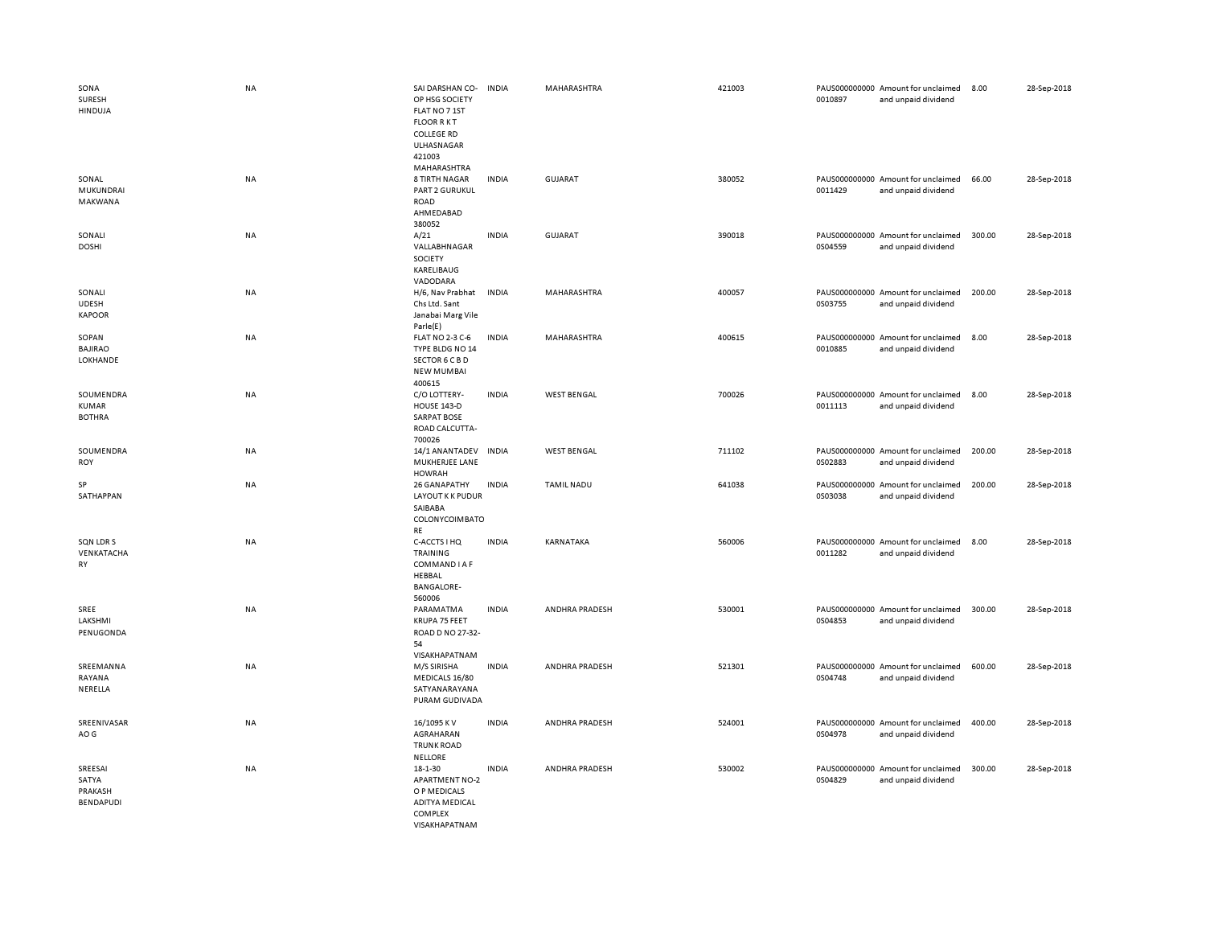| SONA<br>SURESH<br>HINDUJA                  | <b>NA</b> | SAI DARSHAN CO-<br>OP HSG SOCIETY<br>FLAT NO 7 1ST<br><b>FLOOR RKT</b><br><b>COLLEGE RD</b><br>ULHASNAGAR<br>421003<br>MAHARASHTRA | <b>INDIA</b> | MAHARASHTRA        | 421003 | 0010897 | PAUS000000000 Amount for unclaimed<br>and unpaid dividend | 8.00   | 28-Sep-2018 |
|--------------------------------------------|-----------|------------------------------------------------------------------------------------------------------------------------------------|--------------|--------------------|--------|---------|-----------------------------------------------------------|--------|-------------|
| SONAL<br>MUKUNDRAI<br>MAKWANA              | NA        | <b>8 TIRTH NAGAR</b><br><b>PART 2 GURUKUL</b><br>ROAD<br>AHMEDABAD<br>380052                                                       | <b>INDIA</b> | <b>GUJARAT</b>     | 380052 | 0011429 | PAUS000000000 Amount for unclaimed<br>and unpaid dividend | 66.00  | 28-Sep-2018 |
| SONALI<br><b>DOSHI</b>                     | NA        | A/21<br>VALLABHNAGAR<br>SOCIETY<br>KARELIBAUG<br>VADODARA                                                                          | <b>INDIA</b> | GUJARAT            | 390018 | 0S04559 | PAUS000000000 Amount for unclaimed<br>and unpaid dividend | 300.00 | 28-Sep-2018 |
| SONALI<br><b>UDESH</b><br><b>KAPOOR</b>    | NA        | H/6, Nav Prabhat<br>Chs Ltd. Sant<br>Janabai Marg Vile<br>Parle(E)                                                                 | <b>INDIA</b> | MAHARASHTRA        | 400057 | 0S03755 | PAUS000000000 Amount for unclaimed<br>and unpaid dividend | 200.00 | 28-Sep-2018 |
| SOPAN<br><b>BAJIRAO</b><br>LOKHANDE        | NA        | <b>FLAT NO 2-3 C-6</b><br>TYPE BLDG NO 14<br>SECTOR 6 C B D<br><b>NEW MUMBAI</b><br>400615                                         | <b>INDIA</b> | MAHARASHTRA        | 400615 | 0010885 | PAUS000000000 Amount for unclaimed<br>and unpaid dividend | 8.00   | 28-Sep-2018 |
| SOUMENDRA<br><b>KUMAR</b><br><b>BOTHRA</b> | NA        | C/O LOTTERY-<br><b>HOUSE 143-D</b><br><b>SARPAT BOSE</b><br>ROAD CALCUTTA-<br>700026                                               | <b>INDIA</b> | <b>WEST BENGAL</b> | 700026 | 0011113 | PAUS000000000 Amount for unclaimed<br>and unpaid dividend | 8.00   | 28-Sep-2018 |
| SOUMENDRA<br><b>ROY</b>                    | NA        | 14/1 ANANTADEV<br>MUKHERJEE LANE<br><b>HOWRAH</b>                                                                                  | <b>INDIA</b> | <b>WEST BENGAL</b> | 711102 | 0S02883 | PAUS000000000 Amount for unclaimed<br>and unpaid dividend | 200.00 | 28-Sep-2018 |
| SP<br>SATHAPPAN                            | <b>NA</b> | 26 GANAPATHY<br>LAYOUT K K PUDUR<br>SAIBABA<br>COLONYCOIMBATO<br><b>RE</b>                                                         | <b>INDIA</b> | <b>TAMIL NADU</b>  | 641038 | 0S03038 | PAUS000000000 Amount for unclaimed<br>and unpaid dividend | 200.00 | 28-Sep-2018 |
| SQN LDR S<br>VENKATACHA<br>RY              | NA        | C-ACCTS I HQ<br>TRAINING<br>COMMAND I A F<br>HEBBAL<br><b>BANGALORE-</b><br>560006                                                 | <b>INDIA</b> | KARNATAKA          | 560006 | 0011282 | PAUS000000000 Amount for unclaimed<br>and unpaid dividend | 8.00   | 28-Sep-2018 |
| SREE<br>LAKSHMI<br>PENUGONDA               | NA        | PARAMATMA<br>KRUPA 75 FEET<br>ROAD D NO 27-32-<br>54<br>VISAKHAPATNAM                                                              | <b>INDIA</b> | ANDHRA PRADESH     | 530001 | 0S04853 | PAUS000000000 Amount for unclaimed<br>and unpaid dividend | 300.00 | 28-Sep-2018 |
| SREEMANNA<br>RAYANA<br>NERELLA             | NA        | M/S SIRISHA<br>MEDICALS 16/80<br>SATYANARAYANA<br>PURAM GUDIVADA                                                                   | <b>INDIA</b> | ANDHRA PRADESH     | 521301 | 0S04748 | PAUS000000000 Amount for unclaimed<br>and unpaid dividend | 600.00 | 28-Sep-2018 |
| SREENIVASAR<br>AO G                        | NA        | 16/1095 KV<br>AGRAHARAN<br><b>TRUNK ROAD</b><br><b>NELLORE</b>                                                                     | <b>INDIA</b> | ANDHRA PRADESH     | 524001 | 0S04978 | PAUS000000000 Amount for unclaimed<br>and unpaid dividend | 400.00 | 28-Sep-2018 |
| SREESAI<br>SATYA<br>PRAKASH<br>BENDAPUDI   | <b>NA</b> | 18-1-30<br><b>APARTMENT NO-2</b><br>O P MEDICALS<br><b>ADITYA MEDICAL</b><br>COMPLEX<br>VISAKHAPATNAM                              | <b>INDIA</b> | ANDHRA PRADESH     | 530002 | 0S04829 | PAUS000000000 Amount for unclaimed<br>and unpaid dividend | 300.00 | 28-Sep-2018 |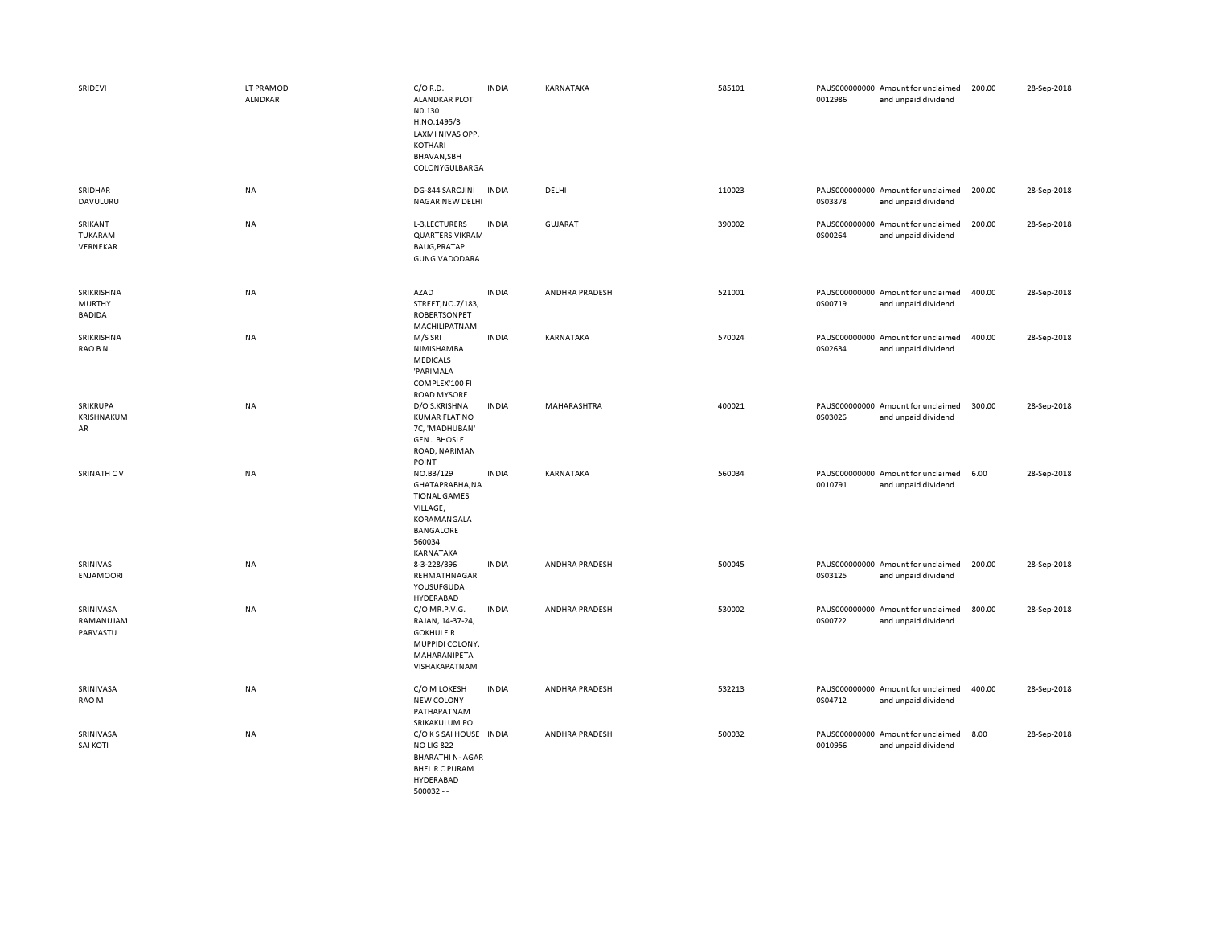| SRIDEVI                                      | LT PRAMOD<br>ALNDKAR | $C/O$ R.D.<br><b>ALANDKAR PLOT</b><br>N0.130<br>H.NO.1495/3<br>LAXMI NIVAS OPP.<br>KOTHARI<br>BHAVAN, SBH<br>COLONYGULBARGA          | <b>INDIA</b> | KARNATAKA      | 585101 | 0012986 | PAUS000000000 Amount for unclaimed<br>and unpaid dividend | 200.00 | 28-Sep-2018 |
|----------------------------------------------|----------------------|--------------------------------------------------------------------------------------------------------------------------------------|--------------|----------------|--------|---------|-----------------------------------------------------------|--------|-------------|
| SRIDHAR<br>DAVULURU                          | NA                   | DG-844 SAROJINI INDIA<br><b>NAGAR NEW DELHI</b>                                                                                      |              | DELHI          | 110023 | 0S03878 | PAUS000000000 Amount for unclaimed<br>and unpaid dividend | 200.00 | 28-Sep-2018 |
| SRIKANT<br>TUKARAM<br>VERNEKAR               | <b>NA</b>            | L-3, LECTURERS<br><b>QUARTERS VIKRAM</b><br>BAUG, PRATAP<br><b>GUNG VADODARA</b>                                                     | <b>INDIA</b> | GUJARAT        | 390002 | 0S00264 | PAUS000000000 Amount for unclaimed<br>and unpaid dividend | 200.00 | 28-Sep-2018 |
| SRIKRISHNA<br><b>MURTHY</b><br><b>BADIDA</b> | NA                   | AZAD<br>STREET, NO.7/183,<br><b>ROBERTSONPET</b><br>MACHILIPATNAM                                                                    | <b>INDIA</b> | ANDHRA PRADESH | 521001 | 0S00719 | PAUS000000000 Amount for unclaimed<br>and unpaid dividend | 400.00 | 28-Sep-2018 |
| SRIKRISHNA<br>RAO B N                        | NA                   | M/S SRI<br>NIMISHAMBA<br><b>MEDICALS</b><br>'PARIMALA<br>COMPLEX'100 FI<br><b>ROAD MYSORE</b>                                        | <b>INDIA</b> | KARNATAKA      | 570024 | 0S02634 | PAUS000000000 Amount for unclaimed<br>and unpaid dividend | 400.00 | 28-Sep-2018 |
| SRIKRUPA<br>KRISHNAKUM<br>AR                 | <b>NA</b>            | D/O S.KRISHNA<br><b>KUMAR FLAT NO</b><br>7C, 'MADHUBAN'<br><b>GEN J BHOSLE</b><br>ROAD, NARIMAN<br>POINT                             | <b>INDIA</b> | MAHARASHTRA    | 400021 | 0S03026 | PAUS000000000 Amount for unclaimed<br>and unpaid dividend | 300.00 | 28-Sep-2018 |
| SRINATH CV                                   | <b>NA</b>            | NO.B3/129<br>GHATAPRABHA, NA<br><b>TIONAL GAMES</b><br>VILLAGE,<br>KORAMANGALA<br>BANGALORE<br>560034<br>KARNATAKA                   | <b>INDIA</b> | KARNATAKA      | 560034 | 0010791 | PAUS000000000 Amount for unclaimed<br>and unpaid dividend | 6.00   | 28-Sep-2018 |
| SRINIVAS<br><b>ENJAMOORI</b>                 | NA                   | 8-3-228/396<br>REHMATHNAGAR<br>YOUSUFGUDA<br>HYDERABAD                                                                               | <b>INDIA</b> | ANDHRA PRADESH | 500045 | 0S03125 | PAUS000000000 Amount for unclaimed<br>and unpaid dividend | 200.00 | 28-Sep-2018 |
| SRINIVASA<br>RAMANUJAM<br>PARVASTU           | <b>NA</b>            | C/O MR.P.V.G.<br>RAJAN, 14-37-24,<br><b>GOKHULE R</b><br>MUPPIDI COLONY,<br>MAHARANIPETA<br>VISHAKAPATNAM                            | <b>INDIA</b> | ANDHRA PRADESH | 530002 | 0S00722 | PAUS000000000 Amount for unclaimed<br>and unpaid dividend | 800.00 | 28-Sep-2018 |
| SRINIVASA<br>RAO M                           | NA                   | C/O M LOKESH<br><b>NEW COLONY</b><br>PATHAPATNAM<br>SRIKAKULUM PO                                                                    | <b>INDIA</b> | ANDHRA PRADESH | 532213 | 0S04712 | PAUS000000000 Amount for unclaimed<br>and unpaid dividend | 400.00 | 28-Sep-2018 |
| SRINIVASA<br><b>SAI KOTI</b>                 | <b>NA</b>            | C/O K S SAI HOUSE IN DIA<br><b>NO LIG 822</b><br><b>BHARATHI N-AGAR</b><br><b>BHEL R C PURAM</b><br><b>HYDERABAD</b><br>$500032 - -$ |              | ANDHRA PRADESH | 500032 | 0010956 | PAUS000000000 Amount for unclaimed<br>and unpaid dividend | 8.00   | 28-Sep-2018 |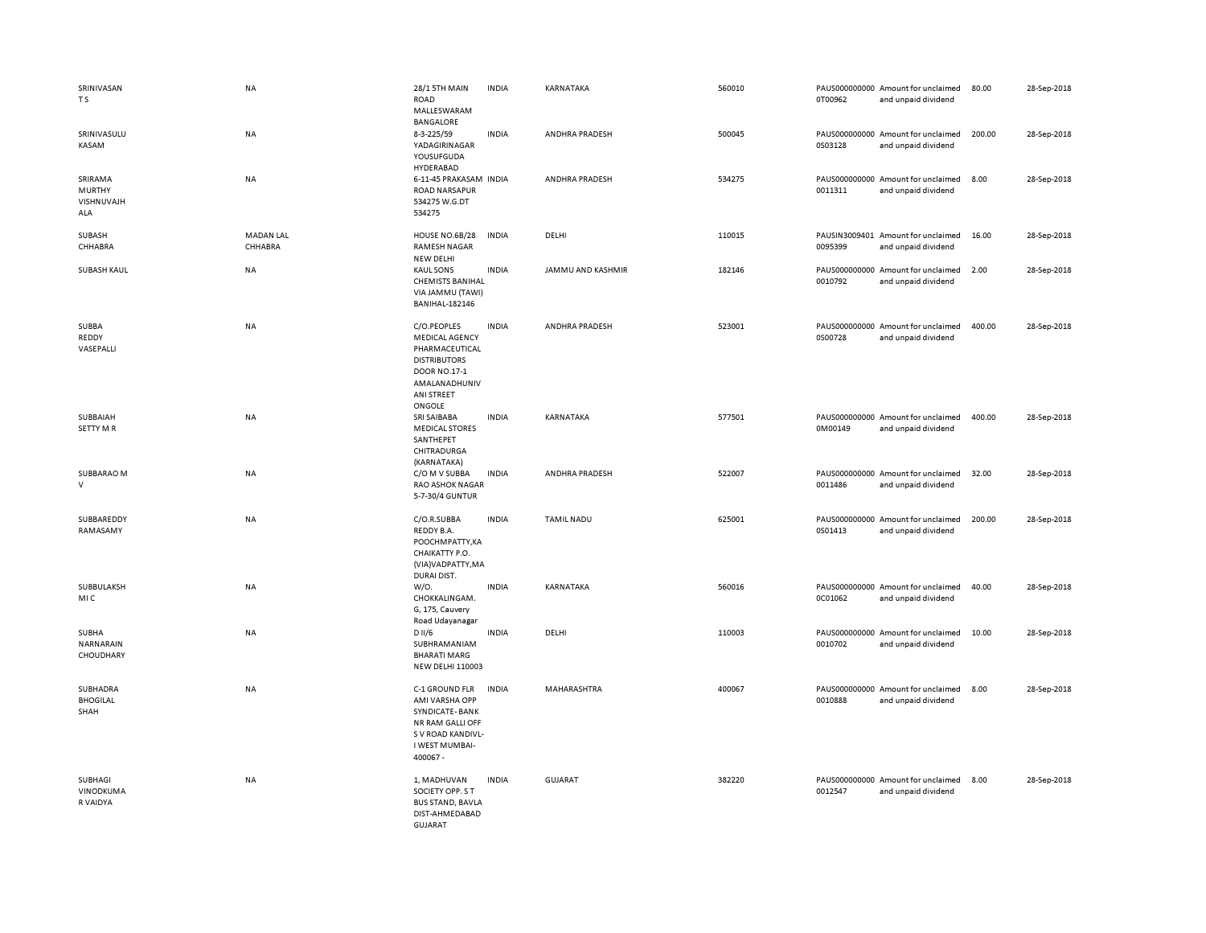| SRINIVASAN<br>T S                             | NA                          | <b>28/1 5TH MAIN</b><br><b>ROAD</b><br>MALLESWARAM<br>BANGALORE                                                                        | <b>INDIA</b> | KARNATAKA         | 560010 | 0T00962 | PAUS000000000 Amount for unclaimed<br>and unpaid dividend | 80.00  | 28-Sep-2018 |
|-----------------------------------------------|-----------------------------|----------------------------------------------------------------------------------------------------------------------------------------|--------------|-------------------|--------|---------|-----------------------------------------------------------|--------|-------------|
| SRINIVASULU<br>KASAM                          | NA                          | 8-3-225/59<br>YADAGIRINAGAR<br>YOUSUFGUDA<br>HYDERABAD                                                                                 | <b>INDIA</b> | ANDHRA PRADESH    | 500045 | 0S03128 | PAUS000000000 Amount for unclaimed<br>and unpaid dividend | 200.00 | 28-Sep-2018 |
| SRIRAMA<br><b>MURTHY</b><br>VISHNUVAJH<br>ALA | NA                          | 6-11-45 PRAKASAM INDIA<br><b>ROAD NARSAPUR</b><br>534275 W.G.DT<br>534275                                                              |              | ANDHRA PRADESH    | 534275 | 0011311 | PAUS000000000 Amount for unclaimed<br>and unpaid dividend | 8.00   | 28-Sep-2018 |
| SUBASH<br>CHHABRA                             | <b>MADAN LAL</b><br>CHHABRA | HOUSE NO.6B/28<br>RAMESH NAGAR<br><b>NEW DELHI</b>                                                                                     | <b>INDIA</b> | DELHI             | 110015 | 0095399 | PAUSIN3009401 Amount for unclaimed<br>and unpaid dividend | 16.00  | 28-Sep-2018 |
| <b>SUBASH KAUL</b>                            | <b>NA</b>                   | <b>KAUL SONS</b><br><b>CHEMISTS BANIHAL</b><br>VIA JAMMU (TAWI)<br><b>BANIHAL-182146</b>                                               | <b>INDIA</b> | JAMMU AND KASHMIR | 182146 | 0010792 | PAUS000000000 Amount for unclaimed<br>and unpaid dividend | 2.00   | 28-Sep-2018 |
| SUBBA<br>REDDY<br>VASEPALLI                   | <b>NA</b>                   | C/O.PEOPLES<br><b>MEDICAL AGENCY</b><br>PHARMACEUTICAL<br><b>DISTRIBUTORS</b><br>DOOR NO.17-1<br>AMALANADHUNIV<br>ANI STREET<br>ONGOLE | <b>INDIA</b> | ANDHRA PRADESH    | 523001 | 0S00728 | PAUS000000000 Amount for unclaimed<br>and unpaid dividend | 400.00 | 28-Sep-2018 |
| SUBBAIAH<br><b>SETTY MR</b>                   | <b>NA</b>                   | SRI SAIBABA<br><b>MEDICAL STORES</b><br>SANTHEPET<br>CHITRADURGA<br>(KARNATAKA)                                                        | <b>INDIA</b> | <b>KARNATAKA</b>  | 577501 | 0M00149 | PAUS000000000 Amount for unclaimed<br>and unpaid dividend | 400.00 | 28-Sep-2018 |
| SUBBARAO M<br>V                               | NA                          | C/O M V SUBBA<br>RAO ASHOK NAGAR<br>5-7-30/4 GUNTUR                                                                                    | <b>INDIA</b> | ANDHRA PRADESH    | 522007 | 0011486 | PAUS000000000 Amount for unclaimed<br>and unpaid dividend | 32.00  | 28-Sep-2018 |
| SUBBAREDDY<br>RAMASAMY                        | <b>NA</b>                   | C/O.R.SUBBA<br>REDDY B.A.<br>POOCHMPATTY, KA<br>CHAIKATTY P.O.<br>(VIA)VADPATTY, MA<br>DURAI DIST.                                     | <b>INDIA</b> | <b>TAMIL NADU</b> | 625001 | 0S01413 | PAUS000000000 Amount for unclaimed<br>and unpaid dividend | 200.00 | 28-Sep-2018 |
| SUBBULAKSH<br>MIC                             | NA                          | W/0.<br>CHOKKALINGAM.<br>G, 175, Cauvery<br>Road Udayanagar                                                                            | <b>INDIA</b> | KARNATAKA         | 560016 | 0C01062 | PAUS000000000 Amount for unclaimed<br>and unpaid dividend | 40.00  | 28-Sep-2018 |
| SUBHA<br>NARNARAIN<br>CHOUDHARY               | NA                          | D II/6<br>SUBHRAMANIAM<br><b>BHARATI MARG</b><br><b>NEW DELHI 110003</b>                                                               | <b>INDIA</b> | DELHI             | 110003 | 0010702 | PAUS000000000 Amount for unclaimed<br>and unpaid dividend | 10.00  | 28-Sep-2018 |
| SUBHADRA<br><b>BHOGILAL</b><br>SHAH           | NA                          | C-1 GROUND FLR<br>AMI VARSHA OPP<br>SYNDICATE-BANK<br>NR RAM GALLI OFF<br>S V ROAD KANDIVL-<br>I WEST MUMBAI-<br>400067 -              | <b>INDIA</b> | MAHARASHTRA       | 400067 | 0010888 | PAUS000000000 Amount for unclaimed<br>and unpaid dividend | 8.00   | 28-Sep-2018 |
| SUBHAGI<br>VINODKUMA<br>R VAIDYA              | NA                          | 1, MADHUVAN<br>SOCIETY OPP. S T<br><b>BUS STAND, BAVLA</b><br>DIST-AHMEDABAD<br>GUJARAT                                                | <b>INDIA</b> | GUJARAT           | 382220 | 0012547 | PAUS000000000 Amount for unclaimed<br>and unpaid dividend | 8.00   | 28-Sep-2018 |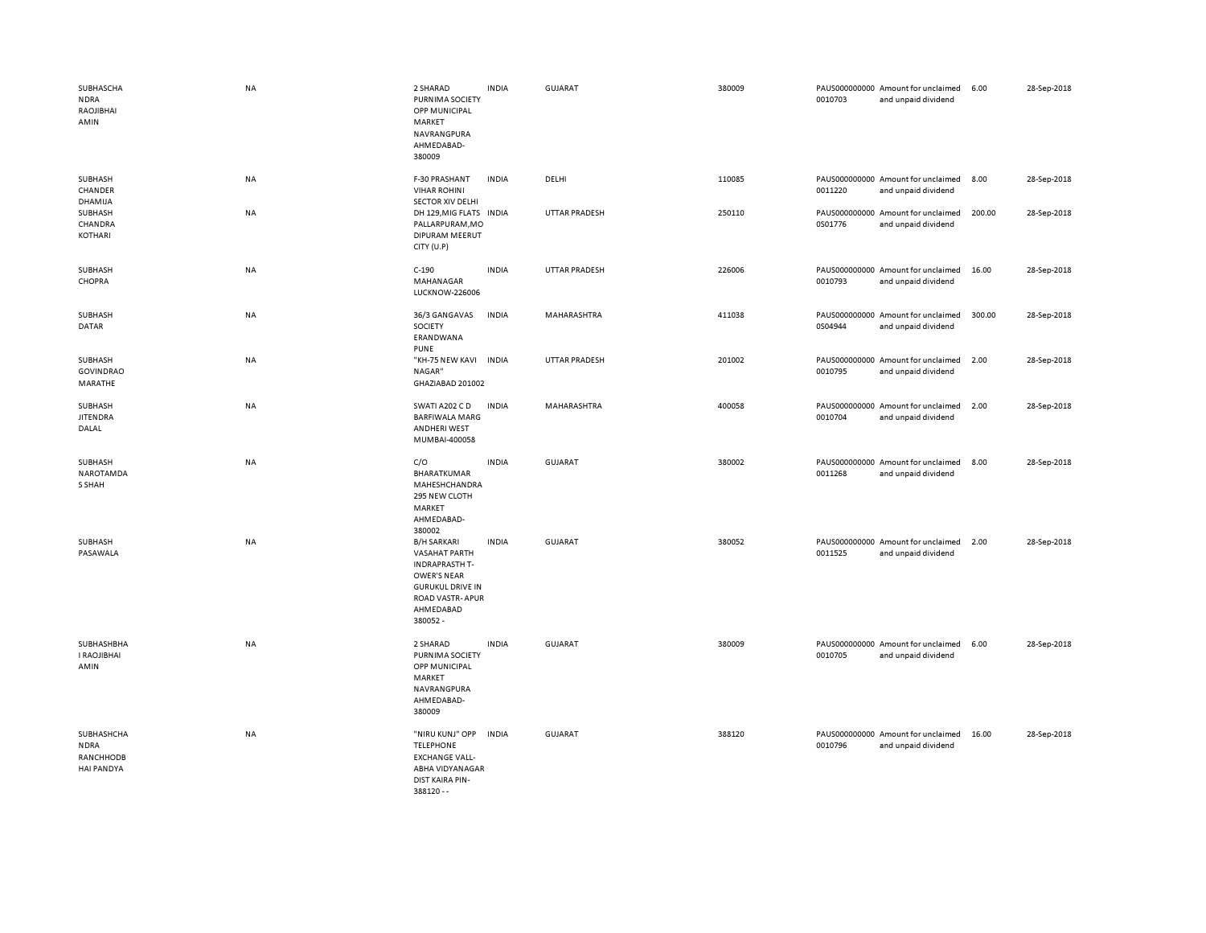| SUBHASCHA<br><b>NDRA</b><br>RAOJIBHAI<br>AMIN               | <b>NA</b> | 2 SHARAD<br>PURNIMA SOCIETY<br>OPP MUNICIPAL<br>MARKET<br>NAVRANGPURA<br>AHMEDABAD-<br>380009                                                                    | <b>INDIA</b> | <b>GUJARAT</b>       | 380009 | 0010703 | PAUS000000000 Amount for unclaimed<br>and unpaid dividend | 6.00   | 28-Sep-2018 |
|-------------------------------------------------------------|-----------|------------------------------------------------------------------------------------------------------------------------------------------------------------------|--------------|----------------------|--------|---------|-----------------------------------------------------------|--------|-------------|
| SUBHASH<br>CHANDER<br>DHAMIJA                               | NA        | F-30 PRASHANT<br><b>VIHAR ROHINI</b><br><b>SECTOR XIV DELHI</b>                                                                                                  | <b>INDIA</b> | DELHI                | 110085 | 0011220 | PAUS000000000 Amount for unclaimed<br>and unpaid dividend | 8.00   | 28-Sep-2018 |
| SUBHASH<br>CHANDRA<br>KOTHARI                               | <b>NA</b> | DH 129, MIG FLATS<br>PALLARPURAM, MO<br>DIPURAM MEERUT<br>CITY (U.P)                                                                                             | <b>INDIA</b> | <b>UTTAR PRADESH</b> | 250110 | 0S01776 | PAUS000000000 Amount for unclaimed<br>and unpaid dividend | 200.00 | 28-Sep-2018 |
| SUBHASH<br>CHOPRA                                           | NA        | $C-190$<br>MAHANAGAR<br><b>LUCKNOW-226006</b>                                                                                                                    | <b>INDIA</b> | <b>UTTAR PRADESH</b> | 226006 | 0010793 | PAUS000000000 Amount for unclaimed<br>and unpaid dividend | 16.00  | 28-Sep-2018 |
| SUBHASH<br>DATAR                                            | NA        | 36/3 GANGAVAS<br>SOCIETY<br>ERANDWANA<br><b>PUNE</b>                                                                                                             | <b>INDIA</b> | MAHARASHTRA          | 411038 | 0S04944 | PAUS000000000 Amount for unclaimed<br>and unpaid dividend | 300.00 | 28-Sep-2018 |
| SUBHASH<br><b>GOVINDRAO</b><br>MARATHE                      | <b>NA</b> | "KH-75 NEW KAVI INDIA<br>NAGAR"<br>GHAZIABAD 201002                                                                                                              |              | <b>UTTAR PRADESH</b> | 201002 | 0010795 | PAUS000000000 Amount for unclaimed<br>and unpaid dividend | 2.00   | 28-Sep-2018 |
| SUBHASH<br><b>JITENDRA</b><br>DALAL                         | NA        | SWATI A202 C D<br><b>BARFIWALA MARG</b><br><b>ANDHERI WEST</b><br>MUMBAI-400058                                                                                  | <b>INDIA</b> | MAHARASHTRA          | 400058 | 0010704 | PAUS000000000 Amount for unclaimed<br>and unpaid dividend | 2.00   | 28-Sep-2018 |
| SUBHASH<br>NAROTAMDA<br>S SHAH                              | <b>NA</b> | C/O<br>BHARATKUMAR<br>MAHESHCHANDRA<br>295 NEW CLOTH<br>MARKET<br>AHMEDABAD-<br>380002                                                                           | <b>INDIA</b> | <b>GUJARAT</b>       | 380002 | 0011268 | PAUS000000000 Amount for unclaimed<br>and unpaid dividend | 8.00   | 28-Sep-2018 |
| SUBHASH<br>PASAWALA                                         | <b>NA</b> | <b>B/H SARKARI</b><br><b>VASAHAT PARTH</b><br><b>INDRAPRASTH T-</b><br><b>OWER'S NEAR</b><br><b>GURUKUL DRIVE IN</b><br>ROAD VASTR-APUR<br>AHMEDABAD<br>380052 - | <b>INDIA</b> | GUJARAT              | 380052 | 0011525 | PAUS000000000 Amount for unclaimed<br>and unpaid dividend | 2.00   | 28-Sep-2018 |
| SUBHASHBHA<br><b>I RAOJIBHAI</b><br>AMIN                    | <b>NA</b> | 2 SHARAD<br>PURNIMA SOCIETY<br>OPP MUNICIPAL<br>MARKET<br>NAVRANGPURA<br>AHMEDABAD-<br>380009                                                                    | <b>INDIA</b> | <b>GUJARAT</b>       | 380009 | 0010705 | PAUS000000000 Amount for unclaimed<br>and unpaid dividend | 6.00   | 28-Sep-2018 |
| SUBHASHCHA<br><b>NDRA</b><br>RANCHHODB<br><b>HAI PANDYA</b> | <b>NA</b> | "NIRU KUNJ" OPP<br><b>TELEPHONE</b><br><b>EXCHANGE VALL-</b><br>ABHA VIDYANAGAR<br>DIST KAIRA PIN-<br>$388120 - -$                                               | <b>INDIA</b> | <b>GUJARAT</b>       | 388120 | 0010796 | PAUS000000000 Amount for unclaimed<br>and unpaid dividend | 16.00  | 28-Sep-2018 |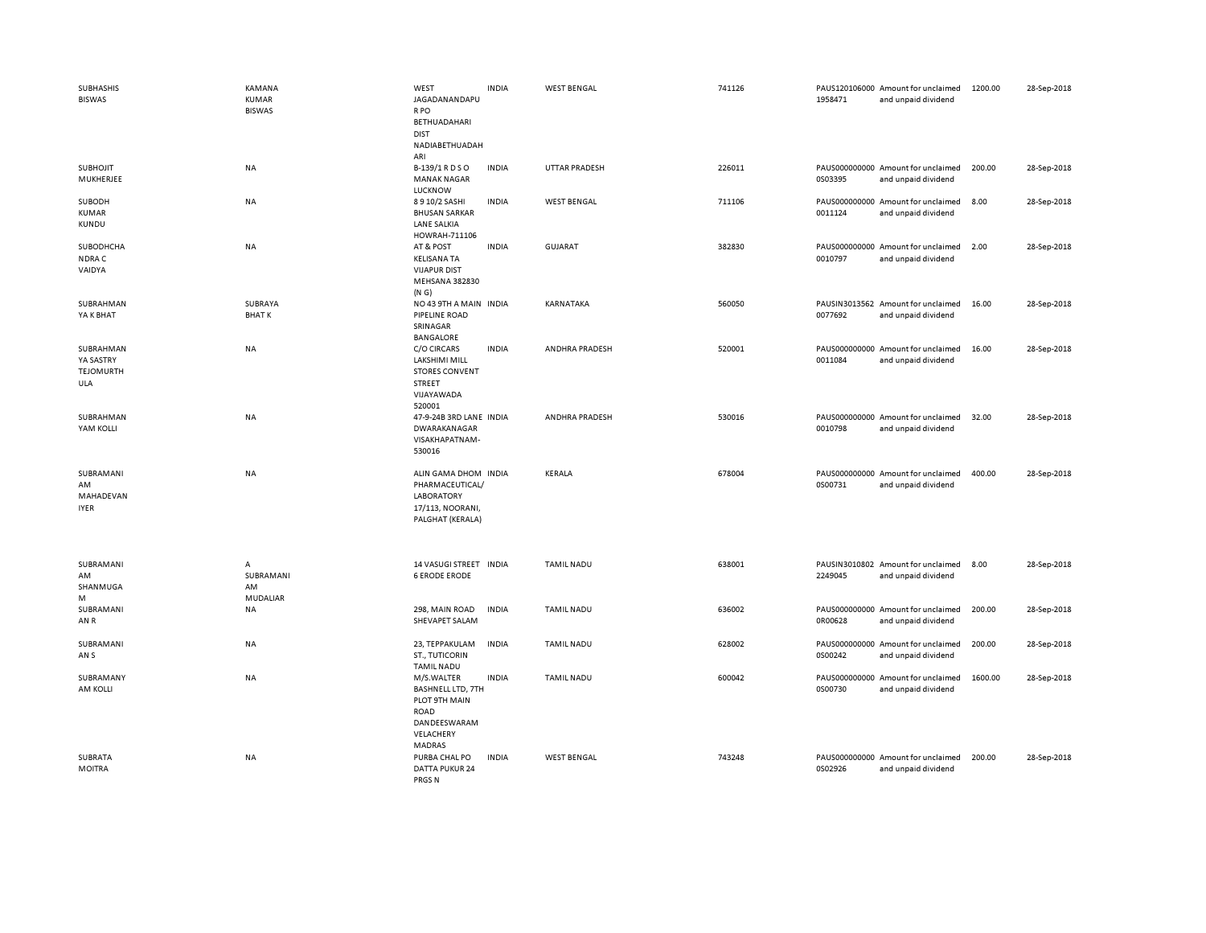| <b>SUBHASHIS</b><br><b>BISWAS</b>                 | <b>KAMANA</b><br><b>KUMAR</b><br><b>BISWAS</b> | WEST<br>JAGADANANDAPU<br>R PO<br>BETHUADAHARI<br><b>DIST</b><br>NADIABETHUADAH                        | <b>INDIA</b> | <b>WEST BENGAL</b> | 741126 | 1958471 | PAUS120106000 Amount for unclaimed<br>and unpaid dividend | 1200.00 | 28-Sep-2018 |
|---------------------------------------------------|------------------------------------------------|-------------------------------------------------------------------------------------------------------|--------------|--------------------|--------|---------|-----------------------------------------------------------|---------|-------------|
| SUBHOJIT<br>MUKHERJEE                             | NA                                             | ARI<br>B-139/1 R D S O<br><b>MANAK NAGAR</b><br>LUCKNOW                                               | <b>INDIA</b> | UTTAR PRADESH      | 226011 | 0S03395 | PAUS000000000 Amount for unclaimed<br>and unpaid dividend | 200.00  | 28-Sep-2018 |
| SUBODH<br><b>KUMAR</b><br>KUNDU                   | <b>NA</b>                                      | 8 9 10/2 SASHI<br><b>BHUSAN SARKAR</b><br><b>LANE SALKIA</b><br>HOWRAH-711106                         | <b>INDIA</b> | <b>WEST BENGAL</b> | 711106 | 0011124 | PAUS000000000 Amount for unclaimed<br>and unpaid dividend | 8.00    | 28-Sep-2018 |
| SUBODHCHA<br>NDRA C<br>VAIDYA                     | NA                                             | AT & POST<br><b>KELISANA TA</b><br><b>VIJAPUR DIST</b><br><b>MEHSANA 382830</b><br>(N G)              | <b>INDIA</b> | GUJARAT            | 382830 | 0010797 | PAUS000000000 Amount for unclaimed<br>and unpaid dividend | 2.00    | 28-Sep-2018 |
| SUBRAHMAN<br>YA K BHAT                            | SUBRAYA<br><b>BHATK</b>                        | NO 43 9TH A MAIN INDIA<br>PIPELINE ROAD<br>SRINAGAR<br><b>BANGALORE</b>                               |              | KARNATAKA          | 560050 | 0077692 | PAUSIN3013562 Amount for unclaimed<br>and unpaid dividend | 16.00   | 28-Sep-2018 |
| SUBRAHMAN<br>YA SASTRY<br><b>TEJOMURTH</b><br>ULA | <b>NA</b>                                      | <b>C/O CIRCARS</b><br>LAKSHIMI MILL<br><b>STORES CONVENT</b><br><b>STREET</b><br>VIJAYAWADA<br>520001 | <b>INDIA</b> | ANDHRA PRADESH     | 520001 | 0011084 | PAUS000000000 Amount for unclaimed<br>and unpaid dividend | 16.00   | 28-Sep-2018 |
| SUBRAHMAN<br>YAM KOLLI                            | <b>NA</b>                                      | 47-9-24B 3RD LANE INDIA<br><b>DWARAKANAGAR</b><br>VISAKHAPATNAM-<br>530016                            |              | ANDHRA PRADESH     | 530016 | 0010798 | PAUS000000000 Amount for unclaimed<br>and unpaid dividend | 32.00   | 28-Sep-2018 |
| SUBRAMANI<br>AM<br>MAHADEVAN<br><b>IYER</b>       | NA                                             | ALIN GAMA DHOM INDIA<br>PHARMACEUTICAL/<br><b>LABORATORY</b><br>17/113, NOORANI,<br>PALGHAT (KERALA)  |              | KERALA             | 678004 | 0S00731 | PAUS000000000 Amount for unclaimed<br>and unpaid dividend | 400.00  | 28-Sep-2018 |
| SUBRAMANI<br>AM<br>SHANMUGA<br>М                  | А<br>SUBRAMANI<br>AM<br>MUDALIAR               | 14 VASUGI STREET INDIA<br><b>6 ERODE ERODE</b>                                                        |              | <b>TAMIL NADU</b>  | 638001 | 2249045 | PAUSIN3010802 Amount for unclaimed<br>and unpaid dividend | 8.00    | 28-Sep-2018 |
| SUBRAMANI<br>AN R                                 | <b>NA</b>                                      | 298, MAIN ROAD<br>SHEVAPET SALAM                                                                      | <b>INDIA</b> | <b>TAMIL NADU</b>  | 636002 | 0R00628 | PAUS000000000 Amount for unclaimed<br>and unpaid dividend | 200.00  | 28-Sep-2018 |
| SUBRAMANI<br>AN S                                 | NA                                             | 23, TEPPAKULAM<br><b>ST., TUTICORIN</b><br><b>TAMIL NADU</b>                                          | <b>INDIA</b> | <b>TAMIL NADU</b>  | 628002 | 0S00242 | PAUS000000000 Amount for unclaimed<br>and unpaid dividend | 200.00  | 28-Sep-2018 |
| SUBRAMANY<br>AM KOLLI                             | <b>NA</b>                                      | M/S.WALTER<br>BASHNELL LTD, 7TH<br>PLOT 9TH MAIN<br>ROAD<br>DANDEESWARAM<br>VELACHERY<br>MADRAS       | <b>INDIA</b> | <b>TAMIL NADU</b>  | 600042 | 0S00730 | PAUS000000000 Amount for unclaimed<br>and unpaid dividend | 1600.00 | 28-Sep-2018 |
| <b>SUBRATA</b><br><b>MOITRA</b>                   | <b>NA</b>                                      | PURBA CHAL PO<br>DATTA PUKUR 24<br>PRGS <sub>N</sub>                                                  | <b>INDIA</b> | <b>WEST BENGAL</b> | 743248 | 0S02926 | PAUS000000000 Amount for unclaimed<br>and unpaid dividend | 200.00  | 28-Sep-2018 |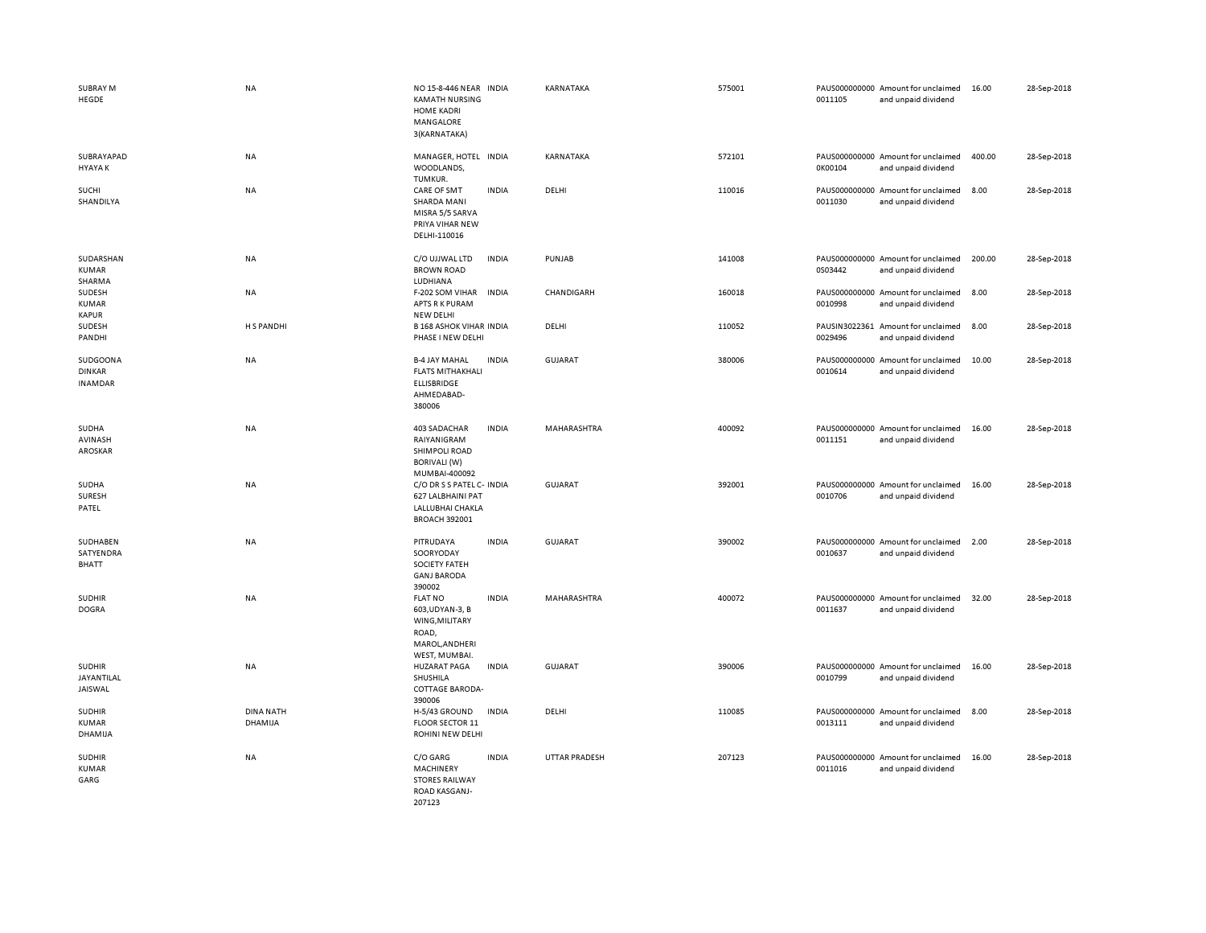| SUBRAY M<br>HEGDE                           | <b>NA</b>                   | NO 15-8-446 NEAR INDIA<br><b>KAMATH NURSING</b><br><b>HOME KADRI</b><br>MANGALORE<br>3(KARNATAKA) |              | KARNATAKA            | 575001 | 0011105 | PAUS000000000 Amount for unclaimed<br>and unpaid dividend | 16.00  | 28-Sep-2018 |
|---------------------------------------------|-----------------------------|---------------------------------------------------------------------------------------------------|--------------|----------------------|--------|---------|-----------------------------------------------------------|--------|-------------|
| SUBRAYAPAD<br><b>HYAYAK</b>                 | NA                          | MANAGER, HOTEL INDIA<br>WOODLANDS,<br>TUMKUR.                                                     |              | KARNATAKA            | 572101 | 0K00104 | PAUS000000000 Amount for unclaimed<br>and unpaid dividend | 400.00 | 28-Sep-2018 |
| SUCHI<br>SHANDILYA                          | <b>NA</b>                   | CARE OF SMT<br>SHARDA MANI<br>MISRA 5/5 SARVA<br>PRIYA VIHAR NEW<br>DELHI-110016                  | <b>INDIA</b> | DELHI                | 110016 | 0011030 | PAUS000000000 Amount for unclaimed<br>and unpaid dividend | 8.00   | 28-Sep-2018 |
| SUDARSHAN<br><b>KUMAR</b><br>SHARMA         | <b>NA</b>                   | C/O UJJWAL LTD<br><b>BROWN ROAD</b><br>LUDHIANA                                                   | <b>INDIA</b> | PUNJAB               | 141008 | 0S03442 | PAUS000000000 Amount for unclaimed<br>and unpaid dividend | 200.00 | 28-Sep-2018 |
| SUDESH<br><b>KUMAR</b><br><b>KAPUR</b>      | NA                          | F-202 SOM VIHAR<br>APTS R K PURAM<br><b>NEW DELHI</b>                                             | <b>INDIA</b> | CHANDIGARH           | 160018 | 0010998 | PAUS000000000 Amount for unclaimed<br>and unpaid dividend | 8.00   | 28-Sep-2018 |
| SUDESH<br>PANDHI                            | H S PANDHI                  | <b>B 168 ASHOK VIHAR INDIA</b><br>PHASE I NEW DELHI                                               |              | DELHI                | 110052 | 0029496 | PAUSIN3022361 Amount for unclaimed<br>and unpaid dividend | 8.00   | 28-Sep-2018 |
| SUDGOONA<br><b>DINKAR</b><br><b>INAMDAR</b> | NA                          | <b>B-4 JAY MAHAL</b><br><b>FLATS MITHAKHALI</b><br><b>ELLISBRIDGE</b><br>AHMEDABAD-<br>380006     | <b>INDIA</b> | <b>GUJARAT</b>       | 380006 | 0010614 | PAUS000000000 Amount for unclaimed<br>and unpaid dividend | 10.00  | 28-Sep-2018 |
| SUDHA<br>AVINASH<br>AROSKAR                 | NA                          | 403 SADACHAR<br>RAIYANIGRAM<br><b>SHIMPOLI ROAD</b><br><b>BORIVALI (W)</b><br>MUMBAI-400092       | <b>INDIA</b> | MAHARASHTRA          | 400092 | 0011151 | PAUS000000000 Amount for unclaimed<br>and unpaid dividend | 16.00  | 28-Sep-2018 |
| SUDHA<br>SURESH<br>PATEL                    | <b>NA</b>                   | C/O DR S S PATEL C- INDIA<br>627 LALBHAINI PAT<br>LALLUBHAI CHAKLA<br><b>BROACH 392001</b>        |              | GUJARAT              | 392001 | 0010706 | PAUS000000000 Amount for unclaimed<br>and unpaid dividend | 16.00  | 28-Sep-2018 |
| SUDHABEN<br>SATYENDRA<br><b>BHATT</b>       | NA                          | PITRUDAYA<br>SOORYODAY<br><b>SOCIETY FATEH</b><br><b>GANJ BARODA</b><br>390002                    | <b>INDIA</b> | <b>GUJARAT</b>       | 390002 | 0010637 | PAUS000000000 Amount for unclaimed<br>and unpaid dividend | 2.00   | 28-Sep-2018 |
| <b>SUDHIR</b><br><b>DOGRA</b>               | <b>NA</b>                   | <b>FLAT NO</b><br>603, UDYAN-3, B<br>WING, MILITARY<br>ROAD,<br>MAROL, ANDHERI<br>WEST, MUMBAI.   | <b>INDIA</b> | MAHARASHTRA          | 400072 | 0011637 | PAUS000000000 Amount for unclaimed<br>and unpaid dividend | 32.00  | 28-Sep-2018 |
| <b>SUDHIR</b><br>JAYANTILAL<br>JAISWAL      | <b>NA</b>                   | <b>HUZARAT PAGA</b><br>SHUSHILA<br>COTTAGE BARODA-<br>390006                                      | <b>INDIA</b> | GUJARAT              | 390006 | 0010799 | PAUS000000000 Amount for unclaimed<br>and unpaid dividend | 16.00  | 28-Sep-2018 |
| <b>SUDHIR</b><br><b>KUMAR</b><br>DHAMIJA    | <b>DINA NATH</b><br>DHAMIJA | H-5/43 GROUND<br><b>FLOOR SECTOR 11</b><br>ROHINI NEW DELHI                                       | <b>INDIA</b> | DELHI                | 110085 | 0013111 | PAUS000000000 Amount for unclaimed<br>and unpaid dividend | 8.00   | 28-Sep-2018 |
| <b>SUDHIR</b><br><b>KUMAR</b><br>GARG       | <b>NA</b>                   | C/O GARG<br>MACHINERY<br><b>STORES RAILWAY</b><br>ROAD KASGANJ-<br>207123                         | <b>INDIA</b> | <b>UTTAR PRADESH</b> | 207123 | 0011016 | PAUS000000000 Amount for unclaimed<br>and unpaid dividend | 16.00  | 28-Sep-2018 |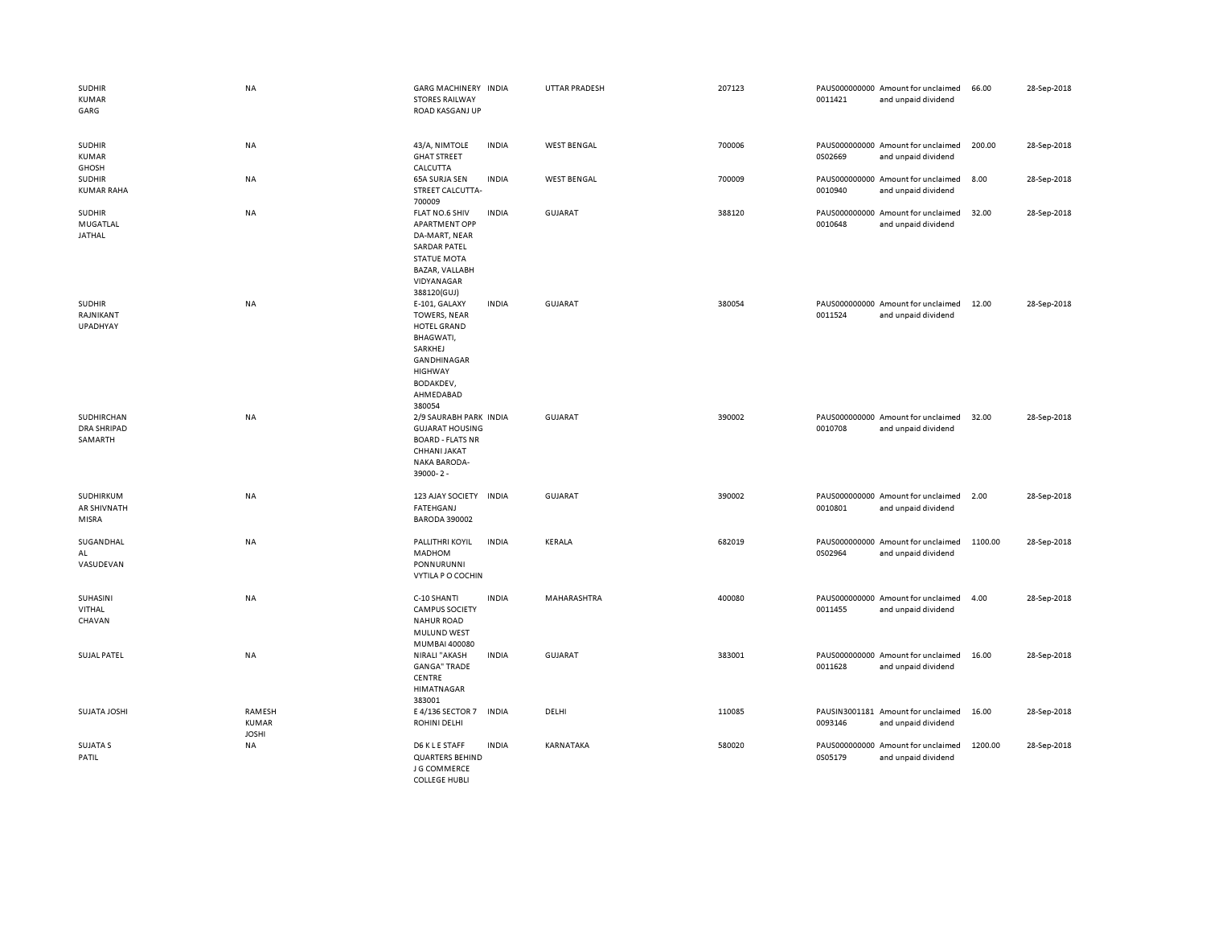| <b>SUDHIR</b><br><b>KUMAR</b><br>GARG       | <b>NA</b>                       | <b>GARG MACHINERY INDIA</b><br><b>STORES RAILWAY</b><br>ROAD KASGANJ UP                                                                                 |              | <b>UTTAR PRADESH</b> | 207123 | 0011421 | PAUS000000000 Amount for unclaimed<br>and unpaid dividend | 66.00   | 28-Sep-2018 |
|---------------------------------------------|---------------------------------|---------------------------------------------------------------------------------------------------------------------------------------------------------|--------------|----------------------|--------|---------|-----------------------------------------------------------|---------|-------------|
| <b>SUDHIR</b><br>KUMAR<br><b>GHOSH</b>      | NA                              | 43/A, NIMTOLE<br><b>GHAT STREET</b><br>CALCUTTA                                                                                                         | <b>INDIA</b> | <b>WEST BENGAL</b>   | 700006 | 0S02669 | PAUS000000000 Amount for unclaimed<br>and unpaid dividend | 200.00  | 28-Sep-2018 |
| <b>SUDHIR</b><br><b>KUMAR RAHA</b>          | NA                              | 65A SURJA SEN<br>STREET CALCUTTA-<br>700009                                                                                                             | <b>INDIA</b> | <b>WEST BENGAL</b>   | 700009 | 0010940 | PAUS000000000 Amount for unclaimed<br>and unpaid dividend | 8.00    | 28-Sep-2018 |
| <b>SUDHIR</b><br><b>MUGATLAL</b><br>JATHAL  | NA                              | FLAT NO.6 SHIV<br><b>APARTMENT OPP</b><br>DA-MART, NEAR<br><b>SARDAR PATEL</b><br><b>STATUE MOTA</b><br>BAZAR, VALLABH<br>VIDYANAGAR<br>388120(GUJ)     | <b>INDIA</b> | <b>GUJARAT</b>       | 388120 | 0010648 | PAUS000000000 Amount for unclaimed<br>and unpaid dividend | 32.00   | 28-Sep-2018 |
| <b>SUDHIR</b><br>RAJNIKANT<br>UPADHYAY      | <b>NA</b>                       | E-101, GALAXY<br><b>TOWERS, NEAR</b><br>HOTEL GRAND<br>BHAGWATI,<br>SARKHEJ<br>GANDHINAGAR<br><b>HIGHWAY</b><br><b>BODAKDEV,</b><br>AHMEDABAD<br>380054 | <b>INDIA</b> | <b>GUJARAT</b>       | 380054 | 0011524 | PAUS000000000 Amount for unclaimed<br>and unpaid dividend | 12.00   | 28-Sep-2018 |
| SUDHIRCHAN<br><b>DRA SHRIPAD</b><br>SAMARTH | <b>NA</b>                       | 2/9 SAURABH PARK INDIA<br><b>GUJARAT HOUSING</b><br><b>BOARD - FLATS NR</b><br>CHHANI JAKAT<br><b>NAKA BARODA-</b><br>39000-2-                          |              | <b>GUJARAT</b>       | 390002 | 0010708 | PAUS000000000 Amount for unclaimed<br>and unpaid dividend | 32.00   | 28-Sep-2018 |
| SUDHIRKUM<br>AR SHIVNATH<br>MISRA           | NA                              | 123 AJAY SOCIETY INDIA<br>FATEHGANJ<br><b>BARODA 390002</b>                                                                                             |              | GUJARAT              | 390002 | 0010801 | PAUS000000000 Amount for unclaimed<br>and unpaid dividend | 2.00    | 28-Sep-2018 |
| SUGANDHAL<br>AL<br>VASUDEVAN                | <b>NA</b>                       | PALLITHRI KOYIL<br><b>MADHOM</b><br>PONNURUNNI<br>VYTILA P O COCHIN                                                                                     | <b>INDIA</b> | KERALA               | 682019 | 0S02964 | PAUS000000000 Amount for unclaimed<br>and unpaid dividend | 1100.00 | 28-Sep-2018 |
| SUHASINI<br>VITHAL<br>CHAVAN                | <b>NA</b>                       | C-10 SHANTI<br><b>CAMPUS SOCIETY</b><br><b>NAHUR ROAD</b><br>MULUND WEST<br>MUMBAI 400080                                                               | <b>INDIA</b> | MAHARASHTRA          | 400080 | 0011455 | PAUS000000000 Amount for unclaimed<br>and unpaid dividend | 4.00    | 28-Sep-2018 |
| <b>SUJAL PATEL</b>                          | <b>NA</b>                       | NIRALI "AKASH<br><b>GANGA" TRADE</b><br>CENTRE<br><b>HIMATNAGAR</b><br>383001                                                                           | <b>INDIA</b> | <b>GUJARAT</b>       | 383001 | 0011628 | PAUS000000000 Amount for unclaimed<br>and unpaid dividend | 16.00   | 28-Sep-2018 |
| <b>SUJATA JOSHI</b>                         | RAMESH<br>KUMAR<br><b>JOSHI</b> | E 4/136 SECTOR 7<br><b>ROHINI DELHI</b>                                                                                                                 | <b>INDIA</b> | DELHI                | 110085 | 0093146 | PAUSIN3001181 Amount for unclaimed<br>and unpaid dividend | 16.00   | 28-Sep-2018 |
| SUJATA S<br>PATIL                           | NA                              | D6 K L E STAFF<br><b>QUARTERS BEHIND</b><br>J G COMMERCE<br><b>COLLEGE HUBLI</b>                                                                        | <b>INDIA</b> | KARNATAKA            | 580020 | 0S05179 | PAUS000000000 Amount for unclaimed<br>and unpaid dividend | 1200.00 | 28-Sep-2018 |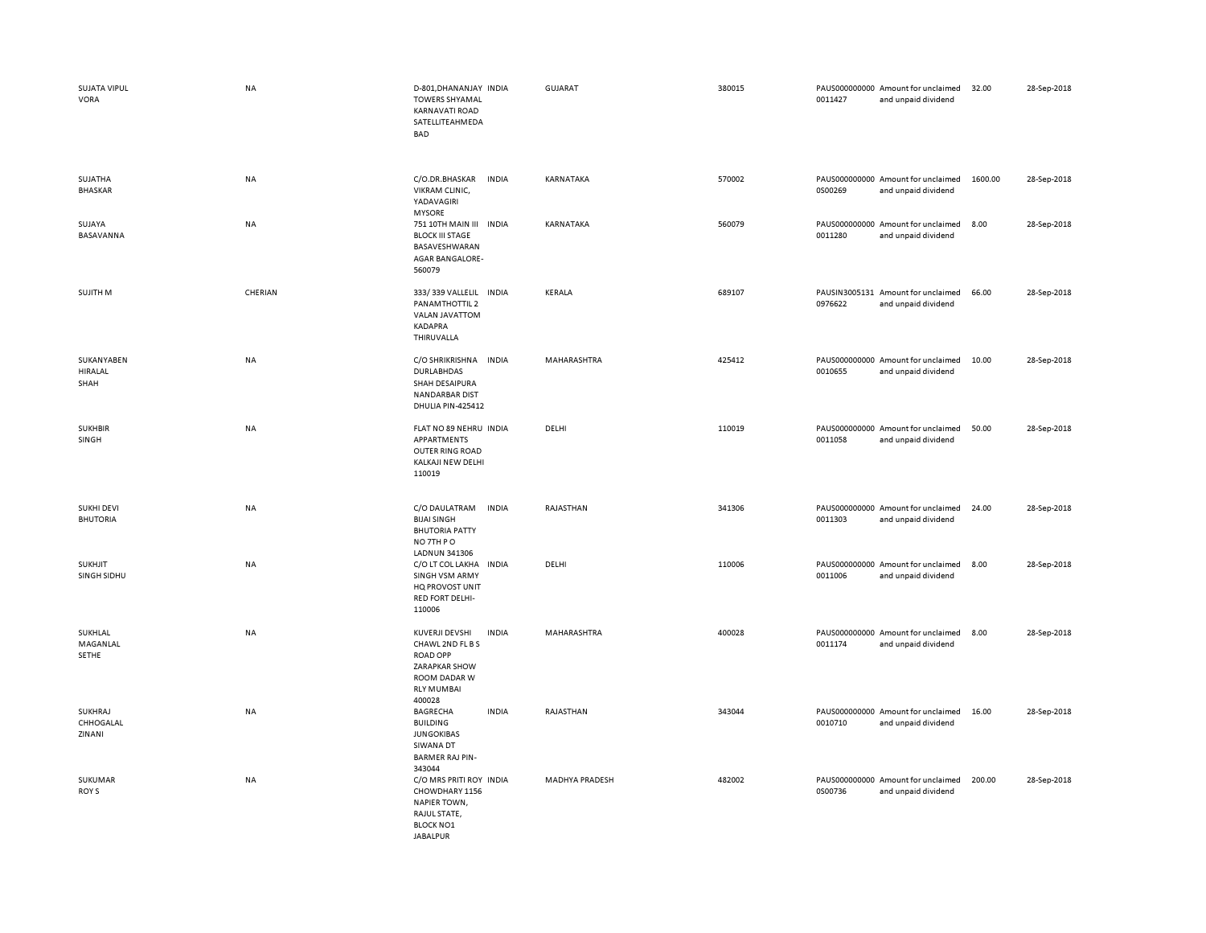| SUJATA VIPUL<br>VORA                 | NA      | D-801, DHANANJAY INDIA<br><b>TOWERS SHYAMAL</b><br><b>KARNAVATI ROAD</b><br>SATELLITEAHMEDA<br><b>BAD</b>                    |              | GUJARAT        | 380015 | 0011427 | PAUS000000000 Amount for unclaimed<br>and unpaid dividend | 32.00   | 28-Sep-2018 |
|--------------------------------------|---------|------------------------------------------------------------------------------------------------------------------------------|--------------|----------------|--------|---------|-----------------------------------------------------------|---------|-------------|
| SUJATHA<br><b>BHASKAR</b>            | NA      | C/O.DR.BHASKAR<br>VIKRAM CLINIC,<br>YADAVAGIRI<br><b>MYSORE</b>                                                              | <b>INDIA</b> | KARNATAKA      | 570002 | 0S00269 | PAUS000000000 Amount for unclaimed<br>and unpaid dividend | 1600.00 | 28-Sep-2018 |
| SUJAYA<br>BASAVANNA                  | NA      | 751 10TH MAIN III INDIA<br><b>BLOCK III STAGE</b><br>BASAVESHWARAN<br><b>AGAR BANGALORE-</b><br>560079                       |              | KARNATAKA      | 560079 | 0011280 | PAUS000000000 Amount for unclaimed<br>and unpaid dividend | 8.00    | 28-Sep-2018 |
| SUJITH M                             | CHERIAN | 333/339 VALLELIL INDIA<br>PANAMTHOTTIL 2<br>VALAN JAVATTOM<br>KADAPRA<br>THIRUVALLA                                          |              | KERALA         | 689107 | 0976622 | PAUSIN3005131 Amount for unclaimed<br>and unpaid dividend | 66.00   | 28-Sep-2018 |
| SUKANYABEN<br>HIRALAL<br>SHAH        | NA      | C/O SHRIKRISHNA<br><b>DURLABHDAS</b><br>SHAH DESAIPURA<br><b>NANDARBAR DIST</b><br>DHULIA PIN-425412                         | <b>INDIA</b> | MAHARASHTRA    | 425412 | 0010655 | PAUS000000000 Amount for unclaimed<br>and unpaid dividend | 10.00   | 28-Sep-2018 |
| <b>SUKHBIR</b><br>SINGH              | NA      | FLAT NO 89 NEHRU INDIA<br>APPARTMENTS<br>OUTER RING ROAD<br>KALKAJI NEW DELHI<br>110019                                      |              | DELHI          | 110019 | 0011058 | PAUS000000000 Amount for unclaimed<br>and unpaid dividend | 50.00   | 28-Sep-2018 |
| <b>SUKHI DEVI</b><br><b>BHUTORIA</b> | NA      | C/O DAULATRAM<br><b>BIJAI SINGH</b><br><b>BHUTORIA PATTY</b><br>NO 7TH PO<br>LADNUN 341306                                   | <b>INDIA</b> | RAJASTHAN      | 341306 | 0011303 | PAUS000000000 Amount for unclaimed<br>and unpaid dividend | 24.00   | 28-Sep-2018 |
| <b>SUKHJIT</b><br>SINGH SIDHU        | NA      | C/O LT COL LAKHA<br><b>SINGH VSM ARMY</b><br>HQ PROVOST UNIT<br>RED FORT DELHI-<br>110006                                    | INDIA        | DELHI          | 110006 | 0011006 | PAUS000000000 Amount for unclaimed<br>and unpaid dividend | 8.00    | 28-Sep-2018 |
| SUKHLAL<br>MAGANLAL<br>SETHE         | NA      | KUVERJI DEVSHI<br>CHAWL 2ND FL B S<br><b>ROAD OPP</b><br><b>ZARAPKAR SHOW</b><br>ROOM DADAR W<br><b>RLY MUMBAI</b><br>400028 | <b>INDIA</b> | MAHARASHTRA    | 400028 | 0011174 | PAUS000000000 Amount for unclaimed<br>and unpaid dividend | 8.00    | 28-Sep-2018 |
| SUKHRAJ<br>CHHOGALAL<br>ZINANI       | NA      | BAGRECHA<br><b>BUILDING</b><br><b>JUNGOKIBAS</b><br>SIWANA DT<br><b>BARMER RAJ PIN-</b><br>343044                            | <b>INDIA</b> | RAJASTHAN      | 343044 | 0010710 | PAUS000000000 Amount for unclaimed<br>and unpaid dividend | 16.00   | 28-Sep-2018 |
| SUKUMAR<br>ROY S                     | NA      | C/O MRS PRITI ROY INDIA<br>CHOWDHARY 1156<br><b>NAPIER TOWN,</b><br>RAJUL STATE,<br><b>BLOCK NO1</b><br><b>JARAIPUR</b>      |              | MADHYA PRADESH | 482002 | 0S00736 | PAUS000000000 Amount for unclaimed<br>and unpaid dividend | 200.00  | 28-Sep-2018 |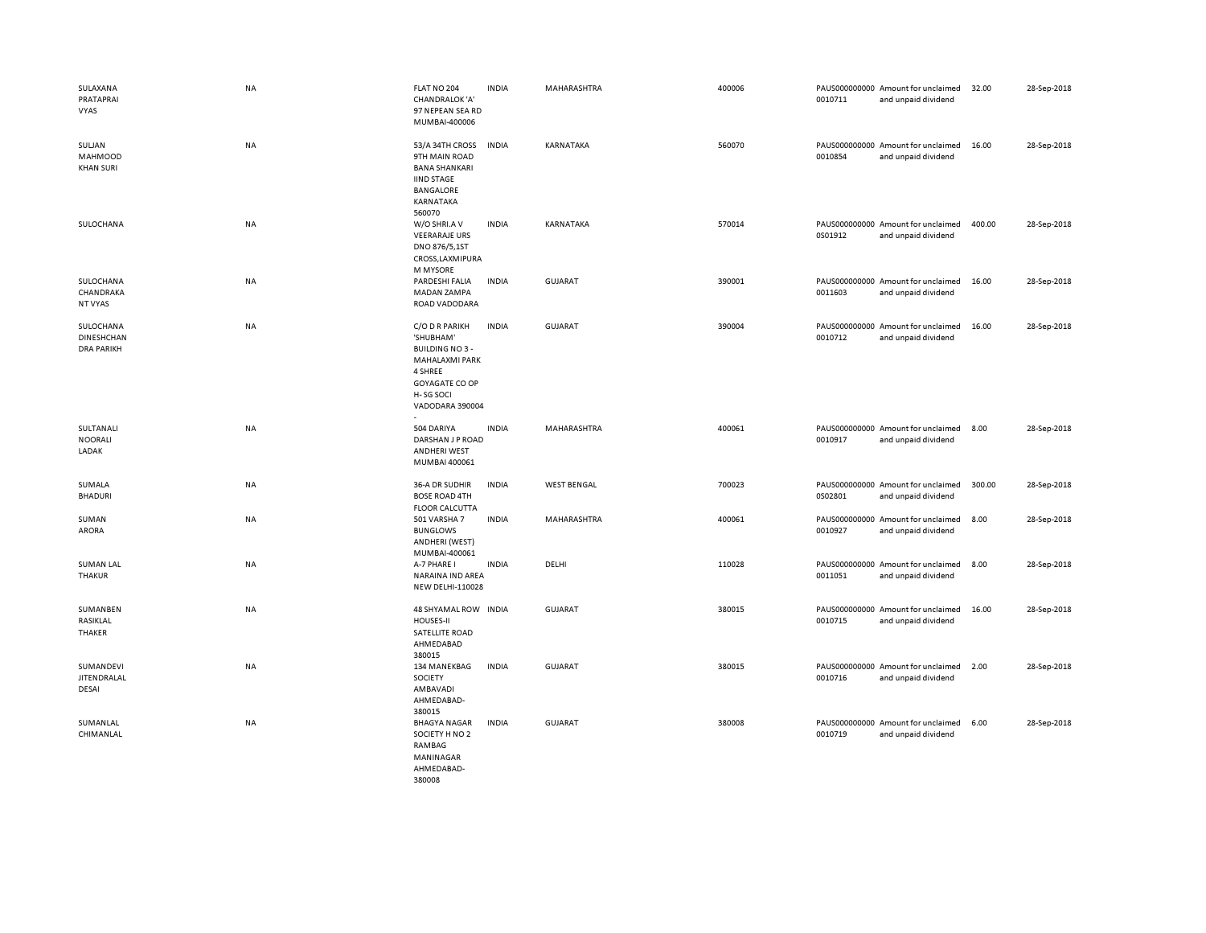| SULAXANA<br>PRATAPRAI<br><b>VYAS</b>                | NA        | FLAT NO 204<br>CHANDRALOK 'A'<br>97 NEPEAN SEA RD<br>MUMBAI-400006                                                                 | <b>INDIA</b> | MAHARASHTRA        | 400006 | 0010711 | PAUS000000000 Amount for unclaimed<br>and unpaid dividend | 32.00  | 28-Sep-2018 |
|-----------------------------------------------------|-----------|------------------------------------------------------------------------------------------------------------------------------------|--------------|--------------------|--------|---------|-----------------------------------------------------------|--------|-------------|
| SULJAN<br>MAHMOOD<br><b>KHAN SURI</b>               | NA        | 53/A 34TH CROSS<br>9TH MAIN ROAD<br><b>BANA SHANKARI</b><br><b>IIND STAGE</b><br><b>BANGALORE</b><br>KARNATAKA<br>560070           | <b>INDIA</b> | KARNATAKA          | 560070 | 0010854 | PAUS000000000 Amount for unclaimed<br>and unpaid dividend | 16.00  | 28-Sep-2018 |
| SULOCHANA                                           | NA        | W/O SHRI.A V<br><b>VEERARAJE URS</b><br>DNO 876/5,1ST<br>CROSS, LAXMIPURA<br>M MYSORE                                              | <b>INDIA</b> | KARNATAKA          | 570014 | 0S01912 | PAUS000000000 Amount for unclaimed<br>and unpaid dividend | 400.00 | 28-Sep-2018 |
| SULOCHANA<br>CHANDRAKA<br>NT VYAS                   | NA        | PARDESHI FALIA<br>MADAN ZAMPA<br>ROAD VADODARA                                                                                     | <b>INDIA</b> | <b>GUJARAT</b>     | 390001 | 0011603 | PAUS000000000 Amount for unclaimed<br>and unpaid dividend | 16.00  | 28-Sep-2018 |
| SULOCHANA<br><b>DINESHCHAN</b><br><b>DRA PARIKH</b> | NA        | C/O D R PARIKH<br>'SHUBHAM'<br><b>BUILDING NO3-</b><br>MAHALAXMI PARK<br>4 SHREE<br>GOYAGATE CO OP<br>H-SG SOCI<br>VADODARA 390004 | <b>INDIA</b> | <b>GUJARAT</b>     | 390004 | 0010712 | PAUS000000000 Amount for unclaimed<br>and unpaid dividend | 16.00  | 28-Sep-2018 |
| SULTANALI<br><b>NOORALI</b><br>LADAK                | NA        | 504 DARIYA<br>DARSHAN J P ROAD<br><b>ANDHERI WEST</b><br>MUMBAI 400061                                                             | <b>INDIA</b> | MAHARASHTRA        | 400061 | 0010917 | PAUS000000000 Amount for unclaimed<br>and unpaid dividend | 8.00   | 28-Sep-2018 |
| SUMALA<br><b>BHADURI</b>                            | NA        | 36-A DR SUDHIR<br><b>BOSE ROAD 4TH</b><br><b>FLOOR CALCUTTA</b>                                                                    | <b>INDIA</b> | <b>WEST BENGAL</b> | 700023 | 0S02801 | PAUS000000000 Amount for unclaimed<br>and unpaid dividend | 300.00 | 28-Sep-2018 |
| SUMAN<br>ARORA                                      | NA        | 501 VARSHA 7<br><b>BUNGLOWS</b><br>ANDHERI (WEST)<br>MUMBAI-400061                                                                 | <b>INDIA</b> | MAHARASHTRA        | 400061 | 0010927 | PAUS000000000 Amount for unclaimed<br>and unpaid dividend | 8.00   | 28-Sep-2018 |
| <b>SUMAN LAL</b><br><b>THAKUR</b>                   | NA        | A-7 PHARE I<br>NARAINA IND AREA<br>NEW DELHI-110028                                                                                | <b>INDIA</b> | DELHI              | 110028 | 0011051 | PAUS000000000 Amount for unclaimed<br>and unpaid dividend | 8.00   | 28-Sep-2018 |
| SUMANBEN<br>RASIKLAL<br>THAKER                      | NA        | 48 SHYAMAL ROW INDIA<br>HOUSES-II<br>SATELLITE ROAD<br>AHMEDABAD<br>380015                                                         |              | <b>GUJARAT</b>     | 380015 | 0010715 | PAUS000000000 Amount for unclaimed<br>and unpaid dividend | 16.00  | 28-Sep-2018 |
| SUMANDEVI<br>JITENDRALAL<br>DESAI                   | <b>NA</b> | 134 MANEKBAG<br>SOCIETY<br>AMBAVADI<br>AHMEDABAD-<br>380015                                                                        | <b>INDIA</b> | <b>GUJARAT</b>     | 380015 | 0010716 | PAUS000000000 Amount for unclaimed<br>and unpaid dividend | 2.00   | 28-Sep-2018 |
| SUMANLAL<br>CHIMANLAL                               | <b>NA</b> | <b>BHAGYA NAGAR</b><br>SOCIETY H NO 2<br>RAMBAG<br>MANINAGAR<br>AHMEDABAD-<br>380008                                               | <b>INDIA</b> | <b>GUJARAT</b>     | 380008 | 0010719 | PAUS000000000 Amount for unclaimed<br>and unpaid dividend | 6.00   | 28-Sep-2018 |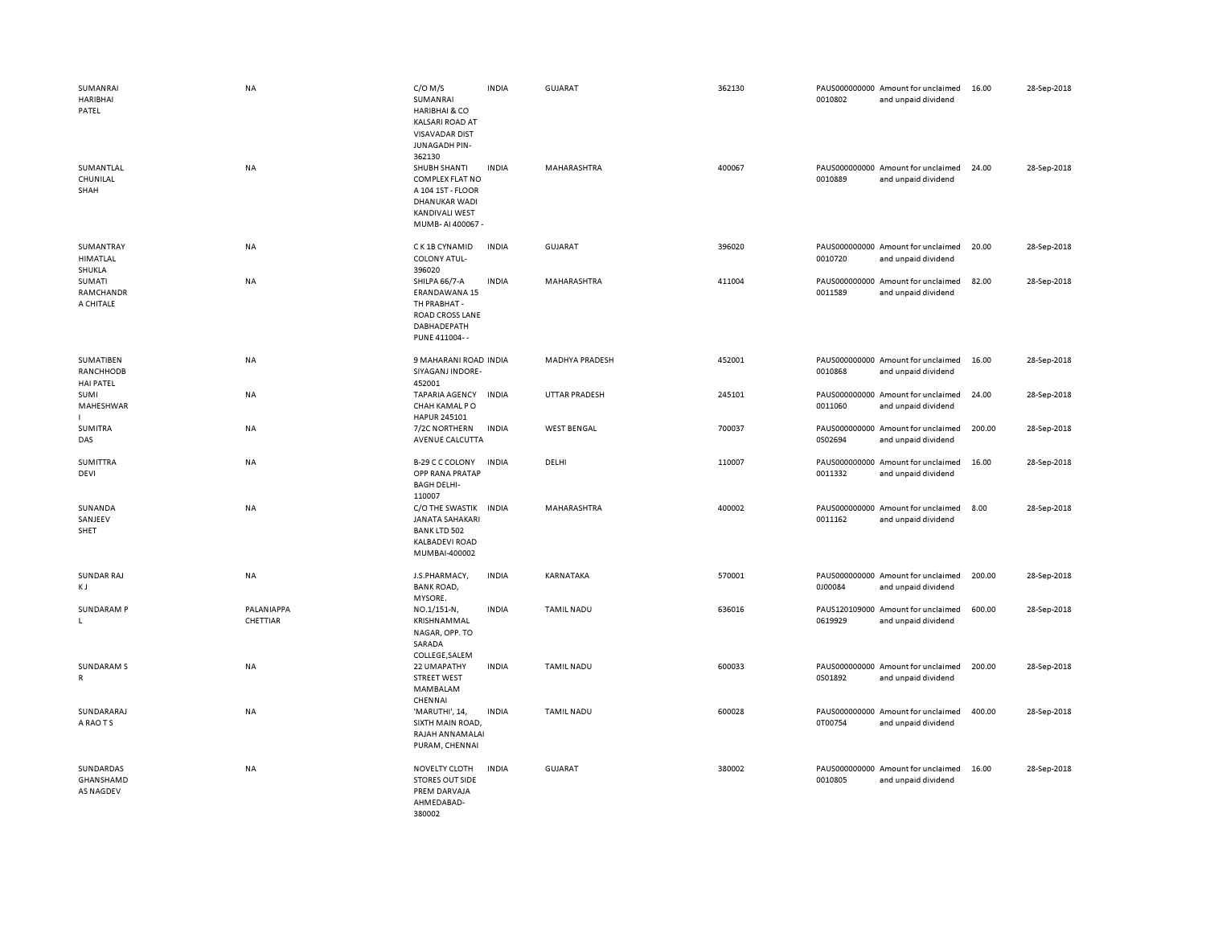| SUMANRAI<br><b>HARIBHAI</b><br>PATEL       | NA                     | $C/O$ M/S<br>SUMANRAI<br>HARIBHAI & CO<br><b>KALSARI ROAD AT</b><br><b>VISAVADAR DIST</b><br>JUNAGADH PIN-<br>362130      | <b>INDIA</b> | <b>GUJARAT</b>        | 362130 | 0010802 | PAUS000000000 Amount for unclaimed<br>and unpaid dividend | 16.00  | 28-Sep-2018 |
|--------------------------------------------|------------------------|---------------------------------------------------------------------------------------------------------------------------|--------------|-----------------------|--------|---------|-----------------------------------------------------------|--------|-------------|
| SUMANTLAL<br>CHUNILAL<br>SHAH              | <b>NA</b>              | SHUBH SHANTI<br><b>COMPLEX FLAT NO</b><br>A 104 1ST - FLOOR<br>DHANUKAR WADI<br><b>KANDIVALI WEST</b><br>MUMB-AI 400067 - | <b>INDIA</b> | MAHARASHTRA           | 400067 | 0010889 | PAUS000000000 Amount for unclaimed<br>and unpaid dividend | 24.00  | 28-Sep-2018 |
| SUMANTRAY<br><b>HIMATLAL</b><br>SHUKLA     | NA                     | C K 1B CYNAMID<br>COLONY ATUL-<br>396020                                                                                  | <b>INDIA</b> | <b>GUJARAT</b>        | 396020 | 0010720 | PAUS000000000 Amount for unclaimed<br>and unpaid dividend | 20.00  | 28-Sep-2018 |
| SUMATI<br>RAMCHANDR<br>A CHITALE           | NA                     | SHILPA 66/7-A<br>ERANDAWANA 15<br>TH PRABHAT -<br>ROAD CROSS LANE<br>DABHADEPATH<br>PUNE 411004--                         | <b>INDIA</b> | MAHARASHTRA           | 411004 | 0011589 | PAUS000000000 Amount for unclaimed<br>and unpaid dividend | 82.00  | 28-Sep-2018 |
| SUMATIBEN<br>RANCHHODB<br><b>HAI PATEL</b> | NA                     | 9 MAHARANI ROAD INDIA<br>SIYAGANJ INDORE-<br>452001                                                                       |              | <b>MADHYA PRADESH</b> | 452001 | 0010868 | PAUS000000000 Amount for unclaimed<br>and unpaid dividend | 16.00  | 28-Sep-2018 |
| SUMI<br>MAHESHWAR                          | NA                     | <b>TAPARIA AGENCY</b><br>CHAH KAMAL PO<br>HAPUR 245101                                                                    | <b>INDIA</b> | UTTAR PRADESH         | 245101 | 0011060 | PAUS000000000 Amount for unclaimed<br>and unpaid dividend | 24.00  | 28-Sep-2018 |
| <b>SUMITRA</b><br>DAS                      | <b>NA</b>              | 7/2C NORTHERN<br>AVENUE CALCUTTA                                                                                          | INDIA        | <b>WEST BENGAL</b>    | 700037 | 0S02694 | PAUS000000000 Amount for unclaimed<br>and unpaid dividend | 200.00 | 28-Sep-2018 |
| <b>SUMITTRA</b><br>DEVI                    | NA                     | B-29 C C COLONY<br>OPP RANA PRATAP<br><b>BAGH DELHI-</b><br>110007                                                        | <b>INDIA</b> | DELHI                 | 110007 | 0011332 | PAUS000000000 Amount for unclaimed<br>and unpaid dividend | 16.00  | 28-Sep-2018 |
| SUNANDA<br>SANJEEV<br>SHET                 | NA                     | C/O THE SWASTIK INDIA<br><b>JANATA SAHAKARI</b><br><b>BANK LTD 502</b><br>KALBADEVI ROAD<br>MUMBAI-400002                 |              | MAHARASHTRA           | 400002 | 0011162 | PAUS000000000 Amount for unclaimed<br>and unpaid dividend | 8.00   | 28-Sep-2018 |
| <b>SUNDAR RAJ</b><br>КJ                    | NA                     | J.S.PHARMACY,<br><b>BANK ROAD,</b><br>MYSORE.                                                                             | <b>INDIA</b> | KARNATAKA             | 570001 | 0J00084 | PAUS000000000 Amount for unclaimed<br>and unpaid dividend | 200.00 | 28-Sep-2018 |
| <b>SUNDARAM P</b><br>L.                    | PALANIAPPA<br>CHETTIAR | NO.1/151-N,<br>KRISHNAMMAL<br>NAGAR, OPP. TO<br>SARADA<br>COLLEGE, SALEM                                                  | <b>INDIA</b> | TAMIL NADU            | 636016 | 0619929 | PAUS120109000 Amount for unclaimed<br>and unpaid dividend | 600.00 | 28-Sep-2018 |
| <b>SUNDARAM S</b><br>${\sf R}$             | NA                     | 22 UMAPATHY<br><b>STREET WEST</b><br>MAMBALAM                                                                             | <b>INDIA</b> | <b>TAMIL NADU</b>     | 600033 | 0S01892 | PAUS000000000 Amount for unclaimed<br>and unpaid dividend | 200.00 | 28-Sep-2018 |
| SUNDARARAJ<br>A RAO T S                    | <b>NA</b>              | CHENNAI<br>'MARUTHI', 14,<br>SIXTH MAIN ROAD,<br>RAJAH ANNAMALAI<br>PURAM, CHENNAI                                        | <b>INDIA</b> | <b>TAMIL NADU</b>     | 600028 | 0T00754 | PAUS000000000 Amount for unclaimed<br>and unpaid dividend | 400.00 | 28-Sep-2018 |
| SUNDARDAS<br>GHANSHAMD<br>AS NAGDEV        | NA                     | NOVELTY CLOTH<br><b>STORES OUT SIDE</b><br>PREM DARVAJA<br>AHMEDABAD-<br>380002                                           | <b>INDIA</b> | <b>GUJARAT</b>        | 380002 | 0010805 | PAUS000000000 Amount for unclaimed<br>and unpaid dividend | 16.00  | 28-Sep-2018 |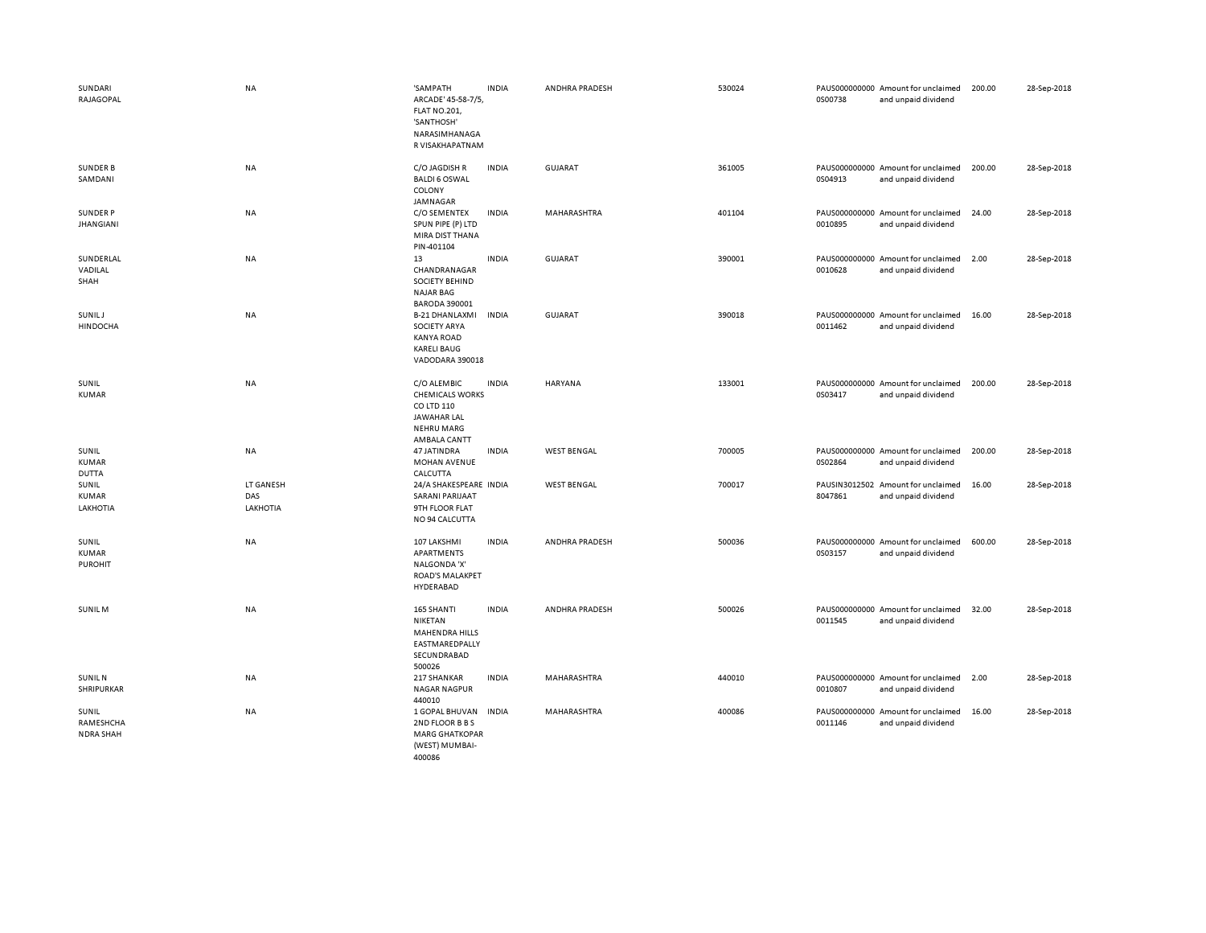| SUNDARI<br>RAJAGOPAL                   | <b>NA</b>                    | 'SAMPATH<br>ARCADE' 45-58-7/5<br><b>FLAT NO.201,</b><br>'SANTHOSH'<br>NARASIMHANAGA<br>R VISAKHAPATNAM     | <b>INDIA</b> | ANDHRA PRADESH     | 530024 | 0S00738 | PAUS000000000 Amount for unclaimed<br>and unpaid dividend | 200.00 | 28-Sep-2018 |
|----------------------------------------|------------------------------|------------------------------------------------------------------------------------------------------------|--------------|--------------------|--------|---------|-----------------------------------------------------------|--------|-------------|
| <b>SUNDER B</b><br>SAMDANI             | NA                           | C/O JAGDISH R<br><b>BALDI 6 OSWAL</b><br>COLONY<br>JAMNAGAR                                                | <b>INDIA</b> | GUJARAT            | 361005 | 0S04913 | PAUS000000000 Amount for unclaimed<br>and unpaid dividend | 200.00 | 28-Sep-2018 |
| SUNDER P<br><b>JHANGIANI</b>           | NA                           | C/O SEMENTEX<br>SPUN PIPE (P) LTD<br>MIRA DIST THANA<br>PIN-401104                                         | <b>INDIA</b> | MAHARASHTRA        | 401104 | 0010895 | PAUS000000000 Amount for unclaimed<br>and unpaid dividend | 24.00  | 28-Sep-2018 |
| SUNDERLAL<br>VADILAL<br>SHAH           | NA                           | 13<br>CHANDRANAGAR<br><b>SOCIETY BEHIND</b><br><b>NAJAR BAG</b><br><b>BARODA 390001</b>                    | <b>INDIA</b> | GUJARAT            | 390001 | 0010628 | PAUS000000000 Amount for unclaimed<br>and unpaid dividend | 2.00   | 28-Sep-2018 |
| SUNIL J<br><b>HINDOCHA</b>             | NA                           | <b>B-21 DHANLAXMI</b><br><b>SOCIETY ARYA</b><br><b>KANYA ROAD</b><br><b>KARELI BAUG</b><br>VADODARA 390018 | <b>INDIA</b> | <b>GUJARAT</b>     | 390018 | 0011462 | PAUS000000000 Amount for unclaimed<br>and unpaid dividend | 16.00  | 28-Sep-2018 |
| SUNIL<br><b>KUMAR</b>                  | NA                           | C/O ALEMBIC<br><b>CHEMICALS WORKS</b><br>CO LTD 110<br>JAWAHAR LAL<br><b>NEHRU MARG</b><br>AMBALA CANTT    | <b>INDIA</b> | HARYANA            | 133001 | 0S03417 | PAUS000000000 Amount for unclaimed<br>and unpaid dividend | 200.00 | 28-Sep-2018 |
| SUNIL<br><b>KUMAR</b><br><b>DUTTA</b>  | NA                           | 47 JATINDRA<br><b>MOHAN AVENUE</b><br>CALCUTTA                                                             | <b>INDIA</b> | <b>WEST BENGAL</b> | 700005 | 0S02864 | PAUS000000000 Amount for unclaimed<br>and unpaid dividend | 200.00 | 28-Sep-2018 |
| SUNIL<br>KUMAR<br>LAKHOTIA             | LT GANESH<br>DAS<br>LAKHOTIA | 24/A SHAKESPEARE INDIA<br><b>SARANI PARIJAAT</b><br>9TH FLOOR FLAT<br>NO 94 CALCUTTA                       |              | <b>WEST BENGAL</b> | 700017 | 8047861 | PAUSIN3012502 Amount for unclaimed<br>and unpaid dividend | 16.00  | 28-Sep-2018 |
| SUNIL<br>KUMAR<br><b>PUROHIT</b>       | <b>NA</b>                    | 107 LAKSHMI<br>APARTMENTS<br>NALGONDA 'X'<br><b>ROAD'S MALAKPET</b><br>HYDERABAD                           | <b>INDIA</b> | ANDHRA PRADESH     | 500036 | 0S03157 | PAUS000000000 Amount for unclaimed<br>and unpaid dividend | 600.00 | 28-Sep-2018 |
| SUNIL M                                | NA                           | 165 SHANTI<br>NIKETAN<br><b>MAHENDRA HILLS</b><br>EASTMAREDPALLY<br>SECUNDRABAD<br>500026                  | <b>INDIA</b> | ANDHRA PRADESH     | 500026 | 0011545 | PAUS000000000 Amount for unclaimed<br>and unpaid dividend | 32.00  | 28-Sep-2018 |
| <b>SUNIL N</b><br>SHRIPURKAR           | <b>NA</b>                    | 217 SHANKAR<br><b>NAGAR NAGPUR</b><br>440010                                                               | <b>INDIA</b> | MAHARASHTRA        | 440010 | 0010807 | PAUS000000000 Amount for unclaimed<br>and unpaid dividend | 2.00   | 28-Sep-2018 |
| SUNIL<br>RAMESHCHA<br><b>NDRA SHAH</b> | NA                           | 1 GOPAL BHUVAN<br>2ND FLOOR B B S<br><b>MARG GHATKOPAR</b><br>(WEST) MUMBAI-<br>400086                     | <b>INDIA</b> | MAHARASHTRA        | 400086 | 0011146 | PAUS000000000 Amount for unclaimed<br>and unpaid dividend | 16.00  | 28-Sep-2018 |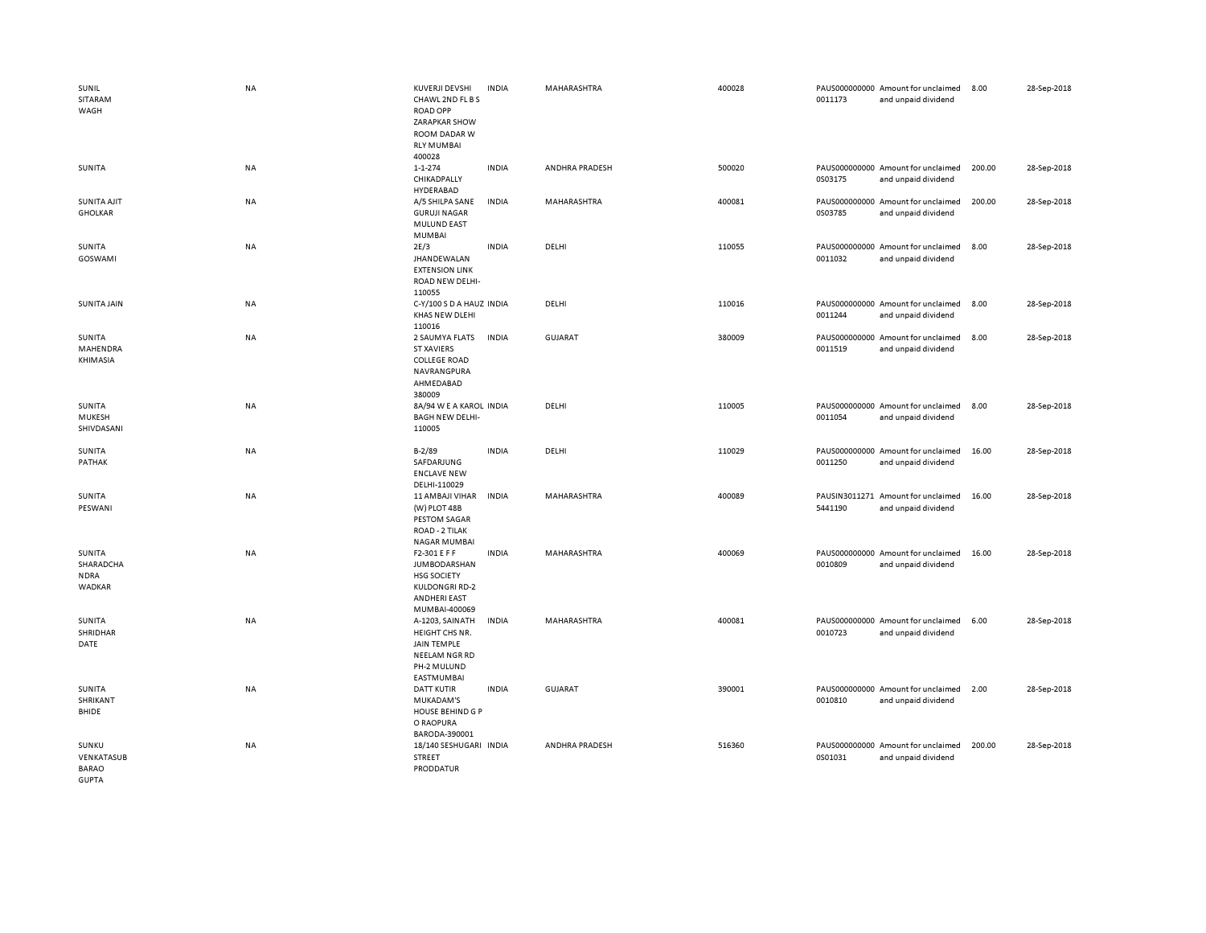| SUNIL<br>SITARAM<br>WAGH                            | NA        | KUVERJI DEVSHI<br>CHAWL 2ND FL B S<br><b>ROAD OPP</b><br>ZARAPKAR SHOW<br>ROOM DADAR W<br><b>RLY MUMBAI</b>         | <b>INDIA</b> | MAHARASHTRA    | 400028 | 0011173 | PAUS000000000 Amount for unclaimed<br>and unpaid dividend | 8.00   | 28-Sep-2018 |
|-----------------------------------------------------|-----------|---------------------------------------------------------------------------------------------------------------------|--------------|----------------|--------|---------|-----------------------------------------------------------|--------|-------------|
| SUNITA                                              | NA        | 400028<br>1-1-274<br>CHIKADPALLY<br>HYDERABAD                                                                       | <b>INDIA</b> | ANDHRA PRADESH | 500020 | 0S03175 | PAUS000000000 Amount for unclaimed<br>and unpaid dividend | 200.00 | 28-Sep-2018 |
| SUNITA AJIT<br><b>GHOLKAR</b>                       | <b>NA</b> | A/5 SHILPA SANE<br><b>GURUJI NAGAR</b><br><b>MULUND EAST</b><br>MUMBAI                                              | <b>INDIA</b> | MAHARASHTRA    | 400081 | 0S03785 | PAUS000000000 Amount for unclaimed<br>and unpaid dividend | 200.00 | 28-Sep-2018 |
| SUNITA<br><b>GOSWAMI</b>                            | NA        | 2E/3<br><b>JHANDEWALAN</b><br><b>EXTENSION LINK</b><br>ROAD NEW DELHI-<br>110055                                    | <b>INDIA</b> | DELHI          | 110055 | 0011032 | PAUS000000000 Amount for unclaimed<br>and unpaid dividend | 8.00   | 28-Sep-2018 |
| <b>SUNITA JAIN</b>                                  | NA        | C-Y/100 S D A HAUZ INDIA<br>KHAS NEW DLEHI<br>110016                                                                |              | DELHI          | 110016 | 0011244 | PAUS000000000 Amount for unclaimed<br>and unpaid dividend | 8.00   | 28-Sep-2018 |
| SUNITA<br>MAHENDRA<br>KHIMASIA                      | <b>NA</b> | 2 SAUMYA FLATS<br><b>ST XAVIERS</b><br><b>COLLEGE ROAD</b><br>NAVRANGPURA<br>AHMEDABAD<br>380009                    | <b>INDIA</b> | <b>GUJARAT</b> | 380009 | 0011519 | PAUS000000000 Amount for unclaimed<br>and unpaid dividend | 8.00   | 28-Sep-2018 |
| SUNITA<br>MUKESH<br>SHIVDASANI                      | <b>NA</b> | 8A/94 W E A KAROL INDIA<br><b>BAGH NEW DELHI-</b><br>110005                                                         |              | DELHI          | 110005 | 0011054 | PAUS000000000 Amount for unclaimed<br>and unpaid dividend | 8.00   | 28-Sep-2018 |
| SUNITA<br>PATHAK                                    | NA        | $B - 2/89$<br>SAFDARJUNG<br><b>ENCLAVE NEW</b><br>DELHI-110029                                                      | <b>INDIA</b> | DELHI          | 110029 | 0011250 | PAUS000000000 Amount for unclaimed<br>and unpaid dividend | 16.00  | 28-Sep-2018 |
| SUNITA<br>PESWANI                                   | NA        | 11 AMBAJI VIHAR<br>(W) PLOT 48B<br><b>PESTOM SAGAR</b><br>ROAD - 2 TILAK<br>NAGAR MUMBAI                            | <b>INDIA</b> | MAHARASHTRA    | 400089 | 5441190 | PAUSIN3011271 Amount for unclaimed<br>and unpaid dividend | 16.00  | 28-Sep-2018 |
| SUNITA<br>SHARADCHA<br><b>NDRA</b><br><b>WADKAR</b> | NA        | F2-301 E F F<br><b>JUMBODARSHAN</b><br><b>HSG SOCIETY</b><br><b>KULDONGRI RD-2</b><br>ANDHERI EAST<br>MUMBAI-400069 | <b>INDIA</b> | MAHARASHTRA    | 400069 | 0010809 | PAUS000000000 Amount for unclaimed<br>and unpaid dividend | 16.00  | 28-Sep-2018 |
| SUNITA<br>SHRIDHAR<br>DATE                          | NA        | A-1203, SAINATH<br>HEIGHT CHS NR.<br>JAIN TEMPLE<br>NEELAM NGR RD<br>PH-2 MULUND<br>EASTMUMBAI                      | <b>INDIA</b> | MAHARASHTRA    | 400081 | 0010723 | PAUS000000000 Amount for unclaimed<br>and unpaid dividend | 6.00   | 28-Sep-2018 |
| SUNITA<br>SHRIKANT<br>BHIDE                         | NA        | <b>DATT KUTIR</b><br>MUKADAM'S<br>HOUSE BEHIND G P<br>O RAOPURA<br>BARODA-390001                                    | <b>INDIA</b> | <b>GUJARAT</b> | 390001 | 0010810 | PAUS000000000 Amount for unclaimed<br>and unpaid dividend | 2.00   | 28-Sep-2018 |
| SUNKU<br>VENKATASUB<br><b>BARAO</b><br>GUPTA        | NA        | 18/140 SESHUGARI INDIA<br>STREET<br>PRODDATUR                                                                       |              | ANDHRA PRADESH | 516360 | 0S01031 | PAUS000000000 Amount for unclaimed<br>and unpaid dividend | 200.00 | 28-Sep-2018 |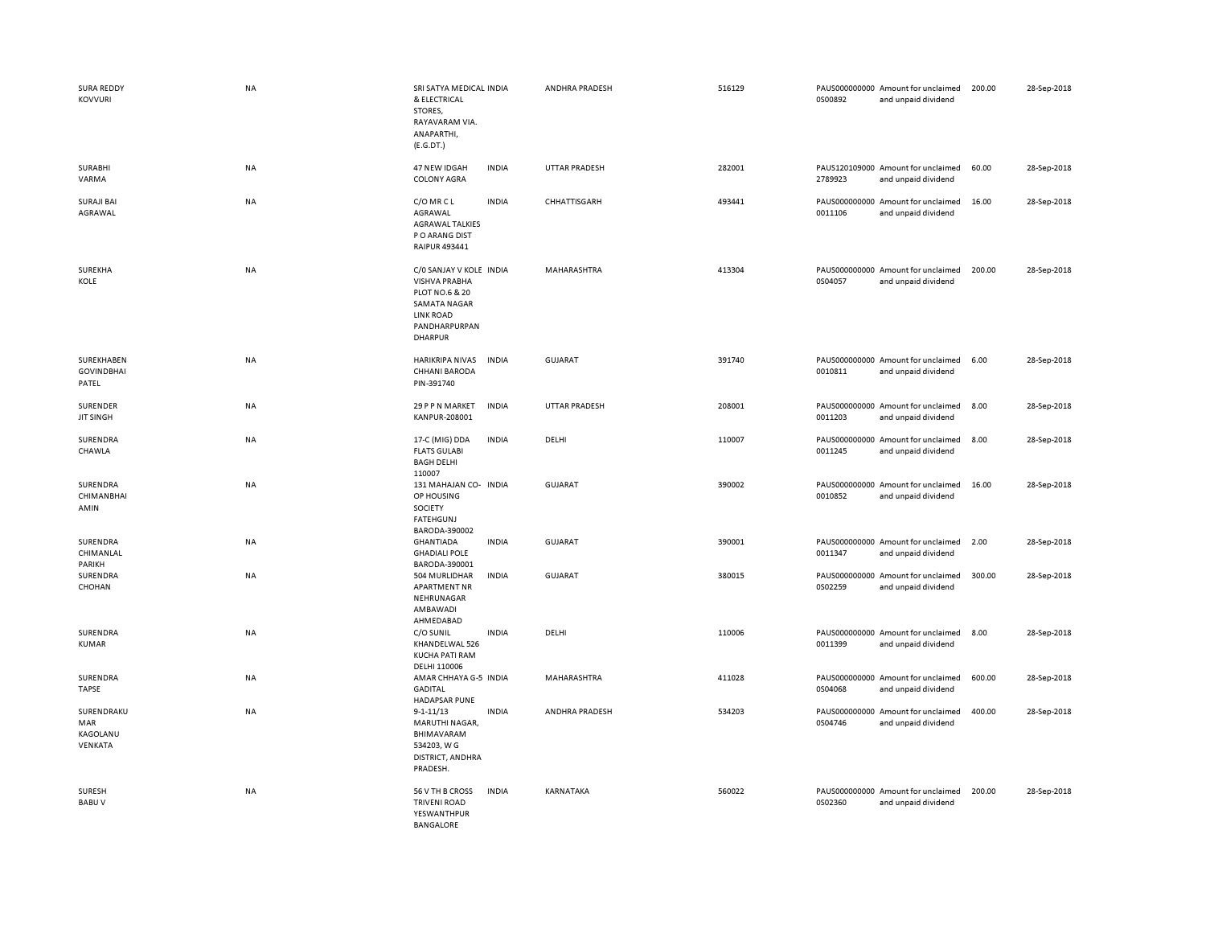| <b>SURA REDDY</b><br><b>KOVVURI</b>      | <b>NA</b> | SRI SATYA MEDICAL INDIA<br>& ELECTRICAL<br>STORES,<br>RAYAVARAM VIA.<br>ANAPARTHI,<br>(E.G.DT.)                                          |              | ANDHRA PRADESH       | 516129 | 0S00892 | PAUS000000000 Amount for unclaimed<br>and unpaid dividend | 200.00 | 28-Sep-2018 |
|------------------------------------------|-----------|------------------------------------------------------------------------------------------------------------------------------------------|--------------|----------------------|--------|---------|-----------------------------------------------------------|--------|-------------|
| <b>SURABHI</b><br>VARMA                  | <b>NA</b> | 47 NEW IDGAH<br><b>COLONY AGRA</b>                                                                                                       | <b>INDIA</b> | <b>UTTAR PRADESH</b> | 282001 | 2789923 | PAUS120109000 Amount for unclaimed<br>and unpaid dividend | 60.00  | 28-Sep-2018 |
| <b>SURAJI BAI</b><br>AGRAWAL             | <b>NA</b> | C/O MR C L<br>AGRAWAL<br><b>AGRAWAL TALKIES</b><br>P O ARANG DIST<br>RAIPUR 493441                                                       | <b>INDIA</b> | CHHATTISGARH         | 493441 | 0011106 | PAUS000000000 Amount for unclaimed<br>and unpaid dividend | 16.00  | 28-Sep-2018 |
| SUREKHA<br>KOLE                          | NA        | C/O SANJAY V KOLE INDIA<br><b>VISHVA PRABHA</b><br>PLOT NO.6 & 20<br>SAMATA NAGAR<br><b>LINK ROAD</b><br>PANDHARPURPAN<br><b>DHARPUR</b> |              | MAHARASHTRA          | 413304 | 0S04057 | PAUS000000000 Amount for unclaimed<br>and unpaid dividend | 200.00 | 28-Sep-2018 |
| SUREKHABEN<br><b>GOVINDBHAI</b><br>PATEL | <b>NA</b> | HARIKRIPA NIVAS<br><b>CHHANI BARODA</b><br>PIN-391740                                                                                    | <b>INDIA</b> | GUJARAT              | 391740 | 0010811 | PAUS000000000 Amount for unclaimed<br>and unpaid dividend | 6.00   | 28-Sep-2018 |
| SURENDER<br><b>JIT SINGH</b>             | <b>NA</b> | 29 P P N MARKET<br>KANPUR-208001                                                                                                         | <b>INDIA</b> | <b>UTTAR PRADESH</b> | 208001 | 0011203 | PAUS000000000 Amount for unclaimed<br>and unpaid dividend | 8.00   | 28-Sep-2018 |
| SURENDRA<br>CHAWLA                       | ΝA        | 17-C (MIG) DDA<br><b>FLATS GULABI</b><br><b>BAGH DELHI</b><br>110007                                                                     | <b>INDIA</b> | DELHI                | 110007 | 0011245 | PAUS000000000 Amount for unclaimed<br>and unpaid dividend | 8.00   | 28-Sep-2018 |
| SURENDRA<br><b>CHIMANBHAI</b><br>AMIN    | NA        | 131 MAHAJAN CO- INDIA<br>OP HOUSING<br><b>SOCIETY</b><br>FATEHGUNJ<br>BARODA-390002                                                      |              | <b>GUJARAT</b>       | 390002 | 0010852 | PAUS000000000 Amount for unclaimed<br>and unpaid dividend | 16.00  | 28-Sep-2018 |
| SURENDRA<br>CHIMANLAL<br>PARIKH          | NA        | GHANTIADA<br><b>GHADIALI POLE</b><br>BARODA-390001                                                                                       | <b>INDIA</b> | GUJARAT              | 390001 | 0011347 | PAUS000000000 Amount for unclaimed<br>and unpaid dividend | 2.00   | 28-Sep-2018 |
| SURENDRA<br>CHOHAN                       | NA        | 504 MURLIDHAR<br><b>APARTMENT NR</b><br>NEHRUNAGAR<br>AMBAWADI<br>AHMEDABAD                                                              | <b>INDIA</b> | <b>GUJARAT</b>       | 380015 | 0S02259 | PAUS000000000 Amount for unclaimed<br>and unpaid dividend | 300.00 | 28-Sep-2018 |
| SURENDRA<br>KUMAR                        | <b>NA</b> | C/O SUNIL<br>KHANDELWAL 526<br>KUCHA PATI RAM<br>DELHI 110006                                                                            | <b>INDIA</b> | DELHI                | 110006 | 0011399 | PAUS000000000 Amount for unclaimed<br>and unpaid dividend | 8.00   | 28-Sep-2018 |
| SURENDRA<br><b>TAPSE</b>                 | NA        | AMAR CHHAYA G-5 INDIA<br><b>GADITAL</b><br><b>HADAPSAR PUNE</b>                                                                          |              | MAHARASHTRA          | 411028 | 0S04068 | PAUS000000000 Amount for unclaimed<br>and unpaid dividend | 600.00 | 28-Sep-2018 |
| SURENDRAKU<br>MAR<br>KAGOLANU<br>VENKATA | <b>NA</b> | $9 - 1 - 11/13$<br>MARUTHI NAGAR,<br>BHIMAVARAM<br>534203, W G<br>DISTRICT, ANDHRA<br>PRADESH.                                           | <b>INDIA</b> | ANDHRA PRADESH       | 534203 | 0S04746 | PAUS000000000 Amount for unclaimed<br>and unpaid dividend | 400.00 | 28-Sep-2018 |
| <b>SURESH</b><br><b>BABUV</b>            | <b>NA</b> | 56 V TH B CROSS<br><b>TRIVENI ROAD</b><br>YESWANTHPUR<br><b>BANGALORE</b>                                                                | <b>INDIA</b> | <b>KARNATAKA</b>     | 560022 | 0S02360 | PAUS000000000 Amount for unclaimed<br>and unpaid dividend | 200.00 | 28-Sep-2018 |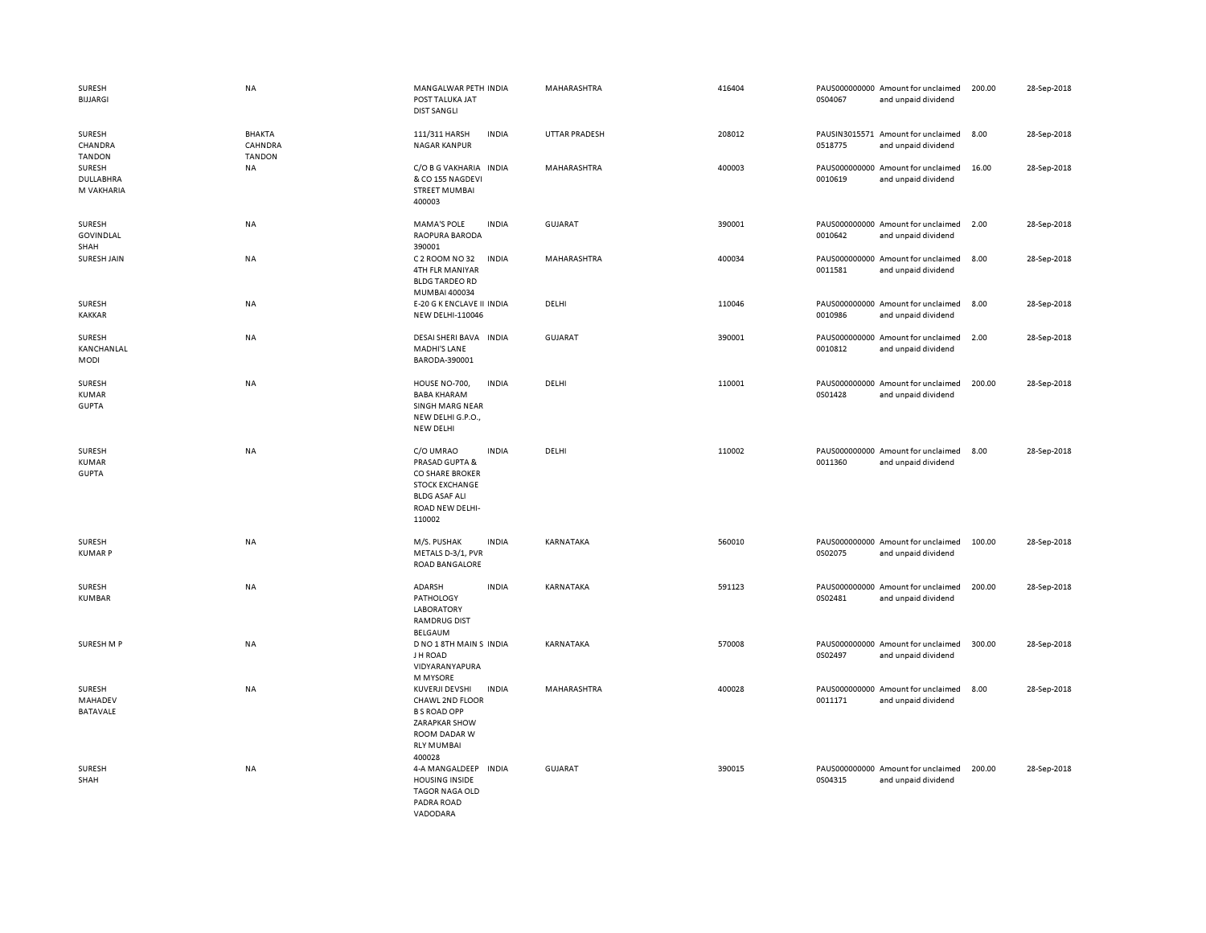| SURESH<br><b>BIJJARGI</b>                     | NA                                        | MANGALWAR PETH INDIA<br>POST TALUKA JAT<br><b>DIST SANGLI</b>                                                                                   | MAHARASHTRA        | 416404 | 0S04067 | PAUS000000000 Amount for unclaimed<br>and unpaid dividend | 200.00 | 28-Sep-2018 |
|-----------------------------------------------|-------------------------------------------|-------------------------------------------------------------------------------------------------------------------------------------------------|--------------------|--------|---------|-----------------------------------------------------------|--------|-------------|
| SURESH<br>CHANDRA<br><b>TANDON</b>            | <b>BHAKTA</b><br>CAHNDRA<br><b>TANDON</b> | 111/311 HARSH<br><b>INDIA</b><br><b>NAGAR KANPUR</b>                                                                                            | UTTAR PRADESH      | 208012 | 0518775 | PAUSIN3015571 Amount for unclaimed<br>and unpaid dividend | 8.00   | 28-Sep-2018 |
| SURESH<br>DULLABHRA<br>M VAKHARIA             | NA                                        | C/O B G VAKHARIA<br><b>INDIA</b><br>& CO 155 NAGDEVI<br><b>STREET MUMBAI</b><br>400003                                                          | MAHARASHTRA        | 400003 | 0010619 | PAUS000000000 Amount for unclaimed<br>and unpaid dividend | 16.00  | 28-Sep-2018 |
| SURESH<br><b>GOVINDLAL</b><br>SHAH            | <b>NA</b>                                 | <b>MAMA'S POLE</b><br><b>INDIA</b><br>RAOPURA BARODA<br>390001                                                                                  | <b>GUJARAT</b>     | 390001 | 0010642 | PAUS000000000 Amount for unclaimed<br>and unpaid dividend | 2.00   | 28-Sep-2018 |
| SURESH JAIN                                   | <b>NA</b>                                 | C 2 ROOM NO 32<br><b>INDIA</b><br>4TH FLR MANIYAR<br><b>BLDG TARDEO RD</b><br>MUMBAI 400034                                                     | <b>MAHARASHTRA</b> | 400034 | 0011581 | PAUS000000000 Amount for unclaimed<br>and unpaid dividend | 8.00   | 28-Sep-2018 |
| <b>SURESH</b><br><b>KAKKAR</b>                | NA                                        | E-20 G K ENCLAVE II INDIA<br>NEW DELHI-110046                                                                                                   | DELHI              | 110046 | 0010986 | PAUS000000000 Amount for unclaimed<br>and unpaid dividend | 8.00   | 28-Sep-2018 |
| SURESH<br>KANCHANLAL<br><b>MODI</b>           | <b>NA</b>                                 | DESAI SHERI BAVA INDIA<br><b>MADHI'S LANE</b><br>BARODA-390001                                                                                  | <b>GUJARAT</b>     | 390001 | 0010812 | PAUS000000000 Amount for unclaimed<br>and unpaid dividend | 2.00   | 28-Sep-2018 |
| <b>SURESH</b><br><b>KUMAR</b><br><b>GUPTA</b> | <b>NA</b>                                 | HOUSE NO-700,<br><b>INDIA</b><br><b>BABA KHARAM</b><br>SINGH MARG NEAR<br>NEW DELHI G.P.O.,<br>NEW DELHI                                        | DELHI              | 110001 | 0S01428 | PAUS000000000 Amount for unclaimed<br>and unpaid dividend | 200.00 | 28-Sep-2018 |
| SURESH<br><b>KUMAR</b><br><b>GUPTA</b>        | <b>NA</b>                                 | C/O UMRAO<br><b>INDIA</b><br>PRASAD GUPTA &<br>CO SHARE BROKER<br><b>STOCK EXCHANGE</b><br><b>BLDG ASAF ALI</b><br>ROAD NEW DELHI-<br>110002    | DELHI              | 110002 | 0011360 | PAUS000000000 Amount for unclaimed<br>and unpaid dividend | 8.00   | 28-Sep-2018 |
| SURESH<br><b>KUMARP</b>                       | <b>NA</b>                                 | M/S. PUSHAK<br><b>INDIA</b><br>METALS D-3/1, PVR<br>ROAD BANGALORE                                                                              | KARNATAKA          | 560010 | 0S02075 | PAUS000000000 Amount for unclaimed<br>and unpaid dividend | 100.00 | 28-Sep-2018 |
| SURESH<br>KUMBAR                              | NA                                        | ADARSH<br><b>INDIA</b><br>PATHOLOGY<br><b>LABORATORY</b><br><b>RAMDRUG DIST</b><br>BELGAUM                                                      | KARNATAKA          | 591123 | 0S02481 | PAUS000000000 Amount for unclaimed<br>and unpaid dividend | 200.00 | 28-Sep-2018 |
| SURESH M P                                    | <b>NA</b>                                 | D NO 1 8TH MAIN S INDIA<br>J H ROAD<br>VIDYARANYAPURA<br>M MYSORE                                                                               | KARNATAKA          | 570008 | 0S02497 | PAUS000000000 Amount for unclaimed<br>and unpaid dividend | 300.00 | 28-Sep-2018 |
| SURESH<br>MAHADEV<br><b>BATAVALE</b>          | NA                                        | KUVERJI DEVSHI<br><b>INDIA</b><br>CHAWL 2ND FLOOR<br><b>B S ROAD OPP</b><br><b>ZARAPKAR SHOW</b><br>ROOM DADAR W<br><b>RLY MUMBAI</b><br>400028 | MAHARASHTRA        | 400028 | 0011171 | PAUS000000000 Amount for unclaimed<br>and unpaid dividend | 8.00   | 28-Sep-2018 |
| SURESH<br>SHAH                                | NA                                        | 4-A MANGALDEEP<br><b>INDIA</b><br><b>HOUSING INSIDE</b><br>TAGOR NAGA OLD<br>PADRA ROAD<br>VADODARA                                             | <b>GUJARAT</b>     | 390015 | 0S04315 | PAUS000000000 Amount for unclaimed<br>and unpaid dividend | 200.00 | 28-Sep-2018 |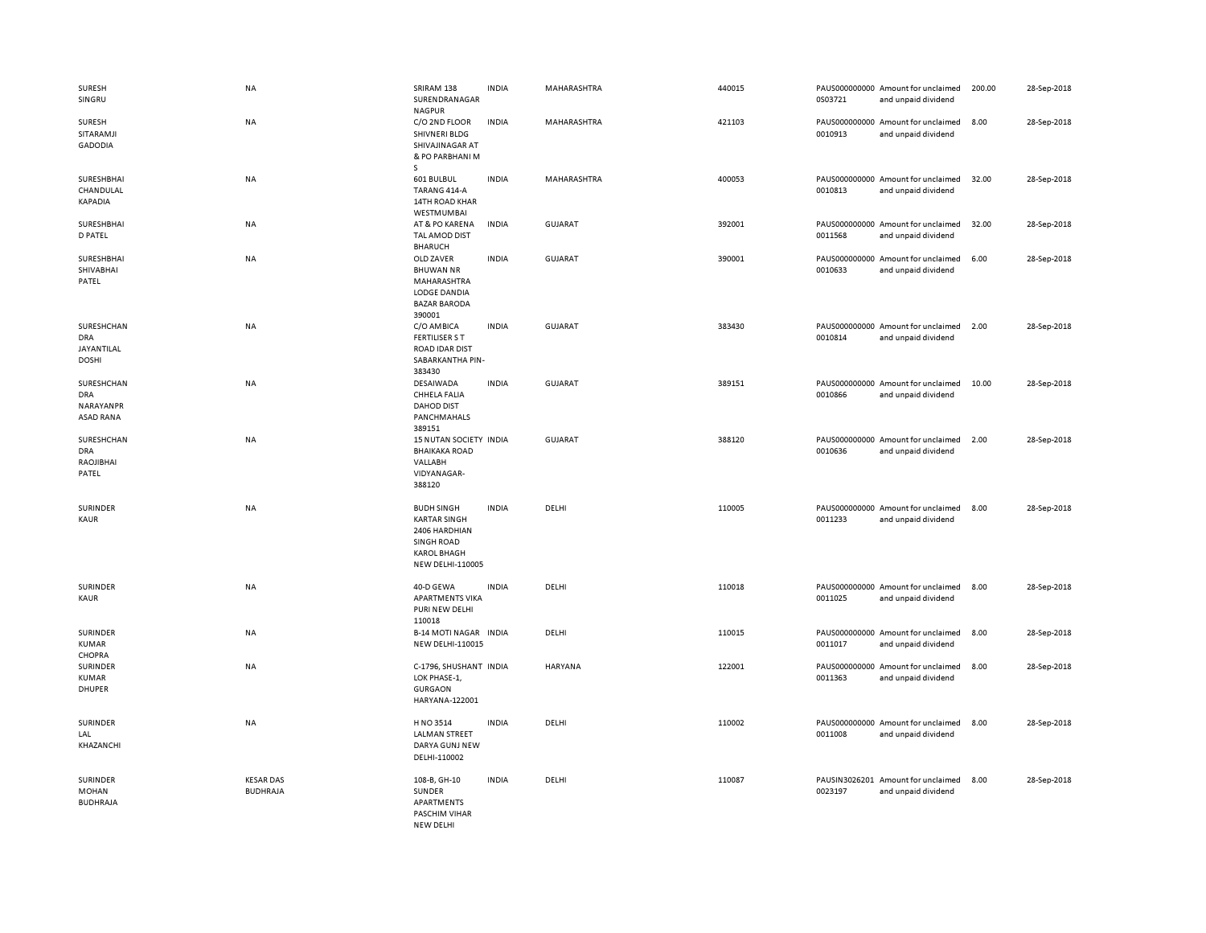| SURESH<br>SINGRU                                   | <b>NA</b>                           | SRIRAM 138<br>SURENDRANAGAR<br><b>NAGPUR</b>                                                                      | <b>INDIA</b> | MAHARASHTRA | 440015 | 0S03721 | PAUS000000000 Amount for unclaimed<br>and unpaid dividend | 200.00 | 28-Sep-2018 |
|----------------------------------------------------|-------------------------------------|-------------------------------------------------------------------------------------------------------------------|--------------|-------------|--------|---------|-----------------------------------------------------------|--------|-------------|
| SURESH<br>SITARAMJI<br><b>GADODIA</b>              | NA                                  | C/O 2ND FLOOR<br>SHIVNERI BLDG<br>SHIVAJINAGAR AT<br>& PO PARBHANI M<br>s                                         | <b>INDIA</b> | MAHARASHTRA | 421103 | 0010913 | PAUS000000000 Amount for unclaimed<br>and unpaid dividend | 8.00   | 28-Sep-2018 |
| SURESHBHAI<br>CHANDULAL<br>KAPADIA                 | <b>NA</b>                           | 601 BULBUL<br>TARANG 414-A<br>14TH ROAD KHAR<br>WESTMUMBAI                                                        | <b>INDIA</b> | MAHARASHTRA | 400053 | 0010813 | PAUS000000000 Amount for unclaimed<br>and unpaid dividend | 32.00  | 28-Sep-2018 |
| SURESHBHAI<br><b>D PATEL</b>                       | NA                                  | AT & PO KARENA<br>TAL AMOD DIST<br><b>BHARUCH</b>                                                                 | <b>INDIA</b> | GUJARAT     | 392001 | 0011568 | PAUS000000000 Amount for unclaimed<br>and unpaid dividend | 32.00  | 28-Sep-2018 |
| SURESHBHAI<br>SHIVABHAI<br>PATEL                   | <b>NA</b>                           | OLD ZAVER<br><b>BHUWAN NR</b><br>MAHARASHTRA<br>LODGE DANDIA<br><b>BAZAR BARODA</b><br>390001                     | <b>INDIA</b> | GUJARAT     | 390001 | 0010633 | PAUS000000000 Amount for unclaimed<br>and unpaid dividend | 6.00   | 28-Sep-2018 |
| SURESHCHAN<br>DRA<br>JAYANTILAL<br><b>DOSHI</b>    | <b>NA</b>                           | C/O AMBICA<br><b>FERTILISER S T</b><br><b>ROAD IDAR DIST</b><br>SABARKANTHA PIN-<br>383430                        | <b>INDIA</b> | GUJARAT     | 383430 | 0010814 | PAUS000000000 Amount for unclaimed<br>and unpaid dividend | 2.00   | 28-Sep-2018 |
| SURESHCHAN<br><b>DRA</b><br>NARAYANPR<br>ASAD RANA | <b>NA</b>                           | DESAIWADA<br>CHHELA FALIA<br><b>DAHOD DIST</b><br>PANCHMAHALS<br>389151                                           | <b>INDIA</b> | GUJARAT     | 389151 | 0010866 | PAUS000000000 Amount for unclaimed<br>and unpaid dividend | 10.00  | 28-Sep-2018 |
| SURESHCHAN<br><b>DRA</b><br>RAOJIBHAI<br>PATEL     | NA                                  | 15 NUTAN SOCIETY INDIA<br><b>BHAIKAKA ROAD</b><br>VALLABH<br>VIDYANAGAR-<br>388120                                |              | GUJARAT     | 388120 | 0010636 | PAUS000000000 Amount for unclaimed<br>and unpaid dividend | 2.00   | 28-Sep-2018 |
| <b>SURINDER</b><br>KAUR                            | NA                                  | <b>BUDH SINGH</b><br><b>KARTAR SINGH</b><br>2406 HARDHIAN<br>SINGH ROAD<br><b>KAROL BHAGH</b><br>NEW DELHI-110005 | <b>INDIA</b> | DELHI       | 110005 | 0011233 | PAUS000000000 Amount for unclaimed<br>and unpaid dividend | 8.00   | 28-Sep-2018 |
| SURINDER<br>KAUR                                   | NA                                  | 40-D GEWA<br><b>APARTMENTS VIKA</b><br>PURI NEW DELHI<br>110018                                                   | <b>INDIA</b> | DELHI       | 110018 | 0011025 | PAUS000000000 Amount for unclaimed<br>and unpaid dividend | 8.00   | 28-Sep-2018 |
| SURINDER<br><b>KUMAR</b><br>CHOPRA                 | NA                                  | B-14 MOTI NAGAR INDIA<br><b>NEW DELHI-110015</b>                                                                  |              | DELHI       | 110015 | 0011017 | PAUS000000000 Amount for unclaimed<br>and unpaid dividend | 8.00   | 28-Sep-2018 |
| SURINDER<br><b>KUMAR</b><br>DHUPER                 | <b>NA</b>                           | C-1796, SHUSHANT INDIA<br>LOK PHASE-1,<br><b>GURGAON</b><br>HARYANA-122001                                        |              | HARYANA     | 122001 | 0011363 | PAUS000000000 Amount for unclaimed<br>and unpaid dividend | 8.00   | 28-Sep-2018 |
| SURINDER<br>LAL<br>KHAZANCHI                       | NA                                  | H NO 3514<br><b>LALMAN STREET</b><br>DARYA GUNJ NEW<br>DELHI-110002                                               | <b>INDIA</b> | DELHI       | 110002 | 0011008 | PAUS000000000 Amount for unclaimed<br>and unpaid dividend | 8.00   | 28-Sep-2018 |
| SURINDER<br>MOHAN<br><b>BUDHRAJA</b>               | <b>KESAR DAS</b><br><b>BUDHRAJA</b> | 108-B, GH-10<br>SUNDER<br>APARTMENTS<br>PASCHIM VIHAR<br>NFW DFI HI                                               | <b>INDIA</b> | DELHI       | 110087 | 0023197 | PAUSIN3026201 Amount for unclaimed<br>and unpaid dividend | 8.00   | 28-Sep-2018 |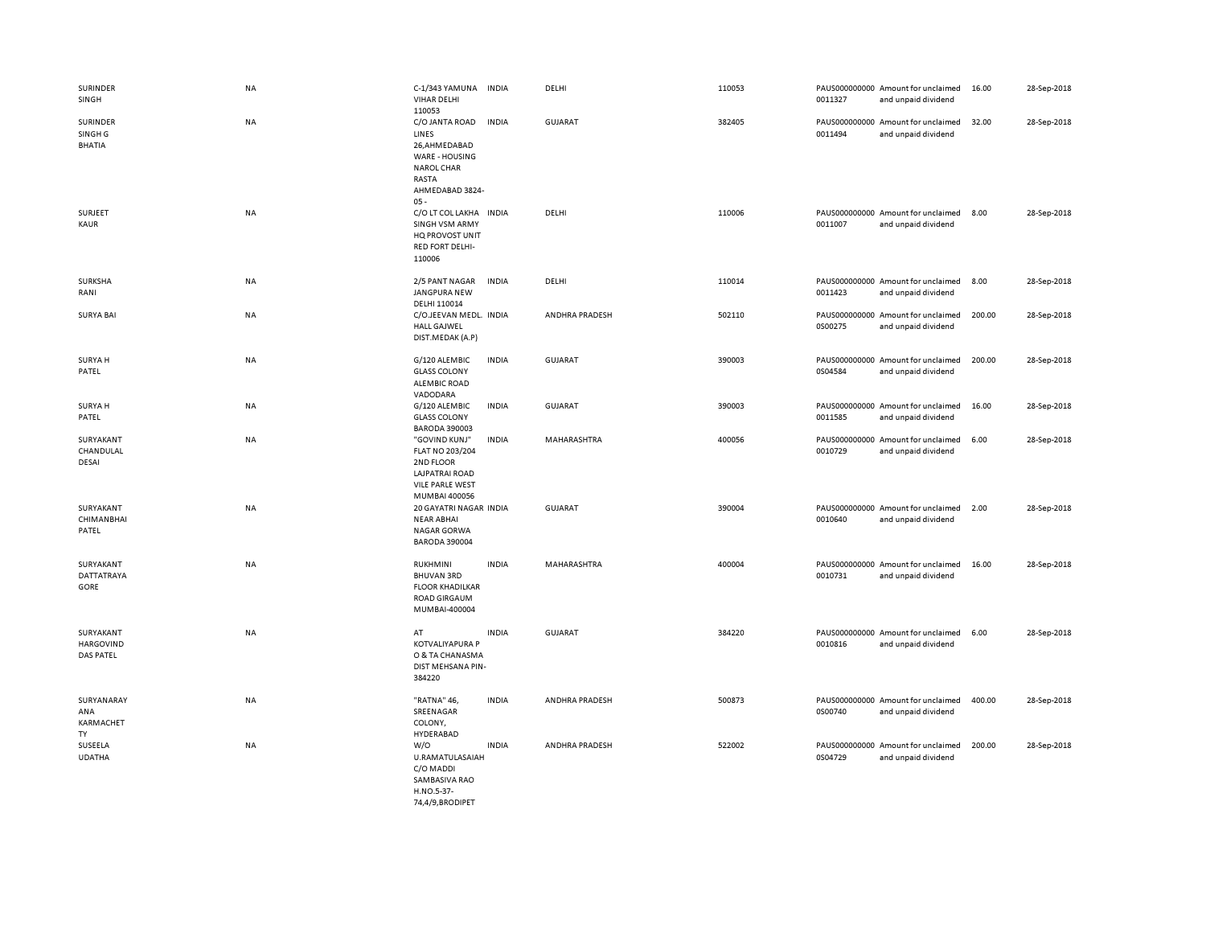| SURINDER<br>SINGH                               | <b>NA</b> | C-1/343 YAMUNA<br><b>VIHAR DELHI</b><br>110053                                                                       | <b>INDIA</b> | DELHI          | 110053 | 0011327 | PAUS000000000 Amount for unclaimed<br>and unpaid dividend | 16.00  | 28-Sep-2018 |
|-------------------------------------------------|-----------|----------------------------------------------------------------------------------------------------------------------|--------------|----------------|--------|---------|-----------------------------------------------------------|--------|-------------|
| SURINDER<br>SINGH <sub>G</sub><br><b>BHATIA</b> | NA        | C/O JANTA ROAD<br>LINES<br>26,AHMEDABAD<br>WARE - HOUSING<br><b>NAROL CHAR</b><br>RASTA<br>AHMEDABAD 3824-<br>$05 -$ | <b>INDIA</b> | <b>GUJARAT</b> | 382405 | 0011494 | PAUS000000000 Amount for unclaimed<br>and unpaid dividend | 32.00  | 28-Sep-2018 |
| SURJEET<br>KAUR                                 | NA        | C/O LT COL LAKHA INDIA<br><b>SINGH VSM ARMY</b><br>HQ PROVOST UNIT<br><b>RED FORT DELHI-</b><br>110006               |              | DELHI          | 110006 | 0011007 | PAUS000000000 Amount for unclaimed<br>and unpaid dividend | 8.00   | 28-Sep-2018 |
| SURKSHA<br>RANI                                 | NA        | 2/5 PANT NAGAR<br>JANGPURA NEW<br>DELHI 110014                                                                       | <b>INDIA</b> | DELHI          | 110014 | 0011423 | PAUS000000000 Amount for unclaimed<br>and unpaid dividend | 8.00   | 28-Sep-2018 |
| <b>SURYA BAI</b>                                | NA        | C/O.JEEVAN MEDL. INDIA<br><b>HALL GAJWEL</b><br>DIST.MEDAK (A.P)                                                     |              | ANDHRA PRADESH | 502110 | 0S00275 | PAUS000000000 Amount for unclaimed<br>and unpaid dividend | 200.00 | 28-Sep-2018 |
| SURYA H<br>PATEL                                | <b>NA</b> | G/120 ALEMBIC<br><b>GLASS COLONY</b><br><b>ALEMBIC ROAD</b><br>VADODARA                                              | <b>INDIA</b> | <b>GUJARAT</b> | 390003 | 0S04584 | PAUS000000000 Amount for unclaimed<br>and unpaid dividend | 200.00 | 28-Sep-2018 |
| SURYA H<br>PATEL                                | <b>NA</b> | G/120 ALEMBIC<br><b>GLASS COLONY</b><br><b>BARODA 390003</b>                                                         | <b>INDIA</b> | <b>GUJARAT</b> | 390003 | 0011585 | PAUS000000000 Amount for unclaimed<br>and unpaid dividend | 16.00  | 28-Sep-2018 |
| SURYAKANT<br>CHANDULAL<br>DESAI                 | NA        | "GOVIND KUNJ"<br>FLAT NO 203/204<br>2ND FLOOR<br>LAJPATRAI ROAD<br><b>VILE PARLE WEST</b><br>MUMBAI 400056           | <b>INDIA</b> | MAHARASHTRA    | 400056 | 0010729 | PAUS000000000 Amount for unclaimed<br>and unpaid dividend | 6.00   | 28-Sep-2018 |
| SURYAKANT<br>CHIMANBHAI<br>PATEL                | NA        | 20 GAYATRI NAGAR INDIA<br><b>NEAR ABHAI</b><br>NAGAR GORWA<br><b>BARODA 390004</b>                                   |              | <b>GUJARAT</b> | 390004 | 0010640 | PAUS000000000 Amount for unclaimed<br>and unpaid dividend | 2.00   | 28-Sep-2018 |
| SURYAKANT<br><b>DATTATRAYA</b><br>GORE          | NA        | <b>RUKHMINI</b><br><b>BHUVAN 3RD</b><br><b>FLOOR KHADILKAR</b><br><b>ROAD GIRGAUM</b><br>MUMBAI-400004               | <b>INDIA</b> | MAHARASHTRA    | 400004 | 0010731 | PAUS000000000 Amount for unclaimed<br>and unpaid dividend | 16.00  | 28-Sep-2018 |
| SURYAKANT<br><b>HARGOVIND</b><br>DAS PATEL      | NA        | AT<br><b>KOTVALIYAPURA P</b><br>O & TA CHANASMA<br>DIST MEHSANA PIN-<br>384220                                       | <b>INDIA</b> | <b>GUJARAT</b> | 384220 | 0010816 | PAUS000000000 Amount for unclaimed<br>and unpaid dividend | 6.00   | 28-Sep-2018 |
| SURYANARAY<br>ANA<br>KARMACHET<br>TY            | <b>NA</b> | "RATNA" 46,<br>SREENAGAR<br>COLONY,<br>HYDERABAD                                                                     | <b>INDIA</b> | ANDHRA PRADESH | 500873 | 0S00740 | PAUS000000000 Amount for unclaimed<br>and unpaid dividend | 400.00 | 28-Sep-2018 |
| SUSEELA<br><b>UDATHA</b>                        | NA        | W/O<br>U.RAMATULASAIAH<br>C/O MADDI<br>SAMBASIVA RAO<br>H.NO.5-37-                                                   | <b>INDIA</b> | ANDHRA PRADESH | 522002 | 0S04729 | PAUS000000000 Amount for unclaimed<br>and unpaid dividend | 200.00 | 28-Sep-2018 |

74,4/9,BRODIPET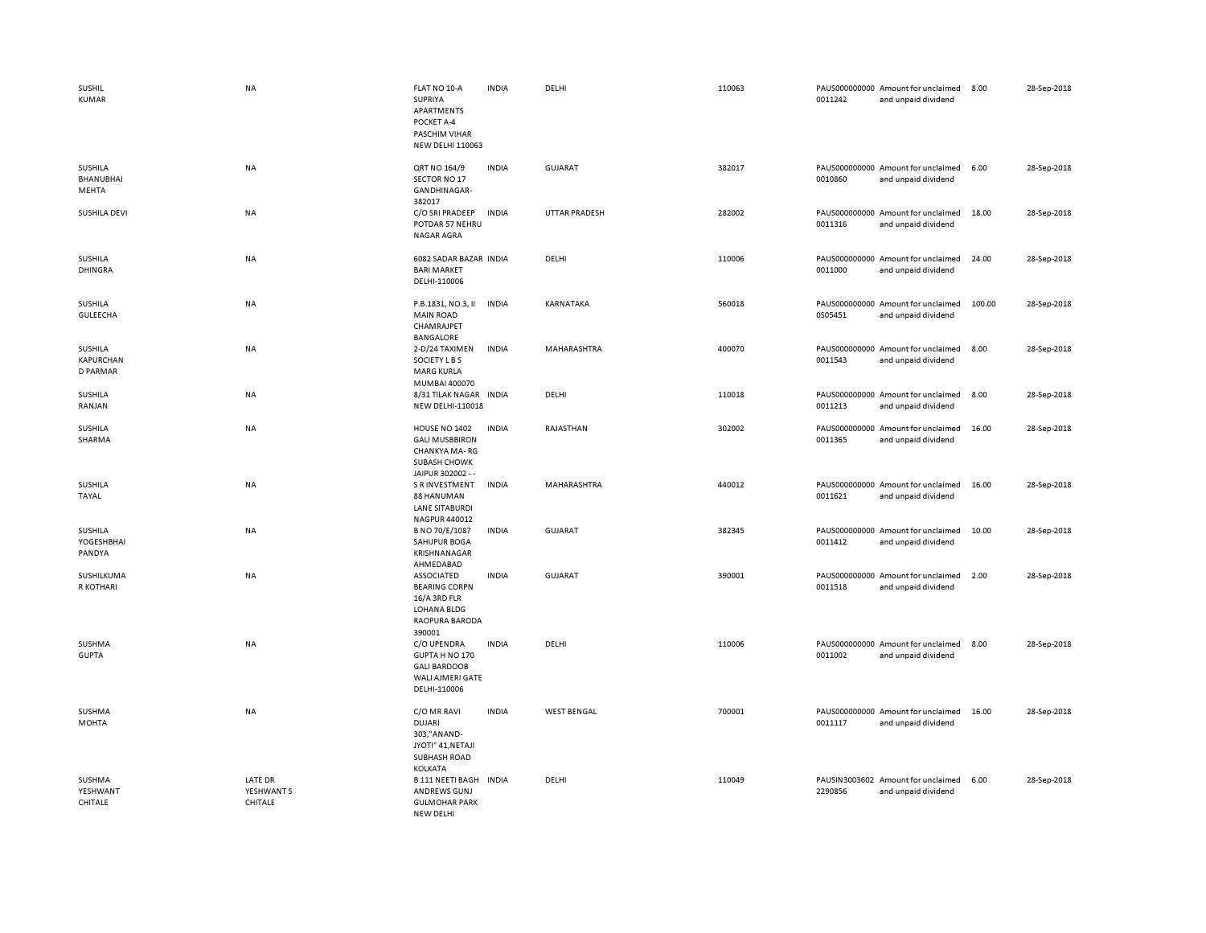| <b>SUSHIL</b><br><b>KUMAR</b>           | <b>NA</b>                        | FLAT NO 10-A<br><b>SUPRIYA</b><br>APARTMENTS<br>POCKET A-4<br>PASCHIM VIHAR<br><b>NEW DELHI 110063</b>      | <b>INDIA</b> | DELHI                | 110063 | 0011242 | PAUS000000000 Amount for unclaimed<br>and unpaid dividend | 8.00   | 28-Sep-2018 |
|-----------------------------------------|----------------------------------|-------------------------------------------------------------------------------------------------------------|--------------|----------------------|--------|---------|-----------------------------------------------------------|--------|-------------|
| SUSHILA<br><b>BHANUBHAI</b><br>MEHTA    | <b>NA</b>                        | QRT NO 164/9<br>SECTOR NO 17<br>GANDHINAGAR-<br>382017                                                      | <b>INDIA</b> | <b>GUJARAT</b>       | 382017 | 0010860 | PAUS000000000 Amount for unclaimed<br>and unpaid dividend | 6.00   | 28-Sep-2018 |
| SUSHILA DEVI                            | <b>NA</b>                        | C/O SRI PRADEEP<br>POTDAR 57 NEHRU<br>NAGAR AGRA                                                            | <b>INDIA</b> | <b>UTTAR PRADESH</b> | 282002 | 0011316 | PAUS000000000 Amount for unclaimed<br>and unpaid dividend | 18.00  | 28-Sep-2018 |
| SUSHILA<br><b>DHINGRA</b>               | <b>NA</b>                        | 6082 SADAR BAZAR INDIA<br><b>BARI MARKET</b><br>DELHI-110006                                                |              | DELHI                | 110006 | 0011000 | PAUS000000000 Amount for unclaimed<br>and unpaid dividend | 24.00  | 28-Sep-2018 |
| SUSHILA<br>GULEECHA                     | <b>NA</b>                        | P.B.1831, NO.3, II<br><b>MAIN ROAD</b><br>CHAMRAJPET<br>BANGALORE                                           | <b>INDIA</b> | KARNATAKA            | 560018 | 0S05451 | PAUS000000000 Amount for unclaimed<br>and unpaid dividend | 100.00 | 28-Sep-2018 |
| SUSHILA<br>KAPURCHAN<br><b>D PARMAR</b> | <b>NA</b>                        | 2-D/24 TAXIMEN<br>SOCIETY L B S<br><b>MARG KURLA</b><br>MUMBAI 400070                                       | <b>INDIA</b> | MAHARASHTRA          | 400070 | 0011543 | PAUS000000000 Amount for unclaimed<br>and unpaid dividend | 8.00   | 28-Sep-2018 |
| SUSHILA<br>RANJAN                       | <b>NA</b>                        | 8/31 TILAK NAGAR<br><b>NEW DELHI-110018</b>                                                                 | <b>INDIA</b> | DELHI                | 110018 | 0011213 | PAUS000000000 Amount for unclaimed<br>and unpaid dividend | 8.00   | 28-Sep-2018 |
| SUSHILA<br>SHARMA                       | <b>NA</b>                        | HOUSE NO 1402<br><b>GALI MUSBBIRON</b><br>CHANKYA MA-RG<br>SUBASH CHOWK<br>JAIPUR 302002 --                 | <b>INDIA</b> | RAJASTHAN            | 302002 | 0011365 | PAUS000000000 Amount for unclaimed<br>and unpaid dividend | 16.00  | 28-Sep-2018 |
| <b>SUSHILA</b><br>TAYAL                 | <b>NA</b>                        | <b>S R INVESTMENT</b><br>88 HANUMAN<br><b>LANE SITABURDI</b><br>NAGPUR 440012                               | <b>INDIA</b> | MAHARASHTRA          | 440012 | 0011621 | PAUS000000000 Amount for unclaimed<br>and unpaid dividend | 16.00  | 28-Sep-2018 |
| SUSHILA<br>YOGESHBHAI<br>PANDYA         | NA                               | B NO 70/E/1087<br>SAHIJPUR BOGA<br>KRISHNANAGAR<br>AHMEDABAD                                                | <b>INDIA</b> | GUJARAT              | 382345 | 0011412 | PAUS000000000 Amount for unclaimed<br>and unpaid dividend | 10.00  | 28-Sep-2018 |
| SUSHILKUMA<br>R KOTHARI                 | <b>NA</b>                        | <b>ASSOCIATED</b><br><b>BEARING CORPN</b><br>16/A 3RD FLR<br><b>LOHANA BLDG</b><br>RAOPURA BARODA<br>390001 | <b>INDIA</b> | <b>GUJARAT</b>       | 390001 | 0011518 | PAUS000000000 Amount for unclaimed<br>and unpaid dividend | 2.00   | 28-Sep-2018 |
| SUSHMA<br><b>GUPTA</b>                  | NA                               | C/O UPENDRA<br>GUPTA H NO 170<br><b>GALI BARDOOB</b><br>WALI AJMERI GATE<br>DELHI-110006                    | <b>INDIA</b> | DELHI                | 110006 | 0011002 | PAUS000000000 Amount for unclaimed<br>and unpaid dividend | 8.00   | 28-Sep-2018 |
| SUSHMA<br><b>MOHTA</b>                  | <b>NA</b>                        | C/O MR RAVI<br><b>DUJARI</b><br>303,"ANAND-<br>JYOTI" 41, NETAJI<br><b>SUBHASH ROAD</b><br>KOLKATA          | <b>INDIA</b> | <b>WEST BENGAL</b>   | 700001 | 0011117 | PAUS000000000 Amount for unclaimed<br>and unpaid dividend | 16.00  | 28-Sep-2018 |
| SUSHMA<br>YESHWANT<br>CHITALE           | LATE DR<br>YESHWANT S<br>CHITALE | <b>B 111 NEETI BAGH</b><br>ANDREWS GUNJ<br><b>GULMOHAR PARK</b><br>NFW DFI HI                               | <b>INDIA</b> | DELHI                | 110049 | 2290856 | PAUSIN3003602 Amount for unclaimed<br>and unpaid dividend | 6.00   | 28-Sep-2018 |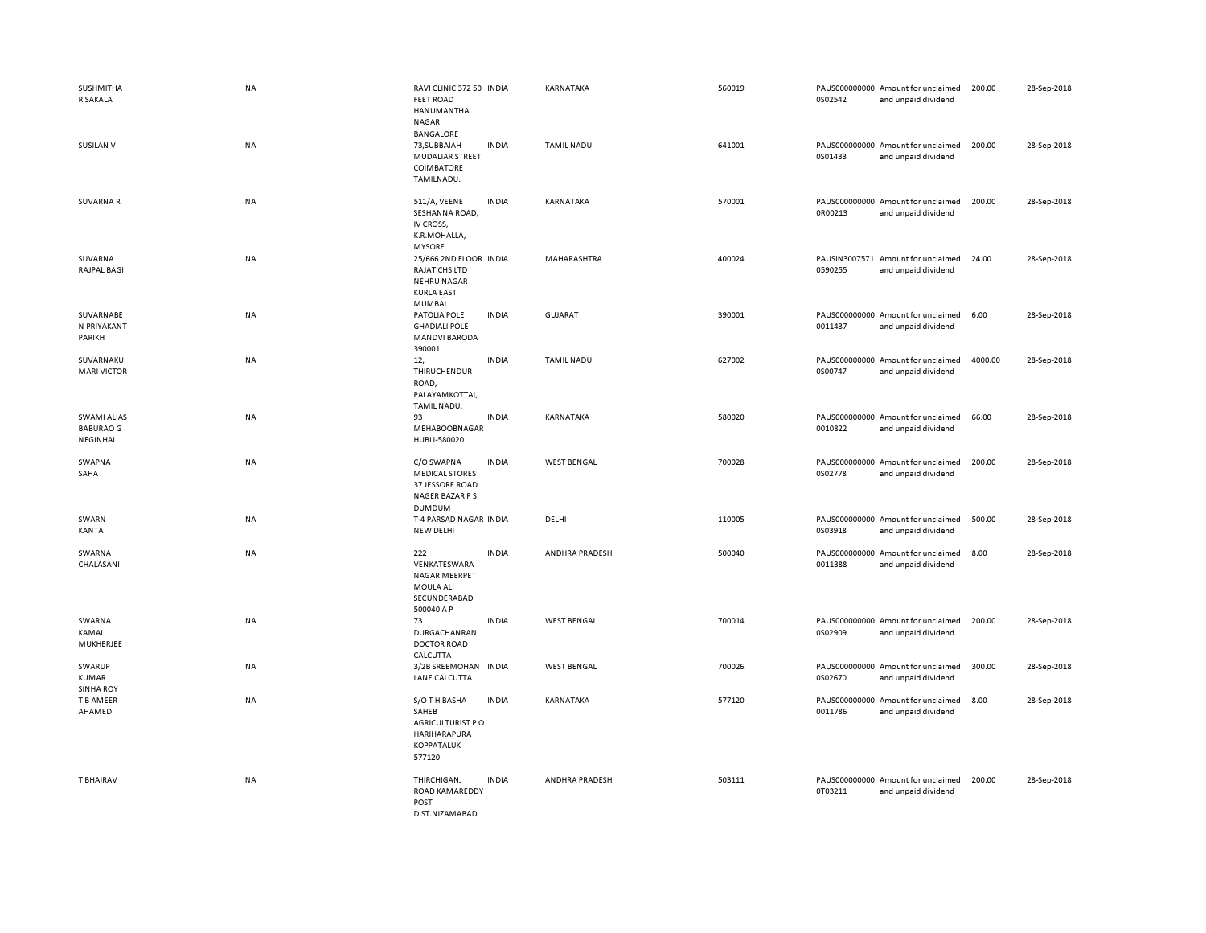| <b>SUSHMITHA</b><br>R SAKALA                       | <b>NA</b> | RAVI CLINIC 372 50 INDIA<br><b>FEET ROAD</b><br>HANUMANTHA<br>NAGAR                          |              | KARNATAKA          | 560019 | 0S02542 | PAUS000000000 Amount for unclaimed<br>and unpaid dividend | 200.00  | 28-Sep-2018 |
|----------------------------------------------------|-----------|----------------------------------------------------------------------------------------------|--------------|--------------------|--------|---------|-----------------------------------------------------------|---------|-------------|
| SUSILAN V                                          | <b>NA</b> | <b>BANGALORE</b><br>73, SUBBAIAH<br><b>MUDALIAR STREET</b><br>COIMBATORE<br>TAMILNADU.       | <b>INDIA</b> | <b>TAMIL NADU</b>  | 641001 | 0S01433 | PAUS000000000 Amount for unclaimed<br>and unpaid dividend | 200.00  | 28-Sep-2018 |
| <b>SUVARNAR</b>                                    | NA        | 511/A, VEENE<br>SESHANNA ROAD,<br>IV CROSS,<br>K.R.MOHALLA,<br><b>MYSORE</b>                 | <b>INDIA</b> | KARNATAKA          | 570001 | 0R00213 | PAUS000000000 Amount for unclaimed<br>and unpaid dividend | 200.00  | 28-Sep-2018 |
| SUVARNA<br><b>RAJPAL BAGI</b>                      | <b>NA</b> | 25/666 2ND FLOOR INDIA<br>RAJAT CHS LTD<br><b>NEHRU NAGAR</b><br><b>KURLA EAST</b><br>MUMBAI |              | MAHARASHTRA        | 400024 | 0590255 | PAUSIN3007571 Amount for unclaimed<br>and unpaid dividend | 24.00   | 28-Sep-2018 |
| SUVARNABE<br>N PRIYAKANT<br>PARIKH                 | NA        | PATOLIA POLE<br><b>GHADIALI POLE</b><br><b>MANDVI BARODA</b><br>390001                       | <b>INDIA</b> | <b>GUJARAT</b>     | 390001 | 0011437 | PAUS000000000 Amount for unclaimed<br>and unpaid dividend | 6.00    | 28-Sep-2018 |
| SUVARNAKU<br><b>MARI VICTOR</b>                    | NA        | 12,<br>THIRUCHENDUR<br>ROAD,<br>PALAYAMKOTTAI,<br>TAMIL NADU.                                | <b>INDIA</b> | <b>TAMIL NADU</b>  | 627002 | 0S00747 | PAUS000000000 Amount for unclaimed<br>and unpaid dividend | 4000.00 | 28-Sep-2018 |
| <b>SWAMI ALIAS</b><br><b>BABURAO G</b><br>NEGINHAL | NA        | 93<br>MEHABOOBNAGAR<br>HUBLI-580020                                                          | <b>INDIA</b> | KARNATAKA          | 580020 | 0010822 | PAUS000000000 Amount for unclaimed<br>and unpaid dividend | 66.00   | 28-Sep-2018 |
| SWAPNA<br>SAHA                                     | <b>NA</b> | C/O SWAPNA<br><b>MEDICAL STORES</b><br>37 JESSORE ROAD<br>NAGER BAZAR P S<br><b>DUMDUM</b>   | <b>INDIA</b> | <b>WEST BENGAL</b> | 700028 | 0S02778 | PAUS000000000 Amount for unclaimed<br>and unpaid dividend | 200.00  | 28-Sep-2018 |
| SWARN<br>KANTA                                     | NA        | T-4 PARSAD NAGAR INDIA<br><b>NEW DELHI</b>                                                   |              | DELHI              | 110005 | 0S03918 | PAUS000000000 Amount for unclaimed<br>and unpaid dividend | 500.00  | 28-Sep-2018 |
| SWARNA<br>CHALASANI                                | NA        | 222<br>VENKATESWARA<br>NAGAR MEERPET<br>MOULA ALI<br>SECUNDERABAD<br>500040 A P              | <b>INDIA</b> | ANDHRA PRADESH     | 500040 | 0011388 | PAUS000000000 Amount for unclaimed<br>and unpaid dividend | 8.00    | 28-Sep-2018 |
| SWARNA<br>KAMAL<br>MUKHERJEE                       | NA        | 73<br>DURGACHANRAN<br><b>DOCTOR ROAD</b><br>CALCUTTA                                         | <b>INDIA</b> | <b>WEST BENGAL</b> | 700014 | 0S02909 | PAUS000000000 Amount for unclaimed<br>and unpaid dividend | 200.00  | 28-Sep-2018 |
| SWARUP<br>KUMAR<br><b>SINHA ROY</b>                | NA        | 3/2B SREEMOHAN INDIA<br>LANE CALCUTTA                                                        |              | <b>WEST BENGAL</b> | 700026 | 0S02670 | PAUS000000000 Amount for unclaimed<br>and unpaid dividend | 300.00  | 28-Sep-2018 |
| T B AMEER<br>AHAMED                                | NA        | S/O TH BASHA<br>SAHEB<br>AGRICULTURIST P O<br>HARIHARAPURA<br><b>KOPPATALUK</b>              | <b>INDIA</b> | KARNATAKA          | 577120 | 0011786 | PAUS000000000 Amount for unclaimed<br>and unpaid dividend | 8.00    | 28-Sep-2018 |
|                                                    |           | 577120                                                                                       |              |                    |        |         |                                                           |         |             |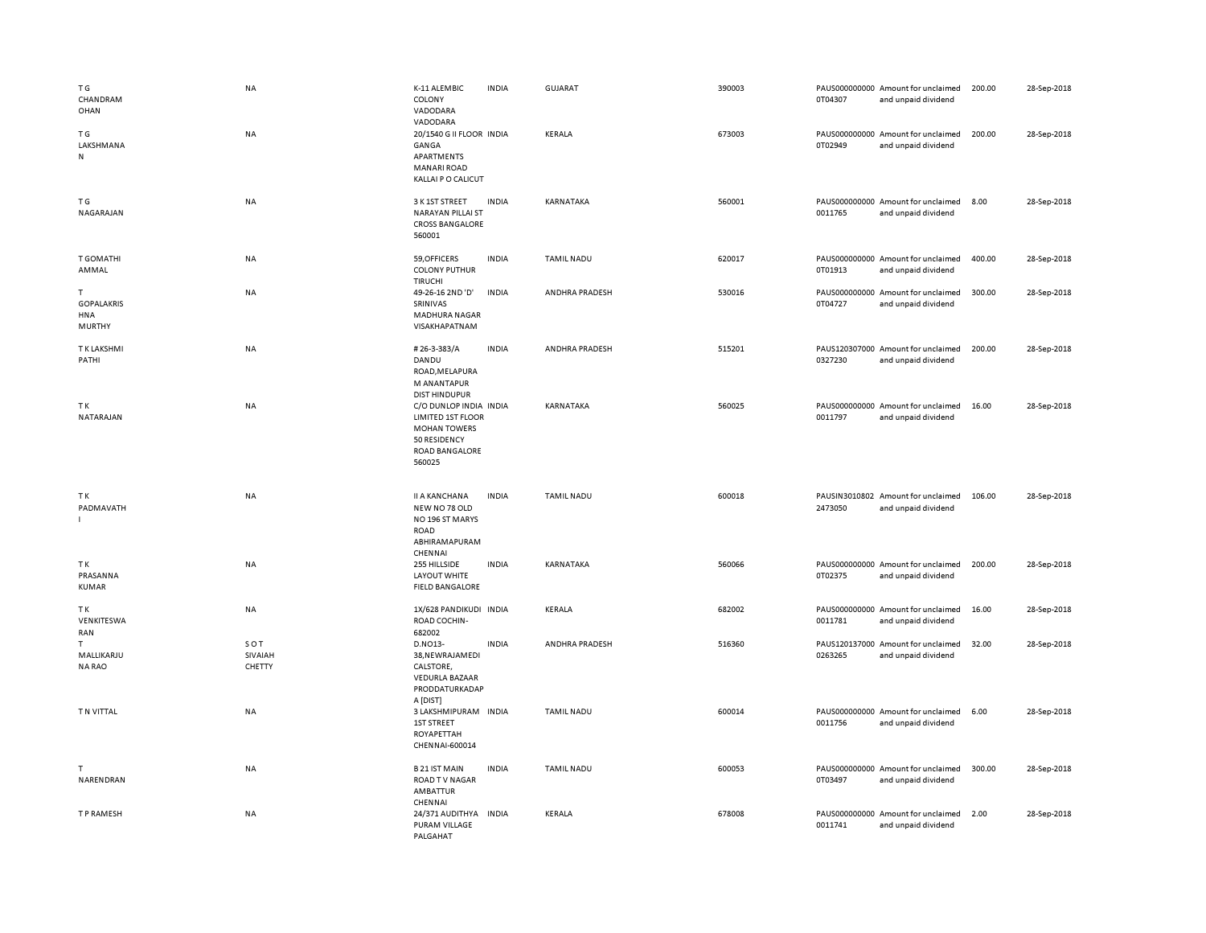| T G<br>CHANDRAM<br>OHAN                 | <b>NA</b>                | K-11 ALEMBIC<br>COLONY<br>VADODARA<br>VADODARA                                                                        | <b>INDIA</b> | GUJARAT           | 390003 | 0T04307 | PAUS000000000 Amount for unclaimed<br>and unpaid dividend | 200.00 | 28-Sep-2018 |
|-----------------------------------------|--------------------------|-----------------------------------------------------------------------------------------------------------------------|--------------|-------------------|--------|---------|-----------------------------------------------------------|--------|-------------|
| T G<br>LAKSHMANA<br>N                   | NA                       | 20/1540 G II FLOOR INDIA<br>GANGA<br>APARTMENTS<br><b>MANARI ROAD</b><br>KALLAI P O CALICUT                           |              | KERALA            | 673003 | 0T02949 | PAUS000000000 Amount for unclaimed<br>and unpaid dividend | 200.00 | 28-Sep-2018 |
| ΤG<br>NAGARAJAN                         | NA                       | 3 K 1ST STREET<br>NARAYAN PILLAI ST<br><b>CROSS BANGALORE</b><br>560001                                               | <b>INDIA</b> | KARNATAKA         | 560001 | 0011765 | PAUS000000000 Amount for unclaimed<br>and unpaid dividend | 8.00   | 28-Sep-2018 |
| <b>T GOMATHI</b><br>AMMAL               | NA                       | 59, OFFICERS<br><b>COLONY PUTHUR</b><br><b>TIRUCHI</b>                                                                | <b>INDIA</b> | TAMIL NADU        | 620017 | 0T01913 | PAUS000000000 Amount for unclaimed<br>and unpaid dividend | 400.00 | 28-Sep-2018 |
| T<br><b>GOPALAKRIS</b><br>HNA<br>MURTHY | NA                       | 49-26-16 2ND 'D'<br>SRINIVAS<br>MADHURA NAGAR<br>VISAKHAPATNAM                                                        | <b>INDIA</b> | ANDHRA PRADESH    | 530016 | 0T04727 | PAUS000000000 Amount for unclaimed<br>and unpaid dividend | 300.00 | 28-Sep-2018 |
| T K LAKSHMI<br>PATHI                    | <b>NA</b>                | #26-3-383/A<br>DANDU<br>ROAD, MELAPURA<br>M ANANTAPUR<br><b>DIST HINDUPUR</b>                                         | <b>INDIA</b> | ANDHRA PRADESH    | 515201 | 0327230 | PAUS120307000 Amount for unclaimed<br>and unpaid dividend | 200.00 | 28-Sep-2018 |
| TΚ<br>NATARAJAN                         | <b>NA</b>                | C/O DUNLOP INDIA INDIA<br>LIMITED 1ST FLOOR<br><b>MOHAN TOWERS</b><br>50 RESIDENCY<br><b>ROAD BANGALORE</b><br>560025 |              | KARNATAKA         | 560025 | 0011797 | PAUS000000000 Amount for unclaimed<br>and unpaid dividend | 16.00  | 28-Sep-2018 |
| ΤK<br>PADMAVATH                         | NA                       | <b>II A KANCHANA</b><br>NEW NO 78 OLD<br>NO 196 ST MARYS<br>ROAD<br>ABHIRAMAPURAM<br>CHENNAI                          | <b>INDIA</b> | TAMIL NADU        | 600018 | 2473050 | PAUSIN3010802 Amount for unclaimed<br>and unpaid dividend | 106.00 | 28-Sep-2018 |
| TΚ<br>PRASANNA<br>KUMAR                 | NA                       | 255 HILLSIDE<br>LAYOUT WHITE<br><b>FIELD BANGALORE</b>                                                                | <b>INDIA</b> | KARNATAKA         | 560066 | 0T02375 | PAUS000000000 Amount for unclaimed<br>and unpaid dividend | 200.00 | 28-Sep-2018 |
| TΚ<br>VENKITESWA<br>RAN                 | <b>NA</b>                | 1X/628 PANDIKUDI INDIA<br>ROAD COCHIN-<br>682002                                                                      |              | KERALA            | 682002 | 0011781 | PAUS000000000 Amount for unclaimed<br>and unpaid dividend | 16.00  | 28-Sep-2018 |
| T<br>MALLIKARJU<br><b>NARAO</b>         | SOT<br>SIVAIAH<br>CHETTY | D.NO13-<br>38, NEWRAJAMEDI<br>CALSTORE,<br><b>VEDURLA BAZAAR</b><br>PRODDATURKADAP<br>A [DIST]                        | <b>INDIA</b> | ANDHRA PRADESH    | 516360 | 0263265 | PAUS120137000 Amount for unclaimed<br>and unpaid dividend | 32.00  | 28-Sep-2018 |
| T N VITTAL                              | <b>NA</b>                | 3 LAKSHMIPURAM INDIA<br>1ST STREET<br>ROYAPETTAH<br>CHENNAI-600014                                                    |              | <b>TAMIL NADU</b> | 600014 | 0011756 | PAUS000000000 Amount for unclaimed<br>and unpaid dividend | 6.00   | 28-Sep-2018 |
| T<br>NARENDRAN                          | NA                       | <b>B21 IST MAIN</b><br><b>ROAD TV NAGAR</b><br>AMBATTUR<br>CHENNAI                                                    | <b>INDIA</b> | <b>TAMIL NADU</b> | 600053 | 0T03497 | PAUS000000000 Amount for unclaimed<br>and unpaid dividend | 300.00 | 28-Sep-2018 |
| T P RAMESH                              | NA                       | 24/371 AUDITHYA INDIA<br>PURAM VILLAGE<br>PALGAHAT                                                                    |              | KERALA            | 678008 | 0011741 | PAUS000000000 Amount for unclaimed<br>and unpaid dividend | 2.00   | 28-Sep-2018 |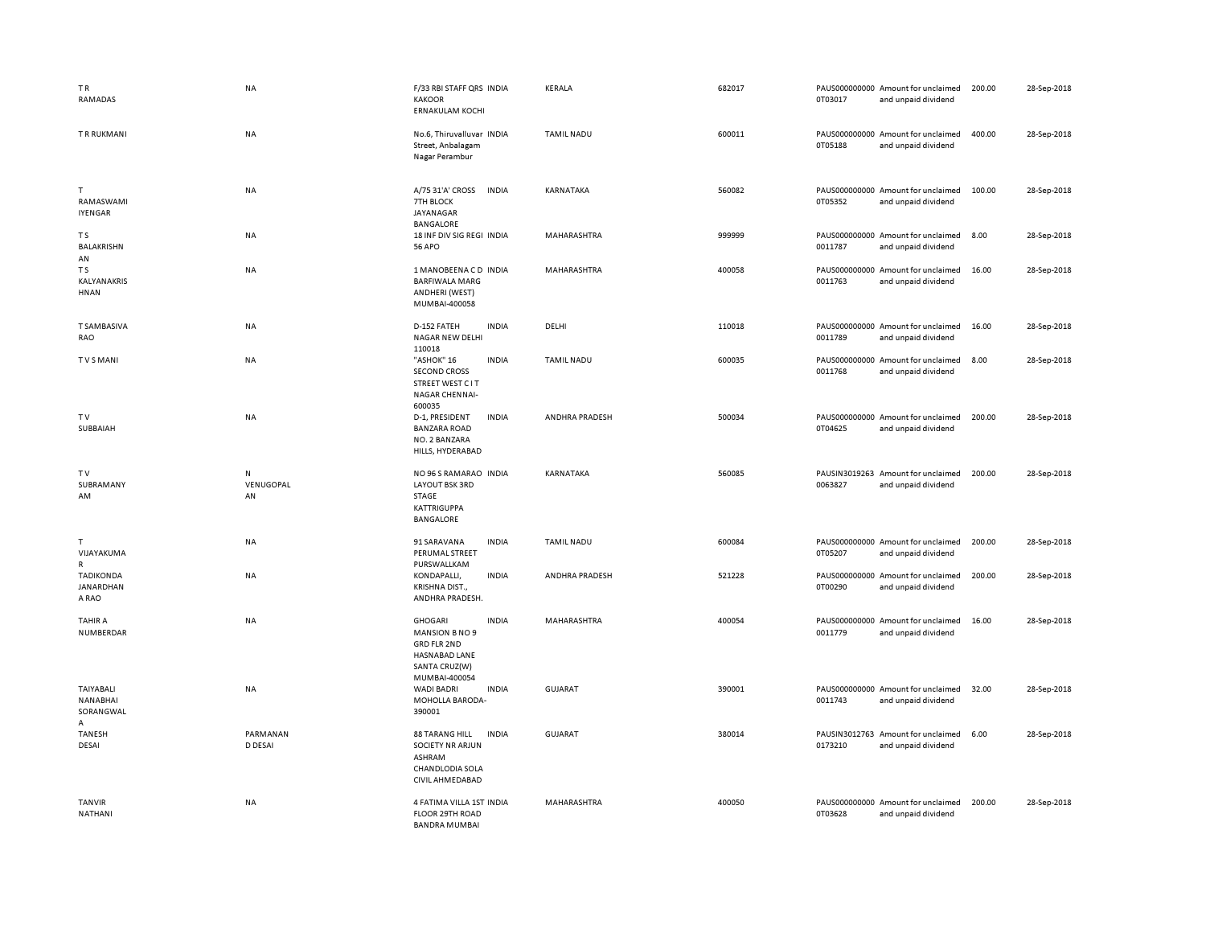| TR<br>RAMADAS                                  | <b>NA</b>                            | F/33 RBI STAFF QRS INDIA<br><b>KAKOOR</b><br><b>ERNAKULAM KOCHI</b>                                                       | KERALA             | 682017 | 0T03017 | PAUS000000000 Amount for unclaimed<br>and unpaid dividend | 200.00 | 28-Sep-2018 |
|------------------------------------------------|--------------------------------------|---------------------------------------------------------------------------------------------------------------------------|--------------------|--------|---------|-----------------------------------------------------------|--------|-------------|
| <b>TRRUKMANI</b>                               | <b>NA</b>                            | No.6, Thiruvalluvar INDIA<br>Street, Anbalagam<br>Nagar Perambur                                                          | <b>TAMIL NADU</b>  | 600011 | 0T05188 | PAUS000000000 Amount for unclaimed<br>and unpaid dividend | 400.00 | 28-Sep-2018 |
| T<br>RAMASWAMI<br><b>IYENGAR</b>               | <b>NA</b>                            | A/75 31'A' CROSS<br><b>INDIA</b><br>7TH BLOCK<br>JAYANAGAR<br><b>BANGALORE</b>                                            | KARNATAKA          | 560082 | 0T05352 | PAUS000000000 Amount for unclaimed<br>and unpaid dividend | 100.00 | 28-Sep-2018 |
| T S<br>BALAKRISHN<br>AN                        | <b>NA</b>                            | 18 INF DIV SIG REGI INDIA<br><b>56 APO</b>                                                                                | <b>MAHARASHTRA</b> | 999999 | 0011787 | PAUS000000000 Amount for unclaimed<br>and unpaid dividend | 8.00   | 28-Sep-2018 |
| T <sub>S</sub><br>KALYANAKRIS<br>HNAN          | NA                                   | 1 MANOBEENACD INDIA<br><b>BARFIWALA MARG</b><br>ANDHERI (WEST)<br>MUMBAI-400058                                           | MAHARASHTRA        | 400058 | 0011763 | PAUS000000000 Amount for unclaimed<br>and unpaid dividend | 16.00  | 28-Sep-2018 |
| <b>T SAMBASIVA</b><br>RAO                      | <b>NA</b>                            | D-152 FATEH<br><b>INDIA</b><br>NAGAR NEW DELHI<br>110018                                                                  | DELHI              | 110018 | 0011789 | PAUS000000000 Amount for unclaimed<br>and unpaid dividend | 16.00  | 28-Sep-2018 |
| TVSMANI                                        | NA                                   | "ASHOK" 16<br><b>INDIA</b><br><b>SECOND CROSS</b><br>STREET WEST C IT<br>NAGAR CHENNAI-<br>600035                         | TAMIL NADU         | 600035 | 0011768 | PAUS000000000 Amount for unclaimed<br>and unpaid dividend | 8.00   | 28-Sep-2018 |
| TV<br>SUBBAIAH                                 | NA                                   | <b>INDIA</b><br>D-1, PRESIDENT<br><b>BANZARA ROAD</b><br>NO. 2 BANZARA<br>HILLS, HYDERABAD                                | ANDHRA PRADESH     | 500034 | 0T04625 | PAUS000000000 Amount for unclaimed<br>and unpaid dividend | 200.00 | 28-Sep-2018 |
| TV<br>SUBRAMANY<br>AM                          | ${\sf N}$<br>VENUGOPAL<br>${\sf AN}$ | NO 96 S RAMARAO INDIA<br>LAYOUT BSK 3RD<br>STAGE<br><b>KATTRIGUPPA</b><br>BANGALORE                                       | KARNATAKA          | 560085 | 0063827 | PAUSIN3019263 Amount for unclaimed<br>and unpaid dividend | 200.00 | 28-Sep-2018 |
| T<br>VIJAYAKUMA<br>$\mathsf{R}$                | NA                                   | 91 SARAVANA<br><b>INDIA</b><br>PERUMAL STREET<br>PURSWALLKAM                                                              | <b>TAMIL NADU</b>  | 600084 | 0T05207 | PAUS000000000 Amount for unclaimed<br>and unpaid dividend | 200.00 | 28-Sep-2018 |
| <b>TADIKONDA</b><br>JANARDHAN<br>A RAO         | NA                                   | <b>INDIA</b><br>KONDAPALLI,<br>KRISHNA DIST.,<br>ANDHRA PRADESH.                                                          | ANDHRA PRADESH     | 521228 | 0T00290 | PAUS000000000 Amount for unclaimed<br>and unpaid dividend | 200.00 | 28-Sep-2018 |
| TAHIR A<br>NUMBERDAR                           | NA                                   | <b>INDIA</b><br><b>GHOGARI</b><br>MANSION B NO 9<br><b>GRD FLR 2ND</b><br>HASNABAD LANE<br>SANTA CRUZ(W)<br>MUMBAI-400054 | MAHARASHTRA        | 400054 | 0011779 | PAUS000000000 Amount for unclaimed<br>and unpaid dividend | 16.00  | 28-Sep-2018 |
| <b>TAIYABALI</b><br>NANABHAI<br>SORANGWAL<br>A | <b>NA</b>                            | <b>INDIA</b><br>WADI BADRI<br>MOHOLLA BARODA-<br>390001                                                                   | <b>GUJARAT</b>     | 390001 | 0011743 | PAUS000000000 Amount for unclaimed<br>and unpaid dividend | 32.00  | 28-Sep-2018 |
| TANESH<br>DESAI                                | PARMANAN<br>D DESAI                  | <b>INDIA</b><br><b>88 TARANG HILL</b><br><b>SOCIETY NR ARJUN</b><br>ASHRAM<br>CHANDLODIA SOLA<br>CIVIL AHMEDABAD          | <b>GUJARAT</b>     | 380014 | 0173210 | PAUSIN3012763 Amount for unclaimed<br>and unpaid dividend | 6.00   | 28-Sep-2018 |
| <b>TANVIR</b><br><b>NATHANI</b>                | NA                                   | 4 FATIMA VILLA 1ST INDIA<br>FLOOR 29TH ROAD<br><b>BANDRA MUMBAI</b>                                                       | MAHARASHTRA        | 400050 | 0T03628 | PAUS000000000 Amount for unclaimed<br>and unpaid dividend | 200.00 | 28-Sep-2018 |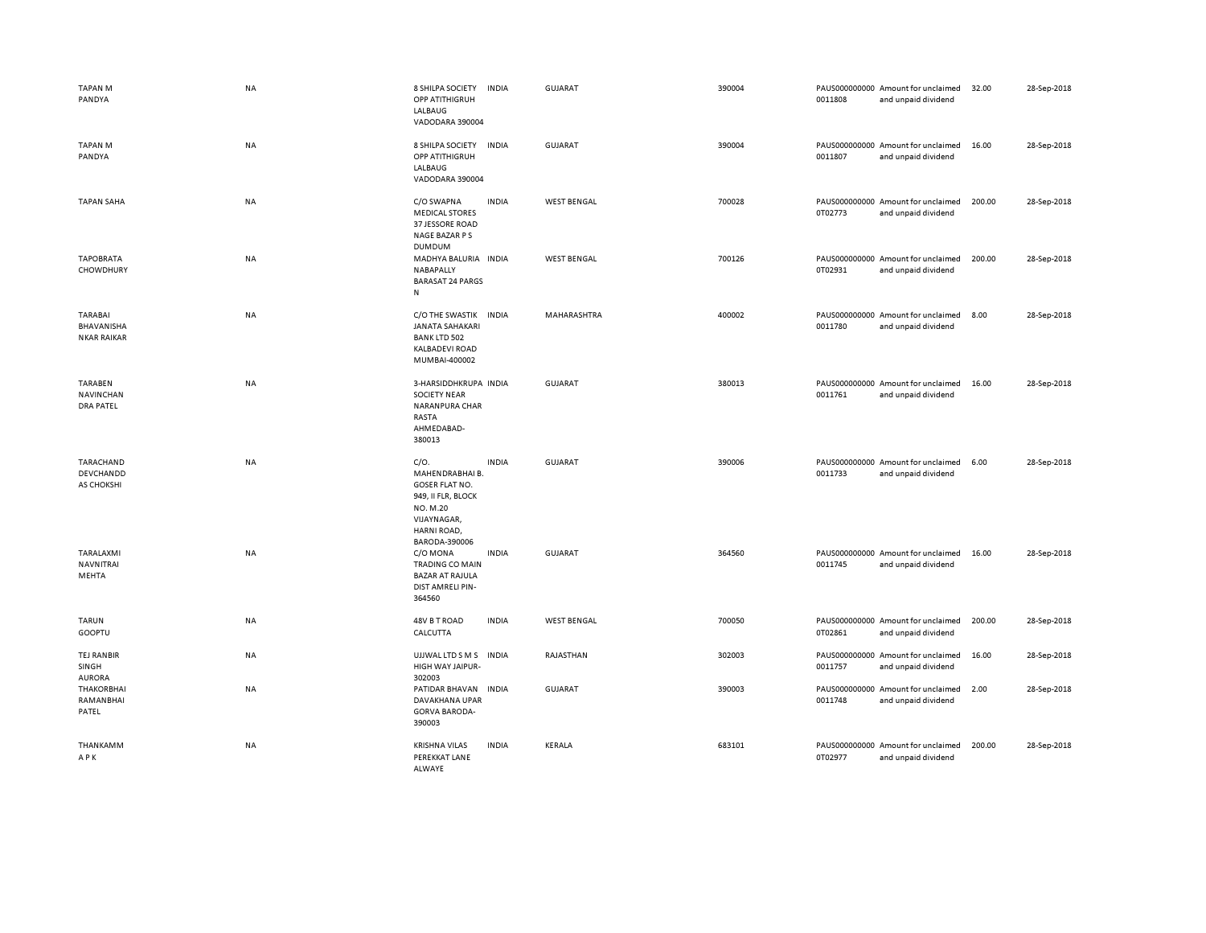| <b>TAPAN M</b><br>PANDYA                           | <b>NA</b> | 8 SHILPA SOCIETY<br>OPP ATITHIGRUH<br>LALBAUG<br>VADODARA 390004                                                                  | <b>INDIA</b> | GUJARAT            | 390004 | 0011808 | PAUS000000000 Amount for unclaimed<br>and unpaid dividend | 32.00  | 28-Sep-2018 |
|----------------------------------------------------|-----------|-----------------------------------------------------------------------------------------------------------------------------------|--------------|--------------------|--------|---------|-----------------------------------------------------------|--------|-------------|
| <b>TAPAN M</b><br>PANDYA                           | NA        | 8 SHILPA SOCIETY<br>OPP ATITHIGRUH<br>LALBAUG<br>VADODARA 390004                                                                  | <b>INDIA</b> | <b>GUJARAT</b>     | 390004 | 0011807 | PAUS000000000 Amount for unclaimed<br>and unpaid dividend | 16.00  | 28-Sep-2018 |
| <b>TAPAN SAHA</b>                                  | <b>NA</b> | C/O SWAPNA<br><b>MEDICAL STORES</b><br>37 JESSORE ROAD<br>NAGE BAZAR P S<br><b>DUMDUM</b>                                         | <b>INDIA</b> | <b>WEST BENGAL</b> | 700028 | 0T02773 | PAUS000000000 Amount for unclaimed<br>and unpaid dividend | 200.00 | 28-Sep-2018 |
| <b>TAPOBRATA</b><br>CHOWDHURY                      | NA        | MADHYA BALURIA INDIA<br>NABAPALLY<br><b>BARASAT 24 PARGS</b><br>${\sf N}$                                                         |              | <b>WEST BENGAL</b> | 700126 | 0T02931 | PAUS000000000 Amount for unclaimed<br>and unpaid dividend | 200.00 | 28-Sep-2018 |
| <b>TARABAI</b><br>BHAVANISHA<br><b>NKAR RAIKAR</b> | NA        | C/O THE SWASTIK INDIA<br><b>JANATA SAHAKARI</b><br><b>BANK LTD 502</b><br><b>KALBADEVI ROAD</b><br>MUMBAI-400002                  |              | MAHARASHTRA        | 400002 | 0011780 | PAUS000000000 Amount for unclaimed<br>and unpaid dividend | 8.00   | 28-Sep-2018 |
| <b>TARABEN</b><br>NAVINCHAN<br><b>DRA PATEL</b>    | NA        | 3-HARSIDDHKRUPA INDIA<br><b>SOCIETY NEAR</b><br>NARANPURA CHAR<br>RASTA<br>AHMEDABAD-<br>380013                                   |              | <b>GUJARAT</b>     | 380013 | 0011761 | PAUS000000000 Amount for unclaimed<br>and unpaid dividend | 16.00  | 28-Sep-2018 |
| TARACHAND<br>DEVCHANDD<br>AS CHOKSHI               | <b>NA</b> | C/O.<br>MAHENDRABHAI B.<br><b>GOSER FLAT NO.</b><br>949, II FLR, BLOCK<br>NO. M.20<br>VIJAYNAGAR,<br>HARNI ROAD,<br>BARODA-390006 | <b>INDIA</b> | GUJARAT            | 390006 | 0011733 | PAUS000000000 Amount for unclaimed<br>and unpaid dividend | 6.00   | 28-Sep-2018 |
| TARALAXMI<br>NAVNITRAI<br>MEHTA                    | NA        | C/O MONA<br><b>TRADING CO MAIN</b><br><b>BAZAR AT RAJULA</b><br>DIST AMRELI PIN-<br>364560                                        | <b>INDIA</b> | <b>GUJARAT</b>     | 364560 | 0011745 | PAUS000000000 Amount for unclaimed<br>and unpaid dividend | 16.00  | 28-Sep-2018 |
| TARUN<br>GOOPTU                                    | NA        | 48V B T ROAD<br>CALCUTTA                                                                                                          | <b>INDIA</b> | <b>WEST BENGAL</b> | 700050 | 0T02861 | PAUS000000000 Amount for unclaimed<br>and unpaid dividend | 200.00 | 28-Sep-2018 |
| <b>TEJ RANBIR</b><br>SINGH<br><b>AURORA</b>        | NA        | UJJWAL LTD S M S<br>HIGH WAY JAIPUR-<br>302003                                                                                    | <b>INDIA</b> | RAJASTHAN          | 302003 | 0011757 | PAUS000000000 Amount for unclaimed<br>and unpaid dividend | 16.00  | 28-Sep-2018 |
| <b>THAKORBHAI</b><br>RAMANBHAI<br>PATEL            | NA        | PATIDAR BHAVAN<br>DAVAKHANA UPAR<br><b>GORVA BARODA-</b><br>390003                                                                | <b>INDIA</b> | GUJARAT            | 390003 | 0011748 | PAUS000000000 Amount for unclaimed<br>and unpaid dividend | 2.00   | 28-Sep-2018 |
| THANKAMM<br>APK                                    | ΝA        | <b>KRISHNA VILAS</b><br>PEREKKAT LANE<br>ALWAYE                                                                                   | <b>INDIA</b> | KERALA             | 683101 | 0T02977 | PAUS000000000 Amount for unclaimed<br>and unpaid dividend | 200.00 | 28-Sep-2018 |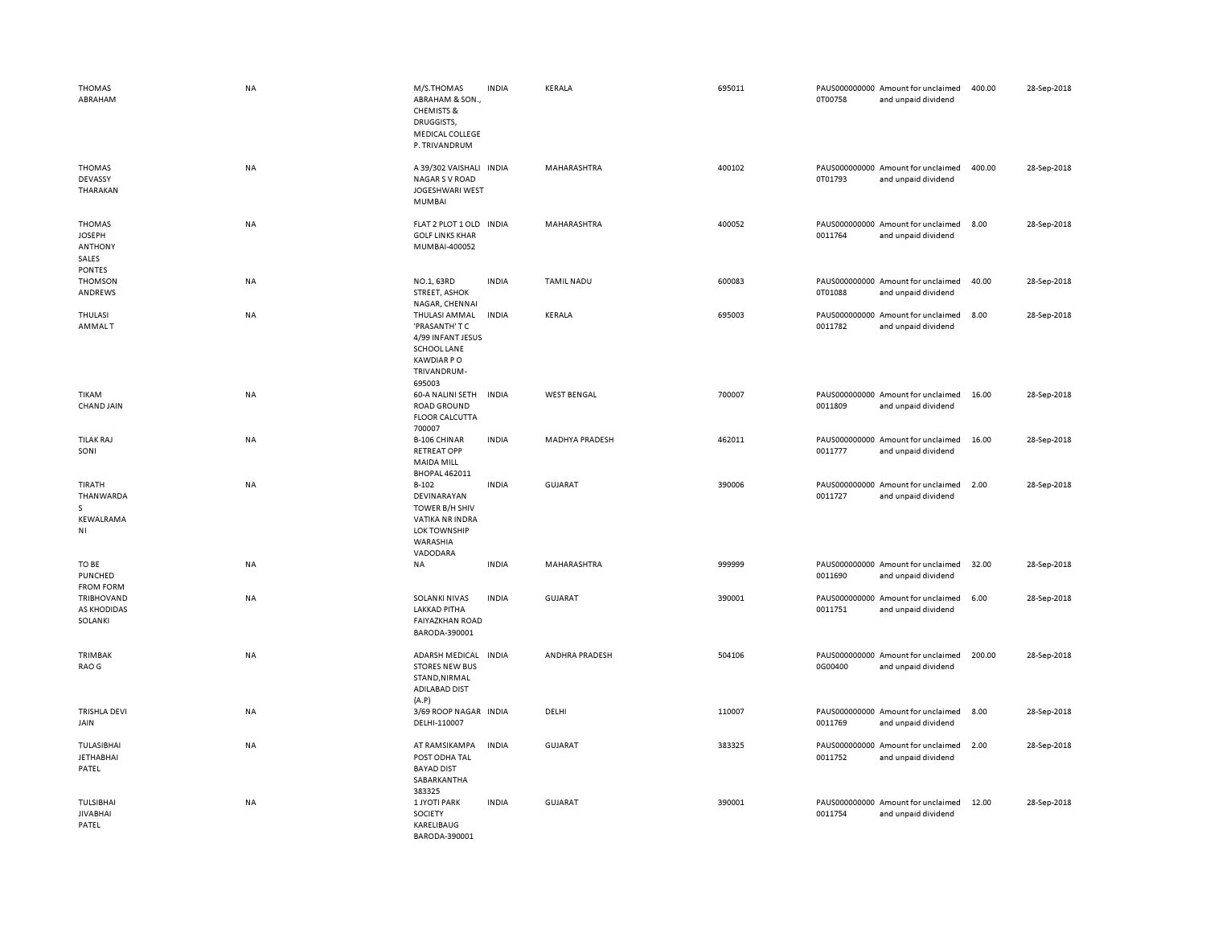| <b>THOMAS</b><br>ABRAHAM                                                   | <b>NA</b> | M/S.THOMAS<br>ABRAHAM & SON.,<br><b>CHEMISTS &amp;</b><br>DRUGGISTS,<br>MEDICAL COLLEGE<br>P. TRIVANDRUM          | <b>INDIA</b> | KERALA                | 695011 | 0T00758 | PAUS000000000 Amount for unclaimed<br>and unpaid dividend | 400.00 | 28-Sep-2018 |
|----------------------------------------------------------------------------|-----------|-------------------------------------------------------------------------------------------------------------------|--------------|-----------------------|--------|---------|-----------------------------------------------------------|--------|-------------|
| <b>THOMAS</b><br>DEVASSY<br>THARAKAN                                       | <b>NA</b> | A 39/302 VAISHALI INDIA<br><b>NAGAR S V ROAD</b><br><b>JOGESHWARI WEST</b><br><b>MUMBAI</b>                       |              | MAHARASHTRA           | 400102 | 0T01793 | PAUS000000000 Amount for unclaimed<br>and unpaid dividend | 400.00 | 28-Sep-2018 |
| <b>THOMAS</b><br><b>JOSEPH</b><br><b>ANTHONY</b><br>SALES<br><b>PONTES</b> | NA        | FLAT 2 PLOT 1 OLD IN DIA<br><b>GOLF LINKS KHAR</b><br>MUMBAI-400052                                               |              | MAHARASHTRA           | 400052 | 0011764 | PAUS000000000 Amount for unclaimed<br>and unpaid dividend | 8.00   | 28-Sep-2018 |
| <b>THOMSON</b><br>ANDREWS                                                  | NA        | NO.1, 63RD<br><b>STREET, ASHOK</b><br>NAGAR, CHENNAI                                                              | <b>INDIA</b> | <b>TAMIL NADU</b>     | 600083 | 0T01088 | PAUS000000000 Amount for unclaimed<br>and unpaid dividend | 40.00  | 28-Sep-2018 |
| THULASI<br>AMMALT                                                          | NA        | THULASI AMMAL<br>'PRASANTH' T C<br>4/99 INFANT JESUS<br>SCHOOL LANE<br><b>KAWDIAR PO</b><br>TRIVANDRUM-<br>695003 | <b>INDIA</b> | KERALA                | 695003 | 0011782 | PAUS000000000 Amount for unclaimed<br>and unpaid dividend | 8.00   | 28-Sep-2018 |
| <b>TIKAM</b><br>CHAND JAIN                                                 | NA        | 60-A NALINI SETH<br><b>ROAD GROUND</b><br><b>FLOOR CALCUTTA</b><br>700007                                         | <b>INDIA</b> | <b>WEST BENGAL</b>    | 700007 | 0011809 | PAUS000000000 Amount for unclaimed<br>and unpaid dividend | 16.00  | 28-Sep-2018 |
| <b>TILAK RAJ</b><br>SONI                                                   | NA        | <b>B-106 CHINAR</b><br><b>RETREAT OPP</b><br><b>MAIDA MILL</b><br><b>BHOPAL 462011</b>                            | <b>INDIA</b> | <b>MADHYA PRADESH</b> | 462011 | 0011777 | PAUS000000000 Amount for unclaimed<br>and unpaid dividend | 16.00  | 28-Sep-2018 |
| TIRATH<br>THANWARDA<br>S.<br>KEWALRAMA<br>ΝI                               | NA        | $B-102$<br>DEVINARAYAN<br>TOWER B/H SHIV<br>VATIKA NR INDRA<br><b>LOK TOWNSHIP</b><br>WARASHIA<br>VADODARA        | <b>INDIA</b> | <b>GUJARAT</b>        | 390006 | 0011727 | PAUS000000000 Amount for unclaimed<br>and unpaid dividend | 2.00   | 28-Sep-2018 |
| TO BE<br>PUNCHED<br><b>FROM FORM</b>                                       | NA        | NA                                                                                                                | <b>INDIA</b> | MAHARASHTRA           | 999999 | 0011690 | PAUS000000000 Amount for unclaimed<br>and unpaid dividend | 32.00  | 28-Sep-2018 |
| TRIBHOVAND<br>AS KHODIDAS<br>SOLANKI                                       | NA        | <b>SOLANKI NIVAS</b><br><b>LAKKAD PITHA</b><br><b>FAIYAZKHAN ROAD</b><br>BARODA-390001                            | <b>INDIA</b> | <b>GUJARAT</b>        | 390001 | 0011751 | PAUS000000000 Amount for unclaimed<br>and unpaid dividend | 6.00   | 28-Sep-2018 |
| TRIMBAK<br>RAO G                                                           | NA        | <b>ADARSH MEDICAL</b><br><b>STORES NEW BUS</b><br>STAND, NIRMAL<br><b>ADILABAD DIST</b><br>(A.P)                  | <b>INDIA</b> | ANDHRA PRADESH        | 504106 | 0G00400 | PAUS000000000 Amount for unclaimed<br>and unpaid dividend | 200.00 | 28-Sep-2018 |
| TRISHLA DEVI<br>JAIN                                                       | NA        | 3/69 ROOP NAGAR INDIA<br>DELHI-110007                                                                             |              | DELHI                 | 110007 | 0011769 | PAUS000000000 Amount for unclaimed<br>and unpaid dividend | 8.00   | 28-Sep-2018 |
| <b>TULASIBHAI</b><br>JETHABHAI<br>PATEL                                    | NA        | AT RAMSIKAMPA<br>POST ODHA TAL<br><b>BAYAD DIST</b><br>SABARKANTHA<br>383325                                      | <b>INDIA</b> | <b>GUJARAT</b>        | 383325 | 0011752 | PAUS000000000 Amount for unclaimed<br>and unpaid dividend | 2.00   | 28-Sep-2018 |
| <b>TULSIBHAI</b><br><b>JIVABHAI</b><br>PATEL                               | NA        | <b>1 JYOTI PARK</b><br>SOCIETY<br>KARELIBAUG<br>BARODA-390001                                                     | <b>INDIA</b> | <b>GUJARAT</b>        | 390001 | 0011754 | PAUS000000000 Amount for unclaimed<br>and unpaid dividend | 12.00  | 28-Sep-2018 |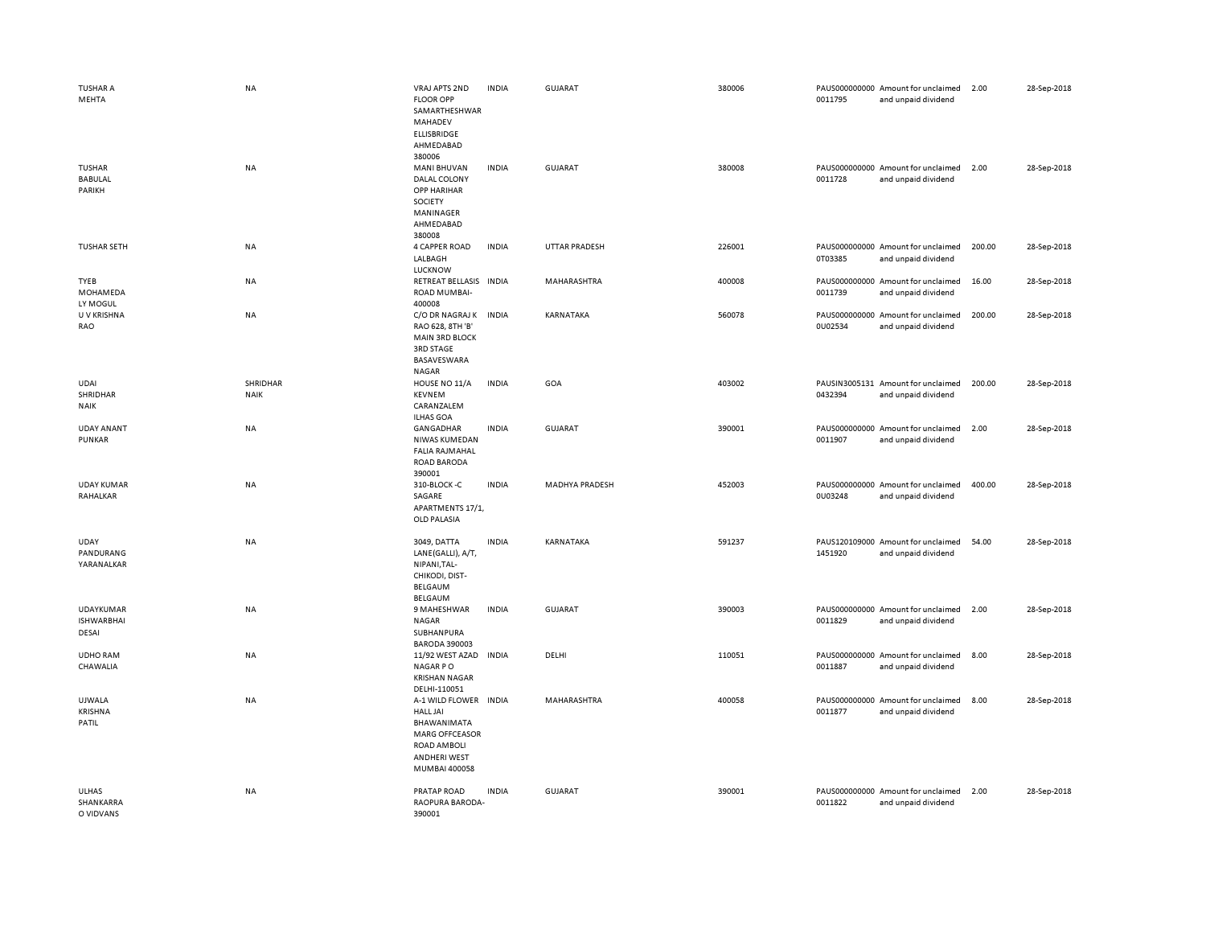| <b>TUSHAR A</b><br>MEHTA                       | <b>NA</b>               | VRAJ APTS 2ND<br><b>FLOOR OPP</b><br>SAMARTHESHWAR<br>MAHADEV<br><b>ELLISBRIDGE</b><br>AHMEDABAD                                 | <b>INDIA</b> | <b>GUJARAT</b>        | 380006 | 0011795 | PAUS000000000 Amount for unclaimed<br>and unpaid dividend | 2.00   | 28-Sep-2018 |
|------------------------------------------------|-------------------------|----------------------------------------------------------------------------------------------------------------------------------|--------------|-----------------------|--------|---------|-----------------------------------------------------------|--------|-------------|
| <b>TUSHAR</b><br><b>BABULAL</b><br>PARIKH      | NA                      | 380006<br><b>MANI BHUVAN</b><br>DALAL COLONY<br><b>OPP HARIHAR</b><br>SOCIETY<br>MANINAGER<br>AHMEDABAD<br>380008                | <b>INDIA</b> | <b>GUJARAT</b>        | 380008 | 0011728 | PAUS000000000 Amount for unclaimed<br>and unpaid dividend | 2.00   | 28-Sep-2018 |
| <b>TUSHAR SETH</b>                             | NA                      | 4 CAPPER ROAD<br>LALBAGH<br>LUCKNOW                                                                                              | <b>INDIA</b> | <b>UTTAR PRADESH</b>  | 226001 | 0T03385 | PAUS000000000 Amount for unclaimed<br>and unpaid dividend | 200.00 | 28-Sep-2018 |
| TYEB<br>MOHAMEDA<br>LY MOGUL                   | NA                      | RETREAT BELLASIS INDIA<br>ROAD MUMBAI-<br>400008                                                                                 |              | MAHARASHTRA           | 400008 | 0011739 | PAUS000000000 Amount for unclaimed<br>and unpaid dividend | 16.00  | 28-Sep-2018 |
| U V KRISHNA<br>RAO                             | NA                      | C/O DR NAGRAJ K<br>RAO 628, 8TH 'B'<br><b>MAIN 3RD BLOCK</b><br>3RD STAGE<br>BASAVESWARA<br>NAGAR                                | <b>INDIA</b> | KARNATAKA             | 560078 | 0U02534 | PAUS000000000 Amount for unclaimed<br>and unpaid dividend | 200.00 | 28-Sep-2018 |
| <b>UDAI</b><br>SHRIDHAR<br><b>NAIK</b>         | SHRIDHAR<br><b>NAIK</b> | HOUSE NO 11/A<br><b>KEVNEM</b><br>CARANZALEM<br><b>ILHAS GOA</b>                                                                 | <b>INDIA</b> | GOA                   | 403002 | 0432394 | PAUSIN3005131 Amount for unclaimed<br>and unpaid dividend | 200.00 | 28-Sep-2018 |
| <b>UDAY ANANT</b><br>PUNKAR                    | NA                      | GANGADHAR<br>NIWAS KUMEDAN<br><b>FALIA RAJMAHAL</b><br><b>ROAD BARODA</b><br>390001                                              | <b>INDIA</b> | <b>GUJARAT</b>        | 390001 | 0011907 | PAUS000000000 Amount for unclaimed<br>and unpaid dividend | 2.00   | 28-Sep-2018 |
| <b>UDAY KUMAR</b><br>RAHALKAR                  | NA                      | 310-BLOCK-C<br>SAGARE<br>APARTMENTS 17/1,<br>OLD PALASIA                                                                         | <b>INDIA</b> | <b>MADHYA PRADESH</b> | 452003 | 0U03248 | PAUS000000000 Amount for unclaimed<br>and unpaid dividend | 400.00 | 28-Sep-2018 |
| <b>UDAY</b><br>PANDURANG<br>YARANALKAR         | NA                      | 3049, DATTA<br>LANE(GALLI), A/T,<br>NIPANI, TAL-<br>CHIKODI, DIST-<br><b>BELGAUM</b><br><b>BELGAUM</b>                           | <b>INDIA</b> | KARNATAKA             | 591237 | 1451920 | PAUS120109000 Amount for unclaimed<br>and unpaid dividend | 54.00  | 28-Sep-2018 |
| <b>UDAYKUMAR</b><br><b>ISHWARBHAI</b><br>DESAI | NA                      | 9 MAHESHWAR<br>NAGAR<br>SUBHANPURA<br><b>BARODA 390003</b>                                                                       | <b>INDIA</b> | <b>GUJARAT</b>        | 390003 | 0011829 | PAUS000000000 Amount for unclaimed<br>and unpaid dividend | 2.00   | 28-Sep-2018 |
| <b>UDHO RAM</b><br>CHAWALIA                    | NA                      | 11/92 WEST AZAD INDIA<br><b>NAGARPO</b><br><b>KRISHAN NAGAR</b><br>DELHI-110051                                                  |              | DELHI                 | 110051 | 0011887 | PAUS000000000 Amount for unclaimed<br>and unpaid dividend | 8.00   | 28-Sep-2018 |
| UJWALA<br><b>KRISHNA</b><br>PATIL              | NA                      | A-1 WILD FLOWER INDIA<br><b>HALL JAI</b><br>BHAWANIMATA<br><b>MARG OFFCEASOR</b><br>ROAD AMBOLI<br>ANDHERI WEST<br>MUMBAI 400058 |              | MAHARASHTRA           | 400058 | 0011877 | PAUS000000000 Amount for unclaimed<br>and unpaid dividend | 8.00   | 28-Sep-2018 |
| ULHAS<br>SHANKARRA<br>O VIDVANS                | <b>NA</b>               | PRATAP ROAD<br>RAOPURA BARODA-<br>390001                                                                                         | <b>INDIA</b> | <b>GUJARAT</b>        | 390001 | 0011822 | PAUS000000000 Amount for unclaimed<br>and unpaid dividend | 2.00   | 28-Sep-2018 |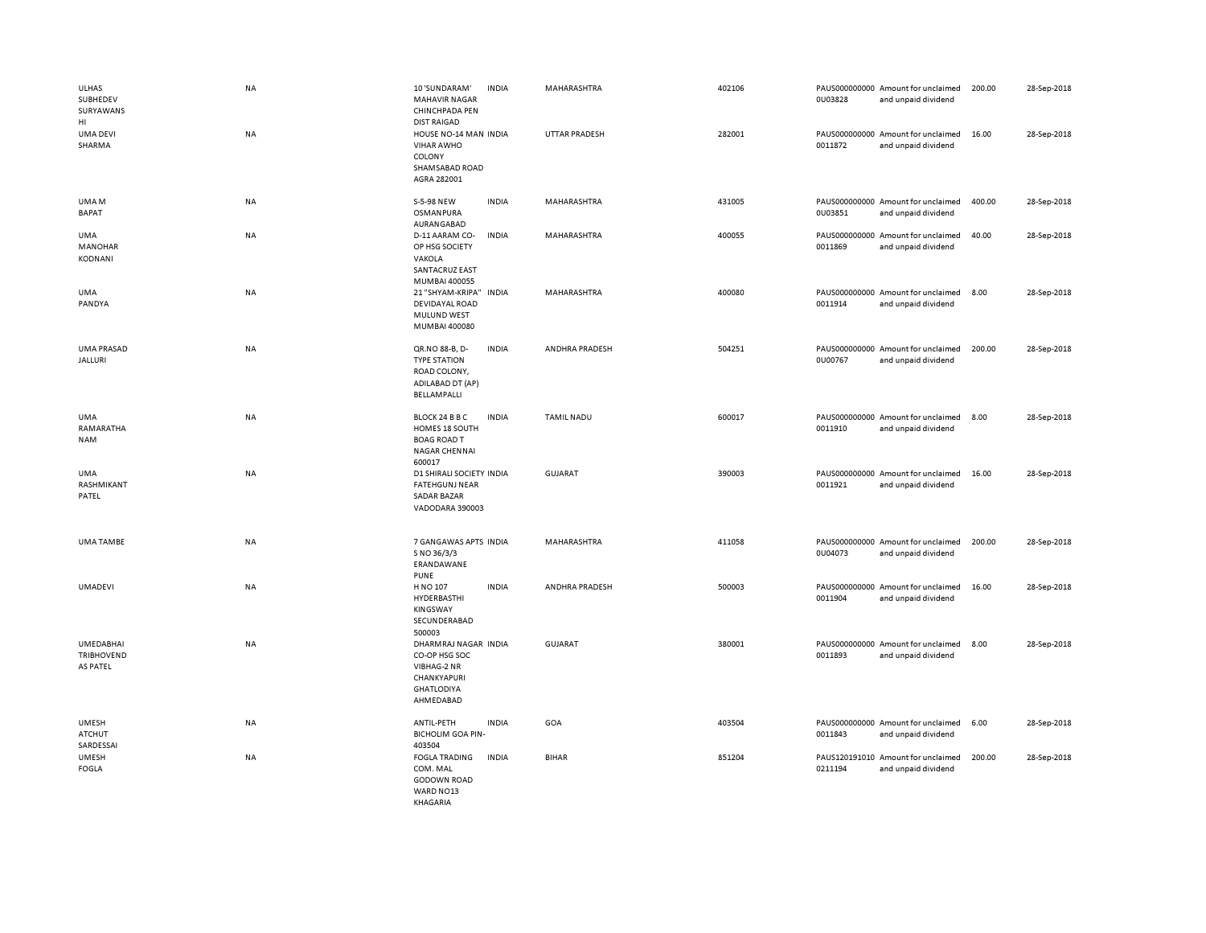| <b>ULHAS</b><br>SUBHEDEV<br>SURYAWANS<br>HI       | NA | 10 'SUNDARAM'<br><b>MAHAVIR NAGAR</b><br>CHINCHPADA PEN<br><b>DIST RAIGAD</b>                         | <b>INDIA</b> | MAHARASHTRA          | 402106 | 0U03828 | PAUS000000000 Amount for unclaimed<br>and unpaid dividend | 200.00 | 28-Sep-2018 |
|---------------------------------------------------|----|-------------------------------------------------------------------------------------------------------|--------------|----------------------|--------|---------|-----------------------------------------------------------|--------|-------------|
| <b>UMA DEVI</b><br>SHARMA                         | NA | HOUSE NO-14 MAN INDIA<br><b>VIHAR AWHO</b><br>COLONY<br>SHAMSABAD ROAD<br>AGRA 282001                 |              | <b>UTTAR PRADESH</b> | 282001 | 0011872 | PAUS000000000 Amount for unclaimed<br>and unpaid dividend | 16.00  | 28-Sep-2018 |
| UMA M<br><b>BAPAT</b>                             | NA | S-5-98 NEW<br>OSMANPURA<br>AURANGABAD                                                                 | <b>INDIA</b> | MAHARASHTRA          | 431005 | 0U03851 | PAUS000000000 Amount for unclaimed<br>and unpaid dividend | 400.00 | 28-Sep-2018 |
| <b>UMA</b><br><b>MANOHAR</b><br><b>KODNANI</b>    | NA | D-11 AARAM CO-<br>OP HSG SOCIETY<br>VAKOLA<br><b>SANTACRUZ EAST</b><br>MUMBAI 400055                  | <b>INDIA</b> | MAHARASHTRA          | 400055 | 0011869 | PAUS000000000 Amount for unclaimed<br>and unpaid dividend | 40.00  | 28-Sep-2018 |
| <b>UMA</b><br>PANDYA                              | NA | 21 "SHYAM-KRIPA"<br>DEVIDAYAL ROAD<br><b>MULUND WEST</b><br>MUMBAI 400080                             | <b>INDIA</b> | MAHARASHTRA          | 400080 | 0011914 | PAUS000000000 Amount for unclaimed<br>and unpaid dividend | 8.00   | 28-Sep-2018 |
| <b>UMA PRASAD</b><br><b>JALLURI</b>               | NA | QR.NO 88-B, D-<br><b>TYPE STATION</b><br>ROAD COLONY,<br>ADILABAD DT (AP)<br><b>BELLAMPALLI</b>       | <b>INDIA</b> | ANDHRA PRADESH       | 504251 | 0U00767 | PAUS000000000 Amount for unclaimed<br>and unpaid dividend | 200.00 | 28-Sep-2018 |
| UMA<br>RAMARATHA<br><b>NAM</b>                    | NA | BLOCK 24 B B C<br>HOMES 18 SOUTH<br><b>BOAG ROAD T</b><br><b>NAGAR CHENNAI</b><br>600017              | <b>INDIA</b> | <b>TAMIL NADU</b>    | 600017 | 0011910 | PAUS000000000 Amount for unclaimed<br>and unpaid dividend | 8.00   | 28-Sep-2018 |
| <b>UMA</b><br>RASHMIKANT<br>PATEL                 | NA | D1 SHIRALI SOCIETY INDIA<br><b>FATEHGUNJ NEAR</b><br><b>SADAR BAZAR</b><br>VADODARA 390003            |              | <b>GUJARAT</b>       | 390003 | 0011921 | PAUS000000000 Amount for unclaimed<br>and unpaid dividend | 16.00  | 28-Sep-2018 |
| <b>UMA TAMBE</b>                                  | NA | 7 GANGAWAS APTS INDIA<br>S NO 36/3/3<br>ERANDAWANE<br><b>PUNE</b>                                     |              | MAHARASHTRA          | 411058 | 0U04073 | PAUS000000000 Amount for unclaimed<br>and unpaid dividend | 200.00 | 28-Sep-2018 |
| <b>UMADEVI</b>                                    | NA | H NO 107<br>HYDERBASTHI<br>KINGSWAY<br>SECUNDERABAD<br>500003                                         | <b>INDIA</b> | ANDHRA PRADESH       | 500003 | 0011904 | PAUS000000000 Amount for unclaimed<br>and unpaid dividend | 16.00  | 28-Sep-2018 |
| <b>UMEDABHAI</b><br><b>TRIBHOVEND</b><br>AS PATEL | NA | DHARMRAJ NAGAR INDIA<br>CO-OP HSG SOC<br>VIBHAG-2 NR<br>CHANKYAPURI<br><b>GHATLODIYA</b><br>AHMEDABAD |              | <b>GUJARAT</b>       | 380001 | 0011893 | PAUS000000000 Amount for unclaimed<br>and unpaid dividend | 8.00   | 28-Sep-2018 |
| <b>UMESH</b><br>ATCHUT<br>SARDESSAI               | NA | ANTIL-PETH<br><b>BICHOLIM GOA PIN-</b><br>403504                                                      | <b>INDIA</b> | GOA                  | 403504 | 0011843 | PAUS000000000 Amount for unclaimed<br>and unpaid dividend | 6.00   | 28-Sep-2018 |
| <b>UMESH</b><br><b>FOGLA</b>                      | NA | <b>FOGLA TRADING</b><br>COM. MAL<br><b>GODOWN ROAD</b><br>WARD NO13<br>KHAGARIA                       | <b>INDIA</b> | <b>BIHAR</b>         | 851204 | 0211194 | PAUS120191010 Amount for unclaimed<br>and unpaid dividend | 200.00 | 28-Sep-2018 |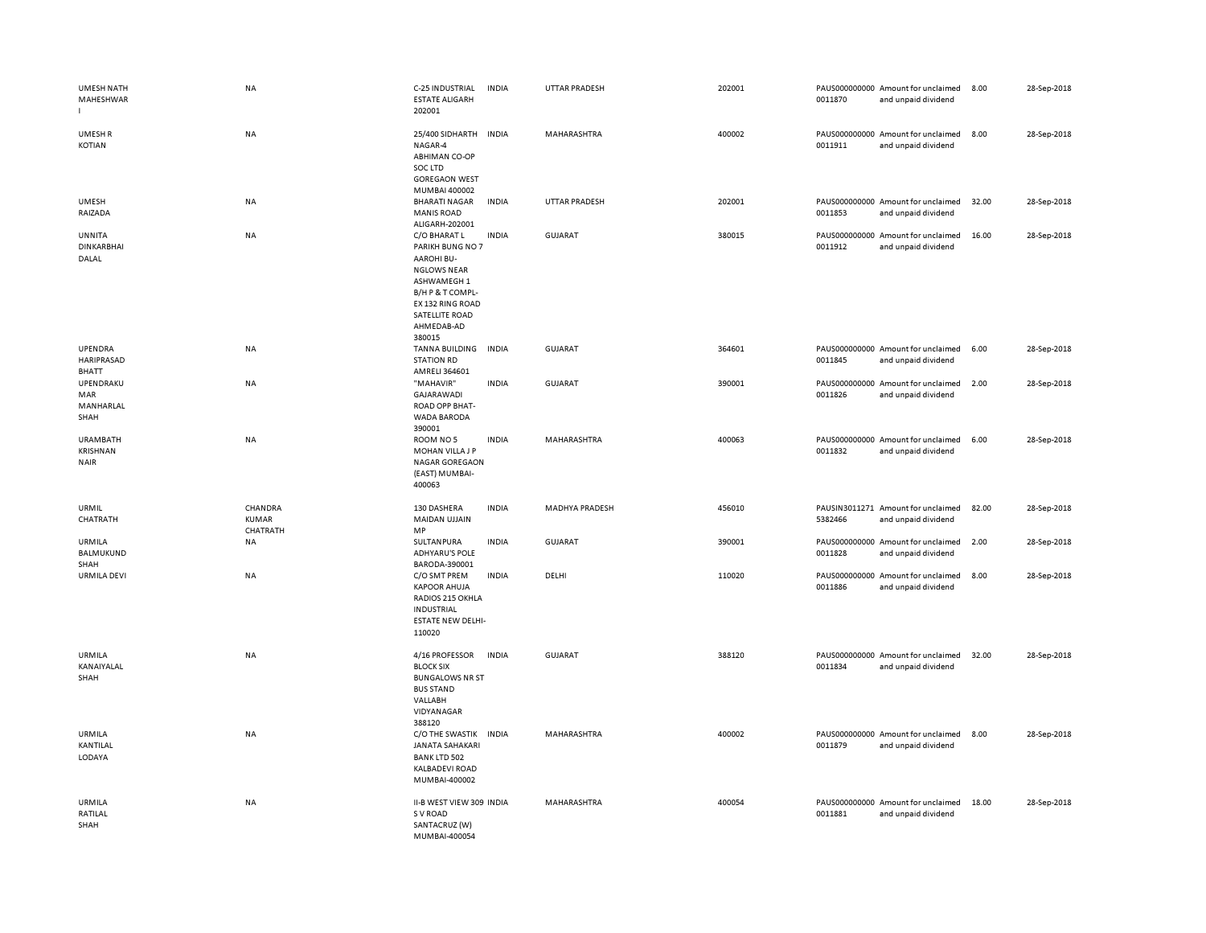| <b>UMESH NATH</b><br>MAHESHWAR                    | <b>NA</b>                    | C-25 INDUSTRIAL<br><b>ESTATE ALIGARH</b><br>202001                                                                                                                           | <b>INDIA</b> | <b>UTTAR PRADESH</b>  | 202001 | 0011870 | PAUS000000000 Amount for unclaimed<br>and unpaid dividend | 8.00  | 28-Sep-2018 |
|---------------------------------------------------|------------------------------|------------------------------------------------------------------------------------------------------------------------------------------------------------------------------|--------------|-----------------------|--------|---------|-----------------------------------------------------------|-------|-------------|
| UMESH R<br>KOTIAN                                 | <b>NA</b>                    | 25/400 SIDHARTH<br>NAGAR-4<br><b>ABHIMAN CO-OP</b><br>SOC LTD<br><b>GOREGAON WEST</b><br>MUMBAI 400002                                                                       | <b>INDIA</b> | <b>MAHARASHTRA</b>    | 400002 | 0011911 | PAUS000000000 Amount for unclaimed<br>and unpaid dividend | 8.00  | 28-Sep-2018 |
| <b>UMESH</b><br>RAIZADA                           | NA                           | <b>BHARATI NAGAR</b><br><b>MANIS ROAD</b><br>ALIGARH-202001                                                                                                                  | <b>INDIA</b> | <b>UTTAR PRADESH</b>  | 202001 | 0011853 | PAUS000000000 Amount for unclaimed<br>and unpaid dividend | 32.00 | 28-Sep-2018 |
| UNNITA<br><b>DINKARBHAI</b><br>DALAL              | NA                           | C/O BHARAT L<br>PARIKH BUNG NO 7<br><b>AAROHI BU-</b><br><b>NGLOWS NEAR</b><br>ASHWAMEGH 1<br>B/H P & T COMPL-<br>EX 132 RING ROAD<br>SATELLITE ROAD<br>AHMEDAB-AD<br>380015 | <b>INDIA</b> | <b>GUJARAT</b>        | 380015 | 0011912 | PAUS000000000 Amount for unclaimed<br>and unpaid dividend | 16.00 | 28-Sep-2018 |
| UPENDRA<br>HARIPRASAD<br>BHATT                    | <b>NA</b>                    | <b>TANNA BUILDING</b><br><b>STATION RD</b><br>AMRELI 364601                                                                                                                  | <b>INDIA</b> | <b>GUJARAT</b>        | 364601 | 0011845 | PAUS000000000 Amount for unclaimed<br>and unpaid dividend | 6.00  | 28-Sep-2018 |
| UPENDRAKU<br>MAR<br>MANHARLAL<br>SHAH             | NA                           | "MAHAVIR"<br>GAJARAWADI<br>ROAD OPP BHAT-<br><b>WADA BARODA</b><br>390001                                                                                                    | <b>INDIA</b> | <b>GUJARAT</b>        | 390001 | 0011826 | PAUS000000000 Amount for unclaimed<br>and unpaid dividend | 2.00  | 28-Sep-2018 |
| <b>URAMBATH</b><br><b>KRISHNAN</b><br><b>NAIR</b> | NA                           | ROOM NO 5<br>MOHAN VILLA J P<br><b>NAGAR GOREGAON</b><br>(EAST) MUMBAI-<br>400063                                                                                            | <b>INDIA</b> | MAHARASHTRA           | 400063 | 0011832 | PAUS000000000 Amount for unclaimed<br>and unpaid dividend | 6.00  | 28-Sep-2018 |
| URMIL<br>CHATRATH                                 | CHANDRA<br>KUMAR<br>CHATRATH | 130 DASHERA<br>MAIDAN UJJAIN<br>MP                                                                                                                                           | <b>INDIA</b> | <b>MADHYA PRADESH</b> | 456010 | 5382466 | PAUSIN3011271 Amount for unclaimed<br>and unpaid dividend | 82.00 | 28-Sep-2018 |
| URMILA<br><b>BALMUKUND</b><br>SHAH                | <b>NA</b>                    | SULTANPURA<br><b>ADHYARU'S POLE</b><br>BARODA-390001                                                                                                                         | <b>INDIA</b> | <b>GUJARAT</b>        | 390001 | 0011828 | PAUS000000000 Amount for unclaimed<br>and unpaid dividend | 2.00  | 28-Sep-2018 |
| <b>URMILA DEVI</b>                                | NA                           | C/O SMT PREM<br><b>KAPOOR AHUJA</b><br>RADIOS 215 OKHLA<br><b>INDUSTRIAL</b><br><b>ESTATE NEW DELHI-</b><br>110020                                                           | <b>INDIA</b> | DELHI                 | 110020 | 0011886 | PAUS000000000 Amount for unclaimed<br>and unpaid dividend | 8.00  | 28-Sep-2018 |
| <b>URMILA</b><br>KANAIYALAL<br>SHAH               | NA                           | 4/16 PROFESSOR<br><b>BLOCK SIX</b><br><b>BUNGALOWS NR ST</b><br><b>BUS STAND</b><br>VALLABH<br>VIDYANAGAR<br>388120                                                          | <b>INDIA</b> | <b>GUJARAT</b>        | 388120 | 0011834 | PAUS000000000 Amount for unclaimed<br>and unpaid dividend | 32.00 | 28-Sep-2018 |
| URMILA<br>KANTILAL<br>LODAYA                      | <b>NA</b>                    | C/O THE SWASTIK<br><b>JANATA SAHAKARI</b><br><b>BANK LTD 502</b><br><b>KALBADEVI ROAD</b><br>MUMBAI-400002                                                                   | <b>INDIA</b> | MAHARASHTRA           | 400002 | 0011879 | PAUS000000000 Amount for unclaimed<br>and unpaid dividend | 8.00  | 28-Sep-2018 |
| URMILA<br>RATILAL<br>SHAH                         | NA                           | II-B WEST VIEW 309 INDIA<br>S V ROAD<br>SANTACRUZ (W)<br>MUMBAI-400054                                                                                                       |              | MAHARASHTRA           | 400054 | 0011881 | PAUS000000000 Amount for unclaimed<br>and unpaid dividend | 18.00 | 28-Sep-2018 |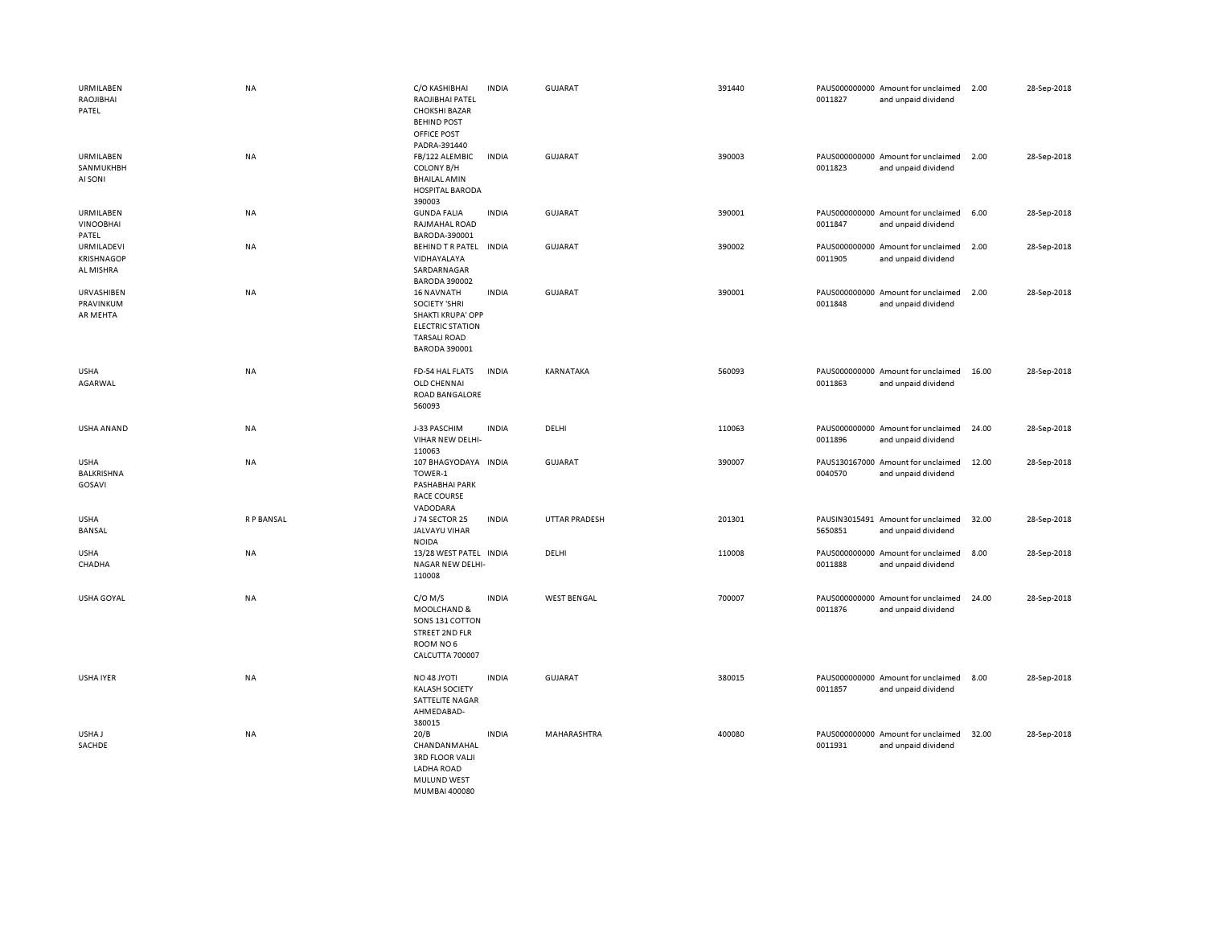| URMILABEN<br>RAOJIBHAI<br>PATEL              | <b>NA</b>        | C/O KASHIBHAI<br>RAOJIBHAI PATEL<br><b>CHOKSHI BAZAR</b><br><b>BEHIND POST</b><br>OFFICE POST<br>PADRA-391440              | <b>INDIA</b> | <b>GUJARAT</b>       | 391440 | 0011827                  | PAUS000000000 Amount for unclaimed<br>and unpaid dividend | 2.00  | 28-Sep-2018 |
|----------------------------------------------|------------------|----------------------------------------------------------------------------------------------------------------------------|--------------|----------------------|--------|--------------------------|-----------------------------------------------------------|-------|-------------|
| URMILABEN<br>SANMUKHBH<br>AI SONI            | <b>NA</b>        | FB/122 ALEMBIC<br><b>COLONY B/H</b><br><b>BHAILAL AMIN</b><br><b>HOSPITAL BARODA</b><br>390003                             | <b>INDIA</b> | <b>GUJARAT</b>       | 390003 | 0011823                  | PAUS000000000 Amount for unclaimed<br>and unpaid dividend | 2.00  | 28-Sep-2018 |
| URMILABEN<br><b>VINOOBHAI</b><br>PATEL       | <b>NA</b>        | <b>GUNDA FALIA</b><br>RAJMAHAL ROAD<br>BARODA-390001                                                                       | <b>INDIA</b> | <b>GUJARAT</b>       | 390001 | 0011847                  | PAUS000000000 Amount for unclaimed<br>and unpaid dividend | 6.00  | 28-Sep-2018 |
| URMILADEVI<br><b>KRISHNAGOP</b><br>AL MISHRA | <b>NA</b>        | BEHIND TR PATEL INDIA<br>VIDHAYALAYA<br>SARDARNAGAR<br><b>BARODA 390002</b>                                                |              | GUJARAT              | 390002 | 0011905                  | PAUS000000000 Amount for unclaimed<br>and unpaid dividend | 2.00  | 28-Sep-2018 |
| URVASHIBEN<br>PRAVINKUM<br>AR MEHTA          | NA               | 16 NAVNATH<br>SOCIETY 'SHRI<br>SHAKTI KRUPA' OPP<br><b>ELECTRIC STATION</b><br><b>TARSALI ROAD</b><br><b>BARODA 390001</b> | <b>INDIA</b> | GUJARAT              | 390001 | 0011848                  | PAUS000000000 Amount for unclaimed<br>and unpaid dividend | 2.00  | 28-Sep-2018 |
| <b>USHA</b><br>AGARWAL                       | <b>NA</b>        | FD-54 HAL FLATS<br>OLD CHENNAI<br>ROAD BANGALORE<br>560093                                                                 | <b>INDIA</b> | KARNATAKA            | 560093 | 0011863                  | PAUS000000000 Amount for unclaimed<br>and unpaid dividend | 16.00 | 28-Sep-2018 |
| USHA ANAND                                   | <b>NA</b>        | J-33 PASCHIM<br>VIHAR NEW DELHI-<br>110063                                                                                 | <b>INDIA</b> | DELHI                | 110063 | 0011896                  | PAUS000000000 Amount for unclaimed<br>and unpaid dividend | 24.00 | 28-Sep-2018 |
| <b>USHA</b><br>BALKRISHNA<br>GOSAVI          | NA               | 107 BHAGYODAYA INDIA<br>TOWER-1<br>PASHABHAI PARK<br><b>RACE COURSE</b><br>VADODARA                                        |              | <b>GUJARAT</b>       | 390007 | 0040570                  | PAUS130167000 Amount for unclaimed<br>and unpaid dividend | 12.00 | 28-Sep-2018 |
| <b>USHA</b><br>BANSAL                        | <b>RP BANSAL</b> | J 74 SECTOR 25<br>JALVAYU VIHAR<br><b>NOIDA</b>                                                                            | <b>INDIA</b> | <b>UTTAR PRADESH</b> | 201301 | PAUSIN3015491<br>5650851 | Amount for unclaimed<br>and unpaid dividend               | 32.00 | 28-Sep-2018 |
| <b>USHA</b><br>CHADHA                        | NA               | 13/28 WEST PATEL INDIA<br>NAGAR NEW DELHI-<br>110008                                                                       |              | DELHI                | 110008 | 0011888                  | PAUS000000000 Amount for unclaimed<br>and unpaid dividend | 8.00  | 28-Sep-2018 |
| <b>USHA GOYAL</b>                            | <b>NA</b>        | $C/O$ M/S<br>MOOLCHAND &<br>SONS 131 COTTON<br><b>STREET 2ND FLR</b><br>ROOM NO6<br>CALCUTTA 700007                        | <b>INDIA</b> | <b>WEST BENGAL</b>   | 700007 | 0011876                  | PAUS000000000 Amount for unclaimed<br>and unpaid dividend | 24.00 | 28-Sep-2018 |
| USHA IYER                                    | <b>NA</b>        | NO 48 JYOTI<br><b>KALASH SOCIETY</b><br>SATTELITE NAGAR<br>AHMEDABAD-<br>380015                                            | <b>INDIA</b> | GUJARAT              | 380015 | 0011857                  | PAUS000000000 Amount for unclaimed<br>and unpaid dividend | 8.00  | 28-Sep-2018 |
| USHA J<br>SACHDE                             | <b>NA</b>        | 20/B<br>CHANDANMAHAL<br><b>3RD FLOOR VALJI</b><br>LADHA ROAD<br>MULUND WEST<br>MUMBAL400080                                | <b>INDIA</b> | MAHARASHTRA          | 400080 | 0011931                  | PAUS000000000 Amount for unclaimed<br>and unpaid dividend | 32.00 | 28-Sep-2018 |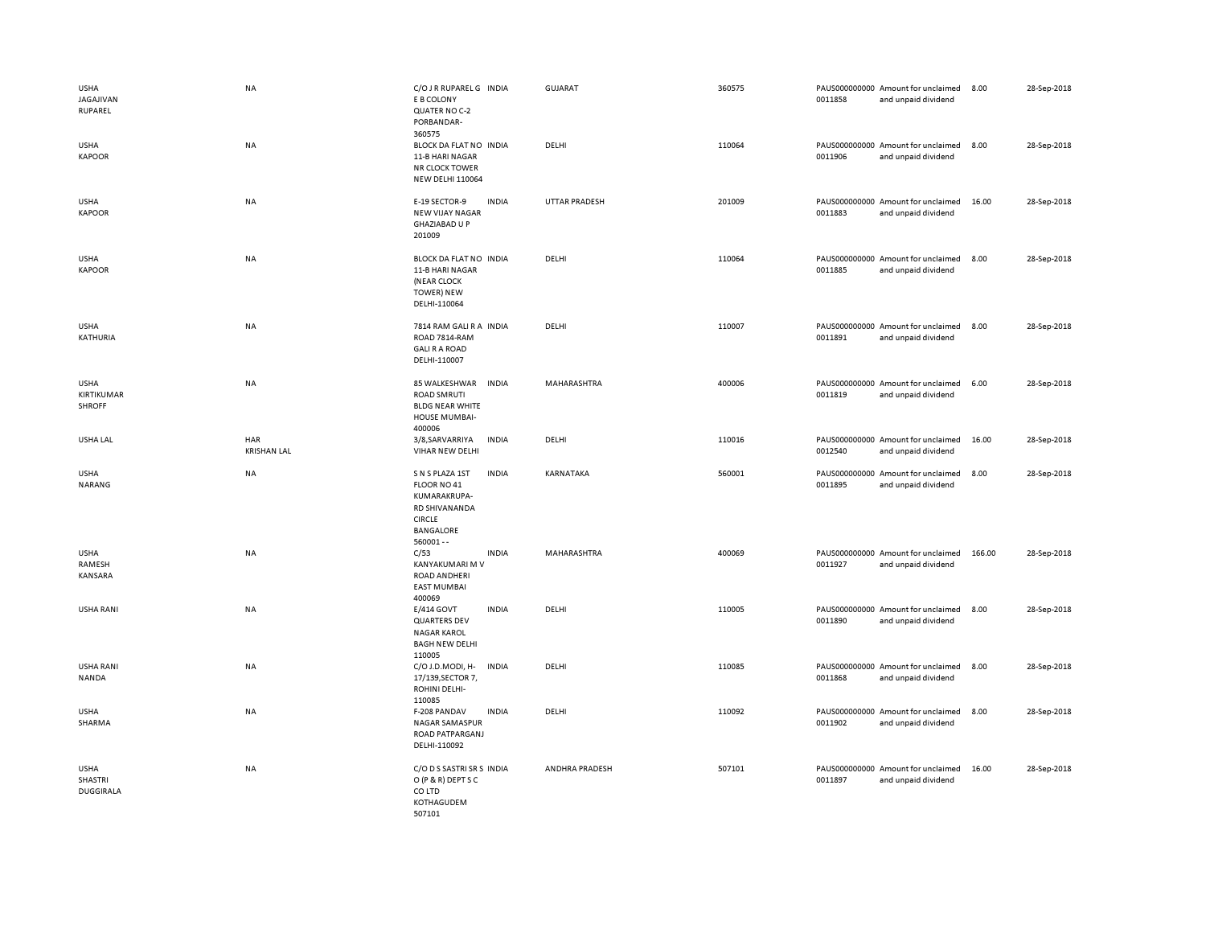| <b>USHA</b><br>JAGAJIVAN<br>RUPAREL        | <b>NA</b>                 | C/O J R RUPAREL G INDIA<br>E B COLONY<br>QUATER NO C-2<br>PORBANDAR-<br>360575                                                       | <b>GUJARAT</b>       | 360575 | PAUS000000000 Amount for unclaimed<br>0011858 | and unpaid dividend | 8.00   | 28-Sep-2018 |
|--------------------------------------------|---------------------------|--------------------------------------------------------------------------------------------------------------------------------------|----------------------|--------|-----------------------------------------------|---------------------|--------|-------------|
| <b>USHA</b><br><b>KAPOOR</b>               | <b>NA</b>                 | BLOCK DA FLAT NO INDIA<br>11-B HARI NAGAR<br><b>NR CLOCK TOWER</b><br><b>NEW DELHI 110064</b>                                        | DELHI                | 110064 | PAUS000000000 Amount for unclaimed<br>0011906 | and unpaid dividend | 8.00   | 28-Sep-2018 |
| <b>USHA</b><br><b>KAPOOR</b>               | NA                        | E-19 SECTOR-9<br><b>INDIA</b><br><b>NEW VIJAY NAGAR</b><br><b>GHAZIABAD U P</b><br>201009                                            | <b>UTTAR PRADESH</b> | 201009 | PAUS000000000 Amount for unclaimed<br>0011883 | and unpaid dividend | 16.00  | 28-Sep-2018 |
| <b>USHA</b><br><b>KAPOOR</b>               | <b>NA</b>                 | BLOCK DA FLAT NO INDIA<br>11-B HARI NAGAR<br>(NEAR CLOCK<br><b>TOWER) NEW</b><br>DELHI-110064                                        | DELHI                | 110064 | PAUS000000000 Amount for unclaimed<br>0011885 | and unpaid dividend | 8.00   | 28-Sep-2018 |
| <b>USHA</b><br>KATHURIA                    | NA                        | 7814 RAM GALI R A INDIA<br>ROAD 7814-RAM<br><b>GALI R A ROAD</b><br>DELHI-110007                                                     | DELHI                | 110007 | PAUS000000000 Amount for unclaimed<br>0011891 | and unpaid dividend | 8.00   | 28-Sep-2018 |
| <b>USHA</b><br>KIRTIKUMAR<br><b>SHROFF</b> | NA                        | 85 WALKESHWAR<br><b>INDIA</b><br><b>ROAD SMRUTI</b><br><b>BLDG NEAR WHITE</b><br>HOUSE MUMBAI-<br>400006                             | MAHARASHTRA          | 400006 | PAUS000000000 Amount for unclaimed<br>0011819 | and unpaid dividend | 6.00   | 28-Sep-2018 |
| USHA LAL                                   | HAR<br><b>KRISHAN LAL</b> | 3/8, SARVARRIYA<br><b>INDIA</b><br>VIHAR NEW DELHI                                                                                   | DELHI                | 110016 | PAUS000000000 Amount for unclaimed<br>0012540 | and unpaid dividend | 16.00  | 28-Sep-2018 |
|                                            |                           |                                                                                                                                      |                      |        |                                               |                     |        |             |
| <b>USHA</b><br>NARANG                      | <b>NA</b>                 | S N S PLAZA 1ST<br><b>INDIA</b><br>FLOOR NO 41<br>KUMARAKRUPA-<br>RD SHIVANANDA<br><b>CIRCLE</b><br><b>BANGALORE</b><br>$560001 - -$ | KARNATAKA            | 560001 | PAUS000000000 Amount for unclaimed<br>0011895 | and unpaid dividend | 8.00   | 28-Sep-2018 |
| <b>USHA</b><br>RAMESH<br><b>KANSARA</b>    | NA                        | C/53<br><b>INDIA</b><br>KANYAKUMARI M V<br><b>ROAD ANDHERI</b><br><b>EAST MUMBAI</b><br>400069                                       | MAHARASHTRA          | 400069 | PAUS000000000 Amount for unclaimed<br>0011927 | and unpaid dividend | 166.00 | 28-Sep-2018 |
| <b>USHA RANI</b>                           | NA                        | E/414 GOVT<br><b>INDIA</b><br><b>QUARTERS DEV</b><br><b>NAGAR KAROL</b><br><b>BAGH NEW DELHI</b>                                     | DELHI                | 110005 | PAUS000000000 Amount for unclaimed<br>0011890 | and unpaid dividend | 8.00   | 28-Sep-2018 |
| <b>USHA RANI</b><br>NANDA                  | NA                        | 110005<br>C/O J.D.MODI, H-<br><b>INDIA</b><br>17/139, SECTOR 7,<br>ROHINI DELHI-<br>110085                                           | DELHI                | 110085 | PAUS000000000 Amount for unclaimed<br>0011868 | and unpaid dividend | 8.00   | 28-Sep-2018 |
| <b>USHA</b><br>SHARMA                      | <b>NA</b>                 | F-208 PANDAV<br><b>INDIA</b><br>NAGAR SAMASPUR<br>ROAD PATPARGANJ<br>DELHI-110092                                                    | DELHI                | 110092 | PAUS000000000 Amount for unclaimed<br>0011902 | and unpaid dividend | 8.00   | 28-Sep-2018 |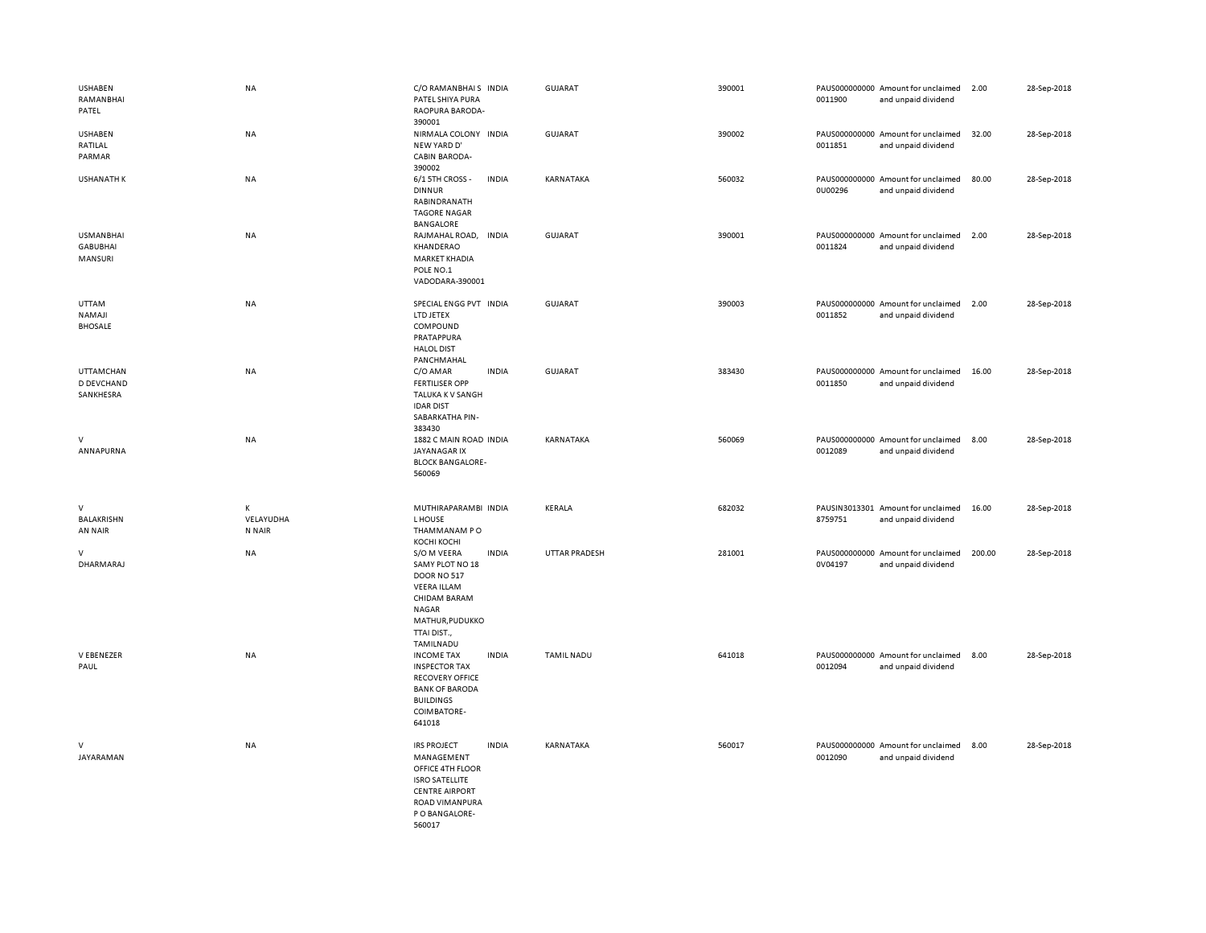| <b>USHABEN</b><br>RAMANBHAI<br>PATEL           | <b>NA</b>                | C/O RAMANBHAIS INDIA<br>PATEL SHIYA PURA<br>RAOPURA BARODA-<br>390001                                                                                |              | GUJARAT              | 390001 | 0011900                  | PAUS000000000 Amount for unclaimed<br>and unpaid dividend | 2.00   | 28-Sep-2018 |
|------------------------------------------------|--------------------------|------------------------------------------------------------------------------------------------------------------------------------------------------|--------------|----------------------|--------|--------------------------|-----------------------------------------------------------|--------|-------------|
| <b>USHABEN</b><br>RATILAL<br>PARMAR            | <b>NA</b>                | NIRMALA COLONY INDIA<br>NEW YARD D'<br><b>CABIN BARODA-</b><br>390002                                                                                |              | <b>GUJARAT</b>       | 390002 | 0011851                  | PAUS000000000 Amount for unclaimed<br>and unpaid dividend | 32.00  | 28-Sep-2018 |
| <b>USHANATH K</b>                              | NA                       | 6/1 5TH CROSS -<br><b>DINNUR</b><br>RABINDRANATH<br><b>TAGORE NAGAR</b><br><b>BANGALORE</b>                                                          | <b>INDIA</b> | KARNATAKA            | 560032 | PAUS000000000<br>0U00296 | Amount for unclaimed<br>and unpaid dividend               | 80.00  | 28-Sep-2018 |
| <b>USMANBHAI</b><br><b>GABUBHAI</b><br>MANSURI | NA                       | RAJMAHAL ROAD,<br>KHANDERAO<br><b>MARKET KHADIA</b><br>POLE NO.1<br>VADODARA-390001                                                                  | <b>INDIA</b> | GUJARAT              | 390001 | 0011824                  | PAUS000000000 Amount for unclaimed<br>and unpaid dividend | 2.00   | 28-Sep-2018 |
| UTTAM<br><b>NAMAJI</b><br><b>BHOSALE</b>       | NA                       | SPECIAL ENGG PVT INDIA<br>LTD JETEX<br>COMPOUND<br>PRATAPPURA<br><b>HALOL DIST</b><br>PANCHMAHAL                                                     |              | GUJARAT              | 390003 | 0011852                  | PAUS000000000 Amount for unclaimed<br>and unpaid dividend | 2.00   | 28-Sep-2018 |
| <b>UTTAMCHAN</b><br>D DEVCHAND<br>SANKHESRA    | NA                       | C/O AMAR<br><b>FERTILISER OPP</b><br>TALUKA K V SANGH<br><b>IDAR DIST</b><br>SABARKATHA PIN-<br>383430                                               | <b>INDIA</b> | <b>GUJARAT</b>       | 383430 | 0011850                  | PAUS000000000 Amount for unclaimed<br>and unpaid dividend | 16.00  | 28-Sep-2018 |
| v<br>ANNAPURNA                                 | NA                       | 1882 C MAIN ROAD INDIA<br><b>JAYANAGAR IX</b><br><b>BLOCK BANGALORE-</b><br>560069                                                                   |              | KARNATAKA            | 560069 | 0012089                  | PAUS000000000 Amount for unclaimed<br>and unpaid dividend | 8.00   | 28-Sep-2018 |
| $\vee$<br>BALAKRISHN<br>AN NAIR                | К<br>VELAYUDHA<br>N NAIR | MUTHIRAPARAMBI INDIA<br>L HOUSE<br>THAMMANAM PO<br>КОСНІ КОСНІ                                                                                       |              | KERALA               | 682032 | 8759751                  | PAUSIN3013301 Amount for unclaimed<br>and unpaid dividend | 16.00  | 28-Sep-2018 |
| v<br>DHARMARAJ                                 | NA                       | S/O M VEERA<br>SAMY PLOT NO 18<br><b>DOOR NO 517</b><br><b>VEERA ILLAM</b><br>CHIDAM BARAM<br>NAGAR<br>MATHUR, PUDUKKO<br>TTAI DIST.,<br>TAMILNADU   | <b>INDIA</b> | <b>UTTAR PRADESH</b> | 281001 | 0V04197                  | PAUS000000000 Amount for unclaimed<br>and unpaid dividend | 200.00 | 28-Sep-2018 |
| V EBENEZER<br>PAUL                             | NA                       | <b>INCOME TAX</b><br><b>INSPECTOR TAX</b><br><b>RECOVERY OFFICE</b><br><b>BANK OF BARODA</b><br><b>BUILDINGS</b><br>COIMBATORE-<br>641018            | <b>INDIA</b> | <b>TAMIL NADU</b>    | 641018 | 0012094                  | PAUS000000000 Amount for unclaimed<br>and unpaid dividend | 8.00   | 28-Sep-2018 |
| $\vee$<br>JAYARAMAN                            | NA                       | <b>IRS PROJECT</b><br>MANAGEMENT<br>OFFICE 4TH FLOOR<br><b>ISRO SATELLITE</b><br><b>CENTRE AIRPORT</b><br>ROAD VIMANPURA<br>P O BANGALORE-<br>560017 | <b>INDIA</b> | KARNATAKA            | 560017 | 0012090                  | PAUS000000000 Amount for unclaimed<br>and unpaid dividend | 8.00   | 28-Sep-2018 |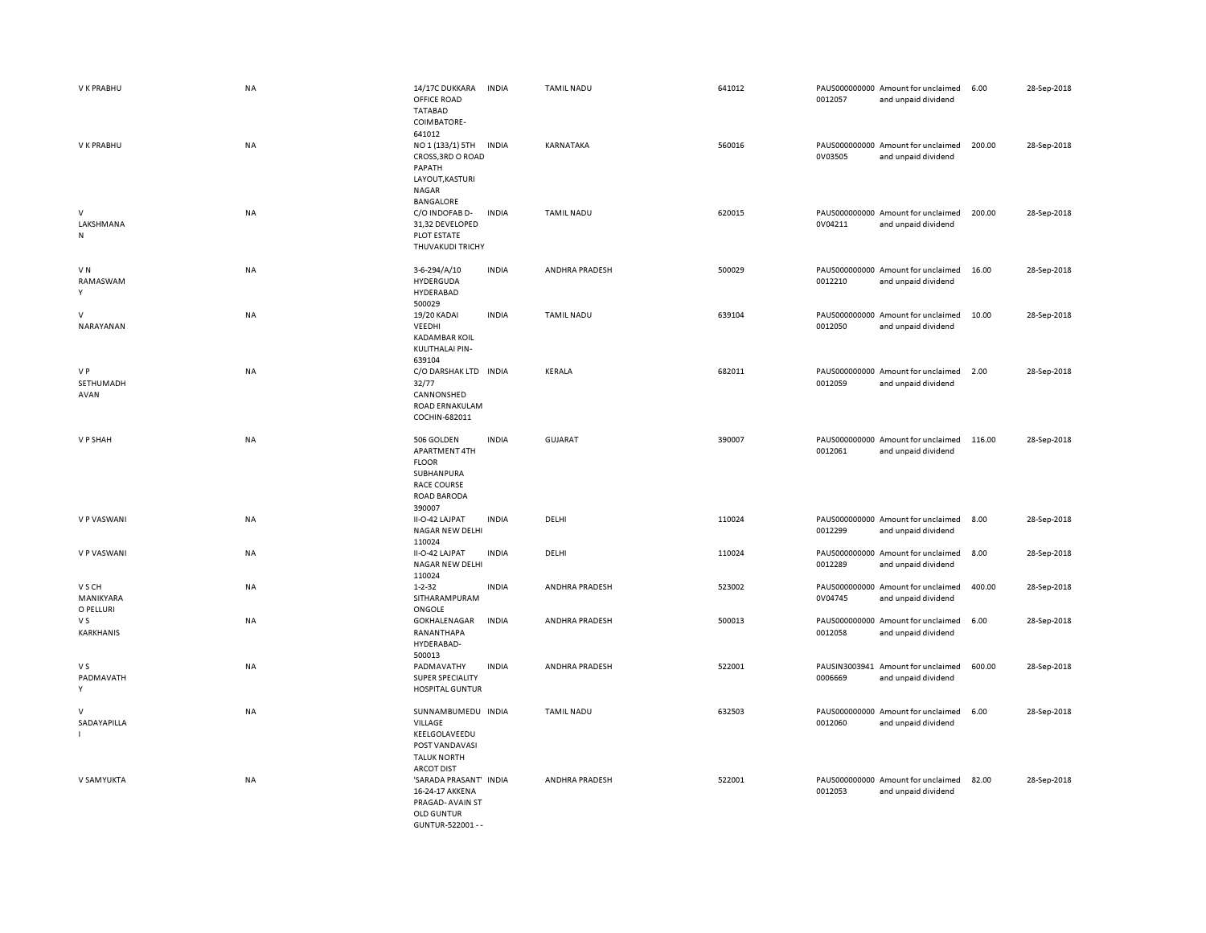| V K PRABHU                       | <b>NA</b> | 14/17C DUKKARA<br>OFFICE ROAD<br><b>TATABAD</b><br>COIMBATORE-                                                  | <b>INDIA</b> | <b>TAMIL NADU</b> | 641012 | 0012057 | PAUS000000000 Amount for unclaimed<br>and unpaid dividend | 6.00   | 28-Sep-2018 |
|----------------------------------|-----------|-----------------------------------------------------------------------------------------------------------------|--------------|-------------------|--------|---------|-----------------------------------------------------------|--------|-------------|
| V K PRABHU                       | NA        | 641012<br>NO 1 (133/1) 5TH<br>CROSS, 3RD O ROAD<br>PAPATH<br>LAYOUT, KASTURI<br><b>NAGAR</b>                    | <b>INDIA</b> | KARNATAKA         | 560016 | 0V03505 | PAUS000000000 Amount for unclaimed<br>and unpaid dividend | 200.00 | 28-Sep-2018 |
| $\vee$<br>LAKSHMANA<br>N         | NA        | BANGALORE<br>C/O INDOFAB D-<br>31,32 DEVELOPED<br>PLOT ESTATE<br>THUVAKUDI TRICHY                               | <b>INDIA</b> | <b>TAMIL NADU</b> | 620015 | 0V04211 | PAUS000000000 Amount for unclaimed<br>and unpaid dividend | 200.00 | 28-Sep-2018 |
| VN<br>RAMASWAM<br>Y              | NA        | 3-6-294/A/10<br>HYDERGUDA<br>HYDERABAD                                                                          | <b>INDIA</b> | ANDHRA PRADESH    | 500029 | 0012210 | PAUS000000000 Amount for unclaimed<br>and unpaid dividend | 16.00  | 28-Sep-2018 |
| $\vee$<br>NARAYANAN              | NA        | 500029<br>19/20 KADAI<br>VEEDHI<br><b>KADAMBAR KOIL</b><br>KULITHALAI PIN-<br>639104                            | <b>INDIA</b> | <b>TAMIL NADU</b> | 639104 | 0012050 | PAUS000000000 Amount for unclaimed<br>and unpaid dividend | 10.00  | 28-Sep-2018 |
| V P<br>SETHUMADH<br>AVAN         | <b>NA</b> | C/O DARSHAK LTD INDIA<br>32/77<br>CANNONSHED<br>ROAD ERNAKULAM<br>COCHIN-682011                                 |              | <b>KERALA</b>     | 682011 | 0012059 | PAUS000000000 Amount for unclaimed<br>and unpaid dividend | 2.00   | 28-Sep-2018 |
| V P SHAH                         | <b>NA</b> | 506 GOLDEN<br>APARTMENT 4TH<br><b>FLOOR</b><br>SUBHANPURA<br><b>RACE COURSE</b><br><b>ROAD BARODA</b><br>390007 | <b>INDIA</b> | <b>GUJARAT</b>    | 390007 | 0012061 | PAUS000000000 Amount for unclaimed<br>and unpaid dividend | 116.00 | 28-Sep-2018 |
| V P VASWANI                      | NA        | II-O-42 LAJPAT<br>NAGAR NEW DELHI<br>110024                                                                     | <b>INDIA</b> | DELHI             | 110024 | 0012299 | PAUS000000000 Amount for unclaimed<br>and unpaid dividend | 8.00   | 28-Sep-2018 |
| V P VASWANI                      | <b>NA</b> | II-O-42 LAJPAT<br>NAGAR NEW DELHI<br>110024                                                                     | <b>INDIA</b> | DELHI             | 110024 | 0012289 | PAUS000000000 Amount for unclaimed<br>and unpaid dividend | 8.00   | 28-Sep-2018 |
| V S CH<br>MANIKYARA<br>O PELLURI | NA        | $1 - 2 - 32$<br>SITHARAMPURAM<br>ONGOLE                                                                         | <b>INDIA</b> | ANDHRA PRADESH    | 523002 | 0V04745 | PAUS000000000 Amount for unclaimed<br>and unpaid dividend | 400.00 | 28-Sep-2018 |
| V S<br>KARKHANIS                 | <b>NA</b> | GOKHALENAGAR<br>RANANTHAPA<br>HYDERABAD-<br>500013                                                              | <b>INDIA</b> | ANDHRA PRADESH    | 500013 | 0012058 | PAUS000000000 Amount for unclaimed<br>and unpaid dividend | 6.00   | 28-Sep-2018 |
| V S<br>PADMAVATH<br>Y            | <b>NA</b> | PADMAVATHY<br>SUPER SPECIALITY<br><b>HOSPITAL GUNTUR</b>                                                        | <b>INDIA</b> | ANDHRA PRADESH    | 522001 | 0006669 | PAUSIN3003941 Amount for unclaimed<br>and unpaid dividend | 600.00 | 28-Sep-2018 |
| $\vee$<br>SADAYAPILLA            | <b>NA</b> | SUNNAMBUMEDU INDIA<br>VILLAGE<br>KEELGOLAVEEDU<br>POST VANDAVASI<br><b>TALUK NORTH</b><br><b>ARCOT DIST</b>     |              | <b>TAMIL NADU</b> | 632503 | 0012060 | PAUS000000000 Amount for unclaimed<br>and unpaid dividend | 6.00   | 28-Sep-2018 |
| V SAMYUKTA                       | <b>NA</b> | 'SARADA PRASANT' INDIA<br>16-24-17 AKKENA<br>PRAGAD- AVAIN ST<br><b>OLD GUNTUR</b><br>GUNTUR-522001 - -         |              | ANDHRA PRADESH    | 522001 | 0012053 | PAUS000000000 Amount for unclaimed<br>and unpaid dividend | 82.00  | 28-Sep-2018 |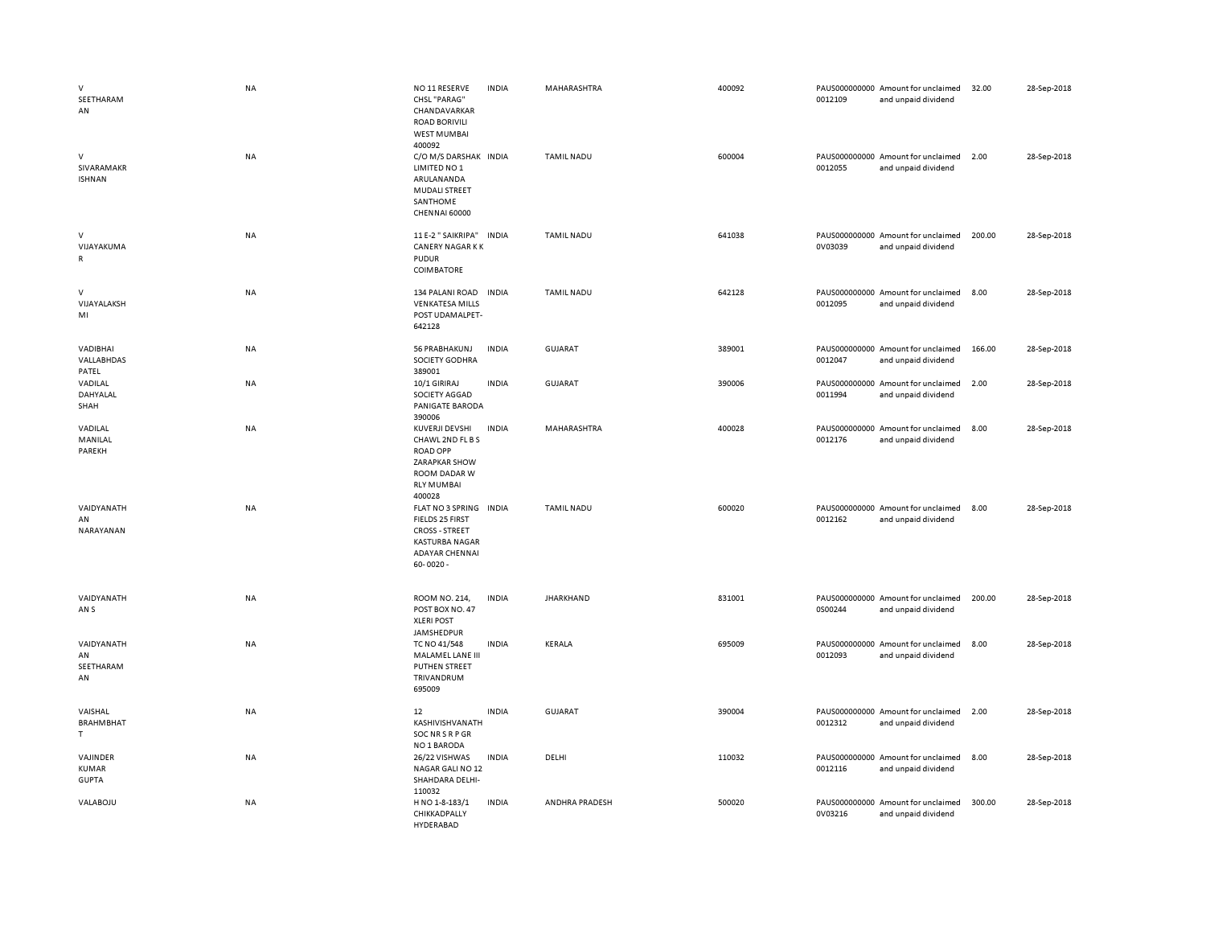| $\vee$<br>SEETHARAM<br>AN                | <b>NA</b> | NO 11 RESERVE<br>CHSL "PARAG"<br>CHANDAVARKAR<br><b>ROAD BORIVILI</b><br><b>WEST MUMBAI</b><br>400092                                 | <b>INDIA</b> | MAHARASHTRA       | 400092 | 0012109 | PAUS000000000 Amount for unclaimed<br>and unpaid dividend | 32.00  | 28-Sep-2018 |
|------------------------------------------|-----------|---------------------------------------------------------------------------------------------------------------------------------------|--------------|-------------------|--------|---------|-----------------------------------------------------------|--------|-------------|
| $\vee$<br>SIVARAMAKR<br><b>ISHNAN</b>    | <b>NA</b> | C/O M/S DARSHAK INDIA<br>LIMITED NO 1<br>ARULANANDA<br><b>MUDALI STREET</b><br>SANTHOME<br>CHENNAI 60000                              |              | <b>TAMIL NADU</b> | 600004 | 0012055 | PAUS000000000 Amount for unclaimed<br>and unpaid dividend | 2.00   | 28-Sep-2018 |
| $\vee$<br>VIJAYAKUMA<br>$\mathsf{R}$     | NA        | 11 E-2 " SAIKRIPA"<br><b>CANERY NAGAR KK</b><br><b>PUDUR</b><br>COIMBATORE                                                            | <b>INDIA</b> | <b>TAMIL NADU</b> | 641038 | 0V03039 | PAUS000000000 Amount for unclaimed<br>and unpaid dividend | 200.00 | 28-Sep-2018 |
| $\vee$<br>VIJAYALAKSH<br>MI              | <b>NA</b> | 134 PALANI ROAD<br><b>VENKATESA MILLS</b><br>POST UDAMALPET-<br>642128                                                                | <b>INDIA</b> | <b>TAMIL NADU</b> | 642128 | 0012095 | PAUS000000000 Amount for unclaimed<br>and unpaid dividend | 8.00   | 28-Sep-2018 |
| VADIBHAI<br>VALLABHDAS<br>PATEL          | NA        | 56 PRABHAKUNJ<br>SOCIETY GODHRA<br>389001                                                                                             | <b>INDIA</b> | <b>GUJARAT</b>    | 389001 | 0012047 | PAUS000000000 Amount for unclaimed<br>and unpaid dividend | 166.00 | 28-Sep-2018 |
| VADILAL<br>DAHYALAL<br>SHAH              | NA        | 10/1 GIRIRAJ<br>SOCIETY AGGAD<br>PANIGATE BARODA<br>390006                                                                            | <b>INDIA</b> | <b>GUJARAT</b>    | 390006 | 0011994 | PAUS000000000 Amount for unclaimed<br>and unpaid dividend | 2.00   | 28-Sep-2018 |
| VADILAL<br>MANILAL<br>PAREKH             | NA        | KUVERJI DEVSHI<br>CHAWL 2ND FL B S<br><b>ROAD OPP</b><br>ZARAPKAR SHOW<br>ROOM DADAR W<br><b>RLY MUMBAI</b><br>400028                 | <b>INDIA</b> | MAHARASHTRA       | 400028 | 0012176 | PAUS000000000 Amount for unclaimed<br>and unpaid dividend | 8.00   | 28-Sep-2018 |
| VAIDYANATH<br>AN<br>NARAYANAN            | NA        | FLAT NO 3 SPRING INDIA<br>FIELDS 25 FIRST<br><b>CROSS - STREET</b><br><b>KASTURBA NAGAR</b><br><b>ADAYAR CHENNAI</b><br>$60 - 0020 -$ |              | <b>TAMIL NADU</b> | 600020 | 0012162 | PAUS000000000 Amount for unclaimed<br>and unpaid dividend | 8.00   | 28-Sep-2018 |
| VAIDYANATH<br>AN <sub>S</sub>            | <b>NA</b> | ROOM NO. 214.<br>POST BOX NO. 47<br><b>XLERI POST</b><br>JAMSHEDPUR                                                                   | <b>INDIA</b> | <b>JHARKHAND</b>  | 831001 | 0S00244 | PAUS000000000 Amount for unclaimed<br>and unpaid dividend | 200.00 | 28-Sep-2018 |
| VAIDYANATH<br>AN<br>SEETHARAM<br>AN      | <b>NA</b> | TC NO 41/548<br>MALAMEL LANE III<br><b>PUTHEN STREET</b><br>TRIVANDRUM<br>695009                                                      | <b>INDIA</b> | KERALA            | 695009 | 0012093 | PAUS000000000 Amount for unclaimed<br>and unpaid dividend | 8.00   | 28-Sep-2018 |
| VAISHAL<br><b>BRAHMBHAT</b><br>T         | NA        | $12\,$<br>KASHIVISHVANATH<br><b>SOCNRSRPGR</b><br>NO 1 BARODA                                                                         | <b>INDIA</b> | GUJARAT           | 390004 | 0012312 | PAUS000000000 Amount for unclaimed<br>and unpaid dividend | 2.00   | 28-Sep-2018 |
| VAJINDER<br><b>KUMAR</b><br><b>GUPTA</b> | NA        | 26/22 VISHWAS<br>NAGAR GALI NO 12<br>SHAHDARA DELHI-<br>110032                                                                        | <b>INDIA</b> | DELHI             | 110032 | 0012116 | PAUS000000000 Amount for unclaimed<br>and unpaid dividend | 8.00   | 28-Sep-2018 |
| VALABOJU                                 | NA        | H NO 1-8-183/1<br>CHIKKADPALLY<br>HYDERARAD                                                                                           | <b>INDIA</b> | ANDHRA PRADESH    | 500020 | 0V03216 | PAUS000000000 Amount for unclaimed<br>and unpaid dividend | 300.00 | 28-Sep-2018 |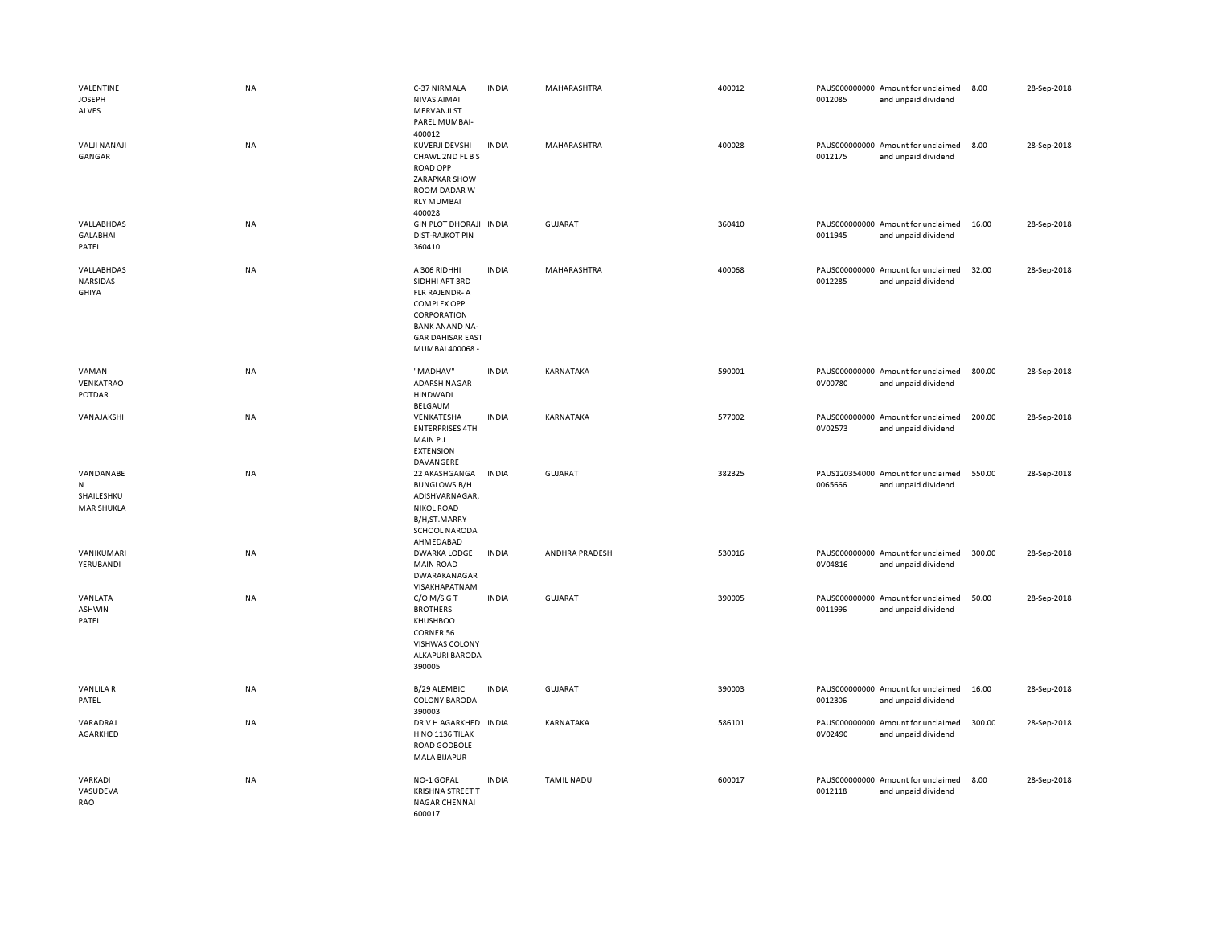| VALENTINE<br><b>JOSEPH</b><br>ALVES               | <b>NA</b> | C-37 NIRMALA<br>NIVAS AIMAI<br><b>MERVANJI ST</b><br>PAREL MUMBAI-<br>400012                                                                                | <b>INDIA</b> | MAHARASHTRA       | 400012 | 0012085 | PAUS000000000 Amount for unclaimed<br>and unpaid dividend | 8.00   | 28-Sep-2018 |
|---------------------------------------------------|-----------|-------------------------------------------------------------------------------------------------------------------------------------------------------------|--------------|-------------------|--------|---------|-----------------------------------------------------------|--------|-------------|
| <b>VALJI NANAJI</b><br>GANGAR                     | <b>NA</b> | <b>KUVERJI DEVSHI</b><br>CHAWL 2ND FL B S<br><b>ROAD OPP</b><br>ZARAPKAR SHOW<br>ROOM DADAR W<br><b>RLY MUMBAI</b><br>400028                                | <b>INDIA</b> | MAHARASHTRA       | 400028 | 0012175 | PAUS000000000 Amount for unclaimed<br>and unpaid dividend | 8.00   | 28-Sep-2018 |
| VALLABHDAS<br><b>GALABHAI</b><br>PATEL            | NA        | <b>GIN PLOT DHORAJI</b><br><b>DIST-RAJKOT PIN</b><br>360410                                                                                                 | <b>INDIA</b> | <b>GUJARAT</b>    | 360410 | 0011945 | PAUS000000000 Amount for unclaimed<br>and unpaid dividend | 16.00  | 28-Sep-2018 |
| VALLABHDAS<br>NARSIDAS<br><b>GHIYA</b>            | NA        | A 306 RIDHHI<br>SIDHHI APT 3RD<br>FLR RAJENDR-A<br><b>COMPLEX OPP</b><br>CORPORATION<br><b>BANK ANAND NA-</b><br><b>GAR DAHISAR EAST</b><br>MUMBAI 400068 - | <b>INDIA</b> | MAHARASHTRA       | 400068 | 0012285 | PAUS000000000 Amount for unclaimed<br>and unpaid dividend | 32.00  | 28-Sep-2018 |
| VAMAN<br>VENKATRAO<br>POTDAR                      | NA        | "MADHAV"<br><b>ADARSH NAGAR</b><br><b>HINDWADI</b><br>BELGAUM                                                                                               | <b>INDIA</b> | KARNATAKA         | 590001 | 0V00780 | PAUS000000000 Amount for unclaimed<br>and unpaid dividend | 800.00 | 28-Sep-2018 |
| VANAJAKSHI                                        | <b>NA</b> | VENKATESHA<br><b>ENTERPRISES 4TH</b><br>MAIN PJ<br><b>EXTENSION</b><br>DAVANGERE                                                                            | <b>INDIA</b> | KARNATAKA         | 577002 | 0V02573 | PAUS000000000 Amount for unclaimed<br>and unpaid dividend | 200.00 | 28-Sep-2018 |
| VANDANABE<br>N<br>SHAILESHKU<br><b>MAR SHUKLA</b> | NA        | 22 AKASHGANGA<br><b>BUNGLOWS B/H</b><br>ADISHVARNAGAR,<br><b>NIKOL ROAD</b><br>B/H,ST.MARRY<br>SCHOOL NARODA<br>AHMEDABAD                                   | <b>INDIA</b> | <b>GUJARAT</b>    | 382325 | 0065666 | PAUS120354000 Amount for unclaimed<br>and unpaid dividend | 550.00 | 28-Sep-2018 |
| VANIKUMARI<br>YERUBANDI                           | NA        | <b>DWARKA LODGE</b><br><b>MAIN ROAD</b><br>DWARAKANAGAR<br>VISAKHAPATNAM                                                                                    | <b>INDIA</b> | ANDHRA PRADESH    | 530016 | 0V04816 | PAUS000000000 Amount for unclaimed<br>and unpaid dividend | 300.00 | 28-Sep-2018 |
| VANLATA<br>ASHWIN<br>PATEL                        | NA        | $C/O$ M/S G T<br><b>BROTHERS</b><br>KHUSHBOO<br><b>CORNER 56</b><br>VISHWAS COLONY<br><b>ALKAPURI BARODA</b><br>390005                                      | <b>INDIA</b> | <b>GUJARAT</b>    | 390005 | 0011996 | PAUS000000000 Amount for unclaimed<br>and unpaid dividend | 50.00  | 28-Sep-2018 |
| <b>VANLILAR</b><br>PATEL                          | NA        | B/29 ALEMBIC<br><b>COLONY BARODA</b><br>390003                                                                                                              | <b>INDIA</b> | GUJARAT           | 390003 | 0012306 | PAUS000000000 Amount for unclaimed<br>and unpaid dividend | 16.00  | 28-Sep-2018 |
| VARADRAJ<br>AGARKHED                              | <b>NA</b> | DR V H AGARKHED INDIA<br>H NO 1136 TILAK<br>ROAD GODBOLE<br>MALA BIJAPUR                                                                                    |              | KARNATAKA         | 586101 | 0V02490 | PAUS000000000 Amount for unclaimed<br>and unpaid dividend | 300.00 | 28-Sep-2018 |
| VARKADI<br>VASUDEVA<br>RAO                        | NA        | NO-1 GOPAL<br><b>KRISHNA STREET T</b><br>NAGAR CHENNAI<br>600017                                                                                            | <b>INDIA</b> | <b>TAMIL NADU</b> | 600017 | 0012118 | PAUS000000000 Amount for unclaimed<br>and unpaid dividend | 8.00   | 28-Sep-2018 |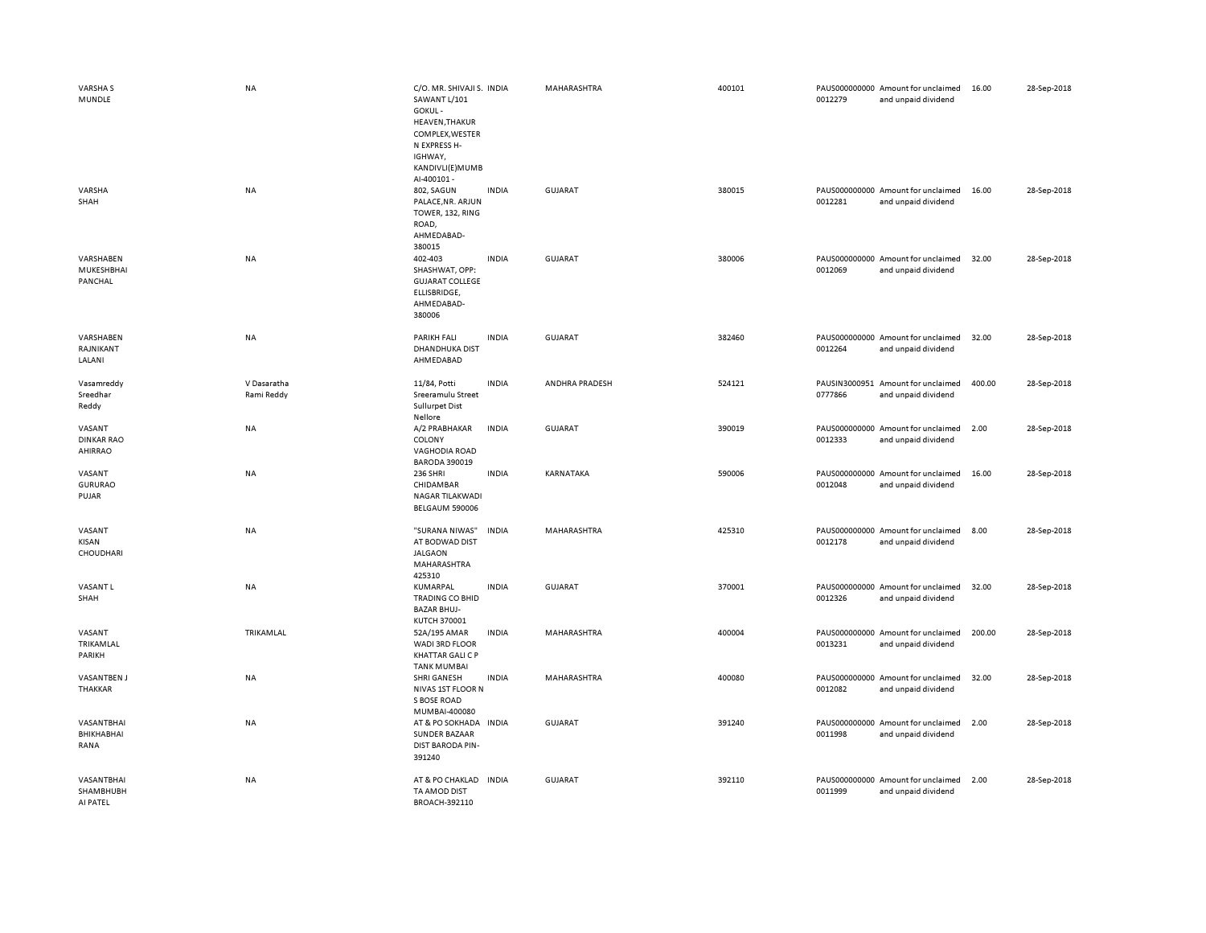| VARSHA S<br>MUNDLE                            | <b>NA</b>                 | C/O. MR. SHIVAJI S. INDIA<br>SAWANT L/101<br>GOKUL-<br>HEAVEN, THAKUR<br>COMPLEX, WESTER<br>N EXPRESS H-<br>IGHWAY,<br>KANDIVLI(E) MUMB<br>Al-400101 - |              | MAHARASHTRA    | 400101 | 0012279 | PAUS000000000 Amount for unclaimed<br>and unpaid dividend | 16.00  | 28-Sep-2018 |
|-----------------------------------------------|---------------------------|--------------------------------------------------------------------------------------------------------------------------------------------------------|--------------|----------------|--------|---------|-----------------------------------------------------------|--------|-------------|
| VARSHA<br>SHAH                                | <b>NA</b>                 | 802, SAGUN<br>PALACE, NR. ARJUN<br>TOWER, 132, RING<br>ROAD,<br>AHMEDABAD-<br>380015                                                                   | <b>INDIA</b> | GUJARAT        | 380015 | 0012281 | PAUS000000000 Amount for unclaimed<br>and unpaid dividend | 16.00  | 28-Sep-2018 |
| VARSHABEN<br>MUKESHBHAI<br>PANCHAL            | <b>NA</b>                 | 402-403<br>SHASHWAT, OPP:<br><b>GUJARAT COLLEGE</b><br>ELLISBRIDGE,<br>AHMEDABAD-<br>380006                                                            | <b>INDIA</b> | GUJARAT        | 380006 | 0012069 | PAUS000000000 Amount for unclaimed<br>and unpaid dividend | 32.00  | 28-Sep-2018 |
| VARSHABEN<br>RAJNIKANT<br>LALANI              | NA                        | <b>PARIKH FALI</b><br><b>DHANDHUKA DIST</b><br>AHMEDABAD                                                                                               | <b>INDIA</b> | <b>GUJARAT</b> | 382460 | 0012264 | PAUS000000000 Amount for unclaimed<br>and unpaid dividend | 32.00  | 28-Sep-2018 |
| Vasamreddy<br>Sreedhar<br>Reddy               | V Dasaratha<br>Rami Reddy | 11/84, Potti<br>Sreeramulu Street<br><b>Sullurpet Dist</b><br>Nellore                                                                                  | <b>INDIA</b> | ANDHRA PRADESH | 524121 | 0777866 | PAUSIN3000951 Amount for unclaimed<br>and unpaid dividend | 400.00 | 28-Sep-2018 |
| VASANT<br><b>DINKAR RAO</b><br><b>AHIRRAO</b> | NA                        | A/2 PRABHAKAR<br>COLONY<br><b>VAGHODIA ROAD</b><br><b>BARODA 390019</b>                                                                                | <b>INDIA</b> | <b>GUJARAT</b> | 390019 | 0012333 | PAUS000000000 Amount for unclaimed<br>and unpaid dividend | 2.00   | 28-Sep-2018 |
| VASANT<br><b>GURURAO</b><br>PUJAR             | NA                        | <b>236 SHRI</b><br>CHIDAMBAR<br>NAGAR TILAKWADI<br>BELGAUM 590006                                                                                      | <b>INDIA</b> | KARNATAKA      | 590006 | 0012048 | PAUS000000000 Amount for unclaimed<br>and unpaid dividend | 16.00  | 28-Sep-2018 |
| VASANT<br>KISAN<br>CHOUDHARI                  | <b>NA</b>                 | "SURANA NIWAS"<br>AT BODWAD DIST<br>JALGAON<br>MAHARASHTRA<br>425310                                                                                   | <b>INDIA</b> | MAHARASHTRA    | 425310 | 0012178 | PAUS000000000 Amount for unclaimed<br>and unpaid dividend | 8.00   | 28-Sep-2018 |
| <b>VASANTL</b><br>SHAH                        | NA                        | KUMARPAL<br>TRADING CO BHID<br><b>BAZAR BHUJ-</b><br>KUTCH 370001                                                                                      | <b>INDIA</b> | <b>GUJARAT</b> | 370001 | 0012326 | PAUS000000000 Amount for unclaimed<br>and unpaid dividend | 32.00  | 28-Sep-2018 |
| VASANT<br>TRIKAMLAL<br>PARIKH                 | TRIKAMLAL                 | 52A/195 AMAR<br>WADI 3RD FLOOR<br><b>KHATTAR GALI C P</b><br><b>TANK MUMBAI</b>                                                                        | <b>INDIA</b> | MAHARASHTRA    | 400004 | 0013231 | PAUS000000000 Amount for unclaimed<br>and unpaid dividend | 200.00 | 28-Sep-2018 |
| <b>VASANTBEN J</b><br>THAKKAR                 | NA                        | SHRI GANESH<br>NIVAS 1ST FLOOR N<br>S BOSE ROAD<br>MUMBAI-400080                                                                                       | <b>INDIA</b> | MAHARASHTRA    | 400080 | 0012082 | PAUS000000000 Amount for unclaimed<br>and unpaid dividend | 32.00  | 28-Sep-2018 |
| VASANTBHAI<br>BHIKHABHAI<br>RANA              | NA                        | AT & PO SOKHADA IN DIA<br>SUNDER BAZAAR<br><b>DIST BARODA PIN-</b><br>391240                                                                           |              | <b>GUJARAT</b> | 391240 | 0011998 | PAUS000000000 Amount for unclaimed<br>and unpaid dividend | 2.00   | 28-Sep-2018 |
| VASANTBHAI<br>SHAMBHUBH<br>AI PATEL           | NA                        | AT & PO CHAKLAD IN DIA<br>TA AMOD DIST<br>BROACH-392110                                                                                                |              | <b>GUJARAT</b> | 392110 | 0011999 | PAUS000000000 Amount for unclaimed<br>and unpaid dividend | 2.00   | 28-Sep-2018 |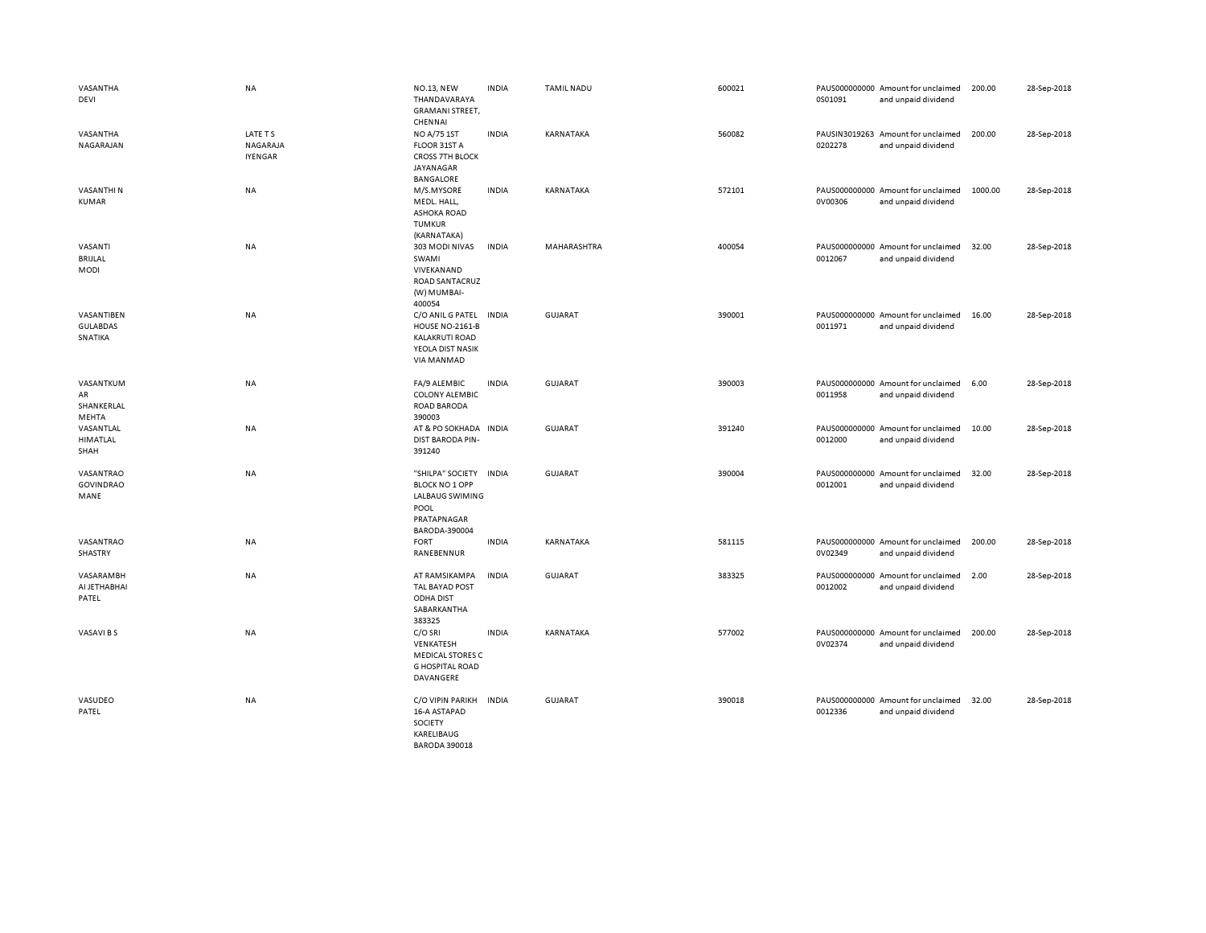| VASANTHA<br>DEVI                         | <b>NA</b>                             | <b>NO.13, NEW</b><br>THANDAVARAYA<br><b>GRAMANI STREET,</b>                                                     | <b>INDIA</b> | <b>TAMIL NADU</b> | 600021 | 0S01091 | PAUS000000000 Amount for unclaimed<br>and unpaid dividend | 200.00  | 28-Sep-2018 |
|------------------------------------------|---------------------------------------|-----------------------------------------------------------------------------------------------------------------|--------------|-------------------|--------|---------|-----------------------------------------------------------|---------|-------------|
| VASANTHA<br>NAGARAJAN                    | LATE TS<br>NAGARAJA<br><b>IYENGAR</b> | CHENNAI<br>NO A/75 1ST<br>FLOOR 31ST A<br><b>CROSS 7TH BLOCK</b><br>JAYANAGAR                                   | <b>INDIA</b> | KARNATAKA         | 560082 | 0202278 | PAUSIN3019263 Amount for unclaimed<br>and unpaid dividend | 200.00  | 28-Sep-2018 |
| <b>VASANTHIN</b><br><b>KUMAR</b>         | NA                                    | <b>BANGALORE</b><br>M/S.MYSORE<br>MEDL. HALL,<br><b>ASHOKA ROAD</b><br><b>TUMKUR</b>                            | <b>INDIA</b> | KARNATAKA         | 572101 | 0V00306 | PAUS000000000 Amount for unclaimed<br>and unpaid dividend | 1000.00 | 28-Sep-2018 |
| VASANTI<br>BRIJLAL<br>MODI               | <b>NA</b>                             | (KARNATAKA)<br>303 MODI NIVAS<br>SWAMI<br>VIVEKANAND<br>ROAD SANTACRUZ<br>(W) MUMBAI-                           | <b>INDIA</b> | MAHARASHTRA       | 400054 | 0012067 | PAUS000000000 Amount for unclaimed<br>and unpaid dividend | 32.00   | 28-Sep-2018 |
| VASANTIBEN<br><b>GULABDAS</b><br>SNATIKA | NA                                    | 400054<br>C/O ANIL G PATEL<br><b>HOUSE NO-2161-B</b><br><b>KALAKRUTI ROAD</b><br>YEOLA DIST NASIK<br>VIA MANMAD | <b>INDIA</b> | <b>GUJARAT</b>    | 390001 | 0011971 | PAUS000000000 Amount for unclaimed<br>and unpaid dividend | 16.00   | 28-Sep-2018 |
| VASANTKUM<br>AR<br>SHANKERLAL<br>MEHTA   | NA                                    | FA/9 ALEMBIC<br><b>COLONY ALEMBIC</b><br><b>ROAD BARODA</b><br>390003                                           | <b>INDIA</b> | <b>GUJARAT</b>    | 390003 | 0011958 | PAUS000000000 Amount for unclaimed<br>and unpaid dividend | 6.00    | 28-Sep-2018 |
| VASANTLAL<br>HIMATLAL<br>SHAH            | NA                                    | AT & PO SOKHADA IN DIA<br><b>DIST BARODA PIN-</b><br>391240                                                     |              | <b>GUJARAT</b>    | 391240 | 0012000 | PAUS000000000 Amount for unclaimed<br>and unpaid dividend | 10.00   | 28-Sep-2018 |
| VASANTRAO<br><b>GOVINDRAO</b><br>MANE    | <b>NA</b>                             | "SHILPA" SOCIETY<br><b>BLOCK NO 1 OPP</b><br>LALBAUG SWIMING<br>POOL<br>PRATAPNAGAR<br>BARODA-390004            | <b>INDIA</b> | <b>GUJARAT</b>    | 390004 | 0012001 | PAUS000000000 Amount for unclaimed<br>and unpaid dividend | 32.00   | 28-Sep-2018 |
| VASANTRAO<br>SHASTRY                     | <b>NA</b>                             | <b>FORT</b><br>RANEBENNUR                                                                                       | <b>INDIA</b> | KARNATAKA         | 581115 | 0V02349 | PAUS000000000 Amount for unclaimed<br>and unpaid dividend | 200.00  | 28-Sep-2018 |
| VASARAMBH<br>AI JETHABHAI<br>PATEL       | NA                                    | AT RAMSIKAMPA<br>TAL BAYAD POST<br><b>ODHA DIST</b><br>SABARKANTHA<br>383325                                    | <b>INDIA</b> | <b>GUJARAT</b>    | 383325 | 0012002 | PAUS000000000 Amount for unclaimed<br>and unpaid dividend | 2.00    | 28-Sep-2018 |
| VASAVI B S                               | NA                                    | C/O SRI<br>VENKATESH<br><b>MEDICAL STORES C</b><br><b>G HOSPITAL ROAD</b><br>DAVANGERE                          | <b>INDIA</b> | KARNATAKA         | 577002 | 0V02374 | PAUS000000000 Amount for unclaimed<br>and unpaid dividend | 200.00  | 28-Sep-2018 |
| VASUDEO<br>PATEL                         | NA                                    | C/O VIPIN PARIKH<br>16-A ASTAPAD<br>SOCIETY<br>KARELIBAUG<br>BARODA 390018                                      | <b>INDIA</b> | <b>GUJARAT</b>    | 390018 | 0012336 | PAUS000000000 Amount for unclaimed<br>and unpaid dividend | 32.00   | 28-Sep-2018 |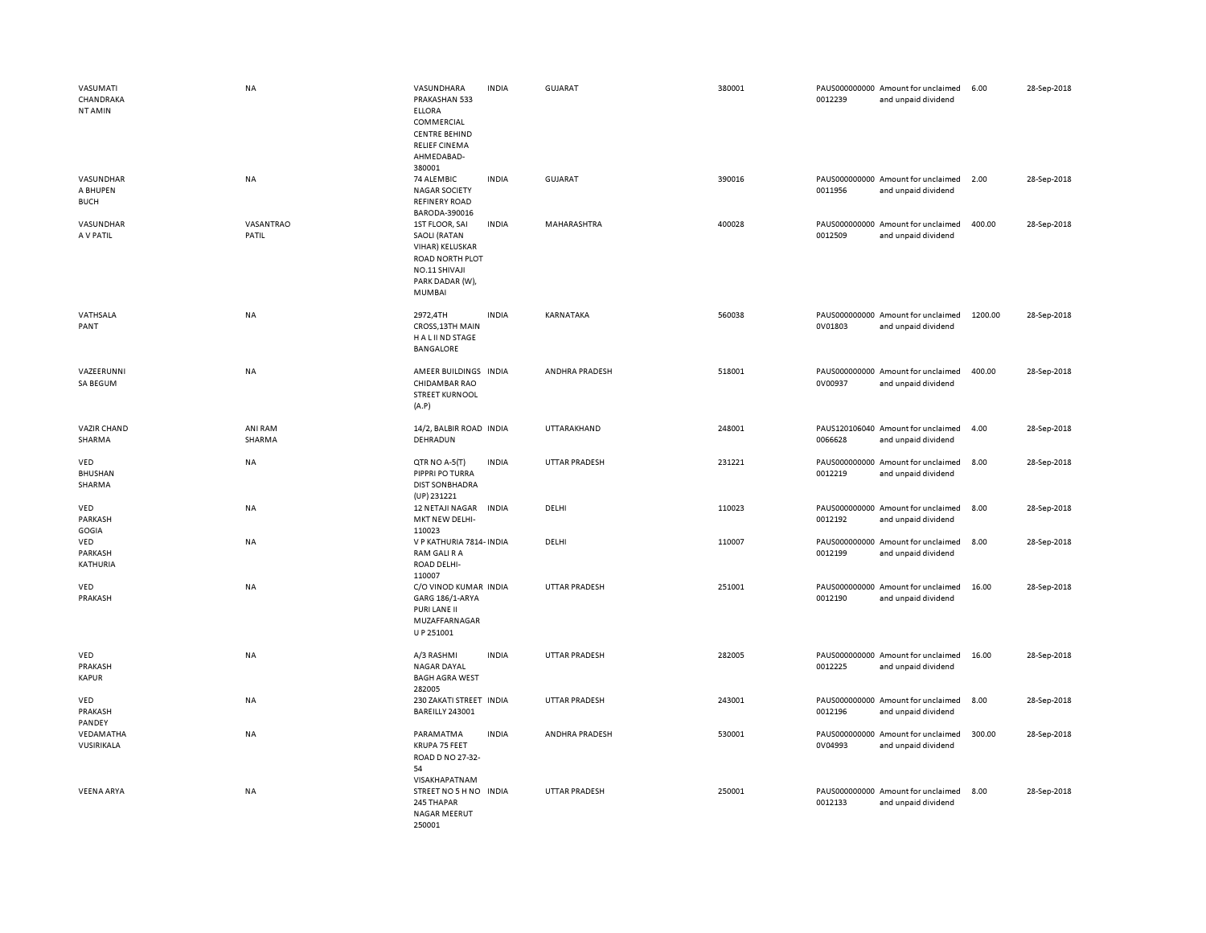| VASUMATI<br>CHANDRAKA<br>NT AMIN     | NA                 | VASUNDHARA<br>PRAKASHAN 533<br><b>ELLORA</b><br>COMMERCIAL<br><b>CENTRE BEHIND</b><br><b>RELIEF CINEMA</b><br>AHMEDABAD-<br>380001 | <b>INDIA</b> | GUJARAT              | 380001 | 0012239 | PAUS000000000 Amount for unclaimed<br>and unpaid dividend | 6.00    | 28-Sep-2018 |
|--------------------------------------|--------------------|------------------------------------------------------------------------------------------------------------------------------------|--------------|----------------------|--------|---------|-----------------------------------------------------------|---------|-------------|
| VASUNDHAR<br>A BHUPEN<br><b>BUCH</b> | NA                 | 74 ALEMBIC<br><b>NAGAR SOCIETY</b><br><b>REFINERY ROAD</b><br>BARODA-390016                                                        | <b>INDIA</b> | <b>GUJARAT</b>       | 390016 | 0011956 | PAUS000000000 Amount for unclaimed<br>and unpaid dividend | 2.00    | 28-Sep-2018 |
| VASUNDHAR<br>A V PATIL               | VASANTRAO<br>PATIL | 1ST FLOOR, SAI<br><b>SAOLI (RATAN</b><br>VIHAR) KELUSKAR<br>ROAD NORTH PLOT<br>NO.11 SHIVAJI<br>PARK DADAR (W),<br>MUMBAI          | <b>INDIA</b> | MAHARASHTRA          | 400028 | 0012509 | PAUS000000000 Amount for unclaimed<br>and unpaid dividend | 400.00  | 28-Sep-2018 |
| VATHSALA<br>PANT                     | NA                 | 2972,4TH<br>CROSS, 13TH MAIN<br>H A L II ND STAGE<br>BANGALORE                                                                     | <b>INDIA</b> | KARNATAKA            | 560038 | 0V01803 | PAUS000000000 Amount for unclaimed<br>and unpaid dividend | 1200.00 | 28-Sep-2018 |
| VAZEERUNNI<br>SA BEGUM               | NA                 | AMEER BUILDINGS INDIA<br>CHIDAMBAR RAO<br><b>STREET KURNOOL</b><br>(A.P)                                                           |              | ANDHRA PRADESH       | 518001 | 0V00937 | PAUS000000000 Amount for unclaimed<br>and unpaid dividend | 400.00  | 28-Sep-2018 |
| VAZIR CHAND<br>SHARMA                | ANI RAM<br>SHARMA  | 14/2, BALBIR ROAD INDIA<br>DEHRADUN                                                                                                |              | UTTARAKHAND          | 248001 | 0066628 | PAUS120106040 Amount for unclaimed<br>and unpaid dividend | 4.00    | 28-Sep-2018 |
| VED<br><b>BHUSHAN</b><br>SHARMA      | NA                 | QTR NO A-5(T)<br>PIPPRI PO TURRA<br><b>DIST SON BHADRA</b><br>(UP) 231221                                                          | <b>INDIA</b> | <b>UTTAR PRADESH</b> | 231221 | 0012219 | PAUS000000000 Amount for unclaimed<br>and unpaid dividend | 8.00    | 28-Sep-2018 |
| VED<br>PARKASH<br>GOGIA              | NA                 | 12 NETAJI NAGAR<br>MKT NEW DELHI-<br>110023                                                                                        | <b>INDIA</b> | DELHI                | 110023 | 0012192 | PAUS000000000 Amount for unclaimed<br>and unpaid dividend | 8.00    | 28-Sep-2018 |
| VED<br>PARKASH<br>KATHURIA           | NA                 | V P KATHURIA 7814- INDIA<br>RAM GALI R A<br><b>ROAD DELHI-</b><br>110007                                                           |              | DELHI                | 110007 | 0012199 | PAUS000000000 Amount for unclaimed<br>and unpaid dividend | 8.00    | 28-Sep-2018 |
| VED<br>PRAKASH                       | NA                 | C/O VINOD KUMAR INDIA<br>GARG 186/1-ARYA<br>PURI LANE II<br>MUZAFFARNAGAR<br>U P 251001                                            |              | UTTAR PRADESH        | 251001 | 0012190 | PAUS000000000 Amount for unclaimed<br>and unpaid dividend | 16.00   | 28-Sep-2018 |
| VED<br>PRAKASH<br><b>KAPUR</b>       | NA                 | A/3 RASHMI<br><b>NAGAR DAYAL</b><br><b>BAGH AGRA WEST</b><br>282005                                                                | <b>INDIA</b> | <b>UTTAR PRADESH</b> | 282005 | 0012225 | PAUS000000000 Amount for unclaimed<br>and unpaid dividend | 16.00   | 28-Sep-2018 |
| VED<br>PRAKASH<br>PANDEY             | NA                 | 230 ZAKATI STREET INDIA<br>BAREILLY 243001                                                                                         |              | <b>UTTAR PRADESH</b> | 243001 | 0012196 | PAUS000000000 Amount for unclaimed<br>and unpaid dividend | 8.00    | 28-Sep-2018 |
| VEDAMATHA<br>VUSIRIKALA              | <b>NA</b>          | PARAMATMA<br>KRUPA 75 FEET<br>ROAD D NO 27-32-<br>54<br>VISAKHAPATNAM                                                              | <b>INDIA</b> | ANDHRA PRADESH       | 530001 | 0V04993 | PAUS000000000 Amount for unclaimed<br>and unpaid dividend | 300.00  | 28-Sep-2018 |
| <b>VEENA ARYA</b>                    | <b>NA</b>          | STREET NO 5 H NO INDIA<br>245 THAPAR<br>NAGAR MEERUT<br>250001                                                                     |              | <b>UTTAR PRADESH</b> | 250001 | 0012133 | PAUS000000000 Amount for unclaimed<br>and unpaid dividend | 8.00    | 28-Sep-2018 |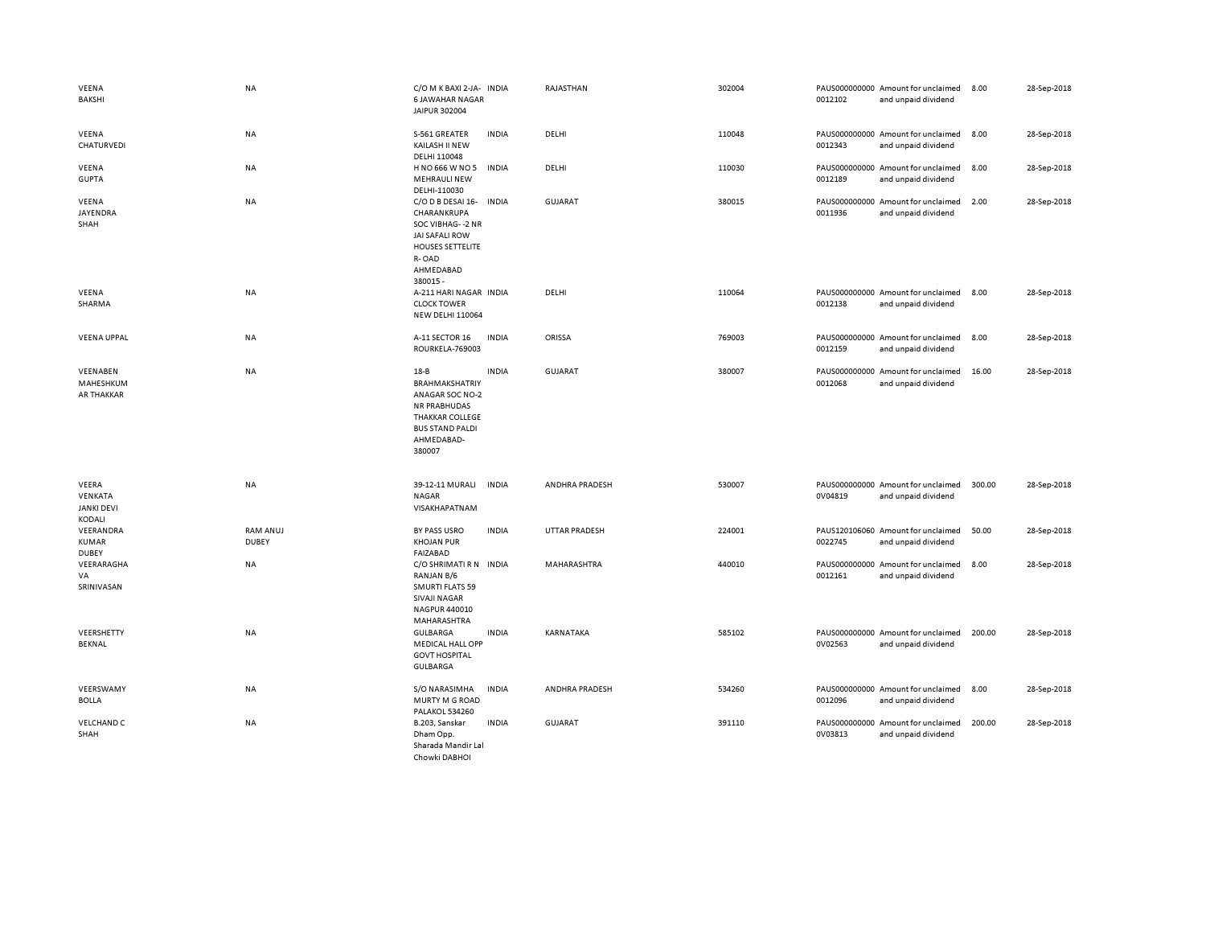| VEENA<br><b>BAKSHI</b>                          | <b>NA</b>                | C/O M K BAXI 2-JA- INDIA<br><b>6 JAWAHAR NAGAR</b><br>JAIPUR 302004                                                                                     |              | RAJASTHAN            | 302004 | 0012102 | PAUS000000000 Amount for unclaimed<br>and unpaid dividend | 8.00   | 28-Sep-2018 |
|-------------------------------------------------|--------------------------|---------------------------------------------------------------------------------------------------------------------------------------------------------|--------------|----------------------|--------|---------|-----------------------------------------------------------|--------|-------------|
| VEENA<br>CHATURVEDI                             | <b>NA</b>                | S-561 GREATER<br>KAILASH II NEW<br>DELHI 110048                                                                                                         | <b>INDIA</b> | DELHI                | 110048 | 0012343 | PAUS000000000 Amount for unclaimed<br>and unpaid dividend | 8.00   | 28-Sep-2018 |
| VEENA<br><b>GUPTA</b>                           | NA                       | H NO 666 W NO 5<br><b>MEHRAULI NEW</b><br>DELHI-110030                                                                                                  | <b>INDIA</b> | DELHI                | 110030 | 0012189 | PAUS000000000 Amount for unclaimed<br>and unpaid dividend | 8.00   | 28-Sep-2018 |
| VEENA<br>JAYENDRA<br>SHAH                       | <b>NA</b>                | C/O D B DESAI 16- INDIA<br>CHARANKRUPA<br>SOC VIBHAG--2 NR<br><b>JAI SAFALI ROW</b><br><b>HOUSES SETTELITE</b><br>R-OAD<br>AHMEDABAD<br>380015-         |              | <b>GUJARAT</b>       | 380015 | 0011936 | PAUS000000000 Amount for unclaimed<br>and unpaid dividend | 2.00   | 28-Sep-2018 |
| VEENA<br>SHARMA                                 | <b>NA</b>                | A-211 HARI NAGAR INDIA<br><b>CLOCK TOWER</b><br><b>NEW DELHI 110064</b>                                                                                 |              | DELHI                | 110064 | 0012138 | PAUS000000000 Amount for unclaimed<br>and unpaid dividend | 8.00   | 28-Sep-2018 |
| <b>VEENA UPPAL</b>                              | NA                       | A-11 SECTOR 16<br>ROURKELA-769003                                                                                                                       | <b>INDIA</b> | ORISSA               | 769003 | 0012159 | PAUS000000000 Amount for unclaimed<br>and unpaid dividend | 8.00   | 28-Sep-2018 |
| VEENABEN<br>MAHESHKUM<br><b>AR THAKKAR</b>      | NA                       | $18 - B$<br><b>BRAHMAKSHATRIY</b><br>ANAGAR SOC NO-2<br><b>NR PRABHUDAS</b><br><b>THAKKAR COLLEGE</b><br><b>BUS STAND PALDI</b><br>AHMEDABAD-<br>380007 | <b>INDIA</b> | <b>GUJARAT</b>       | 380007 | 0012068 | PAUS000000000 Amount for unclaimed<br>and unpaid dividend | 16.00  | 28-Sep-2018 |
| VEERA<br>VENKATA<br><b>JANKI DEVI</b><br>KODALI | <b>NA</b>                | 39-12-11 MURALI<br><b>NAGAR</b><br>VISAKHAPATNAM                                                                                                        | <b>INDIA</b> | ANDHRA PRADESH       | 530007 | 0V04819 | PAUS000000000 Amount for unclaimed<br>and unpaid dividend | 300.00 | 28-Sep-2018 |
| VEERANDRA<br><b>KUMAR</b><br><b>DUBEY</b>       | RAM ANUJ<br><b>DUBEY</b> | BY PASS USRO<br><b>KHOJAN PUR</b><br><b>FAIZABAD</b>                                                                                                    | <b>INDIA</b> | <b>UTTAR PRADESH</b> | 224001 | 0022745 | PAUS120106060 Amount for unclaimed<br>and unpaid dividend | 50.00  | 28-Sep-2018 |
| VEERARAGHA<br>VA<br>SRINIVASAN                  | <b>NA</b>                | C/O SHRIMATI R N INDIA<br>RANJAN B/6<br><b>SMURTI FLATS 59</b><br><b>SIVAJI NAGAR</b><br>NAGPUR 440010<br>MAHARASHTRA                                   |              | MAHARASHTRA          | 440010 | 0012161 | PAUS000000000 Amount for unclaimed<br>and unpaid dividend | 8.00   | 28-Sep-2018 |
| VEERSHETTY<br><b>BEKNAL</b>                     | <b>NA</b>                | <b>GULBARGA</b><br><b>MEDICAL HALL OPP</b><br><b>GOVT HOSPITAL</b><br><b>GULBARGA</b>                                                                   | <b>INDIA</b> | <b>KARNATAKA</b>     | 585102 | 0V02563 | PAUS000000000 Amount for unclaimed<br>and unpaid dividend | 200.00 | 28-Sep-2018 |
| VEERSWAMY<br><b>BOLLA</b>                       | NA                       | S/O NARASIMHA<br>MURTY M G ROAD<br>PALAKOL 534260                                                                                                       | <b>INDIA</b> | ANDHRA PRADESH       | 534260 | 0012096 | PAUS000000000 Amount for unclaimed<br>and unpaid dividend | 8.00   | 28-Sep-2018 |
| <b>VELCHAND C</b><br>SHAH                       | NA                       | B.203, Sanskar<br>Dham Opp.<br>Sharada Mandir Lal<br>Chowki DABHOI                                                                                      | <b>INDIA</b> | <b>GUJARAT</b>       | 391110 | 0V03813 | PAUS000000000 Amount for unclaimed<br>and unpaid dividend | 200.00 | 28-Sep-2018 |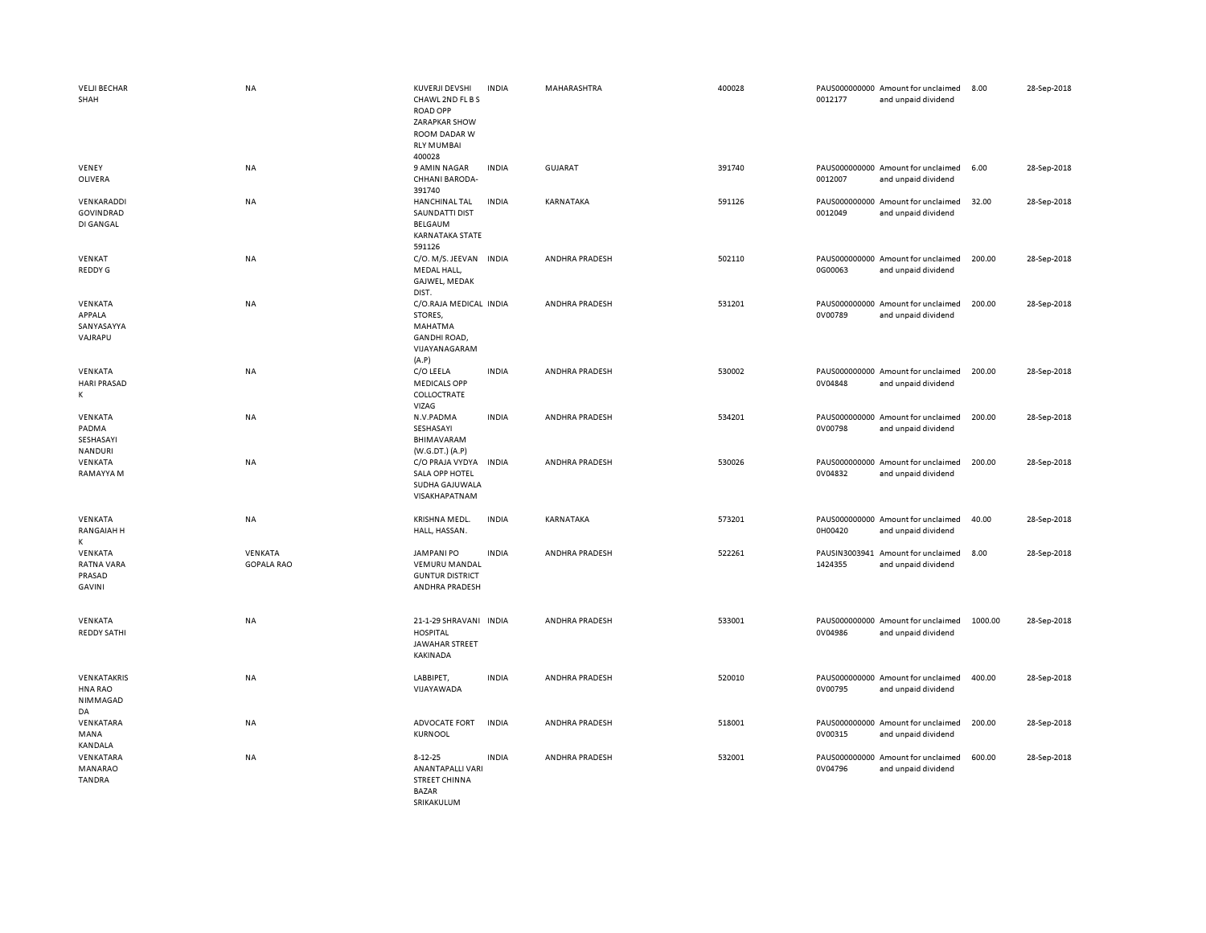| <b>VELJI BECHAR</b><br>SHAH                | <b>NA</b>                    | KUVERJI DEVSHI<br>CHAWL 2ND FL BS<br><b>ROAD OPP</b><br><b>ZARAPKAR SHOW</b><br>ROOM DADAR W<br><b>RLY MUMBAI</b> | <b>INDIA</b> | MAHARASHTRA           | 400028 | 0012177 | PAUS000000000 Amount for unclaimed<br>and unpaid dividend | 8.00    | 28-Sep-2018 |
|--------------------------------------------|------------------------------|-------------------------------------------------------------------------------------------------------------------|--------------|-----------------------|--------|---------|-----------------------------------------------------------|---------|-------------|
| VENEY<br>OLIVERA                           | NA                           | 400028<br>9 AMIN NAGAR<br>CHHANI BARODA-<br>391740                                                                | <b>INDIA</b> | GUJARAT               | 391740 | 0012007 | PAUS000000000 Amount for unclaimed<br>and unpaid dividend | 6.00    | 28-Sep-2018 |
| VENKARADDI<br>GOVINDRAD<br>DI GANGAL       | <b>NA</b>                    | <b>HANCHINAL TAL</b><br><b>SAUNDATTI DIST</b><br>BELGAUM<br><b>KARNATAKA STATE</b><br>591126                      | <b>INDIA</b> | KARNATAKA             | 591126 | 0012049 | PAUS000000000 Amount for unclaimed<br>and unpaid dividend | 32.00   | 28-Sep-2018 |
| VENKAT<br>REDDY G                          | <b>NA</b>                    | C/O. M/S. JEEVAN INDIA<br>MEDAL HALL,<br>GAJWEL, MEDAK<br>DIST.                                                   |              | <b>ANDHRA PRADESH</b> | 502110 | 0G00063 | PAUS000000000 Amount for unclaimed<br>and unpaid dividend | 200.00  | 28-Sep-2018 |
| VENKATA<br>APPALA<br>SANYASAYYA<br>VAJRAPU | NA                           | C/O.RAJA MEDICAL INDIA<br>STORES,<br>MAHATMA<br><b>GANDHI ROAD,</b><br>VIJAYANAGARAM<br>(A, P)                    |              | ANDHRA PRADESH        | 531201 | 0V00789 | PAUS000000000 Amount for unclaimed<br>and unpaid dividend | 200.00  | 28-Sep-2018 |
| VENKATA<br><b>HARI PRASAD</b><br>К         | NA                           | C/O LEELA<br><b>MEDICALS OPP</b><br>COLLOCTRATE<br>VIZAG                                                          | <b>INDIA</b> | ANDHRA PRADESH        | 530002 | 0V04848 | PAUS000000000 Amount for unclaimed<br>and unpaid dividend | 200.00  | 28-Sep-2018 |
| VENKATA<br>PADMA<br>SESHASAYI<br>NANDURI   | <b>NA</b>                    | N.V.PADMA<br>SESHASAYI<br>BHIMAVARAM<br>(W.G.DT.) (A.P)                                                           | <b>INDIA</b> | ANDHRA PRADESH        | 534201 | 0V00798 | PAUS000000000 Amount for unclaimed<br>and unpaid dividend | 200.00  | 28-Sep-2018 |
| VENKATA<br>RAMAYYA M                       | NA                           | C/O PRAJA VYDYA INDIA<br>SALA OPP HOTEL<br>SUDHA GAJUWALA<br>VISAKHAPATNAM                                        |              | <b>ANDHRA PRADESH</b> | 530026 | 0V04832 | PAUS000000000 Amount for unclaimed<br>and unpaid dividend | 200.00  | 28-Sep-2018 |
| VENKATA<br>RANGAIAH H<br>K                 | NA                           | KRISHNA MEDL.<br>HALL, HASSAN.                                                                                    | <b>INDIA</b> | KARNATAKA             | 573201 | 0H00420 | PAUS000000000 Amount for unclaimed<br>and unpaid dividend | 40.00   | 28-Sep-2018 |
| VENKATA<br>RATNA VARA<br>PRASAD<br>GAVINI  | VENKATA<br><b>GOPALA RAO</b> | <b>JAMPANI PO</b><br><b>VEMURU MANDAL</b><br><b>GUNTUR DISTRICT</b><br>ANDHRA PRADESH                             | <b>INDIA</b> | ANDHRA PRADESH        | 522261 | 1424355 | PAUSIN3003941 Amount for unclaimed<br>and unpaid dividend | 8.00    | 28-Sep-2018 |
| VENKATA<br><b>REDDY SATHI</b>              | NA                           | 21-1-29 SHRAVANI INDIA<br><b>HOSPITAL</b><br>JAWAHAR STREET<br><b>KAKINADA</b>                                    |              | ANDHRA PRADESH        | 533001 | 0V04986 | PAUS000000000 Amount for unclaimed<br>and unpaid dividend | 1000.00 | 28-Sep-2018 |
| VENKATAKRIS<br>HNA RAO<br>NIMMAGAD<br>DA   | NA                           | LABBIPET,<br>VIJAYAWADA                                                                                           | <b>INDIA</b> | <b>ANDHRA PRADESH</b> | 520010 | 0V00795 | PAUS000000000 Amount for unclaimed<br>and unpaid dividend | 400.00  | 28-Sep-2018 |
| VENKATARA<br>MANA<br><b>KANDALA</b>        | NA                           | ADVOCATE FORT<br><b>KURNOOL</b>                                                                                   | <b>INDIA</b> | ANDHRA PRADESH        | 518001 | 0V00315 | PAUS000000000 Amount for unclaimed<br>and unpaid dividend | 200.00  | 28-Sep-2018 |
| VENKATARA<br>MANARAO<br><b>TANDRA</b>      | <b>NA</b>                    | $8 - 12 - 25$<br><b>ANANTAPALLI VARI</b><br><b>STREET CHINNA</b><br><b>BAZAR</b><br><b>SRIKAKULUM</b>             | <b>INDIA</b> | ANDHRA PRADESH        | 532001 | 0V04796 | PAUS000000000 Amount for unclaimed<br>and unpaid dividend | 600.00  | 28-Sep-2018 |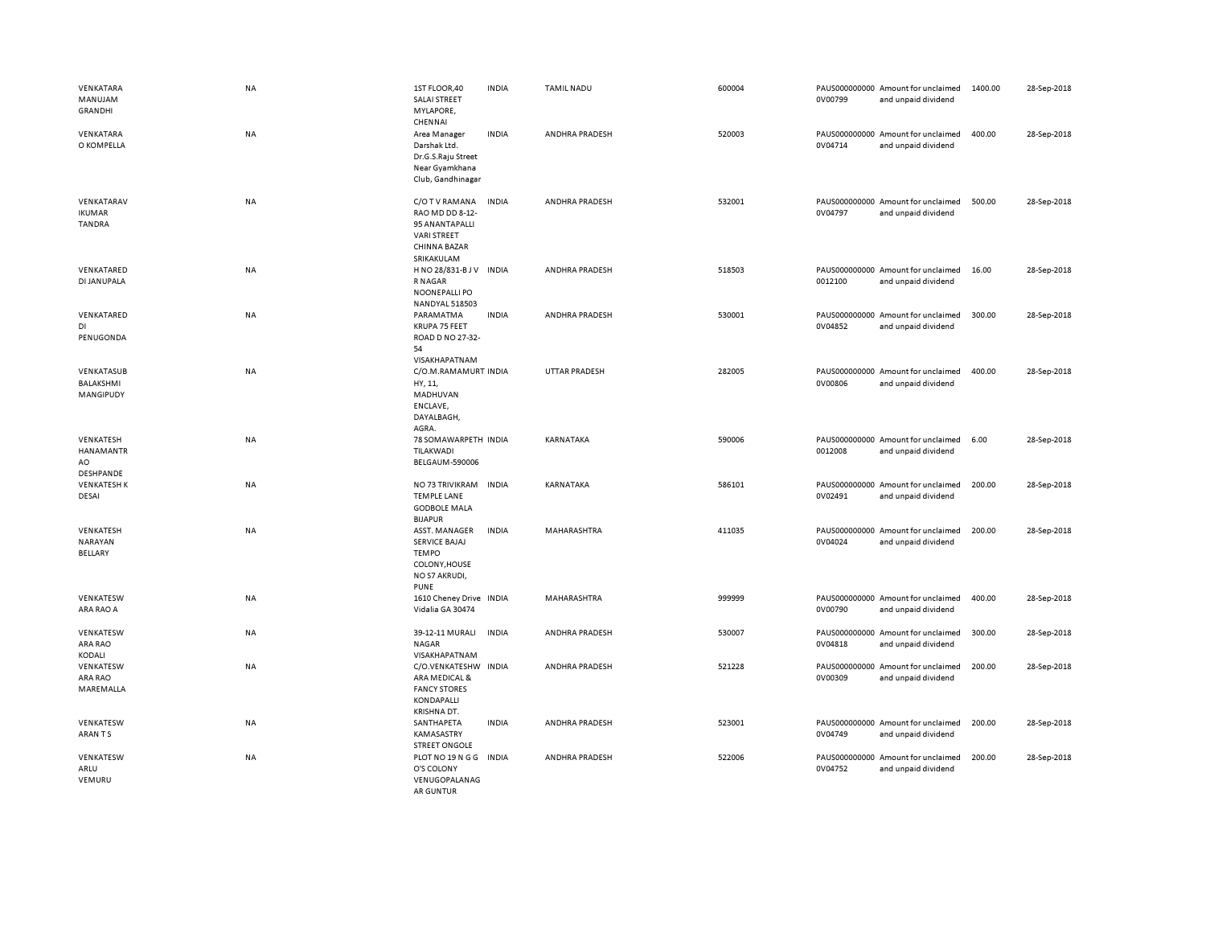| VENKATARA<br>MANUJAM<br>GRANDHI              | <b>NA</b> | 1ST FLOOR,40<br><b>SALAI STREET</b><br>MYLAPORE,<br>CHENNAI                                                    | <b>INDIA</b> | <b>TAMIL NADU</b>    | 600004 | 0V00799 | PAUS000000000 Amount for unclaimed<br>and unpaid dividend | 1400.00 | 28-Sep-2018 |
|----------------------------------------------|-----------|----------------------------------------------------------------------------------------------------------------|--------------|----------------------|--------|---------|-----------------------------------------------------------|---------|-------------|
| VENKATARA<br>O KOMPELLA                      | NA        | Area Manager<br>Darshak Ltd.<br>Dr.G.S.Raju Street<br>Near Gyamkhana<br>Club, Gandhinagar                      | <b>INDIA</b> | ANDHRA PRADESH       | 520003 | 0V04714 | PAUS000000000 Amount for unclaimed<br>and unpaid dividend | 400.00  | 28-Sep-2018 |
| VENKATARAV<br><b>IKUMAR</b><br><b>TANDRA</b> | <b>NA</b> | C/O T V RAMANA<br>RAO MD DD 8-12-<br>95 ANANTAPALLI<br><b>VARI STREET</b><br><b>CHINNA BAZAR</b><br>SRIKAKULAM | <b>INDIA</b> | ANDHRA PRADESH       | 532001 | 0V04797 | PAUS000000000 Amount for unclaimed<br>and unpaid dividend | 500.00  | 28-Sep-2018 |
| VENKATARED<br>DI JANUPALA                    | <b>NA</b> | H NO 28/831-B J V<br>R NAGAR<br>NOONEPALLI PO<br>NANDYAL 518503                                                | <b>INDIA</b> | ANDHRA PRADESH       | 518503 | 0012100 | PAUS000000000 Amount for unclaimed<br>and unpaid dividend | 16.00   | 28-Sep-2018 |
| VENKATARED<br>DI<br>PENUGONDA                | <b>NA</b> | PARAMATMA<br>KRUPA 75 FEET<br>ROAD D NO 27-32-<br>54<br>VISAKHAPATNAM                                          | <b>INDIA</b> | ANDHRA PRADESH       | 530001 | 0V04852 | PAUS000000000 Amount for unclaimed<br>and unpaid dividend | 300.00  | 28-Sep-2018 |
| VENKATASUB<br>BALAKSHMI<br>MANGIPUDY         | NA        | C/O.M.RAMAMURT INDIA<br>HY, 11,<br>MADHUVAN<br>ENCLAVE,<br>DAYALBAGH,<br>AGRA.                                 |              | <b>UTTAR PRADESH</b> | 282005 | 0V00806 | PAUS000000000 Amount for unclaimed<br>and unpaid dividend | 400.00  | 28-Sep-2018 |
| VENKATESH<br>HANAMANTR<br>AO<br>DESHPANDE    | NA        | 78 SOMAWARPETH INDIA<br>TILAKWADI<br><b>BELGAUM-590006</b>                                                     |              | KARNATAKA            | 590006 | 0012008 | PAUS000000000 Amount for unclaimed<br>and unpaid dividend | 6.00    | 28-Sep-2018 |
| <b>VENKATESH K</b><br>DESAI                  | NA        | NO 73 TRIVIKRAM INDIA<br><b>TEMPLE LANE</b><br><b>GODBOLE MALA</b><br><b>BIJAPUR</b>                           |              | KARNATAKA            | 586101 | 0V02491 | PAUS000000000 Amount for unclaimed<br>and unpaid dividend | 200.00  | 28-Sep-2018 |
| VENKATESH<br>NARAYAN<br>BELLARY              | NA        | ASST. MANAGER<br>SERVICE BAJAJ<br><b>TEMPO</b><br>COLONY, HOUSE<br>NO S7 AKRUDI,<br><b>PUNE</b>                | <b>INDIA</b> | MAHARASHTRA          | 411035 | 0V04024 | PAUS000000000 Amount for unclaimed<br>and unpaid dividend | 200.00  | 28-Sep-2018 |
| VENKATESW<br>ARA RAO A                       | <b>NA</b> | 1610 Cheney Drive INDIA<br>Vidalia GA 30474                                                                    |              | MAHARASHTRA          | 999999 | 0V00790 | PAUS000000000 Amount for unclaimed<br>and unpaid dividend | 400.00  | 28-Sep-2018 |
| VENKATESW<br>ARA RAO<br>KODALI               | NA        | 39-12-11 MURALI<br><b>NAGAR</b><br>VISAKHAPATNAM                                                               | <b>INDIA</b> | ANDHRA PRADESH       | 530007 | 0V04818 | PAUS000000000 Amount for unclaimed<br>and unpaid dividend | 300.00  | 28-Sep-2018 |
| VENKATESW<br>ARA RAO<br>MAREMALLA            | <b>NA</b> | C/O.VENKATESHW INDIA<br>ARA MEDICAL &<br><b>FANCY STORES</b><br>KONDAPALLI<br>KRISHNA DT.                      |              | ANDHRA PRADESH       | 521228 | 0V00309 | PAUS000000000 Amount for unclaimed<br>and unpaid dividend | 200.00  | 28-Sep-2018 |
| VENKATESW<br>ARAN TS                         | NA        | SANTHAPETA<br>KAMASASTRY<br><b>STREET ONGOLE</b>                                                               | <b>INDIA</b> | ANDHRA PRADESH       | 523001 | 0V04749 | PAUS000000000 Amount for unclaimed<br>and unpaid dividend | 200.00  | 28-Sep-2018 |
| VENKATESW<br>ARLU<br>VEMURU                  | <b>NA</b> | PLOT NO 19 N G G<br>O'S COLONY<br>VENUGOPALANAG<br><b>AR GUNTUR</b>                                            | <b>INDIA</b> | ANDHRA PRADESH       | 522006 | 0V04752 | PAUS000000000 Amount for unclaimed<br>and unpaid dividend | 200.00  | 28-Sep-2018 |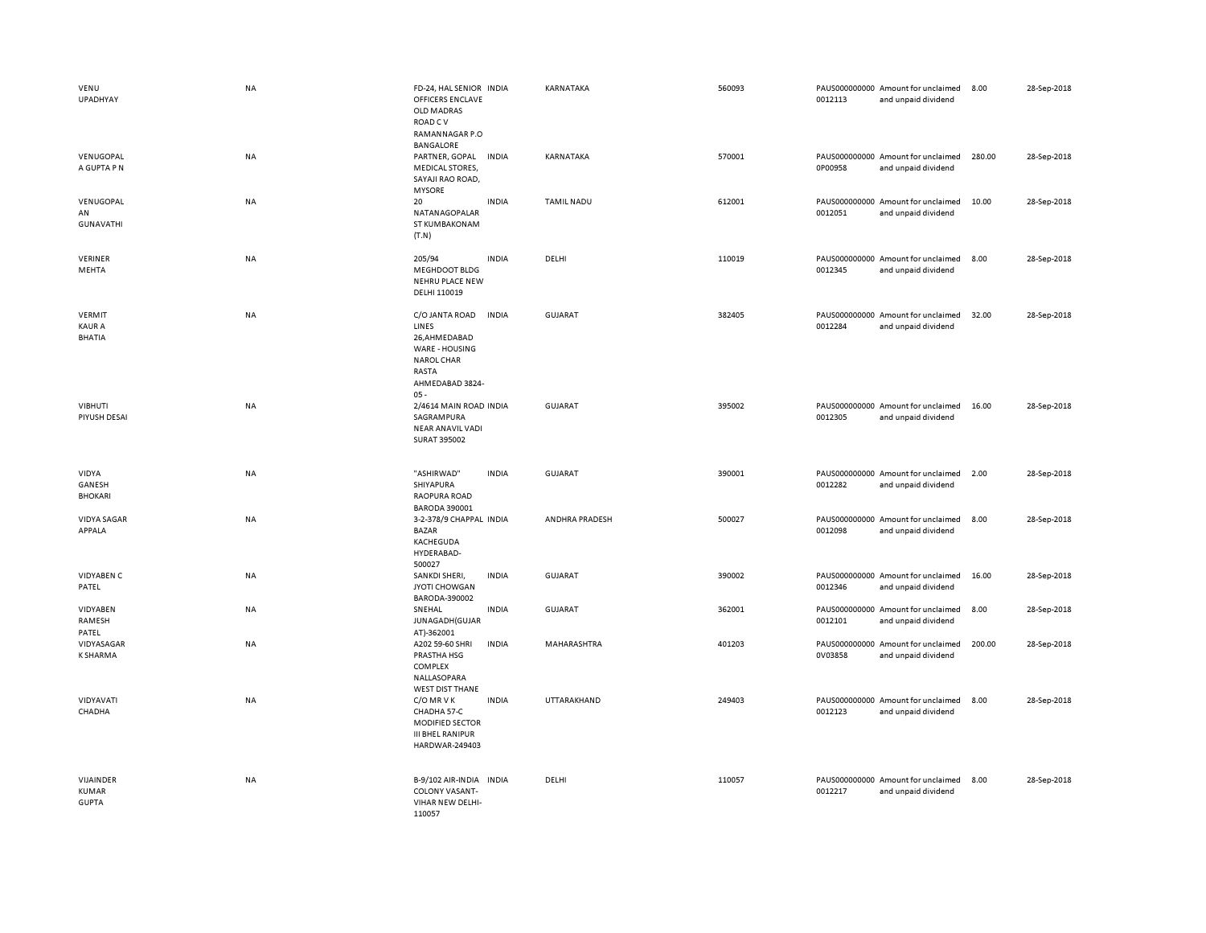| VENU<br><b>UPADHYAY</b>                  | <b>NA</b> | FD-24, HAL SENIOR INDIA<br><b>OFFICERS ENCLAVE</b><br>OLD MADRAS<br>ROAD C V<br>RAMANNAGAR P.O<br><b>BANGALORE</b>   |              | KARNATAKA         | 560093 | 0012113 | PAUS000000000 Amount for unclaimed<br>and unpaid dividend | 8.00   | 28-Sep-2018 |
|------------------------------------------|-----------|----------------------------------------------------------------------------------------------------------------------|--------------|-------------------|--------|---------|-----------------------------------------------------------|--------|-------------|
| VENUGOPAL<br>A GUPTA P N                 | <b>NA</b> | PARTNER, GOPAL<br><b>MEDICAL STORES,</b><br>SAYAJI RAO ROAD,<br><b>MYSORE</b>                                        | <b>INDIA</b> | KARNATAKA         | 570001 | 0P00958 | PAUS000000000 Amount for unclaimed<br>and unpaid dividend | 280.00 | 28-Sep-2018 |
| VENUGOPAL<br>AN<br><b>GUNAVATHI</b>      | <b>NA</b> | 20<br>NATANAGOPALAR<br>ST KUMBAKONAM<br>(T.N)                                                                        | <b>INDIA</b> | <b>TAMIL NADU</b> | 612001 | 0012051 | PAUS000000000 Amount for unclaimed<br>and unpaid dividend | 10.00  | 28-Sep-2018 |
| VERINER<br>MEHTA                         | <b>NA</b> | 205/94<br>MEGHDOOT BLDG<br><b>NEHRU PLACE NEW</b><br>DELHI 110019                                                    | <b>INDIA</b> | DELHI             | 110019 | 0012345 | PAUS000000000 Amount for unclaimed<br>and unpaid dividend | 8.00   | 28-Sep-2018 |
| VERMIT<br><b>KAUR A</b><br><b>BHATIA</b> | <b>NA</b> | C/O JANTA ROAD<br>LINES<br>26,AHMEDABAD<br>WARE - HOUSING<br><b>NAROL CHAR</b><br>RASTA<br>AHMEDABAD 3824-<br>$05 -$ | <b>INDIA</b> | <b>GUJARAT</b>    | 382405 | 0012284 | PAUS000000000 Amount for unclaimed<br>and unpaid dividend | 32.00  | 28-Sep-2018 |
| <b>VIBHUTI</b><br>PIYUSH DESAI           | <b>NA</b> | 2/4614 MAIN ROAD INDIA<br>SAGRAMPURA<br><b>NEAR ANAVIL VADI</b><br>SURAT 395002                                      |              | <b>GUJARAT</b>    | 395002 | 0012305 | PAUS000000000 Amount for unclaimed<br>and unpaid dividend | 16.00  | 28-Sep-2018 |
| VIDYA<br>GANESH<br><b>BHOKARI</b>        | <b>NA</b> | "ASHIRWAD"<br>SHIYAPURA<br>RAOPURA ROAD<br><b>BARODA 390001</b>                                                      | <b>INDIA</b> | <b>GUJARAT</b>    | 390001 | 0012282 | PAUS000000000 Amount for unclaimed<br>and unpaid dividend | 2.00   | 28-Sep-2018 |
| <b>VIDYA SAGAR</b><br>APPALA             | <b>NA</b> | 3-2-378/9 CHAPPAL INDIA<br><b>BAZAR</b>                                                                              |              | ANDHRA PRADESH    | 500027 | 0012098 | PAUS000000000 Amount for unclaimed<br>and unpaid dividend | 8.00   | 28-Sep-2018 |
|                                          |           | KACHEGUDA<br>HYDERABAD-<br>500027                                                                                    |              |                   |        |         |                                                           |        |             |
| <b>VIDYABEN C</b><br>PATEL               | NA        | SANKDI SHERI,<br>JYOTI CHOWGAN<br>BARODA-390002                                                                      | <b>INDIA</b> | <b>GUJARAT</b>    | 390002 | 0012346 | PAUS000000000 Amount for unclaimed<br>and unpaid dividend | 16.00  | 28-Sep-2018 |
| VIDYABEN<br>RAMESH<br>PATEL              | <b>NA</b> | SNEHAL<br>JUNAGADH (GUJAR<br>AT)-362001                                                                              | <b>INDIA</b> | <b>GUJARAT</b>    | 362001 | 0012101 | PAUS000000000 Amount for unclaimed<br>and unpaid dividend | 8.00   | 28-Sep-2018 |
| VIDYASAGAR<br><b>K SHARMA</b>            | <b>NA</b> | A202 59-60 SHRI<br>PRASTHA HSG<br>COMPLEX<br>NALLASOPARA                                                             | <b>INDIA</b> | MAHARASHTRA       | 401203 | 0V03858 | PAUS000000000 Amount for unclaimed<br>and unpaid dividend | 200.00 | 28-Sep-2018 |
| VIDYAVATI<br>CHADHA                      | <b>NA</b> | <b>WEST DIST THANE</b><br>C/O MR V K<br>CHADHA 57-C<br>MODIFIED SECTOR<br><b>III BHEL RANIPUR</b><br>HARDWAR-249403  | <b>INDIA</b> | UTTARAKHAND       | 249403 | 0012123 | PAUS000000000 Amount for unclaimed<br>and unpaid dividend | 8.00   | 28-Sep-2018 |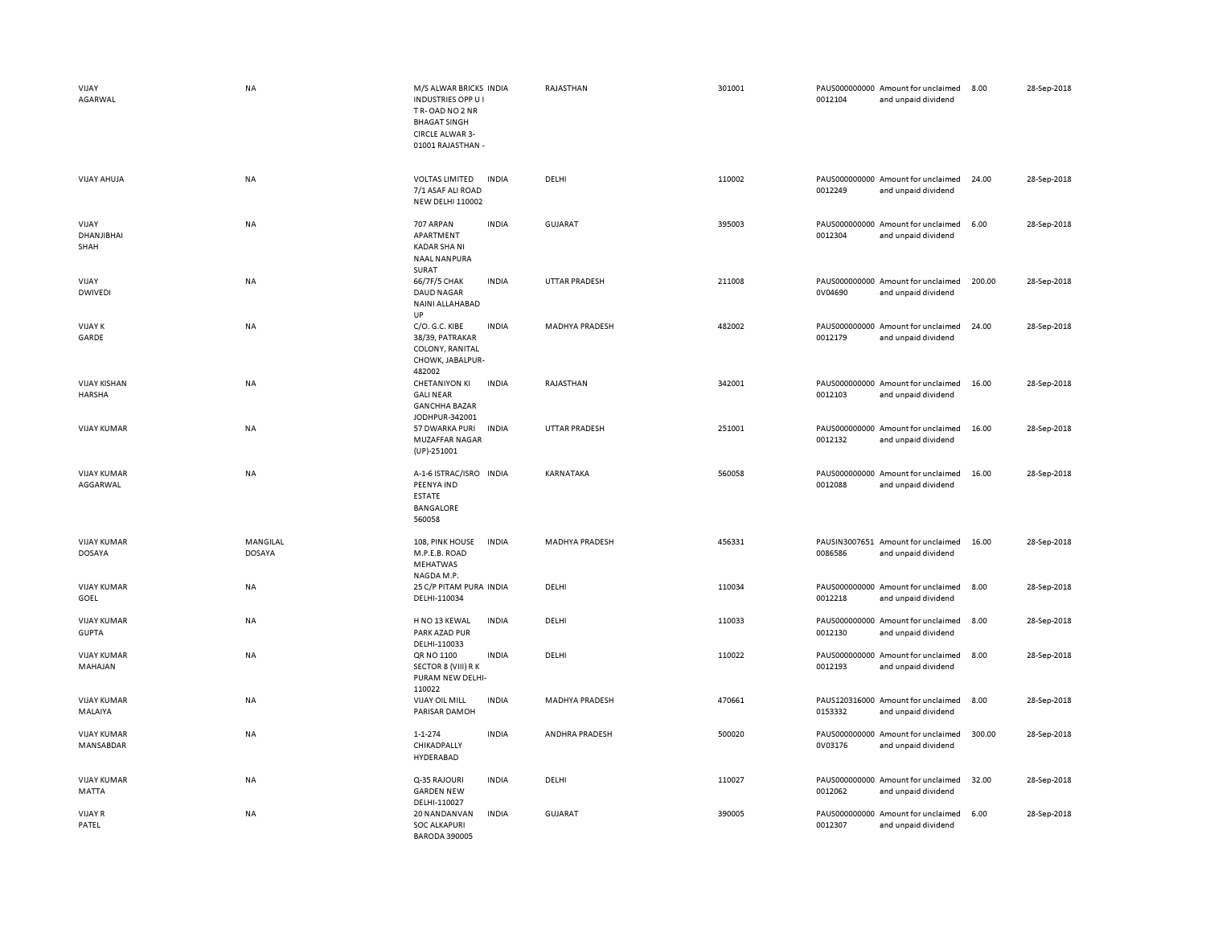| VIJAY<br>AGARWAL                     | <b>NA</b>                 | M/S ALWAR BRICKS INDIA<br><b>INDUSTRIES OPP U I</b><br>TR-OAD NO 2 NR<br><b>BHAGAT SINGH</b><br>CIRCLE ALWAR 3-<br>01001 RAJASTHAN - |              | RAJASTHAN             | 301001 | 0012104                  | PAUS000000000 Amount for unclaimed<br>and unpaid dividend | 8.00   | 28-Sep-2018 |
|--------------------------------------|---------------------------|--------------------------------------------------------------------------------------------------------------------------------------|--------------|-----------------------|--------|--------------------------|-----------------------------------------------------------|--------|-------------|
| <b>VIJAY AHUJA</b>                   | <b>NA</b>                 | <b>VOLTAS LIMITED</b><br>7/1 ASAF ALI ROAD<br><b>NEW DELHI 110002</b>                                                                | <b>INDIA</b> | DELHI                 | 110002 | 0012249                  | PAUS000000000 Amount for unclaimed<br>and unpaid dividend | 24.00  | 28-Sep-2018 |
| VIJAY<br>DHANJIBHAI<br>SHAH          | NA                        | 707 ARPAN<br>APARTMENT<br>KADAR SHA NI<br><b>NAAL NANPURA</b><br>SURAT                                                               | <b>INDIA</b> | <b>GUJARAT</b>        | 395003 | 0012304                  | PAUS000000000 Amount for unclaimed<br>and unpaid dividend | 6.00   | 28-Sep-2018 |
| VIJAY<br><b>DWIVEDI</b>              | <b>NA</b>                 | 66/7F/5 CHAK<br><b>DAUD NAGAR</b><br>NAINI ALLAHABAD<br><b>UP</b>                                                                    | <b>INDIA</b> | <b>UTTAR PRADESH</b>  | 211008 | 0V04690                  | PAUS000000000 Amount for unclaimed<br>and unpaid dividend | 200.00 | 28-Sep-2018 |
| <b>VIJAY K</b><br>GARDE              | <b>NA</b>                 | C/O. G.C. KIBE<br>38/39, PATRAKAR<br>COLONY, RANITAL<br>CHOWK, JABALPUR-<br>482002                                                   | <b>INDIA</b> | <b>MADHYA PRADESH</b> | 482002 | 0012179                  | PAUS000000000 Amount for unclaimed<br>and unpaid dividend | 24.00  | 28-Sep-2018 |
| <b>VIJAY KISHAN</b><br><b>HARSHA</b> | <b>NA</b>                 | <b>CHETANIYON KI</b><br><b>GALI NEAR</b><br><b>GANCHHA BAZAR</b><br>JODHPUR-342001                                                   | <b>INDIA</b> | RAJASTHAN             | 342001 | 0012103                  | PAUS000000000 Amount for unclaimed<br>and unpaid dividend | 16.00  | 28-Sep-2018 |
| <b>VIJAY KUMAR</b>                   | <b>NA</b>                 | 57 DWARKA PURI<br>MUZAFFAR NAGAR<br>$(UP) - 251001$                                                                                  | <b>INDIA</b> | <b>UTTAR PRADESH</b>  | 251001 | 0012132                  | PAUS000000000 Amount for unclaimed<br>and unpaid dividend | 16.00  | 28-Sep-2018 |
| <b>VIJAY KUMAR</b><br>AGGARWAL       | <b>NA</b>                 | A-1-6 ISTRAC/ISRO INDIA<br>PEENYA IND<br><b>ESTATE</b><br><b>BANGALORE</b><br>560058                                                 |              | KARNATAKA             | 560058 | 0012088                  | PAUS000000000 Amount for unclaimed<br>and unpaid dividend | 16.00  | 28-Sep-2018 |
| <b>VIJAY KUMAR</b><br><b>DOSAYA</b>  | MANGILAL<br><b>DOSAYA</b> | 108, PINK HOUSE<br>M.P.E.B. ROAD<br>MEHATWAS<br>NAGDA M.P.                                                                           | <b>INDIA</b> | <b>MADHYA PRADESH</b> | 456331 | 0086586                  | PAUSIN3007651 Amount for unclaimed<br>and unpaid dividend | 16.00  | 28-Sep-2018 |
| <b>VIJAY KUMAR</b><br>GOEL           | NA                        | 25 C/P PITAM PURA INDIA<br>DELHI-110034                                                                                              |              | DELHI                 | 110034 | PAUS000000000<br>0012218 | Amount for unclaimed<br>and unpaid dividend               | 8.00   | 28-Sep-2018 |
| <b>VIJAY KUMAR</b><br><b>GUPTA</b>   | NA                        | H NO 13 KEWAL<br>PARK AZAD PUR<br>DELHI-110033                                                                                       | <b>INDIA</b> | DELHI                 | 110033 | 0012130                  | PAUS000000000 Amount for unclaimed<br>and unpaid dividend | 8.00   | 28-Sep-2018 |
| <b>VIJAY KUMAR</b><br>MAHAJAN        | <b>NA</b>                 | QR NO 1100<br>SECTOR 8 (VIII) R K<br>PURAM NEW DELHI-<br>110022                                                                      | <b>INDIA</b> | DELHI                 | 110022 | 0012193                  | PAUS000000000 Amount for unclaimed<br>and unpaid dividend | 8.00   | 28-Sep-2018 |
| <b>VIJAY KUMAR</b><br>MALAIYA        | <b>NA</b>                 | <b>VIJAY OIL MILL</b><br>PARISAR DAMOH                                                                                               | <b>INDIA</b> | <b>MADHYA PRADESH</b> | 470661 | 0153332                  | PAUS120316000 Amount for unclaimed<br>and unpaid dividend | 8.00   | 28-Sep-2018 |
| <b>VIJAY KUMAR</b><br>MANSABDAR      | NA                        | $1 - 1 - 274$<br>CHIKADPALLY<br>HYDERABAD                                                                                            | <b>INDIA</b> | ANDHRA PRADESH        | 500020 | 0V03176                  | PAUS000000000 Amount for unclaimed<br>and unpaid dividend | 300.00 | 28-Sep-2018 |
| <b>VIJAY KUMAR</b><br>MATTA          | <b>NA</b>                 | Q-35 RAJOURI<br><b>GARDEN NEW</b><br>DELHI-110027                                                                                    | <b>INDIA</b> | DELHI                 | 110027 | 0012062                  | PAUS000000000 Amount for unclaimed<br>and unpaid dividend | 32.00  | 28-Sep-2018 |
| <b>VIJAY R</b><br>PATEL              | NA                        | 20 NANDANVAN<br><b>SOC ALKAPURI</b><br><b>BARODA 390005</b>                                                                          | <b>INDIA</b> | <b>GUJARAT</b>        | 390005 | 0012307                  | PAUS000000000 Amount for unclaimed<br>and unpaid dividend | 6.00   | 28-Sep-2018 |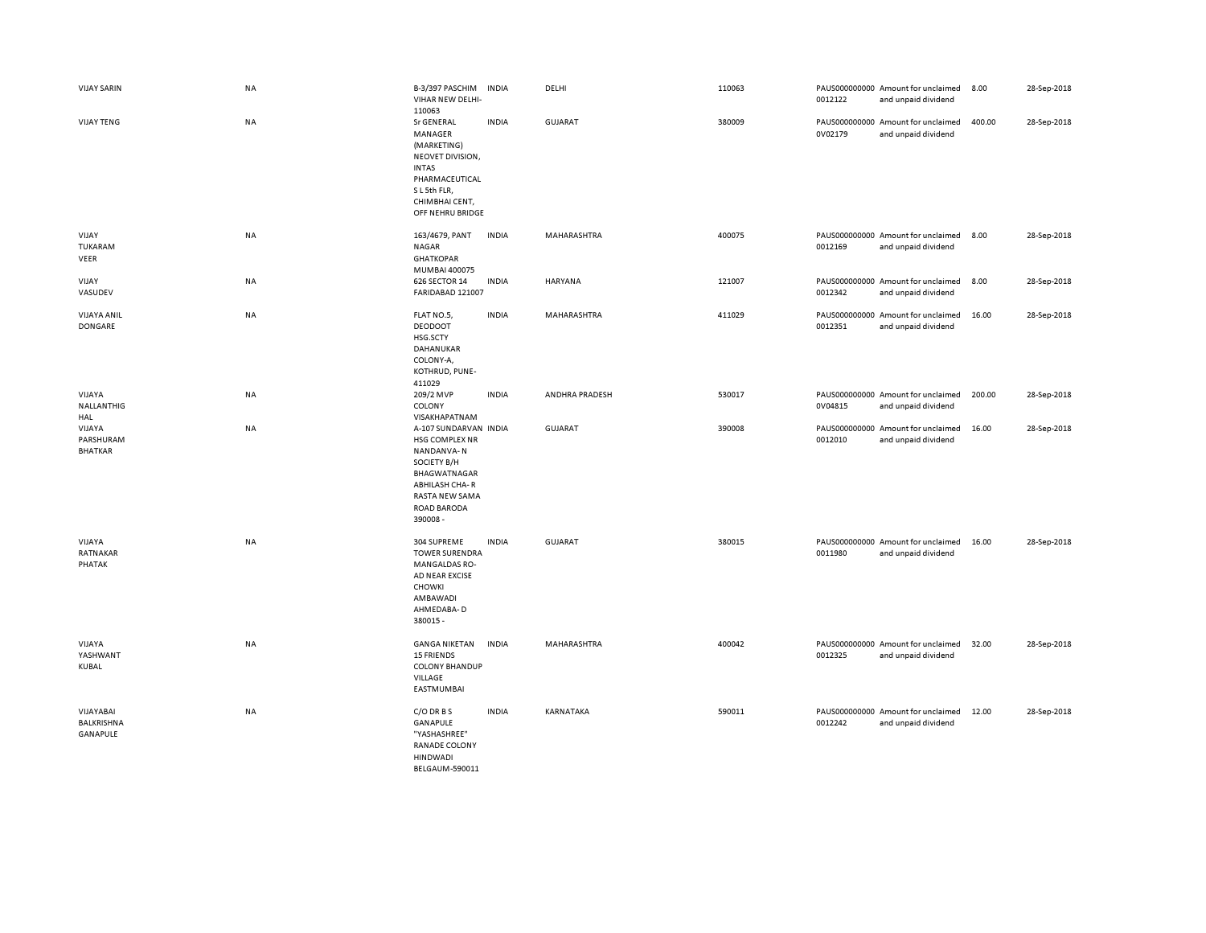| <b>VIJAY SARIN</b>                    | NA        | B-3/397 PASCHIM<br>VIHAR NEW DELHI-<br>110063                                                                                                             | <b>INDIA</b> | DELHI          | 110063 | 0012122 | PAUS000000000 Amount for unclaimed<br>and unpaid dividend | 8.00   | 28-Sep-2018 |
|---------------------------------------|-----------|-----------------------------------------------------------------------------------------------------------------------------------------------------------|--------------|----------------|--------|---------|-----------------------------------------------------------|--------|-------------|
| <b>VIJAY TENG</b>                     | <b>NA</b> | <b>Sr GENERAL</b><br>MANAGER<br>(MARKETING)<br>NEOVET DIVISION,<br><b>INTAS</b><br>PHARMACEUTICAL<br>SL5th FLR,<br>CHIMBHAI CENT,<br>OFF NEHRU BRIDGE     | <b>INDIA</b> | <b>GUJARAT</b> | 380009 | 0V02179 | PAUS000000000 Amount for unclaimed<br>and unpaid dividend | 400.00 | 28-Sep-2018 |
| VIJAY<br>TUKARAM<br>VEER              | <b>NA</b> | 163/4679, PANT<br><b>NAGAR</b><br><b>GHATKOPAR</b><br>MUMBAI 400075                                                                                       | <b>INDIA</b> | MAHARASHTRA    | 400075 | 0012169 | PAUS000000000 Amount for unclaimed<br>and unpaid dividend | 8.00   | 28-Sep-2018 |
| VIJAY<br>VASUDEV                      | NA        | 626 SECTOR 14<br>FARIDABAD 121007                                                                                                                         | <b>INDIA</b> | HARYANA        | 121007 | 0012342 | PAUS000000000 Amount for unclaimed<br>and unpaid dividend | 8.00   | 28-Sep-2018 |
| <b>VIJAYA ANIL</b><br>DONGARE         | NA        | FLAT NO.5,<br><b>DEODOOT</b><br>HSG.SCTY<br>DAHANUKAR<br>COLONY-A,<br>KOTHRUD, PUNE-<br>411029                                                            | <b>INDIA</b> | MAHARASHTRA    | 411029 | 0012351 | PAUS000000000 Amount for unclaimed<br>and unpaid dividend | 16.00  | 28-Sep-2018 |
| VIJAYA<br>NALLANTHIG<br>HAL           | NA        | 209/2 MVP<br>COLONY<br>VISAKHAPATNAM                                                                                                                      | <b>INDIA</b> | ANDHRA PRADESH | 530017 | 0V04815 | PAUS000000000 Amount for unclaimed<br>and unpaid dividend | 200.00 | 28-Sep-2018 |
| VIJAYA<br>PARSHURAM<br><b>BHATKAR</b> | NA        | A-107 SUNDARVAN INDIA<br>HSG COMPLEX NR<br>NANDANVA-N<br>SOCIETY B/H<br>BHAGWATNAGAR<br><b>ABHILASH CHA-R</b><br>RASTA NEW SAMA<br>ROAD BARODA<br>390008- |              | GUJARAT        | 390008 | 0012010 | PAUS000000000 Amount for unclaimed<br>and unpaid dividend | 16.00  | 28-Sep-2018 |
| VIJAYA<br>RATNAKAR<br>PHATAK          | <b>NA</b> | 304 SUPREME<br><b>TOWER SURENDRA</b><br>MANGALDAS RO-<br>AD NEAR EXCISE<br>CHOWKI<br>AMBAWADI<br>AHMEDABA-D<br>380015 -                                   | <b>INDIA</b> | <b>GUJARAT</b> | 380015 | 0011980 | PAUS000000000 Amount for unclaimed<br>and unpaid dividend | 16.00  | 28-Sep-2018 |
| VIJAYA<br>YASHWANT<br>KUBAL           | <b>NA</b> | <b>GANGA NIKETAN</b><br><b>15 FRIENDS</b><br><b>COLONY BHANDUP</b><br>VILLAGE<br>EASTMUMBAI                                                               | <b>INDIA</b> | MAHARASHTRA    | 400042 | 0012325 | PAUS000000000 Amount for unclaimed<br>and unpaid dividend | 32.00  | 28-Sep-2018 |
| VIJAYABAI<br>BALKRISHNA<br>GANAPULE   | NA        | C/O DR B S<br>GANAPULE<br>"YASHASHREE"<br>RANADE COLONY<br><b>HINDWADI</b><br><b>BEIGAUM-590011</b>                                                       | <b>INDIA</b> | KARNATAKA      | 590011 | 0012242 | PAUS000000000 Amount for unclaimed<br>and unpaid dividend | 12.00  | 28-Sep-2018 |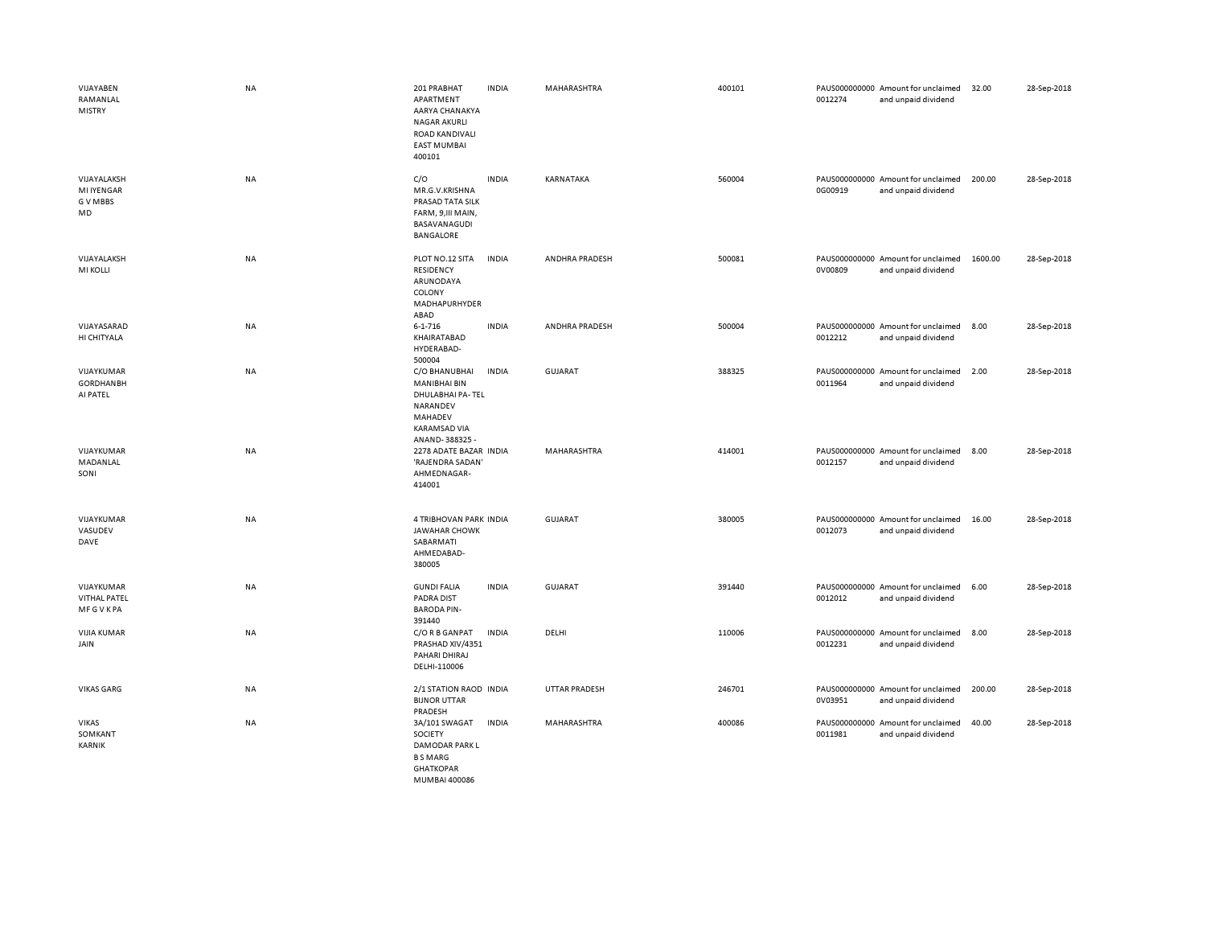| VIJAYABEN<br>RAMANLAL<br>MISTRY                     | <b>NA</b> | 201 PRABHAT<br>APARTMENT<br>AARYA CHANAKYA<br><b>NAGAR AKURLI</b><br>ROAD KANDIVALI<br><b>EAST MUMBAI</b><br>400101     | <b>INDIA</b> | MAHARASHTRA    | 400101 | 0012274 | PAUS000000000 Amount for unclaimed<br>and unpaid dividend | 32.00   | 28-Sep-2018 |
|-----------------------------------------------------|-----------|-------------------------------------------------------------------------------------------------------------------------|--------------|----------------|--------|---------|-----------------------------------------------------------|---------|-------------|
| VIJAYALAKSH<br><b>MI IYENGAR</b><br>G V MBBS<br>MD  | NA        | C/O<br>MR.G.V.KRISHNA<br>PRASAD TATA SILK<br>FARM, 9, III MAIN,<br>BASAVANAGUDI<br>BANGALORE                            | <b>INDIA</b> | KARNATAKA      | 560004 | 0G00919 | PAUS000000000 Amount for unclaimed<br>and unpaid dividend | 200.00  | 28-Sep-2018 |
| VIJAYALAKSH<br><b>MI KOLLI</b>                      | NA        | PLOT NO.12 SITA<br>RESIDENCY<br>ARUNODAYA<br>COLONY<br>MADHAPURHYDER<br>ABAD                                            | <b>INDIA</b> | ANDHRA PRADESH | 500081 | 0V00809 | PAUS000000000 Amount for unclaimed<br>and unpaid dividend | 1600.00 | 28-Sep-2018 |
| VIJAYASARAD<br>HI CHITYALA                          | NA        | $6 - 1 - 716$<br>KHAIRATABAD<br>HYDERABAD-<br>500004                                                                    | <b>INDIA</b> | ANDHRA PRADESH | 500004 | 0012212 | PAUS000000000 Amount for unclaimed<br>and unpaid dividend | 8.00    | 28-Sep-2018 |
| VIJAYKUMAR<br><b>GORDHANBH</b><br>AI PATEL          | NA        | C/O BHANUBHAI<br><b>MANIBHAI BIN</b><br>DHULABHAI PA-TEL<br>NARANDEV<br>MAHADEV<br><b>KARAMSAD VIA</b><br>ANAND-388325- | <b>INDIA</b> | <b>GUJARAT</b> | 388325 | 0011964 | PAUS000000000 Amount for unclaimed<br>and unpaid dividend | 2.00    | 28-Sep-2018 |
| VIJAYKUMAR<br>MADANLAL<br>SONI                      | <b>NA</b> | 2278 ADATE BAZAR INDIA<br>'RAJENDRA SADAN'<br>AHMEDNAGAR-<br>414001                                                     |              | MAHARASHTRA    | 414001 | 0012157 | PAUS000000000 Amount for unclaimed<br>and unpaid dividend | 8.00    | 28-Sep-2018 |
| VIJAYKUMAR<br>VASUDEV<br>DAVE                       | <b>NA</b> | 4 TRIBHOVAN PARK INDIA<br><b>JAWAHAR CHOWK</b><br>SABARMATI<br>AHMEDABAD-<br>380005                                     |              | GUJARAT        | 380005 | 0012073 | PAUS000000000 Amount for unclaimed<br>and unpaid dividend | 16.00   | 28-Sep-2018 |
| VIJAYKUMAR<br><b>VITHAL PATEL</b><br><b>MFGVKPA</b> | <b>NA</b> | <b>GUNDI FALIA</b><br><b>PADRA DIST</b><br><b>BARODA PIN-</b><br>391440                                                 | <b>INDIA</b> | GUJARAT        | 391440 | 0012012 | PAUS000000000 Amount for unclaimed<br>and unpaid dividend | 6.00    | 28-Sep-2018 |
| <b>VIJIA KUMAR</b><br>JAIN                          | NA        | C/O R B GANPAT<br>PRASHAD XIV/4351<br>PAHARI DHIRAJ<br>DELHI-110006                                                     | <b>INDIA</b> | DELHI          | 110006 | 0012231 | PAUS000000000 Amount for unclaimed<br>and unpaid dividend | 8.00    | 28-Sep-2018 |
| <b>VIKAS GARG</b>                                   | <b>NA</b> | 2/1 STATION RAOD INDIA<br><b>BIJNOR UTTAR</b><br>PRADESH                                                                |              | UTTAR PRADESH  | 246701 | 0V03951 | PAUS000000000 Amount for unclaimed<br>and unpaid dividend | 200.00  | 28-Sep-2018 |
| <b>VIKAS</b><br>SOMKANT<br>KARNIK                   | NA        | 3A/101 SWAGAT<br>SOCIETY<br>DAMODAR PARK L<br><b>BSMARG</b><br><b>GHATKOPAR</b><br>MUMBAL400086                         | <b>INDIA</b> | MAHARASHTRA    | 400086 | 0011981 | PAUS000000000 Amount for unclaimed<br>and unpaid dividend | 40.00   | 28-Sep-2018 |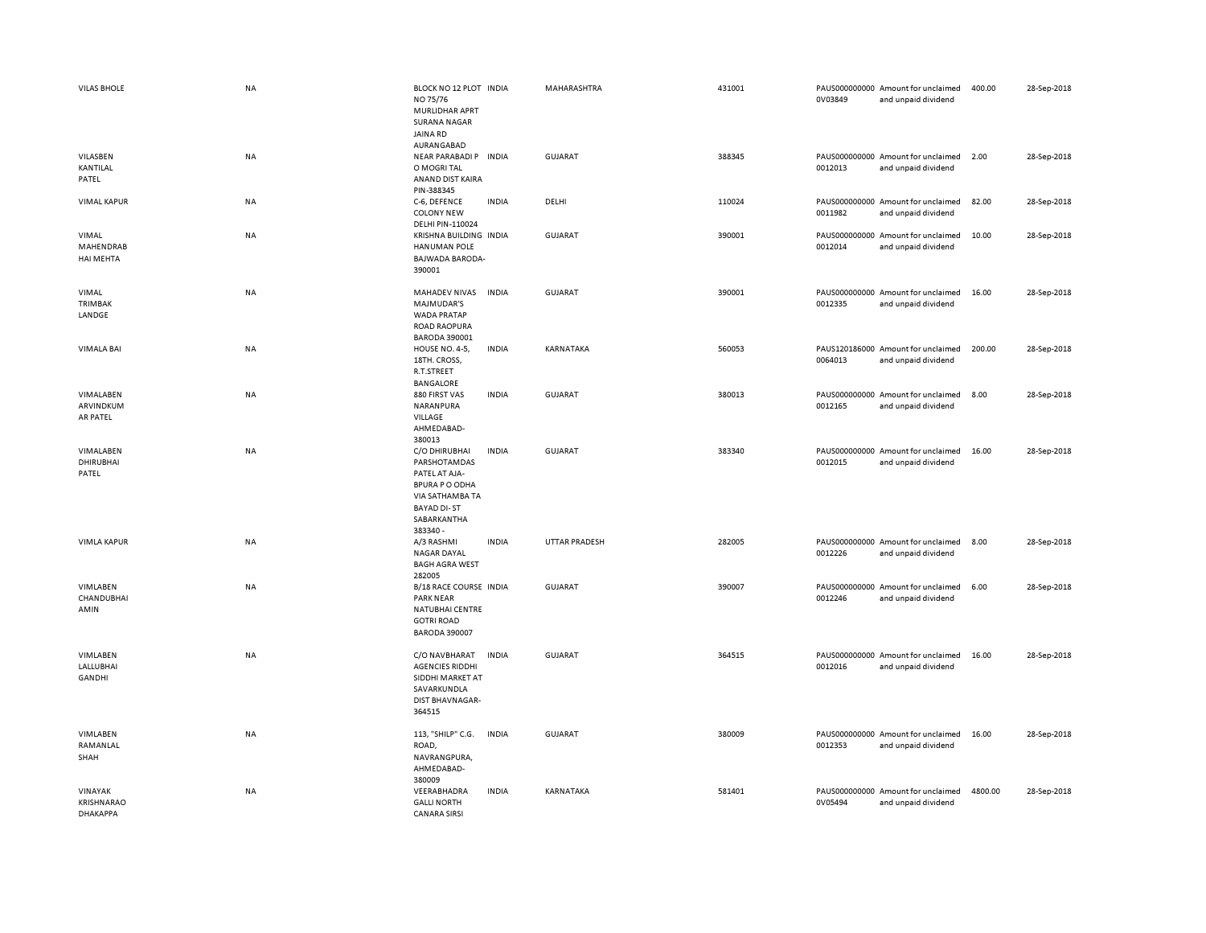| <b>VILAS BHOLE</b>                              | <b>NA</b> | BLOCK NO 12 PLOT INDIA<br>NO 75/76<br><b>MURLIDHAR APRT</b><br><b>SURANA NAGAR</b><br><b>JAINA RD</b><br>AURANGABAD                         |              | MAHARASHTRA          | 431001 | 0V03849 | PAUS000000000 Amount for unclaimed<br>and unpaid dividend | 400.00  | 28-Sep-2018 |
|-------------------------------------------------|-----------|---------------------------------------------------------------------------------------------------------------------------------------------|--------------|----------------------|--------|---------|-----------------------------------------------------------|---------|-------------|
| VILASBEN<br>KANTILAL<br>PATEL                   | <b>NA</b> | NEAR PARABADI P INDIA<br>O MOGRI TAL<br>ANAND DIST KAIRA<br>PIN-388345                                                                      |              | <b>GUJARAT</b>       | 388345 | 0012013 | PAUS000000000 Amount for unclaimed<br>and unpaid dividend | 2.00    | 28-Sep-2018 |
| <b>VIMAL KAPUR</b>                              | NA        | C-6, DEFENCE<br><b>COLONY NEW</b><br>DELHI PIN-110024                                                                                       | <b>INDIA</b> | DELHI                | 110024 | 0011982 | PAUS000000000 Amount for unclaimed<br>and unpaid dividend | 82.00   | 28-Sep-2018 |
| VIMAL<br>MAHENDRAB<br>HAI MEHTA                 | NA        | KRISHNA BUILDING INDIA<br><b>HANUMAN POLE</b><br><b>BAJWADA BARODA-</b><br>390001                                                           |              | <b>GUJARAT</b>       | 390001 | 0012014 | PAUS000000000 Amount for unclaimed<br>and unpaid dividend | 10.00   | 28-Sep-2018 |
| VIMAL<br>TRIMBAK<br>LANDGE                      | <b>NA</b> | MAHADEV NIVAS<br>MAJMUDAR'S<br><b>WADA PRATAP</b><br><b>ROAD RAOPURA</b><br><b>BARODA 390001</b>                                            | <b>INDIA</b> | <b>GUJARAT</b>       | 390001 | 0012335 | PAUS000000000 Amount for unclaimed<br>and unpaid dividend | 16.00   | 28-Sep-2018 |
| <b>VIMALA BAI</b>                               | <b>NA</b> | HOUSE NO. 4-5,<br>18TH. CROSS,<br>R.T.STREET<br><b>BANGALORE</b>                                                                            | <b>INDIA</b> | KARNATAKA            | 560053 | 0064013 | PAUS120186000 Amount for unclaimed<br>and unpaid dividend | 200.00  | 28-Sep-2018 |
| VIMALABEN<br>ARVINDKUM<br>AR PATEL              | NA        | 880 FIRST VAS<br>NARANPURA<br>VILLAGE<br>AHMEDABAD-<br>380013                                                                               | <b>INDIA</b> | <b>GUJARAT</b>       | 380013 | 0012165 | PAUS000000000 Amount for unclaimed<br>and unpaid dividend | 8.00    | 28-Sep-2018 |
| VIMALABEN<br><b>DHIRUBHAI</b><br>PATEL          | NA        | C/O DHIRUBHAI<br>PARSHOTAMDAS<br>PATEL AT AJA-<br><b>BPURA P O ODHA</b><br>VIA SATHAMBA TA<br><b>BAYAD DI-ST</b><br>SABARKANTHA<br>383340 - | <b>INDIA</b> | GUJARAT              | 383340 | 0012015 | PAUS000000000 Amount for unclaimed<br>and unpaid dividend | 16.00   | 28-Sep-2018 |
| <b>VIMLA KAPUR</b>                              | <b>NA</b> | A/3 RASHMI<br>NAGAR DAYAL<br><b>BAGH AGRA WEST</b><br>282005                                                                                | <b>INDIA</b> | <b>UTTAR PRADESH</b> | 282005 | 0012226 | PAUS000000000 Amount for unclaimed<br>and unpaid dividend | 8.00    | 28-Sep-2018 |
| VIMLABEN<br>CHANDUBHAI<br>AMIN                  | NA        | B/18 RACE COURSE INDIA<br><b>PARK NEAR</b><br>NATUBHAI CENTRE<br><b>GOTRI ROAD</b><br><b>BARODA 390007</b>                                  |              | <b>GUJARAT</b>       | 390007 | 0012246 | PAUS000000000 Amount for unclaimed<br>and unpaid dividend | 6.00    | 28-Sep-2018 |
| VIMLABEN<br>LALLUBHAI<br>GANDHI                 | NA        | C/O NAVBHARAT<br><b>AGENCIES RIDDHI</b><br>SIDDHI MARKET AT<br>SAVARKUNDLA<br>DIST BHAVNAGAR-<br>364515                                     | <b>INDIA</b> | <b>GUJARAT</b>       | 364515 | 0012016 | PAUS000000000 Amount for unclaimed<br>and unpaid dividend | 16.00   | 28-Sep-2018 |
| VIMLABEN<br>RAMANLAL<br>SHAH                    | NA        | 113, "SHILP" C.G.<br>ROAD,<br>NAVRANGPURA,<br>AHMEDABAD-<br>380009                                                                          | <b>INDIA</b> | <b>GUJARAT</b>       | 380009 | 0012353 | PAUS000000000 Amount for unclaimed<br>and unpaid dividend | 16.00   | 28-Sep-2018 |
| VINAYAK<br>KRISHNARAO<br><b><i>DHAKAPPA</i></b> | NA        | VEERABHADRA<br><b>GALLI NORTH</b><br><b>CANARA SIRSI</b>                                                                                    | <b>INDIA</b> | KARNATAKA            | 581401 | 0V05494 | PAUS000000000 Amount for unclaimed<br>and unpaid dividend | 4800.00 | 28-Sep-2018 |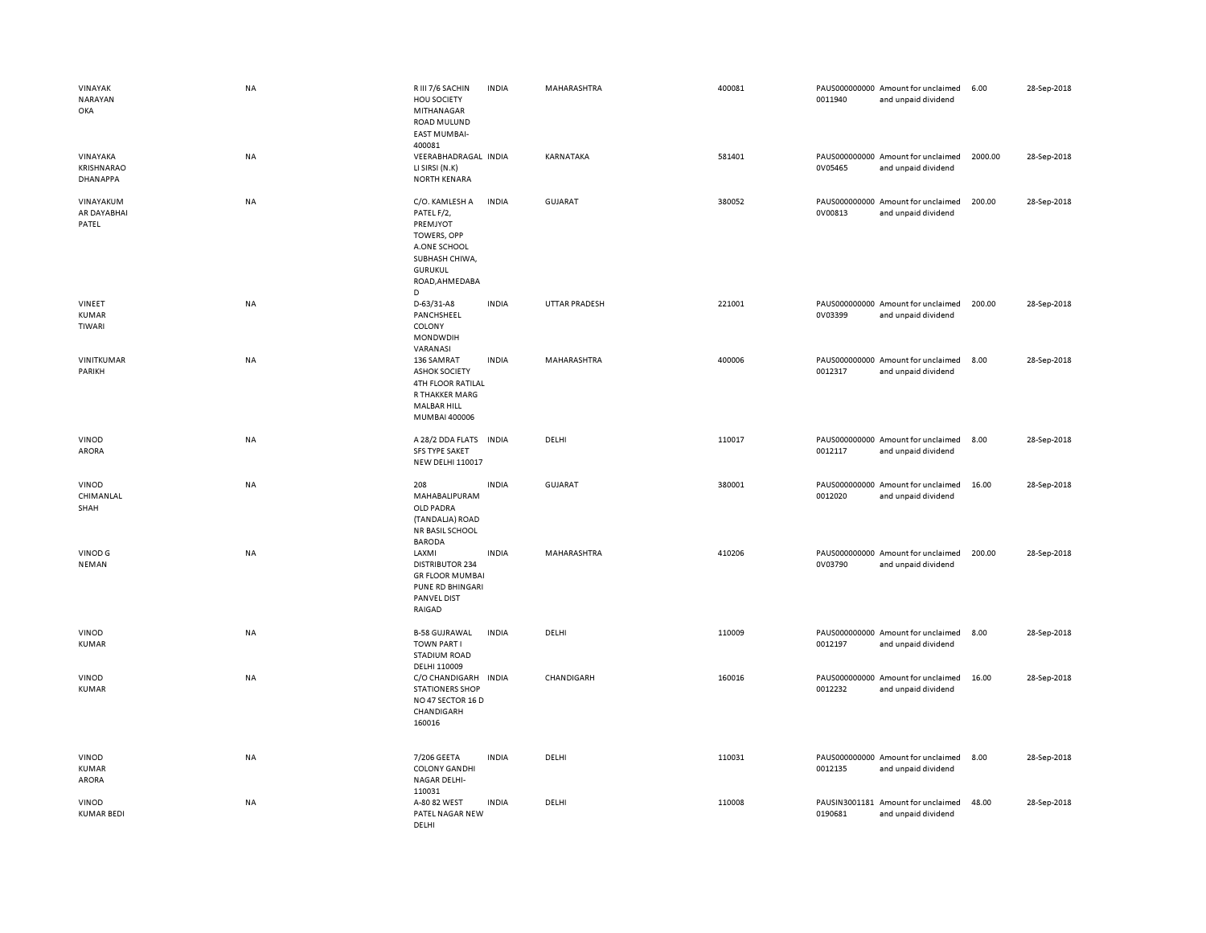| VINAYAK<br><b>NARAYAN</b><br>OKA          | NA        | R III 7/6 SACHIN<br>HOU SOCIETY<br>MITHANAGAR<br>ROAD MULUND<br><b>EAST MUMBAI-</b><br>400081                                      | <b>INDIA</b> | MAHARASHTRA          | 400081 | 0011940 | PAUS000000000 Amount for unclaimed<br>and unpaid dividend | 6.00    | 28-Sep-2018 |
|-------------------------------------------|-----------|------------------------------------------------------------------------------------------------------------------------------------|--------------|----------------------|--------|---------|-----------------------------------------------------------|---------|-------------|
| VINAYAKA<br><b>KRISHNARAO</b><br>DHANAPPA | NA        | VEERABHADRAGAL INDIA<br>LI SIRSI (N.K)<br><b>NORTH KENARA</b>                                                                      |              | KARNATAKA            | 581401 | 0V05465 | PAUS000000000 Amount for unclaimed<br>and unpaid dividend | 2000.00 | 28-Sep-2018 |
| VINAYAKUM<br>AR DAYABHAI<br>PATEL         | NA        | C/O. KAMLESH A<br>PATEL F/2,<br>PREMJYOT<br>TOWERS, OPP<br>A.ONE SCHOOL<br>SUBHASH CHIWA,<br><b>GURUKUL</b><br>ROAD, AHMEDABA<br>D | <b>INDIA</b> | GUJARAT              | 380052 | 0V00813 | PAUS000000000 Amount for unclaimed<br>and unpaid dividend | 200.00  | 28-Sep-2018 |
| VINEET<br><b>KUMAR</b><br>TIWARI          | <b>NA</b> | D-63/31-A8<br>PANCHSHEEL<br>COLONY<br><b>MONDWDIH</b><br>VARANASI                                                                  | <b>INDIA</b> | <b>UTTAR PRADESH</b> | 221001 | 0V03399 | PAUS000000000 Amount for unclaimed<br>and unpaid dividend | 200.00  | 28-Sep-2018 |
| VINITKUMAR<br>PARIKH                      | NA        | 136 SAMRAT<br><b>ASHOK SOCIETY</b><br><b>4TH FLOOR RATILAL</b><br>R THAKKER MARG<br><b>MALBAR HILL</b><br>MUMBAI 400006            | <b>INDIA</b> | MAHARASHTRA          | 400006 | 0012317 | PAUS000000000 Amount for unclaimed<br>and unpaid dividend | 8.00    | 28-Sep-2018 |
| <b>VINOD</b><br>ARORA                     | NA        | A 28/2 DDA FLATS<br><b>SFS TYPE SAKET</b><br><b>NEW DELHI 110017</b>                                                               | <b>INDIA</b> | DELHI                | 110017 | 0012117 | PAUS000000000 Amount for unclaimed<br>and unpaid dividend | 8.00    | 28-Sep-2018 |
| VINOD<br>CHIMANLAL<br>SHAH                | NA        | 208<br>MAHABALIPURAM<br>OLD PADRA<br>(TANDALJA) ROAD<br>NR BASIL SCHOOL<br><b>BARODA</b>                                           | <b>INDIA</b> | GUJARAT              | 380001 | 0012020 | PAUS000000000 Amount for unclaimed<br>and unpaid dividend | 16.00   | 28-Sep-2018 |
| VINOD G<br><b>NEMAN</b>                   | NA        | LAXMI<br><b>DISTRIBUTOR 234</b><br><b>GR FLOOR MUMBAI</b><br>PUNE RD BHINGARI<br><b>PANVEL DIST</b><br>RAIGAD                      | <b>INDIA</b> | MAHARASHTRA          | 410206 | 0V03790 | PAUS000000000 Amount for unclaimed<br>and unpaid dividend | 200.00  | 28-Sep-2018 |
| VINOD<br>KUMAR                            | NA        | <b>B-58 GUJRAWAL</b><br><b>TOWN PART I</b><br><b>STADIUM ROAD</b><br>DELHI 110009                                                  | <b>INDIA</b> | DELHI                | 110009 | 0012197 | PAUS000000000 Amount for unclaimed<br>and unpaid dividend | 8.00    | 28-Sep-2018 |
| VINOD<br><b>KUMAR</b>                     | NA        | C/O CHANDIGARH<br><b>STATIONERS SHOP</b><br>NO 47 SECTOR 16 D<br>CHANDIGARH<br>160016                                              | <b>INDIA</b> | CHANDIGARH           | 160016 | 0012232 | PAUS000000000 Amount for unclaimed<br>and unpaid dividend | 16.00   | 28-Sep-2018 |
| VINOD<br><b>KUMAR</b><br>ARORA            | NA        | 7/206 GEETA<br><b>COLONY GANDHI</b><br>NAGAR DELHI-<br>110031                                                                      | <b>INDIA</b> | DELHI                | 110031 | 0012135 | PAUS000000000 Amount for unclaimed<br>and unpaid dividend | 8.00    | 28-Sep-2018 |
| VINOD<br><b>KUMAR BEDI</b>                | NA        | A-80 82 WEST<br>PATEL NAGAR NEW<br>DELHI                                                                                           | <b>INDIA</b> | DELHI                | 110008 | 0190681 | PAUSIN3001181 Amount for unclaimed<br>and unpaid dividend | 48.00   | 28-Sep-2018 |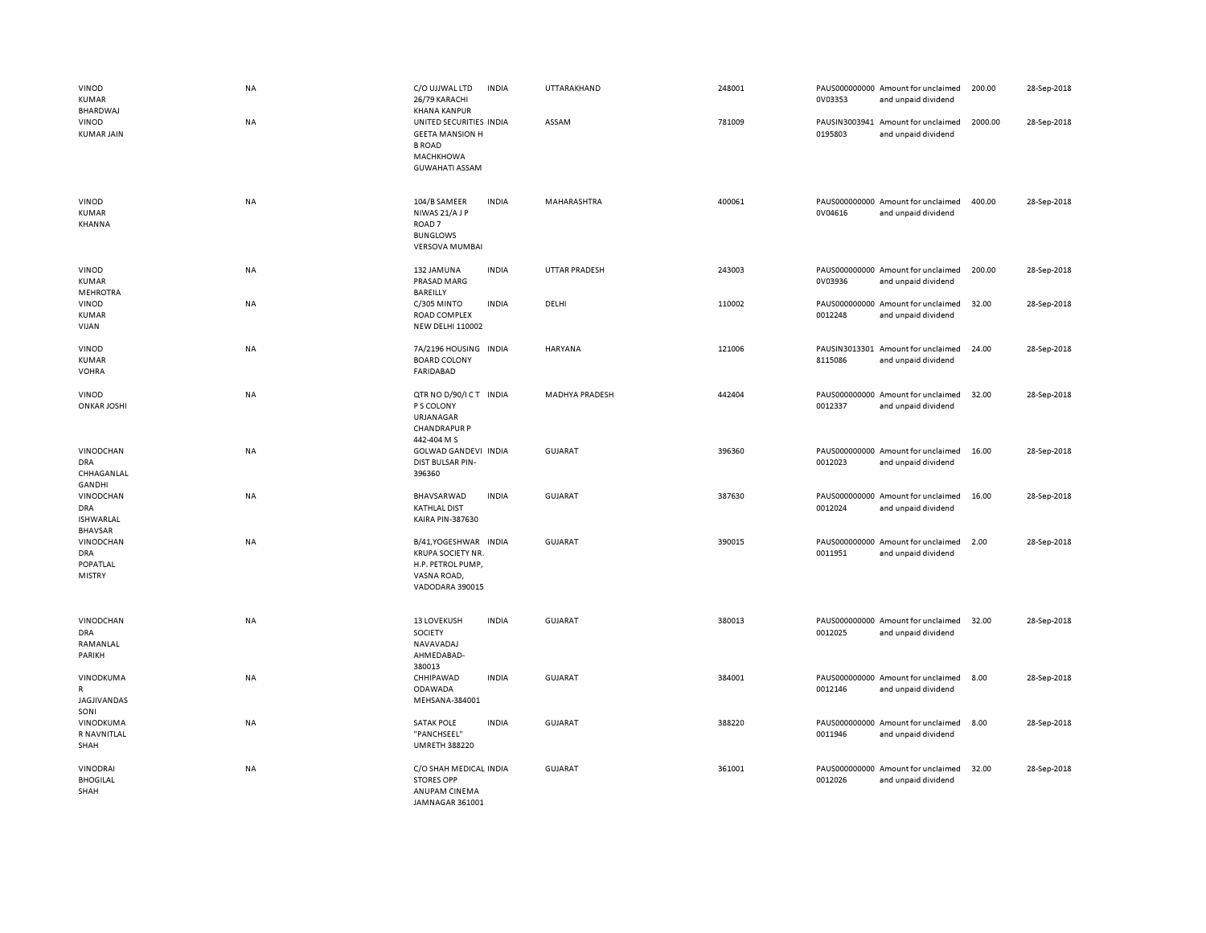| VINOD<br><b>KUMAR</b><br>BHARDWAJ                             | <b>NA</b> | C/O UJJWAL LTD<br>26/79 KARACHI<br><b>KHANA KANPUR</b>                                                          | <b>INDIA</b> | UTTARAKHAND           | 248001 | 0V03353 | PAUS000000000 Amount for unclaimed<br>and unpaid dividend | 200.00  | 28-Sep-2018 |
|---------------------------------------------------------------|-----------|-----------------------------------------------------------------------------------------------------------------|--------------|-----------------------|--------|---------|-----------------------------------------------------------|---------|-------------|
| VINOD<br><b>KUMAR JAIN</b>                                    | <b>NA</b> | UNITED SECURITIES INDIA<br><b>GEETA MANSION H</b><br><b>B ROAD</b><br><b>MACHKHOWA</b><br><b>GUWAHATI ASSAM</b> |              | ASSAM                 | 781009 | 0195803 | PAUSIN3003941 Amount for unclaimed<br>and unpaid dividend | 2000.00 | 28-Sep-2018 |
| VINOD<br><b>KUMAR</b><br>KHANNA                               | <b>NA</b> | 104/B SAMEER<br>NIWAS 21/AJP<br>ROAD <sub>7</sub><br><b>BUNGLOWS</b><br><b>VERSOVA MUMBAI</b>                   | <b>INDIA</b> | MAHARASHTRA           | 400061 | 0V04616 | PAUS000000000 Amount for unclaimed<br>and unpaid dividend | 400.00  | 28-Sep-2018 |
| <b>VINOD</b><br><b>KUMAR</b><br><b>MEHROTRA</b>               | NA        | 132 JAMUNA<br>PRASAD MARG<br>BAREILLY                                                                           | <b>INDIA</b> | <b>UTTAR PRADESH</b>  | 243003 | 0V03936 | PAUS000000000 Amount for unclaimed<br>and unpaid dividend | 200.00  | 28-Sep-2018 |
| VINOD<br><b>KUMAR</b><br>VIJAN                                | NA        | C/305 MINTO<br>ROAD COMPLEX<br><b>NEW DELHI 110002</b>                                                          | <b>INDIA</b> | DELHI                 | 110002 | 0012248 | PAUS000000000 Amount for unclaimed<br>and unpaid dividend | 32.00   | 28-Sep-2018 |
| VINOD<br><b>KUMAR</b><br><b>VOHRA</b>                         | NA        | 7A/2196 HOUSING<br><b>BOARD COLONY</b><br><b>FARIDABAD</b>                                                      | <b>INDIA</b> | <b>HARYANA</b>        | 121006 | 8115086 | PAUSIN3013301 Amount for unclaimed<br>and unpaid dividend | 24.00   | 28-Sep-2018 |
| <b>VINOD</b><br><b>ONKAR JOSHI</b>                            | <b>NA</b> | QTR NO D/90/ICT INDIA<br>P S COLONY<br>URJANAGAR<br><b>CHANDRAPUR P</b><br>442-404 M S                          |              | <b>MADHYA PRADESH</b> | 442404 | 0012337 | PAUS000000000 Amount for unclaimed<br>and unpaid dividend | 32.00   | 28-Sep-2018 |
| <b>VINODCHAN</b><br><b>DRA</b><br>CHHAGANLAL<br>GANDHI        | NA        | GOLWAD GANDEVI INDIA<br>DIST BULSAR PIN-<br>396360                                                              |              | <b>GUJARAT</b>        | 396360 | 0012023 | PAUS000000000 Amount for unclaimed<br>and unpaid dividend | 16.00   | 28-Sep-2018 |
| VINODCHAN<br><b>DRA</b><br><b>ISHWARLAL</b><br><b>BHAVSAR</b> | NA        | BHAVSARWAD<br><b>KATHLAL DIST</b><br><b>KAIRA PIN-387630</b>                                                    | <b>INDIA</b> | <b>GUJARAT</b>        | 387630 | 0012024 | PAUS000000000 Amount for unclaimed<br>and unpaid dividend | 16.00   | 28-Sep-2018 |
| VINODCHAN<br><b>DRA</b><br>POPATLAL<br><b>MISTRY</b>          | NA        | B/41, YOGESHWAR INDIA<br><b>KRUPA SOCIETY NR.</b><br>H.P. PETROL PUMP,<br>VASNA ROAD,<br>VADODARA 390015        |              | <b>GUJARAT</b>        | 390015 | 0011951 | PAUS000000000 Amount for unclaimed<br>and unpaid dividend | 2.00    | 28-Sep-2018 |
| VINODCHAN<br><b>DRA</b><br>RAMANLAL<br>PARIKH                 | NA        | <b>13 LOVEKUSH</b><br>SOCIETY<br>NAVAVADAJ<br>AHMEDABAD-<br>380013                                              | <b>INDIA</b> | <b>GUJARAT</b>        | 380013 | 0012025 | PAUS000000000 Amount for unclaimed<br>and unpaid dividend | 32.00   | 28-Sep-2018 |
| VINODKUMA<br>$\mathsf{R}$<br><b>JAGJIVANDAS</b><br>SONI       | <b>NA</b> | CHHIPAWAD<br>ODAWADA<br>MEHSANA-384001                                                                          | <b>INDIA</b> | <b>GUJARAT</b>        | 384001 | 0012146 | PAUS000000000 Amount for unclaimed<br>and unpaid dividend | 8.00    | 28-Sep-2018 |
| VINODKUMA<br>R NAVNITLAL<br>SHAH                              | NA        | <b>SATAK POLE</b><br>"PANCHSEEL"<br><b>UMRETH 388220</b>                                                        | <b>INDIA</b> | <b>GUJARAT</b>        | 388220 | 0011946 | PAUS000000000 Amount for unclaimed<br>and unpaid dividend | 8.00    | 28-Sep-2018 |
| <b>VINODRAI</b><br><b>BHOGILAL</b><br>SHAH                    | <b>NA</b> | C/O SHAH MEDICAL INDIA<br><b>STORES OPP</b><br>ANUPAM CINEMA<br>JAMNAGAR 361001                                 |              | <b>GUJARAT</b>        | 361001 | 0012026 | PAUS000000000 Amount for unclaimed<br>and unpaid dividend | 32.00   | 28-Sep-2018 |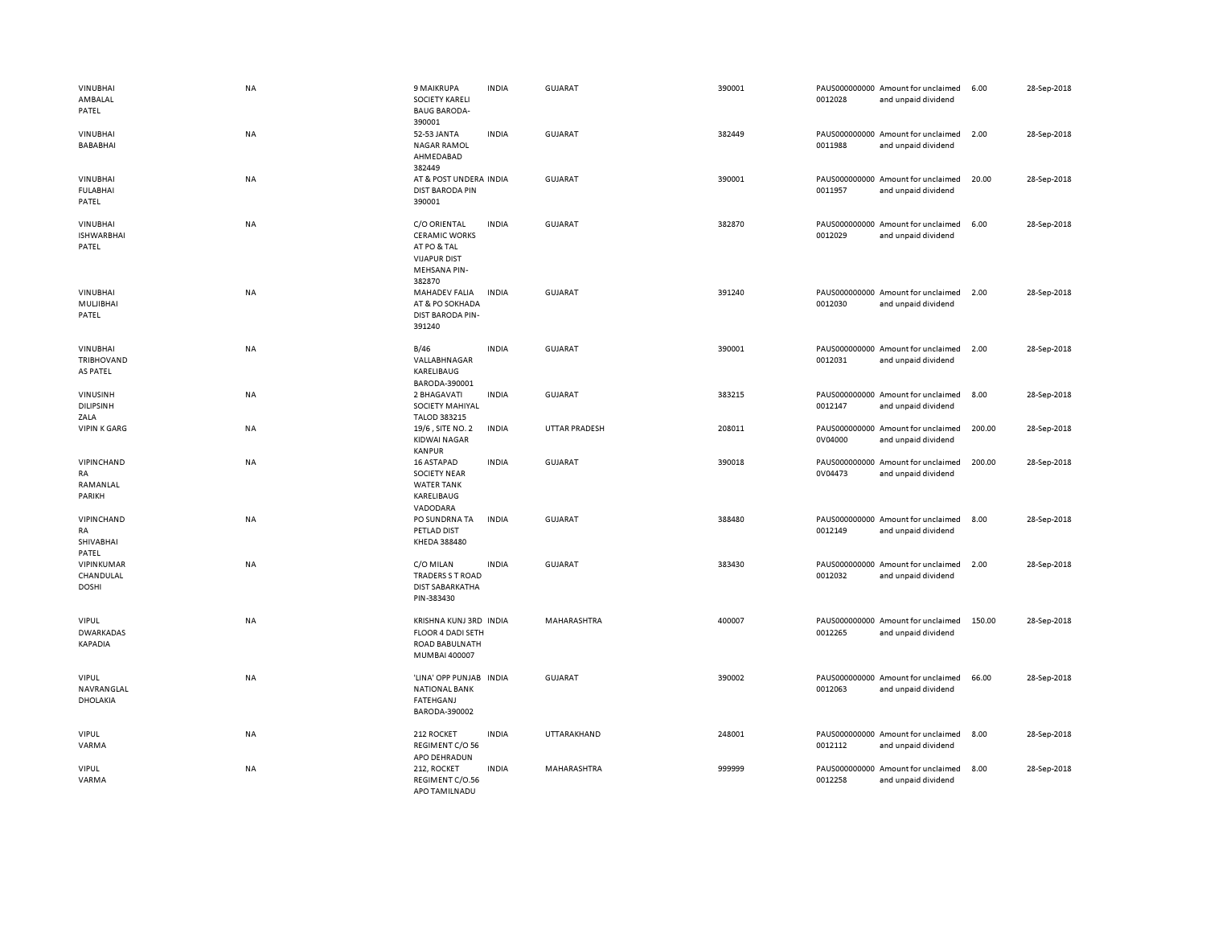| <b>VINUBHAI</b><br>AMBALAL<br>PATEL                | NA        | 9 MAIKRUPA<br><b>SOCIETY KARELI</b><br><b>BAUG BARODA-</b><br>390001                                 | <b>INDIA</b> | GUJARAT              | 390001 | 0012028                  | PAUS000000000 Amount for unclaimed<br>and unpaid dividend | 6.00   | 28-Sep-2018 |
|----------------------------------------------------|-----------|------------------------------------------------------------------------------------------------------|--------------|----------------------|--------|--------------------------|-----------------------------------------------------------|--------|-------------|
| <b>VINUBHAI</b><br>BABABHAI                        | <b>NA</b> | 52-53 JANTA<br><b>NAGAR RAMOL</b><br>AHMEDABAD<br>382449                                             | <b>INDIA</b> | <b>GUJARAT</b>       | 382449 | 0011988                  | PAUS000000000 Amount for unclaimed<br>and unpaid dividend | 2.00   | 28-Sep-2018 |
| <b>VINUBHAI</b><br><b>FULABHAI</b><br>PATEL        | <b>NA</b> | AT & POST UNDERA INDIA<br><b>DIST BARODA PIN</b><br>390001                                           |              | <b>GUJARAT</b>       | 390001 | 0011957                  | PAUS000000000 Amount for unclaimed<br>and unpaid dividend | 20.00  | 28-Sep-2018 |
| <b>VINUBHAI</b><br><b>ISHWARBHAI</b><br>PATEL      | NA        | C/O ORIENTAL<br><b>CERAMIC WORKS</b><br>AT PO & TAL<br><b>VIJAPUR DIST</b><br>MEHSANA PIN-<br>382870 | <b>INDIA</b> | <b>GUJARAT</b>       | 382870 | 0012029                  | PAUS000000000 Amount for unclaimed<br>and unpaid dividend | 6.00   | 28-Sep-2018 |
| <b>VINUBHAI</b><br>MULJIBHAI<br>PATEL              | NA        | <b>MAHADEV FALIA</b><br>AT & PO SOKHADA<br>DIST BARODA PIN-<br>391240                                | <b>INDIA</b> | GUJARAT              | 391240 | 0012030                  | PAUS000000000 Amount for unclaimed<br>and unpaid dividend | 2.00   | 28-Sep-2018 |
| <b>VINUBHAI</b><br>TRIBHOVAND<br>AS PATEL          | NA        | B/46<br>VALLABHNAGAR<br>KARELIBAUG<br>BARODA-390001                                                  | <b>INDIA</b> | <b>GUJARAT</b>       | 390001 | 0012031                  | PAUS000000000 Amount for unclaimed<br>and unpaid dividend | 2.00   | 28-Sep-2018 |
| VINUSINH<br><b>DILIPSINH</b><br>ZALA               | NA        | 2 BHAGAVATI<br>SOCIETY MAHIYAL<br>TALOD 383215                                                       | <b>INDIA</b> | <b>GUJARAT</b>       | 383215 | 0012147                  | PAUS000000000 Amount for unclaimed<br>and unpaid dividend | 8.00   | 28-Sep-2018 |
| <b>VIPIN K GARG</b>                                | NA        | 19/6, SITE NO. 2<br><b>KIDWAI NAGAR</b><br><b>KANPUR</b>                                             | <b>INDIA</b> | <b>UTTAR PRADESH</b> | 208011 | 0V04000                  | PAUS000000000 Amount for unclaimed<br>and unpaid dividend | 200.00 | 28-Sep-2018 |
| VIPINCHAND<br><b>RA</b><br>RAMANLAL<br>PARIKH      | NA        | 16 ASTAPAD<br><b>SOCIETY NEAR</b><br><b>WATER TANK</b><br>KARELIBAUG<br>VADODARA                     | <b>INDIA</b> | GUJARAT              | 390018 | PAUS000000000<br>0V04473 | Amount for unclaimed<br>and unpaid dividend               | 200.00 | 28-Sep-2018 |
| VIPINCHAND<br>RA<br>SHIVABHAI<br>PATEL             | NA        | PO SUNDRNA TA<br>PETLAD DIST<br>KHEDA 388480                                                         | <b>INDIA</b> | <b>GUJARAT</b>       | 388480 | 0012149                  | PAUS000000000 Amount for unclaimed<br>and unpaid dividend | 8.00   | 28-Sep-2018 |
| VIPINKUMAR<br>CHANDULAL<br><b>DOSHI</b>            | NA        | C/O MILAN<br>TRADERS S T ROAD<br><b>DIST SABARKATHA</b><br>PIN-383430                                | <b>INDIA</b> | GUJARAT              | 383430 | 0012032                  | PAUS000000000 Amount for unclaimed<br>and unpaid dividend | 2.00   | 28-Sep-2018 |
| <b>VIPUL</b><br><b>DWARKADAS</b><br><b>KAPADIA</b> | NA        | KRISHNA KUNJ 3RD INDIA<br><b>FLOOR 4 DADI SETH</b><br>ROAD BABULNATH<br>MUMBAI 400007                |              | MAHARASHTRA          | 400007 | 0012265                  | PAUS000000000 Amount for unclaimed<br>and unpaid dividend | 150.00 | 28-Sep-2018 |
| <b>VIPUL</b><br>NAVRANGLAL<br>DHOLAKIA             | <b>NA</b> | 'LINA' OPP PUNJAB INDIA<br><b>NATIONAL BANK</b><br>FATEHGANJ<br>BARODA-390002                        |              | GUJARAT              | 390002 | 0012063                  | PAUS000000000 Amount for unclaimed<br>and unpaid dividend | 66.00  | 28-Sep-2018 |
| <b>VIPUL</b><br>VARMA                              | NA        | 212 ROCKET<br>REGIMENT C/O 56<br>APO DEHRADUN                                                        | <b>INDIA</b> | UTTARAKHAND          | 248001 | 0012112                  | PAUS000000000 Amount for unclaimed<br>and unpaid dividend | 8.00   | 28-Sep-2018 |
| <b>VIPUL</b><br>VARMA                              | NA        | 212, ROCKET<br>REGIMENT C/O.56<br>APO TAMILNADU                                                      | <b>INDIA</b> | MAHARASHTRA          | 999999 | PAUS000000000<br>0012258 | Amount for unclaimed<br>and unpaid dividend               | 8.00   | 28-Sep-2018 |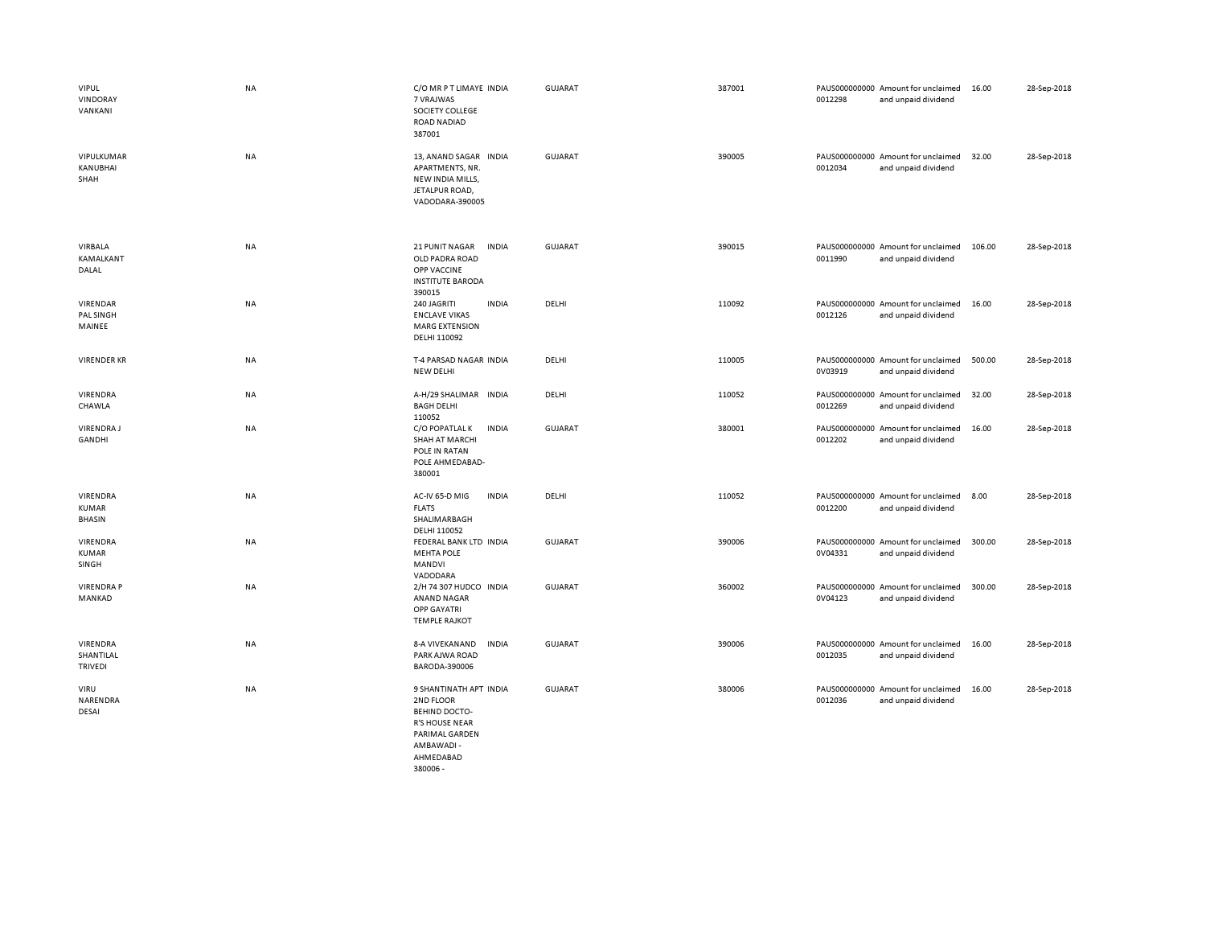| <b>VIPUL</b><br>VINDORAY<br>VANKANI              | <b>NA</b> | C/O MR P T LIMAYE INDIA<br>7 VRAJWAS<br>SOCIETY COLLEGE<br><b>ROAD NADIAD</b><br>387001                                           | <b>GUJARAT</b> | 387001 | 0012298 | PAUS000000000 Amount for unclaimed<br>and unpaid dividend | 16.00  | 28-Sep-2018 |
|--------------------------------------------------|-----------|-----------------------------------------------------------------------------------------------------------------------------------|----------------|--------|---------|-----------------------------------------------------------|--------|-------------|
| VIPULKUMAR<br>KANUBHAI<br>SHAH                   | <b>NA</b> | 13, ANAND SAGAR INDIA<br>APARTMENTS, NR.<br>NEW INDIA MILLS,<br>JETALPUR ROAD,<br>VADODARA-390005                                 | GUJARAT        | 390005 | 0012034 | PAUS000000000 Amount for unclaimed<br>and unpaid dividend | 32.00  | 28-Sep-2018 |
| VIRBALA<br>KAMALKANT<br>DALAL                    | NA        | 21 PUNIT NAGAR<br><b>INDIA</b><br>OLD PADRA ROAD<br>OPP VACCINE<br><b>INSTITUTE BARODA</b><br>390015                              | <b>GUJARAT</b> | 390015 | 0011990 | PAUS000000000 Amount for unclaimed<br>and unpaid dividend | 106.00 | 28-Sep-2018 |
| VIRENDAR<br>PAL SINGH<br>MAINEE                  | <b>NA</b> | 240 JAGRITI<br><b>INDIA</b><br><b>ENCLAVE VIKAS</b><br><b>MARG EXTENSION</b><br>DELHI 110092                                      | DELHI          | 110092 | 0012126 | PAUS000000000 Amount for unclaimed<br>and unpaid dividend | 16.00  | 28-Sep-2018 |
| <b>VIRENDER KR</b>                               | <b>NA</b> | T-4 PARSAD NAGAR INDIA<br><b>NEW DELHI</b>                                                                                        | DELHI          | 110005 | 0V03919 | PAUS000000000 Amount for unclaimed<br>and unpaid dividend | 500.00 | 28-Sep-2018 |
| VIRENDRA<br>CHAWLA                               | <b>NA</b> | A-H/29 SHALIMAR INDIA<br><b>BAGH DELHI</b><br>110052                                                                              | DELHI          | 110052 | 0012269 | PAUS000000000 Amount for unclaimed<br>and unpaid dividend | 32.00  | 28-Sep-2018 |
| VIRENDRA J<br><b>GANDHI</b>                      | <b>NA</b> | C/O POPATLAL K<br><b>INDIA</b><br><b>SHAH AT MARCHI</b><br>POLE IN RATAN<br>POLE AHMEDABAD-<br>380001                             | <b>GUJARAT</b> | 380001 | 0012202 | PAUS000000000 Amount for unclaimed<br>and unpaid dividend | 16.00  | 28-Sep-2018 |
| <b>VIRENDRA</b><br><b>KUMAR</b><br><b>BHASIN</b> | <b>NA</b> | AC-IV 65-D MIG<br><b>INDIA</b><br><b>FLATS</b><br>SHALIMARBAGH<br>DELHI 110052                                                    | DELHI          | 110052 | 0012200 | PAUS000000000 Amount for unclaimed<br>and unpaid dividend | 8.00   | 28-Sep-2018 |
| VIRENDRA<br><b>KUMAR</b><br>SINGH                | <b>NA</b> | FEDERAL BANK LTD INDIA<br><b>MEHTA POLE</b><br><b>MANDVI</b><br>VADODARA                                                          | <b>GUJARAT</b> | 390006 | 0V04331 | PAUS000000000 Amount for unclaimed<br>and unpaid dividend | 300.00 | 28-Sep-2018 |
| <b>VIRENDRA P</b><br>MANKAD                      | NA        | 2/H 74 307 HUDCO INDIA<br>ANAND NAGAR<br>OPP GAYATRI<br><b>TEMPLE RAJKOT</b>                                                      | <b>GUJARAT</b> | 360002 | 0V04123 | PAUS000000000 Amount for unclaimed<br>and unpaid dividend | 300.00 | 28-Sep-2018 |
| VIRENDRA<br>SHANTILAL<br>TRIVEDI                 | NA        | <b>INDIA</b><br><b>8-A VIVEKANAND</b><br>PARK AJWA ROAD<br>BARODA-390006                                                          | <b>GUJARAT</b> | 390006 | 0012035 | PAUS000000000 Amount for unclaimed<br>and unpaid dividend | 16.00  | 28-Sep-2018 |
| VIRU<br>NARENDRA<br>DESAI                        | NA        | 9 SHANTINATH APT INDIA<br>2ND FLOOR<br><b>BEHIND DOCTO-</b><br><b>R'S HOUSE NEAR</b><br>PARIMAL GARDEN<br>AMBAWADI -<br>AHMEDABAD | <b>GUJARAT</b> | 380006 | 0012036 | PAUS000000000 Amount for unclaimed<br>and unpaid dividend | 16.00  | 28-Sep-2018 |

380006 -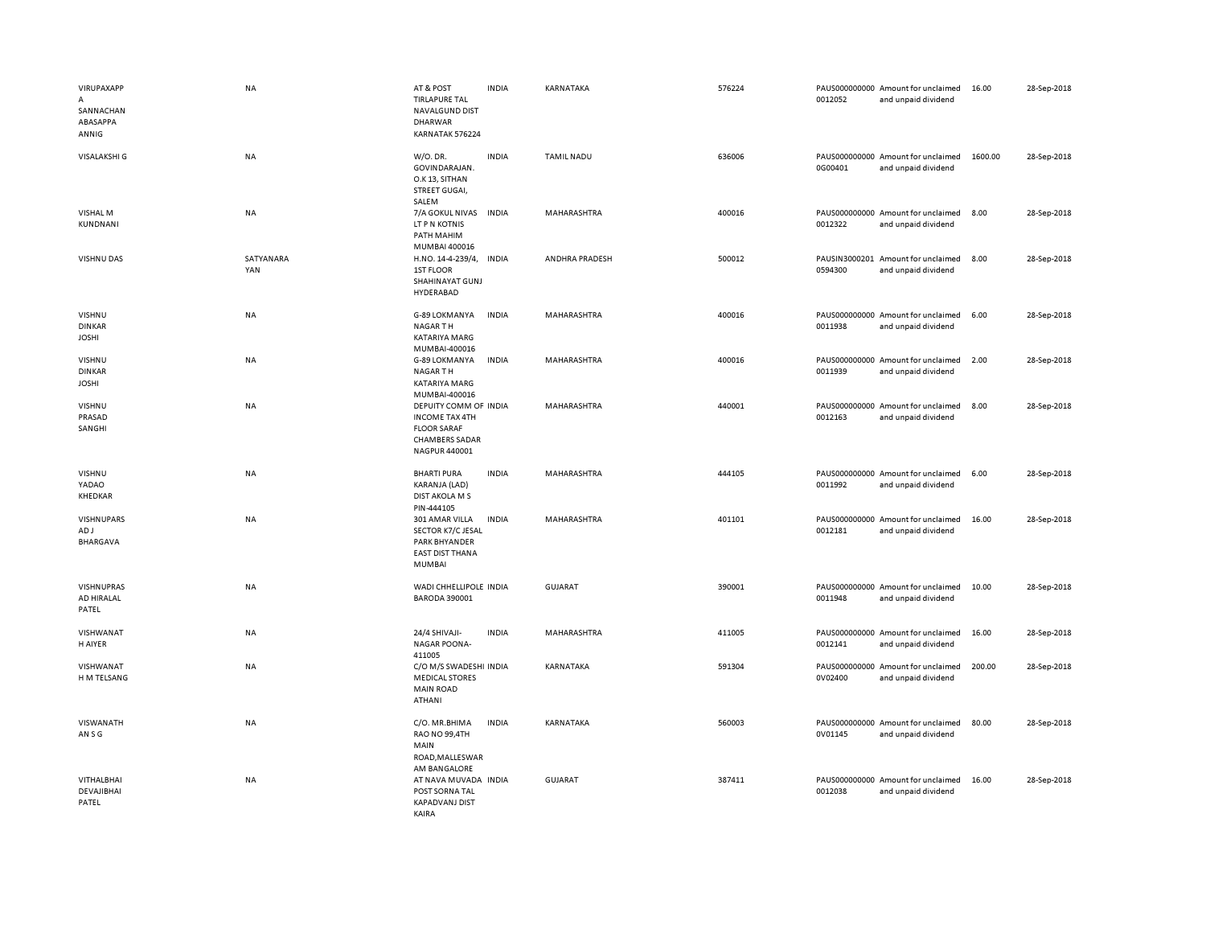| VIRUPAXAPP<br>A<br>SANNACHAN<br>ABASAPPA<br>ANNIG | <b>NA</b>        | AT & POST<br><b>TIRLAPURE TAL</b><br>NAVALGUND DIST<br><b>DHARWAR</b><br>KARNATAK 576224                       | <b>INDIA</b> | KARNATAKA      | 576224 | 0012052                  | PAUS000000000 Amount for unclaimed<br>and unpaid dividend | 16.00   | 28-Sep-2018 |
|---------------------------------------------------|------------------|----------------------------------------------------------------------------------------------------------------|--------------|----------------|--------|--------------------------|-----------------------------------------------------------|---------|-------------|
| <b>VISALAKSHI G</b>                               | NA               | W/O. DR.<br>GOVINDARAJAN.<br>O.K 13, SITHAN<br>STREET GUGAI,<br>SALEM                                          | <b>INDIA</b> | TAMIL NADU     | 636006 | 0G00401                  | PAUS000000000 Amount for unclaimed<br>and unpaid dividend | 1600.00 | 28-Sep-2018 |
| VISHAL M<br>KUNDNANI                              | NA               | 7/A GOKUL NIVAS<br>LT P N KOTNIS<br>PATH MAHIM<br>MUMBAI 400016                                                | <b>INDIA</b> | MAHARASHTRA    | 400016 | 0012322                  | PAUS000000000 Amount for unclaimed<br>and unpaid dividend | 8.00    | 28-Sep-2018 |
| VISHNU DAS                                        | SATYANARA<br>YAN | H.NO. 14-4-239/4, INDIA<br>1ST FLOOR<br>SHAHINAYAT GUNJ<br>HYDERABAD                                           |              | ANDHRA PRADESH | 500012 | PAUSIN3000201<br>0594300 | Amount for unclaimed<br>and unpaid dividend               | 8.00    | 28-Sep-2018 |
| VISHNU<br><b>DINKAR</b><br><b>JOSHI</b>           | NA               | G-89 LOKMANYA<br><b>NAGARTH</b><br>KATARIYA MARG<br>MUMBAI-400016                                              | <b>INDIA</b> | MAHARASHTRA    | 400016 | 0011938                  | PAUS000000000 Amount for unclaimed<br>and unpaid dividend | 6.00    | 28-Sep-2018 |
| VISHNU<br><b>DINKAR</b><br><b>JOSHI</b>           | <b>NA</b>        | G-89 LOKMANYA<br>NAGAR TH<br>KATARIYA MARG<br>MUMBAI-400016                                                    | <b>INDIA</b> | MAHARASHTRA    | 400016 | 0011939                  | PAUS000000000 Amount for unclaimed<br>and unpaid dividend | 2.00    | 28-Sep-2018 |
| VISHNU<br>PRASAD<br>SANGHI                        | NA               | DEPUITY COMM OF INDIA<br><b>INCOME TAX 4TH</b><br><b>FLOOR SARAF</b><br><b>CHAMBERS SADAR</b><br>NAGPUR 440001 |              | MAHARASHTRA    | 440001 | 0012163                  | PAUS000000000 Amount for unclaimed<br>and unpaid dividend | 8.00    | 28-Sep-2018 |
| VISHNU<br>YADAO<br>KHEDKAR                        | NA               | <b>BHARTI PURA</b><br>KARANJA (LAD)<br><b>DIST AKOLA M S</b><br>PIN-444105                                     | <b>INDIA</b> | MAHARASHTRA    | 444105 | 0011992                  | PAUS000000000 Amount for unclaimed<br>and unpaid dividend | 6.00    | 28-Sep-2018 |
| <b>VISHNUPARS</b><br>AD J<br><b>BHARGAVA</b>      | NA               | 301 AMAR VILLA<br>SECTOR K7/C JESAL<br>PARK BHYANDER<br><b>EAST DIST THANA</b><br>MUMBAI                       | <b>INDIA</b> | MAHARASHTRA    | 401101 | 0012181                  | PAUS000000000 Amount for unclaimed<br>and unpaid dividend | 16.00   | 28-Sep-2018 |
| VISHNUPRAS<br>AD HIRALAL<br>PATEL                 | NA               | WADI CHHELLIPOLE INDIA<br><b>BARODA 390001</b>                                                                 |              | GUJARAT        | 390001 | 0011948                  | PAUS000000000 Amount for unclaimed<br>and unpaid dividend | 10.00   | 28-Sep-2018 |
| VISHWANAT<br>H AIYER                              | NA               | 24/4 SHIVAJI-<br><b>NAGAR POONA-</b><br>411005                                                                 | <b>INDIA</b> | MAHARASHTRA    | 411005 | 0012141                  | PAUS000000000 Amount for unclaimed<br>and unpaid dividend | 16.00   | 28-Sep-2018 |
| VISHWANAT<br>H M TELSANG                          | NA               | C/O M/S SWADESHI INDIA<br><b>MEDICAL STORES</b><br><b>MAIN ROAD</b><br>ATHANI                                  |              | KARNATAKA      | 591304 | 0V02400                  | PAUS000000000 Amount for unclaimed<br>and unpaid dividend | 200.00  | 28-Sep-2018 |
| VISWANATH<br>AN S G                               | NA               | C/O. MR.BHIMA<br>RAO NO 99,4TH<br>MAIN<br>ROAD, MALLESWAR<br>AM BANGALORE                                      | <b>INDIA</b> | KARNATAKA      | 560003 | 0V01145                  | PAUS000000000 Amount for unclaimed<br>and unpaid dividend | 80.00   | 28-Sep-2018 |
| VITHALBHAI<br>DEVAJIBHAI<br>PATEL                 | NA               | AT NAVA MUVADA INDIA<br>POST SORNA TAL<br><b>KAPADVANJ DIST</b><br>KAIRA                                       |              | GUJARAT        | 387411 | 0012038                  | PAUS000000000 Amount for unclaimed<br>and unpaid dividend | 16.00   | 28-Sep-2018 |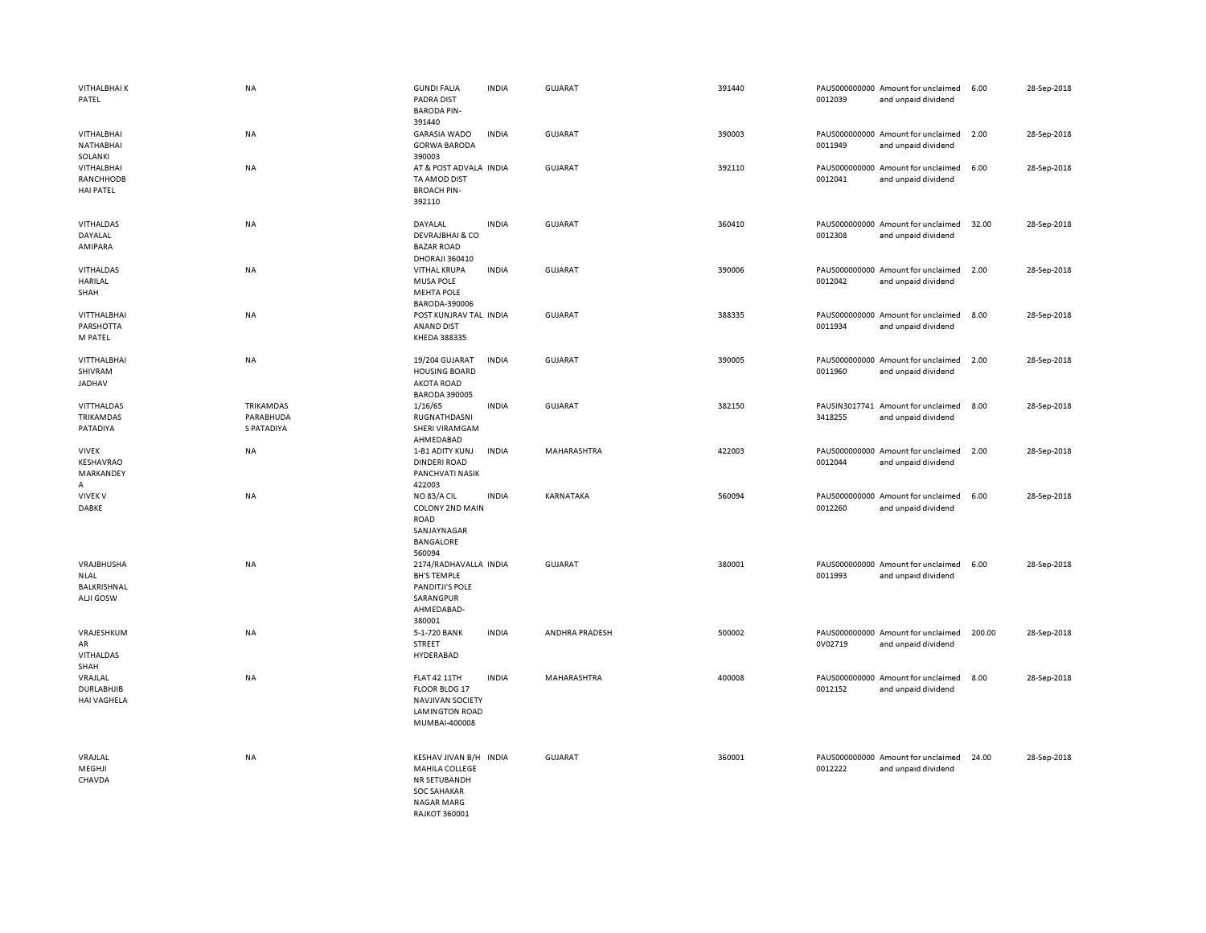| <b>VITHALBHAIK</b><br>PATEL                                  | <b>NA</b>                                          | <b>GUNDI FALIA</b><br><b>PADRA DIST</b><br><b>BARODA PIN-</b><br>391440                                        | <b>INDIA</b> | GUJARAT        | 391440 | 0012039 | PAUS000000000 Amount for unclaimed<br>and unpaid dividend | 6.00   | 28-Sep-2018 |
|--------------------------------------------------------------|----------------------------------------------------|----------------------------------------------------------------------------------------------------------------|--------------|----------------|--------|---------|-----------------------------------------------------------|--------|-------------|
| <b>VITHALBHAI</b><br>NATHABHAI<br>SOLANKI                    | NA                                                 | <b>GARASIA WADO</b><br><b>GORWA BARODA</b><br>390003                                                           | <b>INDIA</b> | <b>GUJARAT</b> | 390003 | 0011949 | PAUS000000000 Amount for unclaimed<br>and unpaid dividend | 2.00   | 28-Sep-2018 |
| <b>VITHALBHAI</b><br>RANCHHODB<br><b>HAI PATEL</b>           | NA                                                 | AT & POST ADVALA INDIA<br>TA AMOD DIST<br><b>BROACH PIN-</b><br>392110                                         |              | <b>GUJARAT</b> | 392110 | 0012041 | PAUS000000000 Amount for unclaimed<br>and unpaid dividend | 6.00   | 28-Sep-2018 |
| <b>VITHALDAS</b><br>DAYALAL<br>AMIPARA                       | NA                                                 | DAYALAL<br><b>DEVRAJBHAI &amp; CO</b><br><b>BAZAR ROAD</b><br>DHORAJI 360410                                   | <b>INDIA</b> | <b>GUJARAT</b> | 360410 | 0012308 | PAUS000000000 Amount for unclaimed<br>and unpaid dividend | 32.00  | 28-Sep-2018 |
| <b>VITHALDAS</b><br><b>HARILAL</b><br>SHAH                   | <b>NA</b>                                          | <b>VITHAL KRUPA</b><br><b>MUSA POLE</b><br><b>MEHTA POLE</b><br>BARODA-390006                                  | <b>INDIA</b> | <b>GUJARAT</b> | 390006 | 0012042 | PAUS000000000 Amount for unclaimed<br>and unpaid dividend | 2.00   | 28-Sep-2018 |
| VITTHALBHAI<br>PARSHOTTA<br>M PATEL                          | NA                                                 | POST KUNJRAV TAL INDIA<br>ANAND DIST<br>KHEDA 388335                                                           |              | <b>GUJARAT</b> | 388335 | 0011934 | PAUS000000000 Amount for unclaimed<br>and unpaid dividend | 8.00   | 28-Sep-2018 |
| VITTHALBHAI<br>SHIVRAM<br>JADHAV                             | NA                                                 | 19/204 GUJARAT<br><b>HOUSING BOARD</b><br><b>AKOTA ROAD</b><br><b>BARODA 390005</b>                            | <b>INDIA</b> | <b>GUJARAT</b> | 390005 | 0011960 | PAUS000000000 Amount for unclaimed<br>and unpaid dividend | 2.00   | 28-Sep-2018 |
| VITTHALDAS<br>TRIKAMDAS<br>PATADIYA                          | <b>TRIKAMDAS</b><br>PARABHUDA<br><b>S PATADIYA</b> | 1/16/65<br>RUGNATHDASNI<br>SHERI VIRAMGAM<br>AHMEDABAD                                                         | <b>INDIA</b> | <b>GUJARAT</b> | 382150 | 3418255 | PAUSIN3017741 Amount for unclaimed<br>and unpaid dividend | 8.00   | 28-Sep-2018 |
| <b>VIVEK</b><br>KESHAVRAO<br>MARKANDEY<br>A                  | NA                                                 | 1-B1 ADITY KUNJ<br><b>DINDERI ROAD</b><br><b>PANCHVATI NASIK</b><br>422003                                     | <b>INDIA</b> | MAHARASHTRA    | 422003 | 0012044 | PAUS000000000 Amount for unclaimed<br>and unpaid dividend | 2.00   | 28-Sep-2018 |
| <b>VIVEK V</b><br>DABKE                                      | NA                                                 | NO 83/A CIL<br><b>COLONY 2ND MAIN</b><br><b>ROAD</b><br>SANJAYNAGAR<br>BANGALORE<br>560094                     | <b>INDIA</b> | KARNATAKA      | 560094 | 0012260 | PAUS000000000 Amount for unclaimed<br>and unpaid dividend | 6.00   | 28-Sep-2018 |
| VRAJBHUSHA<br><b>NLAL</b><br>BALKRISHNAL<br><b>ALJI GOSW</b> | NA                                                 | 2174/RADHAVALLA INDIA<br><b>BH'S TEMPLE</b><br>PANDITJI'S POLE<br>SARANGPUR<br>AHMEDABAD-<br>380001            |              | <b>GUJARAT</b> | 380001 | 0011993 | PAUS000000000 Amount for unclaimed<br>and unpaid dividend | 6.00   | 28-Sep-2018 |
| VRAJESHKUM<br>AR<br><b>VITHALDAS</b><br>SHAH                 | NA                                                 | 5-1-720 BANK<br>STREET<br>HYDERABAD                                                                            | <b>INDIA</b> | ANDHRA PRADESH | 500002 | 0V02719 | PAUS000000000 Amount for unclaimed<br>and unpaid dividend | 200.00 | 28-Sep-2018 |
| VRAJLAL<br><b>DURLABHJIB</b><br><b>HAI VAGHELA</b>           | <b>NA</b>                                          | <b>FLAT 42 11TH</b><br>FLOOR BLDG 17<br>NAVJIVAN SOCIETY<br><b>LAMINGTON ROAD</b><br>MUMBAI-400008             | <b>INDIA</b> | MAHARASHTRA    | 400008 | 0012152 | PAUS000000000 Amount for unclaimed<br>and unpaid dividend | 8.00   | 28-Sep-2018 |
| VRAJLAL<br>MEGHJI<br>CHAVDA                                  | NA                                                 | KESHAV JIVAN B/H<br>MAHILA COLLEGE<br>NR SETUBANDH<br><b>SOC SAHAKAR</b><br><b>NAGAR MARG</b><br>RAIKOT 360001 | <b>INDIA</b> | <b>GUJARAT</b> | 360001 | 0012222 | PAUS000000000 Amount for unclaimed<br>and unpaid dividend | 24.00  | 28-Sep-2018 |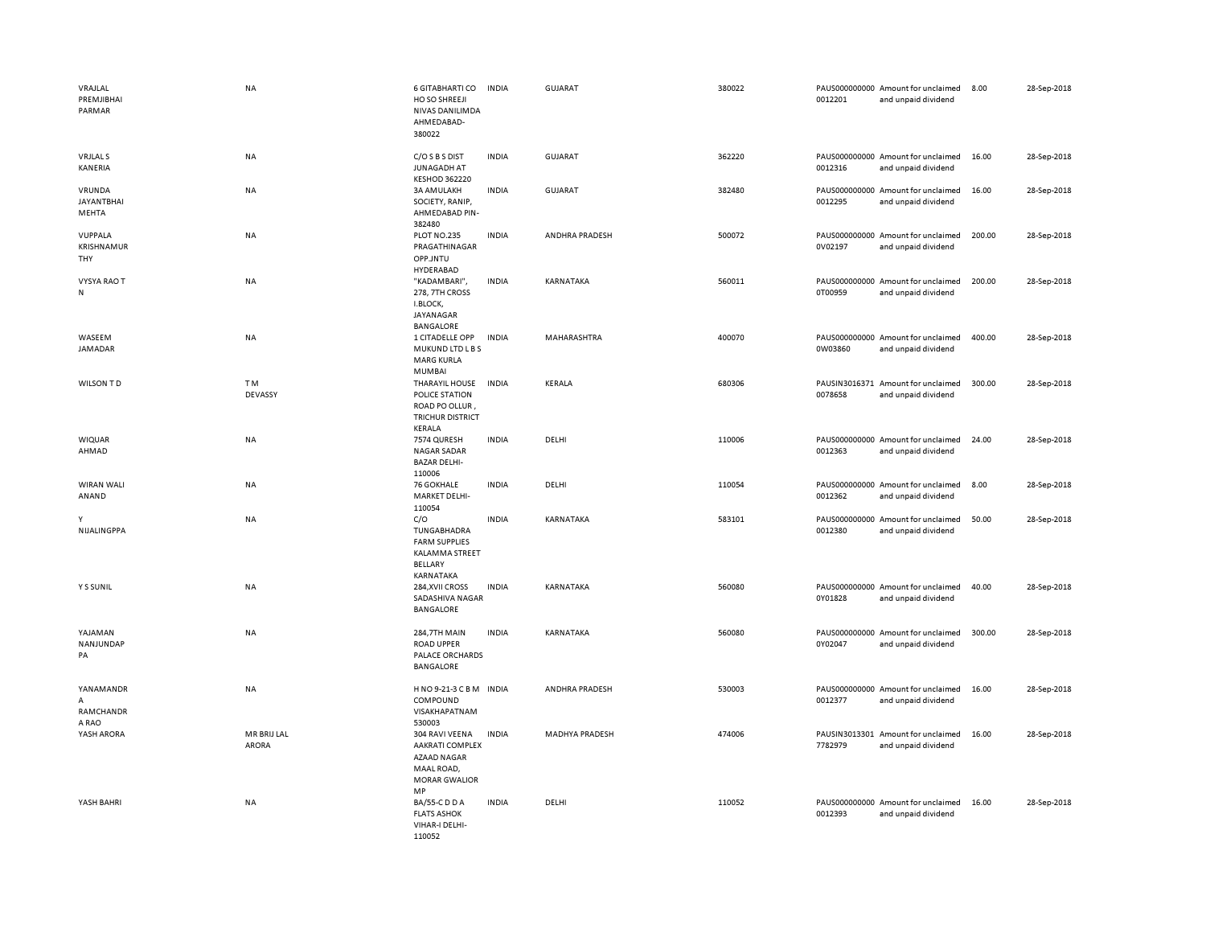| VRAJLAL<br>PREMJIBHAI<br>PARMAR      | <b>NA</b>                   | 6 GITABHARTI CO<br>HO SO SHREEJI<br>NIVAS DANILIMDA<br>AHMEDABAD-<br>380022                         | <b>INDIA</b> | <b>GUJARAT</b>        | 380022 | 0012201 | PAUS000000000 Amount for unclaimed<br>and unpaid dividend | 8.00   | 28-Sep-2018 |
|--------------------------------------|-----------------------------|-----------------------------------------------------------------------------------------------------|--------------|-----------------------|--------|---------|-----------------------------------------------------------|--------|-------------|
| <b>VRJLAL S</b><br>KANERIA           | NA                          | C/O S B S DIST<br><b>JUNAGADH AT</b><br><b>KESHOD 362220</b>                                        | <b>INDIA</b> | GUJARAT               | 362220 | 0012316 | PAUS000000000 Amount for unclaimed<br>and unpaid dividend | 16.00  | 28-Sep-2018 |
| VRUNDA<br><b>JAYANTBHAI</b><br>MEHTA | NA                          | <b>3A AM ULAKH</b><br>SOCIETY, RANIP,<br>AHMEDABAD PIN-<br>382480                                   | <b>INDIA</b> | <b>GUJARAT</b>        | 382480 | 0012295 | PAUS000000000 Amount for unclaimed<br>and unpaid dividend | 16.00  | 28-Sep-2018 |
| VUPPALA<br>KRISHNAMUR<br>THY         | NA                          | PLOT NO.235<br>PRAGATHINAGAR<br>OPP.JNTU<br>HYDERABAD                                               | <b>INDIA</b> | ANDHRA PRADESH        | 500072 | 0V02197 | PAUS000000000 Amount for unclaimed<br>and unpaid dividend | 200.00 | 28-Sep-2018 |
| <b>VYSYA RAO T</b><br>N              | NA                          | "KADAMBARI",<br>278, 7TH CROSS<br>I.BLOCK,<br>JAYANAGAR                                             | <b>INDIA</b> | KARNATAKA             | 560011 | 0T00959 | PAUS000000000 Amount for unclaimed<br>and unpaid dividend | 200.00 | 28-Sep-2018 |
| WASEEM<br>JAMADAR                    | NA                          | <b>BANGALORE</b><br>1 CITADELLE OPP<br>MUKUND LTD LBS<br><b>MARG KURLA</b><br><b>MUMBAI</b>         | <b>INDIA</b> | MAHARASHTRA           | 400070 | 0W03860 | PAUS000000000 Amount for unclaimed<br>and unpaid dividend | 400.00 | 28-Sep-2018 |
| WILSON TD                            | T <sub>M</sub><br>DEVASSY   | THARAYIL HOUSE<br>POLICE STATION<br>ROAD PO OLLUR<br><b>TRICHUR DISTRICT</b><br><b>KERALA</b>       | <b>INDIA</b> | KERALA                | 680306 | 0078658 | PAUSIN3016371 Amount for unclaimed<br>and unpaid dividend | 300.00 | 28-Sep-2018 |
| <b>WIQUAR</b><br>AHMAD               | <b>NA</b>                   | 7574 QURESH<br>NAGAR SADAR<br><b>BAZAR DELHI-</b><br>110006                                         | <b>INDIA</b> | DELHI                 | 110006 | 0012363 | PAUS000000000 Amount for unclaimed<br>and unpaid dividend | 24.00  | 28-Sep-2018 |
| WIRAN WALI<br>ANAND                  | NA                          | 76 GOKHALE<br>MARKET DELHI-<br>110054                                                               | <b>INDIA</b> | DELHI                 | 110054 | 0012362 | PAUS000000000 Amount for unclaimed<br>and unpaid dividend | 8.00   | 28-Sep-2018 |
| Y<br>NIJALINGPPA                     | <b>NA</b>                   | C/O<br>TUNGABHADRA<br><b>FARM SUPPLIES</b><br>KALAMMA STREET<br>BELLARY<br>KARNATAKA                | <b>INDIA</b> | KARNATAKA             | 583101 | 0012380 | PAUS000000000 Amount for unclaimed<br>and unpaid dividend | 50.00  | 28-Sep-2018 |
| Y S SUNIL                            | NA                          | 284, XVII CROSS<br>SADASHIVA NAGAR<br><b>BANGALORE</b>                                              | <b>INDIA</b> | KARNATAKA             | 560080 | 0Y01828 | PAUS000000000 Amount for unclaimed<br>and unpaid dividend | 40.00  | 28-Sep-2018 |
| YAJAMAN<br>NANJUNDAP<br>PA           | NA                          | 284,7TH MAIN<br><b>ROAD UPPER</b><br>PALACE ORCHARDS<br>BANGALORE                                   | <b>INDIA</b> | KARNATAKA             | 560080 | 0Y02047 | PAUS000000000 Amount for unclaimed<br>and unpaid dividend | 300.00 | 28-Sep-2018 |
| YANAMANDR<br>А<br>RAMCHANDR<br>A RAO | NA                          | HNO9-21-3 CBM INDIA<br>COMPOUND<br>VISAKHAPATNAM<br>530003                                          |              | ANDHRA PRADESH        | 530003 | 0012377 | PAUS000000000 Amount for unclaimed<br>and unpaid dividend | 16.00  | 28-Sep-2018 |
| YASH ARORA                           | MR BRIJ LAL<br><b>ARORA</b> | 304 RAVI VEENA<br><b>AAKRATI COMPLEX</b><br>AZAAD NAGAR<br>MAAL ROAD,<br><b>MORAR GWALIOR</b><br>MP | <b>INDIA</b> | <b>MADHYA PRADESH</b> | 474006 | 7782979 | PAUSIN3013301 Amount for unclaimed<br>and unpaid dividend | 16.00  | 28-Sep-2018 |
| YASH BAHRI                           | NA                          | BA/55-C D D A<br><b>FLATS ASHOK</b><br>VIHAR-I DELHI-<br>110052                                     | <b>INDIA</b> | DELHI                 | 110052 | 0012393 | PAUS000000000 Amount for unclaimed<br>and unpaid dividend | 16.00  | 28-Sep-2018 |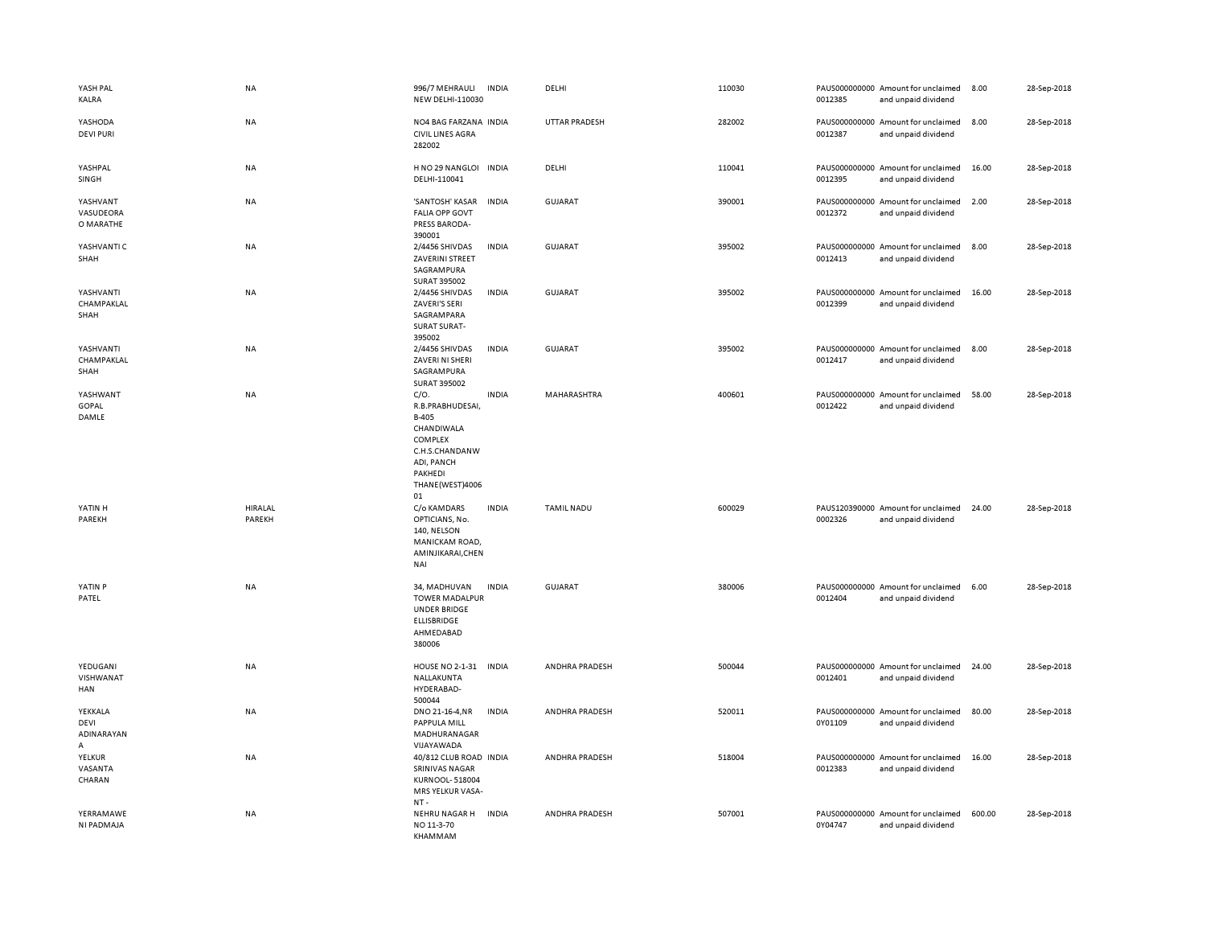| YASH PAL<br>KALRA                  | NA                | 996/7 MEHRAULI<br>NEW DELHI-110030                                                                                             | <b>INDIA</b> | DELHI             | 110030 | 0012385 | PAUS000000000 Amount for unclaimed<br>and unpaid dividend | 8.00   | 28-Sep-2018 |
|------------------------------------|-------------------|--------------------------------------------------------------------------------------------------------------------------------|--------------|-------------------|--------|---------|-----------------------------------------------------------|--------|-------------|
| YASHODA<br><b>DEVI PURI</b>        | NA                | NO4 BAG FARZANA INDIA<br><b>CIVIL LINES AGRA</b><br>282002                                                                     |              | UTTAR PRADESH     | 282002 | 0012387 | PAUS000000000 Amount for unclaimed<br>and unpaid dividend | 8.00   | 28-Sep-2018 |
| YASHPAL<br>SINGH                   | NA                | H NO 29 NANGLOI INDIA<br>DELHI-110041                                                                                          |              | DELHI             | 110041 | 0012395 | PAUS000000000 Amount for unclaimed<br>and unpaid dividend | 16.00  | 28-Sep-2018 |
| YASHVANT<br>VASUDEORA<br>O MARATHE | <b>NA</b>         | 'SANTOSH' KASAR<br><b>FALIA OPP GOVT</b><br>PRESS BARODA-<br>390001                                                            | <b>INDIA</b> | <b>GUJARAT</b>    | 390001 | 0012372 | PAUS000000000 Amount for unclaimed<br>and unpaid dividend | 2.00   | 28-Sep-2018 |
| YASHVANTI C<br>SHAH                | <b>NA</b>         | 2/4456 SHIVDAS<br>ZAVERINI STREET<br>SAGRAMPURA<br>SURAT 395002                                                                | <b>INDIA</b> | <b>GUJARAT</b>    | 395002 | 0012413 | PAUS000000000 Amount for unclaimed<br>and unpaid dividend | 8.00   | 28-Sep-2018 |
| YASHVANTI<br>CHAMPAKLAL<br>SHAH    | NA                | 2/4456 SHIVDAS<br>ZAVERI'S SERI<br>SAGRAMPARA<br><b>SURAT SURAT-</b><br>395002                                                 | <b>INDIA</b> | <b>GUJARAT</b>    | 395002 | 0012399 | PAUS000000000 Amount for unclaimed<br>and unpaid dividend | 16.00  | 28-Sep-2018 |
| YASHVANTI<br>CHAMPAKLAL<br>SHAH    | <b>NA</b>         | 2/4456 SHIVDAS<br>ZAVERI NI SHERI<br>SAGRAMPURA<br>SURAT 395002                                                                | <b>INDIA</b> | <b>GUJARAT</b>    | 395002 | 0012417 | PAUS000000000 Amount for unclaimed<br>and unpaid dividend | 8.00   | 28-Sep-2018 |
| YASHWANT<br><b>GOPAL</b><br>DAMLE  | <b>NA</b>         | C/O.<br>R.B.PRABHUDESAI,<br>B-405<br>CHANDIWALA<br>COMPLEX<br>C.H.S.CHANDANW<br>ADI, PANCH<br>PAKHEDI<br>THANE(WEST)4006<br>01 | <b>INDIA</b> | MAHARASHTRA       | 400601 | 0012422 | PAUS000000000 Amount for unclaimed<br>and unpaid dividend | 58.00  | 28-Sep-2018 |
| YATIN H<br>PAREKH                  | HIRALAL<br>PAREKH | C/o KAMDARS<br>OPTICIANS, No.<br>140, NELSON<br>MANICKAM ROAD,<br>AMINJIKARAI, CHEN<br>NAI                                     | <b>INDIA</b> | <b>TAMIL NADU</b> | 600029 | 0002326 | PAUS120390000 Amount for unclaimed<br>and unpaid dividend | 24.00  | 28-Sep-2018 |
| YATIN <sub>P</sub><br>PATEL        | <b>NA</b>         | 34, MADHUVAN<br><b>TOWER MADALPUR</b><br><b>UNDER BRIDGE</b><br>ELLISBRIDGE<br>AHMEDABAD<br>380006                             | <b>INDIA</b> | <b>GUJARAT</b>    | 380006 | 0012404 | PAUS000000000 Amount for unclaimed<br>and unpaid dividend | 6.00   | 28-Sep-2018 |
| YEDUGANI<br>VISHWANAT<br>HAN       | <b>NA</b>         | <b>HOUSE NO 2-1-31</b><br>NALLAKUNTA<br>HYDERABAD-<br>500044                                                                   | <b>INDIA</b> | ANDHRA PRADESH    | 500044 | 0012401 | PAUS000000000 Amount for unclaimed<br>and unpaid dividend | 24.00  | 28-Sep-2018 |
| YEKKALA<br>DEVI<br>ADINARAYAN<br>Α | <b>NA</b>         | DNO 21-16-4, NR<br>PAPPULA MILL<br>MADHURANAGAR<br>VIJAYAWADA                                                                  | <b>INDIA</b> | ANDHRA PRADESH    | 520011 | 0Y01109 | PAUS000000000 Amount for unclaimed<br>and unpaid dividend | 80.00  | 28-Sep-2018 |
| YELKUR<br>VASANTA<br>CHARAN        | <b>NA</b>         | 40/812 CLUB ROAD INDIA<br>SRINIVAS NAGAR<br><b>KURNOOL-518004</b><br>MRS YELKUR VASA-<br>$NT -$                                |              | ANDHRA PRADESH    | 518004 | 0012383 | PAUS000000000 Amount for unclaimed<br>and unpaid dividend | 16.00  | 28-Sep-2018 |
| YERRAMAWE<br>NI PADMAJA            | <b>NA</b>         | NEHRU NAGAR H INDIA<br>NO 11-3-70<br>KHAMMAM                                                                                   |              | ANDHRA PRADESH    | 507001 | 0Y04747 | PAUS000000000 Amount for unclaimed<br>and unpaid dividend | 600.00 | 28-Sep-2018 |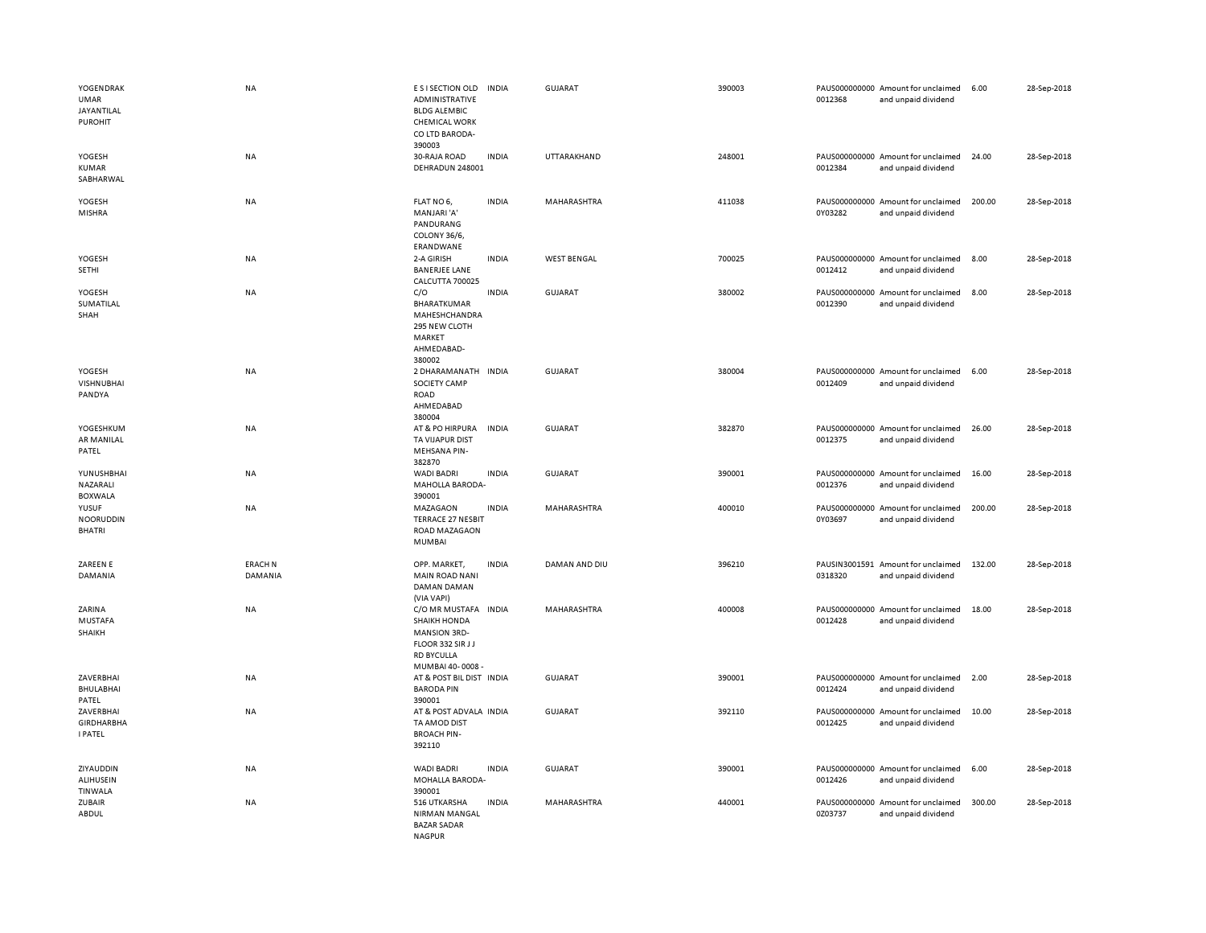| YOGENDRAK<br>UMAR<br>JAYANTILAL<br><b>PUROHIT</b> | NA                        | E S I SECTION OLD<br>ADMINISTRATIVE<br><b>BLDG ALEMBIC</b><br><b>CHEMICAL WORK</b><br>CO LTD BARODA-<br>390003            | <b>INDIA</b> | <b>GUJARAT</b>     | 390003 | 0012368 | PAUS000000000 Amount for unclaimed<br>and unpaid dividend | 6.00   | 28-Sep-2018 |
|---------------------------------------------------|---------------------------|---------------------------------------------------------------------------------------------------------------------------|--------------|--------------------|--------|---------|-----------------------------------------------------------|--------|-------------|
| YOGESH<br><b>KUMAR</b><br>SABHARWAL               | NA                        | 30-RAJA ROAD<br>DEHRADUN 248001                                                                                           | <b>INDIA</b> | UTTARAKHAND        | 248001 | 0012384 | PAUS000000000 Amount for unclaimed<br>and unpaid dividend | 24.00  | 28-Sep-2018 |
| YOGESH<br><b>MISHRA</b>                           | NA                        | FLAT NO 6,<br>MANJARI'A'<br>PANDURANG<br>COLONY 36/6,<br>ERANDWANE                                                        | <b>INDIA</b> | MAHARASHTRA        | 411038 | 0Y03282 | PAUS000000000 Amount for unclaimed<br>and unpaid dividend | 200.00 | 28-Sep-2018 |
| YOGESH<br><b>SETHI</b>                            | NA                        | 2-A GIRISH<br><b>BANERJEE LANE</b><br>CALCUTTA 700025                                                                     | <b>INDIA</b> | <b>WEST BENGAL</b> | 700025 | 0012412 | PAUS000000000 Amount for unclaimed<br>and unpaid dividend | 8.00   | 28-Sep-2018 |
| YOGESH<br>SUMATILAL<br>SHAH                       | <b>NA</b>                 | C/O<br>BHARATKUMAR<br>MAHESHCHANDRA<br>295 NEW CLOTH<br>MARKET<br>AHMEDABAD-<br>380002                                    | <b>INDIA</b> | <b>GUJARAT</b>     | 380002 | 0012390 | PAUS000000000 Amount for unclaimed<br>and unpaid dividend | 8.00   | 28-Sep-2018 |
| YOGESH<br><b>VISHNUBHAI</b><br>PANDYA             | NA                        | 2 DHARAMANATH<br>SOCIETY CAMP<br><b>ROAD</b><br>AHMEDABAD<br>380004                                                       | <b>INDIA</b> | <b>GUJARAT</b>     | 380004 | 0012409 | PAUS000000000 Amount for unclaimed<br>and unpaid dividend | 6.00   | 28-Sep-2018 |
| YOGESHKUM<br>AR MANILAL<br>PATEL                  | NA                        | AT & PO HIRPURA<br>TA VIJAPUR DIST<br>MEHSANA PIN-<br>382870                                                              | <b>INDIA</b> | <b>GUJARAT</b>     | 382870 | 0012375 | PAUS000000000 Amount for unclaimed<br>and unpaid dividend | 26.00  | 28-Sep-2018 |
| YUNUSHBHAI<br>NAZARALI<br><b>BOXWALA</b>          | NA                        | <b>WADI BADRI</b><br>MAHOLLA BARODA-<br>390001                                                                            | <b>INDIA</b> | <b>GUJARAT</b>     | 390001 | 0012376 | PAUS000000000 Amount for unclaimed<br>and unpaid dividend | 16.00  | 28-Sep-2018 |
| YUSUF<br><b>NOORUDDIN</b><br><b>BHATRI</b>        | <b>NA</b>                 | <b>MAZAGAON</b><br><b>TERRACE 27 NESBIT</b><br><b>ROAD MAZAGAON</b><br><b>MUMBAI</b>                                      | <b>INDIA</b> | <b>MAHARASHTRA</b> | 400010 | 0Y03697 | PAUS000000000 Amount for unclaimed<br>and unpaid dividend | 200.00 | 28-Sep-2018 |
| ZAREEN E<br>DAMANIA                               | <b>ERACH N</b><br>DAMANIA | OPP. MARKET,<br><b>MAIN ROAD NANI</b><br><b>DAMAN DAMAN</b><br>(VIA VAPI)                                                 | <b>INDIA</b> | DAMAN AND DIU      | 396210 | 0318320 | PAUSIN3001591 Amount for unclaimed<br>and unpaid dividend | 132.00 | 28-Sep-2018 |
| ZARINA<br><b>MUSTAFA</b><br>SHAIKH                | <b>NA</b>                 | C/O MR MUSTAFA<br><b>SHAIKH HONDA</b><br><b>MANSION 3RD-</b><br>FLOOR 332 SIR JJ<br><b>RD BYCULLA</b><br>MUMBAI 40-0008 - | <b>INDIA</b> | MAHARASHTRA        | 400008 | 0012428 | PAUS000000000 Amount for unclaimed<br>and unpaid dividend | 18.00  | 28-Sep-2018 |
| ZAVERBHAI<br>BHULABHAI<br>PATEL                   | <b>NA</b>                 | AT & POST BIL DIST IN DIA<br><b>BARODA PIN</b><br>390001                                                                  |              | GUJARAT            | 390001 | 0012424 | PAUS000000000 Amount for unclaimed<br>and unpaid dividend | 2.00   | 28-Sep-2018 |
| ZAVERBHAI<br><b>GIRDHARBHA</b><br><b>I PATEL</b>  | NA                        | AT & POST ADVALA INDIA<br>TA AMOD DIST<br><b>BROACH PIN-</b><br>392110                                                    |              | GUJARAT            | 392110 | 0012425 | PAUS000000000 Amount for unclaimed<br>and unpaid dividend | 10.00  | 28-Sep-2018 |
| ZIYAUDDIN<br><b>ALIHUSEIN</b><br><b>TINWALA</b>   | <b>NA</b>                 | <b>WADI BADRI</b><br>MOHALLA BARODA-<br>390001                                                                            | <b>INDIA</b> | <b>GUJARAT</b>     | 390001 | 0012426 | PAUS000000000 Amount for unclaimed<br>and unpaid dividend | 6.00   | 28-Sep-2018 |
| ZUBAIR<br>ABDUL                                   | NA                        | 516 UTKARSHA<br><b>NIRMAN MANGAL</b><br><b>BAZAR SADAR</b><br><b>NAGPUR</b>                                               | <b>INDIA</b> | MAHARASHTRA        | 440001 | 0Z03737 | PAUS000000000 Amount for unclaimed<br>and unpaid dividend | 300.00 | 28-Sep-2018 |